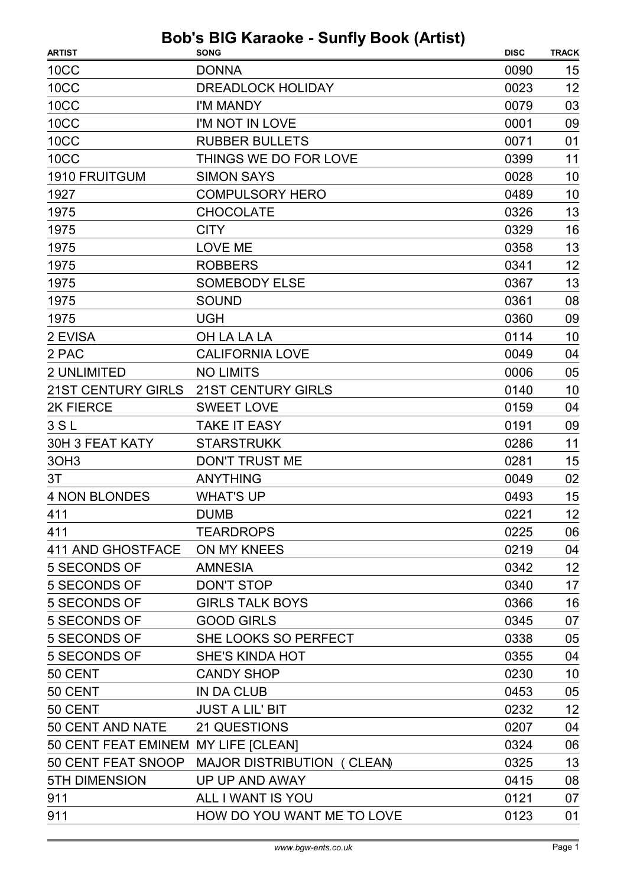| <b>ARTIST</b>                       | <b>SONG</b>                                   | <b>DISC</b> | <b>TRACK</b> |
|-------------------------------------|-----------------------------------------------|-------------|--------------|
| <b>10CC</b>                         | <b>DONNA</b>                                  | 0090        | 15           |
| <b>10CC</b>                         | <b>DREADLOCK HOLIDAY</b>                      | 0023        | 12           |
| 10CC                                | I'M MANDY                                     | 0079        | 03           |
| 10CC                                | I'M NOT IN LOVE                               | 0001        | 09           |
| 10CC                                | <b>RUBBER BULLETS</b>                         | 0071        | 01           |
| 10CC                                | THINGS WE DO FOR LOVE                         | 0399        | 11           |
| <b>1910 FRUITGUM</b>                | <b>SIMON SAYS</b>                             | 0028        | 10           |
| 1927                                | <b>COMPULSORY HERO</b>                        | 0489        | 10           |
| 1975                                | <b>CHOCOLATE</b>                              | 0326        | 13           |
| 1975                                | <b>CITY</b>                                   | 0329        | 16           |
| 1975                                | <b>LOVE ME</b>                                | 0358        | 13           |
| 1975                                | <b>ROBBERS</b>                                | 0341        | 12           |
| 1975                                | <b>SOMEBODY ELSE</b>                          | 0367        | 13           |
| 1975                                | <b>SOUND</b>                                  | 0361        | 08           |
| 1975                                | <b>UGH</b>                                    | 0360        | 09           |
| 2 EVISA                             | OH LA LA LA                                   | 0114        | 10           |
| 2 PAC                               | <b>CALIFORNIA LOVE</b>                        | 0049        | 04           |
| 2 UNLIMITED                         | <b>NO LIMITS</b>                              | 0006        | 05           |
| <b>21ST CENTURY GIRLS</b>           | <b>21ST CENTURY GIRLS</b>                     | 0140        | 10           |
| 2K FIERCE                           | <b>SWEET LOVE</b>                             | 0159        | 04           |
| 3S <sub>L</sub>                     | <b>TAKE IT EASY</b>                           | 0191        | 09           |
| 30H 3 FEAT KATY                     | <b>STARSTRUKK</b>                             | 0286        | 11           |
| 3OH <sub>3</sub>                    | <b>DON'T TRUST ME</b>                         | 0281        | 15           |
| 3T                                  | <b>ANYTHING</b>                               | 0049        | 02           |
| <b>4 NON BLONDES</b>                | <b>WHAT'S UP</b>                              | 0493        | 15           |
| 411                                 | <b>DUMB</b>                                   | 0221        | 12           |
| 411                                 | <b>TEARDROPS</b>                              | 0225        | 06           |
| 411 AND GHOSTFACE ON MY KNEES       |                                               | 0219        | 04           |
| 5 SECONDS OF                        | <b>AMNESIA</b>                                | 0342        | 12           |
| 5 SECONDS OF                        | <b>DON'T STOP</b>                             | 0340        | 17           |
| 5 SECONDS OF                        | <b>GIRLS TALK BOYS</b>                        | 0366        | 16           |
| 5 SECONDS OF                        | <b>GOOD GIRLS</b>                             | 0345        | 07           |
| 5 SECONDS OF                        | SHE LOOKS SO PERFECT                          | 0338        | 05           |
| 5 SECONDS OF                        | <b>SHE'S KINDA HOT</b>                        | 0355        | 04           |
| 50 CENT                             | <b>CANDY SHOP</b>                             | 0230        | 10           |
| 50 CENT                             | <b>IN DA CLUB</b>                             | 0453        | 05           |
| 50 CENT                             | <b>JUST A LIL' BIT</b>                        | 0232        | 12           |
| 50 CENT AND NATE                    | 21 QUESTIONS                                  | 0207        | 04           |
| 50 CENT FEAT EMINEM MY LIFE [CLEAN] |                                               | 0324        | 06           |
|                                     | 50 CENT FEAT SNOOP MAJOR DISTRIBUTION (CLEAN) | 0325        | 13           |
| <b>5TH DIMENSION</b>                | UP UP AND AWAY                                | 0415        | 08           |
| 911                                 | ALL I WANT IS YOU                             | 0121        | 07           |
| 911                                 | HOW DO YOU WANT ME TO LOVE                    | 0123        | 01           |
|                                     |                                               |             |              |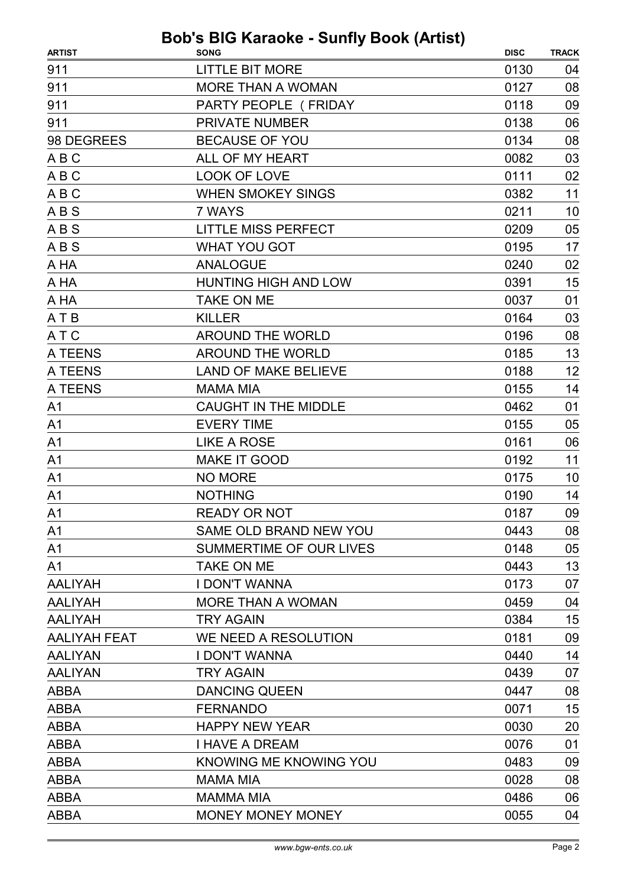| 911<br><b>LITTLE BIT MORE</b><br>0130<br>911<br><b>MORE THAN A WOMAN</b><br>0127 | 04<br>08 |
|----------------------------------------------------------------------------------|----------|
|                                                                                  |          |
|                                                                                  |          |
| 911<br>PARTY PEOPLE (FRIDAY<br>0118                                              | 09       |
| 911<br><b>PRIVATE NUMBER</b><br>0138                                             | 06       |
| 98 DEGREES<br><b>BECAUSE OF YOU</b><br>0134                                      | 08       |
| ALL OF MY HEART<br>ABC<br>0082                                                   | 03       |
| ABC<br>LOOK OF LOVE<br>0111                                                      | 02       |
| <b>WHEN SMOKEY SINGS</b><br>ABC<br>0382                                          | 11       |
| <b>ABS</b><br>7 WAYS<br>0211                                                     | 10       |
| ABS<br><b>LITTLE MISS PERFECT</b><br>0209                                        | 05       |
| <b>WHAT YOU GOT</b><br><b>ABS</b><br>0195                                        | 17       |
| <b>ANALOGUE</b><br>0240<br>A HA                                                  | 02       |
| <b>HUNTING HIGH AND LOW</b><br>A HA<br>0391                                      | 15       |
| A HA<br><b>TAKE ON ME</b><br>0037                                                | 01       |
| A T B<br><b>KILLER</b><br>0164                                                   | 03       |
| A T C<br><b>AROUND THE WORLD</b><br>0196                                         | 08       |
| A TEENS<br><b>AROUND THE WORLD</b><br>0185                                       | 13       |
| A TEENS<br><b>LAND OF MAKE BELIEVE</b><br>0188                                   | 12       |
| A TEENS<br><b>MAMA MIA</b><br>0155                                               | 14       |
| A <sub>1</sub><br><b>CAUGHT IN THE MIDDLE</b><br>0462                            | 01       |
| <b>EVERY TIME</b><br>0155<br>A <sub>1</sub>                                      | 05       |
| <b>LIKE A ROSE</b><br>0161<br>A <sub>1</sub>                                     | 06       |
| <b>MAKE IT GOOD</b><br>0192<br>A <sub>1</sub>                                    | 11       |
| <b>NO MORE</b><br>A <sub>1</sub><br>0175                                         | 10       |
| <b>NOTHING</b><br>A <sub>1</sub><br>0190                                         | 14       |
| 0187<br>A <sub>1</sub><br>READY OR NOT                                           | 09       |
| SAME OLD BRAND NEW YOU<br>0443<br>A1                                             | 08       |
| <b>SUMMERTIME OF OUR LIVES</b><br>0148<br>A <sub>1</sub>                         | 05       |
| A <sub>1</sub><br><b>TAKE ON ME</b><br>0443                                      | 13       |
| <b>AALIYAH</b><br><b>I DON'T WANNA</b><br>0173                                   | 07       |
| <b>MORE THAN A WOMAN</b><br><b>AALIYAH</b><br>0459                               | 04       |
| <b>AALIYAH</b><br>0384<br><b>TRY AGAIN</b>                                       | 15       |
| <b>AALIYAH FEAT</b><br>WE NEED A RESOLUTION<br>0181                              | 09       |
| <b>I DON'T WANNA</b><br>0440<br><b>AALIYAN</b>                                   | 14       |
| <b>AALIYAN</b><br><b>TRY AGAIN</b><br>0439                                       | 07       |
| <b>DANCING QUEEN</b><br><b>ABBA</b><br>0447                                      | 08       |
| <b>ABBA</b><br><b>FERNANDO</b><br>0071                                           | 15       |
| <b>HAPPY NEW YEAR</b><br><b>ABBA</b><br>0030                                     | 20       |
| <b>ABBA</b><br>0076<br><b>I HAVE A DREAM</b>                                     | 01       |
| <b>ABBA</b><br>KNOWING ME KNOWING YOU<br>0483                                    | 09       |
| <b>MAMA MIA</b><br>0028<br><b>ABBA</b>                                           | 08       |
| <b>MAMMA MIA</b><br><b>ABBA</b><br>0486                                          | 06       |
| <b>ABBA</b><br><b>MONEY MONEY MONEY</b><br>0055                                  | 04       |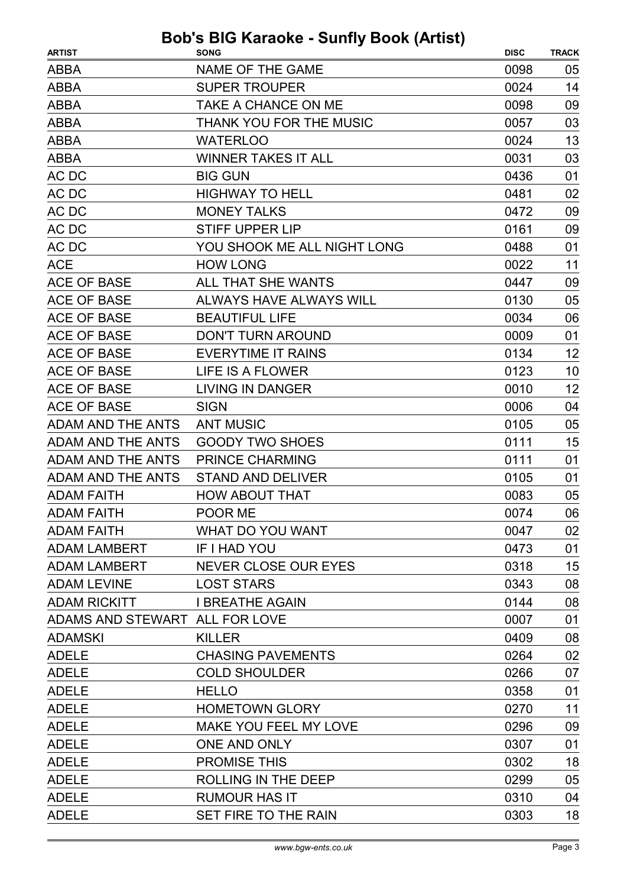| <b>ARTIST</b>                  | <b>SONG</b>                  | <b>DISC</b> | <b>TRACK</b> |
|--------------------------------|------------------------------|-------------|--------------|
| <b>ABBA</b>                    | NAME OF THE GAME             | 0098        | 05           |
| <b>ABBA</b>                    | <b>SUPER TROUPER</b>         | 0024        | 14           |
| <b>ABBA</b>                    | TAKE A CHANCE ON ME          | 0098        | 09           |
| <b>ABBA</b>                    | THANK YOU FOR THE MUSIC      | 0057        | 03           |
| <b>ABBA</b>                    | <b>WATERLOO</b>              | 0024        | 13           |
| <b>ABBA</b>                    | <b>WINNER TAKES IT ALL</b>   | 0031        | 03           |
| AC DC                          | <b>BIG GUN</b>               | 0436        | 01           |
| AC DC                          | <b>HIGHWAY TO HELL</b>       | 0481        | 02           |
| AC DC                          | <b>MONEY TALKS</b>           | 0472        | 09           |
| AC DC                          | <b>STIFF UPPER LIP</b>       | 0161        | 09           |
| AC DC                          | YOU SHOOK ME ALL NIGHT LONG  | 0488        | 01           |
| <b>ACE</b>                     | <b>HOW LONG</b>              | 0022        | 11           |
| <b>ACE OF BASE</b>             | ALL THAT SHE WANTS           | 0447        | 09           |
| <b>ACE OF BASE</b>             | ALWAYS HAVE ALWAYS WILL      | 0130        | 05           |
| <b>ACE OF BASE</b>             | <b>BEAUTIFUL LIFE</b>        | 0034        | 06           |
| <b>ACE OF BASE</b>             | <b>DON'T TURN AROUND</b>     | 0009        | 01           |
| ACE OF BASE                    | <b>EVERYTIME IT RAINS</b>    | 0134        | 12           |
| <b>ACE OF BASE</b>             | LIFE IS A FLOWER             | 0123        | 10           |
| <b>ACE OF BASE</b>             | <b>LIVING IN DANGER</b>      | 0010        | 12           |
| <b>ACE OF BASE</b>             | <b>SIGN</b>                  | 0006        | 04           |
| ADAM AND THE ANTS              | <b>ANT MUSIC</b>             | 0105        | 05           |
| <b>ADAM AND THE ANTS</b>       | <b>GOODY TWO SHOES</b>       | 0111        | 15           |
| <b>ADAM AND THE ANTS</b>       | <b>PRINCE CHARMING</b>       | 0111        | 01           |
| <b>ADAM AND THE ANTS</b>       | <b>STAND AND DELIVER</b>     | 0105        | 01           |
| <b>ADAM FAITH</b>              | <b>HOW ABOUT THAT</b>        | 0083        | 05           |
| <b>ADAM FAITH</b>              | POOR ME                      | 0074        | 06           |
| <b>ADAM FAITH</b>              | WHAT DO YOU WANT             | 0047        | 02           |
| <b>ADAM LAMBERT</b>            | <b>IF I HAD YOU</b>          | 0473        | 01           |
| <b>ADAM LAMBERT</b>            | NEVER CLOSE OUR EYES         | 0318        | 15           |
| <b>ADAM LEVINE</b>             | <b>LOST STARS</b>            | 0343        | 08           |
| <b>ADAM RICKITT</b>            | <b>I BREATHE AGAIN</b>       | 0144        | 08           |
| ADAMS AND STEWART ALL FOR LOVE |                              | 0007        | 01           |
| <b>ADAMSKI</b>                 | <b>KILLER</b>                | 0409        | 08           |
| <b>ADELE</b>                   | <b>CHASING PAVEMENTS</b>     | 0264        | 02           |
| <b>ADELE</b>                   | <b>COLD SHOULDER</b>         | 0266        | 07           |
| <b>ADELE</b>                   | <b>HELLO</b>                 | 0358        | 01           |
| <b>ADELE</b>                   | <b>HOMETOWN GLORY</b>        | 0270        | 11           |
| <b>ADELE</b>                   | <b>MAKE YOU FEEL MY LOVE</b> | 0296        | 09           |
| <b>ADELE</b>                   | <b>ONE AND ONLY</b>          | 0307        | 01           |
| <b>ADELE</b>                   | <b>PROMISE THIS</b>          | 0302        | 18           |
| <b>ADELE</b>                   | ROLLING IN THE DEEP          | 0299        | 05           |
| <b>ADELE</b>                   | <b>RUMOUR HAS IT</b>         | 0310        | 04           |
| <b>ADELE</b>                   | SET FIRE TO THE RAIN         | 0303        | 18           |
|                                |                              |             |              |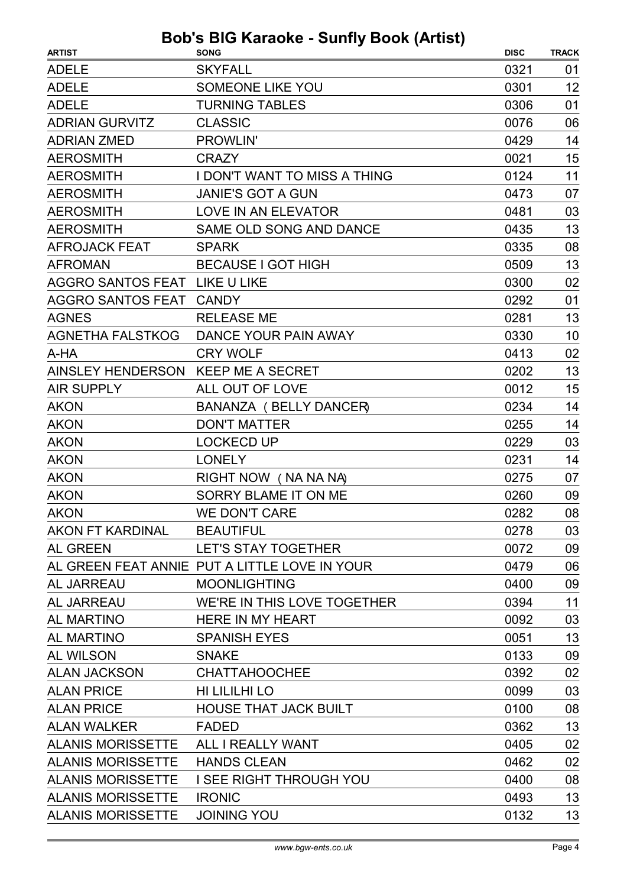| <b>ARTIST</b>                      | <b>SONG</b>                                   | <b>DISC</b> | <b>TRACK</b> |
|------------------------------------|-----------------------------------------------|-------------|--------------|
| <b>ADELE</b>                       | <b>SKYFALL</b>                                | 0321        | 01           |
| <b>ADELE</b>                       | <b>SOMEONE LIKE YOU</b>                       | 0301        | 12           |
| <b>ADELE</b>                       | <b>TURNING TABLES</b>                         | 0306        | 01           |
| <b>ADRIAN GURVITZ</b>              | <b>CLASSIC</b>                                | 0076        | 06           |
| <b>ADRIAN ZMED</b>                 | PROWLIN'                                      | 0429        | 14           |
| <b>AEROSMITH</b>                   | <b>CRAZY</b>                                  | 0021        | 15           |
| <b>AEROSMITH</b>                   | I DON'T WANT TO MISS A THING                  | 0124        | 11           |
| <b>AEROSMITH</b>                   | <b>JANIE'S GOT A GUN</b>                      | 0473        | 07           |
| <b>AEROSMITH</b>                   | LOVE IN AN ELEVATOR                           | 0481        | 03           |
| <b>AEROSMITH</b>                   | SAME OLD SONG AND DANCE                       | 0435        | 13           |
| <b>AFROJACK FEAT</b>               | <b>SPARK</b>                                  | 0335        | 08           |
| <b>AFROMAN</b>                     | <b>BECAUSE I GOT HIGH</b>                     | 0509        | 13           |
| AGGRO SANTOS FEAT LIKE U LIKE      |                                               | 0300        | 02           |
| AGGRO SANTOS FEAT CANDY            |                                               | 0292        | 01           |
| <b>AGNES</b>                       | <b>RELEASE ME</b>                             | 0281        | 13           |
| AGNETHA FALSTKOG                   | DANCE YOUR PAIN AWAY                          | 0330        | 10           |
| A-HA                               | <b>CRY WOLF</b>                               | 0413        | 02           |
| AINSLEY HENDERSON KEEP ME A SECRET |                                               | 0202        | 13           |
| <b>AIR SUPPLY</b>                  | ALL OUT OF LOVE                               | 0012        | 15           |
| <b>AKON</b>                        | <b>BANANZA (BELLY DANCER)</b>                 | 0234        | 14           |
| <b>AKON</b>                        | <b>DON'T MATTER</b>                           | 0255        | 14           |
| <b>AKON</b>                        | <b>LOCKECD UP</b>                             | 0229        | 03           |
| <b>AKON</b>                        | <b>LONELY</b>                                 | 0231        | 14           |
| <b>AKON</b>                        | RIGHT NOW (NA NA NA)                          | 0275        | 07           |
| <b>AKON</b>                        | SORRY BLAME IT ON ME                          | 0260        | 09           |
| <b>AKON</b>                        | <b>WE DON'T CARE</b>                          | 0282        | 08           |
| AKON FT KARDINAL                   | <b>BEAUTIFUL</b>                              | 0278        | 03           |
| <b>AL GREEN</b>                    | LET'S STAY TOGETHER                           | 0072        | 09           |
|                                    | AL GREEN FEAT ANNIE PUT A LITTLE LOVE IN YOUR | 0479        | 06           |
| <b>AL JARREAU</b>                  | <b>MOONLIGHTING</b>                           | 0400        | 09           |
| <b>AL JARREAU</b>                  | WE'RE IN THIS LOVE TOGETHER                   | 0394        | 11           |
| <b>AL MARTINO</b>                  | <b>HERE IN MY HEART</b>                       | 0092        | 03           |
| <b>AL MARTINO</b>                  | <b>SPANISH EYES</b>                           | 0051        | 13           |
| <b>AL WILSON</b>                   | <b>SNAKE</b>                                  | 0133        | 09           |
| <b>ALAN JACKSON</b>                | <b>CHATTAHOOCHEE</b>                          | 0392        | 02           |
| <b>ALAN PRICE</b>                  | HI LILILHI LO                                 | 0099        | 03           |
| <b>ALAN PRICE</b>                  | <b>HOUSE THAT JACK BUILT</b>                  | 0100        | 08           |
| <b>ALAN WALKER</b>                 | <b>FADED</b>                                  | 0362        | 13           |
| <b>ALANIS MORISSETTE</b>           | ALL I REALLY WANT                             | 0405        | 02           |
| <b>ALANIS MORISSETTE</b>           | <b>HANDS CLEAN</b>                            | 0462        | 02           |
| <b>ALANIS MORISSETTE</b>           | I SEE RIGHT THROUGH YOU                       | 0400        | 08           |
| <b>ALANIS MORISSETTE</b>           | <b>IRONIC</b>                                 | 0493        | 13           |
| <b>ALANIS MORISSETTE</b>           | <b>JOINING YOU</b>                            | 0132        | 13           |
|                                    |                                               |             |              |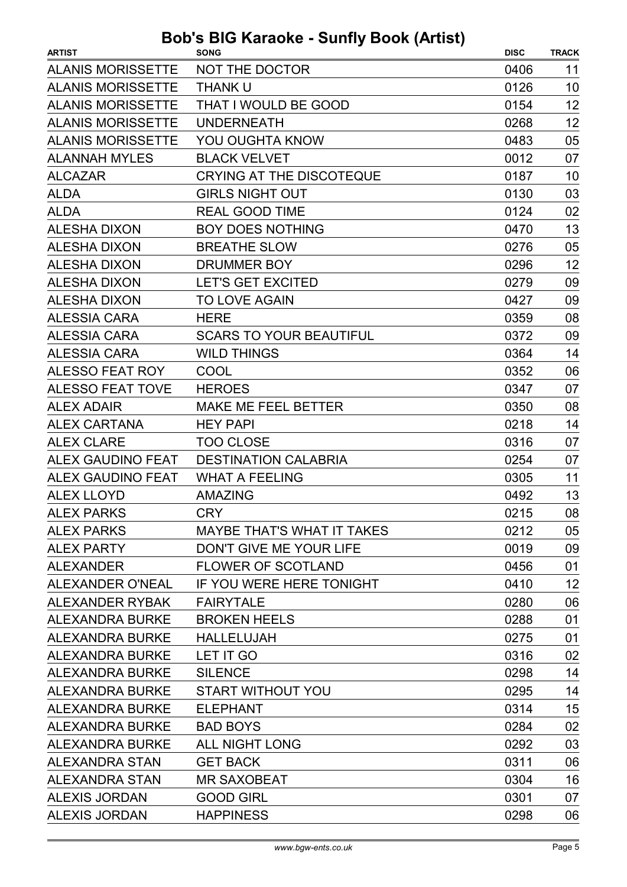| <b>ARTIST</b>            | <b>SONG</b>                       | <b>DISC</b> | <b>TRACK</b> |
|--------------------------|-----------------------------------|-------------|--------------|
| <b>ALANIS MORISSETTE</b> | NOT THE DOCTOR                    | 0406        | 11           |
| <b>ALANIS MORISSETTE</b> | <b>THANK U</b>                    | 0126        | 10           |
| <b>ALANIS MORISSETTE</b> | THAT I WOULD BE GOOD              | 0154        | 12           |
| <b>ALANIS MORISSETTE</b> | <b>UNDERNEATH</b>                 | 0268        | 12           |
| <b>ALANIS MORISSETTE</b> | <b>YOU OUGHTA KNOW</b>            | 0483        | 05           |
| <b>ALANNAH MYLES</b>     | <b>BLACK VELVET</b>               | 0012        | 07           |
| <b>ALCAZAR</b>           | <b>CRYING AT THE DISCOTEQUE</b>   | 0187        | 10           |
| <b>ALDA</b>              | <b>GIRLS NIGHT OUT</b>            | 0130        | 03           |
| <b>ALDA</b>              | <b>REAL GOOD TIME</b>             | 0124        | 02           |
| <b>ALESHA DIXON</b>      | <b>BOY DOES NOTHING</b>           | 0470        | 13           |
| <b>ALESHA DIXON</b>      | <b>BREATHE SLOW</b>               | 0276        | 05           |
| <b>ALESHA DIXON</b>      | DRUMMER BOY                       | 0296        | 12           |
| <b>ALESHA DIXON</b>      | <b>LET'S GET EXCITED</b>          | 0279        | 09           |
| <b>ALESHA DIXON</b>      | <b>TO LOVE AGAIN</b>              | 0427        | 09           |
| <b>ALESSIA CARA</b>      | <b>HERE</b>                       | 0359        | 08           |
| <b>ALESSIA CARA</b>      | <b>SCARS TO YOUR BEAUTIFUL</b>    | 0372        | 09           |
| <b>ALESSIA CARA</b>      | <b>WILD THINGS</b>                | 0364        | 14           |
| <b>ALESSO FEAT ROY</b>   | COOL                              | 0352        | 06           |
| <b>ALESSO FEAT TOVE</b>  | <b>HEROES</b>                     | 0347        | 07           |
| <b>ALEX ADAIR</b>        | <b>MAKE ME FEEL BETTER</b>        | 0350        | 08           |
| <b>ALEX CARTANA</b>      | <b>HEY PAPI</b>                   | 0218        | 14           |
| <b>ALEX CLARE</b>        | <b>TOO CLOSE</b>                  | 0316        | 07           |
| ALEX GAUDINO FEAT        | <b>DESTINATION CALABRIA</b>       | 0254        | 07           |
| <b>ALEX GAUDINO FEAT</b> | <b>WHAT A FEELING</b>             | 0305        | 11           |
| <b>ALEX LLOYD</b>        | <b>AMAZING</b>                    | 0492        | 13           |
| <b>ALEX PARKS</b>        | <b>CRY</b>                        | 0215        | 08           |
| <b>ALEX PARKS</b>        | <b>MAYBE THAT'S WHAT IT TAKES</b> | 0212        | 05           |
| <b>ALEX PARTY</b>        | DON'T GIVE ME YOUR LIFE           | 0019        | 09           |
| <b>ALEXANDER</b>         | <b>FLOWER OF SCOTLAND</b>         | 0456        | 01           |
| <b>ALEXANDER O'NEAL</b>  | IF YOU WERE HERE TONIGHT          | 0410        | 12           |
| ALEXANDER RYBAK          | <b>FAIRYTALE</b>                  | 0280        | 06           |
| <b>ALEXANDRA BURKE</b>   | <b>BROKEN HEELS</b>               | 0288        | 01           |
| ALEXANDRA BURKE          | <b>HALLELUJAH</b>                 | 0275        | 01           |
| <b>ALEXANDRA BURKE</b>   | LET IT GO                         | 0316        | 02           |
| <b>ALEXANDRA BURKE</b>   | <b>SILENCE</b>                    | 0298        | 14           |
| <b>ALEXANDRA BURKE</b>   | START WITHOUT YOU                 | 0295        | 14           |
| <b>ALEXANDRA BURKE</b>   | <b>ELEPHANT</b>                   | 0314        | 15           |
| <b>ALEXANDRA BURKE</b>   | <b>BAD BOYS</b>                   | 0284        | 02           |
| <b>ALEXANDRA BURKE</b>   | <b>ALL NIGHT LONG</b>             | 0292        | 03           |
| ALEXANDRA STAN           | <b>GET BACK</b>                   | 0311        | 06           |
| ALEXANDRA STAN           | <b>MR SAXOBEAT</b>                | 0304        | 16           |
| <b>ALEXIS JORDAN</b>     | <b>GOOD GIRL</b>                  | 0301        | 07           |
| <b>ALEXIS JORDAN</b>     | <b>HAPPINESS</b>                  | 0298        | 06           |
|                          |                                   |             |              |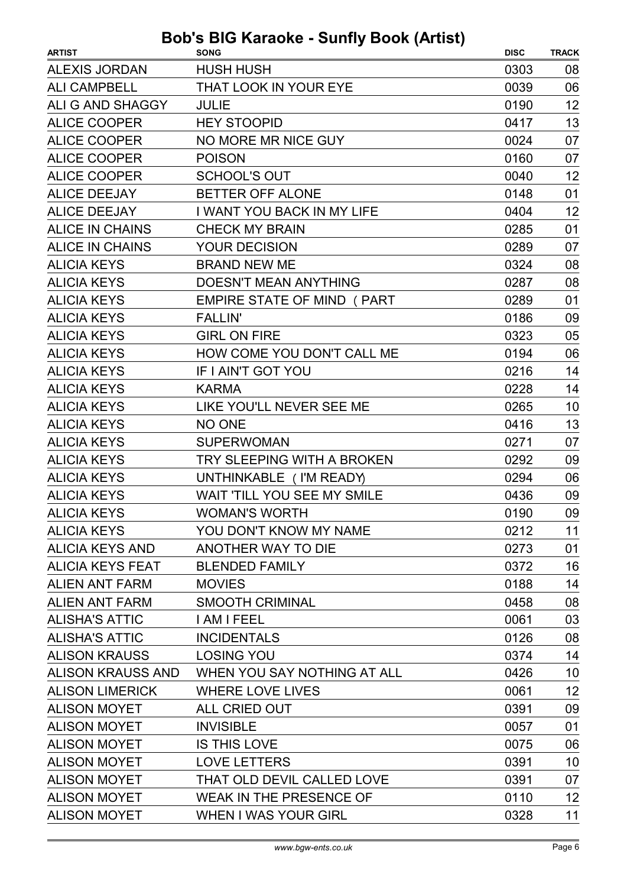| <b>ARTIST</b>            | <b>SONG</b>                       | <b>DISC</b> | <b>TRACK</b> |
|--------------------------|-----------------------------------|-------------|--------------|
| <b>ALEXIS JORDAN</b>     | <b>HUSH HUSH</b>                  | 0303        | 08           |
| <b>ALI CAMPBELL</b>      | THAT LOOK IN YOUR EYE             | 0039        | 06           |
| ALI G AND SHAGGY         | <b>JULIE</b>                      | 0190        | 12           |
| <b>ALICE COOPER</b>      | <b>HEY STOOPID</b>                | 0417        | 13           |
| <b>ALICE COOPER</b>      | NO MORE MR NICE GUY               | 0024        | 07           |
| <b>ALICE COOPER</b>      | <b>POISON</b>                     | 0160        | 07           |
| <b>ALICE COOPER</b>      | <b>SCHOOL'S OUT</b>               | 0040        | 12           |
| <b>ALICE DEEJAY</b>      | <b>BETTER OFF ALONE</b>           | 0148        | 01           |
| <b>ALICE DEEJAY</b>      | <b>I WANT YOU BACK IN MY LIFE</b> | 0404        | 12           |
| <b>ALICE IN CHAINS</b>   | <b>CHECK MY BRAIN</b>             | 0285        | 01           |
| <b>ALICE IN CHAINS</b>   | <b>YOUR DECISION</b>              | 0289        | 07           |
| <b>ALICIA KEYS</b>       | <b>BRAND NEW ME</b>               | 0324        | 08           |
| <b>ALICIA KEYS</b>       | <b>DOESN'T MEAN ANYTHING</b>      | 0287        | 08           |
| <b>ALICIA KEYS</b>       | <b>EMPIRE STATE OF MIND (PART</b> | 0289        | 01           |
| <b>ALICIA KEYS</b>       | <b>FALLIN'</b>                    | 0186        | 09           |
| <b>ALICIA KEYS</b>       | <b>GIRL ON FIRE</b>               | 0323        | 05           |
| <b>ALICIA KEYS</b>       | HOW COME YOU DON'T CALL ME        | 0194        | 06           |
| <b>ALICIA KEYS</b>       | IF I AIN'T GOT YOU                | 0216        | 14           |
| <b>ALICIA KEYS</b>       | <b>KARMA</b>                      | 0228        | 14           |
| <b>ALICIA KEYS</b>       | LIKE YOU'LL NEVER SEE ME          | 0265        | 10           |
| <b>ALICIA KEYS</b>       | <b>NO ONE</b>                     | 0416        | 13           |
| <b>ALICIA KEYS</b>       | <b>SUPERWOMAN</b>                 | 0271        | 07           |
| <b>ALICIA KEYS</b>       | TRY SLEEPING WITH A BROKEN        | 0292        | 09           |
| <b>ALICIA KEYS</b>       | UNTHINKABLE ( I'M READY)          | 0294        | 06           |
| <b>ALICIA KEYS</b>       | WAIT 'TILL YOU SEE MY SMILE       | 0436        | 09           |
| <b>ALICIA KEYS</b>       | <b>WOMAN'S WORTH</b>              | 0190        | 09           |
| <b>ALICIA KEYS</b>       | YOU DON'T KNOW MY NAME            | 0212        | 11           |
| <b>ALICIA KEYS AND</b>   | ANOTHER WAY TO DIE                | 0273        | 01           |
| <b>ALICIA KEYS FEAT</b>  | <b>BLENDED FAMILY</b>             | 0372        | 16           |
| <b>ALIEN ANT FARM</b>    | <b>MOVIES</b>                     | 0188        | 14           |
| <b>ALIEN ANT FARM</b>    | <b>SMOOTH CRIMINAL</b>            | 0458        | 08           |
| <b>ALISHA'S ATTIC</b>    | I AM I FEEL                       | 0061        | 03           |
| <b>ALISHA'S ATTIC</b>    | <b>INCIDENTALS</b>                | 0126        | 08           |
| <b>ALISON KRAUSS</b>     | <b>LOSING YOU</b>                 | 0374        | 14           |
| <b>ALISON KRAUSS AND</b> | WHEN YOU SAY NOTHING AT ALL       | 0426        | 10           |
| <b>ALISON LIMERICK</b>   | <b>WHERE LOVE LIVES</b>           | 0061        | 12           |
| <b>ALISON MOYET</b>      | ALL CRIED OUT                     | 0391        | 09           |
| <b>ALISON MOYET</b>      | <b>INVISIBLE</b>                  | 0057        | 01           |
| <b>ALISON MOYET</b>      | <b>IS THIS LOVE</b>               | 0075        | 06           |
| <b>ALISON MOYET</b>      | <b>LOVE LETTERS</b>               | 0391        | 10           |
| <b>ALISON MOYET</b>      | THAT OLD DEVIL CALLED LOVE        | 0391        | 07           |
| <b>ALISON MOYET</b>      | <b>WEAK IN THE PRESENCE OF</b>    | 0110        | 12           |
| <b>ALISON MOYET</b>      | <b>WHEN I WAS YOUR GIRL</b>       | 0328        | 11           |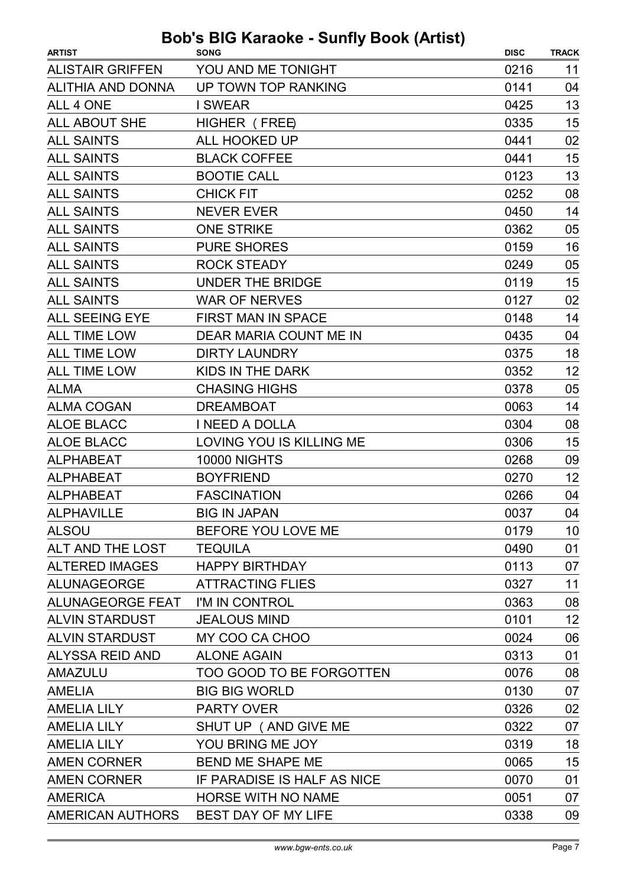| YOU AND ME TONIGHT<br><b>ALISTAIR GRIFFEN</b><br>0216<br>UP TOWN TOP RANKING<br><b>ALITHIA AND DONNA</b><br>0141<br>ALL 4 ONE<br>0425<br><b>I SWEAR</b> | 11<br>04<br>13 |
|---------------------------------------------------------------------------------------------------------------------------------------------------------|----------------|
|                                                                                                                                                         |                |
|                                                                                                                                                         |                |
|                                                                                                                                                         |                |
| <b>ALL ABOUT SHE</b><br>HIGHER (FREE)<br>0335                                                                                                           | 15             |
| <b>ALL SAINTS</b><br>ALL HOOKED UP<br>0441                                                                                                              | 02             |
| <b>BLACK COFFEE</b><br><b>ALL SAINTS</b><br>0441                                                                                                        | 15             |
| <b>ALL SAINTS</b><br><b>BOOTIE CALL</b><br>0123                                                                                                         | 13             |
| <b>ALL SAINTS</b><br><b>CHICK FIT</b><br>0252                                                                                                           | 08             |
| <b>ALL SAINTS</b><br><b>NEVER EVER</b><br>0450                                                                                                          | 14             |
| <b>ALL SAINTS</b><br><b>ONE STRIKE</b><br>0362                                                                                                          | 05             |
| <b>ALL SAINTS</b><br><b>PURE SHORES</b><br>0159                                                                                                         | 16             |
| <b>ALL SAINTS</b><br><b>ROCK STEADY</b><br>0249                                                                                                         | 05             |
| <b>ALL SAINTS</b><br><b>UNDER THE BRIDGE</b><br>0119                                                                                                    | 15             |
| <b>ALL SAINTS</b><br><b>WAR OF NERVES</b><br>0127                                                                                                       | 02             |
| <b>ALL SEEING EYE</b><br><b>FIRST MAN IN SPACE</b><br>0148                                                                                              | 14             |
| <b>ALL TIME LOW</b><br>DEAR MARIA COUNT ME IN<br>0435                                                                                                   | 04             |
| <b>ALL TIME LOW</b><br><b>DIRTY LAUNDRY</b><br>0375                                                                                                     | 18             |
| <b>ALL TIME LOW</b><br>KIDS IN THE DARK<br>0352                                                                                                         | 12             |
| <b>ALMA</b><br><b>CHASING HIGHS</b><br>0378                                                                                                             | 05             |
| <b>ALMA COGAN</b><br><b>DREAMBOAT</b><br>0063                                                                                                           | 14             |
| <b>ALOE BLACC</b><br>I NEED A DOLLA<br>0304                                                                                                             | 08             |
| <b>ALOE BLACC</b><br>LOVING YOU IS KILLING ME<br>0306                                                                                                   | 15             |
| <b>10000 NIGHTS</b><br>0268<br><b>ALPHABEAT</b>                                                                                                         | 09             |
| <b>ALPHABEAT</b><br><b>BOYFRIEND</b><br>0270                                                                                                            | 12             |
| <b>ALPHABEAT</b><br><b>FASCINATION</b><br>0266                                                                                                          | 04             |
| 0037<br><b>ALPHAVILLE</b><br><b>BIG IN JAPAN</b>                                                                                                        | 04             |
| BEFORE YOU LOVE ME<br><b>ALSOU</b><br>0179                                                                                                              | 10             |
| ALT AND THE LOST<br>0490<br><b>TEQUILA</b>                                                                                                              | 01             |
| <b>ALTERED IMAGES</b><br><b>HAPPY BIRTHDAY</b><br>0113                                                                                                  | 07             |
| ALUNAGEORGE<br><b>ATTRACTING FLIES</b><br>0327                                                                                                          | 11             |
| ALUNAGEORGE FEAT I'M IN CONTROL<br>0363                                                                                                                 | 08             |
| <b>ALVIN STARDUST</b><br><b>JEALOUS MIND</b><br>0101                                                                                                    | 12             |
| <b>ALVIN STARDUST</b><br>MY COO CA CHOO<br>0024                                                                                                         | 06             |
| ALYSSA REID AND<br><b>ALONE AGAIN</b><br>0313                                                                                                           | 01             |
| AMAZULU<br>TOO GOOD TO BE FORGOTTEN<br>0076                                                                                                             | 08             |
| <b>BIG BIG WORLD</b><br>0130<br><b>AMELIA</b>                                                                                                           | 07             |
| <b>AMELIA LILY</b><br><b>PARTY OVER</b><br>0326                                                                                                         | 02             |
| <b>AMELIA LILY</b><br>SHUT UP (AND GIVE ME)<br>0322                                                                                                     | 07             |
| YOU BRING ME JOY<br>0319<br><b>AMELIA LILY</b>                                                                                                          | 18             |
| <b>AMEN CORNER</b><br><b>BEND ME SHAPE ME</b><br>0065                                                                                                   | 15             |
| <b>AMEN CORNER</b><br>0070<br>IF PARADISE IS HALF AS NICE                                                                                               | 01             |
| <b>HORSE WITH NO NAME</b><br><b>AMERICA</b><br>0051                                                                                                     | 07             |
| AMERICAN AUTHORS<br>BEST DAY OF MY LIFE<br>0338                                                                                                         | 09             |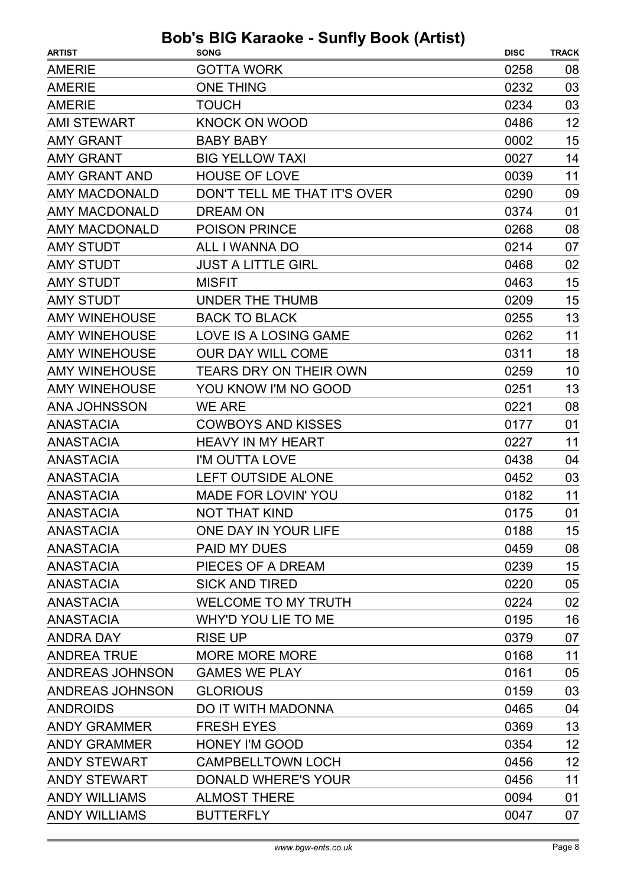| <b>ARTIST</b>        | $\sim$ Karaoko Samiy Book (Autot)<br><b>SONG</b> | <b>DISC</b> | <b>TRACK</b> |
|----------------------|--------------------------------------------------|-------------|--------------|
| <b>AMERIE</b>        | <b>GOTTA WORK</b>                                | 0258        | 08           |
| <b>AMERIE</b>        | <b>ONE THING</b>                                 | 0232        | 03           |
| <b>AMERIE</b>        | <b>TOUCH</b>                                     | 0234        | 03           |
| <b>AMI STEWART</b>   | <b>KNOCK ON WOOD</b>                             | 0486        | 12           |
| <b>AMY GRANT</b>     | <b>BABY BABY</b>                                 | 0002        | 15           |
| <b>AMY GRANT</b>     | <b>BIG YELLOW TAXI</b>                           | 0027        | 14           |
| <b>AMY GRANT AND</b> | <b>HOUSE OF LOVE</b>                             | 0039        | 11           |
| <b>AMY MACDONALD</b> | DON'T TELL ME THAT IT'S OVER                     | 0290        | 09           |
| <b>AMY MACDONALD</b> | <b>DREAM ON</b>                                  | 0374        | 01           |
| <b>AMY MACDONALD</b> | <b>POISON PRINCE</b>                             | 0268        | 08           |
| <b>AMY STUDT</b>     | ALL I WANNA DO                                   | 0214        | 07           |
| <b>AMY STUDT</b>     | <b>JUST A LITTLE GIRL</b>                        | 0468        | 02           |
| <b>AMY STUDT</b>     | <b>MISFIT</b>                                    | 0463        | 15           |
| <b>AMY STUDT</b>     | UNDER THE THUMB                                  | 0209        | 15           |
| <b>AMY WINEHOUSE</b> | <b>BACK TO BLACK</b>                             | 0255        | 13           |
| <b>AMY WINEHOUSE</b> | <b>LOVE IS A LOSING GAME</b>                     | 0262        | 11           |
| <b>AMY WINEHOUSE</b> | <b>OUR DAY WILL COME</b>                         | 0311        | 18           |
| <b>AMY WINEHOUSE</b> | <b>TEARS DRY ON THEIR OWN</b>                    | 0259        | 10           |
| <b>AMY WINEHOUSE</b> | YOU KNOW I'M NO GOOD                             | 0251        | 13           |
| <b>ANA JOHNSSON</b>  | <b>WE ARE</b>                                    | 0221        | 08           |
| <b>ANASTACIA</b>     | <b>COWBOYS AND KISSES</b>                        | 0177        | 01           |
| <b>ANASTACIA</b>     | <b>HEAVY IN MY HEART</b>                         | 0227        | 11           |
| <b>ANASTACIA</b>     | I'M OUTTA LOVE                                   | 0438        | 04           |
| <b>ANASTACIA</b>     | <b>LEFT OUTSIDE ALONE</b>                        | 0452        | 03           |
| <b>ANASTACIA</b>     | <b>MADE FOR LOVIN' YOU</b>                       | 0182        | 11           |
| <b>ANASTACIA</b>     | <b>NOT THAT KIND</b>                             | 0175        | 01           |
| <b>ANASTACIA</b>     | ONE DAY IN YOUR LIFE                             | 0188        | 15           |
| ANASTACIA            | <b>PAID MY DUES</b>                              | 0459        | 08           |
| <b>ANASTACIA</b>     | PIECES OF A DREAM                                | 0239        | 15           |
| <b>ANASTACIA</b>     | <b>SICK AND TIRED</b>                            | 0220        | 05           |
| <b>ANASTACIA</b>     | <b>WELCOME TO MY TRUTH</b>                       | 0224        | 02           |
| <b>ANASTACIA</b>     | WHY'D YOU LIE TO ME                              | 0195        | 16           |
| <b>ANDRA DAY</b>     | <b>RISE UP</b>                                   | 0379        | 07           |
| <b>ANDREA TRUE</b>   | <b>MORE MORE MORE</b>                            | 0168        | 11           |
| ANDREAS JOHNSON      | <b>GAMES WE PLAY</b>                             | 0161        | 05           |
| ANDREAS JOHNSON      | <b>GLORIOUS</b>                                  | 0159        | 03           |
| <b>ANDROIDS</b>      | DO IT WITH MADONNA                               | 0465        | 04           |
| <b>ANDY GRAMMER</b>  | <b>FRESH EYES</b>                                | 0369        | 13           |
| <b>ANDY GRAMMER</b>  | <b>HONEY I'M GOOD</b>                            | 0354        | 12           |
| <b>ANDY STEWART</b>  | <b>CAMPBELLTOWN LOCH</b>                         | 0456        | 12           |
| <b>ANDY STEWART</b>  | <b>DONALD WHERE'S YOUR</b>                       | 0456        | 11           |
| <b>ANDY WILLIAMS</b> | <b>ALMOST THERE</b>                              | 0094        | 01           |
| <b>ANDY WILLIAMS</b> | <b>BUTTERFLY</b>                                 | 0047        | 07           |
|                      |                                                  |             |              |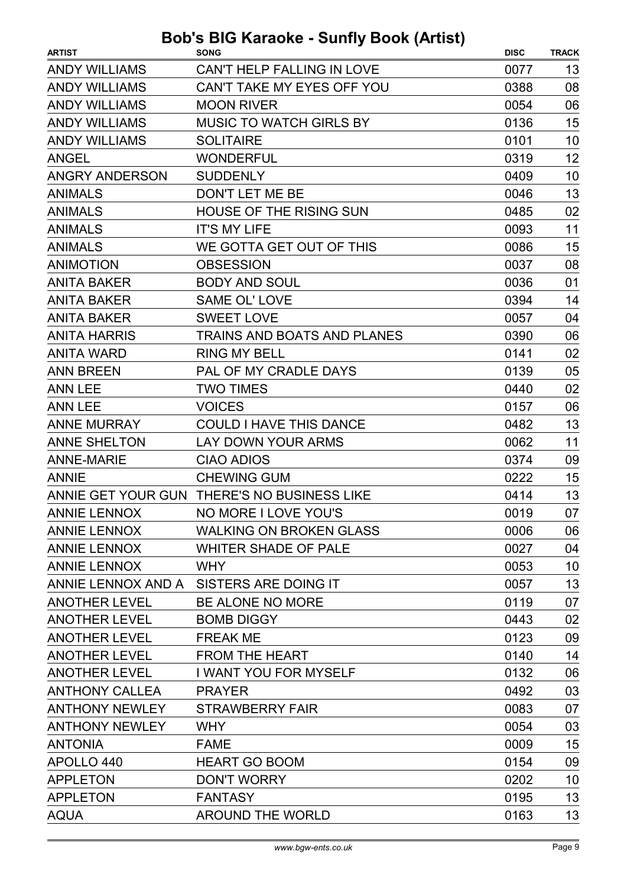| <b>ARTIST</b>         | <b>SONG</b>                                 | <b>DISC</b> | <b>TRACK</b> |
|-----------------------|---------------------------------------------|-------------|--------------|
| <b>ANDY WILLIAMS</b>  | CAN'T HELP FALLING IN LOVE                  | 0077        | 13           |
| <b>ANDY WILLIAMS</b>  | CAN'T TAKE MY EYES OFF YOU                  | 0388        | 08           |
| <b>ANDY WILLIAMS</b>  | <b>MOON RIVER</b>                           | 0054        | 06           |
| <b>ANDY WILLIAMS</b>  | <b>MUSIC TO WATCH GIRLS BY</b>              | 0136        | 15           |
| <b>ANDY WILLIAMS</b>  | <b>SOLITAIRE</b>                            | 0101        | 10           |
| <b>ANGEL</b>          | <b>WONDERFUL</b>                            | 0319        | 12           |
| <b>ANGRY ANDERSON</b> | <b>SUDDENLY</b>                             | 0409        | 10           |
| <b>ANIMALS</b>        | DON'T LET ME BE                             | 0046        | 13           |
| <b>ANIMALS</b>        | <b>HOUSE OF THE RISING SUN</b>              | 0485        | 02           |
| <b>ANIMALS</b>        | <b>IT'S MY LIFE</b>                         | 0093        | 11           |
| <b>ANIMALS</b>        | WE GOTTA GET OUT OF THIS                    | 0086        | 15           |
| <b>ANIMOTION</b>      | <b>OBSESSION</b>                            | 0037        | 08           |
| <b>ANITA BAKER</b>    | <b>BODY AND SOUL</b>                        | 0036        | 01           |
| <b>ANITA BAKER</b>    | <b>SAME OL' LOVE</b>                        | 0394        | 14           |
| <b>ANITA BAKER</b>    | <b>SWEET LOVE</b>                           | 0057        | 04           |
| <b>ANITA HARRIS</b>   | TRAINS AND BOATS AND PLANES                 | 0390        | 06           |
| <b>ANITA WARD</b>     | <b>RING MY BELL</b>                         | 0141        | 02           |
| <b>ANN BREEN</b>      | PAL OF MY CRADLE DAYS                       | 0139        | 05           |
| <b>ANN LEE</b>        | <b>TWO TIMES</b>                            | 0440        | 02           |
| <b>ANN LEE</b>        | <b>VOICES</b>                               | 0157        | 06           |
| <b>ANNE MURRAY</b>    | <b>COULD I HAVE THIS DANCE</b>              | 0482        | 13           |
| <b>ANNE SHELTON</b>   | LAY DOWN YOUR ARMS                          | 0062        | 11           |
| <b>ANNE-MARIE</b>     | <b>CIAO ADIOS</b>                           | 0374        | 09           |
| <b>ANNIE</b>          | <b>CHEWING GUM</b>                          | 0222        | 15           |
|                       | ANNIE GET YOUR GUN THERE'S NO BUSINESS LIKE | 0414        | 13           |
| ANNIE LENNOX          | NO MORE I LOVE YOU'S                        | 0019        | 07           |
| <b>ANNIE LENNOX</b>   | <b>WALKING ON BROKEN GLASS</b>              | 0006        | 06           |
| <b>ANNIE LENNOX</b>   | <b>WHITER SHADE OF PALE</b>                 | 0027        | 04           |
| <b>ANNIE LENNOX</b>   | <b>WHY</b>                                  | 0053        | 10           |
|                       | ANNIE LENNOX AND A SISTERS ARE DOING IT     | 0057        | 13           |
| <b>ANOTHER LEVEL</b>  | BE ALONE NO MORE                            | 0119        | 07           |
| <b>ANOTHER LEVEL</b>  | <b>BOMB DIGGY</b>                           | 0443        | 02           |
| <b>ANOTHER LEVEL</b>  | <b>FREAK ME</b>                             | 0123        | 09           |
| <b>ANOTHER LEVEL</b>  | <b>FROM THE HEART</b>                       | 0140        | 14           |
| <b>ANOTHER LEVEL</b>  | <b>I WANT YOU FOR MYSELF</b>                | 0132        | 06           |
| <b>ANTHONY CALLEA</b> | <b>PRAYER</b>                               | 0492        | 03           |
| <b>ANTHONY NEWLEY</b> | <b>STRAWBERRY FAIR</b>                      | 0083        | 07           |
| <b>ANTHONY NEWLEY</b> | <b>WHY</b>                                  | 0054        | 03           |
| <b>ANTONIA</b>        | <b>FAME</b>                                 | 0009        | 15           |
| APOLLO 440            | <b>HEART GO BOOM</b>                        | 0154        | 09           |
| <b>APPLETON</b>       | <b>DON'T WORRY</b>                          | 0202        | 10           |
| <b>APPLETON</b>       | <b>FANTASY</b>                              | 0195        | 13           |
| <b>AQUA</b>           | <b>AROUND THE WORLD</b>                     | 0163        | 13           |
|                       |                                             |             |              |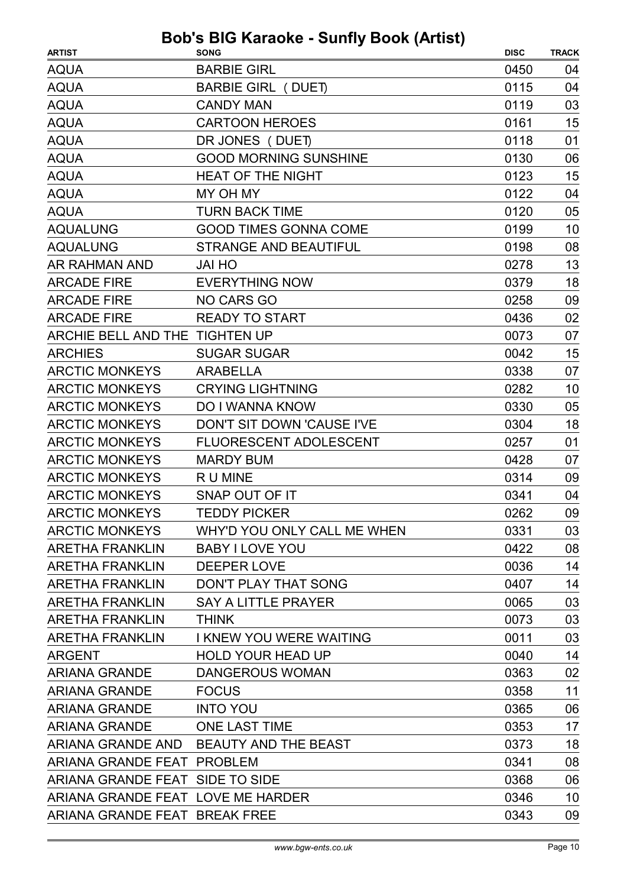| <b>ARTIST</b>                     | <b>SONG</b>                            | <b>DISC</b> | <b>TRACK</b> |
|-----------------------------------|----------------------------------------|-------------|--------------|
| <b>AQUA</b>                       | <b>BARBIE GIRL</b>                     | 0450        | 04           |
| <b>AQUA</b>                       | <b>BARBIE GIRL (DUET)</b>              | 0115        | 04           |
| <b>AQUA</b>                       | <b>CANDY MAN</b>                       | 0119        | 03           |
| <b>AQUA</b>                       | <b>CARTOON HEROES</b>                  | 0161        | 15           |
| <b>AQUA</b>                       | DR JONES (DUET)                        | 0118        | 01           |
| <b>AQUA</b>                       | <b>GOOD MORNING SUNSHINE</b>           | 0130        | 06           |
| <b>AQUA</b>                       | <b>HEAT OF THE NIGHT</b>               | 0123        | 15           |
| <b>AQUA</b>                       | MY OH MY                               | 0122        | 04           |
| <b>AQUA</b>                       | <b>TURN BACK TIME</b>                  | 0120        | 05           |
| <b>AQUALUNG</b>                   | <b>GOOD TIMES GONNA COME</b>           | 0199        | 10           |
| <b>AQUALUNG</b>                   | <b>STRANGE AND BEAUTIFUL</b>           | 0198        | 08           |
| AR RAHMAN AND                     | <b>JAI HO</b>                          | 0278        | 13           |
| <b>ARCADE FIRE</b>                | <b>EVERYTHING NOW</b>                  | 0379        | 18           |
| <b>ARCADE FIRE</b>                | <b>NO CARS GO</b>                      | 0258        | 09           |
| <b>ARCADE FIRE</b>                | <b>READY TO START</b>                  | 0436        | 02           |
| ARCHIE BELL AND THE TIGHTEN UP    |                                        | 0073        | 07           |
| <b>ARCHIES</b>                    | <b>SUGAR SUGAR</b>                     | 0042        | 15           |
| <b>ARCTIC MONKEYS</b>             | <b>ARABELLA</b>                        | 0338        | 07           |
| <b>ARCTIC MONKEYS</b>             | <b>CRYING LIGHTNING</b>                | 0282        | 10           |
| <b>ARCTIC MONKEYS</b>             | <b>DO I WANNA KNOW</b>                 | 0330        | 05           |
| <b>ARCTIC MONKEYS</b>             | DON'T SIT DOWN 'CAUSE I'VE             | 0304        | 18           |
| <b>ARCTIC MONKEYS</b>             | FLUORESCENT ADOLESCENT                 | 0257        | 01           |
| <b>ARCTIC MONKEYS</b>             | <b>MARDY BUM</b>                       | 0428        | 07           |
| <b>ARCTIC MONKEYS</b>             | R U MINE                               | 0314        | 09           |
| <b>ARCTIC MONKEYS</b>             | SNAP OUT OF IT                         | 0341        | 04           |
| <b>ARCTIC MONKEYS</b>             | <b>TEDDY PICKER</b>                    | 0262        | 09           |
| <b>ARCTIC MONKEYS</b>             | WHY'D YOU ONLY CALL ME WHEN            | 0331        | 03           |
| <b>ARETHA FRANKLIN</b>            | <b>BABY I LOVE YOU</b>                 | 0422        | 08           |
| <b>ARETHA FRANKLIN</b>            | <b>DEEPER LOVE</b>                     | 0036        | 14           |
| <b>ARETHA FRANKLIN</b>            | <b>DON'T PLAY THAT SONG</b>            | 0407        | 14           |
| <b>ARETHA FRANKLIN</b>            | <b>SAY A LITTLE PRAYER</b>             | 0065        | 03           |
| <b>ARETHA FRANKLIN</b>            | <b>THINK</b>                           | 0073        | 03           |
| <b>ARETHA FRANKLIN</b>            | <b>I KNEW YOU WERE WAITING</b>         | 0011        | 03           |
| <b>ARGENT</b>                     | <b>HOLD YOUR HEAD UP</b>               | 0040        | 14           |
| <b>ARIANA GRANDE</b>              | <b>DANGEROUS WOMAN</b>                 | 0363        | 02           |
| <b>ARIANA GRANDE</b>              | <b>FOCUS</b>                           | 0358        | 11           |
| <b>ARIANA GRANDE</b>              | <b>INTO YOU</b>                        | 0365        | 06           |
| <b>ARIANA GRANDE</b>              | <b>ONE LAST TIME</b>                   | 0353        | 17           |
|                                   | ARIANA GRANDE AND BEAUTY AND THE BEAST | 0373        | 18           |
| ARIANA GRANDE FEAT PROBLEM        |                                        | 0341        | 08           |
| ARIANA GRANDE FEAT SIDE TO SIDE   |                                        | 0368        | 06           |
| ARIANA GRANDE FEAT LOVE ME HARDER |                                        | 0346        | 10           |
| ARIANA GRANDE FEAT BREAK FREE     |                                        | 0343        | 09           |
|                                   |                                        |             |              |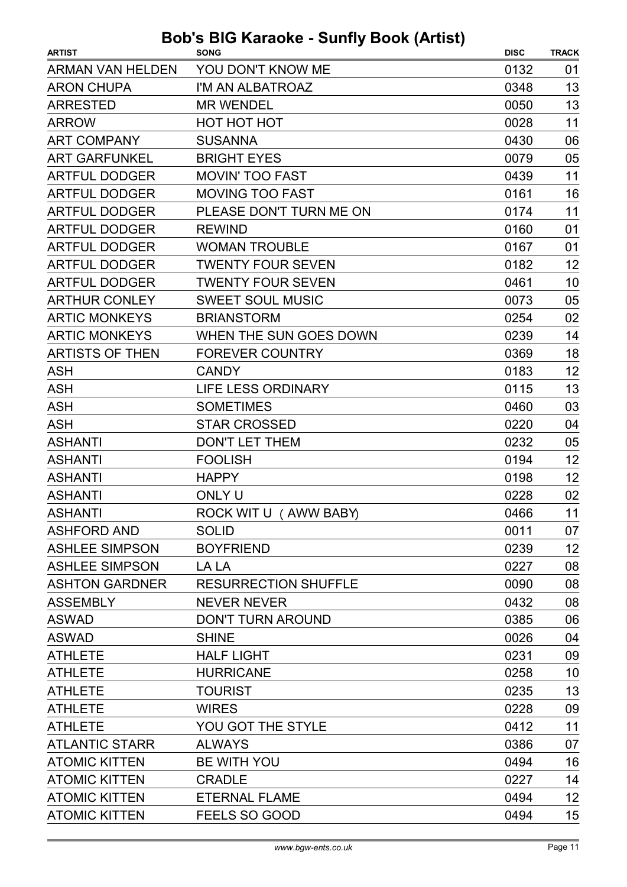| <b>ARTIST</b>           | $\sim$ Karaono carni poon panol<br><b>SONG</b> | <b>DISC</b> | <b>TRACK</b> |
|-------------------------|------------------------------------------------|-------------|--------------|
| <b>ARMAN VAN HELDEN</b> | YOU DON'T KNOW ME                              | 0132        | 01           |
| <b>ARON CHUPA</b>       | I'M AN ALBATROAZ                               | 0348        | 13           |
| <b>ARRESTED</b>         | <b>MR WENDEL</b>                               | 0050        | 13           |
| <b>ARROW</b>            | <b>HOT HOT HOT</b>                             | 0028        | 11           |
| <b>ART COMPANY</b>      | <b>SUSANNA</b>                                 | 0430        | 06           |
| <b>ART GARFUNKEL</b>    | <b>BRIGHT EYES</b>                             | 0079        | 05           |
| <b>ARTFUL DODGER</b>    | <b>MOVIN' TOO FAST</b>                         | 0439        | 11           |
| <b>ARTFUL DODGER</b>    | <b>MOVING TOO FAST</b>                         | 0161        | 16           |
| <b>ARTFUL DODGER</b>    | PLEASE DON'T TURN ME ON                        | 0174        | 11           |
| <b>ARTFUL DODGER</b>    | <b>REWIND</b>                                  | 0160        | 01           |
| <b>ARTFUL DODGER</b>    | <b>WOMAN TROUBLE</b>                           | 0167        | 01           |
| <b>ARTFUL DODGER</b>    | <b>TWENTY FOUR SEVEN</b>                       | 0182        | 12           |
| <b>ARTFUL DODGER</b>    | <b>TWENTY FOUR SEVEN</b>                       | 0461        | 10           |
| <b>ARTHUR CONLEY</b>    | <b>SWEET SOUL MUSIC</b>                        | 0073        | 05           |
| <b>ARTIC MONKEYS</b>    | <b>BRIANSTORM</b>                              | 0254        | 02           |
| <b>ARTIC MONKEYS</b>    | WHEN THE SUN GOES DOWN                         | 0239        | 14           |
| <b>ARTISTS OF THEN</b>  | <b>FOREVER COUNTRY</b>                         | 0369        | 18           |
| <b>ASH</b>              | <b>CANDY</b>                                   | 0183        | 12           |
| <b>ASH</b>              | <b>LIFE LESS ORDINARY</b>                      | 0115        | 13           |
| <b>ASH</b>              | <b>SOMETIMES</b>                               | 0460        | 03           |
| <b>ASH</b>              | <b>STAR CROSSED</b>                            | 0220        | 04           |
| <b>ASHANTI</b>          | <b>DON'T LET THEM</b>                          | 0232        | 05           |
| <b>ASHANTI</b>          | <b>FOOLISH</b>                                 | 0194        | 12           |
| <b>ASHANTI</b>          | <b>HAPPY</b>                                   | 0198        | 12           |
| <b>ASHANTI</b>          | <b>ONLY U</b>                                  | 0228        | 02           |
| <b>ASHANTI</b>          | ROCK WIT U (AWW BABY)                          | 0466        | 11           |
| <b>ASHFORD AND</b>      | <b>SOLID</b>                                   | 0011        | 07           |
| <b>ASHLEE SIMPSON</b>   | <b>BOYFRIEND</b>                               | 0239        | 12           |
| <b>ASHLEE SIMPSON</b>   | LA LA                                          | 0227        | 08           |
| <b>ASHTON GARDNER</b>   | <b>RESURRECTION SHUFFLE</b>                    | 0090        | 08           |
| <b>ASSEMBLY</b>         | <b>NEVER NEVER</b>                             | 0432        | 08           |
| <b>ASWAD</b>            | <b>DON'T TURN AROUND</b>                       | 0385        | 06           |
| <b>ASWAD</b>            | <b>SHINE</b>                                   | 0026        | 04           |
| <b>ATHLETE</b>          | <b>HALF LIGHT</b>                              | 0231        | 09           |
| <b>ATHLETE</b>          | <b>HURRICANE</b>                               | 0258        | 10           |
| <b>ATHLETE</b>          | <b>TOURIST</b>                                 | 0235        | 13           |
| <b>ATHLETE</b>          | <b>WIRES</b>                                   | 0228        | 09           |
| <b>ATHLETE</b>          | YOU GOT THE STYLE                              | 0412        | 11           |
| <b>ATLANTIC STARR</b>   | <b>ALWAYS</b>                                  | 0386        | 07           |
| <b>ATOMIC KITTEN</b>    | <b>BE WITH YOU</b>                             | 0494        | 16           |
| <b>ATOMIC KITTEN</b>    | <b>CRADLE</b>                                  | 0227        | 14           |
| <b>ATOMIC KITTEN</b>    | <b>ETERNAL FLAME</b>                           | 0494        | 12           |
| <b>ATOMIC KITTEN</b>    | FEELS SO GOOD                                  | 0494        | 15           |
|                         |                                                |             |              |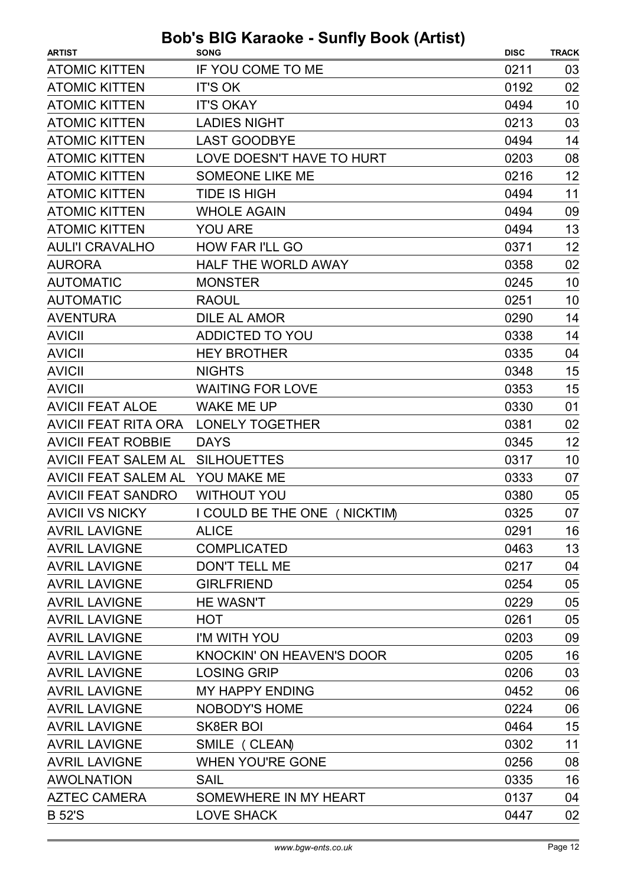| <b>ARTIST</b>               | <b>SONG</b>                      | <b>DISC</b> | <b>TRACK</b> |
|-----------------------------|----------------------------------|-------------|--------------|
| <b>ATOMIC KITTEN</b>        | IF YOU COME TO ME                | 0211        | 03           |
| <b>ATOMIC KITTEN</b>        | <b>IT'S OK</b>                   | 0192        | 02           |
| <b>ATOMIC KITTEN</b>        | <b>IT'S OKAY</b>                 | 0494        | 10           |
| <b>ATOMIC KITTEN</b>        |                                  | 0213        | 03           |
|                             | <b>LADIES NIGHT</b>              |             |              |
| <b>ATOMIC KITTEN</b>        | <b>LAST GOODBYE</b>              | 0494        | 14           |
| <b>ATOMIC KITTEN</b>        | LOVE DOESN'T HAVE TO HURT        | 0203        | 08           |
| <b>ATOMIC KITTEN</b>        | <b>SOMEONE LIKE ME</b>           | 0216        | 12           |
| <b>ATOMIC KITTEN</b>        | <b>TIDE IS HIGH</b>              | 0494        | 11           |
| <b>ATOMIC KITTEN</b>        | <b>WHOLE AGAIN</b>               | 0494        | 09           |
| <b>ATOMIC KITTEN</b>        | <b>YOU ARE</b>                   | 0494        | 13           |
| <b>AULI'I CRAVALHO</b>      | <b>HOW FAR I'LL GO</b>           | 0371        | 12           |
| <b>AURORA</b>               | <b>HALF THE WORLD AWAY</b>       | 0358        | 02           |
| <b>AUTOMATIC</b>            | <b>MONSTER</b>                   | 0245        | 10           |
| <b>AUTOMATIC</b>            | <b>RAOUL</b>                     | 0251        | 10           |
| <b>AVENTURA</b>             | <b>DILE AL AMOR</b>              | 0290        | 14           |
| <b>AVICII</b>               | ADDICTED TO YOU                  | 0338        | 14           |
| <b>AVICII</b>               | <b>HEY BROTHER</b>               | 0335        | 04           |
| <b>AVICII</b>               | <b>NIGHTS</b>                    | 0348        | 15           |
| <b>AVICII</b>               | <b>WAITING FOR LOVE</b>          | 0353        | 15           |
| <b>AVICII FEAT ALOE</b>     | <b>WAKE ME UP</b>                | 0330        | 01           |
| AVICII FEAT RITA ORA        | <b>LONELY TOGETHER</b>           | 0381        | 02           |
| <b>AVICII FEAT ROBBIE</b>   | <b>DAYS</b>                      | 0345        | 12           |
| <b>AVICII FEAT SALEM AL</b> | <b>SILHOUETTES</b>               | 0317        | 10           |
| <b>AVICII FEAT SALEM AL</b> | YOU MAKE ME                      | 0333        | 07           |
| <b>AVICII FEAT SANDRO</b>   | <b>WITHOUT YOU</b>               | 0380        | 05           |
| <b>AVICII VS NICKY</b>      | I COULD BE THE ONE ( NICKTIM)    | 0325        | 07           |
| <b>AVRIL LAVIGNE</b>        | <b>ALICE</b>                     | 0291        | 16           |
| <b>AVRIL LAVIGNE</b>        | <b>COMPLICATED</b>               | 0463        | 13           |
| <b>AVRIL LAVIGNE</b>        | <b>DON'T TELL ME</b>             | 0217        | 04           |
| <b>AVRIL LAVIGNE</b>        | <b>GIRLFRIEND</b>                | 0254        | 05           |
| <b>AVRIL LAVIGNE</b>        | <b>HE WASN'T</b>                 | 0229        | 05           |
| <b>AVRIL LAVIGNE</b>        | <b>HOT</b>                       | 0261        | 05           |
| <b>AVRIL LAVIGNE</b>        | I'M WITH YOU                     | 0203        | 09           |
| <b>AVRIL LAVIGNE</b>        | <b>KNOCKIN' ON HEAVEN'S DOOR</b> | 0205        | 16           |
| <b>AVRIL LAVIGNE</b>        | <b>LOSING GRIP</b>               | 0206        | 03           |
| <b>AVRIL LAVIGNE</b>        | <b>MY HAPPY ENDING</b>           | 0452        | 06           |
| <b>AVRIL LAVIGNE</b>        | NOBODY'S HOME                    | 0224        | 06           |
| <b>AVRIL LAVIGNE</b>        | <b>SK8ER BOI</b>                 | 0464        | 15           |
| <b>AVRIL LAVIGNE</b>        | SMILE (CLEAN)                    | 0302        | 11           |
| <b>AVRIL LAVIGNE</b>        | <b>WHEN YOU'RE GONE</b>          | 0256        | 08           |
| <b>AWOLNATION</b>           | <b>SAIL</b>                      | 0335        | 16           |
| <b>AZTEC CAMERA</b>         | SOMEWHERE IN MY HEART            | 0137        | 04           |
| <b>B52'S</b>                | <b>LOVE SHACK</b>                | 0447        | 02           |
|                             |                                  |             |              |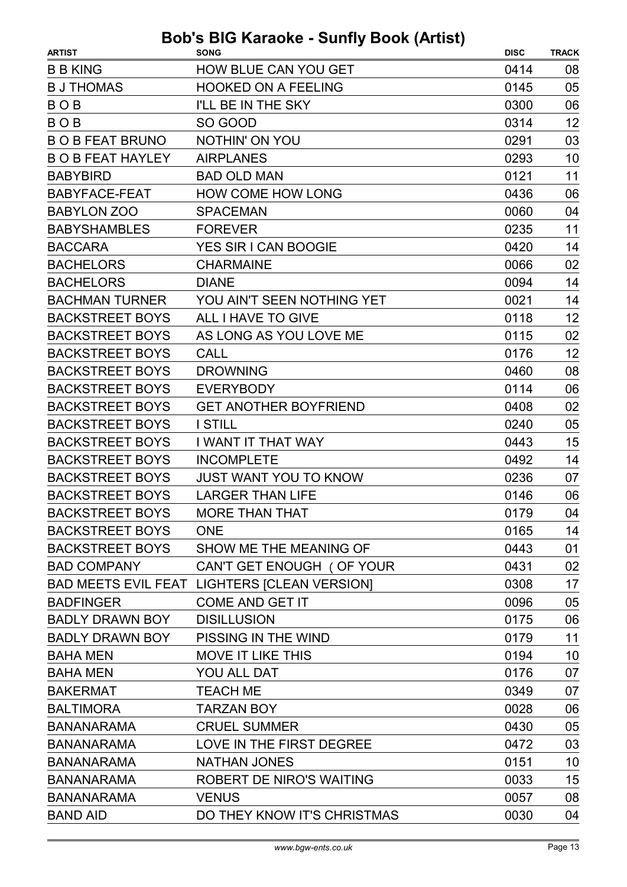| <b>B B KING</b><br><b>HOW BLUE CAN YOU GET</b><br>0414<br>08<br>05<br><b>B J THOMAS</b><br><b>HOOKED ON A FEELING</b><br>0145<br>06<br><b>BOB</b><br>I'LL BE IN THE SKY<br>0300<br>12<br><b>BOB</b><br>SO GOOD<br>0314<br>NOTHIN' ON YOU<br><b>BOBFEAT BRUNO</b><br>03<br>0291<br><b>BOB FEAT HAYLEY</b><br><b>AIRPLANES</b><br>10<br>0293<br>0121<br>11<br><b>BABYBIRD</b><br><b>BAD OLD MAN</b><br>06<br><b>BABYFACE-FEAT</b><br><b>HOW COME HOW LONG</b><br>0436<br><b>BABYLON ZOO</b><br><b>SPACEMAN</b><br>0060<br>04<br><b>BABYSHAMBLES</b><br>11<br><b>FOREVER</b><br>0235<br><b>BACCARA</b><br>YES SIR I CAN BOOGIE<br>0420<br>14<br>02<br><b>BACHELORS</b><br><b>CHARMAINE</b><br>0066<br>14<br><b>BACHELORS</b><br>0094<br><b>DIANE</b><br><b>BACHMAN TURNER</b><br>YOU AIN'T SEEN NOTHING YET<br>0021<br>14<br>12<br><b>BACKSTREET BOYS</b><br>ALL I HAVE TO GIVE<br>0118<br><b>BACKSTREET BOYS</b><br>0115<br>02<br>AS LONG AS YOU LOVE ME<br>12<br><b>BACKSTREET BOYS</b><br><b>CALL</b><br>0176<br>08<br><b>BACKSTREET BOYS</b><br><b>DROWNING</b><br>0460<br>06<br><b>BACKSTREET BOYS</b><br><b>EVERYBODY</b><br>0114<br><b>BACKSTREET BOYS</b><br><b>GET ANOTHER BOYFRIEND</b><br>0408<br>02<br>05<br><b>BACKSTREET BOYS</b><br><b>I STILL</b><br>0240<br>15<br><b>BACKSTREET BOYS</b><br>I WANT IT THAT WAY<br>0443<br>14<br><b>BACKSTREET BOYS</b><br><b>INCOMPLETE</b><br>0492<br><b>BACKSTREET BOYS</b><br><b>JUST WANT YOU TO KNOW</b><br>0236<br>07<br><b>BACKSTREET BOYS</b><br><b>LARGER THAN LIFE</b><br>0146<br>06<br><b>BACKSTREET BOYS</b><br>0179<br><b>MORE THAN THAT</b><br>04<br><b>BACKSTREET BOYS</b><br><b>ONE</b><br>0165<br>14<br>SHOW ME THE MEANING OF<br>01<br><b>BACKSTREET BOYS</b><br>0443<br>02<br><b>BAD COMPANY</b><br>CAN'T GET ENOUGH (OF YOUR<br>0431<br>17<br>BAD MEETS EVIL FEAT LIGHTERS [CLEAN VERSION]<br>0308 |
|----------------------------------------------------------------------------------------------------------------------------------------------------------------------------------------------------------------------------------------------------------------------------------------------------------------------------------------------------------------------------------------------------------------------------------------------------------------------------------------------------------------------------------------------------------------------------------------------------------------------------------------------------------------------------------------------------------------------------------------------------------------------------------------------------------------------------------------------------------------------------------------------------------------------------------------------------------------------------------------------------------------------------------------------------------------------------------------------------------------------------------------------------------------------------------------------------------------------------------------------------------------------------------------------------------------------------------------------------------------------------------------------------------------------------------------------------------------------------------------------------------------------------------------------------------------------------------------------------------------------------------------------------------------------------------------------------------------------------------------------------------------------------------------------------------------------------------------------------------------------|
|                                                                                                                                                                                                                                                                                                                                                                                                                                                                                                                                                                                                                                                                                                                                                                                                                                                                                                                                                                                                                                                                                                                                                                                                                                                                                                                                                                                                                                                                                                                                                                                                                                                                                                                                                                                                                                                                      |
|                                                                                                                                                                                                                                                                                                                                                                                                                                                                                                                                                                                                                                                                                                                                                                                                                                                                                                                                                                                                                                                                                                                                                                                                                                                                                                                                                                                                                                                                                                                                                                                                                                                                                                                                                                                                                                                                      |
|                                                                                                                                                                                                                                                                                                                                                                                                                                                                                                                                                                                                                                                                                                                                                                                                                                                                                                                                                                                                                                                                                                                                                                                                                                                                                                                                                                                                                                                                                                                                                                                                                                                                                                                                                                                                                                                                      |
|                                                                                                                                                                                                                                                                                                                                                                                                                                                                                                                                                                                                                                                                                                                                                                                                                                                                                                                                                                                                                                                                                                                                                                                                                                                                                                                                                                                                                                                                                                                                                                                                                                                                                                                                                                                                                                                                      |
|                                                                                                                                                                                                                                                                                                                                                                                                                                                                                                                                                                                                                                                                                                                                                                                                                                                                                                                                                                                                                                                                                                                                                                                                                                                                                                                                                                                                                                                                                                                                                                                                                                                                                                                                                                                                                                                                      |
|                                                                                                                                                                                                                                                                                                                                                                                                                                                                                                                                                                                                                                                                                                                                                                                                                                                                                                                                                                                                                                                                                                                                                                                                                                                                                                                                                                                                                                                                                                                                                                                                                                                                                                                                                                                                                                                                      |
|                                                                                                                                                                                                                                                                                                                                                                                                                                                                                                                                                                                                                                                                                                                                                                                                                                                                                                                                                                                                                                                                                                                                                                                                                                                                                                                                                                                                                                                                                                                                                                                                                                                                                                                                                                                                                                                                      |
|                                                                                                                                                                                                                                                                                                                                                                                                                                                                                                                                                                                                                                                                                                                                                                                                                                                                                                                                                                                                                                                                                                                                                                                                                                                                                                                                                                                                                                                                                                                                                                                                                                                                                                                                                                                                                                                                      |
|                                                                                                                                                                                                                                                                                                                                                                                                                                                                                                                                                                                                                                                                                                                                                                                                                                                                                                                                                                                                                                                                                                                                                                                                                                                                                                                                                                                                                                                                                                                                                                                                                                                                                                                                                                                                                                                                      |
|                                                                                                                                                                                                                                                                                                                                                                                                                                                                                                                                                                                                                                                                                                                                                                                                                                                                                                                                                                                                                                                                                                                                                                                                                                                                                                                                                                                                                                                                                                                                                                                                                                                                                                                                                                                                                                                                      |
|                                                                                                                                                                                                                                                                                                                                                                                                                                                                                                                                                                                                                                                                                                                                                                                                                                                                                                                                                                                                                                                                                                                                                                                                                                                                                                                                                                                                                                                                                                                                                                                                                                                                                                                                                                                                                                                                      |
|                                                                                                                                                                                                                                                                                                                                                                                                                                                                                                                                                                                                                                                                                                                                                                                                                                                                                                                                                                                                                                                                                                                                                                                                                                                                                                                                                                                                                                                                                                                                                                                                                                                                                                                                                                                                                                                                      |
|                                                                                                                                                                                                                                                                                                                                                                                                                                                                                                                                                                                                                                                                                                                                                                                                                                                                                                                                                                                                                                                                                                                                                                                                                                                                                                                                                                                                                                                                                                                                                                                                                                                                                                                                                                                                                                                                      |
|                                                                                                                                                                                                                                                                                                                                                                                                                                                                                                                                                                                                                                                                                                                                                                                                                                                                                                                                                                                                                                                                                                                                                                                                                                                                                                                                                                                                                                                                                                                                                                                                                                                                                                                                                                                                                                                                      |
|                                                                                                                                                                                                                                                                                                                                                                                                                                                                                                                                                                                                                                                                                                                                                                                                                                                                                                                                                                                                                                                                                                                                                                                                                                                                                                                                                                                                                                                                                                                                                                                                                                                                                                                                                                                                                                                                      |
|                                                                                                                                                                                                                                                                                                                                                                                                                                                                                                                                                                                                                                                                                                                                                                                                                                                                                                                                                                                                                                                                                                                                                                                                                                                                                                                                                                                                                                                                                                                                                                                                                                                                                                                                                                                                                                                                      |
|                                                                                                                                                                                                                                                                                                                                                                                                                                                                                                                                                                                                                                                                                                                                                                                                                                                                                                                                                                                                                                                                                                                                                                                                                                                                                                                                                                                                                                                                                                                                                                                                                                                                                                                                                                                                                                                                      |
|                                                                                                                                                                                                                                                                                                                                                                                                                                                                                                                                                                                                                                                                                                                                                                                                                                                                                                                                                                                                                                                                                                                                                                                                                                                                                                                                                                                                                                                                                                                                                                                                                                                                                                                                                                                                                                                                      |
|                                                                                                                                                                                                                                                                                                                                                                                                                                                                                                                                                                                                                                                                                                                                                                                                                                                                                                                                                                                                                                                                                                                                                                                                                                                                                                                                                                                                                                                                                                                                                                                                                                                                                                                                                                                                                                                                      |
|                                                                                                                                                                                                                                                                                                                                                                                                                                                                                                                                                                                                                                                                                                                                                                                                                                                                                                                                                                                                                                                                                                                                                                                                                                                                                                                                                                                                                                                                                                                                                                                                                                                                                                                                                                                                                                                                      |
|                                                                                                                                                                                                                                                                                                                                                                                                                                                                                                                                                                                                                                                                                                                                                                                                                                                                                                                                                                                                                                                                                                                                                                                                                                                                                                                                                                                                                                                                                                                                                                                                                                                                                                                                                                                                                                                                      |
|                                                                                                                                                                                                                                                                                                                                                                                                                                                                                                                                                                                                                                                                                                                                                                                                                                                                                                                                                                                                                                                                                                                                                                                                                                                                                                                                                                                                                                                                                                                                                                                                                                                                                                                                                                                                                                                                      |
|                                                                                                                                                                                                                                                                                                                                                                                                                                                                                                                                                                                                                                                                                                                                                                                                                                                                                                                                                                                                                                                                                                                                                                                                                                                                                                                                                                                                                                                                                                                                                                                                                                                                                                                                                                                                                                                                      |
|                                                                                                                                                                                                                                                                                                                                                                                                                                                                                                                                                                                                                                                                                                                                                                                                                                                                                                                                                                                                                                                                                                                                                                                                                                                                                                                                                                                                                                                                                                                                                                                                                                                                                                                                                                                                                                                                      |
|                                                                                                                                                                                                                                                                                                                                                                                                                                                                                                                                                                                                                                                                                                                                                                                                                                                                                                                                                                                                                                                                                                                                                                                                                                                                                                                                                                                                                                                                                                                                                                                                                                                                                                                                                                                                                                                                      |
|                                                                                                                                                                                                                                                                                                                                                                                                                                                                                                                                                                                                                                                                                                                                                                                                                                                                                                                                                                                                                                                                                                                                                                                                                                                                                                                                                                                                                                                                                                                                                                                                                                                                                                                                                                                                                                                                      |
|                                                                                                                                                                                                                                                                                                                                                                                                                                                                                                                                                                                                                                                                                                                                                                                                                                                                                                                                                                                                                                                                                                                                                                                                                                                                                                                                                                                                                                                                                                                                                                                                                                                                                                                                                                                                                                                                      |
|                                                                                                                                                                                                                                                                                                                                                                                                                                                                                                                                                                                                                                                                                                                                                                                                                                                                                                                                                                                                                                                                                                                                                                                                                                                                                                                                                                                                                                                                                                                                                                                                                                                                                                                                                                                                                                                                      |
|                                                                                                                                                                                                                                                                                                                                                                                                                                                                                                                                                                                                                                                                                                                                                                                                                                                                                                                                                                                                                                                                                                                                                                                                                                                                                                                                                                                                                                                                                                                                                                                                                                                                                                                                                                                                                                                                      |
|                                                                                                                                                                                                                                                                                                                                                                                                                                                                                                                                                                                                                                                                                                                                                                                                                                                                                                                                                                                                                                                                                                                                                                                                                                                                                                                                                                                                                                                                                                                                                                                                                                                                                                                                                                                                                                                                      |
| <b>COME AND GET IT</b><br>0096<br>05<br><b>BADFINGER</b>                                                                                                                                                                                                                                                                                                                                                                                                                                                                                                                                                                                                                                                                                                                                                                                                                                                                                                                                                                                                                                                                                                                                                                                                                                                                                                                                                                                                                                                                                                                                                                                                                                                                                                                                                                                                             |
| <b>BADLY DRAWN BOY</b><br><b>DISILLUSION</b><br>0175<br>06                                                                                                                                                                                                                                                                                                                                                                                                                                                                                                                                                                                                                                                                                                                                                                                                                                                                                                                                                                                                                                                                                                                                                                                                                                                                                                                                                                                                                                                                                                                                                                                                                                                                                                                                                                                                           |
| 11<br>PISSING IN THE WIND<br><b>BADLY DRAWN BOY</b><br>0179                                                                                                                                                                                                                                                                                                                                                                                                                                                                                                                                                                                                                                                                                                                                                                                                                                                                                                                                                                                                                                                                                                                                                                                                                                                                                                                                                                                                                                                                                                                                                                                                                                                                                                                                                                                                          |
| 10<br><b>MOVE IT LIKE THIS</b><br>0194<br><b>BAHA MEN</b>                                                                                                                                                                                                                                                                                                                                                                                                                                                                                                                                                                                                                                                                                                                                                                                                                                                                                                                                                                                                                                                                                                                                                                                                                                                                                                                                                                                                                                                                                                                                                                                                                                                                                                                                                                                                            |
| <b>BAHA MEN</b><br>YOU ALL DAT<br>0176<br>07                                                                                                                                                                                                                                                                                                                                                                                                                                                                                                                                                                                                                                                                                                                                                                                                                                                                                                                                                                                                                                                                                                                                                                                                                                                                                                                                                                                                                                                                                                                                                                                                                                                                                                                                                                                                                         |
| <b>TEACH ME</b><br>0349<br>07<br><b>BAKERMAT</b>                                                                                                                                                                                                                                                                                                                                                                                                                                                                                                                                                                                                                                                                                                                                                                                                                                                                                                                                                                                                                                                                                                                                                                                                                                                                                                                                                                                                                                                                                                                                                                                                                                                                                                                                                                                                                     |
| <b>BALTIMORA</b><br><b>TARZAN BOY</b><br>0028<br>06                                                                                                                                                                                                                                                                                                                                                                                                                                                                                                                                                                                                                                                                                                                                                                                                                                                                                                                                                                                                                                                                                                                                                                                                                                                                                                                                                                                                                                                                                                                                                                                                                                                                                                                                                                                                                  |
| 05<br><b>BANANARAMA</b><br><b>CRUEL SUMMER</b><br>0430                                                                                                                                                                                                                                                                                                                                                                                                                                                                                                                                                                                                                                                                                                                                                                                                                                                                                                                                                                                                                                                                                                                                                                                                                                                                                                                                                                                                                                                                                                                                                                                                                                                                                                                                                                                                               |
| LOVE IN THE FIRST DEGREE<br>03<br><b>BANANARAMA</b><br>0472                                                                                                                                                                                                                                                                                                                                                                                                                                                                                                                                                                                                                                                                                                                                                                                                                                                                                                                                                                                                                                                                                                                                                                                                                                                                                                                                                                                                                                                                                                                                                                                                                                                                                                                                                                                                          |
| 10<br><b>BANANARAMA</b><br><b>NATHAN JONES</b><br>0151                                                                                                                                                                                                                                                                                                                                                                                                                                                                                                                                                                                                                                                                                                                                                                                                                                                                                                                                                                                                                                                                                                                                                                                                                                                                                                                                                                                                                                                                                                                                                                                                                                                                                                                                                                                                               |
| 15<br><b>ROBERT DE NIRO'S WAITING</b><br>0033<br><b>BANANARAMA</b>                                                                                                                                                                                                                                                                                                                                                                                                                                                                                                                                                                                                                                                                                                                                                                                                                                                                                                                                                                                                                                                                                                                                                                                                                                                                                                                                                                                                                                                                                                                                                                                                                                                                                                                                                                                                   |
| <b>BANANARAMA</b><br><b>VENUS</b><br>08<br>0057                                                                                                                                                                                                                                                                                                                                                                                                                                                                                                                                                                                                                                                                                                                                                                                                                                                                                                                                                                                                                                                                                                                                                                                                                                                                                                                                                                                                                                                                                                                                                                                                                                                                                                                                                                                                                      |
| DO THEY KNOW IT'S CHRISTMAS<br>0030<br>04<br><b>BAND AID</b>                                                                                                                                                                                                                                                                                                                                                                                                                                                                                                                                                                                                                                                                                                                                                                                                                                                                                                                                                                                                                                                                                                                                                                                                                                                                                                                                                                                                                                                                                                                                                                                                                                                                                                                                                                                                         |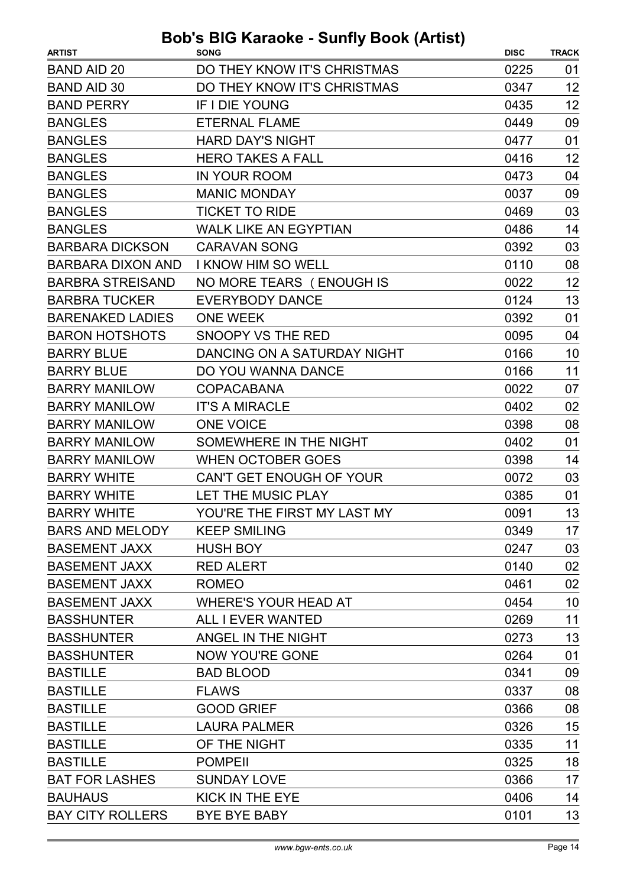| <b>ARTIST</b>            | <b>SONG</b>                  | <b>DISC</b> | <b>TRACK</b> |
|--------------------------|------------------------------|-------------|--------------|
| <b>BAND AID 20</b>       | DO THEY KNOW IT'S CHRISTMAS  | 0225        | 01           |
| <b>BAND AID 30</b>       | DO THEY KNOW IT'S CHRISTMAS  | 0347        | 12           |
| <b>BAND PERRY</b>        | <b>IF I DIE YOUNG</b>        | 0435        | 12           |
| <b>BANGLES</b>           | <b>ETERNAL FLAME</b>         | 0449        | 09           |
| <b>BANGLES</b>           | <b>HARD DAY'S NIGHT</b>      | 0477        | 01           |
| <b>BANGLES</b>           | <b>HERO TAKES A FALL</b>     | 0416        | 12           |
| <b>BANGLES</b>           | <b>IN YOUR ROOM</b>          | 0473        | 04           |
| <b>BANGLES</b>           | <b>MANIC MONDAY</b>          | 0037        | 09           |
| <b>BANGLES</b>           | <b>TICKET TO RIDE</b>        | 0469        | 03           |
| <b>BANGLES</b>           | <b>WALK LIKE AN EGYPTIAN</b> | 0486        | 14           |
| <b>BARBARA DICKSON</b>   | <b>CARAVAN SONG</b>          | 0392        | 03           |
| <b>BARBARA DIXON AND</b> | I KNOW HIM SO WELL           | 0110        | 08           |
| <b>BARBRA STREISAND</b>  | NO MORE TEARS (ENOUGH IS     | 0022        | 12           |
| <b>BARBRA TUCKER</b>     | <b>EVERYBODY DANCE</b>       | 0124        | 13           |
| <b>BARENAKED LADIES</b>  | <b>ONE WEEK</b>              | 0392        | 01           |
| <b>BARON HOTSHOTS</b>    | SNOOPY VS THE RED            | 0095        | 04           |
| <b>BARRY BLUE</b>        | DANCING ON A SATURDAY NIGHT  | 0166        | 10           |
| <b>BARRY BLUE</b>        | DO YOU WANNA DANCE           | 0166        | 11           |
| <b>BARRY MANILOW</b>     | <b>COPACABANA</b>            | 0022        | 07           |
| <b>BARRY MANILOW</b>     | <b>IT'S A MIRACLE</b>        | 0402        | 02           |
| <b>BARRY MANILOW</b>     | <b>ONE VOICE</b>             | 0398        | 08           |
| <b>BARRY MANILOW</b>     | SOMEWHERE IN THE NIGHT       | 0402        | 01           |
| <b>BARRY MANILOW</b>     | <b>WHEN OCTOBER GOES</b>     | 0398        | 14           |
| <b>BARRY WHITE</b>       | CAN'T GET ENOUGH OF YOUR     | 0072        | 03           |
| <b>BARRY WHITE</b>       | LET THE MUSIC PLAY           | 0385        | 01           |
| <b>BARRY WHITE</b>       | YOU'RE THE FIRST MY LAST MY  | 0091        | 13           |
| <b>BARS AND MELODY</b>   | <b>KEEP SMILING</b>          | 0349        | 17           |
| <b>BASEMENT JAXX</b>     | <b>HUSH BOY</b>              | 0247        | 03           |
| <b>BASEMENT JAXX</b>     | <b>RED ALERT</b>             | 0140        | 02           |
| <b>BASEMENT JAXX</b>     | <b>ROMEO</b>                 | 0461        | 02           |
| <b>BASEMENT JAXX</b>     | <b>WHERE'S YOUR HEAD AT</b>  | 0454        | 10           |
| <b>BASSHUNTER</b>        | ALL I EVER WANTED            | 0269        | 11           |
| <b>BASSHUNTER</b>        | ANGEL IN THE NIGHT           | 0273        | 13           |
| <b>BASSHUNTER</b>        | <b>NOW YOU'RE GONE</b>       | 0264        | 01           |
| <b>BASTILLE</b>          | <b>BAD BLOOD</b>             | 0341        | 09           |
| <b>BASTILLE</b>          | <b>FLAWS</b>                 | 0337        | 08           |
| <b>BASTILLE</b>          | <b>GOOD GRIEF</b>            | 0366        | 08           |
| <b>BASTILLE</b>          | <b>LAURA PALMER</b>          | 0326        | 15           |
| <b>BASTILLE</b>          | OF THE NIGHT                 | 0335        | 11           |
| <b>BASTILLE</b>          | <b>POMPEII</b>               | 0325        | 18           |
| <b>BAT FOR LASHES</b>    | <b>SUNDAY LOVE</b>           | 0366        | 17           |
| <b>BAUHAUS</b>           | KICK IN THE EYE              | 0406        | 14           |
| <b>BAY CITY ROLLERS</b>  | <b>BYE BYE BABY</b>          | 0101        | 13           |
|                          |                              |             |              |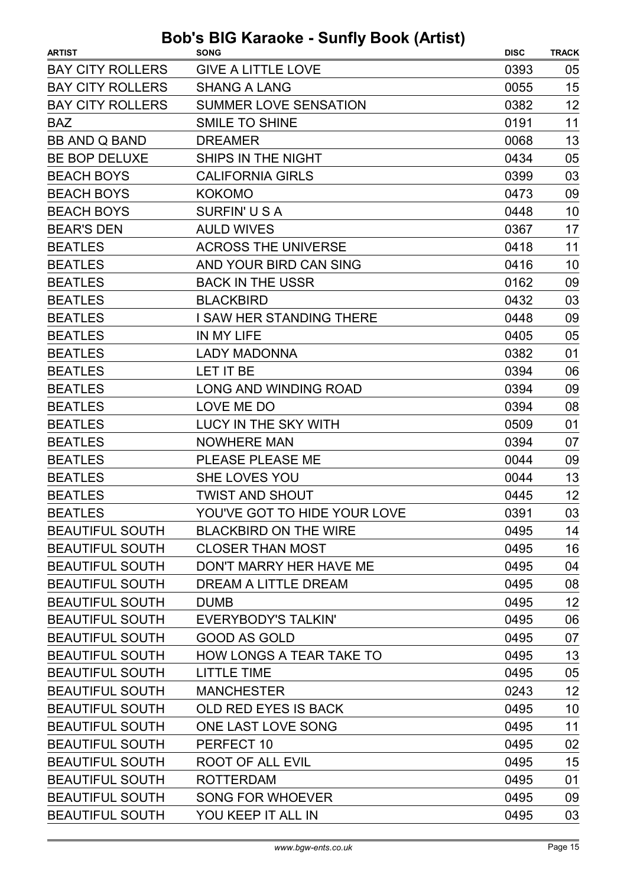| <b>ARTIST</b>           | <b>SONG</b>                     | <b>DISC</b> | <b>TRACK</b> |
|-------------------------|---------------------------------|-------------|--------------|
| <b>BAY CITY ROLLERS</b> | <b>GIVE A LITTLE LOVE</b>       | 0393        | 05           |
| <b>BAY CITY ROLLERS</b> | <b>SHANG A LANG</b>             | 0055        | 15           |
| <b>BAY CITY ROLLERS</b> | <b>SUMMER LOVE SENSATION</b>    | 0382        | 12           |
| <b>BAZ</b>              | <b>SMILE TO SHINE</b>           | 0191        | 11           |
| <b>BB AND Q BAND</b>    | <b>DREAMER</b>                  | 0068        | 13           |
| BE BOP DELUXE           | SHIPS IN THE NIGHT              | 0434        | 05           |
| <b>BEACH BOYS</b>       | <b>CALIFORNIA GIRLS</b>         | 0399        | 03           |
| <b>BEACH BOYS</b>       | <b>KOKOMO</b>                   | 0473        | 09           |
| <b>BEACH BOYS</b>       | SURFIN'USA                      | 0448        | 10           |
| <b>BEAR'S DEN</b>       | <b>AULD WIVES</b>               | 0367        | 17           |
| <b>BEATLES</b>          | <b>ACROSS THE UNIVERSE</b>      | 0418        | 11           |
| <b>BEATLES</b>          | AND YOUR BIRD CAN SING          | 0416        | 10           |
| <b>BEATLES</b>          | <b>BACK IN THE USSR</b>         | 0162        | 09           |
| <b>BEATLES</b>          | <b>BLACKBIRD</b>                | 0432        | 03           |
| <b>BEATLES</b>          | I SAW HER STANDING THERE        | 0448        | 09           |
| <b>BEATLES</b>          | IN MY LIFE                      | 0405        | 05           |
| <b>BEATLES</b>          | <b>LADY MADONNA</b>             | 0382        | 01           |
| <b>BEATLES</b>          | LET IT BE                       | 0394        | 06           |
| <b>BEATLES</b>          | LONG AND WINDING ROAD           | 0394        | 09           |
| <b>BEATLES</b>          | LOVE ME DO                      | 0394        | 08           |
| <b>BEATLES</b>          | LUCY IN THE SKY WITH            | 0509        | 01           |
| <b>BEATLES</b>          | <b>NOWHERE MAN</b>              | 0394        | 07           |
| <b>BEATLES</b>          | PLEASE PLEASE ME                | 0044        | 09           |
| <b>BEATLES</b>          | SHE LOVES YOU                   | 0044        | 13           |
| <b>BEATLES</b>          | <b>TWIST AND SHOUT</b>          | 0445        | 12           |
| <b>BEATLES</b>          | YOU'VE GOT TO HIDE YOUR LOVE    | 0391        | 03           |
| <b>BEAUTIFUL SOUTH</b>  | <b>BLACKBIRD ON THE WIRE</b>    | 0495        | 14           |
| <b>BEAUTIFUL SOUTH</b>  | <b>CLOSER THAN MOST</b>         | 0495        | 16           |
| <b>BEAUTIFUL SOUTH</b>  | DON'T MARRY HER HAVE ME         | 0495        | 04           |
| <b>BEAUTIFUL SOUTH</b>  | DREAM A LITTLE DREAM            | 0495        | 08           |
| <b>BEAUTIFUL SOUTH</b>  | <b>DUMB</b>                     | 0495        | 12           |
| <b>BEAUTIFUL SOUTH</b>  | EVERYBODY'S TALKIN'             | 0495        | 06           |
| <b>BEAUTIFUL SOUTH</b>  | <b>GOOD AS GOLD</b>             | 0495        | 07           |
| <b>BEAUTIFUL SOUTH</b>  | <b>HOW LONGS A TEAR TAKE TO</b> | 0495        | 13           |
| <b>BEAUTIFUL SOUTH</b>  | <b>LITTLE TIME</b>              | 0495        | 05           |
| <b>BEAUTIFUL SOUTH</b>  | <b>MANCHESTER</b>               | 0243        | 12           |
| <b>BEAUTIFUL SOUTH</b>  | OLD RED EYES IS BACK            | 0495        | 10           |
| <b>BEAUTIFUL SOUTH</b>  | ONE LAST LOVE SONG              | 0495        | 11           |
| <b>BEAUTIFUL SOUTH</b>  | PERFECT 10                      | 0495        | 02           |
| <b>BEAUTIFUL SOUTH</b>  | ROOT OF ALL EVIL                | 0495        | 15           |
| <b>BEAUTIFUL SOUTH</b>  | <b>ROTTERDAM</b>                | 0495        | 01           |
| <b>BEAUTIFUL SOUTH</b>  | <b>SONG FOR WHOEVER</b>         | 0495        | 09           |
| <b>BEAUTIFUL SOUTH</b>  | YOU KEEP IT ALL IN              | 0495        | 03           |
|                         |                                 |             |              |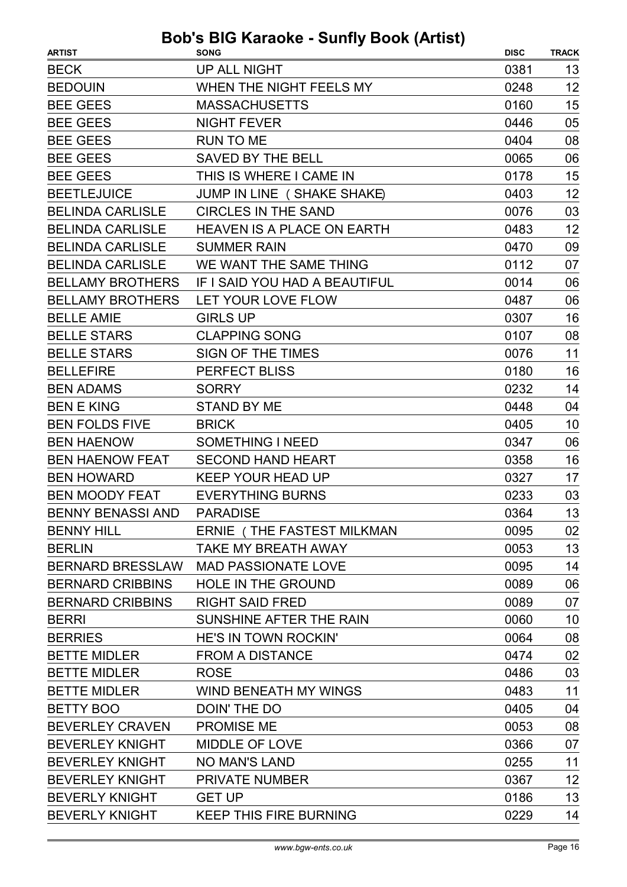| <b>BECK</b><br>UP ALL NIGHT<br>0381<br>13<br>12<br>WHEN THE NIGHT FEELS MY<br><b>BEDOUIN</b><br>0248<br>15<br><b>BEE GEES</b><br><b>MASSACHUSETTS</b><br>0160<br>05<br><b>BEE GEES</b><br><b>NIGHT FEVER</b><br>0446<br>08<br><b>BEE GEES</b><br><b>RUN TO ME</b><br>0404<br>06<br><b>BEE GEES</b><br><b>SAVED BY THE BELL</b><br>0065<br>15<br><b>BEE GEES</b><br>THIS IS WHERE I CAME IN<br>0178<br>12<br><b>BEETLEJUICE</b><br>JUMP IN LINE (SHAKE SHAKE)<br>0403<br>03<br><b>BELINDA CARLISLE</b><br><b>CIRCLES IN THE SAND</b><br>0076<br>12<br><b>BELINDA CARLISLE</b><br>0483<br><b>HEAVEN IS A PLACE ON EARTH</b><br><b>BELINDA CARLISLE</b><br><b>SUMMER RAIN</b><br>0470<br>09<br><b>BELINDA CARLISLE</b><br>WE WANT THE SAME THING<br>0112<br>07<br>06<br><b>BELLAMY BROTHERS</b><br>IF I SAID YOU HAD A BEAUTIFUL<br>0014<br>06<br><b>BELLAMY BROTHERS</b><br>LET YOUR LOVE FLOW<br>0487<br><b>BELLE AMIE</b><br><b>GIRLS UP</b><br>0307<br>16<br>08<br><b>BELLE STARS</b><br><b>CLAPPING SONG</b><br>0107<br><b>BELLE STARS</b><br>11<br>SIGN OF THE TIMES<br>0076<br>16<br><b>BELLEFIRE</b><br>0180<br><b>PERFECT BLISS</b><br>14<br><b>BEN ADAMS</b><br><b>SORRY</b><br>0232<br><b>BEN E KING</b><br><b>STAND BY ME</b><br>0448<br>04<br><b>BEN FOLDS FIVE</b><br><b>BRICK</b><br>0405<br>10<br><b>BEN HAENOW</b><br><b>SOMETHING I NEED</b><br>06<br>0347<br>16<br><b>BEN HAENOW FEAT</b><br>0358<br><b>SECOND HAND HEART</b><br><b>BEN HOWARD</b><br><b>KEEP YOUR HEAD UP</b><br>0327<br>17<br><b>EVERYTHING BURNS</b><br>03<br><b>BEN MOODY FEAT</b><br>0233<br>13<br><b>BENNY BENASSI AND</b><br>0364<br><b>PARADISE</b> |
|---------------------------------------------------------------------------------------------------------------------------------------------------------------------------------------------------------------------------------------------------------------------------------------------------------------------------------------------------------------------------------------------------------------------------------------------------------------------------------------------------------------------------------------------------------------------------------------------------------------------------------------------------------------------------------------------------------------------------------------------------------------------------------------------------------------------------------------------------------------------------------------------------------------------------------------------------------------------------------------------------------------------------------------------------------------------------------------------------------------------------------------------------------------------------------------------------------------------------------------------------------------------------------------------------------------------------------------------------------------------------------------------------------------------------------------------------------------------------------------------------------------------------------------------------------------------------------------------------------------------------------------------|
|                                                                                                                                                                                                                                                                                                                                                                                                                                                                                                                                                                                                                                                                                                                                                                                                                                                                                                                                                                                                                                                                                                                                                                                                                                                                                                                                                                                                                                                                                                                                                                                                                                             |
|                                                                                                                                                                                                                                                                                                                                                                                                                                                                                                                                                                                                                                                                                                                                                                                                                                                                                                                                                                                                                                                                                                                                                                                                                                                                                                                                                                                                                                                                                                                                                                                                                                             |
|                                                                                                                                                                                                                                                                                                                                                                                                                                                                                                                                                                                                                                                                                                                                                                                                                                                                                                                                                                                                                                                                                                                                                                                                                                                                                                                                                                                                                                                                                                                                                                                                                                             |
|                                                                                                                                                                                                                                                                                                                                                                                                                                                                                                                                                                                                                                                                                                                                                                                                                                                                                                                                                                                                                                                                                                                                                                                                                                                                                                                                                                                                                                                                                                                                                                                                                                             |
|                                                                                                                                                                                                                                                                                                                                                                                                                                                                                                                                                                                                                                                                                                                                                                                                                                                                                                                                                                                                                                                                                                                                                                                                                                                                                                                                                                                                                                                                                                                                                                                                                                             |
|                                                                                                                                                                                                                                                                                                                                                                                                                                                                                                                                                                                                                                                                                                                                                                                                                                                                                                                                                                                                                                                                                                                                                                                                                                                                                                                                                                                                                                                                                                                                                                                                                                             |
|                                                                                                                                                                                                                                                                                                                                                                                                                                                                                                                                                                                                                                                                                                                                                                                                                                                                                                                                                                                                                                                                                                                                                                                                                                                                                                                                                                                                                                                                                                                                                                                                                                             |
|                                                                                                                                                                                                                                                                                                                                                                                                                                                                                                                                                                                                                                                                                                                                                                                                                                                                                                                                                                                                                                                                                                                                                                                                                                                                                                                                                                                                                                                                                                                                                                                                                                             |
|                                                                                                                                                                                                                                                                                                                                                                                                                                                                                                                                                                                                                                                                                                                                                                                                                                                                                                                                                                                                                                                                                                                                                                                                                                                                                                                                                                                                                                                                                                                                                                                                                                             |
|                                                                                                                                                                                                                                                                                                                                                                                                                                                                                                                                                                                                                                                                                                                                                                                                                                                                                                                                                                                                                                                                                                                                                                                                                                                                                                                                                                                                                                                                                                                                                                                                                                             |
|                                                                                                                                                                                                                                                                                                                                                                                                                                                                                                                                                                                                                                                                                                                                                                                                                                                                                                                                                                                                                                                                                                                                                                                                                                                                                                                                                                                                                                                                                                                                                                                                                                             |
|                                                                                                                                                                                                                                                                                                                                                                                                                                                                                                                                                                                                                                                                                                                                                                                                                                                                                                                                                                                                                                                                                                                                                                                                                                                                                                                                                                                                                                                                                                                                                                                                                                             |
|                                                                                                                                                                                                                                                                                                                                                                                                                                                                                                                                                                                                                                                                                                                                                                                                                                                                                                                                                                                                                                                                                                                                                                                                                                                                                                                                                                                                                                                                                                                                                                                                                                             |
|                                                                                                                                                                                                                                                                                                                                                                                                                                                                                                                                                                                                                                                                                                                                                                                                                                                                                                                                                                                                                                                                                                                                                                                                                                                                                                                                                                                                                                                                                                                                                                                                                                             |
|                                                                                                                                                                                                                                                                                                                                                                                                                                                                                                                                                                                                                                                                                                                                                                                                                                                                                                                                                                                                                                                                                                                                                                                                                                                                                                                                                                                                                                                                                                                                                                                                                                             |
|                                                                                                                                                                                                                                                                                                                                                                                                                                                                                                                                                                                                                                                                                                                                                                                                                                                                                                                                                                                                                                                                                                                                                                                                                                                                                                                                                                                                                                                                                                                                                                                                                                             |
|                                                                                                                                                                                                                                                                                                                                                                                                                                                                                                                                                                                                                                                                                                                                                                                                                                                                                                                                                                                                                                                                                                                                                                                                                                                                                                                                                                                                                                                                                                                                                                                                                                             |
|                                                                                                                                                                                                                                                                                                                                                                                                                                                                                                                                                                                                                                                                                                                                                                                                                                                                                                                                                                                                                                                                                                                                                                                                                                                                                                                                                                                                                                                                                                                                                                                                                                             |
|                                                                                                                                                                                                                                                                                                                                                                                                                                                                                                                                                                                                                                                                                                                                                                                                                                                                                                                                                                                                                                                                                                                                                                                                                                                                                                                                                                                                                                                                                                                                                                                                                                             |
|                                                                                                                                                                                                                                                                                                                                                                                                                                                                                                                                                                                                                                                                                                                                                                                                                                                                                                                                                                                                                                                                                                                                                                                                                                                                                                                                                                                                                                                                                                                                                                                                                                             |
|                                                                                                                                                                                                                                                                                                                                                                                                                                                                                                                                                                                                                                                                                                                                                                                                                                                                                                                                                                                                                                                                                                                                                                                                                                                                                                                                                                                                                                                                                                                                                                                                                                             |
|                                                                                                                                                                                                                                                                                                                                                                                                                                                                                                                                                                                                                                                                                                                                                                                                                                                                                                                                                                                                                                                                                                                                                                                                                                                                                                                                                                                                                                                                                                                                                                                                                                             |
|                                                                                                                                                                                                                                                                                                                                                                                                                                                                                                                                                                                                                                                                                                                                                                                                                                                                                                                                                                                                                                                                                                                                                                                                                                                                                                                                                                                                                                                                                                                                                                                                                                             |
|                                                                                                                                                                                                                                                                                                                                                                                                                                                                                                                                                                                                                                                                                                                                                                                                                                                                                                                                                                                                                                                                                                                                                                                                                                                                                                                                                                                                                                                                                                                                                                                                                                             |
|                                                                                                                                                                                                                                                                                                                                                                                                                                                                                                                                                                                                                                                                                                                                                                                                                                                                                                                                                                                                                                                                                                                                                                                                                                                                                                                                                                                                                                                                                                                                                                                                                                             |
|                                                                                                                                                                                                                                                                                                                                                                                                                                                                                                                                                                                                                                                                                                                                                                                                                                                                                                                                                                                                                                                                                                                                                                                                                                                                                                                                                                                                                                                                                                                                                                                                                                             |
| <b>BENNY HILL</b><br>ERNIE (THE FASTEST MILKMAN<br>0095<br>02                                                                                                                                                                                                                                                                                                                                                                                                                                                                                                                                                                                                                                                                                                                                                                                                                                                                                                                                                                                                                                                                                                                                                                                                                                                                                                                                                                                                                                                                                                                                                                               |
| 13<br><b>BERLIN</b><br><b>TAKE MY BREATH AWAY</b><br>0053                                                                                                                                                                                                                                                                                                                                                                                                                                                                                                                                                                                                                                                                                                                                                                                                                                                                                                                                                                                                                                                                                                                                                                                                                                                                                                                                                                                                                                                                                                                                                                                   |
| 14<br><b>MAD PASSIONATE LOVE</b><br>0095<br><b>BERNARD BRESSLAW</b>                                                                                                                                                                                                                                                                                                                                                                                                                                                                                                                                                                                                                                                                                                                                                                                                                                                                                                                                                                                                                                                                                                                                                                                                                                                                                                                                                                                                                                                                                                                                                                         |
| <b>BERNARD CRIBBINS</b><br><b>HOLE IN THE GROUND</b><br>0089<br>06                                                                                                                                                                                                                                                                                                                                                                                                                                                                                                                                                                                                                                                                                                                                                                                                                                                                                                                                                                                                                                                                                                                                                                                                                                                                                                                                                                                                                                                                                                                                                                          |
| <b>BERNARD CRIBBINS</b><br>0089<br>07<br><b>RIGHT SAID FRED</b>                                                                                                                                                                                                                                                                                                                                                                                                                                                                                                                                                                                                                                                                                                                                                                                                                                                                                                                                                                                                                                                                                                                                                                                                                                                                                                                                                                                                                                                                                                                                                                             |
| SUNSHINE AFTER THE RAIN<br>0060<br>10<br><b>BERRI</b>                                                                                                                                                                                                                                                                                                                                                                                                                                                                                                                                                                                                                                                                                                                                                                                                                                                                                                                                                                                                                                                                                                                                                                                                                                                                                                                                                                                                                                                                                                                                                                                       |
| <b>HE'S IN TOWN ROCKIN'</b><br>08<br><b>BERRIES</b><br>0064                                                                                                                                                                                                                                                                                                                                                                                                                                                                                                                                                                                                                                                                                                                                                                                                                                                                                                                                                                                                                                                                                                                                                                                                                                                                                                                                                                                                                                                                                                                                                                                 |
| 02<br><b>BETTE MIDLER</b><br><b>FROM A DISTANCE</b><br>0474                                                                                                                                                                                                                                                                                                                                                                                                                                                                                                                                                                                                                                                                                                                                                                                                                                                                                                                                                                                                                                                                                                                                                                                                                                                                                                                                                                                                                                                                                                                                                                                 |
| <b>BETTE MIDLER</b><br>03<br><b>ROSE</b><br>0486                                                                                                                                                                                                                                                                                                                                                                                                                                                                                                                                                                                                                                                                                                                                                                                                                                                                                                                                                                                                                                                                                                                                                                                                                                                                                                                                                                                                                                                                                                                                                                                            |
| 11<br><b>BETTE MIDLER</b><br><b>WIND BENEATH MY WINGS</b><br>0483                                                                                                                                                                                                                                                                                                                                                                                                                                                                                                                                                                                                                                                                                                                                                                                                                                                                                                                                                                                                                                                                                                                                                                                                                                                                                                                                                                                                                                                                                                                                                                           |
| <b>BETTY BOO</b><br>DOIN' THE DO<br>0405<br>04                                                                                                                                                                                                                                                                                                                                                                                                                                                                                                                                                                                                                                                                                                                                                                                                                                                                                                                                                                                                                                                                                                                                                                                                                                                                                                                                                                                                                                                                                                                                                                                              |
| <b>BEVERLEY CRAVEN</b><br><b>PROMISE ME</b><br>0053<br>08                                                                                                                                                                                                                                                                                                                                                                                                                                                                                                                                                                                                                                                                                                                                                                                                                                                                                                                                                                                                                                                                                                                                                                                                                                                                                                                                                                                                                                                                                                                                                                                   |
| <b>BEVERLEY KNIGHT</b><br><b>MIDDLE OF LOVE</b><br>0366<br>07                                                                                                                                                                                                                                                                                                                                                                                                                                                                                                                                                                                                                                                                                                                                                                                                                                                                                                                                                                                                                                                                                                                                                                                                                                                                                                                                                                                                                                                                                                                                                                               |
| 11<br><b>BEVERLEY KNIGHT</b><br><b>NO MAN'S LAND</b><br>0255                                                                                                                                                                                                                                                                                                                                                                                                                                                                                                                                                                                                                                                                                                                                                                                                                                                                                                                                                                                                                                                                                                                                                                                                                                                                                                                                                                                                                                                                                                                                                                                |
| 12<br><b>BEVERLEY KNIGHT</b><br><b>PRIVATE NUMBER</b><br>0367                                                                                                                                                                                                                                                                                                                                                                                                                                                                                                                                                                                                                                                                                                                                                                                                                                                                                                                                                                                                                                                                                                                                                                                                                                                                                                                                                                                                                                                                                                                                                                               |
| 13<br><b>BEVERLY KNIGHT</b><br>0186<br><b>GET UP</b>                                                                                                                                                                                                                                                                                                                                                                                                                                                                                                                                                                                                                                                                                                                                                                                                                                                                                                                                                                                                                                                                                                                                                                                                                                                                                                                                                                                                                                                                                                                                                                                        |
| <b>BEVERLY KNIGHT</b><br>14<br><b>KEEP THIS FIRE BURNING</b><br>0229                                                                                                                                                                                                                                                                                                                                                                                                                                                                                                                                                                                                                                                                                                                                                                                                                                                                                                                                                                                                                                                                                                                                                                                                                                                                                                                                                                                                                                                                                                                                                                        |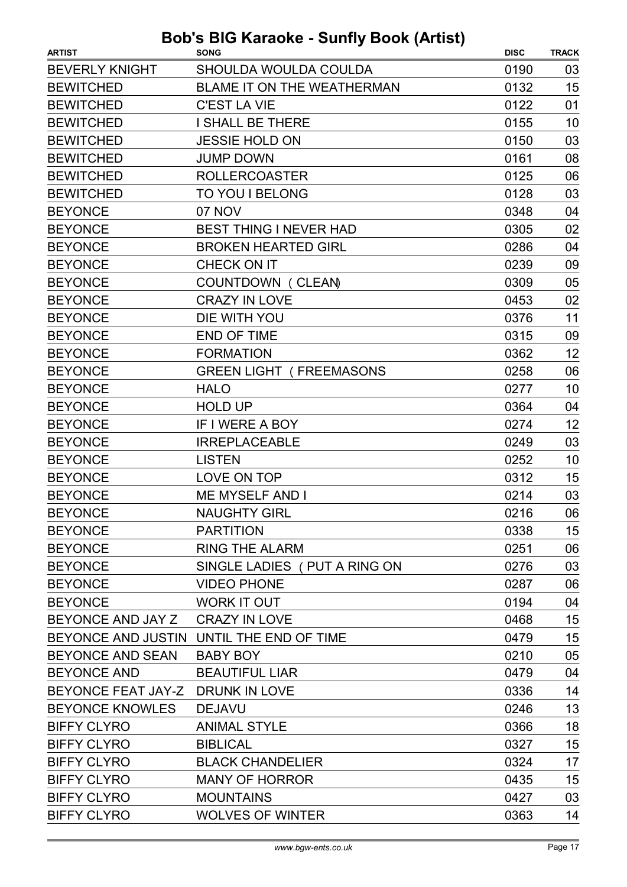| <b>ARTIST</b>                    | ,<br><b>SONG</b>                         | <b>DISC</b> | <b>TRACK</b> |
|----------------------------------|------------------------------------------|-------------|--------------|
| <b>BEVERLY KNIGHT</b>            | SHOULDA WOULDA COULDA                    | 0190        | 03           |
| <b>BEWITCHED</b>                 | <b>BLAME IT ON THE WEATHERMAN</b>        | 0132        | 15           |
| <b>BEWITCHED</b>                 | <b>C'EST LA VIE</b>                      | 0122        | 01           |
| <b>BEWITCHED</b>                 | <b>I SHALL BE THERE</b>                  | 0155        | 10           |
| <b>BEWITCHED</b>                 | <b>JESSIE HOLD ON</b>                    | 0150        | 03           |
| <b>BEWITCHED</b>                 | <b>JUMP DOWN</b>                         | 0161        | 08           |
| <b>BEWITCHED</b>                 | <b>ROLLERCOASTER</b>                     | 0125        | 06           |
| <b>BEWITCHED</b>                 | TO YOU I BELONG                          | 0128        | 03           |
| <b>BEYONCE</b>                   | 07 NOV                                   | 0348        | 04           |
| <b>BEYONCE</b>                   | <b>BEST THING I NEVER HAD</b>            | 0305        | 02           |
| <b>BEYONCE</b>                   | <b>BROKEN HEARTED GIRL</b>               | 0286        | 04           |
| <b>BEYONCE</b>                   | CHECK ON IT                              | 0239        | 09           |
| <b>BEYONCE</b>                   | COUNTDOWN (CLEAN)                        | 0309        | 05           |
| <b>BEYONCE</b>                   | <b>CRAZY IN LOVE</b>                     | 0453        | 02           |
| <b>BEYONCE</b>                   | DIE WITH YOU                             | 0376        | 11           |
| <b>BEYONCE</b>                   | <b>END OF TIME</b>                       | 0315        | 09           |
| <b>BEYONCE</b>                   | <b>FORMATION</b>                         | 0362        | 12           |
| <b>BEYONCE</b>                   | <b>GREEN LIGHT (FREEMASONS</b>           | 0258        | 06           |
| <b>BEYONCE</b>                   | <b>HALO</b>                              | 0277        | 10           |
| <b>BEYONCE</b>                   | <b>HOLD UP</b>                           | 0364        | 04           |
| <b>BEYONCE</b>                   | IF I WERE A BOY                          | 0274        | 12           |
| <b>BEYONCE</b>                   | <b>IRREPLACEABLE</b>                     | 0249        | 03           |
| <b>BEYONCE</b>                   | <b>LISTEN</b>                            | 0252        | 10           |
| <b>BEYONCE</b>                   | LOVE ON TOP                              | 0312        | 15           |
| <b>BEYONCE</b>                   | <b>ME MYSELF AND I</b>                   | 0214        | 03           |
| <b>BEYONCE</b>                   | <b>NAUGHTY GIRL</b>                      | 0216        | 06           |
| <b>BEYONCE</b>                   | <b>PARTITION</b>                         | 0338        | 15           |
| <b>BEYONCE</b>                   | <b>RING THE ALARM</b>                    | 0251        | 06           |
| <b>BEYONCE</b>                   | SINGLE LADIES ( PUT A RING ON            | 0276        | 03           |
| <b>BEYONCE</b>                   | <b>VIDEO PHONE</b>                       | 0287        | 06           |
| <b>BEYONCE</b>                   | <b>WORK IT OUT</b>                       | 0194        | 04           |
| BEYONCE AND JAY Z                | <b>CRAZY IN LOVE</b>                     | 0468        | 15           |
|                                  | BEYONCE AND JUSTIN UNTIL THE END OF TIME | 0479        | 15           |
| <b>BEYONCE AND SEAN</b>          | <b>BABY BOY</b>                          | 0210        | 05           |
| <b>BEYONCE AND</b>               | <b>BEAUTIFUL LIAR</b>                    | 0479        | 04           |
| BEYONCE FEAT JAY-Z DRUNK IN LOVE |                                          | 0336        | 14           |
| <b>BEYONCE KNOWLES</b>           | <b>DEJAVU</b>                            | 0246        | 13           |
| <b>BIFFY CLYRO</b>               | <b>ANIMAL STYLE</b>                      | 0366        | 18           |
| <b>BIFFY CLYRO</b>               | <b>BIBLICAL</b>                          | 0327        | 15           |
| <b>BIFFY CLYRO</b>               | <b>BLACK CHANDELIER</b>                  | 0324        | 17           |
| <b>BIFFY CLYRO</b>               | <b>MANY OF HORROR</b>                    | 0435        | 15           |
| <b>BIFFY CLYRO</b>               | <b>MOUNTAINS</b>                         | 0427        | 03           |
| <b>BIFFY CLYRO</b>               | <b>WOLVES OF WINTER</b>                  | 0363        | 14           |
|                                  |                                          |             |              |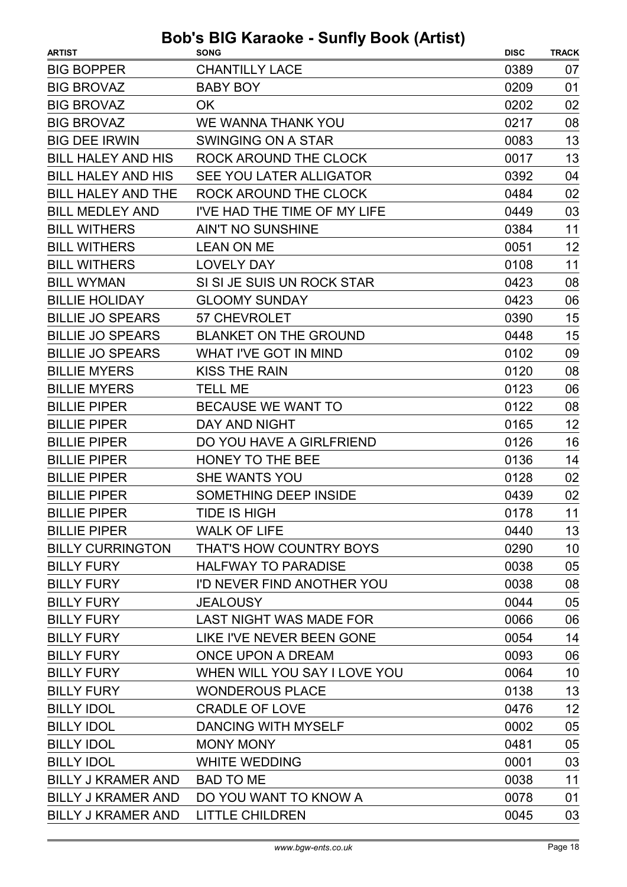| <b>CHANTILLY LACE</b><br>0389<br><b>BIG BOPPER</b><br>07<br><b>BIG BROVAZ</b><br><b>BABY BOY</b><br>01<br>0209<br><b>BIG BROVAZ</b><br>0202<br>02<br>OK<br>08<br><b>BIG BROVAZ</b><br>WE WANNA THANK YOU<br>0217<br>13<br><b>BIG DEE IRWIN</b><br>0083<br>SWINGING ON A STAR<br>13<br><b>BILL HALEY AND HIS</b><br>ROCK AROUND THE CLOCK<br>0017<br><b>BILL HALEY AND HIS</b><br>SEE YOU LATER ALLIGATOR<br>0392<br>04<br>02<br><b>BILL HALEY AND THE</b><br>ROCK AROUND THE CLOCK<br>0484<br>03<br><b>BILL MEDLEY AND</b><br>I'VE HAD THE TIME OF MY LIFE<br>0449<br>0384<br>11<br><b>BILL WITHERS</b><br><b>AIN'T NO SUNSHINE</b><br>12<br><b>BILL WITHERS</b><br><b>LEAN ON ME</b><br>0051<br><b>BILL WITHERS</b><br><b>LOVELY DAY</b><br>0108<br>11<br><b>BILL WYMAN</b><br>SI SI JE SUIS UN ROCK STAR<br>0423<br>08<br>06<br><b>BILLIE HOLIDAY</b><br><b>GLOOMY SUNDAY</b><br>0423<br>15<br><b>BILLIE JO SPEARS</b><br>57 CHEVROLET<br>0390<br><b>BILLIE JO SPEARS</b><br>15<br><b>BLANKET ON THE GROUND</b><br>0448<br><b>BILLIE JO SPEARS</b><br>09<br>WHAT I'VE GOT IN MIND<br>0102<br><b>BILLIE MYERS</b><br><b>KISS THE RAIN</b><br>0120<br>08<br><b>BILLIE MYERS</b><br><b>TELL ME</b><br>06<br>0123<br>08<br><b>BILLIE PIPER</b><br>BECAUSE WE WANT TO<br>0122<br>12<br><b>BILLIE PIPER</b><br>DAY AND NIGHT<br>0165<br>16<br><b>BILLIE PIPER</b><br>DO YOU HAVE A GIRLFRIEND<br>0126<br><b>BILLIE PIPER</b><br><b>HONEY TO THE BEE</b><br>0136<br>14<br><b>BILLIE PIPER</b><br><b>SHE WANTS YOU</b><br>0128<br>02<br>SOMETHING DEEP INSIDE<br>02<br><b>BILLIE PIPER</b><br>0439<br><b>BILLIE PIPER</b><br>TIDE IS HIGH<br>0178<br>11<br><b>WALK OF LIFE</b><br>13<br><b>BILLIE PIPER</b><br>0440<br><b>BILLY CURRINGTON</b><br>10<br>THAT'S HOW COUNTRY BOYS<br>0290<br><b>BILLY FURY</b><br><b>HALFWAY TO PARADISE</b><br>05<br>0038<br>08<br>0038<br><b>BILLY FURY</b><br>I'D NEVER FIND ANOTHER YOU<br>0044<br>05<br><b>BILLY FURY</b><br><b>JEALOUSY</b><br><b>BILLY FURY</b><br><b>LAST NIGHT WAS MADE FOR</b><br>0066<br>06<br>14<br><b>BILLY FURY</b><br>LIKE I'VE NEVER BEEN GONE<br>0054<br><b>BILLY FURY</b><br><b>ONCE UPON A DREAM</b><br>06<br>0093<br>WHEN WILL YOU SAY I LOVE YOU<br>10<br><b>BILLY FURY</b><br>0064<br>13<br><b>BILLY FURY</b><br><b>WONDEROUS PLACE</b><br>0138<br>12<br><b>BILLY IDOL</b><br><b>CRADLE OF LOVE</b><br>0476<br><b>BILLY IDOL</b><br><b>DANCING WITH MYSELF</b><br>0002<br>05<br><b>BILLY IDOL</b><br><b>MONY MONY</b><br>05<br>0481<br><b>BILLY IDOL</b><br><b>WHITE WEDDING</b><br>03<br>0001<br><b>BILLY J KRAMER AND</b><br>0038<br>11<br><b>BAD TO ME</b><br><b>BILLY J KRAMER AND</b><br>DO YOU WANT TO KNOW A<br>0078<br>01<br><b>LITTLE CHILDREN</b><br>0045<br>03<br><b>BILLY J KRAMER AND</b> | <b>ARTIST</b> | $300$ $310$ $180$ $1800$ $190$ $190$ $190$ $190$<br><b>SONG</b> | <b>DISC</b> | <b>TRACK</b> |
|----------------------------------------------------------------------------------------------------------------------------------------------------------------------------------------------------------------------------------------------------------------------------------------------------------------------------------------------------------------------------------------------------------------------------------------------------------------------------------------------------------------------------------------------------------------------------------------------------------------------------------------------------------------------------------------------------------------------------------------------------------------------------------------------------------------------------------------------------------------------------------------------------------------------------------------------------------------------------------------------------------------------------------------------------------------------------------------------------------------------------------------------------------------------------------------------------------------------------------------------------------------------------------------------------------------------------------------------------------------------------------------------------------------------------------------------------------------------------------------------------------------------------------------------------------------------------------------------------------------------------------------------------------------------------------------------------------------------------------------------------------------------------------------------------------------------------------------------------------------------------------------------------------------------------------------------------------------------------------------------------------------------------------------------------------------------------------------------------------------------------------------------------------------------------------------------------------------------------------------------------------------------------------------------------------------------------------------------------------------------------------------------------------------------------------------------------------------------------------------------------------------------------------------------------------------------------------------------------------------------------------------------------------------------------------------------------------------------------------------------------------------------|---------------|-----------------------------------------------------------------|-------------|--------------|
|                                                                                                                                                                                                                                                                                                                                                                                                                                                                                                                                                                                                                                                                                                                                                                                                                                                                                                                                                                                                                                                                                                                                                                                                                                                                                                                                                                                                                                                                                                                                                                                                                                                                                                                                                                                                                                                                                                                                                                                                                                                                                                                                                                                                                                                                                                                                                                                                                                                                                                                                                                                                                                                                                                                                                                      |               |                                                                 |             |              |
|                                                                                                                                                                                                                                                                                                                                                                                                                                                                                                                                                                                                                                                                                                                                                                                                                                                                                                                                                                                                                                                                                                                                                                                                                                                                                                                                                                                                                                                                                                                                                                                                                                                                                                                                                                                                                                                                                                                                                                                                                                                                                                                                                                                                                                                                                                                                                                                                                                                                                                                                                                                                                                                                                                                                                                      |               |                                                                 |             |              |
|                                                                                                                                                                                                                                                                                                                                                                                                                                                                                                                                                                                                                                                                                                                                                                                                                                                                                                                                                                                                                                                                                                                                                                                                                                                                                                                                                                                                                                                                                                                                                                                                                                                                                                                                                                                                                                                                                                                                                                                                                                                                                                                                                                                                                                                                                                                                                                                                                                                                                                                                                                                                                                                                                                                                                                      |               |                                                                 |             |              |
|                                                                                                                                                                                                                                                                                                                                                                                                                                                                                                                                                                                                                                                                                                                                                                                                                                                                                                                                                                                                                                                                                                                                                                                                                                                                                                                                                                                                                                                                                                                                                                                                                                                                                                                                                                                                                                                                                                                                                                                                                                                                                                                                                                                                                                                                                                                                                                                                                                                                                                                                                                                                                                                                                                                                                                      |               |                                                                 |             |              |
|                                                                                                                                                                                                                                                                                                                                                                                                                                                                                                                                                                                                                                                                                                                                                                                                                                                                                                                                                                                                                                                                                                                                                                                                                                                                                                                                                                                                                                                                                                                                                                                                                                                                                                                                                                                                                                                                                                                                                                                                                                                                                                                                                                                                                                                                                                                                                                                                                                                                                                                                                                                                                                                                                                                                                                      |               |                                                                 |             |              |
|                                                                                                                                                                                                                                                                                                                                                                                                                                                                                                                                                                                                                                                                                                                                                                                                                                                                                                                                                                                                                                                                                                                                                                                                                                                                                                                                                                                                                                                                                                                                                                                                                                                                                                                                                                                                                                                                                                                                                                                                                                                                                                                                                                                                                                                                                                                                                                                                                                                                                                                                                                                                                                                                                                                                                                      |               |                                                                 |             |              |
|                                                                                                                                                                                                                                                                                                                                                                                                                                                                                                                                                                                                                                                                                                                                                                                                                                                                                                                                                                                                                                                                                                                                                                                                                                                                                                                                                                                                                                                                                                                                                                                                                                                                                                                                                                                                                                                                                                                                                                                                                                                                                                                                                                                                                                                                                                                                                                                                                                                                                                                                                                                                                                                                                                                                                                      |               |                                                                 |             |              |
|                                                                                                                                                                                                                                                                                                                                                                                                                                                                                                                                                                                                                                                                                                                                                                                                                                                                                                                                                                                                                                                                                                                                                                                                                                                                                                                                                                                                                                                                                                                                                                                                                                                                                                                                                                                                                                                                                                                                                                                                                                                                                                                                                                                                                                                                                                                                                                                                                                                                                                                                                                                                                                                                                                                                                                      |               |                                                                 |             |              |
|                                                                                                                                                                                                                                                                                                                                                                                                                                                                                                                                                                                                                                                                                                                                                                                                                                                                                                                                                                                                                                                                                                                                                                                                                                                                                                                                                                                                                                                                                                                                                                                                                                                                                                                                                                                                                                                                                                                                                                                                                                                                                                                                                                                                                                                                                                                                                                                                                                                                                                                                                                                                                                                                                                                                                                      |               |                                                                 |             |              |
|                                                                                                                                                                                                                                                                                                                                                                                                                                                                                                                                                                                                                                                                                                                                                                                                                                                                                                                                                                                                                                                                                                                                                                                                                                                                                                                                                                                                                                                                                                                                                                                                                                                                                                                                                                                                                                                                                                                                                                                                                                                                                                                                                                                                                                                                                                                                                                                                                                                                                                                                                                                                                                                                                                                                                                      |               |                                                                 |             |              |
|                                                                                                                                                                                                                                                                                                                                                                                                                                                                                                                                                                                                                                                                                                                                                                                                                                                                                                                                                                                                                                                                                                                                                                                                                                                                                                                                                                                                                                                                                                                                                                                                                                                                                                                                                                                                                                                                                                                                                                                                                                                                                                                                                                                                                                                                                                                                                                                                                                                                                                                                                                                                                                                                                                                                                                      |               |                                                                 |             |              |
|                                                                                                                                                                                                                                                                                                                                                                                                                                                                                                                                                                                                                                                                                                                                                                                                                                                                                                                                                                                                                                                                                                                                                                                                                                                                                                                                                                                                                                                                                                                                                                                                                                                                                                                                                                                                                                                                                                                                                                                                                                                                                                                                                                                                                                                                                                                                                                                                                                                                                                                                                                                                                                                                                                                                                                      |               |                                                                 |             |              |
|                                                                                                                                                                                                                                                                                                                                                                                                                                                                                                                                                                                                                                                                                                                                                                                                                                                                                                                                                                                                                                                                                                                                                                                                                                                                                                                                                                                                                                                                                                                                                                                                                                                                                                                                                                                                                                                                                                                                                                                                                                                                                                                                                                                                                                                                                                                                                                                                                                                                                                                                                                                                                                                                                                                                                                      |               |                                                                 |             |              |
|                                                                                                                                                                                                                                                                                                                                                                                                                                                                                                                                                                                                                                                                                                                                                                                                                                                                                                                                                                                                                                                                                                                                                                                                                                                                                                                                                                                                                                                                                                                                                                                                                                                                                                                                                                                                                                                                                                                                                                                                                                                                                                                                                                                                                                                                                                                                                                                                                                                                                                                                                                                                                                                                                                                                                                      |               |                                                                 |             |              |
|                                                                                                                                                                                                                                                                                                                                                                                                                                                                                                                                                                                                                                                                                                                                                                                                                                                                                                                                                                                                                                                                                                                                                                                                                                                                                                                                                                                                                                                                                                                                                                                                                                                                                                                                                                                                                                                                                                                                                                                                                                                                                                                                                                                                                                                                                                                                                                                                                                                                                                                                                                                                                                                                                                                                                                      |               |                                                                 |             |              |
|                                                                                                                                                                                                                                                                                                                                                                                                                                                                                                                                                                                                                                                                                                                                                                                                                                                                                                                                                                                                                                                                                                                                                                                                                                                                                                                                                                                                                                                                                                                                                                                                                                                                                                                                                                                                                                                                                                                                                                                                                                                                                                                                                                                                                                                                                                                                                                                                                                                                                                                                                                                                                                                                                                                                                                      |               |                                                                 |             |              |
|                                                                                                                                                                                                                                                                                                                                                                                                                                                                                                                                                                                                                                                                                                                                                                                                                                                                                                                                                                                                                                                                                                                                                                                                                                                                                                                                                                                                                                                                                                                                                                                                                                                                                                                                                                                                                                                                                                                                                                                                                                                                                                                                                                                                                                                                                                                                                                                                                                                                                                                                                                                                                                                                                                                                                                      |               |                                                                 |             |              |
|                                                                                                                                                                                                                                                                                                                                                                                                                                                                                                                                                                                                                                                                                                                                                                                                                                                                                                                                                                                                                                                                                                                                                                                                                                                                                                                                                                                                                                                                                                                                                                                                                                                                                                                                                                                                                                                                                                                                                                                                                                                                                                                                                                                                                                                                                                                                                                                                                                                                                                                                                                                                                                                                                                                                                                      |               |                                                                 |             |              |
|                                                                                                                                                                                                                                                                                                                                                                                                                                                                                                                                                                                                                                                                                                                                                                                                                                                                                                                                                                                                                                                                                                                                                                                                                                                                                                                                                                                                                                                                                                                                                                                                                                                                                                                                                                                                                                                                                                                                                                                                                                                                                                                                                                                                                                                                                                                                                                                                                                                                                                                                                                                                                                                                                                                                                                      |               |                                                                 |             |              |
|                                                                                                                                                                                                                                                                                                                                                                                                                                                                                                                                                                                                                                                                                                                                                                                                                                                                                                                                                                                                                                                                                                                                                                                                                                                                                                                                                                                                                                                                                                                                                                                                                                                                                                                                                                                                                                                                                                                                                                                                                                                                                                                                                                                                                                                                                                                                                                                                                                                                                                                                                                                                                                                                                                                                                                      |               |                                                                 |             |              |
|                                                                                                                                                                                                                                                                                                                                                                                                                                                                                                                                                                                                                                                                                                                                                                                                                                                                                                                                                                                                                                                                                                                                                                                                                                                                                                                                                                                                                                                                                                                                                                                                                                                                                                                                                                                                                                                                                                                                                                                                                                                                                                                                                                                                                                                                                                                                                                                                                                                                                                                                                                                                                                                                                                                                                                      |               |                                                                 |             |              |
|                                                                                                                                                                                                                                                                                                                                                                                                                                                                                                                                                                                                                                                                                                                                                                                                                                                                                                                                                                                                                                                                                                                                                                                                                                                                                                                                                                                                                                                                                                                                                                                                                                                                                                                                                                                                                                                                                                                                                                                                                                                                                                                                                                                                                                                                                                                                                                                                                                                                                                                                                                                                                                                                                                                                                                      |               |                                                                 |             |              |
|                                                                                                                                                                                                                                                                                                                                                                                                                                                                                                                                                                                                                                                                                                                                                                                                                                                                                                                                                                                                                                                                                                                                                                                                                                                                                                                                                                                                                                                                                                                                                                                                                                                                                                                                                                                                                                                                                                                                                                                                                                                                                                                                                                                                                                                                                                                                                                                                                                                                                                                                                                                                                                                                                                                                                                      |               |                                                                 |             |              |
|                                                                                                                                                                                                                                                                                                                                                                                                                                                                                                                                                                                                                                                                                                                                                                                                                                                                                                                                                                                                                                                                                                                                                                                                                                                                                                                                                                                                                                                                                                                                                                                                                                                                                                                                                                                                                                                                                                                                                                                                                                                                                                                                                                                                                                                                                                                                                                                                                                                                                                                                                                                                                                                                                                                                                                      |               |                                                                 |             |              |
|                                                                                                                                                                                                                                                                                                                                                                                                                                                                                                                                                                                                                                                                                                                                                                                                                                                                                                                                                                                                                                                                                                                                                                                                                                                                                                                                                                                                                                                                                                                                                                                                                                                                                                                                                                                                                                                                                                                                                                                                                                                                                                                                                                                                                                                                                                                                                                                                                                                                                                                                                                                                                                                                                                                                                                      |               |                                                                 |             |              |
|                                                                                                                                                                                                                                                                                                                                                                                                                                                                                                                                                                                                                                                                                                                                                                                                                                                                                                                                                                                                                                                                                                                                                                                                                                                                                                                                                                                                                                                                                                                                                                                                                                                                                                                                                                                                                                                                                                                                                                                                                                                                                                                                                                                                                                                                                                                                                                                                                                                                                                                                                                                                                                                                                                                                                                      |               |                                                                 |             |              |
|                                                                                                                                                                                                                                                                                                                                                                                                                                                                                                                                                                                                                                                                                                                                                                                                                                                                                                                                                                                                                                                                                                                                                                                                                                                                                                                                                                                                                                                                                                                                                                                                                                                                                                                                                                                                                                                                                                                                                                                                                                                                                                                                                                                                                                                                                                                                                                                                                                                                                                                                                                                                                                                                                                                                                                      |               |                                                                 |             |              |
|                                                                                                                                                                                                                                                                                                                                                                                                                                                                                                                                                                                                                                                                                                                                                                                                                                                                                                                                                                                                                                                                                                                                                                                                                                                                                                                                                                                                                                                                                                                                                                                                                                                                                                                                                                                                                                                                                                                                                                                                                                                                                                                                                                                                                                                                                                                                                                                                                                                                                                                                                                                                                                                                                                                                                                      |               |                                                                 |             |              |
|                                                                                                                                                                                                                                                                                                                                                                                                                                                                                                                                                                                                                                                                                                                                                                                                                                                                                                                                                                                                                                                                                                                                                                                                                                                                                                                                                                                                                                                                                                                                                                                                                                                                                                                                                                                                                                                                                                                                                                                                                                                                                                                                                                                                                                                                                                                                                                                                                                                                                                                                                                                                                                                                                                                                                                      |               |                                                                 |             |              |
|                                                                                                                                                                                                                                                                                                                                                                                                                                                                                                                                                                                                                                                                                                                                                                                                                                                                                                                                                                                                                                                                                                                                                                                                                                                                                                                                                                                                                                                                                                                                                                                                                                                                                                                                                                                                                                                                                                                                                                                                                                                                                                                                                                                                                                                                                                                                                                                                                                                                                                                                                                                                                                                                                                                                                                      |               |                                                                 |             |              |
|                                                                                                                                                                                                                                                                                                                                                                                                                                                                                                                                                                                                                                                                                                                                                                                                                                                                                                                                                                                                                                                                                                                                                                                                                                                                                                                                                                                                                                                                                                                                                                                                                                                                                                                                                                                                                                                                                                                                                                                                                                                                                                                                                                                                                                                                                                                                                                                                                                                                                                                                                                                                                                                                                                                                                                      |               |                                                                 |             |              |
|                                                                                                                                                                                                                                                                                                                                                                                                                                                                                                                                                                                                                                                                                                                                                                                                                                                                                                                                                                                                                                                                                                                                                                                                                                                                                                                                                                                                                                                                                                                                                                                                                                                                                                                                                                                                                                                                                                                                                                                                                                                                                                                                                                                                                                                                                                                                                                                                                                                                                                                                                                                                                                                                                                                                                                      |               |                                                                 |             |              |
|                                                                                                                                                                                                                                                                                                                                                                                                                                                                                                                                                                                                                                                                                                                                                                                                                                                                                                                                                                                                                                                                                                                                                                                                                                                                                                                                                                                                                                                                                                                                                                                                                                                                                                                                                                                                                                                                                                                                                                                                                                                                                                                                                                                                                                                                                                                                                                                                                                                                                                                                                                                                                                                                                                                                                                      |               |                                                                 |             |              |
|                                                                                                                                                                                                                                                                                                                                                                                                                                                                                                                                                                                                                                                                                                                                                                                                                                                                                                                                                                                                                                                                                                                                                                                                                                                                                                                                                                                                                                                                                                                                                                                                                                                                                                                                                                                                                                                                                                                                                                                                                                                                                                                                                                                                                                                                                                                                                                                                                                                                                                                                                                                                                                                                                                                                                                      |               |                                                                 |             |              |
|                                                                                                                                                                                                                                                                                                                                                                                                                                                                                                                                                                                                                                                                                                                                                                                                                                                                                                                                                                                                                                                                                                                                                                                                                                                                                                                                                                                                                                                                                                                                                                                                                                                                                                                                                                                                                                                                                                                                                                                                                                                                                                                                                                                                                                                                                                                                                                                                                                                                                                                                                                                                                                                                                                                                                                      |               |                                                                 |             |              |
|                                                                                                                                                                                                                                                                                                                                                                                                                                                                                                                                                                                                                                                                                                                                                                                                                                                                                                                                                                                                                                                                                                                                                                                                                                                                                                                                                                                                                                                                                                                                                                                                                                                                                                                                                                                                                                                                                                                                                                                                                                                                                                                                                                                                                                                                                                                                                                                                                                                                                                                                                                                                                                                                                                                                                                      |               |                                                                 |             |              |
|                                                                                                                                                                                                                                                                                                                                                                                                                                                                                                                                                                                                                                                                                                                                                                                                                                                                                                                                                                                                                                                                                                                                                                                                                                                                                                                                                                                                                                                                                                                                                                                                                                                                                                                                                                                                                                                                                                                                                                                                                                                                                                                                                                                                                                                                                                                                                                                                                                                                                                                                                                                                                                                                                                                                                                      |               |                                                                 |             |              |
|                                                                                                                                                                                                                                                                                                                                                                                                                                                                                                                                                                                                                                                                                                                                                                                                                                                                                                                                                                                                                                                                                                                                                                                                                                                                                                                                                                                                                                                                                                                                                                                                                                                                                                                                                                                                                                                                                                                                                                                                                                                                                                                                                                                                                                                                                                                                                                                                                                                                                                                                                                                                                                                                                                                                                                      |               |                                                                 |             |              |
|                                                                                                                                                                                                                                                                                                                                                                                                                                                                                                                                                                                                                                                                                                                                                                                                                                                                                                                                                                                                                                                                                                                                                                                                                                                                                                                                                                                                                                                                                                                                                                                                                                                                                                                                                                                                                                                                                                                                                                                                                                                                                                                                                                                                                                                                                                                                                                                                                                                                                                                                                                                                                                                                                                                                                                      |               |                                                                 |             |              |
|                                                                                                                                                                                                                                                                                                                                                                                                                                                                                                                                                                                                                                                                                                                                                                                                                                                                                                                                                                                                                                                                                                                                                                                                                                                                                                                                                                                                                                                                                                                                                                                                                                                                                                                                                                                                                                                                                                                                                                                                                                                                                                                                                                                                                                                                                                                                                                                                                                                                                                                                                                                                                                                                                                                                                                      |               |                                                                 |             |              |
|                                                                                                                                                                                                                                                                                                                                                                                                                                                                                                                                                                                                                                                                                                                                                                                                                                                                                                                                                                                                                                                                                                                                                                                                                                                                                                                                                                                                                                                                                                                                                                                                                                                                                                                                                                                                                                                                                                                                                                                                                                                                                                                                                                                                                                                                                                                                                                                                                                                                                                                                                                                                                                                                                                                                                                      |               |                                                                 |             |              |
|                                                                                                                                                                                                                                                                                                                                                                                                                                                                                                                                                                                                                                                                                                                                                                                                                                                                                                                                                                                                                                                                                                                                                                                                                                                                                                                                                                                                                                                                                                                                                                                                                                                                                                                                                                                                                                                                                                                                                                                                                                                                                                                                                                                                                                                                                                                                                                                                                                                                                                                                                                                                                                                                                                                                                                      |               |                                                                 |             |              |
|                                                                                                                                                                                                                                                                                                                                                                                                                                                                                                                                                                                                                                                                                                                                                                                                                                                                                                                                                                                                                                                                                                                                                                                                                                                                                                                                                                                                                                                                                                                                                                                                                                                                                                                                                                                                                                                                                                                                                                                                                                                                                                                                                                                                                                                                                                                                                                                                                                                                                                                                                                                                                                                                                                                                                                      |               |                                                                 |             |              |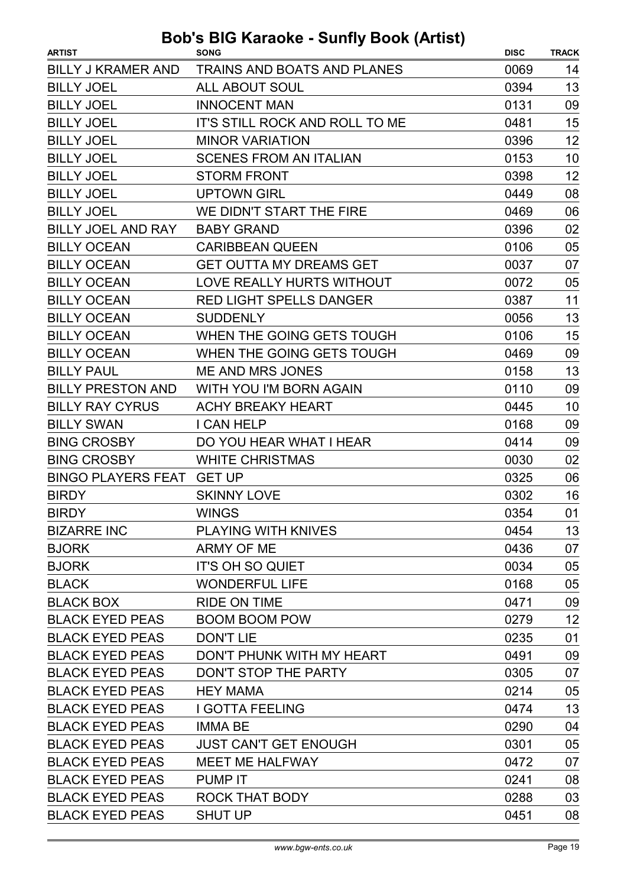| <b>ARTIST</b>             | <b>SONG</b>                        | <b>DISC</b> | <b>TRACK</b> |
|---------------------------|------------------------------------|-------------|--------------|
| <b>BILLY J KRAMER AND</b> | <b>TRAINS AND BOATS AND PLANES</b> | 0069        | 14           |
| <b>BILLY JOEL</b>         | ALL ABOUT SOUL                     | 0394        | 13           |
| <b>BILLY JOEL</b>         | <b>INNOCENT MAN</b>                | 0131        | 09           |
| <b>BILLY JOEL</b>         | IT'S STILL ROCK AND ROLL TO ME     | 0481        | 15           |
| <b>BILLY JOEL</b>         | <b>MINOR VARIATION</b>             | 0396        | 12           |
| <b>BILLY JOEL</b>         | <b>SCENES FROM AN ITALIAN</b>      | 0153        | 10           |
| <b>BILLY JOEL</b>         | <b>STORM FRONT</b>                 | 0398        | 12           |
| <b>BILLY JOEL</b>         | <b>UPTOWN GIRL</b>                 | 0449        | 08           |
| <b>BILLY JOEL</b>         | WE DIDN'T START THE FIRE           | 0469        | 06           |
| BILLY JOEL AND RAY        | <b>BABY GRAND</b>                  | 0396        | 02           |
| <b>BILLY OCEAN</b>        | <b>CARIBBEAN QUEEN</b>             | 0106        | 05           |
| <b>BILLY OCEAN</b>        | <b>GET OUTTA MY DREAMS GET</b>     | 0037        | 07           |
| <b>BILLY OCEAN</b>        | LOVE REALLY HURTS WITHOUT          | 0072        | 05           |
| <b>BILLY OCEAN</b>        | <b>RED LIGHT SPELLS DANGER</b>     | 0387        | 11           |
| <b>BILLY OCEAN</b>        | <b>SUDDENLY</b>                    | 0056        | 13           |
| <b>BILLY OCEAN</b>        | WHEN THE GOING GETS TOUGH          | 0106        | 15           |
| <b>BILLY OCEAN</b>        | WHEN THE GOING GETS TOUGH          | 0469        | 09           |
| <b>BILLY PAUL</b>         | <b>ME AND MRS JONES</b>            | 0158        | 13           |
| <b>BILLY PRESTON AND</b>  | WITH YOU I'M BORN AGAIN            | 0110        | 09           |
| <b>BILLY RAY CYRUS</b>    | <b>ACHY BREAKY HEART</b>           | 0445        | 10           |
| <b>BILLY SWAN</b>         | I CAN HELP                         | 0168        | 09           |
| <b>BING CROSBY</b>        | DO YOU HEAR WHAT I HEAR            | 0414        | 09           |
| <b>BING CROSBY</b>        | <b>WHITE CHRISTMAS</b>             | 0030        | 02           |
| BINGO PLAYERS FEAT GET UP |                                    | 0325        | 06           |
| <b>BIRDY</b>              | <b>SKINNY LOVE</b>                 | 0302        | 16           |
| <b>BIRDY</b>              | <b>WINGS</b>                       | 0354        | 01           |
| <b>BIZARRE INC</b>        | <b>PLAYING WITH KNIVES</b>         | 0454        | 13           |
| <b>BJORK</b>              | ARMY OF ME                         | 0436        | 07           |
| <b>BJORK</b>              | IT'S OH SO QUIET                   | 0034        | 05           |
| <b>BLACK</b>              | <b>WONDERFUL LIFE</b>              | 0168        | 05           |
| <b>BLACK BOX</b>          | <b>RIDE ON TIME</b>                | 0471        | 09           |
| <b>BLACK EYED PEAS</b>    | <b>BOOM BOOM POW</b>               | 0279        | 12           |
| <b>BLACK EYED PEAS</b>    | <b>DON'T LIE</b>                   | 0235        | 01           |
| <b>BLACK EYED PEAS</b>    | DON'T PHUNK WITH MY HEART          | 0491        | 09           |
| <b>BLACK EYED PEAS</b>    | DON'T STOP THE PARTY               | 0305        | 07           |
| <b>BLACK EYED PEAS</b>    | <b>HEY MAMA</b>                    | 0214        | 05           |
| <b>BLACK EYED PEAS</b>    | <b>I GOTTA FEELING</b>             | 0474        | 13           |
| <b>BLACK EYED PEAS</b>    | <b>IMMA BE</b>                     | 0290        | 04           |
| <b>BLACK EYED PEAS</b>    | <b>JUST CAN'T GET ENOUGH</b>       | 0301        | 05           |
| <b>BLACK EYED PEAS</b>    | <b>MEET ME HALFWAY</b>             | 0472        | 07           |
| <b>BLACK EYED PEAS</b>    | PUMP IT                            | 0241        | 08           |
| <b>BLACK EYED PEAS</b>    | ROCK THAT BODY                     | 0288        | 03           |
| <b>BLACK EYED PEAS</b>    | <b>SHUT UP</b>                     | 0451        | 08           |
|                           |                                    |             |              |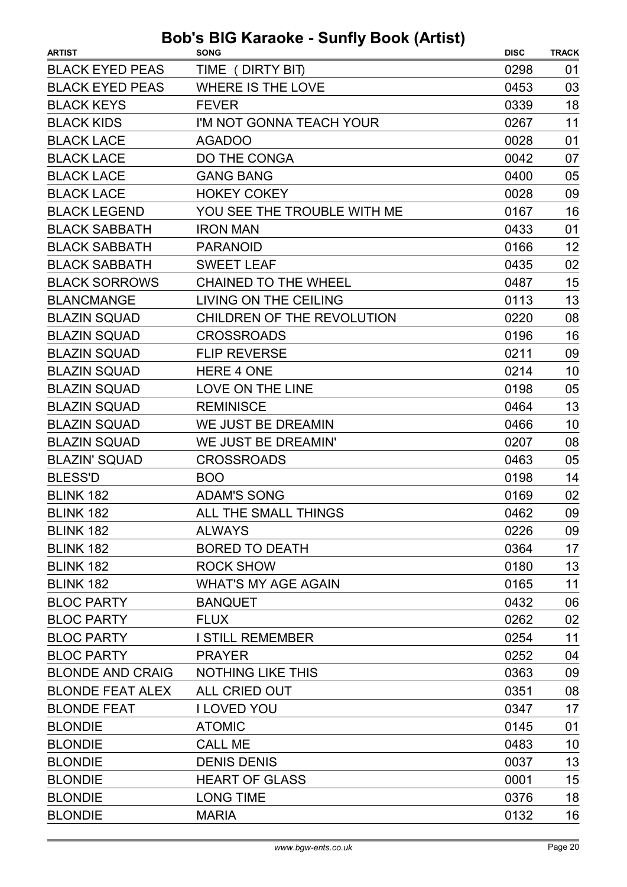| TIME (DIRTY BIT)<br>0298<br>01<br><b>WHERE IS THE LOVE</b><br>03<br>0453<br>18<br>0339<br><b>FEVER</b><br>11<br>I'M NOT GONNA TEACH YOUR<br>0267<br>01<br><b>AGADOO</b><br>0028<br>DO THE CONGA<br>0042<br>07<br><b>GANG BANG</b><br>05<br>0400<br><b>HOKEY COKEY</b><br>09<br>0028<br>16<br>YOU SEE THE TROUBLE WITH ME<br>0167<br><b>IRON MAN</b><br>0433<br>01<br>12<br><b>PARANOID</b><br>0166<br>02<br><b>SWEET LEAF</b><br>0435<br>15<br>0487<br><b>CHAINED TO THE WHEEL</b><br>13<br>LIVING ON THE CEILING<br>0113<br>CHILDREN OF THE REVOLUTION<br>08<br>0220<br>16<br><b>CROSSROADS</b><br>0196<br><b>FLIP REVERSE</b><br>0211<br>09<br><b>HERE 4 ONE</b><br>0214<br>10<br>05<br><b>LOVE ON THE LINE</b><br>0198<br>13<br><b>REMINISCE</b><br>0464<br>WE JUST BE DREAMIN<br>0466<br>10<br>WE JUST BE DREAMIN'<br>0207<br>08<br>05<br><b>CROSSROADS</b><br>0463<br><b>BOO</b><br>0198<br>14<br>02<br><b>ADAM'S SONG</b><br>0169<br>09<br>ALL THE SMALL THINGS<br>0462<br><b>ALWAYS</b><br>0226<br>09<br><b>BORED TO DEATH</b><br>17<br>0364<br>13<br><b>ROCK SHOW</b><br>0180<br>11<br><b>WHAT'S MY AGE AGAIN</b><br>0165<br>06<br>0432<br><b>BANQUET</b><br><b>FLUX</b><br>0262<br>02<br>11<br><b>I STILL REMEMBER</b><br>0254<br>0252<br>04<br><b>PRAYER</b><br>09<br><b>NOTHING LIKE THIS</b><br>0363<br>ALL CRIED OUT<br>08<br>0351<br>17<br><b>I LOVED YOU</b><br>0347<br><b>ATOMIC</b><br>01<br>0145 | <b>ARTIST</b>           | <b>SONG</b> | <b>DISC</b> | <b>TRACK</b> |
|--------------------------------------------------------------------------------------------------------------------------------------------------------------------------------------------------------------------------------------------------------------------------------------------------------------------------------------------------------------------------------------------------------------------------------------------------------------------------------------------------------------------------------------------------------------------------------------------------------------------------------------------------------------------------------------------------------------------------------------------------------------------------------------------------------------------------------------------------------------------------------------------------------------------------------------------------------------------------------------------------------------------------------------------------------------------------------------------------------------------------------------------------------------------------------------------------------------------------------------------------------------------------------------------------------------------------------------------------------------------------------------------------------------------|-------------------------|-------------|-------------|--------------|
|                                                                                                                                                                                                                                                                                                                                                                                                                                                                                                                                                                                                                                                                                                                                                                                                                                                                                                                                                                                                                                                                                                                                                                                                                                                                                                                                                                                                                    | <b>BLACK EYED PEAS</b>  |             |             |              |
|                                                                                                                                                                                                                                                                                                                                                                                                                                                                                                                                                                                                                                                                                                                                                                                                                                                                                                                                                                                                                                                                                                                                                                                                                                                                                                                                                                                                                    | <b>BLACK EYED PEAS</b>  |             |             |              |
|                                                                                                                                                                                                                                                                                                                                                                                                                                                                                                                                                                                                                                                                                                                                                                                                                                                                                                                                                                                                                                                                                                                                                                                                                                                                                                                                                                                                                    | <b>BLACK KEYS</b>       |             |             |              |
|                                                                                                                                                                                                                                                                                                                                                                                                                                                                                                                                                                                                                                                                                                                                                                                                                                                                                                                                                                                                                                                                                                                                                                                                                                                                                                                                                                                                                    | <b>BLACK KIDS</b>       |             |             |              |
|                                                                                                                                                                                                                                                                                                                                                                                                                                                                                                                                                                                                                                                                                                                                                                                                                                                                                                                                                                                                                                                                                                                                                                                                                                                                                                                                                                                                                    | <b>BLACK LACE</b>       |             |             |              |
|                                                                                                                                                                                                                                                                                                                                                                                                                                                                                                                                                                                                                                                                                                                                                                                                                                                                                                                                                                                                                                                                                                                                                                                                                                                                                                                                                                                                                    | <b>BLACK LACE</b>       |             |             |              |
|                                                                                                                                                                                                                                                                                                                                                                                                                                                                                                                                                                                                                                                                                                                                                                                                                                                                                                                                                                                                                                                                                                                                                                                                                                                                                                                                                                                                                    | <b>BLACK LACE</b>       |             |             |              |
|                                                                                                                                                                                                                                                                                                                                                                                                                                                                                                                                                                                                                                                                                                                                                                                                                                                                                                                                                                                                                                                                                                                                                                                                                                                                                                                                                                                                                    | <b>BLACK LACE</b>       |             |             |              |
|                                                                                                                                                                                                                                                                                                                                                                                                                                                                                                                                                                                                                                                                                                                                                                                                                                                                                                                                                                                                                                                                                                                                                                                                                                                                                                                                                                                                                    | <b>BLACK LEGEND</b>     |             |             |              |
|                                                                                                                                                                                                                                                                                                                                                                                                                                                                                                                                                                                                                                                                                                                                                                                                                                                                                                                                                                                                                                                                                                                                                                                                                                                                                                                                                                                                                    | <b>BLACK SABBATH</b>    |             |             |              |
|                                                                                                                                                                                                                                                                                                                                                                                                                                                                                                                                                                                                                                                                                                                                                                                                                                                                                                                                                                                                                                                                                                                                                                                                                                                                                                                                                                                                                    | <b>BLACK SABBATH</b>    |             |             |              |
|                                                                                                                                                                                                                                                                                                                                                                                                                                                                                                                                                                                                                                                                                                                                                                                                                                                                                                                                                                                                                                                                                                                                                                                                                                                                                                                                                                                                                    | <b>BLACK SABBATH</b>    |             |             |              |
|                                                                                                                                                                                                                                                                                                                                                                                                                                                                                                                                                                                                                                                                                                                                                                                                                                                                                                                                                                                                                                                                                                                                                                                                                                                                                                                                                                                                                    | <b>BLACK SORROWS</b>    |             |             |              |
|                                                                                                                                                                                                                                                                                                                                                                                                                                                                                                                                                                                                                                                                                                                                                                                                                                                                                                                                                                                                                                                                                                                                                                                                                                                                                                                                                                                                                    | <b>BLANCMANGE</b>       |             |             |              |
|                                                                                                                                                                                                                                                                                                                                                                                                                                                                                                                                                                                                                                                                                                                                                                                                                                                                                                                                                                                                                                                                                                                                                                                                                                                                                                                                                                                                                    | <b>BLAZIN SQUAD</b>     |             |             |              |
|                                                                                                                                                                                                                                                                                                                                                                                                                                                                                                                                                                                                                                                                                                                                                                                                                                                                                                                                                                                                                                                                                                                                                                                                                                                                                                                                                                                                                    | <b>BLAZIN SQUAD</b>     |             |             |              |
|                                                                                                                                                                                                                                                                                                                                                                                                                                                                                                                                                                                                                                                                                                                                                                                                                                                                                                                                                                                                                                                                                                                                                                                                                                                                                                                                                                                                                    | <b>BLAZIN SQUAD</b>     |             |             |              |
|                                                                                                                                                                                                                                                                                                                                                                                                                                                                                                                                                                                                                                                                                                                                                                                                                                                                                                                                                                                                                                                                                                                                                                                                                                                                                                                                                                                                                    | <b>BLAZIN SQUAD</b>     |             |             |              |
|                                                                                                                                                                                                                                                                                                                                                                                                                                                                                                                                                                                                                                                                                                                                                                                                                                                                                                                                                                                                                                                                                                                                                                                                                                                                                                                                                                                                                    | <b>BLAZIN SQUAD</b>     |             |             |              |
|                                                                                                                                                                                                                                                                                                                                                                                                                                                                                                                                                                                                                                                                                                                                                                                                                                                                                                                                                                                                                                                                                                                                                                                                                                                                                                                                                                                                                    | <b>BLAZIN SQUAD</b>     |             |             |              |
|                                                                                                                                                                                                                                                                                                                                                                                                                                                                                                                                                                                                                                                                                                                                                                                                                                                                                                                                                                                                                                                                                                                                                                                                                                                                                                                                                                                                                    | <b>BLAZIN SQUAD</b>     |             |             |              |
|                                                                                                                                                                                                                                                                                                                                                                                                                                                                                                                                                                                                                                                                                                                                                                                                                                                                                                                                                                                                                                                                                                                                                                                                                                                                                                                                                                                                                    | <b>BLAZIN SQUAD</b>     |             |             |              |
|                                                                                                                                                                                                                                                                                                                                                                                                                                                                                                                                                                                                                                                                                                                                                                                                                                                                                                                                                                                                                                                                                                                                                                                                                                                                                                                                                                                                                    | <b>BLAZIN' SQUAD</b>    |             |             |              |
|                                                                                                                                                                                                                                                                                                                                                                                                                                                                                                                                                                                                                                                                                                                                                                                                                                                                                                                                                                                                                                                                                                                                                                                                                                                                                                                                                                                                                    | <b>BLESS'D</b>          |             |             |              |
|                                                                                                                                                                                                                                                                                                                                                                                                                                                                                                                                                                                                                                                                                                                                                                                                                                                                                                                                                                                                                                                                                                                                                                                                                                                                                                                                                                                                                    | <b>BLINK 182</b>        |             |             |              |
|                                                                                                                                                                                                                                                                                                                                                                                                                                                                                                                                                                                                                                                                                                                                                                                                                                                                                                                                                                                                                                                                                                                                                                                                                                                                                                                                                                                                                    | BLINK 182               |             |             |              |
|                                                                                                                                                                                                                                                                                                                                                                                                                                                                                                                                                                                                                                                                                                                                                                                                                                                                                                                                                                                                                                                                                                                                                                                                                                                                                                                                                                                                                    | <b>BLINK 182</b>        |             |             |              |
|                                                                                                                                                                                                                                                                                                                                                                                                                                                                                                                                                                                                                                                                                                                                                                                                                                                                                                                                                                                                                                                                                                                                                                                                                                                                                                                                                                                                                    | BLINK 182               |             |             |              |
|                                                                                                                                                                                                                                                                                                                                                                                                                                                                                                                                                                                                                                                                                                                                                                                                                                                                                                                                                                                                                                                                                                                                                                                                                                                                                                                                                                                                                    | <b>BLINK 182</b>        |             |             |              |
|                                                                                                                                                                                                                                                                                                                                                                                                                                                                                                                                                                                                                                                                                                                                                                                                                                                                                                                                                                                                                                                                                                                                                                                                                                                                                                                                                                                                                    | <b>BLINK 182</b>        |             |             |              |
|                                                                                                                                                                                                                                                                                                                                                                                                                                                                                                                                                                                                                                                                                                                                                                                                                                                                                                                                                                                                                                                                                                                                                                                                                                                                                                                                                                                                                    | <b>BLOC PARTY</b>       |             |             |              |
|                                                                                                                                                                                                                                                                                                                                                                                                                                                                                                                                                                                                                                                                                                                                                                                                                                                                                                                                                                                                                                                                                                                                                                                                                                                                                                                                                                                                                    | <b>BLOC PARTY</b>       |             |             |              |
|                                                                                                                                                                                                                                                                                                                                                                                                                                                                                                                                                                                                                                                                                                                                                                                                                                                                                                                                                                                                                                                                                                                                                                                                                                                                                                                                                                                                                    | <b>BLOC PARTY</b>       |             |             |              |
|                                                                                                                                                                                                                                                                                                                                                                                                                                                                                                                                                                                                                                                                                                                                                                                                                                                                                                                                                                                                                                                                                                                                                                                                                                                                                                                                                                                                                    | <b>BLOC PARTY</b>       |             |             |              |
|                                                                                                                                                                                                                                                                                                                                                                                                                                                                                                                                                                                                                                                                                                                                                                                                                                                                                                                                                                                                                                                                                                                                                                                                                                                                                                                                                                                                                    | <b>BLONDE AND CRAIG</b> |             |             |              |
|                                                                                                                                                                                                                                                                                                                                                                                                                                                                                                                                                                                                                                                                                                                                                                                                                                                                                                                                                                                                                                                                                                                                                                                                                                                                                                                                                                                                                    | <b>BLONDE FEAT ALEX</b> |             |             |              |
|                                                                                                                                                                                                                                                                                                                                                                                                                                                                                                                                                                                                                                                                                                                                                                                                                                                                                                                                                                                                                                                                                                                                                                                                                                                                                                                                                                                                                    | <b>BLONDE FEAT</b>      |             |             |              |
|                                                                                                                                                                                                                                                                                                                                                                                                                                                                                                                                                                                                                                                                                                                                                                                                                                                                                                                                                                                                                                                                                                                                                                                                                                                                                                                                                                                                                    | <b>BLONDIE</b>          |             |             |              |
| <b>CALL ME</b><br>10<br>0483                                                                                                                                                                                                                                                                                                                                                                                                                                                                                                                                                                                                                                                                                                                                                                                                                                                                                                                                                                                                                                                                                                                                                                                                                                                                                                                                                                                       | <b>BLONDIE</b>          |             |             |              |
| <b>DENIS DENIS</b><br>13<br>0037                                                                                                                                                                                                                                                                                                                                                                                                                                                                                                                                                                                                                                                                                                                                                                                                                                                                                                                                                                                                                                                                                                                                                                                                                                                                                                                                                                                   | <b>BLONDIE</b>          |             |             |              |
| <b>HEART OF GLASS</b><br>15<br>0001                                                                                                                                                                                                                                                                                                                                                                                                                                                                                                                                                                                                                                                                                                                                                                                                                                                                                                                                                                                                                                                                                                                                                                                                                                                                                                                                                                                | <b>BLONDIE</b>          |             |             |              |
| 18<br><b>LONG TIME</b><br>0376                                                                                                                                                                                                                                                                                                                                                                                                                                                                                                                                                                                                                                                                                                                                                                                                                                                                                                                                                                                                                                                                                                                                                                                                                                                                                                                                                                                     | <b>BLONDIE</b>          |             |             |              |
| <b>MARIA</b><br>0132<br>16                                                                                                                                                                                                                                                                                                                                                                                                                                                                                                                                                                                                                                                                                                                                                                                                                                                                                                                                                                                                                                                                                                                                                                                                                                                                                                                                                                                         | <b>BLONDIE</b>          |             |             |              |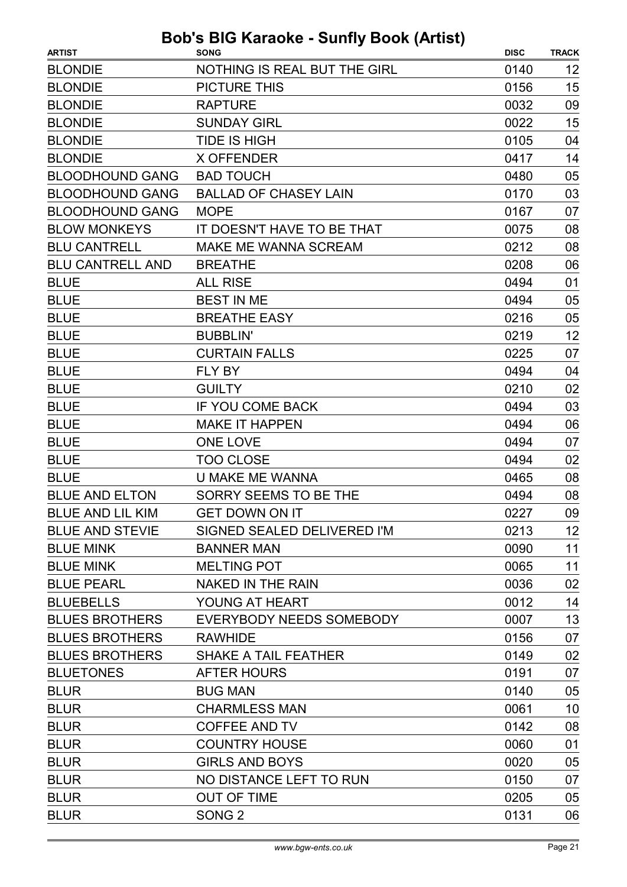| <b>BLONDIE</b><br>NOTHING IS REAL BUT THE GIRL<br>0140<br>12<br>15<br><b>BLONDIE</b><br><b>PICTURE THIS</b><br>0156<br><b>BLONDIE</b><br><b>RAPTURE</b><br>0032<br>09<br>15<br><b>BLONDIE</b><br><b>SUNDAY GIRL</b><br>0022<br><b>BLONDIE</b><br><b>TIDE IS HIGH</b><br>0105<br>04<br><b>BLONDIE</b><br>0417<br>14<br><b>X OFFENDER</b><br>05<br><b>BLOODHOUND GANG</b><br><b>BAD TOUCH</b><br>0480<br><b>BLOODHOUND GANG</b><br><b>BALLAD OF CHASEY LAIN</b><br>0170<br>03<br>07<br><b>BLOODHOUND GANG</b><br><b>MOPE</b><br>0167<br><b>BLOW MONKEYS</b><br>08<br>IT DOESN'T HAVE TO BE THAT<br>0075<br>08<br><b>BLU CANTRELL</b><br>MAKE ME WANNA SCREAM<br>0212<br><b>BLU CANTRELL AND</b><br>06<br><b>BREATHE</b><br>0208<br><b>BLUE</b><br><b>ALL RISE</b><br>0494<br>01<br><b>BEST IN ME</b><br><b>BLUE</b><br>0494<br>05<br><b>BLUE</b><br><b>BREATHE EASY</b><br>0216<br>05<br><b>BLUE</b><br>12<br><b>BUBBLIN'</b><br>0219<br><b>BLUE</b><br><b>CURTAIN FALLS</b><br>0225<br>07<br><b>BLUE</b><br>FLY BY<br>0494<br>04 |
|---------------------------------------------------------------------------------------------------------------------------------------------------------------------------------------------------------------------------------------------------------------------------------------------------------------------------------------------------------------------------------------------------------------------------------------------------------------------------------------------------------------------------------------------------------------------------------------------------------------------------------------------------------------------------------------------------------------------------------------------------------------------------------------------------------------------------------------------------------------------------------------------------------------------------------------------------------------------------------------------------------------------------------|
|                                                                                                                                                                                                                                                                                                                                                                                                                                                                                                                                                                                                                                                                                                                                                                                                                                                                                                                                                                                                                                 |
|                                                                                                                                                                                                                                                                                                                                                                                                                                                                                                                                                                                                                                                                                                                                                                                                                                                                                                                                                                                                                                 |
|                                                                                                                                                                                                                                                                                                                                                                                                                                                                                                                                                                                                                                                                                                                                                                                                                                                                                                                                                                                                                                 |
|                                                                                                                                                                                                                                                                                                                                                                                                                                                                                                                                                                                                                                                                                                                                                                                                                                                                                                                                                                                                                                 |
|                                                                                                                                                                                                                                                                                                                                                                                                                                                                                                                                                                                                                                                                                                                                                                                                                                                                                                                                                                                                                                 |
|                                                                                                                                                                                                                                                                                                                                                                                                                                                                                                                                                                                                                                                                                                                                                                                                                                                                                                                                                                                                                                 |
|                                                                                                                                                                                                                                                                                                                                                                                                                                                                                                                                                                                                                                                                                                                                                                                                                                                                                                                                                                                                                                 |
|                                                                                                                                                                                                                                                                                                                                                                                                                                                                                                                                                                                                                                                                                                                                                                                                                                                                                                                                                                                                                                 |
|                                                                                                                                                                                                                                                                                                                                                                                                                                                                                                                                                                                                                                                                                                                                                                                                                                                                                                                                                                                                                                 |
|                                                                                                                                                                                                                                                                                                                                                                                                                                                                                                                                                                                                                                                                                                                                                                                                                                                                                                                                                                                                                                 |
|                                                                                                                                                                                                                                                                                                                                                                                                                                                                                                                                                                                                                                                                                                                                                                                                                                                                                                                                                                                                                                 |
|                                                                                                                                                                                                                                                                                                                                                                                                                                                                                                                                                                                                                                                                                                                                                                                                                                                                                                                                                                                                                                 |
|                                                                                                                                                                                                                                                                                                                                                                                                                                                                                                                                                                                                                                                                                                                                                                                                                                                                                                                                                                                                                                 |
|                                                                                                                                                                                                                                                                                                                                                                                                                                                                                                                                                                                                                                                                                                                                                                                                                                                                                                                                                                                                                                 |
|                                                                                                                                                                                                                                                                                                                                                                                                                                                                                                                                                                                                                                                                                                                                                                                                                                                                                                                                                                                                                                 |
|                                                                                                                                                                                                                                                                                                                                                                                                                                                                                                                                                                                                                                                                                                                                                                                                                                                                                                                                                                                                                                 |
|                                                                                                                                                                                                                                                                                                                                                                                                                                                                                                                                                                                                                                                                                                                                                                                                                                                                                                                                                                                                                                 |
|                                                                                                                                                                                                                                                                                                                                                                                                                                                                                                                                                                                                                                                                                                                                                                                                                                                                                                                                                                                                                                 |
| 02<br><b>BLUE</b><br><b>GUILTY</b><br>0210                                                                                                                                                                                                                                                                                                                                                                                                                                                                                                                                                                                                                                                                                                                                                                                                                                                                                                                                                                                      |
| <b>BLUE</b><br>IF YOU COME BACK<br>0494<br>03                                                                                                                                                                                                                                                                                                                                                                                                                                                                                                                                                                                                                                                                                                                                                                                                                                                                                                                                                                                   |
| <b>BLUE</b><br><b>MAKE IT HAPPEN</b><br>0494<br>06                                                                                                                                                                                                                                                                                                                                                                                                                                                                                                                                                                                                                                                                                                                                                                                                                                                                                                                                                                              |
| <b>BLUE</b><br><b>ONE LOVE</b><br>0494<br>07                                                                                                                                                                                                                                                                                                                                                                                                                                                                                                                                                                                                                                                                                                                                                                                                                                                                                                                                                                                    |
| <b>BLUE</b><br><b>TOO CLOSE</b><br>0494<br>02                                                                                                                                                                                                                                                                                                                                                                                                                                                                                                                                                                                                                                                                                                                                                                                                                                                                                                                                                                                   |
| <b>BLUE</b><br><b>U MAKE ME WANNA</b><br>0465<br>08                                                                                                                                                                                                                                                                                                                                                                                                                                                                                                                                                                                                                                                                                                                                                                                                                                                                                                                                                                             |
| <b>BLUE AND ELTON</b><br>SORRY SEEMS TO BE THE<br>0494<br>08                                                                                                                                                                                                                                                                                                                                                                                                                                                                                                                                                                                                                                                                                                                                                                                                                                                                                                                                                                    |
| <b>BLUE AND LIL KIM</b><br><b>GET DOWN ON IT</b><br>0227<br>09                                                                                                                                                                                                                                                                                                                                                                                                                                                                                                                                                                                                                                                                                                                                                                                                                                                                                                                                                                  |
| 12<br><b>BLUE AND STEVIE</b><br>SIGNED SEALED DELIVERED I'M<br>0213                                                                                                                                                                                                                                                                                                                                                                                                                                                                                                                                                                                                                                                                                                                                                                                                                                                                                                                                                             |
| 11<br><b>BLUE MINK</b><br><b>BANNER MAN</b><br>0090                                                                                                                                                                                                                                                                                                                                                                                                                                                                                                                                                                                                                                                                                                                                                                                                                                                                                                                                                                             |
| 11<br><b>BLUE MINK</b><br><b>MELTING POT</b><br>0065                                                                                                                                                                                                                                                                                                                                                                                                                                                                                                                                                                                                                                                                                                                                                                                                                                                                                                                                                                            |
| 02<br><b>BLUE PEARL</b><br>NAKED IN THE RAIN<br>0036                                                                                                                                                                                                                                                                                                                                                                                                                                                                                                                                                                                                                                                                                                                                                                                                                                                                                                                                                                            |
| <b>BLUEBELLS</b><br>YOUNG AT HEART<br>14<br>0012                                                                                                                                                                                                                                                                                                                                                                                                                                                                                                                                                                                                                                                                                                                                                                                                                                                                                                                                                                                |
| 13<br><b>BLUES BROTHERS</b><br>EVERYBODY NEEDS SOMEBODY<br>0007                                                                                                                                                                                                                                                                                                                                                                                                                                                                                                                                                                                                                                                                                                                                                                                                                                                                                                                                                                 |
| <b>BLUES BROTHERS</b><br><b>RAWHIDE</b><br>0156<br>07                                                                                                                                                                                                                                                                                                                                                                                                                                                                                                                                                                                                                                                                                                                                                                                                                                                                                                                                                                           |
| <b>BLUES BROTHERS</b><br>0149<br>02<br><b>SHAKE A TAIL FEATHER</b>                                                                                                                                                                                                                                                                                                                                                                                                                                                                                                                                                                                                                                                                                                                                                                                                                                                                                                                                                              |
| <b>BLUETONES</b><br>0191<br>07<br>AFTER HOURS                                                                                                                                                                                                                                                                                                                                                                                                                                                                                                                                                                                                                                                                                                                                                                                                                                                                                                                                                                                   |
| <b>BLUR</b><br><b>BUG MAN</b><br>0140<br>05                                                                                                                                                                                                                                                                                                                                                                                                                                                                                                                                                                                                                                                                                                                                                                                                                                                                                                                                                                                     |
| <b>BLUR</b><br><b>CHARMLESS MAN</b><br>0061<br>10                                                                                                                                                                                                                                                                                                                                                                                                                                                                                                                                                                                                                                                                                                                                                                                                                                                                                                                                                                               |
| <b>BLUR</b><br>08<br><b>COFFEE AND TV</b><br>0142                                                                                                                                                                                                                                                                                                                                                                                                                                                                                                                                                                                                                                                                                                                                                                                                                                                                                                                                                                               |
| 01<br><b>BLUR</b><br><b>COUNTRY HOUSE</b><br>0060                                                                                                                                                                                                                                                                                                                                                                                                                                                                                                                                                                                                                                                                                                                                                                                                                                                                                                                                                                               |
| <b>BLUR</b><br><b>GIRLS AND BOYS</b><br>0020<br>05                                                                                                                                                                                                                                                                                                                                                                                                                                                                                                                                                                                                                                                                                                                                                                                                                                                                                                                                                                              |
| <b>BLUR</b><br>NO DISTANCE LEFT TO RUN<br>0150<br>07                                                                                                                                                                                                                                                                                                                                                                                                                                                                                                                                                                                                                                                                                                                                                                                                                                                                                                                                                                            |
| <b>BLUR</b><br><b>OUT OF TIME</b><br>0205<br>05                                                                                                                                                                                                                                                                                                                                                                                                                                                                                                                                                                                                                                                                                                                                                                                                                                                                                                                                                                                 |
| 06<br><b>BLUR</b><br>SONG <sub>2</sub><br>0131                                                                                                                                                                                                                                                                                                                                                                                                                                                                                                                                                                                                                                                                                                                                                                                                                                                                                                                                                                                  |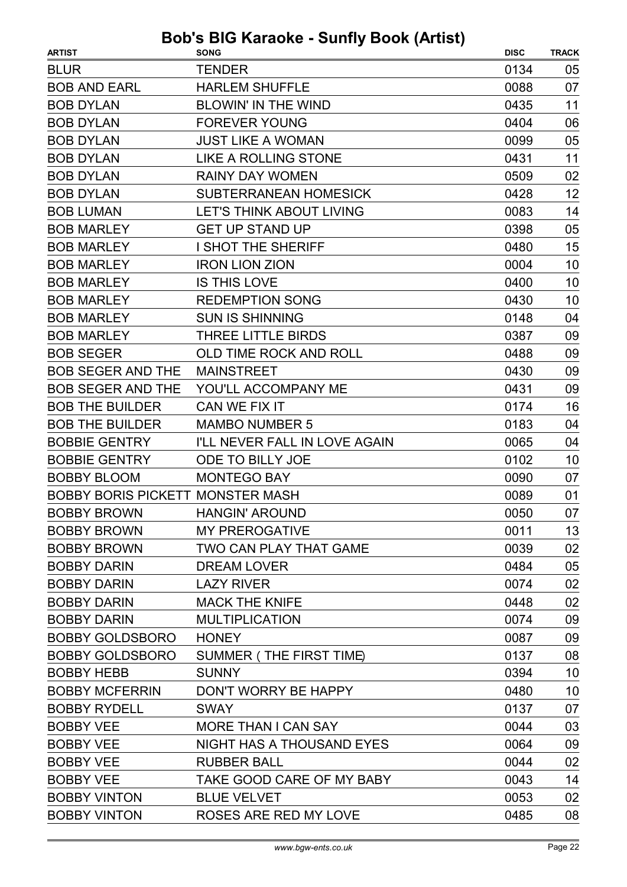| <b>BLUR</b><br><b>TENDER</b><br>0134<br>05<br><b>HARLEM SHUFFLE</b><br>07<br><b>BOB AND EARL</b><br>0088<br><b>BOB DYLAN</b><br><b>BLOWIN' IN THE WIND</b><br>0435<br>11<br>06<br><b>BOB DYLAN</b><br><b>FOREVER YOUNG</b><br>0404<br><b>BOB DYLAN</b><br><b>JUST LIKE A WOMAN</b><br>0099<br>05<br>11<br><b>BOB DYLAN</b><br>LIKE A ROLLING STONE<br>0431<br><b>BOB DYLAN</b><br><b>RAINY DAY WOMEN</b><br>0509<br>02<br>12<br><b>BOB DYLAN</b><br><b>SUBTERRANEAN HOMESICK</b><br>0428<br>14<br><b>BOB LUMAN</b><br><b>LET'S THINK ABOUT LIVING</b><br>0083<br><b>BOB MARLEY</b><br><b>GET UP STAND UP</b><br>0398<br>05<br>15<br><b>BOB MARLEY</b><br>I SHOT THE SHERIFF<br>0480<br>10<br><b>BOB MARLEY</b><br><b>IRON LION ZION</b><br>0004<br><b>BOB MARLEY</b><br><b>IS THIS LOVE</b><br>0400<br>10<br>10<br><b>BOB MARLEY</b><br><b>REDEMPTION SONG</b><br>0430<br><b>SUN IS SHINNING</b><br><b>BOB MARLEY</b><br>0148<br>04<br><b>BOB MARLEY</b><br>THREE LITTLE BIRDS<br>0387<br>09<br><b>BOB SEGER</b><br>OLD TIME ROCK AND ROLL<br>0488<br>09<br><b>BOB SEGER AND THE</b><br>0430<br>09<br><b>MAINSTREET</b><br>09<br><b>BOB SEGER AND THE</b><br>YOU'LL ACCOMPANY ME<br>0431<br>16<br><b>BOB THE BUILDER</b><br>CAN WE FIX IT<br>0174<br><b>BOB THE BUILDER</b><br><b>MAMBO NUMBER 5</b><br>0183<br>04<br><b>BOBBIE GENTRY</b><br>I'LL NEVER FALL IN LOVE AGAIN<br>0065<br>04<br><b>BOBBIE GENTRY</b><br>0102<br>10<br><b>ODE TO BILLY JOE</b><br><b>BOBBY BLOOM</b><br><b>MONTEGO BAY</b><br>0090<br>07<br><b>BOBBY BORIS PICKETT MONSTER MASH</b><br>0089<br>01 |
|-------------------------------------------------------------------------------------------------------------------------------------------------------------------------------------------------------------------------------------------------------------------------------------------------------------------------------------------------------------------------------------------------------------------------------------------------------------------------------------------------------------------------------------------------------------------------------------------------------------------------------------------------------------------------------------------------------------------------------------------------------------------------------------------------------------------------------------------------------------------------------------------------------------------------------------------------------------------------------------------------------------------------------------------------------------------------------------------------------------------------------------------------------------------------------------------------------------------------------------------------------------------------------------------------------------------------------------------------------------------------------------------------------------------------------------------------------------------------------------------------------------------------------------------------------------------------------|
|                                                                                                                                                                                                                                                                                                                                                                                                                                                                                                                                                                                                                                                                                                                                                                                                                                                                                                                                                                                                                                                                                                                                                                                                                                                                                                                                                                                                                                                                                                                                                                               |
|                                                                                                                                                                                                                                                                                                                                                                                                                                                                                                                                                                                                                                                                                                                                                                                                                                                                                                                                                                                                                                                                                                                                                                                                                                                                                                                                                                                                                                                                                                                                                                               |
|                                                                                                                                                                                                                                                                                                                                                                                                                                                                                                                                                                                                                                                                                                                                                                                                                                                                                                                                                                                                                                                                                                                                                                                                                                                                                                                                                                                                                                                                                                                                                                               |
|                                                                                                                                                                                                                                                                                                                                                                                                                                                                                                                                                                                                                                                                                                                                                                                                                                                                                                                                                                                                                                                                                                                                                                                                                                                                                                                                                                                                                                                                                                                                                                               |
|                                                                                                                                                                                                                                                                                                                                                                                                                                                                                                                                                                                                                                                                                                                                                                                                                                                                                                                                                                                                                                                                                                                                                                                                                                                                                                                                                                                                                                                                                                                                                                               |
|                                                                                                                                                                                                                                                                                                                                                                                                                                                                                                                                                                                                                                                                                                                                                                                                                                                                                                                                                                                                                                                                                                                                                                                                                                                                                                                                                                                                                                                                                                                                                                               |
|                                                                                                                                                                                                                                                                                                                                                                                                                                                                                                                                                                                                                                                                                                                                                                                                                                                                                                                                                                                                                                                                                                                                                                                                                                                                                                                                                                                                                                                                                                                                                                               |
|                                                                                                                                                                                                                                                                                                                                                                                                                                                                                                                                                                                                                                                                                                                                                                                                                                                                                                                                                                                                                                                                                                                                                                                                                                                                                                                                                                                                                                                                                                                                                                               |
|                                                                                                                                                                                                                                                                                                                                                                                                                                                                                                                                                                                                                                                                                                                                                                                                                                                                                                                                                                                                                                                                                                                                                                                                                                                                                                                                                                                                                                                                                                                                                                               |
|                                                                                                                                                                                                                                                                                                                                                                                                                                                                                                                                                                                                                                                                                                                                                                                                                                                                                                                                                                                                                                                                                                                                                                                                                                                                                                                                                                                                                                                                                                                                                                               |
|                                                                                                                                                                                                                                                                                                                                                                                                                                                                                                                                                                                                                                                                                                                                                                                                                                                                                                                                                                                                                                                                                                                                                                                                                                                                                                                                                                                                                                                                                                                                                                               |
|                                                                                                                                                                                                                                                                                                                                                                                                                                                                                                                                                                                                                                                                                                                                                                                                                                                                                                                                                                                                                                                                                                                                                                                                                                                                                                                                                                                                                                                                                                                                                                               |
|                                                                                                                                                                                                                                                                                                                                                                                                                                                                                                                                                                                                                                                                                                                                                                                                                                                                                                                                                                                                                                                                                                                                                                                                                                                                                                                                                                                                                                                                                                                                                                               |
|                                                                                                                                                                                                                                                                                                                                                                                                                                                                                                                                                                                                                                                                                                                                                                                                                                                                                                                                                                                                                                                                                                                                                                                                                                                                                                                                                                                                                                                                                                                                                                               |
|                                                                                                                                                                                                                                                                                                                                                                                                                                                                                                                                                                                                                                                                                                                                                                                                                                                                                                                                                                                                                                                                                                                                                                                                                                                                                                                                                                                                                                                                                                                                                                               |
|                                                                                                                                                                                                                                                                                                                                                                                                                                                                                                                                                                                                                                                                                                                                                                                                                                                                                                                                                                                                                                                                                                                                                                                                                                                                                                                                                                                                                                                                                                                                                                               |
|                                                                                                                                                                                                                                                                                                                                                                                                                                                                                                                                                                                                                                                                                                                                                                                                                                                                                                                                                                                                                                                                                                                                                                                                                                                                                                                                                                                                                                                                                                                                                                               |
|                                                                                                                                                                                                                                                                                                                                                                                                                                                                                                                                                                                                                                                                                                                                                                                                                                                                                                                                                                                                                                                                                                                                                                                                                                                                                                                                                                                                                                                                                                                                                                               |
|                                                                                                                                                                                                                                                                                                                                                                                                                                                                                                                                                                                                                                                                                                                                                                                                                                                                                                                                                                                                                                                                                                                                                                                                                                                                                                                                                                                                                                                                                                                                                                               |
|                                                                                                                                                                                                                                                                                                                                                                                                                                                                                                                                                                                                                                                                                                                                                                                                                                                                                                                                                                                                                                                                                                                                                                                                                                                                                                                                                                                                                                                                                                                                                                               |
|                                                                                                                                                                                                                                                                                                                                                                                                                                                                                                                                                                                                                                                                                                                                                                                                                                                                                                                                                                                                                                                                                                                                                                                                                                                                                                                                                                                                                                                                                                                                                                               |
|                                                                                                                                                                                                                                                                                                                                                                                                                                                                                                                                                                                                                                                                                                                                                                                                                                                                                                                                                                                                                                                                                                                                                                                                                                                                                                                                                                                                                                                                                                                                                                               |
|                                                                                                                                                                                                                                                                                                                                                                                                                                                                                                                                                                                                                                                                                                                                                                                                                                                                                                                                                                                                                                                                                                                                                                                                                                                                                                                                                                                                                                                                                                                                                                               |
|                                                                                                                                                                                                                                                                                                                                                                                                                                                                                                                                                                                                                                                                                                                                                                                                                                                                                                                                                                                                                                                                                                                                                                                                                                                                                                                                                                                                                                                                                                                                                                               |
|                                                                                                                                                                                                                                                                                                                                                                                                                                                                                                                                                                                                                                                                                                                                                                                                                                                                                                                                                                                                                                                                                                                                                                                                                                                                                                                                                                                                                                                                                                                                                                               |
| 07<br><b>BOBBY BROWN</b><br>0050<br><b>HANGIN' AROUND</b>                                                                                                                                                                                                                                                                                                                                                                                                                                                                                                                                                                                                                                                                                                                                                                                                                                                                                                                                                                                                                                                                                                                                                                                                                                                                                                                                                                                                                                                                                                                     |
| <b>BOBBY BROWN</b><br><b>MY PREROGATIVE</b><br>0011<br>13                                                                                                                                                                                                                                                                                                                                                                                                                                                                                                                                                                                                                                                                                                                                                                                                                                                                                                                                                                                                                                                                                                                                                                                                                                                                                                                                                                                                                                                                                                                     |
| TWO CAN PLAY THAT GAME<br>02<br><b>BOBBY BROWN</b><br>0039                                                                                                                                                                                                                                                                                                                                                                                                                                                                                                                                                                                                                                                                                                                                                                                                                                                                                                                                                                                                                                                                                                                                                                                                                                                                                                                                                                                                                                                                                                                    |
| 05<br><b>BOBBY DARIN</b><br><b>DREAM LOVER</b><br>0484                                                                                                                                                                                                                                                                                                                                                                                                                                                                                                                                                                                                                                                                                                                                                                                                                                                                                                                                                                                                                                                                                                                                                                                                                                                                                                                                                                                                                                                                                                                        |
| <b>BOBBY DARIN</b><br><b>LAZY RIVER</b><br>02<br>0074                                                                                                                                                                                                                                                                                                                                                                                                                                                                                                                                                                                                                                                                                                                                                                                                                                                                                                                                                                                                                                                                                                                                                                                                                                                                                                                                                                                                                                                                                                                         |
| <b>MACK THE KNIFE</b><br>02<br><b>BOBBY DARIN</b><br>0448                                                                                                                                                                                                                                                                                                                                                                                                                                                                                                                                                                                                                                                                                                                                                                                                                                                                                                                                                                                                                                                                                                                                                                                                                                                                                                                                                                                                                                                                                                                     |
| <b>BOBBY DARIN</b><br><b>MULTIPLICATION</b><br>09<br>0074                                                                                                                                                                                                                                                                                                                                                                                                                                                                                                                                                                                                                                                                                                                                                                                                                                                                                                                                                                                                                                                                                                                                                                                                                                                                                                                                                                                                                                                                                                                     |
| 09<br><b>BOBBY GOLDSBORO</b><br><b>HONEY</b><br>0087                                                                                                                                                                                                                                                                                                                                                                                                                                                                                                                                                                                                                                                                                                                                                                                                                                                                                                                                                                                                                                                                                                                                                                                                                                                                                                                                                                                                                                                                                                                          |
| SUMMER (THE FIRST TIME)<br>08<br><b>BOBBY GOLDSBORO</b><br>0137                                                                                                                                                                                                                                                                                                                                                                                                                                                                                                                                                                                                                                                                                                                                                                                                                                                                                                                                                                                                                                                                                                                                                                                                                                                                                                                                                                                                                                                                                                               |
| 10<br><b>BOBBY HEBB</b><br><b>SUNNY</b><br>0394                                                                                                                                                                                                                                                                                                                                                                                                                                                                                                                                                                                                                                                                                                                                                                                                                                                                                                                                                                                                                                                                                                                                                                                                                                                                                                                                                                                                                                                                                                                               |
| <b>BOBBY MCFERRIN</b><br>DON'T WORRY BE HAPPY<br>0480<br>10                                                                                                                                                                                                                                                                                                                                                                                                                                                                                                                                                                                                                                                                                                                                                                                                                                                                                                                                                                                                                                                                                                                                                                                                                                                                                                                                                                                                                                                                                                                   |
| <b>BOBBY RYDELL</b><br>0137<br>07<br><b>SWAY</b>                                                                                                                                                                                                                                                                                                                                                                                                                                                                                                                                                                                                                                                                                                                                                                                                                                                                                                                                                                                                                                                                                                                                                                                                                                                                                                                                                                                                                                                                                                                              |
| 03<br><b>BOBBY VEE</b><br><b>MORE THAN I CAN SAY</b><br>0044                                                                                                                                                                                                                                                                                                                                                                                                                                                                                                                                                                                                                                                                                                                                                                                                                                                                                                                                                                                                                                                                                                                                                                                                                                                                                                                                                                                                                                                                                                                  |
| NIGHT HAS A THOUSAND EYES<br>09<br><b>BOBBY VEE</b><br>0064                                                                                                                                                                                                                                                                                                                                                                                                                                                                                                                                                                                                                                                                                                                                                                                                                                                                                                                                                                                                                                                                                                                                                                                                                                                                                                                                                                                                                                                                                                                   |
| 02<br><b>BOBBY VEE</b><br><b>RUBBER BALL</b><br>0044                                                                                                                                                                                                                                                                                                                                                                                                                                                                                                                                                                                                                                                                                                                                                                                                                                                                                                                                                                                                                                                                                                                                                                                                                                                                                                                                                                                                                                                                                                                          |
| <b>BOBBY VEE</b><br>TAKE GOOD CARE OF MY BABY<br>0043<br>14                                                                                                                                                                                                                                                                                                                                                                                                                                                                                                                                                                                                                                                                                                                                                                                                                                                                                                                                                                                                                                                                                                                                                                                                                                                                                                                                                                                                                                                                                                                   |
| <b>BOBBY VINTON</b><br><b>BLUE VELVET</b><br>02<br>0053                                                                                                                                                                                                                                                                                                                                                                                                                                                                                                                                                                                                                                                                                                                                                                                                                                                                                                                                                                                                                                                                                                                                                                                                                                                                                                                                                                                                                                                                                                                       |
| <b>BOBBY VINTON</b><br>ROSES ARE RED MY LOVE<br>0485<br>08                                                                                                                                                                                                                                                                                                                                                                                                                                                                                                                                                                                                                                                                                                                                                                                                                                                                                                                                                                                                                                                                                                                                                                                                                                                                                                                                                                                                                                                                                                                    |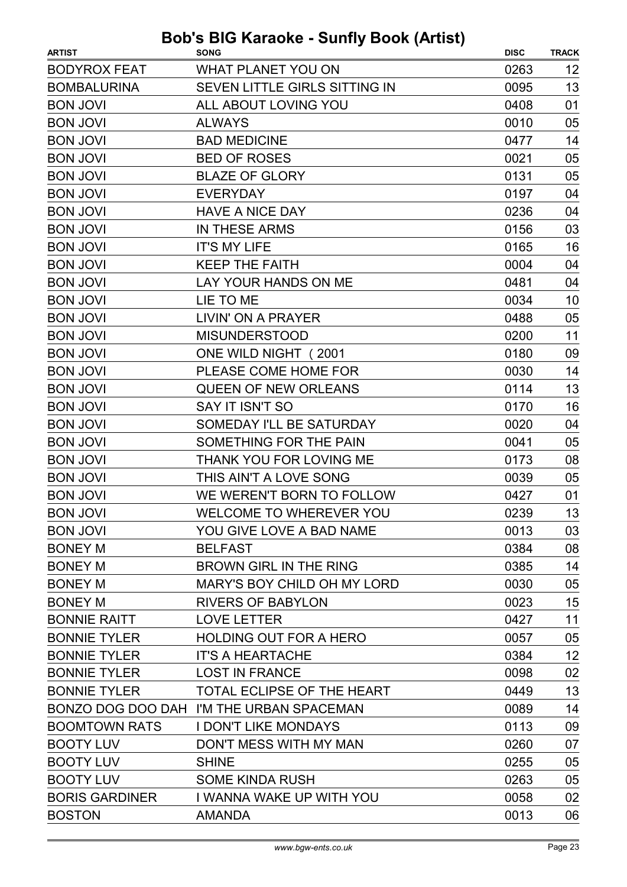| <b>ARTIST</b>         | wwww www.ii<br><b>SONG</b>               | <b>DISC</b> | <b>TRACK</b> |
|-----------------------|------------------------------------------|-------------|--------------|
| <b>BODYROX FEAT</b>   | <b>WHAT PLANET YOU ON</b>                | 0263        | 12           |
| <b>BOMBALURINA</b>    | SEVEN LITTLE GIRLS SITTING IN            | 0095        | 13           |
| <b>BON JOVI</b>       | ALL ABOUT LOVING YOU                     | 0408        | 01           |
| <b>BON JOVI</b>       | <b>ALWAYS</b>                            | 0010        | 05           |
| <b>BON JOVI</b>       | <b>BAD MEDICINE</b>                      | 0477        | 14           |
| <b>BON JOVI</b>       | <b>BED OF ROSES</b>                      | 0021        | 05           |
| <b>BON JOVI</b>       | <b>BLAZE OF GLORY</b>                    | 0131        | 05           |
| <b>BON JOVI</b>       | <b>EVERYDAY</b>                          | 0197        | 04           |
| <b>BON JOVI</b>       | <b>HAVE A NICE DAY</b>                   | 0236        | 04           |
| <b>BON JOVI</b>       | IN THESE ARMS                            | 0156        | 03           |
| <b>BON JOVI</b>       | <b>IT'S MY LIFE</b>                      | 0165        | 16           |
| <b>BON JOVI</b>       | <b>KEEP THE FAITH</b>                    | 0004        | 04           |
| <b>BON JOVI</b>       | LAY YOUR HANDS ON ME                     | 0481        | 04           |
| <b>BON JOVI</b>       | LIE TO ME                                | 0034        | 10           |
| <b>BON JOVI</b>       | LIVIN' ON A PRAYER                       | 0488        | 05           |
| <b>BON JOVI</b>       | <b>MISUNDERSTOOD</b>                     | 0200        | 11           |
| <b>BON JOVI</b>       | ONE WILD NIGHT (2001                     | 0180        | 09           |
| <b>BON JOVI</b>       | PLEASE COME HOME FOR                     | 0030        | 14           |
| <b>BON JOVI</b>       | <b>QUEEN OF NEW ORLEANS</b>              | 0114        | 13           |
| <b>BON JOVI</b>       | SAY IT ISN'T SO                          | 0170        | 16           |
| <b>BON JOVI</b>       | SOMEDAY I'LL BE SATURDAY                 | 0020        | 04           |
| <b>BON JOVI</b>       | SOMETHING FOR THE PAIN                   | 0041        | 05           |
| <b>BON JOVI</b>       | THANK YOU FOR LOVING ME                  | 0173        | 08           |
| <b>BON JOVI</b>       | THIS AIN'T A LOVE SONG                   | 0039        | 05           |
| <b>BON JOVI</b>       | WE WEREN'T BORN TO FOLLOW                | 0427        | 01           |
| <b>BON JOVI</b>       | WELCOME TO WHEREVER YOU                  | 0239        | 13           |
| <b>BON JOVI</b>       | YOU GIVE LOVE A BAD NAME                 | 0013        | 03           |
| <b>BONEY M</b>        | <b>BELFAST</b>                           | 0384        | 08           |
| <b>BONEY M</b>        | <b>BROWN GIRL IN THE RING</b>            | 0385        | 14           |
| <b>BONEY M</b>        | <b>MARY'S BOY CHILD OH MY LORD</b>       | 0030        | 05           |
| <b>BONEY M</b>        | <b>RIVERS OF BABYLON</b>                 | 0023        | 15           |
| <b>BONNIE RAITT</b>   | <b>LOVE LETTER</b>                       | 0427        | 11           |
| <b>BONNIE TYLER</b>   | <b>HOLDING OUT FOR A HERO</b>            | 0057        | 05           |
| <b>BONNIE TYLER</b>   | <b>IT'S A HEARTACHE</b>                  | 0384        | 12           |
| <b>BONNIE TYLER</b>   | <b>LOST IN FRANCE</b>                    | 0098        | 02           |
| <b>BONNIE TYLER</b>   | TOTAL ECLIPSE OF THE HEART               | 0449        | 13           |
|                       | BONZO DOG DOO DAH I'M THE URBAN SPACEMAN | 0089        | 14           |
| <b>BOOMTOWN RATS</b>  | <b>I DON'T LIKE MONDAYS</b>              | 0113        | 09           |
| <b>BOOTY LUV</b>      | DON'T MESS WITH MY MAN                   | 0260        | 07           |
| <b>BOOTY LUV</b>      | <b>SHINE</b>                             | 0255        | 05           |
| <b>BOOTY LUV</b>      | <b>SOME KINDA RUSH</b>                   | 0263        | 05           |
| <b>BORIS GARDINER</b> | I WANNA WAKE UP WITH YOU                 | 0058        | 02           |
| <b>BOSTON</b>         | <b>AMANDA</b>                            | 0013        | 06           |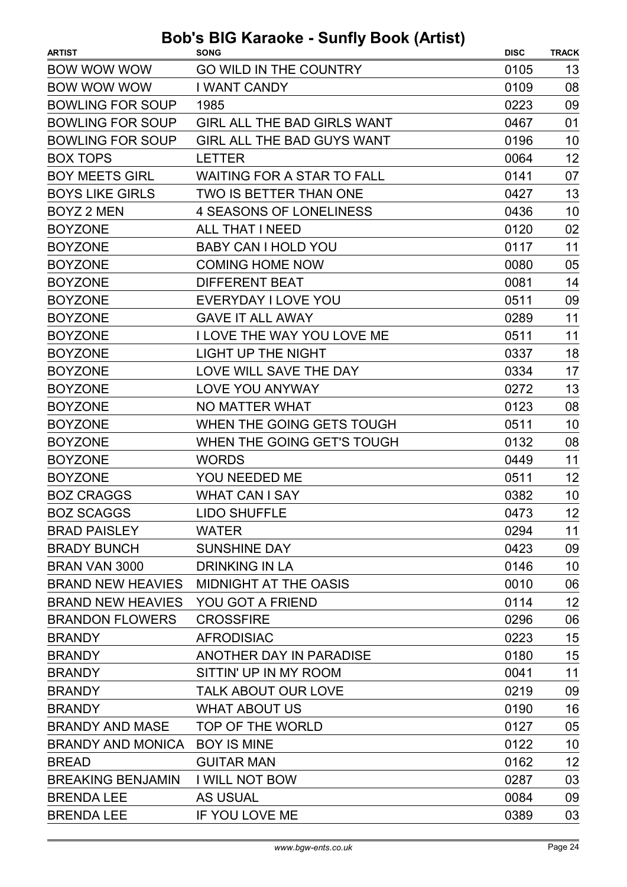| <b>ARTIST</b>            | <b>SONG</b>                        | <b>DISC</b> | <b>TRACK</b> |
|--------------------------|------------------------------------|-------------|--------------|
| <b>BOW WOW WOW</b>       | <b>GO WILD IN THE COUNTRY</b>      | 0105        | 13           |
| <b>BOW WOW WOW</b>       | <b>I WANT CANDY</b>                | 0109        | 08           |
| <b>BOWLING FOR SOUP</b>  | 1985                               | 0223        | 09           |
| <b>BOWLING FOR SOUP</b>  | <b>GIRL ALL THE BAD GIRLS WANT</b> | 0467        | 01           |
| <b>BOWLING FOR SOUP</b>  | <b>GIRL ALL THE BAD GUYS WANT</b>  | 0196        | 10           |
| <b>BOX TOPS</b>          | <b>LETTER</b>                      | 0064        | 12           |
| <b>BOY MEETS GIRL</b>    | <b>WAITING FOR A STAR TO FALL</b>  | 0141        | 07           |
| <b>BOYS LIKE GIRLS</b>   | <b>TWO IS BETTER THAN ONE</b>      | 0427        | 13           |
| <b>BOYZ 2 MEN</b>        | <b>4 SEASONS OF LONELINESS</b>     | 0436        | 10           |
| <b>BOYZONE</b>           | <b>ALL THAT I NEED</b>             | 0120        | 02           |
| <b>BOYZONE</b>           | <b>BABY CAN I HOLD YOU</b>         | 0117        | 11           |
| <b>BOYZONE</b>           | <b>COMING HOME NOW</b>             | 0080        | 05           |
| <b>BOYZONE</b>           | <b>DIFFERENT BEAT</b>              | 0081        | 14           |
| <b>BOYZONE</b>           | EVERYDAY I LOVE YOU                | 0511        | 09           |
| <b>BOYZONE</b>           | <b>GAVE IT ALL AWAY</b>            | 0289        | 11           |
| <b>BOYZONE</b>           | <b>I LOVE THE WAY YOU LOVE ME</b>  | 0511        | 11           |
| <b>BOYZONE</b>           | <b>LIGHT UP THE NIGHT</b>          | 0337        | 18           |
| <b>BOYZONE</b>           | LOVE WILL SAVE THE DAY             | 0334        | 17           |
| <b>BOYZONE</b>           | <b>LOVE YOU ANYWAY</b>             | 0272        | 13           |
| <b>BOYZONE</b>           | <b>NO MATTER WHAT</b>              | 0123        | 08           |
| <b>BOYZONE</b>           | WHEN THE GOING GETS TOUGH          | 0511        | 10           |
| <b>BOYZONE</b>           | WHEN THE GOING GET'S TOUGH         | 0132        | 08           |
| <b>BOYZONE</b>           | <b>WORDS</b>                       | 0449        | 11           |
| <b>BOYZONE</b>           | YOU NEEDED ME                      | 0511        | 12           |
| <b>BOZ CRAGGS</b>        | <b>WHAT CAN I SAY</b>              | 0382        | 10           |
| <b>BOZ SCAGGS</b>        | <b>LIDO SHUFFLE</b>                | 0473        | 12           |
| <b>BRAD PAISLEY</b>      | <b>WATER</b>                       | 0294        | 11           |
| <b>BRADY BUNCH</b>       | <b>SUNSHINE DAY</b>                | 0423        | 09           |
| <b>BRAN VAN 3000</b>     | <b>DRINKING IN LA</b>              | 0146        | 10           |
| <b>BRAND NEW HEAVIES</b> | <b>MIDNIGHT AT THE OASIS</b>       | 0010        | 06           |
| <b>BRAND NEW HEAVIES</b> | <b>YOU GOT A FRIEND</b>            | 0114        | 12           |
| <b>BRANDON FLOWERS</b>   | <b>CROSSFIRE</b>                   | 0296        | 06           |
| <b>BRANDY</b>            | <b>AFRODISIAC</b>                  | 0223        | 15           |
| <b>BRANDY</b>            | ANOTHER DAY IN PARADISE            | 0180        | 15           |
| <b>BRANDY</b>            | SITTIN' UP IN MY ROOM              | 0041        | 11           |
| <b>BRANDY</b>            | <b>TALK ABOUT OUR LOVE</b>         | 0219        | 09           |
| <b>BRANDY</b>            | <b>WHAT ABOUT US</b>               | 0190        | 16           |
| <b>BRANDY AND MASE</b>   | TOP OF THE WORLD                   | 0127        | 05           |
| <b>BRANDY AND MONICA</b> | <b>BOY IS MINE</b>                 | 0122        | 10           |
| <b>BREAD</b>             | <b>GUITAR MAN</b>                  | 0162        | 12           |
| <b>BREAKING BENJAMIN</b> | <b>I WILL NOT BOW</b>              | 0287        | 03           |
| <b>BRENDA LEE</b>        | <b>AS USUAL</b>                    | 0084        | 09           |
| <b>BRENDA LEE</b>        | IF YOU LOVE ME                     | 0389        | 03           |
|                          |                                    |             |              |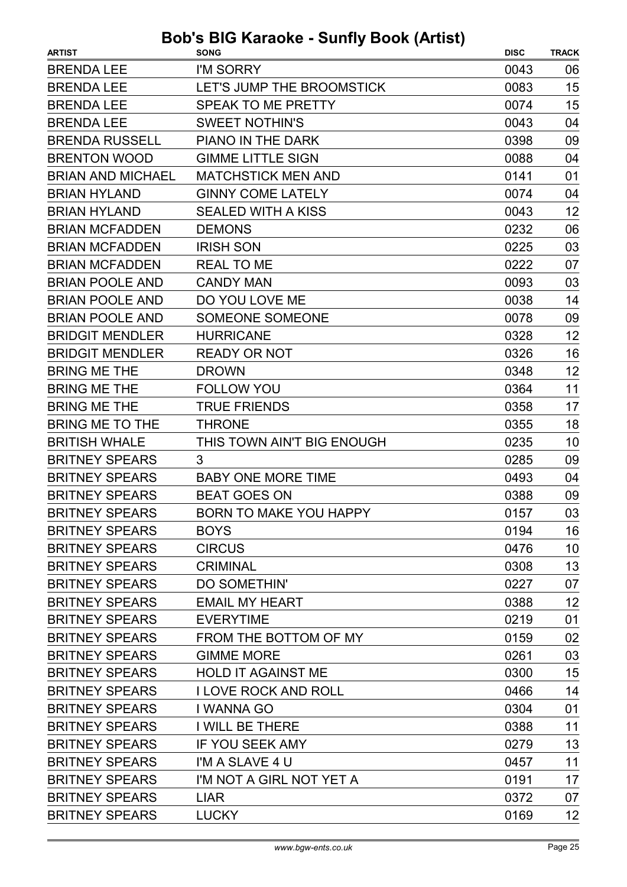| I'M SORRY<br><b>BRENDA LEE</b><br>0043                        |    |
|---------------------------------------------------------------|----|
|                                                               | 06 |
| <b>BRENDA LEE</b><br>LET'S JUMP THE BROOMSTICK<br>0083        | 15 |
| <b>BRENDA LEE</b><br>SPEAK TO ME PRETTY<br>0074               | 15 |
| <b>BRENDA LEE</b><br><b>SWEET NOTHIN'S</b><br>0043            | 04 |
| <b>BRENDA RUSSELL</b><br><b>PIANO IN THE DARK</b><br>0398     | 09 |
| <b>BRENTON WOOD</b><br><b>GIMME LITTLE SIGN</b><br>0088       | 04 |
| <b>BRIAN AND MICHAEL</b><br><b>MATCHSTICK MEN AND</b><br>0141 | 01 |
| <b>GINNY COME LATELY</b><br><b>BRIAN HYLAND</b><br>0074       | 04 |
| <b>BRIAN HYLAND</b><br><b>SEALED WITH A KISS</b><br>0043      | 12 |
| <b>BRIAN MCFADDEN</b><br><b>DEMONS</b><br>0232                | 06 |
| <b>BRIAN MCFADDEN</b><br><b>IRISH SON</b><br>0225             | 03 |
| <b>BRIAN MCFADDEN</b><br><b>REAL TO ME</b><br>0222            | 07 |
| <b>BRIAN POOLE AND</b><br><b>CANDY MAN</b><br>0093            | 03 |
| <b>BRIAN POOLE AND</b><br>DO YOU LOVE ME<br>0038              | 14 |
| <b>BRIAN POOLE AND</b><br><b>SOMEONE SOMEONE</b><br>0078      | 09 |
| <b>BRIDGIT MENDLER</b><br><b>HURRICANE</b><br>0328            | 12 |
| <b>BRIDGIT MENDLER</b><br><b>READY OR NOT</b><br>0326         | 16 |
| <b>BRING ME THE</b><br><b>DROWN</b><br>0348                   | 12 |
| <b>BRING ME THE</b><br><b>FOLLOW YOU</b><br>0364              | 11 |
| <b>BRING ME THE</b><br><b>TRUE FRIENDS</b><br>0358            | 17 |
| <b>BRING ME TO THE</b><br>0355<br><b>THRONE</b>               | 18 |
| <b>BRITISH WHALE</b><br>THIS TOWN AIN'T BIG ENOUGH<br>0235    | 10 |
| <b>BRITNEY SPEARS</b><br>3<br>0285                            | 09 |
| <b>BRITNEY SPEARS</b><br><b>BABY ONE MORE TIME</b><br>0493    | 04 |
| <b>BRITNEY SPEARS</b><br><b>BEAT GOES ON</b><br>0388          | 09 |
| <b>BRITNEY SPEARS</b><br>BORN TO MAKE YOU HAPPY<br>0157       | 03 |
| <b>BRITNEY SPEARS</b><br><b>BOYS</b><br>0194                  | 16 |
| <b>BRITNEY SPEARS</b><br><b>CIRCUS</b><br>0476                | 10 |
| <b>BRITNEY SPEARS</b><br><b>CRIMINAL</b><br>0308              | 13 |
| <b>BRITNEY SPEARS</b><br><b>DO SOMETHIN'</b><br>0227          | 07 |
| <b>BRITNEY SPEARS</b><br><b>EMAIL MY HEART</b><br>0388        | 12 |
| <b>BRITNEY SPEARS</b><br><b>EVERYTIME</b><br>0219             | 01 |
| <b>BRITNEY SPEARS</b><br>FROM THE BOTTOM OF MY<br>0159        | 02 |
| <b>BRITNEY SPEARS</b><br><b>GIMME MORE</b><br>0261            | 03 |
| <b>BRITNEY SPEARS</b><br><b>HOLD IT AGAINST ME</b><br>0300    | 15 |
| <b>BRITNEY SPEARS</b><br><b>I LOVE ROCK AND ROLL</b><br>0466  | 14 |
| <b>BRITNEY SPEARS</b><br>0304<br>I WANNA GO                   | 01 |
| <b>BRITNEY SPEARS</b><br>I WILL BE THERE<br>0388              | 11 |
| <b>BRITNEY SPEARS</b><br><b>IF YOU SEEK AMY</b><br>0279       | 13 |
| <b>BRITNEY SPEARS</b><br>I'M A SLAVE 4 U<br>0457              | 11 |
| <b>BRITNEY SPEARS</b><br>I'M NOT A GIRL NOT YET A<br>0191     | 17 |
| <b>BRITNEY SPEARS</b><br>0372<br><b>LIAR</b>                  | 07 |
| <b>BRITNEY SPEARS</b><br><b>LUCKY</b><br>0169                 | 12 |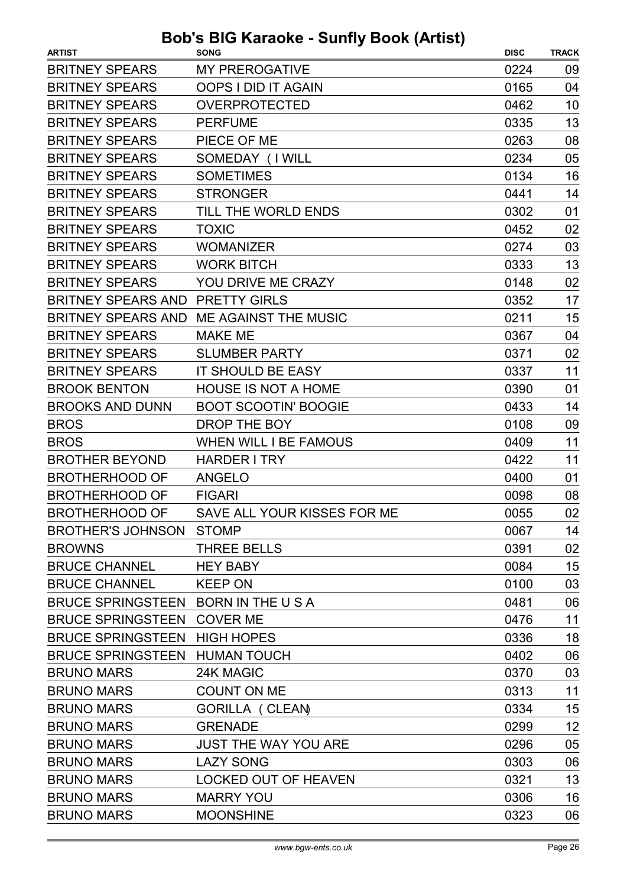| <b>ARTIST</b>                       | .wv.v vw<br><b>SONG</b>      | <b>DISC</b> | <b>TRACK</b> |
|-------------------------------------|------------------------------|-------------|--------------|
| <b>BRITNEY SPEARS</b>               | <b>MY PREROGATIVE</b>        | 0224        | 09           |
| <b>BRITNEY SPEARS</b>               | <b>OOPS I DID IT AGAIN</b>   | 0165        | 04           |
| <b>BRITNEY SPEARS</b>               | <b>OVERPROTECTED</b>         | 0462        | 10           |
| <b>BRITNEY SPEARS</b>               | <b>PERFUME</b>               | 0335        | 13           |
| <b>BRITNEY SPEARS</b>               | PIECE OF ME                  | 0263        | 08           |
| <b>BRITNEY SPEARS</b>               | SOMEDAY (I WILL              | 0234        | 05           |
| <b>BRITNEY SPEARS</b>               | <b>SOMETIMES</b>             | 0134        | 16           |
| <b>BRITNEY SPEARS</b>               | <b>STRONGER</b>              | 0441        | 14           |
| <b>BRITNEY SPEARS</b>               | TILL THE WORLD ENDS          | 0302        | 01           |
| <b>BRITNEY SPEARS</b>               | <b>TOXIC</b>                 | 0452        | 02           |
| <b>BRITNEY SPEARS</b>               | <b>WOMANIZER</b>             | 0274        | 03           |
| <b>BRITNEY SPEARS</b>               | <b>WORK BITCH</b>            | 0333        | 13           |
| <b>BRITNEY SPEARS</b>               | YOU DRIVE ME CRAZY           | 0148        | 02           |
| BRITNEY SPEARS AND PRETTY GIRLS     |                              | 0352        | 17           |
| <b>BRITNEY SPEARS AND</b>           | ME AGAINST THE MUSIC         | 0211        | 15           |
| <b>BRITNEY SPEARS</b>               | <b>MAKE ME</b>               | 0367        | 04           |
| <b>BRITNEY SPEARS</b>               | <b>SLUMBER PARTY</b>         | 0371        | 02           |
| <b>BRITNEY SPEARS</b>               | <b>IT SHOULD BE EASY</b>     | 0337        | 11           |
| <b>BROOK BENTON</b>                 | <b>HOUSE IS NOT A HOME</b>   | 0390        | 01           |
| <b>BROOKS AND DUNN</b>              | <b>BOOT SCOOTIN' BOOGIE</b>  | 0433        | 14           |
| <b>BROS</b>                         | DROP THE BOY                 | 0108        | 09           |
| <b>BROS</b>                         | <b>WHEN WILL I BE FAMOUS</b> | 0409        | 11           |
| <b>BROTHER BEYOND</b>               | <b>HARDER I TRY</b>          | 0422        | 11           |
| <b>BROTHERHOOD OF</b>               | <b>ANGELO</b>                | 0400        | 01           |
| <b>BROTHERHOOD OF</b>               | <b>FIGARI</b>                | 0098        | 08           |
| <b>BROTHERHOOD OF</b>               | SAVE ALL YOUR KISSES FOR ME  | 0055        | 02           |
| <b>BROTHER'S JOHNSON</b>            | <b>STOMP</b>                 | 0067        | 14           |
| <b>BROWNS</b>                       | <b>THREE BELLS</b>           | 0391        | 02           |
| <b>BRUCE CHANNEL</b>                | <b>HEY BABY</b>              | 0084        | 15           |
| <b>BRUCE CHANNEL</b>                | <b>KEEP ON</b>               | 0100        | 03           |
| BRUCE SPRINGSTEEN BORN IN THE U S A |                              | 0481        | 06           |
| BRUCE SPRINGSTEEN COVER ME          |                              | 0476        | 11           |
| <b>BRUCE SPRINGSTEEN HIGH HOPES</b> |                              | 0336        | 18           |
| BRUCE SPRINGSTEEN HUMAN TOUCH       |                              | 0402        | 06           |
| <b>BRUNO MARS</b>                   | 24K MAGIC                    | 0370        | 03           |
| <b>BRUNO MARS</b>                   | <b>COUNT ON ME</b>           | 0313        | 11           |
| <b>BRUNO MARS</b>                   | <b>GORILLA ( CLEAN)</b>      | 0334        | 15           |
| <b>BRUNO MARS</b>                   | <b>GRENADE</b>               | 0299        | 12           |
| <b>BRUNO MARS</b>                   | JUST THE WAY YOU ARE         | 0296        | 05           |
| <b>BRUNO MARS</b>                   | <b>LAZY SONG</b>             | 0303        | 06           |
| <b>BRUNO MARS</b>                   | <b>LOCKED OUT OF HEAVEN</b>  | 0321        | 13           |
| <b>BRUNO MARS</b>                   | <b>MARRY YOU</b>             | 0306        | 16           |
| <b>BRUNO MARS</b>                   | <b>MOONSHINE</b>             | 0323        | 06           |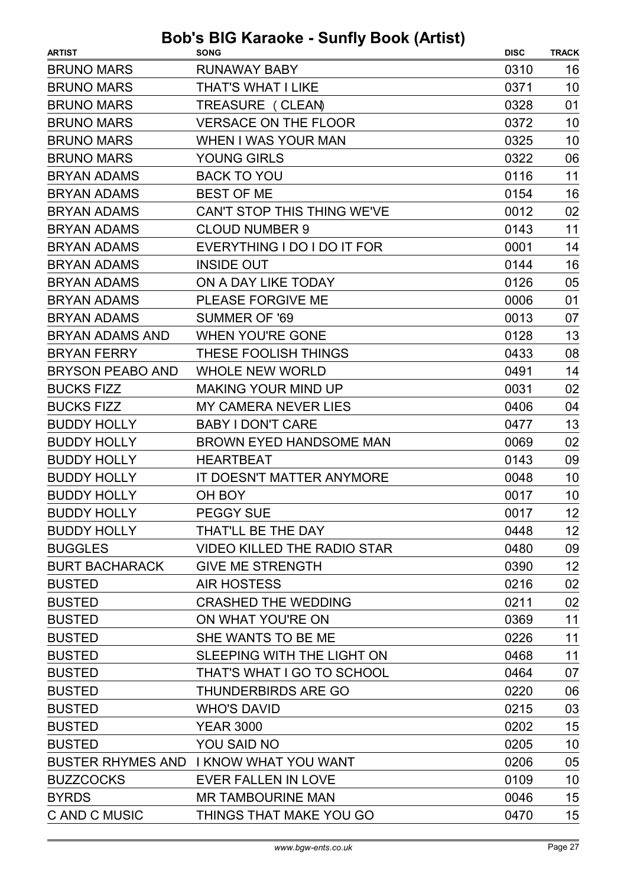| <b>ARTIST</b>           | <b>SONG</b>                            | <b>DISC</b> | <b>TRACK</b> |
|-------------------------|----------------------------------------|-------------|--------------|
| <b>BRUNO MARS</b>       | <b>RUNAWAY BABY</b>                    | 0310        | 16           |
| <b>BRUNO MARS</b>       | THAT'S WHAT I LIKE                     | 0371        | 10           |
| <b>BRUNO MARS</b>       | TREASURE (CLEAN)                       | 0328        | 01           |
| <b>BRUNO MARS</b>       | <b>VERSACE ON THE FLOOR</b>            | 0372        | 10           |
| <b>BRUNO MARS</b>       | WHEN I WAS YOUR MAN                    | 0325        | 10           |
| <b>BRUNO MARS</b>       | <b>YOUNG GIRLS</b>                     | 0322        | 06           |
| <b>BRYAN ADAMS</b>      | <b>BACK TO YOU</b>                     | 0116        | 11           |
| <b>BRYAN ADAMS</b>      | <b>BEST OF ME</b>                      | 0154        | 16           |
| <b>BRYAN ADAMS</b>      | CAN'T STOP THIS THING WE'VE            | 0012        | 02           |
| <b>BRYAN ADAMS</b>      | <b>CLOUD NUMBER 9</b>                  | 0143        | 11           |
| <b>BRYAN ADAMS</b>      | EVERYTHING I DO I DO IT FOR            | 0001        | 14           |
| <b>BRYAN ADAMS</b>      | <b>INSIDE OUT</b>                      | 0144        | 16           |
| <b>BRYAN ADAMS</b>      | ON A DAY LIKE TODAY                    | 0126        | 05           |
| <b>BRYAN ADAMS</b>      | PLEASE FORGIVE ME                      | 0006        | 01           |
| <b>BRYAN ADAMS</b>      | <b>SUMMER OF '69</b>                   | 0013        | 07           |
| <b>BRYAN ADAMS AND</b>  | <b>WHEN YOU'RE GONE</b>                | 0128        | 13           |
| <b>BRYAN FERRY</b>      | THESE FOOLISH THINGS                   | 0433        | 08           |
| <b>BRYSON PEABO AND</b> | <b>WHOLE NEW WORLD</b>                 | 0491        | 14           |
| <b>BUCKS FIZZ</b>       | <b>MAKING YOUR MIND UP</b>             | 0031        | 02           |
| <b>BUCKS FIZZ</b>       | <b>MY CAMERA NEVER LIES</b>            | 0406        | 04           |
| <b>BUDDY HOLLY</b>      | <b>BABY I DON'T CARE</b>               | 0477        | 13           |
| <b>BUDDY HOLLY</b>      | <b>BROWN EYED HANDSOME MAN</b>         | 0069        | 02           |
| <b>BUDDY HOLLY</b>      | <b>HEARTBEAT</b>                       | 0143        | 09           |
| <b>BUDDY HOLLY</b>      | IT DOESN'T MATTER ANYMORE              | 0048        | 10           |
| <b>BUDDY HOLLY</b>      | OH BOY                                 | 0017        | 10           |
| <b>BUDDY HOLLY</b>      | <b>PEGGY SUE</b>                       | 0017        | 12           |
| <b>BUDDY HOLLY</b>      | THAT'LL BE THE DAY                     | 0448        | 12           |
| <b>BUGGLES</b>          | <b>VIDEO KILLED THE RADIO STAR</b>     | 0480        | 09           |
| <b>BURT BACHARACK</b>   | <b>GIVE ME STRENGTH</b>                | 0390        | 12           |
| <b>BUSTED</b>           | <b>AIR HOSTESS</b>                     | 0216        | 02           |
| <b>BUSTED</b>           | <b>CRASHED THE WEDDING</b>             | 0211        | 02           |
| <b>BUSTED</b>           | ON WHAT YOU'RE ON                      | 0369        | 11           |
| <b>BUSTED</b>           | SHE WANTS TO BE ME                     | 0226        | 11           |
| <b>BUSTED</b>           | SLEEPING WITH THE LIGHT ON             | 0468        | 11           |
| <b>BUSTED</b>           | THAT'S WHAT I GO TO SCHOOL             | 0464        | 07           |
| <b>BUSTED</b>           | <b>THUNDERBIRDS ARE GO</b>             | 0220        | 06           |
| <b>BUSTED</b>           | <b>WHO'S DAVID</b>                     | 0215        | 03           |
| <b>BUSTED</b>           | <b>YEAR 3000</b>                       | 0202        | 15           |
| <b>BUSTED</b>           | YOU SAID NO                            | 0205        | 10           |
|                         | BUSTER RHYMES AND I KNOW WHAT YOU WANT | 0206        | 05           |
| <b>BUZZCOCKS</b>        | EVER FALLEN IN LOVE                    | 0109        | 10           |
| <b>BYRDS</b>            | <b>MR TAMBOURINE MAN</b>               | 0046        | 15           |
| C AND C MUSIC           | THINGS THAT MAKE YOU GO                | 0470        | 15           |
|                         |                                        |             |              |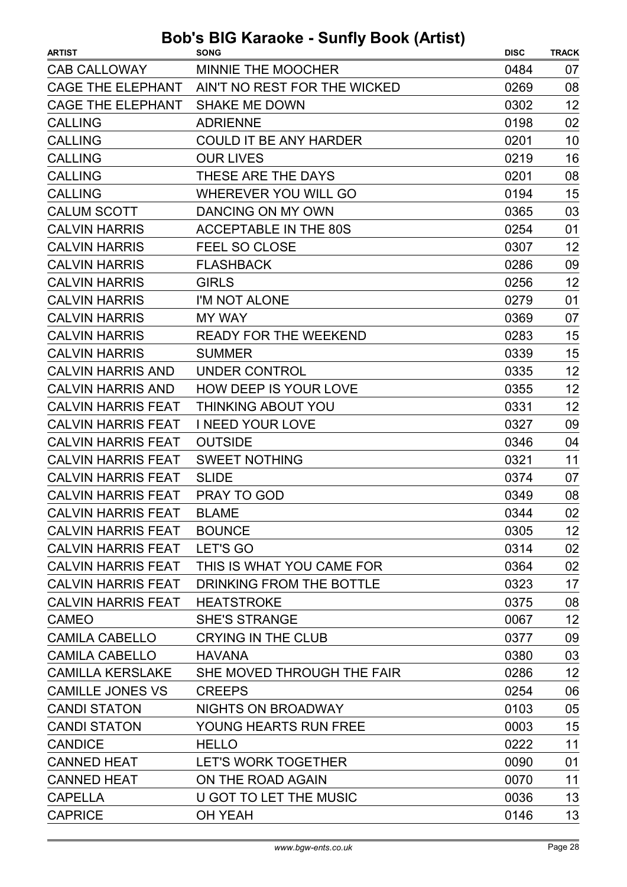| <b>CAB CALLOWAY</b><br><b>MINNIE THE MOOCHER</b><br>0484<br>07<br>CAGE THE ELEPHANT AIN'T NO REST FOR THE WICKED<br>08<br>0269<br>12<br><b>CAGE THE ELEPHANT</b><br><b>SHAKE ME DOWN</b><br>0302<br>02<br><b>ADRIENNE</b><br>0198<br><b>CALLING</b><br><b>CALLING</b><br><b>COULD IT BE ANY HARDER</b><br>0201<br>10<br>16<br><b>CALLING</b><br><b>OUR LIVES</b><br>0219<br>08<br><b>CALLING</b><br>THESE ARE THE DAYS<br>0201<br>15<br><b>WHEREVER YOU WILL GO</b><br>0194<br><b>CALLING</b><br>03<br><b>CALUM SCOTT</b><br>DANCING ON MY OWN<br>0365<br><b>CALVIN HARRIS</b><br><b>ACCEPTABLE IN THE 80S</b><br>01<br>0254<br>12<br><b>CALVIN HARRIS</b><br><b>FEEL SO CLOSE</b><br>0307<br>09<br><b>FLASHBACK</b><br>0286<br><b>CALVIN HARRIS</b><br>12<br><b>CALVIN HARRIS</b><br><b>GIRLS</b><br>0256<br><b>CALVIN HARRIS</b><br>01<br>I'M NOT ALONE<br>0279<br>07<br><b>CALVIN HARRIS</b><br><b>MY WAY</b><br>0369<br><b>CALVIN HARRIS</b><br>0283<br>15<br><b>READY FOR THE WEEKEND</b><br>15<br><b>CALVIN HARRIS</b><br><b>SUMMER</b><br>0339<br>12<br><b>CALVIN HARRIS AND</b><br>0335<br>UNDER CONTROL<br>12<br><b>CALVIN HARRIS AND</b><br><b>HOW DEEP IS YOUR LOVE</b><br>0355<br>12<br>THINKING ABOUT YOU<br>0331<br><b>CALVIN HARRIS FEAT</b><br><b>CALVIN HARRIS FEAT</b><br><b>I NEED YOUR LOVE</b><br>0327<br>09<br><b>OUTSIDE</b><br>04<br><b>CALVIN HARRIS FEAT</b><br>0346<br>0321<br>11<br><b>CALVIN HARRIS FEAT</b><br><b>SWEET NOTHING</b><br><b>CALVIN HARRIS FEAT</b><br><b>SLIDE</b><br>0374<br>07<br><b>CALVIN HARRIS FEAT</b><br>0349<br>08<br><b>PRAY TO GOD</b><br>02<br>0344<br><b>CALVIN HARRIS FEAT</b><br><b>BLAME</b><br>12<br><b>CALVIN HARRIS FEAT</b><br><b>BOUNCE</b><br>0305<br>02<br>CALVIN HARRIS FEAT LET'S GO<br>0314<br>02<br>CALVIN HARRIS FEAT THIS IS WHAT YOU CAME FOR<br>0364<br>17<br><b>CALVIN HARRIS FEAT</b><br>DRINKING FROM THE BOTTLE<br>0323<br><b>HEATSTROKE</b><br>08<br><b>CALVIN HARRIS FEAT</b><br>0375<br>12<br><b>SHE'S STRANGE</b><br><b>CAMEO</b><br>0067<br>09<br><b>CAMILA CABELLO</b><br><b>CRYING IN THE CLUB</b><br>0377<br>03<br><b>CAMILA CABELLO</b><br>0380<br><b>HAVANA</b><br>12<br><b>CAMILLA KERSLAKE</b><br>SHE MOVED THROUGH THE FAIR<br>0286<br><b>CAMILLE JONES VS</b><br>06<br><b>CREEPS</b><br>0254<br><b>CANDI STATON</b><br><b>NIGHTS ON BROADWAY</b><br>0103<br>05<br>15<br><b>CANDI STATON</b><br><b>YOUNG HEARTS RUN FREE</b><br>0003<br>11<br>0222<br><b>CANDICE</b><br><b>HELLO</b><br><b>CANNED HEAT</b><br>01<br>LET'S WORK TOGETHER<br>0090<br><b>CANNED HEAT</b><br>ON THE ROAD AGAIN<br>11<br>0070<br>13<br><b>CAPELLA</b><br>U GOT TO LET THE MUSIC<br>0036<br>13<br><b>CAPRICE</b><br><b>OH YEAH</b><br>0146 | <b>ARTIST</b> | <b>SONG</b> | <b>DISC</b> | <b>TRACK</b> |
|------------------------------------------------------------------------------------------------------------------------------------------------------------------------------------------------------------------------------------------------------------------------------------------------------------------------------------------------------------------------------------------------------------------------------------------------------------------------------------------------------------------------------------------------------------------------------------------------------------------------------------------------------------------------------------------------------------------------------------------------------------------------------------------------------------------------------------------------------------------------------------------------------------------------------------------------------------------------------------------------------------------------------------------------------------------------------------------------------------------------------------------------------------------------------------------------------------------------------------------------------------------------------------------------------------------------------------------------------------------------------------------------------------------------------------------------------------------------------------------------------------------------------------------------------------------------------------------------------------------------------------------------------------------------------------------------------------------------------------------------------------------------------------------------------------------------------------------------------------------------------------------------------------------------------------------------------------------------------------------------------------------------------------------------------------------------------------------------------------------------------------------------------------------------------------------------------------------------------------------------------------------------------------------------------------------------------------------------------------------------------------------------------------------------------------------------------------------------------------------------------------------------------------------------------------------------------------------------------------------------------------------------------------------------------------------------------------------|---------------|-------------|-------------|--------------|
|                                                                                                                                                                                                                                                                                                                                                                                                                                                                                                                                                                                                                                                                                                                                                                                                                                                                                                                                                                                                                                                                                                                                                                                                                                                                                                                                                                                                                                                                                                                                                                                                                                                                                                                                                                                                                                                                                                                                                                                                                                                                                                                                                                                                                                                                                                                                                                                                                                                                                                                                                                                                                                                                                                                  |               |             |             |              |
|                                                                                                                                                                                                                                                                                                                                                                                                                                                                                                                                                                                                                                                                                                                                                                                                                                                                                                                                                                                                                                                                                                                                                                                                                                                                                                                                                                                                                                                                                                                                                                                                                                                                                                                                                                                                                                                                                                                                                                                                                                                                                                                                                                                                                                                                                                                                                                                                                                                                                                                                                                                                                                                                                                                  |               |             |             |              |
|                                                                                                                                                                                                                                                                                                                                                                                                                                                                                                                                                                                                                                                                                                                                                                                                                                                                                                                                                                                                                                                                                                                                                                                                                                                                                                                                                                                                                                                                                                                                                                                                                                                                                                                                                                                                                                                                                                                                                                                                                                                                                                                                                                                                                                                                                                                                                                                                                                                                                                                                                                                                                                                                                                                  |               |             |             |              |
|                                                                                                                                                                                                                                                                                                                                                                                                                                                                                                                                                                                                                                                                                                                                                                                                                                                                                                                                                                                                                                                                                                                                                                                                                                                                                                                                                                                                                                                                                                                                                                                                                                                                                                                                                                                                                                                                                                                                                                                                                                                                                                                                                                                                                                                                                                                                                                                                                                                                                                                                                                                                                                                                                                                  |               |             |             |              |
|                                                                                                                                                                                                                                                                                                                                                                                                                                                                                                                                                                                                                                                                                                                                                                                                                                                                                                                                                                                                                                                                                                                                                                                                                                                                                                                                                                                                                                                                                                                                                                                                                                                                                                                                                                                                                                                                                                                                                                                                                                                                                                                                                                                                                                                                                                                                                                                                                                                                                                                                                                                                                                                                                                                  |               |             |             |              |
|                                                                                                                                                                                                                                                                                                                                                                                                                                                                                                                                                                                                                                                                                                                                                                                                                                                                                                                                                                                                                                                                                                                                                                                                                                                                                                                                                                                                                                                                                                                                                                                                                                                                                                                                                                                                                                                                                                                                                                                                                                                                                                                                                                                                                                                                                                                                                                                                                                                                                                                                                                                                                                                                                                                  |               |             |             |              |
|                                                                                                                                                                                                                                                                                                                                                                                                                                                                                                                                                                                                                                                                                                                                                                                                                                                                                                                                                                                                                                                                                                                                                                                                                                                                                                                                                                                                                                                                                                                                                                                                                                                                                                                                                                                                                                                                                                                                                                                                                                                                                                                                                                                                                                                                                                                                                                                                                                                                                                                                                                                                                                                                                                                  |               |             |             |              |
|                                                                                                                                                                                                                                                                                                                                                                                                                                                                                                                                                                                                                                                                                                                                                                                                                                                                                                                                                                                                                                                                                                                                                                                                                                                                                                                                                                                                                                                                                                                                                                                                                                                                                                                                                                                                                                                                                                                                                                                                                                                                                                                                                                                                                                                                                                                                                                                                                                                                                                                                                                                                                                                                                                                  |               |             |             |              |
|                                                                                                                                                                                                                                                                                                                                                                                                                                                                                                                                                                                                                                                                                                                                                                                                                                                                                                                                                                                                                                                                                                                                                                                                                                                                                                                                                                                                                                                                                                                                                                                                                                                                                                                                                                                                                                                                                                                                                                                                                                                                                                                                                                                                                                                                                                                                                                                                                                                                                                                                                                                                                                                                                                                  |               |             |             |              |
|                                                                                                                                                                                                                                                                                                                                                                                                                                                                                                                                                                                                                                                                                                                                                                                                                                                                                                                                                                                                                                                                                                                                                                                                                                                                                                                                                                                                                                                                                                                                                                                                                                                                                                                                                                                                                                                                                                                                                                                                                                                                                                                                                                                                                                                                                                                                                                                                                                                                                                                                                                                                                                                                                                                  |               |             |             |              |
|                                                                                                                                                                                                                                                                                                                                                                                                                                                                                                                                                                                                                                                                                                                                                                                                                                                                                                                                                                                                                                                                                                                                                                                                                                                                                                                                                                                                                                                                                                                                                                                                                                                                                                                                                                                                                                                                                                                                                                                                                                                                                                                                                                                                                                                                                                                                                                                                                                                                                                                                                                                                                                                                                                                  |               |             |             |              |
|                                                                                                                                                                                                                                                                                                                                                                                                                                                                                                                                                                                                                                                                                                                                                                                                                                                                                                                                                                                                                                                                                                                                                                                                                                                                                                                                                                                                                                                                                                                                                                                                                                                                                                                                                                                                                                                                                                                                                                                                                                                                                                                                                                                                                                                                                                                                                                                                                                                                                                                                                                                                                                                                                                                  |               |             |             |              |
|                                                                                                                                                                                                                                                                                                                                                                                                                                                                                                                                                                                                                                                                                                                                                                                                                                                                                                                                                                                                                                                                                                                                                                                                                                                                                                                                                                                                                                                                                                                                                                                                                                                                                                                                                                                                                                                                                                                                                                                                                                                                                                                                                                                                                                                                                                                                                                                                                                                                                                                                                                                                                                                                                                                  |               |             |             |              |
|                                                                                                                                                                                                                                                                                                                                                                                                                                                                                                                                                                                                                                                                                                                                                                                                                                                                                                                                                                                                                                                                                                                                                                                                                                                                                                                                                                                                                                                                                                                                                                                                                                                                                                                                                                                                                                                                                                                                                                                                                                                                                                                                                                                                                                                                                                                                                                                                                                                                                                                                                                                                                                                                                                                  |               |             |             |              |
|                                                                                                                                                                                                                                                                                                                                                                                                                                                                                                                                                                                                                                                                                                                                                                                                                                                                                                                                                                                                                                                                                                                                                                                                                                                                                                                                                                                                                                                                                                                                                                                                                                                                                                                                                                                                                                                                                                                                                                                                                                                                                                                                                                                                                                                                                                                                                                                                                                                                                                                                                                                                                                                                                                                  |               |             |             |              |
|                                                                                                                                                                                                                                                                                                                                                                                                                                                                                                                                                                                                                                                                                                                                                                                                                                                                                                                                                                                                                                                                                                                                                                                                                                                                                                                                                                                                                                                                                                                                                                                                                                                                                                                                                                                                                                                                                                                                                                                                                                                                                                                                                                                                                                                                                                                                                                                                                                                                                                                                                                                                                                                                                                                  |               |             |             |              |
|                                                                                                                                                                                                                                                                                                                                                                                                                                                                                                                                                                                                                                                                                                                                                                                                                                                                                                                                                                                                                                                                                                                                                                                                                                                                                                                                                                                                                                                                                                                                                                                                                                                                                                                                                                                                                                                                                                                                                                                                                                                                                                                                                                                                                                                                                                                                                                                                                                                                                                                                                                                                                                                                                                                  |               |             |             |              |
|                                                                                                                                                                                                                                                                                                                                                                                                                                                                                                                                                                                                                                                                                                                                                                                                                                                                                                                                                                                                                                                                                                                                                                                                                                                                                                                                                                                                                                                                                                                                                                                                                                                                                                                                                                                                                                                                                                                                                                                                                                                                                                                                                                                                                                                                                                                                                                                                                                                                                                                                                                                                                                                                                                                  |               |             |             |              |
|                                                                                                                                                                                                                                                                                                                                                                                                                                                                                                                                                                                                                                                                                                                                                                                                                                                                                                                                                                                                                                                                                                                                                                                                                                                                                                                                                                                                                                                                                                                                                                                                                                                                                                                                                                                                                                                                                                                                                                                                                                                                                                                                                                                                                                                                                                                                                                                                                                                                                                                                                                                                                                                                                                                  |               |             |             |              |
|                                                                                                                                                                                                                                                                                                                                                                                                                                                                                                                                                                                                                                                                                                                                                                                                                                                                                                                                                                                                                                                                                                                                                                                                                                                                                                                                                                                                                                                                                                                                                                                                                                                                                                                                                                                                                                                                                                                                                                                                                                                                                                                                                                                                                                                                                                                                                                                                                                                                                                                                                                                                                                                                                                                  |               |             |             |              |
|                                                                                                                                                                                                                                                                                                                                                                                                                                                                                                                                                                                                                                                                                                                                                                                                                                                                                                                                                                                                                                                                                                                                                                                                                                                                                                                                                                                                                                                                                                                                                                                                                                                                                                                                                                                                                                                                                                                                                                                                                                                                                                                                                                                                                                                                                                                                                                                                                                                                                                                                                                                                                                                                                                                  |               |             |             |              |
|                                                                                                                                                                                                                                                                                                                                                                                                                                                                                                                                                                                                                                                                                                                                                                                                                                                                                                                                                                                                                                                                                                                                                                                                                                                                                                                                                                                                                                                                                                                                                                                                                                                                                                                                                                                                                                                                                                                                                                                                                                                                                                                                                                                                                                                                                                                                                                                                                                                                                                                                                                                                                                                                                                                  |               |             |             |              |
|                                                                                                                                                                                                                                                                                                                                                                                                                                                                                                                                                                                                                                                                                                                                                                                                                                                                                                                                                                                                                                                                                                                                                                                                                                                                                                                                                                                                                                                                                                                                                                                                                                                                                                                                                                                                                                                                                                                                                                                                                                                                                                                                                                                                                                                                                                                                                                                                                                                                                                                                                                                                                                                                                                                  |               |             |             |              |
|                                                                                                                                                                                                                                                                                                                                                                                                                                                                                                                                                                                                                                                                                                                                                                                                                                                                                                                                                                                                                                                                                                                                                                                                                                                                                                                                                                                                                                                                                                                                                                                                                                                                                                                                                                                                                                                                                                                                                                                                                                                                                                                                                                                                                                                                                                                                                                                                                                                                                                                                                                                                                                                                                                                  |               |             |             |              |
|                                                                                                                                                                                                                                                                                                                                                                                                                                                                                                                                                                                                                                                                                                                                                                                                                                                                                                                                                                                                                                                                                                                                                                                                                                                                                                                                                                                                                                                                                                                                                                                                                                                                                                                                                                                                                                                                                                                                                                                                                                                                                                                                                                                                                                                                                                                                                                                                                                                                                                                                                                                                                                                                                                                  |               |             |             |              |
|                                                                                                                                                                                                                                                                                                                                                                                                                                                                                                                                                                                                                                                                                                                                                                                                                                                                                                                                                                                                                                                                                                                                                                                                                                                                                                                                                                                                                                                                                                                                                                                                                                                                                                                                                                                                                                                                                                                                                                                                                                                                                                                                                                                                                                                                                                                                                                                                                                                                                                                                                                                                                                                                                                                  |               |             |             |              |
|                                                                                                                                                                                                                                                                                                                                                                                                                                                                                                                                                                                                                                                                                                                                                                                                                                                                                                                                                                                                                                                                                                                                                                                                                                                                                                                                                                                                                                                                                                                                                                                                                                                                                                                                                                                                                                                                                                                                                                                                                                                                                                                                                                                                                                                                                                                                                                                                                                                                                                                                                                                                                                                                                                                  |               |             |             |              |
|                                                                                                                                                                                                                                                                                                                                                                                                                                                                                                                                                                                                                                                                                                                                                                                                                                                                                                                                                                                                                                                                                                                                                                                                                                                                                                                                                                                                                                                                                                                                                                                                                                                                                                                                                                                                                                                                                                                                                                                                                                                                                                                                                                                                                                                                                                                                                                                                                                                                                                                                                                                                                                                                                                                  |               |             |             |              |
|                                                                                                                                                                                                                                                                                                                                                                                                                                                                                                                                                                                                                                                                                                                                                                                                                                                                                                                                                                                                                                                                                                                                                                                                                                                                                                                                                                                                                                                                                                                                                                                                                                                                                                                                                                                                                                                                                                                                                                                                                                                                                                                                                                                                                                                                                                                                                                                                                                                                                                                                                                                                                                                                                                                  |               |             |             |              |
|                                                                                                                                                                                                                                                                                                                                                                                                                                                                                                                                                                                                                                                                                                                                                                                                                                                                                                                                                                                                                                                                                                                                                                                                                                                                                                                                                                                                                                                                                                                                                                                                                                                                                                                                                                                                                                                                                                                                                                                                                                                                                                                                                                                                                                                                                                                                                                                                                                                                                                                                                                                                                                                                                                                  |               |             |             |              |
|                                                                                                                                                                                                                                                                                                                                                                                                                                                                                                                                                                                                                                                                                                                                                                                                                                                                                                                                                                                                                                                                                                                                                                                                                                                                                                                                                                                                                                                                                                                                                                                                                                                                                                                                                                                                                                                                                                                                                                                                                                                                                                                                                                                                                                                                                                                                                                                                                                                                                                                                                                                                                                                                                                                  |               |             |             |              |
|                                                                                                                                                                                                                                                                                                                                                                                                                                                                                                                                                                                                                                                                                                                                                                                                                                                                                                                                                                                                                                                                                                                                                                                                                                                                                                                                                                                                                                                                                                                                                                                                                                                                                                                                                                                                                                                                                                                                                                                                                                                                                                                                                                                                                                                                                                                                                                                                                                                                                                                                                                                                                                                                                                                  |               |             |             |              |
|                                                                                                                                                                                                                                                                                                                                                                                                                                                                                                                                                                                                                                                                                                                                                                                                                                                                                                                                                                                                                                                                                                                                                                                                                                                                                                                                                                                                                                                                                                                                                                                                                                                                                                                                                                                                                                                                                                                                                                                                                                                                                                                                                                                                                                                                                                                                                                                                                                                                                                                                                                                                                                                                                                                  |               |             |             |              |
|                                                                                                                                                                                                                                                                                                                                                                                                                                                                                                                                                                                                                                                                                                                                                                                                                                                                                                                                                                                                                                                                                                                                                                                                                                                                                                                                                                                                                                                                                                                                                                                                                                                                                                                                                                                                                                                                                                                                                                                                                                                                                                                                                                                                                                                                                                                                                                                                                                                                                                                                                                                                                                                                                                                  |               |             |             |              |
|                                                                                                                                                                                                                                                                                                                                                                                                                                                                                                                                                                                                                                                                                                                                                                                                                                                                                                                                                                                                                                                                                                                                                                                                                                                                                                                                                                                                                                                                                                                                                                                                                                                                                                                                                                                                                                                                                                                                                                                                                                                                                                                                                                                                                                                                                                                                                                                                                                                                                                                                                                                                                                                                                                                  |               |             |             |              |
|                                                                                                                                                                                                                                                                                                                                                                                                                                                                                                                                                                                                                                                                                                                                                                                                                                                                                                                                                                                                                                                                                                                                                                                                                                                                                                                                                                                                                                                                                                                                                                                                                                                                                                                                                                                                                                                                                                                                                                                                                                                                                                                                                                                                                                                                                                                                                                                                                                                                                                                                                                                                                                                                                                                  |               |             |             |              |
|                                                                                                                                                                                                                                                                                                                                                                                                                                                                                                                                                                                                                                                                                                                                                                                                                                                                                                                                                                                                                                                                                                                                                                                                                                                                                                                                                                                                                                                                                                                                                                                                                                                                                                                                                                                                                                                                                                                                                                                                                                                                                                                                                                                                                                                                                                                                                                                                                                                                                                                                                                                                                                                                                                                  |               |             |             |              |
|                                                                                                                                                                                                                                                                                                                                                                                                                                                                                                                                                                                                                                                                                                                                                                                                                                                                                                                                                                                                                                                                                                                                                                                                                                                                                                                                                                                                                                                                                                                                                                                                                                                                                                                                                                                                                                                                                                                                                                                                                                                                                                                                                                                                                                                                                                                                                                                                                                                                                                                                                                                                                                                                                                                  |               |             |             |              |
|                                                                                                                                                                                                                                                                                                                                                                                                                                                                                                                                                                                                                                                                                                                                                                                                                                                                                                                                                                                                                                                                                                                                                                                                                                                                                                                                                                                                                                                                                                                                                                                                                                                                                                                                                                                                                                                                                                                                                                                                                                                                                                                                                                                                                                                                                                                                                                                                                                                                                                                                                                                                                                                                                                                  |               |             |             |              |
|                                                                                                                                                                                                                                                                                                                                                                                                                                                                                                                                                                                                                                                                                                                                                                                                                                                                                                                                                                                                                                                                                                                                                                                                                                                                                                                                                                                                                                                                                                                                                                                                                                                                                                                                                                                                                                                                                                                                                                                                                                                                                                                                                                                                                                                                                                                                                                                                                                                                                                                                                                                                                                                                                                                  |               |             |             |              |
|                                                                                                                                                                                                                                                                                                                                                                                                                                                                                                                                                                                                                                                                                                                                                                                                                                                                                                                                                                                                                                                                                                                                                                                                                                                                                                                                                                                                                                                                                                                                                                                                                                                                                                                                                                                                                                                                                                                                                                                                                                                                                                                                                                                                                                                                                                                                                                                                                                                                                                                                                                                                                                                                                                                  |               |             |             |              |
|                                                                                                                                                                                                                                                                                                                                                                                                                                                                                                                                                                                                                                                                                                                                                                                                                                                                                                                                                                                                                                                                                                                                                                                                                                                                                                                                                                                                                                                                                                                                                                                                                                                                                                                                                                                                                                                                                                                                                                                                                                                                                                                                                                                                                                                                                                                                                                                                                                                                                                                                                                                                                                                                                                                  |               |             |             |              |
|                                                                                                                                                                                                                                                                                                                                                                                                                                                                                                                                                                                                                                                                                                                                                                                                                                                                                                                                                                                                                                                                                                                                                                                                                                                                                                                                                                                                                                                                                                                                                                                                                                                                                                                                                                                                                                                                                                                                                                                                                                                                                                                                                                                                                                                                                                                                                                                                                                                                                                                                                                                                                                                                                                                  |               |             |             |              |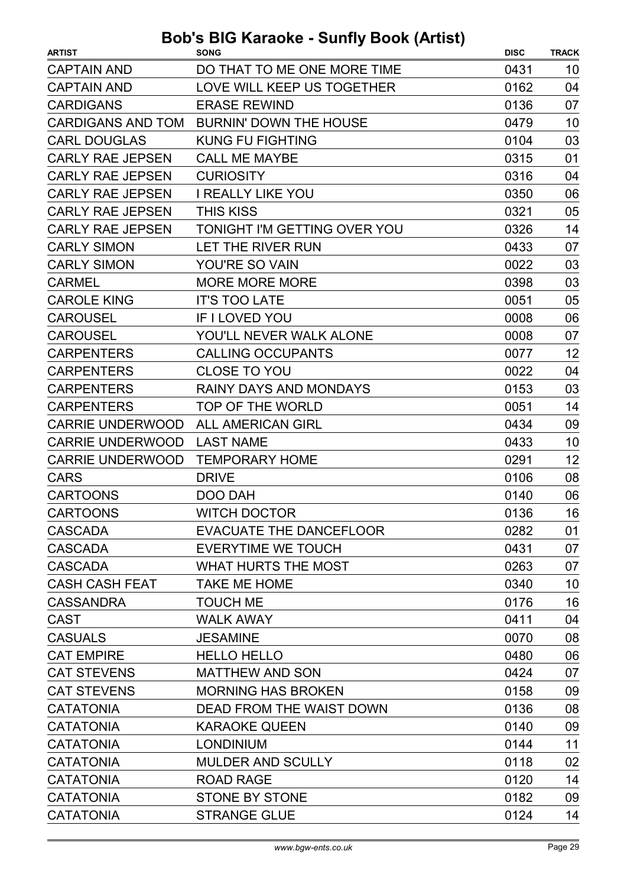| <b>CAPTAIN AND</b><br>DO THAT TO ME ONE MORE TIME<br>0431<br>10<br>LOVE WILL KEEP US TOGETHER<br><b>CAPTAIN AND</b><br>0162<br>04<br><b>CARDIGANS</b><br>0136<br>07<br><b>ERASE REWIND</b><br><b>CARDIGANS AND TOM</b><br><b>BURNIN' DOWN THE HOUSE</b><br>0479<br>10<br><b>CARL DOUGLAS</b><br><b>KUNG FU FIGHTING</b><br>0104<br>03<br><b>CARLY RAE JEPSEN</b><br><b>CALL ME MAYBE</b><br>0315<br>01<br><b>CARLY RAE JEPSEN</b><br>04<br><b>CURIOSITY</b><br>0316<br>06<br><b>CARLY RAE JEPSEN</b><br><b>I REALLY LIKE YOU</b><br>0350<br>05<br><b>CARLY RAE JEPSEN</b><br><b>THIS KISS</b><br>0321<br>TONIGHT I'M GETTING OVER YOU<br>0326<br>14<br><b>CARLY RAE JEPSEN</b><br><b>CARLY SIMON</b><br>LET THE RIVER RUN<br>0433<br>07<br><b>CARLY SIMON</b><br>YOU'RE SO VAIN<br>0022<br>03<br>03<br><b>MORE MORE MORE</b><br>0398<br><b>CARMEL</b><br><b>CAROLE KING</b><br><b>IT'S TOO LATE</b><br>0051<br>05<br><b>CAROUSEL</b><br><b>IF I LOVED YOU</b><br>0008<br>06<br>07<br><b>CAROUSEL</b><br>YOU'LL NEVER WALK ALONE<br>0008<br>12<br><b>CARPENTERS</b><br><b>CALLING OCCUPANTS</b><br>0077<br>04<br><b>CARPENTERS</b><br><b>CLOSE TO YOU</b><br>0022<br><b>CARPENTERS</b><br><b>RAINY DAYS AND MONDAYS</b><br>0153<br>03<br><b>CARPENTERS</b><br>TOP OF THE WORLD<br>0051<br>14<br>09<br><b>CARRIE UNDERWOOD</b><br><b>ALL AMERICAN GIRL</b><br>0434<br><b>CARRIE UNDERWOOD</b><br><b>LAST NAME</b><br>10<br>0433<br>12<br><b>CARRIE UNDERWOOD</b><br><b>TEMPORARY HOME</b><br>0291<br>08<br><b>CARS</b><br>0106<br><b>DRIVE</b><br><b>CARTOONS</b><br>DOO DAH<br>0140<br>06<br>16<br><b>WITCH DOCTOR</b><br>0136<br><b>CARTOONS</b><br><b>EVACUATE THE DANCEFLOOR</b><br><b>CASCADA</b><br>0282<br>01<br><b>EVERYTIME WE TOUCH</b><br>0431<br>07<br><b>CASCADA</b><br>07<br><b>CASCADA</b><br><b>WHAT HURTS THE MOST</b><br>0263<br><b>CASH CASH FEAT</b><br><b>TAKE ME HOME</b><br>0340<br>10<br>16<br><b>CASSANDRA</b><br><b>TOUCH ME</b><br>0176<br><b>CAST</b><br><b>WALK AWAY</b><br>0411<br>04<br><b>CASUALS</b><br>08<br><b>JESAMINE</b><br>0070<br><b>CAT EMPIRE</b><br><b>HELLO HELLO</b><br>06<br>0480<br><b>CAT STEVENS</b><br><b>MATTHEW AND SON</b><br>0424<br>07<br><b>CAT STEVENS</b><br><b>MORNING HAS BROKEN</b><br>0158<br>09<br><b>CATATONIA</b><br>DEAD FROM THE WAIST DOWN<br>08<br>0136<br><b>CATATONIA</b><br><b>KARAOKE QUEEN</b><br>09<br>0140<br><b>LONDINIUM</b><br>11<br><b>CATATONIA</b><br>0144<br><b>CATATONIA</b><br><b>MULDER AND SCULLY</b><br>0118<br>02<br><b>CATATONIA</b><br><b>ROAD RAGE</b><br>0120<br>14<br><b>CATATONIA</b><br><b>STONE BY STONE</b><br>09<br>0182<br><b>CATATONIA</b><br><b>STRANGE GLUE</b><br>0124<br>14 | <b>ARTIST</b> | <b>SONG</b> | <b>DISC</b> | <b>TRACK</b> |
|------------------------------------------------------------------------------------------------------------------------------------------------------------------------------------------------------------------------------------------------------------------------------------------------------------------------------------------------------------------------------------------------------------------------------------------------------------------------------------------------------------------------------------------------------------------------------------------------------------------------------------------------------------------------------------------------------------------------------------------------------------------------------------------------------------------------------------------------------------------------------------------------------------------------------------------------------------------------------------------------------------------------------------------------------------------------------------------------------------------------------------------------------------------------------------------------------------------------------------------------------------------------------------------------------------------------------------------------------------------------------------------------------------------------------------------------------------------------------------------------------------------------------------------------------------------------------------------------------------------------------------------------------------------------------------------------------------------------------------------------------------------------------------------------------------------------------------------------------------------------------------------------------------------------------------------------------------------------------------------------------------------------------------------------------------------------------------------------------------------------------------------------------------------------------------------------------------------------------------------------------------------------------------------------------------------------------------------------------------------------------------------------------------------------------------------------------------------------------------------------------------------------------------------------------------------------------------------------------------------------------------------------------------------------------------|---------------|-------------|-------------|--------------|
|                                                                                                                                                                                                                                                                                                                                                                                                                                                                                                                                                                                                                                                                                                                                                                                                                                                                                                                                                                                                                                                                                                                                                                                                                                                                                                                                                                                                                                                                                                                                                                                                                                                                                                                                                                                                                                                                                                                                                                                                                                                                                                                                                                                                                                                                                                                                                                                                                                                                                                                                                                                                                                                                                    |               |             |             |              |
|                                                                                                                                                                                                                                                                                                                                                                                                                                                                                                                                                                                                                                                                                                                                                                                                                                                                                                                                                                                                                                                                                                                                                                                                                                                                                                                                                                                                                                                                                                                                                                                                                                                                                                                                                                                                                                                                                                                                                                                                                                                                                                                                                                                                                                                                                                                                                                                                                                                                                                                                                                                                                                                                                    |               |             |             |              |
|                                                                                                                                                                                                                                                                                                                                                                                                                                                                                                                                                                                                                                                                                                                                                                                                                                                                                                                                                                                                                                                                                                                                                                                                                                                                                                                                                                                                                                                                                                                                                                                                                                                                                                                                                                                                                                                                                                                                                                                                                                                                                                                                                                                                                                                                                                                                                                                                                                                                                                                                                                                                                                                                                    |               |             |             |              |
|                                                                                                                                                                                                                                                                                                                                                                                                                                                                                                                                                                                                                                                                                                                                                                                                                                                                                                                                                                                                                                                                                                                                                                                                                                                                                                                                                                                                                                                                                                                                                                                                                                                                                                                                                                                                                                                                                                                                                                                                                                                                                                                                                                                                                                                                                                                                                                                                                                                                                                                                                                                                                                                                                    |               |             |             |              |
|                                                                                                                                                                                                                                                                                                                                                                                                                                                                                                                                                                                                                                                                                                                                                                                                                                                                                                                                                                                                                                                                                                                                                                                                                                                                                                                                                                                                                                                                                                                                                                                                                                                                                                                                                                                                                                                                                                                                                                                                                                                                                                                                                                                                                                                                                                                                                                                                                                                                                                                                                                                                                                                                                    |               |             |             |              |
|                                                                                                                                                                                                                                                                                                                                                                                                                                                                                                                                                                                                                                                                                                                                                                                                                                                                                                                                                                                                                                                                                                                                                                                                                                                                                                                                                                                                                                                                                                                                                                                                                                                                                                                                                                                                                                                                                                                                                                                                                                                                                                                                                                                                                                                                                                                                                                                                                                                                                                                                                                                                                                                                                    |               |             |             |              |
|                                                                                                                                                                                                                                                                                                                                                                                                                                                                                                                                                                                                                                                                                                                                                                                                                                                                                                                                                                                                                                                                                                                                                                                                                                                                                                                                                                                                                                                                                                                                                                                                                                                                                                                                                                                                                                                                                                                                                                                                                                                                                                                                                                                                                                                                                                                                                                                                                                                                                                                                                                                                                                                                                    |               |             |             |              |
|                                                                                                                                                                                                                                                                                                                                                                                                                                                                                                                                                                                                                                                                                                                                                                                                                                                                                                                                                                                                                                                                                                                                                                                                                                                                                                                                                                                                                                                                                                                                                                                                                                                                                                                                                                                                                                                                                                                                                                                                                                                                                                                                                                                                                                                                                                                                                                                                                                                                                                                                                                                                                                                                                    |               |             |             |              |
|                                                                                                                                                                                                                                                                                                                                                                                                                                                                                                                                                                                                                                                                                                                                                                                                                                                                                                                                                                                                                                                                                                                                                                                                                                                                                                                                                                                                                                                                                                                                                                                                                                                                                                                                                                                                                                                                                                                                                                                                                                                                                                                                                                                                                                                                                                                                                                                                                                                                                                                                                                                                                                                                                    |               |             |             |              |
|                                                                                                                                                                                                                                                                                                                                                                                                                                                                                                                                                                                                                                                                                                                                                                                                                                                                                                                                                                                                                                                                                                                                                                                                                                                                                                                                                                                                                                                                                                                                                                                                                                                                                                                                                                                                                                                                                                                                                                                                                                                                                                                                                                                                                                                                                                                                                                                                                                                                                                                                                                                                                                                                                    |               |             |             |              |
|                                                                                                                                                                                                                                                                                                                                                                                                                                                                                                                                                                                                                                                                                                                                                                                                                                                                                                                                                                                                                                                                                                                                                                                                                                                                                                                                                                                                                                                                                                                                                                                                                                                                                                                                                                                                                                                                                                                                                                                                                                                                                                                                                                                                                                                                                                                                                                                                                                                                                                                                                                                                                                                                                    |               |             |             |              |
|                                                                                                                                                                                                                                                                                                                                                                                                                                                                                                                                                                                                                                                                                                                                                                                                                                                                                                                                                                                                                                                                                                                                                                                                                                                                                                                                                                                                                                                                                                                                                                                                                                                                                                                                                                                                                                                                                                                                                                                                                                                                                                                                                                                                                                                                                                                                                                                                                                                                                                                                                                                                                                                                                    |               |             |             |              |
|                                                                                                                                                                                                                                                                                                                                                                                                                                                                                                                                                                                                                                                                                                                                                                                                                                                                                                                                                                                                                                                                                                                                                                                                                                                                                                                                                                                                                                                                                                                                                                                                                                                                                                                                                                                                                                                                                                                                                                                                                                                                                                                                                                                                                                                                                                                                                                                                                                                                                                                                                                                                                                                                                    |               |             |             |              |
|                                                                                                                                                                                                                                                                                                                                                                                                                                                                                                                                                                                                                                                                                                                                                                                                                                                                                                                                                                                                                                                                                                                                                                                                                                                                                                                                                                                                                                                                                                                                                                                                                                                                                                                                                                                                                                                                                                                                                                                                                                                                                                                                                                                                                                                                                                                                                                                                                                                                                                                                                                                                                                                                                    |               |             |             |              |
|                                                                                                                                                                                                                                                                                                                                                                                                                                                                                                                                                                                                                                                                                                                                                                                                                                                                                                                                                                                                                                                                                                                                                                                                                                                                                                                                                                                                                                                                                                                                                                                                                                                                                                                                                                                                                                                                                                                                                                                                                                                                                                                                                                                                                                                                                                                                                                                                                                                                                                                                                                                                                                                                                    |               |             |             |              |
|                                                                                                                                                                                                                                                                                                                                                                                                                                                                                                                                                                                                                                                                                                                                                                                                                                                                                                                                                                                                                                                                                                                                                                                                                                                                                                                                                                                                                                                                                                                                                                                                                                                                                                                                                                                                                                                                                                                                                                                                                                                                                                                                                                                                                                                                                                                                                                                                                                                                                                                                                                                                                                                                                    |               |             |             |              |
|                                                                                                                                                                                                                                                                                                                                                                                                                                                                                                                                                                                                                                                                                                                                                                                                                                                                                                                                                                                                                                                                                                                                                                                                                                                                                                                                                                                                                                                                                                                                                                                                                                                                                                                                                                                                                                                                                                                                                                                                                                                                                                                                                                                                                                                                                                                                                                                                                                                                                                                                                                                                                                                                                    |               |             |             |              |
|                                                                                                                                                                                                                                                                                                                                                                                                                                                                                                                                                                                                                                                                                                                                                                                                                                                                                                                                                                                                                                                                                                                                                                                                                                                                                                                                                                                                                                                                                                                                                                                                                                                                                                                                                                                                                                                                                                                                                                                                                                                                                                                                                                                                                                                                                                                                                                                                                                                                                                                                                                                                                                                                                    |               |             |             |              |
|                                                                                                                                                                                                                                                                                                                                                                                                                                                                                                                                                                                                                                                                                                                                                                                                                                                                                                                                                                                                                                                                                                                                                                                                                                                                                                                                                                                                                                                                                                                                                                                                                                                                                                                                                                                                                                                                                                                                                                                                                                                                                                                                                                                                                                                                                                                                                                                                                                                                                                                                                                                                                                                                                    |               |             |             |              |
|                                                                                                                                                                                                                                                                                                                                                                                                                                                                                                                                                                                                                                                                                                                                                                                                                                                                                                                                                                                                                                                                                                                                                                                                                                                                                                                                                                                                                                                                                                                                                                                                                                                                                                                                                                                                                                                                                                                                                                                                                                                                                                                                                                                                                                                                                                                                                                                                                                                                                                                                                                                                                                                                                    |               |             |             |              |
|                                                                                                                                                                                                                                                                                                                                                                                                                                                                                                                                                                                                                                                                                                                                                                                                                                                                                                                                                                                                                                                                                                                                                                                                                                                                                                                                                                                                                                                                                                                                                                                                                                                                                                                                                                                                                                                                                                                                                                                                                                                                                                                                                                                                                                                                                                                                                                                                                                                                                                                                                                                                                                                                                    |               |             |             |              |
|                                                                                                                                                                                                                                                                                                                                                                                                                                                                                                                                                                                                                                                                                                                                                                                                                                                                                                                                                                                                                                                                                                                                                                                                                                                                                                                                                                                                                                                                                                                                                                                                                                                                                                                                                                                                                                                                                                                                                                                                                                                                                                                                                                                                                                                                                                                                                                                                                                                                                                                                                                                                                                                                                    |               |             |             |              |
|                                                                                                                                                                                                                                                                                                                                                                                                                                                                                                                                                                                                                                                                                                                                                                                                                                                                                                                                                                                                                                                                                                                                                                                                                                                                                                                                                                                                                                                                                                                                                                                                                                                                                                                                                                                                                                                                                                                                                                                                                                                                                                                                                                                                                                                                                                                                                                                                                                                                                                                                                                                                                                                                                    |               |             |             |              |
|                                                                                                                                                                                                                                                                                                                                                                                                                                                                                                                                                                                                                                                                                                                                                                                                                                                                                                                                                                                                                                                                                                                                                                                                                                                                                                                                                                                                                                                                                                                                                                                                                                                                                                                                                                                                                                                                                                                                                                                                                                                                                                                                                                                                                                                                                                                                                                                                                                                                                                                                                                                                                                                                                    |               |             |             |              |
|                                                                                                                                                                                                                                                                                                                                                                                                                                                                                                                                                                                                                                                                                                                                                                                                                                                                                                                                                                                                                                                                                                                                                                                                                                                                                                                                                                                                                                                                                                                                                                                                                                                                                                                                                                                                                                                                                                                                                                                                                                                                                                                                                                                                                                                                                                                                                                                                                                                                                                                                                                                                                                                                                    |               |             |             |              |
|                                                                                                                                                                                                                                                                                                                                                                                                                                                                                                                                                                                                                                                                                                                                                                                                                                                                                                                                                                                                                                                                                                                                                                                                                                                                                                                                                                                                                                                                                                                                                                                                                                                                                                                                                                                                                                                                                                                                                                                                                                                                                                                                                                                                                                                                                                                                                                                                                                                                                                                                                                                                                                                                                    |               |             |             |              |
|                                                                                                                                                                                                                                                                                                                                                                                                                                                                                                                                                                                                                                                                                                                                                                                                                                                                                                                                                                                                                                                                                                                                                                                                                                                                                                                                                                                                                                                                                                                                                                                                                                                                                                                                                                                                                                                                                                                                                                                                                                                                                                                                                                                                                                                                                                                                                                                                                                                                                                                                                                                                                                                                                    |               |             |             |              |
|                                                                                                                                                                                                                                                                                                                                                                                                                                                                                                                                                                                                                                                                                                                                                                                                                                                                                                                                                                                                                                                                                                                                                                                                                                                                                                                                                                                                                                                                                                                                                                                                                                                                                                                                                                                                                                                                                                                                                                                                                                                                                                                                                                                                                                                                                                                                                                                                                                                                                                                                                                                                                                                                                    |               |             |             |              |
|                                                                                                                                                                                                                                                                                                                                                                                                                                                                                                                                                                                                                                                                                                                                                                                                                                                                                                                                                                                                                                                                                                                                                                                                                                                                                                                                                                                                                                                                                                                                                                                                                                                                                                                                                                                                                                                                                                                                                                                                                                                                                                                                                                                                                                                                                                                                                                                                                                                                                                                                                                                                                                                                                    |               |             |             |              |
|                                                                                                                                                                                                                                                                                                                                                                                                                                                                                                                                                                                                                                                                                                                                                                                                                                                                                                                                                                                                                                                                                                                                                                                                                                                                                                                                                                                                                                                                                                                                                                                                                                                                                                                                                                                                                                                                                                                                                                                                                                                                                                                                                                                                                                                                                                                                                                                                                                                                                                                                                                                                                                                                                    |               |             |             |              |
|                                                                                                                                                                                                                                                                                                                                                                                                                                                                                                                                                                                                                                                                                                                                                                                                                                                                                                                                                                                                                                                                                                                                                                                                                                                                                                                                                                                                                                                                                                                                                                                                                                                                                                                                                                                                                                                                                                                                                                                                                                                                                                                                                                                                                                                                                                                                                                                                                                                                                                                                                                                                                                                                                    |               |             |             |              |
|                                                                                                                                                                                                                                                                                                                                                                                                                                                                                                                                                                                                                                                                                                                                                                                                                                                                                                                                                                                                                                                                                                                                                                                                                                                                                                                                                                                                                                                                                                                                                                                                                                                                                                                                                                                                                                                                                                                                                                                                                                                                                                                                                                                                                                                                                                                                                                                                                                                                                                                                                                                                                                                                                    |               |             |             |              |
|                                                                                                                                                                                                                                                                                                                                                                                                                                                                                                                                                                                                                                                                                                                                                                                                                                                                                                                                                                                                                                                                                                                                                                                                                                                                                                                                                                                                                                                                                                                                                                                                                                                                                                                                                                                                                                                                                                                                                                                                                                                                                                                                                                                                                                                                                                                                                                                                                                                                                                                                                                                                                                                                                    |               |             |             |              |
|                                                                                                                                                                                                                                                                                                                                                                                                                                                                                                                                                                                                                                                                                                                                                                                                                                                                                                                                                                                                                                                                                                                                                                                                                                                                                                                                                                                                                                                                                                                                                                                                                                                                                                                                                                                                                                                                                                                                                                                                                                                                                                                                                                                                                                                                                                                                                                                                                                                                                                                                                                                                                                                                                    |               |             |             |              |
|                                                                                                                                                                                                                                                                                                                                                                                                                                                                                                                                                                                                                                                                                                                                                                                                                                                                                                                                                                                                                                                                                                                                                                                                                                                                                                                                                                                                                                                                                                                                                                                                                                                                                                                                                                                                                                                                                                                                                                                                                                                                                                                                                                                                                                                                                                                                                                                                                                                                                                                                                                                                                                                                                    |               |             |             |              |
|                                                                                                                                                                                                                                                                                                                                                                                                                                                                                                                                                                                                                                                                                                                                                                                                                                                                                                                                                                                                                                                                                                                                                                                                                                                                                                                                                                                                                                                                                                                                                                                                                                                                                                                                                                                                                                                                                                                                                                                                                                                                                                                                                                                                                                                                                                                                                                                                                                                                                                                                                                                                                                                                                    |               |             |             |              |
|                                                                                                                                                                                                                                                                                                                                                                                                                                                                                                                                                                                                                                                                                                                                                                                                                                                                                                                                                                                                                                                                                                                                                                                                                                                                                                                                                                                                                                                                                                                                                                                                                                                                                                                                                                                                                                                                                                                                                                                                                                                                                                                                                                                                                                                                                                                                                                                                                                                                                                                                                                                                                                                                                    |               |             |             |              |
|                                                                                                                                                                                                                                                                                                                                                                                                                                                                                                                                                                                                                                                                                                                                                                                                                                                                                                                                                                                                                                                                                                                                                                                                                                                                                                                                                                                                                                                                                                                                                                                                                                                                                                                                                                                                                                                                                                                                                                                                                                                                                                                                                                                                                                                                                                                                                                                                                                                                                                                                                                                                                                                                                    |               |             |             |              |
|                                                                                                                                                                                                                                                                                                                                                                                                                                                                                                                                                                                                                                                                                                                                                                                                                                                                                                                                                                                                                                                                                                                                                                                                                                                                                                                                                                                                                                                                                                                                                                                                                                                                                                                                                                                                                                                                                                                                                                                                                                                                                                                                                                                                                                                                                                                                                                                                                                                                                                                                                                                                                                                                                    |               |             |             |              |
|                                                                                                                                                                                                                                                                                                                                                                                                                                                                                                                                                                                                                                                                                                                                                                                                                                                                                                                                                                                                                                                                                                                                                                                                                                                                                                                                                                                                                                                                                                                                                                                                                                                                                                                                                                                                                                                                                                                                                                                                                                                                                                                                                                                                                                                                                                                                                                                                                                                                                                                                                                                                                                                                                    |               |             |             |              |
|                                                                                                                                                                                                                                                                                                                                                                                                                                                                                                                                                                                                                                                                                                                                                                                                                                                                                                                                                                                                                                                                                                                                                                                                                                                                                                                                                                                                                                                                                                                                                                                                                                                                                                                                                                                                                                                                                                                                                                                                                                                                                                                                                                                                                                                                                                                                                                                                                                                                                                                                                                                                                                                                                    |               |             |             |              |
|                                                                                                                                                                                                                                                                                                                                                                                                                                                                                                                                                                                                                                                                                                                                                                                                                                                                                                                                                                                                                                                                                                                                                                                                                                                                                                                                                                                                                                                                                                                                                                                                                                                                                                                                                                                                                                                                                                                                                                                                                                                                                                                                                                                                                                                                                                                                                                                                                                                                                                                                                                                                                                                                                    |               |             |             |              |
|                                                                                                                                                                                                                                                                                                                                                                                                                                                                                                                                                                                                                                                                                                                                                                                                                                                                                                                                                                                                                                                                                                                                                                                                                                                                                                                                                                                                                                                                                                                                                                                                                                                                                                                                                                                                                                                                                                                                                                                                                                                                                                                                                                                                                                                                                                                                                                                                                                                                                                                                                                                                                                                                                    |               |             |             |              |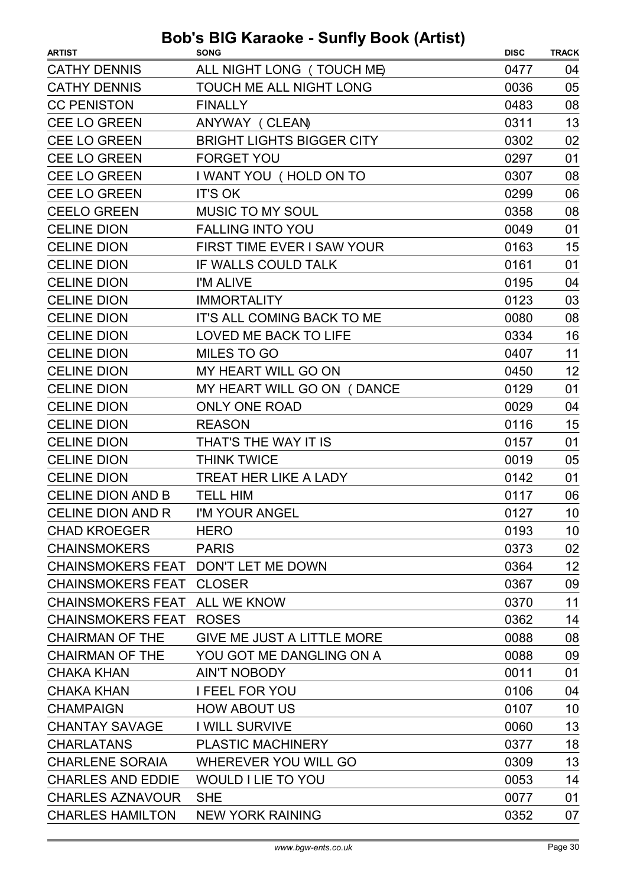| <b>ARTIST</b>                       | <b>SONG</b>                      | <b>DISC</b> | <b>TRACK</b> |
|-------------------------------------|----------------------------------|-------------|--------------|
| <b>CATHY DENNIS</b>                 | ALL NIGHT LONG (TOUCH ME)        | 0477        | 04           |
| <b>CATHY DENNIS</b>                 | TOUCH ME ALL NIGHT LONG          | 0036        | 05           |
| <b>CC PENISTON</b>                  | <b>FINALLY</b>                   | 0483        | 08           |
| CEE LO GREEN                        | ANYWAY (CLEAN)                   | 0311        | 13           |
| <b>CEE LO GREEN</b>                 | <b>BRIGHT LIGHTS BIGGER CITY</b> | 0302        | 02           |
| <b>CEE LO GREEN</b>                 | <b>FORGET YOU</b>                | 0297        | 01           |
| <b>CEE LO GREEN</b>                 | I WANT YOU (HOLD ON TO           | 0307        | 08           |
| <b>CEE LO GREEN</b>                 | <b>IT'S OK</b>                   | 0299        | 06           |
| <b>CEELO GREEN</b>                  | <b>MUSIC TO MY SOUL</b>          | 0358        | 08           |
| <b>CELINE DION</b>                  | <b>FALLING INTO YOU</b>          | 0049        | 01           |
| <b>CELINE DION</b>                  | FIRST TIME EVER I SAW YOUR       | 0163        | 15           |
| <b>CELINE DION</b>                  | IF WALLS COULD TALK              | 0161        | 01           |
| <b>CELINE DION</b>                  | I'M ALIVE                        | 0195        | 04           |
| <b>CELINE DION</b>                  | <b>IMMORTALITY</b>               | 0123        | 03           |
| <b>CELINE DION</b>                  | IT'S ALL COMING BACK TO ME       | 0080        | 08           |
| <b>CELINE DION</b>                  | LOVED ME BACK TO LIFE            | 0334        | 16           |
| <b>CELINE DION</b>                  | <b>MILES TO GO</b>               | 0407        | 11           |
| <b>CELINE DION</b>                  | MY HEART WILL GO ON              | 0450        | 12           |
| <b>CELINE DION</b>                  | MY HEART WILL GO ON (DANCE       | 0129        | 01           |
| <b>CELINE DION</b>                  | <b>ONLY ONE ROAD</b>             | 0029        | 04           |
| <b>CELINE DION</b>                  | <b>REASON</b>                    | 0116        | 15           |
| <b>CELINE DION</b>                  | THAT'S THE WAY IT IS             | 0157        | 01           |
| <b>CELINE DION</b>                  | <b>THINK TWICE</b>               | 0019        | 05           |
| <b>CELINE DION</b>                  | TREAT HER LIKE A LADY            | 0142        | 01           |
| <b>CELINE DION AND B</b>            | <b>TELL HIM</b>                  | 0117        | 06           |
| <b>CELINE DION AND R</b>            | I'M YOUR ANGEL                   | 0127        | 10           |
| <b>CHAD KROEGER</b>                 | <b>HERO</b>                      | 0193        | 10           |
| <b>CHAINSMOKERS</b>                 | <b>PARIS</b>                     | 0373        | 02           |
| CHAINSMOKERS FEAT DON'T LET ME DOWN |                                  | 0364        | 12           |
| <b>CHAINSMOKERS FEAT CLOSER</b>     |                                  | 0367        | 09           |
| <b>CHAINSMOKERS FEAT</b>            | <b>ALL WE KNOW</b>               | 0370        | 11           |
| <b>CHAINSMOKERS FEAT</b>            | <b>ROSES</b>                     | 0362        | 14           |
| <b>CHAIRMAN OF THE</b>              | GIVE ME JUST A LITTLE MORE       | 0088        | 08           |
| <b>CHAIRMAN OF THE</b>              | YOU GOT ME DANGLING ON A         | 0088        | 09           |
| <b>CHAKA KHAN</b>                   | <b>AIN'T NOBODY</b>              | 0011        | 01           |
| <b>CHAKA KHAN</b>                   | <b>I FEEL FOR YOU</b>            | 0106        | 04           |
| <b>CHAMPAIGN</b>                    | <b>HOW ABOUT US</b>              | 0107        | 10           |
| <b>CHANTAY SAVAGE</b>               | <b>I WILL SURVIVE</b>            | 0060        | 13           |
| <b>CHARLATANS</b>                   | <b>PLASTIC MACHINERY</b>         | 0377        | 18           |
| <b>CHARLENE SORAIA</b>              | WHEREVER YOU WILL GO             | 0309        | 13           |
| <b>CHARLES AND EDDIE</b>            | <b>WOULD I LIE TO YOU</b>        | 0053        | 14           |
| <b>CHARLES AZNAVOUR</b>             | <b>SHE</b>                       | 0077        | 01           |
| <b>CHARLES HAMILTON</b>             | <b>NEW YORK RAINING</b>          | 0352        | 07           |
|                                     |                                  |             |              |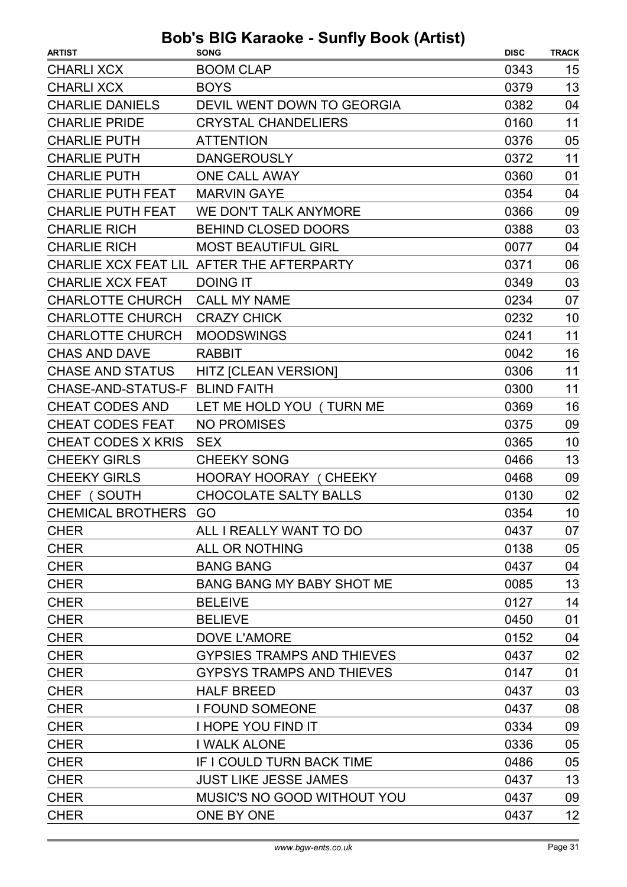| <b>ARTIST</b>                  | <b>SONG</b>                               | <b>DISC</b> | <b>TRACK</b> |
|--------------------------------|-------------------------------------------|-------------|--------------|
| <b>CHARLI XCX</b>              | <b>BOOM CLAP</b>                          | 0343        | 15           |
| <b>CHARLI XCX</b>              | <b>BOYS</b>                               | 0379        | 13           |
| <b>CHARLIE DANIELS</b>         | DEVIL WENT DOWN TO GEORGIA                | 0382        | 04           |
| <b>CHARLIE PRIDE</b>           | <b>CRYSTAL CHANDELIERS</b>                | 0160        | 11           |
| <b>CHARLIE PUTH</b>            | <b>ATTENTION</b>                          | 0376        | 05           |
| <b>CHARLIE PUTH</b>            | <b>DANGEROUSLY</b>                        | 0372        | 11           |
| <b>CHARLIE PUTH</b>            | <b>ONE CALL AWAY</b>                      | 0360        | 01           |
| <b>CHARLIE PUTH FEAT</b>       | <b>MARVIN GAYE</b>                        | 0354        | 04           |
| <b>CHARLIE PUTH FEAT</b>       | WE DON'T TALK ANYMORE                     | 0366        | 09           |
| <b>CHARLIE RICH</b>            | <b>BEHIND CLOSED DOORS</b>                | 0388        | 03           |
| <b>CHARLIE RICH</b>            | <b>MOST BEAUTIFUL GIRL</b>                | 0077        | 04           |
|                                | CHARLIE XCX FEAT LIL AFTER THE AFTERPARTY | 0371        | 06           |
| <b>CHARLIE XCX FEAT</b>        | <b>DOING IT</b>                           | 0349        | 03           |
| <b>CHARLOTTE CHURCH</b>        | <b>CALL MY NAME</b>                       | 0234        | 07           |
| <b>CHARLOTTE CHURCH</b>        | <b>CRAZY CHICK</b>                        | 0232        | 10           |
| <b>CHARLOTTE CHURCH</b>        | <b>MOODSWINGS</b>                         | 0241        | 11           |
| <b>CHAS AND DAVE</b>           | <b>RABBIT</b>                             | 0042        | 16           |
| <b>CHASE AND STATUS</b>        | <b>HITZ [CLEAN VERSION]</b>               | 0306        | 11           |
| CHASE-AND-STATUS-F BLIND FAITH |                                           | 0300        | 11           |
| <b>CHEAT CODES AND</b>         | LET ME HOLD YOU (TURN ME                  | 0369        | 16           |
| <b>CHEAT CODES FEAT</b>        | <b>NO PROMISES</b>                        | 0375        | 09           |
| <b>CHEAT CODES X KRIS</b>      | <b>SEX</b>                                | 0365        | 10           |
| <b>CHEEKY GIRLS</b>            | <b>CHEEKY SONG</b>                        | 0466        | 13           |
| <b>CHEEKY GIRLS</b>            | <b>HOORAY HOORAY (CHEEKY</b>              | 0468        | 09           |
| CHEF (SOUTH                    | <b>CHOCOLATE SALTY BALLS</b>              | 0130        | 02           |
| CHEMICAL BROTHERS GO           |                                           | 0354        | 10           |
| <b>CHER</b>                    | ALL I REALLY WANT TO DO                   | 0437        | 07           |
| <b>CHER</b>                    | ALL OR NOTHING                            | 0138        | 05           |
| <b>CHER</b>                    | <b>BANG BANG</b>                          | 0437        | 04           |
| <b>CHER</b>                    | <b>BANG BANG MY BABY SHOT ME</b>          | 0085        | 13           |
| <b>CHER</b>                    | <b>BELEIVE</b>                            | 0127        | 14           |
| <b>CHER</b>                    | <b>BELIEVE</b>                            | 0450        | 01           |
| <b>CHER</b>                    | DOVE L'AMORE                              | 0152        | 04           |
| <b>CHER</b>                    | <b>GYPSIES TRAMPS AND THIEVES</b>         | 0437        | 02           |
| <b>CHER</b>                    | <b>GYPSYS TRAMPS AND THIEVES</b>          | 0147        | 01           |
| <b>CHER</b>                    | <b>HALF BREED</b>                         | 0437        | 03           |
| <b>CHER</b>                    | <b>I FOUND SOMEONE</b>                    | 0437        | 08           |
| <b>CHER</b>                    | I HOPE YOU FIND IT                        | 0334        | 09           |
| <b>CHER</b>                    | <b>I WALK ALONE</b>                       | 0336        | 05           |
| <b>CHER</b>                    | IF I COULD TURN BACK TIME                 | 0486        | 05           |
| <b>CHER</b>                    | <b>JUST LIKE JESSE JAMES</b>              | 0437        | 13           |
| <b>CHER</b>                    | MUSIC'S NO GOOD WITHOUT YOU               | 0437        | 09           |
| <b>CHER</b>                    | ONE BY ONE                                | 0437        | 12           |
|                                |                                           |             |              |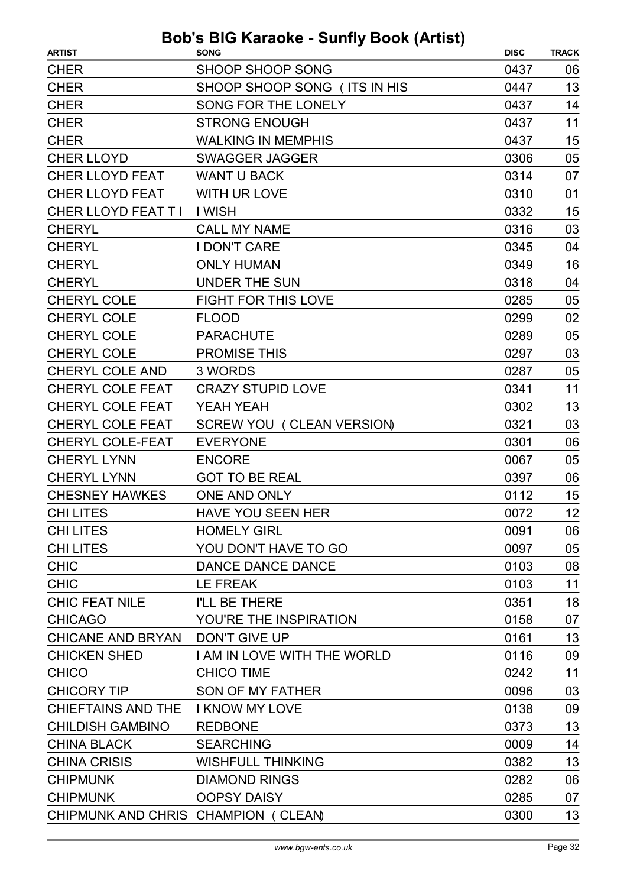| <b>SHOOP SHOOP SONG</b><br><b>CHER</b><br>0437<br>06<br>13<br>SHOOP SHOOP SONG (ITS IN HIS<br><b>CHER</b><br>0447<br><b>CHER</b><br><b>SONG FOR THE LONELY</b><br>0437<br>14<br>11<br><b>CHER</b><br><b>STRONG ENOUGH</b><br>0437<br><b>CHER</b><br><b>WALKING IN MEMPHIS</b><br>15<br>0437<br><b>CHER LLOYD</b><br><b>SWAGGER JAGGER</b><br>0306<br>05<br><b>CHER LLOYD FEAT</b><br><b>WANT U BACK</b><br>07<br>0314<br><b>CHER LLOYD FEAT</b><br>01<br><b>WITH UR LOVE</b><br>0310<br>CHER LLOYD FEAT T I<br>15<br>I WISH<br>0332<br>03<br><b>CALL MY NAME</b><br>0316<br><b>CHERYL</b><br><b>CHERYL</b><br><b>I DON'T CARE</b><br>04<br>0345<br>16<br><b>CHERYL</b><br><b>ONLY HUMAN</b><br>0349<br><b>UNDER THE SUN</b><br>04<br><b>CHERYL</b><br>0318<br><b>CHERYL COLE</b><br><b>FIGHT FOR THIS LOVE</b><br>0285<br>05<br>02<br><b>CHERYL COLE</b><br>0299<br><b>FLOOD</b><br><b>CHERYL COLE</b><br>05<br><b>PARACHUTE</b><br>0289<br><b>CHERYL COLE</b><br><b>PROMISE THIS</b><br>03<br>0297<br>05<br><b>CHERYL COLE AND</b><br>3 WORDS<br>0287<br>11<br><b>CHERYL COLE FEAT</b><br><b>CRAZY STUPID LOVE</b><br>0341<br>13<br><b>CHERYL COLE FEAT</b><br>YEAH YEAH<br>0302<br><b>CHERYL COLE FEAT</b><br>SCREW YOU (CLEAN VERSION)<br>03<br>0321<br><b>CHERYL COLE-FEAT</b><br><b>EVERYONE</b><br>06<br>0301<br><b>CHERYL LYNN</b><br><b>ENCORE</b><br>0067<br>05<br><b>CHERYL LYNN</b><br>06<br><b>GOT TO BE REAL</b><br>0397<br>ONE AND ONLY<br>15<br><b>CHESNEY HAWKES</b><br>0112<br>12<br><b>CHI LITES</b><br><b>HAVE YOU SEEN HER</b><br>0072<br><b>CHI LITES</b><br><b>HOMELY GIRL</b><br>0091<br>06<br>05<br>YOU DON'T HAVE TO GO<br>0097<br><b>CHILITES</b><br><b>CHIC</b><br>0103<br>08<br>DANCE DANCE DANCE<br>11<br><b>CHIC</b><br>LE FREAK<br>0103<br>18<br><b>CHIC FEAT NILE</b><br>I'LL BE THERE<br>0351<br><b>CHICAGO</b><br>YOU'RE THE INSPIRATION<br>0158<br>07<br>13<br>CHICANE AND BRYAN DON'T GIVE UP<br>0161<br><b>CHICKEN SHED</b><br>I AM IN LOVE WITH THE WORLD<br>0116<br>09<br>11<br><b>CHICO</b><br><b>CHICO TIME</b><br>0242<br>03<br><b>CHICORY TIP</b><br>SON OF MY FATHER<br>0096<br>CHIEFTAINS AND THE I KNOW MY LOVE<br>0138<br>09<br>13<br><b>CHILDISH GAMBINO</b><br><b>REDBONE</b><br>0373<br><b>SEARCHING</b><br>0009<br>14<br><b>CHINA BLACK</b><br>13<br><b>WISHFULL THINKING</b><br><b>CHINA CRISIS</b><br>0382<br><b>CHIPMUNK</b><br><b>DIAMOND RINGS</b><br>0282<br>06<br><b>CHIPMUNK</b><br><b>OOPSY DAISY</b><br>07<br>0285<br>13<br>CHIPMUNK AND CHRIS CHAMPION (CLEAN)<br>0300 | <b>ARTIST</b> | . <i>.</i><br><b>SONG</b> | <b>DISC</b> | <b>TRACK</b> |
|--------------------------------------------------------------------------------------------------------------------------------------------------------------------------------------------------------------------------------------------------------------------------------------------------------------------------------------------------------------------------------------------------------------------------------------------------------------------------------------------------------------------------------------------------------------------------------------------------------------------------------------------------------------------------------------------------------------------------------------------------------------------------------------------------------------------------------------------------------------------------------------------------------------------------------------------------------------------------------------------------------------------------------------------------------------------------------------------------------------------------------------------------------------------------------------------------------------------------------------------------------------------------------------------------------------------------------------------------------------------------------------------------------------------------------------------------------------------------------------------------------------------------------------------------------------------------------------------------------------------------------------------------------------------------------------------------------------------------------------------------------------------------------------------------------------------------------------------------------------------------------------------------------------------------------------------------------------------------------------------------------------------------------------------------------------------------------------------------------------------------------------------------------------------------------------------------------------------------------------------------------------------------------------------------------------------------------------------------------------------------------------------------------------------------------------------------------------------------------------------------------------------------------------|---------------|---------------------------|-------------|--------------|
|                                                                                                                                                                                                                                                                                                                                                                                                                                                                                                                                                                                                                                                                                                                                                                                                                                                                                                                                                                                                                                                                                                                                                                                                                                                                                                                                                                                                                                                                                                                                                                                                                                                                                                                                                                                                                                                                                                                                                                                                                                                                                                                                                                                                                                                                                                                                                                                                                                                                                                                                      |               |                           |             |              |
|                                                                                                                                                                                                                                                                                                                                                                                                                                                                                                                                                                                                                                                                                                                                                                                                                                                                                                                                                                                                                                                                                                                                                                                                                                                                                                                                                                                                                                                                                                                                                                                                                                                                                                                                                                                                                                                                                                                                                                                                                                                                                                                                                                                                                                                                                                                                                                                                                                                                                                                                      |               |                           |             |              |
|                                                                                                                                                                                                                                                                                                                                                                                                                                                                                                                                                                                                                                                                                                                                                                                                                                                                                                                                                                                                                                                                                                                                                                                                                                                                                                                                                                                                                                                                                                                                                                                                                                                                                                                                                                                                                                                                                                                                                                                                                                                                                                                                                                                                                                                                                                                                                                                                                                                                                                                                      |               |                           |             |              |
|                                                                                                                                                                                                                                                                                                                                                                                                                                                                                                                                                                                                                                                                                                                                                                                                                                                                                                                                                                                                                                                                                                                                                                                                                                                                                                                                                                                                                                                                                                                                                                                                                                                                                                                                                                                                                                                                                                                                                                                                                                                                                                                                                                                                                                                                                                                                                                                                                                                                                                                                      |               |                           |             |              |
|                                                                                                                                                                                                                                                                                                                                                                                                                                                                                                                                                                                                                                                                                                                                                                                                                                                                                                                                                                                                                                                                                                                                                                                                                                                                                                                                                                                                                                                                                                                                                                                                                                                                                                                                                                                                                                                                                                                                                                                                                                                                                                                                                                                                                                                                                                                                                                                                                                                                                                                                      |               |                           |             |              |
|                                                                                                                                                                                                                                                                                                                                                                                                                                                                                                                                                                                                                                                                                                                                                                                                                                                                                                                                                                                                                                                                                                                                                                                                                                                                                                                                                                                                                                                                                                                                                                                                                                                                                                                                                                                                                                                                                                                                                                                                                                                                                                                                                                                                                                                                                                                                                                                                                                                                                                                                      |               |                           |             |              |
|                                                                                                                                                                                                                                                                                                                                                                                                                                                                                                                                                                                                                                                                                                                                                                                                                                                                                                                                                                                                                                                                                                                                                                                                                                                                                                                                                                                                                                                                                                                                                                                                                                                                                                                                                                                                                                                                                                                                                                                                                                                                                                                                                                                                                                                                                                                                                                                                                                                                                                                                      |               |                           |             |              |
|                                                                                                                                                                                                                                                                                                                                                                                                                                                                                                                                                                                                                                                                                                                                                                                                                                                                                                                                                                                                                                                                                                                                                                                                                                                                                                                                                                                                                                                                                                                                                                                                                                                                                                                                                                                                                                                                                                                                                                                                                                                                                                                                                                                                                                                                                                                                                                                                                                                                                                                                      |               |                           |             |              |
|                                                                                                                                                                                                                                                                                                                                                                                                                                                                                                                                                                                                                                                                                                                                                                                                                                                                                                                                                                                                                                                                                                                                                                                                                                                                                                                                                                                                                                                                                                                                                                                                                                                                                                                                                                                                                                                                                                                                                                                                                                                                                                                                                                                                                                                                                                                                                                                                                                                                                                                                      |               |                           |             |              |
|                                                                                                                                                                                                                                                                                                                                                                                                                                                                                                                                                                                                                                                                                                                                                                                                                                                                                                                                                                                                                                                                                                                                                                                                                                                                                                                                                                                                                                                                                                                                                                                                                                                                                                                                                                                                                                                                                                                                                                                                                                                                                                                                                                                                                                                                                                                                                                                                                                                                                                                                      |               |                           |             |              |
|                                                                                                                                                                                                                                                                                                                                                                                                                                                                                                                                                                                                                                                                                                                                                                                                                                                                                                                                                                                                                                                                                                                                                                                                                                                                                                                                                                                                                                                                                                                                                                                                                                                                                                                                                                                                                                                                                                                                                                                                                                                                                                                                                                                                                                                                                                                                                                                                                                                                                                                                      |               |                           |             |              |
|                                                                                                                                                                                                                                                                                                                                                                                                                                                                                                                                                                                                                                                                                                                                                                                                                                                                                                                                                                                                                                                                                                                                                                                                                                                                                                                                                                                                                                                                                                                                                                                                                                                                                                                                                                                                                                                                                                                                                                                                                                                                                                                                                                                                                                                                                                                                                                                                                                                                                                                                      |               |                           |             |              |
|                                                                                                                                                                                                                                                                                                                                                                                                                                                                                                                                                                                                                                                                                                                                                                                                                                                                                                                                                                                                                                                                                                                                                                                                                                                                                                                                                                                                                                                                                                                                                                                                                                                                                                                                                                                                                                                                                                                                                                                                                                                                                                                                                                                                                                                                                                                                                                                                                                                                                                                                      |               |                           |             |              |
|                                                                                                                                                                                                                                                                                                                                                                                                                                                                                                                                                                                                                                                                                                                                                                                                                                                                                                                                                                                                                                                                                                                                                                                                                                                                                                                                                                                                                                                                                                                                                                                                                                                                                                                                                                                                                                                                                                                                                                                                                                                                                                                                                                                                                                                                                                                                                                                                                                                                                                                                      |               |                           |             |              |
|                                                                                                                                                                                                                                                                                                                                                                                                                                                                                                                                                                                                                                                                                                                                                                                                                                                                                                                                                                                                                                                                                                                                                                                                                                                                                                                                                                                                                                                                                                                                                                                                                                                                                                                                                                                                                                                                                                                                                                                                                                                                                                                                                                                                                                                                                                                                                                                                                                                                                                                                      |               |                           |             |              |
|                                                                                                                                                                                                                                                                                                                                                                                                                                                                                                                                                                                                                                                                                                                                                                                                                                                                                                                                                                                                                                                                                                                                                                                                                                                                                                                                                                                                                                                                                                                                                                                                                                                                                                                                                                                                                                                                                                                                                                                                                                                                                                                                                                                                                                                                                                                                                                                                                                                                                                                                      |               |                           |             |              |
|                                                                                                                                                                                                                                                                                                                                                                                                                                                                                                                                                                                                                                                                                                                                                                                                                                                                                                                                                                                                                                                                                                                                                                                                                                                                                                                                                                                                                                                                                                                                                                                                                                                                                                                                                                                                                                                                                                                                                                                                                                                                                                                                                                                                                                                                                                                                                                                                                                                                                                                                      |               |                           |             |              |
|                                                                                                                                                                                                                                                                                                                                                                                                                                                                                                                                                                                                                                                                                                                                                                                                                                                                                                                                                                                                                                                                                                                                                                                                                                                                                                                                                                                                                                                                                                                                                                                                                                                                                                                                                                                                                                                                                                                                                                                                                                                                                                                                                                                                                                                                                                                                                                                                                                                                                                                                      |               |                           |             |              |
|                                                                                                                                                                                                                                                                                                                                                                                                                                                                                                                                                                                                                                                                                                                                                                                                                                                                                                                                                                                                                                                                                                                                                                                                                                                                                                                                                                                                                                                                                                                                                                                                                                                                                                                                                                                                                                                                                                                                                                                                                                                                                                                                                                                                                                                                                                                                                                                                                                                                                                                                      |               |                           |             |              |
|                                                                                                                                                                                                                                                                                                                                                                                                                                                                                                                                                                                                                                                                                                                                                                                                                                                                                                                                                                                                                                                                                                                                                                                                                                                                                                                                                                                                                                                                                                                                                                                                                                                                                                                                                                                                                                                                                                                                                                                                                                                                                                                                                                                                                                                                                                                                                                                                                                                                                                                                      |               |                           |             |              |
|                                                                                                                                                                                                                                                                                                                                                                                                                                                                                                                                                                                                                                                                                                                                                                                                                                                                                                                                                                                                                                                                                                                                                                                                                                                                                                                                                                                                                                                                                                                                                                                                                                                                                                                                                                                                                                                                                                                                                                                                                                                                                                                                                                                                                                                                                                                                                                                                                                                                                                                                      |               |                           |             |              |
|                                                                                                                                                                                                                                                                                                                                                                                                                                                                                                                                                                                                                                                                                                                                                                                                                                                                                                                                                                                                                                                                                                                                                                                                                                                                                                                                                                                                                                                                                                                                                                                                                                                                                                                                                                                                                                                                                                                                                                                                                                                                                                                                                                                                                                                                                                                                                                                                                                                                                                                                      |               |                           |             |              |
|                                                                                                                                                                                                                                                                                                                                                                                                                                                                                                                                                                                                                                                                                                                                                                                                                                                                                                                                                                                                                                                                                                                                                                                                                                                                                                                                                                                                                                                                                                                                                                                                                                                                                                                                                                                                                                                                                                                                                                                                                                                                                                                                                                                                                                                                                                                                                                                                                                                                                                                                      |               |                           |             |              |
|                                                                                                                                                                                                                                                                                                                                                                                                                                                                                                                                                                                                                                                                                                                                                                                                                                                                                                                                                                                                                                                                                                                                                                                                                                                                                                                                                                                                                                                                                                                                                                                                                                                                                                                                                                                                                                                                                                                                                                                                                                                                                                                                                                                                                                                                                                                                                                                                                                                                                                                                      |               |                           |             |              |
|                                                                                                                                                                                                                                                                                                                                                                                                                                                                                                                                                                                                                                                                                                                                                                                                                                                                                                                                                                                                                                                                                                                                                                                                                                                                                                                                                                                                                                                                                                                                                                                                                                                                                                                                                                                                                                                                                                                                                                                                                                                                                                                                                                                                                                                                                                                                                                                                                                                                                                                                      |               |                           |             |              |
|                                                                                                                                                                                                                                                                                                                                                                                                                                                                                                                                                                                                                                                                                                                                                                                                                                                                                                                                                                                                                                                                                                                                                                                                                                                                                                                                                                                                                                                                                                                                                                                                                                                                                                                                                                                                                                                                                                                                                                                                                                                                                                                                                                                                                                                                                                                                                                                                                                                                                                                                      |               |                           |             |              |
|                                                                                                                                                                                                                                                                                                                                                                                                                                                                                                                                                                                                                                                                                                                                                                                                                                                                                                                                                                                                                                                                                                                                                                                                                                                                                                                                                                                                                                                                                                                                                                                                                                                                                                                                                                                                                                                                                                                                                                                                                                                                                                                                                                                                                                                                                                                                                                                                                                                                                                                                      |               |                           |             |              |
|                                                                                                                                                                                                                                                                                                                                                                                                                                                                                                                                                                                                                                                                                                                                                                                                                                                                                                                                                                                                                                                                                                                                                                                                                                                                                                                                                                                                                                                                                                                                                                                                                                                                                                                                                                                                                                                                                                                                                                                                                                                                                                                                                                                                                                                                                                                                                                                                                                                                                                                                      |               |                           |             |              |
|                                                                                                                                                                                                                                                                                                                                                                                                                                                                                                                                                                                                                                                                                                                                                                                                                                                                                                                                                                                                                                                                                                                                                                                                                                                                                                                                                                                                                                                                                                                                                                                                                                                                                                                                                                                                                                                                                                                                                                                                                                                                                                                                                                                                                                                                                                                                                                                                                                                                                                                                      |               |                           |             |              |
|                                                                                                                                                                                                                                                                                                                                                                                                                                                                                                                                                                                                                                                                                                                                                                                                                                                                                                                                                                                                                                                                                                                                                                                                                                                                                                                                                                                                                                                                                                                                                                                                                                                                                                                                                                                                                                                                                                                                                                                                                                                                                                                                                                                                                                                                                                                                                                                                                                                                                                                                      |               |                           |             |              |
|                                                                                                                                                                                                                                                                                                                                                                                                                                                                                                                                                                                                                                                                                                                                                                                                                                                                                                                                                                                                                                                                                                                                                                                                                                                                                                                                                                                                                                                                                                                                                                                                                                                                                                                                                                                                                                                                                                                                                                                                                                                                                                                                                                                                                                                                                                                                                                                                                                                                                                                                      |               |                           |             |              |
|                                                                                                                                                                                                                                                                                                                                                                                                                                                                                                                                                                                                                                                                                                                                                                                                                                                                                                                                                                                                                                                                                                                                                                                                                                                                                                                                                                                                                                                                                                                                                                                                                                                                                                                                                                                                                                                                                                                                                                                                                                                                                                                                                                                                                                                                                                                                                                                                                                                                                                                                      |               |                           |             |              |
|                                                                                                                                                                                                                                                                                                                                                                                                                                                                                                                                                                                                                                                                                                                                                                                                                                                                                                                                                                                                                                                                                                                                                                                                                                                                                                                                                                                                                                                                                                                                                                                                                                                                                                                                                                                                                                                                                                                                                                                                                                                                                                                                                                                                                                                                                                                                                                                                                                                                                                                                      |               |                           |             |              |
|                                                                                                                                                                                                                                                                                                                                                                                                                                                                                                                                                                                                                                                                                                                                                                                                                                                                                                                                                                                                                                                                                                                                                                                                                                                                                                                                                                                                                                                                                                                                                                                                                                                                                                                                                                                                                                                                                                                                                                                                                                                                                                                                                                                                                                                                                                                                                                                                                                                                                                                                      |               |                           |             |              |
|                                                                                                                                                                                                                                                                                                                                                                                                                                                                                                                                                                                                                                                                                                                                                                                                                                                                                                                                                                                                                                                                                                                                                                                                                                                                                                                                                                                                                                                                                                                                                                                                                                                                                                                                                                                                                                                                                                                                                                                                                                                                                                                                                                                                                                                                                                                                                                                                                                                                                                                                      |               |                           |             |              |
|                                                                                                                                                                                                                                                                                                                                                                                                                                                                                                                                                                                                                                                                                                                                                                                                                                                                                                                                                                                                                                                                                                                                                                                                                                                                                                                                                                                                                                                                                                                                                                                                                                                                                                                                                                                                                                                                                                                                                                                                                                                                                                                                                                                                                                                                                                                                                                                                                                                                                                                                      |               |                           |             |              |
|                                                                                                                                                                                                                                                                                                                                                                                                                                                                                                                                                                                                                                                                                                                                                                                                                                                                                                                                                                                                                                                                                                                                                                                                                                                                                                                                                                                                                                                                                                                                                                                                                                                                                                                                                                                                                                                                                                                                                                                                                                                                                                                                                                                                                                                                                                                                                                                                                                                                                                                                      |               |                           |             |              |
|                                                                                                                                                                                                                                                                                                                                                                                                                                                                                                                                                                                                                                                                                                                                                                                                                                                                                                                                                                                                                                                                                                                                                                                                                                                                                                                                                                                                                                                                                                                                                                                                                                                                                                                                                                                                                                                                                                                                                                                                                                                                                                                                                                                                                                                                                                                                                                                                                                                                                                                                      |               |                           |             |              |
|                                                                                                                                                                                                                                                                                                                                                                                                                                                                                                                                                                                                                                                                                                                                                                                                                                                                                                                                                                                                                                                                                                                                                                                                                                                                                                                                                                                                                                                                                                                                                                                                                                                                                                                                                                                                                                                                                                                                                                                                                                                                                                                                                                                                                                                                                                                                                                                                                                                                                                                                      |               |                           |             |              |
|                                                                                                                                                                                                                                                                                                                                                                                                                                                                                                                                                                                                                                                                                                                                                                                                                                                                                                                                                                                                                                                                                                                                                                                                                                                                                                                                                                                                                                                                                                                                                                                                                                                                                                                                                                                                                                                                                                                                                                                                                                                                                                                                                                                                                                                                                                                                                                                                                                                                                                                                      |               |                           |             |              |
|                                                                                                                                                                                                                                                                                                                                                                                                                                                                                                                                                                                                                                                                                                                                                                                                                                                                                                                                                                                                                                                                                                                                                                                                                                                                                                                                                                                                                                                                                                                                                                                                                                                                                                                                                                                                                                                                                                                                                                                                                                                                                                                                                                                                                                                                                                                                                                                                                                                                                                                                      |               |                           |             |              |
|                                                                                                                                                                                                                                                                                                                                                                                                                                                                                                                                                                                                                                                                                                                                                                                                                                                                                                                                                                                                                                                                                                                                                                                                                                                                                                                                                                                                                                                                                                                                                                                                                                                                                                                                                                                                                                                                                                                                                                                                                                                                                                                                                                                                                                                                                                                                                                                                                                                                                                                                      |               |                           |             |              |
|                                                                                                                                                                                                                                                                                                                                                                                                                                                                                                                                                                                                                                                                                                                                                                                                                                                                                                                                                                                                                                                                                                                                                                                                                                                                                                                                                                                                                                                                                                                                                                                                                                                                                                                                                                                                                                                                                                                                                                                                                                                                                                                                                                                                                                                                                                                                                                                                                                                                                                                                      |               |                           |             |              |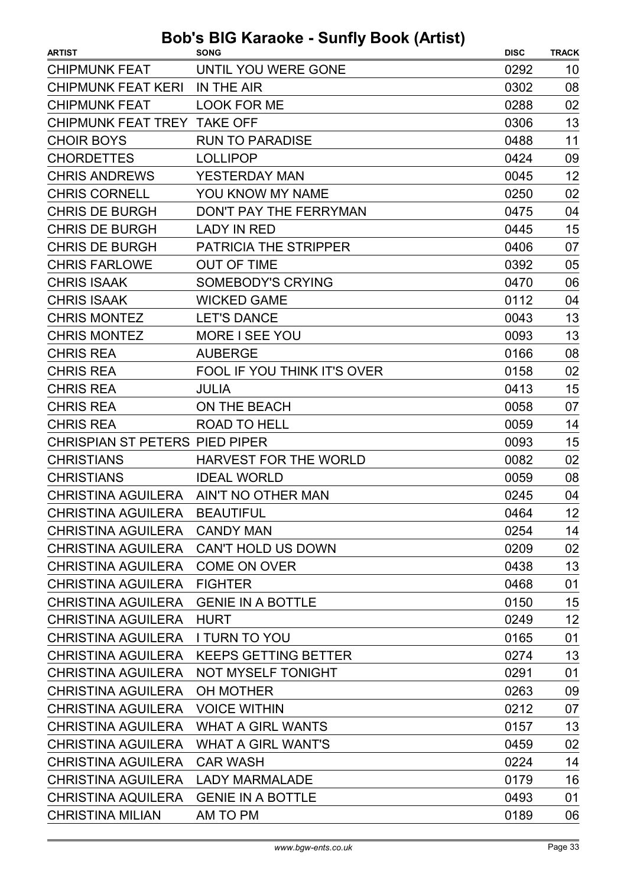| UNTIL YOU WERE GONE<br>0292<br>10<br>08<br>IN THE AIR<br>0302<br>0288<br>02<br><b>LOOK FOR ME</b><br>13<br>CHIPMUNK FEAT TREY TAKE OFF<br>0306<br>11<br><b>RUN TO PARADISE</b><br>0488<br><b>LOLLIPOP</b><br>09<br>0424<br>12<br>YESTERDAY MAN<br>0045<br>02<br>YOU KNOW MY NAME<br>0250<br>DON'T PAY THE FERRYMAN<br>04<br>0475<br>15<br><b>LADY IN RED</b><br>0445<br><b>PATRICIA THE STRIPPER</b><br>0406<br>07<br><b>OUT OF TIME</b><br>05<br>0392<br>06<br><b>SOMEBODY'S CRYING</b><br>0470<br>04<br><b>WICKED GAME</b><br>0112<br>13<br><b>LET'S DANCE</b><br>0043<br>13<br>MORE I SEE YOU<br>0093<br><b>AUBERGE</b><br>08<br>0166<br>02<br>FOOL IF YOU THINK IT'S OVER<br>0158<br>15<br><b>JULIA</b><br>0413<br>07<br>ON THE BEACH<br>0058<br>14<br>ROAD TO HELL<br>0059<br>15<br><b>CHRISPIAN ST PETERS PIED PIPER</b><br>0093<br>02<br><b>HARVEST FOR THE WORLD</b><br>0082<br><b>IDEAL WORLD</b><br>08<br>0059<br>CHRISTINA AGUILERA AIN'T NO OTHER MAN<br>0245<br>04<br>12<br>CHRISTINA AGUILERA BEAUTIFUL<br>0464<br><b>CANDY MAN</b><br>0254<br>14<br>0209<br>02<br>CHRISTINA AGUILERA CAN'T HOLD US DOWN<br>13<br><b>COME ON OVER</b><br>0438<br><b>FIGHTER</b><br>01<br>0468<br>15<br><b>GENIE IN A BOTTLE</b><br>0150<br>12<br><b>HURT</b><br>0249<br>01<br><b>I TURN TO YOU</b><br>0165<br>13<br><b>KEEPS GETTING BETTER</b><br>0274<br>01<br>NOT MYSELF TONIGHT<br>0291<br>0263<br>09<br>OH MOTHER<br>07<br><b>CHRISTINA AGUILERA</b><br><b>VOICE WITHIN</b><br>0212<br>13<br><b>CHRISTINA AGUILERA</b><br><b>WHAT A GIRL WANTS</b><br>0157<br>02<br><b>CHRISTINA AGUILERA</b><br><b>WHAT A GIRL WANT'S</b><br>0459<br>14<br><b>CAR WASH</b><br>0224<br>16<br><b>LADY MARMALADE</b><br>0179<br>01<br>CHRISTINA AQUILERA<br><b>GENIE IN A BOTTLE</b><br>0493<br>AM TO PM<br>0189<br>06 | <b>ARTIST</b>             | <b>SONG</b> | <b>DISC</b> | <b>TRACK</b> |
|---------------------------------------------------------------------------------------------------------------------------------------------------------------------------------------------------------------------------------------------------------------------------------------------------------------------------------------------------------------------------------------------------------------------------------------------------------------------------------------------------------------------------------------------------------------------------------------------------------------------------------------------------------------------------------------------------------------------------------------------------------------------------------------------------------------------------------------------------------------------------------------------------------------------------------------------------------------------------------------------------------------------------------------------------------------------------------------------------------------------------------------------------------------------------------------------------------------------------------------------------------------------------------------------------------------------------------------------------------------------------------------------------------------------------------------------------------------------------------------------------------------------------------------------------------------------------------------------------------------------------------------------------------------------------------------------------------------------------------------------------------------------------------------------------------|---------------------------|-------------|-------------|--------------|
|                                                                                                                                                                                                                                                                                                                                                                                                                                                                                                                                                                                                                                                                                                                                                                                                                                                                                                                                                                                                                                                                                                                                                                                                                                                                                                                                                                                                                                                                                                                                                                                                                                                                                                                                                                                                         | <b>CHIPMUNK FEAT</b>      |             |             |              |
|                                                                                                                                                                                                                                                                                                                                                                                                                                                                                                                                                                                                                                                                                                                                                                                                                                                                                                                                                                                                                                                                                                                                                                                                                                                                                                                                                                                                                                                                                                                                                                                                                                                                                                                                                                                                         | <b>CHIPMUNK FEAT KERI</b> |             |             |              |
|                                                                                                                                                                                                                                                                                                                                                                                                                                                                                                                                                                                                                                                                                                                                                                                                                                                                                                                                                                                                                                                                                                                                                                                                                                                                                                                                                                                                                                                                                                                                                                                                                                                                                                                                                                                                         | <b>CHIPMUNK FEAT</b>      |             |             |              |
|                                                                                                                                                                                                                                                                                                                                                                                                                                                                                                                                                                                                                                                                                                                                                                                                                                                                                                                                                                                                                                                                                                                                                                                                                                                                                                                                                                                                                                                                                                                                                                                                                                                                                                                                                                                                         |                           |             |             |              |
|                                                                                                                                                                                                                                                                                                                                                                                                                                                                                                                                                                                                                                                                                                                                                                                                                                                                                                                                                                                                                                                                                                                                                                                                                                                                                                                                                                                                                                                                                                                                                                                                                                                                                                                                                                                                         | <b>CHOIR BOYS</b>         |             |             |              |
|                                                                                                                                                                                                                                                                                                                                                                                                                                                                                                                                                                                                                                                                                                                                                                                                                                                                                                                                                                                                                                                                                                                                                                                                                                                                                                                                                                                                                                                                                                                                                                                                                                                                                                                                                                                                         | <b>CHORDETTES</b>         |             |             |              |
|                                                                                                                                                                                                                                                                                                                                                                                                                                                                                                                                                                                                                                                                                                                                                                                                                                                                                                                                                                                                                                                                                                                                                                                                                                                                                                                                                                                                                                                                                                                                                                                                                                                                                                                                                                                                         | <b>CHRIS ANDREWS</b>      |             |             |              |
|                                                                                                                                                                                                                                                                                                                                                                                                                                                                                                                                                                                                                                                                                                                                                                                                                                                                                                                                                                                                                                                                                                                                                                                                                                                                                                                                                                                                                                                                                                                                                                                                                                                                                                                                                                                                         | <b>CHRIS CORNELL</b>      |             |             |              |
|                                                                                                                                                                                                                                                                                                                                                                                                                                                                                                                                                                                                                                                                                                                                                                                                                                                                                                                                                                                                                                                                                                                                                                                                                                                                                                                                                                                                                                                                                                                                                                                                                                                                                                                                                                                                         | <b>CHRIS DE BURGH</b>     |             |             |              |
|                                                                                                                                                                                                                                                                                                                                                                                                                                                                                                                                                                                                                                                                                                                                                                                                                                                                                                                                                                                                                                                                                                                                                                                                                                                                                                                                                                                                                                                                                                                                                                                                                                                                                                                                                                                                         | <b>CHRIS DE BURGH</b>     |             |             |              |
|                                                                                                                                                                                                                                                                                                                                                                                                                                                                                                                                                                                                                                                                                                                                                                                                                                                                                                                                                                                                                                                                                                                                                                                                                                                                                                                                                                                                                                                                                                                                                                                                                                                                                                                                                                                                         | <b>CHRIS DE BURGH</b>     |             |             |              |
|                                                                                                                                                                                                                                                                                                                                                                                                                                                                                                                                                                                                                                                                                                                                                                                                                                                                                                                                                                                                                                                                                                                                                                                                                                                                                                                                                                                                                                                                                                                                                                                                                                                                                                                                                                                                         | <b>CHRIS FARLOWE</b>      |             |             |              |
|                                                                                                                                                                                                                                                                                                                                                                                                                                                                                                                                                                                                                                                                                                                                                                                                                                                                                                                                                                                                                                                                                                                                                                                                                                                                                                                                                                                                                                                                                                                                                                                                                                                                                                                                                                                                         | <b>CHRIS ISAAK</b>        |             |             |              |
|                                                                                                                                                                                                                                                                                                                                                                                                                                                                                                                                                                                                                                                                                                                                                                                                                                                                                                                                                                                                                                                                                                                                                                                                                                                                                                                                                                                                                                                                                                                                                                                                                                                                                                                                                                                                         | <b>CHRIS ISAAK</b>        |             |             |              |
|                                                                                                                                                                                                                                                                                                                                                                                                                                                                                                                                                                                                                                                                                                                                                                                                                                                                                                                                                                                                                                                                                                                                                                                                                                                                                                                                                                                                                                                                                                                                                                                                                                                                                                                                                                                                         | <b>CHRIS MONTEZ</b>       |             |             |              |
|                                                                                                                                                                                                                                                                                                                                                                                                                                                                                                                                                                                                                                                                                                                                                                                                                                                                                                                                                                                                                                                                                                                                                                                                                                                                                                                                                                                                                                                                                                                                                                                                                                                                                                                                                                                                         | <b>CHRIS MONTEZ</b>       |             |             |              |
|                                                                                                                                                                                                                                                                                                                                                                                                                                                                                                                                                                                                                                                                                                                                                                                                                                                                                                                                                                                                                                                                                                                                                                                                                                                                                                                                                                                                                                                                                                                                                                                                                                                                                                                                                                                                         | <b>CHRIS REA</b>          |             |             |              |
|                                                                                                                                                                                                                                                                                                                                                                                                                                                                                                                                                                                                                                                                                                                                                                                                                                                                                                                                                                                                                                                                                                                                                                                                                                                                                                                                                                                                                                                                                                                                                                                                                                                                                                                                                                                                         | <b>CHRIS REA</b>          |             |             |              |
|                                                                                                                                                                                                                                                                                                                                                                                                                                                                                                                                                                                                                                                                                                                                                                                                                                                                                                                                                                                                                                                                                                                                                                                                                                                                                                                                                                                                                                                                                                                                                                                                                                                                                                                                                                                                         | <b>CHRIS REA</b>          |             |             |              |
|                                                                                                                                                                                                                                                                                                                                                                                                                                                                                                                                                                                                                                                                                                                                                                                                                                                                                                                                                                                                                                                                                                                                                                                                                                                                                                                                                                                                                                                                                                                                                                                                                                                                                                                                                                                                         | <b>CHRIS REA</b>          |             |             |              |
|                                                                                                                                                                                                                                                                                                                                                                                                                                                                                                                                                                                                                                                                                                                                                                                                                                                                                                                                                                                                                                                                                                                                                                                                                                                                                                                                                                                                                                                                                                                                                                                                                                                                                                                                                                                                         | <b>CHRIS REA</b>          |             |             |              |
|                                                                                                                                                                                                                                                                                                                                                                                                                                                                                                                                                                                                                                                                                                                                                                                                                                                                                                                                                                                                                                                                                                                                                                                                                                                                                                                                                                                                                                                                                                                                                                                                                                                                                                                                                                                                         |                           |             |             |              |
|                                                                                                                                                                                                                                                                                                                                                                                                                                                                                                                                                                                                                                                                                                                                                                                                                                                                                                                                                                                                                                                                                                                                                                                                                                                                                                                                                                                                                                                                                                                                                                                                                                                                                                                                                                                                         | <b>CHRISTIANS</b>         |             |             |              |
|                                                                                                                                                                                                                                                                                                                                                                                                                                                                                                                                                                                                                                                                                                                                                                                                                                                                                                                                                                                                                                                                                                                                                                                                                                                                                                                                                                                                                                                                                                                                                                                                                                                                                                                                                                                                         | <b>CHRISTIANS</b>         |             |             |              |
|                                                                                                                                                                                                                                                                                                                                                                                                                                                                                                                                                                                                                                                                                                                                                                                                                                                                                                                                                                                                                                                                                                                                                                                                                                                                                                                                                                                                                                                                                                                                                                                                                                                                                                                                                                                                         |                           |             |             |              |
|                                                                                                                                                                                                                                                                                                                                                                                                                                                                                                                                                                                                                                                                                                                                                                                                                                                                                                                                                                                                                                                                                                                                                                                                                                                                                                                                                                                                                                                                                                                                                                                                                                                                                                                                                                                                         |                           |             |             |              |
|                                                                                                                                                                                                                                                                                                                                                                                                                                                                                                                                                                                                                                                                                                                                                                                                                                                                                                                                                                                                                                                                                                                                                                                                                                                                                                                                                                                                                                                                                                                                                                                                                                                                                                                                                                                                         | CHRISTINA AGUILERA        |             |             |              |
|                                                                                                                                                                                                                                                                                                                                                                                                                                                                                                                                                                                                                                                                                                                                                                                                                                                                                                                                                                                                                                                                                                                                                                                                                                                                                                                                                                                                                                                                                                                                                                                                                                                                                                                                                                                                         |                           |             |             |              |
|                                                                                                                                                                                                                                                                                                                                                                                                                                                                                                                                                                                                                                                                                                                                                                                                                                                                                                                                                                                                                                                                                                                                                                                                                                                                                                                                                                                                                                                                                                                                                                                                                                                                                                                                                                                                         | <b>CHRISTINA AGUILERA</b> |             |             |              |
|                                                                                                                                                                                                                                                                                                                                                                                                                                                                                                                                                                                                                                                                                                                                                                                                                                                                                                                                                                                                                                                                                                                                                                                                                                                                                                                                                                                                                                                                                                                                                                                                                                                                                                                                                                                                         | <b>CHRISTINA AGUILERA</b> |             |             |              |
|                                                                                                                                                                                                                                                                                                                                                                                                                                                                                                                                                                                                                                                                                                                                                                                                                                                                                                                                                                                                                                                                                                                                                                                                                                                                                                                                                                                                                                                                                                                                                                                                                                                                                                                                                                                                         | <b>CHRISTINA AGUILERA</b> |             |             |              |
|                                                                                                                                                                                                                                                                                                                                                                                                                                                                                                                                                                                                                                                                                                                                                                                                                                                                                                                                                                                                                                                                                                                                                                                                                                                                                                                                                                                                                                                                                                                                                                                                                                                                                                                                                                                                         | <b>CHRISTINA AGUILERA</b> |             |             |              |
|                                                                                                                                                                                                                                                                                                                                                                                                                                                                                                                                                                                                                                                                                                                                                                                                                                                                                                                                                                                                                                                                                                                                                                                                                                                                                                                                                                                                                                                                                                                                                                                                                                                                                                                                                                                                         | <b>CHRISTINA AGUILERA</b> |             |             |              |
|                                                                                                                                                                                                                                                                                                                                                                                                                                                                                                                                                                                                                                                                                                                                                                                                                                                                                                                                                                                                                                                                                                                                                                                                                                                                                                                                                                                                                                                                                                                                                                                                                                                                                                                                                                                                         | <b>CHRISTINA AGUILERA</b> |             |             |              |
|                                                                                                                                                                                                                                                                                                                                                                                                                                                                                                                                                                                                                                                                                                                                                                                                                                                                                                                                                                                                                                                                                                                                                                                                                                                                                                                                                                                                                                                                                                                                                                                                                                                                                                                                                                                                         | <b>CHRISTINA AGUILERA</b> |             |             |              |
|                                                                                                                                                                                                                                                                                                                                                                                                                                                                                                                                                                                                                                                                                                                                                                                                                                                                                                                                                                                                                                                                                                                                                                                                                                                                                                                                                                                                                                                                                                                                                                                                                                                                                                                                                                                                         | <b>CHRISTINA AGUILERA</b> |             |             |              |
|                                                                                                                                                                                                                                                                                                                                                                                                                                                                                                                                                                                                                                                                                                                                                                                                                                                                                                                                                                                                                                                                                                                                                                                                                                                                                                                                                                                                                                                                                                                                                                                                                                                                                                                                                                                                         |                           |             |             |              |
|                                                                                                                                                                                                                                                                                                                                                                                                                                                                                                                                                                                                                                                                                                                                                                                                                                                                                                                                                                                                                                                                                                                                                                                                                                                                                                                                                                                                                                                                                                                                                                                                                                                                                                                                                                                                         |                           |             |             |              |
|                                                                                                                                                                                                                                                                                                                                                                                                                                                                                                                                                                                                                                                                                                                                                                                                                                                                                                                                                                                                                                                                                                                                                                                                                                                                                                                                                                                                                                                                                                                                                                                                                                                                                                                                                                                                         |                           |             |             |              |
|                                                                                                                                                                                                                                                                                                                                                                                                                                                                                                                                                                                                                                                                                                                                                                                                                                                                                                                                                                                                                                                                                                                                                                                                                                                                                                                                                                                                                                                                                                                                                                                                                                                                                                                                                                                                         | <b>CHRISTINA AGUILERA</b> |             |             |              |
|                                                                                                                                                                                                                                                                                                                                                                                                                                                                                                                                                                                                                                                                                                                                                                                                                                                                                                                                                                                                                                                                                                                                                                                                                                                                                                                                                                                                                                                                                                                                                                                                                                                                                                                                                                                                         | <b>CHRISTINA AGUILERA</b> |             |             |              |
|                                                                                                                                                                                                                                                                                                                                                                                                                                                                                                                                                                                                                                                                                                                                                                                                                                                                                                                                                                                                                                                                                                                                                                                                                                                                                                                                                                                                                                                                                                                                                                                                                                                                                                                                                                                                         |                           |             |             |              |
|                                                                                                                                                                                                                                                                                                                                                                                                                                                                                                                                                                                                                                                                                                                                                                                                                                                                                                                                                                                                                                                                                                                                                                                                                                                                                                                                                                                                                                                                                                                                                                                                                                                                                                                                                                                                         | <b>CHRISTINA MILIAN</b>   |             |             |              |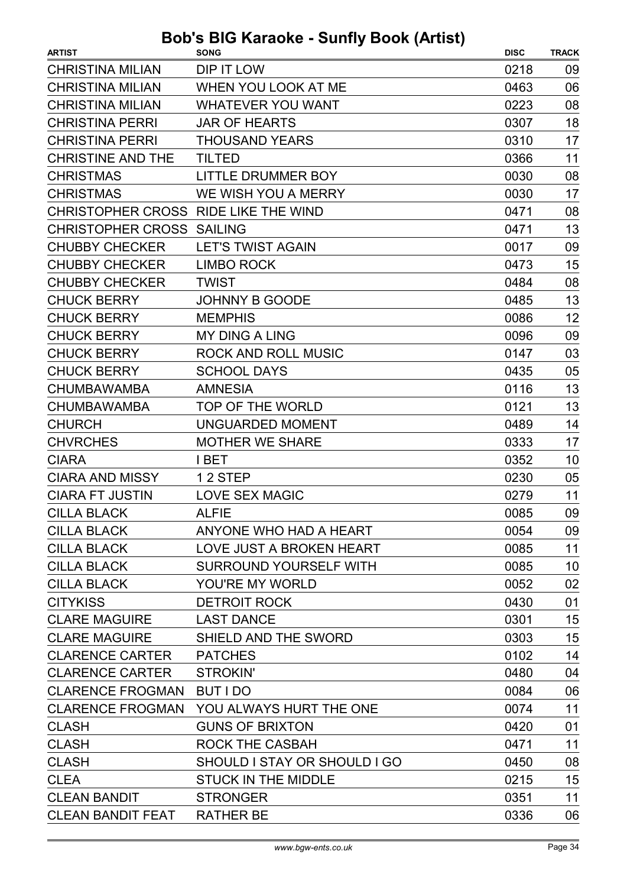| <b>ARTIST</b>                        | $\mathbf{u}$ and $\mathbf{v}$ and $\mathbf{v}$ and $\mathbf{v}$<br><b>SONG</b> | <b>DISC</b> | <b>TRACK</b> |
|--------------------------------------|--------------------------------------------------------------------------------|-------------|--------------|
| <b>CHRISTINA MILIAN</b>              | DIP IT LOW                                                                     | 0218        | 09           |
| <b>CHRISTINA MILIAN</b>              | WHEN YOU LOOK AT ME                                                            | 0463        | 06           |
| <b>CHRISTINA MILIAN</b>              | <b>WHATEVER YOU WANT</b>                                                       | 0223        | 08           |
| <b>CHRISTINA PERRI</b>               | <b>JAR OF HEARTS</b>                                                           | 0307        | 18           |
| <b>CHRISTINA PERRI</b>               | <b>THOUSAND YEARS</b>                                                          | 0310        | 17           |
| <b>CHRISTINE AND THE</b>             | <b>TILTED</b>                                                                  | 0366        | 11           |
| <b>CHRISTMAS</b>                     | LITTLE DRUMMER BOY                                                             | 0030        | 08           |
| <b>CHRISTMAS</b>                     | WE WISH YOU A MERRY                                                            | 0030        | 17           |
| CHRISTOPHER CROSS RIDE LIKE THE WIND |                                                                                | 0471        | 08           |
| <b>CHRISTOPHER CROSS SAILING</b>     |                                                                                | 0471        | 13           |
| <b>CHUBBY CHECKER</b>                | <b>LET'S TWIST AGAIN</b>                                                       | 0017        | 09           |
| <b>CHUBBY CHECKER</b>                | <b>LIMBO ROCK</b>                                                              | 0473        | 15           |
| <b>CHUBBY CHECKER</b>                | <b>TWIST</b>                                                                   | 0484        | 08           |
| <b>CHUCK BERRY</b>                   | <b>JOHNNY B GOODE</b>                                                          | 0485        | 13           |
| <b>CHUCK BERRY</b>                   | <b>MEMPHIS</b>                                                                 | 0086        | 12           |
| <b>CHUCK BERRY</b>                   | <b>MY DING A LING</b>                                                          | 0096        | 09           |
| <b>CHUCK BERRY</b>                   | ROCK AND ROLL MUSIC                                                            | 0147        | 03           |
| <b>CHUCK BERRY</b>                   | <b>SCHOOL DAYS</b>                                                             | 0435        | 05           |
| <b>CHUMBAWAMBA</b>                   | <b>AMNESIA</b>                                                                 | 0116        | 13           |
| <b>CHUMBAWAMBA</b>                   | TOP OF THE WORLD                                                               | 0121        | 13           |
| <b>CHURCH</b>                        | UNGUARDED MOMENT                                                               | 0489        | 14           |
| <b>CHVRCHES</b>                      | <b>MOTHER WE SHARE</b>                                                         | 0333        | 17           |
| <b>CIARA</b>                         | I BET                                                                          | 0352        | 10           |
| <b>CIARA AND MISSY</b>               | 12 STEP                                                                        | 0230        | 05           |
| <b>CIARA FT JUSTIN</b>               | <b>LOVE SEX MAGIC</b>                                                          | 0279        | 11           |
| <b>CILLA BLACK</b>                   | <b>ALFIE</b>                                                                   | 0085        | 09           |
| <b>CILLA BLACK</b>                   | ANYONE WHO HAD A HEART                                                         | 0054        | 09           |
| <b>CILLA BLACK</b>                   | LOVE JUST A BROKEN HEART                                                       | 0085        | 11           |
| <b>CILLA BLACK</b>                   | <b>SURROUND YOURSELF WITH</b>                                                  | 0085        | 10           |
| <b>CILLA BLACK</b>                   | YOU'RE MY WORLD                                                                | 0052        | 02           |
| <b>CITYKISS</b>                      | <b>DETROIT ROCK</b>                                                            | 0430        | 01           |
| <b>CLARE MAGUIRE</b>                 | <b>LAST DANCE</b>                                                              | 0301        | 15           |
| <b>CLARE MAGUIRE</b>                 | SHIELD AND THE SWORD                                                           | 0303        | 15           |
| <b>CLARENCE CARTER</b>               | <b>PATCHES</b>                                                                 | 0102        | 14           |
| <b>CLARENCE CARTER</b>               | STROKIN'                                                                       | 0480        | 04           |
| <b>CLARENCE FROGMAN</b>              | <b>BUT I DO</b>                                                                | 0084        | 06           |
| <b>CLARENCE FROGMAN</b>              | YOU ALWAYS HURT THE ONE                                                        | 0074        | 11           |
| <b>CLASH</b>                         | <b>GUNS OF BRIXTON</b>                                                         | 0420        | 01           |
| <b>CLASH</b>                         | <b>ROCK THE CASBAH</b>                                                         | 0471        | 11           |
| <b>CLASH</b>                         | SHOULD I STAY OR SHOULD I GO                                                   | 0450        | 08           |
| <b>CLEA</b>                          | <b>STUCK IN THE MIDDLE</b>                                                     | 0215        | 15           |
| <b>CLEAN BANDIT</b>                  | <b>STRONGER</b>                                                                | 0351        | 11           |
| <b>CLEAN BANDIT FEAT</b>             | <b>RATHER BE</b>                                                               | 0336        | 06           |
|                                      |                                                                                |             |              |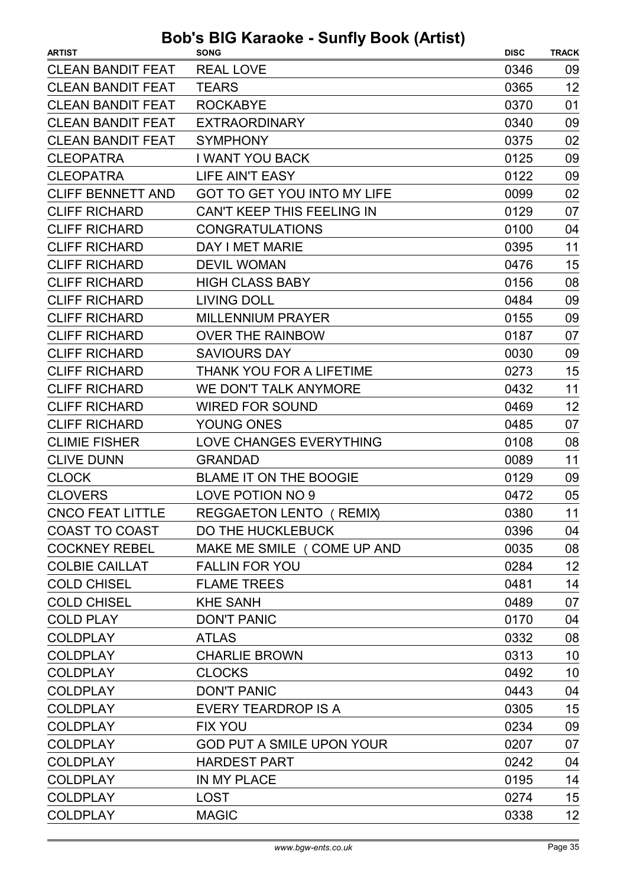| <b>ARTIST</b>            | <b>DUD 3 DIG RaidURG - SUITTY DUUR (AILISL)</b><br><b>SONG</b> | <b>DISC</b> | <b>TRACK</b> |
|--------------------------|----------------------------------------------------------------|-------------|--------------|
| <b>CLEAN BANDIT FEAT</b> | <b>REAL LOVE</b>                                               | 0346        | 09           |
| <b>CLEAN BANDIT FEAT</b> | <b>TEARS</b>                                                   | 0365        | 12           |
| <b>CLEAN BANDIT FEAT</b> | <b>ROCKABYE</b>                                                | 0370        | 01           |
| <b>CLEAN BANDIT FEAT</b> | <b>EXTRAORDINARY</b>                                           | 0340        | 09           |
| <b>CLEAN BANDIT FEAT</b> | <b>SYMPHONY</b>                                                | 0375        | 02           |
| <b>CLEOPATRA</b>         | <b>I WANT YOU BACK</b>                                         | 0125        | 09           |
| <b>CLEOPATRA</b>         | <b>LIFE AIN'T EASY</b>                                         | 0122        | 09           |
| <b>CLIFF BENNETT AND</b> | <b>GOT TO GET YOU INTO MY LIFE</b>                             | 0099        | 02           |
| <b>CLIFF RICHARD</b>     | <b>CAN'T KEEP THIS FEELING IN</b>                              | 0129        | 07           |
| <b>CLIFF RICHARD</b>     | <b>CONGRATULATIONS</b>                                         | 0100        | 04           |
| <b>CLIFF RICHARD</b>     | DAY I MET MARIE                                                | 0395        | 11           |
| <b>CLIFF RICHARD</b>     | <b>DEVIL WOMAN</b>                                             | 0476        | 15           |
| <b>CLIFF RICHARD</b>     | <b>HIGH CLASS BABY</b>                                         | 0156        | 08           |
| <b>CLIFF RICHARD</b>     | <b>LIVING DOLL</b>                                             | 0484        | 09           |
| <b>CLIFF RICHARD</b>     | <b>MILLENNIUM PRAYER</b>                                       | 0155        | 09           |
| <b>CLIFF RICHARD</b>     | <b>OVER THE RAINBOW</b>                                        | 0187        | 07           |
| <b>CLIFF RICHARD</b>     | <b>SAVIOURS DAY</b>                                            | 0030        | 09           |
| <b>CLIFF RICHARD</b>     | THANK YOU FOR A LIFETIME                                       | 0273        | 15           |
| <b>CLIFF RICHARD</b>     | WE DON'T TALK ANYMORE                                          | 0432        | 11           |
| <b>CLIFF RICHARD</b>     | <b>WIRED FOR SOUND</b>                                         | 0469        | 12           |
| <b>CLIFF RICHARD</b>     | YOUNG ONES                                                     | 0485        | 07           |
| <b>CLIMIE FISHER</b>     | LOVE CHANGES EVERYTHING                                        | 0108        | 08           |
| <b>CLIVE DUNN</b>        | <b>GRANDAD</b>                                                 | 0089        | 11           |
| <b>CLOCK</b>             | <b>BLAME IT ON THE BOOGIE</b>                                  | 0129        | 09           |
| <b>CLOVERS</b>           | LOVE POTION NO 9                                               | 0472        | 05           |
| <b>CNCO FEAT LITTLE</b>  | REGGAETON LENTO (REMIX)                                        | 0380        | 11           |
| <b>COAST TO COAST</b>    | DO THE HUCKLEBUCK                                              | 0396        | 04           |
| <b>COCKNEY REBEL</b>     | MAKE ME SMILE ( COME UP AND                                    | 0035        | 08           |
| <b>COLBIE CAILLAT</b>    | <b>FALLIN FOR YOU</b>                                          | 0284        | 12           |
| <b>COLD CHISEL</b>       | <b>FLAME TREES</b>                                             | 0481        | 14           |
| <b>COLD CHISEL</b>       | <b>KHE SANH</b>                                                | 0489        | 07           |
| <b>COLD PLAY</b>         | <b>DON'T PANIC</b>                                             | 0170        | 04           |
| <b>COLDPLAY</b>          | <b>ATLAS</b>                                                   | 0332        | 08           |
| <b>COLDPLAY</b>          | <b>CHARLIE BROWN</b>                                           | 0313        | 10           |
| <b>COLDPLAY</b>          | <b>CLOCKS</b>                                                  | 0492        | 10           |
| <b>COLDPLAY</b>          | <b>DON'T PANIC</b>                                             | 0443        | 04           |
| <b>COLDPLAY</b>          | <b>EVERY TEARDROP IS A</b>                                     | 0305        | 15           |
| <b>COLDPLAY</b>          | <b>FIX YOU</b>                                                 | 0234        | 09           |
| <b>COLDPLAY</b>          | <b>GOD PUT A SMILE UPON YOUR</b>                               | 0207        | 07           |
| <b>COLDPLAY</b>          | <b>HARDEST PART</b>                                            | 0242        | 04           |
| <b>COLDPLAY</b>          | IN MY PLACE                                                    | 0195        | 14           |
| <b>COLDPLAY</b>          | <b>LOST</b>                                                    | 0274        | 15           |
| <b>COLDPLAY</b>          | <b>MAGIC</b>                                                   | 0338        | 12           |
|                          |                                                                |             |              |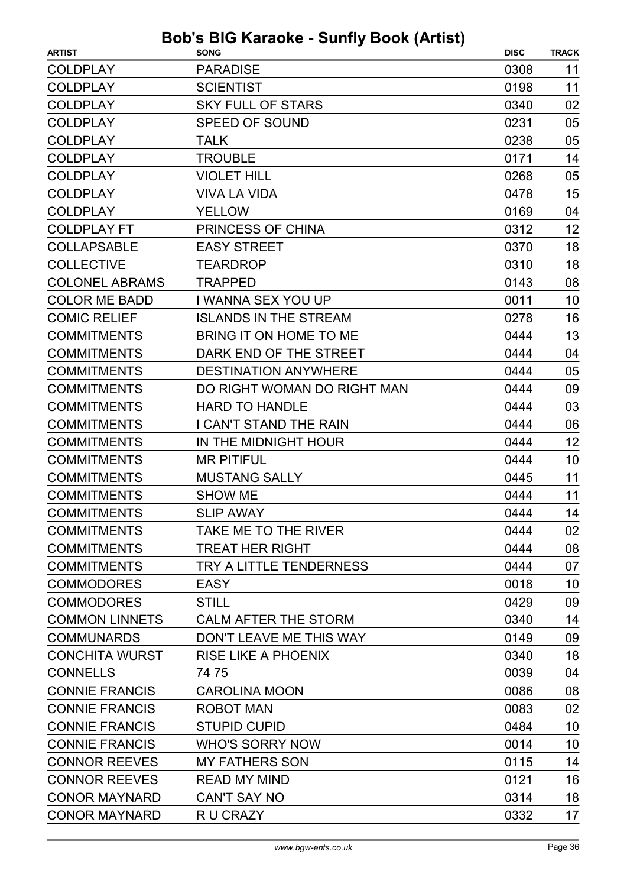| <b>ARTIST</b>         | $3003$ $100$ indiable - barring Doon (Artist)<br><b>SONG</b> | <b>DISC</b> | <b>TRACK</b> |
|-----------------------|--------------------------------------------------------------|-------------|--------------|
| <b>COLDPLAY</b>       | <b>PARADISE</b>                                              | 0308        | 11           |
| <b>COLDPLAY</b>       | <b>SCIENTIST</b>                                             | 0198        | 11           |
| <b>COLDPLAY</b>       | <b>SKY FULL OF STARS</b>                                     | 0340        | 02           |
| <b>COLDPLAY</b>       | <b>SPEED OF SOUND</b>                                        | 0231        | 05           |
| <b>COLDPLAY</b>       | <b>TALK</b>                                                  | 0238        | 05           |
| <b>COLDPLAY</b>       | <b>TROUBLE</b>                                               | 0171        | 14           |
| <b>COLDPLAY</b>       | <b>VIOLET HILL</b>                                           | 0268        | 05           |
| <b>COLDPLAY</b>       | <b>VIVA LA VIDA</b>                                          | 0478        | 15           |
| <b>COLDPLAY</b>       | <b>YELLOW</b>                                                | 0169        | 04           |
| <b>COLDPLAY FT</b>    | PRINCESS OF CHINA                                            | 0312        | 12           |
| <b>COLLAPSABLE</b>    | <b>EASY STREET</b>                                           | 0370        | 18           |
| <b>COLLECTIVE</b>     | <b>TEARDROP</b>                                              | 0310        | 18           |
| <b>COLONEL ABRAMS</b> | <b>TRAPPED</b>                                               | 0143        | 08           |
| <b>COLOR ME BADD</b>  | I WANNA SEX YOU UP                                           | 0011        | 10           |
| <b>COMIC RELIEF</b>   | <b>ISLANDS IN THE STREAM</b>                                 | 0278        | 16           |
| <b>COMMITMENTS</b>    | BRING IT ON HOME TO ME                                       | 0444        | 13           |
| <b>COMMITMENTS</b>    | DARK END OF THE STREET                                       | 0444        | 04           |
| <b>COMMITMENTS</b>    | <b>DESTINATION ANYWHERE</b>                                  | 0444        | 05           |
| <b>COMMITMENTS</b>    | DO RIGHT WOMAN DO RIGHT MAN                                  | 0444        | 09           |
| <b>COMMITMENTS</b>    | <b>HARD TO HANDLE</b>                                        | 0444        | 03           |
| <b>COMMITMENTS</b>    | I CAN'T STAND THE RAIN                                       | 0444        | 06           |
| <b>COMMITMENTS</b>    | IN THE MIDNIGHT HOUR                                         | 0444        | 12           |
| <b>COMMITMENTS</b>    | <b>MR PITIFUL</b>                                            | 0444        | 10           |
| <b>COMMITMENTS</b>    | <b>MUSTANG SALLY</b>                                         | 0445        | 11           |
| <b>COMMITMENTS</b>    | <b>SHOW ME</b>                                               | 0444        | 11           |
| <b>COMMITMENTS</b>    | <b>SLIP AWAY</b>                                             | 0444        | 14           |
| <b>COMMITMENTS</b>    | TAKE ME TO THE RIVER                                         | 0444        | 02           |
| <b>COMMITMENTS</b>    | <b>TREAT HER RIGHT</b>                                       | 0444        | 08           |
| <b>COMMITMENTS</b>    | TRY A LITTLE TENDERNESS                                      | 0444        | 07           |
| <b>COMMODORES</b>     | EASY                                                         | 0018        | 10           |
| <b>COMMODORES</b>     | STILL                                                        | 0429        | 09           |
| <b>COMMON LINNETS</b> | <b>CALM AFTER THE STORM</b>                                  | 0340        | 14           |
| <b>COMMUNARDS</b>     | DON'T LEAVE ME THIS WAY                                      | 0149        | 09           |
| <b>CONCHITA WURST</b> | <b>RISE LIKE A PHOENIX</b>                                   | 0340        | 18           |
| <b>CONNELLS</b>       | 74 75                                                        | 0039        | 04           |
| <b>CONNIE FRANCIS</b> | <b>CAROLINA MOON</b>                                         | 0086        | 08           |
| <b>CONNIE FRANCIS</b> | <b>ROBOT MAN</b>                                             | 0083        | 02           |
| <b>CONNIE FRANCIS</b> | <b>STUPID CUPID</b>                                          | 0484        | 10           |
| <b>CONNIE FRANCIS</b> | <b>WHO'S SORRY NOW</b>                                       | 0014        | 10           |
| <b>CONNOR REEVES</b>  | <b>MY FATHERS SON</b>                                        | 0115        | 14           |
| <b>CONNOR REEVES</b>  | <b>READ MY MIND</b>                                          | 0121        | 16           |
| <b>CONOR MAYNARD</b>  | <b>CAN'T SAY NO</b>                                          | 0314        | 18           |
| <b>CONOR MAYNARD</b>  | R U CRAZY                                                    | 0332        | 17           |
|                       |                                                              |             |              |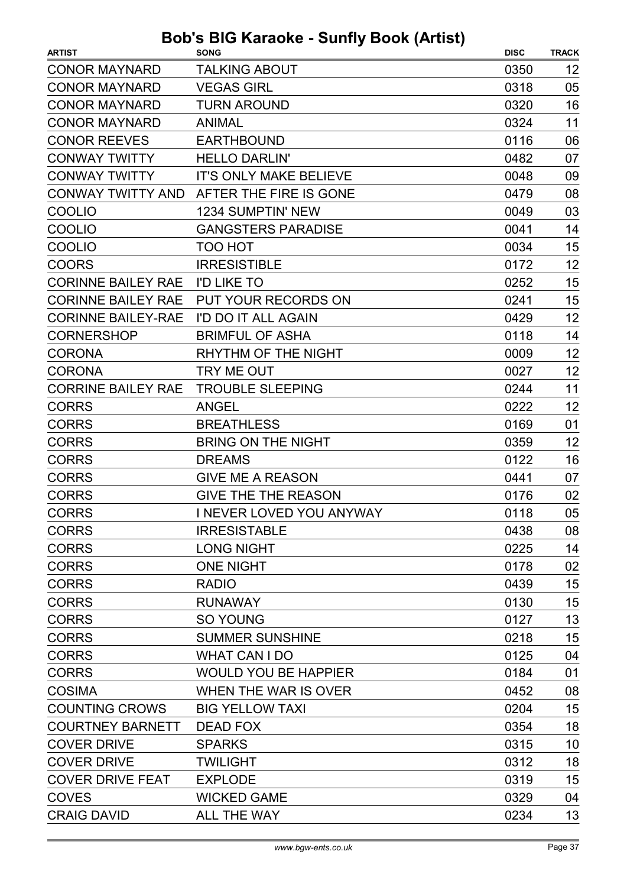| <b>ARTIST</b>             | $\sim$ Karaono canny Doon (Article)<br><b>SONG</b> | <b>DISC</b> | <b>TRACK</b> |
|---------------------------|----------------------------------------------------|-------------|--------------|
| <b>CONOR MAYNARD</b>      | <b>TALKING ABOUT</b>                               | 0350        | 12           |
| <b>CONOR MAYNARD</b>      | <b>VEGAS GIRL</b>                                  | 0318        | 05           |
| <b>CONOR MAYNARD</b>      | <b>TURN AROUND</b>                                 | 0320        | 16           |
| <b>CONOR MAYNARD</b>      | <b>ANIMAL</b>                                      | 0324        | 11           |
| <b>CONOR REEVES</b>       | <b>EARTHBOUND</b>                                  | 0116        | 06           |
| <b>CONWAY TWITTY</b>      | <b>HELLO DARLIN'</b>                               | 0482        | 07           |
| <b>CONWAY TWITTY</b>      | <b>IT'S ONLY MAKE BELIEVE</b>                      | 0048        | 09           |
|                           | CONWAY TWITTY AND AFTER THE FIRE IS GONE           | 0479        | 08           |
| <b>COOLIO</b>             | <b>1234 SUMPTIN' NEW</b>                           | 0049        | 03           |
| <b>COOLIO</b>             | <b>GANGSTERS PARADISE</b>                          | 0041        | 14           |
| <b>COOLIO</b>             | TOO HOT                                            | 0034        | 15           |
| <b>COORS</b>              | <b>IRRESISTIBLE</b>                                | 0172        | 12           |
| <b>CORINNE BAILEY RAE</b> | <b>I'D LIKE TO</b>                                 | 0252        | 15           |
|                           | CORINNE BAILEY RAE PUT YOUR RECORDS ON             | 0241        | 15           |
| <b>CORINNE BAILEY-RAE</b> | I'D DO IT ALL AGAIN                                | 0429        | 12           |
| <b>CORNERSHOP</b>         | <b>BRIMFUL OF ASHA</b>                             | 0118        | 14           |
| <b>CORONA</b>             | RHYTHM OF THE NIGHT                                | 0009        | 12           |
| <b>CORONA</b>             | TRY ME OUT                                         | 0027        | 12           |
| <b>CORRINE BAILEY RAE</b> | <b>TROUBLE SLEEPING</b>                            | 0244        | 11           |
| <b>CORRS</b>              | <b>ANGEL</b>                                       | 0222        | 12           |
| <b>CORRS</b>              | <b>BREATHLESS</b>                                  | 0169        | 01           |
| <b>CORRS</b>              | <b>BRING ON THE NIGHT</b>                          | 0359        | 12           |
| <b>CORRS</b>              | <b>DREAMS</b>                                      | 0122        | 16           |
| <b>CORRS</b>              | <b>GIVE ME A REASON</b>                            | 0441        | 07           |
| <b>CORRS</b>              | <b>GIVE THE THE REASON</b>                         | 0176        | 02           |
| <b>CORRS</b>              | I NEVER LOVED YOU ANYWAY                           | 0118        | 05           |
| <b>CORRS</b>              | <b>IRRESISTABLE</b>                                | 0438        | 08           |
| <b>CORRS</b>              | <b>LONG NIGHT</b>                                  | 0225        | 14           |
| <b>CORRS</b>              | <b>ONE NIGHT</b>                                   | 0178        | 02           |
| <b>CORRS</b>              | <b>RADIO</b>                                       | 0439        | 15           |
| <b>CORRS</b>              | <b>RUNAWAY</b>                                     | 0130        | 15           |
| <b>CORRS</b>              | <b>SO YOUNG</b>                                    | 0127        | 13           |
| <b>CORRS</b>              | <b>SUMMER SUNSHINE</b>                             | 0218        | 15           |
| <b>CORRS</b>              | <b>WHAT CAN I DO</b>                               | 0125        | 04           |
| <b>CORRS</b>              | <b>WOULD YOU BE HAPPIER</b>                        | 0184        | 01           |
| <b>COSIMA</b>             | WHEN THE WAR IS OVER                               | 0452        | 08           |
| <b>COUNTING CROWS</b>     | <b>BIG YELLOW TAXI</b>                             | 0204        | 15           |
| <b>COURTNEY BARNETT</b>   | DEAD FOX                                           | 0354        | 18           |
| <b>COVER DRIVE</b>        | <b>SPARKS</b>                                      | 0315        | 10           |
| <b>COVER DRIVE</b>        | <b>TWILIGHT</b>                                    | 0312        | 18           |
| <b>COVER DRIVE FEAT</b>   | <b>EXPLODE</b>                                     | 0319        | 15           |
| <b>COVES</b>              | <b>WICKED GAME</b>                                 | 0329        | 04           |
| <b>CRAIG DAVID</b>        | ALL THE WAY                                        | 0234        | 13           |
|                           |                                                    |             |              |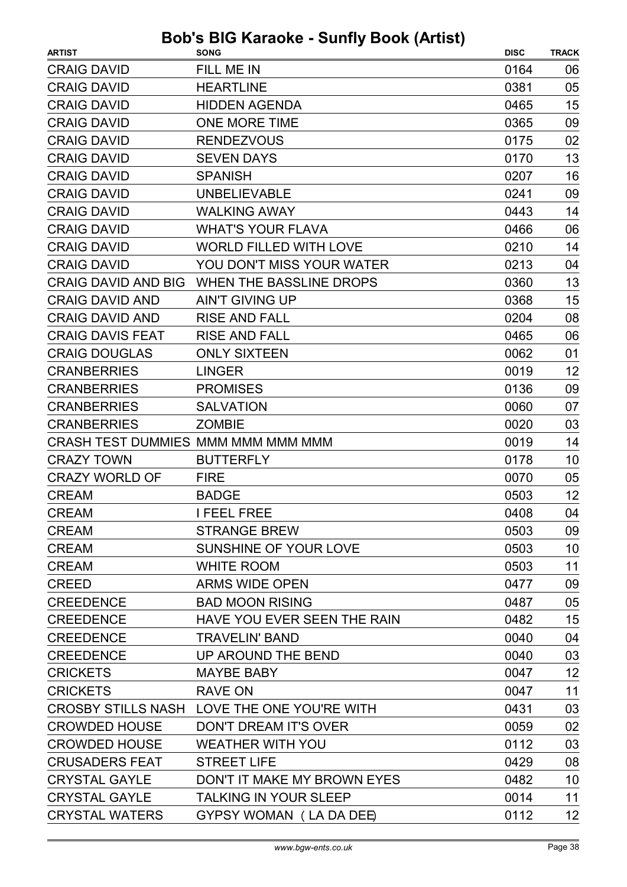| FILL ME IN<br>0164<br>06<br>05<br><b>HEARTLINE</b><br>0381<br>15<br><b>HIDDEN AGENDA</b><br>0465<br>09<br><b>ONE MORE TIME</b><br>0365<br><b>RENDEZVOUS</b><br>0175<br>02<br>13<br><b>SEVEN DAYS</b><br>0170<br>16<br><b>SPANISH</b><br>0207<br>09<br><b>UNBELIEVABLE</b><br>0241<br>14<br><b>WALKING AWAY</b><br>0443<br><b>WHAT'S YOUR FLAVA</b><br>0466<br>06<br><b>WORLD FILLED WITH LOVE</b><br>0210<br>14<br>YOU DON'T MISS YOUR WATER<br>04<br>0213<br>13<br>WHEN THE BASSLINE DROPS<br>0360<br>15<br><b>AIN'T GIVING UP</b><br>0368<br>08<br><b>RISE AND FALL</b><br>0204<br><b>RISE AND FALL</b><br>06<br>0465<br>01<br><b>ONLY SIXTEEN</b><br>0062<br>0019<br>12<br><b>LINGER</b><br>09<br><b>PROMISES</b><br>0136<br><b>SALVATION</b><br>0060<br>07<br><b>ZOMBIE</b><br>0020<br>03<br>CRASH TEST DUMMIES MMM MMM MMM MMM<br>14<br>0019<br>0178<br>10<br><b>BUTTERFLY</b><br>05<br><b>FIRE</b><br>0070<br>12<br><b>BADGE</b><br>0503<br>0408<br>04<br><b>I FEEL FREE</b><br><b>STRANGE BREW</b><br>0503<br>09<br>10<br>SUNSHINE OF YOUR LOVE<br>0503<br>11<br><b>WHITE ROOM</b><br>0503<br><b>ARMS WIDE OPEN</b><br>09<br>0477<br><b>BAD MOON RISING</b><br>05<br>0487<br>HAVE YOU EVER SEEN THE RAIN<br>15<br>0482<br>04<br><b>TRAVELIN' BAND</b><br>0040<br>UP AROUND THE BEND<br>0040<br>03<br>12<br><b>MAYBE BABY</b><br>0047<br>11<br><b>RAVE ON</b><br>0047<br>CROSBY STILLS NASH LOVE THE ONE YOU'RE WITH<br>03<br>0431<br><b>CROWDED HOUSE</b><br>02<br>DON'T DREAM IT'S OVER<br>0059 | <b>ARTIST</b>              | <b>SONG</b>             | <b>DISC</b> | <b>TRACK</b> |
|---------------------------------------------------------------------------------------------------------------------------------------------------------------------------------------------------------------------------------------------------------------------------------------------------------------------------------------------------------------------------------------------------------------------------------------------------------------------------------------------------------------------------------------------------------------------------------------------------------------------------------------------------------------------------------------------------------------------------------------------------------------------------------------------------------------------------------------------------------------------------------------------------------------------------------------------------------------------------------------------------------------------------------------------------------------------------------------------------------------------------------------------------------------------------------------------------------------------------------------------------------------------------------------------------------------------------------------------------------------------------------------------------------------------------------------------------------------------------------------------------------|----------------------------|-------------------------|-------------|--------------|
|                                                                                                                                                                                                                                                                                                                                                                                                                                                                                                                                                                                                                                                                                                                                                                                                                                                                                                                                                                                                                                                                                                                                                                                                                                                                                                                                                                                                                                                                                                         | <b>CRAIG DAVID</b>         |                         |             |              |
|                                                                                                                                                                                                                                                                                                                                                                                                                                                                                                                                                                                                                                                                                                                                                                                                                                                                                                                                                                                                                                                                                                                                                                                                                                                                                                                                                                                                                                                                                                         | <b>CRAIG DAVID</b>         |                         |             |              |
|                                                                                                                                                                                                                                                                                                                                                                                                                                                                                                                                                                                                                                                                                                                                                                                                                                                                                                                                                                                                                                                                                                                                                                                                                                                                                                                                                                                                                                                                                                         | <b>CRAIG DAVID</b>         |                         |             |              |
|                                                                                                                                                                                                                                                                                                                                                                                                                                                                                                                                                                                                                                                                                                                                                                                                                                                                                                                                                                                                                                                                                                                                                                                                                                                                                                                                                                                                                                                                                                         | <b>CRAIG DAVID</b>         |                         |             |              |
|                                                                                                                                                                                                                                                                                                                                                                                                                                                                                                                                                                                                                                                                                                                                                                                                                                                                                                                                                                                                                                                                                                                                                                                                                                                                                                                                                                                                                                                                                                         | <b>CRAIG DAVID</b>         |                         |             |              |
|                                                                                                                                                                                                                                                                                                                                                                                                                                                                                                                                                                                                                                                                                                                                                                                                                                                                                                                                                                                                                                                                                                                                                                                                                                                                                                                                                                                                                                                                                                         | <b>CRAIG DAVID</b>         |                         |             |              |
|                                                                                                                                                                                                                                                                                                                                                                                                                                                                                                                                                                                                                                                                                                                                                                                                                                                                                                                                                                                                                                                                                                                                                                                                                                                                                                                                                                                                                                                                                                         | <b>CRAIG DAVID</b>         |                         |             |              |
|                                                                                                                                                                                                                                                                                                                                                                                                                                                                                                                                                                                                                                                                                                                                                                                                                                                                                                                                                                                                                                                                                                                                                                                                                                                                                                                                                                                                                                                                                                         | <b>CRAIG DAVID</b>         |                         |             |              |
|                                                                                                                                                                                                                                                                                                                                                                                                                                                                                                                                                                                                                                                                                                                                                                                                                                                                                                                                                                                                                                                                                                                                                                                                                                                                                                                                                                                                                                                                                                         | <b>CRAIG DAVID</b>         |                         |             |              |
|                                                                                                                                                                                                                                                                                                                                                                                                                                                                                                                                                                                                                                                                                                                                                                                                                                                                                                                                                                                                                                                                                                                                                                                                                                                                                                                                                                                                                                                                                                         | <b>CRAIG DAVID</b>         |                         |             |              |
|                                                                                                                                                                                                                                                                                                                                                                                                                                                                                                                                                                                                                                                                                                                                                                                                                                                                                                                                                                                                                                                                                                                                                                                                                                                                                                                                                                                                                                                                                                         | <b>CRAIG DAVID</b>         |                         |             |              |
|                                                                                                                                                                                                                                                                                                                                                                                                                                                                                                                                                                                                                                                                                                                                                                                                                                                                                                                                                                                                                                                                                                                                                                                                                                                                                                                                                                                                                                                                                                         | <b>CRAIG DAVID</b>         |                         |             |              |
|                                                                                                                                                                                                                                                                                                                                                                                                                                                                                                                                                                                                                                                                                                                                                                                                                                                                                                                                                                                                                                                                                                                                                                                                                                                                                                                                                                                                                                                                                                         | <b>CRAIG DAVID AND BIG</b> |                         |             |              |
|                                                                                                                                                                                                                                                                                                                                                                                                                                                                                                                                                                                                                                                                                                                                                                                                                                                                                                                                                                                                                                                                                                                                                                                                                                                                                                                                                                                                                                                                                                         | <b>CRAIG DAVID AND</b>     |                         |             |              |
|                                                                                                                                                                                                                                                                                                                                                                                                                                                                                                                                                                                                                                                                                                                                                                                                                                                                                                                                                                                                                                                                                                                                                                                                                                                                                                                                                                                                                                                                                                         | <b>CRAIG DAVID AND</b>     |                         |             |              |
|                                                                                                                                                                                                                                                                                                                                                                                                                                                                                                                                                                                                                                                                                                                                                                                                                                                                                                                                                                                                                                                                                                                                                                                                                                                                                                                                                                                                                                                                                                         | <b>CRAIG DAVIS FEAT</b>    |                         |             |              |
|                                                                                                                                                                                                                                                                                                                                                                                                                                                                                                                                                                                                                                                                                                                                                                                                                                                                                                                                                                                                                                                                                                                                                                                                                                                                                                                                                                                                                                                                                                         | <b>CRAIG DOUGLAS</b>       |                         |             |              |
|                                                                                                                                                                                                                                                                                                                                                                                                                                                                                                                                                                                                                                                                                                                                                                                                                                                                                                                                                                                                                                                                                                                                                                                                                                                                                                                                                                                                                                                                                                         | <b>CRANBERRIES</b>         |                         |             |              |
|                                                                                                                                                                                                                                                                                                                                                                                                                                                                                                                                                                                                                                                                                                                                                                                                                                                                                                                                                                                                                                                                                                                                                                                                                                                                                                                                                                                                                                                                                                         | <b>CRANBERRIES</b>         |                         |             |              |
|                                                                                                                                                                                                                                                                                                                                                                                                                                                                                                                                                                                                                                                                                                                                                                                                                                                                                                                                                                                                                                                                                                                                                                                                                                                                                                                                                                                                                                                                                                         | <b>CRANBERRIES</b>         |                         |             |              |
|                                                                                                                                                                                                                                                                                                                                                                                                                                                                                                                                                                                                                                                                                                                                                                                                                                                                                                                                                                                                                                                                                                                                                                                                                                                                                                                                                                                                                                                                                                         | <b>CRANBERRIES</b>         |                         |             |              |
|                                                                                                                                                                                                                                                                                                                                                                                                                                                                                                                                                                                                                                                                                                                                                                                                                                                                                                                                                                                                                                                                                                                                                                                                                                                                                                                                                                                                                                                                                                         |                            |                         |             |              |
|                                                                                                                                                                                                                                                                                                                                                                                                                                                                                                                                                                                                                                                                                                                                                                                                                                                                                                                                                                                                                                                                                                                                                                                                                                                                                                                                                                                                                                                                                                         | <b>CRAZY TOWN</b>          |                         |             |              |
|                                                                                                                                                                                                                                                                                                                                                                                                                                                                                                                                                                                                                                                                                                                                                                                                                                                                                                                                                                                                                                                                                                                                                                                                                                                                                                                                                                                                                                                                                                         | <b>CRAZY WORLD OF</b>      |                         |             |              |
|                                                                                                                                                                                                                                                                                                                                                                                                                                                                                                                                                                                                                                                                                                                                                                                                                                                                                                                                                                                                                                                                                                                                                                                                                                                                                                                                                                                                                                                                                                         | <b>CREAM</b>               |                         |             |              |
|                                                                                                                                                                                                                                                                                                                                                                                                                                                                                                                                                                                                                                                                                                                                                                                                                                                                                                                                                                                                                                                                                                                                                                                                                                                                                                                                                                                                                                                                                                         | <b>CREAM</b>               |                         |             |              |
|                                                                                                                                                                                                                                                                                                                                                                                                                                                                                                                                                                                                                                                                                                                                                                                                                                                                                                                                                                                                                                                                                                                                                                                                                                                                                                                                                                                                                                                                                                         | <b>CREAM</b>               |                         |             |              |
|                                                                                                                                                                                                                                                                                                                                                                                                                                                                                                                                                                                                                                                                                                                                                                                                                                                                                                                                                                                                                                                                                                                                                                                                                                                                                                                                                                                                                                                                                                         | <b>CREAM</b>               |                         |             |              |
|                                                                                                                                                                                                                                                                                                                                                                                                                                                                                                                                                                                                                                                                                                                                                                                                                                                                                                                                                                                                                                                                                                                                                                                                                                                                                                                                                                                                                                                                                                         | <b>CREAM</b>               |                         |             |              |
|                                                                                                                                                                                                                                                                                                                                                                                                                                                                                                                                                                                                                                                                                                                                                                                                                                                                                                                                                                                                                                                                                                                                                                                                                                                                                                                                                                                                                                                                                                         | <b>CREED</b>               |                         |             |              |
|                                                                                                                                                                                                                                                                                                                                                                                                                                                                                                                                                                                                                                                                                                                                                                                                                                                                                                                                                                                                                                                                                                                                                                                                                                                                                                                                                                                                                                                                                                         | <b>CREEDENCE</b>           |                         |             |              |
|                                                                                                                                                                                                                                                                                                                                                                                                                                                                                                                                                                                                                                                                                                                                                                                                                                                                                                                                                                                                                                                                                                                                                                                                                                                                                                                                                                                                                                                                                                         | <b>CREEDENCE</b>           |                         |             |              |
|                                                                                                                                                                                                                                                                                                                                                                                                                                                                                                                                                                                                                                                                                                                                                                                                                                                                                                                                                                                                                                                                                                                                                                                                                                                                                                                                                                                                                                                                                                         | <b>CREEDENCE</b>           |                         |             |              |
|                                                                                                                                                                                                                                                                                                                                                                                                                                                                                                                                                                                                                                                                                                                                                                                                                                                                                                                                                                                                                                                                                                                                                                                                                                                                                                                                                                                                                                                                                                         | <b>CREEDENCE</b>           |                         |             |              |
|                                                                                                                                                                                                                                                                                                                                                                                                                                                                                                                                                                                                                                                                                                                                                                                                                                                                                                                                                                                                                                                                                                                                                                                                                                                                                                                                                                                                                                                                                                         | <b>CRICKETS</b>            |                         |             |              |
|                                                                                                                                                                                                                                                                                                                                                                                                                                                                                                                                                                                                                                                                                                                                                                                                                                                                                                                                                                                                                                                                                                                                                                                                                                                                                                                                                                                                                                                                                                         | <b>CRICKETS</b>            |                         |             |              |
|                                                                                                                                                                                                                                                                                                                                                                                                                                                                                                                                                                                                                                                                                                                                                                                                                                                                                                                                                                                                                                                                                                                                                                                                                                                                                                                                                                                                                                                                                                         |                            |                         |             |              |
|                                                                                                                                                                                                                                                                                                                                                                                                                                                                                                                                                                                                                                                                                                                                                                                                                                                                                                                                                                                                                                                                                                                                                                                                                                                                                                                                                                                                                                                                                                         |                            |                         |             |              |
|                                                                                                                                                                                                                                                                                                                                                                                                                                                                                                                                                                                                                                                                                                                                                                                                                                                                                                                                                                                                                                                                                                                                                                                                                                                                                                                                                                                                                                                                                                         | <b>CROWDED HOUSE</b>       | <b>WEATHER WITH YOU</b> | 0112        | 03           |
| 08<br><b>STREET LIFE</b><br>0429                                                                                                                                                                                                                                                                                                                                                                                                                                                                                                                                                                                                                                                                                                                                                                                                                                                                                                                                                                                                                                                                                                                                                                                                                                                                                                                                                                                                                                                                        | <b>CRUSADERS FEAT</b>      |                         |             |              |
| DON'T IT MAKE MY BROWN EYES<br>10<br>0482                                                                                                                                                                                                                                                                                                                                                                                                                                                                                                                                                                                                                                                                                                                                                                                                                                                                                                                                                                                                                                                                                                                                                                                                                                                                                                                                                                                                                                                               | <b>CRYSTAL GAYLE</b>       |                         |             |              |
| 11<br><b>TALKING IN YOUR SLEEP</b><br>0014                                                                                                                                                                                                                                                                                                                                                                                                                                                                                                                                                                                                                                                                                                                                                                                                                                                                                                                                                                                                                                                                                                                                                                                                                                                                                                                                                                                                                                                              | <b>CRYSTAL GAYLE</b>       |                         |             |              |
| 12<br>GYPSY WOMAN (LA DA DEE)<br>0112                                                                                                                                                                                                                                                                                                                                                                                                                                                                                                                                                                                                                                                                                                                                                                                                                                                                                                                                                                                                                                                                                                                                                                                                                                                                                                                                                                                                                                                                   | <b>CRYSTAL WATERS</b>      |                         |             |              |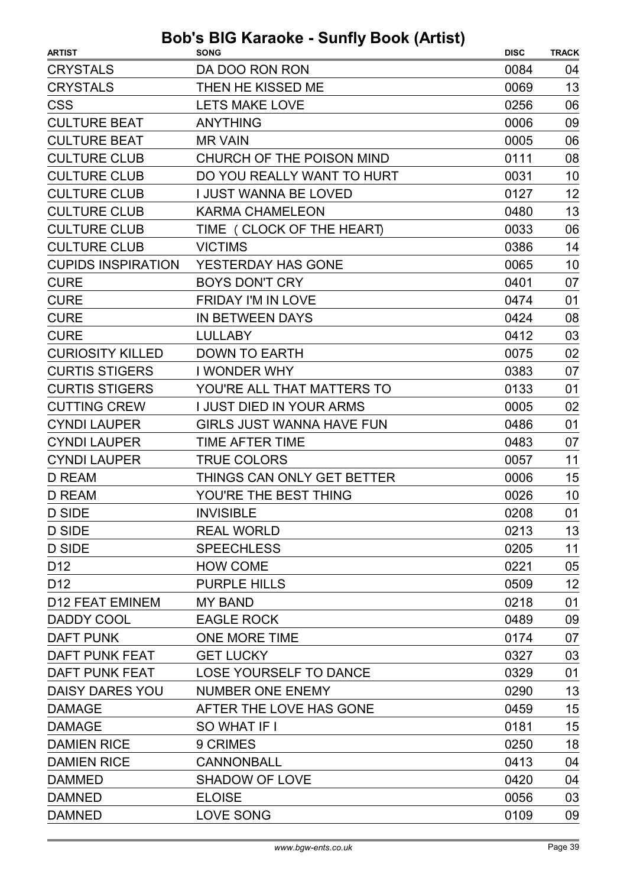| <b>ARTIST</b>             | <b>SONG</b>                      | <b>DISC</b> | <b>TRACK</b> |
|---------------------------|----------------------------------|-------------|--------------|
| <b>CRYSTALS</b>           | DA DOO RON RON                   | 0084        | 04           |
| <b>CRYSTALS</b>           | THEN HE KISSED ME                | 0069        | 13           |
| <b>CSS</b>                | <b>LETS MAKE LOVE</b>            | 0256        | 06           |
| <b>CULTURE BEAT</b>       | <b>ANYTHING</b>                  | 0006        | 09           |
| <b>CULTURE BEAT</b>       | <b>MR VAIN</b>                   | 0005        | 06           |
| <b>CULTURE CLUB</b>       | CHURCH OF THE POISON MIND        | 0111        | 08           |
| <b>CULTURE CLUB</b>       | DO YOU REALLY WANT TO HURT       | 0031        | 10           |
| <b>CULTURE CLUB</b>       | <b>I JUST WANNA BE LOVED</b>     | 0127        | 12           |
| <b>CULTURE CLUB</b>       | <b>KARMA CHAMELEON</b>           | 0480        | 13           |
| <b>CULTURE CLUB</b>       | TIME ( CLOCK OF THE HEART)       | 0033        | 06           |
| <b>CULTURE CLUB</b>       | <b>VICTIMS</b>                   | 0386        | 14           |
| <b>CUPIDS INSPIRATION</b> | YESTERDAY HAS GONE               | 0065        | 10           |
| <b>CURE</b>               | <b>BOYS DON'T CRY</b>            | 0401        | 07           |
| <b>CURE</b>               | <b>FRIDAY I'M IN LOVE</b>        | 0474        | 01           |
| <b>CURE</b>               | <b>IN BETWEEN DAYS</b>           | 0424        | 08           |
| <b>CURE</b>               | <b>LULLABY</b>                   | 0412        | 03           |
| <b>CURIOSITY KILLED</b>   | <b>DOWN TO EARTH</b>             | 0075        | 02           |
| <b>CURTIS STIGERS</b>     | I WONDER WHY                     | 0383        | 07           |
| <b>CURTIS STIGERS</b>     | YOU'RE ALL THAT MATTERS TO       | 0133        | 01           |
| <b>CUTTING CREW</b>       | <b>I JUST DIED IN YOUR ARMS</b>  | 0005        | 02           |
| <b>CYNDI LAUPER</b>       | <b>GIRLS JUST WANNA HAVE FUN</b> | 0486        | 01           |
| <b>CYNDI LAUPER</b>       | <b>TIME AFTER TIME</b>           | 0483        | 07           |
| <b>CYNDI LAUPER</b>       | <b>TRUE COLORS</b>               | 0057        | 11           |
| <b>D REAM</b>             | THINGS CAN ONLY GET BETTER       | 0006        | 15           |
| <b>D REAM</b>             | YOU'RE THE BEST THING            | 0026        | 10           |
| D SIDE                    | <b>INVISIBLE</b>                 | 0208        | 01           |
| D SIDE                    | <b>REAL WORLD</b>                | 0213        | 13           |
| <b>D SIDE</b>             | <b>SPEECHLESS</b>                | 0205        | 11           |
| D <sub>12</sub>           | <b>HOW COME</b>                  | 0221        | 05           |
| D <sub>12</sub>           | <b>PURPLE HILLS</b>              | 0509        | 12           |
| <b>D12 FEAT EMINEM</b>    | <b>MY BAND</b>                   | 0218        | 01           |
| DADDY COOL                | <b>EAGLE ROCK</b>                | 0489        | 09           |
| <b>DAFT PUNK</b>          | ONE MORE TIME                    | 0174        | 07           |
| DAFT PUNK FEAT            | <b>GET LUCKY</b>                 | 0327        | 03           |
| DAFT PUNK FEAT            | LOSE YOURSELF TO DANCE           | 0329        | 01           |
| DAISY DARES YOU           | NUMBER ONE ENEMY                 | 0290        | 13           |
| <b>DAMAGE</b>             | AFTER THE LOVE HAS GONE          | 0459        | 15           |
| <b>DAMAGE</b>             | SO WHAT IF I                     | 0181        | 15           |
| <b>DAMIEN RICE</b>        | 9 CRIMES                         | 0250        | 18           |
| <b>DAMIEN RICE</b>        | <b>CANNONBALL</b>                | 0413        | 04           |
| <b>DAMMED</b>             | <b>SHADOW OF LOVE</b>            | 0420        | 04           |
| <b>DAMNED</b>             | <b>ELOISE</b>                    | 0056        | 03           |
| <b>DAMNED</b>             | <b>LOVE SONG</b>                 | 0109        | 09           |
|                           |                                  |             |              |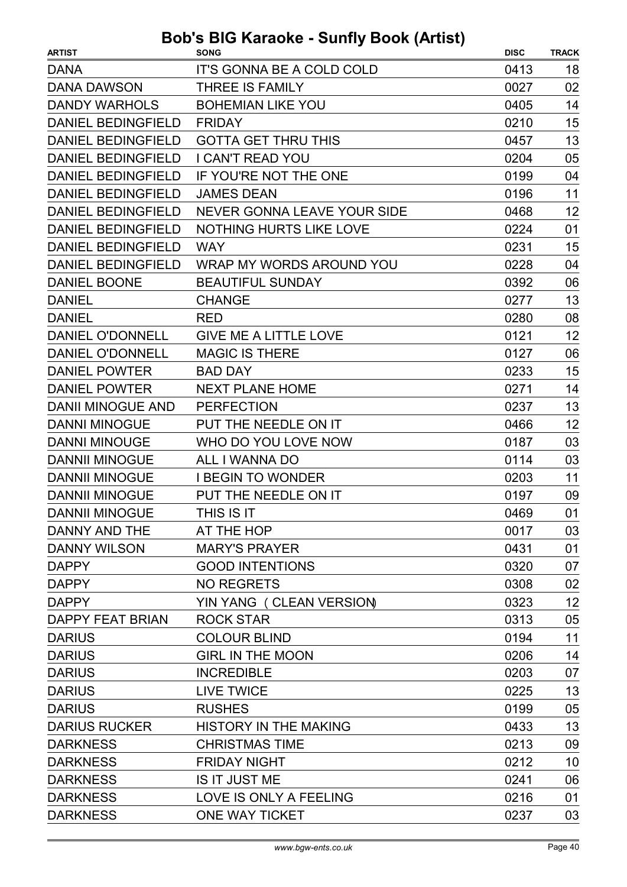| <b>ARTIST</b>             | <b>SONG</b>                      | <b>DISC</b> | <b>TRACK</b> |
|---------------------------|----------------------------------|-------------|--------------|
| <b>DANA</b>               | <b>IT'S GONNA BE A COLD COLD</b> | 0413        | 18           |
| <b>DANA DAWSON</b>        | <b>THREE IS FAMILY</b>           | 0027        | 02           |
| <b>DANDY WARHOLS</b>      | <b>BOHEMIAN LIKE YOU</b>         | 0405        | 14           |
| <b>DANIEL BEDINGFIELD</b> | <b>FRIDAY</b>                    | 0210        | 15           |
| <b>DANIEL BEDINGFIELD</b> | <b>GOTTA GET THRU THIS</b>       | 0457        | 13           |
| <b>DANIEL BEDINGFIELD</b> | <b>I CAN'T READ YOU</b>          | 0204        | 05           |
| <b>DANIEL BEDINGFIELD</b> | IF YOU'RE NOT THE ONE            | 0199        | 04           |
| <b>DANIEL BEDINGFIELD</b> | <b>JAMES DEAN</b>                | 0196        | 11           |
| <b>DANIEL BEDINGFIELD</b> | NEVER GONNA LEAVE YOUR SIDE      | 0468        | 12           |
| <b>DANIEL BEDINGFIELD</b> | <b>NOTHING HURTS LIKE LOVE</b>   | 0224        | 01           |
| <b>DANIEL BEDINGFIELD</b> | <b>WAY</b>                       | 0231        | 15           |
| <b>DANIEL BEDINGFIELD</b> | WRAP MY WORDS AROUND YOU         | 0228        | 04           |
| <b>DANIEL BOONE</b>       | <b>BEAUTIFUL SUNDAY</b>          | 0392        | 06           |
| <b>DANIEL</b>             | <b>CHANGE</b>                    | 0277        | 13           |
| <b>DANIEL</b>             | <b>RED</b>                       | 0280        | 08           |
| <b>DANIEL O'DONNELL</b>   | <b>GIVE ME A LITTLE LOVE</b>     | 0121        | 12           |
| <b>DANIEL O'DONNELL</b>   | <b>MAGIC IS THERE</b>            | 0127        | 06           |
| <b>DANIEL POWTER</b>      | <b>BAD DAY</b>                   | 0233        | 15           |
| <b>DANIEL POWTER</b>      | <b>NEXT PLANE HOME</b>           | 0271        | 14           |
| <b>DANII MINOGUE AND</b>  | <b>PERFECTION</b>                | 0237        | 13           |
| <b>DANNI MINOGUE</b>      | PUT THE NEEDLE ON IT             | 0466        | 12           |
| <b>DANNI MINOUGE</b>      | WHO DO YOU LOVE NOW              | 0187        | 03           |
| <b>DANNII MINOGUE</b>     | ALL I WANNA DO                   | 0114        | 03           |
| <b>DANNII MINOGUE</b>     | <b>I BEGIN TO WONDER</b>         | 0203        | 11           |
| <b>DANNII MINOGUE</b>     | PUT THE NEEDLE ON IT             | 0197        | 09           |
| <b>DANNII MINOGUE</b>     | THIS IS IT                       | 0469        | 01           |
| DANNY AND THE             | AT THE HOP                       | 0017        | 03           |
| <b>DANNY WILSON</b>       | <b>MARY'S PRAYER</b>             | 0431        | 01           |
| <b>DAPPY</b>              | <b>GOOD INTENTIONS</b>           | 0320        | 07           |
| <b>DAPPY</b>              | <b>NO REGRETS</b>                | 0308        | 02           |
| <b>DAPPY</b>              | YIN YANG (CLEAN VERSION)         | 0323        | 12           |
| <b>DAPPY FEAT BRIAN</b>   | <b>ROCK STAR</b>                 | 0313        | 05           |
| <b>DARIUS</b>             | <b>COLOUR BLIND</b>              | 0194        | 11           |
| <b>DARIUS</b>             | <b>GIRL IN THE MOON</b>          | 0206        | 14           |
| <b>DARIUS</b>             | <b>INCREDIBLE</b>                | 0203        | 07           |
| <b>DARIUS</b>             | <b>LIVE TWICE</b>                | 0225        | 13           |
| <b>DARIUS</b>             | <b>RUSHES</b>                    | 0199        | 05           |
| <b>DARIUS RUCKER</b>      | <b>HISTORY IN THE MAKING</b>     | 0433        | 13           |
| <b>DARKNESS</b>           | <b>CHRISTMAS TIME</b>            | 0213        | 09           |
| <b>DARKNESS</b>           | <b>FRIDAY NIGHT</b>              | 0212        | 10           |
| <b>DARKNESS</b>           | IS IT JUST ME                    | 0241        | 06           |
| <b>DARKNESS</b>           | LOVE IS ONLY A FEELING           | 0216        | 01           |
| <b>DARKNESS</b>           | <b>ONE WAY TICKET</b>            | 0237        | 03           |
|                           |                                  |             |              |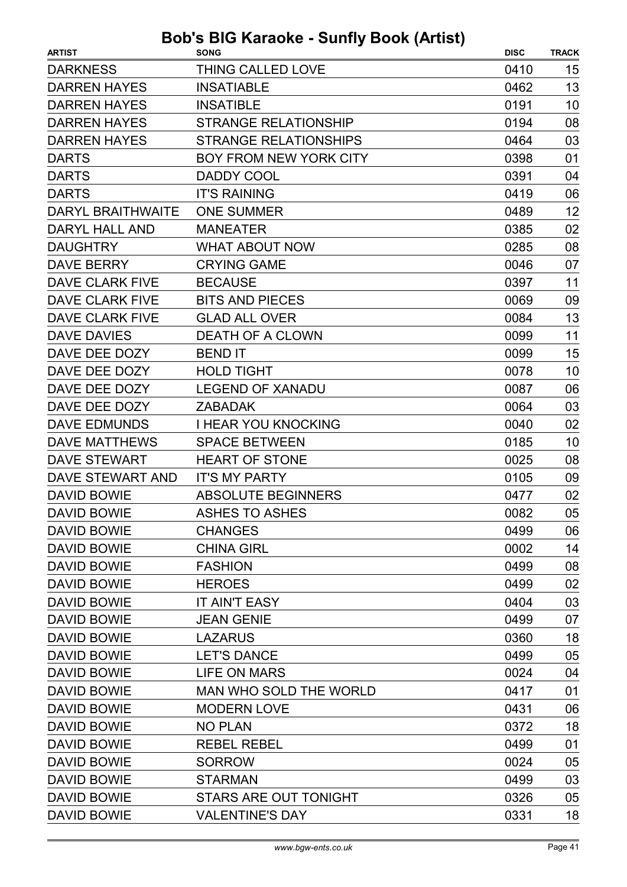| <b>ARTIST</b>            | <b>SONG</b>                   | <b>DISC</b> | <b>TRACK</b> |
|--------------------------|-------------------------------|-------------|--------------|
| <b>DARKNESS</b>          | THING CALLED LOVE             | 0410        | 15           |
| <b>DARREN HAYES</b>      | <b>INSATIABLE</b>             | 0462        | 13           |
| <b>DARREN HAYES</b>      | <b>INSATIBLE</b>              | 0191        | 10           |
| <b>DARREN HAYES</b>      | <b>STRANGE RELATIONSHIP</b>   | 0194        | 08           |
| <b>DARREN HAYES</b>      | <b>STRANGE RELATIONSHIPS</b>  | 0464        | 03           |
| <b>DARTS</b>             | <b>BOY FROM NEW YORK CITY</b> | 0398        | 01           |
| <b>DARTS</b>             | <b>DADDY COOL</b>             | 0391        | 04           |
| <b>DARTS</b>             | <b>IT'S RAINING</b>           | 0419        | 06           |
| <b>DARYL BRAITHWAITE</b> | <b>ONE SUMMER</b>             | 0489        | 12           |
| DARYL HALL AND           | <b>MANEATER</b>               | 0385        | 02           |
| <b>DAUGHTRY</b>          | <b>WHAT ABOUT NOW</b>         | 0285        | 08           |
| <b>DAVE BERRY</b>        | <b>CRYING GAME</b>            | 0046        | 07           |
| <b>DAVE CLARK FIVE</b>   | <b>BECAUSE</b>                | 0397        | 11           |
| <b>DAVE CLARK FIVE</b>   | <b>BITS AND PIECES</b>        | 0069        | 09           |
| DAVE CLARK FIVE          | <b>GLAD ALL OVER</b>          | 0084        | 13           |
| <b>DAVE DAVIES</b>       | <b>DEATH OF A CLOWN</b>       | 0099        | 11           |
| DAVE DEE DOZY            | <b>BEND IT</b>                | 0099        | 15           |
| DAVE DEE DOZY            | <b>HOLD TIGHT</b>             | 0078        | 10           |
| DAVE DEE DOZY            | <b>LEGEND OF XANADU</b>       | 0087        | 06           |
| DAVE DEE DOZY            | <b>ZABADAK</b>                | 0064        | 03           |
| <b>DAVE EDMUNDS</b>      | <b>I HEAR YOU KNOCKING</b>    | 0040        | 02           |
| <b>DAVE MATTHEWS</b>     | <b>SPACE BETWEEN</b>          | 0185        | 10           |
| <b>DAVE STEWART</b>      | <b>HEART OF STONE</b>         | 0025        | 08           |
| DAVE STEWART AND         | <b>IT'S MY PARTY</b>          | 0105        | 09           |
| <b>DAVID BOWIE</b>       | <b>ABSOLUTE BEGINNERS</b>     | 0477        | 02           |
| <b>DAVID BOWIE</b>       | <b>ASHES TO ASHES</b>         | 0082        | 05           |
| DAVID BOWIE              | <b>CHANGES</b>                | 0499        | 06           |
| DAVID BOWIE              | <b>CHINA GIRL</b>             | 0002        | 14           |
| <b>DAVID BOWIE</b>       | <b>FASHION</b>                | 0499        | 08           |
| <b>DAVID BOWIE</b>       | <b>HEROES</b>                 | 0499        | 02           |
| <b>DAVID BOWIE</b>       | <b>IT AIN'T EASY</b>          | 0404        | 03           |
| <b>DAVID BOWIE</b>       | <b>JEAN GENIE</b>             | 0499        | 07           |
| <b>DAVID BOWIE</b>       | <b>LAZARUS</b>                | 0360        | 18           |
| <b>DAVID BOWIE</b>       | <b>LET'S DANCE</b>            | 0499        | 05           |
| <b>DAVID BOWIE</b>       | <b>LIFE ON MARS</b>           | 0024        | 04           |
| <b>DAVID BOWIE</b>       | <b>MAN WHO SOLD THE WORLD</b> | 0417        | 01           |
| <b>DAVID BOWIE</b>       | <b>MODERN LOVE</b>            | 0431        | 06           |
| <b>DAVID BOWIE</b>       | <b>NO PLAN</b>                | 0372        | 18           |
| <b>DAVID BOWIE</b>       | <b>REBEL REBEL</b>            | 0499        | 01           |
| <b>DAVID BOWIE</b>       | <b>SORROW</b>                 | 0024        | 05           |
| <b>DAVID BOWIE</b>       | <b>STARMAN</b>                | 0499        | 03           |
| <b>DAVID BOWIE</b>       | <b>STARS ARE OUT TONIGHT</b>  | 0326        | 05           |
| <b>DAVID BOWIE</b>       | <b>VALENTINE'S DAY</b>        | 0331        | 18           |
|                          |                               |             |              |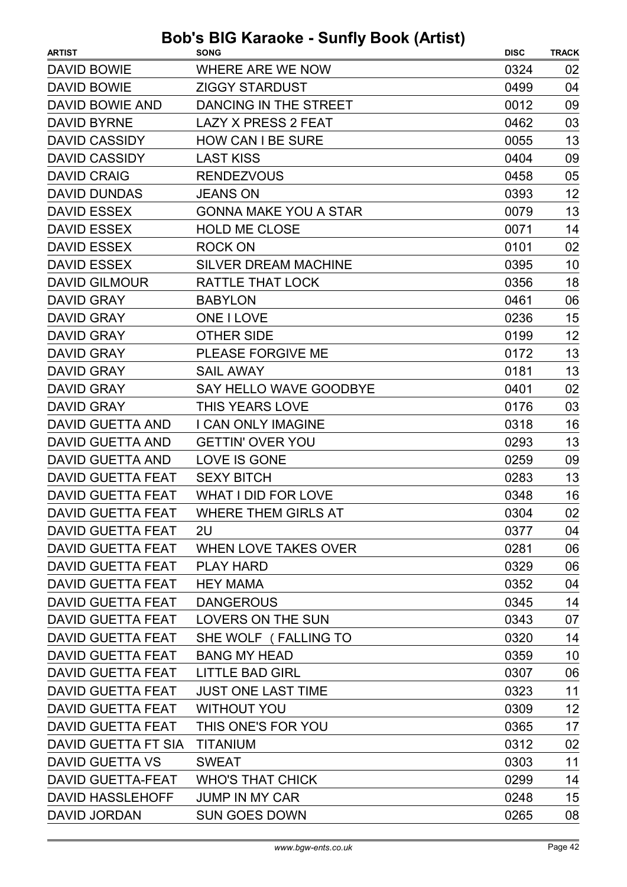| <b>DAVID BOWIE</b><br>WHERE ARE WE NOW<br>0324<br>02<br>04<br><b>DAVID BOWIE</b><br><b>ZIGGY STARDUST</b><br>0499<br>DAVID BOWIE AND<br>DANCING IN THE STREET<br>0012<br>09<br><b>DAVID BYRNE</b><br><b>LAZY X PRESS 2 FEAT</b><br>0462<br>03<br>13<br><b>DAVID CASSIDY</b><br><b>HOW CAN I BE SURE</b><br>0055<br><b>DAVID CASSIDY</b><br><b>LAST KISS</b><br>0404<br>09<br>05<br><b>DAVID CRAIG</b><br><b>RENDEZVOUS</b><br>0458<br>12<br><b>DAVID DUNDAS</b><br><b>JEANS ON</b><br>0393<br>13<br><b>DAVID ESSEX</b><br><b>GONNA MAKE YOU A STAR</b><br>0079<br><b>DAVID ESSEX</b><br><b>HOLD ME CLOSE</b><br>14<br>0071<br><b>DAVID ESSEX</b><br><b>ROCK ON</b><br>0101<br>02<br><b>DAVID ESSEX</b><br><b>SILVER DREAM MACHINE</b><br>10<br>0395<br>18<br><b>DAVID GILMOUR</b><br>RATTLE THAT LOCK<br>0356<br>06<br><b>DAVID GRAY</b><br><b>BABYLON</b><br>0461<br>15<br><b>DAVID GRAY</b><br><b>ONE I LOVE</b><br>0236<br>12<br><b>DAVID GRAY</b><br><b>OTHER SIDE</b><br>0199<br>13<br><b>DAVID GRAY</b><br>PLEASE FORGIVE ME<br>0172<br>13<br><b>DAVID GRAY</b><br>0181<br><b>SAIL AWAY</b><br><b>DAVID GRAY</b><br><b>SAY HELLO WAVE GOODBYE</b><br>0401<br>02<br><b>DAVID GRAY</b><br><b>THIS YEARS LOVE</b><br>03<br>0176<br><b>DAVID GUETTA AND</b><br><b>I CAN ONLY IMAGINE</b><br>16<br>0318<br>13<br><b>DAVID GUETTA AND</b><br><b>GETTIN' OVER YOU</b><br>0293<br>09<br><b>DAVID GUETTA AND</b><br><b>LOVE IS GONE</b><br>0259<br>13<br><b>DAVID GUETTA FEAT</b><br><b>SEXY BITCH</b><br>0283<br>WHAT I DID FOR LOVE<br>16<br><b>DAVID GUETTA FEAT</b><br>0348<br>02<br>0304<br>DAVID GUETTA FEAT<br>WHERE THEM GIRLS AT<br><b>DAVID GUETTA FEAT</b><br>2U<br>0377<br>04<br>06<br>DAVID GUETTA FEAT<br>WHEN LOVE TAKES OVER<br>0281<br><b>DAVID GUETTA FEAT</b><br><b>PLAY HARD</b><br>0329<br>06<br><b>DAVID GUETTA FEAT</b><br><b>HEY MAMA</b><br>0352<br>04<br>14<br>DAVID GUETTA FEAT<br><b>DANGEROUS</b><br>0345<br><b>DAVID GUETTA FEAT</b><br>LOVERS ON THE SUN<br>07<br>0343<br>14<br>0320<br><b>DAVID GUETTA FEAT</b><br>SHE WOLF (FALLING TO<br><b>BANG MY HEAD</b><br>0359<br>10<br><b>DAVID GUETTA FEAT</b><br><b>DAVID GUETTA FEAT</b><br><b>LITTLE BAD GIRL</b><br>0307<br>06<br>11<br><b>DAVID GUETTA FEAT</b><br><b>JUST ONE LAST TIME</b><br>0323<br>12<br><b>DAVID GUETTA FEAT</b><br><b>WITHOUT YOU</b><br>0309<br><b>DAVID GUETTA FEAT</b><br>THIS ONE'S FOR YOU<br>17<br>0365<br>0312<br>02<br>DAVID GUETTA FT SIA<br><b>TITANIUM</b><br>11<br><b>DAVID GUETTA VS</b><br><b>SWEAT</b><br>0303<br>14<br><b>DAVID GUETTA-FEAT</b><br>0299<br><b>WHO'S THAT CHICK</b><br><b>DAVID HASSLEHOFF</b><br><b>JUMP IN MY CAR</b><br>15<br>0248<br><b>DAVID JORDAN</b><br><b>SUN GOES DOWN</b><br>08<br>0265 | <b>ARTIST</b> | <b>SONG</b> | <b>DISC</b> | <b>TRACK</b> |
|--------------------------------------------------------------------------------------------------------------------------------------------------------------------------------------------------------------------------------------------------------------------------------------------------------------------------------------------------------------------------------------------------------------------------------------------------------------------------------------------------------------------------------------------------------------------------------------------------------------------------------------------------------------------------------------------------------------------------------------------------------------------------------------------------------------------------------------------------------------------------------------------------------------------------------------------------------------------------------------------------------------------------------------------------------------------------------------------------------------------------------------------------------------------------------------------------------------------------------------------------------------------------------------------------------------------------------------------------------------------------------------------------------------------------------------------------------------------------------------------------------------------------------------------------------------------------------------------------------------------------------------------------------------------------------------------------------------------------------------------------------------------------------------------------------------------------------------------------------------------------------------------------------------------------------------------------------------------------------------------------------------------------------------------------------------------------------------------------------------------------------------------------------------------------------------------------------------------------------------------------------------------------------------------------------------------------------------------------------------------------------------------------------------------------------------------------------------------------------------------------------------------------------------------------------------------------------------------------------------------------------------------------------------------------------------------------------------------------------------|---------------|-------------|-------------|--------------|
|                                                                                                                                                                                                                                                                                                                                                                                                                                                                                                                                                                                                                                                                                                                                                                                                                                                                                                                                                                                                                                                                                                                                                                                                                                                                                                                                                                                                                                                                                                                                                                                                                                                                                                                                                                                                                                                                                                                                                                                                                                                                                                                                                                                                                                                                                                                                                                                                                                                                                                                                                                                                                                                                                                                                      |               |             |             |              |
|                                                                                                                                                                                                                                                                                                                                                                                                                                                                                                                                                                                                                                                                                                                                                                                                                                                                                                                                                                                                                                                                                                                                                                                                                                                                                                                                                                                                                                                                                                                                                                                                                                                                                                                                                                                                                                                                                                                                                                                                                                                                                                                                                                                                                                                                                                                                                                                                                                                                                                                                                                                                                                                                                                                                      |               |             |             |              |
|                                                                                                                                                                                                                                                                                                                                                                                                                                                                                                                                                                                                                                                                                                                                                                                                                                                                                                                                                                                                                                                                                                                                                                                                                                                                                                                                                                                                                                                                                                                                                                                                                                                                                                                                                                                                                                                                                                                                                                                                                                                                                                                                                                                                                                                                                                                                                                                                                                                                                                                                                                                                                                                                                                                                      |               |             |             |              |
|                                                                                                                                                                                                                                                                                                                                                                                                                                                                                                                                                                                                                                                                                                                                                                                                                                                                                                                                                                                                                                                                                                                                                                                                                                                                                                                                                                                                                                                                                                                                                                                                                                                                                                                                                                                                                                                                                                                                                                                                                                                                                                                                                                                                                                                                                                                                                                                                                                                                                                                                                                                                                                                                                                                                      |               |             |             |              |
|                                                                                                                                                                                                                                                                                                                                                                                                                                                                                                                                                                                                                                                                                                                                                                                                                                                                                                                                                                                                                                                                                                                                                                                                                                                                                                                                                                                                                                                                                                                                                                                                                                                                                                                                                                                                                                                                                                                                                                                                                                                                                                                                                                                                                                                                                                                                                                                                                                                                                                                                                                                                                                                                                                                                      |               |             |             |              |
|                                                                                                                                                                                                                                                                                                                                                                                                                                                                                                                                                                                                                                                                                                                                                                                                                                                                                                                                                                                                                                                                                                                                                                                                                                                                                                                                                                                                                                                                                                                                                                                                                                                                                                                                                                                                                                                                                                                                                                                                                                                                                                                                                                                                                                                                                                                                                                                                                                                                                                                                                                                                                                                                                                                                      |               |             |             |              |
|                                                                                                                                                                                                                                                                                                                                                                                                                                                                                                                                                                                                                                                                                                                                                                                                                                                                                                                                                                                                                                                                                                                                                                                                                                                                                                                                                                                                                                                                                                                                                                                                                                                                                                                                                                                                                                                                                                                                                                                                                                                                                                                                                                                                                                                                                                                                                                                                                                                                                                                                                                                                                                                                                                                                      |               |             |             |              |
|                                                                                                                                                                                                                                                                                                                                                                                                                                                                                                                                                                                                                                                                                                                                                                                                                                                                                                                                                                                                                                                                                                                                                                                                                                                                                                                                                                                                                                                                                                                                                                                                                                                                                                                                                                                                                                                                                                                                                                                                                                                                                                                                                                                                                                                                                                                                                                                                                                                                                                                                                                                                                                                                                                                                      |               |             |             |              |
|                                                                                                                                                                                                                                                                                                                                                                                                                                                                                                                                                                                                                                                                                                                                                                                                                                                                                                                                                                                                                                                                                                                                                                                                                                                                                                                                                                                                                                                                                                                                                                                                                                                                                                                                                                                                                                                                                                                                                                                                                                                                                                                                                                                                                                                                                                                                                                                                                                                                                                                                                                                                                                                                                                                                      |               |             |             |              |
|                                                                                                                                                                                                                                                                                                                                                                                                                                                                                                                                                                                                                                                                                                                                                                                                                                                                                                                                                                                                                                                                                                                                                                                                                                                                                                                                                                                                                                                                                                                                                                                                                                                                                                                                                                                                                                                                                                                                                                                                                                                                                                                                                                                                                                                                                                                                                                                                                                                                                                                                                                                                                                                                                                                                      |               |             |             |              |
|                                                                                                                                                                                                                                                                                                                                                                                                                                                                                                                                                                                                                                                                                                                                                                                                                                                                                                                                                                                                                                                                                                                                                                                                                                                                                                                                                                                                                                                                                                                                                                                                                                                                                                                                                                                                                                                                                                                                                                                                                                                                                                                                                                                                                                                                                                                                                                                                                                                                                                                                                                                                                                                                                                                                      |               |             |             |              |
|                                                                                                                                                                                                                                                                                                                                                                                                                                                                                                                                                                                                                                                                                                                                                                                                                                                                                                                                                                                                                                                                                                                                                                                                                                                                                                                                                                                                                                                                                                                                                                                                                                                                                                                                                                                                                                                                                                                                                                                                                                                                                                                                                                                                                                                                                                                                                                                                                                                                                                                                                                                                                                                                                                                                      |               |             |             |              |
|                                                                                                                                                                                                                                                                                                                                                                                                                                                                                                                                                                                                                                                                                                                                                                                                                                                                                                                                                                                                                                                                                                                                                                                                                                                                                                                                                                                                                                                                                                                                                                                                                                                                                                                                                                                                                                                                                                                                                                                                                                                                                                                                                                                                                                                                                                                                                                                                                                                                                                                                                                                                                                                                                                                                      |               |             |             |              |
|                                                                                                                                                                                                                                                                                                                                                                                                                                                                                                                                                                                                                                                                                                                                                                                                                                                                                                                                                                                                                                                                                                                                                                                                                                                                                                                                                                                                                                                                                                                                                                                                                                                                                                                                                                                                                                                                                                                                                                                                                                                                                                                                                                                                                                                                                                                                                                                                                                                                                                                                                                                                                                                                                                                                      |               |             |             |              |
|                                                                                                                                                                                                                                                                                                                                                                                                                                                                                                                                                                                                                                                                                                                                                                                                                                                                                                                                                                                                                                                                                                                                                                                                                                                                                                                                                                                                                                                                                                                                                                                                                                                                                                                                                                                                                                                                                                                                                                                                                                                                                                                                                                                                                                                                                                                                                                                                                                                                                                                                                                                                                                                                                                                                      |               |             |             |              |
|                                                                                                                                                                                                                                                                                                                                                                                                                                                                                                                                                                                                                                                                                                                                                                                                                                                                                                                                                                                                                                                                                                                                                                                                                                                                                                                                                                                                                                                                                                                                                                                                                                                                                                                                                                                                                                                                                                                                                                                                                                                                                                                                                                                                                                                                                                                                                                                                                                                                                                                                                                                                                                                                                                                                      |               |             |             |              |
|                                                                                                                                                                                                                                                                                                                                                                                                                                                                                                                                                                                                                                                                                                                                                                                                                                                                                                                                                                                                                                                                                                                                                                                                                                                                                                                                                                                                                                                                                                                                                                                                                                                                                                                                                                                                                                                                                                                                                                                                                                                                                                                                                                                                                                                                                                                                                                                                                                                                                                                                                                                                                                                                                                                                      |               |             |             |              |
|                                                                                                                                                                                                                                                                                                                                                                                                                                                                                                                                                                                                                                                                                                                                                                                                                                                                                                                                                                                                                                                                                                                                                                                                                                                                                                                                                                                                                                                                                                                                                                                                                                                                                                                                                                                                                                                                                                                                                                                                                                                                                                                                                                                                                                                                                                                                                                                                                                                                                                                                                                                                                                                                                                                                      |               |             |             |              |
|                                                                                                                                                                                                                                                                                                                                                                                                                                                                                                                                                                                                                                                                                                                                                                                                                                                                                                                                                                                                                                                                                                                                                                                                                                                                                                                                                                                                                                                                                                                                                                                                                                                                                                                                                                                                                                                                                                                                                                                                                                                                                                                                                                                                                                                                                                                                                                                                                                                                                                                                                                                                                                                                                                                                      |               |             |             |              |
|                                                                                                                                                                                                                                                                                                                                                                                                                                                                                                                                                                                                                                                                                                                                                                                                                                                                                                                                                                                                                                                                                                                                                                                                                                                                                                                                                                                                                                                                                                                                                                                                                                                                                                                                                                                                                                                                                                                                                                                                                                                                                                                                                                                                                                                                                                                                                                                                                                                                                                                                                                                                                                                                                                                                      |               |             |             |              |
|                                                                                                                                                                                                                                                                                                                                                                                                                                                                                                                                                                                                                                                                                                                                                                                                                                                                                                                                                                                                                                                                                                                                                                                                                                                                                                                                                                                                                                                                                                                                                                                                                                                                                                                                                                                                                                                                                                                                                                                                                                                                                                                                                                                                                                                                                                                                                                                                                                                                                                                                                                                                                                                                                                                                      |               |             |             |              |
|                                                                                                                                                                                                                                                                                                                                                                                                                                                                                                                                                                                                                                                                                                                                                                                                                                                                                                                                                                                                                                                                                                                                                                                                                                                                                                                                                                                                                                                                                                                                                                                                                                                                                                                                                                                                                                                                                                                                                                                                                                                                                                                                                                                                                                                                                                                                                                                                                                                                                                                                                                                                                                                                                                                                      |               |             |             |              |
|                                                                                                                                                                                                                                                                                                                                                                                                                                                                                                                                                                                                                                                                                                                                                                                                                                                                                                                                                                                                                                                                                                                                                                                                                                                                                                                                                                                                                                                                                                                                                                                                                                                                                                                                                                                                                                                                                                                                                                                                                                                                                                                                                                                                                                                                                                                                                                                                                                                                                                                                                                                                                                                                                                                                      |               |             |             |              |
|                                                                                                                                                                                                                                                                                                                                                                                                                                                                                                                                                                                                                                                                                                                                                                                                                                                                                                                                                                                                                                                                                                                                                                                                                                                                                                                                                                                                                                                                                                                                                                                                                                                                                                                                                                                                                                                                                                                                                                                                                                                                                                                                                                                                                                                                                                                                                                                                                                                                                                                                                                                                                                                                                                                                      |               |             |             |              |
|                                                                                                                                                                                                                                                                                                                                                                                                                                                                                                                                                                                                                                                                                                                                                                                                                                                                                                                                                                                                                                                                                                                                                                                                                                                                                                                                                                                                                                                                                                                                                                                                                                                                                                                                                                                                                                                                                                                                                                                                                                                                                                                                                                                                                                                                                                                                                                                                                                                                                                                                                                                                                                                                                                                                      |               |             |             |              |
|                                                                                                                                                                                                                                                                                                                                                                                                                                                                                                                                                                                                                                                                                                                                                                                                                                                                                                                                                                                                                                                                                                                                                                                                                                                                                                                                                                                                                                                                                                                                                                                                                                                                                                                                                                                                                                                                                                                                                                                                                                                                                                                                                                                                                                                                                                                                                                                                                                                                                                                                                                                                                                                                                                                                      |               |             |             |              |
|                                                                                                                                                                                                                                                                                                                                                                                                                                                                                                                                                                                                                                                                                                                                                                                                                                                                                                                                                                                                                                                                                                                                                                                                                                                                                                                                                                                                                                                                                                                                                                                                                                                                                                                                                                                                                                                                                                                                                                                                                                                                                                                                                                                                                                                                                                                                                                                                                                                                                                                                                                                                                                                                                                                                      |               |             |             |              |
|                                                                                                                                                                                                                                                                                                                                                                                                                                                                                                                                                                                                                                                                                                                                                                                                                                                                                                                                                                                                                                                                                                                                                                                                                                                                                                                                                                                                                                                                                                                                                                                                                                                                                                                                                                                                                                                                                                                                                                                                                                                                                                                                                                                                                                                                                                                                                                                                                                                                                                                                                                                                                                                                                                                                      |               |             |             |              |
|                                                                                                                                                                                                                                                                                                                                                                                                                                                                                                                                                                                                                                                                                                                                                                                                                                                                                                                                                                                                                                                                                                                                                                                                                                                                                                                                                                                                                                                                                                                                                                                                                                                                                                                                                                                                                                                                                                                                                                                                                                                                                                                                                                                                                                                                                                                                                                                                                                                                                                                                                                                                                                                                                                                                      |               |             |             |              |
|                                                                                                                                                                                                                                                                                                                                                                                                                                                                                                                                                                                                                                                                                                                                                                                                                                                                                                                                                                                                                                                                                                                                                                                                                                                                                                                                                                                                                                                                                                                                                                                                                                                                                                                                                                                                                                                                                                                                                                                                                                                                                                                                                                                                                                                                                                                                                                                                                                                                                                                                                                                                                                                                                                                                      |               |             |             |              |
|                                                                                                                                                                                                                                                                                                                                                                                                                                                                                                                                                                                                                                                                                                                                                                                                                                                                                                                                                                                                                                                                                                                                                                                                                                                                                                                                                                                                                                                                                                                                                                                                                                                                                                                                                                                                                                                                                                                                                                                                                                                                                                                                                                                                                                                                                                                                                                                                                                                                                                                                                                                                                                                                                                                                      |               |             |             |              |
|                                                                                                                                                                                                                                                                                                                                                                                                                                                                                                                                                                                                                                                                                                                                                                                                                                                                                                                                                                                                                                                                                                                                                                                                                                                                                                                                                                                                                                                                                                                                                                                                                                                                                                                                                                                                                                                                                                                                                                                                                                                                                                                                                                                                                                                                                                                                                                                                                                                                                                                                                                                                                                                                                                                                      |               |             |             |              |
|                                                                                                                                                                                                                                                                                                                                                                                                                                                                                                                                                                                                                                                                                                                                                                                                                                                                                                                                                                                                                                                                                                                                                                                                                                                                                                                                                                                                                                                                                                                                                                                                                                                                                                                                                                                                                                                                                                                                                                                                                                                                                                                                                                                                                                                                                                                                                                                                                                                                                                                                                                                                                                                                                                                                      |               |             |             |              |
|                                                                                                                                                                                                                                                                                                                                                                                                                                                                                                                                                                                                                                                                                                                                                                                                                                                                                                                                                                                                                                                                                                                                                                                                                                                                                                                                                                                                                                                                                                                                                                                                                                                                                                                                                                                                                                                                                                                                                                                                                                                                                                                                                                                                                                                                                                                                                                                                                                                                                                                                                                                                                                                                                                                                      |               |             |             |              |
|                                                                                                                                                                                                                                                                                                                                                                                                                                                                                                                                                                                                                                                                                                                                                                                                                                                                                                                                                                                                                                                                                                                                                                                                                                                                                                                                                                                                                                                                                                                                                                                                                                                                                                                                                                                                                                                                                                                                                                                                                                                                                                                                                                                                                                                                                                                                                                                                                                                                                                                                                                                                                                                                                                                                      |               |             |             |              |
|                                                                                                                                                                                                                                                                                                                                                                                                                                                                                                                                                                                                                                                                                                                                                                                                                                                                                                                                                                                                                                                                                                                                                                                                                                                                                                                                                                                                                                                                                                                                                                                                                                                                                                                                                                                                                                                                                                                                                                                                                                                                                                                                                                                                                                                                                                                                                                                                                                                                                                                                                                                                                                                                                                                                      |               |             |             |              |
|                                                                                                                                                                                                                                                                                                                                                                                                                                                                                                                                                                                                                                                                                                                                                                                                                                                                                                                                                                                                                                                                                                                                                                                                                                                                                                                                                                                                                                                                                                                                                                                                                                                                                                                                                                                                                                                                                                                                                                                                                                                                                                                                                                                                                                                                                                                                                                                                                                                                                                                                                                                                                                                                                                                                      |               |             |             |              |
|                                                                                                                                                                                                                                                                                                                                                                                                                                                                                                                                                                                                                                                                                                                                                                                                                                                                                                                                                                                                                                                                                                                                                                                                                                                                                                                                                                                                                                                                                                                                                                                                                                                                                                                                                                                                                                                                                                                                                                                                                                                                                                                                                                                                                                                                                                                                                                                                                                                                                                                                                                                                                                                                                                                                      |               |             |             |              |
|                                                                                                                                                                                                                                                                                                                                                                                                                                                                                                                                                                                                                                                                                                                                                                                                                                                                                                                                                                                                                                                                                                                                                                                                                                                                                                                                                                                                                                                                                                                                                                                                                                                                                                                                                                                                                                                                                                                                                                                                                                                                                                                                                                                                                                                                                                                                                                                                                                                                                                                                                                                                                                                                                                                                      |               |             |             |              |
|                                                                                                                                                                                                                                                                                                                                                                                                                                                                                                                                                                                                                                                                                                                                                                                                                                                                                                                                                                                                                                                                                                                                                                                                                                                                                                                                                                                                                                                                                                                                                                                                                                                                                                                                                                                                                                                                                                                                                                                                                                                                                                                                                                                                                                                                                                                                                                                                                                                                                                                                                                                                                                                                                                                                      |               |             |             |              |
|                                                                                                                                                                                                                                                                                                                                                                                                                                                                                                                                                                                                                                                                                                                                                                                                                                                                                                                                                                                                                                                                                                                                                                                                                                                                                                                                                                                                                                                                                                                                                                                                                                                                                                                                                                                                                                                                                                                                                                                                                                                                                                                                                                                                                                                                                                                                                                                                                                                                                                                                                                                                                                                                                                                                      |               |             |             |              |
|                                                                                                                                                                                                                                                                                                                                                                                                                                                                                                                                                                                                                                                                                                                                                                                                                                                                                                                                                                                                                                                                                                                                                                                                                                                                                                                                                                                                                                                                                                                                                                                                                                                                                                                                                                                                                                                                                                                                                                                                                                                                                                                                                                                                                                                                                                                                                                                                                                                                                                                                                                                                                                                                                                                                      |               |             |             |              |
|                                                                                                                                                                                                                                                                                                                                                                                                                                                                                                                                                                                                                                                                                                                                                                                                                                                                                                                                                                                                                                                                                                                                                                                                                                                                                                                                                                                                                                                                                                                                                                                                                                                                                                                                                                                                                                                                                                                                                                                                                                                                                                                                                                                                                                                                                                                                                                                                                                                                                                                                                                                                                                                                                                                                      |               |             |             |              |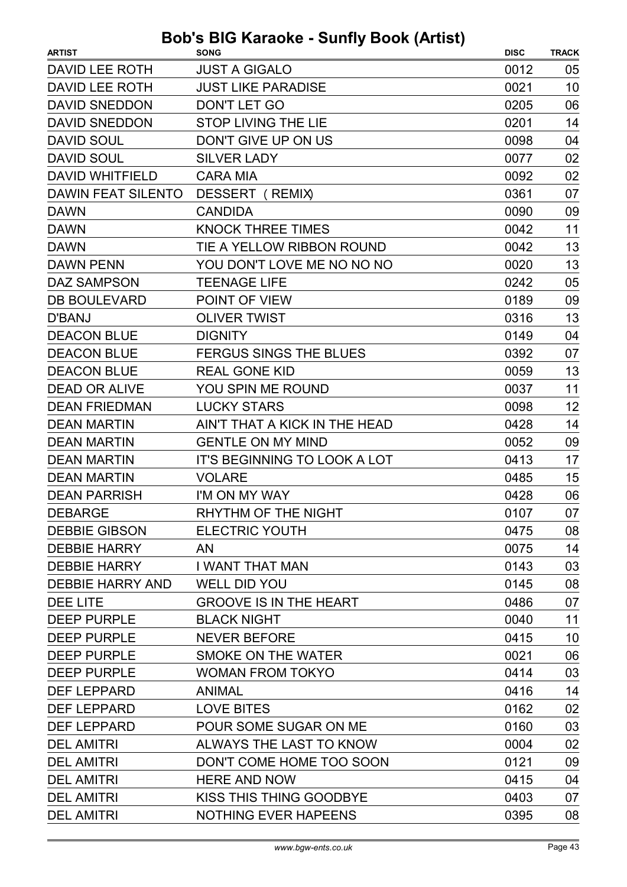| DAVID LEE ROTH<br><b>JUST A GIGALO</b><br>0012<br>05<br><b>JUST LIKE PARADISE</b><br>10<br>DAVID LEE ROTH<br>0021<br><b>DAVID SNEDDON</b><br><b>DON'T LET GO</b><br>0205<br>06<br><b>DAVID SNEDDON</b><br><b>STOP LIVING THE LIE</b><br>0201<br>14<br>DON'T GIVE UP ON US<br><b>DAVID SOUL</b><br>0098<br>04<br>02<br><b>DAVID SOUL</b><br><b>SILVER LADY</b><br>0077<br>02<br><b>DAVID WHITFIELD</b><br><b>CARA MIA</b><br>0092<br><b>DAWIN FEAT SILENTO</b><br>DESSERT (REMIX)<br>0361<br>07<br><b>DAWN</b><br><b>CANDIDA</b><br>0090<br>09<br><b>DAWN</b><br><b>KNOCK THREE TIMES</b><br>0042<br>11<br>13<br>TIE A YELLOW RIBBON ROUND<br><b>DAWN</b><br>0042<br>13<br>YOU DON'T LOVE ME NO NO NO<br>0020<br><b>DAWN PENN</b><br>05<br><b>DAZ SAMPSON</b><br><b>TEENAGE LIFE</b><br>0242<br><b>DB BOULEVARD</b><br>POINT OF VIEW<br>0189<br>09<br>13<br><b>OLIVER TWIST</b><br>0316<br>D'BANJ<br><b>DEACON BLUE</b><br><b>DIGNITY</b><br>0149<br>04<br><b>DEACON BLUE</b><br>07<br><b>FERGUS SINGS THE BLUES</b><br>0392<br>13<br><b>DEACON BLUE</b><br><b>REAL GONE KID</b><br>0059<br><b>DEAD OR ALIVE</b><br>11<br>YOU SPIN ME ROUND<br>0037<br>12<br><b>DEAN FRIEDMAN</b><br><b>LUCKY STARS</b><br>0098<br><b>DEAN MARTIN</b><br>AIN'T THAT A KICK IN THE HEAD<br>14<br>0428<br><b>GENTLE ON MY MIND</b><br>09<br><b>DEAN MARTIN</b><br>0052<br>17<br><b>DEAN MARTIN</b><br><b>IT'S BEGINNING TO LOOK A LOT</b><br>0413<br>15<br><b>DEAN MARTIN</b><br><b>VOLARE</b><br>0485<br><b>DEAN PARRISH</b><br>I'M ON MY WAY<br>0428<br>06<br>07<br>0107<br><b>DEBARGE</b><br>RHYTHM OF THE NIGHT | <b>ARTIST</b>        | <b>SONG</b>           | <b>DISC</b> | <b>TRACK</b> |
|--------------------------------------------------------------------------------------------------------------------------------------------------------------------------------------------------------------------------------------------------------------------------------------------------------------------------------------------------------------------------------------------------------------------------------------------------------------------------------------------------------------------------------------------------------------------------------------------------------------------------------------------------------------------------------------------------------------------------------------------------------------------------------------------------------------------------------------------------------------------------------------------------------------------------------------------------------------------------------------------------------------------------------------------------------------------------------------------------------------------------------------------------------------------------------------------------------------------------------------------------------------------------------------------------------------------------------------------------------------------------------------------------------------------------------------------------------------------------------------------------------------------------------------------------------------------------------------------------|----------------------|-----------------------|-------------|--------------|
|                                                                                                                                                                                                                                                                                                                                                                                                                                                                                                                                                                                                                                                                                                                                                                                                                                                                                                                                                                                                                                                                                                                                                                                                                                                                                                                                                                                                                                                                                                                                                                                                  |                      |                       |             |              |
|                                                                                                                                                                                                                                                                                                                                                                                                                                                                                                                                                                                                                                                                                                                                                                                                                                                                                                                                                                                                                                                                                                                                                                                                                                                                                                                                                                                                                                                                                                                                                                                                  |                      |                       |             |              |
|                                                                                                                                                                                                                                                                                                                                                                                                                                                                                                                                                                                                                                                                                                                                                                                                                                                                                                                                                                                                                                                                                                                                                                                                                                                                                                                                                                                                                                                                                                                                                                                                  |                      |                       |             |              |
|                                                                                                                                                                                                                                                                                                                                                                                                                                                                                                                                                                                                                                                                                                                                                                                                                                                                                                                                                                                                                                                                                                                                                                                                                                                                                                                                                                                                                                                                                                                                                                                                  |                      |                       |             |              |
|                                                                                                                                                                                                                                                                                                                                                                                                                                                                                                                                                                                                                                                                                                                                                                                                                                                                                                                                                                                                                                                                                                                                                                                                                                                                                                                                                                                                                                                                                                                                                                                                  |                      |                       |             |              |
|                                                                                                                                                                                                                                                                                                                                                                                                                                                                                                                                                                                                                                                                                                                                                                                                                                                                                                                                                                                                                                                                                                                                                                                                                                                                                                                                                                                                                                                                                                                                                                                                  |                      |                       |             |              |
|                                                                                                                                                                                                                                                                                                                                                                                                                                                                                                                                                                                                                                                                                                                                                                                                                                                                                                                                                                                                                                                                                                                                                                                                                                                                                                                                                                                                                                                                                                                                                                                                  |                      |                       |             |              |
|                                                                                                                                                                                                                                                                                                                                                                                                                                                                                                                                                                                                                                                                                                                                                                                                                                                                                                                                                                                                                                                                                                                                                                                                                                                                                                                                                                                                                                                                                                                                                                                                  |                      |                       |             |              |
|                                                                                                                                                                                                                                                                                                                                                                                                                                                                                                                                                                                                                                                                                                                                                                                                                                                                                                                                                                                                                                                                                                                                                                                                                                                                                                                                                                                                                                                                                                                                                                                                  |                      |                       |             |              |
|                                                                                                                                                                                                                                                                                                                                                                                                                                                                                                                                                                                                                                                                                                                                                                                                                                                                                                                                                                                                                                                                                                                                                                                                                                                                                                                                                                                                                                                                                                                                                                                                  |                      |                       |             |              |
|                                                                                                                                                                                                                                                                                                                                                                                                                                                                                                                                                                                                                                                                                                                                                                                                                                                                                                                                                                                                                                                                                                                                                                                                                                                                                                                                                                                                                                                                                                                                                                                                  |                      |                       |             |              |
|                                                                                                                                                                                                                                                                                                                                                                                                                                                                                                                                                                                                                                                                                                                                                                                                                                                                                                                                                                                                                                                                                                                                                                                                                                                                                                                                                                                                                                                                                                                                                                                                  |                      |                       |             |              |
|                                                                                                                                                                                                                                                                                                                                                                                                                                                                                                                                                                                                                                                                                                                                                                                                                                                                                                                                                                                                                                                                                                                                                                                                                                                                                                                                                                                                                                                                                                                                                                                                  |                      |                       |             |              |
|                                                                                                                                                                                                                                                                                                                                                                                                                                                                                                                                                                                                                                                                                                                                                                                                                                                                                                                                                                                                                                                                                                                                                                                                                                                                                                                                                                                                                                                                                                                                                                                                  |                      |                       |             |              |
|                                                                                                                                                                                                                                                                                                                                                                                                                                                                                                                                                                                                                                                                                                                                                                                                                                                                                                                                                                                                                                                                                                                                                                                                                                                                                                                                                                                                                                                                                                                                                                                                  |                      |                       |             |              |
|                                                                                                                                                                                                                                                                                                                                                                                                                                                                                                                                                                                                                                                                                                                                                                                                                                                                                                                                                                                                                                                                                                                                                                                                                                                                                                                                                                                                                                                                                                                                                                                                  |                      |                       |             |              |
|                                                                                                                                                                                                                                                                                                                                                                                                                                                                                                                                                                                                                                                                                                                                                                                                                                                                                                                                                                                                                                                                                                                                                                                                                                                                                                                                                                                                                                                                                                                                                                                                  |                      |                       |             |              |
|                                                                                                                                                                                                                                                                                                                                                                                                                                                                                                                                                                                                                                                                                                                                                                                                                                                                                                                                                                                                                                                                                                                                                                                                                                                                                                                                                                                                                                                                                                                                                                                                  |                      |                       |             |              |
|                                                                                                                                                                                                                                                                                                                                                                                                                                                                                                                                                                                                                                                                                                                                                                                                                                                                                                                                                                                                                                                                                                                                                                                                                                                                                                                                                                                                                                                                                                                                                                                                  |                      |                       |             |              |
|                                                                                                                                                                                                                                                                                                                                                                                                                                                                                                                                                                                                                                                                                                                                                                                                                                                                                                                                                                                                                                                                                                                                                                                                                                                                                                                                                                                                                                                                                                                                                                                                  |                      |                       |             |              |
|                                                                                                                                                                                                                                                                                                                                                                                                                                                                                                                                                                                                                                                                                                                                                                                                                                                                                                                                                                                                                                                                                                                                                                                                                                                                                                                                                                                                                                                                                                                                                                                                  |                      |                       |             |              |
|                                                                                                                                                                                                                                                                                                                                                                                                                                                                                                                                                                                                                                                                                                                                                                                                                                                                                                                                                                                                                                                                                                                                                                                                                                                                                                                                                                                                                                                                                                                                                                                                  |                      |                       |             |              |
|                                                                                                                                                                                                                                                                                                                                                                                                                                                                                                                                                                                                                                                                                                                                                                                                                                                                                                                                                                                                                                                                                                                                                                                                                                                                                                                                                                                                                                                                                                                                                                                                  |                      |                       |             |              |
|                                                                                                                                                                                                                                                                                                                                                                                                                                                                                                                                                                                                                                                                                                                                                                                                                                                                                                                                                                                                                                                                                                                                                                                                                                                                                                                                                                                                                                                                                                                                                                                                  |                      |                       |             |              |
|                                                                                                                                                                                                                                                                                                                                                                                                                                                                                                                                                                                                                                                                                                                                                                                                                                                                                                                                                                                                                                                                                                                                                                                                                                                                                                                                                                                                                                                                                                                                                                                                  |                      |                       |             |              |
|                                                                                                                                                                                                                                                                                                                                                                                                                                                                                                                                                                                                                                                                                                                                                                                                                                                                                                                                                                                                                                                                                                                                                                                                                                                                                                                                                                                                                                                                                                                                                                                                  |                      |                       |             |              |
|                                                                                                                                                                                                                                                                                                                                                                                                                                                                                                                                                                                                                                                                                                                                                                                                                                                                                                                                                                                                                                                                                                                                                                                                                                                                                                                                                                                                                                                                                                                                                                                                  | <b>DEBBIE GIBSON</b> | <b>ELECTRIC YOUTH</b> | 0475        | 08           |
| 14<br><b>AN</b><br>0075                                                                                                                                                                                                                                                                                                                                                                                                                                                                                                                                                                                                                                                                                                                                                                                                                                                                                                                                                                                                                                                                                                                                                                                                                                                                                                                                                                                                                                                                                                                                                                          | <b>DEBBIE HARRY</b>  |                       |             |              |
| 03<br>0143<br>I WANT THAT MAN                                                                                                                                                                                                                                                                                                                                                                                                                                                                                                                                                                                                                                                                                                                                                                                                                                                                                                                                                                                                                                                                                                                                                                                                                                                                                                                                                                                                                                                                                                                                                                    | <b>DEBBIE HARRY</b>  |                       |             |              |
| 08<br><b>DEBBIE HARRY AND</b><br><b>WELL DID YOU</b><br>0145                                                                                                                                                                                                                                                                                                                                                                                                                                                                                                                                                                                                                                                                                                                                                                                                                                                                                                                                                                                                                                                                                                                                                                                                                                                                                                                                                                                                                                                                                                                                     |                      |                       |             |              |
| <b>GROOVE IS IN THE HEART</b><br>0486<br>07                                                                                                                                                                                                                                                                                                                                                                                                                                                                                                                                                                                                                                                                                                                                                                                                                                                                                                                                                                                                                                                                                                                                                                                                                                                                                                                                                                                                                                                                                                                                                      | DEE LITE             |                       |             |              |
| 11<br><b>DEEP PURPLE</b><br><b>BLACK NIGHT</b><br>0040                                                                                                                                                                                                                                                                                                                                                                                                                                                                                                                                                                                                                                                                                                                                                                                                                                                                                                                                                                                                                                                                                                                                                                                                                                                                                                                                                                                                                                                                                                                                           |                      |                       |             |              |
| 10<br><b>DEEP PURPLE</b><br><b>NEVER BEFORE</b><br>0415                                                                                                                                                                                                                                                                                                                                                                                                                                                                                                                                                                                                                                                                                                                                                                                                                                                                                                                                                                                                                                                                                                                                                                                                                                                                                                                                                                                                                                                                                                                                          |                      |                       |             |              |
| 06<br>SMOKE ON THE WATER<br>0021                                                                                                                                                                                                                                                                                                                                                                                                                                                                                                                                                                                                                                                                                                                                                                                                                                                                                                                                                                                                                                                                                                                                                                                                                                                                                                                                                                                                                                                                                                                                                                 | <b>DEEP PURPLE</b>   |                       |             |              |
| 03<br><b>DEEP PURPLE</b><br><b>WOMAN FROM TOKYO</b><br>0414                                                                                                                                                                                                                                                                                                                                                                                                                                                                                                                                                                                                                                                                                                                                                                                                                                                                                                                                                                                                                                                                                                                                                                                                                                                                                                                                                                                                                                                                                                                                      |                      |                       |             |              |
| 14<br><b>ANIMAL</b><br>0416                                                                                                                                                                                                                                                                                                                                                                                                                                                                                                                                                                                                                                                                                                                                                                                                                                                                                                                                                                                                                                                                                                                                                                                                                                                                                                                                                                                                                                                                                                                                                                      | <b>DEF LEPPARD</b>   |                       |             |              |
| <b>DEF LEPPARD</b><br><b>LOVE BITES</b><br>0162<br>02                                                                                                                                                                                                                                                                                                                                                                                                                                                                                                                                                                                                                                                                                                                                                                                                                                                                                                                                                                                                                                                                                                                                                                                                                                                                                                                                                                                                                                                                                                                                            |                      |                       |             |              |
| 03<br><b>DEF LEPPARD</b><br>POUR SOME SUGAR ON ME<br>0160                                                                                                                                                                                                                                                                                                                                                                                                                                                                                                                                                                                                                                                                                                                                                                                                                                                                                                                                                                                                                                                                                                                                                                                                                                                                                                                                                                                                                                                                                                                                        |                      |                       |             |              |
| ALWAYS THE LAST TO KNOW<br>0004<br>02<br><b>DEL AMITRI</b>                                                                                                                                                                                                                                                                                                                                                                                                                                                                                                                                                                                                                                                                                                                                                                                                                                                                                                                                                                                                                                                                                                                                                                                                                                                                                                                                                                                                                                                                                                                                       |                      |                       |             |              |
| <b>DEL AMITRI</b><br>DON'T COME HOME TOO SOON<br>0121<br>09                                                                                                                                                                                                                                                                                                                                                                                                                                                                                                                                                                                                                                                                                                                                                                                                                                                                                                                                                                                                                                                                                                                                                                                                                                                                                                                                                                                                                                                                                                                                      |                      |                       |             |              |
| <b>DEL AMITRI</b><br><b>HERE AND NOW</b><br>0415<br>04                                                                                                                                                                                                                                                                                                                                                                                                                                                                                                                                                                                                                                                                                                                                                                                                                                                                                                                                                                                                                                                                                                                                                                                                                                                                                                                                                                                                                                                                                                                                           |                      |                       |             |              |
| <b>DEL AMITRI</b><br>KISS THIS THING GOODBYE<br>0403<br>07                                                                                                                                                                                                                                                                                                                                                                                                                                                                                                                                                                                                                                                                                                                                                                                                                                                                                                                                                                                                                                                                                                                                                                                                                                                                                                                                                                                                                                                                                                                                       |                      |                       |             |              |
| <b>DEL AMITRI</b><br><b>NOTHING EVER HAPEENS</b><br>08<br>0395                                                                                                                                                                                                                                                                                                                                                                                                                                                                                                                                                                                                                                                                                                                                                                                                                                                                                                                                                                                                                                                                                                                                                                                                                                                                                                                                                                                                                                                                                                                                   |                      |                       |             |              |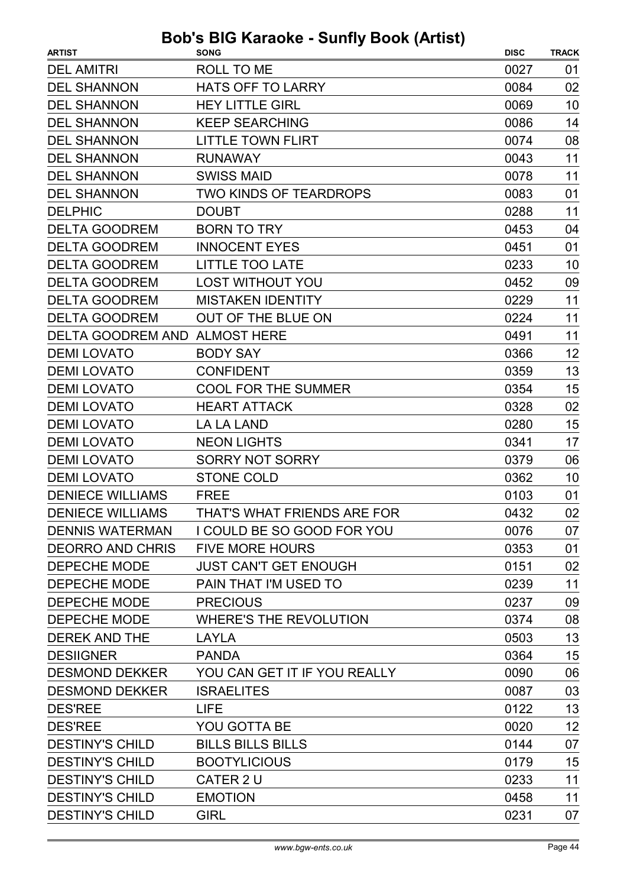| <b>ARTIST</b>                 | <b>SONG</b>                   | <b>DISC</b> | <b>TRACK</b> |
|-------------------------------|-------------------------------|-------------|--------------|
| <b>DEL AMITRI</b>             | ROLL TO ME                    | 0027        | 01           |
| <b>DEL SHANNON</b>            | <b>HATS OFF TO LARRY</b>      | 0084        | 02           |
| <b>DEL SHANNON</b>            | <b>HEY LITTLE GIRL</b>        | 0069        | 10           |
| <b>DEL SHANNON</b>            | <b>KEEP SEARCHING</b>         | 0086        | 14           |
| <b>DEL SHANNON</b>            | <b>LITTLE TOWN FLIRT</b>      | 0074        | 08           |
| <b>DEL SHANNON</b>            | <b>RUNAWAY</b>                | 0043        | 11           |
| <b>DEL SHANNON</b>            | <b>SWISS MAID</b>             | 0078        | 11           |
| <b>DEL SHANNON</b>            | <b>TWO KINDS OF TEARDROPS</b> | 0083        | 01           |
| <b>DELPHIC</b>                | <b>DOUBT</b>                  | 0288        | 11           |
| <b>DELTA GOODREM</b>          | <b>BORN TO TRY</b>            | 0453        | 04           |
| <b>DELTA GOODREM</b>          | <b>INNOCENT EYES</b>          | 0451        | 01           |
| <b>DELTA GOODREM</b>          | <b>LITTLE TOO LATE</b>        | 0233        | 10           |
| <b>DELTA GOODREM</b>          | <b>LOST WITHOUT YOU</b>       | 0452        | 09           |
| <b>DELTA GOODREM</b>          | <b>MISTAKEN IDENTITY</b>      | 0229        | 11           |
| <b>DELTA GOODREM</b>          | OUT OF THE BLUE ON            | 0224        | 11           |
| DELTA GOODREM AND ALMOST HERE |                               | 0491        | 11           |
| <b>DEMI LOVATO</b>            | <b>BODY SAY</b>               | 0366        | 12           |
| <b>DEMI LOVATO</b>            | <b>CONFIDENT</b>              | 0359        | 13           |
| <b>DEMI LOVATO</b>            | <b>COOL FOR THE SUMMER</b>    | 0354        | 15           |
| <b>DEMI LOVATO</b>            | <b>HEART ATTACK</b>           | 0328        | 02           |
| <b>DEMI LOVATO</b>            | <b>LA LA LAND</b>             | 0280        | 15           |
| <b>DEMI LOVATO</b>            | <b>NEON LIGHTS</b>            | 0341        | 17           |
| <b>DEMI LOVATO</b>            | <b>SORRY NOT SORRY</b>        | 0379        | 06           |
| <b>DEMI LOVATO</b>            | <b>STONE COLD</b>             | 0362        | 10           |
| <b>DENIECE WILLIAMS</b>       | <b>FREE</b>                   | 0103        | 01           |
| <b>DENIECE WILLIAMS</b>       | THAT'S WHAT FRIENDS ARE FOR   | 0432        | 02           |
| <b>DENNIS WATERMAN</b>        | I COULD BE SO GOOD FOR YOU    | 0076        | 07           |
| <b>DEORRO AND CHRIS</b>       | <b>FIVE MORE HOURS</b>        | 0353        | 01           |
| <b>DEPECHE MODE</b>           | <b>JUST CAN'T GET ENOUGH</b>  | 0151        | 02           |
| DEPECHE MODE                  | PAIN THAT I'M USED TO         | 0239        | 11           |
| <b>DEPECHE MODE</b>           | <b>PRECIOUS</b>               | 0237        | 09           |
| DEPECHE MODE                  | <b>WHERE'S THE REVOLUTION</b> | 0374        | 08           |
| <b>DEREK AND THE</b>          | LAYLA                         | 0503        | 13           |
| <b>DESIIGNER</b>              | <b>PANDA</b>                  | 0364        | 15           |
| <b>DESMOND DEKKER</b>         | YOU CAN GET IT IF YOU REALLY  | 0090        | 06           |
| <b>DESMOND DEKKER</b>         | <b>ISRAELITES</b>             | 0087        | 03           |
| <b>DES'REE</b>                | <b>LIFE</b>                   | 0122        | 13           |
| <b>DES'REE</b>                | YOU GOTTA BE                  | 0020        | 12           |
| <b>DESTINY'S CHILD</b>        | <b>BILLS BILLS BILLS</b>      | 0144        | 07           |
| <b>DESTINY'S CHILD</b>        | <b>BOOTYLICIOUS</b>           | 0179        | 15           |
| <b>DESTINY'S CHILD</b>        | CATER 2 U                     | 0233        | 11           |
| <b>DESTINY'S CHILD</b>        | <b>EMOTION</b>                | 0458        | 11           |
| <b>DESTINY'S CHILD</b>        | <b>GIRL</b>                   | 0231        | 07           |
|                               |                               |             |              |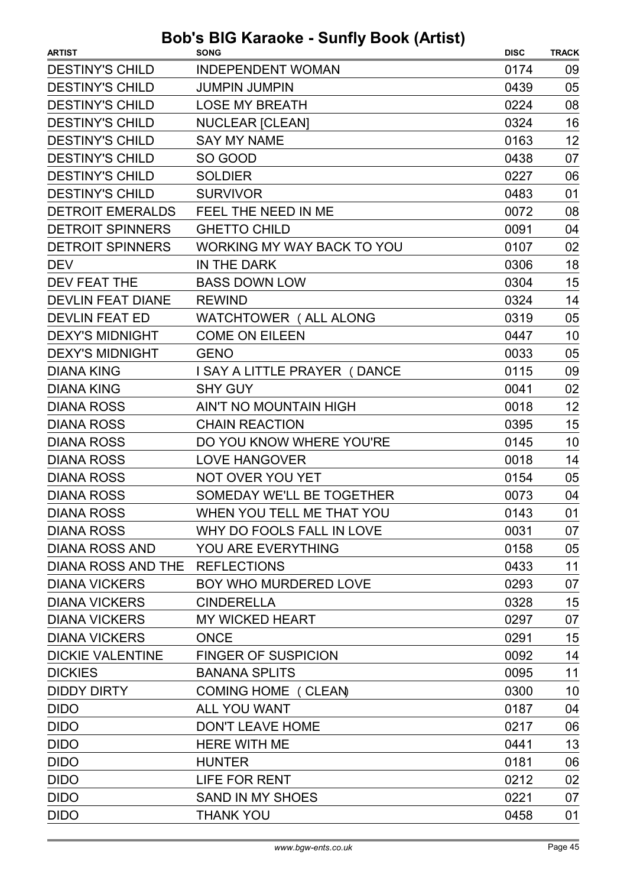| <b>DESTINY'S CHILD</b><br><b>INDEPENDENT WOMAN</b><br>0174<br>09<br><b>JUMPIN JUMPIN</b><br>05<br>0439<br>08<br><b>DESTINY'S CHILD</b><br><b>LOSE MY BREATH</b><br>0224<br><b>DESTINY'S CHILD</b><br>16<br><b>NUCLEAR [CLEAN]</b><br>0324<br><b>SAY MY NAME</b><br>12<br>0163<br><b>DESTINY'S CHILD</b><br>SO GOOD<br>0438<br>07<br><b>DESTINY'S CHILD</b><br><b>SOLDIER</b><br>06<br>0227<br>01<br><b>DESTINY'S CHILD</b><br><b>SURVIVOR</b><br>0483<br>08<br><b>DETROIT EMERALDS</b><br>FEEL THE NEED IN ME<br>0072<br><b>GHETTO CHILD</b><br>0091<br>04<br><b>DETROIT SPINNERS</b><br><b>WORKING MY WAY BACK TO YOU</b><br>0107<br>02<br>18<br>IN THE DARK<br>0306<br>15<br><b>BASS DOWN LOW</b><br>0304<br>14<br><b>DEVLIN FEAT DIANE</b><br><b>REWIND</b><br>0324<br>WATCHTOWER ( ALL ALONG<br>0319<br>05<br><b>COME ON EILEEN</b><br>10<br>0447<br><b>DEXY'S MIDNIGHT</b><br>0033<br>05<br><b>GENO</b><br>09<br><b>DIANA KING</b><br>0115<br>I SAY A LITTLE PRAYER ( DANCE<br>02<br><b>DIANA KING</b><br><b>SHY GUY</b><br>0041<br>12<br><b>DIANA ROSS</b><br>AIN'T NO MOUNTAIN HIGH<br>0018<br>15<br><b>DIANA ROSS</b><br><b>CHAIN REACTION</b><br>0395<br>DO YOU KNOW WHERE YOU'RE<br>10<br>0145<br>14<br><b>DIANA ROSS</b><br><b>LOVE HANGOVER</b><br>0018<br><b>DIANA ROSS</b><br>NOT OVER YOU YET<br>0154<br>05<br>SOMEDAY WE'LL BE TOGETHER<br><b>DIANA ROSS</b><br>0073<br>04<br><b>DIANA ROSS</b><br>WHEN YOU TELL ME THAT YOU<br>0143<br>01<br>WHY DO FOOLS FALL IN LOVE<br>0031<br>07<br>YOU ARE EVERYTHING<br>0158<br>05<br>11<br>DIANA ROSS AND THE REFLECTIONS<br>0433<br>BOY WHO MURDERED LOVE<br>0293<br>07<br>15<br>0328<br><b>CINDERELLA</b><br><b>MY WICKED HEART</b><br>0297<br>07<br><b>ONCE</b><br>15<br>0291<br><b>FINGER OF SUSPICION</b><br>0092<br>14<br>11<br><b>BANANA SPLITS</b><br>0095<br>10<br>COMING HOME ( CLEAN)<br>0300<br><b>DIDO</b><br><b>ALL YOU WANT</b><br>0187<br>04<br><b>DON'T LEAVE HOME</b><br>0217<br>06<br>13<br><b>DIDO</b><br><b>HERE WITH ME</b><br>0441<br><b>DIDO</b><br><b>HUNTER</b><br>0181<br>06<br><b>DIDO</b><br><b>LIFE FOR RENT</b><br>0212<br>02<br><b>SAND IN MY SHOES</b><br>0221<br>07<br>0458<br>01 | <b>ARTIST</b>           | usils suilly soon patisf<br><b>SONG</b> | <b>DISC</b> | <b>TRACK</b> |
|-----------------------------------------------------------------------------------------------------------------------------------------------------------------------------------------------------------------------------------------------------------------------------------------------------------------------------------------------------------------------------------------------------------------------------------------------------------------------------------------------------------------------------------------------------------------------------------------------------------------------------------------------------------------------------------------------------------------------------------------------------------------------------------------------------------------------------------------------------------------------------------------------------------------------------------------------------------------------------------------------------------------------------------------------------------------------------------------------------------------------------------------------------------------------------------------------------------------------------------------------------------------------------------------------------------------------------------------------------------------------------------------------------------------------------------------------------------------------------------------------------------------------------------------------------------------------------------------------------------------------------------------------------------------------------------------------------------------------------------------------------------------------------------------------------------------------------------------------------------------------------------------------------------------------------------------------------------------------------------------------------------------------------------------------------------------------------------------------------------------------------------------------------------------------------|-------------------------|-----------------------------------------|-------------|--------------|
|                                                                                                                                                                                                                                                                                                                                                                                                                                                                                                                                                                                                                                                                                                                                                                                                                                                                                                                                                                                                                                                                                                                                                                                                                                                                                                                                                                                                                                                                                                                                                                                                                                                                                                                                                                                                                                                                                                                                                                                                                                                                                                                                                                             |                         |                                         |             |              |
|                                                                                                                                                                                                                                                                                                                                                                                                                                                                                                                                                                                                                                                                                                                                                                                                                                                                                                                                                                                                                                                                                                                                                                                                                                                                                                                                                                                                                                                                                                                                                                                                                                                                                                                                                                                                                                                                                                                                                                                                                                                                                                                                                                             | <b>DESTINY'S CHILD</b>  |                                         |             |              |
|                                                                                                                                                                                                                                                                                                                                                                                                                                                                                                                                                                                                                                                                                                                                                                                                                                                                                                                                                                                                                                                                                                                                                                                                                                                                                                                                                                                                                                                                                                                                                                                                                                                                                                                                                                                                                                                                                                                                                                                                                                                                                                                                                                             |                         |                                         |             |              |
|                                                                                                                                                                                                                                                                                                                                                                                                                                                                                                                                                                                                                                                                                                                                                                                                                                                                                                                                                                                                                                                                                                                                                                                                                                                                                                                                                                                                                                                                                                                                                                                                                                                                                                                                                                                                                                                                                                                                                                                                                                                                                                                                                                             |                         |                                         |             |              |
|                                                                                                                                                                                                                                                                                                                                                                                                                                                                                                                                                                                                                                                                                                                                                                                                                                                                                                                                                                                                                                                                                                                                                                                                                                                                                                                                                                                                                                                                                                                                                                                                                                                                                                                                                                                                                                                                                                                                                                                                                                                                                                                                                                             | <b>DESTINY'S CHILD</b>  |                                         |             |              |
|                                                                                                                                                                                                                                                                                                                                                                                                                                                                                                                                                                                                                                                                                                                                                                                                                                                                                                                                                                                                                                                                                                                                                                                                                                                                                                                                                                                                                                                                                                                                                                                                                                                                                                                                                                                                                                                                                                                                                                                                                                                                                                                                                                             |                         |                                         |             |              |
|                                                                                                                                                                                                                                                                                                                                                                                                                                                                                                                                                                                                                                                                                                                                                                                                                                                                                                                                                                                                                                                                                                                                                                                                                                                                                                                                                                                                                                                                                                                                                                                                                                                                                                                                                                                                                                                                                                                                                                                                                                                                                                                                                                             |                         |                                         |             |              |
|                                                                                                                                                                                                                                                                                                                                                                                                                                                                                                                                                                                                                                                                                                                                                                                                                                                                                                                                                                                                                                                                                                                                                                                                                                                                                                                                                                                                                                                                                                                                                                                                                                                                                                                                                                                                                                                                                                                                                                                                                                                                                                                                                                             |                         |                                         |             |              |
|                                                                                                                                                                                                                                                                                                                                                                                                                                                                                                                                                                                                                                                                                                                                                                                                                                                                                                                                                                                                                                                                                                                                                                                                                                                                                                                                                                                                                                                                                                                                                                                                                                                                                                                                                                                                                                                                                                                                                                                                                                                                                                                                                                             |                         |                                         |             |              |
|                                                                                                                                                                                                                                                                                                                                                                                                                                                                                                                                                                                                                                                                                                                                                                                                                                                                                                                                                                                                                                                                                                                                                                                                                                                                                                                                                                                                                                                                                                                                                                                                                                                                                                                                                                                                                                                                                                                                                                                                                                                                                                                                                                             | <b>DETROIT SPINNERS</b> |                                         |             |              |
|                                                                                                                                                                                                                                                                                                                                                                                                                                                                                                                                                                                                                                                                                                                                                                                                                                                                                                                                                                                                                                                                                                                                                                                                                                                                                                                                                                                                                                                                                                                                                                                                                                                                                                                                                                                                                                                                                                                                                                                                                                                                                                                                                                             |                         |                                         |             |              |
|                                                                                                                                                                                                                                                                                                                                                                                                                                                                                                                                                                                                                                                                                                                                                                                                                                                                                                                                                                                                                                                                                                                                                                                                                                                                                                                                                                                                                                                                                                                                                                                                                                                                                                                                                                                                                                                                                                                                                                                                                                                                                                                                                                             | <b>DEV</b>              |                                         |             |              |
|                                                                                                                                                                                                                                                                                                                                                                                                                                                                                                                                                                                                                                                                                                                                                                                                                                                                                                                                                                                                                                                                                                                                                                                                                                                                                                                                                                                                                                                                                                                                                                                                                                                                                                                                                                                                                                                                                                                                                                                                                                                                                                                                                                             | DEV FEAT THE            |                                         |             |              |
|                                                                                                                                                                                                                                                                                                                                                                                                                                                                                                                                                                                                                                                                                                                                                                                                                                                                                                                                                                                                                                                                                                                                                                                                                                                                                                                                                                                                                                                                                                                                                                                                                                                                                                                                                                                                                                                                                                                                                                                                                                                                                                                                                                             |                         |                                         |             |              |
|                                                                                                                                                                                                                                                                                                                                                                                                                                                                                                                                                                                                                                                                                                                                                                                                                                                                                                                                                                                                                                                                                                                                                                                                                                                                                                                                                                                                                                                                                                                                                                                                                                                                                                                                                                                                                                                                                                                                                                                                                                                                                                                                                                             | <b>DEVLIN FEAT ED</b>   |                                         |             |              |
|                                                                                                                                                                                                                                                                                                                                                                                                                                                                                                                                                                                                                                                                                                                                                                                                                                                                                                                                                                                                                                                                                                                                                                                                                                                                                                                                                                                                                                                                                                                                                                                                                                                                                                                                                                                                                                                                                                                                                                                                                                                                                                                                                                             | <b>DEXY'S MIDNIGHT</b>  |                                         |             |              |
|                                                                                                                                                                                                                                                                                                                                                                                                                                                                                                                                                                                                                                                                                                                                                                                                                                                                                                                                                                                                                                                                                                                                                                                                                                                                                                                                                                                                                                                                                                                                                                                                                                                                                                                                                                                                                                                                                                                                                                                                                                                                                                                                                                             |                         |                                         |             |              |
|                                                                                                                                                                                                                                                                                                                                                                                                                                                                                                                                                                                                                                                                                                                                                                                                                                                                                                                                                                                                                                                                                                                                                                                                                                                                                                                                                                                                                                                                                                                                                                                                                                                                                                                                                                                                                                                                                                                                                                                                                                                                                                                                                                             |                         |                                         |             |              |
|                                                                                                                                                                                                                                                                                                                                                                                                                                                                                                                                                                                                                                                                                                                                                                                                                                                                                                                                                                                                                                                                                                                                                                                                                                                                                                                                                                                                                                                                                                                                                                                                                                                                                                                                                                                                                                                                                                                                                                                                                                                                                                                                                                             |                         |                                         |             |              |
|                                                                                                                                                                                                                                                                                                                                                                                                                                                                                                                                                                                                                                                                                                                                                                                                                                                                                                                                                                                                                                                                                                                                                                                                                                                                                                                                                                                                                                                                                                                                                                                                                                                                                                                                                                                                                                                                                                                                                                                                                                                                                                                                                                             |                         |                                         |             |              |
|                                                                                                                                                                                                                                                                                                                                                                                                                                                                                                                                                                                                                                                                                                                                                                                                                                                                                                                                                                                                                                                                                                                                                                                                                                                                                                                                                                                                                                                                                                                                                                                                                                                                                                                                                                                                                                                                                                                                                                                                                                                                                                                                                                             |                         |                                         |             |              |
|                                                                                                                                                                                                                                                                                                                                                                                                                                                                                                                                                                                                                                                                                                                                                                                                                                                                                                                                                                                                                                                                                                                                                                                                                                                                                                                                                                                                                                                                                                                                                                                                                                                                                                                                                                                                                                                                                                                                                                                                                                                                                                                                                                             | <b>DIANA ROSS</b>       |                                         |             |              |
|                                                                                                                                                                                                                                                                                                                                                                                                                                                                                                                                                                                                                                                                                                                                                                                                                                                                                                                                                                                                                                                                                                                                                                                                                                                                                                                                                                                                                                                                                                                                                                                                                                                                                                                                                                                                                                                                                                                                                                                                                                                                                                                                                                             |                         |                                         |             |              |
|                                                                                                                                                                                                                                                                                                                                                                                                                                                                                                                                                                                                                                                                                                                                                                                                                                                                                                                                                                                                                                                                                                                                                                                                                                                                                                                                                                                                                                                                                                                                                                                                                                                                                                                                                                                                                                                                                                                                                                                                                                                                                                                                                                             |                         |                                         |             |              |
|                                                                                                                                                                                                                                                                                                                                                                                                                                                                                                                                                                                                                                                                                                                                                                                                                                                                                                                                                                                                                                                                                                                                                                                                                                                                                                                                                                                                                                                                                                                                                                                                                                                                                                                                                                                                                                                                                                                                                                                                                                                                                                                                                                             |                         |                                         |             |              |
|                                                                                                                                                                                                                                                                                                                                                                                                                                                                                                                                                                                                                                                                                                                                                                                                                                                                                                                                                                                                                                                                                                                                                                                                                                                                                                                                                                                                                                                                                                                                                                                                                                                                                                                                                                                                                                                                                                                                                                                                                                                                                                                                                                             |                         |                                         |             |              |
|                                                                                                                                                                                                                                                                                                                                                                                                                                                                                                                                                                                                                                                                                                                                                                                                                                                                                                                                                                                                                                                                                                                                                                                                                                                                                                                                                                                                                                                                                                                                                                                                                                                                                                                                                                                                                                                                                                                                                                                                                                                                                                                                                                             | <b>DIANA ROSS</b>       |                                         |             |              |
|                                                                                                                                                                                                                                                                                                                                                                                                                                                                                                                                                                                                                                                                                                                                                                                                                                                                                                                                                                                                                                                                                                                                                                                                                                                                                                                                                                                                                                                                                                                                                                                                                                                                                                                                                                                                                                                                                                                                                                                                                                                                                                                                                                             | <b>DIANA ROSS AND</b>   |                                         |             |              |
|                                                                                                                                                                                                                                                                                                                                                                                                                                                                                                                                                                                                                                                                                                                                                                                                                                                                                                                                                                                                                                                                                                                                                                                                                                                                                                                                                                                                                                                                                                                                                                                                                                                                                                                                                                                                                                                                                                                                                                                                                                                                                                                                                                             |                         |                                         |             |              |
|                                                                                                                                                                                                                                                                                                                                                                                                                                                                                                                                                                                                                                                                                                                                                                                                                                                                                                                                                                                                                                                                                                                                                                                                                                                                                                                                                                                                                                                                                                                                                                                                                                                                                                                                                                                                                                                                                                                                                                                                                                                                                                                                                                             | <b>DIANA VICKERS</b>    |                                         |             |              |
|                                                                                                                                                                                                                                                                                                                                                                                                                                                                                                                                                                                                                                                                                                                                                                                                                                                                                                                                                                                                                                                                                                                                                                                                                                                                                                                                                                                                                                                                                                                                                                                                                                                                                                                                                                                                                                                                                                                                                                                                                                                                                                                                                                             | <b>DIANA VICKERS</b>    |                                         |             |              |
|                                                                                                                                                                                                                                                                                                                                                                                                                                                                                                                                                                                                                                                                                                                                                                                                                                                                                                                                                                                                                                                                                                                                                                                                                                                                                                                                                                                                                                                                                                                                                                                                                                                                                                                                                                                                                                                                                                                                                                                                                                                                                                                                                                             | <b>DIANA VICKERS</b>    |                                         |             |              |
|                                                                                                                                                                                                                                                                                                                                                                                                                                                                                                                                                                                                                                                                                                                                                                                                                                                                                                                                                                                                                                                                                                                                                                                                                                                                                                                                                                                                                                                                                                                                                                                                                                                                                                                                                                                                                                                                                                                                                                                                                                                                                                                                                                             | <b>DIANA VICKERS</b>    |                                         |             |              |
|                                                                                                                                                                                                                                                                                                                                                                                                                                                                                                                                                                                                                                                                                                                                                                                                                                                                                                                                                                                                                                                                                                                                                                                                                                                                                                                                                                                                                                                                                                                                                                                                                                                                                                                                                                                                                                                                                                                                                                                                                                                                                                                                                                             | <b>DICKIE VALENTINE</b> |                                         |             |              |
|                                                                                                                                                                                                                                                                                                                                                                                                                                                                                                                                                                                                                                                                                                                                                                                                                                                                                                                                                                                                                                                                                                                                                                                                                                                                                                                                                                                                                                                                                                                                                                                                                                                                                                                                                                                                                                                                                                                                                                                                                                                                                                                                                                             | <b>DICKIES</b>          |                                         |             |              |
|                                                                                                                                                                                                                                                                                                                                                                                                                                                                                                                                                                                                                                                                                                                                                                                                                                                                                                                                                                                                                                                                                                                                                                                                                                                                                                                                                                                                                                                                                                                                                                                                                                                                                                                                                                                                                                                                                                                                                                                                                                                                                                                                                                             | <b>DIDDY DIRTY</b>      |                                         |             |              |
|                                                                                                                                                                                                                                                                                                                                                                                                                                                                                                                                                                                                                                                                                                                                                                                                                                                                                                                                                                                                                                                                                                                                                                                                                                                                                                                                                                                                                                                                                                                                                                                                                                                                                                                                                                                                                                                                                                                                                                                                                                                                                                                                                                             |                         |                                         |             |              |
|                                                                                                                                                                                                                                                                                                                                                                                                                                                                                                                                                                                                                                                                                                                                                                                                                                                                                                                                                                                                                                                                                                                                                                                                                                                                                                                                                                                                                                                                                                                                                                                                                                                                                                                                                                                                                                                                                                                                                                                                                                                                                                                                                                             | <b>DIDO</b>             |                                         |             |              |
|                                                                                                                                                                                                                                                                                                                                                                                                                                                                                                                                                                                                                                                                                                                                                                                                                                                                                                                                                                                                                                                                                                                                                                                                                                                                                                                                                                                                                                                                                                                                                                                                                                                                                                                                                                                                                                                                                                                                                                                                                                                                                                                                                                             |                         |                                         |             |              |
|                                                                                                                                                                                                                                                                                                                                                                                                                                                                                                                                                                                                                                                                                                                                                                                                                                                                                                                                                                                                                                                                                                                                                                                                                                                                                                                                                                                                                                                                                                                                                                                                                                                                                                                                                                                                                                                                                                                                                                                                                                                                                                                                                                             |                         |                                         |             |              |
|                                                                                                                                                                                                                                                                                                                                                                                                                                                                                                                                                                                                                                                                                                                                                                                                                                                                                                                                                                                                                                                                                                                                                                                                                                                                                                                                                                                                                                                                                                                                                                                                                                                                                                                                                                                                                                                                                                                                                                                                                                                                                                                                                                             |                         |                                         |             |              |
|                                                                                                                                                                                                                                                                                                                                                                                                                                                                                                                                                                                                                                                                                                                                                                                                                                                                                                                                                                                                                                                                                                                                                                                                                                                                                                                                                                                                                                                                                                                                                                                                                                                                                                                                                                                                                                                                                                                                                                                                                                                                                                                                                                             | <b>DIDO</b>             |                                         |             |              |
|                                                                                                                                                                                                                                                                                                                                                                                                                                                                                                                                                                                                                                                                                                                                                                                                                                                                                                                                                                                                                                                                                                                                                                                                                                                                                                                                                                                                                                                                                                                                                                                                                                                                                                                                                                                                                                                                                                                                                                                                                                                                                                                                                                             | <b>DIDO</b>             | <b>THANK YOU</b>                        |             |              |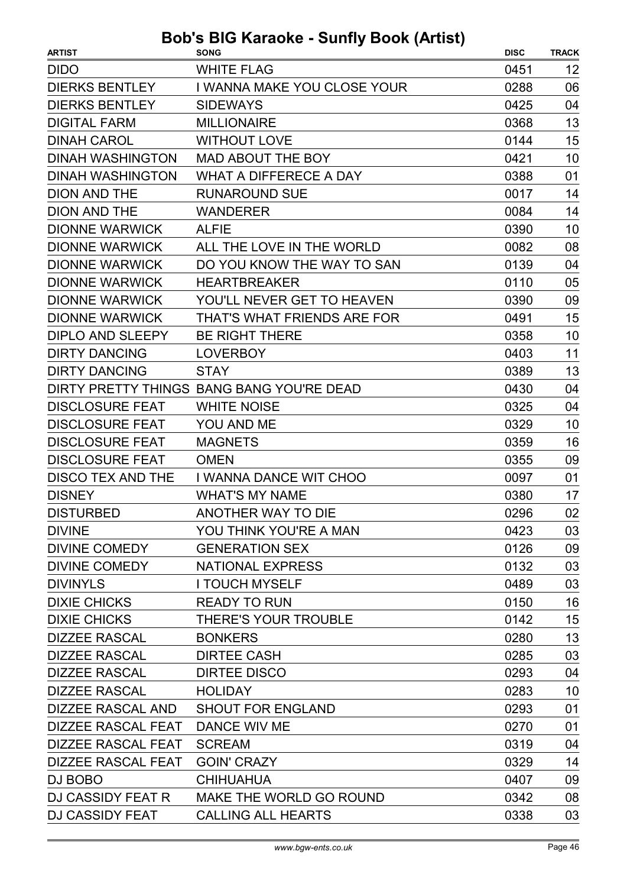| <b>ARTIST</b>             | <b>SONG</b>                               | <b>DISC</b> | <b>TRACK</b> |
|---------------------------|-------------------------------------------|-------------|--------------|
| <b>DIDO</b>               | <b>WHITE FLAG</b>                         | 0451        | 12           |
| <b>DIERKS BENTLEY</b>     | I WANNA MAKE YOU CLOSE YOUR               | 0288        | 06           |
| <b>DIERKS BENTLEY</b>     | <b>SIDEWAYS</b>                           | 0425        | 04           |
| <b>DIGITAL FARM</b>       | <b>MILLIONAIRE</b>                        | 0368        | 13           |
| <b>DINAH CAROL</b>        | <b>WITHOUT LOVE</b>                       | 0144        | 15           |
| <b>DINAH WASHINGTON</b>   | <b>MAD ABOUT THE BOY</b>                  | 0421        | 10           |
| <b>DINAH WASHINGTON</b>   | <b>WHAT A DIFFERECE A DAY</b>             | 0388        | 01           |
| <b>DION AND THE</b>       | <b>RUNAROUND SUE</b>                      | 0017        | 14           |
| <b>DION AND THE</b>       | <b>WANDERER</b>                           | 0084        | 14           |
| <b>DIONNE WARWICK</b>     | <b>ALFIE</b>                              | 0390        | 10           |
| <b>DIONNE WARWICK</b>     | ALL THE LOVE IN THE WORLD                 | 0082        | 08           |
| <b>DIONNE WARWICK</b>     | DO YOU KNOW THE WAY TO SAN                | 0139        | 04           |
| <b>DIONNE WARWICK</b>     | <b>HEARTBREAKER</b>                       | 0110        | 05           |
| <b>DIONNE WARWICK</b>     | YOU'LL NEVER GET TO HEAVEN                | 0390        | 09           |
| <b>DIONNE WARWICK</b>     | THAT'S WHAT FRIENDS ARE FOR               | 0491        | 15           |
| <b>DIPLO AND SLEEPY</b>   | <b>BE RIGHT THERE</b>                     | 0358        | 10           |
| <b>DIRTY DANCING</b>      | <b>LOVERBOY</b>                           | 0403        | 11           |
| <b>DIRTY DANCING</b>      | <b>STAY</b>                               | 0389        | 13           |
|                           | DIRTY PRETTY THINGS BANG BANG YOU'RE DEAD | 0430        | 04           |
| <b>DISCLOSURE FEAT</b>    | <b>WHITE NOISE</b>                        | 0325        | 04           |
| <b>DISCLOSURE FEAT</b>    | YOU AND ME                                | 0329        | 10           |
| <b>DISCLOSURE FEAT</b>    | <b>MAGNETS</b>                            | 0359        | 16           |
| <b>DISCLOSURE FEAT</b>    | <b>OMEN</b>                               | 0355        | 09           |
| <b>DISCO TEX AND THE</b>  | I WANNA DANCE WIT CHOO                    | 0097        | 01           |
| <b>DISNEY</b>             | <b>WHAT'S MY NAME</b>                     | 0380        | 17           |
| <b>DISTURBED</b>          | ANOTHER WAY TO DIE                        | 0296        | 02           |
| <b>DIVINE</b>             | YOU THINK YOU'RE A MAN                    | 0423        | 03           |
| <b>DIVINE COMEDY</b>      | <b>GENERATION SEX</b>                     | 0126        | 09           |
| <b>DIVINE COMEDY</b>      | <b>NATIONAL EXPRESS</b>                   | 0132        | 03           |
| <b>DIVINYLS</b>           | <b>I TOUCH MYSELF</b>                     | 0489        | 03           |
| <b>DIXIE CHICKS</b>       | <b>READY TO RUN</b>                       | 0150        | 16           |
| <b>DIXIE CHICKS</b>       | <b>THERE'S YOUR TROUBLE</b>               | 0142        | 15           |
| <b>DIZZEE RASCAL</b>      | <b>BONKERS</b>                            | 0280        | 13           |
| <b>DIZZEE RASCAL</b>      | <b>DIRTEE CASH</b>                        | 0285        | 03           |
| <b>DIZZEE RASCAL</b>      | <b>DIRTEE DISCO</b>                       | 0293        | 04           |
| <b>DIZZEE RASCAL</b>      | <b>HOLIDAY</b>                            | 0283        | 10           |
| DIZZEE RASCAL AND         | <b>SHOUT FOR ENGLAND</b>                  | 0293        | 01           |
| <b>DIZZEE RASCAL FEAT</b> | DANCE WIV ME                              | 0270        | 01           |
| <b>DIZZEE RASCAL FEAT</b> | <b>SCREAM</b>                             | 0319        | 04           |
| <b>DIZZEE RASCAL FEAT</b> | <b>GOIN' CRAZY</b>                        | 0329        | 14           |
| DJ BOBO                   | <b>CHIHUAHUA</b>                          | 0407        | 09           |
| DJ CASSIDY FEAT R         | MAKE THE WORLD GO ROUND                   | 0342        | 08           |
| <b>DJ CASSIDY FEAT</b>    | <b>CALLING ALL HEARTS</b>                 | 0338        | 03           |
|                           |                                           |             |              |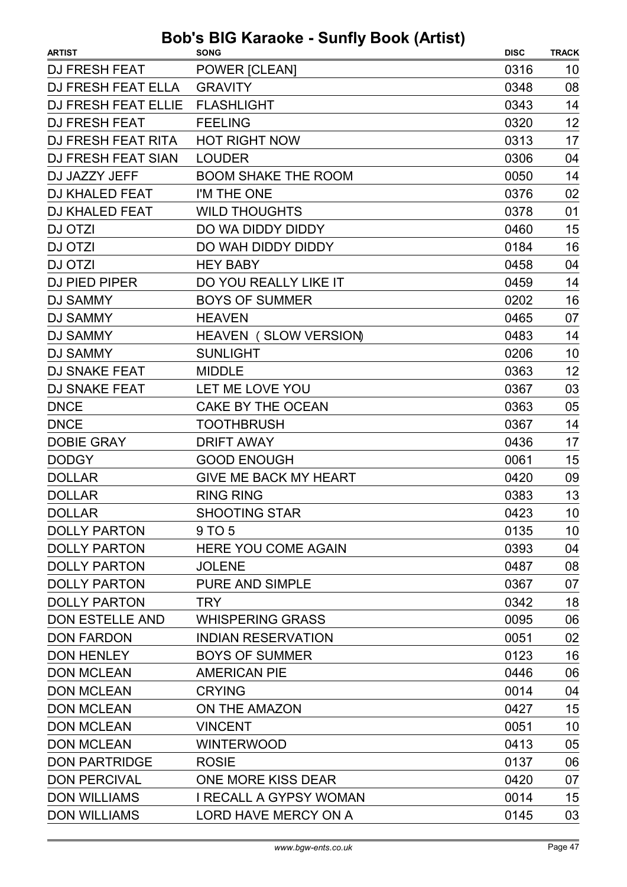| <b>DJ FRESH FEAT</b><br>POWER [CLEAN]<br>0316<br>10<br>08<br>DJ FRESH FEAT ELLA<br><b>GRAVITY</b><br>0348<br>0343<br>14<br>DJ FRESH FEAT ELLIE<br><b>FLASHLIGHT</b><br>12<br><b>DJ FRESH FEAT</b><br><b>FEELING</b><br>0320<br>DJ FRESH FEAT RITA<br><b>HOT RIGHT NOW</b><br>0313<br>17<br><b>DJ FRESH FEAT SIAN</b><br><b>LOUDER</b><br>0306<br>04<br>14<br>DJ JAZZY JEFF<br><b>BOOM SHAKE THE ROOM</b><br>0050<br><b>DJ KHALED FEAT</b><br>I'M THE ONE<br>0376<br>02<br><b>DJ KHALED FEAT</b><br><b>WILD THOUGHTS</b><br>0378<br>01<br>DO WA DIDDY DIDDY<br>15<br>0460<br>16<br>DJ OTZI<br>DO WAH DIDDY DIDDY<br>0184<br>04<br>DJ OTZI<br><b>HEY BABY</b><br>0458<br>14<br><b>DJ PIED PIPER</b><br>DO YOU REALLY LIKE IT<br>0459<br><b>BOYS OF SUMMER</b><br>16<br><b>DJ SAMMY</b><br>0202<br><b>DJ SAMMY</b><br>0465<br>07<br><b>HEAVEN</b><br><b>DJ SAMMY</b><br>HEAVEN (SLOW VERSION)<br>0483<br>14<br><b>DJ SAMMY</b><br><b>SUNLIGHT</b><br>0206<br>10<br>12<br><b>DJ SNAKE FEAT</b><br><b>MIDDLE</b><br>0363<br>03<br><b>DJ SNAKE FEAT</b><br>LET ME LOVE YOU<br>0367<br><b>DNCE</b><br><b>CAKE BY THE OCEAN</b><br>0363<br>05<br><b>DNCE</b><br><b>TOOTHBRUSH</b><br>0367<br>14<br><b>DOBIE GRAY</b><br><b>DRIFT AWAY</b><br>0436<br>17<br>15<br><b>DODGY</b><br><b>GOOD ENOUGH</b><br>0061<br><b>GIVE ME BACK MY HEART</b><br><b>DOLLAR</b><br>0420<br>09<br><b>RING RING</b><br>13<br><b>DOLLAR</b><br>0383<br>10<br>0423<br><b>DOLLAR</b><br><b>SHOOTING STAR</b><br><b>DOLLY PARTON</b><br>9 TO 5<br>0135<br>10<br><b>DOLLY PARTON</b><br>0393<br>04<br><b>HERE YOU COME AGAIN</b><br><b>DOLLY PARTON</b><br>0487<br>08<br><b>JOLENE</b><br><b>DOLLY PARTON</b><br>PURE AND SIMPLE<br>0367<br>07<br>18<br><b>DOLLY PARTON</b><br>0342<br><b>TRY</b><br><b>DON ESTELLE AND</b><br><b>WHISPERING GRASS</b><br>0095<br>06<br><b>DON FARDON</b><br><b>INDIAN RESERVATION</b><br>02<br>0051<br>16<br><b>DON HENLEY</b><br><b>BOYS OF SUMMER</b><br>0123<br><b>DON MCLEAN</b><br>06<br><b>AMERICAN PIE</b><br>0446<br><b>DON MCLEAN</b><br><b>CRYING</b><br>0014<br>04<br><b>DON MCLEAN</b><br>ON THE AMAZON<br>0427<br>15<br><b>DON MCLEAN</b><br><b>VINCENT</b><br>10<br>0051<br><b>DON MCLEAN</b><br><b>WINTERWOOD</b><br>0413<br>05<br><b>DON PARTRIDGE</b><br><b>ROSIE</b><br>0137<br>06<br><b>DON PERCIVAL</b><br>ONE MORE KISS DEAR<br>0420<br>07<br><b>DON WILLIAMS</b><br>15<br>I RECALL A GYPSY WOMAN<br>0014 | <b>ARTIST</b>       | <b>SONG</b>          | <b>DISC</b> | <b>TRACK</b> |
|-------------------------------------------------------------------------------------------------------------------------------------------------------------------------------------------------------------------------------------------------------------------------------------------------------------------------------------------------------------------------------------------------------------------------------------------------------------------------------------------------------------------------------------------------------------------------------------------------------------------------------------------------------------------------------------------------------------------------------------------------------------------------------------------------------------------------------------------------------------------------------------------------------------------------------------------------------------------------------------------------------------------------------------------------------------------------------------------------------------------------------------------------------------------------------------------------------------------------------------------------------------------------------------------------------------------------------------------------------------------------------------------------------------------------------------------------------------------------------------------------------------------------------------------------------------------------------------------------------------------------------------------------------------------------------------------------------------------------------------------------------------------------------------------------------------------------------------------------------------------------------------------------------------------------------------------------------------------------------------------------------------------------------------------------------------------------------------------------------------------------------------------------------------------------------------------------------------------------------------------------------------------------------------------------------------------------------------------------------------------------------------------------------------------------------|---------------------|----------------------|-------------|--------------|
|                                                                                                                                                                                                                                                                                                                                                                                                                                                                                                                                                                                                                                                                                                                                                                                                                                                                                                                                                                                                                                                                                                                                                                                                                                                                                                                                                                                                                                                                                                                                                                                                                                                                                                                                                                                                                                                                                                                                                                                                                                                                                                                                                                                                                                                                                                                                                                                                                               |                     |                      |             |              |
|                                                                                                                                                                                                                                                                                                                                                                                                                                                                                                                                                                                                                                                                                                                                                                                                                                                                                                                                                                                                                                                                                                                                                                                                                                                                                                                                                                                                                                                                                                                                                                                                                                                                                                                                                                                                                                                                                                                                                                                                                                                                                                                                                                                                                                                                                                                                                                                                                               |                     |                      |             |              |
|                                                                                                                                                                                                                                                                                                                                                                                                                                                                                                                                                                                                                                                                                                                                                                                                                                                                                                                                                                                                                                                                                                                                                                                                                                                                                                                                                                                                                                                                                                                                                                                                                                                                                                                                                                                                                                                                                                                                                                                                                                                                                                                                                                                                                                                                                                                                                                                                                               |                     |                      |             |              |
|                                                                                                                                                                                                                                                                                                                                                                                                                                                                                                                                                                                                                                                                                                                                                                                                                                                                                                                                                                                                                                                                                                                                                                                                                                                                                                                                                                                                                                                                                                                                                                                                                                                                                                                                                                                                                                                                                                                                                                                                                                                                                                                                                                                                                                                                                                                                                                                                                               |                     |                      |             |              |
|                                                                                                                                                                                                                                                                                                                                                                                                                                                                                                                                                                                                                                                                                                                                                                                                                                                                                                                                                                                                                                                                                                                                                                                                                                                                                                                                                                                                                                                                                                                                                                                                                                                                                                                                                                                                                                                                                                                                                                                                                                                                                                                                                                                                                                                                                                                                                                                                                               |                     |                      |             |              |
|                                                                                                                                                                                                                                                                                                                                                                                                                                                                                                                                                                                                                                                                                                                                                                                                                                                                                                                                                                                                                                                                                                                                                                                                                                                                                                                                                                                                                                                                                                                                                                                                                                                                                                                                                                                                                                                                                                                                                                                                                                                                                                                                                                                                                                                                                                                                                                                                                               |                     |                      |             |              |
|                                                                                                                                                                                                                                                                                                                                                                                                                                                                                                                                                                                                                                                                                                                                                                                                                                                                                                                                                                                                                                                                                                                                                                                                                                                                                                                                                                                                                                                                                                                                                                                                                                                                                                                                                                                                                                                                                                                                                                                                                                                                                                                                                                                                                                                                                                                                                                                                                               |                     |                      |             |              |
|                                                                                                                                                                                                                                                                                                                                                                                                                                                                                                                                                                                                                                                                                                                                                                                                                                                                                                                                                                                                                                                                                                                                                                                                                                                                                                                                                                                                                                                                                                                                                                                                                                                                                                                                                                                                                                                                                                                                                                                                                                                                                                                                                                                                                                                                                                                                                                                                                               |                     |                      |             |              |
|                                                                                                                                                                                                                                                                                                                                                                                                                                                                                                                                                                                                                                                                                                                                                                                                                                                                                                                                                                                                                                                                                                                                                                                                                                                                                                                                                                                                                                                                                                                                                                                                                                                                                                                                                                                                                                                                                                                                                                                                                                                                                                                                                                                                                                                                                                                                                                                                                               |                     |                      |             |              |
|                                                                                                                                                                                                                                                                                                                                                                                                                                                                                                                                                                                                                                                                                                                                                                                                                                                                                                                                                                                                                                                                                                                                                                                                                                                                                                                                                                                                                                                                                                                                                                                                                                                                                                                                                                                                                                                                                                                                                                                                                                                                                                                                                                                                                                                                                                                                                                                                                               | <b>DJ OTZI</b>      |                      |             |              |
|                                                                                                                                                                                                                                                                                                                                                                                                                                                                                                                                                                                                                                                                                                                                                                                                                                                                                                                                                                                                                                                                                                                                                                                                                                                                                                                                                                                                                                                                                                                                                                                                                                                                                                                                                                                                                                                                                                                                                                                                                                                                                                                                                                                                                                                                                                                                                                                                                               |                     |                      |             |              |
|                                                                                                                                                                                                                                                                                                                                                                                                                                                                                                                                                                                                                                                                                                                                                                                                                                                                                                                                                                                                                                                                                                                                                                                                                                                                                                                                                                                                                                                                                                                                                                                                                                                                                                                                                                                                                                                                                                                                                                                                                                                                                                                                                                                                                                                                                                                                                                                                                               |                     |                      |             |              |
|                                                                                                                                                                                                                                                                                                                                                                                                                                                                                                                                                                                                                                                                                                                                                                                                                                                                                                                                                                                                                                                                                                                                                                                                                                                                                                                                                                                                                                                                                                                                                                                                                                                                                                                                                                                                                                                                                                                                                                                                                                                                                                                                                                                                                                                                                                                                                                                                                               |                     |                      |             |              |
|                                                                                                                                                                                                                                                                                                                                                                                                                                                                                                                                                                                                                                                                                                                                                                                                                                                                                                                                                                                                                                                                                                                                                                                                                                                                                                                                                                                                                                                                                                                                                                                                                                                                                                                                                                                                                                                                                                                                                                                                                                                                                                                                                                                                                                                                                                                                                                                                                               |                     |                      |             |              |
|                                                                                                                                                                                                                                                                                                                                                                                                                                                                                                                                                                                                                                                                                                                                                                                                                                                                                                                                                                                                                                                                                                                                                                                                                                                                                                                                                                                                                                                                                                                                                                                                                                                                                                                                                                                                                                                                                                                                                                                                                                                                                                                                                                                                                                                                                                                                                                                                                               |                     |                      |             |              |
|                                                                                                                                                                                                                                                                                                                                                                                                                                                                                                                                                                                                                                                                                                                                                                                                                                                                                                                                                                                                                                                                                                                                                                                                                                                                                                                                                                                                                                                                                                                                                                                                                                                                                                                                                                                                                                                                                                                                                                                                                                                                                                                                                                                                                                                                                                                                                                                                                               |                     |                      |             |              |
|                                                                                                                                                                                                                                                                                                                                                                                                                                                                                                                                                                                                                                                                                                                                                                                                                                                                                                                                                                                                                                                                                                                                                                                                                                                                                                                                                                                                                                                                                                                                                                                                                                                                                                                                                                                                                                                                                                                                                                                                                                                                                                                                                                                                                                                                                                                                                                                                                               |                     |                      |             |              |
|                                                                                                                                                                                                                                                                                                                                                                                                                                                                                                                                                                                                                                                                                                                                                                                                                                                                                                                                                                                                                                                                                                                                                                                                                                                                                                                                                                                                                                                                                                                                                                                                                                                                                                                                                                                                                                                                                                                                                                                                                                                                                                                                                                                                                                                                                                                                                                                                                               |                     |                      |             |              |
|                                                                                                                                                                                                                                                                                                                                                                                                                                                                                                                                                                                                                                                                                                                                                                                                                                                                                                                                                                                                                                                                                                                                                                                                                                                                                                                                                                                                                                                                                                                                                                                                                                                                                                                                                                                                                                                                                                                                                                                                                                                                                                                                                                                                                                                                                                                                                                                                                               |                     |                      |             |              |
|                                                                                                                                                                                                                                                                                                                                                                                                                                                                                                                                                                                                                                                                                                                                                                                                                                                                                                                                                                                                                                                                                                                                                                                                                                                                                                                                                                                                                                                                                                                                                                                                                                                                                                                                                                                                                                                                                                                                                                                                                                                                                                                                                                                                                                                                                                                                                                                                                               |                     |                      |             |              |
|                                                                                                                                                                                                                                                                                                                                                                                                                                                                                                                                                                                                                                                                                                                                                                                                                                                                                                                                                                                                                                                                                                                                                                                                                                                                                                                                                                                                                                                                                                                                                                                                                                                                                                                                                                                                                                                                                                                                                                                                                                                                                                                                                                                                                                                                                                                                                                                                                               |                     |                      |             |              |
|                                                                                                                                                                                                                                                                                                                                                                                                                                                                                                                                                                                                                                                                                                                                                                                                                                                                                                                                                                                                                                                                                                                                                                                                                                                                                                                                                                                                                                                                                                                                                                                                                                                                                                                                                                                                                                                                                                                                                                                                                                                                                                                                                                                                                                                                                                                                                                                                                               |                     |                      |             |              |
|                                                                                                                                                                                                                                                                                                                                                                                                                                                                                                                                                                                                                                                                                                                                                                                                                                                                                                                                                                                                                                                                                                                                                                                                                                                                                                                                                                                                                                                                                                                                                                                                                                                                                                                                                                                                                                                                                                                                                                                                                                                                                                                                                                                                                                                                                                                                                                                                                               |                     |                      |             |              |
|                                                                                                                                                                                                                                                                                                                                                                                                                                                                                                                                                                                                                                                                                                                                                                                                                                                                                                                                                                                                                                                                                                                                                                                                                                                                                                                                                                                                                                                                                                                                                                                                                                                                                                                                                                                                                                                                                                                                                                                                                                                                                                                                                                                                                                                                                                                                                                                                                               |                     |                      |             |              |
|                                                                                                                                                                                                                                                                                                                                                                                                                                                                                                                                                                                                                                                                                                                                                                                                                                                                                                                                                                                                                                                                                                                                                                                                                                                                                                                                                                                                                                                                                                                                                                                                                                                                                                                                                                                                                                                                                                                                                                                                                                                                                                                                                                                                                                                                                                                                                                                                                               |                     |                      |             |              |
|                                                                                                                                                                                                                                                                                                                                                                                                                                                                                                                                                                                                                                                                                                                                                                                                                                                                                                                                                                                                                                                                                                                                                                                                                                                                                                                                                                                                                                                                                                                                                                                                                                                                                                                                                                                                                                                                                                                                                                                                                                                                                                                                                                                                                                                                                                                                                                                                                               |                     |                      |             |              |
|                                                                                                                                                                                                                                                                                                                                                                                                                                                                                                                                                                                                                                                                                                                                                                                                                                                                                                                                                                                                                                                                                                                                                                                                                                                                                                                                                                                                                                                                                                                                                                                                                                                                                                                                                                                                                                                                                                                                                                                                                                                                                                                                                                                                                                                                                                                                                                                                                               |                     |                      |             |              |
|                                                                                                                                                                                                                                                                                                                                                                                                                                                                                                                                                                                                                                                                                                                                                                                                                                                                                                                                                                                                                                                                                                                                                                                                                                                                                                                                                                                                                                                                                                                                                                                                                                                                                                                                                                                                                                                                                                                                                                                                                                                                                                                                                                                                                                                                                                                                                                                                                               |                     |                      |             |              |
|                                                                                                                                                                                                                                                                                                                                                                                                                                                                                                                                                                                                                                                                                                                                                                                                                                                                                                                                                                                                                                                                                                                                                                                                                                                                                                                                                                                                                                                                                                                                                                                                                                                                                                                                                                                                                                                                                                                                                                                                                                                                                                                                                                                                                                                                                                                                                                                                                               |                     |                      |             |              |
|                                                                                                                                                                                                                                                                                                                                                                                                                                                                                                                                                                                                                                                                                                                                                                                                                                                                                                                                                                                                                                                                                                                                                                                                                                                                                                                                                                                                                                                                                                                                                                                                                                                                                                                                                                                                                                                                                                                                                                                                                                                                                                                                                                                                                                                                                                                                                                                                                               |                     |                      |             |              |
|                                                                                                                                                                                                                                                                                                                                                                                                                                                                                                                                                                                                                                                                                                                                                                                                                                                                                                                                                                                                                                                                                                                                                                                                                                                                                                                                                                                                                                                                                                                                                                                                                                                                                                                                                                                                                                                                                                                                                                                                                                                                                                                                                                                                                                                                                                                                                                                                                               |                     |                      |             |              |
|                                                                                                                                                                                                                                                                                                                                                                                                                                                                                                                                                                                                                                                                                                                                                                                                                                                                                                                                                                                                                                                                                                                                                                                                                                                                                                                                                                                                                                                                                                                                                                                                                                                                                                                                                                                                                                                                                                                                                                                                                                                                                                                                                                                                                                                                                                                                                                                                                               |                     |                      |             |              |
|                                                                                                                                                                                                                                                                                                                                                                                                                                                                                                                                                                                                                                                                                                                                                                                                                                                                                                                                                                                                                                                                                                                                                                                                                                                                                                                                                                                                                                                                                                                                                                                                                                                                                                                                                                                                                                                                                                                                                                                                                                                                                                                                                                                                                                                                                                                                                                                                                               |                     |                      |             |              |
|                                                                                                                                                                                                                                                                                                                                                                                                                                                                                                                                                                                                                                                                                                                                                                                                                                                                                                                                                                                                                                                                                                                                                                                                                                                                                                                                                                                                                                                                                                                                                                                                                                                                                                                                                                                                                                                                                                                                                                                                                                                                                                                                                                                                                                                                                                                                                                                                                               |                     |                      |             |              |
|                                                                                                                                                                                                                                                                                                                                                                                                                                                                                                                                                                                                                                                                                                                                                                                                                                                                                                                                                                                                                                                                                                                                                                                                                                                                                                                                                                                                                                                                                                                                                                                                                                                                                                                                                                                                                                                                                                                                                                                                                                                                                                                                                                                                                                                                                                                                                                                                                               |                     |                      |             |              |
|                                                                                                                                                                                                                                                                                                                                                                                                                                                                                                                                                                                                                                                                                                                                                                                                                                                                                                                                                                                                                                                                                                                                                                                                                                                                                                                                                                                                                                                                                                                                                                                                                                                                                                                                                                                                                                                                                                                                                                                                                                                                                                                                                                                                                                                                                                                                                                                                                               |                     |                      |             |              |
|                                                                                                                                                                                                                                                                                                                                                                                                                                                                                                                                                                                                                                                                                                                                                                                                                                                                                                                                                                                                                                                                                                                                                                                                                                                                                                                                                                                                                                                                                                                                                                                                                                                                                                                                                                                                                                                                                                                                                                                                                                                                                                                                                                                                                                                                                                                                                                                                                               |                     |                      |             |              |
|                                                                                                                                                                                                                                                                                                                                                                                                                                                                                                                                                                                                                                                                                                                                                                                                                                                                                                                                                                                                                                                                                                                                                                                                                                                                                                                                                                                                                                                                                                                                                                                                                                                                                                                                                                                                                                                                                                                                                                                                                                                                                                                                                                                                                                                                                                                                                                                                                               |                     |                      |             |              |
|                                                                                                                                                                                                                                                                                                                                                                                                                                                                                                                                                                                                                                                                                                                                                                                                                                                                                                                                                                                                                                                                                                                                                                                                                                                                                                                                                                                                                                                                                                                                                                                                                                                                                                                                                                                                                                                                                                                                                                                                                                                                                                                                                                                                                                                                                                                                                                                                                               |                     |                      |             |              |
|                                                                                                                                                                                                                                                                                                                                                                                                                                                                                                                                                                                                                                                                                                                                                                                                                                                                                                                                                                                                                                                                                                                                                                                                                                                                                                                                                                                                                                                                                                                                                                                                                                                                                                                                                                                                                                                                                                                                                                                                                                                                                                                                                                                                                                                                                                                                                                                                                               |                     |                      |             |              |
|                                                                                                                                                                                                                                                                                                                                                                                                                                                                                                                                                                                                                                                                                                                                                                                                                                                                                                                                                                                                                                                                                                                                                                                                                                                                                                                                                                                                                                                                                                                                                                                                                                                                                                                                                                                                                                                                                                                                                                                                                                                                                                                                                                                                                                                                                                                                                                                                                               |                     |                      |             |              |
|                                                                                                                                                                                                                                                                                                                                                                                                                                                                                                                                                                                                                                                                                                                                                                                                                                                                                                                                                                                                                                                                                                                                                                                                                                                                                                                                                                                                                                                                                                                                                                                                                                                                                                                                                                                                                                                                                                                                                                                                                                                                                                                                                                                                                                                                                                                                                                                                                               |                     |                      |             |              |
|                                                                                                                                                                                                                                                                                                                                                                                                                                                                                                                                                                                                                                                                                                                                                                                                                                                                                                                                                                                                                                                                                                                                                                                                                                                                                                                                                                                                                                                                                                                                                                                                                                                                                                                                                                                                                                                                                                                                                                                                                                                                                                                                                                                                                                                                                                                                                                                                                               | <b>DON WILLIAMS</b> | LORD HAVE MERCY ON A | 0145        | 03           |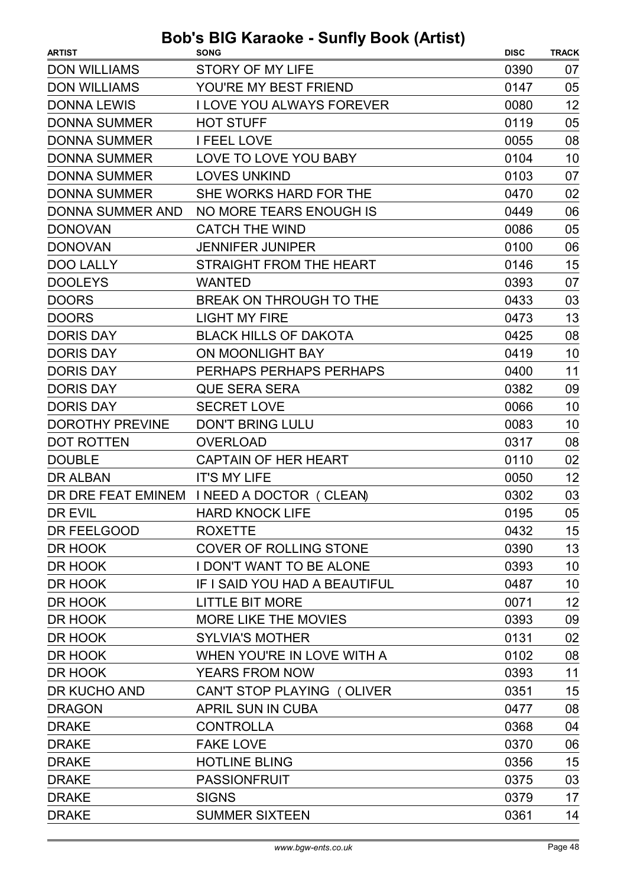| <b>ARTIST</b>           | <b>SONG</b>                               | <b>DISC</b> | <b>TRACK</b>    |
|-------------------------|-------------------------------------------|-------------|-----------------|
| <b>DON WILLIAMS</b>     | <b>STORY OF MY LIFE</b>                   | 0390        | 07              |
| <b>DON WILLIAMS</b>     | YOU'RE MY BEST FRIEND                     | 0147        | 05              |
| <b>DONNA LEWIS</b>      | <b>I LOVE YOU ALWAYS FOREVER</b>          | 0080        | 12              |
| <b>DONNA SUMMER</b>     | <b>HOT STUFF</b>                          | 0119        | 05              |
| <b>DONNA SUMMER</b>     | <b>I FEEL LOVE</b>                        | 0055        | 08              |
| <b>DONNA SUMMER</b>     | LOVE TO LOVE YOU BABY                     | 0104        | 10              |
| <b>DONNA SUMMER</b>     | <b>LOVES UNKIND</b>                       | 0103        | 07              |
| <b>DONNA SUMMER</b>     | SHE WORKS HARD FOR THE                    | 0470        | 02              |
| <b>DONNA SUMMER AND</b> | NO MORE TEARS ENOUGH IS                   | 0449        | 06              |
| <b>DONOVAN</b>          | <b>CATCH THE WIND</b>                     | 0086        | 05              |
| <b>DONOVAN</b>          | <b>JENNIFER JUNIPER</b>                   | 0100        | 06              |
| <b>DOO LALLY</b>        | STRAIGHT FROM THE HEART                   | 0146        | 15              |
| <b>DOOLEYS</b>          | <b>WANTED</b>                             | 0393        | 07              |
| <b>DOORS</b>            | <b>BREAK ON THROUGH TO THE</b>            | 0433        | 03              |
| <b>DOORS</b>            | <b>LIGHT MY FIRE</b>                      | 0473        | 13              |
| <b>DORIS DAY</b>        | <b>BLACK HILLS OF DAKOTA</b>              | 0425        | 08              |
| <b>DORIS DAY</b>        | <b>ON MOONLIGHT BAY</b>                   | 0419        | 10              |
| <b>DORIS DAY</b>        | PERHAPS PERHAPS PERHAPS                   | 0400        | 11              |
| <b>DORIS DAY</b>        | <b>QUE SERA SERA</b>                      | 0382        | 09              |
| <b>DORIS DAY</b>        | <b>SECRET LOVE</b>                        | 0066        | 10              |
| <b>DOROTHY PREVINE</b>  | <b>DON'T BRING LULU</b>                   | 0083        | 10              |
| <b>DOT ROTTEN</b>       | <b>OVERLOAD</b>                           | 0317        | 08              |
| <b>DOUBLE</b>           | <b>CAPTAIN OF HER HEART</b>               | 0110        | 02              |
| <b>DR ALBAN</b>         | <b>IT'S MY LIFE</b>                       | 0050        | 12              |
|                         | DR DRE FEAT EMINEM INEED A DOCTOR (CLEAN) | 0302        | 03              |
| DR EVIL                 | <b>HARD KNOCK LIFE</b>                    | 0195        | 05              |
| DR FEELGOOD             | <b>ROXETTE</b>                            | 0432        | 15              |
| DR HOOK                 | <b>COVER OF ROLLING STONE</b>             | 0390        | 13              |
| DR HOOK                 | <b>I DON'T WANT TO BE ALONE</b>           | 0393        | 10 <sup>°</sup> |
| DR HOOK                 | IF I SAID YOU HAD A BEAUTIFUL             | 0487        | 10              |
| DR HOOK                 | <b>LITTLE BIT MORE</b>                    | 0071        | 12              |
| DR HOOK                 | <b>MORE LIKE THE MOVIES</b>               | 0393        | 09              |
| DR HOOK                 | <b>SYLVIA'S MOTHER</b>                    | 0131        | 02              |
| DR HOOK                 | WHEN YOU'RE IN LOVE WITH A                | 0102        | 08              |
| DR HOOK                 | <b>YEARS FROM NOW</b>                     | 0393        | 11              |
| DR KUCHO AND            | CAN'T STOP PLAYING (OLIVER                | 0351        | 15              |
| <b>DRAGON</b>           | APRIL SUN IN CUBA                         | 0477        | 08              |
| <b>DRAKE</b>            | <b>CONTROLLA</b>                          | 0368        | 04              |
| <b>DRAKE</b>            | <b>FAKE LOVE</b>                          | 0370        | 06              |
| <b>DRAKE</b>            | <b>HOTLINE BLING</b>                      | 0356        | 15              |
| <b>DRAKE</b>            | <b>PASSIONFRUIT</b>                       | 0375        | 03              |
| <b>DRAKE</b>            | <b>SIGNS</b>                              | 0379        | 17              |
| <b>DRAKE</b>            | <b>SUMMER SIXTEEN</b>                     | 0361        | 14              |
|                         |                                           |             |                 |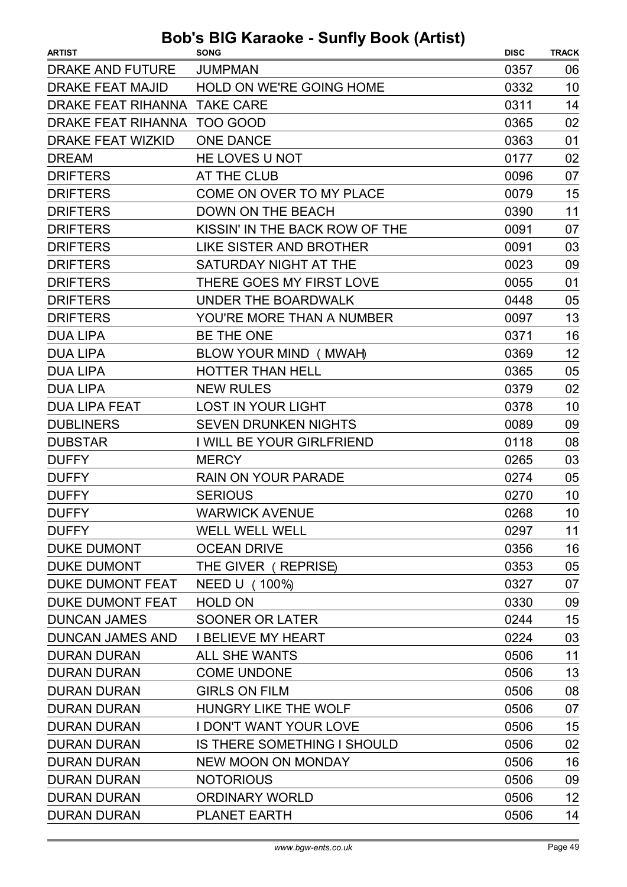| <b>ARTIST</b>                | $\sim$ Karaono canny Doon (Autor)<br><b>SONG</b> | <b>DISC</b> | <b>TRACK</b> |
|------------------------------|--------------------------------------------------|-------------|--------------|
| DRAKE AND FUTURE             | <b>JUMPMAN</b>                                   | 0357        | 06           |
| <b>DRAKE FEAT MAJID</b>      | HOLD ON WE'RE GOING HOME                         | 0332        | 10           |
| DRAKE FEAT RIHANNA TAKE CARE |                                                  | 0311        | 14           |
| DRAKE FEAT RIHANNA TOO GOOD  |                                                  | 0365        | 02           |
| <b>DRAKE FEAT WIZKID</b>     | <b>ONE DANCE</b>                                 | 0363        | 01           |
| <b>DREAM</b>                 | HE LOVES U NOT                                   | 0177        | 02           |
| <b>DRIFTERS</b>              | AT THE CLUB                                      | 0096        | 07           |
| <b>DRIFTERS</b>              | COME ON OVER TO MY PLACE                         | 0079        | 15           |
| <b>DRIFTERS</b>              | <b>DOWN ON THE BEACH</b>                         | 0390        | 11           |
| <b>DRIFTERS</b>              | KISSIN' IN THE BACK ROW OF THE                   | 0091        | 07           |
| <b>DRIFTERS</b>              | <b>LIKE SISTER AND BROTHER</b>                   | 0091        | 03           |
| <b>DRIFTERS</b>              | SATURDAY NIGHT AT THE                            | 0023        | 09           |
| <b>DRIFTERS</b>              | THERE GOES MY FIRST LOVE                         | 0055        | 01           |
| <b>DRIFTERS</b>              | UNDER THE BOARDWALK                              | 0448        | 05           |
| <b>DRIFTERS</b>              | YOU'RE MORE THAN A NUMBER                        | 0097        | 13           |
| <b>DUA LIPA</b>              | BE THE ONE                                       | 0371        | 16           |
| <b>DUA LIPA</b>              | BLOW YOUR MIND (MWAH)                            | 0369        | 12           |
| <b>DUA LIPA</b>              | <b>HOTTER THAN HELL</b>                          | 0365        | 05           |
| <b>DUA LIPA</b>              | <b>NEW RULES</b>                                 | 0379        | 02           |
| <b>DUA LIPA FEAT</b>         | <b>LOST IN YOUR LIGHT</b>                        | 0378        | 10           |
| <b>DUBLINERS</b>             | <b>SEVEN DRUNKEN NIGHTS</b>                      | 0089        | 09           |
| <b>DUBSTAR</b>               | I WILL BE YOUR GIRLFRIEND                        | 0118        | 08           |
| <b>DUFFY</b>                 | <b>MERCY</b>                                     | 0265        | 03           |
| <b>DUFFY</b>                 | RAIN ON YOUR PARADE                              | 0274        | 05           |
| <b>DUFFY</b>                 | <b>SERIOUS</b>                                   | 0270        | 10           |
| <b>DUFFY</b>                 | <b>WARWICK AVENUE</b>                            | 0268        | 10           |
| <b>DUFFY</b>                 | <b>WELL WELL WELL</b>                            | 0297        | 11           |
| <b>DUKE DUMONT</b>           | <b>OCEAN DRIVE</b>                               | 0356        | 16           |
| <b>DUKE DUMONT</b>           | THE GIVER (REPRISE)                              | 0353        | 05           |
| DUKE DUMONT FEAT             | NEED U (100%)                                    | 0327        | 07           |
| DUKE DUMONT FEAT             | <b>HOLD ON</b>                                   | 0330        | 09           |
| <b>DUNCAN JAMES</b>          | <b>SOONER OR LATER</b>                           | 0244        | 15           |
| <b>DUNCAN JAMES AND</b>      | <b>I BELIEVE MY HEART</b>                        | 0224        | 03           |
| <b>DURAN DURAN</b>           | <b>ALL SHE WANTS</b>                             | 0506        | 11           |
| <b>DURAN DURAN</b>           | <b>COME UNDONE</b>                               | 0506        | 13           |
| <b>DURAN DURAN</b>           | <b>GIRLS ON FILM</b>                             | 0506        | 08           |
| <b>DURAN DURAN</b>           | HUNGRY LIKE THE WOLF                             | 0506        | 07           |
| <b>DURAN DURAN</b>           | <b>I DON'T WANT YOUR LOVE</b>                    | 0506        | 15           |
| <b>DURAN DURAN</b>           | IS THERE SOMETHING I SHOULD                      | 0506        | 02           |
| <b>DURAN DURAN</b>           | <b>NEW MOON ON MONDAY</b>                        | 0506        | 16           |
| <b>DURAN DURAN</b>           | <b>NOTORIOUS</b>                                 | 0506        | 09           |
| <b>DURAN DURAN</b>           | <b>ORDINARY WORLD</b>                            | 0506        | 12           |
| <b>DURAN DURAN</b>           | <b>PLANET EARTH</b>                              | 0506        | 14           |
|                              |                                                  |             |              |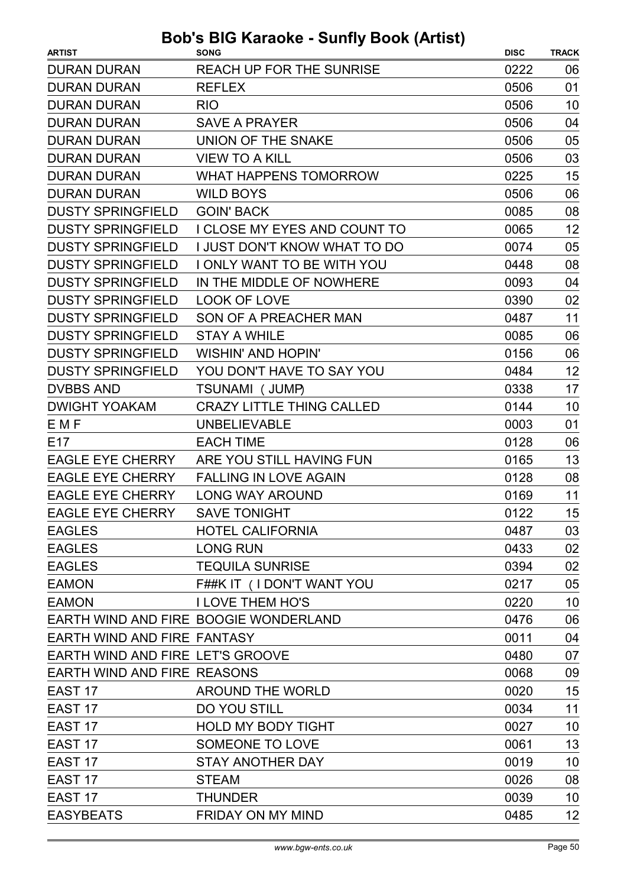| <b>REACH UP FOR THE SUNRISE</b><br>0222<br>06<br>01<br><b>REFLEX</b><br>0506<br>0506<br>10<br><b>RIO</b><br>0506<br>04<br><b>SAVE A PRAYER</b><br>UNION OF THE SNAKE<br>0506<br>05<br><b>VIEW TO A KILL</b><br>0506<br>03<br>WHAT HAPPENS TOMORROW<br>15<br>0225<br>0506<br>06<br><b>WILD BOYS</b><br><b>GOIN' BACK</b><br>08<br>0085<br>12<br>I CLOSE MY EYES AND COUNT TO<br>0065<br><b>I JUST DON'T KNOW WHAT TO DO</b><br>05<br>0074<br>I ONLY WANT TO BE WITH YOU<br>08<br>0448<br>04<br>IN THE MIDDLE OF NOWHERE<br>0093<br><b>LOOK OF LOVE</b><br>02<br>0390<br>11<br>SON OF A PREACHER MAN<br>0487<br>0085<br>06<br><b>STAY A WHILE</b><br><b>WISHIN' AND HOPIN'</b><br>0156<br>06<br>12<br>YOU DON'T HAVE TO SAY YOU<br>0484<br>0338<br>17<br>TSUNAMI (JUMP)<br>10<br><b>CRAZY LITTLE THING CALLED</b><br>0144<br><b>UNBELIEVABLE</b><br>01<br>0003<br><b>EACH TIME</b><br>0128<br>06<br>13<br>ARE YOU STILL HAVING FUN<br>0165<br><b>FALLING IN LOVE AGAIN</b><br>0128<br>08<br>11<br><b>LONG WAY AROUND</b><br>0169<br>15<br><b>SAVE TONIGHT</b><br>0122<br><b>HOTEL CALIFORNIA</b><br>03<br>0487<br><b>LONG RUN</b><br>0433<br>02<br><b>TEQUILA SUNRISE</b><br>02<br>0394<br>F##K IT (I DON'T WANT YOU<br>05<br>0217<br>10<br><b>I LOVE THEM HO'S</b><br>0220<br>EARTH WIND AND FIRE BOOGIE WONDERLAND<br>06<br>0476<br>EARTH WIND AND FIRE FANTASY<br>04<br>0011<br>EARTH WIND AND FIRE LET'S GROOVE<br>0480<br>07<br>EARTH WIND AND FIRE REASONS<br>09<br>0068<br>15<br><b>AROUND THE WORLD</b><br>0020<br>DO YOU STILL<br>11<br>EAST <sub>17</sub><br>0034<br><b>HOLD MY BODY TIGHT</b><br>10<br>EAST <sub>17</sub><br>0027<br>13<br>EAST <sub>17</sub><br>SOMEONE TO LOVE<br>0061<br>10<br>EAST <sub>17</sub><br><b>STAY ANOTHER DAY</b><br>0019<br>0026<br>08<br><b>STEAM</b><br>EAST <sub>17</sub><br>10<br><b>THUNDER</b><br>0039 | <b>ARTIST</b>            | <b>SONG</b> | <b>DISC</b> | <b>TRACK</b> |
|------------------------------------------------------------------------------------------------------------------------------------------------------------------------------------------------------------------------------------------------------------------------------------------------------------------------------------------------------------------------------------------------------------------------------------------------------------------------------------------------------------------------------------------------------------------------------------------------------------------------------------------------------------------------------------------------------------------------------------------------------------------------------------------------------------------------------------------------------------------------------------------------------------------------------------------------------------------------------------------------------------------------------------------------------------------------------------------------------------------------------------------------------------------------------------------------------------------------------------------------------------------------------------------------------------------------------------------------------------------------------------------------------------------------------------------------------------------------------------------------------------------------------------------------------------------------------------------------------------------------------------------------------------------------------------------------------------------------------------------------------------------------------------------------------------------------------------------------------|--------------------------|-------------|-------------|--------------|
|                                                                                                                                                                                                                                                                                                                                                                                                                                                                                                                                                                                                                                                                                                                                                                                                                                                                                                                                                                                                                                                                                                                                                                                                                                                                                                                                                                                                                                                                                                                                                                                                                                                                                                                                                                                                                                                      | <b>DURAN DURAN</b>       |             |             |              |
|                                                                                                                                                                                                                                                                                                                                                                                                                                                                                                                                                                                                                                                                                                                                                                                                                                                                                                                                                                                                                                                                                                                                                                                                                                                                                                                                                                                                                                                                                                                                                                                                                                                                                                                                                                                                                                                      | <b>DURAN DURAN</b>       |             |             |              |
|                                                                                                                                                                                                                                                                                                                                                                                                                                                                                                                                                                                                                                                                                                                                                                                                                                                                                                                                                                                                                                                                                                                                                                                                                                                                                                                                                                                                                                                                                                                                                                                                                                                                                                                                                                                                                                                      | <b>DURAN DURAN</b>       |             |             |              |
|                                                                                                                                                                                                                                                                                                                                                                                                                                                                                                                                                                                                                                                                                                                                                                                                                                                                                                                                                                                                                                                                                                                                                                                                                                                                                                                                                                                                                                                                                                                                                                                                                                                                                                                                                                                                                                                      | <b>DURAN DURAN</b>       |             |             |              |
|                                                                                                                                                                                                                                                                                                                                                                                                                                                                                                                                                                                                                                                                                                                                                                                                                                                                                                                                                                                                                                                                                                                                                                                                                                                                                                                                                                                                                                                                                                                                                                                                                                                                                                                                                                                                                                                      | <b>DURAN DURAN</b>       |             |             |              |
|                                                                                                                                                                                                                                                                                                                                                                                                                                                                                                                                                                                                                                                                                                                                                                                                                                                                                                                                                                                                                                                                                                                                                                                                                                                                                                                                                                                                                                                                                                                                                                                                                                                                                                                                                                                                                                                      | <b>DURAN DURAN</b>       |             |             |              |
|                                                                                                                                                                                                                                                                                                                                                                                                                                                                                                                                                                                                                                                                                                                                                                                                                                                                                                                                                                                                                                                                                                                                                                                                                                                                                                                                                                                                                                                                                                                                                                                                                                                                                                                                                                                                                                                      | <b>DURAN DURAN</b>       |             |             |              |
|                                                                                                                                                                                                                                                                                                                                                                                                                                                                                                                                                                                                                                                                                                                                                                                                                                                                                                                                                                                                                                                                                                                                                                                                                                                                                                                                                                                                                                                                                                                                                                                                                                                                                                                                                                                                                                                      | <b>DURAN DURAN</b>       |             |             |              |
|                                                                                                                                                                                                                                                                                                                                                                                                                                                                                                                                                                                                                                                                                                                                                                                                                                                                                                                                                                                                                                                                                                                                                                                                                                                                                                                                                                                                                                                                                                                                                                                                                                                                                                                                                                                                                                                      | <b>DUSTY SPRINGFIELD</b> |             |             |              |
|                                                                                                                                                                                                                                                                                                                                                                                                                                                                                                                                                                                                                                                                                                                                                                                                                                                                                                                                                                                                                                                                                                                                                                                                                                                                                                                                                                                                                                                                                                                                                                                                                                                                                                                                                                                                                                                      | <b>DUSTY SPRINGFIELD</b> |             |             |              |
|                                                                                                                                                                                                                                                                                                                                                                                                                                                                                                                                                                                                                                                                                                                                                                                                                                                                                                                                                                                                                                                                                                                                                                                                                                                                                                                                                                                                                                                                                                                                                                                                                                                                                                                                                                                                                                                      | <b>DUSTY SPRINGFIELD</b> |             |             |              |
|                                                                                                                                                                                                                                                                                                                                                                                                                                                                                                                                                                                                                                                                                                                                                                                                                                                                                                                                                                                                                                                                                                                                                                                                                                                                                                                                                                                                                                                                                                                                                                                                                                                                                                                                                                                                                                                      | <b>DUSTY SPRINGFIELD</b> |             |             |              |
|                                                                                                                                                                                                                                                                                                                                                                                                                                                                                                                                                                                                                                                                                                                                                                                                                                                                                                                                                                                                                                                                                                                                                                                                                                                                                                                                                                                                                                                                                                                                                                                                                                                                                                                                                                                                                                                      | <b>DUSTY SPRINGFIELD</b> |             |             |              |
|                                                                                                                                                                                                                                                                                                                                                                                                                                                                                                                                                                                                                                                                                                                                                                                                                                                                                                                                                                                                                                                                                                                                                                                                                                                                                                                                                                                                                                                                                                                                                                                                                                                                                                                                                                                                                                                      | <b>DUSTY SPRINGFIELD</b> |             |             |              |
|                                                                                                                                                                                                                                                                                                                                                                                                                                                                                                                                                                                                                                                                                                                                                                                                                                                                                                                                                                                                                                                                                                                                                                                                                                                                                                                                                                                                                                                                                                                                                                                                                                                                                                                                                                                                                                                      | <b>DUSTY SPRINGFIELD</b> |             |             |              |
|                                                                                                                                                                                                                                                                                                                                                                                                                                                                                                                                                                                                                                                                                                                                                                                                                                                                                                                                                                                                                                                                                                                                                                                                                                                                                                                                                                                                                                                                                                                                                                                                                                                                                                                                                                                                                                                      | <b>DUSTY SPRINGFIELD</b> |             |             |              |
|                                                                                                                                                                                                                                                                                                                                                                                                                                                                                                                                                                                                                                                                                                                                                                                                                                                                                                                                                                                                                                                                                                                                                                                                                                                                                                                                                                                                                                                                                                                                                                                                                                                                                                                                                                                                                                                      | <b>DUSTY SPRINGFIELD</b> |             |             |              |
|                                                                                                                                                                                                                                                                                                                                                                                                                                                                                                                                                                                                                                                                                                                                                                                                                                                                                                                                                                                                                                                                                                                                                                                                                                                                                                                                                                                                                                                                                                                                                                                                                                                                                                                                                                                                                                                      | <b>DUSTY SPRINGFIELD</b> |             |             |              |
|                                                                                                                                                                                                                                                                                                                                                                                                                                                                                                                                                                                                                                                                                                                                                                                                                                                                                                                                                                                                                                                                                                                                                                                                                                                                                                                                                                                                                                                                                                                                                                                                                                                                                                                                                                                                                                                      | <b>DVBBS AND</b>         |             |             |              |
|                                                                                                                                                                                                                                                                                                                                                                                                                                                                                                                                                                                                                                                                                                                                                                                                                                                                                                                                                                                                                                                                                                                                                                                                                                                                                                                                                                                                                                                                                                                                                                                                                                                                                                                                                                                                                                                      | <b>DWIGHT YOAKAM</b>     |             |             |              |
|                                                                                                                                                                                                                                                                                                                                                                                                                                                                                                                                                                                                                                                                                                                                                                                                                                                                                                                                                                                                                                                                                                                                                                                                                                                                                                                                                                                                                                                                                                                                                                                                                                                                                                                                                                                                                                                      | <b>EMF</b>               |             |             |              |
|                                                                                                                                                                                                                                                                                                                                                                                                                                                                                                                                                                                                                                                                                                                                                                                                                                                                                                                                                                                                                                                                                                                                                                                                                                                                                                                                                                                                                                                                                                                                                                                                                                                                                                                                                                                                                                                      | E <sub>17</sub>          |             |             |              |
|                                                                                                                                                                                                                                                                                                                                                                                                                                                                                                                                                                                                                                                                                                                                                                                                                                                                                                                                                                                                                                                                                                                                                                                                                                                                                                                                                                                                                                                                                                                                                                                                                                                                                                                                                                                                                                                      | <b>EAGLE EYE CHERRY</b>  |             |             |              |
|                                                                                                                                                                                                                                                                                                                                                                                                                                                                                                                                                                                                                                                                                                                                                                                                                                                                                                                                                                                                                                                                                                                                                                                                                                                                                                                                                                                                                                                                                                                                                                                                                                                                                                                                                                                                                                                      | <b>EAGLE EYE CHERRY</b>  |             |             |              |
|                                                                                                                                                                                                                                                                                                                                                                                                                                                                                                                                                                                                                                                                                                                                                                                                                                                                                                                                                                                                                                                                                                                                                                                                                                                                                                                                                                                                                                                                                                                                                                                                                                                                                                                                                                                                                                                      | <b>EAGLE EYE CHERRY</b>  |             |             |              |
|                                                                                                                                                                                                                                                                                                                                                                                                                                                                                                                                                                                                                                                                                                                                                                                                                                                                                                                                                                                                                                                                                                                                                                                                                                                                                                                                                                                                                                                                                                                                                                                                                                                                                                                                                                                                                                                      | <b>EAGLE EYE CHERRY</b>  |             |             |              |
|                                                                                                                                                                                                                                                                                                                                                                                                                                                                                                                                                                                                                                                                                                                                                                                                                                                                                                                                                                                                                                                                                                                                                                                                                                                                                                                                                                                                                                                                                                                                                                                                                                                                                                                                                                                                                                                      | <b>EAGLES</b>            |             |             |              |
|                                                                                                                                                                                                                                                                                                                                                                                                                                                                                                                                                                                                                                                                                                                                                                                                                                                                                                                                                                                                                                                                                                                                                                                                                                                                                                                                                                                                                                                                                                                                                                                                                                                                                                                                                                                                                                                      | <b>EAGLES</b>            |             |             |              |
|                                                                                                                                                                                                                                                                                                                                                                                                                                                                                                                                                                                                                                                                                                                                                                                                                                                                                                                                                                                                                                                                                                                                                                                                                                                                                                                                                                                                                                                                                                                                                                                                                                                                                                                                                                                                                                                      | <b>EAGLES</b>            |             |             |              |
|                                                                                                                                                                                                                                                                                                                                                                                                                                                                                                                                                                                                                                                                                                                                                                                                                                                                                                                                                                                                                                                                                                                                                                                                                                                                                                                                                                                                                                                                                                                                                                                                                                                                                                                                                                                                                                                      | <b>EAMON</b>             |             |             |              |
|                                                                                                                                                                                                                                                                                                                                                                                                                                                                                                                                                                                                                                                                                                                                                                                                                                                                                                                                                                                                                                                                                                                                                                                                                                                                                                                                                                                                                                                                                                                                                                                                                                                                                                                                                                                                                                                      | <b>EAMON</b>             |             |             |              |
|                                                                                                                                                                                                                                                                                                                                                                                                                                                                                                                                                                                                                                                                                                                                                                                                                                                                                                                                                                                                                                                                                                                                                                                                                                                                                                                                                                                                                                                                                                                                                                                                                                                                                                                                                                                                                                                      |                          |             |             |              |
|                                                                                                                                                                                                                                                                                                                                                                                                                                                                                                                                                                                                                                                                                                                                                                                                                                                                                                                                                                                                                                                                                                                                                                                                                                                                                                                                                                                                                                                                                                                                                                                                                                                                                                                                                                                                                                                      |                          |             |             |              |
|                                                                                                                                                                                                                                                                                                                                                                                                                                                                                                                                                                                                                                                                                                                                                                                                                                                                                                                                                                                                                                                                                                                                                                                                                                                                                                                                                                                                                                                                                                                                                                                                                                                                                                                                                                                                                                                      |                          |             |             |              |
|                                                                                                                                                                                                                                                                                                                                                                                                                                                                                                                                                                                                                                                                                                                                                                                                                                                                                                                                                                                                                                                                                                                                                                                                                                                                                                                                                                                                                                                                                                                                                                                                                                                                                                                                                                                                                                                      |                          |             |             |              |
|                                                                                                                                                                                                                                                                                                                                                                                                                                                                                                                                                                                                                                                                                                                                                                                                                                                                                                                                                                                                                                                                                                                                                                                                                                                                                                                                                                                                                                                                                                                                                                                                                                                                                                                                                                                                                                                      | EAST <sub>17</sub>       |             |             |              |
|                                                                                                                                                                                                                                                                                                                                                                                                                                                                                                                                                                                                                                                                                                                                                                                                                                                                                                                                                                                                                                                                                                                                                                                                                                                                                                                                                                                                                                                                                                                                                                                                                                                                                                                                                                                                                                                      |                          |             |             |              |
|                                                                                                                                                                                                                                                                                                                                                                                                                                                                                                                                                                                                                                                                                                                                                                                                                                                                                                                                                                                                                                                                                                                                                                                                                                                                                                                                                                                                                                                                                                                                                                                                                                                                                                                                                                                                                                                      |                          |             |             |              |
|                                                                                                                                                                                                                                                                                                                                                                                                                                                                                                                                                                                                                                                                                                                                                                                                                                                                                                                                                                                                                                                                                                                                                                                                                                                                                                                                                                                                                                                                                                                                                                                                                                                                                                                                                                                                                                                      |                          |             |             |              |
|                                                                                                                                                                                                                                                                                                                                                                                                                                                                                                                                                                                                                                                                                                                                                                                                                                                                                                                                                                                                                                                                                                                                                                                                                                                                                                                                                                                                                                                                                                                                                                                                                                                                                                                                                                                                                                                      |                          |             |             |              |
|                                                                                                                                                                                                                                                                                                                                                                                                                                                                                                                                                                                                                                                                                                                                                                                                                                                                                                                                                                                                                                                                                                                                                                                                                                                                                                                                                                                                                                                                                                                                                                                                                                                                                                                                                                                                                                                      | EAST <sub>17</sub>       |             |             |              |
|                                                                                                                                                                                                                                                                                                                                                                                                                                                                                                                                                                                                                                                                                                                                                                                                                                                                                                                                                                                                                                                                                                                                                                                                                                                                                                                                                                                                                                                                                                                                                                                                                                                                                                                                                                                                                                                      |                          |             |             |              |
| <b>FRIDAY ON MY MIND</b><br>12<br>0485                                                                                                                                                                                                                                                                                                                                                                                                                                                                                                                                                                                                                                                                                                                                                                                                                                                                                                                                                                                                                                                                                                                                                                                                                                                                                                                                                                                                                                                                                                                                                                                                                                                                                                                                                                                                               | <b>EASYBEATS</b>         |             |             |              |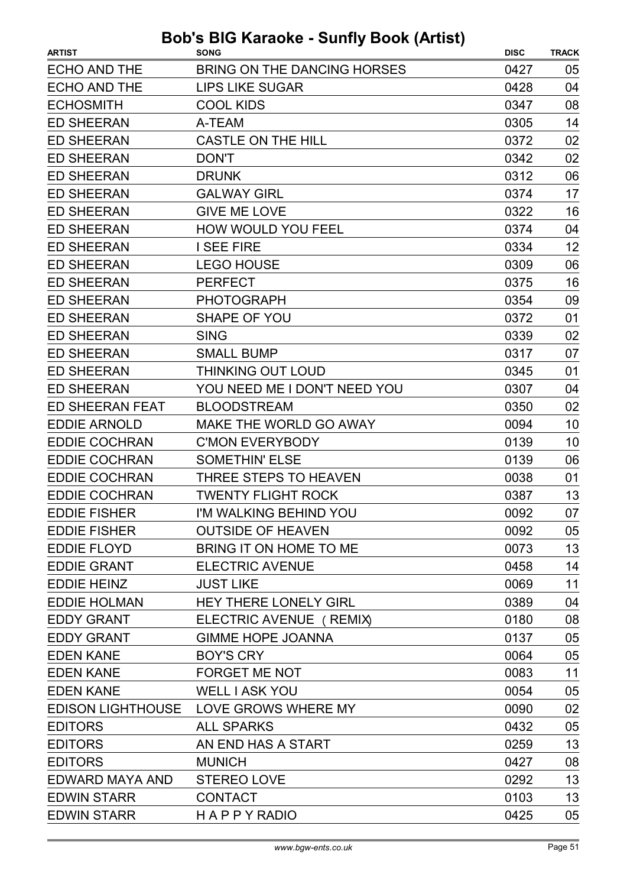|                                                             | <b>TRACK</b> |
|-------------------------------------------------------------|--------------|
| BRING ON THE DANCING HORSES<br><b>ECHO AND THE</b><br>0427  | 05           |
| <b>ECHO AND THE</b><br><b>LIPS LIKE SUGAR</b><br>0428       | 04           |
| <b>ECHOSMITH</b><br><b>COOL KIDS</b><br>0347                | 08           |
| <b>ED SHEERAN</b><br>A-TEAM<br>0305                         | 14           |
| <b>ED SHEERAN</b><br><b>CASTLE ON THE HILL</b><br>0372      | 02           |
| <b>ED SHEERAN</b><br><b>DON'T</b><br>0342                   | 02           |
| <b>ED SHEERAN</b><br><b>DRUNK</b><br>0312                   | 06           |
| <b>ED SHEERAN</b><br><b>GALWAY GIRL</b><br>0374             | 17           |
| <b>GIVE ME LOVE</b><br><b>ED SHEERAN</b><br>0322            | 16           |
| HOW WOULD YOU FEEL<br><b>ED SHEERAN</b><br>0374             | 04           |
| <b>ED SHEERAN</b><br><b>I SEE FIRE</b><br>0334              | 12           |
| <b>ED SHEERAN</b><br><b>LEGO HOUSE</b><br>0309              | 06           |
| <b>ED SHEERAN</b><br><b>PERFECT</b><br>0375                 | 16           |
| <b>ED SHEERAN</b><br><b>PHOTOGRAPH</b><br>0354              | 09           |
| <b>SHAPE OF YOU</b><br><b>ED SHEERAN</b><br>0372            | 01           |
| <b>ED SHEERAN</b><br><b>SING</b><br>0339                    | 02           |
| <b>ED SHEERAN</b><br><b>SMALL BUMP</b><br>0317              | 07           |
| <b>ED SHEERAN</b><br><b>THINKING OUT LOUD</b><br>0345       | 01           |
| <b>ED SHEERAN</b><br>YOU NEED ME I DON'T NEED YOU<br>0307   | 04           |
| <b>ED SHEERAN FEAT</b><br><b>BLOODSTREAM</b><br>0350        | 02           |
| <b>EDDIE ARNOLD</b><br>MAKE THE WORLD GO AWAY<br>0094       | 10           |
| <b>EDDIE COCHRAN</b><br><b>C'MON EVERYBODY</b><br>0139      | 10           |
| <b>SOMETHIN' ELSE</b><br><b>EDDIE COCHRAN</b><br>0139       | 06           |
| <b>EDDIE COCHRAN</b><br>THREE STEPS TO HEAVEN<br>0038       | 01           |
| <b>EDDIE COCHRAN</b><br><b>TWENTY FLIGHT ROCK</b><br>0387   | 13           |
| <b>EDDIE FISHER</b><br>I'M WALKING BEHIND YOU<br>0092       | 07           |
| <b>EDDIE FISHER</b><br><b>OUTSIDE OF HEAVEN</b><br>0092     | 05           |
| <b>EDDIE FLOYD</b><br>BRING IT ON HOME TO ME<br>0073        | 13           |
| <b>ELECTRIC AVENUE</b><br>0458<br><b>EDDIE GRANT</b>        | 14           |
| <b>EDDIE HEINZ</b><br><b>JUST LIKE</b><br>0069              | 11           |
| <b>EDDIE HOLMAN</b><br><b>HEY THERE LONELY GIRL</b><br>0389 | 04           |
| <b>EDDY GRANT</b><br>ELECTRIC AVENUE ( REMIX)<br>0180       | 08           |
| <b>EDDY GRANT</b><br><b>GIMME HOPE JOANNA</b><br>0137       | 05           |
| <b>EDEN KANE</b><br><b>BOY'S CRY</b><br>0064                | 05           |
| <b>EDEN KANE</b><br><b>FORGET ME NOT</b><br>0083            | 11           |
| <b>EDEN KANE</b><br><b>WELL I ASK YOU</b><br>0054           | 05           |
| <b>EDISON LIGHTHOUSE</b><br>LOVE GROWS WHERE MY<br>0090     | 02           |
| <b>EDITORS</b><br><b>ALL SPARKS</b><br>0432                 | 05           |
| <b>EDITORS</b><br>AN END HAS A START<br>0259                | 13           |
| <b>MUNICH</b><br><b>EDITORS</b><br>0427                     | 08           |
| EDWARD MAYA AND<br><b>STEREO LOVE</b><br>0292               | 13           |
| <b>EDWIN STARR</b><br><b>CONTACT</b><br>0103                | 13           |
| <b>EDWIN STARR</b><br><b>HAPPYRADIO</b><br>0425             | 05           |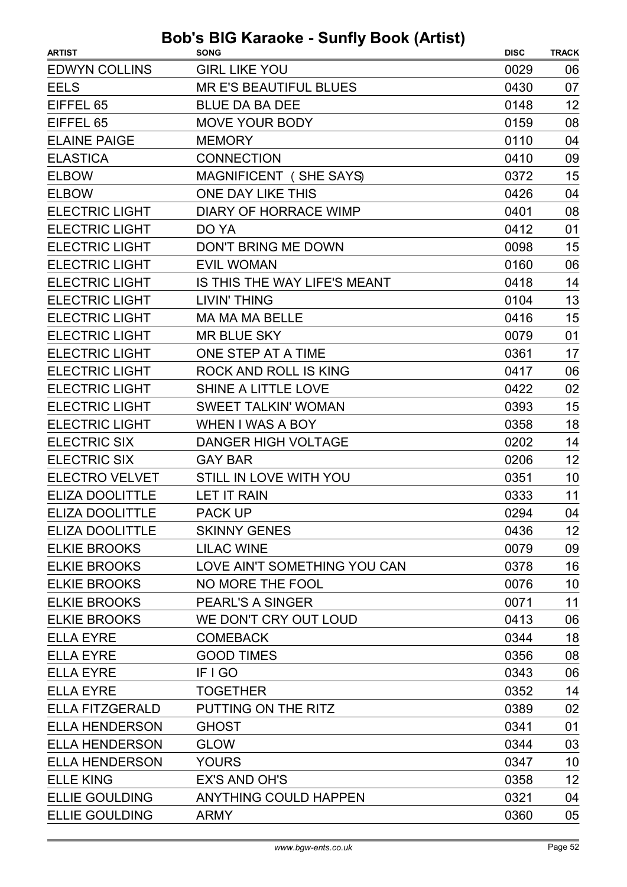| <b>EDWYN COLLINS</b><br><b>GIRL LIKE YOU</b><br>0029<br>06<br><b>EELS</b><br><b>MR E'S BEAUTIFUL BLUES</b><br>07<br>0430<br>12<br>EIFFEL 65<br><b>BLUE DA BA DEE</b><br>0148<br>08<br>EIFFEL 65<br><b>MOVE YOUR BODY</b><br>0159<br><b>ELAINE PAIGE</b><br><b>MEMORY</b><br>0110<br>04<br><b>ELASTICA</b><br><b>CONNECTION</b><br>09<br>0410<br>15<br><b>ELBOW</b><br>MAGNIFICENT (SHE SAYS)<br>0372<br>ONE DAY LIKE THIS<br>0426<br><b>ELBOW</b><br>04<br><b>ELECTRIC LIGHT</b><br><b>DIARY OF HORRACE WIMP</b><br>0401<br>08<br><b>ELECTRIC LIGHT</b><br>0412<br>01<br>DO YA<br><b>ELECTRIC LIGHT</b><br>15<br>DON'T BRING ME DOWN<br>0098<br>06<br><b>ELECTRIC LIGHT</b><br><b>EVIL WOMAN</b><br>0160<br><b>ELECTRIC LIGHT</b><br>14<br>IS THIS THE WAY LIFE'S MEANT<br>0418<br>13<br><b>ELECTRIC LIGHT</b><br><b>LIVIN' THING</b><br>0104<br><b>ELECTRIC LIGHT</b><br>15<br>MA MA MA BELLE<br>0416<br><b>ELECTRIC LIGHT</b><br><b>MR BLUE SKY</b><br>0079<br>01<br><b>ELECTRIC LIGHT</b><br>ONE STEP AT A TIME<br>17<br>0361<br><b>ELECTRIC LIGHT</b><br>ROCK AND ROLL IS KING<br>0417<br>06<br><b>ELECTRIC LIGHT</b><br><b>SHINE A LITTLE LOVE</b><br>02<br>0422<br><b>ELECTRIC LIGHT</b><br>15<br><b>SWEET TALKIN' WOMAN</b><br>0393<br><b>ELECTRIC LIGHT</b><br>18<br><b>WHEN I WAS A BOY</b><br>0358<br><b>ELECTRIC SIX</b><br><b>DANGER HIGH VOLTAGE</b><br>0202<br>14<br><b>ELECTRIC SIX</b><br>12<br>0206<br><b>GAY BAR</b><br><b>ELECTRO VELVET</b><br>10<br><b>STILL IN LOVE WITH YOU</b><br>0351<br>11<br><b>ELIZA DOOLITTLE</b><br><b>LET IT RAIN</b><br>0333<br><b>ELIZA DOOLITTLE</b><br>0294<br><b>PACK UP</b><br>04<br>12<br>ELIZA DOOLITTLE<br><b>SKINNY GENES</b><br>0436<br>09<br><b>ELKIE BROOKS</b><br><b>LILAC WINE</b><br>0079<br><b>ELKIE BROOKS</b><br>16<br>LOVE AIN'T SOMETHING YOU CAN<br>0378<br><b>ELKIE BROOKS</b><br><b>NO MORE THE FOOL</b><br>0076<br>10<br>11<br><b>ELKIE BROOKS</b><br><b>PEARL'S A SINGER</b><br>0071<br><b>ELKIE BROOKS</b><br>WE DON'T CRY OUT LOUD<br>0413<br>06<br>18<br><b>ELLA EYRE</b><br><b>COMEBACK</b><br>0344<br><b>GOOD TIMES</b><br>0356<br>08<br><b>ELLA EYRE</b><br><b>ELLA EYRE</b><br>IF I GO<br>0343<br>06<br><b>TOGETHER</b><br>0352<br>14<br><b>ELLA EYRE</b><br>PUTTING ON THE RITZ<br><b>ELLA FITZGERALD</b><br>0389<br>02<br>01<br><b>ELLA HENDERSON</b><br><b>GHOST</b><br>0341<br><b>ELLA HENDERSON</b><br><b>GLOW</b><br>03<br>0344<br><b>ELLA HENDERSON</b><br><b>YOURS</b><br>0347<br>10<br>12<br><b>ELLE KING</b><br><b>EX'S AND OH'S</b><br>0358<br><b>ELLIE GOULDING</b><br><b>ANYTHING COULD HAPPEN</b><br>0321<br>04<br><b>ELLIE GOULDING</b><br><b>ARMY</b><br>0360 | <b>ARTIST</b> | <b>SONG</b> | <b>DISC</b> | <b>TRACK</b> |
|---------------------------------------------------------------------------------------------------------------------------------------------------------------------------------------------------------------------------------------------------------------------------------------------------------------------------------------------------------------------------------------------------------------------------------------------------------------------------------------------------------------------------------------------------------------------------------------------------------------------------------------------------------------------------------------------------------------------------------------------------------------------------------------------------------------------------------------------------------------------------------------------------------------------------------------------------------------------------------------------------------------------------------------------------------------------------------------------------------------------------------------------------------------------------------------------------------------------------------------------------------------------------------------------------------------------------------------------------------------------------------------------------------------------------------------------------------------------------------------------------------------------------------------------------------------------------------------------------------------------------------------------------------------------------------------------------------------------------------------------------------------------------------------------------------------------------------------------------------------------------------------------------------------------------------------------------------------------------------------------------------------------------------------------------------------------------------------------------------------------------------------------------------------------------------------------------------------------------------------------------------------------------------------------------------------------------------------------------------------------------------------------------------------------------------------------------------------------------------------------------------------------------------------------------------------------------------------------------------------------------------------------------------------|---------------|-------------|-------------|--------------|
|                                                                                                                                                                                                                                                                                                                                                                                                                                                                                                                                                                                                                                                                                                                                                                                                                                                                                                                                                                                                                                                                                                                                                                                                                                                                                                                                                                                                                                                                                                                                                                                                                                                                                                                                                                                                                                                                                                                                                                                                                                                                                                                                                                                                                                                                                                                                                                                                                                                                                                                                                                                                                                                               |               |             |             |              |
|                                                                                                                                                                                                                                                                                                                                                                                                                                                                                                                                                                                                                                                                                                                                                                                                                                                                                                                                                                                                                                                                                                                                                                                                                                                                                                                                                                                                                                                                                                                                                                                                                                                                                                                                                                                                                                                                                                                                                                                                                                                                                                                                                                                                                                                                                                                                                                                                                                                                                                                                                                                                                                                               |               |             |             |              |
|                                                                                                                                                                                                                                                                                                                                                                                                                                                                                                                                                                                                                                                                                                                                                                                                                                                                                                                                                                                                                                                                                                                                                                                                                                                                                                                                                                                                                                                                                                                                                                                                                                                                                                                                                                                                                                                                                                                                                                                                                                                                                                                                                                                                                                                                                                                                                                                                                                                                                                                                                                                                                                                               |               |             |             |              |
|                                                                                                                                                                                                                                                                                                                                                                                                                                                                                                                                                                                                                                                                                                                                                                                                                                                                                                                                                                                                                                                                                                                                                                                                                                                                                                                                                                                                                                                                                                                                                                                                                                                                                                                                                                                                                                                                                                                                                                                                                                                                                                                                                                                                                                                                                                                                                                                                                                                                                                                                                                                                                                                               |               |             |             |              |
|                                                                                                                                                                                                                                                                                                                                                                                                                                                                                                                                                                                                                                                                                                                                                                                                                                                                                                                                                                                                                                                                                                                                                                                                                                                                                                                                                                                                                                                                                                                                                                                                                                                                                                                                                                                                                                                                                                                                                                                                                                                                                                                                                                                                                                                                                                                                                                                                                                                                                                                                                                                                                                                               |               |             |             |              |
|                                                                                                                                                                                                                                                                                                                                                                                                                                                                                                                                                                                                                                                                                                                                                                                                                                                                                                                                                                                                                                                                                                                                                                                                                                                                                                                                                                                                                                                                                                                                                                                                                                                                                                                                                                                                                                                                                                                                                                                                                                                                                                                                                                                                                                                                                                                                                                                                                                                                                                                                                                                                                                                               |               |             |             |              |
|                                                                                                                                                                                                                                                                                                                                                                                                                                                                                                                                                                                                                                                                                                                                                                                                                                                                                                                                                                                                                                                                                                                                                                                                                                                                                                                                                                                                                                                                                                                                                                                                                                                                                                                                                                                                                                                                                                                                                                                                                                                                                                                                                                                                                                                                                                                                                                                                                                                                                                                                                                                                                                                               |               |             |             |              |
|                                                                                                                                                                                                                                                                                                                                                                                                                                                                                                                                                                                                                                                                                                                                                                                                                                                                                                                                                                                                                                                                                                                                                                                                                                                                                                                                                                                                                                                                                                                                                                                                                                                                                                                                                                                                                                                                                                                                                                                                                                                                                                                                                                                                                                                                                                                                                                                                                                                                                                                                                                                                                                                               |               |             |             |              |
|                                                                                                                                                                                                                                                                                                                                                                                                                                                                                                                                                                                                                                                                                                                                                                                                                                                                                                                                                                                                                                                                                                                                                                                                                                                                                                                                                                                                                                                                                                                                                                                                                                                                                                                                                                                                                                                                                                                                                                                                                                                                                                                                                                                                                                                                                                                                                                                                                                                                                                                                                                                                                                                               |               |             |             |              |
|                                                                                                                                                                                                                                                                                                                                                                                                                                                                                                                                                                                                                                                                                                                                                                                                                                                                                                                                                                                                                                                                                                                                                                                                                                                                                                                                                                                                                                                                                                                                                                                                                                                                                                                                                                                                                                                                                                                                                                                                                                                                                                                                                                                                                                                                                                                                                                                                                                                                                                                                                                                                                                                               |               |             |             |              |
|                                                                                                                                                                                                                                                                                                                                                                                                                                                                                                                                                                                                                                                                                                                                                                                                                                                                                                                                                                                                                                                                                                                                                                                                                                                                                                                                                                                                                                                                                                                                                                                                                                                                                                                                                                                                                                                                                                                                                                                                                                                                                                                                                                                                                                                                                                                                                                                                                                                                                                                                                                                                                                                               |               |             |             |              |
|                                                                                                                                                                                                                                                                                                                                                                                                                                                                                                                                                                                                                                                                                                                                                                                                                                                                                                                                                                                                                                                                                                                                                                                                                                                                                                                                                                                                                                                                                                                                                                                                                                                                                                                                                                                                                                                                                                                                                                                                                                                                                                                                                                                                                                                                                                                                                                                                                                                                                                                                                                                                                                                               |               |             |             |              |
|                                                                                                                                                                                                                                                                                                                                                                                                                                                                                                                                                                                                                                                                                                                                                                                                                                                                                                                                                                                                                                                                                                                                                                                                                                                                                                                                                                                                                                                                                                                                                                                                                                                                                                                                                                                                                                                                                                                                                                                                                                                                                                                                                                                                                                                                                                                                                                                                                                                                                                                                                                                                                                                               |               |             |             |              |
|                                                                                                                                                                                                                                                                                                                                                                                                                                                                                                                                                                                                                                                                                                                                                                                                                                                                                                                                                                                                                                                                                                                                                                                                                                                                                                                                                                                                                                                                                                                                                                                                                                                                                                                                                                                                                                                                                                                                                                                                                                                                                                                                                                                                                                                                                                                                                                                                                                                                                                                                                                                                                                                               |               |             |             |              |
|                                                                                                                                                                                                                                                                                                                                                                                                                                                                                                                                                                                                                                                                                                                                                                                                                                                                                                                                                                                                                                                                                                                                                                                                                                                                                                                                                                                                                                                                                                                                                                                                                                                                                                                                                                                                                                                                                                                                                                                                                                                                                                                                                                                                                                                                                                                                                                                                                                                                                                                                                                                                                                                               |               |             |             |              |
|                                                                                                                                                                                                                                                                                                                                                                                                                                                                                                                                                                                                                                                                                                                                                                                                                                                                                                                                                                                                                                                                                                                                                                                                                                                                                                                                                                                                                                                                                                                                                                                                                                                                                                                                                                                                                                                                                                                                                                                                                                                                                                                                                                                                                                                                                                                                                                                                                                                                                                                                                                                                                                                               |               |             |             |              |
|                                                                                                                                                                                                                                                                                                                                                                                                                                                                                                                                                                                                                                                                                                                                                                                                                                                                                                                                                                                                                                                                                                                                                                                                                                                                                                                                                                                                                                                                                                                                                                                                                                                                                                                                                                                                                                                                                                                                                                                                                                                                                                                                                                                                                                                                                                                                                                                                                                                                                                                                                                                                                                                               |               |             |             |              |
|                                                                                                                                                                                                                                                                                                                                                                                                                                                                                                                                                                                                                                                                                                                                                                                                                                                                                                                                                                                                                                                                                                                                                                                                                                                                                                                                                                                                                                                                                                                                                                                                                                                                                                                                                                                                                                                                                                                                                                                                                                                                                                                                                                                                                                                                                                                                                                                                                                                                                                                                                                                                                                                               |               |             |             |              |
|                                                                                                                                                                                                                                                                                                                                                                                                                                                                                                                                                                                                                                                                                                                                                                                                                                                                                                                                                                                                                                                                                                                                                                                                                                                                                                                                                                                                                                                                                                                                                                                                                                                                                                                                                                                                                                                                                                                                                                                                                                                                                                                                                                                                                                                                                                                                                                                                                                                                                                                                                                                                                                                               |               |             |             |              |
|                                                                                                                                                                                                                                                                                                                                                                                                                                                                                                                                                                                                                                                                                                                                                                                                                                                                                                                                                                                                                                                                                                                                                                                                                                                                                                                                                                                                                                                                                                                                                                                                                                                                                                                                                                                                                                                                                                                                                                                                                                                                                                                                                                                                                                                                                                                                                                                                                                                                                                                                                                                                                                                               |               |             |             |              |
|                                                                                                                                                                                                                                                                                                                                                                                                                                                                                                                                                                                                                                                                                                                                                                                                                                                                                                                                                                                                                                                                                                                                                                                                                                                                                                                                                                                                                                                                                                                                                                                                                                                                                                                                                                                                                                                                                                                                                                                                                                                                                                                                                                                                                                                                                                                                                                                                                                                                                                                                                                                                                                                               |               |             |             |              |
|                                                                                                                                                                                                                                                                                                                                                                                                                                                                                                                                                                                                                                                                                                                                                                                                                                                                                                                                                                                                                                                                                                                                                                                                                                                                                                                                                                                                                                                                                                                                                                                                                                                                                                                                                                                                                                                                                                                                                                                                                                                                                                                                                                                                                                                                                                                                                                                                                                                                                                                                                                                                                                                               |               |             |             |              |
|                                                                                                                                                                                                                                                                                                                                                                                                                                                                                                                                                                                                                                                                                                                                                                                                                                                                                                                                                                                                                                                                                                                                                                                                                                                                                                                                                                                                                                                                                                                                                                                                                                                                                                                                                                                                                                                                                                                                                                                                                                                                                                                                                                                                                                                                                                                                                                                                                                                                                                                                                                                                                                                               |               |             |             |              |
|                                                                                                                                                                                                                                                                                                                                                                                                                                                                                                                                                                                                                                                                                                                                                                                                                                                                                                                                                                                                                                                                                                                                                                                                                                                                                                                                                                                                                                                                                                                                                                                                                                                                                                                                                                                                                                                                                                                                                                                                                                                                                                                                                                                                                                                                                                                                                                                                                                                                                                                                                                                                                                                               |               |             |             |              |
|                                                                                                                                                                                                                                                                                                                                                                                                                                                                                                                                                                                                                                                                                                                                                                                                                                                                                                                                                                                                                                                                                                                                                                                                                                                                                                                                                                                                                                                                                                                                                                                                                                                                                                                                                                                                                                                                                                                                                                                                                                                                                                                                                                                                                                                                                                                                                                                                                                                                                                                                                                                                                                                               |               |             |             |              |
|                                                                                                                                                                                                                                                                                                                                                                                                                                                                                                                                                                                                                                                                                                                                                                                                                                                                                                                                                                                                                                                                                                                                                                                                                                                                                                                                                                                                                                                                                                                                                                                                                                                                                                                                                                                                                                                                                                                                                                                                                                                                                                                                                                                                                                                                                                                                                                                                                                                                                                                                                                                                                                                               |               |             |             |              |
|                                                                                                                                                                                                                                                                                                                                                                                                                                                                                                                                                                                                                                                                                                                                                                                                                                                                                                                                                                                                                                                                                                                                                                                                                                                                                                                                                                                                                                                                                                                                                                                                                                                                                                                                                                                                                                                                                                                                                                                                                                                                                                                                                                                                                                                                                                                                                                                                                                                                                                                                                                                                                                                               |               |             |             |              |
|                                                                                                                                                                                                                                                                                                                                                                                                                                                                                                                                                                                                                                                                                                                                                                                                                                                                                                                                                                                                                                                                                                                                                                                                                                                                                                                                                                                                                                                                                                                                                                                                                                                                                                                                                                                                                                                                                                                                                                                                                                                                                                                                                                                                                                                                                                                                                                                                                                                                                                                                                                                                                                                               |               |             |             |              |
|                                                                                                                                                                                                                                                                                                                                                                                                                                                                                                                                                                                                                                                                                                                                                                                                                                                                                                                                                                                                                                                                                                                                                                                                                                                                                                                                                                                                                                                                                                                                                                                                                                                                                                                                                                                                                                                                                                                                                                                                                                                                                                                                                                                                                                                                                                                                                                                                                                                                                                                                                                                                                                                               |               |             |             |              |
|                                                                                                                                                                                                                                                                                                                                                                                                                                                                                                                                                                                                                                                                                                                                                                                                                                                                                                                                                                                                                                                                                                                                                                                                                                                                                                                                                                                                                                                                                                                                                                                                                                                                                                                                                                                                                                                                                                                                                                                                                                                                                                                                                                                                                                                                                                                                                                                                                                                                                                                                                                                                                                                               |               |             |             |              |
|                                                                                                                                                                                                                                                                                                                                                                                                                                                                                                                                                                                                                                                                                                                                                                                                                                                                                                                                                                                                                                                                                                                                                                                                                                                                                                                                                                                                                                                                                                                                                                                                                                                                                                                                                                                                                                                                                                                                                                                                                                                                                                                                                                                                                                                                                                                                                                                                                                                                                                                                                                                                                                                               |               |             |             |              |
|                                                                                                                                                                                                                                                                                                                                                                                                                                                                                                                                                                                                                                                                                                                                                                                                                                                                                                                                                                                                                                                                                                                                                                                                                                                                                                                                                                                                                                                                                                                                                                                                                                                                                                                                                                                                                                                                                                                                                                                                                                                                                                                                                                                                                                                                                                                                                                                                                                                                                                                                                                                                                                                               |               |             |             |              |
|                                                                                                                                                                                                                                                                                                                                                                                                                                                                                                                                                                                                                                                                                                                                                                                                                                                                                                                                                                                                                                                                                                                                                                                                                                                                                                                                                                                                                                                                                                                                                                                                                                                                                                                                                                                                                                                                                                                                                                                                                                                                                                                                                                                                                                                                                                                                                                                                                                                                                                                                                                                                                                                               |               |             |             |              |
|                                                                                                                                                                                                                                                                                                                                                                                                                                                                                                                                                                                                                                                                                                                                                                                                                                                                                                                                                                                                                                                                                                                                                                                                                                                                                                                                                                                                                                                                                                                                                                                                                                                                                                                                                                                                                                                                                                                                                                                                                                                                                                                                                                                                                                                                                                                                                                                                                                                                                                                                                                                                                                                               |               |             |             |              |
|                                                                                                                                                                                                                                                                                                                                                                                                                                                                                                                                                                                                                                                                                                                                                                                                                                                                                                                                                                                                                                                                                                                                                                                                                                                                                                                                                                                                                                                                                                                                                                                                                                                                                                                                                                                                                                                                                                                                                                                                                                                                                                                                                                                                                                                                                                                                                                                                                                                                                                                                                                                                                                                               |               |             |             |              |
|                                                                                                                                                                                                                                                                                                                                                                                                                                                                                                                                                                                                                                                                                                                                                                                                                                                                                                                                                                                                                                                                                                                                                                                                                                                                                                                                                                                                                                                                                                                                                                                                                                                                                                                                                                                                                                                                                                                                                                                                                                                                                                                                                                                                                                                                                                                                                                                                                                                                                                                                                                                                                                                               |               |             |             |              |
|                                                                                                                                                                                                                                                                                                                                                                                                                                                                                                                                                                                                                                                                                                                                                                                                                                                                                                                                                                                                                                                                                                                                                                                                                                                                                                                                                                                                                                                                                                                                                                                                                                                                                                                                                                                                                                                                                                                                                                                                                                                                                                                                                                                                                                                                                                                                                                                                                                                                                                                                                                                                                                                               |               |             |             |              |
|                                                                                                                                                                                                                                                                                                                                                                                                                                                                                                                                                                                                                                                                                                                                                                                                                                                                                                                                                                                                                                                                                                                                                                                                                                                                                                                                                                                                                                                                                                                                                                                                                                                                                                                                                                                                                                                                                                                                                                                                                                                                                                                                                                                                                                                                                                                                                                                                                                                                                                                                                                                                                                                               |               |             |             |              |
|                                                                                                                                                                                                                                                                                                                                                                                                                                                                                                                                                                                                                                                                                                                                                                                                                                                                                                                                                                                                                                                                                                                                                                                                                                                                                                                                                                                                                                                                                                                                                                                                                                                                                                                                                                                                                                                                                                                                                                                                                                                                                                                                                                                                                                                                                                                                                                                                                                                                                                                                                                                                                                                               |               |             |             |              |
|                                                                                                                                                                                                                                                                                                                                                                                                                                                                                                                                                                                                                                                                                                                                                                                                                                                                                                                                                                                                                                                                                                                                                                                                                                                                                                                                                                                                                                                                                                                                                                                                                                                                                                                                                                                                                                                                                                                                                                                                                                                                                                                                                                                                                                                                                                                                                                                                                                                                                                                                                                                                                                                               |               |             |             |              |
|                                                                                                                                                                                                                                                                                                                                                                                                                                                                                                                                                                                                                                                                                                                                                                                                                                                                                                                                                                                                                                                                                                                                                                                                                                                                                                                                                                                                                                                                                                                                                                                                                                                                                                                                                                                                                                                                                                                                                                                                                                                                                                                                                                                                                                                                                                                                                                                                                                                                                                                                                                                                                                                               |               |             |             |              |
|                                                                                                                                                                                                                                                                                                                                                                                                                                                                                                                                                                                                                                                                                                                                                                                                                                                                                                                                                                                                                                                                                                                                                                                                                                                                                                                                                                                                                                                                                                                                                                                                                                                                                                                                                                                                                                                                                                                                                                                                                                                                                                                                                                                                                                                                                                                                                                                                                                                                                                                                                                                                                                                               |               |             |             |              |
|                                                                                                                                                                                                                                                                                                                                                                                                                                                                                                                                                                                                                                                                                                                                                                                                                                                                                                                                                                                                                                                                                                                                                                                                                                                                                                                                                                                                                                                                                                                                                                                                                                                                                                                                                                                                                                                                                                                                                                                                                                                                                                                                                                                                                                                                                                                                                                                                                                                                                                                                                                                                                                                               |               |             |             | 05           |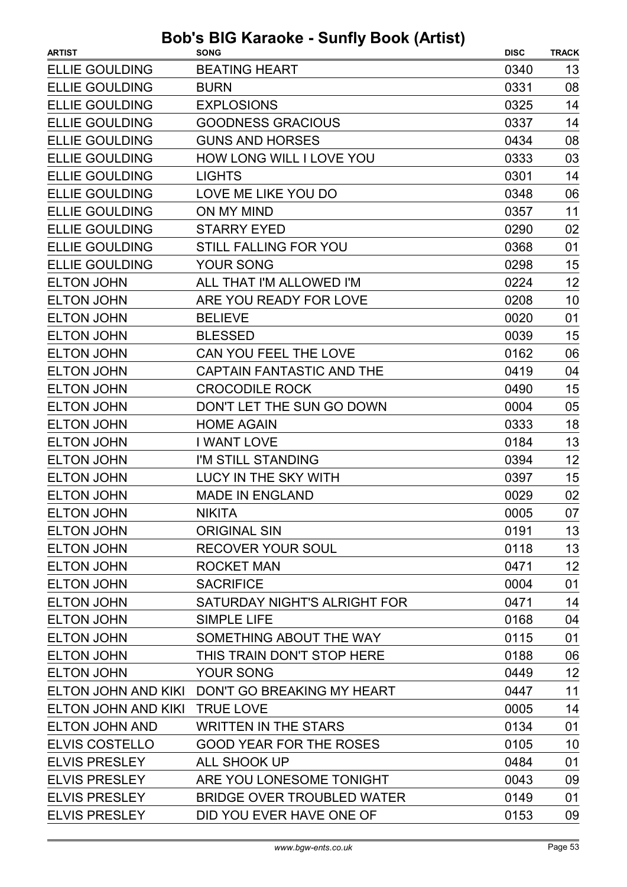| <b>ARTIST</b>         | <b>SONG</b>                                    | <b>DISC</b> | <b>TRACK</b> |
|-----------------------|------------------------------------------------|-------------|--------------|
| <b>ELLIE GOULDING</b> | <b>BEATING HEART</b>                           | 0340        | 13           |
| <b>ELLIE GOULDING</b> | <b>BURN</b>                                    | 0331        | 08           |
| <b>ELLIE GOULDING</b> | <b>EXPLOSIONS</b>                              | 0325        | 14           |
| <b>ELLIE GOULDING</b> | <b>GOODNESS GRACIOUS</b>                       | 0337        | 14           |
| <b>ELLIE GOULDING</b> | <b>GUNS AND HORSES</b>                         | 0434        | 08           |
| <b>ELLIE GOULDING</b> | HOW LONG WILL I LOVE YOU                       | 0333        | 03           |
| <b>ELLIE GOULDING</b> | <b>LIGHTS</b>                                  | 0301        | 14           |
| <b>ELLIE GOULDING</b> | LOVE ME LIKE YOU DO                            | 0348        | 06           |
| <b>ELLIE GOULDING</b> | ON MY MIND                                     | 0357        | 11           |
| <b>ELLIE GOULDING</b> | <b>STARRY EYED</b>                             | 0290        | 02           |
| <b>ELLIE GOULDING</b> | STILL FALLING FOR YOU                          | 0368        | 01           |
| <b>ELLIE GOULDING</b> | <b>YOUR SONG</b>                               | 0298        | 15           |
| <b>ELTON JOHN</b>     | ALL THAT I'M ALLOWED I'M                       | 0224        | 12           |
| <b>ELTON JOHN</b>     | ARE YOU READY FOR LOVE                         | 0208        | 10           |
| <b>ELTON JOHN</b>     | <b>BELIEVE</b>                                 | 0020        | 01           |
| <b>ELTON JOHN</b>     | <b>BLESSED</b>                                 | 0039        | 15           |
| <b>ELTON JOHN</b>     | CAN YOU FEEL THE LOVE                          | 0162        | 06           |
| <b>ELTON JOHN</b>     | <b>CAPTAIN FANTASTIC AND THE</b>               | 0419        | 04           |
| <b>ELTON JOHN</b>     | <b>CROCODILE ROCK</b>                          | 0490        | 15           |
| <b>ELTON JOHN</b>     | DON'T LET THE SUN GO DOWN                      | 0004        | 05           |
| <b>ELTON JOHN</b>     | <b>HOME AGAIN</b>                              | 0333        | 18           |
| <b>ELTON JOHN</b>     | <b>I WANT LOVE</b>                             | 0184        | 13           |
| <b>ELTON JOHN</b>     | I'M STILL STANDING                             | 0394        | 12           |
| <b>ELTON JOHN</b>     | <b>LUCY IN THE SKY WITH</b>                    | 0397        | 15           |
| <b>ELTON JOHN</b>     | <b>MADE IN ENGLAND</b>                         | 0029        | 02           |
| <b>ELTON JOHN</b>     | <b>NIKITA</b>                                  | 0005        | 07           |
| <b>ELTON JOHN</b>     | <b>ORIGINAL SIN</b>                            | 0191        | 13           |
| <b>ELTON JOHN</b>     | <b>RECOVER YOUR SOUL</b>                       | 0118        | 13           |
| <b>ELTON JOHN</b>     | <b>ROCKET MAN</b>                              | 0471        | 12           |
| <b>ELTON JOHN</b>     | <b>SACRIFICE</b>                               | 0004        | 01           |
| <b>ELTON JOHN</b>     | SATURDAY NIGHT'S ALRIGHT FOR                   | 0471        | 14           |
| <b>ELTON JOHN</b>     | <b>SIMPLE LIFE</b>                             | 0168        | 04           |
| <b>ELTON JOHN</b>     | SOMETHING ABOUT THE WAY                        | 0115        | 01           |
| <b>ELTON JOHN</b>     | THIS TRAIN DON'T STOP HERE                     | 0188        | 06           |
| <b>ELTON JOHN</b>     | YOUR SONG                                      | 0449        | 12           |
|                       | ELTON JOHN AND KIKI DON'T GO BREAKING MY HEART | 0447        | 11           |
| ELTON JOHN AND KIKI   | <b>TRUE LOVE</b>                               | 0005        | 14           |
| <b>ELTON JOHN AND</b> | <b>WRITTEN IN THE STARS</b>                    | 0134        | 01           |
| <b>ELVIS COSTELLO</b> | <b>GOOD YEAR FOR THE ROSES</b>                 | 0105        | 10           |
| <b>ELVIS PRESLEY</b>  | <b>ALL SHOOK UP</b>                            | 0484        | 01           |
| <b>ELVIS PRESLEY</b>  | ARE YOU LONESOME TONIGHT                       | 0043        | 09           |
| <b>ELVIS PRESLEY</b>  | <b>BRIDGE OVER TROUBLED WATER</b>              | 0149        | 01           |
| <b>ELVIS PRESLEY</b>  | DID YOU EVER HAVE ONE OF                       | 0153        | 09           |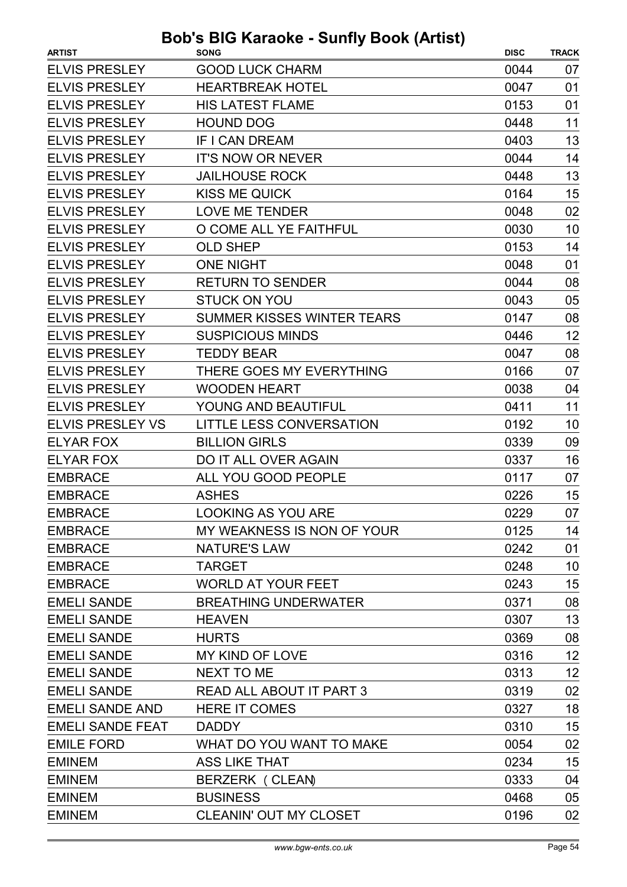| <b>ARTIST</b>           | <b>SONG</b>                       | <b>DISC</b> | <b>TRACK</b> |
|-------------------------|-----------------------------------|-------------|--------------|
| <b>ELVIS PRESLEY</b>    | <b>GOOD LUCK CHARM</b>            | 0044        | 07           |
| <b>ELVIS PRESLEY</b>    | <b>HEARTBREAK HOTEL</b>           | 0047        | 01           |
| <b>ELVIS PRESLEY</b>    | <b>HIS LATEST FLAME</b>           | 0153        | 01           |
| <b>ELVIS PRESLEY</b>    | <b>HOUND DOG</b>                  | 0448        | 11           |
| <b>ELVIS PRESLEY</b>    | IF I CAN DREAM                    | 0403        | 13           |
| <b>ELVIS PRESLEY</b>    | <b>IT'S NOW OR NEVER</b>          | 0044        | 14           |
| <b>ELVIS PRESLEY</b>    | <b>JAILHOUSE ROCK</b>             | 0448        | 13           |
| <b>ELVIS PRESLEY</b>    | <b>KISS ME QUICK</b>              | 0164        | 15           |
| <b>ELVIS PRESLEY</b>    | <b>LOVE ME TENDER</b>             | 0048        | 02           |
| <b>ELVIS PRESLEY</b>    | O COME ALL YE FAITHFUL            | 0030        | 10           |
| <b>ELVIS PRESLEY</b>    | <b>OLD SHEP</b>                   | 0153        | 14           |
| <b>ELVIS PRESLEY</b>    | <b>ONE NIGHT</b>                  | 0048        | 01           |
| <b>ELVIS PRESLEY</b>    | <b>RETURN TO SENDER</b>           | 0044        | 08           |
| <b>ELVIS PRESLEY</b>    | <b>STUCK ON YOU</b>               | 0043        | 05           |
| <b>ELVIS PRESLEY</b>    | <b>SUMMER KISSES WINTER TEARS</b> | 0147        | 08           |
| <b>ELVIS PRESLEY</b>    | <b>SUSPICIOUS MINDS</b>           | 0446        | 12           |
| <b>ELVIS PRESLEY</b>    | TEDDY BEAR                        | 0047        | 08           |
| <b>ELVIS PRESLEY</b>    | THERE GOES MY EVERYTHING          | 0166        | 07           |
| <b>ELVIS PRESLEY</b>    | <b>WOODEN HEART</b>               | 0038        | 04           |
| <b>ELVIS PRESLEY</b>    | YOUNG AND BEAUTIFUL               | 0411        | 11           |
| <b>ELVIS PRESLEY VS</b> | LITTLE LESS CONVERSATION          | 0192        | 10           |
| <b>ELYAR FOX</b>        | <b>BILLION GIRLS</b>              | 0339        | 09           |
| <b>ELYAR FOX</b>        | DO IT ALL OVER AGAIN              | 0337        | 16           |
| <b>EMBRACE</b>          | ALL YOU GOOD PEOPLE               | 0117        | 07           |
| <b>EMBRACE</b>          | <b>ASHES</b>                      | 0226        | 15           |
| <b>EMBRACE</b>          | LOOKING AS YOU ARE                | 0229        | 07           |
| <b>EMBRACE</b>          | MY WEAKNESS IS NON OF YOUR        | 0125        | 14           |
| <b>EMBRACE</b>          | <b>NATURE'S LAW</b>               | 0242        | 01           |
| <b>EMBRACE</b>          | <b>TARGET</b>                     | 0248        | 10           |
| <b>EMBRACE</b>          | <b>WORLD AT YOUR FEET</b>         | 0243        | 15           |
| <b>EMELI SANDE</b>      | <b>BREATHING UNDERWATER</b>       | 0371        | 08           |
| <b>EMELI SANDE</b>      | <b>HEAVEN</b>                     | 0307        | 13           |
| <b>EMELI SANDE</b>      | <b>HURTS</b>                      | 0369        | 08           |
| <b>EMELI SANDE</b>      | MY KIND OF LOVE                   | 0316        | 12           |
| <b>EMELI SANDE</b>      | NEXT TO ME                        | 0313        | 12           |
| <b>EMELI SANDE</b>      | READ ALL ABOUT IT PART 3          | 0319        | 02           |
| <b>EMELI SANDE AND</b>  | <b>HERE IT COMES</b>              | 0327        | 18           |
| <b>EMELI SANDE FEAT</b> | <b>DADDY</b>                      | 0310        | 15           |
| <b>EMILE FORD</b>       | WHAT DO YOU WANT TO MAKE          | 0054        | 02           |
| <b>EMINEM</b>           | <b>ASS LIKE THAT</b>              | 0234        | 15           |
| <b>EMINEM</b>           | BERZERK (CLEAN)                   | 0333        | 04           |
| <b>EMINEM</b>           | <b>BUSINESS</b>                   | 0468        | 05           |
| <b>EMINEM</b>           | CLEANIN' OUT MY CLOSET            | 0196        | 02           |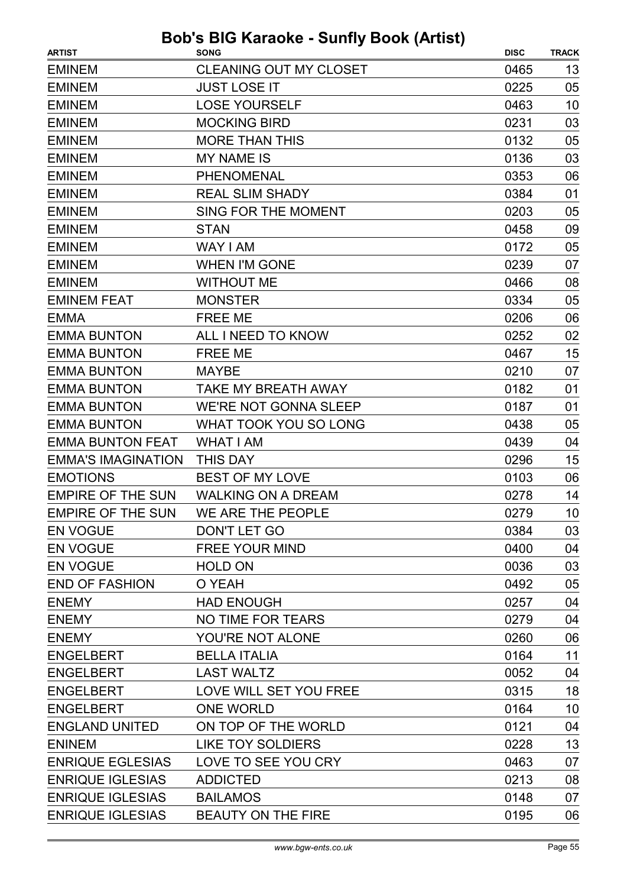| <b>ARTIST</b>             | <b>SONG</b>                   | <b>DISC</b> | <b>TRACK</b> |
|---------------------------|-------------------------------|-------------|--------------|
| <b>EMINEM</b>             | <b>CLEANING OUT MY CLOSET</b> | 0465        | 13           |
| <b>EMINEM</b>             | <b>JUST LOSE IT</b>           | 0225        | 05           |
| <b>EMINEM</b>             | <b>LOSE YOURSELF</b>          | 0463        | 10           |
| <b>EMINEM</b>             | <b>MOCKING BIRD</b>           | 0231        | 03           |
| <b>EMINEM</b>             | <b>MORE THAN THIS</b>         | 0132        | 05           |
| <b>EMINEM</b>             | <b>MY NAME IS</b>             | 0136        | 03           |
| <b>EMINEM</b>             | <b>PHENOMENAL</b>             | 0353        | 06           |
| <b>EMINEM</b>             | <b>REAL SLIM SHADY</b>        | 0384        | 01           |
| <b>EMINEM</b>             | SING FOR THE MOMENT           | 0203        | 05           |
| <b>EMINEM</b>             | <b>STAN</b>                   | 0458        | 09           |
| <b>EMINEM</b>             | WAY I AM                      | 0172        | 05           |
| <b>EMINEM</b>             | <b>WHEN I'M GONE</b>          | 0239        | 07           |
| <b>EMINEM</b>             | <b>WITHOUT ME</b>             | 0466        | 08           |
| <b>EMINEM FEAT</b>        | <b>MONSTER</b>                | 0334        | 05           |
| <b>EMMA</b>               | <b>FREE ME</b>                | 0206        | 06           |
| <b>EMMA BUNTON</b>        | ALL I NEED TO KNOW            | 0252        | 02           |
| <b>EMMA BUNTON</b>        | <b>FREE ME</b>                | 0467        | 15           |
| <b>EMMA BUNTON</b>        | <b>MAYBE</b>                  | 0210        | 07           |
| <b>EMMA BUNTON</b>        | TAKE MY BREATH AWAY           | 0182        | 01           |
| <b>EMMA BUNTON</b>        | <b>WE'RE NOT GONNA SLEEP</b>  | 0187        | 01           |
| <b>EMMA BUNTON</b>        | <b>WHAT TOOK YOU SO LONG</b>  | 0438        | 05           |
| <b>EMMA BUNTON FEAT</b>   | <b>WHAT I AM</b>              | 0439        | 04           |
| <b>EMMA'S IMAGINATION</b> | <b>THIS DAY</b>               | 0296        | 15           |
| <b>EMOTIONS</b>           | <b>BEST OF MY LOVE</b>        | 0103        | 06           |
| <b>EMPIRE OF THE SUN</b>  | <b>WALKING ON A DREAM</b>     | 0278        | 14           |
| <b>EMPIRE OF THE SUN</b>  | WE ARE THE PEOPLE             | 0279        | 10           |
| <b>EN VOGUE</b>           | DON'T LET GO                  | 0384        | 03           |
| <b>EN VOGUE</b>           | <b>FREE YOUR MIND</b>         | 0400        | 04           |
| <b>EN VOGUE</b>           | <b>HOLD ON</b>                | 0036        | 03           |
| <b>END OF FASHION</b>     | O YEAH                        | 0492        | 05           |
| <b>ENEMY</b>              | <b>HAD ENOUGH</b>             | 0257        | 04           |
| <b>ENEMY</b>              | NO TIME FOR TEARS             | 0279        | 04           |
| <b>ENEMY</b>              | YOU'RE NOT ALONE              | 0260        | 06           |
| <b>ENGELBERT</b>          | <b>BELLA ITALIA</b>           | 0164        | 11           |
| <b>ENGELBERT</b>          | <b>LAST WALTZ</b>             | 0052        | 04           |
| <b>ENGELBERT</b>          | LOVE WILL SET YOU FREE        | 0315        | 18           |
| <b>ENGELBERT</b>          | <b>ONE WORLD</b>              | 0164        | 10           |
| <b>ENGLAND UNITED</b>     | ON TOP OF THE WORLD           | 0121        | 04           |
| <b>ENINEM</b>             | <b>LIKE TOY SOLDIERS</b>      | 0228        | 13           |
| <b>ENRIQUE EGLESIAS</b>   | LOVE TO SEE YOU CRY           | 0463        | 07           |
| <b>ENRIQUE IGLESIAS</b>   | <b>ADDICTED</b>               | 0213        | 08           |
| <b>ENRIQUE IGLESIAS</b>   | <b>BAILAMOS</b>               | 0148        | 07           |
| <b>ENRIQUE IGLESIAS</b>   | BEAUTY ON THE FIRE            | 0195        | 06           |
|                           |                               |             |              |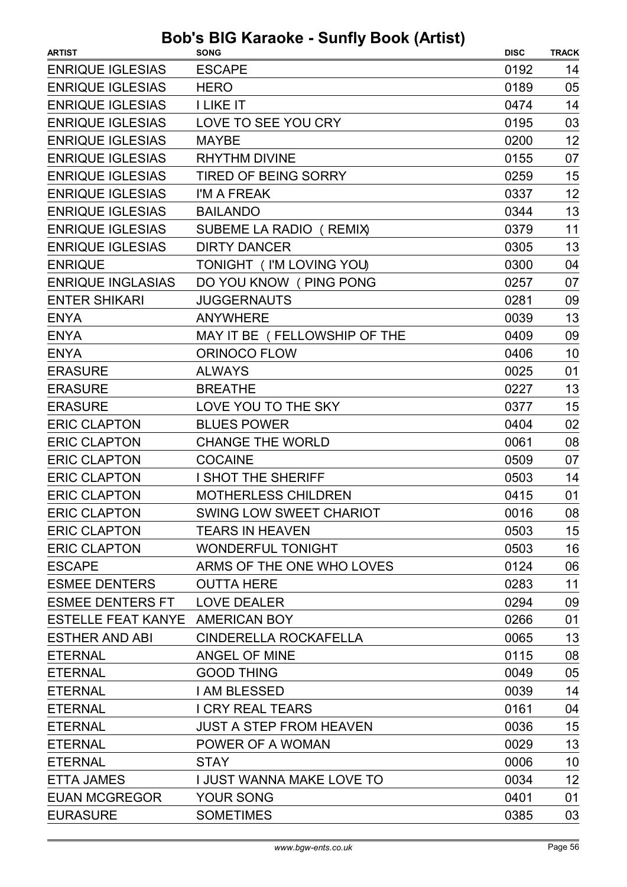| <b>ARTIST</b>                   | <b>DUD 3 DIO RAIGURE - JUINTY DUUR (AILIJI)</b><br><b>SONG</b> | <b>DISC</b> | <b>TRACK</b> |
|---------------------------------|----------------------------------------------------------------|-------------|--------------|
| <b>ENRIQUE IGLESIAS</b>         | <b>ESCAPE</b>                                                  | 0192        | 14           |
| <b>ENRIQUE IGLESIAS</b>         | <b>HERO</b>                                                    | 0189        | 05           |
| <b>ENRIQUE IGLESIAS</b>         | <b>I LIKE IT</b>                                               | 0474        | 14           |
| <b>ENRIQUE IGLESIAS</b>         | LOVE TO SEE YOU CRY                                            | 0195        | 03           |
| <b>ENRIQUE IGLESIAS</b>         | <b>MAYBE</b>                                                   | 0200        | 12           |
| <b>ENRIQUE IGLESIAS</b>         | <b>RHYTHM DIVINE</b>                                           | 0155        | 07           |
| <b>ENRIQUE IGLESIAS</b>         | <b>TIRED OF BEING SORRY</b>                                    | 0259        | 15           |
| <b>ENRIQUE IGLESIAS</b>         | I'M A FREAK                                                    | 0337        | 12           |
| <b>ENRIQUE IGLESIAS</b>         | <b>BAILANDO</b>                                                | 0344        | 13           |
| <b>ENRIQUE IGLESIAS</b>         | SUBEME LA RADIO (REMIX)                                        | 0379        | 11           |
| <b>ENRIQUE IGLESIAS</b>         | <b>DIRTY DANCER</b>                                            | 0305        | 13           |
| <b>ENRIQUE</b>                  | TONIGHT ( I'M LOVING YOU)                                      | 0300        | 04           |
| <b>ENRIQUE INGLASIAS</b>        | DO YOU KNOW (PING PONG                                         | 0257        | 07           |
| <b>ENTER SHIKARI</b>            | <b>JUGGERNAUTS</b>                                             | 0281        | 09           |
| <b>ENYA</b>                     | <b>ANYWHERE</b>                                                | 0039        | 13           |
| <b>ENYA</b>                     | MAY IT BE (FELLOWSHIP OF THE                                   | 0409        | 09           |
| <b>ENYA</b>                     | <b>ORINOCO FLOW</b>                                            | 0406        | 10           |
| <b>ERASURE</b>                  | <b>ALWAYS</b>                                                  | 0025        | 01           |
| <b>ERASURE</b>                  | <b>BREATHE</b>                                                 | 0227        | 13           |
| <b>ERASURE</b>                  | LOVE YOU TO THE SKY                                            | 0377        | 15           |
| <b>ERIC CLAPTON</b>             | <b>BLUES POWER</b>                                             | 0404        | 02           |
| <b>ERIC CLAPTON</b>             | <b>CHANGE THE WORLD</b>                                        | 0061        | 08           |
| <b>ERIC CLAPTON</b>             | <b>COCAINE</b>                                                 | 0509        | 07           |
| <b>ERIC CLAPTON</b>             | I SHOT THE SHERIFF                                             | 0503        | 14           |
| <b>ERIC CLAPTON</b>             | <b>MOTHERLESS CHILDREN</b>                                     | 0415        | 01           |
| <b>ERIC CLAPTON</b>             | SWING LOW SWEET CHARIOT                                        | 0016        | 08           |
| <b>ERIC CLAPTON</b>             | <b>TEARS IN HEAVEN</b>                                         | 0503        | 15           |
| <b>ERIC CLAPTON</b>             | <b>WONDERFUL TONIGHT</b>                                       | 0503        | 16           |
| <b>ESCAPE</b>                   | ARMS OF THE ONE WHO LOVES                                      | 0124        | 06           |
| <b>ESMEE DENTERS</b>            | <b>OUTTA HERE</b>                                              | 0283        | 11           |
| <b>ESMEE DENTERS FT</b>         | <b>LOVE DEALER</b>                                             | 0294        | 09           |
| ESTELLE FEAT KANYE AMERICAN BOY |                                                                | 0266        | 01           |
| <b>ESTHER AND ABI</b>           | CINDERELLA ROCKAFELLA                                          | 0065        | 13           |
| <b>ETERNAL</b>                  | <b>ANGEL OF MINE</b>                                           | 0115        | 08           |
| <b>ETERNAL</b>                  | <b>GOOD THING</b>                                              | 0049        | 05           |
| <b>ETERNAL</b>                  | I AM BLESSED                                                   | 0039        | 14           |
| <b>ETERNAL</b>                  | <b>I CRY REAL TEARS</b>                                        | 0161        | 04           |
| <b>ETERNAL</b>                  | <b>JUST A STEP FROM HEAVEN</b>                                 | 0036        | 15           |
| <b>ETERNAL</b>                  | POWER OF A WOMAN                                               | 0029        | 13           |
| <b>ETERNAL</b>                  | <b>STAY</b>                                                    | 0006        | 10           |
| <b>ETTA JAMES</b>               | I JUST WANNA MAKE LOVE TO                                      | 0034        | 12           |
| <b>EUAN MCGREGOR</b>            | <b>YOUR SONG</b>                                               | 0401        | 01           |
| <b>EURASURE</b>                 | <b>SOMETIMES</b>                                               | 0385        | 03           |
|                                 |                                                                |             |              |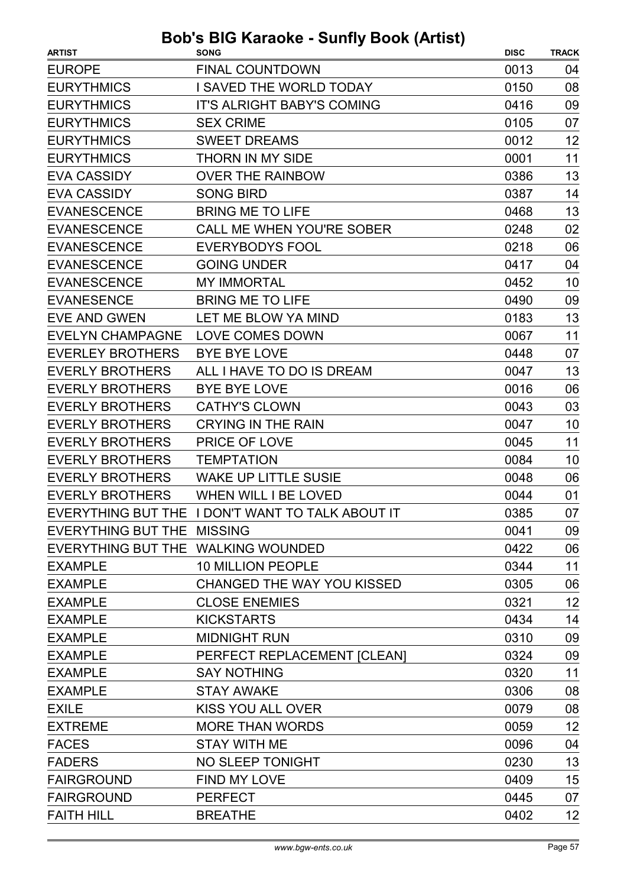| <b>ARTIST</b>                      | <br><b>SONG</b>                                  | <b>DISC</b> | <b>TRACK</b> |
|------------------------------------|--------------------------------------------------|-------------|--------------|
| <b>EUROPE</b>                      | <b>FINAL COUNTDOWN</b>                           | 0013        | 04           |
| <b>EURYTHMICS</b>                  | I SAVED THE WORLD TODAY                          | 0150        | 08           |
| <b>EURYTHMICS</b>                  | <b>IT'S ALRIGHT BABY'S COMING</b>                | 0416        | 09           |
| <b>EURYTHMICS</b>                  | <b>SEX CRIME</b>                                 | 0105        | 07           |
| <b>EURYTHMICS</b>                  | <b>SWEET DREAMS</b>                              | 0012        | 12           |
| <b>EURYTHMICS</b>                  | <b>THORN IN MY SIDE</b>                          | 0001        | 11           |
| <b>EVA CASSIDY</b>                 | <b>OVER THE RAINBOW</b>                          | 0386        | 13           |
| <b>EVA CASSIDY</b>                 | <b>SONG BIRD</b>                                 | 0387        | 14           |
| <b>EVANESCENCE</b>                 | <b>BRING ME TO LIFE</b>                          | 0468        | 13           |
| <b>EVANESCENCE</b>                 | <b>CALL ME WHEN YOU'RE SOBER</b>                 | 0248        | 02           |
| <b>EVANESCENCE</b>                 | <b>EVERYBODYS FOOL</b>                           | 0218        | 06           |
| <b>EVANESCENCE</b>                 | <b>GOING UNDER</b>                               | 0417        | 04           |
| <b>EVANESCENCE</b>                 | <b>MY IMMORTAL</b>                               | 0452        | 10           |
| <b>EVANESENCE</b>                  | <b>BRING ME TO LIFE</b>                          | 0490        | 09           |
| <b>EVE AND GWEN</b>                | LET ME BLOW YA MIND                              | 0183        | 13           |
| <b>EVELYN CHAMPAGNE</b>            | LOVE COMES DOWN                                  | 0067        | 11           |
| <b>EVERLEY BROTHERS</b>            | <b>BYE BYE LOVE</b>                              | 0448        | 07           |
| <b>EVERLY BROTHERS</b>             | ALL I HAVE TO DO IS DREAM                        | 0047        | 13           |
| <b>EVERLY BROTHERS</b>             | <b>BYE BYE LOVE</b>                              | 0016        | 06           |
| <b>EVERLY BROTHERS</b>             | <b>CATHY'S CLOWN</b>                             | 0043        | 03           |
| <b>EVERLY BROTHERS</b>             | <b>CRYING IN THE RAIN</b>                        | 0047        | 10           |
| <b>EVERLY BROTHERS</b>             | PRICE OF LOVE                                    | 0045        | 11           |
| <b>EVERLY BROTHERS</b>             | <b>TEMPTATION</b>                                | 0084        | 10           |
| <b>EVERLY BROTHERS</b>             | <b>WAKE UP LITTLE SUSIE</b>                      | 0048        | 06           |
| <b>EVERLY BROTHERS</b>             | <b>WHEN WILL I BE LOVED</b>                      | 0044        | 01           |
|                                    | EVERYTHING BUT THE I DON'T WANT TO TALK ABOUT IT | 0385        | 07           |
| EVERYTHING BUT THE MISSING         |                                                  | 0041        | 09           |
| EVERYTHING BUT THE WALKING WOUNDED |                                                  | 0422        | 06           |
| <b>EXAMPLE</b>                     | <b>10 MILLION PEOPLE</b>                         | 0344        | 11           |
| <b>EXAMPLE</b>                     | <b>CHANGED THE WAY YOU KISSED</b>                | 0305        | 06           |
| <b>EXAMPLE</b>                     | <b>CLOSE ENEMIES</b>                             | 0321        | 12           |
| <b>EXAMPLE</b>                     | <b>KICKSTARTS</b>                                | 0434        | 14           |
| <b>EXAMPLE</b>                     | <b>MIDNIGHT RUN</b>                              | 0310        | 09           |
| <b>EXAMPLE</b>                     | PERFECT REPLACEMENT [CLEAN]                      | 0324        | 09           |
| <b>EXAMPLE</b>                     | <b>SAY NOTHING</b>                               | 0320        | 11           |
| <b>EXAMPLE</b>                     | <b>STAY AWAKE</b>                                | 0306        | 08           |
| <b>EXILE</b>                       | KISS YOU ALL OVER                                | 0079        | 08           |
| <b>EXTREME</b>                     | <b>MORE THAN WORDS</b>                           | 0059        | 12           |
| <b>FACES</b>                       | <b>STAY WITH ME</b>                              | 0096        | 04           |
| <b>FADERS</b>                      | NO SLEEP TONIGHT                                 | 0230        | 13           |
| <b>FAIRGROUND</b>                  | FIND MY LOVE                                     | 0409        | 15           |
| <b>FAIRGROUND</b>                  | <b>PERFECT</b>                                   | 0445        | 07           |
| <b>FAITH HILL</b>                  | <b>BREATHE</b>                                   | 0402        | 12           |
|                                    |                                                  |             |              |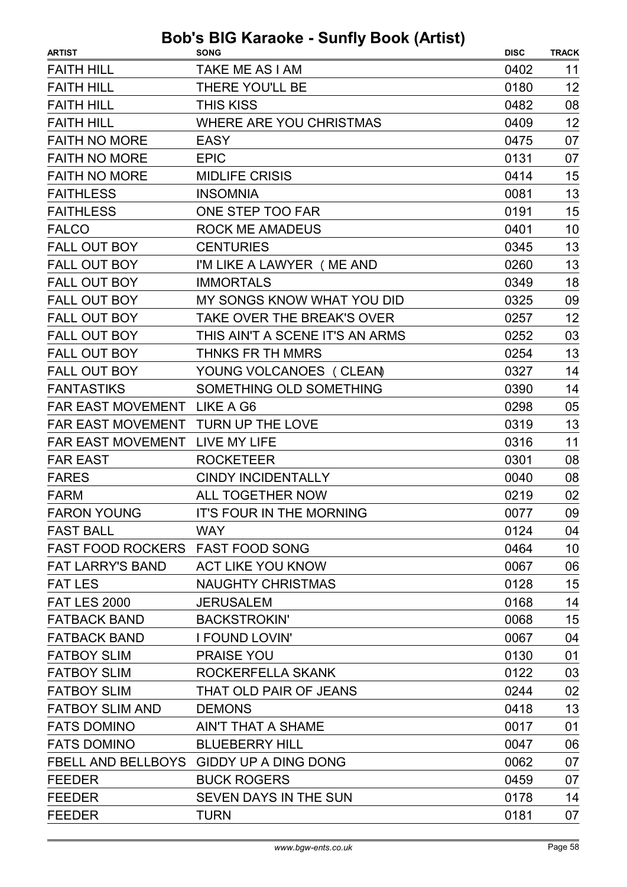| <b>ARTIST</b>                      | <b>SONG</b>                             | <b>DISC</b> | <b>TRACK</b> |
|------------------------------------|-----------------------------------------|-------------|--------------|
| <b>FAITH HILL</b>                  | TAKE ME AS I AM                         | 0402        | 11           |
| <b>FAITH HILL</b>                  | <b>THERE YOU'LL BE</b>                  | 0180        | 12           |
| <b>FAITH HILL</b>                  | <b>THIS KISS</b>                        | 0482        | 08           |
| <b>FAITH HILL</b>                  | <b>WHERE ARE YOU CHRISTMAS</b>          | 0409        | 12           |
| <b>FAITH NO MORE</b>               | EASY                                    | 0475        | 07           |
| <b>FAITH NO MORE</b>               | <b>EPIC</b>                             | 0131        | 07           |
| <b>FAITH NO MORE</b>               | <b>MIDLIFE CRISIS</b>                   | 0414        | 15           |
| <b>FAITHLESS</b>                   | <b>INSOMNIA</b>                         | 0081        | 13           |
| <b>FAITHLESS</b>                   | ONE STEP TOO FAR                        | 0191        | 15           |
| <b>FALCO</b>                       | <b>ROCK ME AMADEUS</b>                  | 0401        | 10           |
| <b>FALL OUT BOY</b>                | <b>CENTURIES</b>                        | 0345        | 13           |
| <b>FALL OUT BOY</b>                | I'M LIKE A LAWYER (ME AND               | 0260        | 13           |
| <b>FALL OUT BOY</b>                | <b>IMMORTALS</b>                        | 0349        | 18           |
| <b>FALL OUT BOY</b>                | MY SONGS KNOW WHAT YOU DID              | 0325        | 09           |
| <b>FALL OUT BOY</b>                | TAKE OVER THE BREAK'S OVER              | 0257        | 12           |
| FALL OUT BOY                       | THIS AIN'T A SCENE IT'S AN ARMS         | 0252        | 03           |
| <b>FALL OUT BOY</b>                | THNKS FR TH MMRS                        | 0254        | 13           |
| <b>FALL OUT BOY</b>                | YOUNG VOLCANOES (CLEAN)                 | 0327        | 14           |
| <b>FANTASTIKS</b>                  | SOMETHING OLD SOMETHING                 | 0390        | 14           |
| FAR EAST MOVEMENT LIKE A G6        |                                         | 0298        | 05           |
| FAR EAST MOVEMENT TURN UP THE LOVE |                                         | 0319        | 13           |
| <b>FAR EAST MOVEMENT</b>           | LIVE MY LIFE                            | 0316        | 11           |
| <b>FAR EAST</b>                    | <b>ROCKETEER</b>                        | 0301        | 08           |
| <b>FARES</b>                       | <b>CINDY INCIDENTALLY</b>               | 0040        | 08           |
| <b>FARM</b>                        | ALL TOGETHER NOW                        | 0219        | 02           |
| <b>FARON YOUNG</b>                 | IT'S FOUR IN THE MORNING                | 0077        | 09           |
| <b>FAST BALL</b>                   | <b>WAY</b>                              | 0124        | 04           |
| FAST FOOD ROCKERS FAST FOOD SONG   |                                         | 0464        | 10           |
| <b>FAT LARRY'S BAND</b>            | <b>ACT LIKE YOU KNOW</b>                | 0067        | 06           |
| <b>FAT LES</b>                     | <b>NAUGHTY CHRISTMAS</b>                | 0128        | 15           |
| <b>FAT LES 2000</b>                | <b>JERUSALEM</b>                        | 0168        | 14           |
| <b>FATBACK BAND</b>                | <b>BACKSTROKIN'</b>                     | 0068        | 15           |
| <b>FATBACK BAND</b>                | I FOUND LOVIN'                          | 0067        | 04           |
| <b>FATBOY SLIM</b>                 | <b>PRAISE YOU</b>                       | 0130        | 01           |
| <b>FATBOY SLIM</b>                 | ROCKERFELLA SKANK                       | 0122        | 03           |
| <b>FATBOY SLIM</b>                 | THAT OLD PAIR OF JEANS                  | 0244        | 02           |
| <b>FATBOY SLIM AND</b>             | <b>DEMONS</b>                           | 0418        | 13           |
| <b>FATS DOMINO</b>                 | AIN'T THAT A SHAME                      | 0017        | 01           |
| <b>FATS DOMINO</b>                 | <b>BLUEBERRY HILL</b>                   | 0047        | 06           |
|                                    | FBELL AND BELLBOYS GIDDY UP A DING DONG | 0062        | 07           |
| <b>FEEDER</b>                      | <b>BUCK ROGERS</b>                      | 0459        | 07           |
| <b>FEEDER</b>                      | SEVEN DAYS IN THE SUN                   | 0178        | 14           |
| <b>FEEDER</b>                      | <b>TURN</b>                             | 0181        | 07           |
|                                    |                                         |             |              |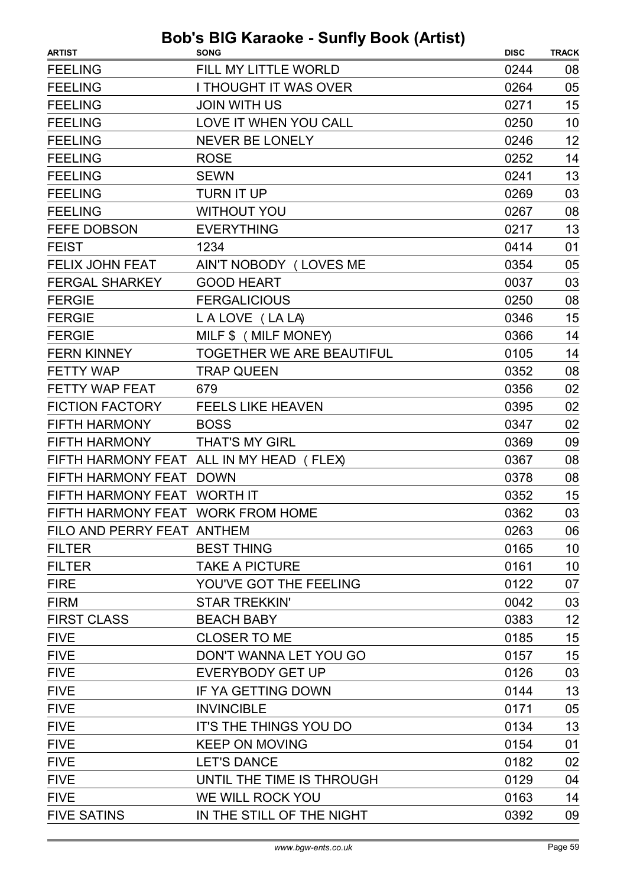| <b>ARTIST</b>                     | $\frac{1}{2}$<br><b>SONG</b>             | <b>DISC</b> | <b>TRACK</b> |
|-----------------------------------|------------------------------------------|-------------|--------------|
| <b>FEELING</b>                    | FILL MY LITTLE WORLD                     | 0244        | 08           |
| <b>FEELING</b>                    | I THOUGHT IT WAS OVER                    | 0264        | 05           |
| <b>FEELING</b>                    | <b>JOIN WITH US</b>                      | 0271        | 15           |
| <b>FEELING</b>                    | LOVE IT WHEN YOU CALL                    | 0250        | 10           |
| <b>FEELING</b>                    | <b>NEVER BE LONELY</b>                   | 0246        | 12           |
| <b>FEELING</b>                    | <b>ROSE</b>                              | 0252        | 14           |
| <b>FEELING</b>                    | <b>SEWN</b>                              | 0241        | 13           |
| <b>FEELING</b>                    | TURN IT UP                               | 0269        | 03           |
| <b>FEELING</b>                    | <b>WITHOUT YOU</b>                       | 0267        | 08           |
| <b>FEFE DOBSON</b>                | <b>EVERYTHING</b>                        | 0217        | 13           |
| <b>FEIST</b>                      | 1234                                     | 0414        | 01           |
| <b>FELIX JOHN FEAT</b>            | AIN'T NOBODY (LOVES ME                   | 0354        | 05           |
| <b>FERGAL SHARKEY</b>             | <b>GOOD HEART</b>                        | 0037        | 03           |
| <b>FERGIE</b>                     | <b>FERGALICIOUS</b>                      | 0250        | 08           |
| <b>FERGIE</b>                     | LALOVE (LALA)                            | 0346        | 15           |
| <b>FERGIE</b>                     | MILF \$ (MILF MONEY)                     | 0366        | 14           |
| <b>FERN KINNEY</b>                | <b>TOGETHER WE ARE BEAUTIFUL</b>         | 0105        | 14           |
| <b>FETTY WAP</b>                  | <b>TRAP QUEEN</b>                        | 0352        | 08           |
| <b>FETTY WAP FEAT</b>             | 679                                      | 0356        | 02           |
| <b>FICTION FACTORY</b>            | <b>FEELS LIKE HEAVEN</b>                 | 0395        | 02           |
| FIFTH HARMONY                     | <b>BOSS</b>                              | 0347        | 02           |
| <b>FIFTH HARMONY</b>              | <b>THAT'S MY GIRL</b>                    | 0369        | 09           |
|                                   | FIFTH HARMONY FEAT ALL IN MY HEAD (FLEX) | 0367        | 08           |
| FIFTH HARMONY FEAT DOWN           |                                          | 0378        | 08           |
| FIFTH HARMONY FEAT WORTH IT       |                                          | 0352        | 15           |
| FIFTH HARMONY FEAT WORK FROM HOME |                                          | 0362        | 03           |
| FILO AND PERRY FEAT ANTHEM        |                                          | 0263        | 06           |
| <b>FILTER</b>                     | <b>BEST THING</b>                        | 0165        | 10           |
| <b>FILTER</b>                     | <b>TAKE A PICTURE</b>                    | 0161        | 10           |
| <b>FIRE</b>                       | YOU'VE GOT THE FEELING                   | 0122        | 07           |
| <b>FIRM</b>                       | <b>STAR TREKKIN'</b>                     | 0042        | 03           |
| <b>FIRST CLASS</b>                | <b>BEACH BABY</b>                        | 0383        | 12           |
| <b>FIVE</b>                       | <b>CLOSER TO ME</b>                      | 0185        | 15           |
| <b>FIVE</b>                       | DON'T WANNA LET YOU GO                   | 0157        | 15           |
| <b>FIVE</b>                       | <b>EVERYBODY GET UP</b>                  | 0126        | 03           |
| <b>FIVE</b>                       | IF YA GETTING DOWN                       | 0144        | 13           |
| <b>FIVE</b>                       | <b>INVINCIBLE</b>                        | 0171        | 05           |
| <b>FIVE</b>                       | IT'S THE THINGS YOU DO                   | 0134        | 13           |
| <b>FIVE</b>                       | <b>KEEP ON MOVING</b>                    | 0154        | 01           |
| <b>FIVE</b>                       | <b>LET'S DANCE</b>                       | 0182        | 02           |
| <b>FIVE</b>                       | UNTIL THE TIME IS THROUGH                | 0129        | 04           |
| <b>FIVE</b>                       | WE WILL ROCK YOU                         | 0163        | 14           |
| <b>FIVE SATINS</b>                | IN THE STILL OF THE NIGHT                | 0392        | 09           |
|                                   |                                          |             |              |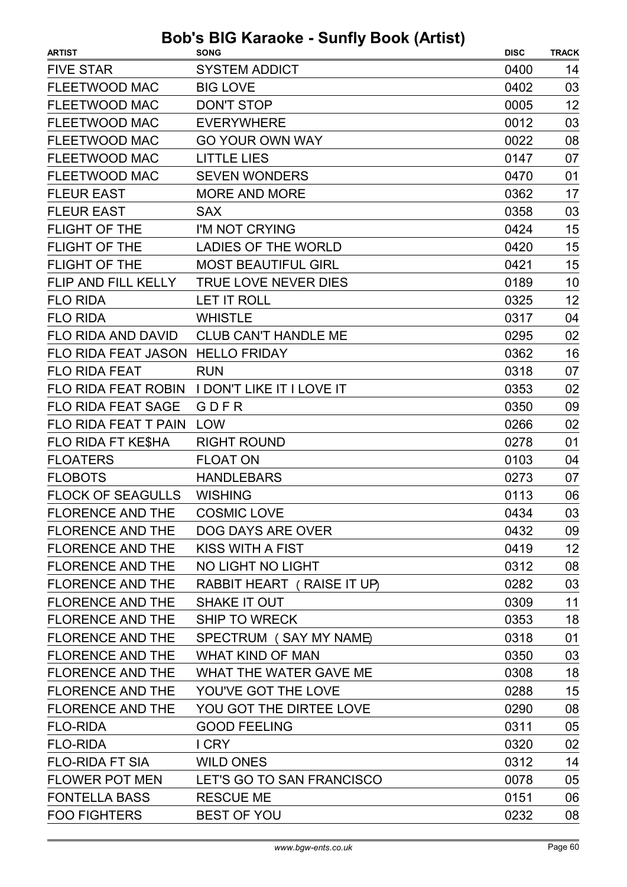| <b>ARTIST</b>                    | <b>SONG</b>                                   | <b>DISC</b> | <b>TRACK</b> |
|----------------------------------|-----------------------------------------------|-------------|--------------|
| <b>FIVE STAR</b>                 | <b>SYSTEM ADDICT</b>                          | 0400        | 14           |
| <b>FLEETWOOD MAC</b>             | <b>BIG LOVE</b>                               | 0402        | 03           |
| <b>FLEETWOOD MAC</b>             | <b>DON'T STOP</b>                             | 0005        | 12           |
| <b>FLEETWOOD MAC</b>             | <b>EVERYWHERE</b>                             | 0012        | 03           |
| <b>FLEETWOOD MAC</b>             | <b>GO YOUR OWN WAY</b>                        | 0022        | 08           |
| FLEETWOOD MAC                    | <b>LITTLE LIES</b>                            | 0147        | 07           |
| <b>FLEETWOOD MAC</b>             | <b>SEVEN WONDERS</b>                          | 0470        | 01           |
| <b>FLEUR EAST</b>                | <b>MORE AND MORE</b>                          | 0362        | 17           |
| <b>FLEUR EAST</b>                | <b>SAX</b>                                    | 0358        | 03           |
| FLIGHT OF THE                    | I'M NOT CRYING                                | 0424        | 15           |
| <b>FLIGHT OF THE</b>             | <b>LADIES OF THE WORLD</b>                    | 0420        | 15           |
| <b>FLIGHT OF THE</b>             | <b>MOST BEAUTIFUL GIRL</b>                    | 0421        | 15           |
| FLIP AND FILL KELLY              | <b>TRUE LOVE NEVER DIES</b>                   | 0189        | 10           |
| <b>FLO RIDA</b>                  | <b>LET IT ROLL</b>                            | 0325        | 12           |
| <b>FLO RIDA</b>                  | <b>WHISTLE</b>                                | 0317        | 04           |
| FLO RIDA AND DAVID               | <b>CLUB CAN'T HANDLE ME</b>                   | 0295        | 02           |
| FLO RIDA FEAT JASON HELLO FRIDAY |                                               | 0362        | 16           |
| <b>FLO RIDA FEAT</b>             | <b>RUN</b>                                    | 0318        | 07           |
|                                  | FLO RIDA FEAT ROBIN I DON'T LIKE IT I LOVE IT | 0353        | 02           |
| <b>FLO RIDA FEAT SAGE</b>        | GDFR                                          | 0350        | 09           |
| FLO RIDA FEAT T PAIN             | LOW                                           | 0266        | 02           |
| FLO RIDA FT KE\$HA               | <b>RIGHT ROUND</b>                            | 0278        | 01           |
| <b>FLOATERS</b>                  | <b>FLOAT ON</b>                               | 0103        | 04           |
| <b>FLOBOTS</b>                   | <b>HANDLEBARS</b>                             | 0273        | 07           |
| <b>FLOCK OF SEAGULLS</b>         | <b>WISHING</b>                                | 0113        | 06           |
| <b>FLORENCE AND THE</b>          | <b>COSMIC LOVE</b>                            | 0434        | 03           |
| <b>FLORENCE AND THE</b>          | DOG DAYS ARE OVER                             | 0432        | 09           |
| <b>FLORENCE AND THE</b>          | <b>KISS WITH A FIST</b>                       | 0419        | 12           |
| <b>FLORENCE AND THE</b>          | NO LIGHT NO LIGHT                             | 0312        | 08           |
| <b>FLORENCE AND THE</b>          | RABBIT HEART (RAISE IT UP)                    | 0282        | 03           |
| <b>FLORENCE AND THE</b>          | SHAKE IT OUT                                  | 0309        | 11           |
| <b>FLORENCE AND THE</b>          | <b>SHIP TO WRECK</b>                          | 0353        | 18           |
| <b>FLORENCE AND THE</b>          | SPECTRUM (SAY MY NAME)                        | 0318        | 01           |
| <b>FLORENCE AND THE</b>          | <b>WHAT KIND OF MAN</b>                       | 0350        | 03           |
| <b>FLORENCE AND THE</b>          | WHAT THE WATER GAVE ME                        | 0308        | 18           |
| <b>FLORENCE AND THE</b>          | YOU'VE GOT THE LOVE                           | 0288        | 15           |
| <b>FLORENCE AND THE</b>          | YOU GOT THE DIRTEE LOVE                       | 0290        | 08           |
| <b>FLO-RIDA</b>                  | <b>GOOD FEELING</b>                           | 0311        | 05           |
| <b>FLO-RIDA</b>                  | <b>ICRY</b>                                   | 0320        | 02           |
| <b>FLO-RIDA FT SIA</b>           | <b>WILD ONES</b>                              | 0312        | 14           |
| <b>FLOWER POT MEN</b>            | LET'S GO TO SAN FRANCISCO                     | 0078        | 05           |
| <b>FONTELLA BASS</b>             | <b>RESCUE ME</b>                              | 0151        | 06           |
| <b>FOO FIGHTERS</b>              | <b>BEST OF YOU</b>                            | 0232        | 08           |
|                                  |                                               |             |              |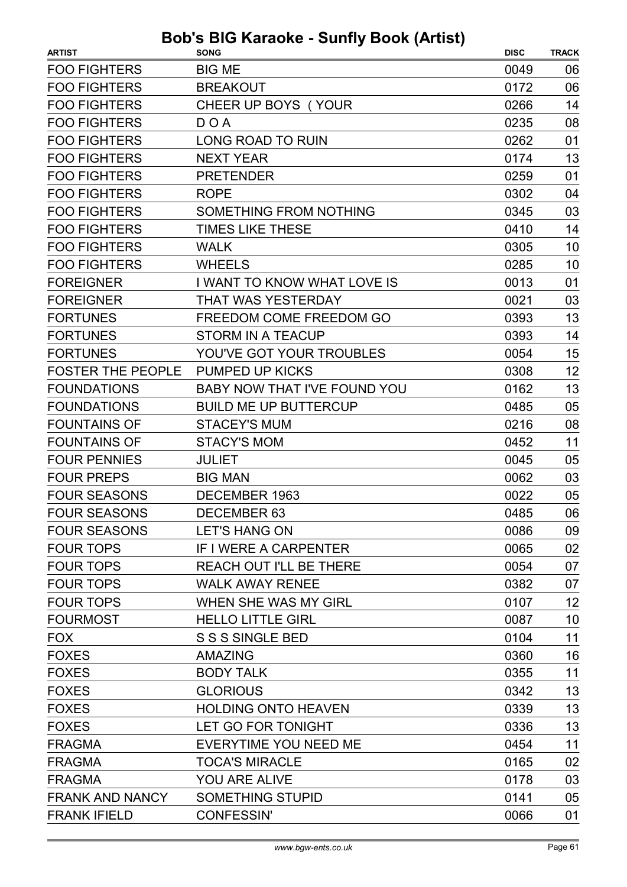| <b>ARTIST</b>            | <b>SONG</b>                    | <b>DISC</b> | <b>TRACK</b> |
|--------------------------|--------------------------------|-------------|--------------|
| <b>FOO FIGHTERS</b>      | <b>BIG ME</b>                  | 0049        | 06           |
| <b>FOO FIGHTERS</b>      | <b>BREAKOUT</b>                | 0172        | 06           |
| <b>FOO FIGHTERS</b>      | CHEER UP BOYS (YOUR            | 0266        | 14           |
| <b>FOO FIGHTERS</b>      | DOA                            | 0235        | 08           |
| <b>FOO FIGHTERS</b>      | <b>LONG ROAD TO RUIN</b>       | 0262        | 01           |
| <b>FOO FIGHTERS</b>      | <b>NEXT YEAR</b>               | 0174        | 13           |
| <b>FOO FIGHTERS</b>      | <b>PRETENDER</b>               | 0259        | 01           |
| <b>FOO FIGHTERS</b>      | <b>ROPE</b>                    | 0302        | 04           |
| <b>FOO FIGHTERS</b>      | SOMETHING FROM NOTHING         | 0345        | 03           |
| <b>FOO FIGHTERS</b>      | <b>TIMES LIKE THESE</b>        | 0410        | 14           |
| <b>FOO FIGHTERS</b>      | <b>WALK</b>                    | 0305        | 10           |
| <b>FOO FIGHTERS</b>      | <b>WHEELS</b>                  | 0285        | 10           |
| <b>FOREIGNER</b>         | I WANT TO KNOW WHAT LOVE IS    | 0013        | 01           |
| <b>FOREIGNER</b>         | <b>THAT WAS YESTERDAY</b>      | 0021        | 03           |
| <b>FORTUNES</b>          | FREEDOM COME FREEDOM GO        | 0393        | 13           |
| <b>FORTUNES</b>          | <b>STORM IN A TEACUP</b>       | 0393        | 14           |
| <b>FORTUNES</b>          | YOU'VE GOT YOUR TROUBLES       | 0054        | 15           |
| <b>FOSTER THE PEOPLE</b> | <b>PUMPED UP KICKS</b>         | 0308        | 12           |
| <b>FOUNDATIONS</b>       | BABY NOW THAT I'VE FOUND YOU   | 0162        | 13           |
| <b>FOUNDATIONS</b>       | <b>BUILD ME UP BUTTERCUP</b>   | 0485        | 05           |
| <b>FOUNTAINS OF</b>      | <b>STACEY'S MUM</b>            | 0216        | 08           |
| <b>FOUNTAINS OF</b>      | <b>STACY'S MOM</b>             | 0452        | 11           |
| <b>FOUR PENNIES</b>      | <b>JULIET</b>                  | 0045        | 05           |
| <b>FOUR PREPS</b>        | <b>BIG MAN</b>                 | 0062        | 03           |
| <b>FOUR SEASONS</b>      | DECEMBER 1963                  | 0022        | 05           |
| <b>FOUR SEASONS</b>      | DECEMBER 63                    | 0485        | 06           |
| <b>FOUR SEASONS</b>      | <b>LET'S HANG ON</b>           | 0086        | 09           |
| <b>FOUR TOPS</b>         | <b>IF I WERE A CARPENTER</b>   | 0065        | 02           |
| <b>FOUR TOPS</b>         | <b>REACH OUT I'LL BE THERE</b> | 0054        | 07           |
| <b>FOUR TOPS</b>         | <b>WALK AWAY RENEE</b>         | 0382        | 07           |
| <b>FOUR TOPS</b>         | WHEN SHE WAS MY GIRL           | 0107        | 12           |
| <b>FOURMOST</b>          | <b>HELLO LITTLE GIRL</b>       | 0087        | 10           |
| <b>FOX</b>               | S S S SINGLE BED               | 0104        | 11           |
| <b>FOXES</b>             | <b>AMAZING</b>                 | 0360        | 16           |
| <b>FOXES</b>             | <b>BODY TALK</b>               | 0355        | 11           |
| <b>FOXES</b>             | <b>GLORIOUS</b>                | 0342        | 13           |
| <b>FOXES</b>             | <b>HOLDING ONTO HEAVEN</b>     | 0339        | 13           |
| <b>FOXES</b>             | LET GO FOR TONIGHT             | 0336        | 13           |
| <b>FRAGMA</b>            | EVERYTIME YOU NEED ME          | 0454        | 11           |
| <b>FRAGMA</b>            | <b>TOCA'S MIRACLE</b>          | 0165        | 02           |
| <b>FRAGMA</b>            | <b>YOU ARE ALIVE</b>           | 0178        | 03           |
| <b>FRANK AND NANCY</b>   | SOMETHING STUPID               | 0141        | 05           |
| <b>FRANK IFIELD</b>      | <b>CONFESSIN'</b>              | 0066        | 01           |
|                          |                                |             |              |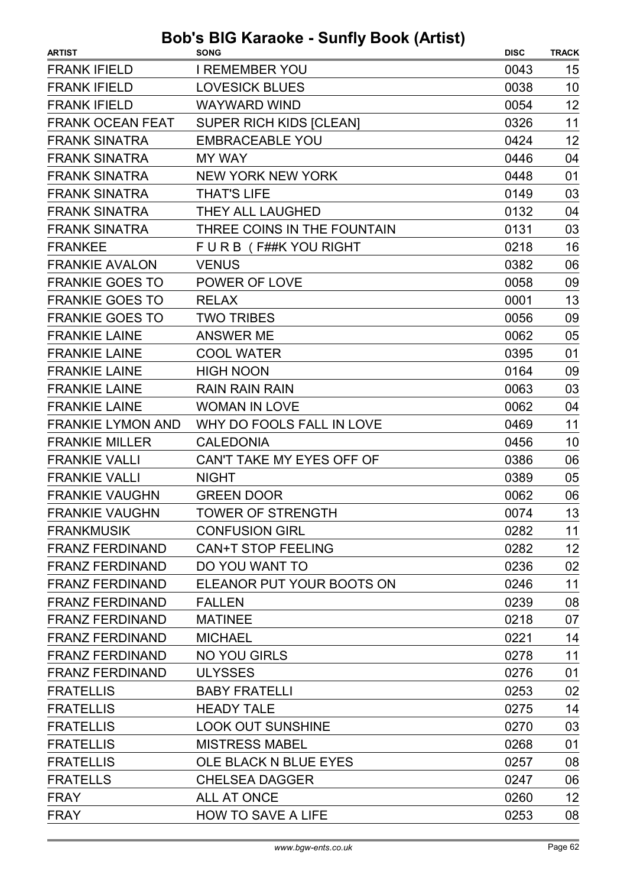| <b>ARTIST</b>            | <b>SONG</b>                 | <b>DISC</b> | <b>TRACK</b> |
|--------------------------|-----------------------------|-------------|--------------|
| <b>FRANK IFIELD</b>      | <b>I REMEMBER YOU</b>       | 0043        | 15           |
| <b>FRANK IFIELD</b>      | <b>LOVESICK BLUES</b>       | 0038        | 10           |
| <b>FRANK IFIELD</b>      | <b>WAYWARD WIND</b>         | 0054        | 12           |
| <b>FRANK OCEAN FEAT</b>  | SUPER RICH KIDS [CLEAN]     | 0326        | 11           |
| <b>FRANK SINATRA</b>     | <b>EMBRACEABLE YOU</b>      | 0424        | 12           |
| <b>FRANK SINATRA</b>     | <b>MY WAY</b>               | 0446        | 04           |
| <b>FRANK SINATRA</b>     | <b>NEW YORK NEW YORK</b>    | 0448        | 01           |
| <b>FRANK SINATRA</b>     | <b>THAT'S LIFE</b>          | 0149        | 03           |
| <b>FRANK SINATRA</b>     | THEY ALL LAUGHED            | 0132        | 04           |
| <b>FRANK SINATRA</b>     | THREE COINS IN THE FOUNTAIN | 0131        | 03           |
| <b>FRANKEE</b>           | FURB (F##KYOU RIGHT         | 0218        | 16           |
| <b>FRANKIE AVALON</b>    | <b>VENUS</b>                | 0382        | 06           |
| <b>FRANKIE GOES TO</b>   | POWER OF LOVE               | 0058        | 09           |
| <b>FRANKIE GOES TO</b>   | <b>RELAX</b>                | 0001        | 13           |
| <b>FRANKIE GOES TO</b>   | <b>TWO TRIBES</b>           | 0056        | 09           |
| <b>FRANKIE LAINE</b>     | <b>ANSWER ME</b>            | 0062        | 05           |
| <b>FRANKIE LAINE</b>     | <b>COOL WATER</b>           | 0395        | 01           |
| <b>FRANKIE LAINE</b>     | <b>HIGH NOON</b>            | 0164        | 09           |
| <b>FRANKIE LAINE</b>     | <b>RAIN RAIN RAIN</b>       | 0063        | 03           |
| <b>FRANKIE LAINE</b>     | <b>WOMAN IN LOVE</b>        | 0062        | 04           |
| <b>FRANKIE LYMON AND</b> | WHY DO FOOLS FALL IN LOVE   | 0469        | 11           |
| <b>FRANKIE MILLER</b>    | <b>CALEDONIA</b>            | 0456        | 10           |
| <b>FRANKIE VALLI</b>     | CAN'T TAKE MY EYES OFF OF   | 0386        | 06           |
| <b>FRANKIE VALLI</b>     | <b>NIGHT</b>                | 0389        | 05           |
| <b>FRANKIE VAUGHN</b>    | <b>GREEN DOOR</b>           | 0062        | 06           |
| <b>FRANKIE VAUGHN</b>    | <b>TOWER OF STRENGTH</b>    | 0074        | 13           |
| <b>FRANKMUSIK</b>        | <b>CONFUSION GIRL</b>       | 0282        | 11           |
| <b>FRANZ FERDINAND</b>   | <b>CAN+T STOP FEELING</b>   | 0282        | 12           |
| <b>FRANZ FERDINAND</b>   | DO YOU WANT TO              | 0236        | 02           |
| <b>FRANZ FERDINAND</b>   | ELEANOR PUT YOUR BOOTS ON   | 0246        | 11           |
| <b>FRANZ FERDINAND</b>   | <b>FALLEN</b>               | 0239        | 08           |
| <b>FRANZ FERDINAND</b>   | <b>MATINEE</b>              | 0218        | 07           |
| <b>FRANZ FERDINAND</b>   | <b>MICHAEL</b>              | 0221        | 14           |
| <b>FRANZ FERDINAND</b>   | <b>NO YOU GIRLS</b>         | 0278        | 11           |
| <b>FRANZ FERDINAND</b>   | <b>ULYSSES</b>              | 0276        | 01           |
| <b>FRATELLIS</b>         | <b>BABY FRATELLI</b>        | 0253        | 02           |
| <b>FRATELLIS</b>         | <b>HEADY TALE</b>           | 0275        | 14           |
| <b>FRATELLIS</b>         | <b>LOOK OUT SUNSHINE</b>    | 0270        | 03           |
| <b>FRATELLIS</b>         | <b>MISTRESS MABEL</b>       | 0268        | 01           |
| <b>FRATELLIS</b>         | OLE BLACK N BLUE EYES       | 0257        | 08           |
| <b>FRATELLS</b>          | <b>CHELSEA DAGGER</b>       | 0247        | 06           |
| <b>FRAY</b>              | ALL AT ONCE                 | 0260        | 12           |
| <b>FRAY</b>              | <b>HOW TO SAVE A LIFE</b>   | 0253        | 08           |
|                          |                             |             |              |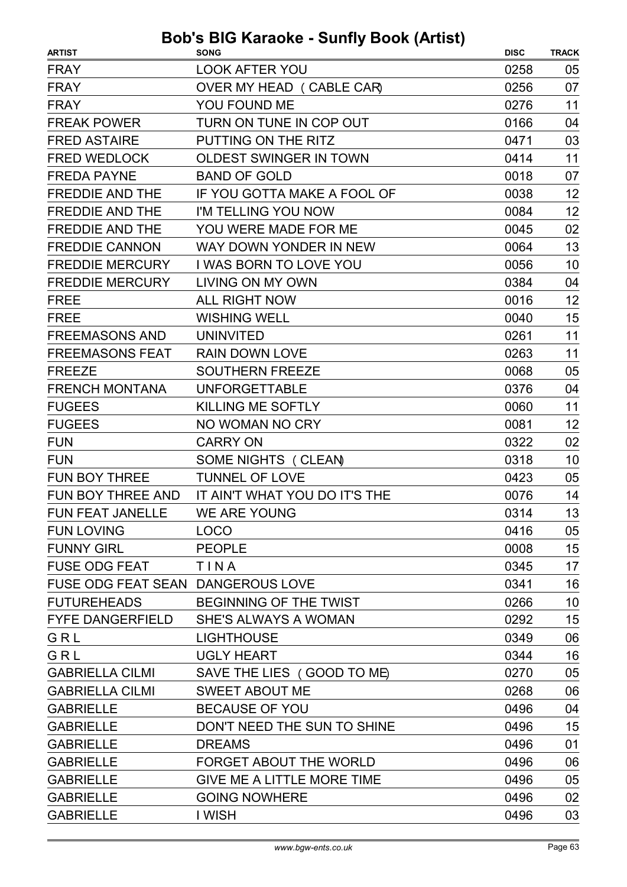| <b>LOOK AFTER YOU</b><br>0258<br>05<br>07<br>OVER MY HEAD (CABLE CAR)<br>0256<br>YOU FOUND ME<br>0276<br>11<br>TURN ON TUNE IN COP OUT<br>0166<br>04<br>03<br>PUTTING ON THE RITZ<br>0471<br>11<br><b>FRED WEDLOCK</b><br><b>OLDEST SWINGER IN TOWN</b><br>0414<br>07<br><b>BAND OF GOLD</b><br>0018<br>12<br>IF YOU GOTTA MAKE A FOOL OF<br>0038<br>12<br>I'M TELLING YOU NOW<br>0084<br>02<br>YOU WERE MADE FOR ME<br>0045<br>13<br>WAY DOWN YONDER IN NEW<br>0064<br>I WAS BORN TO LOVE YOU<br>10<br>0056<br><b>FREDDIE MERCURY</b><br>0384<br>04<br>LIVING ON MY OWN<br>12<br><b>ALL RIGHT NOW</b><br>0016<br>15<br><b>WISHING WELL</b><br>0040<br><b>UNINVITED</b><br>0261<br>11<br>11<br><b>RAIN DOWN LOVE</b><br>0263<br><b>SOUTHERN FREEZE</b><br>0068<br>05<br>04<br><b>UNFORGETTABLE</b><br>0376<br>11<br><b>FUGEES</b><br>KILLING ME SOFTLY<br>0060<br>12<br><b>FUGEES</b><br>NO WOMAN NO CRY<br>0081<br><b>CARRY ON</b><br>0322<br>02<br>10<br>SOME NIGHTS (CLEAN)<br>0318<br><b>TUNNEL OF LOVE</b><br>0423<br>05<br>IT AIN'T WHAT YOU DO IT'S THE<br>14<br>0076<br>13<br>WE ARE YOUNG<br>0314<br>FUN FEAT JANELLE<br>0416<br><b>LOCO</b><br>05<br>15<br><b>PEOPLE</b><br>0008<br>17<br>TINA<br>0345<br>16<br>FUSE ODG FEAT SEAN DANGEROUS LOVE<br>0341<br>10<br>BEGINNING OF THE TWIST<br>0266 | <b>ARTIST</b>           | <b>SONG</b> | <b>DISC</b> | <b>TRACK</b> |
|-------------------------------------------------------------------------------------------------------------------------------------------------------------------------------------------------------------------------------------------------------------------------------------------------------------------------------------------------------------------------------------------------------------------------------------------------------------------------------------------------------------------------------------------------------------------------------------------------------------------------------------------------------------------------------------------------------------------------------------------------------------------------------------------------------------------------------------------------------------------------------------------------------------------------------------------------------------------------------------------------------------------------------------------------------------------------------------------------------------------------------------------------------------------------------------------------------------------------------------------------------------------------------------------------------------|-------------------------|-------------|-------------|--------------|
|                                                                                                                                                                                                                                                                                                                                                                                                                                                                                                                                                                                                                                                                                                                                                                                                                                                                                                                                                                                                                                                                                                                                                                                                                                                                                                             | <b>FRAY</b>             |             |             |              |
|                                                                                                                                                                                                                                                                                                                                                                                                                                                                                                                                                                                                                                                                                                                                                                                                                                                                                                                                                                                                                                                                                                                                                                                                                                                                                                             | <b>FRAY</b>             |             |             |              |
|                                                                                                                                                                                                                                                                                                                                                                                                                                                                                                                                                                                                                                                                                                                                                                                                                                                                                                                                                                                                                                                                                                                                                                                                                                                                                                             | <b>FRAY</b>             |             |             |              |
|                                                                                                                                                                                                                                                                                                                                                                                                                                                                                                                                                                                                                                                                                                                                                                                                                                                                                                                                                                                                                                                                                                                                                                                                                                                                                                             | <b>FREAK POWER</b>      |             |             |              |
|                                                                                                                                                                                                                                                                                                                                                                                                                                                                                                                                                                                                                                                                                                                                                                                                                                                                                                                                                                                                                                                                                                                                                                                                                                                                                                             | <b>FRED ASTAIRE</b>     |             |             |              |
|                                                                                                                                                                                                                                                                                                                                                                                                                                                                                                                                                                                                                                                                                                                                                                                                                                                                                                                                                                                                                                                                                                                                                                                                                                                                                                             |                         |             |             |              |
|                                                                                                                                                                                                                                                                                                                                                                                                                                                                                                                                                                                                                                                                                                                                                                                                                                                                                                                                                                                                                                                                                                                                                                                                                                                                                                             | <b>FREDA PAYNE</b>      |             |             |              |
|                                                                                                                                                                                                                                                                                                                                                                                                                                                                                                                                                                                                                                                                                                                                                                                                                                                                                                                                                                                                                                                                                                                                                                                                                                                                                                             | <b>FREDDIE AND THE</b>  |             |             |              |
|                                                                                                                                                                                                                                                                                                                                                                                                                                                                                                                                                                                                                                                                                                                                                                                                                                                                                                                                                                                                                                                                                                                                                                                                                                                                                                             | <b>FREDDIE AND THE</b>  |             |             |              |
|                                                                                                                                                                                                                                                                                                                                                                                                                                                                                                                                                                                                                                                                                                                                                                                                                                                                                                                                                                                                                                                                                                                                                                                                                                                                                                             | <b>FREDDIE AND THE</b>  |             |             |              |
|                                                                                                                                                                                                                                                                                                                                                                                                                                                                                                                                                                                                                                                                                                                                                                                                                                                                                                                                                                                                                                                                                                                                                                                                                                                                                                             | <b>FREDDIE CANNON</b>   |             |             |              |
|                                                                                                                                                                                                                                                                                                                                                                                                                                                                                                                                                                                                                                                                                                                                                                                                                                                                                                                                                                                                                                                                                                                                                                                                                                                                                                             | <b>FREDDIE MERCURY</b>  |             |             |              |
|                                                                                                                                                                                                                                                                                                                                                                                                                                                                                                                                                                                                                                                                                                                                                                                                                                                                                                                                                                                                                                                                                                                                                                                                                                                                                                             |                         |             |             |              |
|                                                                                                                                                                                                                                                                                                                                                                                                                                                                                                                                                                                                                                                                                                                                                                                                                                                                                                                                                                                                                                                                                                                                                                                                                                                                                                             | <b>FREE</b>             |             |             |              |
|                                                                                                                                                                                                                                                                                                                                                                                                                                                                                                                                                                                                                                                                                                                                                                                                                                                                                                                                                                                                                                                                                                                                                                                                                                                                                                             | <b>FREE</b>             |             |             |              |
|                                                                                                                                                                                                                                                                                                                                                                                                                                                                                                                                                                                                                                                                                                                                                                                                                                                                                                                                                                                                                                                                                                                                                                                                                                                                                                             | <b>FREEMASONS AND</b>   |             |             |              |
|                                                                                                                                                                                                                                                                                                                                                                                                                                                                                                                                                                                                                                                                                                                                                                                                                                                                                                                                                                                                                                                                                                                                                                                                                                                                                                             | <b>FREEMASONS FEAT</b>  |             |             |              |
|                                                                                                                                                                                                                                                                                                                                                                                                                                                                                                                                                                                                                                                                                                                                                                                                                                                                                                                                                                                                                                                                                                                                                                                                                                                                                                             | <b>FREEZE</b>           |             |             |              |
|                                                                                                                                                                                                                                                                                                                                                                                                                                                                                                                                                                                                                                                                                                                                                                                                                                                                                                                                                                                                                                                                                                                                                                                                                                                                                                             | <b>FRENCH MONTANA</b>   |             |             |              |
|                                                                                                                                                                                                                                                                                                                                                                                                                                                                                                                                                                                                                                                                                                                                                                                                                                                                                                                                                                                                                                                                                                                                                                                                                                                                                                             |                         |             |             |              |
|                                                                                                                                                                                                                                                                                                                                                                                                                                                                                                                                                                                                                                                                                                                                                                                                                                                                                                                                                                                                                                                                                                                                                                                                                                                                                                             |                         |             |             |              |
|                                                                                                                                                                                                                                                                                                                                                                                                                                                                                                                                                                                                                                                                                                                                                                                                                                                                                                                                                                                                                                                                                                                                                                                                                                                                                                             | <b>FUN</b>              |             |             |              |
|                                                                                                                                                                                                                                                                                                                                                                                                                                                                                                                                                                                                                                                                                                                                                                                                                                                                                                                                                                                                                                                                                                                                                                                                                                                                                                             | <b>FUN</b>              |             |             |              |
|                                                                                                                                                                                                                                                                                                                                                                                                                                                                                                                                                                                                                                                                                                                                                                                                                                                                                                                                                                                                                                                                                                                                                                                                                                                                                                             | <b>FUN BOY THREE</b>    |             |             |              |
|                                                                                                                                                                                                                                                                                                                                                                                                                                                                                                                                                                                                                                                                                                                                                                                                                                                                                                                                                                                                                                                                                                                                                                                                                                                                                                             | FUN BOY THREE AND       |             |             |              |
|                                                                                                                                                                                                                                                                                                                                                                                                                                                                                                                                                                                                                                                                                                                                                                                                                                                                                                                                                                                                                                                                                                                                                                                                                                                                                                             |                         |             |             |              |
|                                                                                                                                                                                                                                                                                                                                                                                                                                                                                                                                                                                                                                                                                                                                                                                                                                                                                                                                                                                                                                                                                                                                                                                                                                                                                                             | <b>FUN LOVING</b>       |             |             |              |
|                                                                                                                                                                                                                                                                                                                                                                                                                                                                                                                                                                                                                                                                                                                                                                                                                                                                                                                                                                                                                                                                                                                                                                                                                                                                                                             | <b>FUNNY GIRL</b>       |             |             |              |
|                                                                                                                                                                                                                                                                                                                                                                                                                                                                                                                                                                                                                                                                                                                                                                                                                                                                                                                                                                                                                                                                                                                                                                                                                                                                                                             | <b>FUSE ODG FEAT</b>    |             |             |              |
|                                                                                                                                                                                                                                                                                                                                                                                                                                                                                                                                                                                                                                                                                                                                                                                                                                                                                                                                                                                                                                                                                                                                                                                                                                                                                                             |                         |             |             |              |
|                                                                                                                                                                                                                                                                                                                                                                                                                                                                                                                                                                                                                                                                                                                                                                                                                                                                                                                                                                                                                                                                                                                                                                                                                                                                                                             | <b>FUTUREHEADS</b>      |             |             |              |
| 15<br><b>SHE'S ALWAYS A WOMAN</b><br>0292                                                                                                                                                                                                                                                                                                                                                                                                                                                                                                                                                                                                                                                                                                                                                                                                                                                                                                                                                                                                                                                                                                                                                                                                                                                                   | <b>FYFE DANGERFIELD</b> |             |             |              |
| <b>LIGHTHOUSE</b><br>06<br>0349                                                                                                                                                                                                                                                                                                                                                                                                                                                                                                                                                                                                                                                                                                                                                                                                                                                                                                                                                                                                                                                                                                                                                                                                                                                                             | GRL                     |             |             |              |
| 16<br><b>UGLY HEART</b><br>0344                                                                                                                                                                                                                                                                                                                                                                                                                                                                                                                                                                                                                                                                                                                                                                                                                                                                                                                                                                                                                                                                                                                                                                                                                                                                             | GRL                     |             |             |              |
| 05<br>0270<br>SAVE THE LIES (GOOD TO ME)                                                                                                                                                                                                                                                                                                                                                                                                                                                                                                                                                                                                                                                                                                                                                                                                                                                                                                                                                                                                                                                                                                                                                                                                                                                                    | <b>GABRIELLA CILMI</b>  |             |             |              |
| <b>SWEET ABOUT ME</b><br>0268<br>06                                                                                                                                                                                                                                                                                                                                                                                                                                                                                                                                                                                                                                                                                                                                                                                                                                                                                                                                                                                                                                                                                                                                                                                                                                                                         | <b>GABRIELLA CILMI</b>  |             |             |              |
| <b>BECAUSE OF YOU</b><br>0496<br>04                                                                                                                                                                                                                                                                                                                                                                                                                                                                                                                                                                                                                                                                                                                                                                                                                                                                                                                                                                                                                                                                                                                                                                                                                                                                         | <b>GABRIELLE</b>        |             |             |              |
| 15<br>DON'T NEED THE SUN TO SHINE<br>0496                                                                                                                                                                                                                                                                                                                                                                                                                                                                                                                                                                                                                                                                                                                                                                                                                                                                                                                                                                                                                                                                                                                                                                                                                                                                   | <b>GABRIELLE</b>        |             |             |              |
| 0496<br>01<br><b>DREAMS</b>                                                                                                                                                                                                                                                                                                                                                                                                                                                                                                                                                                                                                                                                                                                                                                                                                                                                                                                                                                                                                                                                                                                                                                                                                                                                                 | <b>GABRIELLE</b>        |             |             |              |
| FORGET ABOUT THE WORLD<br>06<br>0496                                                                                                                                                                                                                                                                                                                                                                                                                                                                                                                                                                                                                                                                                                                                                                                                                                                                                                                                                                                                                                                                                                                                                                                                                                                                        | <b>GABRIELLE</b>        |             |             |              |
| GIVE ME A LITTLE MORE TIME<br>0496<br>05                                                                                                                                                                                                                                                                                                                                                                                                                                                                                                                                                                                                                                                                                                                                                                                                                                                                                                                                                                                                                                                                                                                                                                                                                                                                    | <b>GABRIELLE</b>        |             |             |              |
| <b>GOING NOWHERE</b><br>02<br>0496                                                                                                                                                                                                                                                                                                                                                                                                                                                                                                                                                                                                                                                                                                                                                                                                                                                                                                                                                                                                                                                                                                                                                                                                                                                                          | <b>GABRIELLE</b>        |             |             |              |
| I WISH<br>0496<br>03                                                                                                                                                                                                                                                                                                                                                                                                                                                                                                                                                                                                                                                                                                                                                                                                                                                                                                                                                                                                                                                                                                                                                                                                                                                                                        | <b>GABRIELLE</b>        |             |             |              |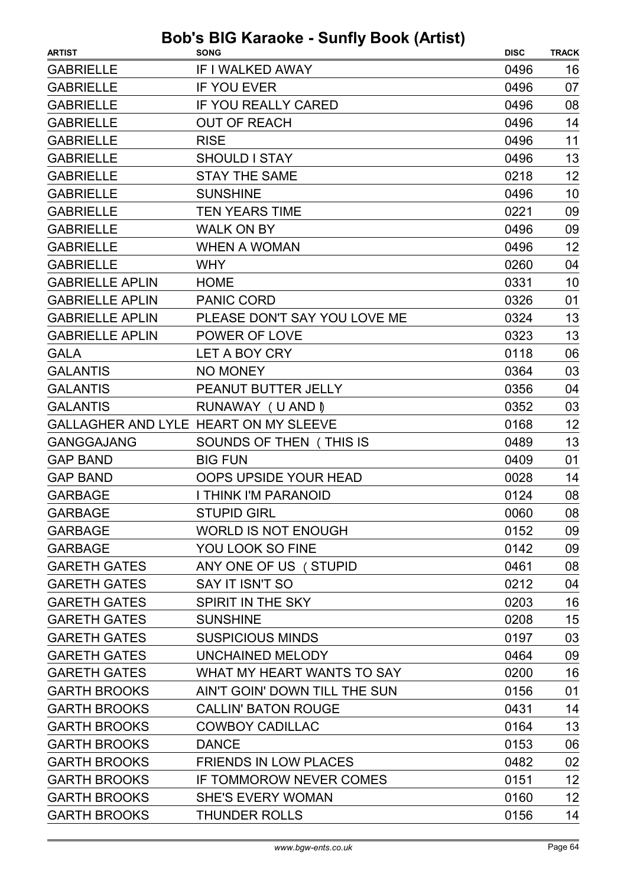| <b>ARTIST</b>          | <b>SONG</b>                           | <b>DISC</b> | <b>TRACK</b> |
|------------------------|---------------------------------------|-------------|--------------|
| <b>GABRIELLE</b>       | IF I WALKED AWAY                      | 0496        | 16           |
| <b>GABRIELLE</b>       | <b>IF YOU EVER</b>                    | 0496        | 07           |
| <b>GABRIELLE</b>       | <b>IF YOU REALLY CARED</b>            | 0496        | 08           |
| <b>GABRIELLE</b>       | <b>OUT OF REACH</b>                   | 0496        | 14           |
| <b>GABRIELLE</b>       | <b>RISE</b>                           | 0496        | 11           |
| <b>GABRIELLE</b>       | <b>SHOULD I STAY</b>                  | 0496        | 13           |
| <b>GABRIELLE</b>       | <b>STAY THE SAME</b>                  | 0218        | 12           |
| <b>GABRIELLE</b>       | <b>SUNSHINE</b>                       | 0496        | 10           |
| <b>GABRIELLE</b>       | <b>TEN YEARS TIME</b>                 | 0221        | 09           |
| <b>GABRIELLE</b>       | <b>WALK ON BY</b>                     | 0496        | 09           |
| <b>GABRIELLE</b>       | <b>WHEN A WOMAN</b>                   | 0496        | 12           |
| <b>GABRIELLE</b>       | <b>WHY</b>                            | 0260        | 04           |
| <b>GABRIELLE APLIN</b> | <b>HOME</b>                           | 0331        | 10           |
| <b>GABRIELLE APLIN</b> | <b>PANIC CORD</b>                     | 0326        | 01           |
| <b>GABRIELLE APLIN</b> | PLEASE DON'T SAY YOU LOVE ME          | 0324        | 13           |
| <b>GABRIELLE APLIN</b> | POWER OF LOVE                         | 0323        | 13           |
| <b>GALA</b>            | LET A BOY CRY                         | 0118        | 06           |
| <b>GALANTIS</b>        | <b>NO MONEY</b>                       | 0364        | 03           |
| <b>GALANTIS</b>        | PEANUT BUTTER JELLY                   | 0356        | 04           |
| <b>GALANTIS</b>        | RUNAWAY (U AND I)                     | 0352        | 03           |
|                        | GALLAGHER AND LYLE HEART ON MY SLEEVE | 0168        | 12           |
| <b>GANGGAJANG</b>      | SOUNDS OF THEN (THIS IS               | 0489        | 13           |
| <b>GAP BAND</b>        | <b>BIG FUN</b>                        | 0409        | 01           |
| <b>GAP BAND</b>        | OOPS UPSIDE YOUR HEAD                 | 0028        | 14           |
| <b>GARBAGE</b>         | I THINK I'M PARANOID                  | 0124        | 08           |
| <b>GARBAGE</b>         | <b>STUPID GIRL</b>                    | 0060        | 08           |
| <b>GARBAGE</b>         | <b>WORLD IS NOT ENOUGH</b>            | 0152        | 09           |
| <b>GARBAGE</b>         | YOU LOOK SO FINE                      | 0142        | 09           |
| <b>GARETH GATES</b>    | ANY ONE OF US (STUPID                 | 0461        | 08           |
| <b>GARETH GATES</b>    | SAY IT ISN'T SO                       | 0212        | 04           |
| <b>GARETH GATES</b>    | SPIRIT IN THE SKY                     | 0203        | 16           |
| <b>GARETH GATES</b>    | <b>SUNSHINE</b>                       | 0208        | 15           |
| <b>GARETH GATES</b>    | <b>SUSPICIOUS MINDS</b>               | 0197        | 03           |
| <b>GARETH GATES</b>    | <b>UNCHAINED MELODY</b>               | 0464        | 09           |
| <b>GARETH GATES</b>    | WHAT MY HEART WANTS TO SAY            | 0200        | 16           |
| <b>GARTH BROOKS</b>    | AIN'T GOIN' DOWN TILL THE SUN         | 0156        | 01           |
| <b>GARTH BROOKS</b>    | <b>CALLIN' BATON ROUGE</b>            | 0431        | 14           |
| <b>GARTH BROOKS</b>    | <b>COWBOY CADILLAC</b>                | 0164        | 13           |
| <b>GARTH BROOKS</b>    | <b>DANCE</b>                          | 0153        | 06           |
| <b>GARTH BROOKS</b>    | <b>FRIENDS IN LOW PLACES</b>          | 0482        | 02           |
| <b>GARTH BROOKS</b>    | IF TOMMOROW NEVER COMES               | 0151        | 12           |
| <b>GARTH BROOKS</b>    | <b>SHE'S EVERY WOMAN</b>              | 0160        | 12           |
| <b>GARTH BROOKS</b>    | <b>THUNDER ROLLS</b>                  | 0156        | 14           |
|                        |                                       |             |              |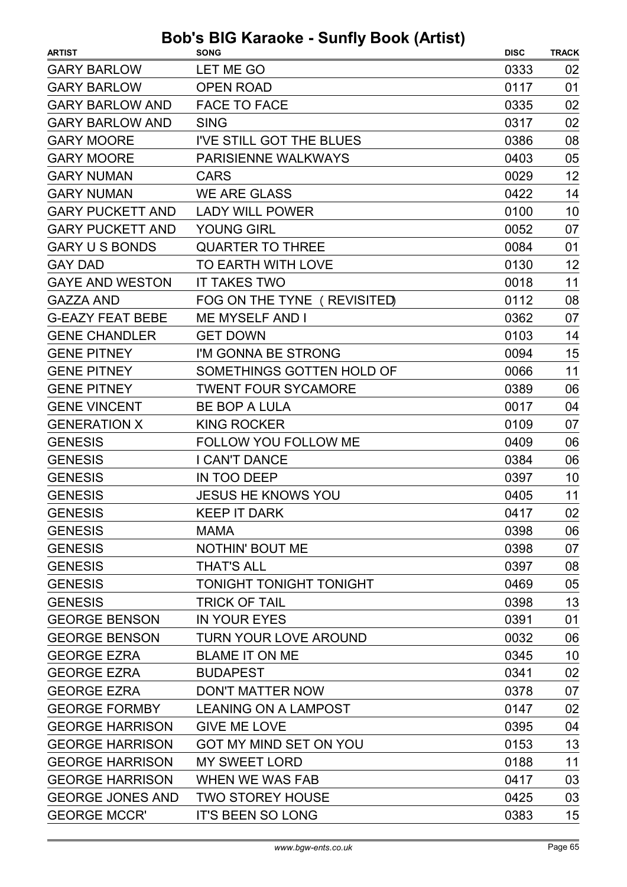| <b>ARTIST</b>           | <b>DUD 3 DIO RAIGURE - JUINTY DUUR (AILIJI)</b><br><b>SONG</b> | <b>DISC</b> | <b>TRACK</b> |
|-------------------------|----------------------------------------------------------------|-------------|--------------|
| <b>GARY BARLOW</b>      | LET ME GO                                                      | 0333        | 02           |
| <b>GARY BARLOW</b>      | <b>OPEN ROAD</b>                                               | 0117        | 01           |
| <b>GARY BARLOW AND</b>  | <b>FACE TO FACE</b>                                            | 0335        | 02           |
| <b>GARY BARLOW AND</b>  | <b>SING</b>                                                    | 0317        | 02           |
| <b>GARY MOORE</b>       | I'VE STILL GOT THE BLUES                                       | 0386        | 08           |
| <b>GARY MOORE</b>       | PARISIENNE WALKWAYS                                            | 0403        | 05           |
| <b>GARY NUMAN</b>       | <b>CARS</b>                                                    | 0029        | 12           |
| <b>GARY NUMAN</b>       | <b>WE ARE GLASS</b>                                            | 0422        | 14           |
| <b>GARY PUCKETT AND</b> | <b>LADY WILL POWER</b>                                         | 0100        | 10           |
| <b>GARY PUCKETT AND</b> | <b>YOUNG GIRL</b>                                              | 0052        | 07           |
| <b>GARY U S BONDS</b>   | <b>QUARTER TO THREE</b>                                        | 0084        | 01           |
| <b>GAY DAD</b>          | TO EARTH WITH LOVE                                             | 0130        | 12           |
| <b>GAYE AND WESTON</b>  | <b>IT TAKES TWO</b>                                            | 0018        | 11           |
| <b>GAZZA AND</b>        | FOG ON THE TYNE ( REVISITED)                                   | 0112        | 08           |
| <b>G-EAZY FEAT BEBE</b> | <b>ME MYSELF AND I</b>                                         | 0362        | 07           |
| <b>GENE CHANDLER</b>    | <b>GET DOWN</b>                                                | 0103        | 14           |
| <b>GENE PITNEY</b>      | I'M GONNA BE STRONG                                            | 0094        | 15           |
| <b>GENE PITNEY</b>      | SOMETHINGS GOTTEN HOLD OF                                      | 0066        | 11           |
| <b>GENE PITNEY</b>      | <b>TWENT FOUR SYCAMORE</b>                                     | 0389        | 06           |
| <b>GENE VINCENT</b>     | <b>BE BOP A LULA</b>                                           | 0017        | 04           |
| <b>GENERATION X</b>     | <b>KING ROCKER</b>                                             | 0109        | 07           |
| <b>GENESIS</b>          | FOLLOW YOU FOLLOW ME                                           | 0409        | 06           |
| <b>GENESIS</b>          | I CAN'T DANCE                                                  | 0384        | 06           |
| <b>GENESIS</b>          | IN TOO DEEP                                                    | 0397        | 10           |
| <b>GENESIS</b>          | <b>JESUS HE KNOWS YOU</b>                                      | 0405        | 11           |
| <b>GENESIS</b>          | <b>KEEP IT DARK</b>                                            | 0417        | 02           |
| <b>GENESIS</b>          | <b>MAMA</b>                                                    | 0398        | 06           |
| <b>GENESIS</b>          | <b>NOTHIN' BOUT ME</b>                                         | 0398        | 07           |
| <b>GENESIS</b>          | <b>THAT'S ALL</b>                                              | 0397        | 08           |
| <b>GENESIS</b>          | <b>TONIGHT TONIGHT TONIGHT</b>                                 | 0469        | 05           |
| <b>GENESIS</b>          | <b>TRICK OF TAIL</b>                                           | 0398        | 13           |
| <b>GEORGE BENSON</b>    | <b>IN YOUR EYES</b>                                            | 0391        | 01           |
| <b>GEORGE BENSON</b>    | <b>TURN YOUR LOVE AROUND</b>                                   | 0032        | 06           |
| <b>GEORGE EZRA</b>      | <b>BLAME IT ON ME</b>                                          | 0345        | 10           |
| <b>GEORGE EZRA</b>      | <b>BUDAPEST</b>                                                | 0341        | 02           |
| <b>GEORGE EZRA</b>      | <b>DON'T MATTER NOW</b>                                        | 0378        | 07           |
| <b>GEORGE FORMBY</b>    | <b>LEANING ON A LAMPOST</b>                                    | 0147        | 02           |
| <b>GEORGE HARRISON</b>  | <b>GIVE ME LOVE</b>                                            | 0395        | 04           |
| <b>GEORGE HARRISON</b>  | GOT MY MIND SET ON YOU                                         | 0153        | 13           |
| <b>GEORGE HARRISON</b>  | <b>MY SWEET LORD</b>                                           | 0188        | 11           |
| <b>GEORGE HARRISON</b>  | <b>WHEN WE WAS FAB</b>                                         | 0417        | 03           |
| <b>GEORGE JONES AND</b> | <b>TWO STOREY HOUSE</b>                                        | 0425        | 03           |
| <b>GEORGE MCCR'</b>     | <b>IT'S BEEN SO LONG</b>                                       | 0383        | 15           |
|                         |                                                                |             |              |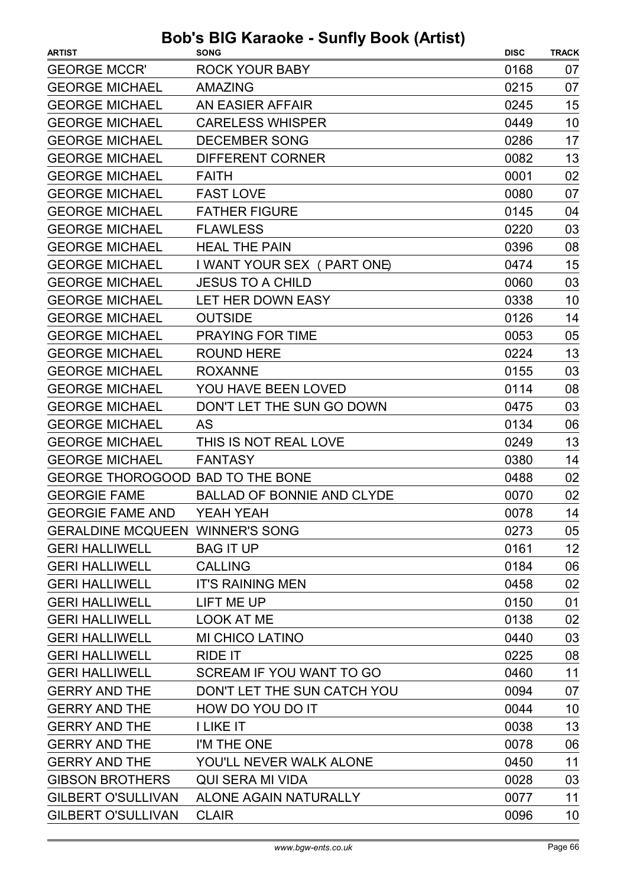| <b>GEORGE MCCR'</b><br><b>ROCK YOUR BABY</b><br>0168<br>07<br><b>GEORGE MICHAEL</b><br>07<br><b>AMAZING</b><br>0215<br>15<br><b>GEORGE MICHAEL</b><br>0245<br>AN EASIER AFFAIR<br>10<br><b>GEORGE MICHAEL</b><br><b>CARELESS WHISPER</b><br>0449<br>17<br><b>GEORGE MICHAEL</b><br><b>DECEMBER SONG</b><br>0286<br>13<br><b>GEORGE MICHAEL</b><br><b>DIFFERENT CORNER</b><br>0082<br>02<br><b>GEORGE MICHAEL</b><br><b>FAITH</b><br>0001<br>07<br><b>GEORGE MICHAEL</b><br>0080<br><b>FAST LOVE</b><br><b>GEORGE MICHAEL</b><br><b>FATHER FIGURE</b><br>0145<br>04<br>03<br><b>GEORGE MICHAEL</b><br>0220<br><b>FLAWLESS</b><br><b>HEAL THE PAIN</b><br><b>GEORGE MICHAEL</b><br>08<br>0396<br>15<br><b>GEORGE MICHAEL</b><br>I WANT YOUR SEX ( PART ONE)<br>0474<br>03<br><b>GEORGE MICHAEL</b><br>0060<br><b>JESUS TO A CHILD</b><br><b>GEORGE MICHAEL</b><br>LET HER DOWN EASY<br>0338<br>10<br>14<br><b>GEORGE MICHAEL</b><br><b>OUTSIDE</b><br>0126<br><b>GEORGE MICHAEL</b><br><b>PRAYING FOR TIME</b><br>05<br>0053<br>13<br><b>GEORGE MICHAEL</b><br><b>ROUND HERE</b><br>0224<br>03<br><b>GEORGE MICHAEL</b><br><b>ROXANNE</b><br>0155<br>08<br><b>GEORGE MICHAEL</b><br>YOU HAVE BEEN LOVED<br>0114<br>03<br><b>GEORGE MICHAEL</b><br>DON'T LET THE SUN GO DOWN<br>0475<br>06<br><b>GEORGE MICHAEL</b><br><b>AS</b><br>0134<br>13<br><b>GEORGE MICHAEL</b><br>THIS IS NOT REAL LOVE<br>0249<br><b>GEORGE MICHAEL</b><br>14<br><b>FANTASY</b><br>0380<br>GEORGE THOROGOOD BAD TO THE BONE<br>0488<br>02<br><b>BALLAD OF BONNIE AND CLYDE</b><br>02<br><b>GEORGIE FAME</b><br>0070<br>0078<br>14<br><b>GEORGIE FAME AND</b><br>YEAH YEAH<br><b>GERALDINE MCQUEEN WINNER'S SONG</b><br>0273<br>05<br>12<br><b>BAG IT UP</b><br>0161<br><b>GERI HALLIWELL</b><br>06<br><b>GERI HALLIWELL</b><br><b>CALLING</b><br>0184<br>02<br><b>GERI HALLIWELL</b><br><b>IT'S RAINING MEN</b><br>0458<br>LIFT ME UP<br>0150<br>01<br><b>GERI HALLIWELL</b><br><b>GERI HALLIWELL</b><br><b>LOOK AT ME</b><br>0138<br>02<br><b>MI CHICO LATINO</b><br>03<br><b>GERI HALLIWELL</b><br>0440<br>08<br><b>GERI HALLIWELL</b><br><b>RIDE IT</b><br>0225<br>11<br><b>GERI HALLIWELL</b><br>SCREAM IF YOU WANT TO GO<br>0460<br>DON'T LET THE SUN CATCH YOU<br>0094<br>07<br><b>GERRY AND THE</b><br><b>GERRY AND THE</b><br>TI OQ VOU DO IT<br>10<br>0044<br>13<br><b>I LIKE IT</b><br><b>GERRY AND THE</b><br>0038<br>06<br><b>GERRY AND THE</b><br>I'M THE ONE<br>0078<br>11<br><b>GERRY AND THE</b><br>YOU'LL NEVER WALK ALONE<br>0450<br><b>GIBSON BROTHERS</b><br><b>QUI SERA MI VIDA</b><br>0028<br>03<br><b>GILBERT O'SULLIVAN</b><br>11<br>ALONE AGAIN NATURALLY<br>0077 | <b>ARTIST</b>             | avno oanny i<br><b>SONG</b> | <b>DISC</b> | <b>TRACK</b> |
|-------------------------------------------------------------------------------------------------------------------------------------------------------------------------------------------------------------------------------------------------------------------------------------------------------------------------------------------------------------------------------------------------------------------------------------------------------------------------------------------------------------------------------------------------------------------------------------------------------------------------------------------------------------------------------------------------------------------------------------------------------------------------------------------------------------------------------------------------------------------------------------------------------------------------------------------------------------------------------------------------------------------------------------------------------------------------------------------------------------------------------------------------------------------------------------------------------------------------------------------------------------------------------------------------------------------------------------------------------------------------------------------------------------------------------------------------------------------------------------------------------------------------------------------------------------------------------------------------------------------------------------------------------------------------------------------------------------------------------------------------------------------------------------------------------------------------------------------------------------------------------------------------------------------------------------------------------------------------------------------------------------------------------------------------------------------------------------------------------------------------------------------------------------------------------------------------------------------------------------------------------------------------------------------------------------------------------------------------------------------------------------------------------------------------------------------------------------------------------------------------------------------------------------------------------------------------------------------------------------------------------------------------------------------|---------------------------|-----------------------------|-------------|--------------|
|                                                                                                                                                                                                                                                                                                                                                                                                                                                                                                                                                                                                                                                                                                                                                                                                                                                                                                                                                                                                                                                                                                                                                                                                                                                                                                                                                                                                                                                                                                                                                                                                                                                                                                                                                                                                                                                                                                                                                                                                                                                                                                                                                                                                                                                                                                                                                                                                                                                                                                                                                                                                                                                                   |                           |                             |             |              |
|                                                                                                                                                                                                                                                                                                                                                                                                                                                                                                                                                                                                                                                                                                                                                                                                                                                                                                                                                                                                                                                                                                                                                                                                                                                                                                                                                                                                                                                                                                                                                                                                                                                                                                                                                                                                                                                                                                                                                                                                                                                                                                                                                                                                                                                                                                                                                                                                                                                                                                                                                                                                                                                                   |                           |                             |             |              |
|                                                                                                                                                                                                                                                                                                                                                                                                                                                                                                                                                                                                                                                                                                                                                                                                                                                                                                                                                                                                                                                                                                                                                                                                                                                                                                                                                                                                                                                                                                                                                                                                                                                                                                                                                                                                                                                                                                                                                                                                                                                                                                                                                                                                                                                                                                                                                                                                                                                                                                                                                                                                                                                                   |                           |                             |             |              |
|                                                                                                                                                                                                                                                                                                                                                                                                                                                                                                                                                                                                                                                                                                                                                                                                                                                                                                                                                                                                                                                                                                                                                                                                                                                                                                                                                                                                                                                                                                                                                                                                                                                                                                                                                                                                                                                                                                                                                                                                                                                                                                                                                                                                                                                                                                                                                                                                                                                                                                                                                                                                                                                                   |                           |                             |             |              |
|                                                                                                                                                                                                                                                                                                                                                                                                                                                                                                                                                                                                                                                                                                                                                                                                                                                                                                                                                                                                                                                                                                                                                                                                                                                                                                                                                                                                                                                                                                                                                                                                                                                                                                                                                                                                                                                                                                                                                                                                                                                                                                                                                                                                                                                                                                                                                                                                                                                                                                                                                                                                                                                                   |                           |                             |             |              |
|                                                                                                                                                                                                                                                                                                                                                                                                                                                                                                                                                                                                                                                                                                                                                                                                                                                                                                                                                                                                                                                                                                                                                                                                                                                                                                                                                                                                                                                                                                                                                                                                                                                                                                                                                                                                                                                                                                                                                                                                                                                                                                                                                                                                                                                                                                                                                                                                                                                                                                                                                                                                                                                                   |                           |                             |             |              |
|                                                                                                                                                                                                                                                                                                                                                                                                                                                                                                                                                                                                                                                                                                                                                                                                                                                                                                                                                                                                                                                                                                                                                                                                                                                                                                                                                                                                                                                                                                                                                                                                                                                                                                                                                                                                                                                                                                                                                                                                                                                                                                                                                                                                                                                                                                                                                                                                                                                                                                                                                                                                                                                                   |                           |                             |             |              |
|                                                                                                                                                                                                                                                                                                                                                                                                                                                                                                                                                                                                                                                                                                                                                                                                                                                                                                                                                                                                                                                                                                                                                                                                                                                                                                                                                                                                                                                                                                                                                                                                                                                                                                                                                                                                                                                                                                                                                                                                                                                                                                                                                                                                                                                                                                                                                                                                                                                                                                                                                                                                                                                                   |                           |                             |             |              |
|                                                                                                                                                                                                                                                                                                                                                                                                                                                                                                                                                                                                                                                                                                                                                                                                                                                                                                                                                                                                                                                                                                                                                                                                                                                                                                                                                                                                                                                                                                                                                                                                                                                                                                                                                                                                                                                                                                                                                                                                                                                                                                                                                                                                                                                                                                                                                                                                                                                                                                                                                                                                                                                                   |                           |                             |             |              |
|                                                                                                                                                                                                                                                                                                                                                                                                                                                                                                                                                                                                                                                                                                                                                                                                                                                                                                                                                                                                                                                                                                                                                                                                                                                                                                                                                                                                                                                                                                                                                                                                                                                                                                                                                                                                                                                                                                                                                                                                                                                                                                                                                                                                                                                                                                                                                                                                                                                                                                                                                                                                                                                                   |                           |                             |             |              |
|                                                                                                                                                                                                                                                                                                                                                                                                                                                                                                                                                                                                                                                                                                                                                                                                                                                                                                                                                                                                                                                                                                                                                                                                                                                                                                                                                                                                                                                                                                                                                                                                                                                                                                                                                                                                                                                                                                                                                                                                                                                                                                                                                                                                                                                                                                                                                                                                                                                                                                                                                                                                                                                                   |                           |                             |             |              |
|                                                                                                                                                                                                                                                                                                                                                                                                                                                                                                                                                                                                                                                                                                                                                                                                                                                                                                                                                                                                                                                                                                                                                                                                                                                                                                                                                                                                                                                                                                                                                                                                                                                                                                                                                                                                                                                                                                                                                                                                                                                                                                                                                                                                                                                                                                                                                                                                                                                                                                                                                                                                                                                                   |                           |                             |             |              |
|                                                                                                                                                                                                                                                                                                                                                                                                                                                                                                                                                                                                                                                                                                                                                                                                                                                                                                                                                                                                                                                                                                                                                                                                                                                                                                                                                                                                                                                                                                                                                                                                                                                                                                                                                                                                                                                                                                                                                                                                                                                                                                                                                                                                                                                                                                                                                                                                                                                                                                                                                                                                                                                                   |                           |                             |             |              |
|                                                                                                                                                                                                                                                                                                                                                                                                                                                                                                                                                                                                                                                                                                                                                                                                                                                                                                                                                                                                                                                                                                                                                                                                                                                                                                                                                                                                                                                                                                                                                                                                                                                                                                                                                                                                                                                                                                                                                                                                                                                                                                                                                                                                                                                                                                                                                                                                                                                                                                                                                                                                                                                                   |                           |                             |             |              |
|                                                                                                                                                                                                                                                                                                                                                                                                                                                                                                                                                                                                                                                                                                                                                                                                                                                                                                                                                                                                                                                                                                                                                                                                                                                                                                                                                                                                                                                                                                                                                                                                                                                                                                                                                                                                                                                                                                                                                                                                                                                                                                                                                                                                                                                                                                                                                                                                                                                                                                                                                                                                                                                                   |                           |                             |             |              |
|                                                                                                                                                                                                                                                                                                                                                                                                                                                                                                                                                                                                                                                                                                                                                                                                                                                                                                                                                                                                                                                                                                                                                                                                                                                                                                                                                                                                                                                                                                                                                                                                                                                                                                                                                                                                                                                                                                                                                                                                                                                                                                                                                                                                                                                                                                                                                                                                                                                                                                                                                                                                                                                                   |                           |                             |             |              |
|                                                                                                                                                                                                                                                                                                                                                                                                                                                                                                                                                                                                                                                                                                                                                                                                                                                                                                                                                                                                                                                                                                                                                                                                                                                                                                                                                                                                                                                                                                                                                                                                                                                                                                                                                                                                                                                                                                                                                                                                                                                                                                                                                                                                                                                                                                                                                                                                                                                                                                                                                                                                                                                                   |                           |                             |             |              |
|                                                                                                                                                                                                                                                                                                                                                                                                                                                                                                                                                                                                                                                                                                                                                                                                                                                                                                                                                                                                                                                                                                                                                                                                                                                                                                                                                                                                                                                                                                                                                                                                                                                                                                                                                                                                                                                                                                                                                                                                                                                                                                                                                                                                                                                                                                                                                                                                                                                                                                                                                                                                                                                                   |                           |                             |             |              |
|                                                                                                                                                                                                                                                                                                                                                                                                                                                                                                                                                                                                                                                                                                                                                                                                                                                                                                                                                                                                                                                                                                                                                                                                                                                                                                                                                                                                                                                                                                                                                                                                                                                                                                                                                                                                                                                                                                                                                                                                                                                                                                                                                                                                                                                                                                                                                                                                                                                                                                                                                                                                                                                                   |                           |                             |             |              |
|                                                                                                                                                                                                                                                                                                                                                                                                                                                                                                                                                                                                                                                                                                                                                                                                                                                                                                                                                                                                                                                                                                                                                                                                                                                                                                                                                                                                                                                                                                                                                                                                                                                                                                                                                                                                                                                                                                                                                                                                                                                                                                                                                                                                                                                                                                                                                                                                                                                                                                                                                                                                                                                                   |                           |                             |             |              |
|                                                                                                                                                                                                                                                                                                                                                                                                                                                                                                                                                                                                                                                                                                                                                                                                                                                                                                                                                                                                                                                                                                                                                                                                                                                                                                                                                                                                                                                                                                                                                                                                                                                                                                                                                                                                                                                                                                                                                                                                                                                                                                                                                                                                                                                                                                                                                                                                                                                                                                                                                                                                                                                                   |                           |                             |             |              |
|                                                                                                                                                                                                                                                                                                                                                                                                                                                                                                                                                                                                                                                                                                                                                                                                                                                                                                                                                                                                                                                                                                                                                                                                                                                                                                                                                                                                                                                                                                                                                                                                                                                                                                                                                                                                                                                                                                                                                                                                                                                                                                                                                                                                                                                                                                                                                                                                                                                                                                                                                                                                                                                                   |                           |                             |             |              |
|                                                                                                                                                                                                                                                                                                                                                                                                                                                                                                                                                                                                                                                                                                                                                                                                                                                                                                                                                                                                                                                                                                                                                                                                                                                                                                                                                                                                                                                                                                                                                                                                                                                                                                                                                                                                                                                                                                                                                                                                                                                                                                                                                                                                                                                                                                                                                                                                                                                                                                                                                                                                                                                                   |                           |                             |             |              |
|                                                                                                                                                                                                                                                                                                                                                                                                                                                                                                                                                                                                                                                                                                                                                                                                                                                                                                                                                                                                                                                                                                                                                                                                                                                                                                                                                                                                                                                                                                                                                                                                                                                                                                                                                                                                                                                                                                                                                                                                                                                                                                                                                                                                                                                                                                                                                                                                                                                                                                                                                                                                                                                                   |                           |                             |             |              |
|                                                                                                                                                                                                                                                                                                                                                                                                                                                                                                                                                                                                                                                                                                                                                                                                                                                                                                                                                                                                                                                                                                                                                                                                                                                                                                                                                                                                                                                                                                                                                                                                                                                                                                                                                                                                                                                                                                                                                                                                                                                                                                                                                                                                                                                                                                                                                                                                                                                                                                                                                                                                                                                                   |                           |                             |             |              |
|                                                                                                                                                                                                                                                                                                                                                                                                                                                                                                                                                                                                                                                                                                                                                                                                                                                                                                                                                                                                                                                                                                                                                                                                                                                                                                                                                                                                                                                                                                                                                                                                                                                                                                                                                                                                                                                                                                                                                                                                                                                                                                                                                                                                                                                                                                                                                                                                                                                                                                                                                                                                                                                                   |                           |                             |             |              |
|                                                                                                                                                                                                                                                                                                                                                                                                                                                                                                                                                                                                                                                                                                                                                                                                                                                                                                                                                                                                                                                                                                                                                                                                                                                                                                                                                                                                                                                                                                                                                                                                                                                                                                                                                                                                                                                                                                                                                                                                                                                                                                                                                                                                                                                                                                                                                                                                                                                                                                                                                                                                                                                                   |                           |                             |             |              |
|                                                                                                                                                                                                                                                                                                                                                                                                                                                                                                                                                                                                                                                                                                                                                                                                                                                                                                                                                                                                                                                                                                                                                                                                                                                                                                                                                                                                                                                                                                                                                                                                                                                                                                                                                                                                                                                                                                                                                                                                                                                                                                                                                                                                                                                                                                                                                                                                                                                                                                                                                                                                                                                                   |                           |                             |             |              |
|                                                                                                                                                                                                                                                                                                                                                                                                                                                                                                                                                                                                                                                                                                                                                                                                                                                                                                                                                                                                                                                                                                                                                                                                                                                                                                                                                                                                                                                                                                                                                                                                                                                                                                                                                                                                                                                                                                                                                                                                                                                                                                                                                                                                                                                                                                                                                                                                                                                                                                                                                                                                                                                                   |                           |                             |             |              |
|                                                                                                                                                                                                                                                                                                                                                                                                                                                                                                                                                                                                                                                                                                                                                                                                                                                                                                                                                                                                                                                                                                                                                                                                                                                                                                                                                                                                                                                                                                                                                                                                                                                                                                                                                                                                                                                                                                                                                                                                                                                                                                                                                                                                                                                                                                                                                                                                                                                                                                                                                                                                                                                                   |                           |                             |             |              |
|                                                                                                                                                                                                                                                                                                                                                                                                                                                                                                                                                                                                                                                                                                                                                                                                                                                                                                                                                                                                                                                                                                                                                                                                                                                                                                                                                                                                                                                                                                                                                                                                                                                                                                                                                                                                                                                                                                                                                                                                                                                                                                                                                                                                                                                                                                                                                                                                                                                                                                                                                                                                                                                                   |                           |                             |             |              |
|                                                                                                                                                                                                                                                                                                                                                                                                                                                                                                                                                                                                                                                                                                                                                                                                                                                                                                                                                                                                                                                                                                                                                                                                                                                                                                                                                                                                                                                                                                                                                                                                                                                                                                                                                                                                                                                                                                                                                                                                                                                                                                                                                                                                                                                                                                                                                                                                                                                                                                                                                                                                                                                                   |                           |                             |             |              |
|                                                                                                                                                                                                                                                                                                                                                                                                                                                                                                                                                                                                                                                                                                                                                                                                                                                                                                                                                                                                                                                                                                                                                                                                                                                                                                                                                                                                                                                                                                                                                                                                                                                                                                                                                                                                                                                                                                                                                                                                                                                                                                                                                                                                                                                                                                                                                                                                                                                                                                                                                                                                                                                                   |                           |                             |             |              |
|                                                                                                                                                                                                                                                                                                                                                                                                                                                                                                                                                                                                                                                                                                                                                                                                                                                                                                                                                                                                                                                                                                                                                                                                                                                                                                                                                                                                                                                                                                                                                                                                                                                                                                                                                                                                                                                                                                                                                                                                                                                                                                                                                                                                                                                                                                                                                                                                                                                                                                                                                                                                                                                                   |                           |                             |             |              |
|                                                                                                                                                                                                                                                                                                                                                                                                                                                                                                                                                                                                                                                                                                                                                                                                                                                                                                                                                                                                                                                                                                                                                                                                                                                                                                                                                                                                                                                                                                                                                                                                                                                                                                                                                                                                                                                                                                                                                                                                                                                                                                                                                                                                                                                                                                                                                                                                                                                                                                                                                                                                                                                                   |                           |                             |             |              |
|                                                                                                                                                                                                                                                                                                                                                                                                                                                                                                                                                                                                                                                                                                                                                                                                                                                                                                                                                                                                                                                                                                                                                                                                                                                                                                                                                                                                                                                                                                                                                                                                                                                                                                                                                                                                                                                                                                                                                                                                                                                                                                                                                                                                                                                                                                                                                                                                                                                                                                                                                                                                                                                                   |                           |                             |             |              |
|                                                                                                                                                                                                                                                                                                                                                                                                                                                                                                                                                                                                                                                                                                                                                                                                                                                                                                                                                                                                                                                                                                                                                                                                                                                                                                                                                                                                                                                                                                                                                                                                                                                                                                                                                                                                                                                                                                                                                                                                                                                                                                                                                                                                                                                                                                                                                                                                                                                                                                                                                                                                                                                                   |                           |                             |             |              |
|                                                                                                                                                                                                                                                                                                                                                                                                                                                                                                                                                                                                                                                                                                                                                                                                                                                                                                                                                                                                                                                                                                                                                                                                                                                                                                                                                                                                                                                                                                                                                                                                                                                                                                                                                                                                                                                                                                                                                                                                                                                                                                                                                                                                                                                                                                                                                                                                                                                                                                                                                                                                                                                                   |                           |                             |             |              |
|                                                                                                                                                                                                                                                                                                                                                                                                                                                                                                                                                                                                                                                                                                                                                                                                                                                                                                                                                                                                                                                                                                                                                                                                                                                                                                                                                                                                                                                                                                                                                                                                                                                                                                                                                                                                                                                                                                                                                                                                                                                                                                                                                                                                                                                                                                                                                                                                                                                                                                                                                                                                                                                                   |                           |                             |             |              |
|                                                                                                                                                                                                                                                                                                                                                                                                                                                                                                                                                                                                                                                                                                                                                                                                                                                                                                                                                                                                                                                                                                                                                                                                                                                                                                                                                                                                                                                                                                                                                                                                                                                                                                                                                                                                                                                                                                                                                                                                                                                                                                                                                                                                                                                                                                                                                                                                                                                                                                                                                                                                                                                                   |                           |                             |             |              |
|                                                                                                                                                                                                                                                                                                                                                                                                                                                                                                                                                                                                                                                                                                                                                                                                                                                                                                                                                                                                                                                                                                                                                                                                                                                                                                                                                                                                                                                                                                                                                                                                                                                                                                                                                                                                                                                                                                                                                                                                                                                                                                                                                                                                                                                                                                                                                                                                                                                                                                                                                                                                                                                                   |                           |                             |             |              |
|                                                                                                                                                                                                                                                                                                                                                                                                                                                                                                                                                                                                                                                                                                                                                                                                                                                                                                                                                                                                                                                                                                                                                                                                                                                                                                                                                                                                                                                                                                                                                                                                                                                                                                                                                                                                                                                                                                                                                                                                                                                                                                                                                                                                                                                                                                                                                                                                                                                                                                                                                                                                                                                                   |                           |                             |             |              |
|                                                                                                                                                                                                                                                                                                                                                                                                                                                                                                                                                                                                                                                                                                                                                                                                                                                                                                                                                                                                                                                                                                                                                                                                                                                                                                                                                                                                                                                                                                                                                                                                                                                                                                                                                                                                                                                                                                                                                                                                                                                                                                                                                                                                                                                                                                                                                                                                                                                                                                                                                                                                                                                                   | <b>GILBERT O'SULLIVAN</b> | <b>CLAIR</b>                | 0096        | 10           |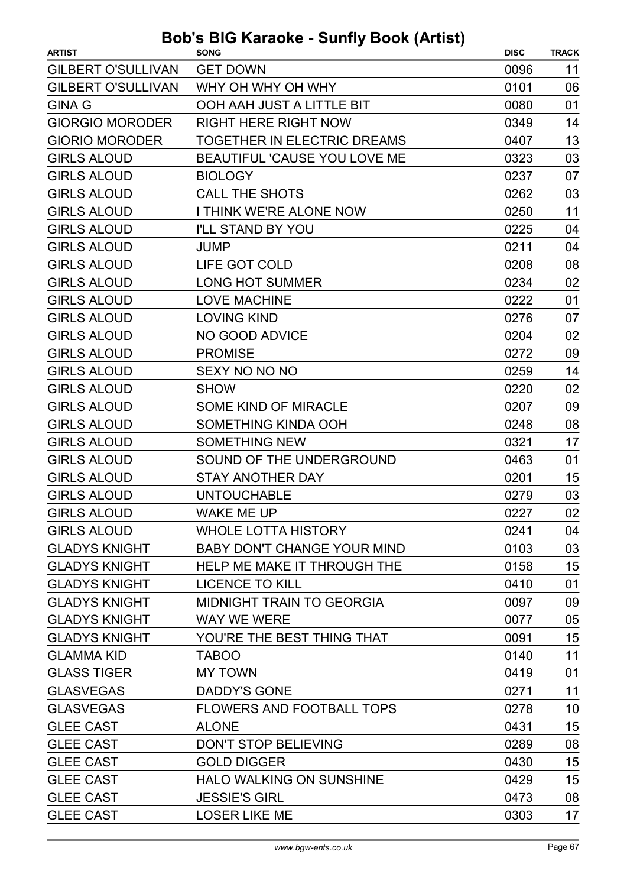| <b>ARTIST</b>             | <b>SONG</b>                         | <b>DISC</b> | <b>TRACK</b> |
|---------------------------|-------------------------------------|-------------|--------------|
| <b>GILBERT O'SULLIVAN</b> | <b>GET DOWN</b>                     | 0096        | 11           |
| <b>GILBERT O'SULLIVAN</b> | WHY OH WHY OH WHY                   | 0101        | 06           |
| <b>GINA G</b>             | OOH AAH JUST A LITTLE BIT           | 0080        | 01           |
| <b>GIORGIO MORODER</b>    | <b>RIGHT HERE RIGHT NOW</b>         | 0349        | 14           |
| <b>GIORIO MORODER</b>     | TOGETHER IN ELECTRIC DREAMS         | 0407        | 13           |
| <b>GIRLS ALOUD</b>        | <b>BEAUTIFUL 'CAUSE YOU LOVE ME</b> | 0323        | 03           |
| <b>GIRLS ALOUD</b>        | <b>BIOLOGY</b>                      | 0237        | 07           |
| <b>GIRLS ALOUD</b>        | CALL THE SHOTS                      | 0262        | 03           |
| <b>GIRLS ALOUD</b>        | <b>I THINK WE'RE ALONE NOW</b>      | 0250        | 11           |
| <b>GIRLS ALOUD</b>        | <b>I'LL STAND BY YOU</b>            | 0225        | 04           |
| <b>GIRLS ALOUD</b>        | JUMP                                | 0211        | 04           |
| <b>GIRLS ALOUD</b>        | LIFE GOT COLD                       | 0208        | 08           |
| <b>GIRLS ALOUD</b>        | <b>LONG HOT SUMMER</b>              | 0234        | 02           |
| <b>GIRLS ALOUD</b>        | <b>LOVE MACHINE</b>                 | 0222        | 01           |
| <b>GIRLS ALOUD</b>        | <b>LOVING KIND</b>                  | 0276        | 07           |
| <b>GIRLS ALOUD</b>        | NO GOOD ADVICE                      | 0204        | 02           |
| <b>GIRLS ALOUD</b>        | <b>PROMISE</b>                      | 0272        | 09           |
| <b>GIRLS ALOUD</b>        | SEXY NO NO NO                       | 0259        | 14           |
| <b>GIRLS ALOUD</b>        | <b>SHOW</b>                         | 0220        | 02           |
| <b>GIRLS ALOUD</b>        | <b>SOME KIND OF MIRACLE</b>         | 0207        | 09           |
| <b>GIRLS ALOUD</b>        | SOMETHING KINDA OOH                 | 0248        | 08           |
| <b>GIRLS ALOUD</b>        | <b>SOMETHING NEW</b>                | 0321        | 17           |
| <b>GIRLS ALOUD</b>        | SOUND OF THE UNDERGROUND            | 0463        | 01           |
| <b>GIRLS ALOUD</b>        | <b>STAY ANOTHER DAY</b>             | 0201        | 15           |
| <b>GIRLS ALOUD</b>        | <b>UNTOUCHABLE</b>                  | 0279        | 03           |
| <b>GIRLS ALOUD</b>        | WAKE ME UP                          | 0227        | 02           |
| <b>GIRLS ALOUD</b>        | WHOLE LOTTA HISTORY                 | 0241        | 04           |
| <b>GLADYS KNIGHT</b>      | <b>BABY DON'T CHANGE YOUR MIND</b>  | 0103        | 03           |
| <b>GLADYS KNIGHT</b>      | HELP ME MAKE IT THROUGH THE         | 0158        | 15           |
| <b>GLADYS KNIGHT</b>      | <b>LICENCE TO KILL</b>              | 0410        | 01           |
| <b>GLADYS KNIGHT</b>      | <b>MIDNIGHT TRAIN TO GEORGIA</b>    | 0097        | 09           |
| <b>GLADYS KNIGHT</b>      | <b>WAY WE WERE</b>                  | 0077        | 05           |
| <b>GLADYS KNIGHT</b>      | YOU'RE THE BEST THING THAT          | 0091        | 15           |
| <b>GLAMMA KID</b>         | <b>TABOO</b>                        | 0140        | 11           |
| <b>GLASS TIGER</b>        | <b>MY TOWN</b>                      | 0419        | 01           |
| <b>GLASVEGAS</b>          | <b>DADDY'S GONE</b>                 | 0271        | 11           |
| <b>GLASVEGAS</b>          | FLOWERS AND FOOTBALL TOPS           | 0278        | 10           |
| <b>GLEE CAST</b>          | <b>ALONE</b>                        | 0431        | 15           |
| <b>GLEE CAST</b>          | <b>DON'T STOP BELIEVING</b>         | 0289        | 08           |
| <b>GLEE CAST</b>          | <b>GOLD DIGGER</b>                  | 0430        | 15           |
| <b>GLEE CAST</b>          | <b>HALO WALKING ON SUNSHINE</b>     | 0429        | 15           |
| <b>GLEE CAST</b>          | <b>JESSIE'S GIRL</b>                | 0473        | 08           |
| <b>GLEE CAST</b>          | <b>LOSER LIKE ME</b>                | 0303        | 17           |
|                           |                                     |             |              |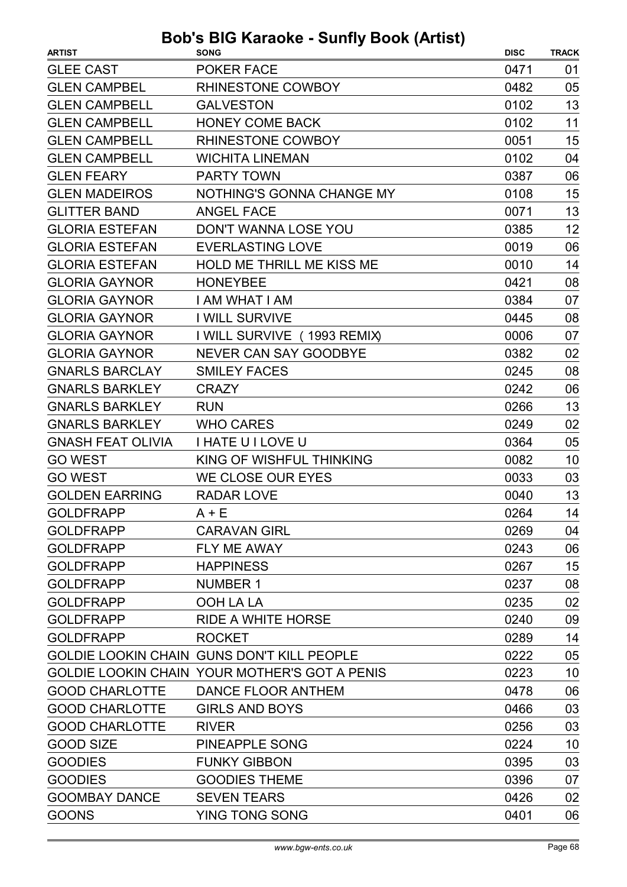| <b>ARTIST</b>            | <b>SONG</b>                                       | <b>DISC</b> | <b>TRACK</b> |
|--------------------------|---------------------------------------------------|-------------|--------------|
| <b>GLEE CAST</b>         | <b>POKER FACE</b>                                 | 0471        | 01           |
| <b>GLEN CAMPBEL</b>      | RHINESTONE COWBOY                                 | 0482        | 05           |
| <b>GLEN CAMPBELL</b>     | <b>GALVESTON</b>                                  | 0102        | 13           |
| <b>GLEN CAMPBELL</b>     | <b>HONEY COME BACK</b>                            | 0102        | 11           |
| <b>GLEN CAMPBELL</b>     | <b>RHINESTONE COWBOY</b>                          | 0051        | 15           |
| <b>GLEN CAMPBELL</b>     | <b>WICHITA LINEMAN</b>                            | 0102        | 04           |
| <b>GLEN FEARY</b>        | <b>PARTY TOWN</b>                                 | 0387        | 06           |
| <b>GLEN MADEIROS</b>     | NOTHING'S GONNA CHANGE MY                         | 0108        | 15           |
| <b>GLITTER BAND</b>      | <b>ANGEL FACE</b>                                 | 0071        | 13           |
| <b>GLORIA ESTEFAN</b>    | DON'T WANNA LOSE YOU                              | 0385        | 12           |
| <b>GLORIA ESTEFAN</b>    | <b>EVERLASTING LOVE</b>                           | 0019        | 06           |
| <b>GLORIA ESTEFAN</b>    | <b>HOLD ME THRILL ME KISS ME</b>                  | 0010        | 14           |
| <b>GLORIA GAYNOR</b>     | <b>HONEYBEE</b>                                   | 0421        | 08           |
| <b>GLORIA GAYNOR</b>     | <b>I AM WHAT I AM</b>                             | 0384        | 07           |
| <b>GLORIA GAYNOR</b>     | <b>I WILL SURVIVE</b>                             | 0445        | 08           |
| <b>GLORIA GAYNOR</b>     | I WILL SURVIVE (1993 REMIX)                       | 0006        | 07           |
| <b>GLORIA GAYNOR</b>     | <b>NEVER CAN SAY GOODBYE</b>                      | 0382        | 02           |
| <b>GNARLS BARCLAY</b>    | <b>SMILEY FACES</b>                               | 0245        | 08           |
| <b>GNARLS BARKLEY</b>    | <b>CRAZY</b>                                      | 0242        | 06           |
| <b>GNARLS BARKLEY</b>    | <b>RUN</b>                                        | 0266        | 13           |
| <b>GNARLS BARKLEY</b>    | <b>WHO CARES</b>                                  | 0249        | 02           |
| <b>GNASH FEAT OLIVIA</b> | <b>I HATE U I LOVE U</b>                          | 0364        | 05           |
| <b>GO WEST</b>           | KING OF WISHFUL THINKING                          | 0082        | 10           |
| <b>GO WEST</b>           | WE CLOSE OUR EYES                                 | 0033        | 03           |
| <b>GOLDEN EARRING</b>    | <b>RADAR LOVE</b>                                 | 0040        | 13           |
| <b>GOLDFRAPP</b>         | $A + E$                                           | 0264        | 14           |
| <b>GOLDFRAPP</b>         | <b>CARAVAN GIRL</b>                               | 0269        | 04           |
| <b>GOLDFRAPP</b>         | FLY ME AWAY                                       | 0243        | 06           |
| <b>GOLDFRAPP</b>         | <b>HAPPINESS</b>                                  | 0267        | 15           |
| <b>GOLDFRAPP</b>         | <b>NUMBER 1</b>                                   | 0237        | 08           |
| <b>GOLDFRAPP</b>         | OOH LA LA                                         | 0235        | 02           |
| <b>GOLDFRAPP</b>         | RIDE A WHITE HORSE                                | 0240        | 09           |
| <b>GOLDFRAPP</b>         | <b>ROCKET</b>                                     | 0289        | 14           |
|                          | <b>GOLDIE LOOKIN CHAIN GUNS DON'T KILL PEOPLE</b> | 0222        | 05           |
|                          | GOLDIE LOOKIN CHAIN YOUR MOTHER'S GOT A PENIS     | 0223        | 10           |
| <b>GOOD CHARLOTTE</b>    | DANCE FLOOR ANTHEM                                | 0478        | 06           |
| <b>GOOD CHARLOTTE</b>    | <b>GIRLS AND BOYS</b>                             | 0466        | 03           |
| <b>GOOD CHARLOTTE</b>    | <b>RIVER</b>                                      | 0256        | 03           |
| <b>GOOD SIZE</b>         | PINEAPPLE SONG                                    | 0224        | 10           |
| <b>GOODIES</b>           | <b>FUNKY GIBBON</b>                               | 0395        | 03           |
| <b>GOODIES</b>           | <b>GOODIES THEME</b>                              | 0396        | 07           |
| <b>GOOMBAY DANCE</b>     | <b>SEVEN TEARS</b>                                | 0426        | 02           |
| <b>GOONS</b>             | YING TONG SONG                                    | 0401        | 06           |
|                          |                                                   |             |              |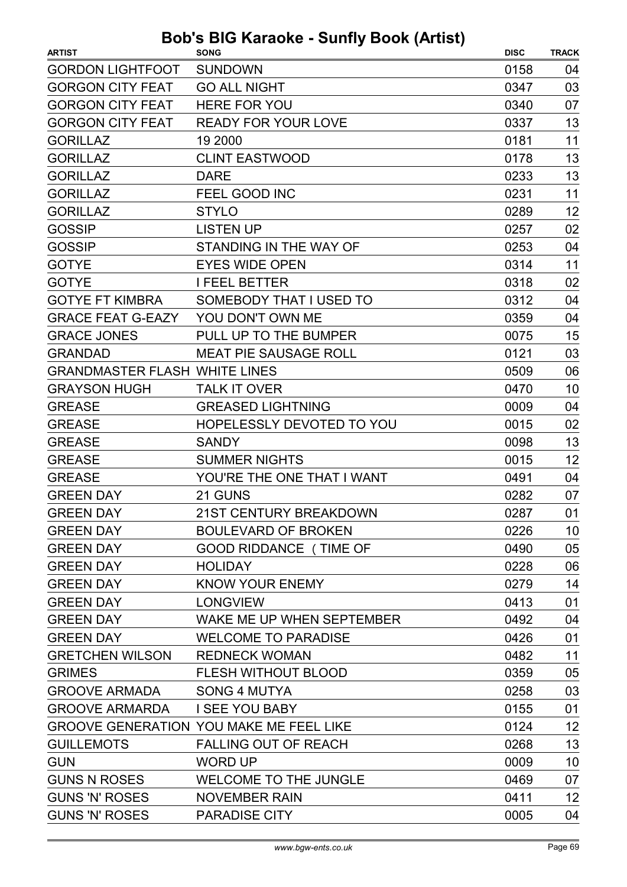| <b>ARTIST</b>                        | <b>SONG</b>                                    | <b>DISC</b> | <b>TRACK</b> |
|--------------------------------------|------------------------------------------------|-------------|--------------|
| <b>GORDON LIGHTFOOT</b>              | <b>SUNDOWN</b>                                 | 0158        | 04           |
| <b>GORGON CITY FEAT</b>              | <b>GO ALL NIGHT</b>                            | 0347        | 03           |
| <b>GORGON CITY FEAT</b>              | <b>HERE FOR YOU</b>                            | 0340        | 07           |
| <b>GORGON CITY FEAT</b>              | <b>READY FOR YOUR LOVE</b>                     | 0337        | 13           |
| <b>GORILLAZ</b>                      | 19 2000                                        | 0181        | 11           |
| <b>GORILLAZ</b>                      | <b>CLINT EASTWOOD</b>                          | 0178        | 13           |
| <b>GORILLAZ</b>                      | <b>DARE</b>                                    | 0233        | 13           |
| <b>GORILLAZ</b>                      | FEEL GOOD INC                                  | 0231        | 11           |
| <b>GORILLAZ</b>                      | <b>STYLO</b>                                   | 0289        | 12           |
| <b>GOSSIP</b>                        | <b>LISTEN UP</b>                               | 0257        | 02           |
| <b>GOSSIP</b>                        | STANDING IN THE WAY OF                         | 0253        | 04           |
| <b>GOTYE</b>                         | <b>EYES WIDE OPEN</b>                          | 0314        | 11           |
| <b>GOTYE</b>                         | <b>I FEEL BETTER</b>                           | 0318        | 02           |
| <b>GOTYE FT KIMBRA</b>               | SOMEBODY THAT I USED TO                        | 0312        | 04           |
| <b>GRACE FEAT G-EAZY</b>             | YOU DON'T OWN ME                               | 0359        | 04           |
| <b>GRACE JONES</b>                   | PULL UP TO THE BUMPER                          | 0075        | 15           |
| <b>GRANDAD</b>                       | <b>MEAT PIE SAUSAGE ROLL</b>                   | 0121        | 03           |
| <b>GRANDMASTER FLASH WHITE LINES</b> |                                                | 0509        | 06           |
| <b>GRAYSON HUGH</b>                  | <b>TALK IT OVER</b>                            | 0470        | 10           |
| <b>GREASE</b>                        | <b>GREASED LIGHTNING</b>                       | 0009        | 04           |
| <b>GREASE</b>                        | <b>HOPELESSLY DEVOTED TO YOU</b>               | 0015        | 02           |
| <b>GREASE</b>                        | <b>SANDY</b>                                   | 0098        | 13           |
| <b>GREASE</b>                        | <b>SUMMER NIGHTS</b>                           | 0015        | 12           |
| <b>GREASE</b>                        | YOU'RE THE ONE THAT I WANT                     | 0491        | 04           |
| <b>GREEN DAY</b>                     | 21 GUNS                                        | 0282        | 07           |
| <b>GREEN DAY</b>                     | <b>21ST CENTURY BREAKDOWN</b>                  | 0287        | 01           |
| <b>GREEN DAY</b>                     | <b>BOULEVARD OF BROKEN</b>                     | 0226        | 10           |
| <b>GREEN DAY</b>                     | <b>GOOD RIDDANCE (TIME OF</b>                  | 0490        | 05           |
| <b>GREEN DAY</b>                     | <b>HOLIDAY</b>                                 | 0228        | 06           |
| <b>GREEN DAY</b>                     | KNOW YOUR ENEMY                                | 0279        | 14           |
| <b>GREEN DAY</b>                     | <b>LONGVIEW</b>                                | 0413        | 01           |
| <b>GREEN DAY</b>                     | WAKE ME UP WHEN SEPTEMBER                      | 0492        | 04           |
| <b>GREEN DAY</b>                     | <b>WELCOME TO PARADISE</b>                     | 0426        | 01           |
| <b>GRETCHEN WILSON</b>               | <b>REDNECK WOMAN</b>                           | 0482        | 11           |
| <b>GRIMES</b>                        | <b>FLESH WITHOUT BLOOD</b>                     | 0359        | 05           |
| <b>GROOVE ARMADA</b>                 | <b>SONG 4 MUTYA</b>                            | 0258        | 03           |
| <b>GROOVE ARMARDA</b>                | <b>I SEE YOU BABY</b>                          | 0155        | 01           |
|                                      | <b>GROOVE GENERATION YOU MAKE ME FEEL LIKE</b> | 0124        | 12           |
| <b>GUILLEMOTS</b>                    | <b>FALLING OUT OF REACH</b>                    | 0268        | 13           |
| <b>GUN</b>                           | <b>WORD UP</b>                                 | 0009        | 10           |
| <b>GUNS N ROSES</b>                  | <b>WELCOME TO THE JUNGLE</b>                   | 0469        | 07           |
| <b>GUNS 'N' ROSES</b>                | <b>NOVEMBER RAIN</b>                           | 0411        | 12           |
| <b>GUNS 'N' ROSES</b>                | <b>PARADISE CITY</b>                           | 0005        | 04           |
|                                      |                                                |             |              |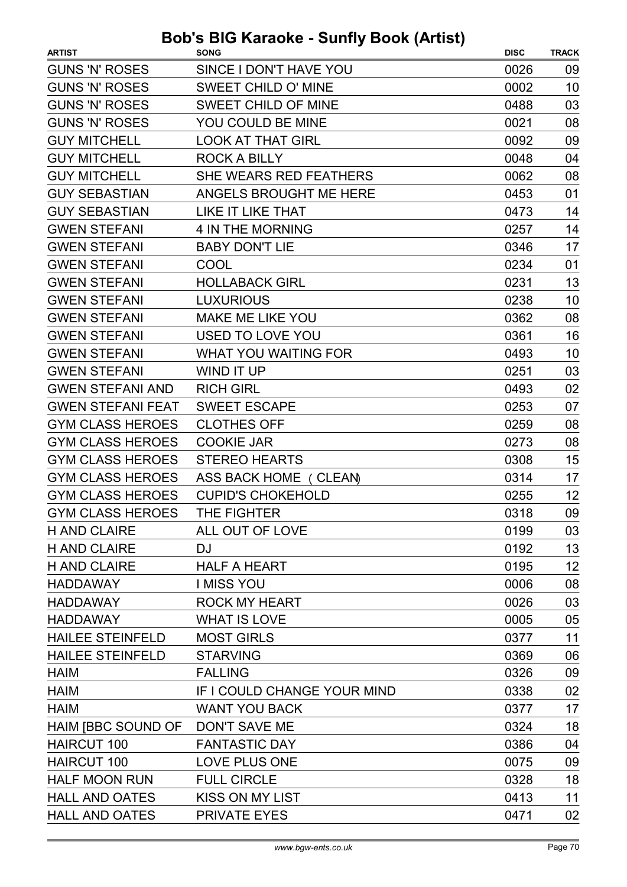| <b>ARTIST</b>            | . <u>.</u><br><b>SONG</b>   | <b>DISC</b> | <b>TRACK</b> |
|--------------------------|-----------------------------|-------------|--------------|
| <b>GUNS 'N' ROSES</b>    | SINCE I DON'T HAVE YOU      | 0026        | 09           |
| <b>GUNS 'N' ROSES</b>    | SWEET CHILD O' MINE         | 0002        | 10           |
| <b>GUNS 'N' ROSES</b>    | <b>SWEET CHILD OF MINE</b>  | 0488        | 03           |
| <b>GUNS 'N' ROSES</b>    | YOU COULD BE MINE           | 0021        | 08           |
| <b>GUY MITCHELL</b>      | <b>LOOK AT THAT GIRL</b>    | 0092        | 09           |
| <b>GUY MITCHELL</b>      | <b>ROCK A BILLY</b>         | 0048        | 04           |
| <b>GUY MITCHELL</b>      | SHE WEARS RED FEATHERS      | 0062        | 08           |
| <b>GUY SEBASTIAN</b>     | ANGELS BROUGHT ME HERE      | 0453        | 01           |
| <b>GUY SEBASTIAN</b>     | <b>LIKE IT LIKE THAT</b>    | 0473        | 14           |
| <b>GWEN STEFANI</b>      | 4 IN THE MORNING            | 0257        | 14           |
| <b>GWEN STEFANI</b>      | <b>BABY DON'T LIE</b>       | 0346        | 17           |
| <b>GWEN STEFANI</b>      | COOL                        | 0234        | 01           |
| <b>GWEN STEFANI</b>      | <b>HOLLABACK GIRL</b>       | 0231        | 13           |
| <b>GWEN STEFANI</b>      | <b>LUXURIOUS</b>            | 0238        | 10           |
| <b>GWEN STEFANI</b>      | <b>MAKE ME LIKE YOU</b>     | 0362        | 08           |
| <b>GWEN STEFANI</b>      | <b>USED TO LOVE YOU</b>     | 0361        | 16           |
| <b>GWEN STEFANI</b>      | <b>WHAT YOU WAITING FOR</b> | 0493        | 10           |
| <b>GWEN STEFANI</b>      | WIND IT UP                  | 0251        | 03           |
| <b>GWEN STEFANI AND</b>  | <b>RICH GIRL</b>            | 0493        | 02           |
| <b>GWEN STEFANI FEAT</b> | <b>SWEET ESCAPE</b>         | 0253        | 07           |
| <b>GYM CLASS HEROES</b>  | <b>CLOTHES OFF</b>          | 0259        | 08           |
| <b>GYM CLASS HEROES</b>  | <b>COOKIE JAR</b>           | 0273        | 08           |
| <b>GYM CLASS HEROES</b>  | <b>STEREO HEARTS</b>        | 0308        | 15           |
| <b>GYM CLASS HEROES</b>  | ASS BACK HOME (CLEAN)       | 0314        | 17           |
| <b>GYM CLASS HEROES</b>  | <b>CUPID'S CHOKEHOLD</b>    | 0255        | 12           |
| <b>GYM CLASS HEROES</b>  | THE FIGHTER                 | 0318        | 09           |
| <b>H AND CLAIRE</b>      | ALL OUT OF LOVE             | 0199        | 03           |
| <b>H AND CLAIRE</b>      | <b>DJ</b>                   | 0192        | 13           |
| <b>H AND CLAIRE</b>      | <b>HALF A HEART</b>         | 0195        | 12           |
| <b>HADDAWAY</b>          | <b>I MISS YOU</b>           | 0006        | 08           |
| <b>HADDAWAY</b>          | <b>ROCK MY HEART</b>        | 0026        | 03           |
| <b>HADDAWAY</b>          | <b>WHAT IS LOVE</b>         | 0005        | 05           |
| <b>HAILEE STEINFELD</b>  | <b>MOST GIRLS</b>           | 0377        | 11           |
| <b>HAILEE STEINFELD</b>  | <b>STARVING</b>             | 0369        | 06           |
| <b>HAIM</b>              | <b>FALLING</b>              | 0326        | 09           |
| <b>HAIM</b>              | IF I COULD CHANGE YOUR MIND | 0338        | 02           |
| <b>HAIM</b>              | <b>WANT YOU BACK</b>        | 0377        | 17           |
| HAIM [BBC SOUND OF       | <b>DON'T SAVE ME</b>        | 0324        | 18           |
| <b>HAIRCUT 100</b>       | <b>FANTASTIC DAY</b>        | 0386        | 04           |
| <b>HAIRCUT 100</b>       | LOVE PLUS ONE               | 0075        | 09           |
| <b>HALF MOON RUN</b>     | <b>FULL CIRCLE</b>          | 0328        | 18           |
| <b>HALL AND OATES</b>    | <b>KISS ON MY LIST</b>      | 0413        | 11           |
| <b>HALL AND OATES</b>    | <b>PRIVATE EYES</b>         | 0471        | 02           |
|                          |                             |             |              |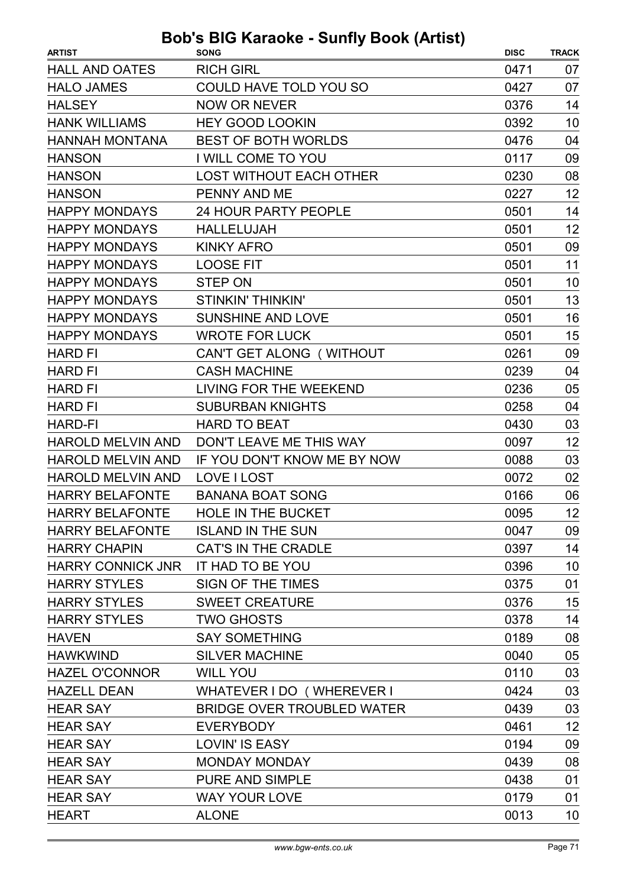| <b>HALL AND OATES</b><br><b>RICH GIRL</b><br>0471<br><b>COULD HAVE TOLD YOU SO</b><br>07<br><b>HALO JAMES</b><br>0427<br><b>HALSEY</b><br><b>NOW OR NEVER</b><br>0376<br>14<br>10<br><b>HANK WILLIAMS</b><br><b>HEY GOOD LOOKIN</b><br>0392<br>04<br><b>HANNAH MONTANA</b><br><b>BEST OF BOTH WORLDS</b><br>0476<br>I WILL COME TO YOU<br>09<br><b>HANSON</b><br>0117<br><b>LOST WITHOUT EACH OTHER</b><br>08<br><b>HANSON</b><br>0230<br>12<br><b>HANSON</b><br>PENNY AND ME<br>0227<br>14<br><b>HAPPY MONDAYS</b><br><b>24 HOUR PARTY PEOPLE</b><br>0501<br>12<br><b>HAPPY MONDAYS</b><br>0501<br><b>HALLELUJAH</b><br><b>HAPPY MONDAYS</b><br><b>KINKY AFRO</b><br>0501<br>09<br><b>HAPPY MONDAYS</b><br><b>LOOSE FIT</b><br>0501<br>11<br><b>HAPPY MONDAYS</b><br><b>STEP ON</b><br>0501<br>10<br>13<br><b>HAPPY MONDAYS</b><br><b>STINKIN' THINKIN'</b><br>0501<br>16<br><b>HAPPY MONDAYS</b><br><b>SUNSHINE AND LOVE</b><br>0501<br><b>WROTE FOR LUCK</b><br>15<br><b>HAPPY MONDAYS</b><br>0501<br>CAN'T GET ALONG (WITHOUT<br>0261<br>09<br><b>HARD FI</b><br><b>HARD FI</b><br><b>CASH MACHINE</b><br>0239<br>04<br>LIVING FOR THE WEEKEND<br>05<br><b>HARD FI</b><br>0236<br><b>HARD FI</b><br><b>SUBURBAN KNIGHTS</b><br>0258<br>04<br>03<br><b>HARD-FI</b><br><b>HARD TO BEAT</b><br>0430<br>12<br><b>HAROLD MELVIN AND</b><br>DON'T LEAVE ME THIS WAY<br>0097<br><b>HAROLD MELVIN AND</b><br>IF YOU DON'T KNOW ME BY NOW<br>03<br>0088<br><b>HAROLD MELVIN AND</b><br>LOVE I LOST<br>02<br>0072<br>06<br><b>HARRY BELAFONTE</b><br><b>BANANA BOAT SONG</b><br>0166<br><b>HARRY BELAFONTE</b><br>HOLE IN THE BUCKET<br>0095<br>12<br><b>ISLAND IN THE SUN</b><br>09<br><b>HARRY BELAFONTE</b><br>0047<br><b>CAT'S IN THE CRADLE</b><br>14<br><b>HARRY CHAPIN</b><br>0397<br><b>HARRY CONNICK JNR</b><br><b>IT HAD TO BE YOU</b><br>10<br>0396<br><b>HARRY STYLES</b><br>SIGN OF THE TIMES<br>01<br>0375<br><b>HARRY STYLES</b><br><b>SWEET CREATURE</b><br>15<br>0376<br>14<br><b>HARRY STYLES</b><br><b>TWO GHOSTS</b><br>0378<br>08<br><b>SAY SOMETHING</b><br>0189<br><b>HAVEN</b><br><b>HAWKWIND</b><br><b>SILVER MACHINE</b><br>05<br>0040<br><b>HAZEL O'CONNOR</b><br>03<br><b>WILL YOU</b><br>0110<br><b>HAZELL DEAN</b><br>03<br>WHATEVER I DO (WHEREVER I<br>0424<br>03<br><b>HEAR SAY</b><br><b>BRIDGE OVER TROUBLED WATER</b><br>0439<br>12<br>0461<br><b>HEAR SAY</b><br><b>EVERYBODY</b><br><b>LOVIN' IS EASY</b><br>0194<br>09<br><b>HEAR SAY</b><br><b>HEAR SAY</b><br>08<br><b>MONDAY MONDAY</b><br>0439<br><b>PURE AND SIMPLE</b><br>0438<br>01<br><b>HEAR SAY</b><br><b>HEAR SAY</b><br><b>WAY YOUR LOVE</b><br>01<br>0179<br><b>HEART</b><br><b>ALONE</b><br>0013<br>10 | <b>ARTIST</b> | <b>DUD 3 DIO RATAURE - OUTITY DUUR (ALUST)</b><br><b>SONG</b> | <b>DISC</b> | <b>TRACK</b> |
|-------------------------------------------------------------------------------------------------------------------------------------------------------------------------------------------------------------------------------------------------------------------------------------------------------------------------------------------------------------------------------------------------------------------------------------------------------------------------------------------------------------------------------------------------------------------------------------------------------------------------------------------------------------------------------------------------------------------------------------------------------------------------------------------------------------------------------------------------------------------------------------------------------------------------------------------------------------------------------------------------------------------------------------------------------------------------------------------------------------------------------------------------------------------------------------------------------------------------------------------------------------------------------------------------------------------------------------------------------------------------------------------------------------------------------------------------------------------------------------------------------------------------------------------------------------------------------------------------------------------------------------------------------------------------------------------------------------------------------------------------------------------------------------------------------------------------------------------------------------------------------------------------------------------------------------------------------------------------------------------------------------------------------------------------------------------------------------------------------------------------------------------------------------------------------------------------------------------------------------------------------------------------------------------------------------------------------------------------------------------------------------------------------------------------------------------------------------------------------------------------------------------------------------------------------------------------------------------------------------------------------------------------------------------------------------------------------|---------------|---------------------------------------------------------------|-------------|--------------|
|                                                                                                                                                                                                                                                                                                                                                                                                                                                                                                                                                                                                                                                                                                                                                                                                                                                                                                                                                                                                                                                                                                                                                                                                                                                                                                                                                                                                                                                                                                                                                                                                                                                                                                                                                                                                                                                                                                                                                                                                                                                                                                                                                                                                                                                                                                                                                                                                                                                                                                                                                                                                                                                                                                       |               |                                                               |             | 07           |
|                                                                                                                                                                                                                                                                                                                                                                                                                                                                                                                                                                                                                                                                                                                                                                                                                                                                                                                                                                                                                                                                                                                                                                                                                                                                                                                                                                                                                                                                                                                                                                                                                                                                                                                                                                                                                                                                                                                                                                                                                                                                                                                                                                                                                                                                                                                                                                                                                                                                                                                                                                                                                                                                                                       |               |                                                               |             |              |
|                                                                                                                                                                                                                                                                                                                                                                                                                                                                                                                                                                                                                                                                                                                                                                                                                                                                                                                                                                                                                                                                                                                                                                                                                                                                                                                                                                                                                                                                                                                                                                                                                                                                                                                                                                                                                                                                                                                                                                                                                                                                                                                                                                                                                                                                                                                                                                                                                                                                                                                                                                                                                                                                                                       |               |                                                               |             |              |
|                                                                                                                                                                                                                                                                                                                                                                                                                                                                                                                                                                                                                                                                                                                                                                                                                                                                                                                                                                                                                                                                                                                                                                                                                                                                                                                                                                                                                                                                                                                                                                                                                                                                                                                                                                                                                                                                                                                                                                                                                                                                                                                                                                                                                                                                                                                                                                                                                                                                                                                                                                                                                                                                                                       |               |                                                               |             |              |
|                                                                                                                                                                                                                                                                                                                                                                                                                                                                                                                                                                                                                                                                                                                                                                                                                                                                                                                                                                                                                                                                                                                                                                                                                                                                                                                                                                                                                                                                                                                                                                                                                                                                                                                                                                                                                                                                                                                                                                                                                                                                                                                                                                                                                                                                                                                                                                                                                                                                                                                                                                                                                                                                                                       |               |                                                               |             |              |
|                                                                                                                                                                                                                                                                                                                                                                                                                                                                                                                                                                                                                                                                                                                                                                                                                                                                                                                                                                                                                                                                                                                                                                                                                                                                                                                                                                                                                                                                                                                                                                                                                                                                                                                                                                                                                                                                                                                                                                                                                                                                                                                                                                                                                                                                                                                                                                                                                                                                                                                                                                                                                                                                                                       |               |                                                               |             |              |
|                                                                                                                                                                                                                                                                                                                                                                                                                                                                                                                                                                                                                                                                                                                                                                                                                                                                                                                                                                                                                                                                                                                                                                                                                                                                                                                                                                                                                                                                                                                                                                                                                                                                                                                                                                                                                                                                                                                                                                                                                                                                                                                                                                                                                                                                                                                                                                                                                                                                                                                                                                                                                                                                                                       |               |                                                               |             |              |
|                                                                                                                                                                                                                                                                                                                                                                                                                                                                                                                                                                                                                                                                                                                                                                                                                                                                                                                                                                                                                                                                                                                                                                                                                                                                                                                                                                                                                                                                                                                                                                                                                                                                                                                                                                                                                                                                                                                                                                                                                                                                                                                                                                                                                                                                                                                                                                                                                                                                                                                                                                                                                                                                                                       |               |                                                               |             |              |
|                                                                                                                                                                                                                                                                                                                                                                                                                                                                                                                                                                                                                                                                                                                                                                                                                                                                                                                                                                                                                                                                                                                                                                                                                                                                                                                                                                                                                                                                                                                                                                                                                                                                                                                                                                                                                                                                                                                                                                                                                                                                                                                                                                                                                                                                                                                                                                                                                                                                                                                                                                                                                                                                                                       |               |                                                               |             |              |
|                                                                                                                                                                                                                                                                                                                                                                                                                                                                                                                                                                                                                                                                                                                                                                                                                                                                                                                                                                                                                                                                                                                                                                                                                                                                                                                                                                                                                                                                                                                                                                                                                                                                                                                                                                                                                                                                                                                                                                                                                                                                                                                                                                                                                                                                                                                                                                                                                                                                                                                                                                                                                                                                                                       |               |                                                               |             |              |
|                                                                                                                                                                                                                                                                                                                                                                                                                                                                                                                                                                                                                                                                                                                                                                                                                                                                                                                                                                                                                                                                                                                                                                                                                                                                                                                                                                                                                                                                                                                                                                                                                                                                                                                                                                                                                                                                                                                                                                                                                                                                                                                                                                                                                                                                                                                                                                                                                                                                                                                                                                                                                                                                                                       |               |                                                               |             |              |
|                                                                                                                                                                                                                                                                                                                                                                                                                                                                                                                                                                                                                                                                                                                                                                                                                                                                                                                                                                                                                                                                                                                                                                                                                                                                                                                                                                                                                                                                                                                                                                                                                                                                                                                                                                                                                                                                                                                                                                                                                                                                                                                                                                                                                                                                                                                                                                                                                                                                                                                                                                                                                                                                                                       |               |                                                               |             |              |
|                                                                                                                                                                                                                                                                                                                                                                                                                                                                                                                                                                                                                                                                                                                                                                                                                                                                                                                                                                                                                                                                                                                                                                                                                                                                                                                                                                                                                                                                                                                                                                                                                                                                                                                                                                                                                                                                                                                                                                                                                                                                                                                                                                                                                                                                                                                                                                                                                                                                                                                                                                                                                                                                                                       |               |                                                               |             |              |
|                                                                                                                                                                                                                                                                                                                                                                                                                                                                                                                                                                                                                                                                                                                                                                                                                                                                                                                                                                                                                                                                                                                                                                                                                                                                                                                                                                                                                                                                                                                                                                                                                                                                                                                                                                                                                                                                                                                                                                                                                                                                                                                                                                                                                                                                                                                                                                                                                                                                                                                                                                                                                                                                                                       |               |                                                               |             |              |
|                                                                                                                                                                                                                                                                                                                                                                                                                                                                                                                                                                                                                                                                                                                                                                                                                                                                                                                                                                                                                                                                                                                                                                                                                                                                                                                                                                                                                                                                                                                                                                                                                                                                                                                                                                                                                                                                                                                                                                                                                                                                                                                                                                                                                                                                                                                                                                                                                                                                                                                                                                                                                                                                                                       |               |                                                               |             |              |
|                                                                                                                                                                                                                                                                                                                                                                                                                                                                                                                                                                                                                                                                                                                                                                                                                                                                                                                                                                                                                                                                                                                                                                                                                                                                                                                                                                                                                                                                                                                                                                                                                                                                                                                                                                                                                                                                                                                                                                                                                                                                                                                                                                                                                                                                                                                                                                                                                                                                                                                                                                                                                                                                                                       |               |                                                               |             |              |
|                                                                                                                                                                                                                                                                                                                                                                                                                                                                                                                                                                                                                                                                                                                                                                                                                                                                                                                                                                                                                                                                                                                                                                                                                                                                                                                                                                                                                                                                                                                                                                                                                                                                                                                                                                                                                                                                                                                                                                                                                                                                                                                                                                                                                                                                                                                                                                                                                                                                                                                                                                                                                                                                                                       |               |                                                               |             |              |
|                                                                                                                                                                                                                                                                                                                                                                                                                                                                                                                                                                                                                                                                                                                                                                                                                                                                                                                                                                                                                                                                                                                                                                                                                                                                                                                                                                                                                                                                                                                                                                                                                                                                                                                                                                                                                                                                                                                                                                                                                                                                                                                                                                                                                                                                                                                                                                                                                                                                                                                                                                                                                                                                                                       |               |                                                               |             |              |
|                                                                                                                                                                                                                                                                                                                                                                                                                                                                                                                                                                                                                                                                                                                                                                                                                                                                                                                                                                                                                                                                                                                                                                                                                                                                                                                                                                                                                                                                                                                                                                                                                                                                                                                                                                                                                                                                                                                                                                                                                                                                                                                                                                                                                                                                                                                                                                                                                                                                                                                                                                                                                                                                                                       |               |                                                               |             |              |
|                                                                                                                                                                                                                                                                                                                                                                                                                                                                                                                                                                                                                                                                                                                                                                                                                                                                                                                                                                                                                                                                                                                                                                                                                                                                                                                                                                                                                                                                                                                                                                                                                                                                                                                                                                                                                                                                                                                                                                                                                                                                                                                                                                                                                                                                                                                                                                                                                                                                                                                                                                                                                                                                                                       |               |                                                               |             |              |
|                                                                                                                                                                                                                                                                                                                                                                                                                                                                                                                                                                                                                                                                                                                                                                                                                                                                                                                                                                                                                                                                                                                                                                                                                                                                                                                                                                                                                                                                                                                                                                                                                                                                                                                                                                                                                                                                                                                                                                                                                                                                                                                                                                                                                                                                                                                                                                                                                                                                                                                                                                                                                                                                                                       |               |                                                               |             |              |
|                                                                                                                                                                                                                                                                                                                                                                                                                                                                                                                                                                                                                                                                                                                                                                                                                                                                                                                                                                                                                                                                                                                                                                                                                                                                                                                                                                                                                                                                                                                                                                                                                                                                                                                                                                                                                                                                                                                                                                                                                                                                                                                                                                                                                                                                                                                                                                                                                                                                                                                                                                                                                                                                                                       |               |                                                               |             |              |
|                                                                                                                                                                                                                                                                                                                                                                                                                                                                                                                                                                                                                                                                                                                                                                                                                                                                                                                                                                                                                                                                                                                                                                                                                                                                                                                                                                                                                                                                                                                                                                                                                                                                                                                                                                                                                                                                                                                                                                                                                                                                                                                                                                                                                                                                                                                                                                                                                                                                                                                                                                                                                                                                                                       |               |                                                               |             |              |
|                                                                                                                                                                                                                                                                                                                                                                                                                                                                                                                                                                                                                                                                                                                                                                                                                                                                                                                                                                                                                                                                                                                                                                                                                                                                                                                                                                                                                                                                                                                                                                                                                                                                                                                                                                                                                                                                                                                                                                                                                                                                                                                                                                                                                                                                                                                                                                                                                                                                                                                                                                                                                                                                                                       |               |                                                               |             |              |
|                                                                                                                                                                                                                                                                                                                                                                                                                                                                                                                                                                                                                                                                                                                                                                                                                                                                                                                                                                                                                                                                                                                                                                                                                                                                                                                                                                                                                                                                                                                                                                                                                                                                                                                                                                                                                                                                                                                                                                                                                                                                                                                                                                                                                                                                                                                                                                                                                                                                                                                                                                                                                                                                                                       |               |                                                               |             |              |
|                                                                                                                                                                                                                                                                                                                                                                                                                                                                                                                                                                                                                                                                                                                                                                                                                                                                                                                                                                                                                                                                                                                                                                                                                                                                                                                                                                                                                                                                                                                                                                                                                                                                                                                                                                                                                                                                                                                                                                                                                                                                                                                                                                                                                                                                                                                                                                                                                                                                                                                                                                                                                                                                                                       |               |                                                               |             |              |
|                                                                                                                                                                                                                                                                                                                                                                                                                                                                                                                                                                                                                                                                                                                                                                                                                                                                                                                                                                                                                                                                                                                                                                                                                                                                                                                                                                                                                                                                                                                                                                                                                                                                                                                                                                                                                                                                                                                                                                                                                                                                                                                                                                                                                                                                                                                                                                                                                                                                                                                                                                                                                                                                                                       |               |                                                               |             |              |
|                                                                                                                                                                                                                                                                                                                                                                                                                                                                                                                                                                                                                                                                                                                                                                                                                                                                                                                                                                                                                                                                                                                                                                                                                                                                                                                                                                                                                                                                                                                                                                                                                                                                                                                                                                                                                                                                                                                                                                                                                                                                                                                                                                                                                                                                                                                                                                                                                                                                                                                                                                                                                                                                                                       |               |                                                               |             |              |
|                                                                                                                                                                                                                                                                                                                                                                                                                                                                                                                                                                                                                                                                                                                                                                                                                                                                                                                                                                                                                                                                                                                                                                                                                                                                                                                                                                                                                                                                                                                                                                                                                                                                                                                                                                                                                                                                                                                                                                                                                                                                                                                                                                                                                                                                                                                                                                                                                                                                                                                                                                                                                                                                                                       |               |                                                               |             |              |
|                                                                                                                                                                                                                                                                                                                                                                                                                                                                                                                                                                                                                                                                                                                                                                                                                                                                                                                                                                                                                                                                                                                                                                                                                                                                                                                                                                                                                                                                                                                                                                                                                                                                                                                                                                                                                                                                                                                                                                                                                                                                                                                                                                                                                                                                                                                                                                                                                                                                                                                                                                                                                                                                                                       |               |                                                               |             |              |
|                                                                                                                                                                                                                                                                                                                                                                                                                                                                                                                                                                                                                                                                                                                                                                                                                                                                                                                                                                                                                                                                                                                                                                                                                                                                                                                                                                                                                                                                                                                                                                                                                                                                                                                                                                                                                                                                                                                                                                                                                                                                                                                                                                                                                                                                                                                                                                                                                                                                                                                                                                                                                                                                                                       |               |                                                               |             |              |
|                                                                                                                                                                                                                                                                                                                                                                                                                                                                                                                                                                                                                                                                                                                                                                                                                                                                                                                                                                                                                                                                                                                                                                                                                                                                                                                                                                                                                                                                                                                                                                                                                                                                                                                                                                                                                                                                                                                                                                                                                                                                                                                                                                                                                                                                                                                                                                                                                                                                                                                                                                                                                                                                                                       |               |                                                               |             |              |
|                                                                                                                                                                                                                                                                                                                                                                                                                                                                                                                                                                                                                                                                                                                                                                                                                                                                                                                                                                                                                                                                                                                                                                                                                                                                                                                                                                                                                                                                                                                                                                                                                                                                                                                                                                                                                                                                                                                                                                                                                                                                                                                                                                                                                                                                                                                                                                                                                                                                                                                                                                                                                                                                                                       |               |                                                               |             |              |
|                                                                                                                                                                                                                                                                                                                                                                                                                                                                                                                                                                                                                                                                                                                                                                                                                                                                                                                                                                                                                                                                                                                                                                                                                                                                                                                                                                                                                                                                                                                                                                                                                                                                                                                                                                                                                                                                                                                                                                                                                                                                                                                                                                                                                                                                                                                                                                                                                                                                                                                                                                                                                                                                                                       |               |                                                               |             |              |
|                                                                                                                                                                                                                                                                                                                                                                                                                                                                                                                                                                                                                                                                                                                                                                                                                                                                                                                                                                                                                                                                                                                                                                                                                                                                                                                                                                                                                                                                                                                                                                                                                                                                                                                                                                                                                                                                                                                                                                                                                                                                                                                                                                                                                                                                                                                                                                                                                                                                                                                                                                                                                                                                                                       |               |                                                               |             |              |
|                                                                                                                                                                                                                                                                                                                                                                                                                                                                                                                                                                                                                                                                                                                                                                                                                                                                                                                                                                                                                                                                                                                                                                                                                                                                                                                                                                                                                                                                                                                                                                                                                                                                                                                                                                                                                                                                                                                                                                                                                                                                                                                                                                                                                                                                                                                                                                                                                                                                                                                                                                                                                                                                                                       |               |                                                               |             |              |
|                                                                                                                                                                                                                                                                                                                                                                                                                                                                                                                                                                                                                                                                                                                                                                                                                                                                                                                                                                                                                                                                                                                                                                                                                                                                                                                                                                                                                                                                                                                                                                                                                                                                                                                                                                                                                                                                                                                                                                                                                                                                                                                                                                                                                                                                                                                                                                                                                                                                                                                                                                                                                                                                                                       |               |                                                               |             |              |
|                                                                                                                                                                                                                                                                                                                                                                                                                                                                                                                                                                                                                                                                                                                                                                                                                                                                                                                                                                                                                                                                                                                                                                                                                                                                                                                                                                                                                                                                                                                                                                                                                                                                                                                                                                                                                                                                                                                                                                                                                                                                                                                                                                                                                                                                                                                                                                                                                                                                                                                                                                                                                                                                                                       |               |                                                               |             |              |
|                                                                                                                                                                                                                                                                                                                                                                                                                                                                                                                                                                                                                                                                                                                                                                                                                                                                                                                                                                                                                                                                                                                                                                                                                                                                                                                                                                                                                                                                                                                                                                                                                                                                                                                                                                                                                                                                                                                                                                                                                                                                                                                                                                                                                                                                                                                                                                                                                                                                                                                                                                                                                                                                                                       |               |                                                               |             |              |
|                                                                                                                                                                                                                                                                                                                                                                                                                                                                                                                                                                                                                                                                                                                                                                                                                                                                                                                                                                                                                                                                                                                                                                                                                                                                                                                                                                                                                                                                                                                                                                                                                                                                                                                                                                                                                                                                                                                                                                                                                                                                                                                                                                                                                                                                                                                                                                                                                                                                                                                                                                                                                                                                                                       |               |                                                               |             |              |
|                                                                                                                                                                                                                                                                                                                                                                                                                                                                                                                                                                                                                                                                                                                                                                                                                                                                                                                                                                                                                                                                                                                                                                                                                                                                                                                                                                                                                                                                                                                                                                                                                                                                                                                                                                                                                                                                                                                                                                                                                                                                                                                                                                                                                                                                                                                                                                                                                                                                                                                                                                                                                                                                                                       |               |                                                               |             |              |
|                                                                                                                                                                                                                                                                                                                                                                                                                                                                                                                                                                                                                                                                                                                                                                                                                                                                                                                                                                                                                                                                                                                                                                                                                                                                                                                                                                                                                                                                                                                                                                                                                                                                                                                                                                                                                                                                                                                                                                                                                                                                                                                                                                                                                                                                                                                                                                                                                                                                                                                                                                                                                                                                                                       |               |                                                               |             |              |
|                                                                                                                                                                                                                                                                                                                                                                                                                                                                                                                                                                                                                                                                                                                                                                                                                                                                                                                                                                                                                                                                                                                                                                                                                                                                                                                                                                                                                                                                                                                                                                                                                                                                                                                                                                                                                                                                                                                                                                                                                                                                                                                                                                                                                                                                                                                                                                                                                                                                                                                                                                                                                                                                                                       |               |                                                               |             |              |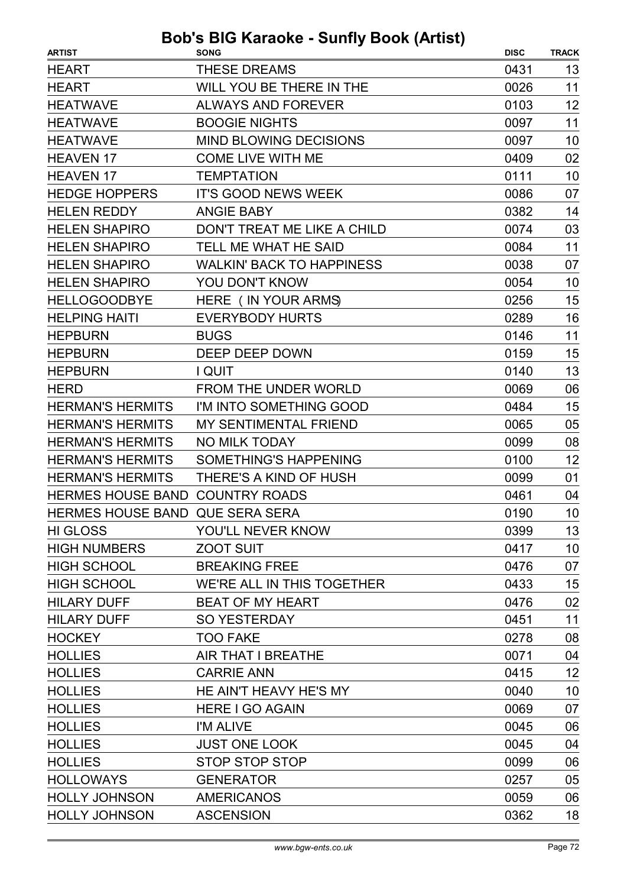| <b>ARTIST</b>                   | <b>SONG</b>                      | <b>DISC</b> | <b>TRACK</b> |
|---------------------------------|----------------------------------|-------------|--------------|
| <b>HEART</b>                    | <b>THESE DREAMS</b>              | 0431        | 13           |
| <b>HEART</b>                    | WILL YOU BE THERE IN THE         | 0026        | 11           |
| <b>HEATWAVE</b>                 | <b>ALWAYS AND FOREVER</b>        | 0103        | 12           |
| <b>HEATWAVE</b>                 | <b>BOOGIE NIGHTS</b>             | 0097        | 11           |
| <b>HEATWAVE</b>                 | <b>MIND BLOWING DECISIONS</b>    | 0097        | 10           |
| <b>HEAVEN 17</b>                | <b>COME LIVE WITH ME</b>         | 0409        | 02           |
| <b>HEAVEN 17</b>                | <b>TEMPTATION</b>                | 0111        | 10           |
| <b>HEDGE HOPPERS</b>            | <b>IT'S GOOD NEWS WEEK</b>       | 0086        | 07           |
| <b>HELEN REDDY</b>              | <b>ANGIE BABY</b>                | 0382        | 14           |
| <b>HELEN SHAPIRO</b>            | DON'T TREAT ME LIKE A CHILD      | 0074        | 03           |
| <b>HELEN SHAPIRO</b>            | TELL ME WHAT HE SAID             | 0084        | 11           |
| <b>HELEN SHAPIRO</b>            | <b>WALKIN' BACK TO HAPPINESS</b> | 0038        | 07           |
| <b>HELEN SHAPIRO</b>            | YOU DON'T KNOW                   | 0054        | 10           |
| <b>HELLOGOODBYE</b>             | HERE ( IN YOUR ARMS)             | 0256        | 15           |
| <b>HELPING HAITI</b>            | <b>EVERYBODY HURTS</b>           | 0289        | 16           |
| <b>HEPBURN</b>                  | <b>BUGS</b>                      | 0146        | 11           |
| <b>HEPBURN</b>                  | DEEP DEEP DOWN                   | 0159        | 15           |
| <b>HEPBURN</b>                  | I QUIT                           | 0140        | 13           |
| <b>HERD</b>                     | <b>FROM THE UNDER WORLD</b>      | 0069        | 06           |
| <b>HERMAN'S HERMITS</b>         | I'M INTO SOMETHING GOOD          | 0484        | 15           |
| <b>HERMAN'S HERMITS</b>         | <b>MY SENTIMENTAL FRIEND</b>     | 0065        | 05           |
| <b>HERMAN'S HERMITS</b>         | <b>NO MILK TODAY</b>             | 0099        | 08           |
| <b>HERMAN'S HERMITS</b>         | <b>SOMETHING'S HAPPENING</b>     | 0100        | 12           |
| <b>HERMAN'S HERMITS</b>         | THERE'S A KIND OF HUSH           | 0099        | 01           |
| HERMES HOUSE BAND COUNTRY ROADS |                                  | 0461        | 04           |
| HERMES HOUSE BAND QUE SERA SERA |                                  | 0190        | 10           |
| <b>HI GLOSS</b>                 | YOU'LL NEVER KNOW                | 0399        | 13           |
| <b>HIGH NUMBERS</b>             | <b>ZOOT SUIT</b>                 | 0417        | 10           |
| <b>HIGH SCHOOL</b>              | <b>BREAKING FREE</b>             | 0476        | 07           |
| <b>HIGH SCHOOL</b>              | WE'RE ALL IN THIS TOGETHER       | 0433        | 15           |
| <b>HILARY DUFF</b>              | <b>BEAT OF MY HEART</b>          | 0476        | 02           |
| <b>HILARY DUFF</b>              | <b>SO YESTERDAY</b>              | 0451        | 11           |
| <b>HOCKEY</b>                   | <b>TOO FAKE</b>                  | 0278        | 08           |
| <b>HOLLIES</b>                  | AIR THAT I BREATHE               | 0071        | 04           |
| <b>HOLLIES</b>                  | <b>CARRIE ANN</b>                | 0415        | 12           |
| <b>HOLLIES</b>                  | HE AIN'T HEAVY HE'S MY           | 0040        | 10           |
| <b>HOLLIES</b>                  | HERE I GO AGAIN                  | 0069        | 07           |
| <b>HOLLIES</b>                  | I'M ALIVE                        | 0045        | 06           |
| <b>HOLLIES</b>                  | <b>JUST ONE LOOK</b>             | 0045        | 04           |
| <b>HOLLIES</b>                  | <b>STOP STOP STOP</b>            | 0099        | 06           |
| <b>HOLLOWAYS</b>                | <b>GENERATOR</b>                 | 0257        | 05           |
| <b>HOLLY JOHNSON</b>            | <b>AMERICANOS</b>                | 0059        | 06           |
| <b>HOLLY JOHNSON</b>            | <b>ASCENSION</b>                 | 0362        | 18           |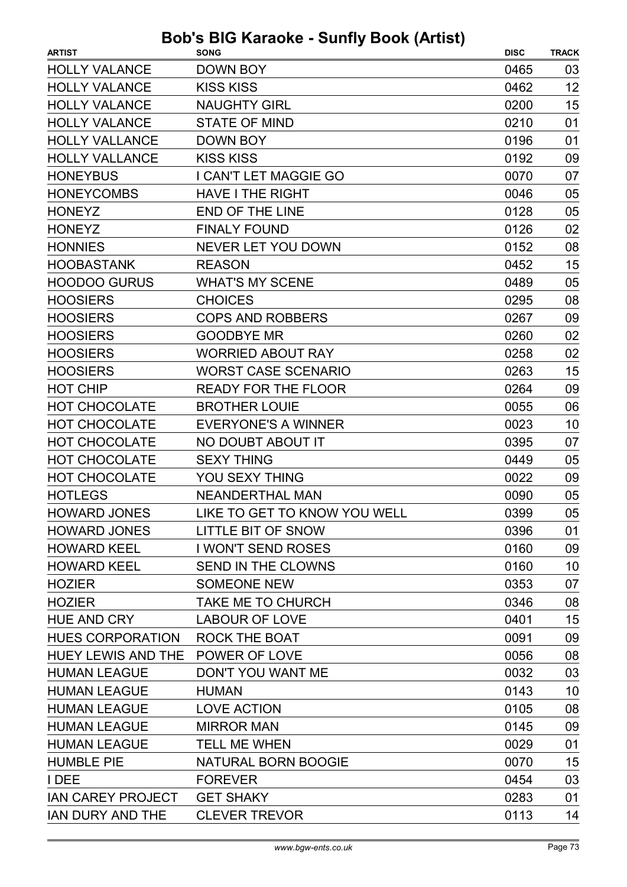| <b>ARTIST</b>                    | <b>SONG</b>                  | <b>DISC</b> | <b>TRACK</b> |
|----------------------------------|------------------------------|-------------|--------------|
| <b>HOLLY VALANCE</b>             | DOWN BOY                     | 0465        | 03           |
| <b>HOLLY VALANCE</b>             | <b>KISS KISS</b>             | 0462        | 12           |
| <b>HOLLY VALANCE</b>             | <b>NAUGHTY GIRL</b>          | 0200        | 15           |
| <b>HOLLY VALANCE</b>             | <b>STATE OF MIND</b>         | 0210        | 01           |
| <b>HOLLY VALLANCE</b>            | <b>DOWN BOY</b>              | 0196        | 01           |
| <b>HOLLY VALLANCE</b>            | <b>KISS KISS</b>             | 0192        | 09           |
| <b>HONEYBUS</b>                  | I CAN'T LET MAGGIE GO        | 0070        | 07           |
| <b>HONEYCOMBS</b>                | <b>HAVE I THE RIGHT</b>      | 0046        | 05           |
| <b>HONEYZ</b>                    | <b>END OF THE LINE</b>       | 0128        | 05           |
| <b>HONEYZ</b>                    | <b>FINALY FOUND</b>          | 0126        | 02           |
| <b>HONNIES</b>                   | <b>NEVER LET YOU DOWN</b>    | 0152        | 08           |
| <b>HOOBASTANK</b>                | <b>REASON</b>                | 0452        | 15           |
| <b>HOODOO GURUS</b>              | <b>WHAT'S MY SCENE</b>       | 0489        | 05           |
| <b>HOOSIERS</b>                  | <b>CHOICES</b>               | 0295        | 08           |
| <b>HOOSIERS</b>                  | <b>COPS AND ROBBERS</b>      | 0267        | 09           |
| <b>HOOSIERS</b>                  | <b>GOODBYE MR</b>            | 0260        | 02           |
| <b>HOOSIERS</b>                  | <b>WORRIED ABOUT RAY</b>     | 0258        | 02           |
| <b>HOOSIERS</b>                  | <b>WORST CASE SCENARIO</b>   | 0263        | 15           |
| <b>HOT CHIP</b>                  | <b>READY FOR THE FLOOR</b>   | 0264        | 09           |
| <b>HOT CHOCOLATE</b>             | <b>BROTHER LOUIE</b>         | 0055        | 06           |
| <b>HOT CHOCOLATE</b>             | <b>EVERYONE'S A WINNER</b>   | 0023        | 10           |
| <b>HOT CHOCOLATE</b>             | NO DOUBT ABOUT IT            | 0395        | 07           |
| <b>HOT CHOCOLATE</b>             | <b>SEXY THING</b>            | 0449        | 05           |
| <b>HOT CHOCOLATE</b>             | YOU SEXY THING               | 0022        | 09           |
| <b>HOTLEGS</b>                   | <b>NEANDERTHAL MAN</b>       | 0090        | 05           |
| <b>HOWARD JONES</b>              | LIKE TO GET TO KNOW YOU WELL | 0399        | 05           |
| <b>HOWARD JONES</b>              | LITTLE BIT OF SNOW           | 0396        | 01           |
| <b>HOWARD KEEL</b>               | <b>I WON'T SEND ROSES</b>    | 0160        | 09           |
| <b>HOWARD KEEL</b>               | SEND IN THE CLOWNS           | 0160        | 10           |
| <b>HOZIER</b>                    | <b>SOMEONE NEW</b>           | 0353        | 07           |
| <b>HOZIER</b>                    | TAKE ME TO CHURCH            | 0346        | 08           |
| <b>HUE AND CRY</b>               | <b>LABOUR OF LOVE</b>        | 0401        | 15           |
| <b>HUES CORPORATION</b>          | <b>ROCK THE BOAT</b>         | 0091        | 09           |
| HUEY LEWIS AND THE POWER OF LOVE |                              | 0056        | 08           |
| <b>HUMAN LEAGUE</b>              | DON'T YOU WANT ME            | 0032        | 03           |
| <b>HUMAN LEAGUE</b>              | <b>HUMAN</b>                 | 0143        | 10           |
| <b>HUMAN LEAGUE</b>              | <b>LOVE ACTION</b>           | 0105        | 08           |
| <b>HUMAN LEAGUE</b>              | <b>MIRROR MAN</b>            | 0145        | 09           |
| <b>HUMAN LEAGUE</b>              | <b>TELL ME WHEN</b>          | 0029        | 01           |
| <b>HUMBLE PIE</b>                | NATURAL BORN BOOGIE          | 0070        | 15           |
| I DEE                            | <b>FOREVER</b>               | 0454        | 03           |
| <b>IAN CAREY PROJECT</b>         | <b>GET SHAKY</b>             | 0283        | 01           |
| IAN DURY AND THE                 | <b>CLEVER TREVOR</b>         | 0113        | 14           |
|                                  |                              |             |              |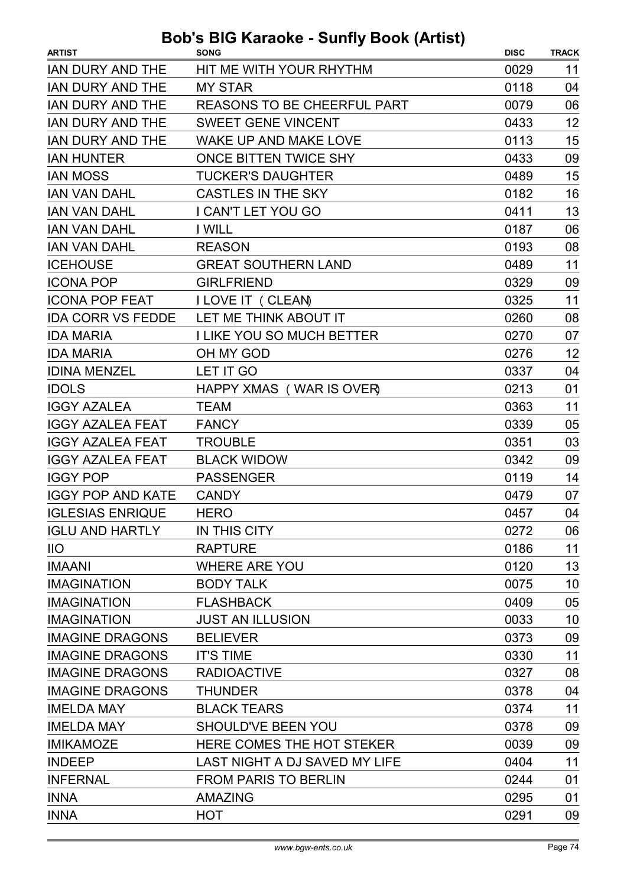| <b>ARTIST</b>            | <b>SONG</b>                        | <b>DISC</b> | <b>TRACK</b> |
|--------------------------|------------------------------------|-------------|--------------|
| <b>IAN DURY AND THE</b>  | HIT ME WITH YOUR RHYTHM            | 0029        | 11           |
| <b>IAN DURY AND THE</b>  | <b>MY STAR</b>                     | 0118        | 04           |
| <b>IAN DURY AND THE</b>  | <b>REASONS TO BE CHEERFUL PART</b> | 0079        | 06           |
| <b>IAN DURY AND THE</b>  | <b>SWEET GENE VINCENT</b>          | 0433        | 12           |
| <b>IAN DURY AND THE</b>  | <b>WAKE UP AND MAKE LOVE</b>       | 0113        | 15           |
| <b>IAN HUNTER</b>        | <b>ONCE BITTEN TWICE SHY</b>       | 0433        | 09           |
| <b>IAN MOSS</b>          | <b>TUCKER'S DAUGHTER</b>           | 0489        | 15           |
| <b>IAN VAN DAHL</b>      | <b>CASTLES IN THE SKY</b>          | 0182        | 16           |
| <b>IAN VAN DAHL</b>      | I CAN'T LET YOU GO                 | 0411        | 13           |
| <b>IAN VAN DAHL</b>      | I WILL                             | 0187        | 06           |
| <b>IAN VAN DAHL</b>      | <b>REASON</b>                      | 0193        | 08           |
| <b>ICEHOUSE</b>          | <b>GREAT SOUTHERN LAND</b>         | 0489        | 11           |
| <b>ICONA POP</b>         | <b>GIRLFRIEND</b>                  | 0329        | 09           |
| <b>ICONA POP FEAT</b>    | <b>I LOVE IT ( CLEAN)</b>          | 0325        | 11           |
| <b>IDA CORR VS FEDDE</b> | LET ME THINK ABOUT IT              | 0260        | 08           |
| <b>IDA MARIA</b>         | <b>I LIKE YOU SO MUCH BETTER</b>   | 0270        | 07           |
| <b>IDA MARIA</b>         | OH MY GOD                          | 0276        | 12           |
| <b>IDINA MENZEL</b>      | LET IT GO                          | 0337        | 04           |
| <b>IDOLS</b>             | HAPPY XMAS (WAR IS OVER)           | 0213        | 01           |
| <b>IGGY AZALEA</b>       | <b>TEAM</b>                        | 0363        | 11           |
| <b>IGGY AZALEA FEAT</b>  | <b>FANCY</b>                       | 0339        | 05           |
| <b>IGGY AZALEA FEAT</b>  | <b>TROUBLE</b>                     | 0351        | 03           |
| <b>IGGY AZALEA FEAT</b>  | <b>BLACK WIDOW</b>                 | 0342        | 09           |
| <b>IGGY POP</b>          | <b>PASSENGER</b>                   | 0119        | 14           |
| <b>IGGY POP AND KATE</b> | <b>CANDY</b>                       | 0479        | 07           |
| <b>IGLESIAS ENRIQUE</b>  | <b>HERO</b>                        | 0457        | 04           |
| <b>IGLU AND HARTLY</b>   | IN THIS CITY                       | 0272        | 06           |
| $\overline{11}$          | <b>RAPTURE</b>                     | 0186        | 11           |
| <b>IMAANI</b>            | <b>WHERE ARE YOU</b>               | 0120        | 13           |
| <b>IMAGINATION</b>       | <b>BODY TALK</b>                   | 0075        | 10           |
| <b>IMAGINATION</b>       | <b>FLASHBACK</b>                   | 0409        | 05           |
| <b>IMAGINATION</b>       | <b>JUST AN ILLUSION</b>            | 0033        | 10           |
| <b>IMAGINE DRAGONS</b>   | <b>BELIEVER</b>                    | 0373        | 09           |
| <b>IMAGINE DRAGONS</b>   | <b>IT'S TIME</b>                   | 0330        | 11           |
| <b>IMAGINE DRAGONS</b>   | <b>RADIOACTIVE</b>                 | 0327        | 08           |
| <b>IMAGINE DRAGONS</b>   | <b>THUNDER</b>                     | 0378        | 04           |
| <b>IMELDA MAY</b>        | <b>BLACK TEARS</b>                 | 0374        | 11           |
| <b>IMELDA MAY</b>        | SHOULD'VE BEEN YOU                 | 0378        | 09           |
| <b>IMIKAMOZE</b>         | HERE COMES THE HOT STEKER          | 0039        | 09           |
| <b>INDEEP</b>            | LAST NIGHT A DJ SAVED MY LIFE      | 0404        | 11           |
| <b>INFERNAL</b>          | <b>FROM PARIS TO BERLIN</b>        | 0244        | 01           |
| <b>INNA</b>              | <b>AMAZING</b>                     | 0295        | 01           |
| <b>INNA</b>              | <b>HOT</b>                         | 0291        | 09           |
|                          |                                    |             |              |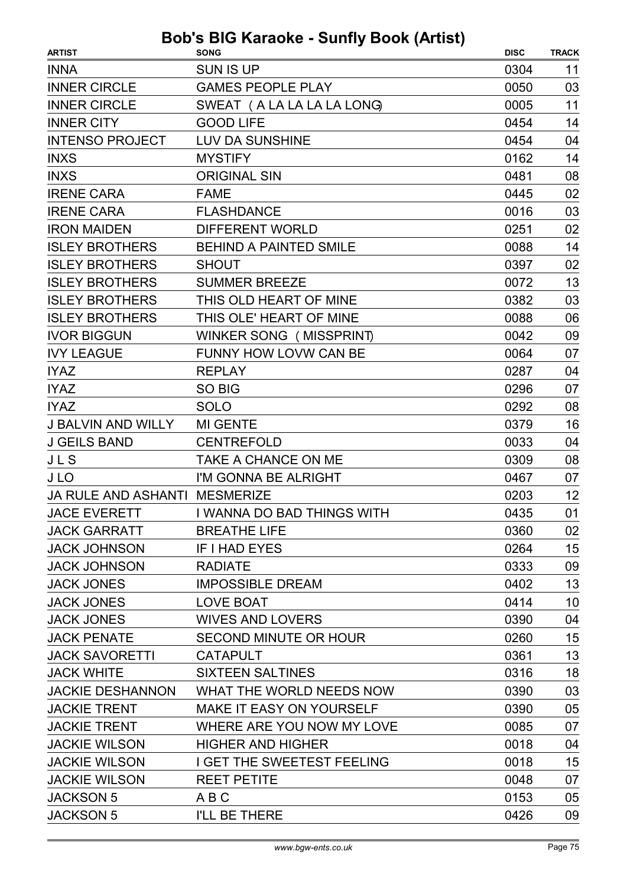| <b>ARTIST</b>                        | <b>SONG</b>                     | <b>DISC</b> | <b>TRACK</b> |
|--------------------------------------|---------------------------------|-------------|--------------|
| <b>INNA</b>                          | <b>SUN IS UP</b>                | 0304        | 11           |
| <b>INNER CIRCLE</b>                  | <b>GAMES PEOPLE PLAY</b>        | 0050        | 03           |
| <b>INNER CIRCLE</b>                  | SWEAT (A LA LA LA LA LONG)      | 0005        | 11           |
| <b>INNER CITY</b>                    | <b>GOOD LIFE</b>                | 0454        | 14           |
| <b>INTENSO PROJECT</b>               | <b>LUV DA SUNSHINE</b>          | 0454        | 04           |
| <b>INXS</b>                          | <b>MYSTIFY</b>                  | 0162        | 14           |
| <b>INXS</b>                          | <b>ORIGINAL SIN</b>             | 0481        | 08           |
| <b>IRENE CARA</b>                    | <b>FAME</b>                     | 0445        | 02           |
| <b>IRENE CARA</b>                    | <b>FLASHDANCE</b>               | 0016        | 03           |
| <b>IRON MAIDEN</b>                   | <b>DIFFERENT WORLD</b>          | 0251        | 02           |
| <b>ISLEY BROTHERS</b>                | <b>BEHIND A PAINTED SMILE</b>   | 0088        | 14           |
| <b>ISLEY BROTHERS</b>                | <b>SHOUT</b>                    | 0397        | 02           |
| <b>ISLEY BROTHERS</b>                | <b>SUMMER BREEZE</b>            | 0072        | 13           |
| <b>ISLEY BROTHERS</b>                | THIS OLD HEART OF MINE          | 0382        | 03           |
| <b>ISLEY BROTHERS</b>                | THIS OLE' HEART OF MINE         | 0088        | 06           |
| <b>IVOR BIGGUN</b>                   | WINKER SONG (MISSPRINT)         | 0042        | 09           |
| <b>IVY LEAGUE</b>                    | FUNNY HOW LOVW CAN BE           | 0064        | 07           |
| <b>IYAZ</b>                          | <b>REPLAY</b>                   | 0287        | 04           |
| <b>IYAZ</b>                          | SO BIG                          | 0296        | 07           |
| <b>IYAZ</b>                          | <b>SOLO</b>                     | 0292        | 08           |
| <b>J BALVIN AND WILLY</b>            | <b>MI GENTE</b>                 | 0379        | 16           |
| <b>J GEILS BAND</b>                  | <b>CENTREFOLD</b>               | 0033        | 04           |
| JLS                                  | <b>TAKE A CHANCE ON ME</b>      | 0309        | 08           |
| J LO                                 | I'M GONNA BE ALRIGHT            | 0467        | 07           |
| <b>JA RULE AND ASHANTI MESMERIZE</b> |                                 | 0203        | 12           |
| <b>JACE EVERETT</b>                  | I WANNA DO BAD THINGS WITH      | 0435        | 01           |
| <b>JACK GARRATT</b>                  | <b>BREATHE LIFE</b>             | 0360        | 02           |
| <b>JACK JOHNSON</b>                  | IF I HAD EYES                   | 0264        | 15           |
| <b>JACK JOHNSON</b>                  | <b>RADIATE</b>                  | 0333        | 09           |
| <b>JACK JONES</b>                    | <b>IMPOSSIBLE DREAM</b>         | 0402        | 13           |
| <b>JACK JONES</b>                    | <b>LOVE BOAT</b>                | 0414        | 10           |
| <b>JACK JONES</b>                    | <b>WIVES AND LOVERS</b>         | 0390        | 04           |
| <b>JACK PENATE</b>                   | SECOND MINUTE OR HOUR           | 0260        | 15           |
| <b>JACK SAVORETTI</b>                | <b>CATAPULT</b>                 | 0361        | 13           |
| <b>JACK WHITE</b>                    | <b>SIXTEEN SALTINES</b>         | 0316        | 18           |
| <b>JACKIE DESHANNON</b>              | WHAT THE WORLD NEEDS NOW        | 0390        | 03           |
| <b>JACKIE TRENT</b>                  | <b>MAKE IT EASY ON YOURSELF</b> | 0390        | 05           |
| <b>JACKIE TRENT</b>                  | WHERE ARE YOU NOW MY LOVE       | 0085        | 07           |
| <b>JACKIE WILSON</b>                 | <b>HIGHER AND HIGHER</b>        | 0018        | 04           |
| <b>JACKIE WILSON</b>                 | I GET THE SWEETEST FEELING      | 0018        | 15           |
| <b>JACKIE WILSON</b>                 | <b>REET PETITE</b>              | 0048        | 07           |
| <b>JACKSON 5</b>                     | A B C                           | 0153        | 05           |
| <b>JACKSON 5</b>                     | I'LL BE THERE                   | 0426        | 09           |
|                                      |                                 |             |              |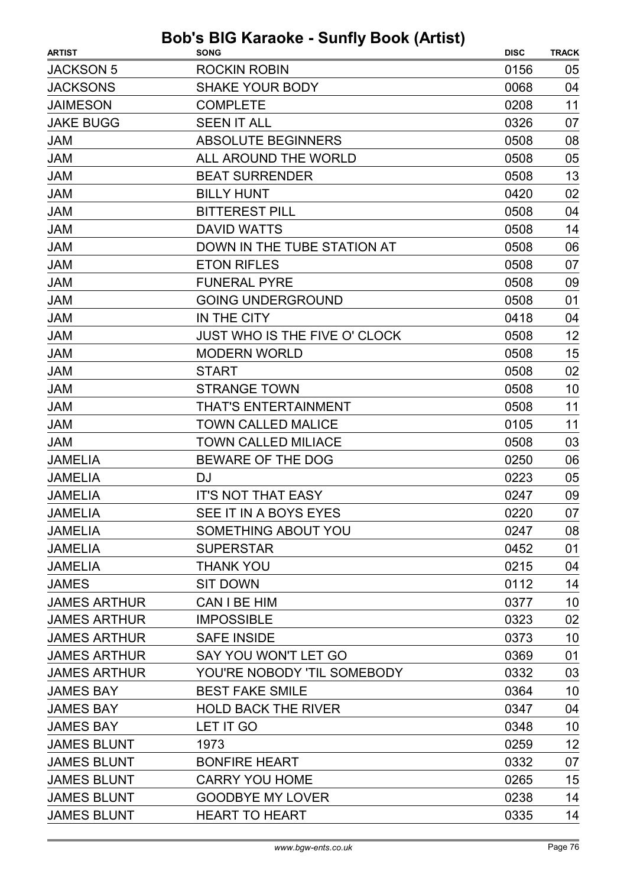| <b>ARTIST</b>       | <b>Bob's BIG Karaoke - Sunfly Book (Artist)</b><br><b>SONG</b> | <b>DISC</b> | <b>TRACK</b> |
|---------------------|----------------------------------------------------------------|-------------|--------------|
| <b>JACKSON 5</b>    | <b>ROCKIN ROBIN</b>                                            | 0156        | 05           |
| <b>JACKSONS</b>     | <b>SHAKE YOUR BODY</b>                                         | 0068        | 04           |
| <b>JAIMESON</b>     | <b>COMPLETE</b>                                                | 0208        | 11           |
| <b>JAKE BUGG</b>    | <b>SEEN IT ALL</b>                                             | 0326        | 07           |
| <b>JAM</b>          | <b>ABSOLUTE BEGINNERS</b>                                      | 0508        | 08           |
| <b>JAM</b>          | ALL AROUND THE WORLD                                           | 0508        | 05           |
| <b>JAM</b>          | <b>BEAT SURRENDER</b>                                          | 0508        | 13           |
| <b>JAM</b>          | <b>BILLY HUNT</b>                                              | 0420        | 02           |
| <b>JAM</b>          | <b>BITTEREST PILL</b>                                          | 0508        | 04           |
| <b>JAM</b>          | <b>DAVID WATTS</b>                                             | 0508        | 14           |
| <b>JAM</b>          | DOWN IN THE TUBE STATION AT                                    | 0508        | 06           |
| <b>JAM</b>          | <b>ETON RIFLES</b>                                             | 0508        | 07           |
| <b>JAM</b>          | <b>FUNERAL PYRE</b>                                            | 0508        | 09           |
| <b>JAM</b>          | <b>GOING UNDERGROUND</b>                                       | 0508        | 01           |
| <b>JAM</b>          | IN THE CITY                                                    | 0418        | 04           |
| <b>JAM</b>          | <b>JUST WHO IS THE FIVE O' CLOCK</b>                           | 0508        | 12           |
| <b>JAM</b>          | <b>MODERN WORLD</b>                                            | 0508        | 15           |
| <b>JAM</b>          | <b>START</b>                                                   | 0508        | 02           |
| <b>JAM</b>          | <b>STRANGE TOWN</b>                                            | 0508        | 10           |
| <b>JAM</b>          | <b>THAT'S ENTERTAINMENT</b>                                    | 0508        | 11           |
| <b>JAM</b>          | <b>TOWN CALLED MALICE</b>                                      | 0105        | 11           |
| <b>JAM</b>          | <b>TOWN CALLED MILIACE</b>                                     | 0508        | 03           |
| <b>JAMELIA</b>      | BEWARE OF THE DOG                                              | 0250        | 06           |
| <b>JAMELIA</b>      | DJ                                                             | 0223        | 05           |
| <b>JAMELIA</b>      | <b>IT'S NOT THAT EASY</b>                                      | 0247        | 09           |
| <b>JAMELIA</b>      | SEE IT IN A BOYS EYES                                          | 0220        | 07           |
| <b>JAMELIA</b>      | SOMETHING ABOUT YOU                                            | 0247        | 08           |
| <b>JAMELIA</b>      | <b>SUPERSTAR</b>                                               | 0452        | 01           |
| <b>JAMELIA</b>      | <b>THANK YOU</b>                                               | 0215        | 04           |
| <b>JAMES</b>        | <b>SIT DOWN</b>                                                | 0112        | 14           |
| <b>JAMES ARTHUR</b> | CAN I BE HIM                                                   | 0377        | 10           |
| <b>JAMES ARTHUR</b> | <b>IMPOSSIBLE</b>                                              | 0323        | 02           |
| <b>JAMES ARTHUR</b> | <b>SAFE INSIDE</b>                                             | 0373        | 10           |
| <b>JAMES ARTHUR</b> | SAY YOU WON'T LET GO                                           | 0369        | 01           |
| <b>JAMES ARTHUR</b> | YOU'RE NOBODY 'TIL SOMEBODY                                    | 0332        | 03           |
| <b>JAMES BAY</b>    | <b>BEST FAKE SMILE</b>                                         | 0364        | 10           |
| <b>JAMES BAY</b>    | <b>HOLD BACK THE RIVER</b>                                     | 0347        | 04           |
| <b>JAMES BAY</b>    | LET IT GO                                                      | 0348        | 10           |
| <b>JAMES BLUNT</b>  | 1973                                                           | 0259        | 12           |
| <b>JAMES BLUNT</b>  | <b>BONFIRE HEART</b>                                           | 0332        | 07           |
| <b>JAMES BLUNT</b>  | <b>CARRY YOU HOME</b>                                          | 0265        | 15           |
| <b>JAMES BLUNT</b>  | <b>GOODBYE MY LOVER</b>                                        | 0238        | 14           |
| <b>JAMES BLUNT</b>  | <b>HEART TO HEART</b>                                          | 0335        | 14           |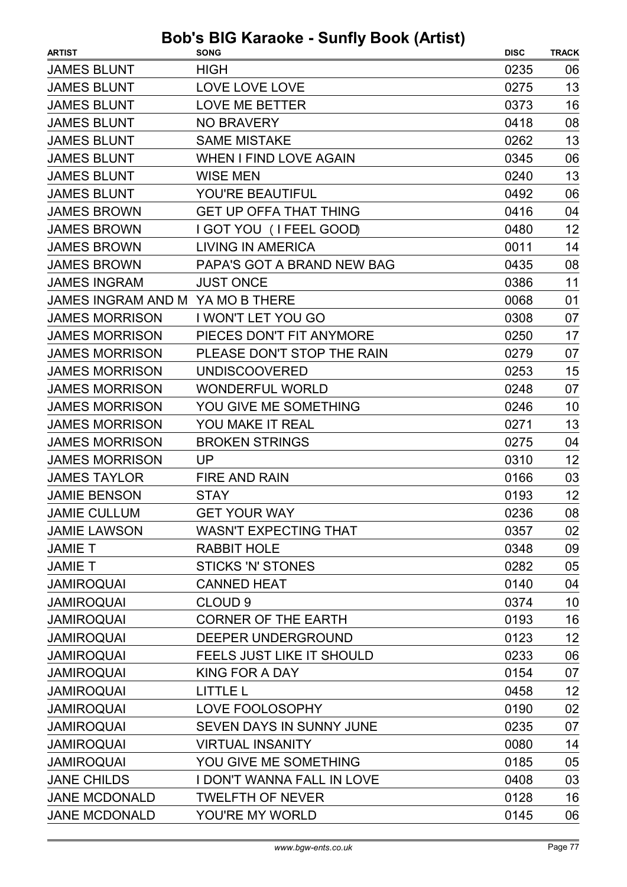| <b>ARTIST</b>             | $3003$ $101$ $101$ $1000$ $ 001$ $11$ $1$ $000$ $1$ $11$ $13$<br><b>SONG</b> | <b>DISC</b> | <b>TRACK</b> |
|---------------------------|------------------------------------------------------------------------------|-------------|--------------|
| <b>JAMES BLUNT</b>        | <b>HIGH</b>                                                                  | 0235        | 06           |
| <b>JAMES BLUNT</b>        | LOVE LOVE LOVE                                                               | 0275        | 13           |
| <b>JAMES BLUNT</b>        | <b>LOVE ME BETTER</b>                                                        | 0373        | 16           |
| <b>JAMES BLUNT</b>        | <b>NO BRAVERY</b>                                                            | 0418        | 08           |
| <b>JAMES BLUNT</b>        | <b>SAME MISTAKE</b>                                                          | 0262        | 13           |
| <b>JAMES BLUNT</b>        | <b>WHEN I FIND LOVE AGAIN</b>                                                | 0345        | 06           |
| <b>JAMES BLUNT</b>        | <b>WISE MEN</b>                                                              | 0240        | 13           |
| <b>JAMES BLUNT</b>        | YOU'RE BEAUTIFUL                                                             | 0492        | 06           |
| <b>JAMES BROWN</b>        | <b>GET UP OFFA THAT THING</b>                                                | 0416        | 04           |
| <b>JAMES BROWN</b>        | I GOT YOU (I FEEL GOOD)                                                      | 0480        | 12           |
| <b>JAMES BROWN</b>        | <b>LIVING IN AMERICA</b>                                                     | 0011        | 14           |
| <b>JAMES BROWN</b>        | PAPA'S GOT A BRAND NEW BAG                                                   | 0435        | 08           |
| <b>JAMES INGRAM</b>       | <b>JUST ONCE</b>                                                             | 0386        | 11           |
| <b>JAMES INGRAM AND M</b> | YA MO B THERE                                                                | 0068        | 01           |
| <b>JAMES MORRISON</b>     | I WON'T LET YOU GO                                                           | 0308        | 07           |
| <b>JAMES MORRISON</b>     | PIECES DON'T FIT ANYMORE                                                     | 0250        | 17           |
| <b>JAMES MORRISON</b>     | PLEASE DON'T STOP THE RAIN                                                   | 0279        | 07           |
| <b>JAMES MORRISON</b>     | <b>UNDISCOOVERED</b>                                                         | 0253        | 15           |
| <b>JAMES MORRISON</b>     | <b>WONDERFUL WORLD</b>                                                       | 0248        | 07           |
| <b>JAMES MORRISON</b>     | YOU GIVE ME SOMETHING                                                        | 0246        | 10           |
| <b>JAMES MORRISON</b>     | YOU MAKE IT REAL                                                             | 0271        | 13           |
| <b>JAMES MORRISON</b>     | <b>BROKEN STRINGS</b>                                                        | 0275        | 04           |
| <b>JAMES MORRISON</b>     | UP                                                                           | 0310        | 12           |
| <b>JAMES TAYLOR</b>       | <b>FIRE AND RAIN</b>                                                         | 0166        | 03           |
| <b>JAMIE BENSON</b>       | <b>STAY</b>                                                                  | 0193        | 12           |
| <b>JAMIE CULLUM</b>       | <b>GET YOUR WAY</b>                                                          | 0236        | 08           |
| <b>JAMIE LAWSON</b>       | <b>WASN'T EXPECTING THAT</b>                                                 | 0357        | 02           |
| <b>JAMIE T</b>            | <b>RABBIT HOLE</b>                                                           | 0348        | 09           |
| <b>JAMIE T</b>            | <b>STICKS 'N' STONES</b>                                                     | 0282        | 05           |
| <b>JAMIROQUAI</b>         | <b>CANNED HEAT</b>                                                           | 0140        | 04           |
| <b>JAMIROQUAI</b>         | CLOUD <sub>9</sub>                                                           | 0374        | 10           |
| <b>JAMIROQUAI</b>         | <b>CORNER OF THE EARTH</b>                                                   | 0193        | 16           |
| <b>JAMIROQUAI</b>         | DEEPER UNDERGROUND                                                           | 0123        | 12           |
| <b>JAMIROQUAI</b>         | FEELS JUST LIKE IT SHOULD                                                    | 0233        | 06           |
| <b>JAMIROQUAI</b>         | <b>KING FOR A DAY</b>                                                        | 0154        | 07           |
| <b>JAMIROQUAI</b>         | LITTLE L                                                                     | 0458        | 12           |
| <b>JAMIROQUAI</b>         | LOVE FOOLOSOPHY                                                              | 0190        | 02           |
| <b>JAMIROQUAI</b>         | SEVEN DAYS IN SUNNY JUNE                                                     | 0235        | 07           |
| <b>JAMIROQUAI</b>         | <b>VIRTUAL INSANITY</b>                                                      | 0080        | 14           |
| <b>JAMIROQUAI</b>         | YOU GIVE ME SOMETHING                                                        | 0185        | 05           |
| <b>JANE CHILDS</b>        | I DON'T WANNA FALL IN LOVE                                                   | 0408        | 03           |
| <b>JANE MCDONALD</b>      | <b>TWELFTH OF NEVER</b>                                                      | 0128        | 16           |
| <b>JANE MCDONALD</b>      | YOU'RE MY WORLD                                                              | 0145        | 06           |
|                           |                                                                              |             |              |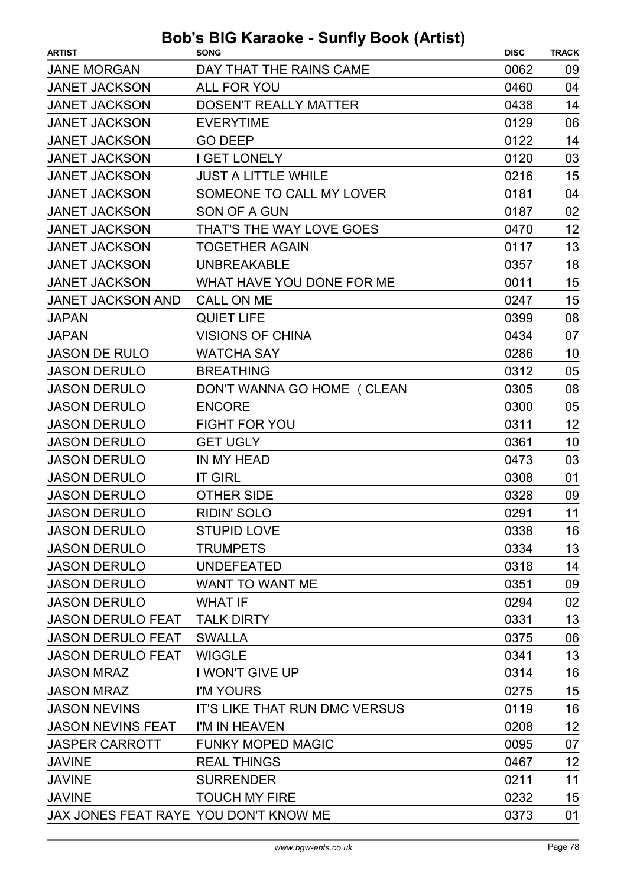| <b>JANE MORGAN</b><br>DAY THAT THE RAINS CAME<br>0062               | 09 |
|---------------------------------------------------------------------|----|
| <b>JANET JACKSON</b><br><b>ALL FOR YOU</b><br>0460                  | 04 |
| <b>JANET JACKSON</b><br><b>DOSEN'T REALLY MATTER</b><br>0438        | 14 |
| <b>JANET JACKSON</b><br><b>EVERYTIME</b><br>0129                    | 06 |
| <b>JANET JACKSON</b><br>0122<br><b>GO DEEP</b>                      | 14 |
| <b>JANET JACKSON</b><br><b>I GET LONELY</b><br>0120                 | 03 |
| <b>JUST A LITTLE WHILE</b><br><b>JANET JACKSON</b><br>0216          | 15 |
| <b>JANET JACKSON</b><br>SOMEONE TO CALL MY LOVER<br>0181            | 04 |
| <b>JANET JACKSON</b><br><b>SON OF A GUN</b><br>0187                 | 02 |
| THAT'S THE WAY LOVE GOES<br><b>JANET JACKSON</b><br>0470            | 12 |
| <b>JANET JACKSON</b><br>0117<br><b>TOGETHER AGAIN</b>               | 13 |
| <b>JANET JACKSON</b><br><b>UNBREAKABLE</b><br>0357                  | 18 |
| <b>JANET JACKSON</b><br>WHAT HAVE YOU DONE FOR ME<br>0011           | 15 |
| <b>JANET JACKSON AND</b><br><b>CALL ON ME</b><br>0247               | 15 |
| <b>QUIET LIFE</b><br>0399<br><b>JAPAN</b>                           | 08 |
| <b>VISIONS OF CHINA</b><br><b>JAPAN</b><br>0434                     | 07 |
| <b>JASON DE RULO</b><br><b>WATCHA SAY</b><br>0286                   | 10 |
| <b>JASON DERULO</b><br><b>BREATHING</b><br>0312                     | 05 |
| <b>JASON DERULO</b><br>0305<br>DON'T WANNA GO HOME ( CLEAN          | 08 |
| <b>JASON DERULO</b><br><b>ENCORE</b><br>0300                        | 05 |
| <b>JASON DERULO</b><br><b>FIGHT FOR YOU</b><br>0311                 | 12 |
| <b>JASON DERULO</b><br><b>GET UGLY</b><br>0361                      | 10 |
| <b>JASON DERULO</b><br>IN MY HEAD<br>0473                           | 03 |
| <b>JASON DERULO</b><br><b>IT GIRL</b><br>0308                       | 01 |
| <b>JASON DERULO</b><br><b>OTHER SIDE</b><br>0328                    | 09 |
| <b>RIDIN' SOLO</b><br>0291<br><b>JASON DERULO</b>                   | 11 |
| <b>JASON DERULO</b><br><b>STUPID LOVE</b><br>0338                   | 16 |
| 0334<br><b>JASON DERULO</b><br><b>TRUMPETS</b>                      | 13 |
| <b>JASON DERULO</b><br><b>UNDEFEATED</b><br>0318                    | 14 |
| <b>JASON DERULO</b><br><b>WANT TO WANT ME</b><br>0351               | 09 |
| <b>JASON DERULO</b><br>0294<br><b>WHAT IF</b>                       | 02 |
| <b>TALK DIRTY</b><br><b>JASON DERULO FEAT</b><br>0331               | 13 |
| <b>JASON DERULO FEAT</b><br><b>SWALLA</b><br>0375                   | 06 |
| <b>WIGGLE</b><br><b>JASON DERULO FEAT</b><br>0341                   | 13 |
| I WON'T GIVE UP<br>0314<br><b>JASON MRAZ</b>                        | 16 |
| <b>JASON MRAZ</b><br>I'M YOURS<br>0275                              | 15 |
| <b>JASON NEVINS</b><br><b>IT'S LIKE THAT RUN DMC VERSUS</b><br>0119 | 16 |
| <b>JASON NEVINS FEAT</b><br>I'M IN HEAVEN<br>0208                   | 12 |
| <b>FUNKY MOPED MAGIC</b><br><b>JASPER CARROTT</b><br>0095           | 07 |
| <b>REAL THINGS</b><br><b>JAVINE</b><br>0467                         | 12 |
| <b>SURRENDER</b><br>0211<br><b>JAVINE</b>                           | 11 |
| <b>TOUCH MY FIRE</b><br><b>JAVINE</b><br>0232                       | 15 |
| JAX JONES FEAT RAYE YOU DON'T KNOW ME<br>0373                       | 01 |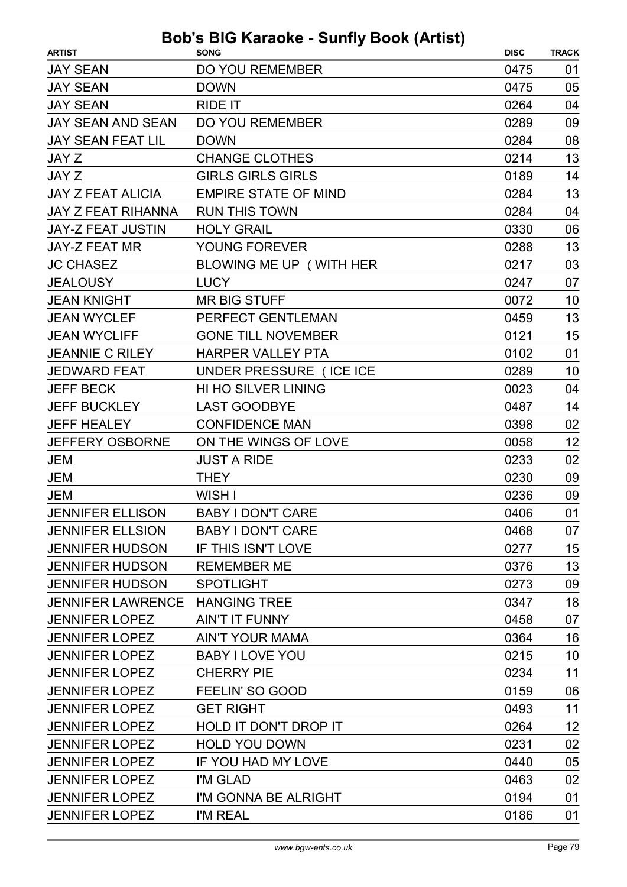| <b>JAY SEAN</b><br><b>DO YOU REMEMBER</b><br>0475<br>01<br>05<br><b>JAY SEAN</b><br><b>DOWN</b><br>0475<br><b>RIDE IT</b><br>0264<br>04<br><b>JAY SEAN</b><br><b>JAY SEAN AND SEAN</b><br><b>DO YOU REMEMBER</b><br>0289<br>09<br>08<br><b>JAY SEAN FEAT LIL</b><br><b>DOWN</b><br>0284<br>13<br><b>CHANGE CLOTHES</b><br>0214<br><b>JAY Z</b><br>14<br><b>GIRLS GIRLS GIRLS</b><br>JAY Z<br>0189<br>13<br><b>JAY Z FEAT ALICIA</b><br><b>EMPIRE STATE OF MIND</b><br>0284<br><b>JAY Z FEAT RIHANNA</b><br><b>RUN THIS TOWN</b><br>0284<br>04<br><b>JAY-Z FEAT JUSTIN</b><br><b>HOLY GRAIL</b><br>0330<br>06<br>13<br><b>JAY-Z FEAT MR</b><br>YOUNG FOREVER<br>0288<br><b>JC CHASEZ</b><br>BLOWING ME UP (WITH HER<br>03<br>0217<br>07<br><b>JEALOUSY</b><br><b>LUCY</b><br>0247<br><b>JEAN KNIGHT</b><br>10<br><b>MR BIG STUFF</b><br>0072<br>13<br><b>JEAN WYCLEF</b><br>PERFECT GENTLEMAN<br>0459 | <b>ARTIST</b>       | avnv vanny<br><b>SONG</b> | <b>DISC</b> | <b>TRACK</b> |
|------------------------------------------------------------------------------------------------------------------------------------------------------------------------------------------------------------------------------------------------------------------------------------------------------------------------------------------------------------------------------------------------------------------------------------------------------------------------------------------------------------------------------------------------------------------------------------------------------------------------------------------------------------------------------------------------------------------------------------------------------------------------------------------------------------------------------------------------------------------------------------------------------|---------------------|---------------------------|-------------|--------------|
|                                                                                                                                                                                                                                                                                                                                                                                                                                                                                                                                                                                                                                                                                                                                                                                                                                                                                                      |                     |                           |             |              |
|                                                                                                                                                                                                                                                                                                                                                                                                                                                                                                                                                                                                                                                                                                                                                                                                                                                                                                      |                     |                           |             |              |
|                                                                                                                                                                                                                                                                                                                                                                                                                                                                                                                                                                                                                                                                                                                                                                                                                                                                                                      |                     |                           |             |              |
|                                                                                                                                                                                                                                                                                                                                                                                                                                                                                                                                                                                                                                                                                                                                                                                                                                                                                                      |                     |                           |             |              |
|                                                                                                                                                                                                                                                                                                                                                                                                                                                                                                                                                                                                                                                                                                                                                                                                                                                                                                      |                     |                           |             |              |
|                                                                                                                                                                                                                                                                                                                                                                                                                                                                                                                                                                                                                                                                                                                                                                                                                                                                                                      |                     |                           |             |              |
|                                                                                                                                                                                                                                                                                                                                                                                                                                                                                                                                                                                                                                                                                                                                                                                                                                                                                                      |                     |                           |             |              |
|                                                                                                                                                                                                                                                                                                                                                                                                                                                                                                                                                                                                                                                                                                                                                                                                                                                                                                      |                     |                           |             |              |
|                                                                                                                                                                                                                                                                                                                                                                                                                                                                                                                                                                                                                                                                                                                                                                                                                                                                                                      |                     |                           |             |              |
|                                                                                                                                                                                                                                                                                                                                                                                                                                                                                                                                                                                                                                                                                                                                                                                                                                                                                                      |                     |                           |             |              |
|                                                                                                                                                                                                                                                                                                                                                                                                                                                                                                                                                                                                                                                                                                                                                                                                                                                                                                      |                     |                           |             |              |
|                                                                                                                                                                                                                                                                                                                                                                                                                                                                                                                                                                                                                                                                                                                                                                                                                                                                                                      |                     |                           |             |              |
|                                                                                                                                                                                                                                                                                                                                                                                                                                                                                                                                                                                                                                                                                                                                                                                                                                                                                                      |                     |                           |             |              |
|                                                                                                                                                                                                                                                                                                                                                                                                                                                                                                                                                                                                                                                                                                                                                                                                                                                                                                      |                     |                           |             |              |
|                                                                                                                                                                                                                                                                                                                                                                                                                                                                                                                                                                                                                                                                                                                                                                                                                                                                                                      |                     |                           |             |              |
|                                                                                                                                                                                                                                                                                                                                                                                                                                                                                                                                                                                                                                                                                                                                                                                                                                                                                                      | <b>JEAN WYCLIFF</b> | <b>GONE TILL NOVEMBER</b> | 0121        | 15           |
| <b>JEANNIE C RILEY</b><br><b>HARPER VALLEY PTA</b><br>0102<br>01                                                                                                                                                                                                                                                                                                                                                                                                                                                                                                                                                                                                                                                                                                                                                                                                                                     |                     |                           |             |              |
| UNDER PRESSURE (ICE ICE<br>0289<br>10<br><b>JEDWARD FEAT</b>                                                                                                                                                                                                                                                                                                                                                                                                                                                                                                                                                                                                                                                                                                                                                                                                                                         |                     |                           |             |              |
| 04<br><b>JEFF BECK</b><br><b>HI HO SILVER LINING</b><br>0023                                                                                                                                                                                                                                                                                                                                                                                                                                                                                                                                                                                                                                                                                                                                                                                                                                         |                     |                           |             |              |
| <b>JEFF BUCKLEY</b><br>0487<br>14<br><b>LAST GOODBYE</b>                                                                                                                                                                                                                                                                                                                                                                                                                                                                                                                                                                                                                                                                                                                                                                                                                                             |                     |                           |             |              |
| 02<br><b>JEFF HEALEY</b><br><b>CONFIDENCE MAN</b><br>0398                                                                                                                                                                                                                                                                                                                                                                                                                                                                                                                                                                                                                                                                                                                                                                                                                                            |                     |                           |             |              |
| 12<br>ON THE WINGS OF LOVE<br>0058<br><b>JEFFERY OSBORNE</b>                                                                                                                                                                                                                                                                                                                                                                                                                                                                                                                                                                                                                                                                                                                                                                                                                                         |                     |                           |             |              |
| 0233<br>02<br><b>JEM</b><br><b>JUST A RIDE</b>                                                                                                                                                                                                                                                                                                                                                                                                                                                                                                                                                                                                                                                                                                                                                                                                                                                       |                     |                           |             |              |
| <b>JEM</b><br>0230<br>09<br><b>THEY</b>                                                                                                                                                                                                                                                                                                                                                                                                                                                                                                                                                                                                                                                                                                                                                                                                                                                              |                     |                           |             |              |
| <b>JEM</b><br>WISH I<br>0236<br>09                                                                                                                                                                                                                                                                                                                                                                                                                                                                                                                                                                                                                                                                                                                                                                                                                                                                   |                     |                           |             |              |
| <b>JENNIFER ELLISON</b><br><b>BABY I DON'T CARE</b><br>0406<br>01                                                                                                                                                                                                                                                                                                                                                                                                                                                                                                                                                                                                                                                                                                                                                                                                                                    |                     |                           |             |              |
| <b>JENNIFER ELLSION</b><br><b>BABY I DON'T CARE</b><br>0468<br>07                                                                                                                                                                                                                                                                                                                                                                                                                                                                                                                                                                                                                                                                                                                                                                                                                                    |                     |                           |             |              |
| <b>IF THIS ISN'T LOVE</b><br>15<br><b>JENNIFER HUDSON</b><br>0277                                                                                                                                                                                                                                                                                                                                                                                                                                                                                                                                                                                                                                                                                                                                                                                                                                    |                     |                           |             |              |
| 13<br><b>JENNIFER HUDSON</b><br>0376<br><b>REMEMBER ME</b>                                                                                                                                                                                                                                                                                                                                                                                                                                                                                                                                                                                                                                                                                                                                                                                                                                           |                     |                           |             |              |
| 09<br><b>JENNIFER HUDSON</b><br><b>SPOTLIGHT</b><br>0273                                                                                                                                                                                                                                                                                                                                                                                                                                                                                                                                                                                                                                                                                                                                                                                                                                             |                     |                           |             |              |
| 18<br><b>HANGING TREE</b><br><b>JENNIFER LAWRENCE</b><br>0347                                                                                                                                                                                                                                                                                                                                                                                                                                                                                                                                                                                                                                                                                                                                                                                                                                        |                     |                           |             |              |
| <b>JENNIFER LOPEZ</b><br><b>AIN'T IT FUNNY</b><br>07<br>0458                                                                                                                                                                                                                                                                                                                                                                                                                                                                                                                                                                                                                                                                                                                                                                                                                                         |                     |                           |             |              |
| <b>AIN'T YOUR MAMA</b><br>16<br><b>JENNIFER LOPEZ</b><br>0364                                                                                                                                                                                                                                                                                                                                                                                                                                                                                                                                                                                                                                                                                                                                                                                                                                        |                     |                           |             |              |
| 10<br><b>BABY I LOVE YOU</b><br>0215<br><b>JENNIFER LOPEZ</b>                                                                                                                                                                                                                                                                                                                                                                                                                                                                                                                                                                                                                                                                                                                                                                                                                                        |                     |                           |             |              |
| 11<br><b>CHERRY PIE</b><br>0234<br><b>JENNIFER LOPEZ</b>                                                                                                                                                                                                                                                                                                                                                                                                                                                                                                                                                                                                                                                                                                                                                                                                                                             |                     |                           |             |              |
| <b>JENNIFER LOPEZ</b><br>FEELIN' SO GOOD<br>0159<br>06                                                                                                                                                                                                                                                                                                                                                                                                                                                                                                                                                                                                                                                                                                                                                                                                                                               |                     |                           |             |              |
| <b>JENNIFER LOPEZ</b><br><b>GET RIGHT</b><br>0493<br>11                                                                                                                                                                                                                                                                                                                                                                                                                                                                                                                                                                                                                                                                                                                                                                                                                                              |                     |                           |             |              |
| 12<br><b>JENNIFER LOPEZ</b><br>HOLD IT DON'T DROP IT<br>0264                                                                                                                                                                                                                                                                                                                                                                                                                                                                                                                                                                                                                                                                                                                                                                                                                                         |                     |                           |             |              |
| 02<br><b>HOLD YOU DOWN</b><br>0231<br><b>JENNIFER LOPEZ</b>                                                                                                                                                                                                                                                                                                                                                                                                                                                                                                                                                                                                                                                                                                                                                                                                                                          |                     |                           |             |              |
| IF YOU HAD MY LOVE<br>0440<br>05<br><b>JENNIFER LOPEZ</b>                                                                                                                                                                                                                                                                                                                                                                                                                                                                                                                                                                                                                                                                                                                                                                                                                                            |                     |                           |             |              |
| 02<br><b>JENNIFER LOPEZ</b><br>I'M GLAD<br>0463                                                                                                                                                                                                                                                                                                                                                                                                                                                                                                                                                                                                                                                                                                                                                                                                                                                      |                     |                           |             |              |
| <b>JENNIFER LOPEZ</b><br>0194<br>01<br>I'M GONNA BE ALRIGHT                                                                                                                                                                                                                                                                                                                                                                                                                                                                                                                                                                                                                                                                                                                                                                                                                                          |                     |                           |             |              |
| <b>JENNIFER LOPEZ</b><br>0186<br>01<br>I'M REAL                                                                                                                                                                                                                                                                                                                                                                                                                                                                                                                                                                                                                                                                                                                                                                                                                                                      |                     |                           |             |              |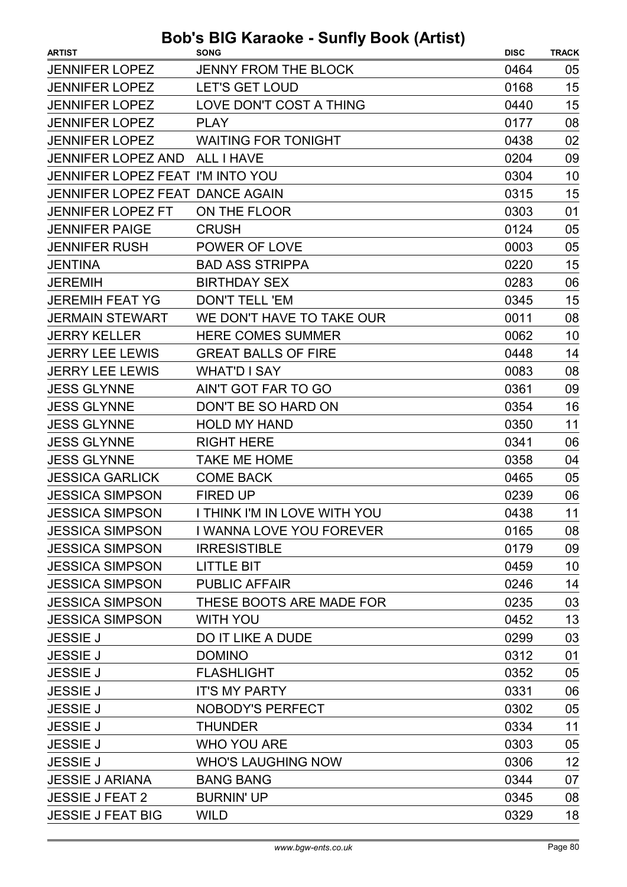| <b>ARTIST</b>                    | .<br><b>SONG</b>                | <b>DISC</b> | <b>TRACK</b> |
|----------------------------------|---------------------------------|-------------|--------------|
| <b>JENNIFER LOPEZ</b>            | <b>JENNY FROM THE BLOCK</b>     | 0464        | 05           |
| <b>JENNIFER LOPEZ</b>            | <b>LET'S GET LOUD</b>           | 0168        | 15           |
| <b>JENNIFER LOPEZ</b>            | LOVE DON'T COST A THING         | 0440        | 15           |
| <b>JENNIFER LOPEZ</b>            | <b>PLAY</b>                     | 0177        | 08           |
| <b>JENNIFER LOPEZ</b>            | <b>WAITING FOR TONIGHT</b>      | 0438        | 02           |
| <b>JENNIFER LOPEZ AND</b>        | <b>ALL I HAVE</b>               | 0204        | 09           |
| JENNIFER LOPEZ FEAT I'M INTO YOU |                                 | 0304        | 10           |
| JENNIFER LOPEZ FEAT DANCE AGAIN  |                                 | 0315        | 15           |
| <b>JENNIFER LOPEZ FT</b>         | ON THE FLOOR                    | 0303        | 01           |
| <b>JENNIFER PAIGE</b>            | <b>CRUSH</b>                    | 0124        | 05           |
| <b>JENNIFER RUSH</b>             | POWER OF LOVE                   | 0003        | 05           |
| <b>JENTINA</b>                   | <b>BAD ASS STRIPPA</b>          | 0220        | 15           |
| <b>JEREMIH</b>                   | <b>BIRTHDAY SEX</b>             | 0283        | 06           |
| <b>JEREMIH FEAT YG</b>           | <b>DON'T TELL 'EM</b>           | 0345        | 15           |
| <b>JERMAIN STEWART</b>           | WE DON'T HAVE TO TAKE OUR       | 0011        | 08           |
| <b>JERRY KELLER</b>              | <b>HERE COMES SUMMER</b>        | 0062        | 10           |
| <b>JERRY LEE LEWIS</b>           | <b>GREAT BALLS OF FIRE</b>      | 0448        | 14           |
| <b>JERRY LEE LEWIS</b>           | <b>WHATD I SAY</b>              | 0083        | 08           |
| <b>JESS GLYNNE</b>               | AIN'T GOT FAR TO GO             | 0361        | 09           |
| <b>JESS GLYNNE</b>               | DON'T BE SO HARD ON             | 0354        | 16           |
| <b>JESS GLYNNE</b>               | <b>HOLD MY HAND</b>             | 0350        | 11           |
| <b>JESS GLYNNE</b>               | <b>RIGHT HERE</b>               | 0341        | 06           |
| <b>JESS GLYNNE</b>               | <b>TAKE ME HOME</b>             | 0358        | 04           |
| <b>JESSICA GARLICK</b>           | <b>COME BACK</b>                | 0465        | 05           |
| <b>JESSICA SIMPSON</b>           | <b>FIRED UP</b>                 | 0239        | 06           |
| <b>JESSICA SIMPSON</b>           | I THINK I'M IN LOVE WITH YOU    | 0438        | 11           |
| <b>JESSICA SIMPSON</b>           | <b>I WANNA LOVE YOU FOREVER</b> | 0165        | 08           |
| <b>JESSICA SIMPSON</b>           | <b>IRRESISTIBLE</b>             | 0179        | 09           |
| <b>JESSICA SIMPSON</b>           | <b>LITTLE BIT</b>               | 0459        | 10           |
| <b>JESSICA SIMPSON</b>           | <b>PUBLIC AFFAIR</b>            | 0246        | 14           |
| <b>JESSICA SIMPSON</b>           | THESE BOOTS ARE MADE FOR        | 0235        | 03           |
| <b>JESSICA SIMPSON</b>           | <b>WITH YOU</b>                 | 0452        | 13           |
| <b>JESSIE J</b>                  | <b>DO IT LIKE A DUDE</b>        | 0299        | 03           |
| <b>JESSIE J</b>                  | <b>DOMINO</b>                   | 0312        | 01           |
| <b>JESSIE J</b>                  | <b>FLASHLIGHT</b>               | 0352        | 05           |
| <b>JESSIE J</b>                  | <b>IT'S MY PARTY</b>            | 0331        | 06           |
| <b>JESSIE J</b>                  | <b>NOBODY'S PERFECT</b>         | 0302        | 05           |
| <b>JESSIE J</b>                  | <b>THUNDER</b>                  | 0334        | 11           |
| <b>JESSIE J</b>                  | <b>WHO YOU ARE</b>              | 0303        | 05           |
| <b>JESSIE J</b>                  | <b>WHO'S LAUGHING NOW</b>       | 0306        | 12           |
| <b>JESSIE J ARIANA</b>           | <b>BANG BANG</b>                | 0344        | 07           |
| <b>JESSIE J FEAT 2</b>           | <b>BURNIN' UP</b>               | 0345        | 08           |
| <b>JESSIE J FEAT BIG</b>         | <b>WILD</b>                     | 0329        | 18           |
|                                  |                                 |             |              |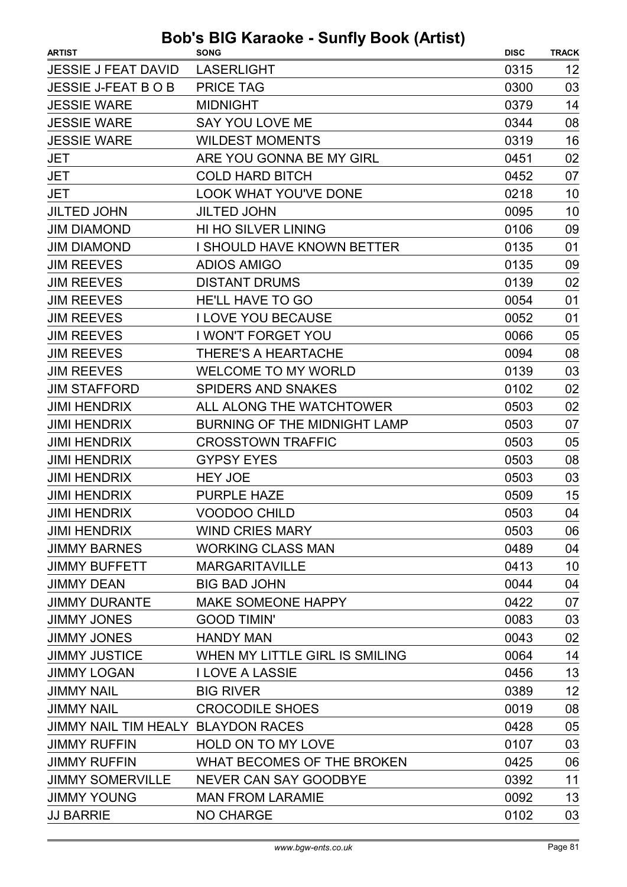| <b>ARTIST</b>                      | <b>SONG</b>                         | <b>DISC</b> | <b>TRACK</b> |
|------------------------------------|-------------------------------------|-------------|--------------|
| <b>JESSIE J FEAT DAVID</b>         | <b>LASERLIGHT</b>                   | 0315        | 12           |
| <b>JESSIE J-FEAT B O B</b>         | <b>PRICE TAG</b>                    | 0300        | 03           |
| <b>JESSIE WARE</b>                 | <b>MIDNIGHT</b>                     | 0379        | 14           |
| <b>JESSIE WARE</b>                 | <b>SAY YOU LOVE ME</b>              | 0344        | 08           |
| <b>JESSIE WARE</b>                 | <b>WILDEST MOMENTS</b>              | 0319        | 16           |
| <b>JET</b>                         | ARE YOU GONNA BE MY GIRL            | 0451        | 02           |
| <b>JET</b>                         | <b>COLD HARD BITCH</b>              | 0452        | 07           |
| <b>JET</b>                         | <b>LOOK WHAT YOU'VE DONE</b>        | 0218        | 10           |
| <b>JILTED JOHN</b>                 | <b>JILTED JOHN</b>                  | 0095        | 10           |
| <b>JIM DIAMOND</b>                 | HI HO SILVER LINING                 | 0106        | 09           |
| <b>JIM DIAMOND</b>                 | <b>I SHOULD HAVE KNOWN BETTER</b>   | 0135        | 01           |
| <b>JIM REEVES</b>                  | <b>ADIOS AMIGO</b>                  | 0135        | 09           |
| <b>JIM REEVES</b>                  | <b>DISTANT DRUMS</b>                | 0139        | 02           |
| <b>JIM REEVES</b>                  | <b>HE'LL HAVE TO GO</b>             | 0054        | 01           |
| <b>JIM REEVES</b>                  | <b>I LOVE YOU BECAUSE</b>           | 0052        | 01           |
| <b>JIM REEVES</b>                  | I WON'T FORGET YOU                  | 0066        | 05           |
| <b>JIM REEVES</b>                  | THERE'S A HEARTACHE                 | 0094        | 08           |
| <b>JIM REEVES</b>                  | <b>WELCOME TO MY WORLD</b>          | 0139        | 03           |
| <b>JIM STAFFORD</b>                | <b>SPIDERS AND SNAKES</b>           | 0102        | 02           |
| <b>JIMI HENDRIX</b>                | ALL ALONG THE WATCHTOWER            | 0503        | 02           |
| <b>JIMI HENDRIX</b>                | <b>BURNING OF THE MIDNIGHT LAMP</b> | 0503        | 07           |
| <b>JIMI HENDRIX</b>                | <b>CROSSTOWN TRAFFIC</b>            | 0503        | 05           |
| <b>JIMI HENDRIX</b>                | <b>GYPSY EYES</b>                   | 0503        | 08           |
| <b>JIMI HENDRIX</b>                | <b>HEY JOE</b>                      | 0503        | 03           |
| <b>JIMI HENDRIX</b>                | <b>PURPLE HAZE</b>                  | 0509        | 15           |
| <b>JIMI HENDRIX</b>                | <b>VOODOO CHILD</b>                 | 0503        | 04           |
| <b>JIMI HENDRIX</b>                | <b>WIND CRIES MARY</b>              | 0503        | 06           |
| <b>JIMMY BARNES</b>                | <b>WORKING CLASS MAN</b>            | 0489        | 04           |
| <b>JIMMY BUFFETT</b>               | <b>MARGARITAVILLE</b>               | 0413        | 10           |
| <b>JIMMY DEAN</b>                  | <b>BIG BAD JOHN</b>                 | 0044        | 04           |
| <b>JIMMY DURANTE</b>               | <b>MAKE SOMEONE HAPPY</b>           | 0422        | 07           |
| <b>JIMMY JONES</b>                 | <b>GOOD TIMIN'</b>                  | 0083        | 03           |
| <b>JIMMY JONES</b>                 | <b>HANDY MAN</b>                    | 0043        | 02           |
| <b>JIMMY JUSTICE</b>               | WHEN MY LITTLE GIRL IS SMILING      | 0064        | 14           |
| <b>JIMMY LOGAN</b>                 | <b>I LOVE A LASSIE</b>              | 0456        | 13           |
| <b>JIMMY NAIL</b>                  | <b>BIG RIVER</b>                    | 0389        | 12           |
| <b>JIMMY NAIL</b>                  | <b>CROCODILE SHOES</b>              | 0019        | 08           |
| JIMMY NAIL TIM HEALY BLAYDON RACES |                                     | 0428        | 05           |
| <b>JIMMY RUFFIN</b>                | HOLD ON TO MY LOVE                  | 0107        | 03           |
| <b>JIMMY RUFFIN</b>                | WHAT BECOMES OF THE BROKEN          | 0425        | 06           |
| <b>JIMMY SOMERVILLE</b>            | <b>NEVER CAN SAY GOODBYE</b>        | 0392        | 11           |
| <b>JIMMY YOUNG</b>                 | <b>MAN FROM LARAMIE</b>             | 0092        | 13           |
| <b>JJ BARRIE</b>                   | <b>NO CHARGE</b>                    | 0102        | 03           |
|                                    |                                     |             |              |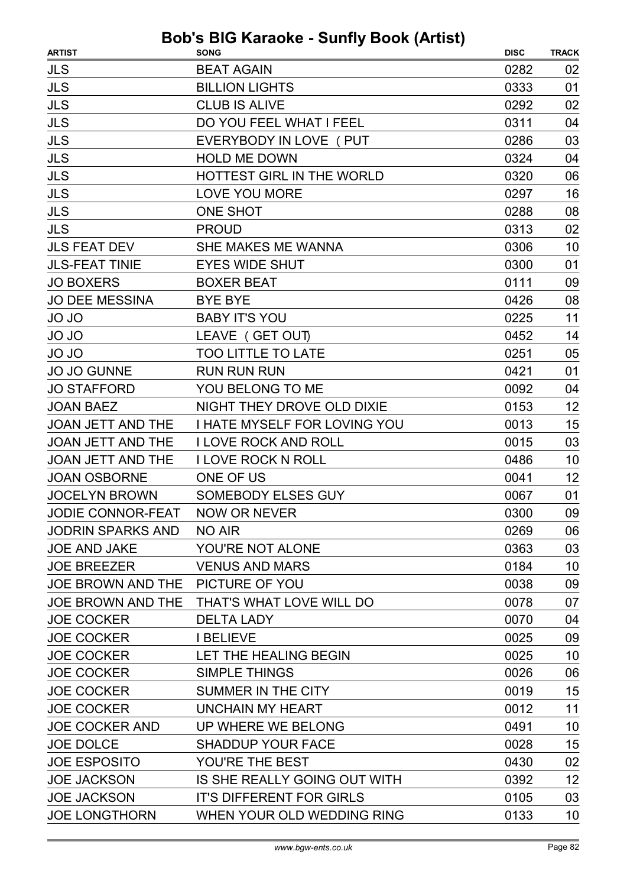| <b>JLS</b><br>0282<br><b>BEAT AGAIN</b><br>02<br><b>JLS</b><br><b>BILLION LIGHTS</b><br>0333<br>01<br><b>JLS</b><br><b>CLUB IS ALIVE</b><br>0292<br>02<br><b>JLS</b><br>DO YOU FEEL WHAT I FEEL<br>0311<br>04<br><b>JLS</b><br>EVERYBODY IN LOVE ( PUT<br>0286<br>03<br><b>JLS</b><br><b>HOLD ME DOWN</b><br>0324<br>04<br><b>JLS</b><br>HOTTEST GIRL IN THE WORLD<br>0320<br>06<br><b>JLS</b><br><b>LOVE YOU MORE</b><br>16<br>0297<br><b>JLS</b><br><b>ONE SHOT</b><br>0288<br>08<br>JLS<br><b>PROUD</b><br>0313<br>02<br><b>JLS FEAT DEV</b><br>SHE MAKES ME WANNA<br>0306<br>10<br><b>JLS-FEAT TINIE</b><br><b>EYES WIDE SHUT</b><br>0300<br>01<br>0111<br><b>JO BOXERS</b><br><b>BOXER BEAT</b><br>09<br><b>JO DEE MESSINA</b><br>08<br><b>BYE BYE</b><br>0426<br><b>BABY IT'S YOU</b><br>11<br>JO JO<br>0225<br>LEAVE (GET OUT)<br>0452<br>14 | <b>ARTIST</b> | . <i>.</i><br><b>SONG</b> | <b>DISC</b> | <b>TRACK</b> |
|-----------------------------------------------------------------------------------------------------------------------------------------------------------------------------------------------------------------------------------------------------------------------------------------------------------------------------------------------------------------------------------------------------------------------------------------------------------------------------------------------------------------------------------------------------------------------------------------------------------------------------------------------------------------------------------------------------------------------------------------------------------------------------------------------------------------------------------------------------|---------------|---------------------------|-------------|--------------|
|                                                                                                                                                                                                                                                                                                                                                                                                                                                                                                                                                                                                                                                                                                                                                                                                                                                     |               |                           |             |              |
|                                                                                                                                                                                                                                                                                                                                                                                                                                                                                                                                                                                                                                                                                                                                                                                                                                                     |               |                           |             |              |
|                                                                                                                                                                                                                                                                                                                                                                                                                                                                                                                                                                                                                                                                                                                                                                                                                                                     |               |                           |             |              |
|                                                                                                                                                                                                                                                                                                                                                                                                                                                                                                                                                                                                                                                                                                                                                                                                                                                     |               |                           |             |              |
|                                                                                                                                                                                                                                                                                                                                                                                                                                                                                                                                                                                                                                                                                                                                                                                                                                                     |               |                           |             |              |
|                                                                                                                                                                                                                                                                                                                                                                                                                                                                                                                                                                                                                                                                                                                                                                                                                                                     |               |                           |             |              |
|                                                                                                                                                                                                                                                                                                                                                                                                                                                                                                                                                                                                                                                                                                                                                                                                                                                     |               |                           |             |              |
|                                                                                                                                                                                                                                                                                                                                                                                                                                                                                                                                                                                                                                                                                                                                                                                                                                                     |               |                           |             |              |
|                                                                                                                                                                                                                                                                                                                                                                                                                                                                                                                                                                                                                                                                                                                                                                                                                                                     |               |                           |             |              |
|                                                                                                                                                                                                                                                                                                                                                                                                                                                                                                                                                                                                                                                                                                                                                                                                                                                     |               |                           |             |              |
|                                                                                                                                                                                                                                                                                                                                                                                                                                                                                                                                                                                                                                                                                                                                                                                                                                                     |               |                           |             |              |
|                                                                                                                                                                                                                                                                                                                                                                                                                                                                                                                                                                                                                                                                                                                                                                                                                                                     |               |                           |             |              |
|                                                                                                                                                                                                                                                                                                                                                                                                                                                                                                                                                                                                                                                                                                                                                                                                                                                     |               |                           |             |              |
|                                                                                                                                                                                                                                                                                                                                                                                                                                                                                                                                                                                                                                                                                                                                                                                                                                                     |               |                           |             |              |
|                                                                                                                                                                                                                                                                                                                                                                                                                                                                                                                                                                                                                                                                                                                                                                                                                                                     |               |                           |             |              |
|                                                                                                                                                                                                                                                                                                                                                                                                                                                                                                                                                                                                                                                                                                                                                                                                                                                     | JO JO         |                           |             |              |
| <b>TOO LITTLE TO LATE</b><br>JO JO<br>05<br>0251                                                                                                                                                                                                                                                                                                                                                                                                                                                                                                                                                                                                                                                                                                                                                                                                    |               |                           |             |              |
| <b>JO JO GUNNE</b><br><b>RUN RUN RUN</b><br>0421<br>01                                                                                                                                                                                                                                                                                                                                                                                                                                                                                                                                                                                                                                                                                                                                                                                              |               |                           |             |              |
| <b>JO STAFFORD</b><br>YOU BELONG TO ME<br>0092<br>04                                                                                                                                                                                                                                                                                                                                                                                                                                                                                                                                                                                                                                                                                                                                                                                                |               |                           |             |              |
| NIGHT THEY DROVE OLD DIXIE<br>12<br><b>JOAN BAEZ</b><br>0153                                                                                                                                                                                                                                                                                                                                                                                                                                                                                                                                                                                                                                                                                                                                                                                        |               |                           |             |              |
| JOAN JETT AND THE<br><b>I HATE MYSELF FOR LOVING YOU</b><br>15<br>0013                                                                                                                                                                                                                                                                                                                                                                                                                                                                                                                                                                                                                                                                                                                                                                              |               |                           |             |              |
| 03<br><b>JOAN JETT AND THE</b><br><b>I LOVE ROCK AND ROLL</b><br>0015                                                                                                                                                                                                                                                                                                                                                                                                                                                                                                                                                                                                                                                                                                                                                                               |               |                           |             |              |
| 10<br><b>JOAN JETT AND THE</b><br><b>I LOVE ROCK N ROLL</b><br>0486                                                                                                                                                                                                                                                                                                                                                                                                                                                                                                                                                                                                                                                                                                                                                                                 |               |                           |             |              |
| <b>JOAN OSBORNE</b><br>ONE OF US<br>12<br>0041                                                                                                                                                                                                                                                                                                                                                                                                                                                                                                                                                                                                                                                                                                                                                                                                      |               |                           |             |              |
| <b>JOCELYN BROWN</b><br>SOMEBODY ELSES GUY<br>0067<br>01                                                                                                                                                                                                                                                                                                                                                                                                                                                                                                                                                                                                                                                                                                                                                                                            |               |                           |             |              |
| <b>JODIE CONNOR-FEAT</b><br>NOW OR NEVER<br>0300<br>09                                                                                                                                                                                                                                                                                                                                                                                                                                                                                                                                                                                                                                                                                                                                                                                              |               |                           |             |              |
| <b>JODRIN SPARKS AND</b><br>NO AIR<br>0269<br>06                                                                                                                                                                                                                                                                                                                                                                                                                                                                                                                                                                                                                                                                                                                                                                                                    |               |                           |             |              |
| 03<br>0363<br><b>JOE AND JAKE</b><br>YOU'RE NOT ALONE                                                                                                                                                                                                                                                                                                                                                                                                                                                                                                                                                                                                                                                                                                                                                                                               |               |                           |             |              |
| <b>JOE BREEZER</b><br><b>VENUS AND MARS</b><br>0184<br>10                                                                                                                                                                                                                                                                                                                                                                                                                                                                                                                                                                                                                                                                                                                                                                                           |               |                           |             |              |
| JOE BROWN AND THE PICTURE OF YOU<br>0038<br>09                                                                                                                                                                                                                                                                                                                                                                                                                                                                                                                                                                                                                                                                                                                                                                                                      |               |                           |             |              |
| JOE BROWN AND THE THAT'S WHAT LOVE WILL DO<br>0078<br>07                                                                                                                                                                                                                                                                                                                                                                                                                                                                                                                                                                                                                                                                                                                                                                                            |               |                           |             |              |
| <b>JOE COCKER</b><br><b>DELTA LADY</b><br>0070<br>04                                                                                                                                                                                                                                                                                                                                                                                                                                                                                                                                                                                                                                                                                                                                                                                                |               |                           |             |              |
| 09<br><b>JOE COCKER</b><br><b>I BELIEVE</b><br>0025                                                                                                                                                                                                                                                                                                                                                                                                                                                                                                                                                                                                                                                                                                                                                                                                 |               |                           |             |              |
| 10<br><b>JOE COCKER</b><br>LET THE HEALING BEGIN<br>0025                                                                                                                                                                                                                                                                                                                                                                                                                                                                                                                                                                                                                                                                                                                                                                                            |               |                           |             |              |
| <b>JOE COCKER</b><br><b>SIMPLE THINGS</b><br>0026<br>06                                                                                                                                                                                                                                                                                                                                                                                                                                                                                                                                                                                                                                                                                                                                                                                             |               |                           |             |              |
| <b>JOE COCKER</b><br>SUMMER IN THE CITY<br>0019<br>15                                                                                                                                                                                                                                                                                                                                                                                                                                                                                                                                                                                                                                                                                                                                                                                               |               |                           |             |              |
| 11<br><b>JOE COCKER</b><br><b>UNCHAIN MY HEART</b><br>0012                                                                                                                                                                                                                                                                                                                                                                                                                                                                                                                                                                                                                                                                                                                                                                                          |               |                           |             |              |
| 10<br><b>JOE COCKER AND</b><br>UP WHERE WE BELONG<br>0491                                                                                                                                                                                                                                                                                                                                                                                                                                                                                                                                                                                                                                                                                                                                                                                           |               |                           |             |              |
| 15<br><b>JOE DOLCE</b><br><b>SHADDUP YOUR FACE</b><br>0028                                                                                                                                                                                                                                                                                                                                                                                                                                                                                                                                                                                                                                                                                                                                                                                          |               |                           |             |              |
| <b>JOE ESPOSITO</b><br>YOU'RE THE BEST<br>0430<br>02                                                                                                                                                                                                                                                                                                                                                                                                                                                                                                                                                                                                                                                                                                                                                                                                |               |                           |             |              |
| 12<br>IS SHE REALLY GOING OUT WITH<br>0392<br><b>JOE JACKSON</b>                                                                                                                                                                                                                                                                                                                                                                                                                                                                                                                                                                                                                                                                                                                                                                                    |               |                           |             |              |
| <b>JOE JACKSON</b><br><b>IT'S DIFFERENT FOR GIRLS</b><br>0105<br>03                                                                                                                                                                                                                                                                                                                                                                                                                                                                                                                                                                                                                                                                                                                                                                                 |               |                           |             |              |
| <b>JOE LONGTHORN</b><br>WHEN YOUR OLD WEDDING RING<br>0133<br>10                                                                                                                                                                                                                                                                                                                                                                                                                                                                                                                                                                                                                                                                                                                                                                                    |               |                           |             |              |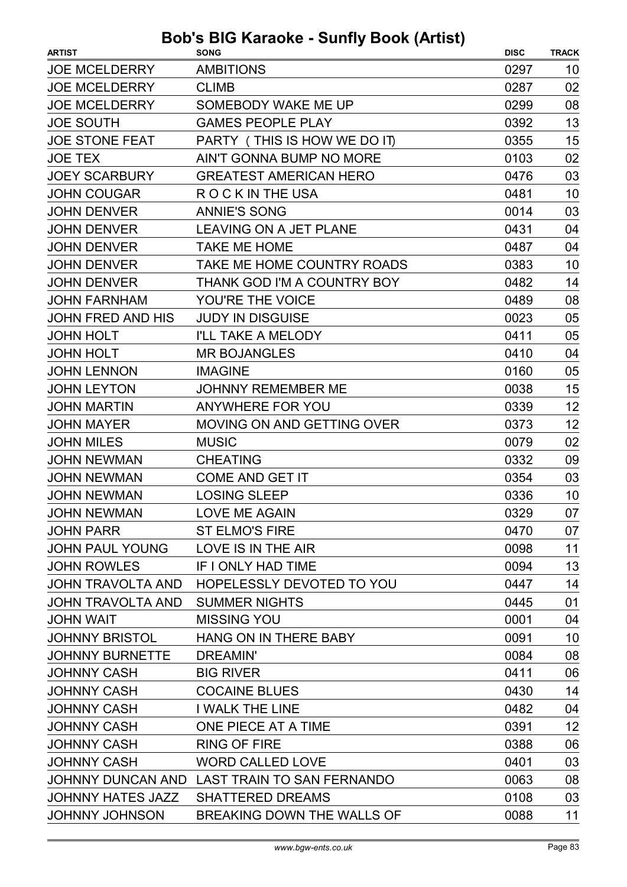| <b>AMBITIONS</b><br><b>JOE MCELDERRY</b><br>0297<br>10<br><b>JOE MCELDERRY</b><br>02<br><b>CLIMB</b><br>0287<br>0299<br>08<br><b>JOE MCELDERRY</b><br>SOMEBODY WAKE ME UP<br>13<br><b>JOE SOUTH</b><br><b>GAMES PEOPLE PLAY</b><br>0392<br><b>JOE STONE FEAT</b><br>15<br>PARTY (THIS IS HOW WE DO IT)<br>0355<br>02<br><b>JOE TEX</b><br><b>AIN'T GONNA BUMP NO MORE</b><br>0103<br>03<br><b>JOEY SCARBURY</b><br><b>GREATEST AMERICAN HERO</b><br>0476<br><b>JOHN COUGAR</b><br>0481<br>10<br>R O C K IN THE USA<br><b>JOHN DENVER</b><br><b>ANNIE'S SONG</b><br>0014<br>03<br><b>JOHN DENVER</b><br><b>LEAVING ON A JET PLANE</b><br>0431<br>04<br><b>JOHN DENVER</b><br><b>TAKE ME HOME</b><br>04<br>0487<br><b>JOHN DENVER</b><br>TAKE ME HOME COUNTRY ROADS<br>10<br>0383<br><b>JOHN DENVER</b><br>0482<br>14<br>THANK GOD I'M A COUNTRY BOY<br><b>JOHN FARNHAM</b><br>YOU'RE THE VOICE<br>0489<br>08<br>05<br><b>JOHN FRED AND HIS</b><br><b>JUDY IN DISGUISE</b><br>0023<br><b>JOHN HOLT</b><br>I'LL TAKE A MELODY<br>0411<br>05<br><b>JOHN HOLT</b><br><b>MR BOJANGLES</b><br>0410<br>04<br><b>JOHN LENNON</b><br><b>IMAGINE</b><br>0160<br>05<br>15<br><b>JOHN LEYTON</b><br><b>JOHNNY REMEMBER ME</b><br>0038<br>12<br><b>JOHN MARTIN</b><br>ANYWHERE FOR YOU<br>0339<br>12<br><b>JOHN MAYER</b><br><b>MOVING ON AND GETTING OVER</b><br>0373<br><b>JOHN MILES</b><br><b>MUSIC</b><br>0079<br>02<br><b>JOHN NEWMAN</b><br><b>CHEATING</b><br>0332<br>09<br>03<br><b>JOHN NEWMAN</b><br><b>COME AND GET IT</b><br>0354<br>10<br><b>JOHN NEWMAN</b><br><b>LOSING SLEEP</b><br>0336<br>07<br><b>JOHN NEWMAN</b><br>LOVE ME AGAIN<br>0329<br><b>ST ELMO'S FIRE</b><br><b>JOHN PARR</b><br>0470<br>07<br>11<br><b>JOHN PAUL YOUNG</b><br>LOVE IS IN THE AIR<br>0098<br>13<br><b>JOHN ROWLES</b><br>IF I ONLY HAD TIME<br>0094<br><b>JOHN TRAVOLTA AND</b><br>HOPELESSLY DEVOTED TO YOU<br>14<br>0447<br>01<br><b>JOHN TRAVOLTA AND</b><br><b>SUMMER NIGHTS</b><br>0445<br><b>MISSING YOU</b><br>0001<br>04<br><b>JOHN WAIT</b><br><b>JOHNNY BRISTOL</b><br>HANG ON IN THERE BABY<br>10<br>0091<br>08<br><b>JOHNNY BURNETTE</b><br><b>DREAMIN'</b><br>0084<br>06<br><b>JOHNNY CASH</b><br><b>BIG RIVER</b><br>0411<br>14<br><b>JOHNNY CASH</b><br><b>COCAINE BLUES</b><br>0430<br><b>JOHNNY CASH</b><br><b>I WALK THE LINE</b><br>04<br>0482<br><b>JOHNNY CASH</b><br>ONE PIECE AT A TIME<br>12<br>0391 | <b>ARTIST</b>      | <b>SONG</b>         | <b>DISC</b> | <b>TRACK</b> |
|--------------------------------------------------------------------------------------------------------------------------------------------------------------------------------------------------------------------------------------------------------------------------------------------------------------------------------------------------------------------------------------------------------------------------------------------------------------------------------------------------------------------------------------------------------------------------------------------------------------------------------------------------------------------------------------------------------------------------------------------------------------------------------------------------------------------------------------------------------------------------------------------------------------------------------------------------------------------------------------------------------------------------------------------------------------------------------------------------------------------------------------------------------------------------------------------------------------------------------------------------------------------------------------------------------------------------------------------------------------------------------------------------------------------------------------------------------------------------------------------------------------------------------------------------------------------------------------------------------------------------------------------------------------------------------------------------------------------------------------------------------------------------------------------------------------------------------------------------------------------------------------------------------------------------------------------------------------------------------------------------------------------------------------------------------------------------------------------------------------------------------------------------------------------------------------------------------------------------------------------------------------------------------------------------------------------------------------------------------------------------------------------------------------|--------------------|---------------------|-------------|--------------|
|                                                                                                                                                                                                                                                                                                                                                                                                                                                                                                                                                                                                                                                                                                                                                                                                                                                                                                                                                                                                                                                                                                                                                                                                                                                                                                                                                                                                                                                                                                                                                                                                                                                                                                                                                                                                                                                                                                                                                                                                                                                                                                                                                                                                                                                                                                                                                                                                              |                    |                     |             |              |
|                                                                                                                                                                                                                                                                                                                                                                                                                                                                                                                                                                                                                                                                                                                                                                                                                                                                                                                                                                                                                                                                                                                                                                                                                                                                                                                                                                                                                                                                                                                                                                                                                                                                                                                                                                                                                                                                                                                                                                                                                                                                                                                                                                                                                                                                                                                                                                                                              |                    |                     |             |              |
|                                                                                                                                                                                                                                                                                                                                                                                                                                                                                                                                                                                                                                                                                                                                                                                                                                                                                                                                                                                                                                                                                                                                                                                                                                                                                                                                                                                                                                                                                                                                                                                                                                                                                                                                                                                                                                                                                                                                                                                                                                                                                                                                                                                                                                                                                                                                                                                                              |                    |                     |             |              |
|                                                                                                                                                                                                                                                                                                                                                                                                                                                                                                                                                                                                                                                                                                                                                                                                                                                                                                                                                                                                                                                                                                                                                                                                                                                                                                                                                                                                                                                                                                                                                                                                                                                                                                                                                                                                                                                                                                                                                                                                                                                                                                                                                                                                                                                                                                                                                                                                              |                    |                     |             |              |
|                                                                                                                                                                                                                                                                                                                                                                                                                                                                                                                                                                                                                                                                                                                                                                                                                                                                                                                                                                                                                                                                                                                                                                                                                                                                                                                                                                                                                                                                                                                                                                                                                                                                                                                                                                                                                                                                                                                                                                                                                                                                                                                                                                                                                                                                                                                                                                                                              |                    |                     |             |              |
|                                                                                                                                                                                                                                                                                                                                                                                                                                                                                                                                                                                                                                                                                                                                                                                                                                                                                                                                                                                                                                                                                                                                                                                                                                                                                                                                                                                                                                                                                                                                                                                                                                                                                                                                                                                                                                                                                                                                                                                                                                                                                                                                                                                                                                                                                                                                                                                                              |                    |                     |             |              |
|                                                                                                                                                                                                                                                                                                                                                                                                                                                                                                                                                                                                                                                                                                                                                                                                                                                                                                                                                                                                                                                                                                                                                                                                                                                                                                                                                                                                                                                                                                                                                                                                                                                                                                                                                                                                                                                                                                                                                                                                                                                                                                                                                                                                                                                                                                                                                                                                              |                    |                     |             |              |
|                                                                                                                                                                                                                                                                                                                                                                                                                                                                                                                                                                                                                                                                                                                                                                                                                                                                                                                                                                                                                                                                                                                                                                                                                                                                                                                                                                                                                                                                                                                                                                                                                                                                                                                                                                                                                                                                                                                                                                                                                                                                                                                                                                                                                                                                                                                                                                                                              |                    |                     |             |              |
|                                                                                                                                                                                                                                                                                                                                                                                                                                                                                                                                                                                                                                                                                                                                                                                                                                                                                                                                                                                                                                                                                                                                                                                                                                                                                                                                                                                                                                                                                                                                                                                                                                                                                                                                                                                                                                                                                                                                                                                                                                                                                                                                                                                                                                                                                                                                                                                                              |                    |                     |             |              |
|                                                                                                                                                                                                                                                                                                                                                                                                                                                                                                                                                                                                                                                                                                                                                                                                                                                                                                                                                                                                                                                                                                                                                                                                                                                                                                                                                                                                                                                                                                                                                                                                                                                                                                                                                                                                                                                                                                                                                                                                                                                                                                                                                                                                                                                                                                                                                                                                              |                    |                     |             |              |
|                                                                                                                                                                                                                                                                                                                                                                                                                                                                                                                                                                                                                                                                                                                                                                                                                                                                                                                                                                                                                                                                                                                                                                                                                                                                                                                                                                                                                                                                                                                                                                                                                                                                                                                                                                                                                                                                                                                                                                                                                                                                                                                                                                                                                                                                                                                                                                                                              |                    |                     |             |              |
|                                                                                                                                                                                                                                                                                                                                                                                                                                                                                                                                                                                                                                                                                                                                                                                                                                                                                                                                                                                                                                                                                                                                                                                                                                                                                                                                                                                                                                                                                                                                                                                                                                                                                                                                                                                                                                                                                                                                                                                                                                                                                                                                                                                                                                                                                                                                                                                                              |                    |                     |             |              |
|                                                                                                                                                                                                                                                                                                                                                                                                                                                                                                                                                                                                                                                                                                                                                                                                                                                                                                                                                                                                                                                                                                                                                                                                                                                                                                                                                                                                                                                                                                                                                                                                                                                                                                                                                                                                                                                                                                                                                                                                                                                                                                                                                                                                                                                                                                                                                                                                              |                    |                     |             |              |
|                                                                                                                                                                                                                                                                                                                                                                                                                                                                                                                                                                                                                                                                                                                                                                                                                                                                                                                                                                                                                                                                                                                                                                                                                                                                                                                                                                                                                                                                                                                                                                                                                                                                                                                                                                                                                                                                                                                                                                                                                                                                                                                                                                                                                                                                                                                                                                                                              |                    |                     |             |              |
|                                                                                                                                                                                                                                                                                                                                                                                                                                                                                                                                                                                                                                                                                                                                                                                                                                                                                                                                                                                                                                                                                                                                                                                                                                                                                                                                                                                                                                                                                                                                                                                                                                                                                                                                                                                                                                                                                                                                                                                                                                                                                                                                                                                                                                                                                                                                                                                                              |                    |                     |             |              |
|                                                                                                                                                                                                                                                                                                                                                                                                                                                                                                                                                                                                                                                                                                                                                                                                                                                                                                                                                                                                                                                                                                                                                                                                                                                                                                                                                                                                                                                                                                                                                                                                                                                                                                                                                                                                                                                                                                                                                                                                                                                                                                                                                                                                                                                                                                                                                                                                              |                    |                     |             |              |
|                                                                                                                                                                                                                                                                                                                                                                                                                                                                                                                                                                                                                                                                                                                                                                                                                                                                                                                                                                                                                                                                                                                                                                                                                                                                                                                                                                                                                                                                                                                                                                                                                                                                                                                                                                                                                                                                                                                                                                                                                                                                                                                                                                                                                                                                                                                                                                                                              |                    |                     |             |              |
|                                                                                                                                                                                                                                                                                                                                                                                                                                                                                                                                                                                                                                                                                                                                                                                                                                                                                                                                                                                                                                                                                                                                                                                                                                                                                                                                                                                                                                                                                                                                                                                                                                                                                                                                                                                                                                                                                                                                                                                                                                                                                                                                                                                                                                                                                                                                                                                                              |                    |                     |             |              |
|                                                                                                                                                                                                                                                                                                                                                                                                                                                                                                                                                                                                                                                                                                                                                                                                                                                                                                                                                                                                                                                                                                                                                                                                                                                                                                                                                                                                                                                                                                                                                                                                                                                                                                                                                                                                                                                                                                                                                                                                                                                                                                                                                                                                                                                                                                                                                                                                              |                    |                     |             |              |
|                                                                                                                                                                                                                                                                                                                                                                                                                                                                                                                                                                                                                                                                                                                                                                                                                                                                                                                                                                                                                                                                                                                                                                                                                                                                                                                                                                                                                                                                                                                                                                                                                                                                                                                                                                                                                                                                                                                                                                                                                                                                                                                                                                                                                                                                                                                                                                                                              |                    |                     |             |              |
|                                                                                                                                                                                                                                                                                                                                                                                                                                                                                                                                                                                                                                                                                                                                                                                                                                                                                                                                                                                                                                                                                                                                                                                                                                                                                                                                                                                                                                                                                                                                                                                                                                                                                                                                                                                                                                                                                                                                                                                                                                                                                                                                                                                                                                                                                                                                                                                                              |                    |                     |             |              |
|                                                                                                                                                                                                                                                                                                                                                                                                                                                                                                                                                                                                                                                                                                                                                                                                                                                                                                                                                                                                                                                                                                                                                                                                                                                                                                                                                                                                                                                                                                                                                                                                                                                                                                                                                                                                                                                                                                                                                                                                                                                                                                                                                                                                                                                                                                                                                                                                              |                    |                     |             |              |
|                                                                                                                                                                                                                                                                                                                                                                                                                                                                                                                                                                                                                                                                                                                                                                                                                                                                                                                                                                                                                                                                                                                                                                                                                                                                                                                                                                                                                                                                                                                                                                                                                                                                                                                                                                                                                                                                                                                                                                                                                                                                                                                                                                                                                                                                                                                                                                                                              |                    |                     |             |              |
|                                                                                                                                                                                                                                                                                                                                                                                                                                                                                                                                                                                                                                                                                                                                                                                                                                                                                                                                                                                                                                                                                                                                                                                                                                                                                                                                                                                                                                                                                                                                                                                                                                                                                                                                                                                                                                                                                                                                                                                                                                                                                                                                                                                                                                                                                                                                                                                                              |                    |                     |             |              |
|                                                                                                                                                                                                                                                                                                                                                                                                                                                                                                                                                                                                                                                                                                                                                                                                                                                                                                                                                                                                                                                                                                                                                                                                                                                                                                                                                                                                                                                                                                                                                                                                                                                                                                                                                                                                                                                                                                                                                                                                                                                                                                                                                                                                                                                                                                                                                                                                              |                    |                     |             |              |
|                                                                                                                                                                                                                                                                                                                                                                                                                                                                                                                                                                                                                                                                                                                                                                                                                                                                                                                                                                                                                                                                                                                                                                                                                                                                                                                                                                                                                                                                                                                                                                                                                                                                                                                                                                                                                                                                                                                                                                                                                                                                                                                                                                                                                                                                                                                                                                                                              |                    |                     |             |              |
|                                                                                                                                                                                                                                                                                                                                                                                                                                                                                                                                                                                                                                                                                                                                                                                                                                                                                                                                                                                                                                                                                                                                                                                                                                                                                                                                                                                                                                                                                                                                                                                                                                                                                                                                                                                                                                                                                                                                                                                                                                                                                                                                                                                                                                                                                                                                                                                                              |                    |                     |             |              |
|                                                                                                                                                                                                                                                                                                                                                                                                                                                                                                                                                                                                                                                                                                                                                                                                                                                                                                                                                                                                                                                                                                                                                                                                                                                                                                                                                                                                                                                                                                                                                                                                                                                                                                                                                                                                                                                                                                                                                                                                                                                                                                                                                                                                                                                                                                                                                                                                              |                    |                     |             |              |
|                                                                                                                                                                                                                                                                                                                                                                                                                                                                                                                                                                                                                                                                                                                                                                                                                                                                                                                                                                                                                                                                                                                                                                                                                                                                                                                                                                                                                                                                                                                                                                                                                                                                                                                                                                                                                                                                                                                                                                                                                                                                                                                                                                                                                                                                                                                                                                                                              |                    |                     |             |              |
|                                                                                                                                                                                                                                                                                                                                                                                                                                                                                                                                                                                                                                                                                                                                                                                                                                                                                                                                                                                                                                                                                                                                                                                                                                                                                                                                                                                                                                                                                                                                                                                                                                                                                                                                                                                                                                                                                                                                                                                                                                                                                                                                                                                                                                                                                                                                                                                                              |                    |                     |             |              |
|                                                                                                                                                                                                                                                                                                                                                                                                                                                                                                                                                                                                                                                                                                                                                                                                                                                                                                                                                                                                                                                                                                                                                                                                                                                                                                                                                                                                                                                                                                                                                                                                                                                                                                                                                                                                                                                                                                                                                                                                                                                                                                                                                                                                                                                                                                                                                                                                              |                    |                     |             |              |
|                                                                                                                                                                                                                                                                                                                                                                                                                                                                                                                                                                                                                                                                                                                                                                                                                                                                                                                                                                                                                                                                                                                                                                                                                                                                                                                                                                                                                                                                                                                                                                                                                                                                                                                                                                                                                                                                                                                                                                                                                                                                                                                                                                                                                                                                                                                                                                                                              |                    |                     |             |              |
|                                                                                                                                                                                                                                                                                                                                                                                                                                                                                                                                                                                                                                                                                                                                                                                                                                                                                                                                                                                                                                                                                                                                                                                                                                                                                                                                                                                                                                                                                                                                                                                                                                                                                                                                                                                                                                                                                                                                                                                                                                                                                                                                                                                                                                                                                                                                                                                                              |                    |                     |             |              |
|                                                                                                                                                                                                                                                                                                                                                                                                                                                                                                                                                                                                                                                                                                                                                                                                                                                                                                                                                                                                                                                                                                                                                                                                                                                                                                                                                                                                                                                                                                                                                                                                                                                                                                                                                                                                                                                                                                                                                                                                                                                                                                                                                                                                                                                                                                                                                                                                              |                    |                     |             |              |
|                                                                                                                                                                                                                                                                                                                                                                                                                                                                                                                                                                                                                                                                                                                                                                                                                                                                                                                                                                                                                                                                                                                                                                                                                                                                                                                                                                                                                                                                                                                                                                                                                                                                                                                                                                                                                                                                                                                                                                                                                                                                                                                                                                                                                                                                                                                                                                                                              |                    |                     |             |              |
|                                                                                                                                                                                                                                                                                                                                                                                                                                                                                                                                                                                                                                                                                                                                                                                                                                                                                                                                                                                                                                                                                                                                                                                                                                                                                                                                                                                                                                                                                                                                                                                                                                                                                                                                                                                                                                                                                                                                                                                                                                                                                                                                                                                                                                                                                                                                                                                                              |                    |                     |             |              |
|                                                                                                                                                                                                                                                                                                                                                                                                                                                                                                                                                                                                                                                                                                                                                                                                                                                                                                                                                                                                                                                                                                                                                                                                                                                                                                                                                                                                                                                                                                                                                                                                                                                                                                                                                                                                                                                                                                                                                                                                                                                                                                                                                                                                                                                                                                                                                                                                              |                    |                     |             |              |
|                                                                                                                                                                                                                                                                                                                                                                                                                                                                                                                                                                                                                                                                                                                                                                                                                                                                                                                                                                                                                                                                                                                                                                                                                                                                                                                                                                                                                                                                                                                                                                                                                                                                                                                                                                                                                                                                                                                                                                                                                                                                                                                                                                                                                                                                                                                                                                                                              |                    |                     |             |              |
|                                                                                                                                                                                                                                                                                                                                                                                                                                                                                                                                                                                                                                                                                                                                                                                                                                                                                                                                                                                                                                                                                                                                                                                                                                                                                                                                                                                                                                                                                                                                                                                                                                                                                                                                                                                                                                                                                                                                                                                                                                                                                                                                                                                                                                                                                                                                                                                                              | <b>JOHNNY CASH</b> | <b>RING OF FIRE</b> | 0388        | 06           |
| 03<br><b>JOHNNY CASH</b><br><b>WORD CALLED LOVE</b><br>0401                                                                                                                                                                                                                                                                                                                                                                                                                                                                                                                                                                                                                                                                                                                                                                                                                                                                                                                                                                                                                                                                                                                                                                                                                                                                                                                                                                                                                                                                                                                                                                                                                                                                                                                                                                                                                                                                                                                                                                                                                                                                                                                                                                                                                                                                                                                                                  |                    |                     |             |              |
| JOHNNY DUNCAN AND LAST TRAIN TO SAN FERNANDO<br>0063<br>08                                                                                                                                                                                                                                                                                                                                                                                                                                                                                                                                                                                                                                                                                                                                                                                                                                                                                                                                                                                                                                                                                                                                                                                                                                                                                                                                                                                                                                                                                                                                                                                                                                                                                                                                                                                                                                                                                                                                                                                                                                                                                                                                                                                                                                                                                                                                                   |                    |                     |             |              |
| <b>SHATTERED DREAMS</b><br>0108<br>03<br><b>JOHNNY HATES JAZZ</b>                                                                                                                                                                                                                                                                                                                                                                                                                                                                                                                                                                                                                                                                                                                                                                                                                                                                                                                                                                                                                                                                                                                                                                                                                                                                                                                                                                                                                                                                                                                                                                                                                                                                                                                                                                                                                                                                                                                                                                                                                                                                                                                                                                                                                                                                                                                                            |                    |                     |             |              |
| <b>JOHNNY JOHNSON</b><br>BREAKING DOWN THE WALLS OF<br>0088<br>11                                                                                                                                                                                                                                                                                                                                                                                                                                                                                                                                                                                                                                                                                                                                                                                                                                                                                                                                                                                                                                                                                                                                                                                                                                                                                                                                                                                                                                                                                                                                                                                                                                                                                                                                                                                                                                                                                                                                                                                                                                                                                                                                                                                                                                                                                                                                            |                    |                     |             |              |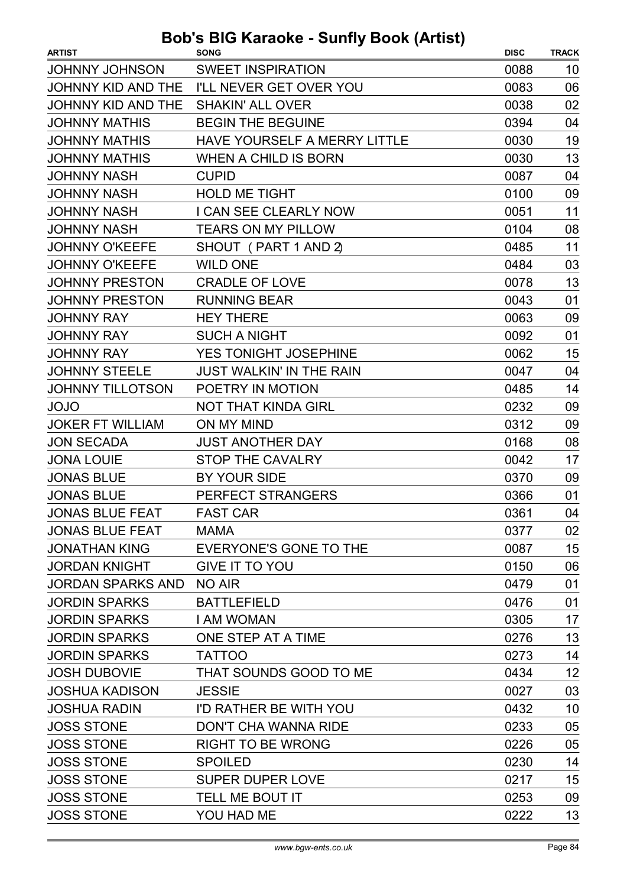| <b>ARTIST</b>            | <b>SONG</b>                     | <b>DISC</b> | <b>TRACK</b> |
|--------------------------|---------------------------------|-------------|--------------|
| <b>JOHNNY JOHNSON</b>    | <b>SWEET INSPIRATION</b>        | 0088        | 10           |
| JOHNNY KID AND THE       | I'LL NEVER GET OVER YOU         | 0083        | 06           |
| JOHNNY KID AND THE       | <b>SHAKIN' ALL OVER</b>         | 0038        | 02           |
| <b>JOHNNY MATHIS</b>     | <b>BEGIN THE BEGUINE</b>        | 0394        | 04           |
| <b>JOHNNY MATHIS</b>     | HAVE YOURSELF A MERRY LITTLE    | 0030        | 19           |
| <b>JOHNNY MATHIS</b>     | WHEN A CHILD IS BORN            | 0030        | 13           |
| <b>JOHNNY NASH</b>       | <b>CUPID</b>                    | 0087        | 04           |
| <b>JOHNNY NASH</b>       | <b>HOLD ME TIGHT</b>            | 0100        | 09           |
| <b>JOHNNY NASH</b>       | I CAN SEE CLEARLY NOW           | 0051        | 11           |
| <b>JOHNNY NASH</b>       | <b>TEARS ON MY PILLOW</b>       | 0104        | 08           |
| <b>JOHNNY O'KEEFE</b>    | SHOUT (PART 1 AND 2)            | 0485        | 11           |
| <b>JOHNNY O'KEEFE</b>    | <b>WILD ONE</b>                 | 0484        | 03           |
| <b>JOHNNY PRESTON</b>    | <b>CRADLE OF LOVE</b>           | 0078        | 13           |
| <b>JOHNNY PRESTON</b>    | <b>RUNNING BEAR</b>             | 0043        | 01           |
| <b>JOHNNY RAY</b>        | <b>HEY THERE</b>                | 0063        | 09           |
| <b>JOHNNY RAY</b>        | <b>SUCH A NIGHT</b>             | 0092        | 01           |
| <b>JOHNNY RAY</b>        | YES TONIGHT JOSEPHINE           | 0062        | 15           |
| <b>JOHNNY STEELE</b>     | <b>JUST WALKIN' IN THE RAIN</b> | 0047        | 04           |
| <b>JOHNNY TILLOTSON</b>  | POETRY IN MOTION                | 0485        | 14           |
| <b>JOJO</b>              | NOT THAT KINDA GIRL             | 0232        | 09           |
| <b>JOKER FT WILLIAM</b>  | ON MY MIND                      | 0312        | 09           |
| <b>JON SECADA</b>        | <b>JUST ANOTHER DAY</b>         | 0168        | 08           |
| <b>JONA LOUIE</b>        | <b>STOP THE CAVALRY</b>         | 0042        | 17           |
| <b>JONAS BLUE</b>        | BY YOUR SIDE                    | 0370        | 09           |
| <b>JONAS BLUE</b>        | PERFECT STRANGERS               | 0366        | 01           |
| <b>JONAS BLUE FEAT</b>   | <b>FAST CAR</b>                 | 0361        | 04           |
| <b>JONAS BLUE FEAT</b>   | MAMA                            | 0377        | 02           |
| JONATHAN KING            | EVERYONE'S GONE TO THE          | 0087        | 15           |
| JORDAN KNIGHT            | <b>GIVE IT TO YOU</b>           | 0150        | 06           |
| JORDAN SPARKS AND NO AIR |                                 | 0479        | 01           |
| <b>JORDIN SPARKS</b>     | <b>BATTLEFIELD</b>              | 0476        | 01           |
| <b>JORDIN SPARKS</b>     | <b>I AM WOMAN</b>               | 0305        | 17           |
| <b>JORDIN SPARKS</b>     | ONE STEP AT A TIME              | 0276        | 13           |
| <b>JORDIN SPARKS</b>     | <b>TATTOO</b>                   | 0273        | 14           |
| <b>JOSH DUBOVIE</b>      | THAT SOUNDS GOOD TO ME          | 0434        | 12           |
| <b>JOSHUA KADISON</b>    | <b>JESSIE</b>                   | 0027        | 03           |
| <b>JOSHUA RADIN</b>      | I'D RATHER BE WITH YOU          | 0432        | 10           |
| <b>JOSS STONE</b>        | DON'T CHA WANNA RIDE            | 0233        | 05           |
| <b>JOSS STONE</b>        | <b>RIGHT TO BE WRONG</b>        | 0226        | 05           |
| <b>JOSS STONE</b>        | <b>SPOILED</b>                  | 0230        | 14           |
| <b>JOSS STONE</b>        | <b>SUPER DUPER LOVE</b>         | 0217        | 15           |
| <b>JOSS STONE</b>        | TELL ME BOUT IT                 | 0253        | 09           |
| <b>JOSS STONE</b>        | YOU HAD ME                      | 0222        | 13           |
|                          |                                 |             |              |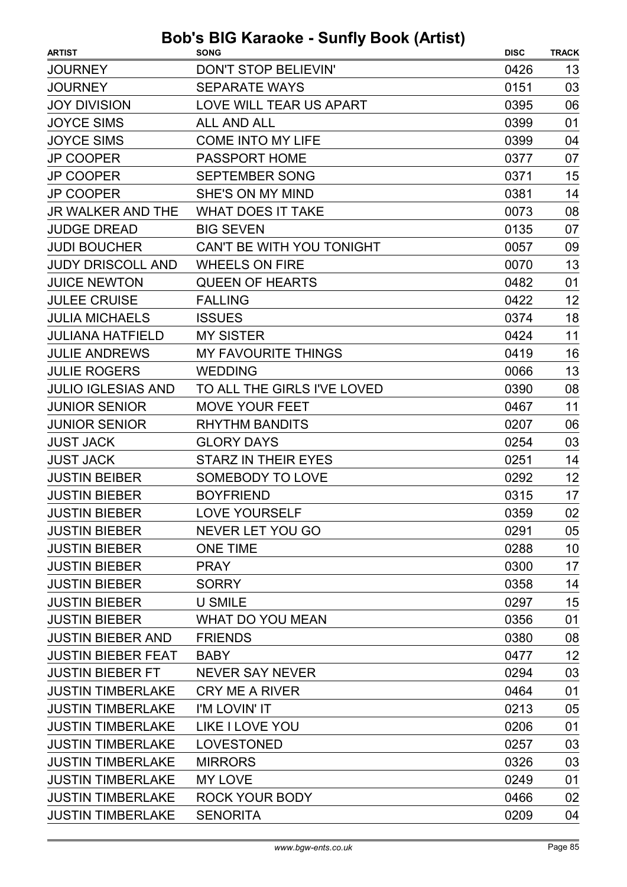| <b>ARTIST</b>             | . <b>.</b> .<br><b>SONG</b> | <b>DISC</b> | <b>TRACK</b> |
|---------------------------|-----------------------------|-------------|--------------|
| <b>JOURNEY</b>            | <b>DON'T STOP BELIEVIN'</b> | 0426        | 13           |
| <b>JOURNEY</b>            | <b>SEPARATE WAYS</b>        | 0151        | 03           |
| <b>JOY DIVISION</b>       | LOVE WILL TEAR US APART     | 0395        | 06           |
| <b>JOYCE SIMS</b>         | <b>ALL AND ALL</b>          | 0399        | 01           |
| <b>JOYCE SIMS</b>         | <b>COME INTO MY LIFE</b>    | 0399        | 04           |
| <b>JP COOPER</b>          | <b>PASSPORT HOME</b>        | 0377        | 07           |
| <b>JP COOPER</b>          | <b>SEPTEMBER SONG</b>       | 0371        | 15           |
| <b>JP COOPER</b>          | SHE'S ON MY MIND            | 0381        | 14           |
| <b>JR WALKER AND THE</b>  | <b>WHAT DOES IT TAKE</b>    | 0073        | 08           |
| <b>JUDGE DREAD</b>        | <b>BIG SEVEN</b>            | 0135        | 07           |
| <b>JUDI BOUCHER</b>       | CAN'T BE WITH YOU TONIGHT   | 0057        | 09           |
| <b>JUDY DRISCOLL AND</b>  | <b>WHEELS ON FIRE</b>       | 0070        | 13           |
| <b>JUICE NEWTON</b>       | <b>QUEEN OF HEARTS</b>      | 0482        | 01           |
| <b>JULEE CRUISE</b>       | <b>FALLING</b>              | 0422        | 12           |
| <b>JULIA MICHAELS</b>     | <b>ISSUES</b>               | 0374        | 18           |
| <b>JULIANA HATFIELD</b>   | <b>MY SISTER</b>            | 0424        | 11           |
| <b>JULIE ANDREWS</b>      | <b>MY FAVOURITE THINGS</b>  | 0419        | 16           |
| <b>JULIE ROGERS</b>       | <b>WEDDING</b>              | 0066        | 13           |
| <b>JULIO IGLESIAS AND</b> | TO ALL THE GIRLS I'VE LOVED | 0390        | 08           |
| <b>JUNIOR SENIOR</b>      | <b>MOVE YOUR FEET</b>       | 0467        | 11           |
| <b>JUNIOR SENIOR</b>      | <b>RHYTHM BANDITS</b>       | 0207        | 06           |
| <b>JUST JACK</b>          | <b>GLORY DAYS</b>           | 0254        | 03           |
| <b>JUST JACK</b>          | <b>STARZ IN THEIR EYES</b>  | 0251        | 14           |
| <b>JUSTIN BEIBER</b>      | <b>SOMEBODY TO LOVE</b>     | 0292        | 12           |
| <b>JUSTIN BIEBER</b>      | <b>BOYFRIEND</b>            | 0315        | 17           |
| <b>JUSTIN BIEBER</b>      | LOVE YOURSELF               | 0359        | 02           |
| <b>JUSTIN BIEBER</b>      | NEVER LET YOU GO            | 0291        | 05           |
| <b>JUSTIN BIEBER</b>      | <b>ONE TIME</b>             | 0288        | 10           |
| <b>JUSTIN BIEBER</b>      | <b>PRAY</b>                 | 0300        | 17           |
| <b>JUSTIN BIEBER</b>      | <b>SORRY</b>                | 0358        | 14           |
| <b>JUSTIN BIEBER</b>      | <b>U SMILE</b>              | 0297        | 15           |
| <b>JUSTIN BIEBER</b>      | <b>WHAT DO YOU MEAN</b>     | 0356        | 01           |
| <b>JUSTIN BIEBER AND</b>  | <b>FRIENDS</b>              | 0380        | 08           |
| <b>JUSTIN BIEBER FEAT</b> | <b>BABY</b>                 | 0477        | 12           |
| <b>JUSTIN BIEBER FT</b>   | <b>NEVER SAY NEVER</b>      | 0294        | 03           |
| <b>JUSTIN TIMBERLAKE</b>  | <b>CRY ME A RIVER</b>       | 0464        | 01           |
| <b>JUSTIN TIMBERLAKE</b>  | I'M LOVIN' IT               | 0213        | 05           |
| <b>JUSTIN TIMBERLAKE</b>  | <b>LIKE I LOVE YOU</b>      | 0206        | 01           |
| <b>JUSTIN TIMBERLAKE</b>  | <b>LOVESTONED</b>           | 0257        | 03           |
| <b>JUSTIN TIMBERLAKE</b>  | <b>MIRRORS</b>              | 0326        | 03           |
| <b>JUSTIN TIMBERLAKE</b>  | <b>MY LOVE</b>              | 0249        | 01           |
| <b>JUSTIN TIMBERLAKE</b>  | <b>ROCK YOUR BODY</b>       | 0466        | 02           |
| <b>JUSTIN TIMBERLAKE</b>  | <b>SENORITA</b>             | 0209        | 04           |
|                           |                             |             |              |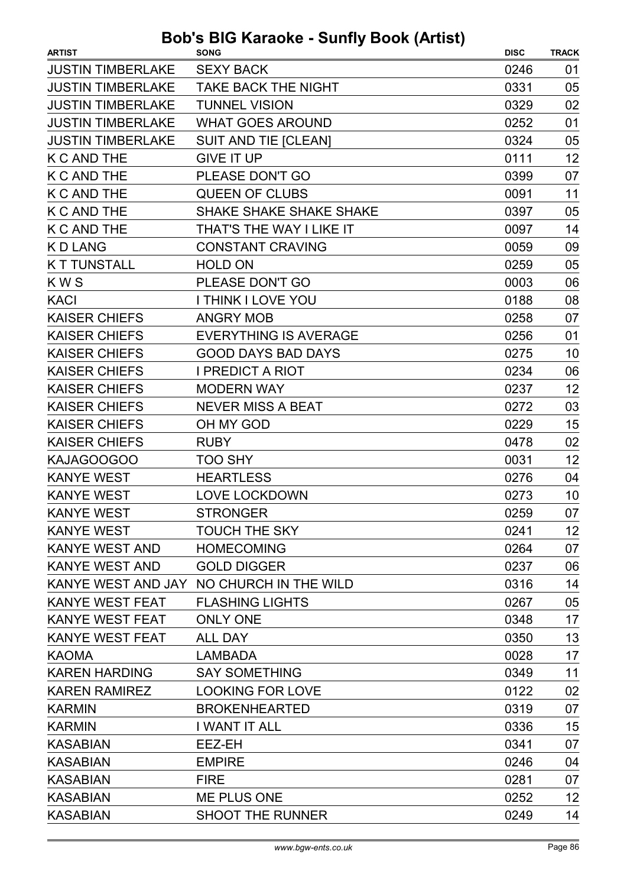| <b>ARTIST</b>            | <b>SONG</b>                              | <b>DISC</b> | <b>TRACK</b> |
|--------------------------|------------------------------------------|-------------|--------------|
| <b>JUSTIN TIMBERLAKE</b> | <b>SEXY BACK</b>                         | 0246        | 01           |
| <b>JUSTIN TIMBERLAKE</b> | <b>TAKE BACK THE NIGHT</b>               | 0331        | 05           |
| <b>JUSTIN TIMBERLAKE</b> | <b>TUNNEL VISION</b>                     | 0329        | 02           |
| <b>JUSTIN TIMBERLAKE</b> | <b>WHAT GOES AROUND</b>                  | 0252        | 01           |
| <b>JUSTIN TIMBERLAKE</b> | <b>SUIT AND TIE [CLEAN]</b>              | 0324        | 05           |
| <b>K C AND THE</b>       | <b>GIVE IT UP</b>                        | 0111        | 12           |
| <b>K C AND THE</b>       | PLEASE DON'T GO                          | 0399        | 07           |
| <b>K C AND THE</b>       | <b>QUEEN OF CLUBS</b>                    | 0091        | 11           |
| <b>K C AND THE</b>       | <b>SHAKE SHAKE SHAKE SHAKE</b>           | 0397        | 05           |
| <b>K C AND THE</b>       | THAT'S THE WAY I LIKE IT                 | 0097        | 14           |
| <b>KDLANG</b>            | <b>CONSTANT CRAVING</b>                  | 0059        | 09           |
| <b>KT TUNSTALL</b>       | <b>HOLD ON</b>                           | 0259        | 05           |
| <b>KWS</b>               | PLEASE DON'T GO                          | 0003        | 06           |
| <b>KACI</b>              | <b>I THINK I LOVE YOU</b>                | 0188        | 08           |
| <b>KAISER CHIEFS</b>     | <b>ANGRY MOB</b>                         | 0258        | 07           |
| <b>KAISER CHIEFS</b>     | <b>EVERYTHING IS AVERAGE</b>             | 0256        | 01           |
| <b>KAISER CHIEFS</b>     | <b>GOOD DAYS BAD DAYS</b>                | 0275        | 10           |
| <b>KAISER CHIEFS</b>     | <b>I PREDICT A RIOT</b>                  | 0234        | 06           |
| <b>KAISER CHIEFS</b>     | <b>MODERN WAY</b>                        | 0237        | 12           |
| <b>KAISER CHIEFS</b>     | <b>NEVER MISS A BEAT</b>                 | 0272        | 03           |
| <b>KAISER CHIEFS</b>     | OH MY GOD                                | 0229        | 15           |
| <b>KAISER CHIEFS</b>     | <b>RUBY</b>                              | 0478        | 02           |
| KAJAGOOGOO               | TOO SHY                                  | 0031        | 12           |
| <b>KANYE WEST</b>        | <b>HEARTLESS</b>                         | 0276        | 04           |
| <b>KANYE WEST</b>        | <b>LOVE LOCKDOWN</b>                     | 0273        | 10           |
| <b>KANYE WEST</b>        | <b>STRONGER</b>                          | 0259        | 07           |
| <b>KANYE WEST</b>        | <b>TOUCH THE SKY</b>                     | 0241        | 12           |
| <b>KANYE WEST AND</b>    | <b>HOMECOMING</b>                        | 0264        | 07           |
| <b>KANYE WEST AND</b>    | <b>GOLD DIGGER</b>                       | 0237        | 06           |
|                          | KANYE WEST AND JAY NO CHURCH IN THE WILD | 0316        | 14           |
| <b>KANYE WEST FEAT</b>   | <b>FLASHING LIGHTS</b>                   | 0267        | 05           |
| <b>KANYE WEST FEAT</b>   | <b>ONLY ONE</b>                          | 0348        | 17           |
| <b>KANYE WEST FEAT</b>   | <b>ALL DAY</b>                           | 0350        | 13           |
| <b>KAOMA</b>             | <b>LAMBADA</b>                           | 0028        | 17           |
| <b>KAREN HARDING</b>     | <b>SAY SOMETHING</b>                     | 0349        | 11           |
| <b>KAREN RAMIREZ</b>     | <b>LOOKING FOR LOVE</b>                  | 0122        | 02           |
| <b>KARMIN</b>            | <b>BROKENHEARTED</b>                     | 0319        | 07           |
| <b>KARMIN</b>            | I WANT IT ALL                            | 0336        | 15           |
| <b>KASABIAN</b>          | EEZ-EH                                   | 0341        | 07           |
| <b>KASABIAN</b>          | <b>EMPIRE</b>                            | 0246        | 04           |
| <b>KASABIAN</b>          | <b>FIRE</b>                              | 0281        | 07           |
| <b>KASABIAN</b>          | ME PLUS ONE                              | 0252        | 12           |
| <b>KASABIAN</b>          | <b>SHOOT THE RUNNER</b>                  | 0249        | 14           |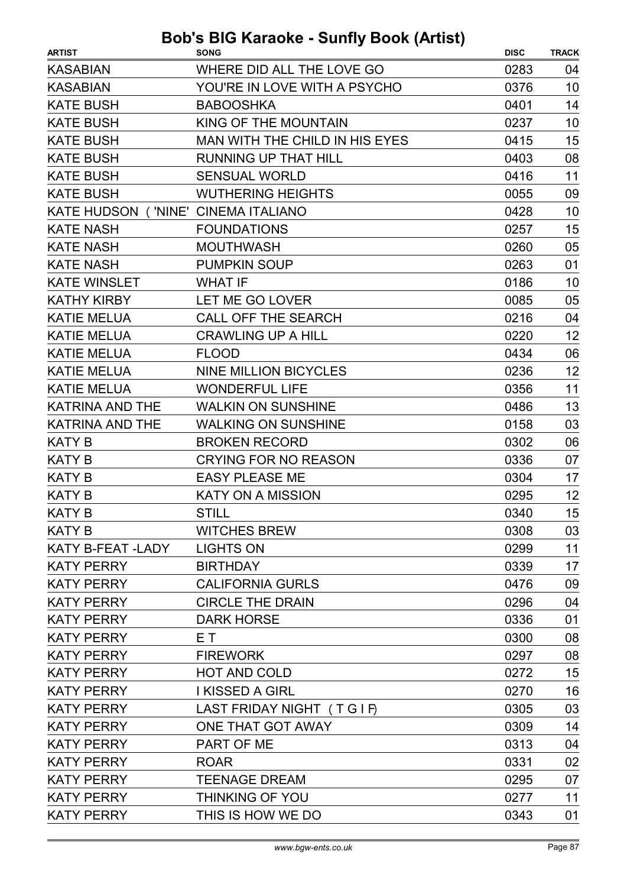| <b>KASABIAN</b><br>WHERE DID ALL THE LOVE GO<br>0283         | 04 |
|--------------------------------------------------------------|----|
|                                                              |    |
| <b>KASABIAN</b><br>YOU'RE IN LOVE WITH A PSYCHO<br>0376      | 10 |
| <b>KATE BUSH</b><br>0401<br><b>BABOOSHKA</b>                 | 14 |
| <b>KATE BUSH</b><br>KING OF THE MOUNTAIN<br>0237             | 10 |
| <b>KATE BUSH</b><br>MAN WITH THE CHILD IN HIS EYES<br>0415   | 15 |
| <b>KATE BUSH</b><br><b>RUNNING UP THAT HILL</b><br>0403      | 08 |
| <b>KATE BUSH</b><br><b>SENSUAL WORLD</b><br>0416             | 11 |
| <b>KATE BUSH</b><br><b>WUTHERING HEIGHTS</b><br>0055         | 09 |
| KATE HUDSON ('NINE' CINEMA ITALIANO<br>0428                  | 10 |
| <b>KATE NASH</b><br><b>FOUNDATIONS</b><br>0257               | 15 |
| <b>KATE NASH</b><br><b>MOUTHWASH</b><br>0260                 | 05 |
| <b>KATE NASH</b><br><b>PUMPKIN SOUP</b><br>0263              | 01 |
| <b>KATE WINSLET</b><br><b>WHAT IF</b><br>0186                | 10 |
| <b>KATHY KIRBY</b><br>0085<br>LET ME GO LOVER                | 05 |
| <b>KATIE MELUA</b><br><b>CALL OFF THE SEARCH</b><br>0216     | 04 |
| <b>KATIE MELUA</b><br><b>CRAWLING UP A HILL</b><br>0220      | 12 |
| <b>KATIE MELUA</b><br>0434<br><b>FLOOD</b>                   | 06 |
| <b>KATIE MELUA</b><br><b>NINE MILLION BICYCLES</b><br>0236   | 12 |
| <b>KATIE MELUA</b><br><b>WONDERFUL LIFE</b><br>0356          | 11 |
| KATRINA AND THE<br><b>WALKIN ON SUNSHINE</b><br>0486         | 13 |
| <b>KATRINA AND THE</b><br><b>WALKING ON SUNSHINE</b><br>0158 | 03 |
| <b>KATY B</b><br><b>BROKEN RECORD</b><br>0302                | 06 |
| <b>KATY B</b><br><b>CRYING FOR NO REASON</b><br>0336         | 07 |
| <b>KATY B</b><br><b>EASY PLEASE ME</b><br>0304               | 17 |
| <b>KATY B</b><br><b>KATY ON A MISSION</b><br>0295            | 12 |
| <b>KATY B</b><br>0340<br><b>STILL</b>                        | 15 |
| <b>KATY B</b><br><b>WITCHES BREW</b><br>0308                 | 03 |
| KATY B-FEAT -LADY<br><b>LIGHTS ON</b><br>0299                | 11 |
| <b>KATY PERRY</b><br><b>BIRTHDAY</b><br>0339                 | 17 |
| <b>CALIFORNIA GURLS</b><br><b>KATY PERRY</b><br>0476         | 09 |
| <b>KATY PERRY</b><br><b>CIRCLE THE DRAIN</b><br>0296         | 04 |
| <b>KATY PERRY</b><br><b>DARK HORSE</b><br>0336               | 01 |
| <b>KATY PERRY</b><br>E T<br>0300                             | 08 |
| <b>KATY PERRY</b><br>0297<br><b>FIREWORK</b>                 | 08 |
| <b>KATY PERRY</b><br><b>HOT AND COLD</b><br>0272             | 15 |
| <b>I KISSED A GIRL</b><br><b>KATY PERRY</b><br>0270          | 16 |
| <b>KATY PERRY</b><br>LAST FRIDAY NIGHT (TGIF)<br>0305        | 03 |
| ONE THAT GOT AWAY<br>0309<br><b>KATY PERRY</b>               | 14 |
| 0313<br><b>KATY PERRY</b><br>PART OF ME                      | 04 |
| <b>KATY PERRY</b><br>0331<br><b>ROAR</b>                     | 02 |
| <b>KATY PERRY</b><br><b>TEENAGE DREAM</b><br>0295            | 07 |
| <b>KATY PERRY</b><br><b>THINKING OF YOU</b><br>0277          | 11 |
| <b>KATY PERRY</b><br>THIS IS HOW WE DO<br>0343               | 01 |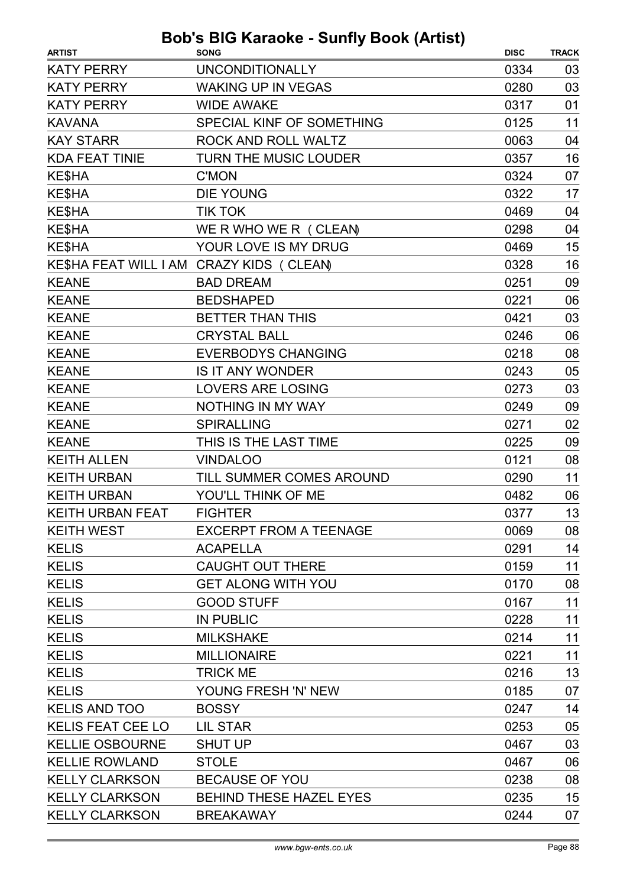| <b>ARTIST</b>                            | <b>SONG</b>                    | <b>DISC</b> | <b>TRACK</b> |
|------------------------------------------|--------------------------------|-------------|--------------|
| <b>KATY PERRY</b>                        | <b>UNCONDITIONALLY</b>         | 0334        | 03           |
| <b>KATY PERRY</b>                        | <b>WAKING UP IN VEGAS</b>      | 0280        | 03           |
| <b>KATY PERRY</b>                        | <b>WIDE AWAKE</b>              | 0317        | 01           |
| <b>KAVANA</b>                            | SPECIAL KINF OF SOMETHING      | 0125        | 11           |
| <b>KAY STARR</b>                         | ROCK AND ROLL WALTZ            | 0063        | 04           |
| <b>KDA FEAT TINIE</b>                    | TURN THE MUSIC LOUDER          | 0357        | 16           |
| KE\$HA                                   | <b>C'MON</b>                   | 0324        | 07           |
| KE\$HA                                   | <b>DIE YOUNG</b>               | 0322        | 17           |
| <b>KE\$HA</b>                            | <b>TIK TOK</b>                 | 0469        | 04           |
| KE\$HA                                   | WE R WHO WE R (CLEAN)          | 0298        | 04           |
| <b>KE\$HA</b>                            | YOUR LOVE IS MY DRUG           | 0469        | 15           |
| KE\$HA FEAT WILL I AM CRAZY KIDS (CLEAN) |                                | 0328        | 16           |
| <b>KEANE</b>                             | <b>BAD DREAM</b>               | 0251        | 09           |
| <b>KEANE</b>                             | <b>BEDSHAPED</b>               | 0221        | 06           |
| <b>KEANE</b>                             | <b>BETTER THAN THIS</b>        | 0421        | 03           |
| <b>KEANE</b>                             | <b>CRYSTAL BALL</b>            | 0246        | 06           |
| <b>KEANE</b>                             | <b>EVERBODYS CHANGING</b>      | 0218        | 08           |
| <b>KEANE</b>                             | <b>IS IT ANY WONDER</b>        | 0243        | 05           |
| <b>KEANE</b>                             | <b>LOVERS ARE LOSING</b>       | 0273        | 03           |
| <b>KEANE</b>                             | <b>NOTHING IN MY WAY</b>       | 0249        | 09           |
| <b>KEANE</b>                             | <b>SPIRALLING</b>              | 0271        | 02           |
| <b>KEANE</b>                             | THIS IS THE LAST TIME          | 0225        | 09           |
| <b>KEITH ALLEN</b>                       | <b>VINDALOO</b>                | 0121        | 08           |
| <b>KEITH URBAN</b>                       | TILL SUMMER COMES AROUND       | 0290        | 11           |
| <b>KEITH URBAN</b>                       | YOU'LL THINK OF ME             | 0482        | 06           |
| <b>KEITH URBAN FEAT</b>                  | <b>FIGHTER</b>                 | 0377        | 13           |
| <b>KEITH WEST</b>                        | <b>EXCERPT FROM A TEENAGE</b>  | 0069        | 08           |
| <b>KELIS</b>                             | <b>ACAPELLA</b>                | 0291        | 14           |
| <b>KELIS</b>                             | <b>CAUGHT OUT THERE</b>        | 0159        | 11           |
| <b>KELIS</b>                             | <b>GET ALONG WITH YOU</b>      | 0170        | 08           |
| <b>KELIS</b>                             | <b>GOOD STUFF</b>              | 0167        | 11           |
| <b>KELIS</b>                             | <b>IN PUBLIC</b>               | 0228        | 11           |
| <b>KELIS</b>                             | <b>MILKSHAKE</b>               | 0214        | 11           |
| <b>KELIS</b>                             | <b>MILLIONAIRE</b>             | 0221        | 11           |
| <b>KELIS</b>                             | <b>TRICK ME</b>                | 0216        | 13           |
| <b>KELIS</b>                             | YOUNG FRESH 'N' NEW            | 0185        | 07           |
| <b>KELIS AND TOO</b>                     | <b>BOSSY</b>                   | 0247        | 14           |
| <b>KELIS FEAT CEE LO</b>                 | <b>LIL STAR</b>                | 0253        | 05           |
| <b>KELLIE OSBOURNE</b>                   | <b>SHUT UP</b>                 | 0467        | 03           |
| <b>KELLIE ROWLAND</b>                    | <b>STOLE</b>                   | 0467        | 06           |
| <b>KELLY CLARKSON</b>                    | <b>BECAUSE OF YOU</b>          | 0238        | 08           |
| <b>KELLY CLARKSON</b>                    | <b>BEHIND THESE HAZEL EYES</b> | 0235        | 15           |
| <b>KELLY CLARKSON</b>                    | <b>BREAKAWAY</b>               | 0244        | 07           |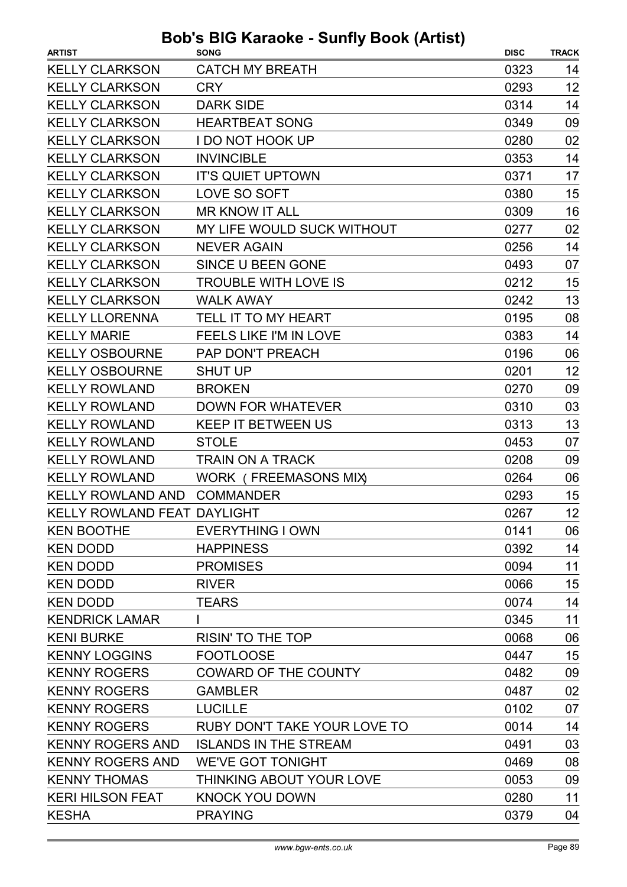| <b>ARTIST</b>                      | .  .<br><b>SONG</b>             | <b>DISC</b> | <b>TRACK</b> |
|------------------------------------|---------------------------------|-------------|--------------|
| <b>KELLY CLARKSON</b>              | <b>CATCH MY BREATH</b>          | 0323        | 14           |
| <b>KELLY CLARKSON</b>              | <b>CRY</b>                      | 0293        | 12           |
| <b>KELLY CLARKSON</b>              | <b>DARK SIDE</b>                | 0314        | 14           |
| <b>KELLY CLARKSON</b>              | <b>HEARTBEAT SONG</b>           | 0349        | 09           |
| <b>KELLY CLARKSON</b>              | <b>I DO NOT HOOK UP</b>         | 0280        | 02           |
| <b>KELLY CLARKSON</b>              | <b>INVINCIBLE</b>               | 0353        | 14           |
| <b>KELLY CLARKSON</b>              | <b>IT'S QUIET UPTOWN</b>        | 0371        | 17           |
| <b>KELLY CLARKSON</b>              | LOVE SO SOFT                    | 0380        | 15           |
| <b>KELLY CLARKSON</b>              | <b>MR KNOW IT ALL</b>           | 0309        | 16           |
| <b>KELLY CLARKSON</b>              | MY LIFE WOULD SUCK WITHOUT      | 0277        | 02           |
| <b>KELLY CLARKSON</b>              | <b>NEVER AGAIN</b>              | 0256        | 14           |
| <b>KELLY CLARKSON</b>              | SINCE U BEEN GONE               | 0493        | 07           |
| <b>KELLY CLARKSON</b>              | <b>TROUBLE WITH LOVE IS</b>     | 0212        | 15           |
| <b>KELLY CLARKSON</b>              | <b>WALK AWAY</b>                | 0242        | 13           |
| <b>KELLY LLORENNA</b>              | TELL IT TO MY HEART             | 0195        | 08           |
| <b>KELLY MARIE</b>                 | <b>FEELS LIKE I'M IN LOVE</b>   | 0383        | 14           |
| <b>KELLY OSBOURNE</b>              | PAP DON'T PREACH                | 0196        | 06           |
| <b>KELLY OSBOURNE</b>              | <b>SHUT UP</b>                  | 0201        | 12           |
| <b>KELLY ROWLAND</b>               | <b>BROKEN</b>                   | 0270        | 09           |
| <b>KELLY ROWLAND</b>               | <b>DOWN FOR WHATEVER</b>        | 0310        | 03           |
| <b>KELLY ROWLAND</b>               | <b>KEEP IT BETWEEN US</b>       | 0313        | 13           |
| <b>KELLY ROWLAND</b>               | <b>STOLE</b>                    | 0453        | 07           |
| <b>KELLY ROWLAND</b>               | <b>TRAIN ON A TRACK</b>         | 0208        | 09           |
| <b>KELLY ROWLAND</b>               | WORK (FREEMASONS MIX)           | 0264        | 06           |
| <b>KELLY ROWLAND AND</b>           | <b>COMMANDER</b>                | 0293        | 15           |
| <b>KELLY ROWLAND FEAT DAYLIGHT</b> |                                 | 0267        | 12           |
| <b>KEN BOOTHE</b>                  | <b>EVERYTHING I OWN</b>         | 0141        | 06           |
| <b>KEN DODD</b>                    | <b>HAPPINESS</b>                | 0392        | 14           |
| <b>KEN DODD</b>                    | <b>PROMISES</b>                 | 0094        | 11           |
| <b>KEN DODD</b>                    | <b>RIVER</b>                    | 0066        | 15           |
| <b>KEN DODD</b>                    | <b>TEARS</b>                    | 0074        | 14           |
| <b>KENDRICK LAMAR</b>              |                                 | 0345        | 11           |
| <b>KENI BURKE</b>                  | <b>RISIN' TO THE TOP</b>        | 0068        | 06           |
| <b>KENNY LOGGINS</b>               | <b>FOOTLOOSE</b>                | 0447        | 15           |
| <b>KENNY ROGERS</b>                | <b>COWARD OF THE COUNTY</b>     | 0482        | 09           |
| <b>KENNY ROGERS</b>                | <b>GAMBLER</b>                  | 0487        | 02           |
| <b>KENNY ROGERS</b>                | <b>LUCILLE</b>                  | 0102        | 07           |
| <b>KENNY ROGERS</b>                | RUBY DON'T TAKE YOUR LOVE TO    | 0014        | 14           |
| <b>KENNY ROGERS AND</b>            | <b>ISLANDS IN THE STREAM</b>    | 0491        | 03           |
| <b>KENNY ROGERS AND</b>            | <b>WE'VE GOT TONIGHT</b>        | 0469        | 08           |
| <b>KENNY THOMAS</b>                | <b>THINKING ABOUT YOUR LOVE</b> | 0053        | 09           |
| <b>KERI HILSON FEAT</b>            | <b>KNOCK YOU DOWN</b>           | 0280        | 11           |
| <b>KESHA</b>                       | <b>PRAYING</b>                  | 0379        | 04           |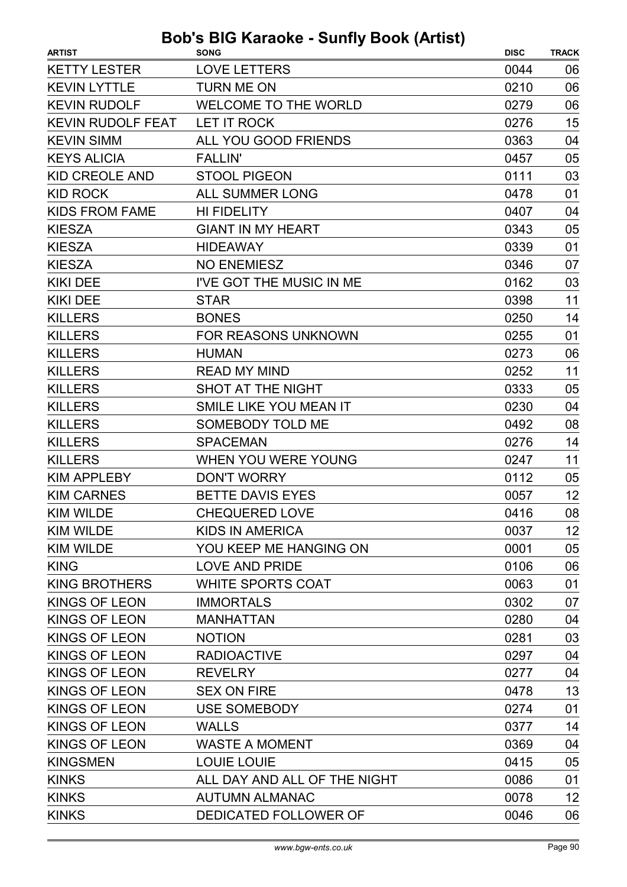| <b>ARTIST</b>            | <b>SONG</b>                  | <b>DISC</b> | <b>TRACK</b> |
|--------------------------|------------------------------|-------------|--------------|
| <b>KETTY LESTER</b>      | <b>LOVE LETTERS</b>          | 0044        | 06           |
| <b>KEVIN LYTTLE</b>      | <b>TURN ME ON</b>            | 0210        | 06           |
| <b>KEVIN RUDOLF</b>      | WELCOME TO THE WORLD         | 0279        | 06           |
| <b>KEVIN RUDOLF FEAT</b> | LET IT ROCK                  | 0276        | 15           |
| <b>KEVIN SIMM</b>        | ALL YOU GOOD FRIENDS         | 0363        | 04           |
| <b>KEYS ALICIA</b>       | <b>FALLIN'</b>               | 0457        | 05           |
| <b>KID CREOLE AND</b>    | <b>STOOL PIGEON</b>          | 0111        | 03           |
| <b>KID ROCK</b>          | <b>ALL SUMMER LONG</b>       | 0478        | 01           |
| <b>KIDS FROM FAME</b>    | <b>HI FIDELITY</b>           | 0407        | 04           |
| <b>KIESZA</b>            | <b>GIANT IN MY HEART</b>     | 0343        | 05           |
| <b>KIESZA</b>            | <b>HIDEAWAY</b>              | 0339        | 01           |
| <b>KIESZA</b>            | <b>NO ENEMIESZ</b>           | 0346        | 07           |
| <b>KIKI DEE</b>          | I'VE GOT THE MUSIC IN ME     | 0162        | 03           |
| <b>KIKI DEE</b>          | <b>STAR</b>                  | 0398        | 11           |
| <b>KILLERS</b>           | <b>BONES</b>                 | 0250        | 14           |
| <b>KILLERS</b>           | <b>FOR REASONS UNKNOWN</b>   | 0255        | 01           |
| <b>KILLERS</b>           | <b>HUMAN</b>                 | 0273        | 06           |
| <b>KILLERS</b>           | <b>READ MY MIND</b>          | 0252        | 11           |
| <b>KILLERS</b>           | SHOT AT THE NIGHT            | 0333        | 05           |
| <b>KILLERS</b>           | SMILE LIKE YOU MEAN IT       | 0230        | 04           |
| <b>KILLERS</b>           | <b>SOMEBODY TOLD ME</b>      | 0492        | 08           |
| <b>KILLERS</b>           | <b>SPACEMAN</b>              | 0276        | 14           |
| <b>KILLERS</b>           | WHEN YOU WERE YOUNG          | 0247        | 11           |
| <b>KIM APPLEBY</b>       | <b>DON'T WORRY</b>           | 0112        | 05           |
| <b>KIM CARNES</b>        | BETTE DAVIS EYES             | 0057        | 12           |
| <b>KIM WILDE</b>         | <b>CHEQUERED LOVE</b>        | 0416        | 08           |
| KIM WILDE                | KIDS IN AMERICA              | 0037        | 12           |
| <b>KIM WILDE</b>         | YOU KEEP ME HANGING ON       | 0001        | 05           |
| <b>KING</b>              | <b>LOVE AND PRIDE</b>        | 0106        | 06           |
| <b>KING BROTHERS</b>     | <b>WHITE SPORTS COAT</b>     | 0063        | 01           |
| <b>KINGS OF LEON</b>     | <b>IMMORTALS</b>             | 0302        | 07           |
| <b>KINGS OF LEON</b>     | <b>MANHATTAN</b>             | 0280        | 04           |
| <b>KINGS OF LEON</b>     | <b>NOTION</b>                | 0281        | 03           |
| <b>KINGS OF LEON</b>     | <b>RADIOACTIVE</b>           | 0297        | 04           |
| <b>KINGS OF LEON</b>     | <b>REVELRY</b>               | 0277        | 04           |
| <b>KINGS OF LEON</b>     | <b>SEX ON FIRE</b>           | 0478        | 13           |
| <b>KINGS OF LEON</b>     | <b>USE SOMEBODY</b>          | 0274        | 01           |
| <b>KINGS OF LEON</b>     | <b>WALLS</b>                 | 0377        | 14           |
| <b>KINGS OF LEON</b>     | <b>WASTE A MOMENT</b>        | 0369        | 04           |
| <b>KINGSMEN</b>          | <b>LOUIE LOUIE</b>           | 0415        | 05           |
| <b>KINKS</b>             | ALL DAY AND ALL OF THE NIGHT | 0086        | 01           |
| <b>KINKS</b>             | <b>AUTUMN ALMANAC</b>        | 0078        | 12           |
| <b>KINKS</b>             | DEDICATED FOLLOWER OF        | 0046        | 06           |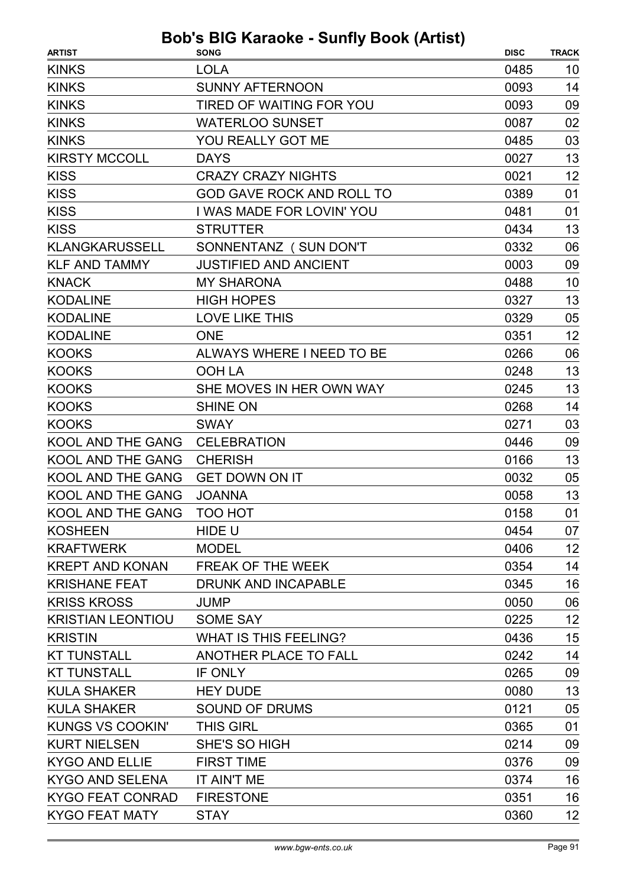| <b>ARTIST</b>            | <b>SONG</b>                      | <b>DISC</b> | <b>TRACK</b> |
|--------------------------|----------------------------------|-------------|--------------|
| <b>KINKS</b>             | <b>LOLA</b>                      | 0485        | 10           |
| <b>KINKS</b>             | <b>SUNNY AFTERNOON</b>           | 0093        | 14           |
| <b>KINKS</b>             | <b>TIRED OF WAITING FOR YOU</b>  | 0093        | 09           |
| <b>KINKS</b>             | <b>WATERLOO SUNSET</b>           | 0087        | 02           |
| <b>KINKS</b>             | YOU REALLY GOT ME                | 0485        | 03           |
| <b>KIRSTY MCCOLL</b>     | <b>DAYS</b>                      | 0027        | 13           |
| <b>KISS</b>              | <b>CRAZY CRAZY NIGHTS</b>        | 0021        | 12           |
| <b>KISS</b>              | <b>GOD GAVE ROCK AND ROLL TO</b> | 0389        | 01           |
| <b>KISS</b>              | I WAS MADE FOR LOVIN' YOU        | 0481        | 01           |
| <b>KISS</b>              | <b>STRUTTER</b>                  | 0434        | 13           |
| <b>KLANGKARUSSELL</b>    | SONNENTANZ (SUN DON'T            | 0332        | 06           |
| <b>KLF AND TAMMY</b>     | <b>JUSTIFIED AND ANCIENT</b>     | 0003        | 09           |
| <b>KNACK</b>             | <b>MY SHARONA</b>                | 0488        | 10           |
| <b>KODALINE</b>          | <b>HIGH HOPES</b>                | 0327        | 13           |
| <b>KODALINE</b>          | <b>LOVE LIKE THIS</b>            | 0329        | 05           |
| <b>KODALINE</b>          | <b>ONE</b>                       | 0351        | 12           |
| <b>KOOKS</b>             | <b>ALWAYS WHERE I NEED TO BE</b> | 0266        | 06           |
| <b>KOOKS</b>             | <b>OOH LA</b>                    | 0248        | 13           |
| <b>KOOKS</b>             | SHE MOVES IN HER OWN WAY         | 0245        | 13           |
| <b>KOOKS</b>             | <b>SHINE ON</b>                  | 0268        | 14           |
| <b>KOOKS</b>             | <b>SWAY</b>                      | 0271        | 03           |
| KOOL AND THE GANG        | <b>CELEBRATION</b>               | 0446        | 09           |
| <b>KOOL AND THE GANG</b> | <b>CHERISH</b>                   | 0166        | 13           |
| <b>KOOL AND THE GANG</b> | <b>GET DOWN ON IT</b>            | 0032        | 05           |
| <b>KOOL AND THE GANG</b> | <b>JOANNA</b>                    | 0058        | 13           |
| KOOL AND THE GANG        | TOO HOT                          | 0158        | 01           |
| <b>KOSHEEN</b>           | HIDE U                           | 0454        | 07           |
| <b>KRAFTWERK</b>         | <b>MODEL</b>                     | 0406        | 12           |
| <b>KREPT AND KONAN</b>   | FREAK OF THE WEEK                | 0354        | 14           |
| <b>KRISHANE FEAT</b>     | DRUNK AND INCAPABLE              | 0345        | 16           |
| <b>KRISS KROSS</b>       | <b>JUMP</b>                      | 0050        | 06           |
| <b>KRISTIAN LEONTIOU</b> | <b>SOME SAY</b>                  | 0225        | 12           |
| <b>KRISTIN</b>           | <b>WHAT IS THIS FEELING?</b>     | 0436        | 15           |
| <b>KT TUNSTALL</b>       | ANOTHER PLACE TO FALL            | 0242        | 14           |
| <b>KT TUNSTALL</b>       | IF ONLY                          | 0265        | 09           |
| <b>KULA SHAKER</b>       | <b>HEY DUDE</b>                  | 0080        | 13           |
| <b>KULA SHAKER</b>       | <b>SOUND OF DRUMS</b>            | 0121        | 05           |
| <b>KUNGS VS COOKIN'</b>  | <b>THIS GIRL</b>                 | 0365        | 01           |
| <b>KURT NIELSEN</b>      | SHE'S SO HIGH                    | 0214        | 09           |
| <b>KYGO AND ELLIE</b>    | <b>FIRST TIME</b>                | 0376        | 09           |
| KYGO AND SELENA          | IT AIN'T ME                      | 0374        | 16           |
| <b>KYGO FEAT CONRAD</b>  | <b>FIRESTONE</b>                 | 0351        | 16           |
| <b>KYGO FEAT MATY</b>    | <b>STAY</b>                      | 0360        | 12           |
|                          |                                  |             |              |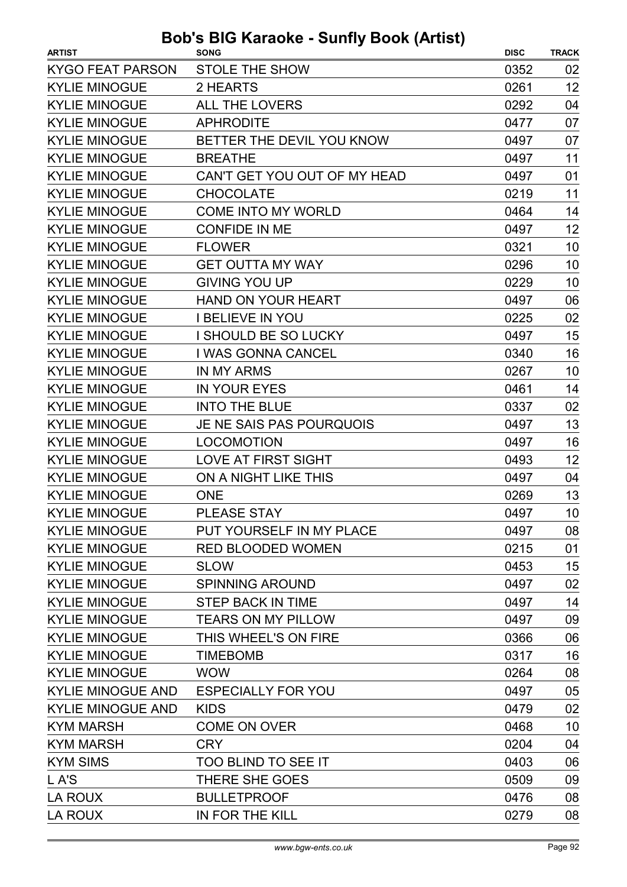| <b>ARTIST</b>            | <b>SONG</b>                  | <b>DISC</b> | <b>TRACK</b> |
|--------------------------|------------------------------|-------------|--------------|
| <b>KYGO FEAT PARSON</b>  | <b>STOLE THE SHOW</b>        | 0352        | 02           |
| <b>KYLIE MINOGUE</b>     | 2 HEARTS                     | 0261        | 12           |
| <b>KYLIE MINOGUE</b>     | <b>ALL THE LOVERS</b>        | 0292        | 04           |
| <b>KYLIE MINOGUE</b>     | <b>APHRODITE</b>             | 0477        | 07           |
| <b>KYLIE MINOGUE</b>     | BETTER THE DEVIL YOU KNOW    | 0497        | 07           |
| <b>KYLIE MINOGUE</b>     | <b>BREATHE</b>               | 0497        | 11           |
| <b>KYLIE MINOGUE</b>     | CAN'T GET YOU OUT OF MY HEAD | 0497        | 01           |
| <b>KYLIE MINOGUE</b>     | <b>CHOCOLATE</b>             | 0219        | 11           |
| <b>KYLIE MINOGUE</b>     | <b>COME INTO MY WORLD</b>    | 0464        | 14           |
| <b>KYLIE MINOGUE</b>     | <b>CONFIDE IN ME</b>         | 0497        | 12           |
| <b>KYLIE MINOGUE</b>     | <b>FLOWER</b>                | 0321        | 10           |
| <b>KYLIE MINOGUE</b>     | <b>GET OUTTA MY WAY</b>      | 0296        | 10           |
| <b>KYLIE MINOGUE</b>     | <b>GIVING YOU UP</b>         | 0229        | 10           |
| <b>KYLIE MINOGUE</b>     | <b>HAND ON YOUR HEART</b>    | 0497        | 06           |
| <b>KYLIE MINOGUE</b>     | <b>I BELIEVE IN YOU</b>      | 0225        | 02           |
| <b>KYLIE MINOGUE</b>     | I SHOULD BE SO LUCKY         | 0497        | 15           |
| <b>KYLIE MINOGUE</b>     | I WAS GONNA CANCEL           | 0340        | 16           |
| <b>KYLIE MINOGUE</b>     | IN MY ARMS                   | 0267        | 10           |
| <b>KYLIE MINOGUE</b>     | <b>IN YOUR EYES</b>          | 0461        | 14           |
| <b>KYLIE MINOGUE</b>     | <b>INTO THE BLUE</b>         | 0337        | 02           |
| <b>KYLIE MINOGUE</b>     | JE NE SAIS PAS POURQUOIS     | 0497        | 13           |
| <b>KYLIE MINOGUE</b>     | <b>LOCOMOTION</b>            | 0497        | 16           |
| <b>KYLIE MINOGUE</b>     | <b>LOVE AT FIRST SIGHT</b>   | 0493        | 12           |
| <b>KYLIE MINOGUE</b>     | ON A NIGHT LIKE THIS         | 0497        | 04           |
| <b>KYLIE MINOGUE</b>     | <b>ONE</b>                   | 0269        | 13           |
| <b>KYLIE MINOGUE</b>     | PLEASE STAY                  | 0497        | 10           |
| <b>KYLIE MINOGUE</b>     | PUT YOURSELF IN MY PLACE     | 0497        | 08           |
| <b>KYLIE MINOGUE</b>     | <b>RED BLOODED WOMEN</b>     | 0215        | 01           |
| <b>KYLIE MINOGUE</b>     | <b>SLOW</b>                  | 0453        | 15           |
| <b>KYLIE MINOGUE</b>     | <b>SPINNING AROUND</b>       | 0497        | 02           |
| <b>KYLIE MINOGUE</b>     | <b>STEP BACK IN TIME</b>     | 0497        | 14           |
| <b>KYLIE MINOGUE</b>     | <b>TEARS ON MY PILLOW</b>    | 0497        | 09           |
| <b>KYLIE MINOGUE</b>     | THIS WHEEL'S ON FIRE         | 0366        | 06           |
| <b>KYLIE MINOGUE</b>     | <b>TIMEBOMB</b>              | 0317        | 16           |
| <b>KYLIE MINOGUE</b>     | <b>WOW</b>                   | 0264        | 08           |
| <b>KYLIE MINOGUE AND</b> | <b>ESPECIALLY FOR YOU</b>    | 0497        | 05           |
| <b>KYLIE MINOGUE AND</b> | <b>KIDS</b>                  | 0479        | 02           |
| <b>KYM MARSH</b>         | <b>COME ON OVER</b>          | 0468        | 10           |
| <b>KYM MARSH</b>         | <b>CRY</b>                   | 0204        | 04           |
| <b>KYM SIMS</b>          | TOO BLIND TO SEE IT          | 0403        | 06           |
| L A'S                    | THERE SHE GOES               | 0509        | 09           |
| LA ROUX                  | <b>BULLETPROOF</b>           | 0476        | 08           |
| LA ROUX                  | IN FOR THE KILL              | 0279        | 08           |
|                          |                              |             |              |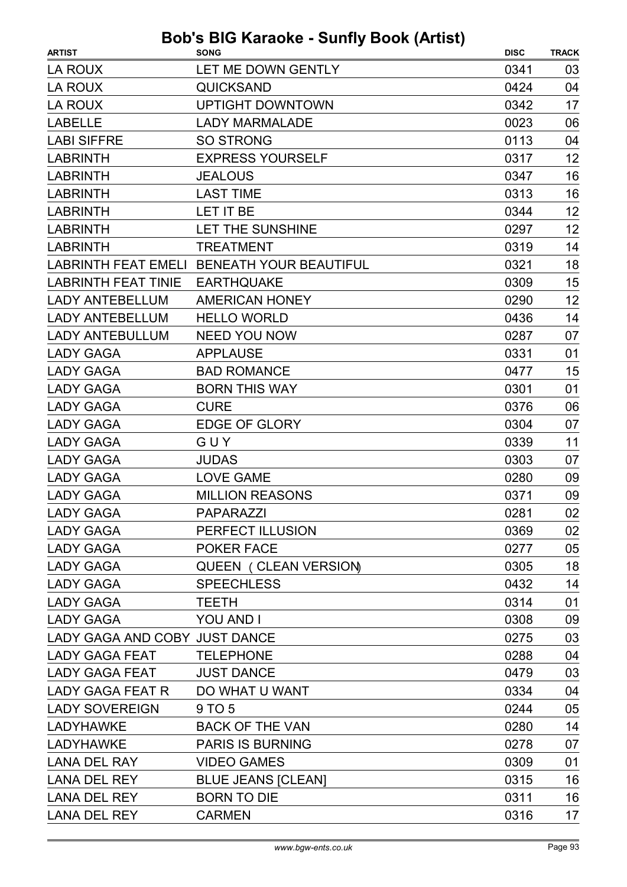| LA ROUX<br>LET ME DOWN GENTLY<br>0341<br>03<br><b>QUICKSAND</b><br>04<br>LA ROUX<br>0424<br>17<br><b>LA ROUX</b><br><b>UPTIGHT DOWNTOWN</b><br>0342<br><b>LABELLE</b><br><b>LADY MARMALADE</b><br>0023<br>06<br><b>LABI SIFFRE</b><br><b>SO STRONG</b><br>0113<br>04<br><b>EXPRESS YOURSELF</b><br>12<br><b>LABRINTH</b><br>0317<br>16<br><b>LABRINTH</b><br><b>JEALOUS</b><br>0347<br>16<br><b>LABRINTH</b><br><b>LAST TIME</b><br>0313<br>12<br>LET IT BE<br><b>LABRINTH</b><br>0344<br>12<br><b>LABRINTH</b><br>0297<br>LET THE SUNSHINE<br><b>LABRINTH</b><br><b>TREATMENT</b><br>0319<br>14<br>18<br>LABRINTH FEAT EMELI BENEATH YOUR BEAUTIFUL<br>0321<br>15<br><b>EARTHQUAKE</b><br>0309<br><b>LABRINTH FEAT TINIE</b><br>12<br><b>AMERICAN HONEY</b><br>0290<br><b>LADY ANTEBELLUM</b><br>14<br><b>LADY ANTEBELLUM</b><br><b>HELLO WORLD</b><br>0436<br><b>LADY ANTEBULLUM</b><br><b>NEED YOU NOW</b><br>07<br>0287<br><b>APPLAUSE</b><br>01<br><b>LADY GAGA</b><br>0331<br>15<br><b>BAD ROMANCE</b><br><b>LADY GAGA</b><br>0477<br><b>BORN THIS WAY</b><br>0301<br>01<br><b>LADY GAGA</b><br><b>LADY GAGA</b><br><b>CURE</b><br>0376<br>06<br><b>LADY GAGA</b><br><b>EDGE OF GLORY</b><br>0304<br>07<br>GUY<br>0339<br>11<br><b>LADY GAGA</b><br>0303<br><b>LADY GAGA</b><br><b>JUDAS</b><br>07<br><b>LADY GAGA</b><br><b>LOVE GAME</b><br>0280<br>09<br><b>MILLION REASONS</b><br><b>LADY GAGA</b><br>0371<br>09<br>02<br>0281<br><b>LADY GAGA</b><br>PAPARAZZI<br>PERFECT ILLUSION<br>LADY GAGA<br>0369<br>02<br>POKER FACE<br>05<br><b>LADY GAGA</b><br>0277 |
|--------------------------------------------------------------------------------------------------------------------------------------------------------------------------------------------------------------------------------------------------------------------------------------------------------------------------------------------------------------------------------------------------------------------------------------------------------------------------------------------------------------------------------------------------------------------------------------------------------------------------------------------------------------------------------------------------------------------------------------------------------------------------------------------------------------------------------------------------------------------------------------------------------------------------------------------------------------------------------------------------------------------------------------------------------------------------------------------------------------------------------------------------------------------------------------------------------------------------------------------------------------------------------------------------------------------------------------------------------------------------------------------------------------------------------------------------------------------------------------------------------------------------------------------------------------------------|
|                                                                                                                                                                                                                                                                                                                                                                                                                                                                                                                                                                                                                                                                                                                                                                                                                                                                                                                                                                                                                                                                                                                                                                                                                                                                                                                                                                                                                                                                                                                                                                          |
|                                                                                                                                                                                                                                                                                                                                                                                                                                                                                                                                                                                                                                                                                                                                                                                                                                                                                                                                                                                                                                                                                                                                                                                                                                                                                                                                                                                                                                                                                                                                                                          |
|                                                                                                                                                                                                                                                                                                                                                                                                                                                                                                                                                                                                                                                                                                                                                                                                                                                                                                                                                                                                                                                                                                                                                                                                                                                                                                                                                                                                                                                                                                                                                                          |
|                                                                                                                                                                                                                                                                                                                                                                                                                                                                                                                                                                                                                                                                                                                                                                                                                                                                                                                                                                                                                                                                                                                                                                                                                                                                                                                                                                                                                                                                                                                                                                          |
|                                                                                                                                                                                                                                                                                                                                                                                                                                                                                                                                                                                                                                                                                                                                                                                                                                                                                                                                                                                                                                                                                                                                                                                                                                                                                                                                                                                                                                                                                                                                                                          |
|                                                                                                                                                                                                                                                                                                                                                                                                                                                                                                                                                                                                                                                                                                                                                                                                                                                                                                                                                                                                                                                                                                                                                                                                                                                                                                                                                                                                                                                                                                                                                                          |
|                                                                                                                                                                                                                                                                                                                                                                                                                                                                                                                                                                                                                                                                                                                                                                                                                                                                                                                                                                                                                                                                                                                                                                                                                                                                                                                                                                                                                                                                                                                                                                          |
|                                                                                                                                                                                                                                                                                                                                                                                                                                                                                                                                                                                                                                                                                                                                                                                                                                                                                                                                                                                                                                                                                                                                                                                                                                                                                                                                                                                                                                                                                                                                                                          |
|                                                                                                                                                                                                                                                                                                                                                                                                                                                                                                                                                                                                                                                                                                                                                                                                                                                                                                                                                                                                                                                                                                                                                                                                                                                                                                                                                                                                                                                                                                                                                                          |
|                                                                                                                                                                                                                                                                                                                                                                                                                                                                                                                                                                                                                                                                                                                                                                                                                                                                                                                                                                                                                                                                                                                                                                                                                                                                                                                                                                                                                                                                                                                                                                          |
|                                                                                                                                                                                                                                                                                                                                                                                                                                                                                                                                                                                                                                                                                                                                                                                                                                                                                                                                                                                                                                                                                                                                                                                                                                                                                                                                                                                                                                                                                                                                                                          |
|                                                                                                                                                                                                                                                                                                                                                                                                                                                                                                                                                                                                                                                                                                                                                                                                                                                                                                                                                                                                                                                                                                                                                                                                                                                                                                                                                                                                                                                                                                                                                                          |
|                                                                                                                                                                                                                                                                                                                                                                                                                                                                                                                                                                                                                                                                                                                                                                                                                                                                                                                                                                                                                                                                                                                                                                                                                                                                                                                                                                                                                                                                                                                                                                          |
|                                                                                                                                                                                                                                                                                                                                                                                                                                                                                                                                                                                                                                                                                                                                                                                                                                                                                                                                                                                                                                                                                                                                                                                                                                                                                                                                                                                                                                                                                                                                                                          |
|                                                                                                                                                                                                                                                                                                                                                                                                                                                                                                                                                                                                                                                                                                                                                                                                                                                                                                                                                                                                                                                                                                                                                                                                                                                                                                                                                                                                                                                                                                                                                                          |
|                                                                                                                                                                                                                                                                                                                                                                                                                                                                                                                                                                                                                                                                                                                                                                                                                                                                                                                                                                                                                                                                                                                                                                                                                                                                                                                                                                                                                                                                                                                                                                          |
|                                                                                                                                                                                                                                                                                                                                                                                                                                                                                                                                                                                                                                                                                                                                                                                                                                                                                                                                                                                                                                                                                                                                                                                                                                                                                                                                                                                                                                                                                                                                                                          |
|                                                                                                                                                                                                                                                                                                                                                                                                                                                                                                                                                                                                                                                                                                                                                                                                                                                                                                                                                                                                                                                                                                                                                                                                                                                                                                                                                                                                                                                                                                                                                                          |
|                                                                                                                                                                                                                                                                                                                                                                                                                                                                                                                                                                                                                                                                                                                                                                                                                                                                                                                                                                                                                                                                                                                                                                                                                                                                                                                                                                                                                                                                                                                                                                          |
|                                                                                                                                                                                                                                                                                                                                                                                                                                                                                                                                                                                                                                                                                                                                                                                                                                                                                                                                                                                                                                                                                                                                                                                                                                                                                                                                                                                                                                                                                                                                                                          |
|                                                                                                                                                                                                                                                                                                                                                                                                                                                                                                                                                                                                                                                                                                                                                                                                                                                                                                                                                                                                                                                                                                                                                                                                                                                                                                                                                                                                                                                                                                                                                                          |
|                                                                                                                                                                                                                                                                                                                                                                                                                                                                                                                                                                                                                                                                                                                                                                                                                                                                                                                                                                                                                                                                                                                                                                                                                                                                                                                                                                                                                                                                                                                                                                          |
|                                                                                                                                                                                                                                                                                                                                                                                                                                                                                                                                                                                                                                                                                                                                                                                                                                                                                                                                                                                                                                                                                                                                                                                                                                                                                                                                                                                                                                                                                                                                                                          |
|                                                                                                                                                                                                                                                                                                                                                                                                                                                                                                                                                                                                                                                                                                                                                                                                                                                                                                                                                                                                                                                                                                                                                                                                                                                                                                                                                                                                                                                                                                                                                                          |
|                                                                                                                                                                                                                                                                                                                                                                                                                                                                                                                                                                                                                                                                                                                                                                                                                                                                                                                                                                                                                                                                                                                                                                                                                                                                                                                                                                                                                                                                                                                                                                          |
|                                                                                                                                                                                                                                                                                                                                                                                                                                                                                                                                                                                                                                                                                                                                                                                                                                                                                                                                                                                                                                                                                                                                                                                                                                                                                                                                                                                                                                                                                                                                                                          |
|                                                                                                                                                                                                                                                                                                                                                                                                                                                                                                                                                                                                                                                                                                                                                                                                                                                                                                                                                                                                                                                                                                                                                                                                                                                                                                                                                                                                                                                                                                                                                                          |
|                                                                                                                                                                                                                                                                                                                                                                                                                                                                                                                                                                                                                                                                                                                                                                                                                                                                                                                                                                                                                                                                                                                                                                                                                                                                                                                                                                                                                                                                                                                                                                          |
| 18<br><b>LADY GAGA</b><br><b>QUEEN ( CLEAN VERSION)</b><br>0305                                                                                                                                                                                                                                                                                                                                                                                                                                                                                                                                                                                                                                                                                                                                                                                                                                                                                                                                                                                                                                                                                                                                                                                                                                                                                                                                                                                                                                                                                                          |
| 14<br><b>LADY GAGA</b><br><b>SPEECHLESS</b><br>0432                                                                                                                                                                                                                                                                                                                                                                                                                                                                                                                                                                                                                                                                                                                                                                                                                                                                                                                                                                                                                                                                                                                                                                                                                                                                                                                                                                                                                                                                                                                      |
| 01<br><b>LADY GAGA</b><br><b>TEETH</b><br>0314                                                                                                                                                                                                                                                                                                                                                                                                                                                                                                                                                                                                                                                                                                                                                                                                                                                                                                                                                                                                                                                                                                                                                                                                                                                                                                                                                                                                                                                                                                                           |
| <b>LADY GAGA</b><br><b>YOU AND I</b><br>0308<br>09                                                                                                                                                                                                                                                                                                                                                                                                                                                                                                                                                                                                                                                                                                                                                                                                                                                                                                                                                                                                                                                                                                                                                                                                                                                                                                                                                                                                                                                                                                                       |
| LADY GAGA AND COBY JUST DANCE<br>03<br>0275                                                                                                                                                                                                                                                                                                                                                                                                                                                                                                                                                                                                                                                                                                                                                                                                                                                                                                                                                                                                                                                                                                                                                                                                                                                                                                                                                                                                                                                                                                                              |
| 04<br><b>TELEPHONE</b><br>0288<br><b>LADY GAGA FEAT</b>                                                                                                                                                                                                                                                                                                                                                                                                                                                                                                                                                                                                                                                                                                                                                                                                                                                                                                                                                                                                                                                                                                                                                                                                                                                                                                                                                                                                                                                                                                                  |
| <b>LADY GAGA FEAT</b><br><b>JUST DANCE</b><br>03<br>0479                                                                                                                                                                                                                                                                                                                                                                                                                                                                                                                                                                                                                                                                                                                                                                                                                                                                                                                                                                                                                                                                                                                                                                                                                                                                                                                                                                                                                                                                                                                 |
| DO WHAT U WANT<br>0334<br>04<br>LADY GAGA FEAT R                                                                                                                                                                                                                                                                                                                                                                                                                                                                                                                                                                                                                                                                                                                                                                                                                                                                                                                                                                                                                                                                                                                                                                                                                                                                                                                                                                                                                                                                                                                         |
| <b>LADY SOVEREIGN</b><br>9 TO 5<br>05<br>0244                                                                                                                                                                                                                                                                                                                                                                                                                                                                                                                                                                                                                                                                                                                                                                                                                                                                                                                                                                                                                                                                                                                                                                                                                                                                                                                                                                                                                                                                                                                            |
| <b>LADYHAWKE</b><br><b>BACK OF THE VAN</b><br>0280<br>14                                                                                                                                                                                                                                                                                                                                                                                                                                                                                                                                                                                                                                                                                                                                                                                                                                                                                                                                                                                                                                                                                                                                                                                                                                                                                                                                                                                                                                                                                                                 |
| <b>PARIS IS BURNING</b><br>0278<br>07<br><b>LADYHAWKE</b>                                                                                                                                                                                                                                                                                                                                                                                                                                                                                                                                                                                                                                                                                                                                                                                                                                                                                                                                                                                                                                                                                                                                                                                                                                                                                                                                                                                                                                                                                                                |
| <b>LANA DEL RAY</b><br><b>VIDEO GAMES</b><br>0309<br>01                                                                                                                                                                                                                                                                                                                                                                                                                                                                                                                                                                                                                                                                                                                                                                                                                                                                                                                                                                                                                                                                                                                                                                                                                                                                                                                                                                                                                                                                                                                  |
| <b>LANA DEL REY</b><br><b>BLUE JEANS [CLEAN]</b><br>0315<br>16                                                                                                                                                                                                                                                                                                                                                                                                                                                                                                                                                                                                                                                                                                                                                                                                                                                                                                                                                                                                                                                                                                                                                                                                                                                                                                                                                                                                                                                                                                           |
| <b>LANA DEL REY</b><br><b>BORN TO DIE</b><br>0311<br>16                                                                                                                                                                                                                                                                                                                                                                                                                                                                                                                                                                                                                                                                                                                                                                                                                                                                                                                                                                                                                                                                                                                                                                                                                                                                                                                                                                                                                                                                                                                  |
| 17<br><b>LANA DEL REY</b><br><b>CARMEN</b><br>0316                                                                                                                                                                                                                                                                                                                                                                                                                                                                                                                                                                                                                                                                                                                                                                                                                                                                                                                                                                                                                                                                                                                                                                                                                                                                                                                                                                                                                                                                                                                       |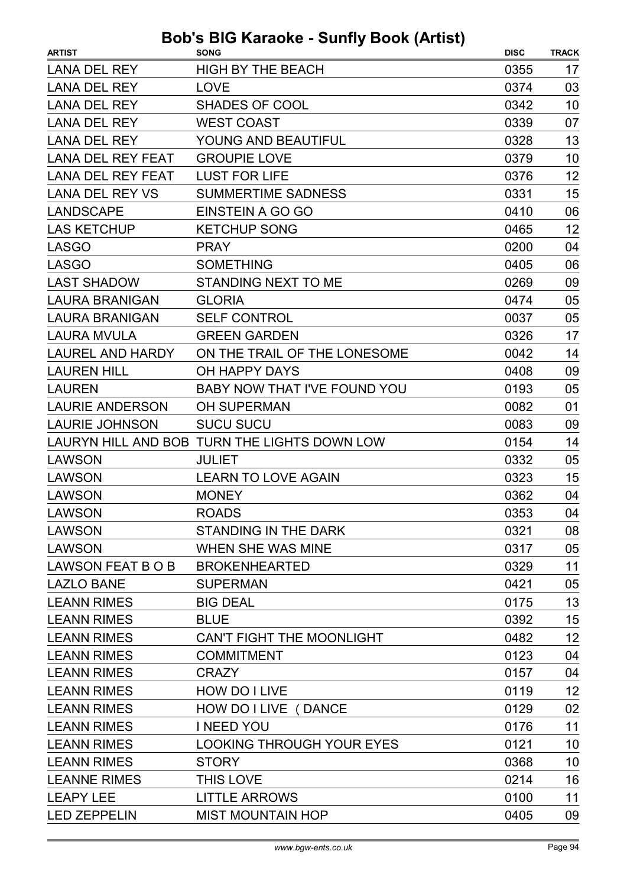| <b>ARTIST</b>            | <b>SONG</b>                                  | <b>DISC</b> | <b>TRACK</b> |
|--------------------------|----------------------------------------------|-------------|--------------|
| <b>LANA DEL REY</b>      | <b>HIGH BY THE BEACH</b>                     | 0355        | 17           |
| <b>LANA DEL REY</b>      | <b>LOVE</b>                                  | 0374        | 03           |
| <b>LANA DEL REY</b>      | <b>SHADES OF COOL</b>                        | 0342        | 10           |
| <b>LANA DEL REY</b>      | <b>WEST COAST</b>                            | 0339        | 07           |
| <b>LANA DEL REY</b>      | YOUNG AND BEAUTIFUL                          | 0328        | 13           |
| <b>LANA DEL REY FEAT</b> | <b>GROUPIE LOVE</b>                          | 0379        | 10           |
| <b>LANA DEL REY FEAT</b> | <b>LUST FOR LIFE</b>                         | 0376        | 12           |
| <b>LANA DEL REY VS</b>   | <b>SUMMERTIME SADNESS</b>                    | 0331        | 15           |
| <b>LANDSCAPE</b>         | EINSTEIN A GO GO                             | 0410        | 06           |
| <b>LAS KETCHUP</b>       | <b>KETCHUP SONG</b>                          | 0465        | 12           |
| <b>LASGO</b>             | <b>PRAY</b>                                  | 0200        | 04           |
| <b>LASGO</b>             | <b>SOMETHING</b>                             | 0405        | 06           |
| <b>LAST SHADOW</b>       | <b>STANDING NEXT TO ME</b>                   | 0269        | 09           |
| <b>LAURA BRANIGAN</b>    | <b>GLORIA</b>                                | 0474        | 05           |
| <b>LAURA BRANIGAN</b>    | <b>SELF CONTROL</b>                          | 0037        | 05           |
| <b>LAURA MVULA</b>       | <b>GREEN GARDEN</b>                          | 0326        | 17           |
| <b>LAUREL AND HARDY</b>  | ON THE TRAIL OF THE LONESOME                 | 0042        | 14           |
| <b>LAUREN HILL</b>       | OH HAPPY DAYS                                | 0408        | 09           |
| <b>LAUREN</b>            | BABY NOW THAT I'VE FOUND YOU                 | 0193        | 05           |
| <b>LAURIE ANDERSON</b>   | <b>OH SUPERMAN</b>                           | 0082        | 01           |
| <b>LAURIE JOHNSON</b>    | <b>SUCU SUCU</b>                             | 0083        | 09           |
|                          | LAURYN HILL AND BOB TURN THE LIGHTS DOWN LOW | 0154        | 14           |
| <b>LAWSON</b>            | <b>JULIET</b>                                | 0332        | 05           |
| <b>LAWSON</b>            | <b>LEARN TO LOVE AGAIN</b>                   | 0323        | 15           |
| LAWSON                   | <b>MONEY</b>                                 | 0362        | 04           |
| <b>LAWSON</b>            | <b>ROADS</b>                                 | 0353        | 04           |
| <b>LAWSON</b>            | STANDING IN THE DARK                         | 0321        | 08           |
| LAWSON                   | <b>WHEN SHE WAS MINE</b>                     | 0317        | 05           |
| LAWSON FEAT B O B        | <b>BROKENHEARTED</b>                         | 0329        | 11           |
| <b>LAZLO BANE</b>        | <b>SUPERMAN</b>                              | 0421        | 05           |
| <b>LEANN RIMES</b>       | <b>BIG DEAL</b>                              | 0175        | 13           |
| <b>LEANN RIMES</b>       | <b>BLUE</b>                                  | 0392        | 15           |
| <b>LEANN RIMES</b>       | <b>CAN'T FIGHT THE MOONLIGHT</b>             | 0482        | 12           |
| <b>LEANN RIMES</b>       | <b>COMMITMENT</b>                            | 0123        | 04           |
| <b>LEANN RIMES</b>       | <b>CRAZY</b>                                 | 0157        | 04           |
| <b>LEANN RIMES</b>       | HOW DO I LIVE                                | 0119        | 12           |
| <b>LEANN RIMES</b>       | HOW DO I LIVE (DANCE                         | 0129        | 02           |
| <b>LEANN RIMES</b>       | <b>INEED YOU</b>                             | 0176        | 11           |
| <b>LEANN RIMES</b>       | <b>LOOKING THROUGH YOUR EYES</b>             | 0121        | 10           |
| <b>LEANN RIMES</b>       | <b>STORY</b>                                 | 0368        | 10           |
| <b>LEANNE RIMES</b>      | THIS LOVE                                    | 0214        | 16           |
| <b>LEAPY LEE</b>         | <b>LITTLE ARROWS</b>                         | 0100        | 11           |
| <b>LED ZEPPELIN</b>      | <b>MIST MOUNTAIN HOP</b>                     | 0405        | 09           |
|                          |                                              |             |              |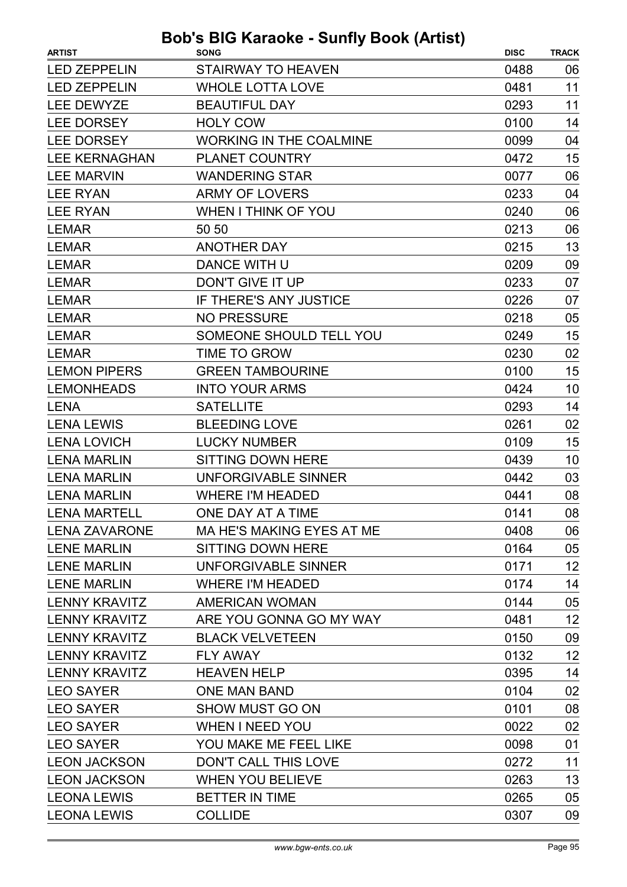| <b>ARTIST</b>        | <b>SONG</b>                    | <b>DISC</b> | <b>TRACK</b> |
|----------------------|--------------------------------|-------------|--------------|
| <b>LED ZEPPELIN</b>  | <b>STAIRWAY TO HEAVEN</b>      | 0488        | 06           |
| <b>LED ZEPPELIN</b>  | <b>WHOLE LOTTA LOVE</b>        | 0481        | 11           |
| LEE DEWYZE           | <b>BEAUTIFUL DAY</b>           | 0293        | 11           |
| <b>LEE DORSEY</b>    | <b>HOLY COW</b>                | 0100        | 14           |
| <b>LEE DORSEY</b>    | <b>WORKING IN THE COALMINE</b> | 0099        | 04           |
| <b>LEE KERNAGHAN</b> | <b>PLANET COUNTRY</b>          | 0472        | 15           |
| <b>LEE MARVIN</b>    | <b>WANDERING STAR</b>          | 0077        | 06           |
| <b>LEE RYAN</b>      | <b>ARMY OF LOVERS</b>          | 0233        | 04           |
| <b>LEE RYAN</b>      | <b>WHEN I THINK OF YOU</b>     | 0240        | 06           |
| <b>LEMAR</b>         | 50 50                          | 0213        | 06           |
| <b>LEMAR</b>         | <b>ANOTHER DAY</b>             | 0215        | 13           |
| <b>LEMAR</b>         | DANCE WITH U                   | 0209        | 09           |
| <b>LEMAR</b>         | DON'T GIVE IT UP               | 0233        | 07           |
| <b>LEMAR</b>         | IF THERE'S ANY JUSTICE         | 0226        | 07           |
| <b>LEMAR</b>         | <b>NO PRESSURE</b>             | 0218        | 05           |
| <b>LEMAR</b>         | SOMEONE SHOULD TELL YOU        | 0249        | 15           |
| <b>LEMAR</b>         | TIME TO GROW                   | 0230        | 02           |
| <b>LEMON PIPERS</b>  | <b>GREEN TAMBOURINE</b>        | 0100        | 15           |
| <b>LEMONHEADS</b>    | <b>INTO YOUR ARMS</b>          | 0424        | 10           |
| <b>LENA</b>          | <b>SATELLITE</b>               | 0293        | 14           |
| <b>LENA LEWIS</b>    | <b>BLEEDING LOVE</b>           | 0261        | 02           |
| <b>LENA LOVICH</b>   | <b>LUCKY NUMBER</b>            | 0109        | 15           |
| <b>LENA MARLIN</b>   | <b>SITTING DOWN HERE</b>       | 0439        | 10           |
| <b>LENA MARLIN</b>   | <b>UNFORGIVABLE SINNER</b>     | 0442        | 03           |
| <b>LENA MARLIN</b>   | <b>WHERE I'M HEADED</b>        | 0441        | 08           |
| <b>LENA MARTELL</b>  | ONE DAY AT A TIME              | 0141        | 08           |
| <b>LENA ZAVARONE</b> | MA HE'S MAKING EYES AT ME      | 0408        | 06           |
| <b>LENE MARLIN</b>   | SITTING DOWN HERE              | 0164        | 05           |
| <b>LENE MARLIN</b>   | UNFORGIVABLE SINNER            | 0171        | 12           |
| <b>LENE MARLIN</b>   | <b>WHERE I'M HEADED</b>        | 0174        | 14           |
| <b>LENNY KRAVITZ</b> | <b>AMERICAN WOMAN</b>          | 0144        | 05           |
| <b>LENNY KRAVITZ</b> | ARE YOU GONNA GO MY WAY        | 0481        | 12           |
| <b>LENNY KRAVITZ</b> | <b>BLACK VELVETEEN</b>         | 0150        | 09           |
| <b>LENNY KRAVITZ</b> | <b>FLY AWAY</b>                | 0132        | 12           |
| <b>LENNY KRAVITZ</b> | <b>HEAVEN HELP</b>             | 0395        | 14           |
| <b>LEO SAYER</b>     | <b>ONE MAN BAND</b>            | 0104        | 02           |
| <b>LEO SAYER</b>     | <b>SHOW MUST GO ON</b>         | 0101        | 08           |
| <b>LEO SAYER</b>     | <b>WHEN I NEED YOU</b>         | 0022        | 02           |
| <b>LEO SAYER</b>     | YOU MAKE ME FEEL LIKE          | 0098        | 01           |
| <b>LEON JACKSON</b>  | DON'T CALL THIS LOVE           | 0272        | 11           |
| <b>LEON JACKSON</b>  | <b>WHEN YOU BELIEVE</b>        | 0263        | 13           |
| <b>LEONA LEWIS</b>   | <b>BETTER IN TIME</b>          | 0265        | 05           |
| <b>LEONA LEWIS</b>   | <b>COLLIDE</b>                 | 0307        | 09           |
|                      |                                |             |              |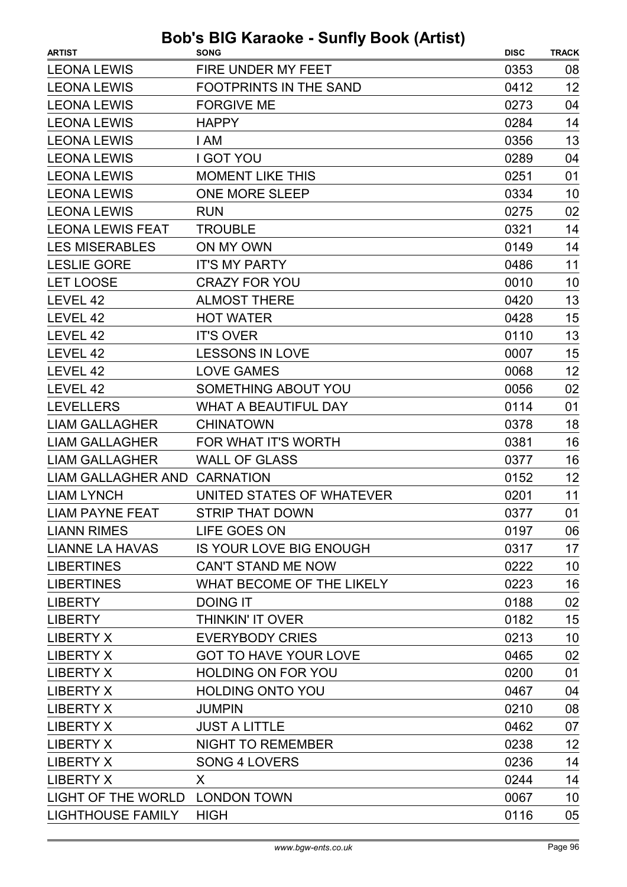| <b>ARTIST</b>                  | <b>SONG</b>                   | <b>DISC</b> | <b>TRACK</b> |
|--------------------------------|-------------------------------|-------------|--------------|
| <b>LEONA LEWIS</b>             | <b>FIRE UNDER MY FEET</b>     | 0353        | 08           |
| <b>LEONA LEWIS</b>             | <b>FOOTPRINTS IN THE SAND</b> | 0412        | 12           |
| <b>LEONA LEWIS</b>             | <b>FORGIVE ME</b>             | 0273        | 04           |
| <b>LEONA LEWIS</b>             | <b>HAPPY</b>                  | 0284        | 14           |
| <b>LEONA LEWIS</b>             | I AM                          | 0356        | 13           |
| <b>LEONA LEWIS</b>             | <b>I GOT YOU</b>              | 0289        | 04           |
| <b>LEONA LEWIS</b>             | <b>MOMENT LIKE THIS</b>       | 0251        | 01           |
| <b>LEONA LEWIS</b>             | <b>ONE MORE SLEEP</b>         | 0334        | 10           |
| <b>LEONA LEWIS</b>             | <b>RUN</b>                    | 0275        | 02           |
| <b>LEONA LEWIS FEAT</b>        | <b>TROUBLE</b>                | 0321        | 14           |
| <b>LES MISERABLES</b>          | ON MY OWN                     | 0149        | 14           |
| <b>LESLIE GORE</b>             | <b>IT'S MY PARTY</b>          | 0486        | 11           |
| <b>LET LOOSE</b>               | <b>CRAZY FOR YOU</b>          | 0010        | 10           |
| LEVEL 42                       | <b>ALMOST THERE</b>           | 0420        | 13           |
| LEVEL 42                       | <b>HOT WATER</b>              | 0428        | 15           |
| LEVEL 42                       | <b>IT'S OVER</b>              | 0110        | 13           |
| LEVEL 42                       | <b>LESSONS IN LOVE</b>        | 0007        | 15           |
| LEVEL 42                       | <b>LOVE GAMES</b>             | 0068        | 12           |
| LEVEL 42                       | <b>SOMETHING ABOUT YOU</b>    | 0056        | 02           |
| <b>LEVELLERS</b>               | <b>WHAT A BEAUTIFUL DAY</b>   | 0114        | 01           |
| <b>LIAM GALLAGHER</b>          | <b>CHINATOWN</b>              | 0378        | 18           |
| <b>LIAM GALLAGHER</b>          | FOR WHAT IT'S WORTH           | 0381        | 16           |
| <b>LIAM GALLAGHER</b>          | <b>WALL OF GLASS</b>          | 0377        | 16           |
| LIAM GALLAGHER AND CARNATION   |                               | 0152        | 12           |
| <b>LIAM LYNCH</b>              | UNITED STATES OF WHATEVER     | 0201        | 11           |
| LIAM PAYNE FEAT                | STRIP THAT DOWN               | 0377        | 01           |
| <b>LIANN RIMES</b>             | LIFE GOES ON                  | 0197        | 06           |
| <b>LIANNE LA HAVAS</b>         | IS YOUR LOVE BIG ENOUGH       | 0317        | 17           |
| <b>LIBERTINES</b>              | <b>CAN'T STAND ME NOW</b>     | 0222        | 10           |
| <b>LIBERTINES</b>              | WHAT BECOME OF THE LIKELY     | 0223        | 16           |
| <b>LIBERTY</b>                 | <b>DOING IT</b>               | 0188        | 02           |
| <b>LIBERTY</b>                 | <b>THINKIN' IT OVER</b>       | 0182        | 15           |
| <b>LIBERTY X</b>               | <b>EVERYBODY CRIES</b>        | 0213        | 10           |
| <b>LIBERTY X</b>               | <b>GOT TO HAVE YOUR LOVE</b>  | 0465        | 02           |
| <b>LIBERTY X</b>               | <b>HOLDING ON FOR YOU</b>     | 0200        | 01           |
| <b>LIBERTY X</b>               | <b>HOLDING ONTO YOU</b>       | 0467        | 04           |
| <b>LIBERTY X</b>               | <b>JUMPIN</b>                 | 0210        | 08           |
| <b>LIBERTY X</b>               | <b>JUST A LITTLE</b>          | 0462        | 07           |
| <b>LIBERTY X</b>               | <b>NIGHT TO REMEMBER</b>      | 0238        | 12           |
| <b>LIBERTY X</b>               | <b>SONG 4 LOVERS</b>          | 0236        | 14           |
| <b>LIBERTY X</b>               | X                             | 0244        | 14           |
| LIGHT OF THE WORLD LONDON TOWN |                               | 0067        | 10           |
| <b>LIGHTHOUSE FAMILY</b>       | <b>HIGH</b>                   | 0116        | 05           |
|                                |                               |             |              |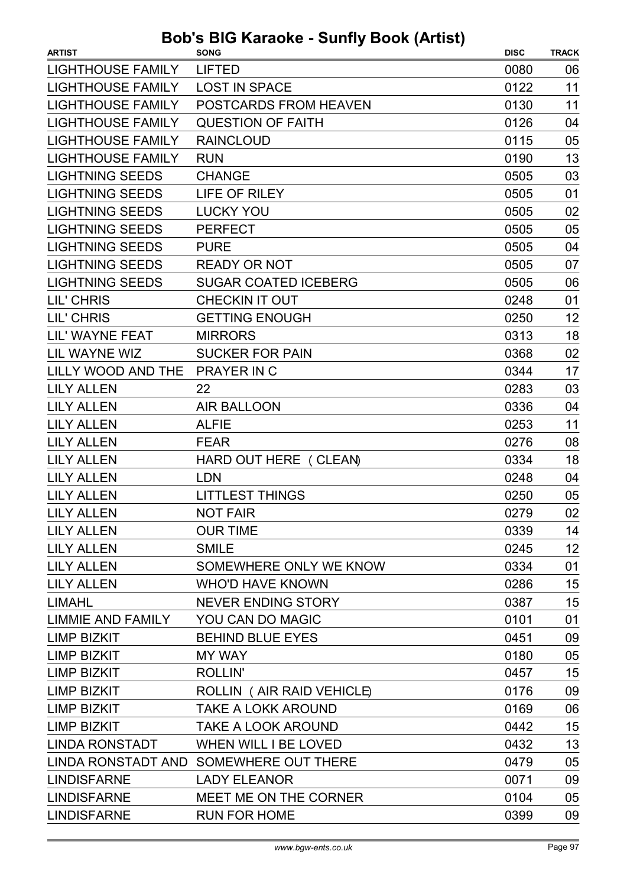| <b>ARTIST</b>            | <b>SONG</b>                            | <b>DISC</b> | <b>TRACK</b> |
|--------------------------|----------------------------------------|-------------|--------------|
| <b>LIGHTHOUSE FAMILY</b> | <b>LIFTED</b>                          | 0080        | 06           |
| <b>LIGHTHOUSE FAMILY</b> | <b>LOST IN SPACE</b>                   | 0122        | 11           |
| <b>LIGHTHOUSE FAMILY</b> | POSTCARDS FROM HEAVEN                  | 0130        | 11           |
| <b>LIGHTHOUSE FAMILY</b> | <b>QUESTION OF FAITH</b>               | 0126        | 04           |
| <b>LIGHTHOUSE FAMILY</b> | <b>RAINCLOUD</b>                       | 0115        | 05           |
| <b>LIGHTHOUSE FAMILY</b> | <b>RUN</b>                             | 0190        | 13           |
| <b>LIGHTNING SEEDS</b>   | <b>CHANGE</b>                          | 0505        | 03           |
| <b>LIGHTNING SEEDS</b>   | <b>LIFE OF RILEY</b>                   | 0505        | 01           |
| <b>LIGHTNING SEEDS</b>   | <b>LUCKY YOU</b>                       | 0505        | 02           |
| <b>LIGHTNING SEEDS</b>   | <b>PERFECT</b>                         | 0505        | 05           |
| <b>LIGHTNING SEEDS</b>   | <b>PURE</b>                            | 0505        | 04           |
| <b>LIGHTNING SEEDS</b>   | <b>READY OR NOT</b>                    | 0505        | 07           |
| <b>LIGHTNING SEEDS</b>   | <b>SUGAR COATED ICEBERG</b>            | 0505        | 06           |
| LIL' CHRIS               | <b>CHECKIN IT OUT</b>                  | 0248        | 01           |
| LIL' CHRIS               | <b>GETTING ENOUGH</b>                  | 0250        | 12           |
| LIL' WAYNE FEAT          | <b>MIRRORS</b>                         | 0313        | 18           |
| LIL WAYNE WIZ            | <b>SUCKER FOR PAIN</b>                 | 0368        | 02           |
| LILLY WOOD AND THE       | <b>PRAYER IN C</b>                     | 0344        | 17           |
| <b>LILY ALLEN</b>        | 22                                     | 0283        | 03           |
| <b>LILY ALLEN</b>        | <b>AIR BALLOON</b>                     | 0336        | 04           |
| <b>LILY ALLEN</b>        | <b>ALFIE</b>                           | 0253        | 11           |
| <b>LILY ALLEN</b>        | <b>FEAR</b>                            | 0276        | 08           |
| <b>LILY ALLEN</b>        | HARD OUT HERE ( CLEAN)                 | 0334        | 18           |
| <b>LILY ALLEN</b>        | <b>LDN</b>                             | 0248        | 04           |
| <b>LILY ALLEN</b>        | <b>LITTLEST THINGS</b>                 | 0250        | 05           |
| <b>LILY ALLEN</b>        | <b>NOT FAIR</b>                        | 0279        | 02           |
| <b>LILY ALLEN</b>        | <b>OUR TIME</b>                        | 0339        | 14           |
| <b>LILY ALLEN</b>        | <b>SMILE</b>                           | 0245        | 12           |
| <b>LILY ALLEN</b>        | SOMEWHERE ONLY WE KNOW                 | 0334        | 01           |
| <b>LILY ALLEN</b>        | <b>WHO'D HAVE KNOWN</b>                | 0286        | 15           |
| <b>LIMAHL</b>            | <b>NEVER ENDING STORY</b>              | 0387        | 15           |
| LIMMIE AND FAMILY        | YOU CAN DO MAGIC                       | 0101        | 01           |
| <b>LIMP BIZKIT</b>       | <b>BEHIND BLUE EYES</b>                | 0451        | 09           |
| <b>LIMP BIZKIT</b>       | <b>MY WAY</b>                          | 0180        | 05           |
| <b>LIMP BIZKIT</b>       | <b>ROLLIN'</b>                         | 0457        | 15           |
| <b>LIMP BIZKIT</b>       | ROLLIN (AIR RAID VEHICLE)              | 0176        | 09           |
| <b>LIMP BIZKIT</b>       | <b>TAKE A LOKK AROUND</b>              | 0169        | 06           |
| <b>LIMP BIZKIT</b>       | <b>TAKE A LOOK AROUND</b>              | 0442        | 15           |
| <b>LINDA RONSTADT</b>    | <b>WHEN WILL I BE LOVED</b>            | 0432        | 13           |
|                          | LINDA RONSTADT AND SOMEWHERE OUT THERE | 0479        | 05           |
| <b>LINDISFARNE</b>       | <b>LADY ELEANOR</b>                    | 0071        | 09           |
| <b>LINDISFARNE</b>       | MEET ME ON THE CORNER                  | 0104        | 05           |
| <b>LINDISFARNE</b>       | <b>RUN FOR HOME</b>                    | 0399        | 09           |
|                          |                                        |             |              |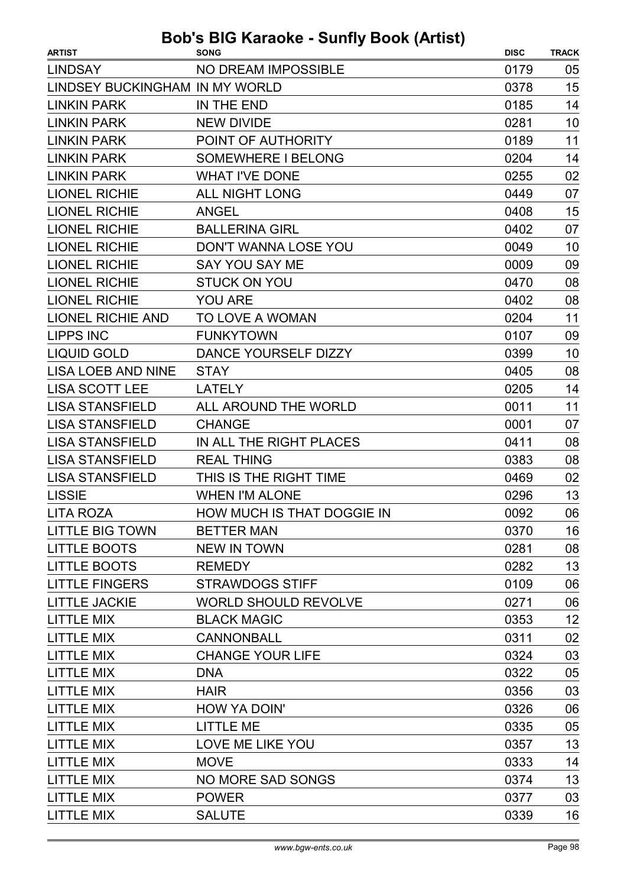| <b>LINDSAY</b><br><b>NO DREAM IMPOSSIBLE</b><br>0179<br>05<br>15<br>LINDSEY BUCKINGHAM IN MY WORLD<br>0378<br><b>LINKIN PARK</b><br>0185<br>14<br>IN THE END<br>10<br><b>LINKIN PARK</b><br><b>NEW DIVIDE</b><br>0281<br>11<br><b>LINKIN PARK</b><br>POINT OF AUTHORITY<br>0189<br>14<br><b>LINKIN PARK</b><br><b>SOMEWHERE I BELONG</b><br>0204<br><b>LINKIN PARK</b><br><b>WHAT I'VE DONE</b><br>02<br>0255<br>07<br><b>LIONEL RICHIE</b><br><b>ALL NIGHT LONG</b><br>0449<br><b>LIONEL RICHIE</b><br>15<br><b>ANGEL</b><br>0408<br><b>LIONEL RICHIE</b><br>0402<br>07<br><b>BALLERINA GIRL</b><br><b>LIONEL RICHIE</b><br>DON'T WANNA LOSE YOU<br>0049<br>10<br><b>LIONEL RICHIE</b><br><b>SAY YOU SAY ME</b><br>09<br>0009<br>08<br><b>LIONEL RICHIE</b><br><b>STUCK ON YOU</b><br>0470<br>08<br><b>LIONEL RICHIE</b><br><b>YOU ARE</b><br>0402<br>11<br><b>LIONEL RICHIE AND</b><br>TO LOVE A WOMAN<br>0204<br><b>LIPPS INC</b><br><b>FUNKYTOWN</b><br>0107<br>09<br><b>LIQUID GOLD</b><br>DANCE YOURSELF DIZZY<br>0399<br>10<br>08<br><b>LISA LOEB AND NINE</b><br>0405<br><b>STAY</b><br>14<br><b>LISA SCOTT LEE</b><br>0205<br><b>LATELY</b><br>11<br><b>LISA STANSFIELD</b><br>ALL AROUND THE WORLD<br>0011<br><b>LISA STANSFIELD</b><br><b>CHANGE</b><br>0001<br>07<br><b>LISA STANSFIELD</b><br>IN ALL THE RIGHT PLACES<br>0411<br>08<br>08<br><b>LISA STANSFIELD</b><br><b>REAL THING</b><br>0383<br><b>LISA STANSFIELD</b><br>THIS IS THE RIGHT TIME<br>0469<br>02<br>13<br><b>LISSIE</b><br><b>WHEN I'M ALONE</b><br>0296<br>06<br>HOW MUCH IS THAT DOGGIE IN<br>0092<br>LITA ROZA<br><b>LITTLE BIG TOWN</b><br><b>BETTER MAN</b><br>16<br>0370<br><b>LITTLE BOOTS</b><br><b>NEW IN TOWN</b><br>0281<br>08<br><b>LITTLE BOOTS</b><br>13<br>0282<br><b>REMEDY</b><br><b>LITTLE FINGERS</b><br>06<br><b>STRAWDOGS STIFF</b><br>0109 |
|-------------------------------------------------------------------------------------------------------------------------------------------------------------------------------------------------------------------------------------------------------------------------------------------------------------------------------------------------------------------------------------------------------------------------------------------------------------------------------------------------------------------------------------------------------------------------------------------------------------------------------------------------------------------------------------------------------------------------------------------------------------------------------------------------------------------------------------------------------------------------------------------------------------------------------------------------------------------------------------------------------------------------------------------------------------------------------------------------------------------------------------------------------------------------------------------------------------------------------------------------------------------------------------------------------------------------------------------------------------------------------------------------------------------------------------------------------------------------------------------------------------------------------------------------------------------------------------------------------------------------------------------------------------------------------------------------------------------------------------------------------------------------------------------------------------------------------------------------|
|                                                                                                                                                                                                                                                                                                                                                                                                                                                                                                                                                                                                                                                                                                                                                                                                                                                                                                                                                                                                                                                                                                                                                                                                                                                                                                                                                                                                                                                                                                                                                                                                                                                                                                                                                                                                                                                 |
|                                                                                                                                                                                                                                                                                                                                                                                                                                                                                                                                                                                                                                                                                                                                                                                                                                                                                                                                                                                                                                                                                                                                                                                                                                                                                                                                                                                                                                                                                                                                                                                                                                                                                                                                                                                                                                                 |
|                                                                                                                                                                                                                                                                                                                                                                                                                                                                                                                                                                                                                                                                                                                                                                                                                                                                                                                                                                                                                                                                                                                                                                                                                                                                                                                                                                                                                                                                                                                                                                                                                                                                                                                                                                                                                                                 |
|                                                                                                                                                                                                                                                                                                                                                                                                                                                                                                                                                                                                                                                                                                                                                                                                                                                                                                                                                                                                                                                                                                                                                                                                                                                                                                                                                                                                                                                                                                                                                                                                                                                                                                                                                                                                                                                 |
|                                                                                                                                                                                                                                                                                                                                                                                                                                                                                                                                                                                                                                                                                                                                                                                                                                                                                                                                                                                                                                                                                                                                                                                                                                                                                                                                                                                                                                                                                                                                                                                                                                                                                                                                                                                                                                                 |
|                                                                                                                                                                                                                                                                                                                                                                                                                                                                                                                                                                                                                                                                                                                                                                                                                                                                                                                                                                                                                                                                                                                                                                                                                                                                                                                                                                                                                                                                                                                                                                                                                                                                                                                                                                                                                                                 |
|                                                                                                                                                                                                                                                                                                                                                                                                                                                                                                                                                                                                                                                                                                                                                                                                                                                                                                                                                                                                                                                                                                                                                                                                                                                                                                                                                                                                                                                                                                                                                                                                                                                                                                                                                                                                                                                 |
|                                                                                                                                                                                                                                                                                                                                                                                                                                                                                                                                                                                                                                                                                                                                                                                                                                                                                                                                                                                                                                                                                                                                                                                                                                                                                                                                                                                                                                                                                                                                                                                                                                                                                                                                                                                                                                                 |
|                                                                                                                                                                                                                                                                                                                                                                                                                                                                                                                                                                                                                                                                                                                                                                                                                                                                                                                                                                                                                                                                                                                                                                                                                                                                                                                                                                                                                                                                                                                                                                                                                                                                                                                                                                                                                                                 |
|                                                                                                                                                                                                                                                                                                                                                                                                                                                                                                                                                                                                                                                                                                                                                                                                                                                                                                                                                                                                                                                                                                                                                                                                                                                                                                                                                                                                                                                                                                                                                                                                                                                                                                                                                                                                                                                 |
|                                                                                                                                                                                                                                                                                                                                                                                                                                                                                                                                                                                                                                                                                                                                                                                                                                                                                                                                                                                                                                                                                                                                                                                                                                                                                                                                                                                                                                                                                                                                                                                                                                                                                                                                                                                                                                                 |
|                                                                                                                                                                                                                                                                                                                                                                                                                                                                                                                                                                                                                                                                                                                                                                                                                                                                                                                                                                                                                                                                                                                                                                                                                                                                                                                                                                                                                                                                                                                                                                                                                                                                                                                                                                                                                                                 |
|                                                                                                                                                                                                                                                                                                                                                                                                                                                                                                                                                                                                                                                                                                                                                                                                                                                                                                                                                                                                                                                                                                                                                                                                                                                                                                                                                                                                                                                                                                                                                                                                                                                                                                                                                                                                                                                 |
|                                                                                                                                                                                                                                                                                                                                                                                                                                                                                                                                                                                                                                                                                                                                                                                                                                                                                                                                                                                                                                                                                                                                                                                                                                                                                                                                                                                                                                                                                                                                                                                                                                                                                                                                                                                                                                                 |
|                                                                                                                                                                                                                                                                                                                                                                                                                                                                                                                                                                                                                                                                                                                                                                                                                                                                                                                                                                                                                                                                                                                                                                                                                                                                                                                                                                                                                                                                                                                                                                                                                                                                                                                                                                                                                                                 |
|                                                                                                                                                                                                                                                                                                                                                                                                                                                                                                                                                                                                                                                                                                                                                                                                                                                                                                                                                                                                                                                                                                                                                                                                                                                                                                                                                                                                                                                                                                                                                                                                                                                                                                                                                                                                                                                 |
|                                                                                                                                                                                                                                                                                                                                                                                                                                                                                                                                                                                                                                                                                                                                                                                                                                                                                                                                                                                                                                                                                                                                                                                                                                                                                                                                                                                                                                                                                                                                                                                                                                                                                                                                                                                                                                                 |
|                                                                                                                                                                                                                                                                                                                                                                                                                                                                                                                                                                                                                                                                                                                                                                                                                                                                                                                                                                                                                                                                                                                                                                                                                                                                                                                                                                                                                                                                                                                                                                                                                                                                                                                                                                                                                                                 |
|                                                                                                                                                                                                                                                                                                                                                                                                                                                                                                                                                                                                                                                                                                                                                                                                                                                                                                                                                                                                                                                                                                                                                                                                                                                                                                                                                                                                                                                                                                                                                                                                                                                                                                                                                                                                                                                 |
|                                                                                                                                                                                                                                                                                                                                                                                                                                                                                                                                                                                                                                                                                                                                                                                                                                                                                                                                                                                                                                                                                                                                                                                                                                                                                                                                                                                                                                                                                                                                                                                                                                                                                                                                                                                                                                                 |
|                                                                                                                                                                                                                                                                                                                                                                                                                                                                                                                                                                                                                                                                                                                                                                                                                                                                                                                                                                                                                                                                                                                                                                                                                                                                                                                                                                                                                                                                                                                                                                                                                                                                                                                                                                                                                                                 |
|                                                                                                                                                                                                                                                                                                                                                                                                                                                                                                                                                                                                                                                                                                                                                                                                                                                                                                                                                                                                                                                                                                                                                                                                                                                                                                                                                                                                                                                                                                                                                                                                                                                                                                                                                                                                                                                 |
|                                                                                                                                                                                                                                                                                                                                                                                                                                                                                                                                                                                                                                                                                                                                                                                                                                                                                                                                                                                                                                                                                                                                                                                                                                                                                                                                                                                                                                                                                                                                                                                                                                                                                                                                                                                                                                                 |
|                                                                                                                                                                                                                                                                                                                                                                                                                                                                                                                                                                                                                                                                                                                                                                                                                                                                                                                                                                                                                                                                                                                                                                                                                                                                                                                                                                                                                                                                                                                                                                                                                                                                                                                                                                                                                                                 |
|                                                                                                                                                                                                                                                                                                                                                                                                                                                                                                                                                                                                                                                                                                                                                                                                                                                                                                                                                                                                                                                                                                                                                                                                                                                                                                                                                                                                                                                                                                                                                                                                                                                                                                                                                                                                                                                 |
|                                                                                                                                                                                                                                                                                                                                                                                                                                                                                                                                                                                                                                                                                                                                                                                                                                                                                                                                                                                                                                                                                                                                                                                                                                                                                                                                                                                                                                                                                                                                                                                                                                                                                                                                                                                                                                                 |
|                                                                                                                                                                                                                                                                                                                                                                                                                                                                                                                                                                                                                                                                                                                                                                                                                                                                                                                                                                                                                                                                                                                                                                                                                                                                                                                                                                                                                                                                                                                                                                                                                                                                                                                                                                                                                                                 |
|                                                                                                                                                                                                                                                                                                                                                                                                                                                                                                                                                                                                                                                                                                                                                                                                                                                                                                                                                                                                                                                                                                                                                                                                                                                                                                                                                                                                                                                                                                                                                                                                                                                                                                                                                                                                                                                 |
|                                                                                                                                                                                                                                                                                                                                                                                                                                                                                                                                                                                                                                                                                                                                                                                                                                                                                                                                                                                                                                                                                                                                                                                                                                                                                                                                                                                                                                                                                                                                                                                                                                                                                                                                                                                                                                                 |
|                                                                                                                                                                                                                                                                                                                                                                                                                                                                                                                                                                                                                                                                                                                                                                                                                                                                                                                                                                                                                                                                                                                                                                                                                                                                                                                                                                                                                                                                                                                                                                                                                                                                                                                                                                                                                                                 |
| <b>WORLD SHOULD REVOLVE</b><br><b>LITTLE JACKIE</b><br>0271<br>06                                                                                                                                                                                                                                                                                                                                                                                                                                                                                                                                                                                                                                                                                                                                                                                                                                                                                                                                                                                                                                                                                                                                                                                                                                                                                                                                                                                                                                                                                                                                                                                                                                                                                                                                                                               |
| <b>LITTLE MIX</b><br>12<br><b>BLACK MAGIC</b><br>0353                                                                                                                                                                                                                                                                                                                                                                                                                                                                                                                                                                                                                                                                                                                                                                                                                                                                                                                                                                                                                                                                                                                                                                                                                                                                                                                                                                                                                                                                                                                                                                                                                                                                                                                                                                                           |
| 02<br><b>LITTLE MIX</b><br><b>CANNONBALL</b><br>0311                                                                                                                                                                                                                                                                                                                                                                                                                                                                                                                                                                                                                                                                                                                                                                                                                                                                                                                                                                                                                                                                                                                                                                                                                                                                                                                                                                                                                                                                                                                                                                                                                                                                                                                                                                                            |
| 03<br><b>CHANGE YOUR LIFE</b><br><b>LITTLE MIX</b><br>0324                                                                                                                                                                                                                                                                                                                                                                                                                                                                                                                                                                                                                                                                                                                                                                                                                                                                                                                                                                                                                                                                                                                                                                                                                                                                                                                                                                                                                                                                                                                                                                                                                                                                                                                                                                                      |
| <b>LITTLE MIX</b><br>05<br><b>DNA</b><br>0322                                                                                                                                                                                                                                                                                                                                                                                                                                                                                                                                                                                                                                                                                                                                                                                                                                                                                                                                                                                                                                                                                                                                                                                                                                                                                                                                                                                                                                                                                                                                                                                                                                                                                                                                                                                                   |
| 03<br><b>LITTLE MIX</b><br>0356<br><b>HAIR</b>                                                                                                                                                                                                                                                                                                                                                                                                                                                                                                                                                                                                                                                                                                                                                                                                                                                                                                                                                                                                                                                                                                                                                                                                                                                                                                                                                                                                                                                                                                                                                                                                                                                                                                                                                                                                  |
| <b>LITTLE MIX</b><br>HOW YA DOIN'<br>0326<br>06                                                                                                                                                                                                                                                                                                                                                                                                                                                                                                                                                                                                                                                                                                                                                                                                                                                                                                                                                                                                                                                                                                                                                                                                                                                                                                                                                                                                                                                                                                                                                                                                                                                                                                                                                                                                 |
| <b>LITTLE MIX</b><br><b>LITTLE ME</b><br>0335<br>05                                                                                                                                                                                                                                                                                                                                                                                                                                                                                                                                                                                                                                                                                                                                                                                                                                                                                                                                                                                                                                                                                                                                                                                                                                                                                                                                                                                                                                                                                                                                                                                                                                                                                                                                                                                             |
| LOVE ME LIKE YOU<br>13<br><b>LITTLE MIX</b><br>0357                                                                                                                                                                                                                                                                                                                                                                                                                                                                                                                                                                                                                                                                                                                                                                                                                                                                                                                                                                                                                                                                                                                                                                                                                                                                                                                                                                                                                                                                                                                                                                                                                                                                                                                                                                                             |
| <b>LITTLE MIX</b><br><b>MOVE</b><br>14<br>0333                                                                                                                                                                                                                                                                                                                                                                                                                                                                                                                                                                                                                                                                                                                                                                                                                                                                                                                                                                                                                                                                                                                                                                                                                                                                                                                                                                                                                                                                                                                                                                                                                                                                                                                                                                                                  |
| <b>LITTLE MIX</b><br>13<br><b>NO MORE SAD SONGS</b><br>0374                                                                                                                                                                                                                                                                                                                                                                                                                                                                                                                                                                                                                                                                                                                                                                                                                                                                                                                                                                                                                                                                                                                                                                                                                                                                                                                                                                                                                                                                                                                                                                                                                                                                                                                                                                                     |
| <b>LITTLE MIX</b><br><b>POWER</b><br>03<br>0377                                                                                                                                                                                                                                                                                                                                                                                                                                                                                                                                                                                                                                                                                                                                                                                                                                                                                                                                                                                                                                                                                                                                                                                                                                                                                                                                                                                                                                                                                                                                                                                                                                                                                                                                                                                                 |
| <b>LITTLE MIX</b><br>16<br><b>SALUTE</b><br>0339                                                                                                                                                                                                                                                                                                                                                                                                                                                                                                                                                                                                                                                                                                                                                                                                                                                                                                                                                                                                                                                                                                                                                                                                                                                                                                                                                                                                                                                                                                                                                                                                                                                                                                                                                                                                |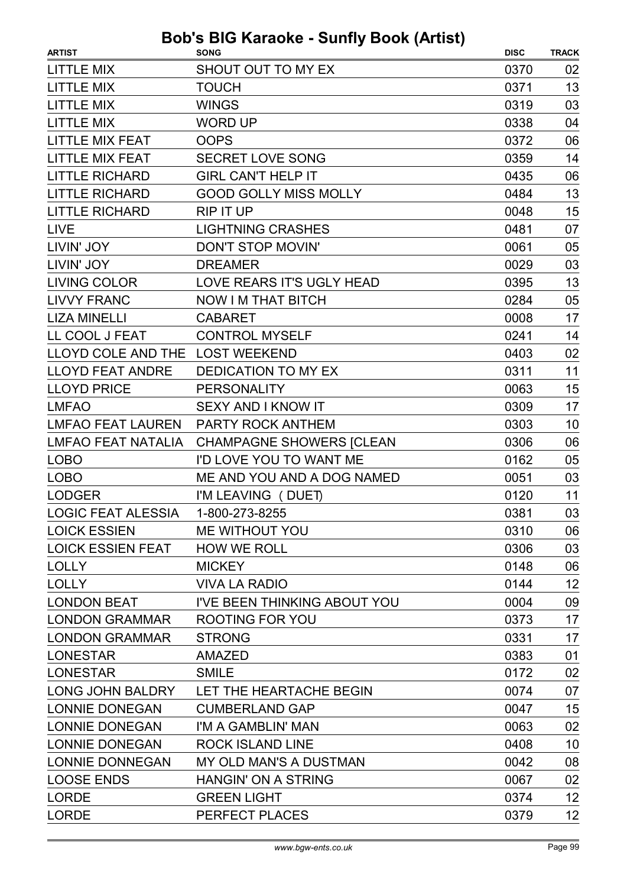| <b>ARTIST</b>                   | avnv vunny i<br><b>SONG</b>     | <b>DISC</b> | <b>TRACK</b> |
|---------------------------------|---------------------------------|-------------|--------------|
| <b>LITTLE MIX</b>               | SHOUT OUT TO MY EX              | 0370        | 02           |
| <b>LITTLE MIX</b>               | <b>TOUCH</b>                    | 0371        | 13           |
| <b>LITTLE MIX</b>               | <b>WINGS</b>                    | 0319        | 03           |
| <b>LITTLE MIX</b>               | <b>WORD UP</b>                  | 0338        | 04           |
| <b>LITTLE MIX FEAT</b>          | <b>OOPS</b>                     | 0372        | 06           |
| <b>LITTLE MIX FEAT</b>          | <b>SECRET LOVE SONG</b>         | 0359        | 14           |
| <b>LITTLE RICHARD</b>           | <b>GIRL CAN'T HELP IT</b>       | 0435        | 06           |
| <b>LITTLE RICHARD</b>           | <b>GOOD GOLLY MISS MOLLY</b>    | 0484        | 13           |
| <b>LITTLE RICHARD</b>           | <b>RIP IT UP</b>                | 0048        | 15           |
| <b>LIVE</b>                     | <b>LIGHTNING CRASHES</b>        | 0481        | 07           |
| LIVIN' JOY                      | DON'T STOP MOVIN'               | 0061        | 05           |
| LIVIN' JOY                      | <b>DREAMER</b>                  | 0029        | 03           |
| <b>LIVING COLOR</b>             | LOVE REARS IT'S UGLY HEAD       | 0395        | 13           |
| <b>LIVVY FRANC</b>              | <b>NOW I M THAT BITCH</b>       | 0284        | 05           |
| <b>LIZA MINELLI</b>             | <b>CABARET</b>                  | 0008        | 17           |
| LL COOL J FEAT                  | <b>CONTROL MYSELF</b>           | 0241        | 14           |
| LLOYD COLE AND THE LOST WEEKEND |                                 | 0403        | 02           |
| <b>LLOYD FEAT ANDRE</b>         | <b>DEDICATION TO MY EX</b>      | 0311        | 11           |
| <b>LLOYD PRICE</b>              | <b>PERSONALITY</b>              | 0063        | 15           |
| <b>LMFAO</b>                    | <b>SEXY AND I KNOW IT</b>       | 0309        | 17           |
| <b>LMFAO FEAT LAUREN</b>        | PARTY ROCK ANTHEM               | 0303        | 10           |
| <b>LMFAO FEAT NATALIA</b>       | <b>CHAMPAGNE SHOWERS [CLEAN</b> | 0306        | 06           |
| <b>LOBO</b>                     | I'D LOVE YOU TO WANT ME         | 0162        | 05           |
| <b>LOBO</b>                     | ME AND YOU AND A DOG NAMED      | 0051        | 03           |
| <b>LODGER</b>                   | I'M LEAVING (DUET)              | 0120        | 11           |
| <b>LOGIC FEAT ALESSIA</b>       | 1-800-273-8255                  | 0381        | 03           |
| <b>LOICK ESSIEN</b>             | ME WITHOUT YOU                  | 0310        | 06           |
| <b>LOICK ESSIEN FEAT</b>        | <b>HOW WE ROLL</b>              | 0306        | 03           |
| <b>LOLLY</b>                    | <b>MICKEY</b>                   | 0148        | 06           |
| <b>LOLLY</b>                    | <b>VIVA LA RADIO</b>            | 0144        | 12           |
| <b>LONDON BEAT</b>              | I'VE BEEN THINKING ABOUT YOU    | 0004        | 09           |
| <b>LONDON GRAMMAR</b>           | <b>ROOTING FOR YOU</b>          | 0373        | 17           |
| <b>LONDON GRAMMAR</b>           | <b>STRONG</b>                   | 0331        | 17           |
| <b>LONESTAR</b>                 | <b>AMAZED</b>                   | 0383        | 01           |
| <b>LONESTAR</b>                 | <b>SMILE</b>                    | 0172        | 02           |
| LONG JOHN BALDRY                | LET THE HEARTACHE BEGIN         | 0074        | 07           |
| <b>LONNIE DONEGAN</b>           | <b>CUMBERLAND GAP</b>           | 0047        | 15           |
| <b>LONNIE DONEGAN</b>           | I'M A GAMBLIN' MAN              | 0063        | 02           |
| <b>LONNIE DONEGAN</b>           | <b>ROCK ISLAND LINE</b>         | 0408        | 10           |
| <b>LONNIE DONNEGAN</b>          | MY OLD MAN'S A DUSTMAN          | 0042        | 08           |
| <b>LOOSE ENDS</b>               | <b>HANGIN' ON A STRING</b>      | 0067        | 02           |
| <b>LORDE</b>                    | <b>GREEN LIGHT</b>              | 0374        | 12           |
| <b>LORDE</b>                    | PERFECT PLACES                  | 0379        | 12           |
|                                 |                                 |             |              |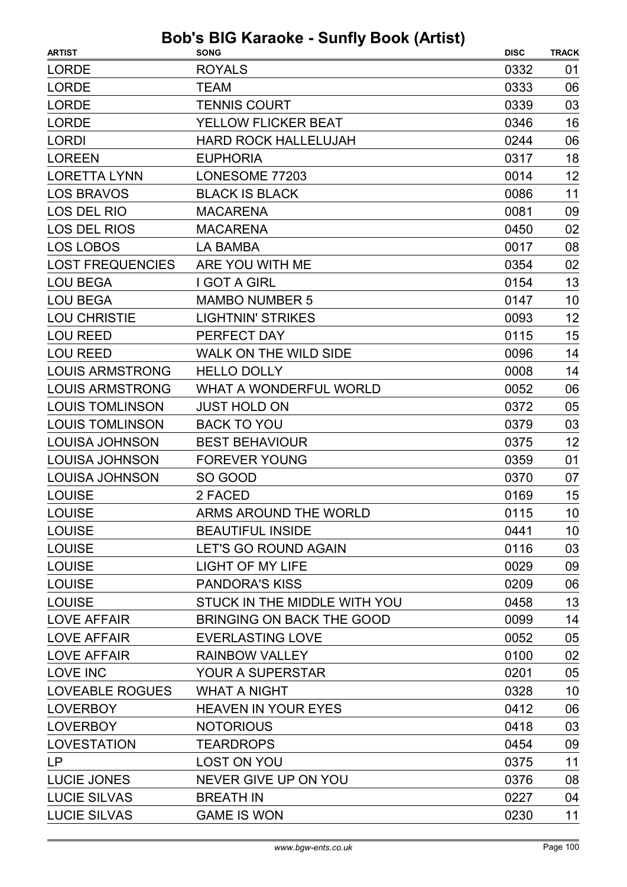| <b>ARTIST</b>           | <b>SONG</b>                      | <b>DISC</b> | <b>TRACK</b> |
|-------------------------|----------------------------------|-------------|--------------|
| <b>LORDE</b>            | <b>ROYALS</b>                    | 0332        | 01           |
| <b>LORDE</b>            | <b>TEAM</b>                      | 0333        | 06           |
| <b>LORDE</b>            | <b>TENNIS COURT</b>              | 0339        | 03           |
| <b>LORDE</b>            | YELLOW FLICKER BEAT              | 0346        | 16           |
| <b>LORDI</b>            | <b>HARD ROCK HALLELUJAH</b>      | 0244        | 06           |
| <b>LOREEN</b>           | <b>EUPHORIA</b>                  | 0317        | 18           |
| <b>LORETTA LYNN</b>     | LONESOME 77203                   | 0014        | 12           |
| <b>LOS BRAVOS</b>       | <b>BLACK IS BLACK</b>            | 0086        | 11           |
| LOS DEL RIO             | <b>MACARENA</b>                  | 0081        | 09           |
| <b>LOS DEL RIOS</b>     | <b>MACARENA</b>                  | 0450        | 02           |
| <b>LOS LOBOS</b>        | <b>LA BAMBA</b>                  | 0017        | 08           |
| <b>LOST FREQUENCIES</b> | ARE YOU WITH ME                  | 0354        | 02           |
| <b>LOU BEGA</b>         | <b>I GOT A GIRL</b>              | 0154        | 13           |
| <b>LOU BEGA</b>         | <b>MAMBO NUMBER 5</b>            | 0147        | 10           |
| <b>LOU CHRISTIE</b>     | <b>LIGHTNIN' STRIKES</b>         | 0093        | 12           |
| <b>LOU REED</b>         | PERFECT DAY                      | 0115        | 15           |
| <b>LOU REED</b>         | <b>WALK ON THE WILD SIDE</b>     | 0096        | 14           |
| <b>LOUIS ARMSTRONG</b>  | <b>HELLO DOLLY</b>               | 0008        | 14           |
| <b>LOUIS ARMSTRONG</b>  | <b>WHAT A WONDERFUL WORLD</b>    | 0052        | 06           |
| <b>LOUIS TOMLINSON</b>  | <b>JUST HOLD ON</b>              | 0372        | 05           |
| <b>LOUIS TOMLINSON</b>  | <b>BACK TO YOU</b>               | 0379        | 03           |
| <b>LOUISA JOHNSON</b>   | <b>BEST BEHAVIOUR</b>            | 0375        | 12           |
| <b>LOUISA JOHNSON</b>   | <b>FOREVER YOUNG</b>             | 0359        | 01           |
| <b>LOUISA JOHNSON</b>   | SO GOOD                          | 0370        | 07           |
| <b>LOUISE</b>           | 2 FACED                          | 0169        | 15           |
| <b>LOUISE</b>           | ARMS AROUND THE WORLD            | 0115        | 10           |
| <b>LOUISE</b>           | <b>BEAUTIFUL INSIDE</b>          | 0441        | 10           |
| <b>LOUISE</b>           | <b>LET'S GO ROUND AGAIN</b>      | 0116        | 03           |
| <b>LOUISE</b>           | <b>LIGHT OF MY LIFE</b>          | 0029        | 09           |
| <b>LOUISE</b>           | <b>PANDORA'S KISS</b>            | 0209        | 06           |
| <b>LOUISE</b>           | STUCK IN THE MIDDLE WITH YOU     | 0458        | 13           |
| <b>LOVE AFFAIR</b>      | <b>BRINGING ON BACK THE GOOD</b> | 0099        | 14           |
| <b>LOVE AFFAIR</b>      | <b>EVERLASTING LOVE</b>          | 0052        | 05           |
| <b>LOVE AFFAIR</b>      | <b>RAINBOW VALLEY</b>            | 0100        | 02           |
| LOVE INC                | <b>YOUR A SUPERSTAR</b>          | 0201        | 05           |
| <b>LOVEABLE ROGUES</b>  | <b>WHAT A NIGHT</b>              | 0328        | 10           |
| <b>LOVERBOY</b>         | <b>HEAVEN IN YOUR EYES</b>       | 0412        | 06           |
| <b>LOVERBOY</b>         | <b>NOTORIOUS</b>                 | 0418        | 03           |
| <b>LOVESTATION</b>      | <b>TEARDROPS</b>                 | 0454        | 09           |
| <b>LP</b>               | <b>LOST ON YOU</b>               | 0375        | 11           |
| LUCIE JONES             | NEVER GIVE UP ON YOU             | 0376        | 08           |
| <b>LUCIE SILVAS</b>     | <b>BREATH IN</b>                 | 0227        | 04           |
| <b>LUCIE SILVAS</b>     | <b>GAME IS WON</b>               | 0230        | 11           |
|                         |                                  |             |              |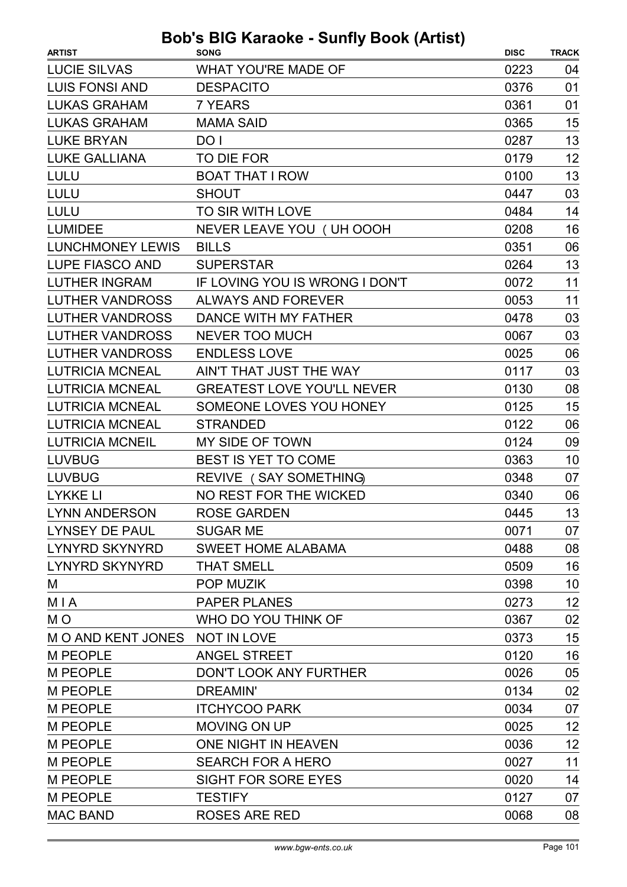| <b>ARTIST</b>                  | $\sim$ Karaono canny Doon (Autor)<br><b>SONG</b> | <b>DISC</b> | <b>TRACK</b> |
|--------------------------------|--------------------------------------------------|-------------|--------------|
| <b>LUCIE SILVAS</b>            | <b>WHAT YOU'RE MADE OF</b>                       | 0223        | 04           |
| <b>LUIS FONSI AND</b>          | <b>DESPACITO</b>                                 | 0376        | 01           |
| <b>LUKAS GRAHAM</b>            | <b>7 YEARS</b>                                   | 0361        | 01           |
| <b>LUKAS GRAHAM</b>            | <b>MAMA SAID</b>                                 | 0365        | 15           |
| <b>LUKE BRYAN</b>              | DO I                                             | 0287        | 13           |
| <b>LUKE GALLIANA</b>           | TO DIE FOR                                       | 0179        | 12           |
| <b>LULU</b>                    | <b>BOAT THAT I ROW</b>                           | 0100        | 13           |
| <b>LULU</b>                    | <b>SHOUT</b>                                     | 0447        | 03           |
| <b>LULU</b>                    | TO SIR WITH LOVE                                 | 0484        | 14           |
| <b>LUMIDEE</b>                 | NEVER LEAVE YOU ( UH OOOH                        | 0208        | 16           |
| <b>LUNCHMONEY LEWIS</b>        | <b>BILLS</b>                                     | 0351        | 06           |
| LUPE FIASCO AND                | <b>SUPERSTAR</b>                                 | 0264        | 13           |
| <b>LUTHER INGRAM</b>           | IF LOVING YOU IS WRONG I DON'T                   | 0072        | 11           |
| <b>LUTHER VANDROSS</b>         | <b>ALWAYS AND FOREVER</b>                        | 0053        | 11           |
| <b>LUTHER VANDROSS</b>         | DANCE WITH MY FATHER                             | 0478        | 03           |
| <b>LUTHER VANDROSS</b>         | <b>NEVER TOO MUCH</b>                            | 0067        | 03           |
| <b>LUTHER VANDROSS</b>         | <b>ENDLESS LOVE</b>                              | 0025        | 06           |
| <b>LUTRICIA MCNEAL</b>         | AIN'T THAT JUST THE WAY                          | 0117        | 03           |
| <b>LUTRICIA MCNEAL</b>         | <b>GREATEST LOVE YOU'LL NEVER</b>                | 0130        | 08           |
| <b>LUTRICIA MCNEAL</b>         | SOMEONE LOVES YOU HONEY                          | 0125        | 15           |
| <b>LUTRICIA MCNEAL</b>         | <b>STRANDED</b>                                  | 0122        | 06           |
| <b>LUTRICIA MCNEIL</b>         | MY SIDE OF TOWN                                  | 0124        | 09           |
| <b>LUVBUG</b>                  | BEST IS YET TO COME                              | 0363        | 10           |
| <b>LUVBUG</b>                  | REVIVE (SAY SOMETHING)                           | 0348        | 07           |
| <b>LYKKE LI</b>                | NO REST FOR THE WICKED                           | 0340        | 06           |
| <b>LYNN ANDERSON</b>           | <b>ROSE GARDEN</b>                               | 0445        | 13           |
| LYNSEY DE PAUL                 | <b>SUGAR ME</b>                                  | 0071        | 07           |
| <b>LYNYRD SKYNYRD</b>          | <b>SWEET HOME ALABAMA</b>                        | 0488        | 08           |
| <b>LYNYRD SKYNYRD</b>          | <b>THAT SMELL</b>                                | 0509        | 16           |
| M                              | <b>POP MUZIK</b>                                 | 0398        | 10           |
| <b>MIA</b>                     | <b>PAPER PLANES</b>                              | 0273        | 12           |
| M <sub>O</sub>                 | WHO DO YOU THINK OF                              | 0367        | 02           |
| M O AND KENT JONES NOT IN LOVE |                                                  | 0373        | 15           |
| <b>M PEOPLE</b>                | <b>ANGEL STREET</b>                              | 0120        | 16           |
| <b>M PEOPLE</b>                | DON'T LOOK ANY FURTHER                           | 0026        | 05           |
| <b>M PEOPLE</b>                | <b>DREAMIN'</b>                                  | 0134        | 02           |
| <b>M PEOPLE</b>                | <b>ITCHYCOO PARK</b>                             | 0034        | 07           |
| <b>M PEOPLE</b>                | <b>MOVING ON UP</b>                              | 0025        | 12           |
| <b>M PEOPLE</b>                | ONE NIGHT IN HEAVEN                              | 0036        | 12           |
| <b>M PEOPLE</b>                | <b>SEARCH FOR A HERO</b>                         | 0027        | 11           |
| <b>M PEOPLE</b>                | <b>SIGHT FOR SORE EYES</b>                       | 0020        | 14           |
| <b>M PEOPLE</b>                | <b>TESTIFY</b>                                   | 0127        | 07           |
| <b>MAC BAND</b>                | <b>ROSES ARE RED</b>                             | 0068        | 08           |
|                                |                                                  |             |              |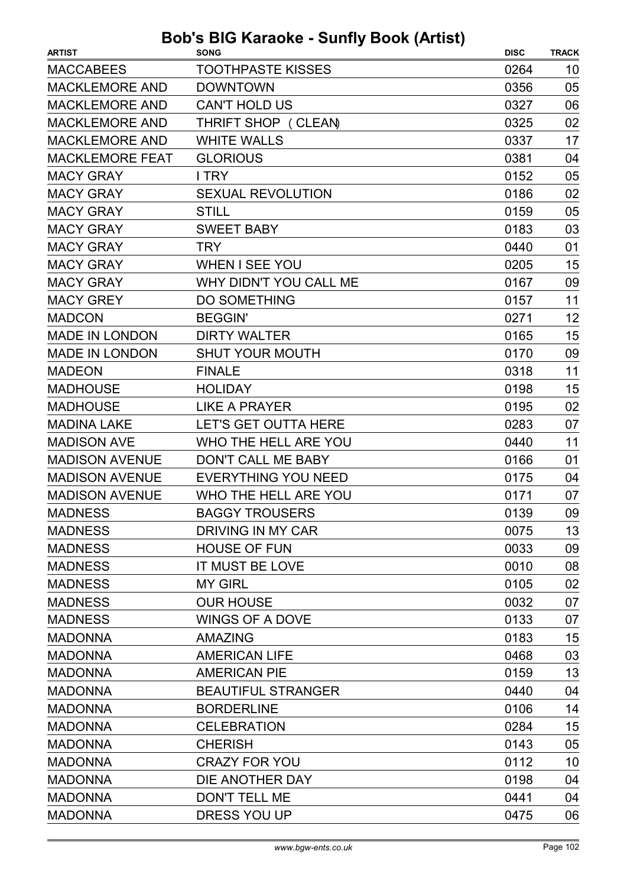| <b>ARTIST</b>          | <b>SONG</b>                | <b>DISC</b> | <b>TRACK</b> |
|------------------------|----------------------------|-------------|--------------|
| <b>MACCABEES</b>       | <b>TOOTHPASTE KISSES</b>   | 0264        | 10           |
| <b>MACKLEMORE AND</b>  | <b>DOWNTOWN</b>            | 0356        | 05           |
| <b>MACKLEMORE AND</b>  | <b>CAN'T HOLD US</b>       | 0327        | 06           |
| <b>MACKLEMORE AND</b>  | THRIFT SHOP (CLEAN)        | 0325        | 02           |
| <b>MACKLEMORE AND</b>  | <b>WHITE WALLS</b>         | 0337        | 17           |
| <b>MACKLEMORE FEAT</b> | <b>GLORIOUS</b>            | 0381        | 04           |
| <b>MACY GRAY</b>       | I TRY                      | 0152        | 05           |
| <b>MACY GRAY</b>       | <b>SEXUAL REVOLUTION</b>   | 0186        | 02           |
| <b>MACY GRAY</b>       | <b>STILL</b>               | 0159        | 05           |
| <b>MACY GRAY</b>       | <b>SWEET BABY</b>          | 0183        | 03           |
| <b>MACY GRAY</b>       | <b>TRY</b>                 | 0440        | 01           |
| <b>MACY GRAY</b>       | <b>WHEN I SEE YOU</b>      | 0205        | 15           |
| <b>MACY GRAY</b>       | WHY DIDN'T YOU CALL ME     | 0167        | 09           |
| <b>MACY GREY</b>       | <b>DO SOMETHING</b>        | 0157        | 11           |
| <b>MADCON</b>          | <b>BEGGIN'</b>             | 0271        | 12           |
| <b>MADE IN LONDON</b>  | <b>DIRTY WALTER</b>        | 0165        | 15           |
| <b>MADE IN LONDON</b>  | <b>SHUT YOUR MOUTH</b>     | 0170        | 09           |
| <b>MADEON</b>          | <b>FINALE</b>              | 0318        | 11           |
| <b>MADHOUSE</b>        | <b>HOLIDAY</b>             | 0198        | 15           |
| <b>MADHOUSE</b>        | <b>LIKE A PRAYER</b>       | 0195        | 02           |
| <b>MADINA LAKE</b>     | LET'S GET OUTTA HERE       | 0283        | 07           |
| <b>MADISON AVE</b>     | WHO THE HELL ARE YOU       | 0440        | 11           |
| <b>MADISON AVENUE</b>  | DON'T CALL ME BABY         | 0166        | 01           |
| <b>MADISON AVENUE</b>  | <b>EVERYTHING YOU NEED</b> | 0175        | 04           |
| <b>MADISON AVENUE</b>  | WHO THE HELL ARE YOU       | 0171        | 07           |
| <b>MADNESS</b>         | <b>BAGGY TROUSERS</b>      | 0139        | 09           |
| <b>MADNESS</b>         | DRIVING IN MY CAR          | 0075        | 13           |
| <b>MADNESS</b>         | <b>HOUSE OF FUN</b>        | 0033        | 09           |
| <b>MADNESS</b>         | <b>IT MUST BE LOVE</b>     | 0010        | 08           |
| <b>MADNESS</b>         | <b>MY GIRL</b>             | 0105        | 02           |
| <b>MADNESS</b>         | <b>OUR HOUSE</b>           | 0032        | 07           |
| <b>MADNESS</b>         | WINGS OF A DOVE            | 0133        | 07           |
| <b>MADONNA</b>         | <b>AMAZING</b>             | 0183        | 15           |
| <b>MADONNA</b>         | <b>AMERICAN LIFE</b>       | 0468        | 03           |
| <b>MADONNA</b>         | <b>AMERICAN PIE</b>        | 0159        | 13           |
| <b>MADONNA</b>         | <b>BEAUTIFUL STRANGER</b>  | 0440        | 04           |
| <b>MADONNA</b>         | <b>BORDERLINE</b>          | 0106        | 14           |
| <b>MADONNA</b>         | <b>CELEBRATION</b>         | 0284        | 15           |
| <b>MADONNA</b>         | <b>CHERISH</b>             | 0143        | 05           |
| <b>MADONNA</b>         | <b>CRAZY FOR YOU</b>       | 0112        | 10           |
| <b>MADONNA</b>         | DIE ANOTHER DAY            | 0198        | 04           |
| <b>MADONNA</b>         | <b>DON'T TELL ME</b>       | 0441        | 04           |
| <b>MADONNA</b>         | DRESS YOU UP               | 0475        | 06           |
|                        |                            |             |              |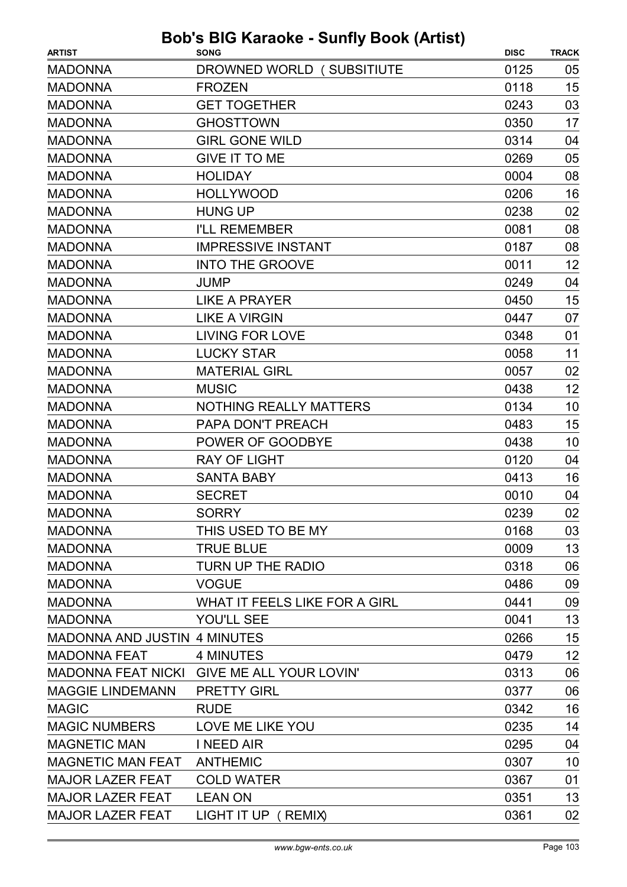|                                     | <b>Bob's BIG Karaoke - Sunfly Book (Artist)</b> |             |              |
|-------------------------------------|-------------------------------------------------|-------------|--------------|
| <b>ARTIST</b>                       | <b>SONG</b>                                     | <b>DISC</b> | <b>TRACK</b> |
| <b>MADONNA</b>                      | DROWNED WORLD (SUBSITIUTE                       | 0125        | 05           |
| <b>MADONNA</b>                      | <b>FROZEN</b>                                   | 0118        | 15           |
| <b>MADONNA</b>                      | <b>GET TOGETHER</b>                             | 0243        | 03           |
| <b>MADONNA</b>                      | <b>GHOSTTOWN</b>                                | 0350        | 17           |
| <b>MADONNA</b>                      | <b>GIRL GONE WILD</b>                           | 0314        | 04           |
| <b>MADONNA</b>                      | <b>GIVE IT TO ME</b>                            | 0269        | 05           |
| <b>MADONNA</b>                      | <b>HOLIDAY</b>                                  | 0004        | 08           |
| <b>MADONNA</b>                      | <b>HOLLYWOOD</b>                                | 0206        | 16           |
| <b>MADONNA</b>                      | <b>HUNG UP</b>                                  | 0238        | 02           |
| <b>MADONNA</b>                      | <b>I'LL REMEMBER</b>                            | 0081        | 08           |
| <b>MADONNA</b>                      | <b>IMPRESSIVE INSTANT</b>                       | 0187        | 08           |
| <b>MADONNA</b>                      | <b>INTO THE GROOVE</b>                          | 0011        | 12           |
| <b>MADONNA</b>                      | JUMP                                            | 0249        | 04           |
| <b>MADONNA</b>                      | <b>LIKE A PRAYER</b>                            | 0450        | 15           |
| <b>MADONNA</b>                      | <b>LIKE A VIRGIN</b>                            | 0447        | 07           |
| <b>MADONNA</b>                      | <b>LIVING FOR LOVE</b>                          | 0348        | 01           |
| <b>MADONNA</b>                      | <b>LUCKY STAR</b>                               | 0058        | 11           |
| <b>MADONNA</b>                      | <b>MATERIAL GIRL</b>                            | 0057        | 02           |
| <b>MADONNA</b>                      | <b>MUSIC</b>                                    | 0438        | 12           |
| <b>MADONNA</b>                      | <b>NOTHING REALLY MATTERS</b>                   | 0134        | 10           |
| <b>MADONNA</b>                      | PAPA DON'T PREACH                               | 0483        | 15           |
| <b>MADONNA</b>                      | POWER OF GOODBYE                                | 0438        | 10           |
| <b>MADONNA</b>                      | <b>RAY OF LIGHT</b>                             | 0120        | 04           |
| <b>MADONNA</b>                      | <b>SANTA BABY</b>                               | 0413        | 16           |
| <b>MADONNA</b>                      | <b>SECRET</b>                                   | 0010        | 04           |
| <b>MADONNA</b>                      | <b>SORRY</b>                                    | 0239        | 02           |
| <b>MADONNA</b>                      | THIS USED TO BE MY                              | 0168        | 03           |
| <b>MADONNA</b>                      | <b>TRUE BLUE</b>                                | 0009        | 13           |
| <b>MADONNA</b>                      | <b>TURN UP THE RADIO</b>                        | 0318        | 06           |
| <b>MADONNA</b>                      | <b>VOGUE</b>                                    | 0486        | 09           |
| <b>MADONNA</b>                      | WHAT IT FEELS LIKE FOR A GIRL                   | 0441        | 09           |
| <b>MADONNA</b>                      | YOU'LL SEE                                      | 0041        | 13           |
| <b>MADONNA AND JUSTIN 4 MINUTES</b> |                                                 | 0266        | 15           |
| <b>MADONNA FEAT</b>                 | 4 MINUTES                                       | 0479        | 12           |
|                                     | MADONNA FEAT NICKI GIVE ME ALL YOUR LOVIN'      | 0313        | 06           |
| <b>MAGGIE LINDEMANN</b>             | <b>PRETTY GIRL</b>                              | 0377        | 06           |
| <b>MAGIC</b>                        | <b>RUDE</b>                                     | 0342        | 16           |
| <b>MAGIC NUMBERS</b>                | LOVE ME LIKE YOU                                | 0235        | 14           |
| <b>MAGNETIC MAN</b>                 | I NEED AIR                                      | 0295        | 04           |
| <b>MAGNETIC MAN FEAT</b>            | <b>ANTHEMIC</b>                                 | 0307        | 10           |
| <b>MAJOR LAZER FEAT</b>             | <b>COLD WATER</b>                               | 0367        | 01           |
| <b>MAJOR LAZER FEAT</b>             | <b>LEAN ON</b>                                  | 0351        | 13           |
| <b>MAJOR LAZER FEAT</b>             | LIGHT IT UP ( REMIX)                            | 0361        | 02           |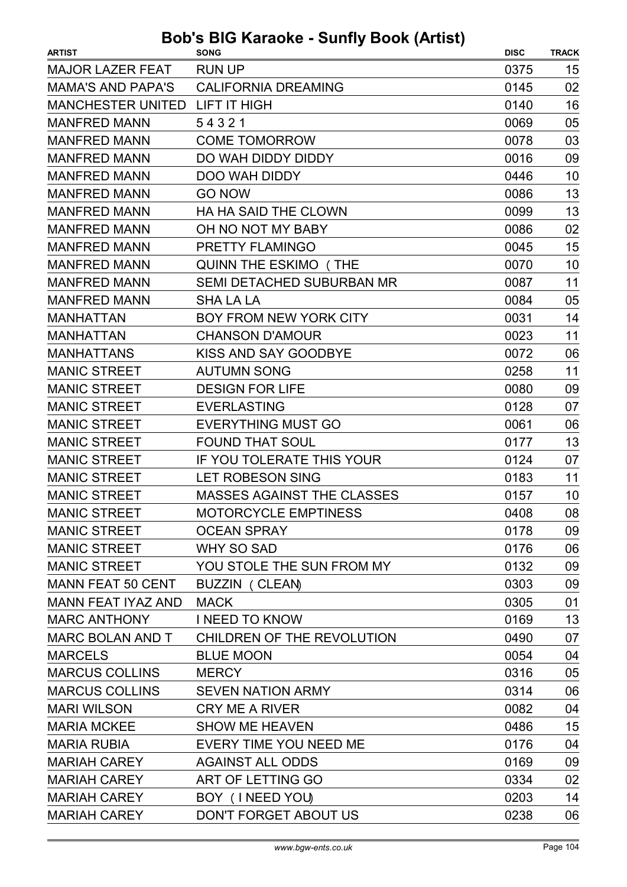| <b>RUN UP</b><br>0375<br><b>MAJOR LAZER FEAT</b><br>15<br><b>MAMA'S AND PAPA'S</b><br><b>CALIFORNIA DREAMING</b><br>02<br>0145<br>16<br><b>MANCHESTER UNITED</b><br>LIFT IT HIGH<br>0140<br>05<br><b>MANFRED MANN</b><br>54321<br>0069<br><b>MANFRED MANN</b><br><b>COME TOMORROW</b><br>0078<br>03<br><b>MANFRED MANN</b><br>DO WAH DIDDY DIDDY<br>0016<br>09<br><b>MANFRED MANN</b><br><b>DOO WAH DIDDY</b><br>10<br>0446<br>13<br><b>MANFRED MANN</b><br><b>GO NOW</b><br>0086<br>13<br><b>MANFRED MANN</b><br><b>HA HA SAID THE CLOWN</b><br>0099<br>02<br><b>MANFRED MANN</b><br>OH NO NOT MY BABY<br>0086<br><b>MANFRED MANN</b><br>15<br>PRETTY FLAMINGO<br>0045<br>10<br><b>MANFRED MANN</b><br><b>QUINN THE ESKIMO (THE</b><br>0070<br>11<br><b>MANFRED MANN</b><br><b>SEMI DETACHED SUBURBAN MR</b><br>0087<br><b>MANFRED MANN</b><br><b>SHA LA LA</b><br>0084<br>05<br>0031<br>14<br><b>MANHATTAN</b><br><b>BOY FROM NEW YORK CITY</b><br><b>MANHATTAN</b><br>11<br><b>CHANSON D'AMOUR</b><br>0023<br><b>MANHATTANS</b><br>KISS AND SAY GOODBYE<br>0072<br>06<br><b>MANIC STREET</b><br>11<br><b>AUTUMN SONG</b><br>0258<br><b>MANIC STREET</b><br><b>DESIGN FOR LIFE</b><br>0080<br>09<br><b>MANIC STREET</b><br>0128<br><b>EVERLASTING</b><br>07<br><b>MANIC STREET</b><br><b>EVERYTHING MUST GO</b><br>0061<br>06<br>13<br><b>MANIC STREET</b><br><b>FOUND THAT SOUL</b><br>0177<br><b>MANIC STREET</b><br>IF YOU TOLERATE THIS YOUR<br>0124<br>07<br>11<br><b>MANIC STREET</b><br><b>LET ROBESON SING</b><br>0183<br><b>MANIC STREET</b><br>10<br><b>MASSES AGAINST THE CLASSES</b><br>0157<br><b>MANIC STREET</b><br>MOTORCYCLE EMPTINESS<br>08<br>0408<br><b>MANIC STREET</b><br><b>OCEAN SPRAY</b><br>0178<br>09<br><b>MANIC STREET</b><br><b>WHY SO SAD</b><br>06<br>0176<br><b>MANIC STREET</b><br>YOU STOLE THE SUN FROM MY<br>09<br>0132<br><b>MANN FEAT 50 CENT</b><br><b>BUZZIN ( CLEAN)</b><br>0303<br>09<br><b>MANN FEAT IYAZ AND</b><br><b>MACK</b><br>0305<br>01<br>13<br><b>MARC ANTHONY</b><br><b>I NEED TO KNOW</b><br>0169 |
|------------------------------------------------------------------------------------------------------------------------------------------------------------------------------------------------------------------------------------------------------------------------------------------------------------------------------------------------------------------------------------------------------------------------------------------------------------------------------------------------------------------------------------------------------------------------------------------------------------------------------------------------------------------------------------------------------------------------------------------------------------------------------------------------------------------------------------------------------------------------------------------------------------------------------------------------------------------------------------------------------------------------------------------------------------------------------------------------------------------------------------------------------------------------------------------------------------------------------------------------------------------------------------------------------------------------------------------------------------------------------------------------------------------------------------------------------------------------------------------------------------------------------------------------------------------------------------------------------------------------------------------------------------------------------------------------------------------------------------------------------------------------------------------------------------------------------------------------------------------------------------------------------------------------------------------------------------------------------------------------------------------------------------------------------------|
|                                                                                                                                                                                                                                                                                                                                                                                                                                                                                                                                                                                                                                                                                                                                                                                                                                                                                                                                                                                                                                                                                                                                                                                                                                                                                                                                                                                                                                                                                                                                                                                                                                                                                                                                                                                                                                                                                                                                                                                                                                                            |
|                                                                                                                                                                                                                                                                                                                                                                                                                                                                                                                                                                                                                                                                                                                                                                                                                                                                                                                                                                                                                                                                                                                                                                                                                                                                                                                                                                                                                                                                                                                                                                                                                                                                                                                                                                                                                                                                                                                                                                                                                                                            |
|                                                                                                                                                                                                                                                                                                                                                                                                                                                                                                                                                                                                                                                                                                                                                                                                                                                                                                                                                                                                                                                                                                                                                                                                                                                                                                                                                                                                                                                                                                                                                                                                                                                                                                                                                                                                                                                                                                                                                                                                                                                            |
|                                                                                                                                                                                                                                                                                                                                                                                                                                                                                                                                                                                                                                                                                                                                                                                                                                                                                                                                                                                                                                                                                                                                                                                                                                                                                                                                                                                                                                                                                                                                                                                                                                                                                                                                                                                                                                                                                                                                                                                                                                                            |
|                                                                                                                                                                                                                                                                                                                                                                                                                                                                                                                                                                                                                                                                                                                                                                                                                                                                                                                                                                                                                                                                                                                                                                                                                                                                                                                                                                                                                                                                                                                                                                                                                                                                                                                                                                                                                                                                                                                                                                                                                                                            |
|                                                                                                                                                                                                                                                                                                                                                                                                                                                                                                                                                                                                                                                                                                                                                                                                                                                                                                                                                                                                                                                                                                                                                                                                                                                                                                                                                                                                                                                                                                                                                                                                                                                                                                                                                                                                                                                                                                                                                                                                                                                            |
|                                                                                                                                                                                                                                                                                                                                                                                                                                                                                                                                                                                                                                                                                                                                                                                                                                                                                                                                                                                                                                                                                                                                                                                                                                                                                                                                                                                                                                                                                                                                                                                                                                                                                                                                                                                                                                                                                                                                                                                                                                                            |
|                                                                                                                                                                                                                                                                                                                                                                                                                                                                                                                                                                                                                                                                                                                                                                                                                                                                                                                                                                                                                                                                                                                                                                                                                                                                                                                                                                                                                                                                                                                                                                                                                                                                                                                                                                                                                                                                                                                                                                                                                                                            |
|                                                                                                                                                                                                                                                                                                                                                                                                                                                                                                                                                                                                                                                                                                                                                                                                                                                                                                                                                                                                                                                                                                                                                                                                                                                                                                                                                                                                                                                                                                                                                                                                                                                                                                                                                                                                                                                                                                                                                                                                                                                            |
|                                                                                                                                                                                                                                                                                                                                                                                                                                                                                                                                                                                                                                                                                                                                                                                                                                                                                                                                                                                                                                                                                                                                                                                                                                                                                                                                                                                                                                                                                                                                                                                                                                                                                                                                                                                                                                                                                                                                                                                                                                                            |
|                                                                                                                                                                                                                                                                                                                                                                                                                                                                                                                                                                                                                                                                                                                                                                                                                                                                                                                                                                                                                                                                                                                                                                                                                                                                                                                                                                                                                                                                                                                                                                                                                                                                                                                                                                                                                                                                                                                                                                                                                                                            |
|                                                                                                                                                                                                                                                                                                                                                                                                                                                                                                                                                                                                                                                                                                                                                                                                                                                                                                                                                                                                                                                                                                                                                                                                                                                                                                                                                                                                                                                                                                                                                                                                                                                                                                                                                                                                                                                                                                                                                                                                                                                            |
|                                                                                                                                                                                                                                                                                                                                                                                                                                                                                                                                                                                                                                                                                                                                                                                                                                                                                                                                                                                                                                                                                                                                                                                                                                                                                                                                                                                                                                                                                                                                                                                                                                                                                                                                                                                                                                                                                                                                                                                                                                                            |
|                                                                                                                                                                                                                                                                                                                                                                                                                                                                                                                                                                                                                                                                                                                                                                                                                                                                                                                                                                                                                                                                                                                                                                                                                                                                                                                                                                                                                                                                                                                                                                                                                                                                                                                                                                                                                                                                                                                                                                                                                                                            |
|                                                                                                                                                                                                                                                                                                                                                                                                                                                                                                                                                                                                                                                                                                                                                                                                                                                                                                                                                                                                                                                                                                                                                                                                                                                                                                                                                                                                                                                                                                                                                                                                                                                                                                                                                                                                                                                                                                                                                                                                                                                            |
|                                                                                                                                                                                                                                                                                                                                                                                                                                                                                                                                                                                                                                                                                                                                                                                                                                                                                                                                                                                                                                                                                                                                                                                                                                                                                                                                                                                                                                                                                                                                                                                                                                                                                                                                                                                                                                                                                                                                                                                                                                                            |
|                                                                                                                                                                                                                                                                                                                                                                                                                                                                                                                                                                                                                                                                                                                                                                                                                                                                                                                                                                                                                                                                                                                                                                                                                                                                                                                                                                                                                                                                                                                                                                                                                                                                                                                                                                                                                                                                                                                                                                                                                                                            |
|                                                                                                                                                                                                                                                                                                                                                                                                                                                                                                                                                                                                                                                                                                                                                                                                                                                                                                                                                                                                                                                                                                                                                                                                                                                                                                                                                                                                                                                                                                                                                                                                                                                                                                                                                                                                                                                                                                                                                                                                                                                            |
|                                                                                                                                                                                                                                                                                                                                                                                                                                                                                                                                                                                                                                                                                                                                                                                                                                                                                                                                                                                                                                                                                                                                                                                                                                                                                                                                                                                                                                                                                                                                                                                                                                                                                                                                                                                                                                                                                                                                                                                                                                                            |
|                                                                                                                                                                                                                                                                                                                                                                                                                                                                                                                                                                                                                                                                                                                                                                                                                                                                                                                                                                                                                                                                                                                                                                                                                                                                                                                                                                                                                                                                                                                                                                                                                                                                                                                                                                                                                                                                                                                                                                                                                                                            |
|                                                                                                                                                                                                                                                                                                                                                                                                                                                                                                                                                                                                                                                                                                                                                                                                                                                                                                                                                                                                                                                                                                                                                                                                                                                                                                                                                                                                                                                                                                                                                                                                                                                                                                                                                                                                                                                                                                                                                                                                                                                            |
|                                                                                                                                                                                                                                                                                                                                                                                                                                                                                                                                                                                                                                                                                                                                                                                                                                                                                                                                                                                                                                                                                                                                                                                                                                                                                                                                                                                                                                                                                                                                                                                                                                                                                                                                                                                                                                                                                                                                                                                                                                                            |
|                                                                                                                                                                                                                                                                                                                                                                                                                                                                                                                                                                                                                                                                                                                                                                                                                                                                                                                                                                                                                                                                                                                                                                                                                                                                                                                                                                                                                                                                                                                                                                                                                                                                                                                                                                                                                                                                                                                                                                                                                                                            |
|                                                                                                                                                                                                                                                                                                                                                                                                                                                                                                                                                                                                                                                                                                                                                                                                                                                                                                                                                                                                                                                                                                                                                                                                                                                                                                                                                                                                                                                                                                                                                                                                                                                                                                                                                                                                                                                                                                                                                                                                                                                            |
|                                                                                                                                                                                                                                                                                                                                                                                                                                                                                                                                                                                                                                                                                                                                                                                                                                                                                                                                                                                                                                                                                                                                                                                                                                                                                                                                                                                                                                                                                                                                                                                                                                                                                                                                                                                                                                                                                                                                                                                                                                                            |
|                                                                                                                                                                                                                                                                                                                                                                                                                                                                                                                                                                                                                                                                                                                                                                                                                                                                                                                                                                                                                                                                                                                                                                                                                                                                                                                                                                                                                                                                                                                                                                                                                                                                                                                                                                                                                                                                                                                                                                                                                                                            |
|                                                                                                                                                                                                                                                                                                                                                                                                                                                                                                                                                                                                                                                                                                                                                                                                                                                                                                                                                                                                                                                                                                                                                                                                                                                                                                                                                                                                                                                                                                                                                                                                                                                                                                                                                                                                                                                                                                                                                                                                                                                            |
|                                                                                                                                                                                                                                                                                                                                                                                                                                                                                                                                                                                                                                                                                                                                                                                                                                                                                                                                                                                                                                                                                                                                                                                                                                                                                                                                                                                                                                                                                                                                                                                                                                                                                                                                                                                                                                                                                                                                                                                                                                                            |
|                                                                                                                                                                                                                                                                                                                                                                                                                                                                                                                                                                                                                                                                                                                                                                                                                                                                                                                                                                                                                                                                                                                                                                                                                                                                                                                                                                                                                                                                                                                                                                                                                                                                                                                                                                                                                                                                                                                                                                                                                                                            |
|                                                                                                                                                                                                                                                                                                                                                                                                                                                                                                                                                                                                                                                                                                                                                                                                                                                                                                                                                                                                                                                                                                                                                                                                                                                                                                                                                                                                                                                                                                                                                                                                                                                                                                                                                                                                                                                                                                                                                                                                                                                            |
|                                                                                                                                                                                                                                                                                                                                                                                                                                                                                                                                                                                                                                                                                                                                                                                                                                                                                                                                                                                                                                                                                                                                                                                                                                                                                                                                                                                                                                                                                                                                                                                                                                                                                                                                                                                                                                                                                                                                                                                                                                                            |
|                                                                                                                                                                                                                                                                                                                                                                                                                                                                                                                                                                                                                                                                                                                                                                                                                                                                                                                                                                                                                                                                                                                                                                                                                                                                                                                                                                                                                                                                                                                                                                                                                                                                                                                                                                                                                                                                                                                                                                                                                                                            |
| <b>MARC BOLAN AND T</b><br>CHILDREN OF THE REVOLUTION<br>07<br>0490                                                                                                                                                                                                                                                                                                                                                                                                                                                                                                                                                                                                                                                                                                                                                                                                                                                                                                                                                                                                                                                                                                                                                                                                                                                                                                                                                                                                                                                                                                                                                                                                                                                                                                                                                                                                                                                                                                                                                                                        |
| <b>MARCELS</b><br><b>BLUE MOON</b><br>04<br>0054                                                                                                                                                                                                                                                                                                                                                                                                                                                                                                                                                                                                                                                                                                                                                                                                                                                                                                                                                                                                                                                                                                                                                                                                                                                                                                                                                                                                                                                                                                                                                                                                                                                                                                                                                                                                                                                                                                                                                                                                           |
| <b>MARCUS COLLINS</b><br>0316<br>05<br><b>MERCY</b>                                                                                                                                                                                                                                                                                                                                                                                                                                                                                                                                                                                                                                                                                                                                                                                                                                                                                                                                                                                                                                                                                                                                                                                                                                                                                                                                                                                                                                                                                                                                                                                                                                                                                                                                                                                                                                                                                                                                                                                                        |
| 06<br><b>MARCUS COLLINS</b><br>0314<br><b>SEVEN NATION ARMY</b>                                                                                                                                                                                                                                                                                                                                                                                                                                                                                                                                                                                                                                                                                                                                                                                                                                                                                                                                                                                                                                                                                                                                                                                                                                                                                                                                                                                                                                                                                                                                                                                                                                                                                                                                                                                                                                                                                                                                                                                            |
| <b>MARI WILSON</b><br><b>CRY ME A RIVER</b><br>0082<br>04                                                                                                                                                                                                                                                                                                                                                                                                                                                                                                                                                                                                                                                                                                                                                                                                                                                                                                                                                                                                                                                                                                                                                                                                                                                                                                                                                                                                                                                                                                                                                                                                                                                                                                                                                                                                                                                                                                                                                                                                  |
| <b>MARIA MCKEE</b><br><b>SHOW ME HEAVEN</b><br>0486<br>15                                                                                                                                                                                                                                                                                                                                                                                                                                                                                                                                                                                                                                                                                                                                                                                                                                                                                                                                                                                                                                                                                                                                                                                                                                                                                                                                                                                                                                                                                                                                                                                                                                                                                                                                                                                                                                                                                                                                                                                                  |
| <b>MARIA RUBIA</b><br>EVERY TIME YOU NEED ME<br>04<br>0176                                                                                                                                                                                                                                                                                                                                                                                                                                                                                                                                                                                                                                                                                                                                                                                                                                                                                                                                                                                                                                                                                                                                                                                                                                                                                                                                                                                                                                                                                                                                                                                                                                                                                                                                                                                                                                                                                                                                                                                                 |
| 0169<br>09<br><b>MARIAH CAREY</b><br><b>AGAINST ALL ODDS</b>                                                                                                                                                                                                                                                                                                                                                                                                                                                                                                                                                                                                                                                                                                                                                                                                                                                                                                                                                                                                                                                                                                                                                                                                                                                                                                                                                                                                                                                                                                                                                                                                                                                                                                                                                                                                                                                                                                                                                                                               |
| <b>MARIAH CAREY</b><br>ART OF LETTING GO<br>0334<br>02                                                                                                                                                                                                                                                                                                                                                                                                                                                                                                                                                                                                                                                                                                                                                                                                                                                                                                                                                                                                                                                                                                                                                                                                                                                                                                                                                                                                                                                                                                                                                                                                                                                                                                                                                                                                                                                                                                                                                                                                     |
| <b>MARIAH CAREY</b><br>BOY (I NEED YOU)<br>0203<br>14                                                                                                                                                                                                                                                                                                                                                                                                                                                                                                                                                                                                                                                                                                                                                                                                                                                                                                                                                                                                                                                                                                                                                                                                                                                                                                                                                                                                                                                                                                                                                                                                                                                                                                                                                                                                                                                                                                                                                                                                      |
| DON'T FORGET ABOUT US<br>0238<br><b>MARIAH CAREY</b><br>06                                                                                                                                                                                                                                                                                                                                                                                                                                                                                                                                                                                                                                                                                                                                                                                                                                                                                                                                                                                                                                                                                                                                                                                                                                                                                                                                                                                                                                                                                                                                                                                                                                                                                                                                                                                                                                                                                                                                                                                                 |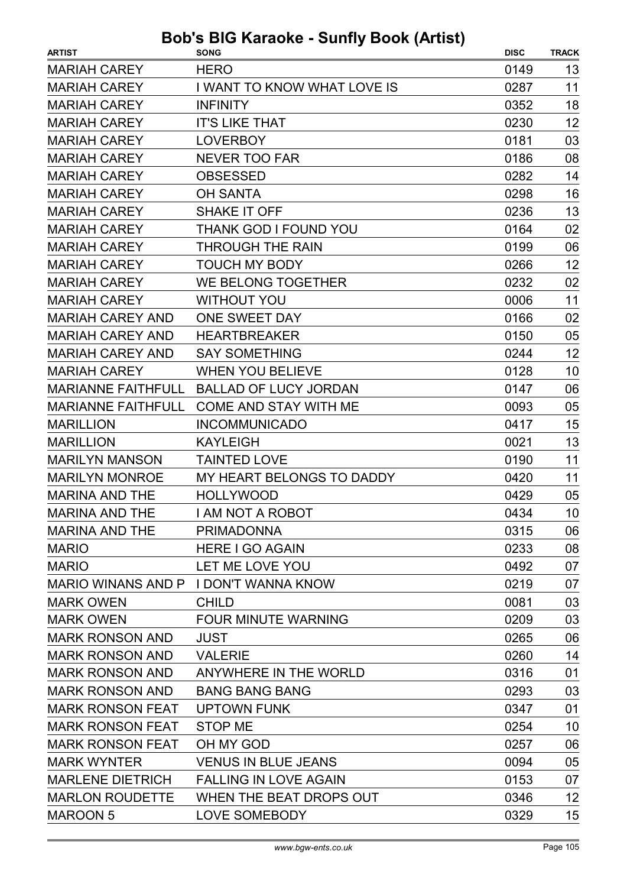| <b>ARTIST</b>             | <b>SONG</b>                           | <b>DISC</b> | <b>TRACK</b> |
|---------------------------|---------------------------------------|-------------|--------------|
| <b>MARIAH CAREY</b>       | <b>HERO</b>                           | 0149        | 13           |
| <b>MARIAH CAREY</b>       | I WANT TO KNOW WHAT LOVE IS           | 0287        | 11           |
| <b>MARIAH CAREY</b>       | <b>INFINITY</b>                       | 0352        | 18           |
| <b>MARIAH CAREY</b>       | <b>IT'S LIKE THAT</b>                 | 0230        | 12           |
| <b>MARIAH CAREY</b>       | <b>LOVERBOY</b>                       | 0181        | 03           |
| <b>MARIAH CAREY</b>       | <b>NEVER TOO FAR</b>                  | 0186        | 08           |
| <b>MARIAH CAREY</b>       | <b>OBSESSED</b>                       | 0282        | 14           |
| <b>MARIAH CAREY</b>       | <b>OH SANTA</b>                       | 0298        | 16           |
| <b>MARIAH CAREY</b>       | <b>SHAKE IT OFF</b>                   | 0236        | 13           |
| <b>MARIAH CAREY</b>       | <b>THANK GOD I FOUND YOU</b>          | 0164        | 02           |
| <b>MARIAH CAREY</b>       | <b>THROUGH THE RAIN</b>               | 0199        | 06           |
| <b>MARIAH CAREY</b>       | <b>TOUCH MY BODY</b>                  | 0266        | 12           |
| <b>MARIAH CAREY</b>       | WE BELONG TOGETHER                    | 0232        | 02           |
| <b>MARIAH CAREY</b>       | <b>WITHOUT YOU</b>                    | 0006        | 11           |
| <b>MARIAH CAREY AND</b>   | ONE SWEET DAY                         | 0166        | 02           |
| <b>MARIAH CAREY AND</b>   | <b>HEARTBREAKER</b>                   | 0150        | 05           |
| <b>MARIAH CAREY AND</b>   | <b>SAY SOMETHING</b>                  | 0244        | 12           |
| <b>MARIAH CAREY</b>       | <b>WHEN YOU BELIEVE</b>               | 0128        | 10           |
| <b>MARIANNE FAITHFULL</b> | <b>BALLAD OF LUCY JORDAN</b>          | 0147        | 06           |
| <b>MARIANNE FAITHFULL</b> | COME AND STAY WITH ME                 | 0093        | 05           |
| <b>MARILLION</b>          | <b>INCOMMUNICADO</b>                  | 0417        | 15           |
| <b>MARILLION</b>          | <b>KAYLEIGH</b>                       | 0021        | 13           |
| <b>MARILYN MANSON</b>     | <b>TAINTED LOVE</b>                   | 0190        | 11           |
| <b>MARILYN MONROE</b>     | MY HEART BELONGS TO DADDY             | 0420        | 11           |
| <b>MARINA AND THE</b>     | <b>HOLLYWOOD</b>                      | 0429        | 05           |
| <b>MARINA AND THE</b>     | <b>I AM NOT A ROBOT</b>               | 0434        | 10           |
| <b>MARINA AND THE</b>     | <b>PRIMADONNA</b>                     | 0315        | 06           |
| <b>MARIO</b>              | <b>HERE I GO AGAIN</b>                | 0233        | 08           |
| <b>MARIO</b>              | LET ME LOVE YOU                       | 0492        | 07           |
|                           | MARIO WINANS AND P I DON'T WANNA KNOW | 0219        | 07           |
| <b>MARK OWEN</b>          | <b>CHILD</b>                          | 0081        | 03           |
| <b>MARK OWEN</b>          | <b>FOUR MINUTE WARNING</b>            | 0209        | 03           |
| <b>MARK RONSON AND</b>    | <b>JUST</b>                           | 0265        | 06           |
| <b>MARK RONSON AND</b>    | <b>VALERIE</b>                        | 0260        | 14           |
| <b>MARK RONSON AND</b>    | ANYWHERE IN THE WORLD                 | 0316        | 01           |
| <b>MARK RONSON AND</b>    | <b>BANG BANG BANG</b>                 | 0293        | 03           |
| <b>MARK RONSON FEAT</b>   | <b>UPTOWN FUNK</b>                    | 0347        | 01           |
| <b>MARK RONSON FEAT</b>   | <b>STOP ME</b>                        | 0254        | 10           |
| <b>MARK RONSON FEAT</b>   | OH MY GOD                             | 0257        | 06           |
| <b>MARK WYNTER</b>        | <b>VENUS IN BLUE JEANS</b>            | 0094        | 05           |
| <b>MARLENE DIETRICH</b>   | <b>FALLING IN LOVE AGAIN</b>          | 0153        | 07           |
| <b>MARLON ROUDETTE</b>    | WHEN THE BEAT DROPS OUT               | 0346        | 12           |
| <b>MAROON 5</b>           | LOVE SOMEBODY                         | 0329        | 15           |
|                           |                                       |             |              |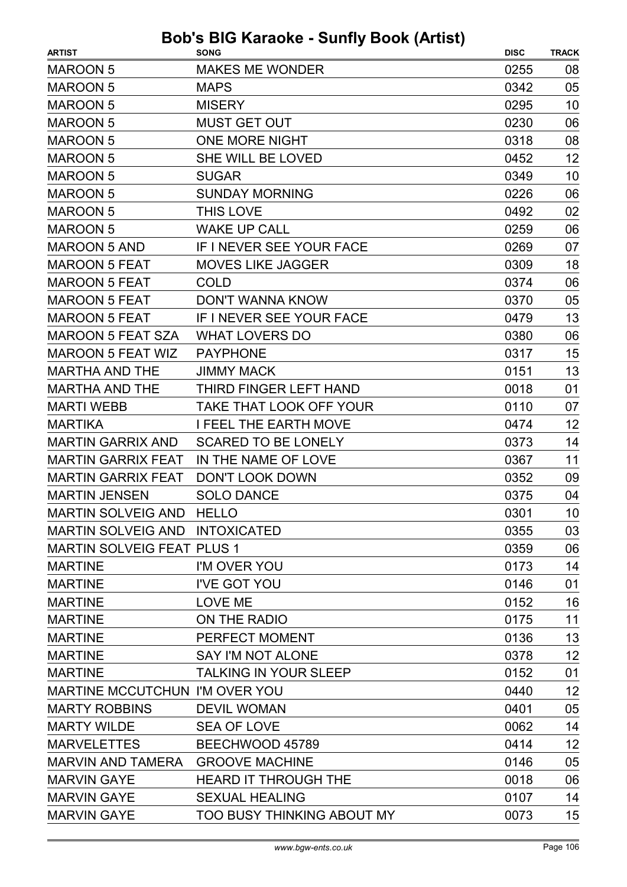| <b>ARTIST</b>                         | <b>SONG</b>                  | <b>DISC</b> | <b>TRACK</b> |
|---------------------------------------|------------------------------|-------------|--------------|
| <b>MAROON 5</b>                       | <b>MAKES ME WONDER</b>       | 0255        | 08           |
| <b>MAROON 5</b>                       | <b>MAPS</b>                  | 0342        | 05           |
| <b>MAROON 5</b>                       | <b>MISERY</b>                | 0295        | 10           |
|                                       | <b>MUST GET OUT</b>          | 0230        |              |
| <b>MAROON 5</b>                       |                              |             | 06           |
| <b>MAROON 5</b>                       | <b>ONE MORE NIGHT</b>        | 0318        | 08           |
| <b>MAROON 5</b>                       | SHE WILL BE LOVED            | 0452        | 12           |
| <b>MAROON 5</b>                       | <b>SUGAR</b>                 | 0349        | 10           |
| <b>MAROON 5</b>                       | <b>SUNDAY MORNING</b>        | 0226        | 06           |
| <b>MAROON 5</b>                       | <b>THIS LOVE</b>             | 0492        | 02           |
| <b>MAROON 5</b>                       | <b>WAKE UP CALL</b>          | 0259        | 06           |
| <b>MAROON 5 AND</b>                   | IF I NEVER SEE YOUR FACE     | 0269        | 07           |
| <b>MAROON 5 FEAT</b>                  | <b>MOVES LIKE JAGGER</b>     | 0309        | 18           |
| <b>MAROON 5 FEAT</b>                  | COLD                         | 0374        | 06           |
| <b>MAROON 5 FEAT</b>                  | <b>DON'T WANNA KNOW</b>      | 0370        | 05           |
| <b>MAROON 5 FEAT</b>                  | IF I NEVER SEE YOUR FACE     | 0479        | 13           |
| <b>MAROON 5 FEAT SZA</b>              | <b>WHAT LOVERS DO</b>        | 0380        | 06           |
| <b>MAROON 5 FEAT WIZ</b>              | <b>PAYPHONE</b>              | 0317        | 15           |
| <b>MARTHA AND THE</b>                 | <b>JIMMY MACK</b>            | 0151        | 13           |
| <b>MARTHA AND THE</b>                 | THIRD FINGER LEFT HAND       | 0018        | 01           |
| <b>MARTI WEBB</b>                     | TAKE THAT LOOK OFF YOUR      | 0110        | 07           |
| <b>MARTIKA</b>                        | <b>I FEEL THE EARTH MOVE</b> | 0474        | 12           |
| <b>MARTIN GARRIX AND</b>              | <b>SCARED TO BE LONELY</b>   | 0373        | 14           |
| <b>MARTIN GARRIX FEAT</b>             | IN THE NAME OF LOVE          | 0367        | 11           |
| <b>MARTIN GARRIX FEAT</b>             | <b>DON'T LOOK DOWN</b>       | 0352        | 09           |
| <b>MARTIN JENSEN</b>                  | <b>SOLO DANCE</b>            | 0375        | 04           |
| MARTIN SOLVEIG AND HELLO              |                              | 0301        | 10           |
| MARTIN SOLVEIG AND INTOXICATED        |                              | 0355        | 03           |
| <b>MARTIN SOLVEIG FEAT PLUS 1</b>     |                              | 0359        | 06           |
| <b>MARTINE</b>                        | I'M OVER YOU                 | 0173        | 14           |
| <b>MARTINE</b>                        | I'VE GOT YOU                 | 0146        | 01           |
| <b>MARTINE</b>                        | <b>LOVE ME</b>               | 0152        | 16           |
| <b>MARTINE</b>                        | ON THE RADIO                 | 0175        | 11           |
| <b>MARTINE</b>                        | PERFECT MOMENT               | 0136        | 13           |
| <b>MARTINE</b>                        | <b>SAY I'M NOT ALONE</b>     | 0378        | 12           |
| <b>MARTINE</b>                        | <b>TALKING IN YOUR SLEEP</b> | 0152        | 01           |
| <b>MARTINE MCCUTCHUN I'M OVER YOU</b> |                              | 0440        | 12           |
| <b>MARTY ROBBINS</b>                  | <b>DEVIL WOMAN</b>           | 0401        | 05           |
| <b>MARTY WILDE</b>                    | <b>SEA OF LOVE</b>           | 0062        | 14           |
| <b>MARVELETTES</b>                    | BEECHWOOD 45789              | 0414        | 12           |
| <b>MARVIN AND TAMERA</b>              | <b>GROOVE MACHINE</b>        | 0146        | 05           |
| <b>MARVIN GAYE</b>                    | <b>HEARD IT THROUGH THE</b>  | 0018        | 06           |
| <b>MARVIN GAYE</b>                    | <b>SEXUAL HEALING</b>        | 0107        | 14           |
| <b>MARVIN GAYE</b>                    | TOO BUSY THINKING ABOUT MY   | 0073        | 15           |
|                                       |                              |             |              |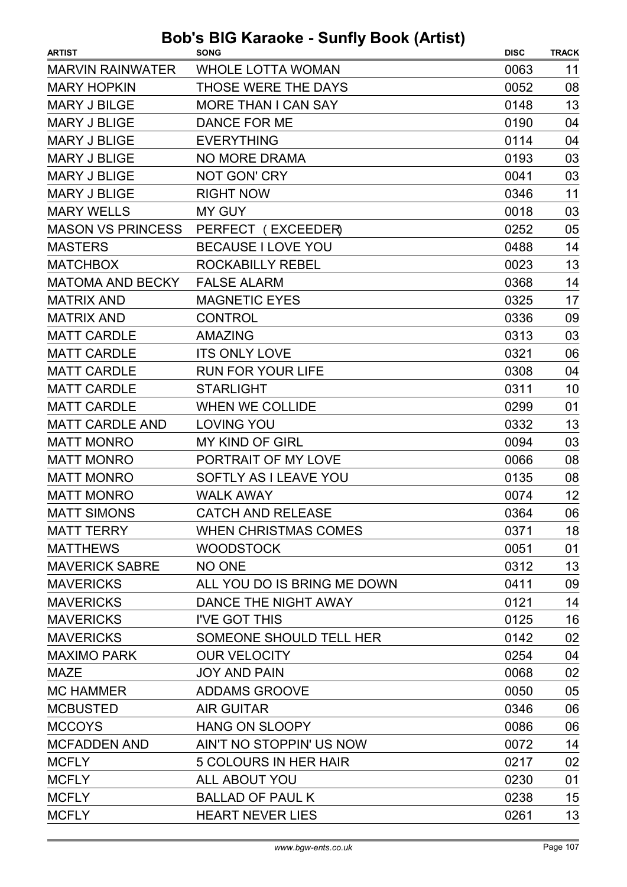| <b>ARTIST</b>            | <b>SONG</b>                 | <b>DISC</b> | <b>TRACK</b> |
|--------------------------|-----------------------------|-------------|--------------|
| <b>MARVIN RAINWATER</b>  | <b>WHOLE LOTTA WOMAN</b>    | 0063        | 11           |
| <b>MARY HOPKIN</b>       | THOSE WERE THE DAYS         | 0052        | 08           |
| <b>MARY J BILGE</b>      | <b>MORE THAN I CAN SAY</b>  | 0148        | 13           |
| <b>MARY J BLIGE</b>      | <b>DANCE FOR ME</b>         | 0190        | 04           |
| <b>MARY J BLIGE</b>      | <b>EVERYTHING</b>           | 0114        | 04           |
| <b>MARY J BLIGE</b>      | <b>NO MORE DRAMA</b>        | 0193        | 03           |
| <b>MARY J BLIGE</b>      | <b>NOT GON' CRY</b>         | 0041        | 03           |
| <b>MARY J BLIGE</b>      | <b>RIGHT NOW</b>            | 0346        | 11           |
| <b>MARY WELLS</b>        | <b>MY GUY</b>               | 0018        | 03           |
| <b>MASON VS PRINCESS</b> | PERFECT (EXCEEDER)          | 0252        | 05           |
| <b>MASTERS</b>           | BECAUSE I LOVE YOU          | 0488        | 14           |
| <b>MATCHBOX</b>          | ROCKABILLY REBEL            | 0023        | 13           |
| <b>MATOMA AND BECKY</b>  | <b>FALSE ALARM</b>          | 0368        | 14           |
| <b>MATRIX AND</b>        | <b>MAGNETIC EYES</b>        | 0325        | 17           |
| <b>MATRIX AND</b>        | <b>CONTROL</b>              | 0336        | 09           |
| <b>MATT CARDLE</b>       | <b>AMAZING</b>              | 0313        | 03           |
| <b>MATT CARDLE</b>       | <b>ITS ONLY LOVE</b>        | 0321        | 06           |
| <b>MATT CARDLE</b>       | <b>RUN FOR YOUR LIFE</b>    | 0308        | 04           |
| <b>MATT CARDLE</b>       | <b>STARLIGHT</b>            | 0311        | 10           |
| <b>MATT CARDLE</b>       | <b>WHEN WE COLLIDE</b>      | 0299        | 01           |
| <b>MATT CARDLE AND</b>   | <b>LOVING YOU</b>           | 0332        | 13           |
| <b>MATT MONRO</b>        | <b>MY KIND OF GIRL</b>      | 0094        | 03           |
| <b>MATT MONRO</b>        | PORTRAIT OF MY LOVE         | 0066        | 08           |
| <b>MATT MONRO</b>        | SOFTLY AS I LEAVE YOU       | 0135        | 08           |
| <b>MATT MONRO</b>        | <b>WALK AWAY</b>            | 0074        | 12           |
| <b>MATT SIMONS</b>       | <b>CATCH AND RELEASE</b>    | 0364        | 06           |
| <b>MATT TERRY</b>        | <b>WHEN CHRISTMAS COMES</b> | 0371        | 18           |
| <b>MATTHEWS</b>          | <b>WOODSTOCK</b>            | 0051        | 01           |
| <b>MAVERICK SABRE</b>    | NO ONE                      | 0312        | 13           |
| <b>MAVERICKS</b>         | ALL YOU DO IS BRING ME DOWN | 0411        | 09           |
| <b>MAVERICKS</b>         | DANCE THE NIGHT AWAY        | 0121        | 14           |
| <b>MAVERICKS</b>         | I'VE GOT THIS               | 0125        | 16           |
| <b>MAVERICKS</b>         | SOMEONE SHOULD TELL HER     | 0142        | 02           |
| <b>MAXIMO PARK</b>       | <b>OUR VELOCITY</b>         | 0254        | 04           |
| <b>MAZE</b>              | <b>JOY AND PAIN</b>         | 0068        | 02           |
| <b>MC HAMMER</b>         | <b>ADDAMS GROOVE</b>        | 0050        | 05           |
| <b>MCBUSTED</b>          | <b>AIR GUITAR</b>           | 0346        | 06           |
| <b>MCCOYS</b>            | <b>HANG ON SLOOPY</b>       | 0086        | 06           |
| <b>MCFADDEN AND</b>      | AIN'T NO STOPPIN' US NOW    | 0072        | 14           |
| <b>MCFLY</b>             | 5 COLOURS IN HER HAIR       | 0217        | 02           |
| <b>MCFLY</b>             | ALL ABOUT YOU               | 0230        | 01           |
| <b>MCFLY</b>             | <b>BALLAD OF PAUL K</b>     | 0238        | 15           |
| <b>MCFLY</b>             | <b>HEART NEVER LIES</b>     | 0261        | 13           |
|                          |                             |             |              |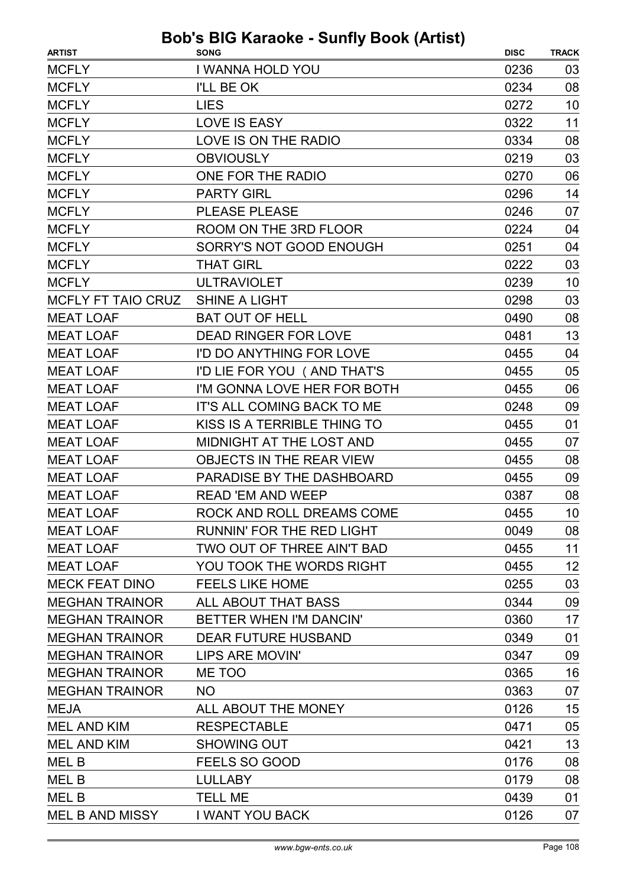| <b>ARTIST</b>          | <b>SONG</b>                      | <b>DISC</b> | <b>TRACK</b> |
|------------------------|----------------------------------|-------------|--------------|
| <b>MCFLY</b>           | I WANNA HOLD YOU                 | 0236        | 03           |
| <b>MCFLY</b>           | I'LL BE OK                       | 0234        | 08           |
| <b>MCFLY</b>           | <b>LIES</b>                      | 0272        | 10           |
| <b>MCFLY</b>           | <b>LOVE IS EASY</b>              | 0322        | 11           |
| <b>MCFLY</b>           | LOVE IS ON THE RADIO             | 0334        | 08           |
| <b>MCFLY</b>           | <b>OBVIOUSLY</b>                 | 0219        | 03           |
| <b>MCFLY</b>           | ONE FOR THE RADIO                | 0270        | 06           |
| <b>MCFLY</b>           | <b>PARTY GIRL</b>                | 0296        | 14           |
| <b>MCFLY</b>           | <b>PLEASE PLEASE</b>             | 0246        | 07           |
| <b>MCFLY</b>           | ROOM ON THE 3RD FLOOR            | 0224        | 04           |
| <b>MCFLY</b>           | SORRY'S NOT GOOD ENOUGH          | 0251        | 04           |
| <b>MCFLY</b>           | <b>THAT GIRL</b>                 | 0222        | 03           |
| <b>MCFLY</b>           | <b>ULTRAVIOLET</b>               | 0239        | 10           |
| MCFLY FT TAIO CRUZ     | <b>SHINE A LIGHT</b>             | 0298        | 03           |
| <b>MEAT LOAF</b>       | <b>BAT OUT OF HELL</b>           | 0490        | 08           |
| <b>MEAT LOAF</b>       | <b>DEAD RINGER FOR LOVE</b>      | 0481        | 13           |
| <b>MEAT LOAF</b>       | I'D DO ANYTHING FOR LOVE         | 0455        | 04           |
| <b>MEAT LOAF</b>       | I'D LIE FOR YOU (AND THAT'S      | 0455        | 05           |
| <b>MEAT LOAF</b>       | I'M GONNA LOVE HER FOR BOTH      | 0455        | 06           |
| <b>MEAT LOAF</b>       | IT'S ALL COMING BACK TO ME       | 0248        | 09           |
| <b>MEAT LOAF</b>       | KISS IS A TERRIBLE THING TO      | 0455        | 01           |
| <b>MEAT LOAF</b>       | MIDNIGHT AT THE LOST AND         | 0455        | 07           |
| <b>MEAT LOAF</b>       | OBJECTS IN THE REAR VIEW         | 0455        | 08           |
| <b>MEAT LOAF</b>       | PARADISE BY THE DASHBOARD        | 0455        | 09           |
| <b>MEAT LOAF</b>       | <b>READ 'EM AND WEEP</b>         | 0387        | 08           |
| <b>MEAT LOAF</b>       | ROCK AND ROLL DREAMS COME        | 0455        | 10           |
| <b>MEAT LOAF</b>       | <b>RUNNIN' FOR THE RED LIGHT</b> | 0049        | 08           |
| <b>MEAT LOAF</b>       | TWO OUT OF THREE AIN'T BAD       | 0455        | 11           |
| <b>MEAT LOAF</b>       | YOU TOOK THE WORDS RIGHT         | 0455        | 12           |
| <b>MECK FEAT DINO</b>  | <b>FEELS LIKE HOME</b>           | 0255        | 03           |
| <b>MEGHAN TRAINOR</b>  | ALL ABOUT THAT BASS              | 0344        | 09           |
| <b>MEGHAN TRAINOR</b>  | BETTER WHEN I'M DANCIN'          | 0360        | 17           |
| <b>MEGHAN TRAINOR</b>  | <b>DEAR FUTURE HUSBAND</b>       | 0349        | 01           |
| <b>MEGHAN TRAINOR</b>  | LIPS ARE MOVIN'                  | 0347        | 09           |
| <b>MEGHAN TRAINOR</b>  | ME TOO                           | 0365        | 16           |
| <b>MEGHAN TRAINOR</b>  | <b>NO</b>                        | 0363        | 07           |
| <b>MEJA</b>            | ALL ABOUT THE MONEY              | 0126        | 15           |
| <b>MEL AND KIM</b>     | <b>RESPECTABLE</b>               | 0471        | 05           |
| <b>MEL AND KIM</b>     | <b>SHOWING OUT</b>               | 0421        | 13           |
| MEL B                  | FEELS SO GOOD                    | 0176        | 08           |
| MEL B                  | <b>LULLABY</b>                   | 0179        | 08           |
| <b>MELB</b>            | <b>TELL ME</b>                   | 0439        | 01           |
| <b>MEL B AND MISSY</b> | <b>I WANT YOU BACK</b>           | 0126        | 07           |
|                        |                                  |             |              |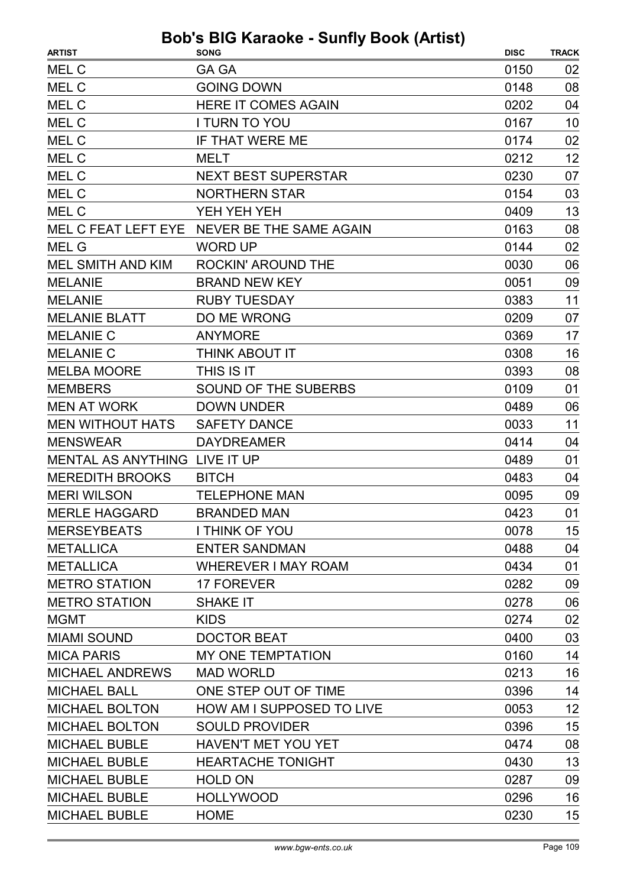| <b>ARTIST</b>                 | <b>SONG</b>                                 | <b>DISC</b> | <b>TRACK</b> |
|-------------------------------|---------------------------------------------|-------------|--------------|
| MEL C                         | <b>GA GA</b>                                | 0150        | 02           |
| MEL C                         | <b>GOING DOWN</b>                           | 0148        | 08           |
| MEL C                         | <b>HERE IT COMES AGAIN</b>                  | 0202        | 04           |
| MEL C                         | <b>I TURN TO YOU</b>                        | 0167        | 10           |
| MEL C                         | IF THAT WERE ME                             | 0174        | 02           |
| MEL C                         | <b>MELT</b>                                 | 0212        | 12           |
| MEL C                         | <b>NEXT BEST SUPERSTAR</b>                  | 0230        | 07           |
| MEL C                         | <b>NORTHERN STAR</b>                        | 0154        | 03           |
| MEL C                         | YEH YEH YEH                                 | 0409        | 13           |
|                               | MEL C FEAT LEFT EYE NEVER BE THE SAME AGAIN | 0163        | 08           |
| <b>MEL G</b>                  | <b>WORD UP</b>                              | 0144        | 02           |
| <b>MEL SMITH AND KIM</b>      | <b>ROCKIN' AROUND THE</b>                   | 0030        | 06           |
| <b>MELANIE</b>                | <b>BRAND NEW KEY</b>                        | 0051        | 09           |
| <b>MELANIE</b>                | <b>RUBY TUESDAY</b>                         | 0383        | 11           |
| <b>MELANIE BLATT</b>          | DO ME WRONG                                 | 0209        | 07           |
| <b>MELANIE C</b>              | <b>ANYMORE</b>                              | 0369        | 17           |
| <b>MELANIE C</b>              | THINK ABOUT IT                              | 0308        | 16           |
| <b>MELBA MOORE</b>            | THIS IS IT                                  | 0393        | 08           |
| <b>MEMBERS</b>                | <b>SOUND OF THE SUBERBS</b>                 | 0109        | 01           |
| <b>MEN AT WORK</b>            | <b>DOWN UNDER</b>                           | 0489        | 06           |
| <b>MEN WITHOUT HATS</b>       | <b>SAFETY DANCE</b>                         | 0033        | 11           |
| <b>MENSWEAR</b>               | <b>DAYDREAMER</b>                           | 0414        | 04           |
| MENTAL AS ANYTHING LIVE IT UP |                                             | 0489        | 01           |
| <b>MEREDITH BROOKS</b>        | <b>BITCH</b>                                | 0483        | 04           |
| <b>MERI WILSON</b>            | <b>TELEPHONE MAN</b>                        | 0095        | 09           |
| <b>MERLE HAGGARD</b>          | <b>BRANDED MAN</b>                          | 0423        | 01           |
| <b>MERSEYBEATS</b>            | I THINK OF YOU                              | 0078        | 15           |
| <b>METALLICA</b>              | <b>ENTER SANDMAN</b>                        | 0488        | 04           |
| <b>METALLICA</b>              | <b>WHEREVER I MAY ROAM</b>                  | 0434        | 01           |
| <b>METRO STATION</b>          | <b>17 FOREVER</b>                           | 0282        | 09           |
| <b>METRO STATION</b>          | <b>SHAKE IT</b>                             | 0278        | 06           |
| <b>MGMT</b>                   | <b>KIDS</b>                                 | 0274        | 02           |
| <b>MIAMI SOUND</b>            | <b>DOCTOR BEAT</b>                          | 0400        | 03           |
| <b>MICA PARIS</b>             | <b>MY ONE TEMPTATION</b>                    | 0160        | 14           |
| <b>MICHAEL ANDREWS</b>        | <b>MAD WORLD</b>                            | 0213        | 16           |
| <b>MICHAEL BALL</b>           | ONE STEP OUT OF TIME                        | 0396        | 14           |
| <b>MICHAEL BOLTON</b>         | HOW AM I SUPPOSED TO LIVE                   | 0053        | 12           |
| <b>MICHAEL BOLTON</b>         | <b>SOULD PROVIDER</b>                       | 0396        | 15           |
| <b>MICHAEL BUBLE</b>          | <b>HAVEN'T MET YOU YET</b>                  | 0474        | 08           |
| <b>MICHAEL BUBLE</b>          | <b>HEARTACHE TONIGHT</b>                    | 0430        | 13           |
| <b>MICHAEL BUBLE</b>          | <b>HOLD ON</b>                              | 0287        | 09           |
| <b>MICHAEL BUBLE</b>          | <b>HOLLYWOOD</b>                            | 0296        | 16           |
| <b>MICHAEL BUBLE</b>          | <b>HOME</b>                                 | 0230        | 15           |
|                               |                                             |             |              |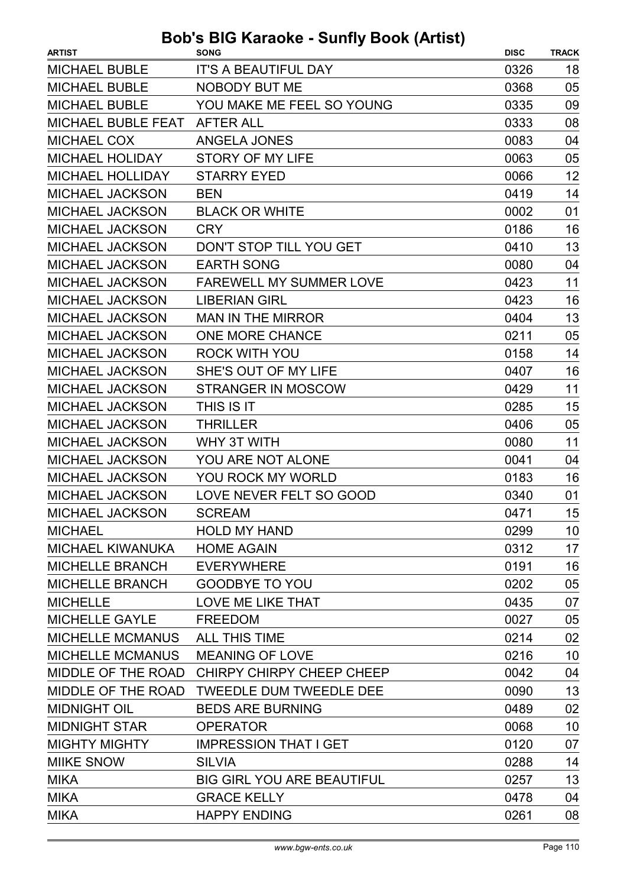| <b>ARTIST</b>                  | <b>SONG</b>                                  | <b>DISC</b> | <b>TRACK</b> |
|--------------------------------|----------------------------------------------|-------------|--------------|
| <b>MICHAEL BUBLE</b>           | <b>IT'S A BEAUTIFUL DAY</b>                  | 0326        | 18           |
| <b>MICHAEL BUBLE</b>           | <b>NOBODY BUT ME</b>                         | 0368        | 05           |
| <b>MICHAEL BUBLE</b>           | YOU MAKE ME FEEL SO YOUNG                    | 0335        | 09           |
| MICHAEL BUBLE FEAT             | <b>AFTER ALL</b>                             | 0333        | 08           |
| <b>MICHAEL COX</b>             | <b>ANGELA JONES</b>                          | 0083        | 04           |
| <b>MICHAEL HOLIDAY</b>         | STORY OF MY LIFE                             | 0063        | 05           |
| <b>MICHAEL HOLLIDAY</b>        | <b>STARRY EYED</b>                           | 0066        | 12           |
| <b>MICHAEL JACKSON</b>         | <b>BEN</b>                                   | 0419        | 14           |
| <b>MICHAEL JACKSON</b>         | <b>BLACK OR WHITE</b>                        | 0002        | 01           |
| <b>MICHAEL JACKSON</b>         | <b>CRY</b>                                   | 0186        | 16           |
| <b>MICHAEL JACKSON</b>         | DON'T STOP TILL YOU GET                      | 0410        | 13           |
| <b>MICHAEL JACKSON</b>         | <b>EARTH SONG</b>                            | 0080        | 04           |
| <b>MICHAEL JACKSON</b>         | <b>FAREWELL MY SUMMER LOVE</b>               | 0423        | 11           |
| <b>MICHAEL JACKSON</b>         | <b>LIBERIAN GIRL</b>                         | 0423        | 16           |
| <b>MICHAEL JACKSON</b>         | <b>MAN IN THE MIRROR</b>                     | 0404        | 13           |
| <b>MICHAEL JACKSON</b>         | <b>ONE MORE CHANCE</b>                       | 0211        | 05           |
| <b>MICHAEL JACKSON</b>         | ROCK WITH YOU                                | 0158        | 14           |
| MICHAEL JACKSON                | SHE'S OUT OF MY LIFE                         | 0407        | 16           |
| <b>MICHAEL JACKSON</b>         | <b>STRANGER IN MOSCOW</b>                    | 0429        | 11           |
| <b>MICHAEL JACKSON</b>         | THIS IS IT                                   | 0285        | 15           |
| MICHAEL JACKSON                | <b>THRILLER</b>                              | 0406        | 05           |
| <b>MICHAEL JACKSON</b>         | WHY 3T WITH                                  | 0080        | 11           |
| MICHAEL JACKSON                | YOU ARE NOT ALONE                            | 0041        | 04           |
| <b>MICHAEL JACKSON</b>         | YOU ROCK MY WORLD                            | 0183        | 16           |
| <b>MICHAEL JACKSON</b>         | LOVE NEVER FELT SO GOOD                      | 0340        | 01           |
| <b>MICHAEL JACKSON</b>         | <b>SCREAM</b>                                | 0471        | 15           |
| <b>MICHAEL</b>                 | <b>HOLD MY HAND</b>                          | 0299        | 10           |
| MICHAEL KIWANUKA               | <b>HOME AGAIN</b>                            | 0312        | 17           |
| <b>MICHELLE BRANCH</b>         | <b>EVERYWHERE</b>                            | 0191        | 16           |
| <b>MICHELLE BRANCH</b>         | <b>GOODBYE TO YOU</b>                        | 0202        | 05           |
| <b>MICHELLE</b>                | LOVE ME LIKE THAT                            | 0435        | 07           |
| <b>MICHELLE GAYLE</b>          | <b>FREEDOM</b>                               | 0027        | 05           |
| MICHELLE MCMANUS ALL THIS TIME |                                              | 0214        | 02           |
| MICHELLE MCMANUS               | <b>MEANING OF LOVE</b>                       | 0216        | 10           |
|                                | MIDDLE OF THE ROAD CHIRPY CHIRPY CHEEP CHEEP | 0042        | 04           |
|                                | MIDDLE OF THE ROAD TWEEDLE DUM TWEEDLE DEE   | 0090        | 13           |
| <b>MIDNIGHT OIL</b>            | <b>BEDS ARE BURNING</b>                      | 0489        | 02           |
| <b>MIDNIGHT STAR</b>           | <b>OPERATOR</b>                              | 0068        | 10           |
| <b>MIGHTY MIGHTY</b>           | <b>IMPRESSION THAT I GET</b>                 | 0120        | 07           |
| <b>MIIKE SNOW</b>              | <b>SILVIA</b>                                | 0288        | 14           |
| <b>MIKA</b>                    | <b>BIG GIRL YOU ARE BEAUTIFUL</b>            | 0257        | 13           |
| <b>MIKA</b>                    | <b>GRACE KELLY</b>                           | 0478        | 04           |
| <b>MIKA</b>                    | <b>HAPPY ENDING</b>                          | 0261        | 08           |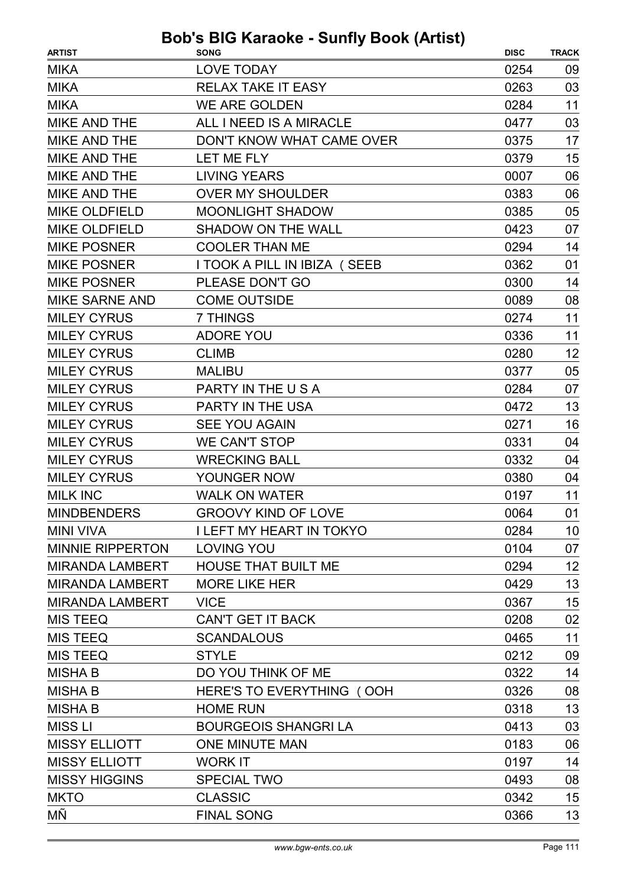| <b>LOVE TODAY</b><br>0254<br>09<br>03<br><b>RELAX TAKE IT EASY</b><br>0263<br>0284<br>11<br><b>WE ARE GOLDEN</b><br>03<br>ALL I NEED IS A MIRACLE<br>0477<br>DON'T KNOW WHAT CAME OVER<br>0375<br>17<br><b>LET ME FLY</b><br>0379<br>15<br>06<br><b>LIVING YEARS</b><br>0007<br>06<br><b>OVER MY SHOULDER</b><br>0383<br>05<br><b>MOONLIGHT SHADOW</b><br>0385<br><b>SHADOW ON THE WALL</b><br>0423<br>07<br><b>COOLER THAN ME</b><br>0294<br>14<br>I TOOK A PILL IN IBIZA (SEEB<br>0362<br>01<br>14<br>PLEASE DON'T GO<br>0300<br>08<br><b>COME OUTSIDE</b><br>0089<br>7 THINGS<br>11<br>0274<br>11<br><b>ADORE YOU</b><br>0336<br>12<br><b>CLIMB</b><br>0280<br>05<br><b>MALIBU</b><br>0377<br>07<br>PARTY IN THE USA<br>0284<br>13<br>PARTY IN THE USA<br>0472<br>16<br><b>SEE YOU AGAIN</b><br>0271<br><b>WE CAN'T STOP</b><br>0331<br>04<br><b>WRECKING BALL</b><br>0332<br>04<br>04<br>YOUNGER NOW<br>0380<br><b>WALK ON WATER</b><br>11<br>0197<br><b>GROOVY KIND OF LOVE</b><br>0064<br>01<br><b>I LEFT MY HEART IN TOKYO</b><br>0284<br>10<br><b>LOVING YOU</b><br>0104<br>07<br><b>HOUSE THAT BUILT ME</b><br>0294<br>12<br>13<br><b>MORE LIKE HER</b><br>0429<br>15<br><b>VICE</b><br>0367<br>0208<br>02<br><b>CAN'T GET IT BACK</b><br>11<br><b>SCANDALOUS</b><br>0465<br><b>STYLE</b><br>0212<br>09<br>14<br>DO YOU THINK OF ME<br>0322<br>08<br>HERE'S TO EVERYTHING (OOH<br>0326<br><b>HOME RUN</b><br>0318<br>13 | <b>ARTIST</b>          | <b>SONG</b>                 | <b>DISC</b> | <b>TRACK</b> |
|----------------------------------------------------------------------------------------------------------------------------------------------------------------------------------------------------------------------------------------------------------------------------------------------------------------------------------------------------------------------------------------------------------------------------------------------------------------------------------------------------------------------------------------------------------------------------------------------------------------------------------------------------------------------------------------------------------------------------------------------------------------------------------------------------------------------------------------------------------------------------------------------------------------------------------------------------------------------------------------------------------------------------------------------------------------------------------------------------------------------------------------------------------------------------------------------------------------------------------------------------------------------------------------------------------------------------------------------------------------------------------------------------------------------------------|------------------------|-----------------------------|-------------|--------------|
|                                                                                                                                                                                                                                                                                                                                                                                                                                                                                                                                                                                                                                                                                                                                                                                                                                                                                                                                                                                                                                                                                                                                                                                                                                                                                                                                                                                                                                  | <b>MIKA</b>            |                             |             |              |
|                                                                                                                                                                                                                                                                                                                                                                                                                                                                                                                                                                                                                                                                                                                                                                                                                                                                                                                                                                                                                                                                                                                                                                                                                                                                                                                                                                                                                                  | <b>MIKA</b>            |                             |             |              |
|                                                                                                                                                                                                                                                                                                                                                                                                                                                                                                                                                                                                                                                                                                                                                                                                                                                                                                                                                                                                                                                                                                                                                                                                                                                                                                                                                                                                                                  | <b>MIKA</b>            |                             |             |              |
|                                                                                                                                                                                                                                                                                                                                                                                                                                                                                                                                                                                                                                                                                                                                                                                                                                                                                                                                                                                                                                                                                                                                                                                                                                                                                                                                                                                                                                  | <b>MIKE AND THE</b>    |                             |             |              |
|                                                                                                                                                                                                                                                                                                                                                                                                                                                                                                                                                                                                                                                                                                                                                                                                                                                                                                                                                                                                                                                                                                                                                                                                                                                                                                                                                                                                                                  | <b>MIKE AND THE</b>    |                             |             |              |
|                                                                                                                                                                                                                                                                                                                                                                                                                                                                                                                                                                                                                                                                                                                                                                                                                                                                                                                                                                                                                                                                                                                                                                                                                                                                                                                                                                                                                                  | <b>MIKE AND THE</b>    |                             |             |              |
|                                                                                                                                                                                                                                                                                                                                                                                                                                                                                                                                                                                                                                                                                                                                                                                                                                                                                                                                                                                                                                                                                                                                                                                                                                                                                                                                                                                                                                  | <b>MIKE AND THE</b>    |                             |             |              |
|                                                                                                                                                                                                                                                                                                                                                                                                                                                                                                                                                                                                                                                                                                                                                                                                                                                                                                                                                                                                                                                                                                                                                                                                                                                                                                                                                                                                                                  | <b>MIKE AND THE</b>    |                             |             |              |
|                                                                                                                                                                                                                                                                                                                                                                                                                                                                                                                                                                                                                                                                                                                                                                                                                                                                                                                                                                                                                                                                                                                                                                                                                                                                                                                                                                                                                                  | <b>MIKE OLDFIELD</b>   |                             |             |              |
|                                                                                                                                                                                                                                                                                                                                                                                                                                                                                                                                                                                                                                                                                                                                                                                                                                                                                                                                                                                                                                                                                                                                                                                                                                                                                                                                                                                                                                  | <b>MIKE OLDFIELD</b>   |                             |             |              |
|                                                                                                                                                                                                                                                                                                                                                                                                                                                                                                                                                                                                                                                                                                                                                                                                                                                                                                                                                                                                                                                                                                                                                                                                                                                                                                                                                                                                                                  | <b>MIKE POSNER</b>     |                             |             |              |
|                                                                                                                                                                                                                                                                                                                                                                                                                                                                                                                                                                                                                                                                                                                                                                                                                                                                                                                                                                                                                                                                                                                                                                                                                                                                                                                                                                                                                                  | <b>MIKE POSNER</b>     |                             |             |              |
|                                                                                                                                                                                                                                                                                                                                                                                                                                                                                                                                                                                                                                                                                                                                                                                                                                                                                                                                                                                                                                                                                                                                                                                                                                                                                                                                                                                                                                  | <b>MIKE POSNER</b>     |                             |             |              |
|                                                                                                                                                                                                                                                                                                                                                                                                                                                                                                                                                                                                                                                                                                                                                                                                                                                                                                                                                                                                                                                                                                                                                                                                                                                                                                                                                                                                                                  | <b>MIKE SARNE AND</b>  |                             |             |              |
|                                                                                                                                                                                                                                                                                                                                                                                                                                                                                                                                                                                                                                                                                                                                                                                                                                                                                                                                                                                                                                                                                                                                                                                                                                                                                                                                                                                                                                  | <b>MILEY CYRUS</b>     |                             |             |              |
|                                                                                                                                                                                                                                                                                                                                                                                                                                                                                                                                                                                                                                                                                                                                                                                                                                                                                                                                                                                                                                                                                                                                                                                                                                                                                                                                                                                                                                  | <b>MILEY CYRUS</b>     |                             |             |              |
|                                                                                                                                                                                                                                                                                                                                                                                                                                                                                                                                                                                                                                                                                                                                                                                                                                                                                                                                                                                                                                                                                                                                                                                                                                                                                                                                                                                                                                  | <b>MILEY CYRUS</b>     |                             |             |              |
|                                                                                                                                                                                                                                                                                                                                                                                                                                                                                                                                                                                                                                                                                                                                                                                                                                                                                                                                                                                                                                                                                                                                                                                                                                                                                                                                                                                                                                  | <b>MILEY CYRUS</b>     |                             |             |              |
|                                                                                                                                                                                                                                                                                                                                                                                                                                                                                                                                                                                                                                                                                                                                                                                                                                                                                                                                                                                                                                                                                                                                                                                                                                                                                                                                                                                                                                  | <b>MILEY CYRUS</b>     |                             |             |              |
|                                                                                                                                                                                                                                                                                                                                                                                                                                                                                                                                                                                                                                                                                                                                                                                                                                                                                                                                                                                                                                                                                                                                                                                                                                                                                                                                                                                                                                  | <b>MILEY CYRUS</b>     |                             |             |              |
|                                                                                                                                                                                                                                                                                                                                                                                                                                                                                                                                                                                                                                                                                                                                                                                                                                                                                                                                                                                                                                                                                                                                                                                                                                                                                                                                                                                                                                  | <b>MILEY CYRUS</b>     |                             |             |              |
|                                                                                                                                                                                                                                                                                                                                                                                                                                                                                                                                                                                                                                                                                                                                                                                                                                                                                                                                                                                                                                                                                                                                                                                                                                                                                                                                                                                                                                  | <b>MILEY CYRUS</b>     |                             |             |              |
|                                                                                                                                                                                                                                                                                                                                                                                                                                                                                                                                                                                                                                                                                                                                                                                                                                                                                                                                                                                                                                                                                                                                                                                                                                                                                                                                                                                                                                  | <b>MILEY CYRUS</b>     |                             |             |              |
|                                                                                                                                                                                                                                                                                                                                                                                                                                                                                                                                                                                                                                                                                                                                                                                                                                                                                                                                                                                                                                                                                                                                                                                                                                                                                                                                                                                                                                  | <b>MILEY CYRUS</b>     |                             |             |              |
|                                                                                                                                                                                                                                                                                                                                                                                                                                                                                                                                                                                                                                                                                                                                                                                                                                                                                                                                                                                                                                                                                                                                                                                                                                                                                                                                                                                                                                  | <b>MILK INC</b>        |                             |             |              |
|                                                                                                                                                                                                                                                                                                                                                                                                                                                                                                                                                                                                                                                                                                                                                                                                                                                                                                                                                                                                                                                                                                                                                                                                                                                                                                                                                                                                                                  | <b>MINDBENDERS</b>     |                             |             |              |
|                                                                                                                                                                                                                                                                                                                                                                                                                                                                                                                                                                                                                                                                                                                                                                                                                                                                                                                                                                                                                                                                                                                                                                                                                                                                                                                                                                                                                                  | <b>MINI VIVA</b>       |                             |             |              |
|                                                                                                                                                                                                                                                                                                                                                                                                                                                                                                                                                                                                                                                                                                                                                                                                                                                                                                                                                                                                                                                                                                                                                                                                                                                                                                                                                                                                                                  | MINNIE RIPPERTON       |                             |             |              |
|                                                                                                                                                                                                                                                                                                                                                                                                                                                                                                                                                                                                                                                                                                                                                                                                                                                                                                                                                                                                                                                                                                                                                                                                                                                                                                                                                                                                                                  | MIRANDA LAMBERT        |                             |             |              |
|                                                                                                                                                                                                                                                                                                                                                                                                                                                                                                                                                                                                                                                                                                                                                                                                                                                                                                                                                                                                                                                                                                                                                                                                                                                                                                                                                                                                                                  | <b>MIRANDA LAMBERT</b> |                             |             |              |
|                                                                                                                                                                                                                                                                                                                                                                                                                                                                                                                                                                                                                                                                                                                                                                                                                                                                                                                                                                                                                                                                                                                                                                                                                                                                                                                                                                                                                                  | <b>MIRANDA LAMBERT</b> |                             |             |              |
|                                                                                                                                                                                                                                                                                                                                                                                                                                                                                                                                                                                                                                                                                                                                                                                                                                                                                                                                                                                                                                                                                                                                                                                                                                                                                                                                                                                                                                  | <b>MIS TEEQ</b>        |                             |             |              |
|                                                                                                                                                                                                                                                                                                                                                                                                                                                                                                                                                                                                                                                                                                                                                                                                                                                                                                                                                                                                                                                                                                                                                                                                                                                                                                                                                                                                                                  | <b>MIS TEEQ</b>        |                             |             |              |
|                                                                                                                                                                                                                                                                                                                                                                                                                                                                                                                                                                                                                                                                                                                                                                                                                                                                                                                                                                                                                                                                                                                                                                                                                                                                                                                                                                                                                                  | <b>MIS TEEQ</b>        |                             |             |              |
|                                                                                                                                                                                                                                                                                                                                                                                                                                                                                                                                                                                                                                                                                                                                                                                                                                                                                                                                                                                                                                                                                                                                                                                                                                                                                                                                                                                                                                  | <b>MISHAB</b>          |                             |             |              |
|                                                                                                                                                                                                                                                                                                                                                                                                                                                                                                                                                                                                                                                                                                                                                                                                                                                                                                                                                                                                                                                                                                                                                                                                                                                                                                                                                                                                                                  | <b>MISHAB</b>          |                             |             |              |
|                                                                                                                                                                                                                                                                                                                                                                                                                                                                                                                                                                                                                                                                                                                                                                                                                                                                                                                                                                                                                                                                                                                                                                                                                                                                                                                                                                                                                                  | <b>MISHA B</b>         |                             |             |              |
|                                                                                                                                                                                                                                                                                                                                                                                                                                                                                                                                                                                                                                                                                                                                                                                                                                                                                                                                                                                                                                                                                                                                                                                                                                                                                                                                                                                                                                  | <b>MISS LI</b>         | <b>BOURGEOIS SHANGRI LA</b> | 0413        | 03           |
| 06<br><b>ONE MINUTE MAN</b><br>0183                                                                                                                                                                                                                                                                                                                                                                                                                                                                                                                                                                                                                                                                                                                                                                                                                                                                                                                                                                                                                                                                                                                                                                                                                                                                                                                                                                                              | <b>MISSY ELLIOTT</b>   |                             |             |              |
| 14<br><b>WORK IT</b><br>0197                                                                                                                                                                                                                                                                                                                                                                                                                                                                                                                                                                                                                                                                                                                                                                                                                                                                                                                                                                                                                                                                                                                                                                                                                                                                                                                                                                                                     | <b>MISSY ELLIOTT</b>   |                             |             |              |
| <b>SPECIAL TWO</b><br>0493<br>08                                                                                                                                                                                                                                                                                                                                                                                                                                                                                                                                                                                                                                                                                                                                                                                                                                                                                                                                                                                                                                                                                                                                                                                                                                                                                                                                                                                                 | <b>MISSY HIGGINS</b>   |                             |             |              |
| <b>CLASSIC</b><br>15<br>0342                                                                                                                                                                                                                                                                                                                                                                                                                                                                                                                                                                                                                                                                                                                                                                                                                                                                                                                                                                                                                                                                                                                                                                                                                                                                                                                                                                                                     | <b>MKTO</b>            |                             |             |              |
| <b>FINAL SONG</b><br>13<br>0366                                                                                                                                                                                                                                                                                                                                                                                                                                                                                                                                                                                                                                                                                                                                                                                                                                                                                                                                                                                                                                                                                                                                                                                                                                                                                                                                                                                                  | МÑ                     |                             |             |              |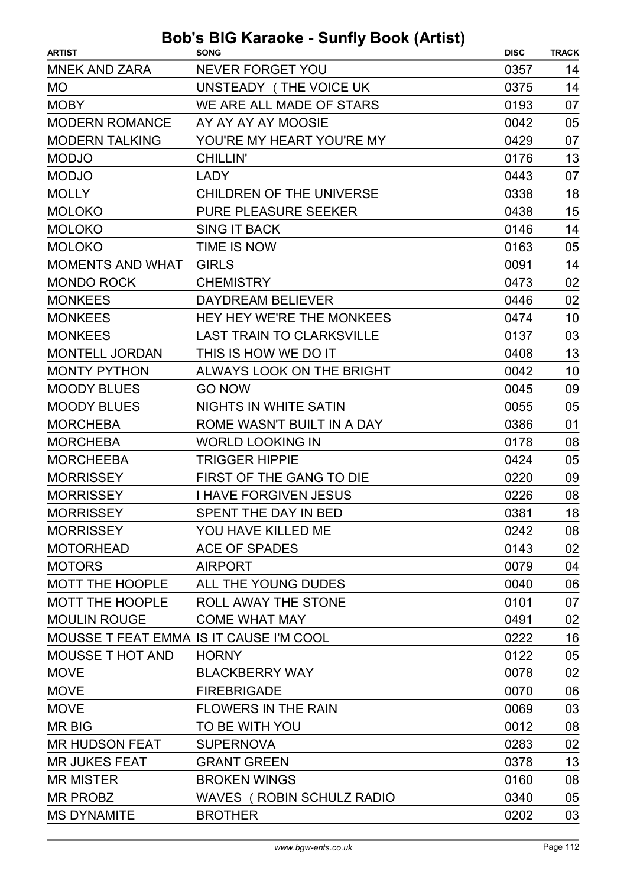| <b>MNEK AND ZARA</b><br><b>NEVER FORGET YOU</b><br>0357<br>14<br>UNSTEADY (THE VOICE UK<br>14<br><b>MO</b><br>0375<br><b>MOBY</b><br>WE ARE ALL MADE OF STARS<br>0193<br>07<br>05<br><b>MODERN ROMANCE</b><br>AY AY AY AY MOOSIE<br>0042<br><b>MODERN TALKING</b><br>YOU'RE MY HEART YOU'RE MY<br>0429<br>07<br>13<br><b>MODJO</b><br><b>CHILLIN'</b><br>0176<br><b>MODJO</b><br>07<br><b>LADY</b><br>0443<br>18<br><b>MOLLY</b><br>0338<br><b>CHILDREN OF THE UNIVERSE</b><br>15<br><b>MOLOKO</b><br><b>PURE PLEASURE SEEKER</b><br>0438<br><b>MOLOKO</b><br><b>SING IT BACK</b><br>0146<br>14<br><b>MOLOKO</b><br>TIME IS NOW<br>0163<br>05<br><b>MOMENTS AND WHAT</b><br><b>GIRLS</b><br>0091<br>14<br><b>MONDO ROCK</b><br><b>CHEMISTRY</b><br>0473<br>02<br>02<br><b>MONKEES</b><br><b>DAYDREAM BELIEVER</b><br>0446<br>10<br><b>MONKEES</b><br>HEY HEY WE'RE THE MONKEES<br>0474<br>03<br><b>MONKEES</b><br><b>LAST TRAIN TO CLARKSVILLE</b><br>0137<br>13<br><b>MONTELL JORDAN</b><br>THIS IS HOW WE DO IT<br>0408<br><b>MONTY PYTHON</b><br>10<br>ALWAYS LOOK ON THE BRIGHT<br>0042<br><b>GO NOW</b><br>0045<br>09<br><b>MOODY BLUES</b><br><b>MOODY BLUES</b><br><b>NIGHTS IN WHITE SATIN</b><br>0055<br>05<br>ROME WASN'T BUILT IN A DAY<br><b>MORCHEBA</b><br>0386<br>01<br><b>MORCHEBA</b><br><b>WORLD LOOKING IN</b><br>0178<br>08<br><b>MORCHEEBA</b><br><b>TRIGGER HIPPIE</b><br>05<br>0424<br><b>MORRISSEY</b><br>FIRST OF THE GANG TO DIE<br>0220<br>09<br><b>MORRISSEY</b><br>08<br><b>I HAVE FORGIVEN JESUS</b><br>0226<br>18<br><b>MORRISSEY</b><br>SPENT THE DAY IN BED<br>0381<br>YOU HAVE KILLED ME<br>08<br>0242<br><b>ACE OF SPADES</b><br>02<br>0143<br><b>MOTORS</b><br>04<br><b>AIRPORT</b><br>0079<br>MOTT THE HOOPLE<br>ALL THE YOUNG DUDES<br>0040<br>06<br>ROLL AWAY THE STONE<br>0101<br>07<br>02<br><b>MOULIN ROUGE</b><br><b>COME WHAT MAY</b><br>0491<br>MOUSSE T FEAT EMMA IS IT CAUSE I'M COOL<br>16<br>0222<br><b>MOUSSE T HOT AND</b><br>0122<br><b>HORNY</b><br>05<br><b>MOVE</b><br>0078<br>02<br><b>BLACKBERRY WAY</b><br><b>MOVE</b><br><b>FIREBRIGADE</b><br>0070<br>06<br><b>MOVE</b><br><b>FLOWERS IN THE RAIN</b><br>0069<br>03<br><b>MRBIG</b><br>TO BE WITH YOU<br>0012<br>08<br><b>MR HUDSON FEAT</b><br><b>SUPERNOVA</b><br>0283<br>02<br>13<br><b>MR JUKES FEAT</b><br><b>GRANT GREEN</b><br>0378<br>08<br><b>MR MISTER</b><br><b>BROKEN WINGS</b><br>0160<br><b>MR PROBZ</b><br><b>WAVES ( ROBIN SCHULZ RADIO</b><br>05<br>0340 | <b>ARTIST</b>          | $10$ nuraono currily boon (Antion)<br><b>SONG</b> | <b>DISC</b> | <b>TRACK</b> |
|---------------------------------------------------------------------------------------------------------------------------------------------------------------------------------------------------------------------------------------------------------------------------------------------------------------------------------------------------------------------------------------------------------------------------------------------------------------------------------------------------------------------------------------------------------------------------------------------------------------------------------------------------------------------------------------------------------------------------------------------------------------------------------------------------------------------------------------------------------------------------------------------------------------------------------------------------------------------------------------------------------------------------------------------------------------------------------------------------------------------------------------------------------------------------------------------------------------------------------------------------------------------------------------------------------------------------------------------------------------------------------------------------------------------------------------------------------------------------------------------------------------------------------------------------------------------------------------------------------------------------------------------------------------------------------------------------------------------------------------------------------------------------------------------------------------------------------------------------------------------------------------------------------------------------------------------------------------------------------------------------------------------------------------------------------------------------------------------------------------------------------------------------------------------------------------------------------------------------------------------------------------------------------------------------------------------------------------------------------------------------------------------------------------------------------------------------------------------------------------|------------------------|---------------------------------------------------|-------------|--------------|
|                                                                                                                                                                                                                                                                                                                                                                                                                                                                                                                                                                                                                                                                                                                                                                                                                                                                                                                                                                                                                                                                                                                                                                                                                                                                                                                                                                                                                                                                                                                                                                                                                                                                                                                                                                                                                                                                                                                                                                                                                                                                                                                                                                                                                                                                                                                                                                                                                                                                                       |                        |                                                   |             |              |
|                                                                                                                                                                                                                                                                                                                                                                                                                                                                                                                                                                                                                                                                                                                                                                                                                                                                                                                                                                                                                                                                                                                                                                                                                                                                                                                                                                                                                                                                                                                                                                                                                                                                                                                                                                                                                                                                                                                                                                                                                                                                                                                                                                                                                                                                                                                                                                                                                                                                                       |                        |                                                   |             |              |
|                                                                                                                                                                                                                                                                                                                                                                                                                                                                                                                                                                                                                                                                                                                                                                                                                                                                                                                                                                                                                                                                                                                                                                                                                                                                                                                                                                                                                                                                                                                                                                                                                                                                                                                                                                                                                                                                                                                                                                                                                                                                                                                                                                                                                                                                                                                                                                                                                                                                                       |                        |                                                   |             |              |
|                                                                                                                                                                                                                                                                                                                                                                                                                                                                                                                                                                                                                                                                                                                                                                                                                                                                                                                                                                                                                                                                                                                                                                                                                                                                                                                                                                                                                                                                                                                                                                                                                                                                                                                                                                                                                                                                                                                                                                                                                                                                                                                                                                                                                                                                                                                                                                                                                                                                                       |                        |                                                   |             |              |
|                                                                                                                                                                                                                                                                                                                                                                                                                                                                                                                                                                                                                                                                                                                                                                                                                                                                                                                                                                                                                                                                                                                                                                                                                                                                                                                                                                                                                                                                                                                                                                                                                                                                                                                                                                                                                                                                                                                                                                                                                                                                                                                                                                                                                                                                                                                                                                                                                                                                                       |                        |                                                   |             |              |
|                                                                                                                                                                                                                                                                                                                                                                                                                                                                                                                                                                                                                                                                                                                                                                                                                                                                                                                                                                                                                                                                                                                                                                                                                                                                                                                                                                                                                                                                                                                                                                                                                                                                                                                                                                                                                                                                                                                                                                                                                                                                                                                                                                                                                                                                                                                                                                                                                                                                                       |                        |                                                   |             |              |
|                                                                                                                                                                                                                                                                                                                                                                                                                                                                                                                                                                                                                                                                                                                                                                                                                                                                                                                                                                                                                                                                                                                                                                                                                                                                                                                                                                                                                                                                                                                                                                                                                                                                                                                                                                                                                                                                                                                                                                                                                                                                                                                                                                                                                                                                                                                                                                                                                                                                                       |                        |                                                   |             |              |
|                                                                                                                                                                                                                                                                                                                                                                                                                                                                                                                                                                                                                                                                                                                                                                                                                                                                                                                                                                                                                                                                                                                                                                                                                                                                                                                                                                                                                                                                                                                                                                                                                                                                                                                                                                                                                                                                                                                                                                                                                                                                                                                                                                                                                                                                                                                                                                                                                                                                                       |                        |                                                   |             |              |
|                                                                                                                                                                                                                                                                                                                                                                                                                                                                                                                                                                                                                                                                                                                                                                                                                                                                                                                                                                                                                                                                                                                                                                                                                                                                                                                                                                                                                                                                                                                                                                                                                                                                                                                                                                                                                                                                                                                                                                                                                                                                                                                                                                                                                                                                                                                                                                                                                                                                                       |                        |                                                   |             |              |
|                                                                                                                                                                                                                                                                                                                                                                                                                                                                                                                                                                                                                                                                                                                                                                                                                                                                                                                                                                                                                                                                                                                                                                                                                                                                                                                                                                                                                                                                                                                                                                                                                                                                                                                                                                                                                                                                                                                                                                                                                                                                                                                                                                                                                                                                                                                                                                                                                                                                                       |                        |                                                   |             |              |
|                                                                                                                                                                                                                                                                                                                                                                                                                                                                                                                                                                                                                                                                                                                                                                                                                                                                                                                                                                                                                                                                                                                                                                                                                                                                                                                                                                                                                                                                                                                                                                                                                                                                                                                                                                                                                                                                                                                                                                                                                                                                                                                                                                                                                                                                                                                                                                                                                                                                                       |                        |                                                   |             |              |
|                                                                                                                                                                                                                                                                                                                                                                                                                                                                                                                                                                                                                                                                                                                                                                                                                                                                                                                                                                                                                                                                                                                                                                                                                                                                                                                                                                                                                                                                                                                                                                                                                                                                                                                                                                                                                                                                                                                                                                                                                                                                                                                                                                                                                                                                                                                                                                                                                                                                                       |                        |                                                   |             |              |
|                                                                                                                                                                                                                                                                                                                                                                                                                                                                                                                                                                                                                                                                                                                                                                                                                                                                                                                                                                                                                                                                                                                                                                                                                                                                                                                                                                                                                                                                                                                                                                                                                                                                                                                                                                                                                                                                                                                                                                                                                                                                                                                                                                                                                                                                                                                                                                                                                                                                                       |                        |                                                   |             |              |
|                                                                                                                                                                                                                                                                                                                                                                                                                                                                                                                                                                                                                                                                                                                                                                                                                                                                                                                                                                                                                                                                                                                                                                                                                                                                                                                                                                                                                                                                                                                                                                                                                                                                                                                                                                                                                                                                                                                                                                                                                                                                                                                                                                                                                                                                                                                                                                                                                                                                                       |                        |                                                   |             |              |
|                                                                                                                                                                                                                                                                                                                                                                                                                                                                                                                                                                                                                                                                                                                                                                                                                                                                                                                                                                                                                                                                                                                                                                                                                                                                                                                                                                                                                                                                                                                                                                                                                                                                                                                                                                                                                                                                                                                                                                                                                                                                                                                                                                                                                                                                                                                                                                                                                                                                                       |                        |                                                   |             |              |
|                                                                                                                                                                                                                                                                                                                                                                                                                                                                                                                                                                                                                                                                                                                                                                                                                                                                                                                                                                                                                                                                                                                                                                                                                                                                                                                                                                                                                                                                                                                                                                                                                                                                                                                                                                                                                                                                                                                                                                                                                                                                                                                                                                                                                                                                                                                                                                                                                                                                                       |                        |                                                   |             |              |
|                                                                                                                                                                                                                                                                                                                                                                                                                                                                                                                                                                                                                                                                                                                                                                                                                                                                                                                                                                                                                                                                                                                                                                                                                                                                                                                                                                                                                                                                                                                                                                                                                                                                                                                                                                                                                                                                                                                                                                                                                                                                                                                                                                                                                                                                                                                                                                                                                                                                                       |                        |                                                   |             |              |
|                                                                                                                                                                                                                                                                                                                                                                                                                                                                                                                                                                                                                                                                                                                                                                                                                                                                                                                                                                                                                                                                                                                                                                                                                                                                                                                                                                                                                                                                                                                                                                                                                                                                                                                                                                                                                                                                                                                                                                                                                                                                                                                                                                                                                                                                                                                                                                                                                                                                                       |                        |                                                   |             |              |
|                                                                                                                                                                                                                                                                                                                                                                                                                                                                                                                                                                                                                                                                                                                                                                                                                                                                                                                                                                                                                                                                                                                                                                                                                                                                                                                                                                                                                                                                                                                                                                                                                                                                                                                                                                                                                                                                                                                                                                                                                                                                                                                                                                                                                                                                                                                                                                                                                                                                                       |                        |                                                   |             |              |
|                                                                                                                                                                                                                                                                                                                                                                                                                                                                                                                                                                                                                                                                                                                                                                                                                                                                                                                                                                                                                                                                                                                                                                                                                                                                                                                                                                                                                                                                                                                                                                                                                                                                                                                                                                                                                                                                                                                                                                                                                                                                                                                                                                                                                                                                                                                                                                                                                                                                                       |                        |                                                   |             |              |
|                                                                                                                                                                                                                                                                                                                                                                                                                                                                                                                                                                                                                                                                                                                                                                                                                                                                                                                                                                                                                                                                                                                                                                                                                                                                                                                                                                                                                                                                                                                                                                                                                                                                                                                                                                                                                                                                                                                                                                                                                                                                                                                                                                                                                                                                                                                                                                                                                                                                                       |                        |                                                   |             |              |
|                                                                                                                                                                                                                                                                                                                                                                                                                                                                                                                                                                                                                                                                                                                                                                                                                                                                                                                                                                                                                                                                                                                                                                                                                                                                                                                                                                                                                                                                                                                                                                                                                                                                                                                                                                                                                                                                                                                                                                                                                                                                                                                                                                                                                                                                                                                                                                                                                                                                                       |                        |                                                   |             |              |
|                                                                                                                                                                                                                                                                                                                                                                                                                                                                                                                                                                                                                                                                                                                                                                                                                                                                                                                                                                                                                                                                                                                                                                                                                                                                                                                                                                                                                                                                                                                                                                                                                                                                                                                                                                                                                                                                                                                                                                                                                                                                                                                                                                                                                                                                                                                                                                                                                                                                                       |                        |                                                   |             |              |
|                                                                                                                                                                                                                                                                                                                                                                                                                                                                                                                                                                                                                                                                                                                                                                                                                                                                                                                                                                                                                                                                                                                                                                                                                                                                                                                                                                                                                                                                                                                                                                                                                                                                                                                                                                                                                                                                                                                                                                                                                                                                                                                                                                                                                                                                                                                                                                                                                                                                                       |                        |                                                   |             |              |
|                                                                                                                                                                                                                                                                                                                                                                                                                                                                                                                                                                                                                                                                                                                                                                                                                                                                                                                                                                                                                                                                                                                                                                                                                                                                                                                                                                                                                                                                                                                                                                                                                                                                                                                                                                                                                                                                                                                                                                                                                                                                                                                                                                                                                                                                                                                                                                                                                                                                                       |                        |                                                   |             |              |
|                                                                                                                                                                                                                                                                                                                                                                                                                                                                                                                                                                                                                                                                                                                                                                                                                                                                                                                                                                                                                                                                                                                                                                                                                                                                                                                                                                                                                                                                                                                                                                                                                                                                                                                                                                                                                                                                                                                                                                                                                                                                                                                                                                                                                                                                                                                                                                                                                                                                                       |                        |                                                   |             |              |
|                                                                                                                                                                                                                                                                                                                                                                                                                                                                                                                                                                                                                                                                                                                                                                                                                                                                                                                                                                                                                                                                                                                                                                                                                                                                                                                                                                                                                                                                                                                                                                                                                                                                                                                                                                                                                                                                                                                                                                                                                                                                                                                                                                                                                                                                                                                                                                                                                                                                                       | <b>MORRISSEY</b>       |                                                   |             |              |
|                                                                                                                                                                                                                                                                                                                                                                                                                                                                                                                                                                                                                                                                                                                                                                                                                                                                                                                                                                                                                                                                                                                                                                                                                                                                                                                                                                                                                                                                                                                                                                                                                                                                                                                                                                                                                                                                                                                                                                                                                                                                                                                                                                                                                                                                                                                                                                                                                                                                                       | <b>MOTORHEAD</b>       |                                                   |             |              |
|                                                                                                                                                                                                                                                                                                                                                                                                                                                                                                                                                                                                                                                                                                                                                                                                                                                                                                                                                                                                                                                                                                                                                                                                                                                                                                                                                                                                                                                                                                                                                                                                                                                                                                                                                                                                                                                                                                                                                                                                                                                                                                                                                                                                                                                                                                                                                                                                                                                                                       |                        |                                                   |             |              |
|                                                                                                                                                                                                                                                                                                                                                                                                                                                                                                                                                                                                                                                                                                                                                                                                                                                                                                                                                                                                                                                                                                                                                                                                                                                                                                                                                                                                                                                                                                                                                                                                                                                                                                                                                                                                                                                                                                                                                                                                                                                                                                                                                                                                                                                                                                                                                                                                                                                                                       |                        |                                                   |             |              |
|                                                                                                                                                                                                                                                                                                                                                                                                                                                                                                                                                                                                                                                                                                                                                                                                                                                                                                                                                                                                                                                                                                                                                                                                                                                                                                                                                                                                                                                                                                                                                                                                                                                                                                                                                                                                                                                                                                                                                                                                                                                                                                                                                                                                                                                                                                                                                                                                                                                                                       | <b>MOTT THE HOOPLE</b> |                                                   |             |              |
|                                                                                                                                                                                                                                                                                                                                                                                                                                                                                                                                                                                                                                                                                                                                                                                                                                                                                                                                                                                                                                                                                                                                                                                                                                                                                                                                                                                                                                                                                                                                                                                                                                                                                                                                                                                                                                                                                                                                                                                                                                                                                                                                                                                                                                                                                                                                                                                                                                                                                       |                        |                                                   |             |              |
|                                                                                                                                                                                                                                                                                                                                                                                                                                                                                                                                                                                                                                                                                                                                                                                                                                                                                                                                                                                                                                                                                                                                                                                                                                                                                                                                                                                                                                                                                                                                                                                                                                                                                                                                                                                                                                                                                                                                                                                                                                                                                                                                                                                                                                                                                                                                                                                                                                                                                       |                        |                                                   |             |              |
|                                                                                                                                                                                                                                                                                                                                                                                                                                                                                                                                                                                                                                                                                                                                                                                                                                                                                                                                                                                                                                                                                                                                                                                                                                                                                                                                                                                                                                                                                                                                                                                                                                                                                                                                                                                                                                                                                                                                                                                                                                                                                                                                                                                                                                                                                                                                                                                                                                                                                       |                        |                                                   |             |              |
|                                                                                                                                                                                                                                                                                                                                                                                                                                                                                                                                                                                                                                                                                                                                                                                                                                                                                                                                                                                                                                                                                                                                                                                                                                                                                                                                                                                                                                                                                                                                                                                                                                                                                                                                                                                                                                                                                                                                                                                                                                                                                                                                                                                                                                                                                                                                                                                                                                                                                       |                        |                                                   |             |              |
|                                                                                                                                                                                                                                                                                                                                                                                                                                                                                                                                                                                                                                                                                                                                                                                                                                                                                                                                                                                                                                                                                                                                                                                                                                                                                                                                                                                                                                                                                                                                                                                                                                                                                                                                                                                                                                                                                                                                                                                                                                                                                                                                                                                                                                                                                                                                                                                                                                                                                       |                        |                                                   |             |              |
|                                                                                                                                                                                                                                                                                                                                                                                                                                                                                                                                                                                                                                                                                                                                                                                                                                                                                                                                                                                                                                                                                                                                                                                                                                                                                                                                                                                                                                                                                                                                                                                                                                                                                                                                                                                                                                                                                                                                                                                                                                                                                                                                                                                                                                                                                                                                                                                                                                                                                       |                        |                                                   |             |              |
|                                                                                                                                                                                                                                                                                                                                                                                                                                                                                                                                                                                                                                                                                                                                                                                                                                                                                                                                                                                                                                                                                                                                                                                                                                                                                                                                                                                                                                                                                                                                                                                                                                                                                                                                                                                                                                                                                                                                                                                                                                                                                                                                                                                                                                                                                                                                                                                                                                                                                       |                        |                                                   |             |              |
|                                                                                                                                                                                                                                                                                                                                                                                                                                                                                                                                                                                                                                                                                                                                                                                                                                                                                                                                                                                                                                                                                                                                                                                                                                                                                                                                                                                                                                                                                                                                                                                                                                                                                                                                                                                                                                                                                                                                                                                                                                                                                                                                                                                                                                                                                                                                                                                                                                                                                       |                        |                                                   |             |              |
|                                                                                                                                                                                                                                                                                                                                                                                                                                                                                                                                                                                                                                                                                                                                                                                                                                                                                                                                                                                                                                                                                                                                                                                                                                                                                                                                                                                                                                                                                                                                                                                                                                                                                                                                                                                                                                                                                                                                                                                                                                                                                                                                                                                                                                                                                                                                                                                                                                                                                       |                        |                                                   |             |              |
|                                                                                                                                                                                                                                                                                                                                                                                                                                                                                                                                                                                                                                                                                                                                                                                                                                                                                                                                                                                                                                                                                                                                                                                                                                                                                                                                                                                                                                                                                                                                                                                                                                                                                                                                                                                                                                                                                                                                                                                                                                                                                                                                                                                                                                                                                                                                                                                                                                                                                       |                        |                                                   |             |              |
|                                                                                                                                                                                                                                                                                                                                                                                                                                                                                                                                                                                                                                                                                                                                                                                                                                                                                                                                                                                                                                                                                                                                                                                                                                                                                                                                                                                                                                                                                                                                                                                                                                                                                                                                                                                                                                                                                                                                                                                                                                                                                                                                                                                                                                                                                                                                                                                                                                                                                       |                        |                                                   |             |              |
|                                                                                                                                                                                                                                                                                                                                                                                                                                                                                                                                                                                                                                                                                                                                                                                                                                                                                                                                                                                                                                                                                                                                                                                                                                                                                                                                                                                                                                                                                                                                                                                                                                                                                                                                                                                                                                                                                                                                                                                                                                                                                                                                                                                                                                                                                                                                                                                                                                                                                       | <b>MS DYNAMITE</b>     | <b>BROTHER</b>                                    | 0202        | 03           |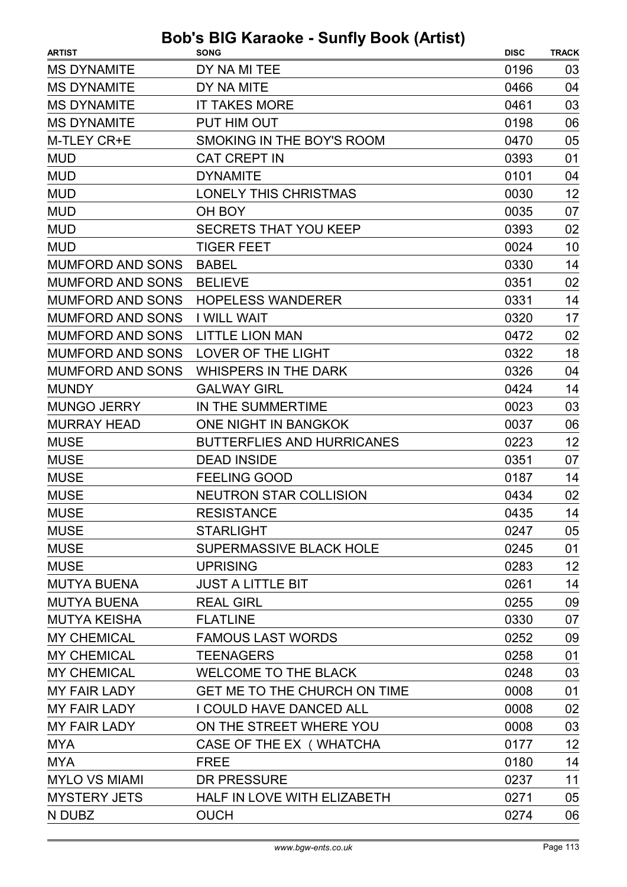| <b>MS DYNAMITE</b><br>DY NA MI TEE<br>0196<br>03<br>DY NA MITE<br><b>MS DYNAMITE</b><br>0466<br>04<br>03<br><b>MS DYNAMITE</b><br><b>IT TAKES MORE</b><br>0461<br>PUT HIM OUT<br><b>MS DYNAMITE</b><br>0198<br>06<br>M-TLEY CR+E<br>SMOKING IN THE BOY'S ROOM<br>0470<br>05<br><b>MUD</b><br><b>CAT CREPT IN</b><br>0393<br>01<br><b>MUD</b><br><b>DYNAMITE</b><br>0101<br>04<br>12<br><b>MUD</b><br><b>LONELY THIS CHRISTMAS</b><br>0030<br><b>MUD</b><br>OH BOY<br>0035<br>07<br><b>MUD</b><br><b>SECRETS THAT YOU KEEP</b><br>0393<br>02<br><b>MUD</b><br><b>TIGER FEET</b><br>0024<br>10<br><b>MUMFORD AND SONS</b><br>0330<br>14<br><b>BABEL</b><br><b>MUMFORD AND SONS</b><br>02<br><b>BELIEVE</b><br>0351<br>14<br><b>MUMFORD AND SONS</b><br><b>HOPELESS WANDERER</b><br>0331<br>17<br><b>MUMFORD AND SONS</b><br><b>I WILL WAIT</b><br>0320<br>02<br><b>MUMFORD AND SONS</b><br><b>LITTLE LION MAN</b><br>0472<br>18<br><b>MUMFORD AND SONS</b><br>LOVER OF THE LIGHT<br>0322<br><b>WHISPERS IN THE DARK</b><br>0326<br>04<br><b>MUMFORD AND SONS</b><br><b>MUNDY</b><br><b>GALWAY GIRL</b><br>14<br>0424<br>03<br><b>MUNGO JERRY</b><br>IN THE SUMMERTIME<br>0023<br>ONE NIGHT IN BANGKOK<br><b>MURRAY HEAD</b><br>06<br>0037<br><b>MUSE</b><br><b>BUTTERFLIES AND HURRICANES</b><br>0223<br>12<br><b>MUSE</b><br>07<br><b>DEAD INSIDE</b><br>0351<br><b>MUSE</b><br><b>FEELING GOOD</b><br>0187<br>14<br><b>MUSE</b><br><b>NEUTRON STAR COLLISION</b><br>02<br>0434<br><b>MUSE</b><br><b>RESISTANCE</b><br>0435<br>14<br><b>STARLIGHT</b><br>0247<br>05<br>01<br><b>SUPERMASSIVE BLACK HOLE</b><br>0245<br>12<br>0283<br><b>UPRISING</b><br><b>MUTYA BUENA</b><br>14<br><b>JUST A LITTLE BIT</b><br>0261<br>09<br><b>REAL GIRL</b><br>0255<br><b>MUTYA KEISHA</b><br><b>FLATLINE</b><br>0330<br>07<br><b>MY CHEMICAL</b><br><b>FAMOUS LAST WORDS</b><br>0252<br>09<br><b>MY CHEMICAL</b><br><b>TEENAGERS</b><br>0258<br>01<br><b>MY CHEMICAL</b><br><b>WELCOME TO THE BLACK</b><br>0248<br>03<br>GET ME TO THE CHURCH ON TIME<br>01<br>0008<br>02<br><b>MY FAIR LADY</b><br>I COULD HAVE DANCED ALL<br>0008<br>ON THE STREET WHERE YOU<br>0008<br>03<br><b>MY FAIR LADY</b><br>12<br>CASE OF THE EX ( WHATCHA<br>0177<br><b>MYA</b><br><b>MYA</b><br><b>FREE</b><br>14<br>0180 | <b>ARTIST</b>        | $\frac{1}{2}$<br><b>SONG</b> | <b>DISC</b> | <b>TRACK</b> |
|-------------------------------------------------------------------------------------------------------------------------------------------------------------------------------------------------------------------------------------------------------------------------------------------------------------------------------------------------------------------------------------------------------------------------------------------------------------------------------------------------------------------------------------------------------------------------------------------------------------------------------------------------------------------------------------------------------------------------------------------------------------------------------------------------------------------------------------------------------------------------------------------------------------------------------------------------------------------------------------------------------------------------------------------------------------------------------------------------------------------------------------------------------------------------------------------------------------------------------------------------------------------------------------------------------------------------------------------------------------------------------------------------------------------------------------------------------------------------------------------------------------------------------------------------------------------------------------------------------------------------------------------------------------------------------------------------------------------------------------------------------------------------------------------------------------------------------------------------------------------------------------------------------------------------------------------------------------------------------------------------------------------------------------------------------------------------------------------------------------------------------------------------------------------------------------------------------------------------------------------------------------------------------------------|----------------------|------------------------------|-------------|--------------|
|                                                                                                                                                                                                                                                                                                                                                                                                                                                                                                                                                                                                                                                                                                                                                                                                                                                                                                                                                                                                                                                                                                                                                                                                                                                                                                                                                                                                                                                                                                                                                                                                                                                                                                                                                                                                                                                                                                                                                                                                                                                                                                                                                                                                                                                                                           |                      |                              |             |              |
|                                                                                                                                                                                                                                                                                                                                                                                                                                                                                                                                                                                                                                                                                                                                                                                                                                                                                                                                                                                                                                                                                                                                                                                                                                                                                                                                                                                                                                                                                                                                                                                                                                                                                                                                                                                                                                                                                                                                                                                                                                                                                                                                                                                                                                                                                           |                      |                              |             |              |
|                                                                                                                                                                                                                                                                                                                                                                                                                                                                                                                                                                                                                                                                                                                                                                                                                                                                                                                                                                                                                                                                                                                                                                                                                                                                                                                                                                                                                                                                                                                                                                                                                                                                                                                                                                                                                                                                                                                                                                                                                                                                                                                                                                                                                                                                                           |                      |                              |             |              |
|                                                                                                                                                                                                                                                                                                                                                                                                                                                                                                                                                                                                                                                                                                                                                                                                                                                                                                                                                                                                                                                                                                                                                                                                                                                                                                                                                                                                                                                                                                                                                                                                                                                                                                                                                                                                                                                                                                                                                                                                                                                                                                                                                                                                                                                                                           |                      |                              |             |              |
|                                                                                                                                                                                                                                                                                                                                                                                                                                                                                                                                                                                                                                                                                                                                                                                                                                                                                                                                                                                                                                                                                                                                                                                                                                                                                                                                                                                                                                                                                                                                                                                                                                                                                                                                                                                                                                                                                                                                                                                                                                                                                                                                                                                                                                                                                           |                      |                              |             |              |
|                                                                                                                                                                                                                                                                                                                                                                                                                                                                                                                                                                                                                                                                                                                                                                                                                                                                                                                                                                                                                                                                                                                                                                                                                                                                                                                                                                                                                                                                                                                                                                                                                                                                                                                                                                                                                                                                                                                                                                                                                                                                                                                                                                                                                                                                                           |                      |                              |             |              |
|                                                                                                                                                                                                                                                                                                                                                                                                                                                                                                                                                                                                                                                                                                                                                                                                                                                                                                                                                                                                                                                                                                                                                                                                                                                                                                                                                                                                                                                                                                                                                                                                                                                                                                                                                                                                                                                                                                                                                                                                                                                                                                                                                                                                                                                                                           |                      |                              |             |              |
|                                                                                                                                                                                                                                                                                                                                                                                                                                                                                                                                                                                                                                                                                                                                                                                                                                                                                                                                                                                                                                                                                                                                                                                                                                                                                                                                                                                                                                                                                                                                                                                                                                                                                                                                                                                                                                                                                                                                                                                                                                                                                                                                                                                                                                                                                           |                      |                              |             |              |
|                                                                                                                                                                                                                                                                                                                                                                                                                                                                                                                                                                                                                                                                                                                                                                                                                                                                                                                                                                                                                                                                                                                                                                                                                                                                                                                                                                                                                                                                                                                                                                                                                                                                                                                                                                                                                                                                                                                                                                                                                                                                                                                                                                                                                                                                                           |                      |                              |             |              |
|                                                                                                                                                                                                                                                                                                                                                                                                                                                                                                                                                                                                                                                                                                                                                                                                                                                                                                                                                                                                                                                                                                                                                                                                                                                                                                                                                                                                                                                                                                                                                                                                                                                                                                                                                                                                                                                                                                                                                                                                                                                                                                                                                                                                                                                                                           |                      |                              |             |              |
|                                                                                                                                                                                                                                                                                                                                                                                                                                                                                                                                                                                                                                                                                                                                                                                                                                                                                                                                                                                                                                                                                                                                                                                                                                                                                                                                                                                                                                                                                                                                                                                                                                                                                                                                                                                                                                                                                                                                                                                                                                                                                                                                                                                                                                                                                           |                      |                              |             |              |
|                                                                                                                                                                                                                                                                                                                                                                                                                                                                                                                                                                                                                                                                                                                                                                                                                                                                                                                                                                                                                                                                                                                                                                                                                                                                                                                                                                                                                                                                                                                                                                                                                                                                                                                                                                                                                                                                                                                                                                                                                                                                                                                                                                                                                                                                                           |                      |                              |             |              |
|                                                                                                                                                                                                                                                                                                                                                                                                                                                                                                                                                                                                                                                                                                                                                                                                                                                                                                                                                                                                                                                                                                                                                                                                                                                                                                                                                                                                                                                                                                                                                                                                                                                                                                                                                                                                                                                                                                                                                                                                                                                                                                                                                                                                                                                                                           |                      |                              |             |              |
|                                                                                                                                                                                                                                                                                                                                                                                                                                                                                                                                                                                                                                                                                                                                                                                                                                                                                                                                                                                                                                                                                                                                                                                                                                                                                                                                                                                                                                                                                                                                                                                                                                                                                                                                                                                                                                                                                                                                                                                                                                                                                                                                                                                                                                                                                           |                      |                              |             |              |
|                                                                                                                                                                                                                                                                                                                                                                                                                                                                                                                                                                                                                                                                                                                                                                                                                                                                                                                                                                                                                                                                                                                                                                                                                                                                                                                                                                                                                                                                                                                                                                                                                                                                                                                                                                                                                                                                                                                                                                                                                                                                                                                                                                                                                                                                                           |                      |                              |             |              |
|                                                                                                                                                                                                                                                                                                                                                                                                                                                                                                                                                                                                                                                                                                                                                                                                                                                                                                                                                                                                                                                                                                                                                                                                                                                                                                                                                                                                                                                                                                                                                                                                                                                                                                                                                                                                                                                                                                                                                                                                                                                                                                                                                                                                                                                                                           |                      |                              |             |              |
|                                                                                                                                                                                                                                                                                                                                                                                                                                                                                                                                                                                                                                                                                                                                                                                                                                                                                                                                                                                                                                                                                                                                                                                                                                                                                                                                                                                                                                                                                                                                                                                                                                                                                                                                                                                                                                                                                                                                                                                                                                                                                                                                                                                                                                                                                           |                      |                              |             |              |
|                                                                                                                                                                                                                                                                                                                                                                                                                                                                                                                                                                                                                                                                                                                                                                                                                                                                                                                                                                                                                                                                                                                                                                                                                                                                                                                                                                                                                                                                                                                                                                                                                                                                                                                                                                                                                                                                                                                                                                                                                                                                                                                                                                                                                                                                                           |                      |                              |             |              |
|                                                                                                                                                                                                                                                                                                                                                                                                                                                                                                                                                                                                                                                                                                                                                                                                                                                                                                                                                                                                                                                                                                                                                                                                                                                                                                                                                                                                                                                                                                                                                                                                                                                                                                                                                                                                                                                                                                                                                                                                                                                                                                                                                                                                                                                                                           |                      |                              |             |              |
|                                                                                                                                                                                                                                                                                                                                                                                                                                                                                                                                                                                                                                                                                                                                                                                                                                                                                                                                                                                                                                                                                                                                                                                                                                                                                                                                                                                                                                                                                                                                                                                                                                                                                                                                                                                                                                                                                                                                                                                                                                                                                                                                                                                                                                                                                           |                      |                              |             |              |
|                                                                                                                                                                                                                                                                                                                                                                                                                                                                                                                                                                                                                                                                                                                                                                                                                                                                                                                                                                                                                                                                                                                                                                                                                                                                                                                                                                                                                                                                                                                                                                                                                                                                                                                                                                                                                                                                                                                                                                                                                                                                                                                                                                                                                                                                                           |                      |                              |             |              |
|                                                                                                                                                                                                                                                                                                                                                                                                                                                                                                                                                                                                                                                                                                                                                                                                                                                                                                                                                                                                                                                                                                                                                                                                                                                                                                                                                                                                                                                                                                                                                                                                                                                                                                                                                                                                                                                                                                                                                                                                                                                                                                                                                                                                                                                                                           |                      |                              |             |              |
|                                                                                                                                                                                                                                                                                                                                                                                                                                                                                                                                                                                                                                                                                                                                                                                                                                                                                                                                                                                                                                                                                                                                                                                                                                                                                                                                                                                                                                                                                                                                                                                                                                                                                                                                                                                                                                                                                                                                                                                                                                                                                                                                                                                                                                                                                           |                      |                              |             |              |
|                                                                                                                                                                                                                                                                                                                                                                                                                                                                                                                                                                                                                                                                                                                                                                                                                                                                                                                                                                                                                                                                                                                                                                                                                                                                                                                                                                                                                                                                                                                                                                                                                                                                                                                                                                                                                                                                                                                                                                                                                                                                                                                                                                                                                                                                                           |                      |                              |             |              |
|                                                                                                                                                                                                                                                                                                                                                                                                                                                                                                                                                                                                                                                                                                                                                                                                                                                                                                                                                                                                                                                                                                                                                                                                                                                                                                                                                                                                                                                                                                                                                                                                                                                                                                                                                                                                                                                                                                                                                                                                                                                                                                                                                                                                                                                                                           |                      |                              |             |              |
|                                                                                                                                                                                                                                                                                                                                                                                                                                                                                                                                                                                                                                                                                                                                                                                                                                                                                                                                                                                                                                                                                                                                                                                                                                                                                                                                                                                                                                                                                                                                                                                                                                                                                                                                                                                                                                                                                                                                                                                                                                                                                                                                                                                                                                                                                           |                      |                              |             |              |
|                                                                                                                                                                                                                                                                                                                                                                                                                                                                                                                                                                                                                                                                                                                                                                                                                                                                                                                                                                                                                                                                                                                                                                                                                                                                                                                                                                                                                                                                                                                                                                                                                                                                                                                                                                                                                                                                                                                                                                                                                                                                                                                                                                                                                                                                                           | <b>MUSE</b>          |                              |             |              |
|                                                                                                                                                                                                                                                                                                                                                                                                                                                                                                                                                                                                                                                                                                                                                                                                                                                                                                                                                                                                                                                                                                                                                                                                                                                                                                                                                                                                                                                                                                                                                                                                                                                                                                                                                                                                                                                                                                                                                                                                                                                                                                                                                                                                                                                                                           | <b>MUSE</b>          |                              |             |              |
|                                                                                                                                                                                                                                                                                                                                                                                                                                                                                                                                                                                                                                                                                                                                                                                                                                                                                                                                                                                                                                                                                                                                                                                                                                                                                                                                                                                                                                                                                                                                                                                                                                                                                                                                                                                                                                                                                                                                                                                                                                                                                                                                                                                                                                                                                           | <b>MUSE</b>          |                              |             |              |
|                                                                                                                                                                                                                                                                                                                                                                                                                                                                                                                                                                                                                                                                                                                                                                                                                                                                                                                                                                                                                                                                                                                                                                                                                                                                                                                                                                                                                                                                                                                                                                                                                                                                                                                                                                                                                                                                                                                                                                                                                                                                                                                                                                                                                                                                                           |                      |                              |             |              |
|                                                                                                                                                                                                                                                                                                                                                                                                                                                                                                                                                                                                                                                                                                                                                                                                                                                                                                                                                                                                                                                                                                                                                                                                                                                                                                                                                                                                                                                                                                                                                                                                                                                                                                                                                                                                                                                                                                                                                                                                                                                                                                                                                                                                                                                                                           | <b>MUTYA BUENA</b>   |                              |             |              |
|                                                                                                                                                                                                                                                                                                                                                                                                                                                                                                                                                                                                                                                                                                                                                                                                                                                                                                                                                                                                                                                                                                                                                                                                                                                                                                                                                                                                                                                                                                                                                                                                                                                                                                                                                                                                                                                                                                                                                                                                                                                                                                                                                                                                                                                                                           |                      |                              |             |              |
|                                                                                                                                                                                                                                                                                                                                                                                                                                                                                                                                                                                                                                                                                                                                                                                                                                                                                                                                                                                                                                                                                                                                                                                                                                                                                                                                                                                                                                                                                                                                                                                                                                                                                                                                                                                                                                                                                                                                                                                                                                                                                                                                                                                                                                                                                           |                      |                              |             |              |
|                                                                                                                                                                                                                                                                                                                                                                                                                                                                                                                                                                                                                                                                                                                                                                                                                                                                                                                                                                                                                                                                                                                                                                                                                                                                                                                                                                                                                                                                                                                                                                                                                                                                                                                                                                                                                                                                                                                                                                                                                                                                                                                                                                                                                                                                                           |                      |                              |             |              |
|                                                                                                                                                                                                                                                                                                                                                                                                                                                                                                                                                                                                                                                                                                                                                                                                                                                                                                                                                                                                                                                                                                                                                                                                                                                                                                                                                                                                                                                                                                                                                                                                                                                                                                                                                                                                                                                                                                                                                                                                                                                                                                                                                                                                                                                                                           |                      |                              |             |              |
|                                                                                                                                                                                                                                                                                                                                                                                                                                                                                                                                                                                                                                                                                                                                                                                                                                                                                                                                                                                                                                                                                                                                                                                                                                                                                                                                                                                                                                                                                                                                                                                                                                                                                                                                                                                                                                                                                                                                                                                                                                                                                                                                                                                                                                                                                           | <b>MY FAIR LADY</b>  |                              |             |              |
|                                                                                                                                                                                                                                                                                                                                                                                                                                                                                                                                                                                                                                                                                                                                                                                                                                                                                                                                                                                                                                                                                                                                                                                                                                                                                                                                                                                                                                                                                                                                                                                                                                                                                                                                                                                                                                                                                                                                                                                                                                                                                                                                                                                                                                                                                           |                      |                              |             |              |
|                                                                                                                                                                                                                                                                                                                                                                                                                                                                                                                                                                                                                                                                                                                                                                                                                                                                                                                                                                                                                                                                                                                                                                                                                                                                                                                                                                                                                                                                                                                                                                                                                                                                                                                                                                                                                                                                                                                                                                                                                                                                                                                                                                                                                                                                                           |                      |                              |             |              |
|                                                                                                                                                                                                                                                                                                                                                                                                                                                                                                                                                                                                                                                                                                                                                                                                                                                                                                                                                                                                                                                                                                                                                                                                                                                                                                                                                                                                                                                                                                                                                                                                                                                                                                                                                                                                                                                                                                                                                                                                                                                                                                                                                                                                                                                                                           |                      |                              |             |              |
|                                                                                                                                                                                                                                                                                                                                                                                                                                                                                                                                                                                                                                                                                                                                                                                                                                                                                                                                                                                                                                                                                                                                                                                                                                                                                                                                                                                                                                                                                                                                                                                                                                                                                                                                                                                                                                                                                                                                                                                                                                                                                                                                                                                                                                                                                           |                      |                              |             |              |
|                                                                                                                                                                                                                                                                                                                                                                                                                                                                                                                                                                                                                                                                                                                                                                                                                                                                                                                                                                                                                                                                                                                                                                                                                                                                                                                                                                                                                                                                                                                                                                                                                                                                                                                                                                                                                                                                                                                                                                                                                                                                                                                                                                                                                                                                                           | <b>MYLO VS MIAMI</b> | <b>DR PRESSURE</b>           | 0237        | 11           |
| HALF IN LOVE WITH ELIZABETH<br>05<br>0271                                                                                                                                                                                                                                                                                                                                                                                                                                                                                                                                                                                                                                                                                                                                                                                                                                                                                                                                                                                                                                                                                                                                                                                                                                                                                                                                                                                                                                                                                                                                                                                                                                                                                                                                                                                                                                                                                                                                                                                                                                                                                                                                                                                                                                                 | <b>MYSTERY JETS</b>  |                              |             |              |
| <b>OUCH</b><br>0274<br>06                                                                                                                                                                                                                                                                                                                                                                                                                                                                                                                                                                                                                                                                                                                                                                                                                                                                                                                                                                                                                                                                                                                                                                                                                                                                                                                                                                                                                                                                                                                                                                                                                                                                                                                                                                                                                                                                                                                                                                                                                                                                                                                                                                                                                                                                 | N DUBZ               |                              |             |              |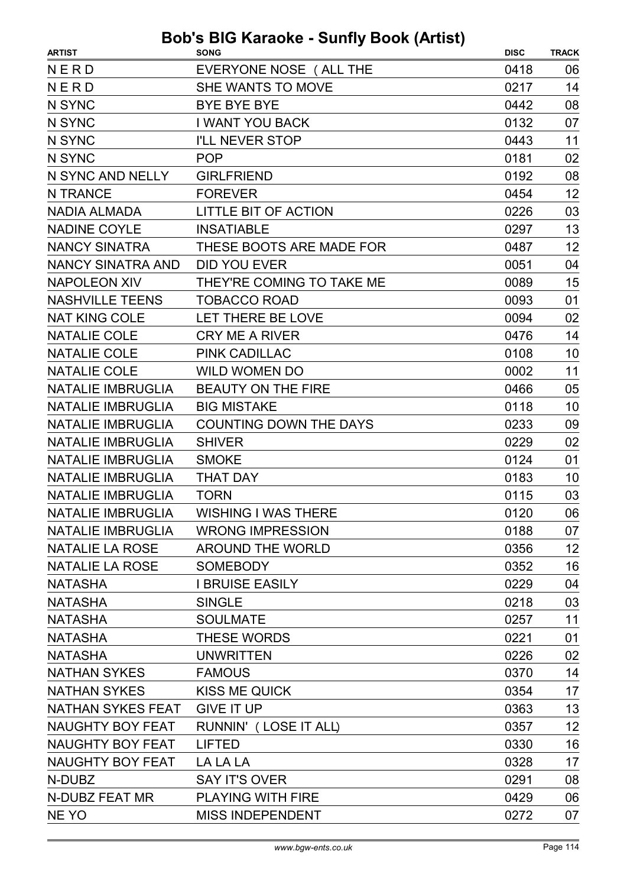| <b>ARTIST</b>            | .<br>.<br><b>SONG</b>         | <b>DISC</b> | <b>TRACK</b> |
|--------------------------|-------------------------------|-------------|--------------|
| NERD                     | EVERYONE NOSE (ALL THE        | 0418        | 06           |
| NERD                     | SHE WANTS TO MOVE             | 0217        | 14           |
| N SYNC                   | <b>BYE BYE BYE</b>            | 0442        | 08           |
| N SYNC                   | I WANT YOU BACK               | 0132        | 07           |
| N SYNC                   | <b>I'LL NEVER STOP</b>        | 0443        | 11           |
| N SYNC                   | <b>POP</b>                    | 0181        | 02           |
| N SYNC AND NELLY         | <b>GIRLFRIEND</b>             | 0192        | 08           |
| N TRANCE                 | <b>FOREVER</b>                | 0454        | 12           |
| <b>NADIA ALMADA</b>      | LITTLE BIT OF ACTION          | 0226        | 03           |
| <b>NADINE COYLE</b>      | <b>INSATIABLE</b>             | 0297        | 13           |
| <b>NANCY SINATRA</b>     | THESE BOOTS ARE MADE FOR      | 0487        | 12           |
| <b>NANCY SINATRA AND</b> | <b>DID YOU EVER</b>           | 0051        | 04           |
| <b>NAPOLEON XIV</b>      | THEY'RE COMING TO TAKE ME     | 0089        | 15           |
| <b>NASHVILLE TEENS</b>   | <b>TOBACCO ROAD</b>           | 0093        | 01           |
| <b>NAT KING COLE</b>     | LET THERE BE LOVE             | 0094        | 02           |
| <b>NATALIE COLE</b>      | <b>CRY ME A RIVER</b>         | 0476        | 14           |
| <b>NATALIE COLE</b>      | <b>PINK CADILLAC</b>          | 0108        | 10           |
| <b>NATALIE COLE</b>      | <b>WILD WOMEN DO</b>          | 0002        | 11           |
| <b>NATALIE IMBRUGLIA</b> | <b>BEAUTY ON THE FIRE</b>     | 0466        | 05           |
| <b>NATALIE IMBRUGLIA</b> | <b>BIG MISTAKE</b>            | 0118        | 10           |
| <b>NATALIE IMBRUGLIA</b> | <b>COUNTING DOWN THE DAYS</b> | 0233        | 09           |
| <b>NATALIE IMBRUGLIA</b> | <b>SHIVER</b>                 | 0229        | 02           |
| <b>NATALIE IMBRUGLIA</b> | <b>SMOKE</b>                  | 0124        | 01           |
| <b>NATALIE IMBRUGLIA</b> | <b>THAT DAY</b>               | 0183        | 10           |
| <b>NATALIE IMBRUGLIA</b> | <b>TORN</b>                   | 0115        | 03           |
| NATALIE IMBRUGLIA        | <b>WISHING I WAS THERE</b>    | 0120        | 06           |
| <b>NATALIE IMBRUGLIA</b> | <b>WRONG IMPRESSION</b>       | 0188        | 07           |
| <b>NATALIE LA ROSE</b>   | <b>AROUND THE WORLD</b>       | 0356        | 12           |
| <b>NATALIE LA ROSE</b>   | SOMEBODY                      | 0352        | 16           |
| <b>NATASHA</b>           | <b>I BRUISE EASILY</b>        | 0229        | 04           |
| <b>NATASHA</b>           | <b>SINGLE</b>                 | 0218        | 03           |
| <b>NATASHA</b>           | <b>SOULMATE</b>               | 0257        | 11           |
| <b>NATASHA</b>           | <b>THESE WORDS</b>            | 0221        | 01           |
| <b>NATASHA</b>           | <b>UNWRITTEN</b>              | 0226        | 02           |
| <b>NATHAN SYKES</b>      | <b>FAMOUS</b>                 | 0370        | 14           |
| <b>NATHAN SYKES</b>      | <b>KISS ME QUICK</b>          | 0354        | 17           |
| <b>NATHAN SYKES FEAT</b> | <b>GIVE IT UP</b>             | 0363        | 13           |
| <b>NAUGHTY BOY FEAT</b>  | RUNNIN' (LOSE IT ALL)         | 0357        | 12           |
| <b>NAUGHTY BOY FEAT</b>  | <b>LIFTED</b>                 | 0330        | 16           |
| <b>NAUGHTY BOY FEAT</b>  | LA LA LA                      | 0328        | 17           |
| N-DUBZ                   | <b>SAY IT'S OVER</b>          | 0291        | 08           |
| N-DUBZ FEAT MR           | <b>PLAYING WITH FIRE</b>      | 0429        | 06           |
| NE YO                    | <b>MISS INDEPENDENT</b>       | 0272        | 07           |
|                          |                               |             |              |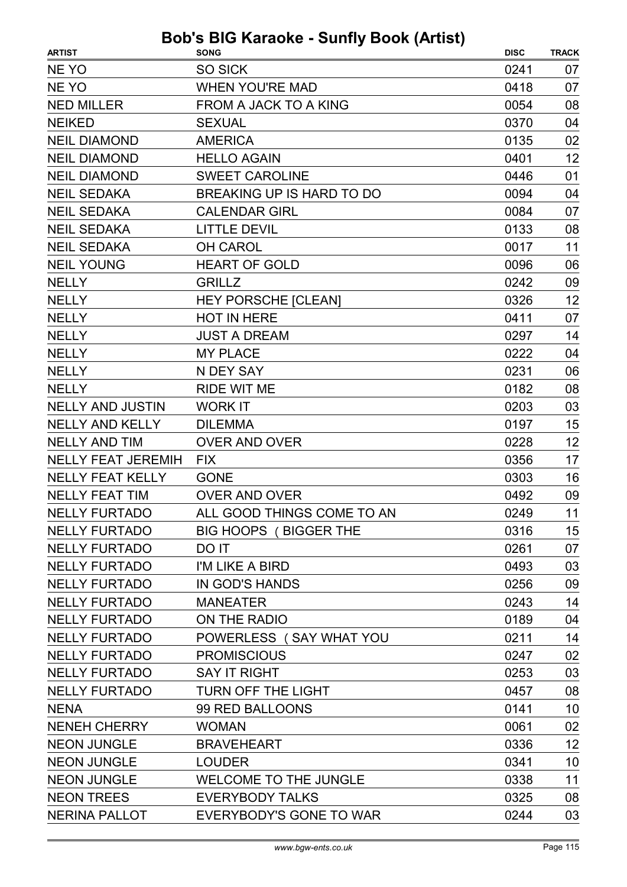| NE YO<br><b>SO SICK</b><br>0241<br>07<br>NE YO<br><b>WHEN YOU'RE MAD</b><br>07<br>0418<br>08<br><b>NED MILLER</b><br>FROM A JACK TO A KING<br>0054<br>04<br><b>NEIKED</b><br><b>SEXUAL</b><br>0370<br>02<br><b>NEIL DIAMOND</b><br><b>AMERICA</b><br>0135<br><b>NEIL DIAMOND</b><br><b>HELLO AGAIN</b><br>12<br>0401<br>01<br><b>NEIL DIAMOND</b><br><b>SWEET CAROLINE</b><br>0446<br>BREAKING UP IS HARD TO DO<br>0094<br>04<br><b>NEIL SEDAKA</b><br>0084<br>07<br><b>NEIL SEDAKA</b><br><b>CALENDAR GIRL</b><br>08<br><b>NEIL SEDAKA</b><br><b>LITTLE DEVIL</b><br>0133<br><b>NEIL SEDAKA</b><br><b>OH CAROL</b><br>11<br>0017<br><b>NEIL YOUNG</b><br><b>HEART OF GOLD</b><br>06<br>0096<br>0242<br>09<br><b>NELLY</b><br><b>GRILLZ</b><br><b>NELLY</b><br>0326<br>12<br><b>HEY PORSCHE [CLEAN]</b><br>07<br><b>NELLY</b><br><b>HOT IN HERE</b><br>0411<br><b>NELLY</b><br><b>JUST A DREAM</b><br>0297<br>14<br><b>NELLY</b><br><b>MY PLACE</b><br>0222<br>04<br>06<br><b>NELLY</b><br>N DEY SAY<br>0231<br><b>NELLY</b><br><b>RIDE WIT ME</b><br>08<br>0182<br>03<br><b>NELLY AND JUSTIN</b><br><b>WORK IT</b><br>0203<br><b>NELLY AND KELLY</b><br>15<br><b>DILEMMA</b><br>0197<br><b>NELLY AND TIM</b><br>12<br><b>OVER AND OVER</b><br>0228<br><b>NELLY FEAT JEREMIH</b><br><b>FIX</b><br>0356<br>17<br><b>NELLY FEAT KELLY</b><br>16<br><b>GONE</b><br>0303<br><b>NELLY FEAT TIM</b><br><b>OVER AND OVER</b><br>0492<br>09<br>11<br>ALL GOOD THINGS COME TO AN<br>0249<br><b>NELLY FURTADO</b><br><b>NELLY FURTADO</b><br><b>BIG HOOPS (BIGGER THE</b><br>15<br>0316<br><b>NELLY FURTADO</b><br>DO IT<br>0261<br>07<br><b>NELLY FURTADO</b><br>0493<br>03<br>I'M LIKE A BIRD<br><b>NELLY FURTADO</b><br>IN GOD'S HANDS<br>0256<br>09<br>14<br><b>NELLY FURTADO</b><br>0243<br><b>MANEATER</b><br><b>NELLY FURTADO</b><br>ON THE RADIO<br>0189<br>04<br><b>NELLY FURTADO</b><br>POWERLESS (SAY WHAT YOU<br>14<br>0211<br><b>NELLY FURTADO</b><br><b>PROMISCIOUS</b><br>0247<br>02<br><b>SAY IT RIGHT</b><br>03<br><b>NELLY FURTADO</b><br>0253<br>TURN OFF THE LIGHT<br>08<br><b>NELLY FURTADO</b><br>0457<br>99 RED BALLOONS<br>0141<br>10<br><b>NENA</b><br><b>NENEH CHERRY</b><br><b>WOMAN</b><br>0061<br>02<br>12<br><b>NEON JUNGLE</b><br>0336<br><b>BRAVEHEART</b><br><b>NEON JUNGLE</b><br><b>LOUDER</b><br>0341<br>10<br>11<br><b>NEON JUNGLE</b><br><b>WELCOME TO THE JUNGLE</b><br>0338<br><b>NEON TREES</b><br>08<br><b>EVERYBODY TALKS</b><br>0325 | <b>ARTIST</b>        | <b>SONG</b>             | <b>DISC</b> | <b>TRACK</b> |
|------------------------------------------------------------------------------------------------------------------------------------------------------------------------------------------------------------------------------------------------------------------------------------------------------------------------------------------------------------------------------------------------------------------------------------------------------------------------------------------------------------------------------------------------------------------------------------------------------------------------------------------------------------------------------------------------------------------------------------------------------------------------------------------------------------------------------------------------------------------------------------------------------------------------------------------------------------------------------------------------------------------------------------------------------------------------------------------------------------------------------------------------------------------------------------------------------------------------------------------------------------------------------------------------------------------------------------------------------------------------------------------------------------------------------------------------------------------------------------------------------------------------------------------------------------------------------------------------------------------------------------------------------------------------------------------------------------------------------------------------------------------------------------------------------------------------------------------------------------------------------------------------------------------------------------------------------------------------------------------------------------------------------------------------------------------------------------------------------------------------------------------------------------------------------------------------------------------------------------------------------------------------------------------------------------------------------------------------------------------------------------------------------------------------------------------------------------------------|----------------------|-------------------------|-------------|--------------|
|                                                                                                                                                                                                                                                                                                                                                                                                                                                                                                                                                                                                                                                                                                                                                                                                                                                                                                                                                                                                                                                                                                                                                                                                                                                                                                                                                                                                                                                                                                                                                                                                                                                                                                                                                                                                                                                                                                                                                                                                                                                                                                                                                                                                                                                                                                                                                                                                                                                                        |                      |                         |             |              |
|                                                                                                                                                                                                                                                                                                                                                                                                                                                                                                                                                                                                                                                                                                                                                                                                                                                                                                                                                                                                                                                                                                                                                                                                                                                                                                                                                                                                                                                                                                                                                                                                                                                                                                                                                                                                                                                                                                                                                                                                                                                                                                                                                                                                                                                                                                                                                                                                                                                                        |                      |                         |             |              |
|                                                                                                                                                                                                                                                                                                                                                                                                                                                                                                                                                                                                                                                                                                                                                                                                                                                                                                                                                                                                                                                                                                                                                                                                                                                                                                                                                                                                                                                                                                                                                                                                                                                                                                                                                                                                                                                                                                                                                                                                                                                                                                                                                                                                                                                                                                                                                                                                                                                                        |                      |                         |             |              |
|                                                                                                                                                                                                                                                                                                                                                                                                                                                                                                                                                                                                                                                                                                                                                                                                                                                                                                                                                                                                                                                                                                                                                                                                                                                                                                                                                                                                                                                                                                                                                                                                                                                                                                                                                                                                                                                                                                                                                                                                                                                                                                                                                                                                                                                                                                                                                                                                                                                                        |                      |                         |             |              |
|                                                                                                                                                                                                                                                                                                                                                                                                                                                                                                                                                                                                                                                                                                                                                                                                                                                                                                                                                                                                                                                                                                                                                                                                                                                                                                                                                                                                                                                                                                                                                                                                                                                                                                                                                                                                                                                                                                                                                                                                                                                                                                                                                                                                                                                                                                                                                                                                                                                                        |                      |                         |             |              |
|                                                                                                                                                                                                                                                                                                                                                                                                                                                                                                                                                                                                                                                                                                                                                                                                                                                                                                                                                                                                                                                                                                                                                                                                                                                                                                                                                                                                                                                                                                                                                                                                                                                                                                                                                                                                                                                                                                                                                                                                                                                                                                                                                                                                                                                                                                                                                                                                                                                                        |                      |                         |             |              |
|                                                                                                                                                                                                                                                                                                                                                                                                                                                                                                                                                                                                                                                                                                                                                                                                                                                                                                                                                                                                                                                                                                                                                                                                                                                                                                                                                                                                                                                                                                                                                                                                                                                                                                                                                                                                                                                                                                                                                                                                                                                                                                                                                                                                                                                                                                                                                                                                                                                                        |                      |                         |             |              |
|                                                                                                                                                                                                                                                                                                                                                                                                                                                                                                                                                                                                                                                                                                                                                                                                                                                                                                                                                                                                                                                                                                                                                                                                                                                                                                                                                                                                                                                                                                                                                                                                                                                                                                                                                                                                                                                                                                                                                                                                                                                                                                                                                                                                                                                                                                                                                                                                                                                                        |                      |                         |             |              |
|                                                                                                                                                                                                                                                                                                                                                                                                                                                                                                                                                                                                                                                                                                                                                                                                                                                                                                                                                                                                                                                                                                                                                                                                                                                                                                                                                                                                                                                                                                                                                                                                                                                                                                                                                                                                                                                                                                                                                                                                                                                                                                                                                                                                                                                                                                                                                                                                                                                                        |                      |                         |             |              |
|                                                                                                                                                                                                                                                                                                                                                                                                                                                                                                                                                                                                                                                                                                                                                                                                                                                                                                                                                                                                                                                                                                                                                                                                                                                                                                                                                                                                                                                                                                                                                                                                                                                                                                                                                                                                                                                                                                                                                                                                                                                                                                                                                                                                                                                                                                                                                                                                                                                                        |                      |                         |             |              |
|                                                                                                                                                                                                                                                                                                                                                                                                                                                                                                                                                                                                                                                                                                                                                                                                                                                                                                                                                                                                                                                                                                                                                                                                                                                                                                                                                                                                                                                                                                                                                                                                                                                                                                                                                                                                                                                                                                                                                                                                                                                                                                                                                                                                                                                                                                                                                                                                                                                                        |                      |                         |             |              |
|                                                                                                                                                                                                                                                                                                                                                                                                                                                                                                                                                                                                                                                                                                                                                                                                                                                                                                                                                                                                                                                                                                                                                                                                                                                                                                                                                                                                                                                                                                                                                                                                                                                                                                                                                                                                                                                                                                                                                                                                                                                                                                                                                                                                                                                                                                                                                                                                                                                                        |                      |                         |             |              |
|                                                                                                                                                                                                                                                                                                                                                                                                                                                                                                                                                                                                                                                                                                                                                                                                                                                                                                                                                                                                                                                                                                                                                                                                                                                                                                                                                                                                                                                                                                                                                                                                                                                                                                                                                                                                                                                                                                                                                                                                                                                                                                                                                                                                                                                                                                                                                                                                                                                                        |                      |                         |             |              |
|                                                                                                                                                                                                                                                                                                                                                                                                                                                                                                                                                                                                                                                                                                                                                                                                                                                                                                                                                                                                                                                                                                                                                                                                                                                                                                                                                                                                                                                                                                                                                                                                                                                                                                                                                                                                                                                                                                                                                                                                                                                                                                                                                                                                                                                                                                                                                                                                                                                                        |                      |                         |             |              |
|                                                                                                                                                                                                                                                                                                                                                                                                                                                                                                                                                                                                                                                                                                                                                                                                                                                                                                                                                                                                                                                                                                                                                                                                                                                                                                                                                                                                                                                                                                                                                                                                                                                                                                                                                                                                                                                                                                                                                                                                                                                                                                                                                                                                                                                                                                                                                                                                                                                                        |                      |                         |             |              |
|                                                                                                                                                                                                                                                                                                                                                                                                                                                                                                                                                                                                                                                                                                                                                                                                                                                                                                                                                                                                                                                                                                                                                                                                                                                                                                                                                                                                                                                                                                                                                                                                                                                                                                                                                                                                                                                                                                                                                                                                                                                                                                                                                                                                                                                                                                                                                                                                                                                                        |                      |                         |             |              |
|                                                                                                                                                                                                                                                                                                                                                                                                                                                                                                                                                                                                                                                                                                                                                                                                                                                                                                                                                                                                                                                                                                                                                                                                                                                                                                                                                                                                                                                                                                                                                                                                                                                                                                                                                                                                                                                                                                                                                                                                                                                                                                                                                                                                                                                                                                                                                                                                                                                                        |                      |                         |             |              |
|                                                                                                                                                                                                                                                                                                                                                                                                                                                                                                                                                                                                                                                                                                                                                                                                                                                                                                                                                                                                                                                                                                                                                                                                                                                                                                                                                                                                                                                                                                                                                                                                                                                                                                                                                                                                                                                                                                                                                                                                                                                                                                                                                                                                                                                                                                                                                                                                                                                                        |                      |                         |             |              |
|                                                                                                                                                                                                                                                                                                                                                                                                                                                                                                                                                                                                                                                                                                                                                                                                                                                                                                                                                                                                                                                                                                                                                                                                                                                                                                                                                                                                                                                                                                                                                                                                                                                                                                                                                                                                                                                                                                                                                                                                                                                                                                                                                                                                                                                                                                                                                                                                                                                                        |                      |                         |             |              |
|                                                                                                                                                                                                                                                                                                                                                                                                                                                                                                                                                                                                                                                                                                                                                                                                                                                                                                                                                                                                                                                                                                                                                                                                                                                                                                                                                                                                                                                                                                                                                                                                                                                                                                                                                                                                                                                                                                                                                                                                                                                                                                                                                                                                                                                                                                                                                                                                                                                                        |                      |                         |             |              |
|                                                                                                                                                                                                                                                                                                                                                                                                                                                                                                                                                                                                                                                                                                                                                                                                                                                                                                                                                                                                                                                                                                                                                                                                                                                                                                                                                                                                                                                                                                                                                                                                                                                                                                                                                                                                                                                                                                                                                                                                                                                                                                                                                                                                                                                                                                                                                                                                                                                                        |                      |                         |             |              |
|                                                                                                                                                                                                                                                                                                                                                                                                                                                                                                                                                                                                                                                                                                                                                                                                                                                                                                                                                                                                                                                                                                                                                                                                                                                                                                                                                                                                                                                                                                                                                                                                                                                                                                                                                                                                                                                                                                                                                                                                                                                                                                                                                                                                                                                                                                                                                                                                                                                                        |                      |                         |             |              |
|                                                                                                                                                                                                                                                                                                                                                                                                                                                                                                                                                                                                                                                                                                                                                                                                                                                                                                                                                                                                                                                                                                                                                                                                                                                                                                                                                                                                                                                                                                                                                                                                                                                                                                                                                                                                                                                                                                                                                                                                                                                                                                                                                                                                                                                                                                                                                                                                                                                                        |                      |                         |             |              |
|                                                                                                                                                                                                                                                                                                                                                                                                                                                                                                                                                                                                                                                                                                                                                                                                                                                                                                                                                                                                                                                                                                                                                                                                                                                                                                                                                                                                                                                                                                                                                                                                                                                                                                                                                                                                                                                                                                                                                                                                                                                                                                                                                                                                                                                                                                                                                                                                                                                                        |                      |                         |             |              |
|                                                                                                                                                                                                                                                                                                                                                                                                                                                                                                                                                                                                                                                                                                                                                                                                                                                                                                                                                                                                                                                                                                                                                                                                                                                                                                                                                                                                                                                                                                                                                                                                                                                                                                                                                                                                                                                                                                                                                                                                                                                                                                                                                                                                                                                                                                                                                                                                                                                                        |                      |                         |             |              |
|                                                                                                                                                                                                                                                                                                                                                                                                                                                                                                                                                                                                                                                                                                                                                                                                                                                                                                                                                                                                                                                                                                                                                                                                                                                                                                                                                                                                                                                                                                                                                                                                                                                                                                                                                                                                                                                                                                                                                                                                                                                                                                                                                                                                                                                                                                                                                                                                                                                                        |                      |                         |             |              |
|                                                                                                                                                                                                                                                                                                                                                                                                                                                                                                                                                                                                                                                                                                                                                                                                                                                                                                                                                                                                                                                                                                                                                                                                                                                                                                                                                                                                                                                                                                                                                                                                                                                                                                                                                                                                                                                                                                                                                                                                                                                                                                                                                                                                                                                                                                                                                                                                                                                                        |                      |                         |             |              |
|                                                                                                                                                                                                                                                                                                                                                                                                                                                                                                                                                                                                                                                                                                                                                                                                                                                                                                                                                                                                                                                                                                                                                                                                                                                                                                                                                                                                                                                                                                                                                                                                                                                                                                                                                                                                                                                                                                                                                                                                                                                                                                                                                                                                                                                                                                                                                                                                                                                                        |                      |                         |             |              |
|                                                                                                                                                                                                                                                                                                                                                                                                                                                                                                                                                                                                                                                                                                                                                                                                                                                                                                                                                                                                                                                                                                                                                                                                                                                                                                                                                                                                                                                                                                                                                                                                                                                                                                                                                                                                                                                                                                                                                                                                                                                                                                                                                                                                                                                                                                                                                                                                                                                                        |                      |                         |             |              |
|                                                                                                                                                                                                                                                                                                                                                                                                                                                                                                                                                                                                                                                                                                                                                                                                                                                                                                                                                                                                                                                                                                                                                                                                                                                                                                                                                                                                                                                                                                                                                                                                                                                                                                                                                                                                                                                                                                                                                                                                                                                                                                                                                                                                                                                                                                                                                                                                                                                                        |                      |                         |             |              |
|                                                                                                                                                                                                                                                                                                                                                                                                                                                                                                                                                                                                                                                                                                                                                                                                                                                                                                                                                                                                                                                                                                                                                                                                                                                                                                                                                                                                                                                                                                                                                                                                                                                                                                                                                                                                                                                                                                                                                                                                                                                                                                                                                                                                                                                                                                                                                                                                                                                                        |                      |                         |             |              |
|                                                                                                                                                                                                                                                                                                                                                                                                                                                                                                                                                                                                                                                                                                                                                                                                                                                                                                                                                                                                                                                                                                                                                                                                                                                                                                                                                                                                                                                                                                                                                                                                                                                                                                                                                                                                                                                                                                                                                                                                                                                                                                                                                                                                                                                                                                                                                                                                                                                                        |                      |                         |             |              |
|                                                                                                                                                                                                                                                                                                                                                                                                                                                                                                                                                                                                                                                                                                                                                                                                                                                                                                                                                                                                                                                                                                                                                                                                                                                                                                                                                                                                                                                                                                                                                                                                                                                                                                                                                                                                                                                                                                                                                                                                                                                                                                                                                                                                                                                                                                                                                                                                                                                                        |                      |                         |             |              |
|                                                                                                                                                                                                                                                                                                                                                                                                                                                                                                                                                                                                                                                                                                                                                                                                                                                                                                                                                                                                                                                                                                                                                                                                                                                                                                                                                                                                                                                                                                                                                                                                                                                                                                                                                                                                                                                                                                                                                                                                                                                                                                                                                                                                                                                                                                                                                                                                                                                                        |                      |                         |             |              |
|                                                                                                                                                                                                                                                                                                                                                                                                                                                                                                                                                                                                                                                                                                                                                                                                                                                                                                                                                                                                                                                                                                                                                                                                                                                                                                                                                                                                                                                                                                                                                                                                                                                                                                                                                                                                                                                                                                                                                                                                                                                                                                                                                                                                                                                                                                                                                                                                                                                                        |                      |                         |             |              |
|                                                                                                                                                                                                                                                                                                                                                                                                                                                                                                                                                                                                                                                                                                                                                                                                                                                                                                                                                                                                                                                                                                                                                                                                                                                                                                                                                                                                                                                                                                                                                                                                                                                                                                                                                                                                                                                                                                                                                                                                                                                                                                                                                                                                                                                                                                                                                                                                                                                                        |                      |                         |             |              |
|                                                                                                                                                                                                                                                                                                                                                                                                                                                                                                                                                                                                                                                                                                                                                                                                                                                                                                                                                                                                                                                                                                                                                                                                                                                                                                                                                                                                                                                                                                                                                                                                                                                                                                                                                                                                                                                                                                                                                                                                                                                                                                                                                                                                                                                                                                                                                                                                                                                                        |                      |                         |             |              |
|                                                                                                                                                                                                                                                                                                                                                                                                                                                                                                                                                                                                                                                                                                                                                                                                                                                                                                                                                                                                                                                                                                                                                                                                                                                                                                                                                                                                                                                                                                                                                                                                                                                                                                                                                                                                                                                                                                                                                                                                                                                                                                                                                                                                                                                                                                                                                                                                                                                                        |                      |                         |             |              |
|                                                                                                                                                                                                                                                                                                                                                                                                                                                                                                                                                                                                                                                                                                                                                                                                                                                                                                                                                                                                                                                                                                                                                                                                                                                                                                                                                                                                                                                                                                                                                                                                                                                                                                                                                                                                                                                                                                                                                                                                                                                                                                                                                                                                                                                                                                                                                                                                                                                                        |                      |                         |             |              |
|                                                                                                                                                                                                                                                                                                                                                                                                                                                                                                                                                                                                                                                                                                                                                                                                                                                                                                                                                                                                                                                                                                                                                                                                                                                                                                                                                                                                                                                                                                                                                                                                                                                                                                                                                                                                                                                                                                                                                                                                                                                                                                                                                                                                                                                                                                                                                                                                                                                                        |                      |                         |             |              |
|                                                                                                                                                                                                                                                                                                                                                                                                                                                                                                                                                                                                                                                                                                                                                                                                                                                                                                                                                                                                                                                                                                                                                                                                                                                                                                                                                                                                                                                                                                                                                                                                                                                                                                                                                                                                                                                                                                                                                                                                                                                                                                                                                                                                                                                                                                                                                                                                                                                                        |                      |                         |             |              |
|                                                                                                                                                                                                                                                                                                                                                                                                                                                                                                                                                                                                                                                                                                                                                                                                                                                                                                                                                                                                                                                                                                                                                                                                                                                                                                                                                                                                                                                                                                                                                                                                                                                                                                                                                                                                                                                                                                                                                                                                                                                                                                                                                                                                                                                                                                                                                                                                                                                                        |                      |                         |             |              |
|                                                                                                                                                                                                                                                                                                                                                                                                                                                                                                                                                                                                                                                                                                                                                                                                                                                                                                                                                                                                                                                                                                                                                                                                                                                                                                                                                                                                                                                                                                                                                                                                                                                                                                                                                                                                                                                                                                                                                                                                                                                                                                                                                                                                                                                                                                                                                                                                                                                                        | <b>NERINA PALLOT</b> | EVERYBODY'S GONE TO WAR | 0244        | 03           |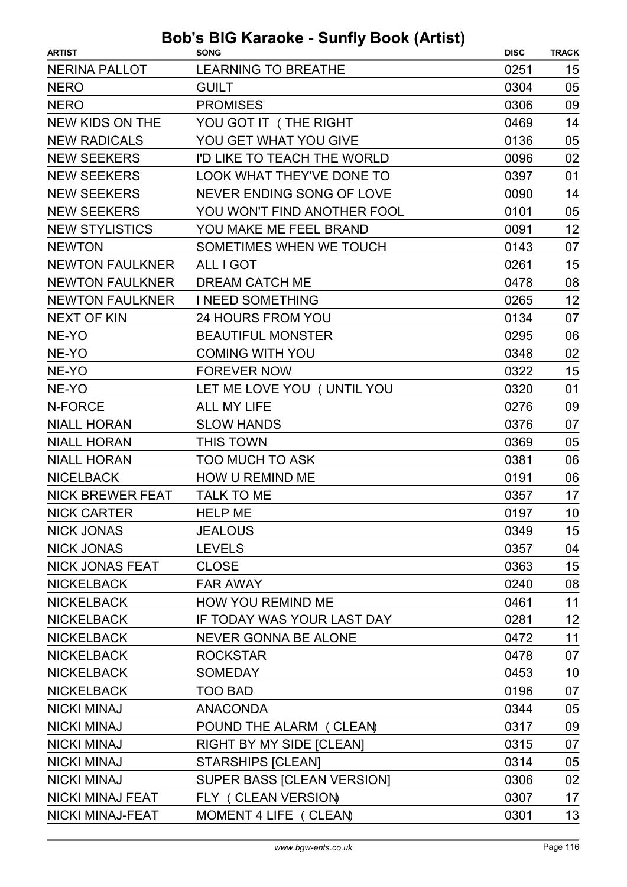| <b>ARTIST</b>           | <b>SONG</b>                      | <b>DISC</b> | <b>TRACK</b> |
|-------------------------|----------------------------------|-------------|--------------|
| <b>NERINA PALLOT</b>    | <b>LEARNING TO BREATHE</b>       | 0251        | 15           |
| <b>NERO</b>             | <b>GUILT</b>                     | 0304        | 05           |
| <b>NERO</b>             | <b>PROMISES</b>                  | 0306        | 09           |
| NEW KIDS ON THE         | YOU GOT IT (THE RIGHT            | 0469        | 14           |
| <b>NEW RADICALS</b>     | YOU GET WHAT YOU GIVE            | 0136        | 05           |
| <b>NEW SEEKERS</b>      | I'D LIKE TO TEACH THE WORLD      | 0096        | 02           |
| <b>NEW SEEKERS</b>      | <b>LOOK WHAT THEY'VE DONE TO</b> | 0397        | 01           |
| <b>NEW SEEKERS</b>      | NEVER ENDING SONG OF LOVE        | 0090        | 14           |
| <b>NEW SEEKERS</b>      | YOU WON'T FIND ANOTHER FOOL      | 0101        | 05           |
| <b>NEW STYLISTICS</b>   | YOU MAKE ME FEEL BRAND           | 0091        | 12           |
| <b>NEWTON</b>           | SOMETIMES WHEN WE TOUCH          | 0143        | 07           |
| <b>NEWTON FAULKNER</b>  | ALL I GOT                        | 0261        | 15           |
| <b>NEWTON FAULKNER</b>  | <b>DREAM CATCH ME</b>            | 0478        | 08           |
| <b>NEWTON FAULKNER</b>  | <b>I NEED SOMETHING</b>          | 0265        | 12           |
| <b>NEXT OF KIN</b>      | <b>24 HOURS FROM YOU</b>         | 0134        | 07           |
| NE-YO                   | <b>BEAUTIFUL MONSTER</b>         | 0295        | 06           |
| NE-YO                   | <b>COMING WITH YOU</b>           | 0348        | 02           |
| NE-YO                   | <b>FOREVER NOW</b>               | 0322        | 15           |
| NE-YO                   | LET ME LOVE YOU ( UNTIL YOU      | 0320        | 01           |
| N-FORCE                 | <b>ALL MY LIFE</b>               | 0276        | 09           |
| <b>NIALL HORAN</b>      | <b>SLOW HANDS</b>                | 0376        | 07           |
| <b>NIALL HORAN</b>      | <b>THIS TOWN</b>                 | 0369        | 05           |
| <b>NIALL HORAN</b>      | <b>TOO MUCH TO ASK</b>           | 0381        | 06           |
| <b>NICELBACK</b>        | HOW U REMIND ME                  | 0191        | 06           |
| <b>NICK BREWER FEAT</b> | <b>TALK TO ME</b>                | 0357        | 17           |
| <b>NICK CARTER</b>      | <b>HELP ME</b>                   | 0197        | 10           |
| <b>NICK JONAS</b>       | <b>JEALOUS</b>                   | 0349        | 15           |
| <b>NICK JONAS</b>       | <b>LEVELS</b>                    | 0357        | 04           |
| <b>NICK JONAS FEAT</b>  | <b>CLOSE</b>                     | 0363        | 15           |
| <b>NICKELBACK</b>       | <b>FAR AWAY</b>                  | 0240        | 08           |
| <b>NICKELBACK</b>       | <b>HOW YOU REMIND ME</b>         | 0461        | 11           |
| <b>NICKELBACK</b>       | IF TODAY WAS YOUR LAST DAY       | 0281        | 12           |
| <b>NICKELBACK</b>       | <b>NEVER GONNA BE ALONE</b>      | 0472        | 11           |
| <b>NICKELBACK</b>       | <b>ROCKSTAR</b>                  | 0478        | 07           |
| <b>NICKELBACK</b>       | <b>SOMEDAY</b>                   | 0453        | 10           |
| <b>NICKELBACK</b>       | <b>TOO BAD</b>                   | 0196        | 07           |
| <b>NICKI MINAJ</b>      | <b>ANACONDA</b>                  | 0344        | 05           |
| <b>NICKI MINAJ</b>      | POUND THE ALARM (CLEAN)          | 0317        | 09           |
| <b>NICKI MINAJ</b>      | <b>RIGHT BY MY SIDE [CLEAN]</b>  | 0315        | 07           |
| <b>NICKI MINAJ</b>      | <b>STARSHIPS [CLEAN]</b>         | 0314        | 05           |
| <b>NICKI MINAJ</b>      | SUPER BASS [CLEAN VERSION]       | 0306        | 02           |
| NICKI MINAJ FEAT        | FLY ( CLEAN VERSION)             | 0307        | 17           |
| <b>NICKI MINAJ-FEAT</b> | MOMENT 4 LIFE ( CLEAN)           | 0301        | 13           |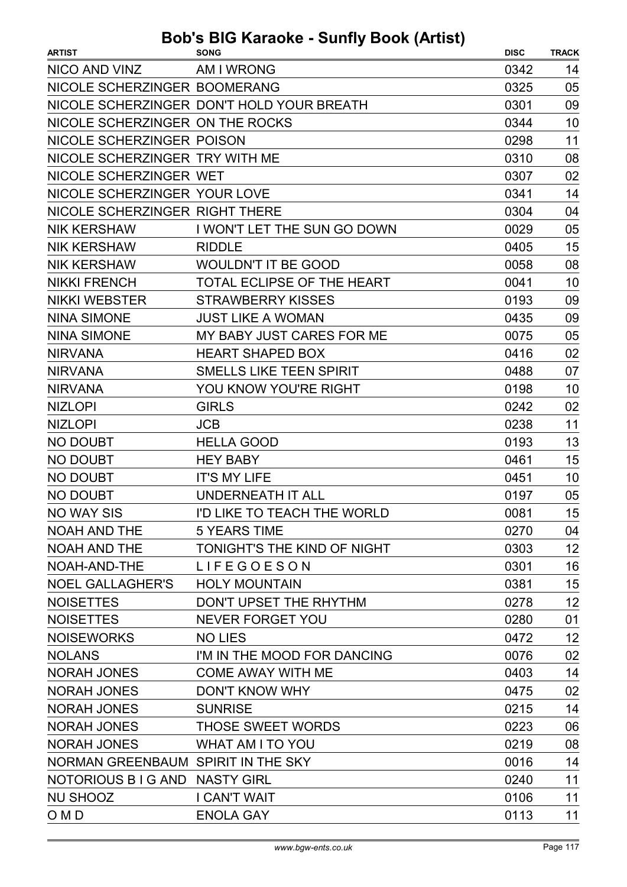| <b>ARTIST</b>                      | <b>SONG</b>                               | <b>DISC</b> | <b>TRACK</b> |
|------------------------------------|-------------------------------------------|-------------|--------------|
| NICO AND VINZ                      | AM I WRONG                                | 0342        | 14           |
| NICOLE SCHERZINGER BOOMERANG       |                                           | 0325        | 05           |
|                                    | NICOLE SCHERZINGER DON'T HOLD YOUR BREATH | 0301        | 09           |
| NICOLE SCHERZINGER ON THE ROCKS    |                                           | 0344        | 10           |
| NICOLE SCHERZINGER POISON          |                                           | 0298        | 11           |
| NICOLE SCHERZINGER TRY WITH ME     |                                           | 0310        | 08           |
| NICOLE SCHERZINGER WET             |                                           | 0307        | 02           |
| NICOLE SCHERZINGER YOUR LOVE       |                                           | 0341        | 14           |
| NICOLE SCHERZINGER RIGHT THERE     |                                           | 0304        | 04           |
| <b>NIK KERSHAW</b>                 | I WON'T LET THE SUN GO DOWN               | 0029        | 05           |
| <b>NIK KERSHAW</b>                 | <b>RIDDLE</b>                             | 0405        | 15           |
| <b>NIK KERSHAW</b>                 | <b>WOULDN'T IT BE GOOD</b>                | 0058        | 08           |
| <b>NIKKI FRENCH</b>                | <b>TOTAL ECLIPSE OF THE HEART</b>         | 0041        | 10           |
| <b>NIKKI WEBSTER</b>               | <b>STRAWBERRY KISSES</b>                  | 0193        | 09           |
| <b>NINA SIMONE</b>                 | <b>JUST LIKE A WOMAN</b>                  | 0435        | 09           |
| <b>NINA SIMONE</b>                 | MY BABY JUST CARES FOR ME                 | 0075        | 05           |
| <b>NIRVANA</b>                     | <b>HEART SHAPED BOX</b>                   | 0416        | 02           |
| <b>NIRVANA</b>                     | <b>SMELLS LIKE TEEN SPIRIT</b>            | 0488        | 07           |
| <b>NIRVANA</b>                     | YOU KNOW YOU'RE RIGHT                     | 0198        | 10           |
| <b>NIZLOPI</b>                     | <b>GIRLS</b>                              | 0242        | 02           |
| <b>NIZLOPI</b>                     | <b>JCB</b>                                | 0238        | 11           |
| NO DOUBT                           | <b>HELLA GOOD</b>                         | 0193        | 13           |
| <b>NO DOUBT</b>                    | <b>HEY BABY</b>                           | 0461        | 15           |
| <b>NO DOUBT</b>                    | <b>IT'S MY LIFE</b>                       | 0451        | 10           |
| <b>NO DOUBT</b>                    | <b>UNDERNEATH IT ALL</b>                  | 0197        | 05           |
| <b>NO WAY SIS</b>                  | I'D LIKE TO TEACH THE WORLD               | 0081        | 15           |
| NOAH AND THE                       | <b>5 YEARS TIME</b>                       | 0270        | 04           |
| <b>NOAH AND THE</b>                | TONIGHT'S THE KIND OF NIGHT               | 0303        | 12           |
| NOAH-AND-THE                       | <b>LIFEGOESON</b>                         | 0301        | 16           |
| <b>NOEL GALLAGHER'S</b>            | <b>HOLY MOUNTAIN</b>                      | 0381        | 15           |
| <b>NOISETTES</b>                   | DON'T UPSET THE RHYTHM                    | 0278        | 12           |
| <b>NOISETTES</b>                   | <b>NEVER FORGET YOU</b>                   | 0280        | 01           |
| <b>NOISEWORKS</b>                  | <b>NO LIES</b>                            | 0472        | 12           |
| <b>NOLANS</b>                      | I'M IN THE MOOD FOR DANCING               | 0076        | 02           |
| <b>NORAH JONES</b>                 | <b>COME AWAY WITH ME</b>                  | 0403        | 14           |
| <b>NORAH JONES</b>                 | <b>DON'T KNOW WHY</b>                     | 0475        | 02           |
| <b>NORAH JONES</b>                 | <b>SUNRISE</b>                            | 0215        | 14           |
| <b>NORAH JONES</b>                 | THOSE SWEET WORDS                         | 0223        | 06           |
| <b>NORAH JONES</b>                 | <b>WHAT AM I TO YOU</b>                   | 0219        | 08           |
| NORMAN GREENBAUM SPIRIT IN THE SKY |                                           | 0016        | 14           |
| NOTORIOUS B I G AND NASTY GIRL     |                                           | 0240        | 11           |
| <b>NU SHOOZ</b>                    | I CAN'T WAIT                              | 0106        | 11           |
| O M D                              | <b>ENOLA GAY</b>                          | 0113        | 11           |
|                                    |                                           |             |              |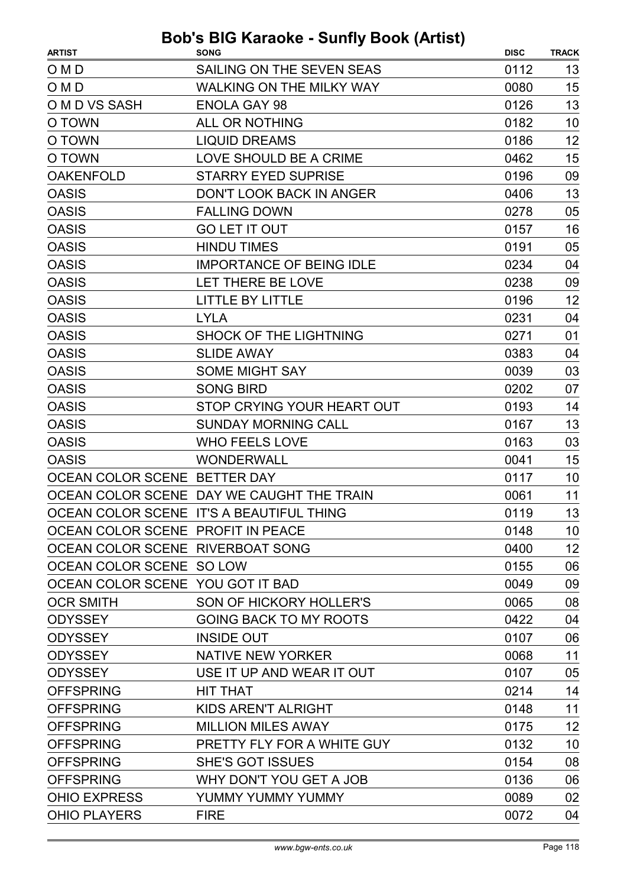| <b>ARTIST</b>                     | <b>SONG</b>                               | <b>DISC</b> | <b>TRACK</b> |
|-----------------------------------|-------------------------------------------|-------------|--------------|
| O M D                             | SAILING ON THE SEVEN SEAS                 | 0112        | 13           |
| O M D                             | <b>WALKING ON THE MILKY WAY</b>           | 0080        | 15           |
| O M D VS SASH                     | <b>ENOLA GAY 98</b>                       | 0126        | 13           |
| O TOWN                            | <b>ALL OR NOTHING</b>                     | 0182        | 10           |
| O TOWN                            | <b>LIQUID DREAMS</b>                      | 0186        | 12           |
| O TOWN                            | LOVE SHOULD BE A CRIME                    | 0462        | 15           |
| <b>OAKENFOLD</b>                  | <b>STARRY EYED SUPRISE</b>                | 0196        | 09           |
| <b>OASIS</b>                      | <b>DON'T LOOK BACK IN ANGER</b>           | 0406        | 13           |
| <b>OASIS</b>                      | <b>FALLING DOWN</b>                       | 0278        | 05           |
| <b>OASIS</b>                      | <b>GO LET IT OUT</b>                      | 0157        | 16           |
| <b>OASIS</b>                      | <b>HINDU TIMES</b>                        | 0191        | 05           |
| <b>OASIS</b>                      | <b>IMPORTANCE OF BEING IDLE</b>           | 0234        | 04           |
| <b>OASIS</b>                      | LET THERE BE LOVE                         | 0238        | 09           |
| <b>OASIS</b>                      | <b>LITTLE BY LITTLE</b>                   | 0196        | 12           |
| <b>OASIS</b>                      | <b>LYLA</b>                               | 0231        | 04           |
| <b>OASIS</b>                      | <b>SHOCK OF THE LIGHTNING</b>             | 0271        | 01           |
| <b>OASIS</b>                      | <b>SLIDE AWAY</b>                         | 0383        | 04           |
| <b>OASIS</b>                      | <b>SOME MIGHT SAY</b>                     | 0039        | 03           |
| <b>OASIS</b>                      | <b>SONG BIRD</b>                          | 0202        | 07           |
| <b>OASIS</b>                      | STOP CRYING YOUR HEART OUT                | 0193        | 14           |
| <b>OASIS</b>                      | <b>SUNDAY MORNING CALL</b>                | 0167        | 13           |
| <b>OASIS</b>                      | <b>WHO FEELS LOVE</b>                     | 0163        | 03           |
| <b>OASIS</b>                      | <b>WONDERWALL</b>                         | 0041        | 15           |
| OCEAN COLOR SCENE BETTER DAY      |                                           | 0117        | 10           |
|                                   | OCEAN COLOR SCENE DAY WE CAUGHT THE TRAIN | 0061        | 11           |
|                                   | OCEAN COLOR SCENE IT'S A BEAUTIFUL THING  | 0119        | 13           |
| OCEAN COLOR SCENE PROFIT IN PEACE |                                           | 0148        | 10           |
| OCEAN COLOR SCENE RIVERBOAT SONG  |                                           | 0400        | 12           |
| OCEAN COLOR SCENE SO LOW          |                                           | 0155        | 06           |
| OCEAN COLOR SCENE YOU GOT IT BAD  |                                           | 0049        | 09           |
| <b>OCR SMITH</b>                  | SON OF HICKORY HOLLER'S                   | 0065        | 08           |
| <b>ODYSSEY</b>                    | GOING BACK TO MY ROOTS                    | 0422        | 04           |
| <b>ODYSSEY</b>                    | <b>INSIDE OUT</b>                         | 0107        | 06           |
| <b>ODYSSEY</b>                    | NATIVE NEW YORKER                         | 0068        | 11           |
| <b>ODYSSEY</b>                    | USE IT UP AND WEAR IT OUT                 | 0107        | 05           |
| <b>OFFSPRING</b>                  | <b>HIT THAT</b>                           | 0214        | 14           |
| <b>OFFSPRING</b>                  | KIDS AREN'T ALRIGHT                       | 0148        | 11           |
| <b>OFFSPRING</b>                  | <b>MILLION MILES AWAY</b>                 | 0175        | 12           |
| <b>OFFSPRING</b>                  | PRETTY FLY FOR A WHITE GUY                | 0132        | 10           |
| <b>OFFSPRING</b>                  | <b>SHE'S GOT ISSUES</b>                   | 0154        | 08           |
| <b>OFFSPRING</b>                  | WHY DON'T YOU GET A JOB                   | 0136        | 06           |
| <b>OHIO EXPRESS</b>               | YUMMY YUMMY YUMMY                         | 0089        | 02           |
| <b>OHIO PLAYERS</b>               | <b>FIRE</b>                               | 0072        | 04           |
|                                   |                                           |             |              |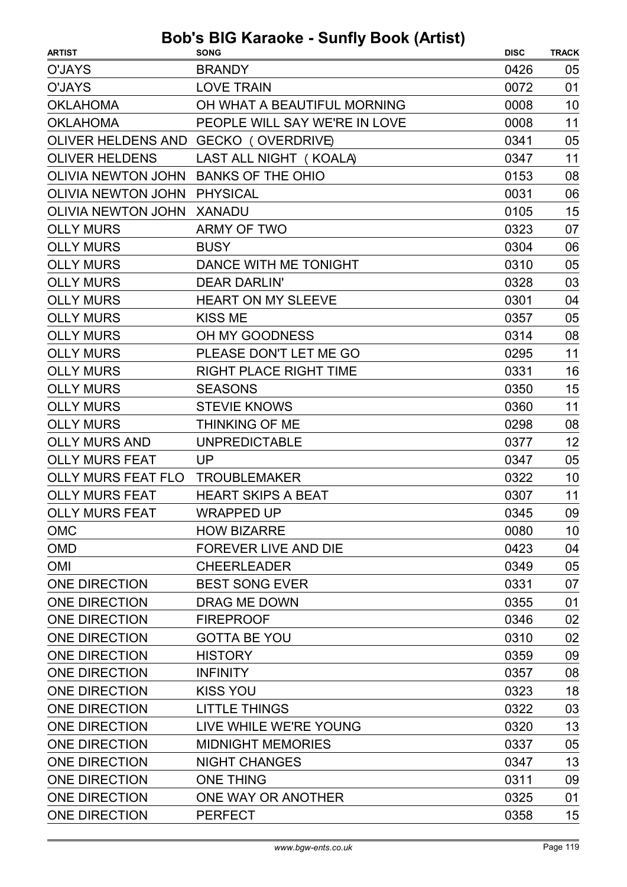| <b>ARTIST</b>             | <b>SONG</b>                          | <b>DISC</b> | <b>TRACK</b> |
|---------------------------|--------------------------------------|-------------|--------------|
| O'JAYS                    | <b>BRANDY</b>                        | 0426        | 05           |
| <b>O'JAYS</b>             | <b>LOVE TRAIN</b>                    | 0072        | 01           |
| <b>OKLAHOMA</b>           | OH WHAT A BEAUTIFUL MORNING          | 0008        | 10           |
| <b>OKLAHOMA</b>           | PEOPLE WILL SAY WE'RE IN LOVE        | 0008        | 11           |
|                           | OLIVER HELDENS AND GECKO (OVERDRIVE) | 0341        | 05           |
| <b>OLIVER HELDENS</b>     | LAST ALL NIGHT (KOALA)               | 0347        | 11           |
| <b>OLIVIA NEWTON JOHN</b> | <b>BANKS OF THE OHIO</b>             | 0153        | 08           |
| <b>OLIVIA NEWTON JOHN</b> | <b>PHYSICAL</b>                      | 0031        | 06           |
| OLIVIA NEWTON JOHN XANADU |                                      | 0105        | 15           |
| <b>OLLY MURS</b>          | <b>ARMY OF TWO</b>                   | 0323        | 07           |
| <b>OLLY MURS</b>          | <b>BUSY</b>                          | 0304        | 06           |
| <b>OLLY MURS</b>          | DANCE WITH ME TONIGHT                | 0310        | 05           |
| <b>OLLY MURS</b>          | <b>DEAR DARLIN'</b>                  | 0328        | 03           |
| <b>OLLY MURS</b>          | <b>HEART ON MY SLEEVE</b>            | 0301        | 04           |
| <b>OLLY MURS</b>          | <b>KISS ME</b>                       | 0357        | 05           |
| <b>OLLY MURS</b>          | OH MY GOODNESS                       | 0314        | 08           |
| <b>OLLY MURS</b>          | PLEASE DON'T LET ME GO               | 0295        | 11           |
| <b>OLLY MURS</b>          | RIGHT PLACE RIGHT TIME               | 0331        | 16           |
| <b>OLLY MURS</b>          | <b>SEASONS</b>                       | 0350        | 15           |
| <b>OLLY MURS</b>          | <b>STEVIE KNOWS</b>                  | 0360        | 11           |
| <b>OLLY MURS</b>          | THINKING OF ME                       | 0298        | 08           |
| <b>OLLY MURS AND</b>      | <b>UNPREDICTABLE</b>                 | 0377        | 12           |
| <b>OLLY MURS FEAT</b>     | UP                                   | 0347        | 05           |
| <b>OLLY MURS FEAT FLO</b> | <b>TROUBLEMAKER</b>                  | 0322        | 10           |
| <b>OLLY MURS FEAT</b>     | <b>HEART SKIPS A BEAT</b>            | 0307        | 11           |
| <b>OLLY MURS FEAT</b>     | <b>WRAPPED UP</b>                    | 0345        | 09           |
| <b>OMC</b>                | <b>HOW BIZARRE</b>                   | 0080        | 10           |
| <b>OMD</b>                | <b>FOREVER LIVE AND DIE</b>          | 0423        | 04           |
| <b>OMI</b>                | <b>CHEERLEADER</b>                   | 0349        | 05           |
| <b>ONE DIRECTION</b>      | <b>BEST SONG EVER</b>                | 0331        | 07           |
| <b>ONE DIRECTION</b>      | DRAG ME DOWN                         | 0355        | 01           |
| <b>ONE DIRECTION</b>      | <b>FIREPROOF</b>                     | 0346        | 02           |
| <b>ONE DIRECTION</b>      | <b>GOTTA BE YOU</b>                  | 0310        | 02           |
| <b>ONE DIRECTION</b>      | <b>HISTORY</b>                       | 0359        | 09           |
| <b>ONE DIRECTION</b>      | <b>INFINITY</b>                      | 0357        | 08           |
| <b>ONE DIRECTION</b>      | <b>KISS YOU</b>                      | 0323        | 18           |
| <b>ONE DIRECTION</b>      | <b>LITTLE THINGS</b>                 | 0322        | 03           |
| <b>ONE DIRECTION</b>      | LIVE WHILE WE'RE YOUNG               | 0320        | 13           |
| <b>ONE DIRECTION</b>      | <b>MIDNIGHT MEMORIES</b>             | 0337        | 05           |
| <b>ONE DIRECTION</b>      | <b>NIGHT CHANGES</b>                 | 0347        | 13           |
| <b>ONE DIRECTION</b>      | <b>ONE THING</b>                     | 0311        | 09           |
| <b>ONE DIRECTION</b>      | ONE WAY OR ANOTHER                   | 0325        | 01           |
| <b>ONE DIRECTION</b>      | <b>PERFECT</b>                       | 0358        | 15           |
|                           |                                      |             |              |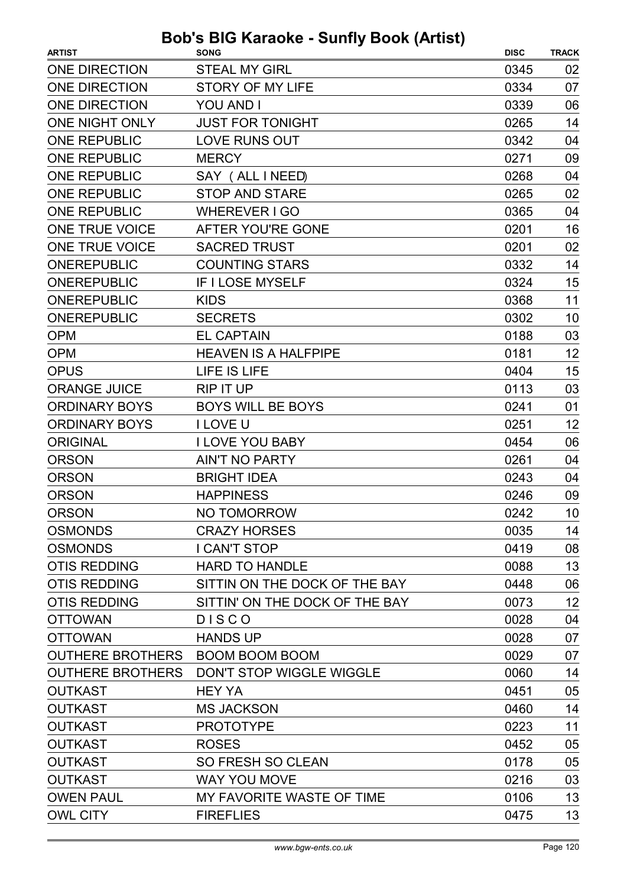| <b>ARTIST</b>           | $3 - 1$<br><b>SONG</b>         | <b>DISC</b> | <b>TRACK</b> |
|-------------------------|--------------------------------|-------------|--------------|
| ONE DIRECTION           | <b>STEAL MY GIRL</b>           | 0345        | 02           |
| <b>ONE DIRECTION</b>    | <b>STORY OF MY LIFE</b>        | 0334        | 07           |
| <b>ONE DIRECTION</b>    | <b>YOU AND I</b>               | 0339        | 06           |
| <b>ONE NIGHT ONLY</b>   | <b>JUST FOR TONIGHT</b>        | 0265        | 14           |
| <b>ONE REPUBLIC</b>     | <b>LOVE RUNS OUT</b>           | 0342        | 04           |
| <b>ONE REPUBLIC</b>     | <b>MERCY</b>                   | 0271        | 09           |
| <b>ONE REPUBLIC</b>     | SAY (ALL INEED)                | 0268        | 04           |
| <b>ONE REPUBLIC</b>     | <b>STOP AND STARE</b>          | 0265        | 02           |
| <b>ONE REPUBLIC</b>     | <b>WHEREVER I GO</b>           | 0365        | 04           |
| ONE TRUE VOICE          | AFTER YOU'RE GONE              | 0201        | 16           |
| ONE TRUE VOICE          | <b>SACRED TRUST</b>            | 0201        | 02           |
| <b>ONEREPUBLIC</b>      | <b>COUNTING STARS</b>          | 0332        | 14           |
| <b>ONEREPUBLIC</b>      | <b>IF I LOSE MYSELF</b>        | 0324        | 15           |
| <b>ONEREPUBLIC</b>      | <b>KIDS</b>                    | 0368        | 11           |
| <b>ONEREPUBLIC</b>      | <b>SECRETS</b>                 | 0302        | 10           |
| <b>OPM</b>              | <b>EL CAPTAIN</b>              | 0188        | 03           |
| <b>OPM</b>              | <b>HEAVEN IS A HALFPIPE</b>    | 0181        | 12           |
| <b>OPUS</b>             | LIFE IS LIFE                   | 0404        | 15           |
| <b>ORANGE JUICE</b>     | <b>RIP IT UP</b>               | 0113        | 03           |
| <b>ORDINARY BOYS</b>    | <b>BOYS WILL BE BOYS</b>       | 0241        | 01           |
| <b>ORDINARY BOYS</b>    | I LOVE U                       | 0251        | 12           |
| <b>ORIGINAL</b>         | <b>I LOVE YOU BABY</b>         | 0454        | 06           |
| <b>ORSON</b>            | <b>AIN'T NO PARTY</b>          | 0261        | 04           |
| <b>ORSON</b>            | <b>BRIGHT IDEA</b>             | 0243        | 04           |
| <b>ORSON</b>            | <b>HAPPINESS</b>               | 0246        | 09           |
| <b>ORSON</b>            | NO TOMORROW                    | 0242        | 10           |
| <b>OSMONDS</b>          | <b>CRAZY HORSES</b>            | 0035        | 14           |
| <b>OSMONDS</b>          | I CAN'T STOP                   | 0419        | 08           |
| <b>OTIS REDDING</b>     | <b>HARD TO HANDLE</b>          | 0088        | 13           |
| <b>OTIS REDDING</b>     | SITTIN ON THE DOCK OF THE BAY  | 0448        | 06           |
| <b>OTIS REDDING</b>     | SITTIN' ON THE DOCK OF THE BAY | 0073        | 12           |
| <b>OTTOWAN</b>          | <b>DISCO</b>                   | 0028        | 04           |
| <b>OTTOWAN</b>          | <b>HANDS UP</b>                | 0028        | 07           |
| <b>OUTHERE BROTHERS</b> | <b>BOOM BOOM BOOM</b>          | 0029        | 07           |
| <b>OUTHERE BROTHERS</b> | DON'T STOP WIGGLE WIGGLE       | 0060        | 14           |
| <b>OUTKAST</b>          | <b>HEY YA</b>                  | 0451        | 05           |
| <b>OUTKAST</b>          | <b>MS JACKSON</b>              | 0460        | 14           |
| <b>OUTKAST</b>          | <b>PROTOTYPE</b>               | 0223        | 11           |
| <b>OUTKAST</b>          | <b>ROSES</b>                   | 0452        | 05           |
| <b>OUTKAST</b>          | <b>SO FRESH SO CLEAN</b>       | 0178        | 05           |
| <b>OUTKAST</b>          | <b>WAY YOU MOVE</b>            | 0216        | 03           |
| <b>OWEN PAUL</b>        | MY FAVORITE WASTE OF TIME      | 0106        | 13           |
| <b>OWL CITY</b>         | <b>FIREFLIES</b>               | 0475        | 13           |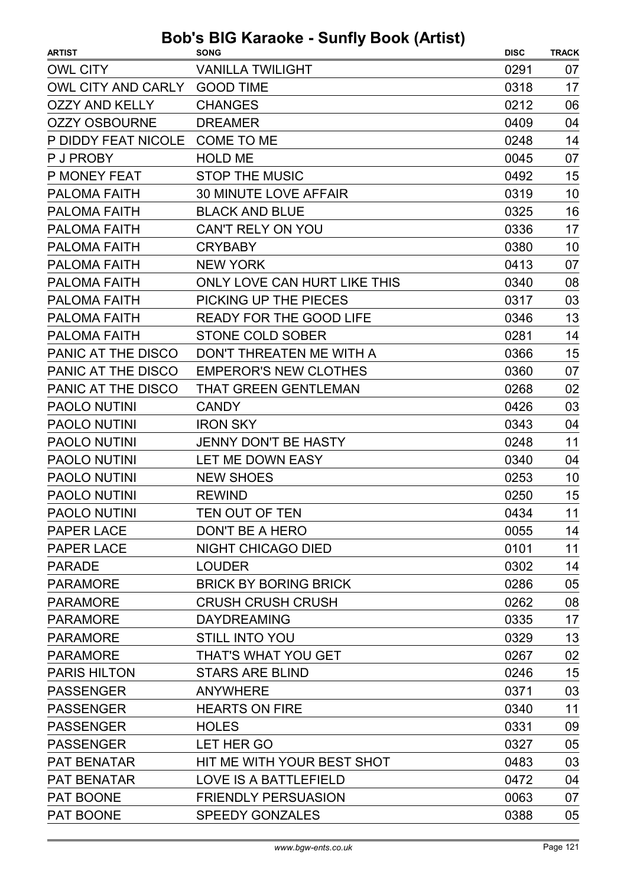| <b>ARTIST</b>         | <b>SONG</b>                    | <b>DISC</b> | <b>TRACK</b> |
|-----------------------|--------------------------------|-------------|--------------|
| <b>OWL CITY</b>       | <b>VANILLA TWILIGHT</b>        | 0291        | 07           |
| OWL CITY AND CARLY    | <b>GOOD TIME</b>               | 0318        | 17           |
| <b>OZZY AND KELLY</b> | <b>CHANGES</b>                 | 0212        | 06           |
| <b>OZZY OSBOURNE</b>  | <b>DREAMER</b>                 | 0409        | 04           |
| P DIDDY FEAT NICOLE   | COME TO ME                     | 0248        | 14           |
| P J PROBY             | <b>HOLD ME</b>                 | 0045        | 07           |
| <b>P MONEY FEAT</b>   | <b>STOP THE MUSIC</b>          | 0492        | 15           |
| <b>PALOMA FAITH</b>   | <b>30 MINUTE LOVE AFFAIR</b>   | 0319        | 10           |
| <b>PALOMA FAITH</b>   | <b>BLACK AND BLUE</b>          | 0325        | 16           |
| <b>PALOMA FAITH</b>   | CAN'T RELY ON YOU              | 0336        | 17           |
| <b>PALOMA FAITH</b>   | <b>CRYBABY</b>                 | 0380        | 10           |
| <b>PALOMA FAITH</b>   | <b>NEW YORK</b>                | 0413        | 07           |
| <b>PALOMA FAITH</b>   | ONLY LOVE CAN HURT LIKE THIS   | 0340        | 08           |
| <b>PALOMA FAITH</b>   | PICKING UP THE PIECES          | 0317        | 03           |
| <b>PALOMA FAITH</b>   | <b>READY FOR THE GOOD LIFE</b> | 0346        | 13           |
| <b>PALOMA FAITH</b>   | <b>STONE COLD SOBER</b>        | 0281        | 14           |
| PANIC AT THE DISCO    | DON'T THREATEN ME WITH A       | 0366        | 15           |
| PANIC AT THE DISCO    | <b>EMPEROR'S NEW CLOTHES</b>   | 0360        | 07           |
| PANIC AT THE DISCO    | <b>THAT GREEN GENTLEMAN</b>    | 0268        | 02           |
| <b>PAOLO NUTINI</b>   | <b>CANDY</b>                   | 0426        | 03           |
| PAOLO NUTINI          | <b>IRON SKY</b>                | 0343        | 04           |
| <b>PAOLO NUTINI</b>   | <b>JENNY DON'T BE HASTY</b>    | 0248        | 11           |
| <b>PAOLO NUTINI</b>   | LET ME DOWN EASY               | 0340        | 04           |
| <b>PAOLO NUTINI</b>   | <b>NEW SHOES</b>               | 0253        | 10           |
| <b>PAOLO NUTINI</b>   | <b>REWIND</b>                  | 0250        | 15           |
| PAOLO NUTINI          | TEN OUT OF TEN                 | 0434        | 11           |
| <b>PAPER LACE</b>     | <b>DON'T BE A HERO</b>         | 0055        | 14           |
| <b>PAPER LACE</b>     | <b>NIGHT CHICAGO DIED</b>      | 0101        | 11           |
| <b>PARADE</b>         | <b>LOUDER</b>                  | 0302        | 14           |
| <b>PARAMORE</b>       | <b>BRICK BY BORING BRICK</b>   | 0286        | 05           |
| <b>PARAMORE</b>       | <b>CRUSH CRUSH CRUSH</b>       | 0262        | 08           |
| <b>PARAMORE</b>       | <b>DAYDREAMING</b>             | 0335        | 17           |
| <b>PARAMORE</b>       | <b>STILL INTO YOU</b>          | 0329        | 13           |
| <b>PARAMORE</b>       | <b>THAT'S WHAT YOU GET</b>     | 0267        | 02           |
| <b>PARIS HILTON</b>   | <b>STARS ARE BLIND</b>         | 0246        | 15           |
| <b>PASSENGER</b>      | <b>ANYWHERE</b>                | 0371        | 03           |
| <b>PASSENGER</b>      | <b>HEARTS ON FIRE</b>          | 0340        | 11           |
| <b>PASSENGER</b>      | <b>HOLES</b>                   | 0331        | 09           |
| <b>PASSENGER</b>      | LET HER GO                     | 0327        | 05           |
| <b>PAT BENATAR</b>    | HIT ME WITH YOUR BEST SHOT     | 0483        | 03           |
| <b>PAT BENATAR</b>    | <b>LOVE IS A BATTLEFIELD</b>   | 0472        | 04           |
| PAT BOONE             | <b>FRIENDLY PERSUASION</b>     | 0063        | 07           |
| PAT BOONE             | <b>SPEEDY GONZALES</b>         | 0388        | 05           |
|                       |                                |             |              |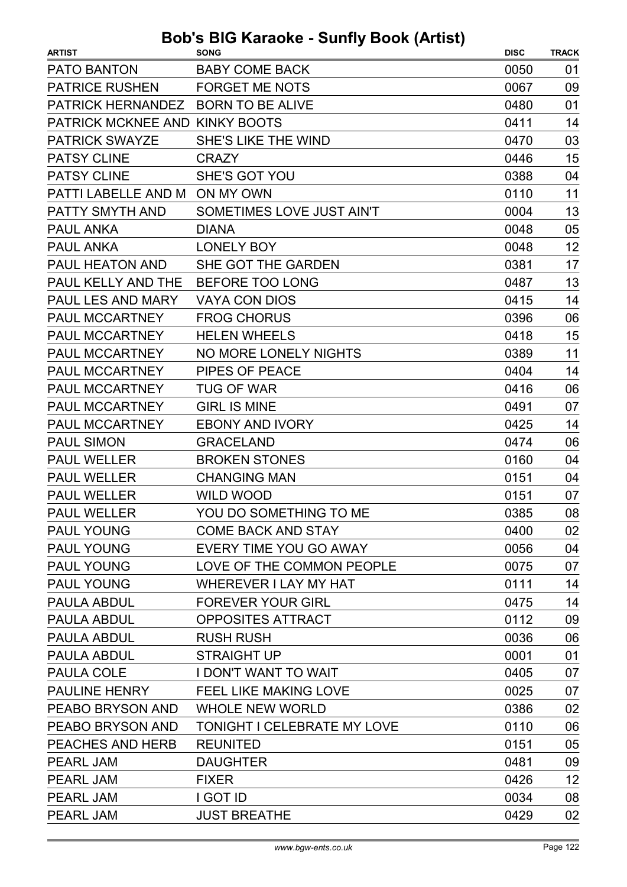| <b>ARTIST</b>                      | <b>SONG</b>                        | <b>DISC</b> | <b>TRACK</b> |
|------------------------------------|------------------------------------|-------------|--------------|
| <b>PATO BANTON</b>                 | <b>BABY COME BACK</b>              | 0050        | 01           |
| <b>PATRICE RUSHEN</b>              | <b>FORGET ME NOTS</b>              | 0067        | 09           |
| PATRICK HERNANDEZ BORN TO BE ALIVE |                                    | 0480        | 01           |
| PATRICK MCKNEE AND KINKY BOOTS     |                                    | 0411        | 14           |
| <b>PATRICK SWAYZE</b>              | SHE'S LIKE THE WIND                | 0470        | 03           |
| <b>PATSY CLINE</b>                 | <b>CRAZY</b>                       | 0446        | 15           |
| <b>PATSY CLINE</b>                 | <b>SHE'S GOT YOU</b>               | 0388        | 04           |
| PATTI LABELLE AND M ON MY OWN      |                                    | 0110        | 11           |
| PATTY SMYTH AND                    | SOMETIMES LOVE JUST AIN'T          | 0004        | 13           |
| <b>PAUL ANKA</b>                   | <b>DIANA</b>                       | 0048        | 05           |
| <b>PAUL ANKA</b>                   | <b>LONELY BOY</b>                  | 0048        | 12           |
| <b>PAUL HEATON AND</b>             | SHE GOT THE GARDEN                 | 0381        | 17           |
| PAUL KELLY AND THE                 | BEFORE TOO LONG                    | 0487        | 13           |
| PAUL LES AND MARY                  | <b>VAYA CON DIOS</b>               | 0415        | 14           |
| PAUL MCCARTNEY                     | <b>FROG CHORUS</b>                 | 0396        | 06           |
| <b>PAUL MCCARTNEY</b>              | <b>HELEN WHEELS</b>                | 0418        | 15           |
| PAUL MCCARTNEY                     | <b>NO MORE LONELY NIGHTS</b>       | 0389        | 11           |
| PAUL MCCARTNEY                     | <b>PIPES OF PEACE</b>              | 0404        | 14           |
| PAUL MCCARTNEY                     | <b>TUG OF WAR</b>                  | 0416        | 06           |
| PAUL MCCARTNEY                     | <b>GIRL IS MINE</b>                | 0491        | 07           |
| PAUL MCCARTNEY                     | <b>EBONY AND IVORY</b>             | 0425        | 14           |
| <b>PAUL SIMON</b>                  | <b>GRACELAND</b>                   | 0474        | 06           |
| <b>PAUL WELLER</b>                 | <b>BROKEN STONES</b>               | 0160        | 04           |
| <b>PAUL WELLER</b>                 | <b>CHANGING MAN</b>                | 0151        | 04           |
| <b>PAUL WELLER</b>                 | <b>WILD WOOD</b>                   | 0151        | 07           |
| PAUL WELLER                        | YOU DO SOMETHING TO ME             | 0385        | 08           |
| <b>PAUL YOUNG</b>                  | <b>COME BACK AND STAY</b>          | 0400        | 02           |
| <b>PAUL YOUNG</b>                  | EVERY TIME YOU GO AWAY             | 0056        | 04           |
| <b>PAUL YOUNG</b>                  | LOVE OF THE COMMON PEOPLE          | 0075        | 07           |
| <b>PAUL YOUNG</b>                  | <b>WHEREVER I LAY MY HAT</b>       | 0111        | 14           |
| PAULA ABDUL                        | <b>FOREVER YOUR GIRL</b>           | 0475        | 14           |
| <b>PAULA ABDUL</b>                 | OPPOSITES ATTRACT                  | 0112        | 09           |
| PAULA ABDUL                        | <b>RUSH RUSH</b>                   | 0036        | 06           |
| PAULA ABDUL                        | <b>STRAIGHT UP</b>                 | 0001        | 01           |
| PAULA COLE                         | I DON'T WANT TO WAIT               | 0405        | 07           |
| PAULINE HENRY                      | FEEL LIKE MAKING LOVE              | 0025        | 07           |
| PEABO BRYSON AND                   | <b>WHOLE NEW WORLD</b>             | 0386        | 02           |
| PEABO BRYSON AND                   | <b>TONIGHT I CELEBRATE MY LOVE</b> | 0110        | 06           |
| PEACHES AND HERB                   | <b>REUNITED</b>                    | 0151        | 05           |
| PEARL JAM                          | <b>DAUGHTER</b>                    | 0481        | 09           |
| PEARL JAM                          | <b>FIXER</b>                       | 0426        | 12           |
| PEARL JAM                          | I GOT ID                           | 0034        | 08           |
| PEARL JAM                          | <b>JUST BREATHE</b>                | 0429        | 02           |
|                                    |                                    |             |              |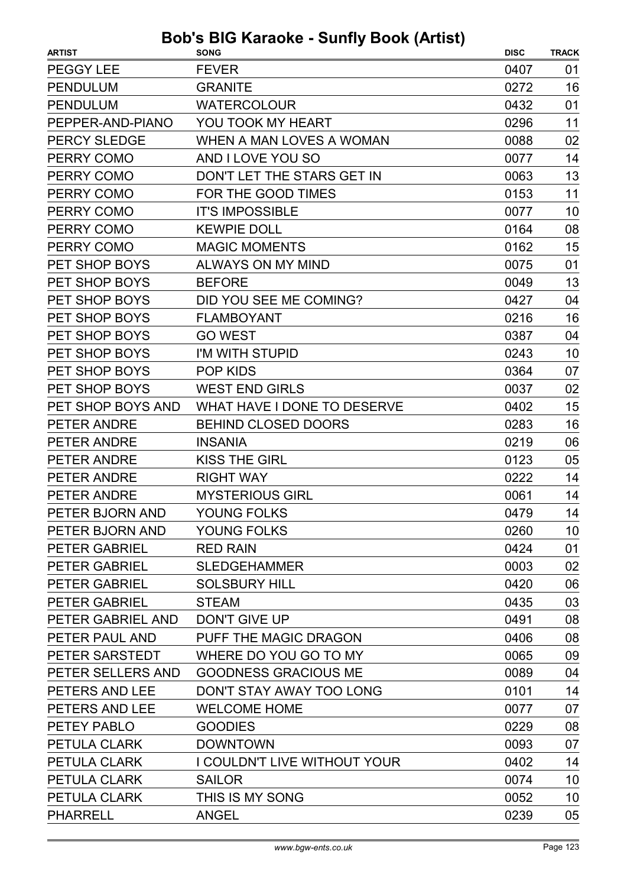| <b>ARTIST</b>         | <b>DUD 3 DIO RAIQURE - OUIIII) DUUR (AILISL)</b><br><b>SONG</b> | <b>DISC</b> | <b>TRACK</b> |
|-----------------------|-----------------------------------------------------------------|-------------|--------------|
| PEGGY LEE             | <b>FEVER</b>                                                    | 0407        | 01           |
| <b>PENDULUM</b>       | <b>GRANITE</b>                                                  | 0272        | 16           |
| <b>PENDULUM</b>       | <b>WATERCOLOUR</b>                                              | 0432        | 01           |
| PEPPER-AND-PIANO      | YOU TOOK MY HEART                                               | 0296        | 11           |
| <b>PERCY SLEDGE</b>   | WHEN A MAN LOVES A WOMAN                                        | 0088        | 02           |
| PERRY COMO            | AND I LOVE YOU SO                                               | 0077        | 14           |
| PERRY COMO            | DON'T LET THE STARS GET IN                                      | 0063        | 13           |
| PERRY COMO            | FOR THE GOOD TIMES                                              | 0153        | 11           |
| PERRY COMO            | <b>IT'S IMPOSSIBLE</b>                                          | 0077        | 10           |
| PERRY COMO            | <b>KEWPIE DOLL</b>                                              | 0164        | 08           |
| PERRY COMO            | <b>MAGIC MOMENTS</b>                                            | 0162        | 15           |
| PET SHOP BOYS         | <b>ALWAYS ON MY MIND</b>                                        | 0075        | 01           |
| PET SHOP BOYS         | <b>BEFORE</b>                                                   | 0049        | 13           |
| PET SHOP BOYS         | DID YOU SEE ME COMING?                                          | 0427        | 04           |
| PET SHOP BOYS         | <b>FLAMBOYANT</b>                                               | 0216        | 16           |
| PET SHOP BOYS         | <b>GO WEST</b>                                                  | 0387        | 04           |
| PET SHOP BOYS         | I'M WITH STUPID                                                 | 0243        | 10           |
| PET SHOP BOYS         | <b>POP KIDS</b>                                                 | 0364        | 07           |
| PET SHOP BOYS         | <b>WEST END GIRLS</b>                                           | 0037        | 02           |
| PET SHOP BOYS AND     | WHAT HAVE I DONE TO DESERVE                                     | 0402        | 15           |
| PETER ANDRE           | <b>BEHIND CLOSED DOORS</b>                                      | 0283        | 16           |
| PETER ANDRE           | <b>INSANIA</b>                                                  | 0219        | 06           |
| PETER ANDRE           | <b>KISS THE GIRL</b>                                            | 0123        | 05           |
| PETER ANDRE           | <b>RIGHT WAY</b>                                                | 0222        | 14           |
| PETER ANDRE           | <b>MYSTERIOUS GIRL</b>                                          | 0061        | 14           |
| PETER BJORN AND       | YOUNG FOLKS                                                     | 0479        | 14           |
| PETER BJORN AND       | YOUNG FOLKS                                                     | 0260        | 10           |
| <b>PETER GABRIEL</b>  | <b>RED RAIN</b>                                                 | 0424        | 01           |
| <b>PETER GABRIEL</b>  | <b>SLEDGEHAMMER</b>                                             | 0003        | 02           |
| <b>PETER GABRIEL</b>  | <b>SOLSBURY HILL</b>                                            | 0420        | 06           |
| <b>PETER GABRIEL</b>  | <b>STEAM</b>                                                    | 0435        | 03           |
| PETER GABRIEL AND     | <b>DON'T GIVE UP</b>                                            | 0491        | 08           |
| PETER PAUL AND        | PUFF THE MAGIC DRAGON                                           | 0406        | 08           |
| PETER SARSTEDT        | WHERE DO YOU GO TO MY                                           | 0065        | 09           |
| PETER SELLERS AND     | <b>GOODNESS GRACIOUS ME</b>                                     | 0089        | 04           |
| <b>PETERS AND LEE</b> | DON'T STAY AWAY TOO LONG                                        | 0101        | 14           |
| PETERS AND LEE        | <b>WELCOME HOME</b>                                             | 0077        | 07           |
| PETEY PABLO           | <b>GOODIES</b>                                                  | 0229        | 08           |
| PETULA CLARK          | <b>DOWNTOWN</b>                                                 | 0093        | 07           |
| <b>PETULA CLARK</b>   | <b>I COULDN'T LIVE WITHOUT YOUR</b>                             | 0402        | 14           |
| PETULA CLARK          | <b>SAILOR</b>                                                   | 0074        | 10           |
| PETULA CLARK          | THIS IS MY SONG                                                 | 0052        | 10           |
| <b>PHARRELL</b>       | <b>ANGEL</b>                                                    | 0239        | 05           |
|                       |                                                                 |             |              |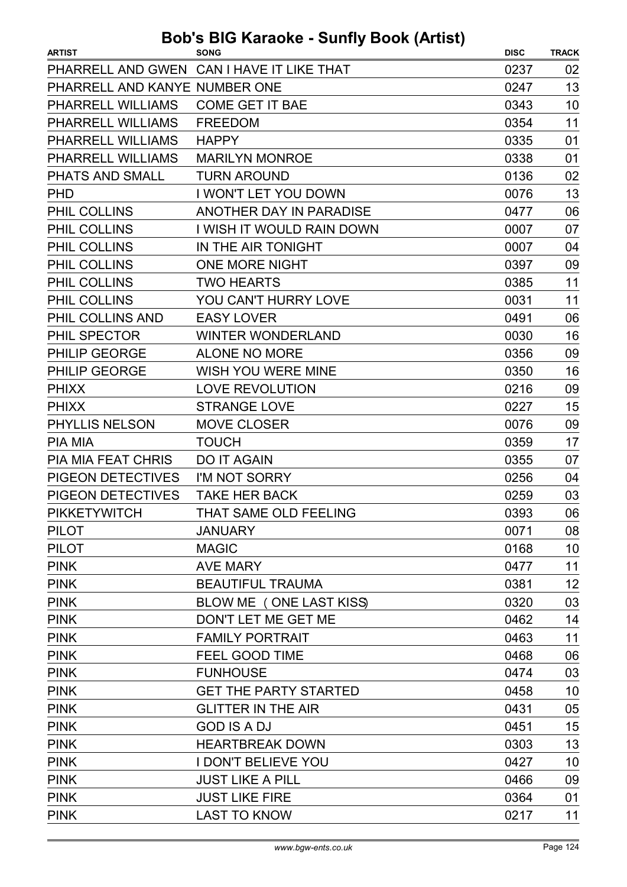| <b>ARTIST</b>                 | $\sim$ naraono carniy boon panol<br><b>SONG</b> | <b>DISC</b> | <b>TRACK</b> |
|-------------------------------|-------------------------------------------------|-------------|--------------|
|                               | PHARRELL AND GWEN CAN I HAVE IT LIKE THAT       | 0237        | 02           |
| PHARRELL AND KANYE NUMBER ONE |                                                 | 0247        | 13           |
| PHARRELL WILLIAMS             | <b>COME GET IT BAE</b>                          | 0343        | 10           |
| PHARRELL WILLIAMS             | <b>FREEDOM</b>                                  | 0354        | 11           |
| PHARRELL WILLIAMS             | <b>HAPPY</b>                                    | 0335        | 01           |
| PHARRELL WILLIAMS             | <b>MARILYN MONROE</b>                           | 0338        | 01           |
| PHATS AND SMALL               | <b>TURN AROUND</b>                              | 0136        | 02           |
| <b>PHD</b>                    | I WON'T LET YOU DOWN                            | 0076        | 13           |
| PHIL COLLINS                  | ANOTHER DAY IN PARADISE                         | 0477        | 06           |
| PHIL COLLINS                  | I WISH IT WOULD RAIN DOWN                       | 0007        | 07           |
| PHIL COLLINS                  | IN THE AIR TONIGHT                              | 0007        | 04           |
| PHIL COLLINS                  | <b>ONE MORE NIGHT</b>                           | 0397        | 09           |
| PHIL COLLINS                  | <b>TWO HEARTS</b>                               | 0385        | 11           |
| PHIL COLLINS                  | YOU CAN'T HURRY LOVE                            | 0031        | 11           |
| PHIL COLLINS AND              | <b>EASY LOVER</b>                               | 0491        | 06           |
| PHIL SPECTOR                  | <b>WINTER WONDERLAND</b>                        | 0030        | 16           |
| PHILIP GEORGE                 | <b>ALONE NO MORE</b>                            | 0356        | 09           |
| <b>PHILIP GEORGE</b>          | <b>WISH YOU WERE MINE</b>                       | 0350        | 16           |
| <b>PHIXX</b>                  | <b>LOVE REVOLUTION</b>                          | 0216        | 09           |
| <b>PHIXX</b>                  | <b>STRANGE LOVE</b>                             | 0227        | 15           |
| PHYLLIS NELSON                | <b>MOVE CLOSER</b>                              | 0076        | 09           |
| <b>PIA MIA</b>                | <b>TOUCH</b>                                    | 0359        | 17           |
| <b>PIA MIA FEAT CHRIS</b>     | <b>DO IT AGAIN</b>                              | 0355        | 07           |
| PIGEON DETECTIVES             | I'M NOT SORRY                                   | 0256        | 04           |
| <b>PIGEON DETECTIVES</b>      | <b>TAKE HER BACK</b>                            | 0259        | 03           |
| <b>PIKKETYWITCH</b>           | THAT SAME OLD FEELING                           | 0393        | 06           |
| <b>PILOT</b>                  | <b>JANUARY</b>                                  | 0071        | 08           |
| <b>PILOT</b>                  | <b>MAGIC</b>                                    | 0168        | 10           |
| <b>PINK</b>                   | <b>AVE MARY</b>                                 | 0477        | 11           |
| <b>PINK</b>                   | <b>BEAUTIFUL TRAUMA</b>                         | 0381        | 12           |
| <b>PINK</b>                   | BLOW ME (ONE LAST KISS)                         | 0320        | 03           |
| <b>PINK</b>                   | DON'T LET ME GET ME                             | 0462        | 14           |
| <b>PINK</b>                   | <b>FAMILY PORTRAIT</b>                          | 0463        | 11           |
| <b>PINK</b>                   | <b>FEEL GOOD TIME</b>                           | 0468        | 06           |
| <b>PINK</b>                   | <b>FUNHOUSE</b>                                 | 0474        | 03           |
| <b>PINK</b>                   | <b>GET THE PARTY STARTED</b>                    | 0458        | 10           |
| <b>PINK</b>                   | <b>GLITTER IN THE AIR</b>                       | 0431        | 05           |
| <b>PINK</b>                   | <b>GOD IS A DJ</b>                              | 0451        | 15           |
| <b>PINK</b>                   | <b>HEARTBREAK DOWN</b>                          | 0303        | 13           |
| <b>PINK</b>                   | <b>I DON'T BELIEVE YOU</b>                      | 0427        | 10           |
| <b>PINK</b>                   | <b>JUST LIKE A PILL</b>                         | 0466        | 09           |
| <b>PINK</b>                   | <b>JUST LIKE FIRE</b>                           | 0364        | 01           |
| <b>PINK</b>                   | <b>LAST TO KNOW</b>                             | 0217        | 11           |
|                               |                                                 |             |              |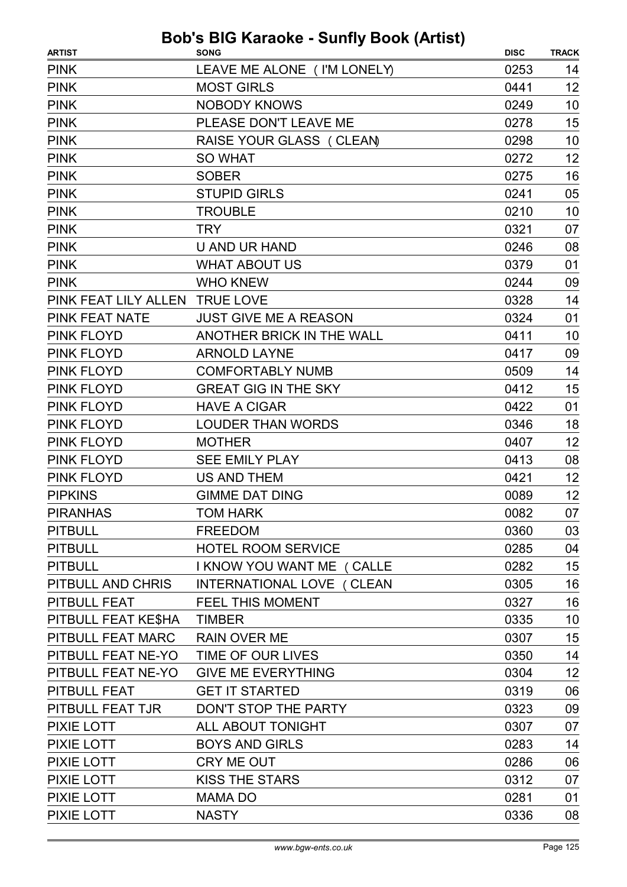| <b>ARTIST</b>         | <b>Bob's BIG Karaoke - Sunfly Book (Artist)</b><br><b>SONG</b> | <b>DISC</b> | <b>TRACK</b> |
|-----------------------|----------------------------------------------------------------|-------------|--------------|
| <b>PINK</b>           | LEAVE ME ALONE ( I'M LONELY)                                   | 0253        | 14           |
| <b>PINK</b>           | <b>MOST GIRLS</b>                                              | 0441        | 12           |
| <b>PINK</b>           | <b>NOBODY KNOWS</b>                                            | 0249        | 10           |
| <b>PINK</b>           | PLEASE DON'T LEAVE ME                                          | 0278        | 15           |
| <b>PINK</b>           | RAISE YOUR GLASS (CLEAN)                                       | 0298        | 10           |
| <b>PINK</b>           | <b>SO WHAT</b>                                                 | 0272        | 12           |
| <b>PINK</b>           | <b>SOBER</b>                                                   | 0275        | 16           |
| <b>PINK</b>           | <b>STUPID GIRLS</b>                                            | 0241        | 05           |
| <b>PINK</b>           | <b>TROUBLE</b>                                                 | 0210        | 10           |
| <b>PINK</b>           | <b>TRY</b>                                                     | 0321        | 07           |
| <b>PINK</b>           | <b>U AND UR HAND</b>                                           | 0246        | 08           |
| <b>PINK</b>           | <b>WHAT ABOUT US</b>                                           | 0379        | 01           |
| <b>PINK</b>           | <b>WHO KNEW</b>                                                | 0244        | 09           |
| PINK FEAT LILY ALLEN  | <b>TRUE LOVE</b>                                               | 0328        | 14           |
| <b>PINK FEAT NATE</b> | <b>JUST GIVE ME A REASON</b>                                   | 0324        | 01           |
| <b>PINK FLOYD</b>     | ANOTHER BRICK IN THE WALL                                      | 0411        | 10           |
| <b>PINK FLOYD</b>     | <b>ARNOLD LAYNE</b>                                            | 0417        | 09           |
| <b>PINK FLOYD</b>     | <b>COMFORTABLY NUMB</b>                                        | 0509        | 14           |
| <b>PINK FLOYD</b>     | <b>GREAT GIG IN THE SKY</b>                                    | 0412        | 15           |
| <b>PINK FLOYD</b>     | <b>HAVE A CIGAR</b>                                            | 0422        | 01           |
| <b>PINK FLOYD</b>     | <b>LOUDER THAN WORDS</b>                                       | 0346        | 18           |
| <b>PINK FLOYD</b>     | <b>MOTHER</b>                                                  | 0407        | 12           |
| <b>PINK FLOYD</b>     | <b>SEE EMILY PLAY</b>                                          | 0413        | 08           |
| <b>PINK FLOYD</b>     | <b>US AND THEM</b>                                             | 0421        | 12           |
| <b>PIPKINS</b>        | <b>GIMME DAT DING</b>                                          | 0089        | 12           |
| <b>PIRANHAS</b>       | <b>TOM HARK</b>                                                | 0082        | 07           |
| <b>PITBULL</b>        | <b>FREEDOM</b>                                                 | 0360        | 03           |
| <b>PITBULL</b>        | <b>HOTEL ROOM SERVICE</b>                                      | 0285        | 04           |
| <b>PITBULL</b>        | I KNOW YOU WANT ME ( CALLE                                     | 0282        | 15           |
| PITBULL AND CHRIS     | INTERNATIONAL LOVE ( CLEAN                                     | 0305        | 16           |
| PITBULL FEAT          | <b>FEEL THIS MOMENT</b>                                        | 0327        | 16           |
| PITBULL FEAT KE\$HA   | <b>TIMBER</b>                                                  | 0335        | 10           |
| PITBULL FEAT MARC     | <b>RAIN OVER ME</b>                                            | 0307        | 15           |
| PITBULL FEAT NE-YO    | TIME OF OUR LIVES                                              | 0350        | 14           |
| PITBULL FEAT NE-YO    | <b>GIVE ME EVERYTHING</b>                                      | 0304        | 12           |
| PITBULL FEAT          | <b>GET IT STARTED</b>                                          | 0319        | 06           |
| PITBULL FEAT TJR      | DON'T STOP THE PARTY                                           | 0323        | 09           |
| <b>PIXIE LOTT</b>     | ALL ABOUT TONIGHT                                              | 0307        | 07           |
| PIXIE LOTT            | <b>BOYS AND GIRLS</b>                                          | 0283        | 14           |
| PIXIE LOTT            | CRY ME OUT                                                     | 0286        | 06           |
| PIXIE LOTT            | <b>KISS THE STARS</b>                                          | 0312        | 07           |
| <b>PIXIE LOTT</b>     | <b>MAMA DO</b>                                                 | 0281        | 01           |
| PIXIE LOTT            | <b>NASTY</b>                                                   | 0336        | 08           |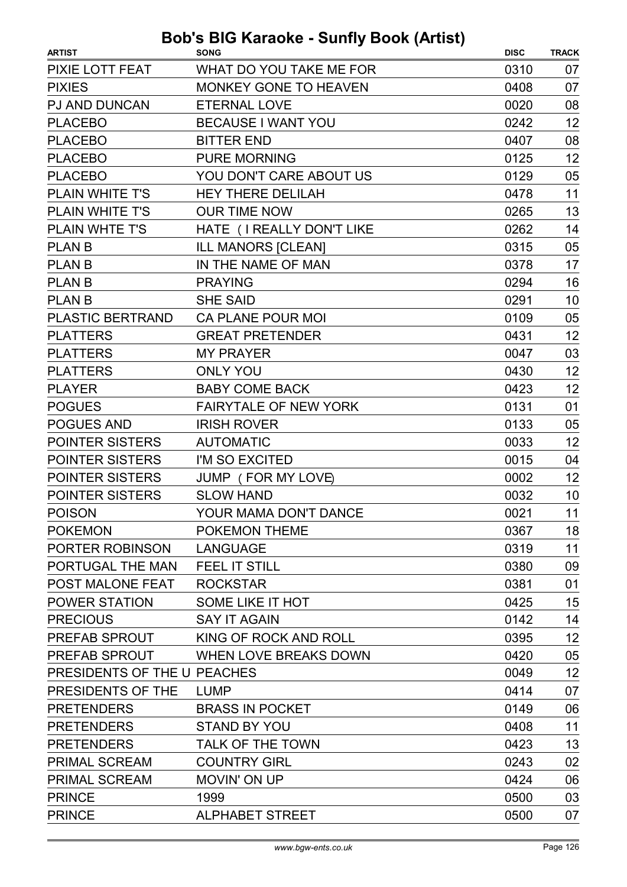| <b>ARTIST</b>               | <b>SONG</b>                  | <b>DISC</b> | <b>TRACK</b> |
|-----------------------------|------------------------------|-------------|--------------|
| PIXIE LOTT FEAT             | WHAT DO YOU TAKE ME FOR      | 0310        | 07           |
| <b>PIXIES</b>               | <b>MONKEY GONE TO HEAVEN</b> | 0408        | 07           |
| <b>PJ AND DUNCAN</b>        | <b>ETERNAL LOVE</b>          | 0020        | 08           |
| <b>PLACEBO</b>              | <b>BECAUSE I WANT YOU</b>    | 0242        | 12           |
| <b>PLACEBO</b>              | <b>BITTER END</b>            | 0407        | 08           |
| <b>PLACEBO</b>              | <b>PURE MORNING</b>          | 0125        | 12           |
| <b>PLACEBO</b>              | YOU DON'T CARE ABOUT US      | 0129        | 05           |
| PLAIN WHITE T'S             | <b>HEY THERE DELILAH</b>     | 0478        | 11           |
| <b>PLAIN WHITE T'S</b>      | <b>OUR TIME NOW</b>          | 0265        | 13           |
| <b>PLAIN WHTE T'S</b>       | HATE (I REALLY DON'T LIKE    | 0262        | 14           |
| <b>PLAN B</b>               | <b>ILL MANORS [CLEAN]</b>    | 0315        | 05           |
| <b>PLAN B</b>               | IN THE NAME OF MAN           | 0378        | 17           |
| <b>PLAN B</b>               | <b>PRAYING</b>               | 0294        | 16           |
| <b>PLAN B</b>               | <b>SHE SAID</b>              | 0291        | 10           |
| <b>PLASTIC BERTRAND</b>     | <b>CA PLANE POUR MOI</b>     | 0109        | 05           |
| <b>PLATTERS</b>             | <b>GREAT PRETENDER</b>       | 0431        | 12           |
| <b>PLATTERS</b>             | <b>MY PRAYER</b>             | 0047        | 03           |
| <b>PLATTERS</b>             | <b>ONLY YOU</b>              | 0430        | 12           |
| <b>PLAYER</b>               | <b>BABY COME BACK</b>        | 0423        | 12           |
| <b>POGUES</b>               | <b>FAIRYTALE OF NEW YORK</b> | 0131        | 01           |
| <b>POGUES AND</b>           | <b>IRISH ROVER</b>           | 0133        | 05           |
| <b>POINTER SISTERS</b>      | <b>AUTOMATIC</b>             | 0033        | 12           |
| <b>POINTER SISTERS</b>      | I'M SO EXCITED               | 0015        | 04           |
| <b>POINTER SISTERS</b>      | JUMP (FOR MY LOVE)           | 0002        | 12           |
| <b>POINTER SISTERS</b>      | <b>SLOW HAND</b>             | 0032        | 10           |
| <b>POISON</b>               | YOUR MAMA DON'T DANCE        | 0021        | 11           |
| <b>POKEMON</b>              | POKEMON THEME                | 0367        | 18           |
| PORTER ROBINSON             | <b>LANGUAGE</b>              | 0319        | 11           |
| PORTUGAL THE MAN            | <b>FEEL IT STILL</b>         | 0380        | 09           |
| POST MALONE FEAT            | <b>ROCKSTAR</b>              | 0381        | 01           |
| <b>POWER STATION</b>        | SOME LIKE IT HOT             | 0425        | 15           |
| <b>PRECIOUS</b>             | <b>SAY IT AGAIN</b>          | 0142        | 14           |
| PREFAB SPROUT               | KING OF ROCK AND ROLL        | 0395        | 12           |
| PREFAB SPROUT               | WHEN LOVE BREAKS DOWN        | 0420        | 05           |
| PRESIDENTS OF THE U PEACHES |                              | 0049        | 12           |
| PRESIDENTS OF THE           | <b>LUMP</b>                  | 0414        | 07           |
| <b>PRETENDERS</b>           | <b>BRASS IN POCKET</b>       | 0149        | 06           |
| <b>PRETENDERS</b>           | <b>STAND BY YOU</b>          | 0408        | 11           |
| <b>PRETENDERS</b>           | <b>TALK OF THE TOWN</b>      | 0423        | 13           |
| <b>PRIMAL SCREAM</b>        | <b>COUNTRY GIRL</b>          | 0243        | 02           |
| <b>PRIMAL SCREAM</b>        | <b>MOVIN' ON UP</b>          | 0424        | 06           |
| <b>PRINCE</b>               | 1999                         | 0500        | 03           |
| <b>PRINCE</b>               | <b>ALPHABET STREET</b>       | 0500        | 07           |
|                             |                              |             |              |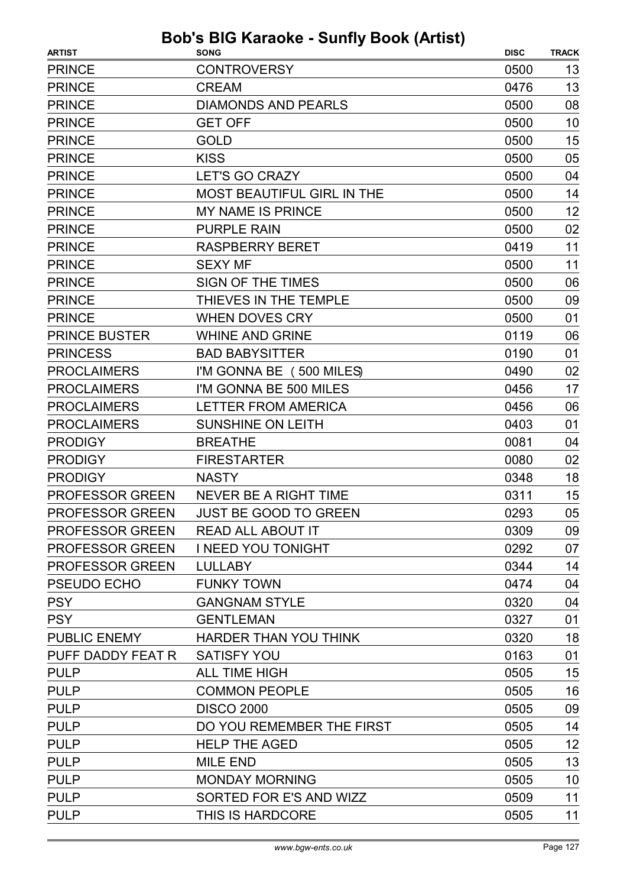| <b>PRINCE</b><br><b>CONTROVERSY</b><br>0500<br>13<br>13<br><b>PRINCE</b><br><b>CREAM</b><br>0476<br><b>PRINCE</b><br><b>DIAMONDS AND PEARLS</b><br>08<br>0500<br>10<br><b>PRINCE</b><br><b>GET OFF</b><br>0500<br><b>GOLD</b><br>15<br><b>PRINCE</b><br>0500<br><b>KISS</b><br>05<br><b>PRINCE</b><br>0500<br>0500<br>04<br><b>PRINCE</b><br><b>LET'S GO CRAZY</b><br>14<br><b>PRINCE</b><br><b>MOST BEAUTIFUL GIRL IN THE</b><br>0500<br>12<br><b>PRINCE</b><br><b>MY NAME IS PRINCE</b><br>0500<br>02<br><b>PRINCE</b><br><b>PURPLE RAIN</b><br>0500<br>11<br><b>PRINCE</b><br><b>RASPBERRY BERET</b><br>0419<br><b>PRINCE</b><br><b>SEXY MF</b><br>0500<br>11<br><b>PRINCE</b><br>SIGN OF THE TIMES<br>0500<br>06<br>THIEVES IN THE TEMPLE<br>0500<br>09<br><b>PRINCE</b><br><b>PRINCE</b><br><b>WHEN DOVES CRY</b><br>0500<br>01<br><b>PRINCE BUSTER</b><br><b>WHINE AND GRINE</b><br>0119<br>06<br><b>PRINCESS</b><br><b>BAD BABYSITTER</b><br>0190<br>01<br><b>PROCLAIMERS</b><br>I'M GONNA BE (500 MILES)<br>0490<br>02<br>I'M GONNA BE 500 MILES<br><b>PROCLAIMERS</b><br>17<br>0456<br>06<br><b>PROCLAIMERS</b><br><b>LETTER FROM AMERICA</b><br>0456<br>01<br><b>PROCLAIMERS</b><br><b>SUNSHINE ON LEITH</b><br>0403<br>0081<br><b>PRODIGY</b><br><b>BREATHE</b><br>04<br><b>FIRESTARTER</b><br><b>PRODIGY</b><br>0080<br>02<br>18<br><b>PRODIGY</b><br><b>NASTY</b><br>0348<br>15<br><b>PROFESSOR GREEN</b><br>0311<br>NEVER BE A RIGHT TIME<br>05<br>PROFESSOR GREEN<br><b>JUST BE GOOD TO GREEN</b><br>0293<br><b>PROFESSOR GREEN</b><br>0309<br>09<br><b>READ ALL ABOUT IT</b><br><b>PROFESSOR GREEN</b><br>I NEED YOU TONIGHT<br>0292<br>PROFESSOR GREEN<br><b>LULLABY</b><br>0344<br>14<br>PSEUDO ECHO<br><b>FUNKY TOWN</b><br>04<br>0474<br><b>PSY</b><br><b>GANGNAM STYLE</b><br>0320<br>04<br><b>PSY</b><br><b>GENTLEMAN</b><br>0327<br>01<br><b>PUBLIC ENEMY</b><br>HARDER THAN YOU THINK<br>0320<br>18<br>PUFF DADDY FEAT R<br><b>SATISFY YOU</b><br>0163<br>01<br><b>PULP</b><br><b>ALL TIME HIGH</b><br>0505<br><b>PULP</b><br><b>COMMON PEOPLE</b><br>0505<br>16<br><b>PULP</b><br><b>DISCO 2000</b><br>0505<br><b>PULP</b><br>DO YOU REMEMBER THE FIRST<br>0505<br>14<br><b>PULP</b><br>12<br><b>HELP THE AGED</b><br>0505<br><b>PULP</b><br><b>MILE END</b><br>0505<br><b>PULP</b><br><b>MONDAY MORNING</b><br>0505<br>10<br><b>PULP</b><br>SORTED FOR E'S AND WIZZ<br>11<br>0509<br><b>PULP</b><br>THIS IS HARDCORE<br>0505<br>11 | <b>ARTIST</b> | $100 \text{ s}$ DIO RaidOng - Odiniy DOON (Artist)<br><b>SONG</b> | <b>DISC</b> | <b>TRACK</b> |
|--------------------------------------------------------------------------------------------------------------------------------------------------------------------------------------------------------------------------------------------------------------------------------------------------------------------------------------------------------------------------------------------------------------------------------------------------------------------------------------------------------------------------------------------------------------------------------------------------------------------------------------------------------------------------------------------------------------------------------------------------------------------------------------------------------------------------------------------------------------------------------------------------------------------------------------------------------------------------------------------------------------------------------------------------------------------------------------------------------------------------------------------------------------------------------------------------------------------------------------------------------------------------------------------------------------------------------------------------------------------------------------------------------------------------------------------------------------------------------------------------------------------------------------------------------------------------------------------------------------------------------------------------------------------------------------------------------------------------------------------------------------------------------------------------------------------------------------------------------------------------------------------------------------------------------------------------------------------------------------------------------------------------------------------------------------------------------------------------------------------------------------------------------------------------------------------------------------------------------------------------------------------------------------------------------------------------------------------------------------------------------------------------------------------------------------------------------------|---------------|-------------------------------------------------------------------|-------------|--------------|
|                                                                                                                                                                                                                                                                                                                                                                                                                                                                                                                                                                                                                                                                                                                                                                                                                                                                                                                                                                                                                                                                                                                                                                                                                                                                                                                                                                                                                                                                                                                                                                                                                                                                                                                                                                                                                                                                                                                                                                                                                                                                                                                                                                                                                                                                                                                                                                                                                                                              |               |                                                                   |             |              |
|                                                                                                                                                                                                                                                                                                                                                                                                                                                                                                                                                                                                                                                                                                                                                                                                                                                                                                                                                                                                                                                                                                                                                                                                                                                                                                                                                                                                                                                                                                                                                                                                                                                                                                                                                                                                                                                                                                                                                                                                                                                                                                                                                                                                                                                                                                                                                                                                                                                              |               |                                                                   |             |              |
|                                                                                                                                                                                                                                                                                                                                                                                                                                                                                                                                                                                                                                                                                                                                                                                                                                                                                                                                                                                                                                                                                                                                                                                                                                                                                                                                                                                                                                                                                                                                                                                                                                                                                                                                                                                                                                                                                                                                                                                                                                                                                                                                                                                                                                                                                                                                                                                                                                                              |               |                                                                   |             |              |
|                                                                                                                                                                                                                                                                                                                                                                                                                                                                                                                                                                                                                                                                                                                                                                                                                                                                                                                                                                                                                                                                                                                                                                                                                                                                                                                                                                                                                                                                                                                                                                                                                                                                                                                                                                                                                                                                                                                                                                                                                                                                                                                                                                                                                                                                                                                                                                                                                                                              |               |                                                                   |             |              |
|                                                                                                                                                                                                                                                                                                                                                                                                                                                                                                                                                                                                                                                                                                                                                                                                                                                                                                                                                                                                                                                                                                                                                                                                                                                                                                                                                                                                                                                                                                                                                                                                                                                                                                                                                                                                                                                                                                                                                                                                                                                                                                                                                                                                                                                                                                                                                                                                                                                              |               |                                                                   |             |              |
|                                                                                                                                                                                                                                                                                                                                                                                                                                                                                                                                                                                                                                                                                                                                                                                                                                                                                                                                                                                                                                                                                                                                                                                                                                                                                                                                                                                                                                                                                                                                                                                                                                                                                                                                                                                                                                                                                                                                                                                                                                                                                                                                                                                                                                                                                                                                                                                                                                                              |               |                                                                   |             |              |
|                                                                                                                                                                                                                                                                                                                                                                                                                                                                                                                                                                                                                                                                                                                                                                                                                                                                                                                                                                                                                                                                                                                                                                                                                                                                                                                                                                                                                                                                                                                                                                                                                                                                                                                                                                                                                                                                                                                                                                                                                                                                                                                                                                                                                                                                                                                                                                                                                                                              |               |                                                                   |             |              |
|                                                                                                                                                                                                                                                                                                                                                                                                                                                                                                                                                                                                                                                                                                                                                                                                                                                                                                                                                                                                                                                                                                                                                                                                                                                                                                                                                                                                                                                                                                                                                                                                                                                                                                                                                                                                                                                                                                                                                                                                                                                                                                                                                                                                                                                                                                                                                                                                                                                              |               |                                                                   |             |              |
|                                                                                                                                                                                                                                                                                                                                                                                                                                                                                                                                                                                                                                                                                                                                                                                                                                                                                                                                                                                                                                                                                                                                                                                                                                                                                                                                                                                                                                                                                                                                                                                                                                                                                                                                                                                                                                                                                                                                                                                                                                                                                                                                                                                                                                                                                                                                                                                                                                                              |               |                                                                   |             |              |
|                                                                                                                                                                                                                                                                                                                                                                                                                                                                                                                                                                                                                                                                                                                                                                                                                                                                                                                                                                                                                                                                                                                                                                                                                                                                                                                                                                                                                                                                                                                                                                                                                                                                                                                                                                                                                                                                                                                                                                                                                                                                                                                                                                                                                                                                                                                                                                                                                                                              |               |                                                                   |             |              |
|                                                                                                                                                                                                                                                                                                                                                                                                                                                                                                                                                                                                                                                                                                                                                                                                                                                                                                                                                                                                                                                                                                                                                                                                                                                                                                                                                                                                                                                                                                                                                                                                                                                                                                                                                                                                                                                                                                                                                                                                                                                                                                                                                                                                                                                                                                                                                                                                                                                              |               |                                                                   |             |              |
|                                                                                                                                                                                                                                                                                                                                                                                                                                                                                                                                                                                                                                                                                                                                                                                                                                                                                                                                                                                                                                                                                                                                                                                                                                                                                                                                                                                                                                                                                                                                                                                                                                                                                                                                                                                                                                                                                                                                                                                                                                                                                                                                                                                                                                                                                                                                                                                                                                                              |               |                                                                   |             |              |
|                                                                                                                                                                                                                                                                                                                                                                                                                                                                                                                                                                                                                                                                                                                                                                                                                                                                                                                                                                                                                                                                                                                                                                                                                                                                                                                                                                                                                                                                                                                                                                                                                                                                                                                                                                                                                                                                                                                                                                                                                                                                                                                                                                                                                                                                                                                                                                                                                                                              |               |                                                                   |             |              |
|                                                                                                                                                                                                                                                                                                                                                                                                                                                                                                                                                                                                                                                                                                                                                                                                                                                                                                                                                                                                                                                                                                                                                                                                                                                                                                                                                                                                                                                                                                                                                                                                                                                                                                                                                                                                                                                                                                                                                                                                                                                                                                                                                                                                                                                                                                                                                                                                                                                              |               |                                                                   |             |              |
|                                                                                                                                                                                                                                                                                                                                                                                                                                                                                                                                                                                                                                                                                                                                                                                                                                                                                                                                                                                                                                                                                                                                                                                                                                                                                                                                                                                                                                                                                                                                                                                                                                                                                                                                                                                                                                                                                                                                                                                                                                                                                                                                                                                                                                                                                                                                                                                                                                                              |               |                                                                   |             |              |
|                                                                                                                                                                                                                                                                                                                                                                                                                                                                                                                                                                                                                                                                                                                                                                                                                                                                                                                                                                                                                                                                                                                                                                                                                                                                                                                                                                                                                                                                                                                                                                                                                                                                                                                                                                                                                                                                                                                                                                                                                                                                                                                                                                                                                                                                                                                                                                                                                                                              |               |                                                                   |             |              |
|                                                                                                                                                                                                                                                                                                                                                                                                                                                                                                                                                                                                                                                                                                                                                                                                                                                                                                                                                                                                                                                                                                                                                                                                                                                                                                                                                                                                                                                                                                                                                                                                                                                                                                                                                                                                                                                                                                                                                                                                                                                                                                                                                                                                                                                                                                                                                                                                                                                              |               |                                                                   |             |              |
|                                                                                                                                                                                                                                                                                                                                                                                                                                                                                                                                                                                                                                                                                                                                                                                                                                                                                                                                                                                                                                                                                                                                                                                                                                                                                                                                                                                                                                                                                                                                                                                                                                                                                                                                                                                                                                                                                                                                                                                                                                                                                                                                                                                                                                                                                                                                                                                                                                                              |               |                                                                   |             |              |
|                                                                                                                                                                                                                                                                                                                                                                                                                                                                                                                                                                                                                                                                                                                                                                                                                                                                                                                                                                                                                                                                                                                                                                                                                                                                                                                                                                                                                                                                                                                                                                                                                                                                                                                                                                                                                                                                                                                                                                                                                                                                                                                                                                                                                                                                                                                                                                                                                                                              |               |                                                                   |             |              |
|                                                                                                                                                                                                                                                                                                                                                                                                                                                                                                                                                                                                                                                                                                                                                                                                                                                                                                                                                                                                                                                                                                                                                                                                                                                                                                                                                                                                                                                                                                                                                                                                                                                                                                                                                                                                                                                                                                                                                                                                                                                                                                                                                                                                                                                                                                                                                                                                                                                              |               |                                                                   |             |              |
|                                                                                                                                                                                                                                                                                                                                                                                                                                                                                                                                                                                                                                                                                                                                                                                                                                                                                                                                                                                                                                                                                                                                                                                                                                                                                                                                                                                                                                                                                                                                                                                                                                                                                                                                                                                                                                                                                                                                                                                                                                                                                                                                                                                                                                                                                                                                                                                                                                                              |               |                                                                   |             |              |
|                                                                                                                                                                                                                                                                                                                                                                                                                                                                                                                                                                                                                                                                                                                                                                                                                                                                                                                                                                                                                                                                                                                                                                                                                                                                                                                                                                                                                                                                                                                                                                                                                                                                                                                                                                                                                                                                                                                                                                                                                                                                                                                                                                                                                                                                                                                                                                                                                                                              |               |                                                                   |             |              |
|                                                                                                                                                                                                                                                                                                                                                                                                                                                                                                                                                                                                                                                                                                                                                                                                                                                                                                                                                                                                                                                                                                                                                                                                                                                                                                                                                                                                                                                                                                                                                                                                                                                                                                                                                                                                                                                                                                                                                                                                                                                                                                                                                                                                                                                                                                                                                                                                                                                              |               |                                                                   |             |              |
|                                                                                                                                                                                                                                                                                                                                                                                                                                                                                                                                                                                                                                                                                                                                                                                                                                                                                                                                                                                                                                                                                                                                                                                                                                                                                                                                                                                                                                                                                                                                                                                                                                                                                                                                                                                                                                                                                                                                                                                                                                                                                                                                                                                                                                                                                                                                                                                                                                                              |               |                                                                   |             |              |
|                                                                                                                                                                                                                                                                                                                                                                                                                                                                                                                                                                                                                                                                                                                                                                                                                                                                                                                                                                                                                                                                                                                                                                                                                                                                                                                                                                                                                                                                                                                                                                                                                                                                                                                                                                                                                                                                                                                                                                                                                                                                                                                                                                                                                                                                                                                                                                                                                                                              |               |                                                                   |             |              |
|                                                                                                                                                                                                                                                                                                                                                                                                                                                                                                                                                                                                                                                                                                                                                                                                                                                                                                                                                                                                                                                                                                                                                                                                                                                                                                                                                                                                                                                                                                                                                                                                                                                                                                                                                                                                                                                                                                                                                                                                                                                                                                                                                                                                                                                                                                                                                                                                                                                              |               |                                                                   |             |              |
|                                                                                                                                                                                                                                                                                                                                                                                                                                                                                                                                                                                                                                                                                                                                                                                                                                                                                                                                                                                                                                                                                                                                                                                                                                                                                                                                                                                                                                                                                                                                                                                                                                                                                                                                                                                                                                                                                                                                                                                                                                                                                                                                                                                                                                                                                                                                                                                                                                                              |               |                                                                   |             |              |
|                                                                                                                                                                                                                                                                                                                                                                                                                                                                                                                                                                                                                                                                                                                                                                                                                                                                                                                                                                                                                                                                                                                                                                                                                                                                                                                                                                                                                                                                                                                                                                                                                                                                                                                                                                                                                                                                                                                                                                                                                                                                                                                                                                                                                                                                                                                                                                                                                                                              |               |                                                                   |             |              |
|                                                                                                                                                                                                                                                                                                                                                                                                                                                                                                                                                                                                                                                                                                                                                                                                                                                                                                                                                                                                                                                                                                                                                                                                                                                                                                                                                                                                                                                                                                                                                                                                                                                                                                                                                                                                                                                                                                                                                                                                                                                                                                                                                                                                                                                                                                                                                                                                                                                              |               |                                                                   |             | 07           |
|                                                                                                                                                                                                                                                                                                                                                                                                                                                                                                                                                                                                                                                                                                                                                                                                                                                                                                                                                                                                                                                                                                                                                                                                                                                                                                                                                                                                                                                                                                                                                                                                                                                                                                                                                                                                                                                                                                                                                                                                                                                                                                                                                                                                                                                                                                                                                                                                                                                              |               |                                                                   |             |              |
|                                                                                                                                                                                                                                                                                                                                                                                                                                                                                                                                                                                                                                                                                                                                                                                                                                                                                                                                                                                                                                                                                                                                                                                                                                                                                                                                                                                                                                                                                                                                                                                                                                                                                                                                                                                                                                                                                                                                                                                                                                                                                                                                                                                                                                                                                                                                                                                                                                                              |               |                                                                   |             |              |
|                                                                                                                                                                                                                                                                                                                                                                                                                                                                                                                                                                                                                                                                                                                                                                                                                                                                                                                                                                                                                                                                                                                                                                                                                                                                                                                                                                                                                                                                                                                                                                                                                                                                                                                                                                                                                                                                                                                                                                                                                                                                                                                                                                                                                                                                                                                                                                                                                                                              |               |                                                                   |             |              |
|                                                                                                                                                                                                                                                                                                                                                                                                                                                                                                                                                                                                                                                                                                                                                                                                                                                                                                                                                                                                                                                                                                                                                                                                                                                                                                                                                                                                                                                                                                                                                                                                                                                                                                                                                                                                                                                                                                                                                                                                                                                                                                                                                                                                                                                                                                                                                                                                                                                              |               |                                                                   |             |              |
|                                                                                                                                                                                                                                                                                                                                                                                                                                                                                                                                                                                                                                                                                                                                                                                                                                                                                                                                                                                                                                                                                                                                                                                                                                                                                                                                                                                                                                                                                                                                                                                                                                                                                                                                                                                                                                                                                                                                                                                                                                                                                                                                                                                                                                                                                                                                                                                                                                                              |               |                                                                   |             |              |
|                                                                                                                                                                                                                                                                                                                                                                                                                                                                                                                                                                                                                                                                                                                                                                                                                                                                                                                                                                                                                                                                                                                                                                                                                                                                                                                                                                                                                                                                                                                                                                                                                                                                                                                                                                                                                                                                                                                                                                                                                                                                                                                                                                                                                                                                                                                                                                                                                                                              |               |                                                                   |             |              |
|                                                                                                                                                                                                                                                                                                                                                                                                                                                                                                                                                                                                                                                                                                                                                                                                                                                                                                                                                                                                                                                                                                                                                                                                                                                                                                                                                                                                                                                                                                                                                                                                                                                                                                                                                                                                                                                                                                                                                                                                                                                                                                                                                                                                                                                                                                                                                                                                                                                              |               |                                                                   |             | 15           |
|                                                                                                                                                                                                                                                                                                                                                                                                                                                                                                                                                                                                                                                                                                                                                                                                                                                                                                                                                                                                                                                                                                                                                                                                                                                                                                                                                                                                                                                                                                                                                                                                                                                                                                                                                                                                                                                                                                                                                                                                                                                                                                                                                                                                                                                                                                                                                                                                                                                              |               |                                                                   |             |              |
|                                                                                                                                                                                                                                                                                                                                                                                                                                                                                                                                                                                                                                                                                                                                                                                                                                                                                                                                                                                                                                                                                                                                                                                                                                                                                                                                                                                                                                                                                                                                                                                                                                                                                                                                                                                                                                                                                                                                                                                                                                                                                                                                                                                                                                                                                                                                                                                                                                                              |               |                                                                   |             | 09           |
|                                                                                                                                                                                                                                                                                                                                                                                                                                                                                                                                                                                                                                                                                                                                                                                                                                                                                                                                                                                                                                                                                                                                                                                                                                                                                                                                                                                                                                                                                                                                                                                                                                                                                                                                                                                                                                                                                                                                                                                                                                                                                                                                                                                                                                                                                                                                                                                                                                                              |               |                                                                   |             |              |
|                                                                                                                                                                                                                                                                                                                                                                                                                                                                                                                                                                                                                                                                                                                                                                                                                                                                                                                                                                                                                                                                                                                                                                                                                                                                                                                                                                                                                                                                                                                                                                                                                                                                                                                                                                                                                                                                                                                                                                                                                                                                                                                                                                                                                                                                                                                                                                                                                                                              |               |                                                                   |             |              |
|                                                                                                                                                                                                                                                                                                                                                                                                                                                                                                                                                                                                                                                                                                                                                                                                                                                                                                                                                                                                                                                                                                                                                                                                                                                                                                                                                                                                                                                                                                                                                                                                                                                                                                                                                                                                                                                                                                                                                                                                                                                                                                                                                                                                                                                                                                                                                                                                                                                              |               |                                                                   |             | 13           |
|                                                                                                                                                                                                                                                                                                                                                                                                                                                                                                                                                                                                                                                                                                                                                                                                                                                                                                                                                                                                                                                                                                                                                                                                                                                                                                                                                                                                                                                                                                                                                                                                                                                                                                                                                                                                                                                                                                                                                                                                                                                                                                                                                                                                                                                                                                                                                                                                                                                              |               |                                                                   |             |              |
|                                                                                                                                                                                                                                                                                                                                                                                                                                                                                                                                                                                                                                                                                                                                                                                                                                                                                                                                                                                                                                                                                                                                                                                                                                                                                                                                                                                                                                                                                                                                                                                                                                                                                                                                                                                                                                                                                                                                                                                                                                                                                                                                                                                                                                                                                                                                                                                                                                                              |               |                                                                   |             |              |
|                                                                                                                                                                                                                                                                                                                                                                                                                                                                                                                                                                                                                                                                                                                                                                                                                                                                                                                                                                                                                                                                                                                                                                                                                                                                                                                                                                                                                                                                                                                                                                                                                                                                                                                                                                                                                                                                                                                                                                                                                                                                                                                                                                                                                                                                                                                                                                                                                                                              |               |                                                                   |             |              |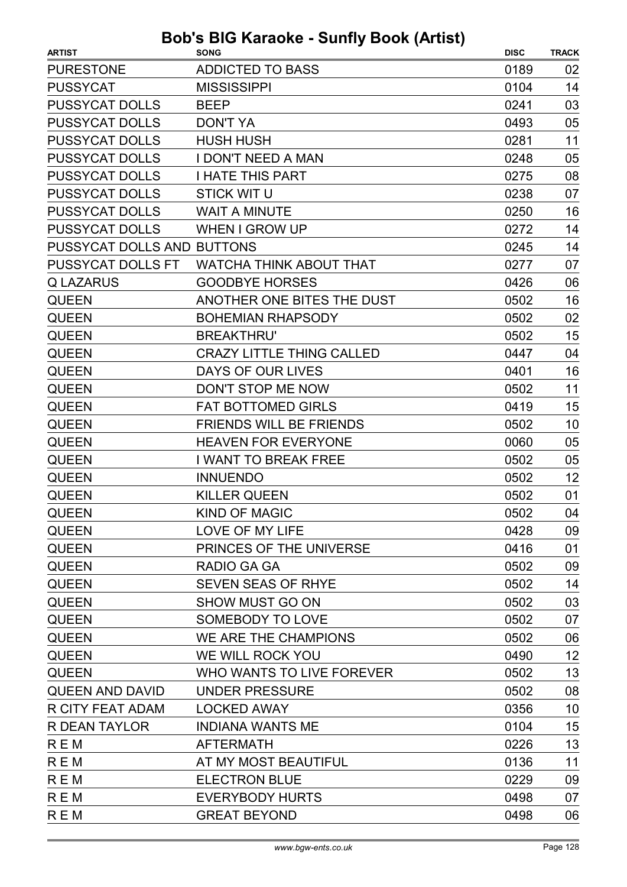| <b>ARTIST</b>              | <b>SONG</b>                      | <b>DISC</b> | <b>TRACK</b> |
|----------------------------|----------------------------------|-------------|--------------|
| <b>PURESTONE</b>           | <b>ADDICTED TO BASS</b>          | 0189        | 02           |
| <b>PUSSYCAT</b>            | <b>MISSISSIPPI</b>               | 0104        | 14           |
| <b>PUSSYCAT DOLLS</b>      | <b>BEEP</b>                      | 0241        | 03           |
| <b>PUSSYCAT DOLLS</b>      | <b>DON'T YA</b>                  | 0493        | 05           |
| <b>PUSSYCAT DOLLS</b>      | <b>HUSH HUSH</b>                 | 0281        | 11           |
| <b>PUSSYCAT DOLLS</b>      | <b>I DON'T NEED A MAN</b>        | 0248        | 05           |
| <b>PUSSYCAT DOLLS</b>      | <b>I HATE THIS PART</b>          | 0275        | 08           |
| <b>PUSSYCAT DOLLS</b>      | <b>STICK WIT U</b>               | 0238        | 07           |
| <b>PUSSYCAT DOLLS</b>      | <b>WAIT A MINUTE</b>             | 0250        | 16           |
| <b>PUSSYCAT DOLLS</b>      | <b>WHEN I GROW UP</b>            | 0272        | 14           |
| PUSSYCAT DOLLS AND BUTTONS |                                  | 0245        | 14           |
| <b>PUSSYCAT DOLLS FT</b>   | <b>WATCHA THINK ABOUT THAT</b>   | 0277        | 07           |
| <b>Q LAZARUS</b>           | <b>GOODBYE HORSES</b>            | 0426        | 06           |
| <b>QUEEN</b>               | ANOTHER ONE BITES THE DUST       | 0502        | 16           |
| <b>QUEEN</b>               | <b>BOHEMIAN RHAPSODY</b>         | 0502        | 02           |
| <b>QUEEN</b>               | <b>BREAKTHRU'</b>                | 0502        | 15           |
| <b>QUEEN</b>               | <b>CRAZY LITTLE THING CALLED</b> | 0447        | 04           |
| <b>QUEEN</b>               | DAYS OF OUR LIVES                | 0401        | 16           |
| <b>QUEEN</b>               | DON'T STOP ME NOW                | 0502        | 11           |
| <b>QUEEN</b>               | <b>FAT BOTTOMED GIRLS</b>        | 0419        | 15           |
| <b>QUEEN</b>               | <b>FRIENDS WILL BE FRIENDS</b>   | 0502        | 10           |
| <b>QUEEN</b>               | <b>HEAVEN FOR EVERYONE</b>       | 0060        | 05           |
| <b>QUEEN</b>               | <b>I WANT TO BREAK FREE</b>      | 0502        | 05           |
| <b>QUEEN</b>               | <b>INNUENDO</b>                  | 0502        | 12           |
| <b>QUEEN</b>               | <b>KILLER QUEEN</b>              | 0502        | 01           |
| <b>QUEEN</b>               | KIND OF MAGIC                    | 0502        | 04           |
| <b>QUEEN</b>               | LOVE OF MY LIFE                  | 0428        | 09           |
| <b>QUEEN</b>               | PRINCES OF THE UNIVERSE          | 0416        | 01           |
| <b>QUEEN</b>               | RADIO GA GA                      | 0502        | 09           |
| <b>QUEEN</b>               | SEVEN SEAS OF RHYE               | 0502        | 14           |
| <b>QUEEN</b>               | <b>SHOW MUST GO ON</b>           | 0502        | 03           |
| <b>QUEEN</b>               | SOMEBODY TO LOVE                 | 0502        | 07           |
| <b>QUEEN</b>               | WE ARE THE CHAMPIONS             | 0502        | 06           |
| <b>QUEEN</b>               | WE WILL ROCK YOU                 | 0490        | 12           |
| <b>QUEEN</b>               | WHO WANTS TO LIVE FOREVER        | 0502        | 13           |
| <b>QUEEN AND DAVID</b>     | <b>UNDER PRESSURE</b>            | 0502        | 08           |
| R CITY FEAT ADAM           | <b>LOCKED AWAY</b>               | 0356        | 10           |
| R DEAN TAYLOR              | <b>INDIANA WANTS ME</b>          | 0104        | 15           |
| <b>REM</b>                 | <b>AFTERMATH</b>                 | 0226        | 13           |
| <b>REM</b>                 | AT MY MOST BEAUTIFUL             | 0136        | 11           |
| <b>REM</b>                 | <b>ELECTRON BLUE</b>             | 0229        | 09           |
| <b>REM</b>                 | <b>EVERYBODY HURTS</b>           | 0498        | 07           |
| <b>REM</b>                 | <b>GREAT BEYOND</b>              | 0498        | 06           |
|                            |                                  |             |              |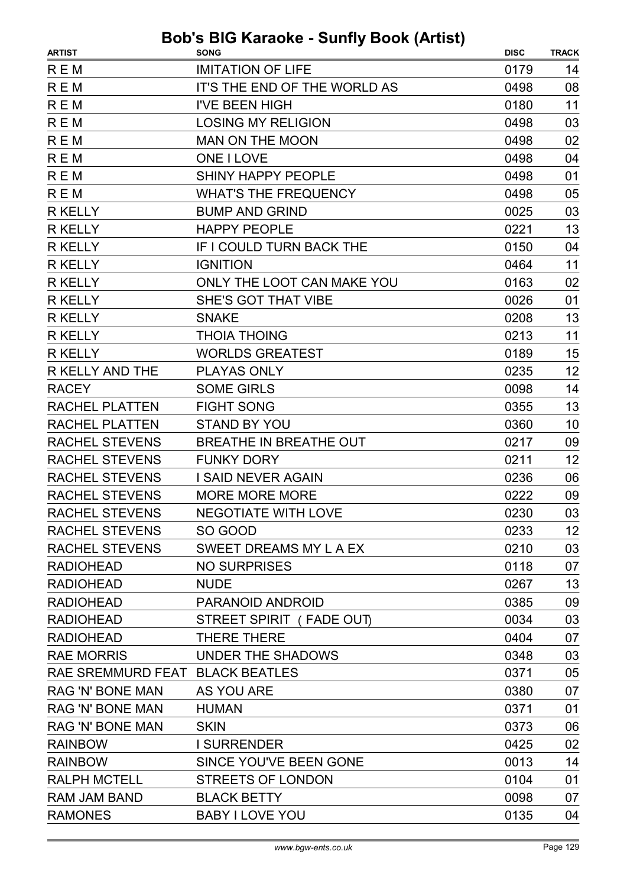|                                 | $\sim$ Karaono canny Doon (rution)      |             |              |
|---------------------------------|-----------------------------------------|-------------|--------------|
| <b>ARTIST</b><br><b>REM</b>     | <b>SONG</b><br><b>IMITATION OF LIFE</b> | <b>DISC</b> | <b>TRACK</b> |
|                                 |                                         | 0179        | 14           |
| <b>REM</b>                      | IT'S THE END OF THE WORLD AS            | 0498        | 08           |
| <b>REM</b>                      | <b>I'VE BEEN HIGH</b>                   | 0180        | 11           |
| <b>REM</b>                      | <b>LOSING MY RELIGION</b>               | 0498        | 03           |
| <b>REM</b>                      | <b>MAN ON THE MOON</b>                  | 0498        | 02           |
| <b>REM</b>                      | <b>ONE I LOVE</b>                       | 0498        | 04           |
| <b>REM</b>                      | <b>SHINY HAPPY PEOPLE</b>               | 0498        | 01           |
| <b>REM</b>                      | <b>WHAT'S THE FREQUENCY</b>             | 0498        | 05           |
| <b>R KELLY</b>                  | <b>BUMP AND GRIND</b>                   | 0025        | 03           |
| <b>R KELLY</b>                  | <b>HAPPY PEOPLE</b>                     | 0221        | 13           |
| <b>R KELLY</b>                  | IF I COULD TURN BACK THE                | 0150        | 04           |
| <b>R KELLY</b>                  | <b>IGNITION</b>                         | 0464        | 11           |
| <b>R KELLY</b>                  | ONLY THE LOOT CAN MAKE YOU              | 0163        | 02           |
| <b>R KELLY</b>                  | SHE'S GOT THAT VIBE                     | 0026        | 01           |
| <b>R KELLY</b>                  | <b>SNAKE</b>                            | 0208        | 13           |
| <b>R KELLY</b>                  | <b>THOIA THOING</b>                     | 0213        | 11           |
| <b>R KELLY</b>                  | <b>WORLDS GREATEST</b>                  | 0189        | 15           |
| R KELLY AND THE                 | <b>PLAYAS ONLY</b>                      | 0235        | 12           |
| <b>RACEY</b>                    | <b>SOME GIRLS</b>                       | 0098        | 14           |
| <b>RACHEL PLATTEN</b>           | <b>FIGHT SONG</b>                       | 0355        | 13           |
| <b>RACHEL PLATTEN</b>           | <b>STAND BY YOU</b>                     | 0360        | 10           |
| <b>RACHEL STEVENS</b>           | BREATHE IN BREATHE OUT                  | 0217        | 09           |
| <b>RACHEL STEVENS</b>           | <b>FUNKY DORY</b>                       | 0211        | 12           |
| <b>RACHEL STEVENS</b>           | <b>I SAID NEVER AGAIN</b>               | 0236        | 06           |
| <b>RACHEL STEVENS</b>           | <b>MORE MORE MORE</b>                   | 0222        | 09           |
| RACHEL STEVENS                  | <b>NEGOTIATE WITH LOVE</b>              | 0230        | 03           |
| <b>RACHEL STEVENS</b>           | SO GOOD                                 | 0233        | 12           |
| <b>RACHEL STEVENS</b>           | SWEET DREAMS MY L A EX                  | 0210        | 03           |
| <b>RADIOHEAD</b>                | <b>NO SURPRISES</b>                     | 0118        | 07           |
| <b>RADIOHEAD</b>                | <b>NUDE</b>                             | 0267        | 13           |
| <b>RADIOHEAD</b>                | PARANOID ANDROID                        | 0385        | 09           |
| <b>RADIOHEAD</b>                | STREET SPIRIT (FADE OUT)                | 0034        | 03           |
| <b>RADIOHEAD</b>                | <b>THERE THERE</b>                      | 0404        | 07           |
| <b>RAE MORRIS</b>               | UNDER THE SHADOWS                       | 0348        | 03           |
| RAE SREMMURD FEAT BLACK BEATLES |                                         | 0371        | 05           |
| <b>RAG 'N' BONE MAN</b>         | <b>AS YOU ARE</b>                       | 0380        | 07           |
| <b>RAG 'N' BONE MAN</b>         | <b>HUMAN</b>                            | 0371        | 01           |
| <b>RAG 'N' BONE MAN</b>         | <b>SKIN</b>                             | 0373        | 06           |
| <b>RAINBOW</b>                  | <b>I SURRENDER</b>                      | 0425        | 02           |
| <b>RAINBOW</b>                  | SINCE YOU'VE BEEN GONE                  | 0013        | 14           |
| <b>RALPH MCTELL</b>             | <b>STREETS OF LONDON</b>                | 0104        | 01           |
| RAM JAM BAND                    | <b>BLACK BETTY</b>                      | 0098        | 07           |
| <b>RAMONES</b>                  | <b>BABY I LOVE YOU</b>                  | 0135        | 04           |
|                                 |                                         |             |              |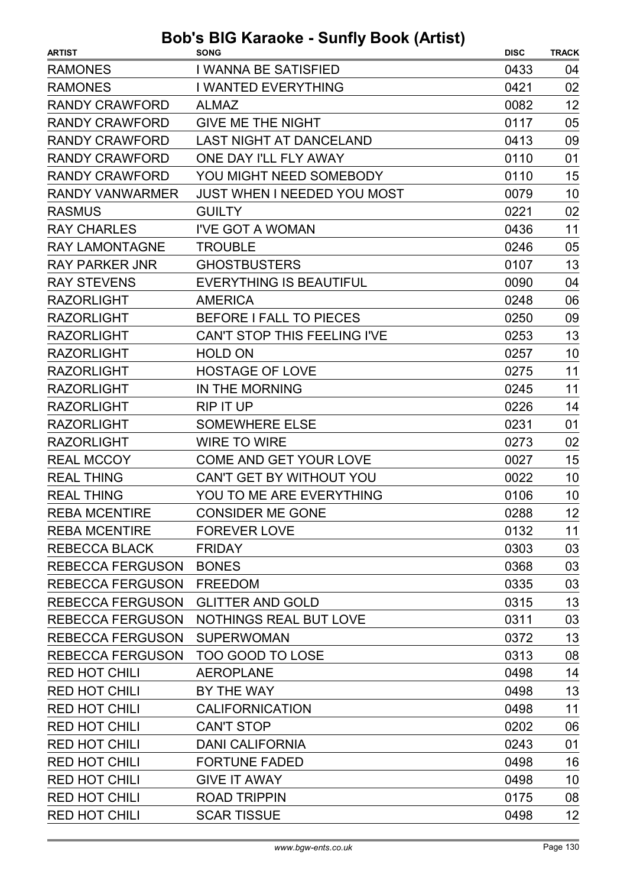| <b>RAMONES</b><br>I WANNA BE SATISFIED<br>0433<br>04<br>02<br><b>RAMONES</b><br><b>I WANTED EVERYTHING</b><br>0421<br>12<br><b>RANDY CRAWFORD</b><br>0082<br><b>ALMAZ</b><br><b>GIVE ME THE NIGHT</b><br>0117<br>05<br><b>RANDY CRAWFORD</b><br>09<br><b>LAST NIGHT AT DANCELAND</b><br><b>RANDY CRAWFORD</b><br>0413<br><b>RANDY CRAWFORD</b><br>ONE DAY I'LL FLY AWAY<br>0110<br>01<br>15<br><b>RANDY CRAWFORD</b><br>YOU MIGHT NEED SOMEBODY<br>0110<br><b>JUST WHEN I NEEDED YOU MOST</b><br>10<br><b>RANDY VANWARMER</b><br>0079<br>02<br><b>RASMUS</b><br><b>GUILTY</b><br>0221<br>11<br><b>RAY CHARLES</b><br>I'VE GOT A WOMAN<br>0436<br><b>RAY LAMONTAGNE</b><br><b>TROUBLE</b><br>05<br>0246<br>13<br><b>RAY PARKER JNR</b><br><b>GHOSTBUSTERS</b><br>0107<br><b>EVERYTHING IS BEAUTIFUL</b><br>0090<br>04<br><b>RAY STEVENS</b><br>06<br><b>RAZORLIGHT</b><br><b>AMERICA</b><br>0248<br><b>RAZORLIGHT</b><br>BEFORE I FALL TO PIECES<br>0250<br>09<br><b>RAZORLIGHT</b><br>13<br><b>CAN'T STOP THIS FEELING I'VE</b><br>0253<br><b>RAZORLIGHT</b><br><b>HOLD ON</b><br>10<br>0257<br>11<br><b>RAZORLIGHT</b><br><b>HOSTAGE OF LOVE</b><br>0275<br>11<br><b>RAZORLIGHT</b><br>IN THE MORNING<br>0245<br>14<br><b>RAZORLIGHT</b><br>0226<br><b>RIP IT UP</b><br><b>RAZORLIGHT</b><br><b>SOMEWHERE ELSE</b><br>01<br>0231<br>02<br><b>RAZORLIGHT</b><br><b>WIRE TO WIRE</b><br>0273<br>15<br><b>REAL MCCOY</b><br><b>COME AND GET YOUR LOVE</b><br>0027<br><b>REAL THING</b><br>CAN'T GET BY WITHOUT YOU<br>0022<br>10<br>10<br><b>REAL THING</b><br>YOU TO ME ARE EVERYTHING<br>0106<br>12<br>0288<br><b>REBA MCENTIRE</b><br><b>CONSIDER ME GONE</b><br><b>REBA MCENTIRE</b><br><b>FOREVER LOVE</b><br>0132<br>11<br>0303<br>03<br><b>REBECCA BLACK</b><br><b>FRIDAY</b><br><b>REBECCA FERGUSON</b><br><b>BONES</b><br>0368<br>03<br>03<br><b>REBECCA FERGUSON</b><br><b>FREEDOM</b><br>0335<br>13<br><b>REBECCA FERGUSON</b><br><b>GLITTER AND GOLD</b><br>0315<br><b>REBECCA FERGUSON</b><br><b>NOTHINGS REAL BUT LOVE</b><br>03<br>0311<br>13<br><b>REBECCA FERGUSON</b><br><b>SUPERWOMAN</b><br>0372<br>08<br><b>REBECCA FERGUSON</b><br><b>TOO GOOD TO LOSE</b><br>0313<br>14<br><b>RED HOT CHILI</b><br><b>AEROPLANE</b><br>0498<br>13<br><b>RED HOT CHILI</b><br>BY THE WAY<br>0498<br>11<br><b>RED HOT CHILI</b><br><b>CALIFORNICATION</b><br>0498<br><b>RED HOT CHILI</b><br><b>CAN'T STOP</b><br>0202<br>06<br><b>RED HOT CHILI</b><br>0243<br>01<br><b>DANI CALIFORNIA</b><br>16<br><b>RED HOT CHILI</b><br><b>FORTUNE FADED</b><br>0498<br>10<br><b>RED HOT CHILI</b><br><b>GIVE IT AWAY</b><br>0498<br><b>RED HOT CHILI</b><br><b>ROAD TRIPPIN</b><br>08<br>0175<br>12<br><b>RED HOT CHILI</b><br><b>SCAR TISSUE</b><br>0498 | <b>ARTIST</b> | <b>SONG</b> | <b>DISC</b> | <b>TRACK</b> |
|-----------------------------------------------------------------------------------------------------------------------------------------------------------------------------------------------------------------------------------------------------------------------------------------------------------------------------------------------------------------------------------------------------------------------------------------------------------------------------------------------------------------------------------------------------------------------------------------------------------------------------------------------------------------------------------------------------------------------------------------------------------------------------------------------------------------------------------------------------------------------------------------------------------------------------------------------------------------------------------------------------------------------------------------------------------------------------------------------------------------------------------------------------------------------------------------------------------------------------------------------------------------------------------------------------------------------------------------------------------------------------------------------------------------------------------------------------------------------------------------------------------------------------------------------------------------------------------------------------------------------------------------------------------------------------------------------------------------------------------------------------------------------------------------------------------------------------------------------------------------------------------------------------------------------------------------------------------------------------------------------------------------------------------------------------------------------------------------------------------------------------------------------------------------------------------------------------------------------------------------------------------------------------------------------------------------------------------------------------------------------------------------------------------------------------------------------------------------------------------------------------------------------------------------------------------------------------------------------------------------------------------------------------------------------------------------------------------------------------------------------------|---------------|-------------|-------------|--------------|
|                                                                                                                                                                                                                                                                                                                                                                                                                                                                                                                                                                                                                                                                                                                                                                                                                                                                                                                                                                                                                                                                                                                                                                                                                                                                                                                                                                                                                                                                                                                                                                                                                                                                                                                                                                                                                                                                                                                                                                                                                                                                                                                                                                                                                                                                                                                                                                                                                                                                                                                                                                                                                                                                                                                                                     |               |             |             |              |
|                                                                                                                                                                                                                                                                                                                                                                                                                                                                                                                                                                                                                                                                                                                                                                                                                                                                                                                                                                                                                                                                                                                                                                                                                                                                                                                                                                                                                                                                                                                                                                                                                                                                                                                                                                                                                                                                                                                                                                                                                                                                                                                                                                                                                                                                                                                                                                                                                                                                                                                                                                                                                                                                                                                                                     |               |             |             |              |
|                                                                                                                                                                                                                                                                                                                                                                                                                                                                                                                                                                                                                                                                                                                                                                                                                                                                                                                                                                                                                                                                                                                                                                                                                                                                                                                                                                                                                                                                                                                                                                                                                                                                                                                                                                                                                                                                                                                                                                                                                                                                                                                                                                                                                                                                                                                                                                                                                                                                                                                                                                                                                                                                                                                                                     |               |             |             |              |
|                                                                                                                                                                                                                                                                                                                                                                                                                                                                                                                                                                                                                                                                                                                                                                                                                                                                                                                                                                                                                                                                                                                                                                                                                                                                                                                                                                                                                                                                                                                                                                                                                                                                                                                                                                                                                                                                                                                                                                                                                                                                                                                                                                                                                                                                                                                                                                                                                                                                                                                                                                                                                                                                                                                                                     |               |             |             |              |
|                                                                                                                                                                                                                                                                                                                                                                                                                                                                                                                                                                                                                                                                                                                                                                                                                                                                                                                                                                                                                                                                                                                                                                                                                                                                                                                                                                                                                                                                                                                                                                                                                                                                                                                                                                                                                                                                                                                                                                                                                                                                                                                                                                                                                                                                                                                                                                                                                                                                                                                                                                                                                                                                                                                                                     |               |             |             |              |
|                                                                                                                                                                                                                                                                                                                                                                                                                                                                                                                                                                                                                                                                                                                                                                                                                                                                                                                                                                                                                                                                                                                                                                                                                                                                                                                                                                                                                                                                                                                                                                                                                                                                                                                                                                                                                                                                                                                                                                                                                                                                                                                                                                                                                                                                                                                                                                                                                                                                                                                                                                                                                                                                                                                                                     |               |             |             |              |
|                                                                                                                                                                                                                                                                                                                                                                                                                                                                                                                                                                                                                                                                                                                                                                                                                                                                                                                                                                                                                                                                                                                                                                                                                                                                                                                                                                                                                                                                                                                                                                                                                                                                                                                                                                                                                                                                                                                                                                                                                                                                                                                                                                                                                                                                                                                                                                                                                                                                                                                                                                                                                                                                                                                                                     |               |             |             |              |
|                                                                                                                                                                                                                                                                                                                                                                                                                                                                                                                                                                                                                                                                                                                                                                                                                                                                                                                                                                                                                                                                                                                                                                                                                                                                                                                                                                                                                                                                                                                                                                                                                                                                                                                                                                                                                                                                                                                                                                                                                                                                                                                                                                                                                                                                                                                                                                                                                                                                                                                                                                                                                                                                                                                                                     |               |             |             |              |
|                                                                                                                                                                                                                                                                                                                                                                                                                                                                                                                                                                                                                                                                                                                                                                                                                                                                                                                                                                                                                                                                                                                                                                                                                                                                                                                                                                                                                                                                                                                                                                                                                                                                                                                                                                                                                                                                                                                                                                                                                                                                                                                                                                                                                                                                                                                                                                                                                                                                                                                                                                                                                                                                                                                                                     |               |             |             |              |
|                                                                                                                                                                                                                                                                                                                                                                                                                                                                                                                                                                                                                                                                                                                                                                                                                                                                                                                                                                                                                                                                                                                                                                                                                                                                                                                                                                                                                                                                                                                                                                                                                                                                                                                                                                                                                                                                                                                                                                                                                                                                                                                                                                                                                                                                                                                                                                                                                                                                                                                                                                                                                                                                                                                                                     |               |             |             |              |
|                                                                                                                                                                                                                                                                                                                                                                                                                                                                                                                                                                                                                                                                                                                                                                                                                                                                                                                                                                                                                                                                                                                                                                                                                                                                                                                                                                                                                                                                                                                                                                                                                                                                                                                                                                                                                                                                                                                                                                                                                                                                                                                                                                                                                                                                                                                                                                                                                                                                                                                                                                                                                                                                                                                                                     |               |             |             |              |
|                                                                                                                                                                                                                                                                                                                                                                                                                                                                                                                                                                                                                                                                                                                                                                                                                                                                                                                                                                                                                                                                                                                                                                                                                                                                                                                                                                                                                                                                                                                                                                                                                                                                                                                                                                                                                                                                                                                                                                                                                                                                                                                                                                                                                                                                                                                                                                                                                                                                                                                                                                                                                                                                                                                                                     |               |             |             |              |
|                                                                                                                                                                                                                                                                                                                                                                                                                                                                                                                                                                                                                                                                                                                                                                                                                                                                                                                                                                                                                                                                                                                                                                                                                                                                                                                                                                                                                                                                                                                                                                                                                                                                                                                                                                                                                                                                                                                                                                                                                                                                                                                                                                                                                                                                                                                                                                                                                                                                                                                                                                                                                                                                                                                                                     |               |             |             |              |
|                                                                                                                                                                                                                                                                                                                                                                                                                                                                                                                                                                                                                                                                                                                                                                                                                                                                                                                                                                                                                                                                                                                                                                                                                                                                                                                                                                                                                                                                                                                                                                                                                                                                                                                                                                                                                                                                                                                                                                                                                                                                                                                                                                                                                                                                                                                                                                                                                                                                                                                                                                                                                                                                                                                                                     |               |             |             |              |
|                                                                                                                                                                                                                                                                                                                                                                                                                                                                                                                                                                                                                                                                                                                                                                                                                                                                                                                                                                                                                                                                                                                                                                                                                                                                                                                                                                                                                                                                                                                                                                                                                                                                                                                                                                                                                                                                                                                                                                                                                                                                                                                                                                                                                                                                                                                                                                                                                                                                                                                                                                                                                                                                                                                                                     |               |             |             |              |
|                                                                                                                                                                                                                                                                                                                                                                                                                                                                                                                                                                                                                                                                                                                                                                                                                                                                                                                                                                                                                                                                                                                                                                                                                                                                                                                                                                                                                                                                                                                                                                                                                                                                                                                                                                                                                                                                                                                                                                                                                                                                                                                                                                                                                                                                                                                                                                                                                                                                                                                                                                                                                                                                                                                                                     |               |             |             |              |
|                                                                                                                                                                                                                                                                                                                                                                                                                                                                                                                                                                                                                                                                                                                                                                                                                                                                                                                                                                                                                                                                                                                                                                                                                                                                                                                                                                                                                                                                                                                                                                                                                                                                                                                                                                                                                                                                                                                                                                                                                                                                                                                                                                                                                                                                                                                                                                                                                                                                                                                                                                                                                                                                                                                                                     |               |             |             |              |
|                                                                                                                                                                                                                                                                                                                                                                                                                                                                                                                                                                                                                                                                                                                                                                                                                                                                                                                                                                                                                                                                                                                                                                                                                                                                                                                                                                                                                                                                                                                                                                                                                                                                                                                                                                                                                                                                                                                                                                                                                                                                                                                                                                                                                                                                                                                                                                                                                                                                                                                                                                                                                                                                                                                                                     |               |             |             |              |
|                                                                                                                                                                                                                                                                                                                                                                                                                                                                                                                                                                                                                                                                                                                                                                                                                                                                                                                                                                                                                                                                                                                                                                                                                                                                                                                                                                                                                                                                                                                                                                                                                                                                                                                                                                                                                                                                                                                                                                                                                                                                                                                                                                                                                                                                                                                                                                                                                                                                                                                                                                                                                                                                                                                                                     |               |             |             |              |
|                                                                                                                                                                                                                                                                                                                                                                                                                                                                                                                                                                                                                                                                                                                                                                                                                                                                                                                                                                                                                                                                                                                                                                                                                                                                                                                                                                                                                                                                                                                                                                                                                                                                                                                                                                                                                                                                                                                                                                                                                                                                                                                                                                                                                                                                                                                                                                                                                                                                                                                                                                                                                                                                                                                                                     |               |             |             |              |
|                                                                                                                                                                                                                                                                                                                                                                                                                                                                                                                                                                                                                                                                                                                                                                                                                                                                                                                                                                                                                                                                                                                                                                                                                                                                                                                                                                                                                                                                                                                                                                                                                                                                                                                                                                                                                                                                                                                                                                                                                                                                                                                                                                                                                                                                                                                                                                                                                                                                                                                                                                                                                                                                                                                                                     |               |             |             |              |
|                                                                                                                                                                                                                                                                                                                                                                                                                                                                                                                                                                                                                                                                                                                                                                                                                                                                                                                                                                                                                                                                                                                                                                                                                                                                                                                                                                                                                                                                                                                                                                                                                                                                                                                                                                                                                                                                                                                                                                                                                                                                                                                                                                                                                                                                                                                                                                                                                                                                                                                                                                                                                                                                                                                                                     |               |             |             |              |
|                                                                                                                                                                                                                                                                                                                                                                                                                                                                                                                                                                                                                                                                                                                                                                                                                                                                                                                                                                                                                                                                                                                                                                                                                                                                                                                                                                                                                                                                                                                                                                                                                                                                                                                                                                                                                                                                                                                                                                                                                                                                                                                                                                                                                                                                                                                                                                                                                                                                                                                                                                                                                                                                                                                                                     |               |             |             |              |
|                                                                                                                                                                                                                                                                                                                                                                                                                                                                                                                                                                                                                                                                                                                                                                                                                                                                                                                                                                                                                                                                                                                                                                                                                                                                                                                                                                                                                                                                                                                                                                                                                                                                                                                                                                                                                                                                                                                                                                                                                                                                                                                                                                                                                                                                                                                                                                                                                                                                                                                                                                                                                                                                                                                                                     |               |             |             |              |
|                                                                                                                                                                                                                                                                                                                                                                                                                                                                                                                                                                                                                                                                                                                                                                                                                                                                                                                                                                                                                                                                                                                                                                                                                                                                                                                                                                                                                                                                                                                                                                                                                                                                                                                                                                                                                                                                                                                                                                                                                                                                                                                                                                                                                                                                                                                                                                                                                                                                                                                                                                                                                                                                                                                                                     |               |             |             |              |
|                                                                                                                                                                                                                                                                                                                                                                                                                                                                                                                                                                                                                                                                                                                                                                                                                                                                                                                                                                                                                                                                                                                                                                                                                                                                                                                                                                                                                                                                                                                                                                                                                                                                                                                                                                                                                                                                                                                                                                                                                                                                                                                                                                                                                                                                                                                                                                                                                                                                                                                                                                                                                                                                                                                                                     |               |             |             |              |
|                                                                                                                                                                                                                                                                                                                                                                                                                                                                                                                                                                                                                                                                                                                                                                                                                                                                                                                                                                                                                                                                                                                                                                                                                                                                                                                                                                                                                                                                                                                                                                                                                                                                                                                                                                                                                                                                                                                                                                                                                                                                                                                                                                                                                                                                                                                                                                                                                                                                                                                                                                                                                                                                                                                                                     |               |             |             |              |
|                                                                                                                                                                                                                                                                                                                                                                                                                                                                                                                                                                                                                                                                                                                                                                                                                                                                                                                                                                                                                                                                                                                                                                                                                                                                                                                                                                                                                                                                                                                                                                                                                                                                                                                                                                                                                                                                                                                                                                                                                                                                                                                                                                                                                                                                                                                                                                                                                                                                                                                                                                                                                                                                                                                                                     |               |             |             |              |
|                                                                                                                                                                                                                                                                                                                                                                                                                                                                                                                                                                                                                                                                                                                                                                                                                                                                                                                                                                                                                                                                                                                                                                                                                                                                                                                                                                                                                                                                                                                                                                                                                                                                                                                                                                                                                                                                                                                                                                                                                                                                                                                                                                                                                                                                                                                                                                                                                                                                                                                                                                                                                                                                                                                                                     |               |             |             |              |
|                                                                                                                                                                                                                                                                                                                                                                                                                                                                                                                                                                                                                                                                                                                                                                                                                                                                                                                                                                                                                                                                                                                                                                                                                                                                                                                                                                                                                                                                                                                                                                                                                                                                                                                                                                                                                                                                                                                                                                                                                                                                                                                                                                                                                                                                                                                                                                                                                                                                                                                                                                                                                                                                                                                                                     |               |             |             |              |
|                                                                                                                                                                                                                                                                                                                                                                                                                                                                                                                                                                                                                                                                                                                                                                                                                                                                                                                                                                                                                                                                                                                                                                                                                                                                                                                                                                                                                                                                                                                                                                                                                                                                                                                                                                                                                                                                                                                                                                                                                                                                                                                                                                                                                                                                                                                                                                                                                                                                                                                                                                                                                                                                                                                                                     |               |             |             |              |
|                                                                                                                                                                                                                                                                                                                                                                                                                                                                                                                                                                                                                                                                                                                                                                                                                                                                                                                                                                                                                                                                                                                                                                                                                                                                                                                                                                                                                                                                                                                                                                                                                                                                                                                                                                                                                                                                                                                                                                                                                                                                                                                                                                                                                                                                                                                                                                                                                                                                                                                                                                                                                                                                                                                                                     |               |             |             |              |
|                                                                                                                                                                                                                                                                                                                                                                                                                                                                                                                                                                                                                                                                                                                                                                                                                                                                                                                                                                                                                                                                                                                                                                                                                                                                                                                                                                                                                                                                                                                                                                                                                                                                                                                                                                                                                                                                                                                                                                                                                                                                                                                                                                                                                                                                                                                                                                                                                                                                                                                                                                                                                                                                                                                                                     |               |             |             |              |
|                                                                                                                                                                                                                                                                                                                                                                                                                                                                                                                                                                                                                                                                                                                                                                                                                                                                                                                                                                                                                                                                                                                                                                                                                                                                                                                                                                                                                                                                                                                                                                                                                                                                                                                                                                                                                                                                                                                                                                                                                                                                                                                                                                                                                                                                                                                                                                                                                                                                                                                                                                                                                                                                                                                                                     |               |             |             |              |
|                                                                                                                                                                                                                                                                                                                                                                                                                                                                                                                                                                                                                                                                                                                                                                                                                                                                                                                                                                                                                                                                                                                                                                                                                                                                                                                                                                                                                                                                                                                                                                                                                                                                                                                                                                                                                                                                                                                                                                                                                                                                                                                                                                                                                                                                                                                                                                                                                                                                                                                                                                                                                                                                                                                                                     |               |             |             |              |
|                                                                                                                                                                                                                                                                                                                                                                                                                                                                                                                                                                                                                                                                                                                                                                                                                                                                                                                                                                                                                                                                                                                                                                                                                                                                                                                                                                                                                                                                                                                                                                                                                                                                                                                                                                                                                                                                                                                                                                                                                                                                                                                                                                                                                                                                                                                                                                                                                                                                                                                                                                                                                                                                                                                                                     |               |             |             |              |
|                                                                                                                                                                                                                                                                                                                                                                                                                                                                                                                                                                                                                                                                                                                                                                                                                                                                                                                                                                                                                                                                                                                                                                                                                                                                                                                                                                                                                                                                                                                                                                                                                                                                                                                                                                                                                                                                                                                                                                                                                                                                                                                                                                                                                                                                                                                                                                                                                                                                                                                                                                                                                                                                                                                                                     |               |             |             |              |
|                                                                                                                                                                                                                                                                                                                                                                                                                                                                                                                                                                                                                                                                                                                                                                                                                                                                                                                                                                                                                                                                                                                                                                                                                                                                                                                                                                                                                                                                                                                                                                                                                                                                                                                                                                                                                                                                                                                                                                                                                                                                                                                                                                                                                                                                                                                                                                                                                                                                                                                                                                                                                                                                                                                                                     |               |             |             |              |
|                                                                                                                                                                                                                                                                                                                                                                                                                                                                                                                                                                                                                                                                                                                                                                                                                                                                                                                                                                                                                                                                                                                                                                                                                                                                                                                                                                                                                                                                                                                                                                                                                                                                                                                                                                                                                                                                                                                                                                                                                                                                                                                                                                                                                                                                                                                                                                                                                                                                                                                                                                                                                                                                                                                                                     |               |             |             |              |
|                                                                                                                                                                                                                                                                                                                                                                                                                                                                                                                                                                                                                                                                                                                                                                                                                                                                                                                                                                                                                                                                                                                                                                                                                                                                                                                                                                                                                                                                                                                                                                                                                                                                                                                                                                                                                                                                                                                                                                                                                                                                                                                                                                                                                                                                                                                                                                                                                                                                                                                                                                                                                                                                                                                                                     |               |             |             |              |
|                                                                                                                                                                                                                                                                                                                                                                                                                                                                                                                                                                                                                                                                                                                                                                                                                                                                                                                                                                                                                                                                                                                                                                                                                                                                                                                                                                                                                                                                                                                                                                                                                                                                                                                                                                                                                                                                                                                                                                                                                                                                                                                                                                                                                                                                                                                                                                                                                                                                                                                                                                                                                                                                                                                                                     |               |             |             |              |
|                                                                                                                                                                                                                                                                                                                                                                                                                                                                                                                                                                                                                                                                                                                                                                                                                                                                                                                                                                                                                                                                                                                                                                                                                                                                                                                                                                                                                                                                                                                                                                                                                                                                                                                                                                                                                                                                                                                                                                                                                                                                                                                                                                                                                                                                                                                                                                                                                                                                                                                                                                                                                                                                                                                                                     |               |             |             |              |
|                                                                                                                                                                                                                                                                                                                                                                                                                                                                                                                                                                                                                                                                                                                                                                                                                                                                                                                                                                                                                                                                                                                                                                                                                                                                                                                                                                                                                                                                                                                                                                                                                                                                                                                                                                                                                                                                                                                                                                                                                                                                                                                                                                                                                                                                                                                                                                                                                                                                                                                                                                                                                                                                                                                                                     |               |             |             |              |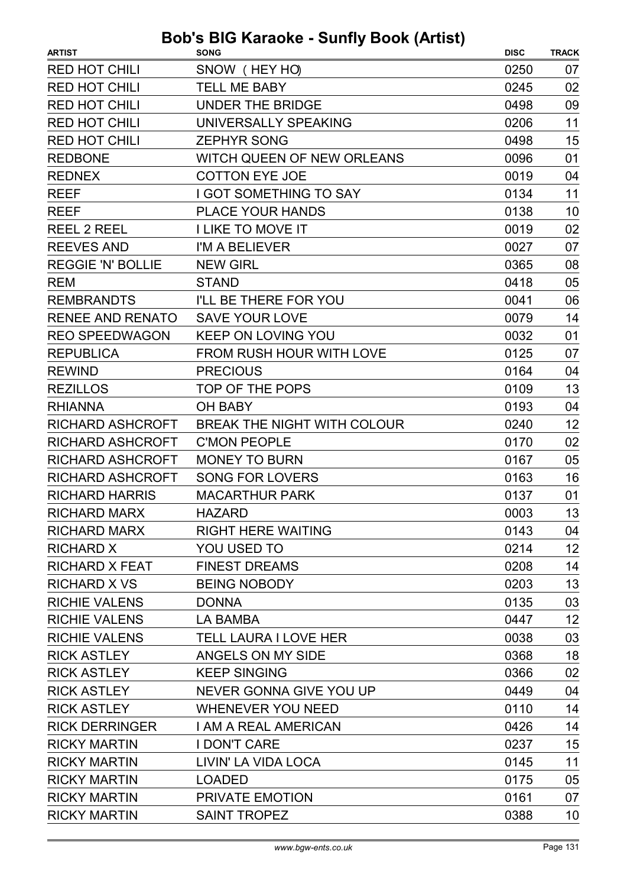| SNOW (HEY HO)<br><b>RED HOT CHILI</b><br>0250<br>07<br><b>RED HOT CHILI</b><br><b>TELL ME BABY</b><br>02<br>0245<br><b>RED HOT CHILI</b><br><b>UNDER THE BRIDGE</b><br>0498<br>09<br>11<br><b>RED HOT CHILI</b><br>UNIVERSALLY SPEAKING<br>0206<br><b>RED HOT CHILI</b><br>15<br><b>ZEPHYR SONG</b><br>0498<br>01<br><b>REDBONE</b><br>WITCH QUEEN OF NEW ORLEANS<br>0096<br><b>COTTON EYE JOE</b><br>04<br><b>REDNEX</b><br>0019<br>11<br><b>REEF</b><br><b>I GOT SOMETHING TO SAY</b><br>0134<br>10<br><b>REEF</b><br><b>PLACE YOUR HANDS</b><br>0138<br>02<br><b>I LIKE TO MOVE IT</b><br>0019<br><b>REEL 2 REEL</b><br><b>REEVES AND</b><br>I'M A BELIEVER<br>0027<br>07<br><b>REGGIE 'N' BOLLIE</b><br>08<br><b>NEW GIRL</b><br>0365<br>05<br><b>STAND</b><br>0418<br><b>REM</b><br>06<br><b>REMBRANDTS</b><br>I'LL BE THERE FOR YOU<br>0041<br>14<br><b>RENEE AND RENATO</b><br><b>SAVE YOUR LOVE</b><br>0079<br><b>REO SPEEDWAGON</b><br><b>KEEP ON LOVING YOU</b><br>0032<br>01<br><b>REPUBLICA</b><br><b>FROM RUSH HOUR WITH LOVE</b><br>0125<br>07<br><b>PRECIOUS</b><br>04<br><b>REWIND</b><br>0164<br>13<br><b>REZILLOS</b><br>TOP OF THE POPS<br>0109<br><b>RHIANNA</b><br><b>OH BABY</b><br>0193<br>04<br>12<br>BREAK THE NIGHT WITH COLOUR<br><b>RICHARD ASHCROFT</b><br>0240 |
|----------------------------------------------------------------------------------------------------------------------------------------------------------------------------------------------------------------------------------------------------------------------------------------------------------------------------------------------------------------------------------------------------------------------------------------------------------------------------------------------------------------------------------------------------------------------------------------------------------------------------------------------------------------------------------------------------------------------------------------------------------------------------------------------------------------------------------------------------------------------------------------------------------------------------------------------------------------------------------------------------------------------------------------------------------------------------------------------------------------------------------------------------------------------------------------------------------------------------------------------------------------------------------------------|
|                                                                                                                                                                                                                                                                                                                                                                                                                                                                                                                                                                                                                                                                                                                                                                                                                                                                                                                                                                                                                                                                                                                                                                                                                                                                                              |
|                                                                                                                                                                                                                                                                                                                                                                                                                                                                                                                                                                                                                                                                                                                                                                                                                                                                                                                                                                                                                                                                                                                                                                                                                                                                                              |
|                                                                                                                                                                                                                                                                                                                                                                                                                                                                                                                                                                                                                                                                                                                                                                                                                                                                                                                                                                                                                                                                                                                                                                                                                                                                                              |
|                                                                                                                                                                                                                                                                                                                                                                                                                                                                                                                                                                                                                                                                                                                                                                                                                                                                                                                                                                                                                                                                                                                                                                                                                                                                                              |
|                                                                                                                                                                                                                                                                                                                                                                                                                                                                                                                                                                                                                                                                                                                                                                                                                                                                                                                                                                                                                                                                                                                                                                                                                                                                                              |
|                                                                                                                                                                                                                                                                                                                                                                                                                                                                                                                                                                                                                                                                                                                                                                                                                                                                                                                                                                                                                                                                                                                                                                                                                                                                                              |
|                                                                                                                                                                                                                                                                                                                                                                                                                                                                                                                                                                                                                                                                                                                                                                                                                                                                                                                                                                                                                                                                                                                                                                                                                                                                                              |
|                                                                                                                                                                                                                                                                                                                                                                                                                                                                                                                                                                                                                                                                                                                                                                                                                                                                                                                                                                                                                                                                                                                                                                                                                                                                                              |
|                                                                                                                                                                                                                                                                                                                                                                                                                                                                                                                                                                                                                                                                                                                                                                                                                                                                                                                                                                                                                                                                                                                                                                                                                                                                                              |
|                                                                                                                                                                                                                                                                                                                                                                                                                                                                                                                                                                                                                                                                                                                                                                                                                                                                                                                                                                                                                                                                                                                                                                                                                                                                                              |
|                                                                                                                                                                                                                                                                                                                                                                                                                                                                                                                                                                                                                                                                                                                                                                                                                                                                                                                                                                                                                                                                                                                                                                                                                                                                                              |
|                                                                                                                                                                                                                                                                                                                                                                                                                                                                                                                                                                                                                                                                                                                                                                                                                                                                                                                                                                                                                                                                                                                                                                                                                                                                                              |
|                                                                                                                                                                                                                                                                                                                                                                                                                                                                                                                                                                                                                                                                                                                                                                                                                                                                                                                                                                                                                                                                                                                                                                                                                                                                                              |
|                                                                                                                                                                                                                                                                                                                                                                                                                                                                                                                                                                                                                                                                                                                                                                                                                                                                                                                                                                                                                                                                                                                                                                                                                                                                                              |
|                                                                                                                                                                                                                                                                                                                                                                                                                                                                                                                                                                                                                                                                                                                                                                                                                                                                                                                                                                                                                                                                                                                                                                                                                                                                                              |
|                                                                                                                                                                                                                                                                                                                                                                                                                                                                                                                                                                                                                                                                                                                                                                                                                                                                                                                                                                                                                                                                                                                                                                                                                                                                                              |
|                                                                                                                                                                                                                                                                                                                                                                                                                                                                                                                                                                                                                                                                                                                                                                                                                                                                                                                                                                                                                                                                                                                                                                                                                                                                                              |
|                                                                                                                                                                                                                                                                                                                                                                                                                                                                                                                                                                                                                                                                                                                                                                                                                                                                                                                                                                                                                                                                                                                                                                                                                                                                                              |
|                                                                                                                                                                                                                                                                                                                                                                                                                                                                                                                                                                                                                                                                                                                                                                                                                                                                                                                                                                                                                                                                                                                                                                                                                                                                                              |
|                                                                                                                                                                                                                                                                                                                                                                                                                                                                                                                                                                                                                                                                                                                                                                                                                                                                                                                                                                                                                                                                                                                                                                                                                                                                                              |
|                                                                                                                                                                                                                                                                                                                                                                                                                                                                                                                                                                                                                                                                                                                                                                                                                                                                                                                                                                                                                                                                                                                                                                                                                                                                                              |
| <b>RICHARD ASHCROFT</b><br><b>C'MON PEOPLE</b><br>02<br>0170                                                                                                                                                                                                                                                                                                                                                                                                                                                                                                                                                                                                                                                                                                                                                                                                                                                                                                                                                                                                                                                                                                                                                                                                                                 |
| <b>MONEY TO BURN</b><br>05<br><b>RICHARD ASHCROFT</b><br>0167                                                                                                                                                                                                                                                                                                                                                                                                                                                                                                                                                                                                                                                                                                                                                                                                                                                                                                                                                                                                                                                                                                                                                                                                                                |
| 16<br><b>RICHARD ASHCROFT</b><br><b>SONG FOR LOVERS</b><br>0163                                                                                                                                                                                                                                                                                                                                                                                                                                                                                                                                                                                                                                                                                                                                                                                                                                                                                                                                                                                                                                                                                                                                                                                                                              |
| <b>RICHARD HARRIS</b><br><b>MACARTHUR PARK</b><br>0137<br>01                                                                                                                                                                                                                                                                                                                                                                                                                                                                                                                                                                                                                                                                                                                                                                                                                                                                                                                                                                                                                                                                                                                                                                                                                                 |
| 13<br>0003<br>RICHARD MARX<br><b>HAZARD</b>                                                                                                                                                                                                                                                                                                                                                                                                                                                                                                                                                                                                                                                                                                                                                                                                                                                                                                                                                                                                                                                                                                                                                                                                                                                  |
| <b>RIGHT HERE WAITING</b><br><b>RICHARD MARX</b><br>0143<br>04                                                                                                                                                                                                                                                                                                                                                                                                                                                                                                                                                                                                                                                                                                                                                                                                                                                                                                                                                                                                                                                                                                                                                                                                                               |
| 12<br>YOU USED TO<br><b>RICHARD X</b><br>0214                                                                                                                                                                                                                                                                                                                                                                                                                                                                                                                                                                                                                                                                                                                                                                                                                                                                                                                                                                                                                                                                                                                                                                                                                                                |
| 14<br><b>RICHARD X FEAT</b><br><b>FINEST DREAMS</b><br>0208                                                                                                                                                                                                                                                                                                                                                                                                                                                                                                                                                                                                                                                                                                                                                                                                                                                                                                                                                                                                                                                                                                                                                                                                                                  |
| 13<br><b>RICHARD X VS</b><br><b>BEING NOBODY</b><br>0203                                                                                                                                                                                                                                                                                                                                                                                                                                                                                                                                                                                                                                                                                                                                                                                                                                                                                                                                                                                                                                                                                                                                                                                                                                     |
| 03<br><b>RICHIE VALENS</b><br>0135<br><b>DONNA</b>                                                                                                                                                                                                                                                                                                                                                                                                                                                                                                                                                                                                                                                                                                                                                                                                                                                                                                                                                                                                                                                                                                                                                                                                                                           |
| <b>RICHIE VALENS</b><br>12<br>LA BAMBA<br>0447                                                                                                                                                                                                                                                                                                                                                                                                                                                                                                                                                                                                                                                                                                                                                                                                                                                                                                                                                                                                                                                                                                                                                                                                                                               |
| <b>RICHIE VALENS</b><br>03<br><b>TELL LAURA I LOVE HER</b><br>0038                                                                                                                                                                                                                                                                                                                                                                                                                                                                                                                                                                                                                                                                                                                                                                                                                                                                                                                                                                                                                                                                                                                                                                                                                           |
| 18<br><b>RICK ASTLEY</b><br>ANGELS ON MY SIDE<br>0368                                                                                                                                                                                                                                                                                                                                                                                                                                                                                                                                                                                                                                                                                                                                                                                                                                                                                                                                                                                                                                                                                                                                                                                                                                        |
| <b>RICK ASTLEY</b><br><b>KEEP SINGING</b><br>0366<br>02                                                                                                                                                                                                                                                                                                                                                                                                                                                                                                                                                                                                                                                                                                                                                                                                                                                                                                                                                                                                                                                                                                                                                                                                                                      |
| <b>RICK ASTLEY</b><br>NEVER GONNA GIVE YOU UP<br>0449<br>04                                                                                                                                                                                                                                                                                                                                                                                                                                                                                                                                                                                                                                                                                                                                                                                                                                                                                                                                                                                                                                                                                                                                                                                                                                  |
| <b>RICK ASTLEY</b><br><b>WHENEVER YOU NEED</b><br>0110<br>14                                                                                                                                                                                                                                                                                                                                                                                                                                                                                                                                                                                                                                                                                                                                                                                                                                                                                                                                                                                                                                                                                                                                                                                                                                 |
| 14<br><b>RICK DERRINGER</b><br>I AM A REAL AMERICAN<br>0426                                                                                                                                                                                                                                                                                                                                                                                                                                                                                                                                                                                                                                                                                                                                                                                                                                                                                                                                                                                                                                                                                                                                                                                                                                  |
| <b>RICKY MARTIN</b><br><b>I DON'T CARE</b><br>15<br>0237                                                                                                                                                                                                                                                                                                                                                                                                                                                                                                                                                                                                                                                                                                                                                                                                                                                                                                                                                                                                                                                                                                                                                                                                                                     |
| 11<br><b>RICKY MARTIN</b><br>LIVIN' LA VIDA LOCA<br>0145                                                                                                                                                                                                                                                                                                                                                                                                                                                                                                                                                                                                                                                                                                                                                                                                                                                                                                                                                                                                                                                                                                                                                                                                                                     |
| <b>RICKY MARTIN</b><br>0175<br>05<br><b>LOADED</b>                                                                                                                                                                                                                                                                                                                                                                                                                                                                                                                                                                                                                                                                                                                                                                                                                                                                                                                                                                                                                                                                                                                                                                                                                                           |
| <b>RICKY MARTIN</b><br>PRIVATE EMOTION<br>07<br>0161                                                                                                                                                                                                                                                                                                                                                                                                                                                                                                                                                                                                                                                                                                                                                                                                                                                                                                                                                                                                                                                                                                                                                                                                                                         |
| <b>RICKY MARTIN</b><br><b>SAINT TROPEZ</b><br>10<br>0388                                                                                                                                                                                                                                                                                                                                                                                                                                                                                                                                                                                                                                                                                                                                                                                                                                                                                                                                                                                                                                                                                                                                                                                                                                     |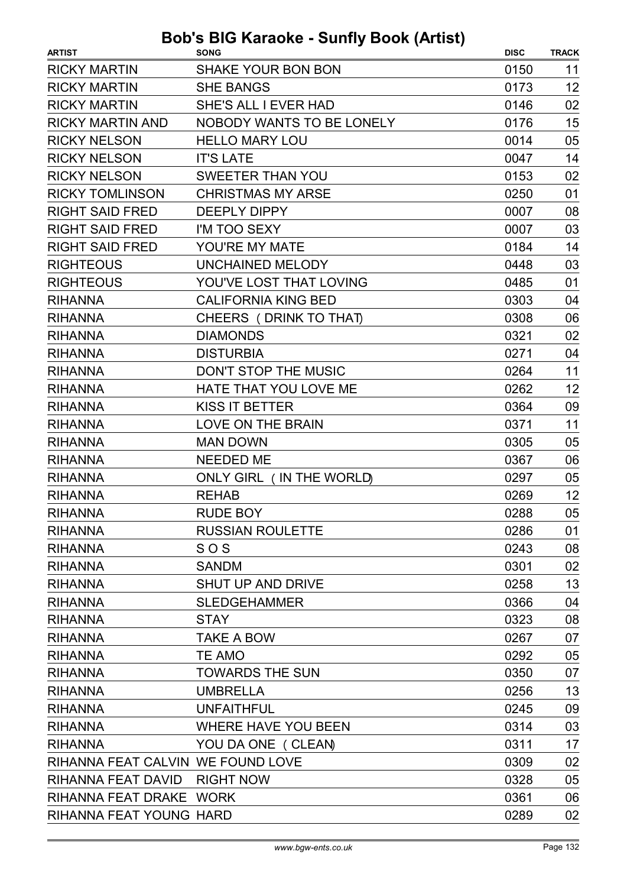| <b>ARTIST</b>                     | <b>SONG</b>                | <b>DISC</b> | <b>TRACK</b> |
|-----------------------------------|----------------------------|-------------|--------------|
| <b>RICKY MARTIN</b>               | <b>SHAKE YOUR BON BON</b>  | 0150        | 11           |
| <b>RICKY MARTIN</b>               | <b>SHE BANGS</b>           | 0173        | 12           |
| <b>RICKY MARTIN</b>               | SHE'S ALL I EVER HAD       | 0146        | 02           |
| <b>RICKY MARTIN AND</b>           | NOBODY WANTS TO BE LONELY  | 0176        | 15           |
| <b>RICKY NELSON</b>               | <b>HELLO MARY LOU</b>      | 0014        | 05           |
| <b>RICKY NELSON</b>               | <b>IT'S LATE</b>           | 0047        | 14           |
| <b>RICKY NELSON</b>               | <b>SWEETER THAN YOU</b>    | 0153        | 02           |
| <b>RICKY TOMLINSON</b>            | <b>CHRISTMAS MY ARSE</b>   | 0250        | 01           |
| <b>RIGHT SAID FRED</b>            | <b>DEEPLY DIPPY</b>        | 0007        | 08           |
| <b>RIGHT SAID FRED</b>            | I'M TOO SEXY               | 0007        | 03           |
| <b>RIGHT SAID FRED</b>            | YOU'RE MY MATE             | 0184        | 14           |
| <b>RIGHTEOUS</b>                  | UNCHAINED MELODY           | 0448        | 03           |
| <b>RIGHTEOUS</b>                  | YOU'VE LOST THAT LOVING    | 0485        | 01           |
| <b>RIHANNA</b>                    | <b>CALIFORNIA KING BED</b> | 0303        | 04           |
| <b>RIHANNA</b>                    | CHEERS (DRINK TO THAT)     | 0308        | 06           |
| <b>RIHANNA</b>                    | <b>DIAMONDS</b>            | 0321        | 02           |
| <b>RIHANNA</b>                    | <b>DISTURBIA</b>           | 0271        | 04           |
| <b>RIHANNA</b>                    | DON'T STOP THE MUSIC       | 0264        | 11           |
| <b>RIHANNA</b>                    | HATE THAT YOU LOVE ME      | 0262        | 12           |
| <b>RIHANNA</b>                    | <b>KISS IT BETTER</b>      | 0364        | 09           |
| <b>RIHANNA</b>                    | <b>LOVE ON THE BRAIN</b>   | 0371        | 11           |
| <b>RIHANNA</b>                    | <b>MAN DOWN</b>            | 0305        | 05           |
| <b>RIHANNA</b>                    | <b>NEEDED ME</b>           | 0367        | 06           |
| <b>RIHANNA</b>                    | ONLY GIRL (IN THE WORLD)   | 0297        | 05           |
| <b>RIHANNA</b>                    | <b>REHAB</b>               | 0269        | 12           |
| <b>RIHANNA</b>                    | RUDE BOY                   | 0288        | 05           |
| <b>RIHANNA</b>                    | <b>RUSSIAN ROULETTE</b>    | 0286        | 01           |
| <b>RIHANNA</b>                    | SOS                        | 0243        | 08           |
| <b>RIHANNA</b>                    | <b>SANDM</b>               | 0301        | 02           |
| <b>RIHANNA</b>                    | <b>SHUT UP AND DRIVE</b>   | 0258        | 13           |
| <b>RIHANNA</b>                    | <b>SLEDGEHAMMER</b>        | 0366        | 04           |
| <b>RIHANNA</b>                    | <b>STAY</b>                | 0323        | 08           |
| <b>RIHANNA</b>                    | TAKE A BOW                 | 0267        | 07           |
| <b>RIHANNA</b>                    | <b>TE AMO</b>              | 0292        | 05           |
| <b>RIHANNA</b>                    | <b>TOWARDS THE SUN</b>     | 0350        | 07           |
| <b>RIHANNA</b>                    | <b>UMBRELLA</b>            | 0256        | 13           |
| <b>RIHANNA</b>                    | <b>UNFAITHFUL</b>          | 0245        | 09           |
| <b>RIHANNA</b>                    | <b>WHERE HAVE YOU BEEN</b> | 0314        | 03           |
| <b>RIHANNA</b>                    | YOU DA ONE (CLEAN)         | 0311        | 17           |
| RIHANNA FEAT CALVIN WE FOUND LOVE |                            | 0309        | 02           |
| RIHANNA FEAT DAVID                | <b>RIGHT NOW</b>           | 0328        | 05           |
| RIHANNA FEAT DRAKE WORK           |                            | 0361        | 06           |
| RIHANNA FEAT YOUNG HARD           |                            | 0289        | 02           |
|                                   |                            |             |              |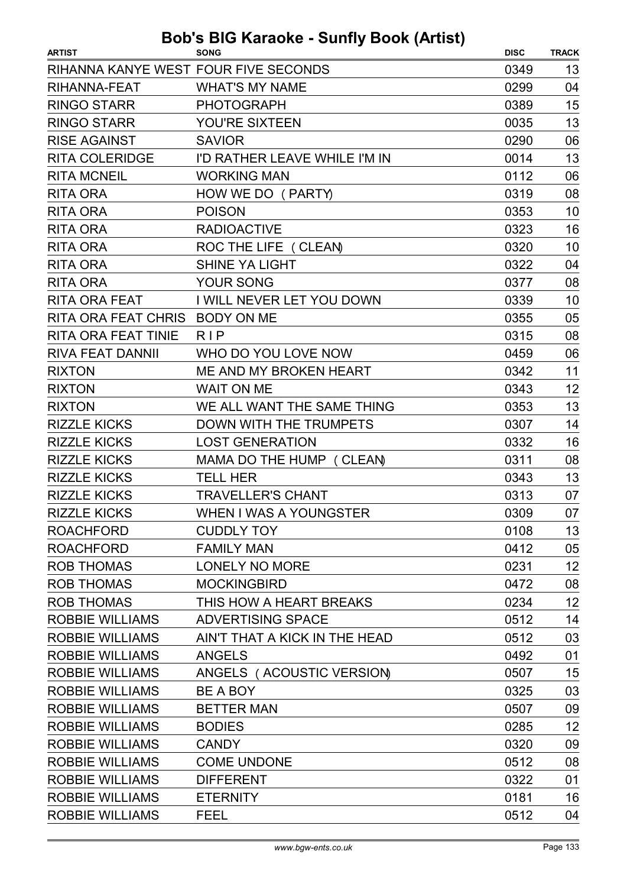| <b>ARTIST</b>                        | <b>SONG</b>                   | <b>DISC</b> | <b>TRACK</b> |
|--------------------------------------|-------------------------------|-------------|--------------|
| RIHANNA KANYE WEST FOUR FIVE SECONDS |                               | 0349        | 13           |
| RIHANNA-FEAT                         | <b>WHAT'S MY NAME</b>         | 0299        | 04           |
| <b>RINGO STARR</b>                   | <b>PHOTOGRAPH</b>             | 0389        | 15           |
| <b>RINGO STARR</b>                   | YOU'RE SIXTEEN                | 0035        | 13           |
| <b>RISE AGAINST</b>                  | <b>SAVIOR</b>                 | 0290        | 06           |
| <b>RITA COLERIDGE</b>                | I'D RATHER LEAVE WHILE I'M IN | 0014        | 13           |
| <b>RITA MCNEIL</b>                   | <b>WORKING MAN</b>            | 0112        | 06           |
| <b>RITA ORA</b>                      | HOW WE DO (PARTY)             | 0319        | 08           |
| <b>RITA ORA</b>                      | <b>POISON</b>                 | 0353        | 10           |
| <b>RITA ORA</b>                      | <b>RADIOACTIVE</b>            | 0323        | 16           |
| <b>RITA ORA</b>                      | ROC THE LIFE ( CLEAN)         | 0320        | 10           |
| <b>RITA ORA</b>                      | <b>SHINE YA LIGHT</b>         | 0322        | 04           |
| <b>RITA ORA</b>                      | YOUR SONG                     | 0377        | 08           |
| <b>RITA ORA FEAT</b>                 | I WILL NEVER LET YOU DOWN     | 0339        | 10           |
| RITA ORA FEAT CHRIS BODY ON ME       |                               | 0355        | 05           |
| <b>RITA ORA FEAT TINIE</b>           | <b>RIP</b>                    | 0315        | 08           |
| <b>RIVA FEAT DANNII</b>              | WHO DO YOU LOVE NOW           | 0459        | 06           |
| <b>RIXTON</b>                        | ME AND MY BROKEN HEART        | 0342        | 11           |
| <b>RIXTON</b>                        | <b>WAIT ON ME</b>             | 0343        | 12           |
| <b>RIXTON</b>                        | WE ALL WANT THE SAME THING    | 0353        | 13           |
| <b>RIZZLE KICKS</b>                  | DOWN WITH THE TRUMPETS        | 0307        | 14           |
| <b>RIZZLE KICKS</b>                  | <b>LOST GENERATION</b>        | 0332        | 16           |
| <b>RIZZLE KICKS</b>                  | MAMA DO THE HUMP ( CLEAN)     | 0311        | 08           |
| <b>RIZZLE KICKS</b>                  | <b>TELL HER</b>               | 0343        | 13           |
| <b>RIZZLE KICKS</b>                  | <b>TRAVELLER'S CHANT</b>      | 0313        | 07           |
| <b>RIZZLE KICKS</b>                  | WHEN I WAS A YOUNGSTER        | 0309        | 07           |
| <b>ROACHFORD</b>                     | <b>CUDDLY TOY</b>             | 0108        | 13           |
| <b>ROACHFORD</b>                     | <b>FAMILY MAN</b>             | 0412        | 05           |
| <b>ROB THOMAS</b>                    | LONELY NO MORE                | 0231        | 12           |
| <b>ROB THOMAS</b>                    | <b>MOCKINGBIRD</b>            | 0472        | 08           |
| <b>ROB THOMAS</b>                    | THIS HOW A HEART BREAKS       | 0234        | 12           |
| <b>ROBBIE WILLIAMS</b>               | <b>ADVERTISING SPACE</b>      | 0512        | 14           |
| <b>ROBBIE WILLIAMS</b>               | AIN'T THAT A KICK IN THE HEAD | 0512        | 03           |
| <b>ROBBIE WILLIAMS</b>               | <b>ANGELS</b>                 | 0492        | 01           |
| <b>ROBBIE WILLIAMS</b>               | ANGELS (ACOUSTIC VERSION)     | 0507        | 15           |
| <b>ROBBIE WILLIAMS</b>               | BE A BOY                      | 0325        | 03           |
| <b>ROBBIE WILLIAMS</b>               | <b>BETTER MAN</b>             | 0507        | 09           |
| <b>ROBBIE WILLIAMS</b>               | <b>BODIES</b>                 | 0285        | 12           |
| <b>ROBBIE WILLIAMS</b>               | <b>CANDY</b>                  | 0320        | 09           |
| <b>ROBBIE WILLIAMS</b>               | <b>COME UNDONE</b>            | 0512        | 08           |
| <b>ROBBIE WILLIAMS</b>               | <b>DIFFERENT</b>              | 0322        | 01           |
| <b>ROBBIE WILLIAMS</b>               | <b>ETERNITY</b>               | 0181        | 16           |
| <b>ROBBIE WILLIAMS</b>               | <b>FEEL</b>                   | 0512        | 04           |
|                                      |                               |             |              |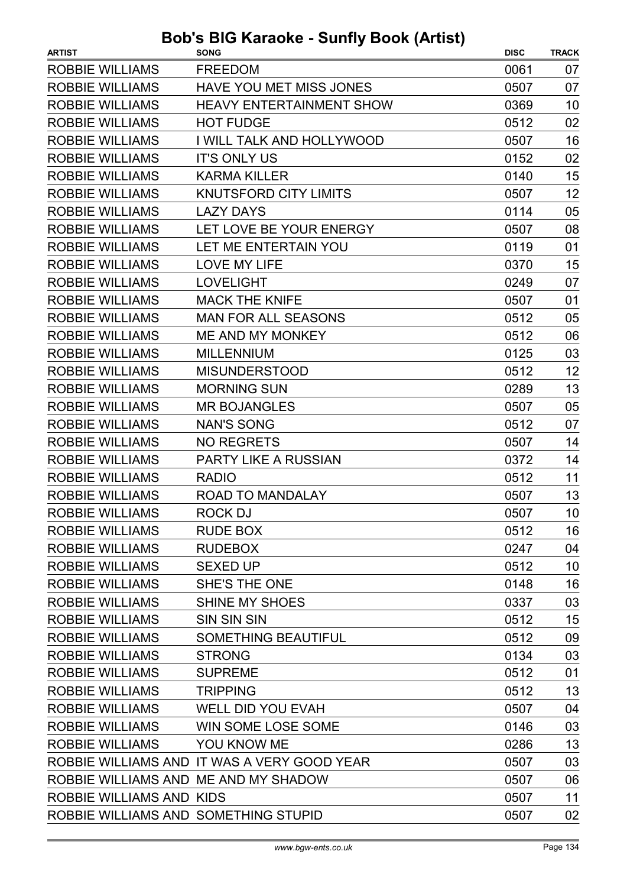| <b>ARTIST</b>                        | <b>SONG</b>                                 | <b>DISC</b> | <b>TRACK</b> |
|--------------------------------------|---------------------------------------------|-------------|--------------|
| <b>ROBBIE WILLIAMS</b>               | <b>FREEDOM</b>                              | 0061        | 07           |
| ROBBIE WILLIAMS                      | <b>HAVE YOU MET MISS JONES</b>              | 0507        | 07           |
| <b>ROBBIE WILLIAMS</b>               | <b>HEAVY ENTERTAINMENT SHOW</b>             | 0369        | 10           |
| <b>ROBBIE WILLIAMS</b>               | <b>HOT FUDGE</b>                            | 0512        | 02           |
| <b>ROBBIE WILLIAMS</b>               | I WILL TALK AND HOLLYWOOD                   | 0507        | 16           |
| <b>ROBBIE WILLIAMS</b>               | <b>IT'S ONLY US</b>                         | 0152        | 02           |
| <b>ROBBIE WILLIAMS</b>               | <b>KARMA KILLER</b>                         | 0140        | 15           |
| <b>ROBBIE WILLIAMS</b>               | <b>KNUTSFORD CITY LIMITS</b>                | 0507        | 12           |
| <b>ROBBIE WILLIAMS</b>               | <b>LAZY DAYS</b>                            | 0114        | 05           |
| <b>ROBBIE WILLIAMS</b>               | LET LOVE BE YOUR ENERGY                     | 0507        | 08           |
| <b>ROBBIE WILLIAMS</b>               | LET ME ENTERTAIN YOU                        | 0119        | 01           |
| <b>ROBBIE WILLIAMS</b>               | <b>LOVE MY LIFE</b>                         | 0370        | 15           |
| <b>ROBBIE WILLIAMS</b>               | <b>LOVELIGHT</b>                            | 0249        | 07           |
| <b>ROBBIE WILLIAMS</b>               | <b>MACK THE KNIFE</b>                       | 0507        | 01           |
| <b>ROBBIE WILLIAMS</b>               | <b>MAN FOR ALL SEASONS</b>                  | 0512        | 05           |
| <b>ROBBIE WILLIAMS</b>               | <b>ME AND MY MONKEY</b>                     | 0512        | 06           |
| <b>ROBBIE WILLIAMS</b>               | <b>MILLENNIUM</b>                           | 0125        | 03           |
| <b>ROBBIE WILLIAMS</b>               | <b>MISUNDERSTOOD</b>                        | 0512        | 12           |
| <b>ROBBIE WILLIAMS</b>               | <b>MORNING SUN</b>                          | 0289        | 13           |
| <b>ROBBIE WILLIAMS</b>               | <b>MR BOJANGLES</b>                         | 0507        | 05           |
| <b>ROBBIE WILLIAMS</b>               | <b>NAN'S SONG</b>                           | 0512        | 07           |
| <b>ROBBIE WILLIAMS</b>               | <b>NO REGRETS</b>                           | 0507        | 14           |
| <b>ROBBIE WILLIAMS</b>               | PARTY LIKE A RUSSIAN                        | 0372        | 14           |
| <b>ROBBIE WILLIAMS</b>               | <b>RADIO</b>                                | 0512        | 11           |
| <b>ROBBIE WILLIAMS</b>               | <b>ROAD TO MANDALAY</b>                     | 0507        | 13           |
| <b>ROBBIE WILLIAMS</b>               | ROCK DJ                                     | 0507        | 10           |
| <b>ROBBIE WILLIAMS</b>               | <b>RUDE BOX</b>                             | 0512        | 16           |
| <b>ROBBIE WILLIAMS</b>               | <b>RUDEBOX</b>                              | 0247        | 04           |
| <b>ROBBIE WILLIAMS</b>               | <b>SEXED UP</b>                             | 0512        | 10           |
| <b>ROBBIE WILLIAMS</b>               | <b>SHE'S THE ONE</b>                        | 0148        | 16           |
| <b>ROBBIE WILLIAMS</b>               | <b>SHINE MY SHOES</b>                       | 0337        | 03           |
| <b>ROBBIE WILLIAMS</b>               | <b>SIN SIN SIN</b>                          | 0512        | 15           |
| <b>ROBBIE WILLIAMS</b>               | <b>SOMETHING BEAUTIFUL</b>                  | 0512        | 09           |
| <b>ROBBIE WILLIAMS</b>               | <b>STRONG</b>                               | 0134        | 03           |
| <b>ROBBIE WILLIAMS</b>               | <b>SUPREME</b>                              | 0512        | 01           |
| <b>ROBBIE WILLIAMS</b>               | <b>TRIPPING</b>                             | 0512        | 13           |
| <b>ROBBIE WILLIAMS</b>               | <b>WELL DID YOU EVAH</b>                    | 0507        | 04           |
| ROBBIE WILLIAMS                      | WIN SOME LOSE SOME                          | 0146        | 03           |
| <b>ROBBIE WILLIAMS</b>               | YOU KNOW ME                                 | 0286        | 13           |
|                                      | ROBBIE WILLIAMS AND IT WAS A VERY GOOD YEAR | 0507        | 03           |
| ROBBIE WILLIAMS AND ME AND MY SHADOW |                                             | 0507        | 06           |
| ROBBIE WILLIAMS AND KIDS             |                                             | 0507        | 11           |
| ROBBIE WILLIAMS AND SOMETHING STUPID |                                             | 0507        | 02           |
|                                      |                                             |             |              |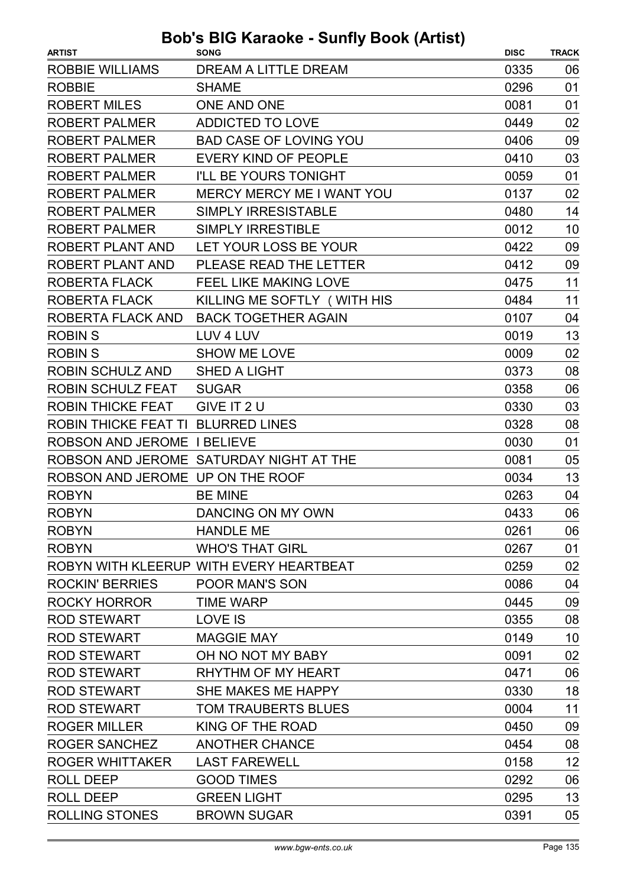| <b>ARTIST</b>                      | $\frac{1}{2}$<br><b>SONG</b>            | <b>DISC</b> | <b>TRACK</b> |
|------------------------------------|-----------------------------------------|-------------|--------------|
| ROBBIE WILLIAMS                    | DREAM A LITTLE DREAM                    | 0335        | 06           |
| <b>ROBBIE</b>                      | <b>SHAME</b>                            | 0296        | 01           |
| <b>ROBERT MILES</b>                | <b>ONE AND ONE</b>                      | 0081        | 01           |
| <b>ROBERT PALMER</b>               | <b>ADDICTED TO LOVE</b>                 | 0449        | 02           |
| <b>ROBERT PALMER</b>               | <b>BAD CASE OF LOVING YOU</b>           | 0406        | 09           |
| <b>ROBERT PALMER</b>               | <b>EVERY KIND OF PEOPLE</b>             | 0410        | 03           |
| <b>ROBERT PALMER</b>               | I'LL BE YOURS TONIGHT                   | 0059        | 01           |
| <b>ROBERT PALMER</b>               | <b>MERCY MERCY ME I WANT YOU</b>        | 0137        | 02           |
| <b>ROBERT PALMER</b>               | <b>SIMPLY IRRESISTABLE</b>              | 0480        | 14           |
| <b>ROBERT PALMER</b>               | <b>SIMPLY IRRESTIBLE</b>                | 0012        | 10           |
| ROBERT PLANT AND                   | LET YOUR LOSS BE YOUR                   | 0422        | 09           |
| ROBERT PLANT AND                   | PLEASE READ THE LETTER                  | 0412        | 09           |
| ROBERTA FLACK                      | FEEL LIKE MAKING LOVE                   | 0475        | 11           |
| <b>ROBERTA FLACK</b>               | KILLING ME SOFTLY (WITH HIS             | 0484        | 11           |
| ROBERTA FLACK AND                  | <b>BACK TOGETHER AGAIN</b>              | 0107        | 04           |
| <b>ROBIN S</b>                     | LUV 4 LUV                               | 0019        | 13           |
| <b>ROBIN S</b>                     | <b>SHOW ME LOVE</b>                     | 0009        | 02           |
| <b>ROBIN SCHULZ AND</b>            | <b>SHED A LIGHT</b>                     | 0373        | 08           |
| <b>ROBIN SCHULZ FEAT</b>           | <b>SUGAR</b>                            | 0358        | 06           |
| <b>ROBIN THICKE FEAT</b>           | GIVE IT 2 U                             | 0330        | 03           |
| ROBIN THICKE FEAT TI BLURRED LINES |                                         | 0328        | 08           |
| ROBSON AND JEROME I BELIEVE        |                                         | 0030        | 01           |
|                                    | ROBSON AND JEROME SATURDAY NIGHT AT THE | 0081        | 05           |
| ROBSON AND JEROME UP ON THE ROOF   |                                         | 0034        | 13           |
| <b>ROBYN</b>                       | <b>BE MINE</b>                          | 0263        | 04           |
| <b>ROBYN</b>                       | DANCING ON MY OWN                       | 0433        | 06           |
| <b>ROBYN</b>                       | <b>HANDLE ME</b>                        | 0261        | 06           |
| <b>ROBYN</b>                       | <b>WHO'S THAT GIRL</b>                  | 0267        | 01           |
|                                    | ROBYN WITH KLEERUP WITH EVERY HEARTBEAT | 0259        | 02           |
| <b>ROCKIN' BERRIES</b>             | <b>POOR MAN'S SON</b>                   | 0086        | 04           |
| <b>ROCKY HORROR</b>                | <b>TIME WARP</b>                        | 0445        | 09           |
| <b>ROD STEWART</b>                 | <b>LOVE IS</b>                          | 0355        | 08           |
| <b>ROD STEWART</b>                 | <b>MAGGIE MAY</b>                       | 0149        | 10           |
| <b>ROD STEWART</b>                 | OH NO NOT MY BABY                       | 0091        | 02           |
| <b>ROD STEWART</b>                 | RHYTHM OF MY HEART                      | 0471        | 06           |
| <b>ROD STEWART</b>                 | SHE MAKES ME HAPPY                      | 0330        | 18           |
| <b>ROD STEWART</b>                 | TOM TRAUBERTS BLUES                     | 0004        | 11           |
| <b>ROGER MILLER</b>                | KING OF THE ROAD                        | 0450        | 09           |
| <b>ROGER SANCHEZ</b>               | <b>ANOTHER CHANCE</b>                   | 0454        | 08           |
| <b>ROGER WHITTAKER</b>             | <b>LAST FAREWELL</b>                    | 0158        | 12           |
| <b>ROLL DEEP</b>                   | <b>GOOD TIMES</b>                       | 0292        | 06           |
| <b>ROLL DEEP</b>                   | <b>GREEN LIGHT</b>                      | 0295        | 13           |
| <b>ROLLING STONES</b>              | <b>BROWN SUGAR</b>                      | 0391        | 05           |
|                                    |                                         |             |              |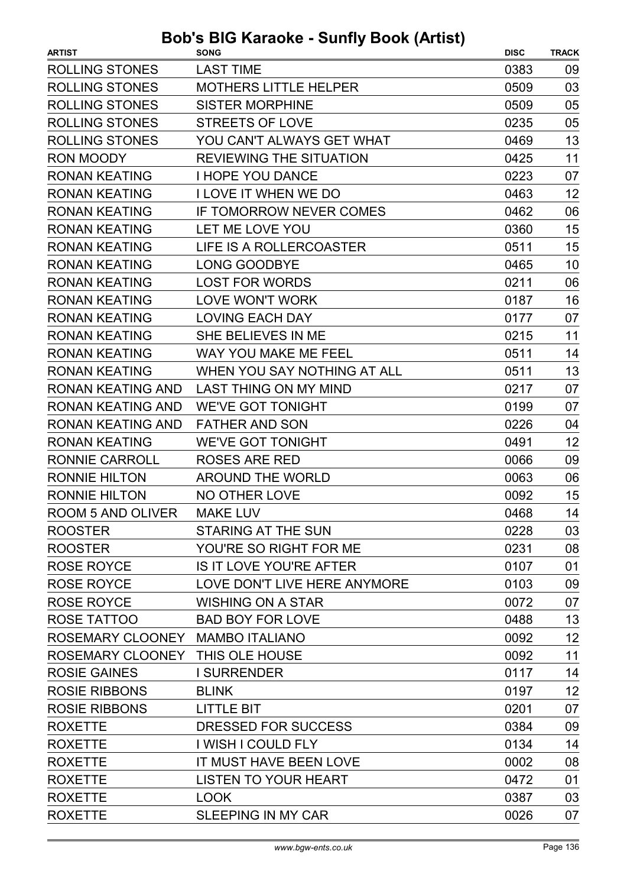| <b>ROLLING STONES</b><br><b>LAST TIME</b><br>0383<br>09<br><b>ROLLING STONES</b><br>03<br><b>MOTHERS LITTLE HELPER</b><br>0509<br><b>ROLLING STONES</b><br><b>SISTER MORPHINE</b><br>0509<br>05<br><b>ROLLING STONES</b><br><b>STREETS OF LOVE</b><br>05<br>0235<br><b>ROLLING STONES</b><br>13<br>YOU CAN'T ALWAYS GET WHAT<br>0469<br>11<br><b>RON MOODY</b><br><b>REVIEWING THE SITUATION</b><br>0425<br><b>RONAN KEATING</b><br><b>I HOPE YOU DANCE</b><br>0223<br>07<br>12<br><b>RONAN KEATING</b><br><b>I LOVE IT WHEN WE DO</b><br>0463<br><b>RONAN KEATING</b><br>IF TOMORROW NEVER COMES<br>0462<br>06<br>15<br><b>RONAN KEATING</b><br>LET ME LOVE YOU<br>0360<br><b>RONAN KEATING</b><br>LIFE IS A ROLLERCOASTER<br>0511<br>15<br><b>RONAN KEATING</b><br>10<br><b>LONG GOODBYE</b><br>0465<br><b>RONAN KEATING</b><br><b>LOST FOR WORDS</b><br>0211<br>06<br>16<br><b>RONAN KEATING</b><br><b>LOVE WON'T WORK</b><br>0187<br><b>RONAN KEATING</b><br>07<br><b>LOVING EACH DAY</b><br>0177<br><b>RONAN KEATING</b><br>SHE BELIEVES IN ME<br>11<br>0215<br><b>RONAN KEATING</b><br><b>WAY YOU MAKE ME FEEL</b><br>14<br>0511<br>WHEN YOU SAY NOTHING AT ALL<br>13<br><b>RONAN KEATING</b><br>0511<br><b>RONAN KEATING AND</b><br><b>LAST THING ON MY MIND</b><br>07<br>0217<br><b>RONAN KEATING AND</b><br><b>WE'VE GOT TONIGHT</b><br>0199<br>07<br><b>RONAN KEATING AND</b><br><b>FATHER AND SON</b><br>0226<br>04<br>12<br><b>RONAN KEATING</b><br><b>WE'VE GOT TONIGHT</b><br>0491<br><b>RONNIE CARROLL</b><br>0066<br>09<br><b>ROSES ARE RED</b><br><b>RONNIE HILTON</b><br><b>AROUND THE WORLD</b><br>0063<br>06<br><b>RONNIE HILTON</b><br>15<br><b>NO OTHER LOVE</b><br>0092<br>14<br>0468<br><b>ROOM 5 AND OLIVER</b><br><b>MAKE LUV</b><br><b>STARING AT THE SUN</b><br>0228<br>03<br>YOU'RE SO RIGHT FOR ME<br>0231<br>08<br><b>IS IT LOVE YOU'RE AFTER</b><br>0107<br>01<br>LOVE DON'T LIVE HERE ANYMORE<br><b>ROSE ROYCE</b><br>0103<br>09<br>0072<br>07<br><b>WISHING ON A STAR</b><br><b>BAD BOY FOR LOVE</b><br>13<br>0488<br>12<br>ROSEMARY CLOONEY MAMBO ITALIANO<br>0092<br>11<br>ROSEMARY CLOONEY THIS OLE HOUSE<br>0092<br>14<br><b>ROSIE GAINES</b><br><b>I SURRENDER</b><br>0117<br>12<br>0197<br><b>BLINK</b><br><b>ROSIE RIBBONS</b><br><b>LITTLE BIT</b><br>07<br>0201<br>DRESSED FOR SUCCESS<br>0384<br>09<br><b>ROXETTE</b><br>I WISH I COULD FLY<br>0134<br>14<br>IT MUST HAVE BEEN LOVE<br>0002<br>08<br><b>ROXETTE</b><br><b>LISTEN TO YOUR HEART</b><br>0472<br>01<br>03<br><b>LOOK</b><br>0387 | <b>ARTIST</b>        | uvno vullij<br><b>SONG</b> | <b>DISC</b> | <b>TRACK</b> |
|-------------------------------------------------------------------------------------------------------------------------------------------------------------------------------------------------------------------------------------------------------------------------------------------------------------------------------------------------------------------------------------------------------------------------------------------------------------------------------------------------------------------------------------------------------------------------------------------------------------------------------------------------------------------------------------------------------------------------------------------------------------------------------------------------------------------------------------------------------------------------------------------------------------------------------------------------------------------------------------------------------------------------------------------------------------------------------------------------------------------------------------------------------------------------------------------------------------------------------------------------------------------------------------------------------------------------------------------------------------------------------------------------------------------------------------------------------------------------------------------------------------------------------------------------------------------------------------------------------------------------------------------------------------------------------------------------------------------------------------------------------------------------------------------------------------------------------------------------------------------------------------------------------------------------------------------------------------------------------------------------------------------------------------------------------------------------------------------------------------------------------------------------------------------------------------------------------------------------------------------------------------------------------------------------------------------------------------------------------------------------------------------------------------------------------------------------------------------------------------------------------------------------------------------|----------------------|----------------------------|-------------|--------------|
|                                                                                                                                                                                                                                                                                                                                                                                                                                                                                                                                                                                                                                                                                                                                                                                                                                                                                                                                                                                                                                                                                                                                                                                                                                                                                                                                                                                                                                                                                                                                                                                                                                                                                                                                                                                                                                                                                                                                                                                                                                                                                                                                                                                                                                                                                                                                                                                                                                                                                                                                           |                      |                            |             |              |
|                                                                                                                                                                                                                                                                                                                                                                                                                                                                                                                                                                                                                                                                                                                                                                                                                                                                                                                                                                                                                                                                                                                                                                                                                                                                                                                                                                                                                                                                                                                                                                                                                                                                                                                                                                                                                                                                                                                                                                                                                                                                                                                                                                                                                                                                                                                                                                                                                                                                                                                                           |                      |                            |             |              |
|                                                                                                                                                                                                                                                                                                                                                                                                                                                                                                                                                                                                                                                                                                                                                                                                                                                                                                                                                                                                                                                                                                                                                                                                                                                                                                                                                                                                                                                                                                                                                                                                                                                                                                                                                                                                                                                                                                                                                                                                                                                                                                                                                                                                                                                                                                                                                                                                                                                                                                                                           |                      |                            |             |              |
|                                                                                                                                                                                                                                                                                                                                                                                                                                                                                                                                                                                                                                                                                                                                                                                                                                                                                                                                                                                                                                                                                                                                                                                                                                                                                                                                                                                                                                                                                                                                                                                                                                                                                                                                                                                                                                                                                                                                                                                                                                                                                                                                                                                                                                                                                                                                                                                                                                                                                                                                           |                      |                            |             |              |
|                                                                                                                                                                                                                                                                                                                                                                                                                                                                                                                                                                                                                                                                                                                                                                                                                                                                                                                                                                                                                                                                                                                                                                                                                                                                                                                                                                                                                                                                                                                                                                                                                                                                                                                                                                                                                                                                                                                                                                                                                                                                                                                                                                                                                                                                                                                                                                                                                                                                                                                                           |                      |                            |             |              |
|                                                                                                                                                                                                                                                                                                                                                                                                                                                                                                                                                                                                                                                                                                                                                                                                                                                                                                                                                                                                                                                                                                                                                                                                                                                                                                                                                                                                                                                                                                                                                                                                                                                                                                                                                                                                                                                                                                                                                                                                                                                                                                                                                                                                                                                                                                                                                                                                                                                                                                                                           |                      |                            |             |              |
|                                                                                                                                                                                                                                                                                                                                                                                                                                                                                                                                                                                                                                                                                                                                                                                                                                                                                                                                                                                                                                                                                                                                                                                                                                                                                                                                                                                                                                                                                                                                                                                                                                                                                                                                                                                                                                                                                                                                                                                                                                                                                                                                                                                                                                                                                                                                                                                                                                                                                                                                           |                      |                            |             |              |
|                                                                                                                                                                                                                                                                                                                                                                                                                                                                                                                                                                                                                                                                                                                                                                                                                                                                                                                                                                                                                                                                                                                                                                                                                                                                                                                                                                                                                                                                                                                                                                                                                                                                                                                                                                                                                                                                                                                                                                                                                                                                                                                                                                                                                                                                                                                                                                                                                                                                                                                                           |                      |                            |             |              |
|                                                                                                                                                                                                                                                                                                                                                                                                                                                                                                                                                                                                                                                                                                                                                                                                                                                                                                                                                                                                                                                                                                                                                                                                                                                                                                                                                                                                                                                                                                                                                                                                                                                                                                                                                                                                                                                                                                                                                                                                                                                                                                                                                                                                                                                                                                                                                                                                                                                                                                                                           |                      |                            |             |              |
|                                                                                                                                                                                                                                                                                                                                                                                                                                                                                                                                                                                                                                                                                                                                                                                                                                                                                                                                                                                                                                                                                                                                                                                                                                                                                                                                                                                                                                                                                                                                                                                                                                                                                                                                                                                                                                                                                                                                                                                                                                                                                                                                                                                                                                                                                                                                                                                                                                                                                                                                           |                      |                            |             |              |
|                                                                                                                                                                                                                                                                                                                                                                                                                                                                                                                                                                                                                                                                                                                                                                                                                                                                                                                                                                                                                                                                                                                                                                                                                                                                                                                                                                                                                                                                                                                                                                                                                                                                                                                                                                                                                                                                                                                                                                                                                                                                                                                                                                                                                                                                                                                                                                                                                                                                                                                                           |                      |                            |             |              |
|                                                                                                                                                                                                                                                                                                                                                                                                                                                                                                                                                                                                                                                                                                                                                                                                                                                                                                                                                                                                                                                                                                                                                                                                                                                                                                                                                                                                                                                                                                                                                                                                                                                                                                                                                                                                                                                                                                                                                                                                                                                                                                                                                                                                                                                                                                                                                                                                                                                                                                                                           |                      |                            |             |              |
|                                                                                                                                                                                                                                                                                                                                                                                                                                                                                                                                                                                                                                                                                                                                                                                                                                                                                                                                                                                                                                                                                                                                                                                                                                                                                                                                                                                                                                                                                                                                                                                                                                                                                                                                                                                                                                                                                                                                                                                                                                                                                                                                                                                                                                                                                                                                                                                                                                                                                                                                           |                      |                            |             |              |
|                                                                                                                                                                                                                                                                                                                                                                                                                                                                                                                                                                                                                                                                                                                                                                                                                                                                                                                                                                                                                                                                                                                                                                                                                                                                                                                                                                                                                                                                                                                                                                                                                                                                                                                                                                                                                                                                                                                                                                                                                                                                                                                                                                                                                                                                                                                                                                                                                                                                                                                                           |                      |                            |             |              |
|                                                                                                                                                                                                                                                                                                                                                                                                                                                                                                                                                                                                                                                                                                                                                                                                                                                                                                                                                                                                                                                                                                                                                                                                                                                                                                                                                                                                                                                                                                                                                                                                                                                                                                                                                                                                                                                                                                                                                                                                                                                                                                                                                                                                                                                                                                                                                                                                                                                                                                                                           |                      |                            |             |              |
|                                                                                                                                                                                                                                                                                                                                                                                                                                                                                                                                                                                                                                                                                                                                                                                                                                                                                                                                                                                                                                                                                                                                                                                                                                                                                                                                                                                                                                                                                                                                                                                                                                                                                                                                                                                                                                                                                                                                                                                                                                                                                                                                                                                                                                                                                                                                                                                                                                                                                                                                           |                      |                            |             |              |
|                                                                                                                                                                                                                                                                                                                                                                                                                                                                                                                                                                                                                                                                                                                                                                                                                                                                                                                                                                                                                                                                                                                                                                                                                                                                                                                                                                                                                                                                                                                                                                                                                                                                                                                                                                                                                                                                                                                                                                                                                                                                                                                                                                                                                                                                                                                                                                                                                                                                                                                                           |                      |                            |             |              |
|                                                                                                                                                                                                                                                                                                                                                                                                                                                                                                                                                                                                                                                                                                                                                                                                                                                                                                                                                                                                                                                                                                                                                                                                                                                                                                                                                                                                                                                                                                                                                                                                                                                                                                                                                                                                                                                                                                                                                                                                                                                                                                                                                                                                                                                                                                                                                                                                                                                                                                                                           |                      |                            |             |              |
|                                                                                                                                                                                                                                                                                                                                                                                                                                                                                                                                                                                                                                                                                                                                                                                                                                                                                                                                                                                                                                                                                                                                                                                                                                                                                                                                                                                                                                                                                                                                                                                                                                                                                                                                                                                                                                                                                                                                                                                                                                                                                                                                                                                                                                                                                                                                                                                                                                                                                                                                           |                      |                            |             |              |
|                                                                                                                                                                                                                                                                                                                                                                                                                                                                                                                                                                                                                                                                                                                                                                                                                                                                                                                                                                                                                                                                                                                                                                                                                                                                                                                                                                                                                                                                                                                                                                                                                                                                                                                                                                                                                                                                                                                                                                                                                                                                                                                                                                                                                                                                                                                                                                                                                                                                                                                                           |                      |                            |             |              |
|                                                                                                                                                                                                                                                                                                                                                                                                                                                                                                                                                                                                                                                                                                                                                                                                                                                                                                                                                                                                                                                                                                                                                                                                                                                                                                                                                                                                                                                                                                                                                                                                                                                                                                                                                                                                                                                                                                                                                                                                                                                                                                                                                                                                                                                                                                                                                                                                                                                                                                                                           |                      |                            |             |              |
|                                                                                                                                                                                                                                                                                                                                                                                                                                                                                                                                                                                                                                                                                                                                                                                                                                                                                                                                                                                                                                                                                                                                                                                                                                                                                                                                                                                                                                                                                                                                                                                                                                                                                                                                                                                                                                                                                                                                                                                                                                                                                                                                                                                                                                                                                                                                                                                                                                                                                                                                           |                      |                            |             |              |
|                                                                                                                                                                                                                                                                                                                                                                                                                                                                                                                                                                                                                                                                                                                                                                                                                                                                                                                                                                                                                                                                                                                                                                                                                                                                                                                                                                                                                                                                                                                                                                                                                                                                                                                                                                                                                                                                                                                                                                                                                                                                                                                                                                                                                                                                                                                                                                                                                                                                                                                                           |                      |                            |             |              |
|                                                                                                                                                                                                                                                                                                                                                                                                                                                                                                                                                                                                                                                                                                                                                                                                                                                                                                                                                                                                                                                                                                                                                                                                                                                                                                                                                                                                                                                                                                                                                                                                                                                                                                                                                                                                                                                                                                                                                                                                                                                                                                                                                                                                                                                                                                                                                                                                                                                                                                                                           |                      |                            |             |              |
|                                                                                                                                                                                                                                                                                                                                                                                                                                                                                                                                                                                                                                                                                                                                                                                                                                                                                                                                                                                                                                                                                                                                                                                                                                                                                                                                                                                                                                                                                                                                                                                                                                                                                                                                                                                                                                                                                                                                                                                                                                                                                                                                                                                                                                                                                                                                                                                                                                                                                                                                           |                      |                            |             |              |
|                                                                                                                                                                                                                                                                                                                                                                                                                                                                                                                                                                                                                                                                                                                                                                                                                                                                                                                                                                                                                                                                                                                                                                                                                                                                                                                                                                                                                                                                                                                                                                                                                                                                                                                                                                                                                                                                                                                                                                                                                                                                                                                                                                                                                                                                                                                                                                                                                                                                                                                                           |                      |                            |             |              |
|                                                                                                                                                                                                                                                                                                                                                                                                                                                                                                                                                                                                                                                                                                                                                                                                                                                                                                                                                                                                                                                                                                                                                                                                                                                                                                                                                                                                                                                                                                                                                                                                                                                                                                                                                                                                                                                                                                                                                                                                                                                                                                                                                                                                                                                                                                                                                                                                                                                                                                                                           | <b>ROOSTER</b>       |                            |             |              |
|                                                                                                                                                                                                                                                                                                                                                                                                                                                                                                                                                                                                                                                                                                                                                                                                                                                                                                                                                                                                                                                                                                                                                                                                                                                                                                                                                                                                                                                                                                                                                                                                                                                                                                                                                                                                                                                                                                                                                                                                                                                                                                                                                                                                                                                                                                                                                                                                                                                                                                                                           | <b>ROOSTER</b>       |                            |             |              |
|                                                                                                                                                                                                                                                                                                                                                                                                                                                                                                                                                                                                                                                                                                                                                                                                                                                                                                                                                                                                                                                                                                                                                                                                                                                                                                                                                                                                                                                                                                                                                                                                                                                                                                                                                                                                                                                                                                                                                                                                                                                                                                                                                                                                                                                                                                                                                                                                                                                                                                                                           | <b>ROSE ROYCE</b>    |                            |             |              |
|                                                                                                                                                                                                                                                                                                                                                                                                                                                                                                                                                                                                                                                                                                                                                                                                                                                                                                                                                                                                                                                                                                                                                                                                                                                                                                                                                                                                                                                                                                                                                                                                                                                                                                                                                                                                                                                                                                                                                                                                                                                                                                                                                                                                                                                                                                                                                                                                                                                                                                                                           |                      |                            |             |              |
|                                                                                                                                                                                                                                                                                                                                                                                                                                                                                                                                                                                                                                                                                                                                                                                                                                                                                                                                                                                                                                                                                                                                                                                                                                                                                                                                                                                                                                                                                                                                                                                                                                                                                                                                                                                                                                                                                                                                                                                                                                                                                                                                                                                                                                                                                                                                                                                                                                                                                                                                           | <b>ROSE ROYCE</b>    |                            |             |              |
|                                                                                                                                                                                                                                                                                                                                                                                                                                                                                                                                                                                                                                                                                                                                                                                                                                                                                                                                                                                                                                                                                                                                                                                                                                                                                                                                                                                                                                                                                                                                                                                                                                                                                                                                                                                                                                                                                                                                                                                                                                                                                                                                                                                                                                                                                                                                                                                                                                                                                                                                           | ROSE TATTOO          |                            |             |              |
|                                                                                                                                                                                                                                                                                                                                                                                                                                                                                                                                                                                                                                                                                                                                                                                                                                                                                                                                                                                                                                                                                                                                                                                                                                                                                                                                                                                                                                                                                                                                                                                                                                                                                                                                                                                                                                                                                                                                                                                                                                                                                                                                                                                                                                                                                                                                                                                                                                                                                                                                           |                      |                            |             |              |
|                                                                                                                                                                                                                                                                                                                                                                                                                                                                                                                                                                                                                                                                                                                                                                                                                                                                                                                                                                                                                                                                                                                                                                                                                                                                                                                                                                                                                                                                                                                                                                                                                                                                                                                                                                                                                                                                                                                                                                                                                                                                                                                                                                                                                                                                                                                                                                                                                                                                                                                                           |                      |                            |             |              |
|                                                                                                                                                                                                                                                                                                                                                                                                                                                                                                                                                                                                                                                                                                                                                                                                                                                                                                                                                                                                                                                                                                                                                                                                                                                                                                                                                                                                                                                                                                                                                                                                                                                                                                                                                                                                                                                                                                                                                                                                                                                                                                                                                                                                                                                                                                                                                                                                                                                                                                                                           |                      |                            |             |              |
|                                                                                                                                                                                                                                                                                                                                                                                                                                                                                                                                                                                                                                                                                                                                                                                                                                                                                                                                                                                                                                                                                                                                                                                                                                                                                                                                                                                                                                                                                                                                                                                                                                                                                                                                                                                                                                                                                                                                                                                                                                                                                                                                                                                                                                                                                                                                                                                                                                                                                                                                           | <b>ROSIE RIBBONS</b> |                            |             |              |
|                                                                                                                                                                                                                                                                                                                                                                                                                                                                                                                                                                                                                                                                                                                                                                                                                                                                                                                                                                                                                                                                                                                                                                                                                                                                                                                                                                                                                                                                                                                                                                                                                                                                                                                                                                                                                                                                                                                                                                                                                                                                                                                                                                                                                                                                                                                                                                                                                                                                                                                                           |                      |                            |             |              |
|                                                                                                                                                                                                                                                                                                                                                                                                                                                                                                                                                                                                                                                                                                                                                                                                                                                                                                                                                                                                                                                                                                                                                                                                                                                                                                                                                                                                                                                                                                                                                                                                                                                                                                                                                                                                                                                                                                                                                                                                                                                                                                                                                                                                                                                                                                                                                                                                                                                                                                                                           | <b>ROXETTE</b>       |                            |             |              |
|                                                                                                                                                                                                                                                                                                                                                                                                                                                                                                                                                                                                                                                                                                                                                                                                                                                                                                                                                                                                                                                                                                                                                                                                                                                                                                                                                                                                                                                                                                                                                                                                                                                                                                                                                                                                                                                                                                                                                                                                                                                                                                                                                                                                                                                                                                                                                                                                                                                                                                                                           |                      |                            |             |              |
|                                                                                                                                                                                                                                                                                                                                                                                                                                                                                                                                                                                                                                                                                                                                                                                                                                                                                                                                                                                                                                                                                                                                                                                                                                                                                                                                                                                                                                                                                                                                                                                                                                                                                                                                                                                                                                                                                                                                                                                                                                                                                                                                                                                                                                                                                                                                                                                                                                                                                                                                           |                      |                            |             |              |
|                                                                                                                                                                                                                                                                                                                                                                                                                                                                                                                                                                                                                                                                                                                                                                                                                                                                                                                                                                                                                                                                                                                                                                                                                                                                                                                                                                                                                                                                                                                                                                                                                                                                                                                                                                                                                                                                                                                                                                                                                                                                                                                                                                                                                                                                                                                                                                                                                                                                                                                                           | <b>ROXETTE</b>       |                            |             |              |
|                                                                                                                                                                                                                                                                                                                                                                                                                                                                                                                                                                                                                                                                                                                                                                                                                                                                                                                                                                                                                                                                                                                                                                                                                                                                                                                                                                                                                                                                                                                                                                                                                                                                                                                                                                                                                                                                                                                                                                                                                                                                                                                                                                                                                                                                                                                                                                                                                                                                                                                                           | <b>ROXETTE</b>       |                            |             |              |
|                                                                                                                                                                                                                                                                                                                                                                                                                                                                                                                                                                                                                                                                                                                                                                                                                                                                                                                                                                                                                                                                                                                                                                                                                                                                                                                                                                                                                                                                                                                                                                                                                                                                                                                                                                                                                                                                                                                                                                                                                                                                                                                                                                                                                                                                                                                                                                                                                                                                                                                                           | <b>ROXETTE</b>       | <b>SLEEPING IN MY CAR</b>  | 0026        | 07           |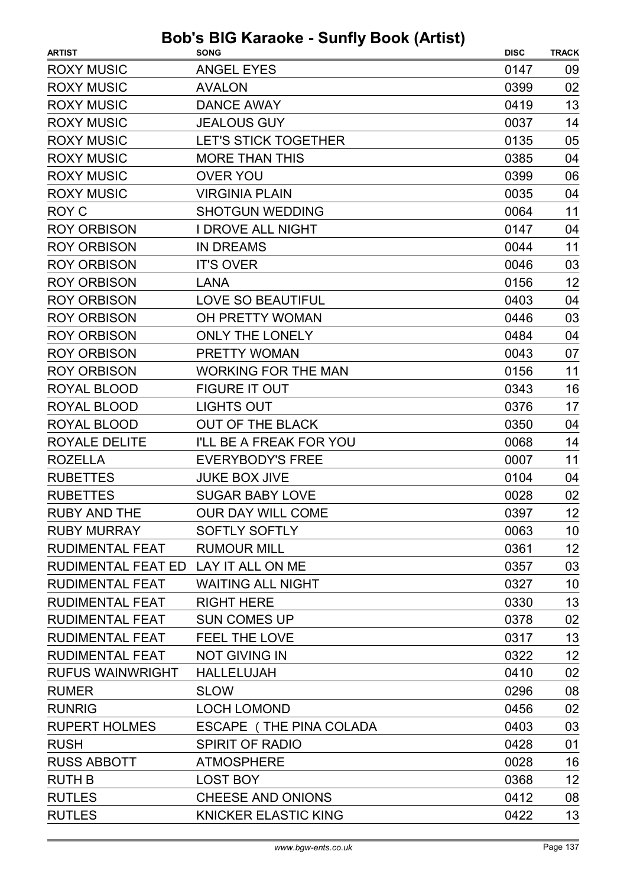| <b>Bob's BIG Karaoke - Sunfly Book (Artist)</b> |                                |             |              |
|-------------------------------------------------|--------------------------------|-------------|--------------|
| <b>ARTIST</b>                                   | <b>SONG</b>                    | <b>DISC</b> | <b>TRACK</b> |
| <b>ROXY MUSIC</b>                               | <b>ANGEL EYES</b>              | 0147        | 09           |
| <b>ROXY MUSIC</b>                               | <b>AVALON</b>                  | 0399        | 02           |
| <b>ROXY MUSIC</b>                               | <b>DANCE AWAY</b>              | 0419        | 13           |
| <b>ROXY MUSIC</b>                               | <b>JEALOUS GUY</b>             | 0037        | 14           |
| <b>ROXY MUSIC</b>                               | <b>LET'S STICK TOGETHER</b>    | 0135        | 05           |
| <b>ROXY MUSIC</b>                               | <b>MORE THAN THIS</b>          | 0385        | 04           |
| <b>ROXY MUSIC</b>                               | <b>OVER YOU</b>                | 0399        | 06           |
| <b>ROXY MUSIC</b>                               | <b>VIRGINIA PLAIN</b>          | 0035        | 04           |
| <b>ROY C</b>                                    | <b>SHOTGUN WEDDING</b>         | 0064        | 11           |
| <b>ROY ORBISON</b>                              | <b>I DROVE ALL NIGHT</b>       | 0147        | 04           |
| <b>ROY ORBISON</b>                              | <b>IN DREAMS</b>               | 0044        | 11           |
| <b>ROY ORBISON</b>                              | <b>IT'S OVER</b>               | 0046        | 03           |
| <b>ROY ORBISON</b>                              | <b>LANA</b>                    | 0156        | 12           |
| <b>ROY ORBISON</b>                              | <b>LOVE SO BEAUTIFUL</b>       | 0403        | 04           |
| <b>ROY ORBISON</b>                              | OH PRETTY WOMAN                | 0446        | 03           |
| <b>ROY ORBISON</b>                              | <b>ONLY THE LONELY</b>         | 0484        | 04           |
| <b>ROY ORBISON</b>                              | <b>PRETTY WOMAN</b>            | 0043        | 07           |
| <b>ROY ORBISON</b>                              | <b>WORKING FOR THE MAN</b>     | 0156        | 11           |
| <b>ROYAL BLOOD</b>                              | <b>FIGURE IT OUT</b>           | 0343        | 16           |
| ROYAL BLOOD                                     | <b>LIGHTS OUT</b>              | 0376        | 17           |
| <b>ROYAL BLOOD</b>                              | <b>OUT OF THE BLACK</b>        | 0350        | 04           |
| <b>ROYALE DELITE</b>                            | <b>I'LL BE A FREAK FOR YOU</b> | 0068        | 14           |
| <b>ROZELLA</b>                                  | <b>EVERYBODY'S FREE</b>        | 0007        | 11           |
| <b>RUBETTES</b>                                 | <b>JUKE BOX JIVE</b>           | 0104        | 04           |
| <b>RUBETTES</b>                                 | <b>SUGAR BABY LOVE</b>         | 0028        | 02           |
| <b>RUBY AND THE</b>                             | <b>OUR DAY WILL COME</b>       | 0397        | 12           |
| <b>RUBY MURRAY</b>                              | <b>SOFTLY SOFTLY</b>           | 0063        | 10           |
| <b>RUDIMENTAL FEAT</b>                          | <b>RUMOUR MILL</b>             | 0361        | 12           |
| RUDIMENTAL FEAT ED LAY IT ALL ON ME             |                                | 0357        | 03           |
| <b>RUDIMENTAL FEAT</b>                          | <b>WAITING ALL NIGHT</b>       | 0327        | 10           |
| <b>RUDIMENTAL FEAT</b>                          | <b>RIGHT HERE</b>              | 0330        | 13           |
| <b>RUDIMENTAL FEAT</b>                          | <b>SUN COMES UP</b>            | 0378        | 02           |
| <b>RUDIMENTAL FEAT</b>                          | <b>FEEL THE LOVE</b>           | 0317        | 13           |
| <b>RUDIMENTAL FEAT</b>                          | <b>NOT GIVING IN</b>           | 0322        | 12           |
| <b>RUFUS WAINWRIGHT</b>                         | <b>HALLELUJAH</b>              | 0410        | 02           |
| <b>RUMER</b>                                    | <b>SLOW</b>                    | 0296        | 08           |
| <b>RUNRIG</b>                                   | <b>LOCH LOMOND</b>             | 0456        | 02           |
| <b>RUPERT HOLMES</b>                            | ESCAPE (THE PINA COLADA        | 0403        | 03           |
| <b>RUSH</b>                                     | <b>SPIRIT OF RADIO</b>         | 0428        | 01           |
| <b>RUSS ABBOTT</b>                              | <b>ATMOSPHERE</b>              | 0028        | 16           |
| <b>RUTH B</b>                                   | <b>LOST BOY</b>                | 0368        | 12           |
| <b>RUTLES</b>                                   | <b>CHEESE AND ONIONS</b>       | 0412        | 08           |
| <b>RUTLES</b>                                   | <b>KNICKER ELASTIC KING</b>    | 0422        | 13           |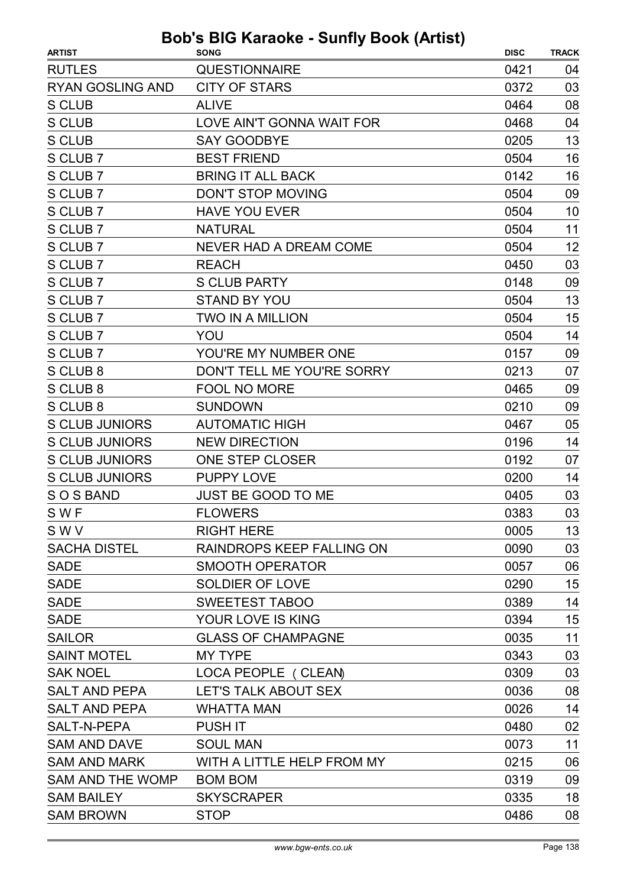| <b>ARTIST</b>           | <b>SONG</b>                   | <b>DISC</b> | <b>TRACK</b> |
|-------------------------|-------------------------------|-------------|--------------|
| <b>RUTLES</b>           | <b>QUESTIONNAIRE</b>          | 0421        | 04           |
| <b>RYAN GOSLING AND</b> | <b>CITY OF STARS</b>          | 0372        | 03           |
| <b>S CLUB</b>           | <b>ALIVE</b>                  | 0464        | 08           |
| <b>S CLUB</b>           | LOVE AIN'T GONNA WAIT FOR     | 0468        | 04           |
| <b>S CLUB</b>           | <b>SAY GOODBYE</b>            | 0205        | 13           |
| S CLUB 7                | <b>BEST FRIEND</b>            | 0504        | 16           |
| S CLUB 7                | <b>BRING IT ALL BACK</b>      | 0142        | 16           |
| S CLUB 7                | <b>DON'T STOP MOVING</b>      | 0504        | 09           |
| S CLUB 7                | <b>HAVE YOU EVER</b>          | 0504        | 10           |
| S CLUB 7                | <b>NATURAL</b>                | 0504        | 11           |
| S CLUB 7                | <b>NEVER HAD A DREAM COME</b> | 0504        | 12           |
| S CLUB 7                | <b>REACH</b>                  | 0450        | 03           |
| S CLUB 7                | <b>S CLUB PARTY</b>           | 0148        | 09           |
| S CLUB 7                | <b>STAND BY YOU</b>           | 0504        | 13           |
| S CLUB 7                | <b>TWO IN A MILLION</b>       | 0504        | 15           |
| S CLUB 7                | YOU                           | 0504        | 14           |
| S CLUB 7                | YOU'RE MY NUMBER ONE          | 0157        | 09           |
| S CLUB 8                | DON'T TELL ME YOU'RE SORRY    | 0213        | 07           |
| S CLUB 8                | <b>FOOL NO MORE</b>           | 0465        | 09           |
| S CLUB 8                | <b>SUNDOWN</b>                | 0210        | 09           |
| <b>S CLUB JUNIORS</b>   | <b>AUTOMATIC HIGH</b>         | 0467        | 05           |
| <b>S CLUB JUNIORS</b>   | <b>NEW DIRECTION</b>          | 0196        | 14           |
| <b>S CLUB JUNIORS</b>   | ONE STEP CLOSER               | 0192        | 07           |
| <b>S CLUB JUNIORS</b>   | <b>PUPPY LOVE</b>             | 0200        | 14           |
| SOS BAND                | <b>JUST BE GOOD TO ME</b>     | 0405        | 03           |
| SWF                     | <b>FLOWERS</b>                | 0383        | 03           |
| SWV                     | <b>RIGHT HERE</b>             | 0005        | 13           |
| <b>SACHA DISTEL</b>     | RAINDROPS KEEP FALLING ON     | 0090        | 03           |
| <b>SADE</b>             | <b>SMOOTH OPERATOR</b>        | 0057        | 06           |
| <b>SADE</b>             | <b>SOLDIER OF LOVE</b>        | 0290        | 15           |
| <b>SADE</b>             | <b>SWEETEST TABOO</b>         | 0389        | 14           |
| <b>SADE</b>             | YOUR LOVE IS KING             | 0394        | 15           |
| <b>SAILOR</b>           | <b>GLASS OF CHAMPAGNE</b>     | 0035        | 11           |
| <b>SAINT MOTEL</b>      | <b>MY TYPE</b>                | 0343        | 03           |
| <b>SAK NOEL</b>         | LOCA PEOPLE (CLEAN)           | 0309        | 03           |
| <b>SALT AND PEPA</b>    | LET'S TALK ABOUT SEX          | 0036        | 08           |
| <b>SALT AND PEPA</b>    | <b>WHATTA MAN</b>             | 0026        | 14           |
| SALT-N-PEPA             | <b>PUSH IT</b>                | 0480        | 02           |
| <b>SAM AND DAVE</b>     | <b>SOUL MAN</b>               | 0073        | 11           |
| <b>SAM AND MARK</b>     | WITH A LITTLE HELP FROM MY    | 0215        | 06           |
| SAM AND THE WOMP        | <b>BOM BOM</b>                | 0319        | 09           |
| <b>SAM BAILEY</b>       | <b>SKYSCRAPER</b>             | 0335        | 18           |
| <b>SAM BROWN</b>        | <b>STOP</b>                   | 0486        | 08           |
|                         |                               |             |              |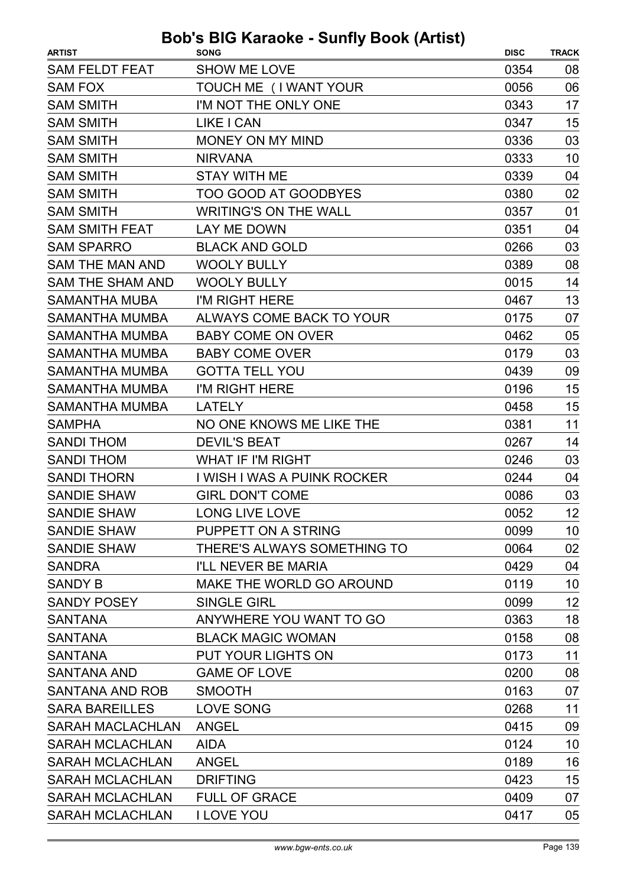| <b>ARTIST</b>           | <b>SONG</b>                  | <b>DISC</b> | <b>TRACK</b> |
|-------------------------|------------------------------|-------------|--------------|
| <b>SAM FELDT FEAT</b>   | <b>SHOW ME LOVE</b>          | 0354        | 08           |
| <b>SAM FOX</b>          | TOUCH ME (I WANT YOUR        | 0056        | 06           |
| <b>SAM SMITH</b>        | I'M NOT THE ONLY ONE         | 0343        | 17           |
| <b>SAM SMITH</b>        | LIKE I CAN                   | 0347        | 15           |
| <b>SAM SMITH</b>        | MONEY ON MY MIND             | 0336        | 03           |
| <b>SAM SMITH</b>        | <b>NIRVANA</b>               | 0333        | 10           |
| <b>SAM SMITH</b>        | <b>STAY WITH ME</b>          | 0339        | 04           |
| <b>SAM SMITH</b>        | <b>TOO GOOD AT GOODBYES</b>  | 0380        | 02           |
| <b>SAM SMITH</b>        | <b>WRITING'S ON THE WALL</b> | 0357        | 01           |
| <b>SAM SMITH FEAT</b>   | LAY ME DOWN                  | 0351        | 04           |
| <b>SAM SPARRO</b>       | <b>BLACK AND GOLD</b>        | 0266        | 03           |
| SAM THE MAN AND         | <b>WOOLY BULLY</b>           | 0389        | 08           |
| <b>SAM THE SHAM AND</b> | <b>WOOLY BULLY</b>           | 0015        | 14           |
| <b>SAMANTHA MUBA</b>    | I'M RIGHT HERE               | 0467        | 13           |
| <b>SAMANTHA MUMBA</b>   | ALWAYS COME BACK TO YOUR     | 0175        | 07           |
| <b>SAMANTHA MUMBA</b>   | <b>BABY COME ON OVER</b>     | 0462        | 05           |
| <b>SAMANTHA MUMBA</b>   | <b>BABY COME OVER</b>        | 0179        | 03           |
| <b>SAMANTHA MUMBA</b>   | <b>GOTTA TELL YOU</b>        | 0439        | 09           |
| <b>SAMANTHA MUMBA</b>   | I'M RIGHT HERE               | 0196        | 15           |
| <b>SAMANTHA MUMBA</b>   | <b>LATELY</b>                | 0458        | 15           |
| <b>SAMPHA</b>           | NO ONE KNOWS ME LIKE THE     | 0381        | 11           |
| <b>SANDI THOM</b>       | <b>DEVIL'S BEAT</b>          | 0267        | 14           |
| <b>SANDI THOM</b>       | <b>WHAT IF I'M RIGHT</b>     | 0246        | 03           |
| <b>SANDI THORN</b>      | I WISH I WAS A PUINK ROCKER  | 0244        | 04           |
| <b>SANDIE SHAW</b>      | <b>GIRL DON'T COME</b>       | 0086        | 03           |
| SANDIE SHAW             | <b>LONG LIVE LOVE</b>        | 0052        | 12           |
| SANDIE SHAW             | PUPPETT ON A STRING          | 0099        | 10           |
| SANDIE SHAW             | THERE'S ALWAYS SOMETHING TO  | 0064        | 02           |
| <b>SANDRA</b>           | I'LL NEVER BE MARIA          | 0429        | 04           |
| <b>SANDY B</b>          | MAKE THE WORLD GO AROUND     | 0119        | 10           |
| SANDY POSEY             | SINGLE GIRL                  | 0099        | 12           |
| <b>SANTANA</b>          | ANYWHERE YOU WANT TO GO      | 0363        | 18           |
| <b>SANTANA</b>          | <b>BLACK MAGIC WOMAN</b>     | 0158        | 08           |
| <b>SANTANA</b>          | PUT YOUR LIGHTS ON           | 0173        | 11           |
| <b>SANTANA AND</b>      | <b>GAME OF LOVE</b>          | 0200        | 08           |
| SANTANA AND ROB         | <b>SMOOTH</b>                | 0163        | 07           |
| <b>SARA BAREILLES</b>   | LOVE SONG                    | 0268        | 11           |
| <b>SARAH MACLACHLAN</b> | ANGEL                        | 0415        | 09           |
| <b>SARAH MCLACHLAN</b>  | <b>AIDA</b>                  | 0124        | 10           |
| <b>SARAH MCLACHLAN</b>  | <b>ANGEL</b>                 | 0189        | 16           |
| SARAH MCLACHLAN         | <b>DRIFTING</b>              | 0423        | 15           |
| <b>SARAH MCLACHLAN</b>  | <b>FULL OF GRACE</b>         | 0409        | 07           |
| SARAH MCLACHLAN         | <b>I LOVE YOU</b>            | 0417        | 05           |
|                         |                              |             |              |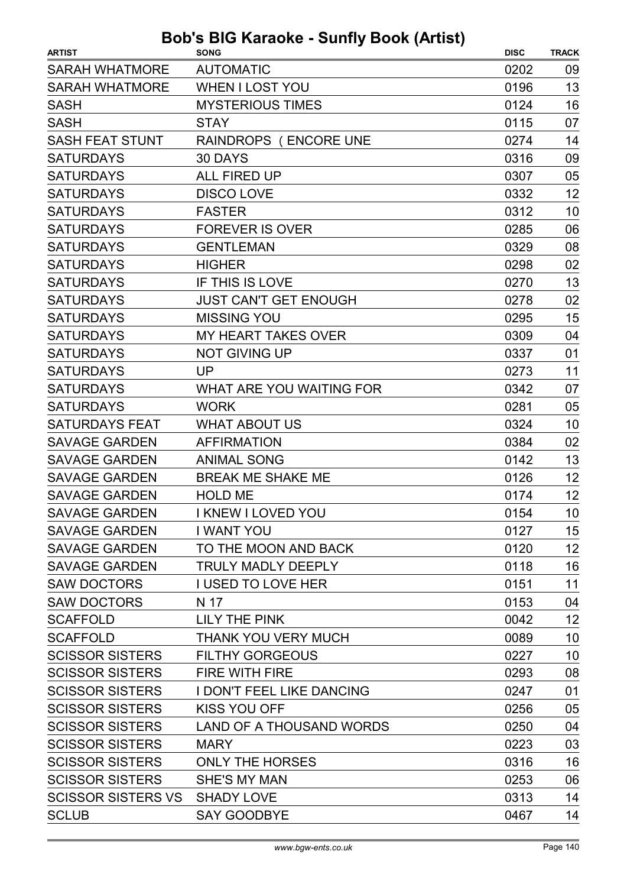| <b>ARTIST</b>             | <b>SONG</b>                      | <b>DISC</b> | <b>TRACK</b> |
|---------------------------|----------------------------------|-------------|--------------|
| <b>SARAH WHATMORE</b>     | <b>AUTOMATIC</b>                 | 0202        | 09           |
| <b>SARAH WHATMORE</b>     | <b>WHEN I LOST YOU</b>           | 0196        | 13           |
| <b>SASH</b>               | <b>MYSTERIOUS TIMES</b>          | 0124        | 16           |
| <b>SASH</b>               | <b>STAY</b>                      | 0115        | 07           |
| <b>SASH FEAT STUNT</b>    | RAINDROPS (ENCORE UNE            | 0274        | 14           |
| <b>SATURDAYS</b>          | 30 DAYS                          | 0316        | 09           |
| <b>SATURDAYS</b>          | <b>ALL FIRED UP</b>              | 0307        | 05           |
| <b>SATURDAYS</b>          | <b>DISCO LOVE</b>                | 0332        | 12           |
| <b>SATURDAYS</b>          | <b>FASTER</b>                    | 0312        | 10           |
| <b>SATURDAYS</b>          | <b>FOREVER IS OVER</b>           | 0285        | 06           |
| <b>SATURDAYS</b>          | <b>GENTLEMAN</b>                 | 0329        | 08           |
| <b>SATURDAYS</b>          | <b>HIGHER</b>                    | 0298        | 02           |
| <b>SATURDAYS</b>          | IF THIS IS LOVE                  | 0270        | 13           |
| <b>SATURDAYS</b>          | <b>JUST CAN'T GET ENOUGH</b>     | 0278        | 02           |
| <b>SATURDAYS</b>          | <b>MISSING YOU</b>               | 0295        | 15           |
| <b>SATURDAYS</b>          | <b>MY HEART TAKES OVER</b>       | 0309        | 04           |
| <b>SATURDAYS</b>          | <b>NOT GIVING UP</b>             | 0337        | 01           |
| <b>SATURDAYS</b>          | <b>UP</b>                        | 0273        | 11           |
| <b>SATURDAYS</b>          | WHAT ARE YOU WAITING FOR         | 0342        | 07           |
| <b>SATURDAYS</b>          | <b>WORK</b>                      | 0281        | 05           |
| <b>SATURDAYS FEAT</b>     | <b>WHAT ABOUT US</b>             | 0324        | 10           |
| <b>SAVAGE GARDEN</b>      | <b>AFFIRMATION</b>               | 0384        | 02           |
| <b>SAVAGE GARDEN</b>      | <b>ANIMAL SONG</b>               | 0142        | 13           |
| <b>SAVAGE GARDEN</b>      | <b>BREAK ME SHAKE ME</b>         | 0126        | 12           |
| <b>SAVAGE GARDEN</b>      | <b>HOLD ME</b>                   | 0174        | 12           |
| <b>SAVAGE GARDEN</b>      | I KNEW I LOVED YOU               | 0154        | 10           |
| <b>SAVAGE GARDEN</b>      | <b>I WANT YOU</b>                | 0127        | 15           |
| <b>SAVAGE GARDEN</b>      | TO THE MOON AND BACK             | 0120        | 12           |
| <b>SAVAGE GARDEN</b>      | <b>TRULY MADLY DEEPLY</b>        | 0118        | 16           |
| <b>SAW DOCTORS</b>        | <b>I USED TO LOVE HER</b>        | 0151        | 11           |
| <b>SAW DOCTORS</b>        | N 17                             | 0153        | 04           |
| <b>SCAFFOLD</b>           | <b>LILY THE PINK</b>             | 0042        | 12           |
| <b>SCAFFOLD</b>           | <b>THANK YOU VERY MUCH</b>       | 0089        | 10           |
| <b>SCISSOR SISTERS</b>    | <b>FILTHY GORGEOUS</b>           | 0227        | 10           |
| <b>SCISSOR SISTERS</b>    | <b>FIRE WITH FIRE</b>            | 0293        | 08           |
| <b>SCISSOR SISTERS</b>    | <b>I DON'T FEEL LIKE DANCING</b> | 0247        | 01           |
| <b>SCISSOR SISTERS</b>    | <b>KISS YOU OFF</b>              | 0256        | 05           |
| <b>SCISSOR SISTERS</b>    | LAND OF A THOUSAND WORDS         | 0250        | 04           |
| <b>SCISSOR SISTERS</b>    | <b>MARY</b>                      | 0223        | 03           |
| <b>SCISSOR SISTERS</b>    | <b>ONLY THE HORSES</b>           | 0316        | 16           |
| <b>SCISSOR SISTERS</b>    | SHE'S MY MAN                     | 0253        | 06           |
| <b>SCISSOR SISTERS VS</b> | <b>SHADY LOVE</b>                | 0313        | 14           |
| <b>SCLUB</b>              | <b>SAY GOODBYE</b>               | 0467        | 14           |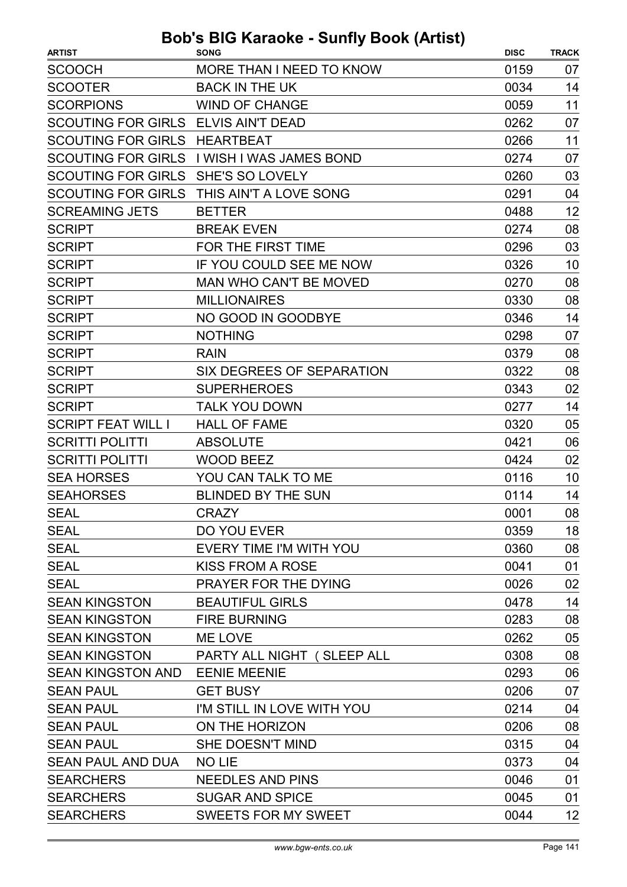| <b>SCOOCH</b><br>MORE THAN I NEED TO KNOW<br>0159<br>07<br>14<br><b>BACK IN THE UK</b><br>0034<br>11<br><b>SCORPIONS</b><br>0059<br><b>WIND OF CHANGE</b><br>SCOUTING FOR GIRLS ELVIS AIN'T DEAD<br>0262<br>07<br>SCOUTING FOR GIRLS HEARTBEAT<br>0266<br>11<br><b>SCOUTING FOR GIRLS</b><br>I WISH I WAS JAMES BOND<br>07<br>0274<br><b>SCOUTING FOR GIRLS</b><br>03<br><b>SHE'S SO LOVELY</b><br>0260<br><b>SCOUTING FOR GIRLS</b><br>THIS AIN'T A LOVE SONG<br>0291<br>04<br>12<br><b>SCREAMING JETS</b><br><b>BETTER</b><br>0488<br>08<br><b>BREAK EVEN</b><br>0274<br>FOR THE FIRST TIME<br>03<br>0296<br>IF YOU COULD SEE ME NOW<br>10<br>0326<br><b>MAN WHO CAN'T BE MOVED</b><br>0270<br>08<br><b>SCRIPT</b><br><b>MILLIONAIRES</b><br>0330<br>08<br>NO GOOD IN GOODBYE<br>14<br>0346<br><b>SCRIPT</b><br><b>NOTHING</b><br>07<br>0298<br>08<br><b>RAIN</b><br>0379<br>0322<br>08<br>SIX DEGREES OF SEPARATION<br>02<br><b>SUPERHEROES</b><br>0343<br><b>TALK YOU DOWN</b><br>0277<br>14<br><b>HALL OF FAME</b><br>0320<br>05<br>06<br><b>ABSOLUTE</b><br>0421<br><b>WOOD BEEZ</b><br>0424<br>02<br>YOU CAN TALK TO ME<br>0116<br>10<br>14<br><b>BLINDED BY THE SUN</b><br>0114<br>08<br><b>CRAZY</b><br>0001<br>DO YOU EVER<br>0359<br>18<br>08<br>EVERY TIME I'M WITH YOU<br>0360<br><b>KISS FROM A ROSE</b><br>0041<br>01<br>PRAYER FOR THE DYING<br>0026<br>02<br>14<br><b>BEAUTIFUL GIRLS</b><br>0478<br><b>FIRE BURNING</b><br>0283<br>08<br>05<br>ME LOVE<br>0262<br>PARTY ALL NIGHT (SLEEP ALL<br>0308<br>08<br>SEAN KINGSTON AND<br><b>EENIE MEENIE</b><br>06<br>0293<br><b>GET BUSY</b><br>0206<br>07<br><b>SEAN PAUL</b><br>I'M STILL IN LOVE WITH YOU<br><b>SEAN PAUL</b><br>0214<br>04<br>ON THE HORIZON<br>0206<br>08<br><b>SEAN PAUL</b><br><b>SEAN PAUL</b><br>SHE DOESN'T MIND<br>0315<br>04<br>SEAN PAUL AND DUA<br><b>NO LIE</b><br>0373<br>04<br><b>SEARCHERS</b><br><b>NEEDLES AND PINS</b><br>0046<br>01<br><b>SEARCHERS</b><br><b>SUGAR AND SPICE</b><br>01<br>0045 | <b>ARTIST</b>             | <b>SONG</b>                | <b>DISC</b> | <b>TRACK</b> |
|----------------------------------------------------------------------------------------------------------------------------------------------------------------------------------------------------------------------------------------------------------------------------------------------------------------------------------------------------------------------------------------------------------------------------------------------------------------------------------------------------------------------------------------------------------------------------------------------------------------------------------------------------------------------------------------------------------------------------------------------------------------------------------------------------------------------------------------------------------------------------------------------------------------------------------------------------------------------------------------------------------------------------------------------------------------------------------------------------------------------------------------------------------------------------------------------------------------------------------------------------------------------------------------------------------------------------------------------------------------------------------------------------------------------------------------------------------------------------------------------------------------------------------------------------------------------------------------------------------------------------------------------------------------------------------------------------------------------------------------------------------------------------------------------------------------------------------------------------------------------------------------------------------------------------------------------------------------------------------------------------|---------------------------|----------------------------|-------------|--------------|
|                                                                                                                                                                                                                                                                                                                                                                                                                                                                                                                                                                                                                                                                                                                                                                                                                                                                                                                                                                                                                                                                                                                                                                                                                                                                                                                                                                                                                                                                                                                                                                                                                                                                                                                                                                                                                                                                                                                                                                                                    |                           |                            |             |              |
|                                                                                                                                                                                                                                                                                                                                                                                                                                                                                                                                                                                                                                                                                                                                                                                                                                                                                                                                                                                                                                                                                                                                                                                                                                                                                                                                                                                                                                                                                                                                                                                                                                                                                                                                                                                                                                                                                                                                                                                                    | <b>SCOOTER</b>            |                            |             |              |
|                                                                                                                                                                                                                                                                                                                                                                                                                                                                                                                                                                                                                                                                                                                                                                                                                                                                                                                                                                                                                                                                                                                                                                                                                                                                                                                                                                                                                                                                                                                                                                                                                                                                                                                                                                                                                                                                                                                                                                                                    |                           |                            |             |              |
|                                                                                                                                                                                                                                                                                                                                                                                                                                                                                                                                                                                                                                                                                                                                                                                                                                                                                                                                                                                                                                                                                                                                                                                                                                                                                                                                                                                                                                                                                                                                                                                                                                                                                                                                                                                                                                                                                                                                                                                                    |                           |                            |             |              |
|                                                                                                                                                                                                                                                                                                                                                                                                                                                                                                                                                                                                                                                                                                                                                                                                                                                                                                                                                                                                                                                                                                                                                                                                                                                                                                                                                                                                                                                                                                                                                                                                                                                                                                                                                                                                                                                                                                                                                                                                    |                           |                            |             |              |
|                                                                                                                                                                                                                                                                                                                                                                                                                                                                                                                                                                                                                                                                                                                                                                                                                                                                                                                                                                                                                                                                                                                                                                                                                                                                                                                                                                                                                                                                                                                                                                                                                                                                                                                                                                                                                                                                                                                                                                                                    |                           |                            |             |              |
|                                                                                                                                                                                                                                                                                                                                                                                                                                                                                                                                                                                                                                                                                                                                                                                                                                                                                                                                                                                                                                                                                                                                                                                                                                                                                                                                                                                                                                                                                                                                                                                                                                                                                                                                                                                                                                                                                                                                                                                                    |                           |                            |             |              |
|                                                                                                                                                                                                                                                                                                                                                                                                                                                                                                                                                                                                                                                                                                                                                                                                                                                                                                                                                                                                                                                                                                                                                                                                                                                                                                                                                                                                                                                                                                                                                                                                                                                                                                                                                                                                                                                                                                                                                                                                    |                           |                            |             |              |
|                                                                                                                                                                                                                                                                                                                                                                                                                                                                                                                                                                                                                                                                                                                                                                                                                                                                                                                                                                                                                                                                                                                                                                                                                                                                                                                                                                                                                                                                                                                                                                                                                                                                                                                                                                                                                                                                                                                                                                                                    |                           |                            |             |              |
|                                                                                                                                                                                                                                                                                                                                                                                                                                                                                                                                                                                                                                                                                                                                                                                                                                                                                                                                                                                                                                                                                                                                                                                                                                                                                                                                                                                                                                                                                                                                                                                                                                                                                                                                                                                                                                                                                                                                                                                                    | <b>SCRIPT</b>             |                            |             |              |
|                                                                                                                                                                                                                                                                                                                                                                                                                                                                                                                                                                                                                                                                                                                                                                                                                                                                                                                                                                                                                                                                                                                                                                                                                                                                                                                                                                                                                                                                                                                                                                                                                                                                                                                                                                                                                                                                                                                                                                                                    | <b>SCRIPT</b>             |                            |             |              |
|                                                                                                                                                                                                                                                                                                                                                                                                                                                                                                                                                                                                                                                                                                                                                                                                                                                                                                                                                                                                                                                                                                                                                                                                                                                                                                                                                                                                                                                                                                                                                                                                                                                                                                                                                                                                                                                                                                                                                                                                    | <b>SCRIPT</b>             |                            |             |              |
|                                                                                                                                                                                                                                                                                                                                                                                                                                                                                                                                                                                                                                                                                                                                                                                                                                                                                                                                                                                                                                                                                                                                                                                                                                                                                                                                                                                                                                                                                                                                                                                                                                                                                                                                                                                                                                                                                                                                                                                                    | <b>SCRIPT</b>             |                            |             |              |
|                                                                                                                                                                                                                                                                                                                                                                                                                                                                                                                                                                                                                                                                                                                                                                                                                                                                                                                                                                                                                                                                                                                                                                                                                                                                                                                                                                                                                                                                                                                                                                                                                                                                                                                                                                                                                                                                                                                                                                                                    |                           |                            |             |              |
|                                                                                                                                                                                                                                                                                                                                                                                                                                                                                                                                                                                                                                                                                                                                                                                                                                                                                                                                                                                                                                                                                                                                                                                                                                                                                                                                                                                                                                                                                                                                                                                                                                                                                                                                                                                                                                                                                                                                                                                                    | <b>SCRIPT</b>             |                            |             |              |
|                                                                                                                                                                                                                                                                                                                                                                                                                                                                                                                                                                                                                                                                                                                                                                                                                                                                                                                                                                                                                                                                                                                                                                                                                                                                                                                                                                                                                                                                                                                                                                                                                                                                                                                                                                                                                                                                                                                                                                                                    |                           |                            |             |              |
|                                                                                                                                                                                                                                                                                                                                                                                                                                                                                                                                                                                                                                                                                                                                                                                                                                                                                                                                                                                                                                                                                                                                                                                                                                                                                                                                                                                                                                                                                                                                                                                                                                                                                                                                                                                                                                                                                                                                                                                                    | <b>SCRIPT</b>             |                            |             |              |
|                                                                                                                                                                                                                                                                                                                                                                                                                                                                                                                                                                                                                                                                                                                                                                                                                                                                                                                                                                                                                                                                                                                                                                                                                                                                                                                                                                                                                                                                                                                                                                                                                                                                                                                                                                                                                                                                                                                                                                                                    | <b>SCRIPT</b>             |                            |             |              |
|                                                                                                                                                                                                                                                                                                                                                                                                                                                                                                                                                                                                                                                                                                                                                                                                                                                                                                                                                                                                                                                                                                                                                                                                                                                                                                                                                                                                                                                                                                                                                                                                                                                                                                                                                                                                                                                                                                                                                                                                    | <b>SCRIPT</b>             |                            |             |              |
|                                                                                                                                                                                                                                                                                                                                                                                                                                                                                                                                                                                                                                                                                                                                                                                                                                                                                                                                                                                                                                                                                                                                                                                                                                                                                                                                                                                                                                                                                                                                                                                                                                                                                                                                                                                                                                                                                                                                                                                                    | <b>SCRIPT</b>             |                            |             |              |
|                                                                                                                                                                                                                                                                                                                                                                                                                                                                                                                                                                                                                                                                                                                                                                                                                                                                                                                                                                                                                                                                                                                                                                                                                                                                                                                                                                                                                                                                                                                                                                                                                                                                                                                                                                                                                                                                                                                                                                                                    | <b>SCRIPT FEAT WILL I</b> |                            |             |              |
|                                                                                                                                                                                                                                                                                                                                                                                                                                                                                                                                                                                                                                                                                                                                                                                                                                                                                                                                                                                                                                                                                                                                                                                                                                                                                                                                                                                                                                                                                                                                                                                                                                                                                                                                                                                                                                                                                                                                                                                                    | <b>SCRITTI POLITTI</b>    |                            |             |              |
|                                                                                                                                                                                                                                                                                                                                                                                                                                                                                                                                                                                                                                                                                                                                                                                                                                                                                                                                                                                                                                                                                                                                                                                                                                                                                                                                                                                                                                                                                                                                                                                                                                                                                                                                                                                                                                                                                                                                                                                                    | <b>SCRITTI POLITTI</b>    |                            |             |              |
|                                                                                                                                                                                                                                                                                                                                                                                                                                                                                                                                                                                                                                                                                                                                                                                                                                                                                                                                                                                                                                                                                                                                                                                                                                                                                                                                                                                                                                                                                                                                                                                                                                                                                                                                                                                                                                                                                                                                                                                                    | <b>SEA HORSES</b>         |                            |             |              |
|                                                                                                                                                                                                                                                                                                                                                                                                                                                                                                                                                                                                                                                                                                                                                                                                                                                                                                                                                                                                                                                                                                                                                                                                                                                                                                                                                                                                                                                                                                                                                                                                                                                                                                                                                                                                                                                                                                                                                                                                    | <b>SEAHORSES</b>          |                            |             |              |
|                                                                                                                                                                                                                                                                                                                                                                                                                                                                                                                                                                                                                                                                                                                                                                                                                                                                                                                                                                                                                                                                                                                                                                                                                                                                                                                                                                                                                                                                                                                                                                                                                                                                                                                                                                                                                                                                                                                                                                                                    | <b>SEAL</b>               |                            |             |              |
|                                                                                                                                                                                                                                                                                                                                                                                                                                                                                                                                                                                                                                                                                                                                                                                                                                                                                                                                                                                                                                                                                                                                                                                                                                                                                                                                                                                                                                                                                                                                                                                                                                                                                                                                                                                                                                                                                                                                                                                                    | <b>SEAL</b>               |                            |             |              |
|                                                                                                                                                                                                                                                                                                                                                                                                                                                                                                                                                                                                                                                                                                                                                                                                                                                                                                                                                                                                                                                                                                                                                                                                                                                                                                                                                                                                                                                                                                                                                                                                                                                                                                                                                                                                                                                                                                                                                                                                    | <b>SEAL</b>               |                            |             |              |
|                                                                                                                                                                                                                                                                                                                                                                                                                                                                                                                                                                                                                                                                                                                                                                                                                                                                                                                                                                                                                                                                                                                                                                                                                                                                                                                                                                                                                                                                                                                                                                                                                                                                                                                                                                                                                                                                                                                                                                                                    | <b>SEAL</b>               |                            |             |              |
|                                                                                                                                                                                                                                                                                                                                                                                                                                                                                                                                                                                                                                                                                                                                                                                                                                                                                                                                                                                                                                                                                                                                                                                                                                                                                                                                                                                                                                                                                                                                                                                                                                                                                                                                                                                                                                                                                                                                                                                                    | <b>SEAL</b>               |                            |             |              |
|                                                                                                                                                                                                                                                                                                                                                                                                                                                                                                                                                                                                                                                                                                                                                                                                                                                                                                                                                                                                                                                                                                                                                                                                                                                                                                                                                                                                                                                                                                                                                                                                                                                                                                                                                                                                                                                                                                                                                                                                    | <b>SEAN KINGSTON</b>      |                            |             |              |
|                                                                                                                                                                                                                                                                                                                                                                                                                                                                                                                                                                                                                                                                                                                                                                                                                                                                                                                                                                                                                                                                                                                                                                                                                                                                                                                                                                                                                                                                                                                                                                                                                                                                                                                                                                                                                                                                                                                                                                                                    | <b>SEAN KINGSTON</b>      |                            |             |              |
|                                                                                                                                                                                                                                                                                                                                                                                                                                                                                                                                                                                                                                                                                                                                                                                                                                                                                                                                                                                                                                                                                                                                                                                                                                                                                                                                                                                                                                                                                                                                                                                                                                                                                                                                                                                                                                                                                                                                                                                                    | <b>SEAN KINGSTON</b>      |                            |             |              |
|                                                                                                                                                                                                                                                                                                                                                                                                                                                                                                                                                                                                                                                                                                                                                                                                                                                                                                                                                                                                                                                                                                                                                                                                                                                                                                                                                                                                                                                                                                                                                                                                                                                                                                                                                                                                                                                                                                                                                                                                    | <b>SEAN KINGSTON</b>      |                            |             |              |
|                                                                                                                                                                                                                                                                                                                                                                                                                                                                                                                                                                                                                                                                                                                                                                                                                                                                                                                                                                                                                                                                                                                                                                                                                                                                                                                                                                                                                                                                                                                                                                                                                                                                                                                                                                                                                                                                                                                                                                                                    |                           |                            |             |              |
|                                                                                                                                                                                                                                                                                                                                                                                                                                                                                                                                                                                                                                                                                                                                                                                                                                                                                                                                                                                                                                                                                                                                                                                                                                                                                                                                                                                                                                                                                                                                                                                                                                                                                                                                                                                                                                                                                                                                                                                                    |                           |                            |             |              |
|                                                                                                                                                                                                                                                                                                                                                                                                                                                                                                                                                                                                                                                                                                                                                                                                                                                                                                                                                                                                                                                                                                                                                                                                                                                                                                                                                                                                                                                                                                                                                                                                                                                                                                                                                                                                                                                                                                                                                                                                    |                           |                            |             |              |
|                                                                                                                                                                                                                                                                                                                                                                                                                                                                                                                                                                                                                                                                                                                                                                                                                                                                                                                                                                                                                                                                                                                                                                                                                                                                                                                                                                                                                                                                                                                                                                                                                                                                                                                                                                                                                                                                                                                                                                                                    |                           |                            |             |              |
|                                                                                                                                                                                                                                                                                                                                                                                                                                                                                                                                                                                                                                                                                                                                                                                                                                                                                                                                                                                                                                                                                                                                                                                                                                                                                                                                                                                                                                                                                                                                                                                                                                                                                                                                                                                                                                                                                                                                                                                                    |                           |                            |             |              |
|                                                                                                                                                                                                                                                                                                                                                                                                                                                                                                                                                                                                                                                                                                                                                                                                                                                                                                                                                                                                                                                                                                                                                                                                                                                                                                                                                                                                                                                                                                                                                                                                                                                                                                                                                                                                                                                                                                                                                                                                    |                           |                            |             |              |
|                                                                                                                                                                                                                                                                                                                                                                                                                                                                                                                                                                                                                                                                                                                                                                                                                                                                                                                                                                                                                                                                                                                                                                                                                                                                                                                                                                                                                                                                                                                                                                                                                                                                                                                                                                                                                                                                                                                                                                                                    |                           |                            |             |              |
|                                                                                                                                                                                                                                                                                                                                                                                                                                                                                                                                                                                                                                                                                                                                                                                                                                                                                                                                                                                                                                                                                                                                                                                                                                                                                                                                                                                                                                                                                                                                                                                                                                                                                                                                                                                                                                                                                                                                                                                                    |                           |                            |             |              |
|                                                                                                                                                                                                                                                                                                                                                                                                                                                                                                                                                                                                                                                                                                                                                                                                                                                                                                                                                                                                                                                                                                                                                                                                                                                                                                                                                                                                                                                                                                                                                                                                                                                                                                                                                                                                                                                                                                                                                                                                    | <b>SEARCHERS</b>          | <b>SWEETS FOR MY SWEET</b> | 0044        | 12           |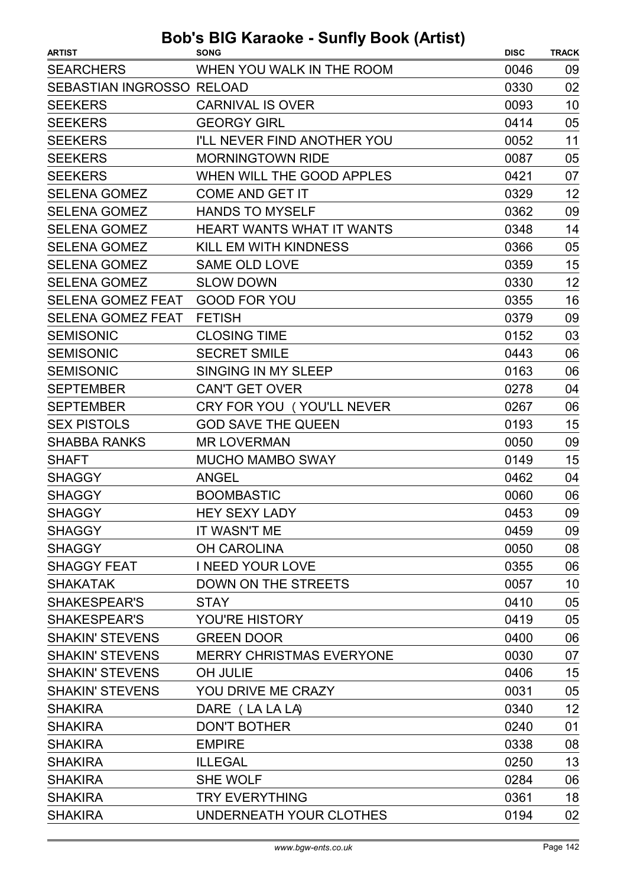| <b>ARTIST</b>             | <b>SONG</b>                      | <b>DISC</b> | <b>TRACK</b> |
|---------------------------|----------------------------------|-------------|--------------|
| <b>SEARCHERS</b>          | WHEN YOU WALK IN THE ROOM        | 0046        | 09           |
| SEBASTIAN INGROSSO RELOAD |                                  | 0330        | 02           |
| <b>SEEKERS</b>            | <b>CARNIVAL IS OVER</b>          | 0093        | 10           |
| <b>SEEKERS</b>            | <b>GEORGY GIRL</b>               | 0414        | 05           |
| <b>SEEKERS</b>            | I'LL NEVER FIND ANOTHER YOU      | 0052        | 11           |
| <b>SEEKERS</b>            | <b>MORNINGTOWN RIDE</b>          | 0087        | 05           |
| <b>SEEKERS</b>            | WHEN WILL THE GOOD APPLES        | 0421        | 07           |
| <b>SELENA GOMEZ</b>       | <b>COME AND GET IT</b>           | 0329        | 12           |
| <b>SELENA GOMEZ</b>       | <b>HANDS TO MYSELF</b>           | 0362        | 09           |
| <b>SELENA GOMEZ</b>       | <b>HEART WANTS WHAT IT WANTS</b> | 0348        | 14           |
| <b>SELENA GOMEZ</b>       | KILL EM WITH KINDNESS            | 0366        | 05           |
| <b>SELENA GOMEZ</b>       | <b>SAME OLD LOVE</b>             | 0359        | 15           |
| <b>SELENA GOMEZ</b>       | <b>SLOW DOWN</b>                 | 0330        | 12           |
| <b>SELENA GOMEZ FEAT</b>  | <b>GOOD FOR YOU</b>              | 0355        | 16           |
| <b>SELENA GOMEZ FEAT</b>  | <b>FETISH</b>                    | 0379        | 09           |
| <b>SEMISONIC</b>          | <b>CLOSING TIME</b>              | 0152        | 03           |
| <b>SEMISONIC</b>          | <b>SECRET SMILE</b>              | 0443        | 06           |
| <b>SEMISONIC</b>          | SINGING IN MY SLEEP              | 0163        | 06           |
| <b>SEPTEMBER</b>          | <b>CAN'T GET OVER</b>            | 0278        | 04           |
| <b>SEPTEMBER</b>          | CRY FOR YOU (YOU'LL NEVER        | 0267        | 06           |
| <b>SEX PISTOLS</b>        | <b>GOD SAVE THE QUEEN</b>        | 0193        | 15           |
| <b>SHABBA RANKS</b>       | <b>MR LOVERMAN</b>               | 0050        | 09           |
| <b>SHAFT</b>              | <b>MUCHO MAMBO SWAY</b>          | 0149        | 15           |
| <b>SHAGGY</b>             | <b>ANGEL</b>                     | 0462        | 04           |
| <b>SHAGGY</b>             | <b>BOOMBASTIC</b>                | 0060        | 06           |
| <b>SHAGGY</b>             | <b>HEY SEXY LADY</b>             | 0453        | 09           |
| <b>SHAGGY</b>             | <b>IT WASN'T ME</b>              | 0459        | 09           |
| <b>SHAGGY</b>             | <b>OH CAROLINA</b>               | 0050        | 08           |
| <b>SHAGGY FEAT</b>        | <b>I NEED YOUR LOVE</b>          | 0355        | 06           |
| <b>SHAKATAK</b>           | DOWN ON THE STREETS              | 0057        | 10           |
| <b>SHAKESPEAR'S</b>       | <b>STAY</b>                      | 0410        | 05           |
| <b>SHAKESPEAR'S</b>       | YOU'RE HISTORY                   | 0419        | 05           |
| <b>SHAKIN' STEVENS</b>    | <b>GREEN DOOR</b>                | 0400        | 06           |
| <b>SHAKIN' STEVENS</b>    | <b>MERRY CHRISTMAS EVERYONE</b>  | 0030        | 07           |
| <b>SHAKIN' STEVENS</b>    | <b>OH JULIE</b>                  | 0406        | 15           |
| <b>SHAKIN' STEVENS</b>    | YOU DRIVE ME CRAZY               | 0031        | 05           |
| <b>SHAKIRA</b>            | DARE (LA LA LA)                  | 0340        | 12           |
| <b>SHAKIRA</b>            | <b>DON'T BOTHER</b>              | 0240        | 01           |
| <b>SHAKIRA</b>            | <b>EMPIRE</b>                    | 0338        | 08           |
| <b>SHAKIRA</b>            | <b>ILLEGAL</b>                   | 0250        | 13           |
| <b>SHAKIRA</b>            | SHE WOLF                         | 0284        | 06           |
| <b>SHAKIRA</b>            | <b>TRY EVERYTHING</b>            | 0361        | 18           |
| <b>SHAKIRA</b>            | UNDERNEATH YOUR CLOTHES          | 0194        | 02           |
|                           |                                  |             |              |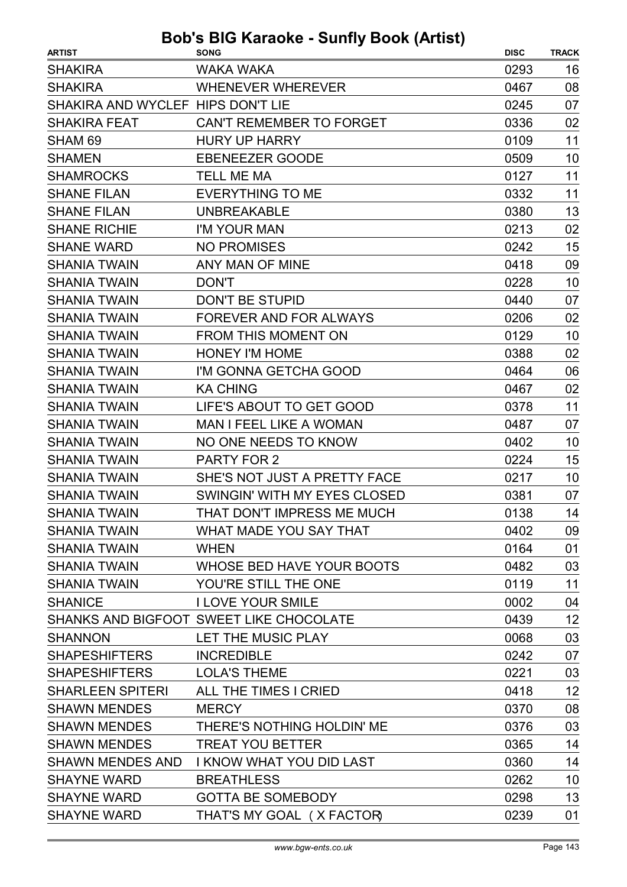| WAKA WAKA<br>0293<br>16<br>08<br><b>WHENEVER WHEREVER</b><br>0467<br>07<br>SHAKIRA AND WYCLEF HIPS DON'T LIE<br>0245<br>02<br>CAN'T REMEMBER TO FORGET<br>0336<br><b>HURY UP HARRY</b><br>0109<br>11<br><b>EBENEEZER GOODE</b><br>10<br>0509<br><b>TELL ME MA</b><br>11<br>0127<br>11<br><b>EVERYTHING TO ME</b><br>0332<br>13<br><b>UNBREAKABLE</b><br>0380<br>02<br>I'M YOUR MAN<br>0213<br><b>NO PROMISES</b><br>15<br>0242<br>09<br>ANY MAN OF MINE<br>0418<br>10<br><b>DON'T</b><br>0228<br><b>DON'T BE STUPID</b><br>07<br>0440<br>FOREVER AND FOR ALWAYS<br>0206<br>02<br><b>FROM THIS MOMENT ON</b><br>10<br>0129<br><b>HONEY I'M HOME</b><br>0388<br>02<br>I'M GONNA GETCHA GOOD<br>0464<br>06<br>02<br><b>KA CHING</b><br>0467<br>LIFE'S ABOUT TO GET GOOD<br>11<br>0378<br><b>MAN I FEEL LIKE A WOMAN</b><br>07<br>0487<br>NO ONE NEEDS TO KNOW<br>0402<br>10<br>15<br>0224<br><b>PARTY FOR 2</b><br>SHE'S NOT JUST A PRETTY FACE<br>10<br>0217<br>SWINGIN' WITH MY EYES CLOSED<br>0381<br>07<br>THAT DON'T IMPRESS ME MUCH<br>0138<br>14<br>WHAT MADE YOU SAY THAT<br>0402<br>09<br>01<br><b>WHEN</b><br>0164<br>WHOSE BED HAVE YOUR BOOTS<br>0482<br>03<br>11<br>YOU'RE STILL THE ONE<br>0119<br><b>I LOVE YOUR SMILE</b><br>0002<br>04 | <b>ARTIST</b>           | <b>SONG</b> | <b>DISC</b> | <b>TRACK</b> |
|------------------------------------------------------------------------------------------------------------------------------------------------------------------------------------------------------------------------------------------------------------------------------------------------------------------------------------------------------------------------------------------------------------------------------------------------------------------------------------------------------------------------------------------------------------------------------------------------------------------------------------------------------------------------------------------------------------------------------------------------------------------------------------------------------------------------------------------------------------------------------------------------------------------------------------------------------------------------------------------------------------------------------------------------------------------------------------------------------------------------------------------------------------------------------------------------------------------------------------------------------|-------------------------|-------------|-------------|--------------|
|                                                                                                                                                                                                                                                                                                                                                                                                                                                                                                                                                                                                                                                                                                                                                                                                                                                                                                                                                                                                                                                                                                                                                                                                                                                      | <b>SHAKIRA</b>          |             |             |              |
|                                                                                                                                                                                                                                                                                                                                                                                                                                                                                                                                                                                                                                                                                                                                                                                                                                                                                                                                                                                                                                                                                                                                                                                                                                                      | <b>SHAKIRA</b>          |             |             |              |
|                                                                                                                                                                                                                                                                                                                                                                                                                                                                                                                                                                                                                                                                                                                                                                                                                                                                                                                                                                                                                                                                                                                                                                                                                                                      |                         |             |             |              |
|                                                                                                                                                                                                                                                                                                                                                                                                                                                                                                                                                                                                                                                                                                                                                                                                                                                                                                                                                                                                                                                                                                                                                                                                                                                      | <b>SHAKIRA FEAT</b>     |             |             |              |
|                                                                                                                                                                                                                                                                                                                                                                                                                                                                                                                                                                                                                                                                                                                                                                                                                                                                                                                                                                                                                                                                                                                                                                                                                                                      | SHAM <sub>69</sub>      |             |             |              |
|                                                                                                                                                                                                                                                                                                                                                                                                                                                                                                                                                                                                                                                                                                                                                                                                                                                                                                                                                                                                                                                                                                                                                                                                                                                      | <b>SHAMEN</b>           |             |             |              |
|                                                                                                                                                                                                                                                                                                                                                                                                                                                                                                                                                                                                                                                                                                                                                                                                                                                                                                                                                                                                                                                                                                                                                                                                                                                      | <b>SHAMROCKS</b>        |             |             |              |
|                                                                                                                                                                                                                                                                                                                                                                                                                                                                                                                                                                                                                                                                                                                                                                                                                                                                                                                                                                                                                                                                                                                                                                                                                                                      | <b>SHANE FILAN</b>      |             |             |              |
|                                                                                                                                                                                                                                                                                                                                                                                                                                                                                                                                                                                                                                                                                                                                                                                                                                                                                                                                                                                                                                                                                                                                                                                                                                                      | <b>SHANE FILAN</b>      |             |             |              |
|                                                                                                                                                                                                                                                                                                                                                                                                                                                                                                                                                                                                                                                                                                                                                                                                                                                                                                                                                                                                                                                                                                                                                                                                                                                      | <b>SHANE RICHIE</b>     |             |             |              |
|                                                                                                                                                                                                                                                                                                                                                                                                                                                                                                                                                                                                                                                                                                                                                                                                                                                                                                                                                                                                                                                                                                                                                                                                                                                      | <b>SHANE WARD</b>       |             |             |              |
|                                                                                                                                                                                                                                                                                                                                                                                                                                                                                                                                                                                                                                                                                                                                                                                                                                                                                                                                                                                                                                                                                                                                                                                                                                                      | <b>SHANIA TWAIN</b>     |             |             |              |
|                                                                                                                                                                                                                                                                                                                                                                                                                                                                                                                                                                                                                                                                                                                                                                                                                                                                                                                                                                                                                                                                                                                                                                                                                                                      | <b>SHANIA TWAIN</b>     |             |             |              |
|                                                                                                                                                                                                                                                                                                                                                                                                                                                                                                                                                                                                                                                                                                                                                                                                                                                                                                                                                                                                                                                                                                                                                                                                                                                      | <b>SHANIA TWAIN</b>     |             |             |              |
|                                                                                                                                                                                                                                                                                                                                                                                                                                                                                                                                                                                                                                                                                                                                                                                                                                                                                                                                                                                                                                                                                                                                                                                                                                                      | <b>SHANIA TWAIN</b>     |             |             |              |
|                                                                                                                                                                                                                                                                                                                                                                                                                                                                                                                                                                                                                                                                                                                                                                                                                                                                                                                                                                                                                                                                                                                                                                                                                                                      | <b>SHANIA TWAIN</b>     |             |             |              |
|                                                                                                                                                                                                                                                                                                                                                                                                                                                                                                                                                                                                                                                                                                                                                                                                                                                                                                                                                                                                                                                                                                                                                                                                                                                      | <b>SHANIA TWAIN</b>     |             |             |              |
|                                                                                                                                                                                                                                                                                                                                                                                                                                                                                                                                                                                                                                                                                                                                                                                                                                                                                                                                                                                                                                                                                                                                                                                                                                                      | <b>SHANIA TWAIN</b>     |             |             |              |
|                                                                                                                                                                                                                                                                                                                                                                                                                                                                                                                                                                                                                                                                                                                                                                                                                                                                                                                                                                                                                                                                                                                                                                                                                                                      | <b>SHANIA TWAIN</b>     |             |             |              |
|                                                                                                                                                                                                                                                                                                                                                                                                                                                                                                                                                                                                                                                                                                                                                                                                                                                                                                                                                                                                                                                                                                                                                                                                                                                      | <b>SHANIA TWAIN</b>     |             |             |              |
|                                                                                                                                                                                                                                                                                                                                                                                                                                                                                                                                                                                                                                                                                                                                                                                                                                                                                                                                                                                                                                                                                                                                                                                                                                                      | <b>SHANIA TWAIN</b>     |             |             |              |
|                                                                                                                                                                                                                                                                                                                                                                                                                                                                                                                                                                                                                                                                                                                                                                                                                                                                                                                                                                                                                                                                                                                                                                                                                                                      | <b>SHANIA TWAIN</b>     |             |             |              |
|                                                                                                                                                                                                                                                                                                                                                                                                                                                                                                                                                                                                                                                                                                                                                                                                                                                                                                                                                                                                                                                                                                                                                                                                                                                      | <b>SHANIA TWAIN</b>     |             |             |              |
|                                                                                                                                                                                                                                                                                                                                                                                                                                                                                                                                                                                                                                                                                                                                                                                                                                                                                                                                                                                                                                                                                                                                                                                                                                                      | <b>SHANIA TWAIN</b>     |             |             |              |
|                                                                                                                                                                                                                                                                                                                                                                                                                                                                                                                                                                                                                                                                                                                                                                                                                                                                                                                                                                                                                                                                                                                                                                                                                                                      | <b>SHANIA TWAIN</b>     |             |             |              |
|                                                                                                                                                                                                                                                                                                                                                                                                                                                                                                                                                                                                                                                                                                                                                                                                                                                                                                                                                                                                                                                                                                                                                                                                                                                      | <b>SHANIA TWAIN</b>     |             |             |              |
|                                                                                                                                                                                                                                                                                                                                                                                                                                                                                                                                                                                                                                                                                                                                                                                                                                                                                                                                                                                                                                                                                                                                                                                                                                                      | <b>SHANIA TWAIN</b>     |             |             |              |
|                                                                                                                                                                                                                                                                                                                                                                                                                                                                                                                                                                                                                                                                                                                                                                                                                                                                                                                                                                                                                                                                                                                                                                                                                                                      | <b>SHANIA TWAIN</b>     |             |             |              |
|                                                                                                                                                                                                                                                                                                                                                                                                                                                                                                                                                                                                                                                                                                                                                                                                                                                                                                                                                                                                                                                                                                                                                                                                                                                      | <b>SHANIA TWAIN</b>     |             |             |              |
|                                                                                                                                                                                                                                                                                                                                                                                                                                                                                                                                                                                                                                                                                                                                                                                                                                                                                                                                                                                                                                                                                                                                                                                                                                                      | <b>SHANIA TWAIN</b>     |             |             |              |
|                                                                                                                                                                                                                                                                                                                                                                                                                                                                                                                                                                                                                                                                                                                                                                                                                                                                                                                                                                                                                                                                                                                                                                                                                                                      | <b>SHANICE</b>          |             |             |              |
| SHANKS AND BIGFOOT SWEET LIKE CHOCOLATE<br>12<br>0439                                                                                                                                                                                                                                                                                                                                                                                                                                                                                                                                                                                                                                                                                                                                                                                                                                                                                                                                                                                                                                                                                                                                                                                                |                         |             |             |              |
| 03<br>LET THE MUSIC PLAY<br>0068                                                                                                                                                                                                                                                                                                                                                                                                                                                                                                                                                                                                                                                                                                                                                                                                                                                                                                                                                                                                                                                                                                                                                                                                                     | <b>SHANNON</b>          |             |             |              |
| <b>INCREDIBLE</b><br>0242<br>07                                                                                                                                                                                                                                                                                                                                                                                                                                                                                                                                                                                                                                                                                                                                                                                                                                                                                                                                                                                                                                                                                                                                                                                                                      | <b>SHAPESHIFTERS</b>    |             |             |              |
| 03<br><b>LOLA'S THEME</b><br>0221                                                                                                                                                                                                                                                                                                                                                                                                                                                                                                                                                                                                                                                                                                                                                                                                                                                                                                                                                                                                                                                                                                                                                                                                                    | <b>SHAPESHIFTERS</b>    |             |             |              |
| 12<br>ALL THE TIMES I CRIED<br>0418                                                                                                                                                                                                                                                                                                                                                                                                                                                                                                                                                                                                                                                                                                                                                                                                                                                                                                                                                                                                                                                                                                                                                                                                                  | <b>SHARLEEN SPITERI</b> |             |             |              |
| 08<br><b>MERCY</b><br>0370                                                                                                                                                                                                                                                                                                                                                                                                                                                                                                                                                                                                                                                                                                                                                                                                                                                                                                                                                                                                                                                                                                                                                                                                                           | <b>SHAWN MENDES</b>     |             |             |              |
| 03<br>THERE'S NOTHING HOLDIN' ME<br>0376                                                                                                                                                                                                                                                                                                                                                                                                                                                                                                                                                                                                                                                                                                                                                                                                                                                                                                                                                                                                                                                                                                                                                                                                             | <b>SHAWN MENDES</b>     |             |             |              |
| 14<br><b>TREAT YOU BETTER</b><br>0365                                                                                                                                                                                                                                                                                                                                                                                                                                                                                                                                                                                                                                                                                                                                                                                                                                                                                                                                                                                                                                                                                                                                                                                                                | <b>SHAWN MENDES</b>     |             |             |              |
| 14<br>I KNOW WHAT YOU DID LAST<br>0360                                                                                                                                                                                                                                                                                                                                                                                                                                                                                                                                                                                                                                                                                                                                                                                                                                                                                                                                                                                                                                                                                                                                                                                                               | <b>SHAWN MENDES AND</b> |             |             |              |
| 10<br><b>BREATHLESS</b><br>0262                                                                                                                                                                                                                                                                                                                                                                                                                                                                                                                                                                                                                                                                                                                                                                                                                                                                                                                                                                                                                                                                                                                                                                                                                      | <b>SHAYNE WARD</b>      |             |             |              |
| 13<br><b>GOTTA BE SOMEBODY</b><br>0298                                                                                                                                                                                                                                                                                                                                                                                                                                                                                                                                                                                                                                                                                                                                                                                                                                                                                                                                                                                                                                                                                                                                                                                                               | <b>SHAYNE WARD</b>      |             |             |              |
| 01<br>THAT'S MY GOAL (X FACTOR)<br>0239                                                                                                                                                                                                                                                                                                                                                                                                                                                                                                                                                                                                                                                                                                                                                                                                                                                                                                                                                                                                                                                                                                                                                                                                              | <b>SHAYNE WARD</b>      |             |             |              |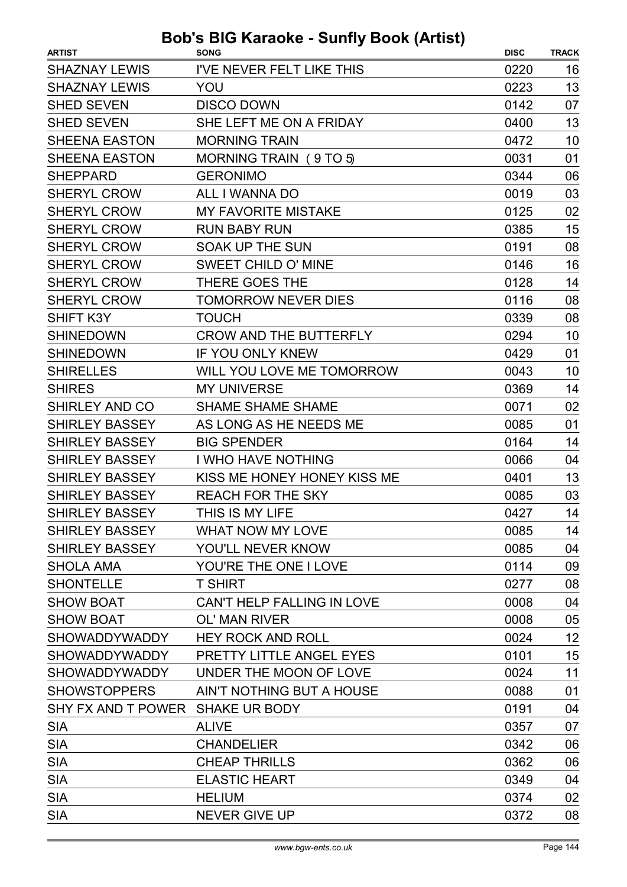| <b>ARTIST</b>                    | 210 Mardono - Odiniy Doon (Artist)<br><b>SONG</b> | <b>DISC</b> | <b>TRACK</b> |
|----------------------------------|---------------------------------------------------|-------------|--------------|
| <b>SHAZNAY LEWIS</b>             | I'VE NEVER FELT LIKE THIS                         | 0220        | 16           |
| <b>SHAZNAY LEWIS</b>             | YOU                                               | 0223        | 13           |
| <b>SHED SEVEN</b>                | <b>DISCO DOWN</b>                                 | 0142        | 07           |
| <b>SHED SEVEN</b>                | SHE LEFT ME ON A FRIDAY                           | 0400        | 13           |
| <b>SHEENA EASTON</b>             | <b>MORNING TRAIN</b>                              | 0472        | 10           |
| <b>SHEENA EASTON</b>             | MORNING TRAIN (9 TO 5)                            | 0031        | 01           |
| <b>SHEPPARD</b>                  | <b>GERONIMO</b>                                   | 0344        | 06           |
| <b>SHERYL CROW</b>               | ALL I WANNA DO                                    | 0019        | 03           |
| <b>SHERYL CROW</b>               | <b>MY FAVORITE MISTAKE</b>                        | 0125        | 02           |
| <b>SHERYL CROW</b>               | <b>RUN BABY RUN</b>                               | 0385        | 15           |
| <b>SHERYL CROW</b>               | <b>SOAK UP THE SUN</b>                            | 0191        | 08           |
| <b>SHERYL CROW</b>               | <b>SWEET CHILD O' MINE</b>                        | 0146        | 16           |
| <b>SHERYL CROW</b>               | <b>THERE GOES THE</b>                             | 0128        | 14           |
| <b>SHERYL CROW</b>               | <b>TOMORROW NEVER DIES</b>                        | 0116        | 08           |
| <b>SHIFT K3Y</b>                 | <b>TOUCH</b>                                      | 0339        | 08           |
| <b>SHINEDOWN</b>                 | <b>CROW AND THE BUTTERFLY</b>                     | 0294        | 10           |
| <b>SHINEDOWN</b>                 | <b>IF YOU ONLY KNEW</b>                           | 0429        | 01           |
| <b>SHIRELLES</b>                 | WILL YOU LOVE ME TOMORROW                         | 0043        | 10           |
| <b>SHIRES</b>                    | <b>MY UNIVERSE</b>                                | 0369        | 14           |
| <b>SHIRLEY AND CO</b>            | <b>SHAME SHAME SHAME</b>                          | 0071        | 02           |
| <b>SHIRLEY BASSEY</b>            | AS LONG AS HE NEEDS ME                            | 0085        | 01           |
| <b>SHIRLEY BASSEY</b>            | <b>BIG SPENDER</b>                                | 0164        | 14           |
| <b>SHIRLEY BASSEY</b>            | I WHO HAVE NOTHING                                | 0066        | 04           |
| <b>SHIRLEY BASSEY</b>            | KISS ME HONEY HONEY KISS ME                       | 0401        | 13           |
| <b>SHIRLEY BASSEY</b>            | <b>REACH FOR THE SKY</b>                          | 0085        | 03           |
| <b>SHIRLEY BASSEY</b>            | THIS IS MY LIFE                                   | 0427        | 14           |
| <b>SHIRLEY BASSEY</b>            | <b>WHAT NOW MY LOVE</b>                           | 0085        | 14           |
| <b>SHIRLEY BASSEY</b>            | YOU'LL NEVER KNOW                                 | 0085        | 04           |
| <b>SHOLA AMA</b>                 | YOU'RE THE ONE I LOVE                             | 0114        | 09           |
| <b>SHONTELLE</b>                 | <b>T SHIRT</b>                                    | 0277        | 08           |
| <b>SHOW BOAT</b>                 | CAN'T HELP FALLING IN LOVE                        | 0008        | 04           |
| <b>SHOW BOAT</b>                 | <b>OL' MAN RIVER</b>                              | 0008        | 05           |
| SHOWADDYWADDY                    | <b>HEY ROCK AND ROLL</b>                          | 0024        | 12           |
| <b>SHOWADDYWADDY</b>             | <b>PRETTY LITTLE ANGEL EYES</b>                   | 0101        | 15           |
| <b>SHOWADDYWADDY</b>             | UNDER THE MOON OF LOVE                            | 0024        | 11           |
| <b>SHOWSTOPPERS</b>              | AIN'T NOTHING BUT A HOUSE                         | 0088        | 01           |
| SHY FX AND T POWER SHAKE UR BODY |                                                   | 0191        | 04           |
| <b>SIA</b>                       | <b>ALIVE</b>                                      | 0357        | 07           |
| <b>SIA</b>                       | <b>CHANDELIER</b>                                 | 0342        | 06           |
| <b>SIA</b>                       | <b>CHEAP THRILLS</b>                              | 0362        | 06           |
| <b>SIA</b>                       | <b>ELASTIC HEART</b>                              | 0349        | 04           |
| <b>SIA</b>                       | <b>HELIUM</b>                                     | 0374        | 02           |
| <b>SIA</b>                       | <b>NEVER GIVE UP</b>                              | 0372        | 08           |
|                                  |                                                   |             |              |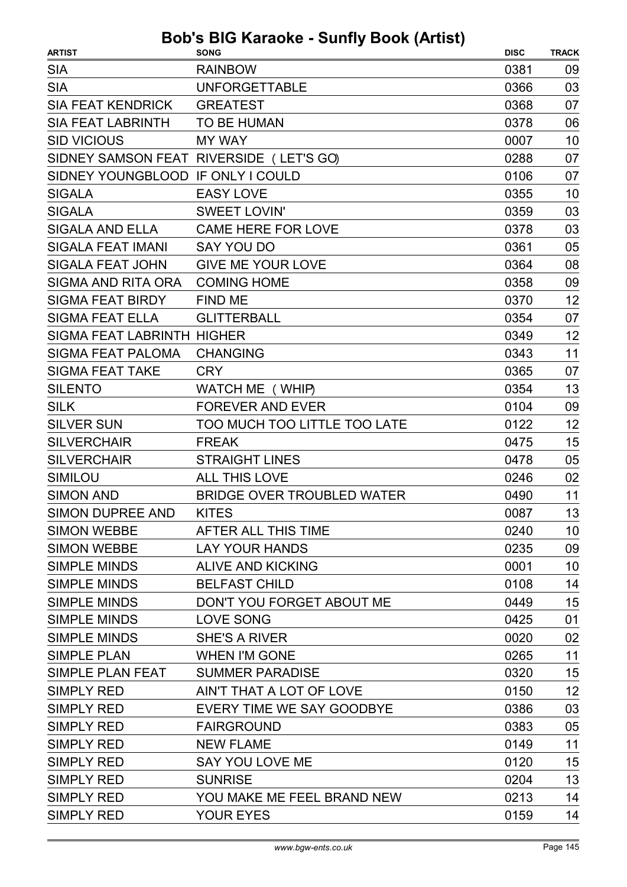| <b>ARTIST</b>                     | <b>SONG</b>                             | <b>DISC</b> | <b>TRACK</b> |
|-----------------------------------|-----------------------------------------|-------------|--------------|
| <b>SIA</b>                        | <b>RAINBOW</b>                          | 0381        | 09           |
| <b>SIA</b>                        | <b>UNFORGETTABLE</b>                    | 0366        | 03           |
| <b>SIA FEAT KENDRICK</b>          | <b>GREATEST</b>                         | 0368        | 07           |
| <b>SIA FEAT LABRINTH</b>          | <b>TO BE HUMAN</b>                      | 0378        | 06           |
| <b>SID VICIOUS</b>                | <b>MY WAY</b>                           | 0007        | 10           |
|                                   | SIDNEY SAMSON FEAT RIVERSIDE (LET'S GO) | 0288        | 07           |
| SIDNEY YOUNGBLOOD IF ONLY I COULD |                                         | 0106        | 07           |
| <b>SIGALA</b>                     | <b>EASY LOVE</b>                        | 0355        | 10           |
| <b>SIGALA</b>                     | <b>SWEET LOVIN'</b>                     | 0359        | 03           |
| <b>SIGALA AND ELLA</b>            | <b>CAME HERE FOR LOVE</b>               | 0378        | 03           |
| <b>SIGALA FEAT IMANI</b>          | <b>SAY YOU DO</b>                       | 0361        | 05           |
| <b>SIGALA FEAT JOHN</b>           | <b>GIVE ME YOUR LOVE</b>                | 0364        | 08           |
| <b>SIGMA AND RITA ORA</b>         | <b>COMING HOME</b>                      | 0358        | 09           |
| <b>SIGMA FEAT BIRDY</b>           | <b>FIND ME</b>                          | 0370        | 12           |
| <b>SIGMA FEAT ELLA</b>            | <b>GLITTERBALL</b>                      | 0354        | 07           |
| <b>SIGMA FEAT LABRINTH HIGHER</b> |                                         | 0349        | 12           |
| <b>SIGMA FEAT PALOMA</b>          | <b>CHANGING</b>                         | 0343        | 11           |
| <b>SIGMA FEAT TAKE</b>            | <b>CRY</b>                              | 0365        | 07           |
| <b>SILENTO</b>                    | WATCH ME (WHIP)                         | 0354        | 13           |
| <b>SILK</b>                       | <b>FOREVER AND EVER</b>                 | 0104        | 09           |
| <b>SILVER SUN</b>                 | TOO MUCH TOO LITTLE TOO LATE            | 0122        | 12           |
| <b>SILVERCHAIR</b>                | <b>FREAK</b>                            | 0475        | 15           |
| <b>SILVERCHAIR</b>                | <b>STRAIGHT LINES</b>                   | 0478        | 05           |
| <b>SIMILOU</b>                    | <b>ALL THIS LOVE</b>                    | 0246        | 02           |
| <b>SIMON AND</b>                  | <b>BRIDGE OVER TROUBLED WATER</b>       | 0490        | 11           |
| SIMON DUPREE AND                  | <b>KITES</b>                            | 0087        | 13           |
| <b>SIMON WEBBE</b>                | AFTER ALL THIS TIME                     | 0240        | 10           |
| <b>SIMON WEBBE</b>                | <b>LAY YOUR HANDS</b>                   | 0235        | 09           |
| <b>SIMPLE MINDS</b>               | <b>ALIVE AND KICKING</b>                | 0001        | 10           |
| <b>SIMPLE MINDS</b>               | <b>BELFAST CHILD</b>                    | 0108        | 14           |
| <b>SIMPLE MINDS</b>               | DON'T YOU FORGET ABOUT ME               | 0449        | 15           |
| <b>SIMPLE MINDS</b>               | <b>LOVE SONG</b>                        | 0425        | 01           |
| <b>SIMPLE MINDS</b>               | <b>SHE'S A RIVER</b>                    | 0020        | 02           |
| <b>SIMPLE PLAN</b>                | <b>WHEN I'M GONE</b>                    | 0265        | 11           |
| SIMPLE PLAN FEAT                  | <b>SUMMER PARADISE</b>                  | 0320        | 15           |
| SIMPLY RED                        | AIN'T THAT A LOT OF LOVE                | 0150        | 12           |
| SIMPLY RED                        | EVERY TIME WE SAY GOODBYE               | 0386        | 03           |
| <b>SIMPLY RED</b>                 | <b>FAIRGROUND</b>                       | 0383        | 05           |
| <b>SIMPLY RED</b>                 | <b>NEW FLAME</b>                        | 0149        | 11           |
| <b>SIMPLY RED</b>                 | SAY YOU LOVE ME                         | 0120        | 15           |
| <b>SIMPLY RED</b>                 | <b>SUNRISE</b>                          | 0204        | 13           |
| SIMPLY RED                        | YOU MAKE ME FEEL BRAND NEW              | 0213        | 14           |
| <b>SIMPLY RED</b>                 | <b>YOUR EYES</b>                        | 0159        | 14           |
|                                   |                                         |             |              |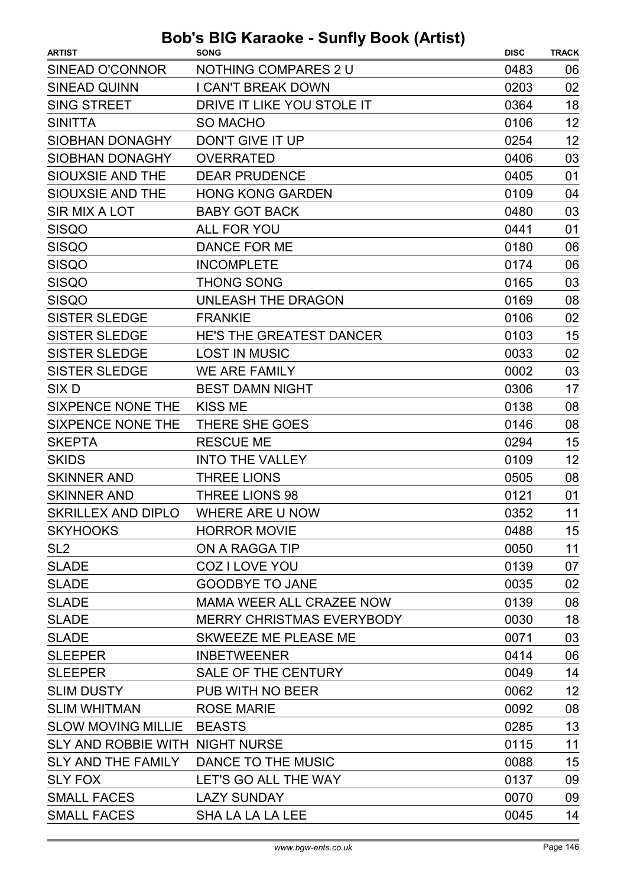| <b>ARTIST</b>                         | <b>SONG</b>                      | <b>DISC</b> | <b>TRACK</b> |
|---------------------------------------|----------------------------------|-------------|--------------|
| SINEAD O'CONNOR                       | NOTHING COMPARES 2 U             | 0483        | 06           |
| <b>SINEAD QUINN</b>                   | <b>I CAN'T BREAK DOWN</b>        | 0203        | 02           |
| <b>SING STREET</b>                    | DRIVE IT LIKE YOU STOLE IT       | 0364        | 18           |
| <b>SINITTA</b>                        | <b>SO MACHO</b>                  | 0106        | 12           |
| <b>SIOBHAN DONAGHY</b>                | DON'T GIVE IT UP                 | 0254        | 12           |
| <b>SIOBHAN DONAGHY</b>                | <b>OVERRATED</b>                 | 0406        | 03           |
| SIOUXSIE AND THE                      | <b>DEAR PRUDENCE</b>             | 0405        | 01           |
| SIOUXSIE AND THE                      | <b>HONG KONG GARDEN</b>          | 0109        | 04           |
| <b>SIR MIX A LOT</b>                  | <b>BABY GOT BACK</b>             | 0480        | 03           |
| <b>SISQO</b>                          | <b>ALL FOR YOU</b>               | 0441        | 01           |
| <b>SISQO</b>                          | DANCE FOR ME                     | 0180        | 06           |
| <b>SISQO</b>                          | <b>INCOMPLETE</b>                | 0174        | 06           |
| <b>SISQO</b>                          | <b>THONG SONG</b>                | 0165        | 03           |
| <b>SISQO</b>                          | <b>UNLEASH THE DRAGON</b>        | 0169        | 08           |
| <b>SISTER SLEDGE</b>                  | <b>FRANKIE</b>                   | 0106        | 02           |
| <b>SISTER SLEDGE</b>                  | <b>HE'S THE GREATEST DANCER</b>  | 0103        | 15           |
| <b>SISTER SLEDGE</b>                  | <b>LOST IN MUSIC</b>             | 0033        | 02           |
| <b>SISTER SLEDGE</b>                  | <b>WE ARE FAMILY</b>             | 0002        | 03           |
| SIX <sub>D</sub>                      | <b>BEST DAMN NIGHT</b>           | 0306        | 17           |
| SIXPENCE NONE THE                     | <b>KISS ME</b>                   | 0138        | 08           |
| <b>SIXPENCE NONE THE</b>              | THERE SHE GOES                   | 0146        | 08           |
| <b>SKEPTA</b>                         | <b>RESCUE ME</b>                 | 0294        | 15           |
| <b>SKIDS</b>                          | <b>INTO THE VALLEY</b>           | 0109        | 12           |
| <b>SKINNER AND</b>                    | <b>THREE LIONS</b>               | 0505        | 08           |
| <b>SKINNER AND</b>                    | <b>THREE LIONS 98</b>            | 0121        | 01           |
| <b>SKRILLEX AND DIPLO</b>             | WHERE ARE U NOW                  | 0352        | 11           |
| <b>SKYHOOKS</b>                       | <b>HORROR MOVIE</b>              | 0488        | 15           |
| SL <sub>2</sub>                       | ON A RAGGA TIP                   | 0050        | 11           |
| <b>SLADE</b>                          | COZ I LOVE YOU                   | 0139        | 07           |
| <b>SLADE</b>                          | <b>GOODBYE TO JANE</b>           | 0035        | 02           |
| <b>SLADE</b>                          | MAMA WEER ALL CRAZEE NOW         | 0139        | 08           |
| <b>SLADE</b>                          | <b>MERRY CHRISTMAS EVERYBODY</b> | 0030        | 18           |
| <b>SLADE</b>                          | SKWEEZE ME PLEASE ME             | 0071        | 03           |
| <b>SLEEPER</b>                        | <b>INBETWEENER</b>               | 0414        | 06           |
| <b>SLEEPER</b>                        | SALE OF THE CENTURY              | 0049        | 14           |
| <b>SLIM DUSTY</b>                     | PUB WITH NO BEER                 | 0062        | 12           |
| <b>SLIM WHITMAN</b>                   | <b>ROSE MARIE</b>                | 0092        | 08           |
| SLOW MOVING MILLIE BEASTS             |                                  | 0285        | 13           |
| SLY AND ROBBIE WITH NIGHT NURSE       |                                  | 0115        | 11           |
| SLY AND THE FAMILY DANCE TO THE MUSIC |                                  | 0088        | 15           |
| <b>SLY FOX</b>                        | LET'S GO ALL THE WAY             | 0137        | 09           |
| <b>SMALL FACES</b>                    | <b>LAZY SUNDAY</b>               | 0070        | 09           |
| <b>SMALL FACES</b>                    | <b>SHA LA LA LA LEE</b>          | 0045        | 14           |
|                                       |                                  |             |              |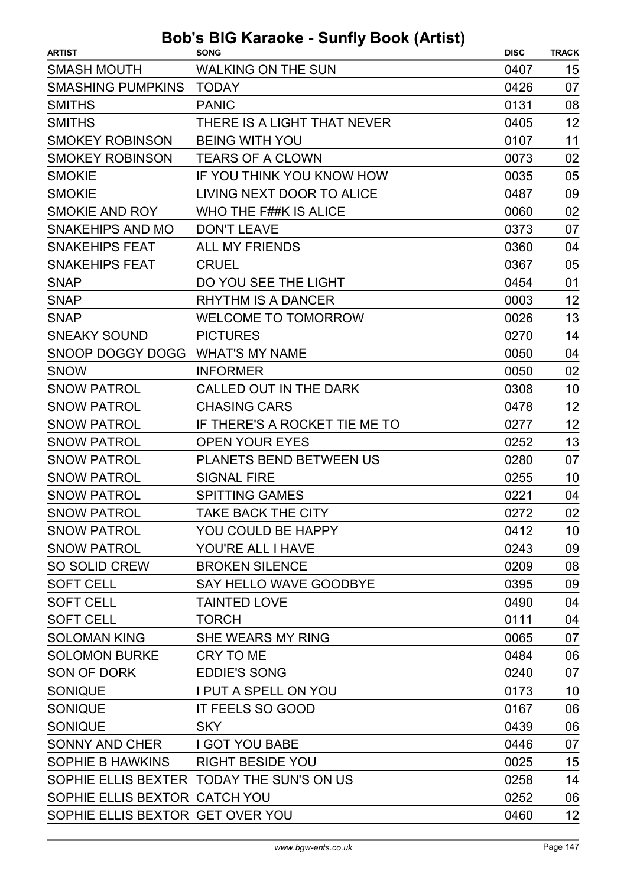| <b>ARTIST</b>                    | $\frac{1}{1}$<br><b>SONG</b>              | <b>DISC</b> | <b>TRACK</b> |
|----------------------------------|-------------------------------------------|-------------|--------------|
| <b>SMASH MOUTH</b>               | <b>WALKING ON THE SUN</b>                 | 0407        | 15           |
| <b>SMASHING PUMPKINS</b>         | <b>TODAY</b>                              | 0426        | 07           |
| <b>SMITHS</b>                    | <b>PANIC</b>                              | 0131        | 08           |
| <b>SMITHS</b>                    | THERE IS A LIGHT THAT NEVER               | 0405        | 12           |
| <b>SMOKEY ROBINSON</b>           | <b>BEING WITH YOU</b>                     | 0107        | 11           |
| <b>SMOKEY ROBINSON</b>           | <b>TEARS OF A CLOWN</b>                   | 0073        | 02           |
| <b>SMOKIE</b>                    | IF YOU THINK YOU KNOW HOW                 | 0035        | 05           |
| <b>SMOKIE</b>                    | LIVING NEXT DOOR TO ALICE                 | 0487        | 09           |
| SMOKIE AND ROY                   | WHO THE F##K IS ALICE                     | 0060        | 02           |
| <b>SNAKEHIPS AND MO</b>          | <b>DON'T LEAVE</b>                        | 0373        | 07           |
| <b>SNAKEHIPS FEAT</b>            | <b>ALL MY FRIENDS</b>                     | 0360        | 04           |
| <b>SNAKEHIPS FEAT</b>            | <b>CRUEL</b>                              | 0367        | 05           |
| <b>SNAP</b>                      | DO YOU SEE THE LIGHT                      | 0454        | 01           |
| <b>SNAP</b>                      | <b>RHYTHM IS A DANCER</b>                 | 0003        | 12           |
| <b>SNAP</b>                      | <b>WELCOME TO TOMORROW</b>                | 0026        | 13           |
| <b>SNEAKY SOUND</b>              | <b>PICTURES</b>                           | 0270        | 14           |
| SNOOP DOGGY DOGG                 | <b>WHAT'S MY NAME</b>                     | 0050        | 04           |
| <b>SNOW</b>                      | <b>INFORMER</b>                           | 0050        | 02           |
| <b>SNOW PATROL</b>               | CALLED OUT IN THE DARK                    | 0308        | 10           |
| <b>SNOW PATROL</b>               | <b>CHASING CARS</b>                       | 0478        | 12           |
| <b>SNOW PATROL</b>               | IF THERE'S A ROCKET TIE ME TO             | 0277        | 12           |
| <b>SNOW PATROL</b>               | <b>OPEN YOUR EYES</b>                     | 0252        | 13           |
| <b>SNOW PATROL</b>               | <b>PLANETS BEND BETWEEN US</b>            | 0280        | 07           |
| <b>SNOW PATROL</b>               | <b>SIGNAL FIRE</b>                        | 0255        | 10           |
| <b>SNOW PATROL</b>               | <b>SPITTING GAMES</b>                     | 0221        | 04           |
| <b>SNOW PATROL</b>               | TAKE BACK THE CITY                        | 0272        | 02           |
| <b>SNOW PATROL</b>               | YOU COULD BE HAPPY                        | 0412        | 10           |
| <b>SNOW PATROL</b>               | YOU'RE ALL I HAVE                         | 0243        | 09           |
| <b>SO SOLID CREW</b>             | <b>BROKEN SILENCE</b>                     | 0209        | 08           |
| <b>SOFT CELL</b>                 | SAY HELLO WAVE GOODBYE                    | 0395        | 09           |
| <b>SOFT CELL</b>                 | <b>TAINTED LOVE</b>                       | 0490        | 04           |
| <b>SOFT CELL</b>                 | <b>TORCH</b>                              | 0111        | 04           |
| <b>SOLOMAN KING</b>              | SHE WEARS MY RING                         | 0065        | 07           |
| <b>SOLOMON BURKE</b>             | CRY TO ME                                 | 0484        | 06           |
| SON OF DORK                      | <b>EDDIE'S SONG</b>                       | 0240        | 07           |
| <b>SONIQUE</b>                   | I PUT A SPELL ON YOU                      | 0173        | 10           |
| <b>SONIQUE</b>                   | IT FEELS SO GOOD                          | 0167        | 06           |
| <b>SONIQUE</b>                   | <b>SKY</b>                                | 0439        | 06           |
| <b>SONNY AND CHER</b>            | <b>I GOT YOU BABE</b>                     | 0446        | 07           |
| SOPHIE B HAWKINS                 | <b>RIGHT BESIDE YOU</b>                   | 0025        | 15           |
|                                  | SOPHIE ELLIS BEXTER TODAY THE SUN'S ON US | 0258        | 14           |
| SOPHIE ELLIS BEXTOR CATCH YOU    |                                           | 0252        | 06           |
| SOPHIE ELLIS BEXTOR GET OVER YOU |                                           | 0460        | 12           |
|                                  |                                           |             |              |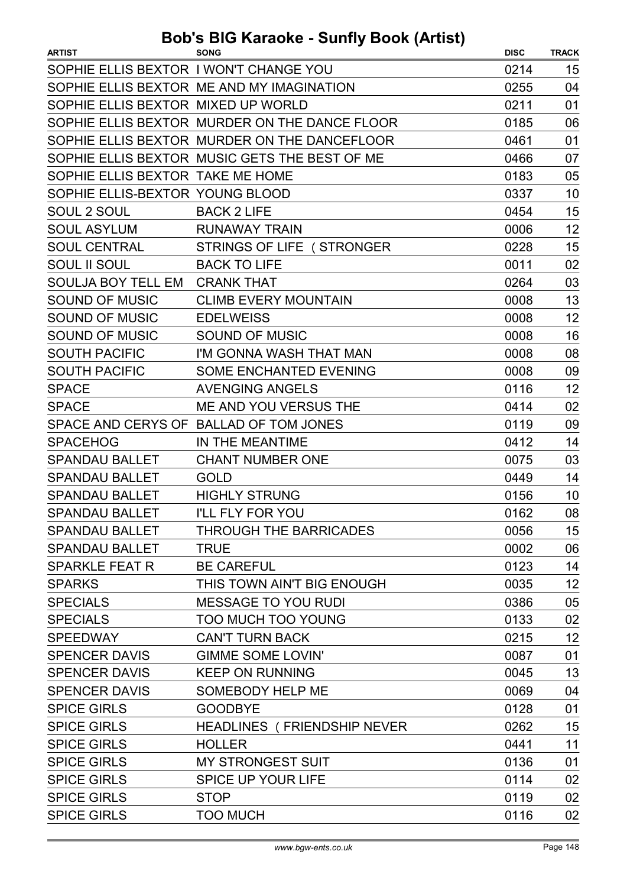| <b>ARTIST</b>                          | <b>SONG</b>                                   | <b>DISC</b> | <b>TRACK</b> |
|----------------------------------------|-----------------------------------------------|-------------|--------------|
| SOPHIE ELLIS BEXTOR I WON'T CHANGE YOU |                                               | 0214        | 15           |
|                                        | SOPHIE ELLIS BEXTOR ME AND MY IMAGINATION     | 0255        | 04           |
| SOPHIE ELLIS BEXTOR MIXED UP WORLD     |                                               | 0211        | 01           |
|                                        | SOPHIE ELLIS BEXTOR MURDER ON THE DANCE FLOOR | 0185        | 06           |
|                                        | SOPHIE ELLIS BEXTOR MURDER ON THE DANCEFLOOR  | 0461        | 01           |
|                                        | SOPHIE ELLIS BEXTOR MUSIC GETS THE BEST OF ME | 0466        | 07           |
| SOPHIE ELLIS BEXTOR TAKE ME HOME       |                                               | 0183        | 05           |
| SOPHIE ELLIS-BEXTOR YOUNG BLOOD        |                                               | 0337        | 10           |
| SOUL 2 SOUL                            | <b>BACK 2 LIFE</b>                            | 0454        | 15           |
| <b>SOUL ASYLUM</b>                     | <b>RUNAWAY TRAIN</b>                          | 0006        | 12           |
| <b>SOUL CENTRAL</b>                    | STRINGS OF LIFE (STRONGER                     | 0228        | 15           |
| <b>SOUL II SOUL</b>                    | <b>BACK TO LIFE</b>                           | 0011        | 02           |
| SOULJA BOY TELL EM CRANK THAT          |                                               | 0264        | 03           |
| <b>SOUND OF MUSIC</b>                  | <b>CLIMB EVERY MOUNTAIN</b>                   | 0008        | 13           |
| <b>SOUND OF MUSIC</b>                  | <b>EDELWEISS</b>                              | 0008        | 12           |
| <b>SOUND OF MUSIC</b>                  | SOUND OF MUSIC                                | 0008        | 16           |
| <b>SOUTH PACIFIC</b>                   | I'M GONNA WASH THAT MAN                       | 0008        | 08           |
| <b>SOUTH PACIFIC</b>                   | <b>SOME ENCHANTED EVENING</b>                 | 0008        | 09           |
| <b>SPACE</b>                           | <b>AVENGING ANGELS</b>                        | 0116        | 12           |
| <b>SPACE</b>                           | ME AND YOU VERSUS THE                         | 0414        | 02           |
|                                        | SPACE AND CERYS OF BALLAD OF TOM JONES        | 0119        | 09           |
| <b>SPACEHOG</b>                        | IN THE MEANTIME                               | 0412        | 14           |
| <b>SPANDAU BALLET</b>                  | <b>CHANT NUMBER ONE</b>                       | 0075        | 03           |
| <b>SPANDAU BALLET</b>                  | <b>GOLD</b>                                   | 0449        | 14           |
| <b>SPANDAU BALLET</b>                  | <b>HIGHLY STRUNG</b>                          | 0156        | 10           |
| <b>SPANDAU BALLET</b>                  | I'LL FLY FOR YOU                              | 0162        | 08           |
| <b>SPANDAU BALLET</b>                  | <b>THROUGH THE BARRICADES</b>                 | 0056        | 15           |
| <b>SPANDAU BALLET</b>                  | <b>TRUE</b>                                   | 0002        | 06           |
| <b>SPARKLE FEAT R</b>                  | <b>BE CAREFUL</b>                             | 0123        | 14           |
| <b>SPARKS</b>                          | THIS TOWN AIN'T BIG ENOUGH                    | 0035        | 12           |
| <b>SPECIALS</b>                        | <b>MESSAGE TO YOU RUDI</b>                    | 0386        | 05           |
| <b>SPECIALS</b>                        | <b>TOO MUCH TOO YOUNG</b>                     | 0133        | 02           |
| <b>SPEEDWAY</b>                        | <b>CAN'T TURN BACK</b>                        | 0215        | 12           |
| <b>SPENCER DAVIS</b>                   | <b>GIMME SOME LOVIN'</b>                      | 0087        | 01           |
| <b>SPENCER DAVIS</b>                   | <b>KEEP ON RUNNING</b>                        | 0045        | 13           |
| <b>SPENCER DAVIS</b>                   | SOMEBODY HELP ME                              | 0069        | 04           |
| <b>SPICE GIRLS</b>                     | <b>GOODBYE</b>                                | 0128        | 01           |
| <b>SPICE GIRLS</b>                     | <b>HEADLINES (FRIENDSHIP NEVER</b>            | 0262        | 15           |
| <b>SPICE GIRLS</b>                     | <b>HOLLER</b>                                 | 0441        | 11           |
| <b>SPICE GIRLS</b>                     | MY STRONGEST SUIT                             | 0136        | 01           |
| <b>SPICE GIRLS</b>                     | <b>SPICE UP YOUR LIFE</b>                     | 0114        | 02           |
| <b>SPICE GIRLS</b>                     | <b>STOP</b>                                   | 0119        | 02           |
| <b>SPICE GIRLS</b>                     | <b>TOO MUCH</b>                               | 0116        | 02           |
|                                        |                                               |             |              |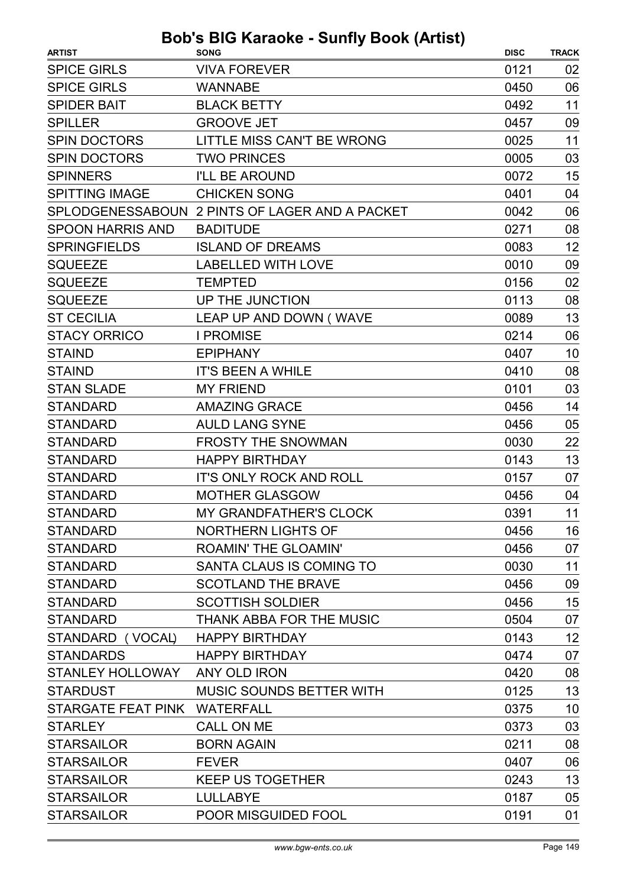| <b>SPICE GIRLS</b><br><b>VIVA FOREVER</b><br>0121<br>02<br><b>SPICE GIRLS</b><br>06<br><b>WANNABE</b><br>0450<br><b>SPIDER BAIT</b><br><b>BLACK BETTY</b><br>0492<br>11<br><b>SPILLER</b><br><b>GROOVE JET</b><br>0457<br>09<br>11<br><b>SPIN DOCTORS</b><br>LITTLE MISS CAN'T BE WRONG<br>0025<br><b>SPIN DOCTORS</b><br><b>TWO PRINCES</b><br>0005<br>03<br>15<br><b>SPINNERS</b><br><b>I'LL BE AROUND</b><br>0072<br>04<br><b>SPITTING IMAGE</b><br><b>CHICKEN SONG</b><br>0401<br>SPLODGENESSABOUN 2 PINTS OF LAGER AND A PACKET<br>0042<br>06<br><b>SPOON HARRIS AND</b><br>0271<br>08<br><b>BADITUDE</b><br>12<br><b>SPRINGFIELDS</b><br><b>ISLAND OF DREAMS</b><br>0083<br><b>SQUEEZE</b><br><b>LABELLED WITH LOVE</b><br>09<br>0010<br>02<br><b>SQUEEZE</b><br>0156<br><b>TEMPTED</b><br>08<br><b>SQUEEZE</b><br>UP THE JUNCTION<br>0113 | <b>ARTIST</b>     | uvno odiniji<br><b>SONG</b> | <b>DISC</b> | <b>TRACK</b> |
|--------------------------------------------------------------------------------------------------------------------------------------------------------------------------------------------------------------------------------------------------------------------------------------------------------------------------------------------------------------------------------------------------------------------------------------------------------------------------------------------------------------------------------------------------------------------------------------------------------------------------------------------------------------------------------------------------------------------------------------------------------------------------------------------------------------------------------------------------|-------------------|-----------------------------|-------------|--------------|
|                                                                                                                                                                                                                                                                                                                                                                                                                                                                                                                                                                                                                                                                                                                                                                                                                                                  |                   |                             |             |              |
|                                                                                                                                                                                                                                                                                                                                                                                                                                                                                                                                                                                                                                                                                                                                                                                                                                                  |                   |                             |             |              |
|                                                                                                                                                                                                                                                                                                                                                                                                                                                                                                                                                                                                                                                                                                                                                                                                                                                  |                   |                             |             |              |
|                                                                                                                                                                                                                                                                                                                                                                                                                                                                                                                                                                                                                                                                                                                                                                                                                                                  |                   |                             |             |              |
|                                                                                                                                                                                                                                                                                                                                                                                                                                                                                                                                                                                                                                                                                                                                                                                                                                                  |                   |                             |             |              |
|                                                                                                                                                                                                                                                                                                                                                                                                                                                                                                                                                                                                                                                                                                                                                                                                                                                  |                   |                             |             |              |
|                                                                                                                                                                                                                                                                                                                                                                                                                                                                                                                                                                                                                                                                                                                                                                                                                                                  |                   |                             |             |              |
|                                                                                                                                                                                                                                                                                                                                                                                                                                                                                                                                                                                                                                                                                                                                                                                                                                                  |                   |                             |             |              |
|                                                                                                                                                                                                                                                                                                                                                                                                                                                                                                                                                                                                                                                                                                                                                                                                                                                  |                   |                             |             |              |
|                                                                                                                                                                                                                                                                                                                                                                                                                                                                                                                                                                                                                                                                                                                                                                                                                                                  |                   |                             |             |              |
|                                                                                                                                                                                                                                                                                                                                                                                                                                                                                                                                                                                                                                                                                                                                                                                                                                                  |                   |                             |             |              |
|                                                                                                                                                                                                                                                                                                                                                                                                                                                                                                                                                                                                                                                                                                                                                                                                                                                  |                   |                             |             |              |
|                                                                                                                                                                                                                                                                                                                                                                                                                                                                                                                                                                                                                                                                                                                                                                                                                                                  |                   |                             |             |              |
|                                                                                                                                                                                                                                                                                                                                                                                                                                                                                                                                                                                                                                                                                                                                                                                                                                                  |                   |                             |             |              |
|                                                                                                                                                                                                                                                                                                                                                                                                                                                                                                                                                                                                                                                                                                                                                                                                                                                  | <b>ST CECILIA</b> | LEAP UP AND DOWN (WAVE      | 0089        | 13           |
| <b>STACY ORRICO</b><br><b>I PROMISE</b><br>06<br>0214                                                                                                                                                                                                                                                                                                                                                                                                                                                                                                                                                                                                                                                                                                                                                                                            |                   |                             |             |              |
| 10<br><b>STAIND</b><br><b>EPIPHANY</b><br>0407                                                                                                                                                                                                                                                                                                                                                                                                                                                                                                                                                                                                                                                                                                                                                                                                   |                   |                             |             |              |
| 08<br><b>STAIND</b><br>0410<br><b>IT'S BEEN A WHILE</b>                                                                                                                                                                                                                                                                                                                                                                                                                                                                                                                                                                                                                                                                                                                                                                                          |                   |                             |             |              |
| 03<br><b>STAN SLADE</b><br><b>MY FRIEND</b><br>0101                                                                                                                                                                                                                                                                                                                                                                                                                                                                                                                                                                                                                                                                                                                                                                                              |                   |                             |             |              |
| <b>STANDARD</b><br><b>AMAZING GRACE</b><br>0456<br>14                                                                                                                                                                                                                                                                                                                                                                                                                                                                                                                                                                                                                                                                                                                                                                                            |                   |                             |             |              |
| <b>STANDARD</b><br><b>AULD LANG SYNE</b><br>05<br>0456                                                                                                                                                                                                                                                                                                                                                                                                                                                                                                                                                                                                                                                                                                                                                                                           |                   |                             |             |              |
| <b>FROSTY THE SNOWMAN</b><br>22<br><b>STANDARD</b><br>0030                                                                                                                                                                                                                                                                                                                                                                                                                                                                                                                                                                                                                                                                                                                                                                                       |                   |                             |             |              |
| 13<br><b>STANDARD</b><br><b>HAPPY BIRTHDAY</b><br>0143                                                                                                                                                                                                                                                                                                                                                                                                                                                                                                                                                                                                                                                                                                                                                                                           |                   |                             |             |              |
| <b>STANDARD</b><br><b>IT'S ONLY ROCK AND ROLL</b><br>07<br>0157                                                                                                                                                                                                                                                                                                                                                                                                                                                                                                                                                                                                                                                                                                                                                                                  |                   |                             |             |              |
| <b>STANDARD</b><br><b>MOTHER GLASGOW</b><br>0456<br>04                                                                                                                                                                                                                                                                                                                                                                                                                                                                                                                                                                                                                                                                                                                                                                                           |                   |                             |             |              |
| 11<br>MY GRANDFATHER'S CLOCK<br>0391<br><b>STANDARD</b>                                                                                                                                                                                                                                                                                                                                                                                                                                                                                                                                                                                                                                                                                                                                                                                          |                   |                             |             |              |
| NORTHERN LIGHTS OF<br>16<br><b>STANDARD</b><br>0456                                                                                                                                                                                                                                                                                                                                                                                                                                                                                                                                                                                                                                                                                                                                                                                              |                   |                             |             |              |
| <b>ROAMIN' THE GLOAMIN'</b><br>07<br><b>STANDARD</b><br>0456                                                                                                                                                                                                                                                                                                                                                                                                                                                                                                                                                                                                                                                                                                                                                                                     |                   |                             |             |              |
| 11<br>SANTA CLAUS IS COMING TO<br>0030<br><b>STANDARD</b>                                                                                                                                                                                                                                                                                                                                                                                                                                                                                                                                                                                                                                                                                                                                                                                        |                   |                             |             |              |
| <b>SCOTLAND THE BRAVE</b><br>0456<br>09<br><b>STANDARD</b>                                                                                                                                                                                                                                                                                                                                                                                                                                                                                                                                                                                                                                                                                                                                                                                       |                   |                             |             |              |
| 15<br><b>STANDARD</b><br><b>SCOTTISH SOLDIER</b><br>0456                                                                                                                                                                                                                                                                                                                                                                                                                                                                                                                                                                                                                                                                                                                                                                                         |                   |                             |             |              |
| <b>STANDARD</b><br>THANK ABBA FOR THE MUSIC<br>0504<br>07                                                                                                                                                                                                                                                                                                                                                                                                                                                                                                                                                                                                                                                                                                                                                                                        |                   |                             |             |              |
| 12<br>STANDARD (VOCAL)<br><b>HAPPY BIRTHDAY</b><br>0143                                                                                                                                                                                                                                                                                                                                                                                                                                                                                                                                                                                                                                                                                                                                                                                          |                   |                             |             |              |
| 07<br><b>STANDARDS</b><br><b>HAPPY BIRTHDAY</b><br>0474                                                                                                                                                                                                                                                                                                                                                                                                                                                                                                                                                                                                                                                                                                                                                                                          |                   |                             |             |              |
| 08<br><b>STANLEY HOLLOWAY</b><br>ANY OLD IRON<br>0420                                                                                                                                                                                                                                                                                                                                                                                                                                                                                                                                                                                                                                                                                                                                                                                            |                   |                             |             |              |
| 13<br><b>MUSIC SOUNDS BETTER WITH</b><br>0125<br><b>STARDUST</b>                                                                                                                                                                                                                                                                                                                                                                                                                                                                                                                                                                                                                                                                                                                                                                                 |                   |                             |             |              |
| STARGATE FEAT PINK<br>10<br><b>WATERFALL</b><br>0375                                                                                                                                                                                                                                                                                                                                                                                                                                                                                                                                                                                                                                                                                                                                                                                             |                   |                             |             |              |
| <b>CALL ON ME</b><br>03<br><b>STARLEY</b><br>0373                                                                                                                                                                                                                                                                                                                                                                                                                                                                                                                                                                                                                                                                                                                                                                                                |                   |                             |             |              |
| <b>BORN AGAIN</b><br>08<br><b>STARSAILOR</b><br>0211                                                                                                                                                                                                                                                                                                                                                                                                                                                                                                                                                                                                                                                                                                                                                                                             |                   |                             |             |              |
| <b>STARSAILOR</b><br>0407<br>06<br><b>FEVER</b>                                                                                                                                                                                                                                                                                                                                                                                                                                                                                                                                                                                                                                                                                                                                                                                                  |                   |                             |             |              |
| 13<br><b>STARSAILOR</b><br>0243<br><b>KEEP US TOGETHER</b>                                                                                                                                                                                                                                                                                                                                                                                                                                                                                                                                                                                                                                                                                                                                                                                       |                   |                             |             |              |
| 05<br><b>STARSAILOR</b><br><b>LULLABYE</b><br>0187                                                                                                                                                                                                                                                                                                                                                                                                                                                                                                                                                                                                                                                                                                                                                                                               |                   |                             |             |              |
| 01<br><b>STARSAILOR</b><br>POOR MISGUIDED FOOL<br>0191                                                                                                                                                                                                                                                                                                                                                                                                                                                                                                                                                                                                                                                                                                                                                                                           |                   |                             |             |              |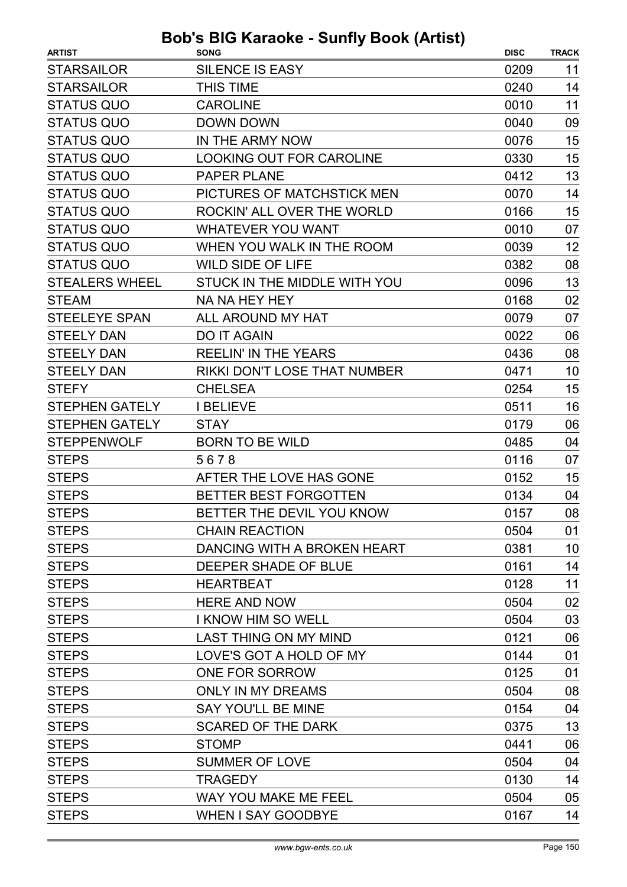| <b>STARSAILOR</b><br><b>SILENCE IS EASY</b><br>0209<br>11<br><b>STARSAILOR</b><br><b>THIS TIME</b><br>14<br>0240<br><b>STATUS QUO</b><br><b>CAROLINE</b><br>0010<br>11<br><b>STATUS QUO</b><br><b>DOWN DOWN</b><br>0040<br>09<br><b>STATUS QUO</b><br>15<br>IN THE ARMY NOW<br>0076<br><b>STATUS QUO</b><br>15<br><b>LOOKING OUT FOR CAROLINE</b><br>0330<br>13<br><b>STATUS QUO</b><br><b>PAPER PLANE</b><br>0412<br><b>STATUS QUO</b><br>PICTURES OF MATCHSTICK MEN<br>14<br>0070<br>15<br><b>STATUS QUO</b><br>ROCKIN' ALL OVER THE WORLD<br>0166<br><b>STATUS QUO</b><br><b>WHATEVER YOU WANT</b><br>0010<br>07<br><b>STATUS QUO</b><br>12<br>WHEN YOU WALK IN THE ROOM<br>0039<br><b>STATUS QUO</b><br><b>WILD SIDE OF LIFE</b><br>0382<br>08<br>13<br><b>STEALERS WHEEL</b><br>STUCK IN THE MIDDLE WITH YOU<br>0096<br><b>STEAM</b><br>NA NA HEY HEY<br>02<br>0168<br><b>STEELEYE SPAN</b><br>ALL AROUND MY HAT<br>0079<br>07<br><b>STEELY DAN</b><br><b>DO IT AGAIN</b><br>0022<br>06<br><b>STEELY DAN</b><br><b>REELIN' IN THE YEARS</b><br>0436<br>08<br><b>STEELY DAN</b><br>RIKKI DON'T LOSE THAT NUMBER<br>10<br>0471<br>15<br><b>CHELSEA</b><br><b>STEFY</b><br>0254<br>16<br><b>I BELIEVE</b><br>0511<br><b>STEPHEN GATELY</b><br><b>STEPHEN GATELY</b><br>06<br><b>STAY</b><br>0179<br><b>STEPPENWOLF</b><br><b>BORN TO BE WILD</b><br>0485<br>04<br><b>STEPS</b><br>0116<br>07<br>5678<br>15<br><b>STEPS</b><br>AFTER THE LOVE HAS GONE<br>0152<br><b>STEPS</b><br>BETTER BEST FORGOTTEN<br>0134<br>04<br><b>STEPS</b><br>08<br>BETTER THE DEVIL YOU KNOW<br>0157<br><b>STEPS</b><br><b>CHAIN REACTION</b><br>0504<br>01<br>DANCING WITH A BROKEN HEART<br>0381<br>10<br><b>STEPS</b><br>0161<br>14<br>DEEPER SHADE OF BLUE<br>11<br>0128<br><b>STEPS</b><br><b>HEARTBEAT</b><br><b>STEPS</b><br><b>HERE AND NOW</b><br>0504<br>02<br>03<br><b>STEPS</b><br><b>I KNOW HIM SO WELL</b><br>0504<br><b>STEPS</b><br><b>LAST THING ON MY MIND</b><br>0121<br>06<br><b>STEPS</b><br>LOVE'S GOT A HOLD OF MY<br>01<br>0144<br><b>STEPS</b><br>ONE FOR SORROW<br>0125<br>01<br><b>ONLY IN MY DREAMS</b><br>0504<br>08<br><b>STEPS</b><br><b>SAY YOU'LL BE MINE</b><br><b>STEPS</b><br>04<br>0154<br><b>SCARED OF THE DARK</b><br>13<br>0375<br><b>STEPS</b><br><b>STOMP</b><br>06<br>0441<br><b>SUMMER OF LOVE</b><br>0504<br>04<br><b>STEPS</b><br><b>STEPS</b><br><b>TRAGEDY</b><br>0130<br>14<br><b>STEPS</b><br>WAY YOU MAKE ME FEEL<br>0504<br>05<br><b>STEPS</b><br><b>WHEN I SAY GOODBYE</b><br>0167<br>14 | <b>ARTIST</b> | <b>SONG</b> | <b>DISC</b> | <b>TRACK</b> |
|----------------------------------------------------------------------------------------------------------------------------------------------------------------------------------------------------------------------------------------------------------------------------------------------------------------------------------------------------------------------------------------------------------------------------------------------------------------------------------------------------------------------------------------------------------------------------------------------------------------------------------------------------------------------------------------------------------------------------------------------------------------------------------------------------------------------------------------------------------------------------------------------------------------------------------------------------------------------------------------------------------------------------------------------------------------------------------------------------------------------------------------------------------------------------------------------------------------------------------------------------------------------------------------------------------------------------------------------------------------------------------------------------------------------------------------------------------------------------------------------------------------------------------------------------------------------------------------------------------------------------------------------------------------------------------------------------------------------------------------------------------------------------------------------------------------------------------------------------------------------------------------------------------------------------------------------------------------------------------------------------------------------------------------------------------------------------------------------------------------------------------------------------------------------------------------------------------------------------------------------------------------------------------------------------------------------------------------------------------------------------------------------------------------------------------------------------------------------------------------------------------------------------|---------------|-------------|-------------|--------------|
|                                                                                                                                                                                                                                                                                                                                                                                                                                                                                                                                                                                                                                                                                                                                                                                                                                                                                                                                                                                                                                                                                                                                                                                                                                                                                                                                                                                                                                                                                                                                                                                                                                                                                                                                                                                                                                                                                                                                                                                                                                                                                                                                                                                                                                                                                                                                                                                                                                                                                                                            |               |             |             |              |
|                                                                                                                                                                                                                                                                                                                                                                                                                                                                                                                                                                                                                                                                                                                                                                                                                                                                                                                                                                                                                                                                                                                                                                                                                                                                                                                                                                                                                                                                                                                                                                                                                                                                                                                                                                                                                                                                                                                                                                                                                                                                                                                                                                                                                                                                                                                                                                                                                                                                                                                            |               |             |             |              |
|                                                                                                                                                                                                                                                                                                                                                                                                                                                                                                                                                                                                                                                                                                                                                                                                                                                                                                                                                                                                                                                                                                                                                                                                                                                                                                                                                                                                                                                                                                                                                                                                                                                                                                                                                                                                                                                                                                                                                                                                                                                                                                                                                                                                                                                                                                                                                                                                                                                                                                                            |               |             |             |              |
|                                                                                                                                                                                                                                                                                                                                                                                                                                                                                                                                                                                                                                                                                                                                                                                                                                                                                                                                                                                                                                                                                                                                                                                                                                                                                                                                                                                                                                                                                                                                                                                                                                                                                                                                                                                                                                                                                                                                                                                                                                                                                                                                                                                                                                                                                                                                                                                                                                                                                                                            |               |             |             |              |
|                                                                                                                                                                                                                                                                                                                                                                                                                                                                                                                                                                                                                                                                                                                                                                                                                                                                                                                                                                                                                                                                                                                                                                                                                                                                                                                                                                                                                                                                                                                                                                                                                                                                                                                                                                                                                                                                                                                                                                                                                                                                                                                                                                                                                                                                                                                                                                                                                                                                                                                            |               |             |             |              |
|                                                                                                                                                                                                                                                                                                                                                                                                                                                                                                                                                                                                                                                                                                                                                                                                                                                                                                                                                                                                                                                                                                                                                                                                                                                                                                                                                                                                                                                                                                                                                                                                                                                                                                                                                                                                                                                                                                                                                                                                                                                                                                                                                                                                                                                                                                                                                                                                                                                                                                                            |               |             |             |              |
|                                                                                                                                                                                                                                                                                                                                                                                                                                                                                                                                                                                                                                                                                                                                                                                                                                                                                                                                                                                                                                                                                                                                                                                                                                                                                                                                                                                                                                                                                                                                                                                                                                                                                                                                                                                                                                                                                                                                                                                                                                                                                                                                                                                                                                                                                                                                                                                                                                                                                                                            |               |             |             |              |
|                                                                                                                                                                                                                                                                                                                                                                                                                                                                                                                                                                                                                                                                                                                                                                                                                                                                                                                                                                                                                                                                                                                                                                                                                                                                                                                                                                                                                                                                                                                                                                                                                                                                                                                                                                                                                                                                                                                                                                                                                                                                                                                                                                                                                                                                                                                                                                                                                                                                                                                            |               |             |             |              |
|                                                                                                                                                                                                                                                                                                                                                                                                                                                                                                                                                                                                                                                                                                                                                                                                                                                                                                                                                                                                                                                                                                                                                                                                                                                                                                                                                                                                                                                                                                                                                                                                                                                                                                                                                                                                                                                                                                                                                                                                                                                                                                                                                                                                                                                                                                                                                                                                                                                                                                                            |               |             |             |              |
|                                                                                                                                                                                                                                                                                                                                                                                                                                                                                                                                                                                                                                                                                                                                                                                                                                                                                                                                                                                                                                                                                                                                                                                                                                                                                                                                                                                                                                                                                                                                                                                                                                                                                                                                                                                                                                                                                                                                                                                                                                                                                                                                                                                                                                                                                                                                                                                                                                                                                                                            |               |             |             |              |
|                                                                                                                                                                                                                                                                                                                                                                                                                                                                                                                                                                                                                                                                                                                                                                                                                                                                                                                                                                                                                                                                                                                                                                                                                                                                                                                                                                                                                                                                                                                                                                                                                                                                                                                                                                                                                                                                                                                                                                                                                                                                                                                                                                                                                                                                                                                                                                                                                                                                                                                            |               |             |             |              |
|                                                                                                                                                                                                                                                                                                                                                                                                                                                                                                                                                                                                                                                                                                                                                                                                                                                                                                                                                                                                                                                                                                                                                                                                                                                                                                                                                                                                                                                                                                                                                                                                                                                                                                                                                                                                                                                                                                                                                                                                                                                                                                                                                                                                                                                                                                                                                                                                                                                                                                                            |               |             |             |              |
|                                                                                                                                                                                                                                                                                                                                                                                                                                                                                                                                                                                                                                                                                                                                                                                                                                                                                                                                                                                                                                                                                                                                                                                                                                                                                                                                                                                                                                                                                                                                                                                                                                                                                                                                                                                                                                                                                                                                                                                                                                                                                                                                                                                                                                                                                                                                                                                                                                                                                                                            |               |             |             |              |
|                                                                                                                                                                                                                                                                                                                                                                                                                                                                                                                                                                                                                                                                                                                                                                                                                                                                                                                                                                                                                                                                                                                                                                                                                                                                                                                                                                                                                                                                                                                                                                                                                                                                                                                                                                                                                                                                                                                                                                                                                                                                                                                                                                                                                                                                                                                                                                                                                                                                                                                            |               |             |             |              |
|                                                                                                                                                                                                                                                                                                                                                                                                                                                                                                                                                                                                                                                                                                                                                                                                                                                                                                                                                                                                                                                                                                                                                                                                                                                                                                                                                                                                                                                                                                                                                                                                                                                                                                                                                                                                                                                                                                                                                                                                                                                                                                                                                                                                                                                                                                                                                                                                                                                                                                                            |               |             |             |              |
|                                                                                                                                                                                                                                                                                                                                                                                                                                                                                                                                                                                                                                                                                                                                                                                                                                                                                                                                                                                                                                                                                                                                                                                                                                                                                                                                                                                                                                                                                                                                                                                                                                                                                                                                                                                                                                                                                                                                                                                                                                                                                                                                                                                                                                                                                                                                                                                                                                                                                                                            |               |             |             |              |
|                                                                                                                                                                                                                                                                                                                                                                                                                                                                                                                                                                                                                                                                                                                                                                                                                                                                                                                                                                                                                                                                                                                                                                                                                                                                                                                                                                                                                                                                                                                                                                                                                                                                                                                                                                                                                                                                                                                                                                                                                                                                                                                                                                                                                                                                                                                                                                                                                                                                                                                            |               |             |             |              |
|                                                                                                                                                                                                                                                                                                                                                                                                                                                                                                                                                                                                                                                                                                                                                                                                                                                                                                                                                                                                                                                                                                                                                                                                                                                                                                                                                                                                                                                                                                                                                                                                                                                                                                                                                                                                                                                                                                                                                                                                                                                                                                                                                                                                                                                                                                                                                                                                                                                                                                                            |               |             |             |              |
|                                                                                                                                                                                                                                                                                                                                                                                                                                                                                                                                                                                                                                                                                                                                                                                                                                                                                                                                                                                                                                                                                                                                                                                                                                                                                                                                                                                                                                                                                                                                                                                                                                                                                                                                                                                                                                                                                                                                                                                                                                                                                                                                                                                                                                                                                                                                                                                                                                                                                                                            |               |             |             |              |
|                                                                                                                                                                                                                                                                                                                                                                                                                                                                                                                                                                                                                                                                                                                                                                                                                                                                                                                                                                                                                                                                                                                                                                                                                                                                                                                                                                                                                                                                                                                                                                                                                                                                                                                                                                                                                                                                                                                                                                                                                                                                                                                                                                                                                                                                                                                                                                                                                                                                                                                            |               |             |             |              |
|                                                                                                                                                                                                                                                                                                                                                                                                                                                                                                                                                                                                                                                                                                                                                                                                                                                                                                                                                                                                                                                                                                                                                                                                                                                                                                                                                                                                                                                                                                                                                                                                                                                                                                                                                                                                                                                                                                                                                                                                                                                                                                                                                                                                                                                                                                                                                                                                                                                                                                                            |               |             |             |              |
|                                                                                                                                                                                                                                                                                                                                                                                                                                                                                                                                                                                                                                                                                                                                                                                                                                                                                                                                                                                                                                                                                                                                                                                                                                                                                                                                                                                                                                                                                                                                                                                                                                                                                                                                                                                                                                                                                                                                                                                                                                                                                                                                                                                                                                                                                                                                                                                                                                                                                                                            |               |             |             |              |
|                                                                                                                                                                                                                                                                                                                                                                                                                                                                                                                                                                                                                                                                                                                                                                                                                                                                                                                                                                                                                                                                                                                                                                                                                                                                                                                                                                                                                                                                                                                                                                                                                                                                                                                                                                                                                                                                                                                                                                                                                                                                                                                                                                                                                                                                                                                                                                                                                                                                                                                            |               |             |             |              |
|                                                                                                                                                                                                                                                                                                                                                                                                                                                                                                                                                                                                                                                                                                                                                                                                                                                                                                                                                                                                                                                                                                                                                                                                                                                                                                                                                                                                                                                                                                                                                                                                                                                                                                                                                                                                                                                                                                                                                                                                                                                                                                                                                                                                                                                                                                                                                                                                                                                                                                                            |               |             |             |              |
|                                                                                                                                                                                                                                                                                                                                                                                                                                                                                                                                                                                                                                                                                                                                                                                                                                                                                                                                                                                                                                                                                                                                                                                                                                                                                                                                                                                                                                                                                                                                                                                                                                                                                                                                                                                                                                                                                                                                                                                                                                                                                                                                                                                                                                                                                                                                                                                                                                                                                                                            |               |             |             |              |
|                                                                                                                                                                                                                                                                                                                                                                                                                                                                                                                                                                                                                                                                                                                                                                                                                                                                                                                                                                                                                                                                                                                                                                                                                                                                                                                                                                                                                                                                                                                                                                                                                                                                                                                                                                                                                                                                                                                                                                                                                                                                                                                                                                                                                                                                                                                                                                                                                                                                                                                            |               |             |             |              |
|                                                                                                                                                                                                                                                                                                                                                                                                                                                                                                                                                                                                                                                                                                                                                                                                                                                                                                                                                                                                                                                                                                                                                                                                                                                                                                                                                                                                                                                                                                                                                                                                                                                                                                                                                                                                                                                                                                                                                                                                                                                                                                                                                                                                                                                                                                                                                                                                                                                                                                                            |               |             |             |              |
|                                                                                                                                                                                                                                                                                                                                                                                                                                                                                                                                                                                                                                                                                                                                                                                                                                                                                                                                                                                                                                                                                                                                                                                                                                                                                                                                                                                                                                                                                                                                                                                                                                                                                                                                                                                                                                                                                                                                                                                                                                                                                                                                                                                                                                                                                                                                                                                                                                                                                                                            | <b>STEPS</b>  |             |             |              |
|                                                                                                                                                                                                                                                                                                                                                                                                                                                                                                                                                                                                                                                                                                                                                                                                                                                                                                                                                                                                                                                                                                                                                                                                                                                                                                                                                                                                                                                                                                                                                                                                                                                                                                                                                                                                                                                                                                                                                                                                                                                                                                                                                                                                                                                                                                                                                                                                                                                                                                                            |               |             |             |              |
|                                                                                                                                                                                                                                                                                                                                                                                                                                                                                                                                                                                                                                                                                                                                                                                                                                                                                                                                                                                                                                                                                                                                                                                                                                                                                                                                                                                                                                                                                                                                                                                                                                                                                                                                                                                                                                                                                                                                                                                                                                                                                                                                                                                                                                                                                                                                                                                                                                                                                                                            |               |             |             |              |
|                                                                                                                                                                                                                                                                                                                                                                                                                                                                                                                                                                                                                                                                                                                                                                                                                                                                                                                                                                                                                                                                                                                                                                                                                                                                                                                                                                                                                                                                                                                                                                                                                                                                                                                                                                                                                                                                                                                                                                                                                                                                                                                                                                                                                                                                                                                                                                                                                                                                                                                            |               |             |             |              |
|                                                                                                                                                                                                                                                                                                                                                                                                                                                                                                                                                                                                                                                                                                                                                                                                                                                                                                                                                                                                                                                                                                                                                                                                                                                                                                                                                                                                                                                                                                                                                                                                                                                                                                                                                                                                                                                                                                                                                                                                                                                                                                                                                                                                                                                                                                                                                                                                                                                                                                                            |               |             |             |              |
|                                                                                                                                                                                                                                                                                                                                                                                                                                                                                                                                                                                                                                                                                                                                                                                                                                                                                                                                                                                                                                                                                                                                                                                                                                                                                                                                                                                                                                                                                                                                                                                                                                                                                                                                                                                                                                                                                                                                                                                                                                                                                                                                                                                                                                                                                                                                                                                                                                                                                                                            |               |             |             |              |
|                                                                                                                                                                                                                                                                                                                                                                                                                                                                                                                                                                                                                                                                                                                                                                                                                                                                                                                                                                                                                                                                                                                                                                                                                                                                                                                                                                                                                                                                                                                                                                                                                                                                                                                                                                                                                                                                                                                                                                                                                                                                                                                                                                                                                                                                                                                                                                                                                                                                                                                            |               |             |             |              |
|                                                                                                                                                                                                                                                                                                                                                                                                                                                                                                                                                                                                                                                                                                                                                                                                                                                                                                                                                                                                                                                                                                                                                                                                                                                                                                                                                                                                                                                                                                                                                                                                                                                                                                                                                                                                                                                                                                                                                                                                                                                                                                                                                                                                                                                                                                                                                                                                                                                                                                                            |               |             |             |              |
|                                                                                                                                                                                                                                                                                                                                                                                                                                                                                                                                                                                                                                                                                                                                                                                                                                                                                                                                                                                                                                                                                                                                                                                                                                                                                                                                                                                                                                                                                                                                                                                                                                                                                                                                                                                                                                                                                                                                                                                                                                                                                                                                                                                                                                                                                                                                                                                                                                                                                                                            |               |             |             |              |
|                                                                                                                                                                                                                                                                                                                                                                                                                                                                                                                                                                                                                                                                                                                                                                                                                                                                                                                                                                                                                                                                                                                                                                                                                                                                                                                                                                                                                                                                                                                                                                                                                                                                                                                                                                                                                                                                                                                                                                                                                                                                                                                                                                                                                                                                                                                                                                                                                                                                                                                            |               |             |             |              |
|                                                                                                                                                                                                                                                                                                                                                                                                                                                                                                                                                                                                                                                                                                                                                                                                                                                                                                                                                                                                                                                                                                                                                                                                                                                                                                                                                                                                                                                                                                                                                                                                                                                                                                                                                                                                                                                                                                                                                                                                                                                                                                                                                                                                                                                                                                                                                                                                                                                                                                                            | <b>STEPS</b>  |             |             |              |
|                                                                                                                                                                                                                                                                                                                                                                                                                                                                                                                                                                                                                                                                                                                                                                                                                                                                                                                                                                                                                                                                                                                                                                                                                                                                                                                                                                                                                                                                                                                                                                                                                                                                                                                                                                                                                                                                                                                                                                                                                                                                                                                                                                                                                                                                                                                                                                                                                                                                                                                            |               |             |             |              |
|                                                                                                                                                                                                                                                                                                                                                                                                                                                                                                                                                                                                                                                                                                                                                                                                                                                                                                                                                                                                                                                                                                                                                                                                                                                                                                                                                                                                                                                                                                                                                                                                                                                                                                                                                                                                                                                                                                                                                                                                                                                                                                                                                                                                                                                                                                                                                                                                                                                                                                                            |               |             |             |              |
|                                                                                                                                                                                                                                                                                                                                                                                                                                                                                                                                                                                                                                                                                                                                                                                                                                                                                                                                                                                                                                                                                                                                                                                                                                                                                                                                                                                                                                                                                                                                                                                                                                                                                                                                                                                                                                                                                                                                                                                                                                                                                                                                                                                                                                                                                                                                                                                                                                                                                                                            |               |             |             |              |
|                                                                                                                                                                                                                                                                                                                                                                                                                                                                                                                                                                                                                                                                                                                                                                                                                                                                                                                                                                                                                                                                                                                                                                                                                                                                                                                                                                                                                                                                                                                                                                                                                                                                                                                                                                                                                                                                                                                                                                                                                                                                                                                                                                                                                                                                                                                                                                                                                                                                                                                            |               |             |             |              |
|                                                                                                                                                                                                                                                                                                                                                                                                                                                                                                                                                                                                                                                                                                                                                                                                                                                                                                                                                                                                                                                                                                                                                                                                                                                                                                                                                                                                                                                                                                                                                                                                                                                                                                                                                                                                                                                                                                                                                                                                                                                                                                                                                                                                                                                                                                                                                                                                                                                                                                                            |               |             |             |              |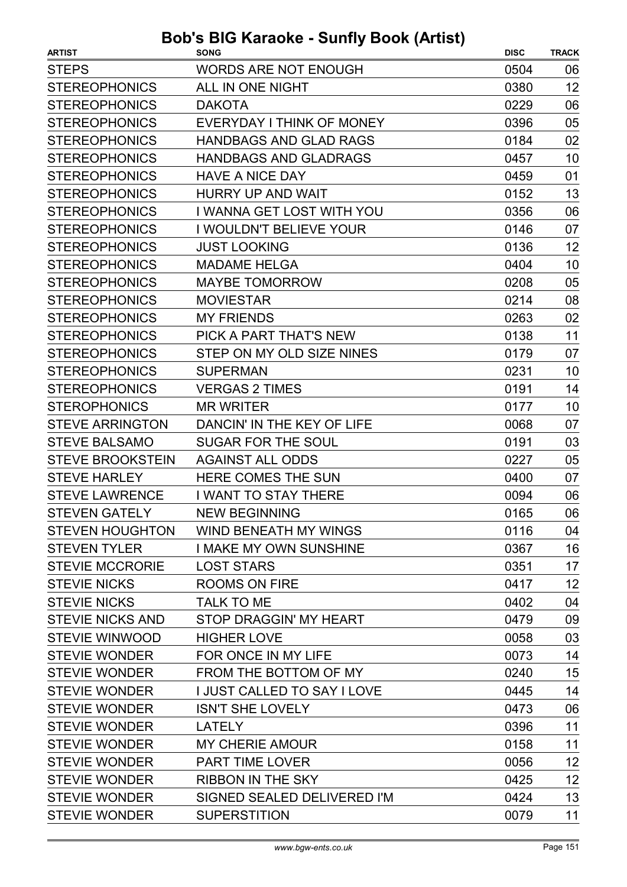| <b>WORDS ARE NOT ENOUGH</b><br>0504<br>06<br>12<br>ALL IN ONE NIGHT<br>0380<br>06<br>0229<br><b>DAKOTA</b><br>0396<br>05<br>EVERYDAY I THINK OF MONEY<br>02<br><b>HANDBAGS AND GLAD RAGS</b><br>0184<br><b>HANDBAGS AND GLADRAGS</b><br>10<br>0457<br>01<br><b>HAVE A NICE DAY</b><br>0459<br><b>HURRY UP AND WAIT</b><br>0152<br>13<br>I WANNA GET LOST WITH YOU<br><b>STEREOPHONICS</b><br>0356<br>06<br>I WOULDN'T BELIEVE YOUR<br>0146<br>07<br><b>JUST LOOKING</b><br>0136<br>12<br><b>MADAME HELGA</b><br>10<br>0404<br><b>MAYBE TOMORROW</b><br>0208<br>05<br>08<br><b>MOVIESTAR</b><br>0214<br><b>MY FRIENDS</b><br>0263<br>02<br>PICK A PART THAT'S NEW<br>11<br>0138<br>STEP ON MY OLD SIZE NINES<br>07<br>0179<br>0231<br>10<br><b>SUPERMAN</b><br><b>VERGAS 2 TIMES</b><br>0191<br>14<br><b>MR WRITER</b><br>10<br>0177<br>DANCIN' IN THE KEY OF LIFE<br>07<br>0068<br><b>SUGAR FOR THE SOUL</b><br>0191<br>03<br>05<br><b>AGAINST ALL ODDS</b><br>0227<br><b>HERE COMES THE SUN</b><br>0400<br>07<br>I WANT TO STAY THERE<br>0094<br>06<br>06<br><b>STEVEN GATELY</b><br><b>NEW BEGINNING</b><br>0165<br>WIND BENEATH MY WINGS<br>0116<br>04<br>16<br>I MAKE MY OWN SUNSHINE<br>0367<br>17<br><b>LOST STARS</b><br>0351<br>12<br><b>ROOMS ON FIRE</b><br>0417<br><b>TALK TO ME</b><br>0402<br>04<br>STOP DRAGGIN' MY HEART<br>09<br>0479<br><b>HIGHER LOVE</b><br>03<br>0058<br>FOR ONCE IN MY LIFE<br>0073<br>14<br>15<br><b>STEVIE WONDER</b><br>FROM THE BOTTOM OF MY<br>0240<br><b>STEVIE WONDER</b><br><b>I JUST CALLED TO SAY I LOVE</b><br>14<br>0445<br><b>STEVIE WONDER</b><br><b>ISN'T SHE LOVELY</b><br>06<br>0473<br>11<br><b>STEVIE WONDER</b><br><b>LATELY</b><br>0396<br><b>STEVIE WONDER</b><br>11<br><b>MY CHERIE AMOUR</b><br>0158<br>12<br><b>STEVIE WONDER</b><br><b>PART TIME LOVER</b><br>0056<br>12<br><b>STEVIE WONDER</b><br><b>RIBBON IN THE SKY</b><br>0425<br><b>STEVIE WONDER</b><br>SIGNED SEALED DELIVERED I'M<br>13<br>0424 | <b>ARTIST</b>           | , .<br>.<br><b>SONG</b> | <b>DISC</b> | <b>TRACK</b> |
|--------------------------------------------------------------------------------------------------------------------------------------------------------------------------------------------------------------------------------------------------------------------------------------------------------------------------------------------------------------------------------------------------------------------------------------------------------------------------------------------------------------------------------------------------------------------------------------------------------------------------------------------------------------------------------------------------------------------------------------------------------------------------------------------------------------------------------------------------------------------------------------------------------------------------------------------------------------------------------------------------------------------------------------------------------------------------------------------------------------------------------------------------------------------------------------------------------------------------------------------------------------------------------------------------------------------------------------------------------------------------------------------------------------------------------------------------------------------------------------------------------------------------------------------------------------------------------------------------------------------------------------------------------------------------------------------------------------------------------------------------------------------------------------------------------------------------------------------------------------------------------------------------------------------------------------------------------------------------|-------------------------|-------------------------|-------------|--------------|
|                                                                                                                                                                                                                                                                                                                                                                                                                                                                                                                                                                                                                                                                                                                                                                                                                                                                                                                                                                                                                                                                                                                                                                                                                                                                                                                                                                                                                                                                                                                                                                                                                                                                                                                                                                                                                                                                                                                                                                          | <b>STEPS</b>            |                         |             |              |
|                                                                                                                                                                                                                                                                                                                                                                                                                                                                                                                                                                                                                                                                                                                                                                                                                                                                                                                                                                                                                                                                                                                                                                                                                                                                                                                                                                                                                                                                                                                                                                                                                                                                                                                                                                                                                                                                                                                                                                          | <b>STEREOPHONICS</b>    |                         |             |              |
|                                                                                                                                                                                                                                                                                                                                                                                                                                                                                                                                                                                                                                                                                                                                                                                                                                                                                                                                                                                                                                                                                                                                                                                                                                                                                                                                                                                                                                                                                                                                                                                                                                                                                                                                                                                                                                                                                                                                                                          | <b>STEREOPHONICS</b>    |                         |             |              |
|                                                                                                                                                                                                                                                                                                                                                                                                                                                                                                                                                                                                                                                                                                                                                                                                                                                                                                                                                                                                                                                                                                                                                                                                                                                                                                                                                                                                                                                                                                                                                                                                                                                                                                                                                                                                                                                                                                                                                                          | <b>STEREOPHONICS</b>    |                         |             |              |
|                                                                                                                                                                                                                                                                                                                                                                                                                                                                                                                                                                                                                                                                                                                                                                                                                                                                                                                                                                                                                                                                                                                                                                                                                                                                                                                                                                                                                                                                                                                                                                                                                                                                                                                                                                                                                                                                                                                                                                          | <b>STEREOPHONICS</b>    |                         |             |              |
|                                                                                                                                                                                                                                                                                                                                                                                                                                                                                                                                                                                                                                                                                                                                                                                                                                                                                                                                                                                                                                                                                                                                                                                                                                                                                                                                                                                                                                                                                                                                                                                                                                                                                                                                                                                                                                                                                                                                                                          | <b>STEREOPHONICS</b>    |                         |             |              |
|                                                                                                                                                                                                                                                                                                                                                                                                                                                                                                                                                                                                                                                                                                                                                                                                                                                                                                                                                                                                                                                                                                                                                                                                                                                                                                                                                                                                                                                                                                                                                                                                                                                                                                                                                                                                                                                                                                                                                                          | <b>STEREOPHONICS</b>    |                         |             |              |
|                                                                                                                                                                                                                                                                                                                                                                                                                                                                                                                                                                                                                                                                                                                                                                                                                                                                                                                                                                                                                                                                                                                                                                                                                                                                                                                                                                                                                                                                                                                                                                                                                                                                                                                                                                                                                                                                                                                                                                          | <b>STEREOPHONICS</b>    |                         |             |              |
|                                                                                                                                                                                                                                                                                                                                                                                                                                                                                                                                                                                                                                                                                                                                                                                                                                                                                                                                                                                                                                                                                                                                                                                                                                                                                                                                                                                                                                                                                                                                                                                                                                                                                                                                                                                                                                                                                                                                                                          |                         |                         |             |              |
|                                                                                                                                                                                                                                                                                                                                                                                                                                                                                                                                                                                                                                                                                                                                                                                                                                                                                                                                                                                                                                                                                                                                                                                                                                                                                                                                                                                                                                                                                                                                                                                                                                                                                                                                                                                                                                                                                                                                                                          | <b>STEREOPHONICS</b>    |                         |             |              |
|                                                                                                                                                                                                                                                                                                                                                                                                                                                                                                                                                                                                                                                                                                                                                                                                                                                                                                                                                                                                                                                                                                                                                                                                                                                                                                                                                                                                                                                                                                                                                                                                                                                                                                                                                                                                                                                                                                                                                                          | <b>STEREOPHONICS</b>    |                         |             |              |
|                                                                                                                                                                                                                                                                                                                                                                                                                                                                                                                                                                                                                                                                                                                                                                                                                                                                                                                                                                                                                                                                                                                                                                                                                                                                                                                                                                                                                                                                                                                                                                                                                                                                                                                                                                                                                                                                                                                                                                          | <b>STEREOPHONICS</b>    |                         |             |              |
|                                                                                                                                                                                                                                                                                                                                                                                                                                                                                                                                                                                                                                                                                                                                                                                                                                                                                                                                                                                                                                                                                                                                                                                                                                                                                                                                                                                                                                                                                                                                                                                                                                                                                                                                                                                                                                                                                                                                                                          | <b>STEREOPHONICS</b>    |                         |             |              |
|                                                                                                                                                                                                                                                                                                                                                                                                                                                                                                                                                                                                                                                                                                                                                                                                                                                                                                                                                                                                                                                                                                                                                                                                                                                                                                                                                                                                                                                                                                                                                                                                                                                                                                                                                                                                                                                                                                                                                                          | <b>STEREOPHONICS</b>    |                         |             |              |
|                                                                                                                                                                                                                                                                                                                                                                                                                                                                                                                                                                                                                                                                                                                                                                                                                                                                                                                                                                                                                                                                                                                                                                                                                                                                                                                                                                                                                                                                                                                                                                                                                                                                                                                                                                                                                                                                                                                                                                          | <b>STEREOPHONICS</b>    |                         |             |              |
|                                                                                                                                                                                                                                                                                                                                                                                                                                                                                                                                                                                                                                                                                                                                                                                                                                                                                                                                                                                                                                                                                                                                                                                                                                                                                                                                                                                                                                                                                                                                                                                                                                                                                                                                                                                                                                                                                                                                                                          | <b>STEREOPHONICS</b>    |                         |             |              |
|                                                                                                                                                                                                                                                                                                                                                                                                                                                                                                                                                                                                                                                                                                                                                                                                                                                                                                                                                                                                                                                                                                                                                                                                                                                                                                                                                                                                                                                                                                                                                                                                                                                                                                                                                                                                                                                                                                                                                                          | <b>STEREOPHONICS</b>    |                         |             |              |
|                                                                                                                                                                                                                                                                                                                                                                                                                                                                                                                                                                                                                                                                                                                                                                                                                                                                                                                                                                                                                                                                                                                                                                                                                                                                                                                                                                                                                                                                                                                                                                                                                                                                                                                                                                                                                                                                                                                                                                          | <b>STEREOPHONICS</b>    |                         |             |              |
|                                                                                                                                                                                                                                                                                                                                                                                                                                                                                                                                                                                                                                                                                                                                                                                                                                                                                                                                                                                                                                                                                                                                                                                                                                                                                                                                                                                                                                                                                                                                                                                                                                                                                                                                                                                                                                                                                                                                                                          | <b>STEREOPHONICS</b>    |                         |             |              |
|                                                                                                                                                                                                                                                                                                                                                                                                                                                                                                                                                                                                                                                                                                                                                                                                                                                                                                                                                                                                                                                                                                                                                                                                                                                                                                                                                                                                                                                                                                                                                                                                                                                                                                                                                                                                                                                                                                                                                                          | <b>STEROPHONICS</b>     |                         |             |              |
|                                                                                                                                                                                                                                                                                                                                                                                                                                                                                                                                                                                                                                                                                                                                                                                                                                                                                                                                                                                                                                                                                                                                                                                                                                                                                                                                                                                                                                                                                                                                                                                                                                                                                                                                                                                                                                                                                                                                                                          | <b>STEVE ARRINGTON</b>  |                         |             |              |
|                                                                                                                                                                                                                                                                                                                                                                                                                                                                                                                                                                                                                                                                                                                                                                                                                                                                                                                                                                                                                                                                                                                                                                                                                                                                                                                                                                                                                                                                                                                                                                                                                                                                                                                                                                                                                                                                                                                                                                          | <b>STEVE BALSAMO</b>    |                         |             |              |
|                                                                                                                                                                                                                                                                                                                                                                                                                                                                                                                                                                                                                                                                                                                                                                                                                                                                                                                                                                                                                                                                                                                                                                                                                                                                                                                                                                                                                                                                                                                                                                                                                                                                                                                                                                                                                                                                                                                                                                          | <b>STEVE BROOKSTEIN</b> |                         |             |              |
|                                                                                                                                                                                                                                                                                                                                                                                                                                                                                                                                                                                                                                                                                                                                                                                                                                                                                                                                                                                                                                                                                                                                                                                                                                                                                                                                                                                                                                                                                                                                                                                                                                                                                                                                                                                                                                                                                                                                                                          | <b>STEVE HARLEY</b>     |                         |             |              |
|                                                                                                                                                                                                                                                                                                                                                                                                                                                                                                                                                                                                                                                                                                                                                                                                                                                                                                                                                                                                                                                                                                                                                                                                                                                                                                                                                                                                                                                                                                                                                                                                                                                                                                                                                                                                                                                                                                                                                                          | <b>STEVE LAWRENCE</b>   |                         |             |              |
|                                                                                                                                                                                                                                                                                                                                                                                                                                                                                                                                                                                                                                                                                                                                                                                                                                                                                                                                                                                                                                                                                                                                                                                                                                                                                                                                                                                                                                                                                                                                                                                                                                                                                                                                                                                                                                                                                                                                                                          |                         |                         |             |              |
|                                                                                                                                                                                                                                                                                                                                                                                                                                                                                                                                                                                                                                                                                                                                                                                                                                                                                                                                                                                                                                                                                                                                                                                                                                                                                                                                                                                                                                                                                                                                                                                                                                                                                                                                                                                                                                                                                                                                                                          | <b>STEVEN HOUGHTON</b>  |                         |             |              |
|                                                                                                                                                                                                                                                                                                                                                                                                                                                                                                                                                                                                                                                                                                                                                                                                                                                                                                                                                                                                                                                                                                                                                                                                                                                                                                                                                                                                                                                                                                                                                                                                                                                                                                                                                                                                                                                                                                                                                                          | <b>STEVEN TYLER</b>     |                         |             |              |
|                                                                                                                                                                                                                                                                                                                                                                                                                                                                                                                                                                                                                                                                                                                                                                                                                                                                                                                                                                                                                                                                                                                                                                                                                                                                                                                                                                                                                                                                                                                                                                                                                                                                                                                                                                                                                                                                                                                                                                          | <b>STEVIE MCCRORIE</b>  |                         |             |              |
|                                                                                                                                                                                                                                                                                                                                                                                                                                                                                                                                                                                                                                                                                                                                                                                                                                                                                                                                                                                                                                                                                                                                                                                                                                                                                                                                                                                                                                                                                                                                                                                                                                                                                                                                                                                                                                                                                                                                                                          | <b>STEVIE NICKS</b>     |                         |             |              |
|                                                                                                                                                                                                                                                                                                                                                                                                                                                                                                                                                                                                                                                                                                                                                                                                                                                                                                                                                                                                                                                                                                                                                                                                                                                                                                                                                                                                                                                                                                                                                                                                                                                                                                                                                                                                                                                                                                                                                                          | <b>STEVIE NICKS</b>     |                         |             |              |
|                                                                                                                                                                                                                                                                                                                                                                                                                                                                                                                                                                                                                                                                                                                                                                                                                                                                                                                                                                                                                                                                                                                                                                                                                                                                                                                                                                                                                                                                                                                                                                                                                                                                                                                                                                                                                                                                                                                                                                          | <b>STEVIE NICKS AND</b> |                         |             |              |
|                                                                                                                                                                                                                                                                                                                                                                                                                                                                                                                                                                                                                                                                                                                                                                                                                                                                                                                                                                                                                                                                                                                                                                                                                                                                                                                                                                                                                                                                                                                                                                                                                                                                                                                                                                                                                                                                                                                                                                          | <b>STEVIE WINWOOD</b>   |                         |             |              |
|                                                                                                                                                                                                                                                                                                                                                                                                                                                                                                                                                                                                                                                                                                                                                                                                                                                                                                                                                                                                                                                                                                                                                                                                                                                                                                                                                                                                                                                                                                                                                                                                                                                                                                                                                                                                                                                                                                                                                                          | <b>STEVIE WONDER</b>    |                         |             |              |
|                                                                                                                                                                                                                                                                                                                                                                                                                                                                                                                                                                                                                                                                                                                                                                                                                                                                                                                                                                                                                                                                                                                                                                                                                                                                                                                                                                                                                                                                                                                                                                                                                                                                                                                                                                                                                                                                                                                                                                          |                         |                         |             |              |
|                                                                                                                                                                                                                                                                                                                                                                                                                                                                                                                                                                                                                                                                                                                                                                                                                                                                                                                                                                                                                                                                                                                                                                                                                                                                                                                                                                                                                                                                                                                                                                                                                                                                                                                                                                                                                                                                                                                                                                          |                         |                         |             |              |
|                                                                                                                                                                                                                                                                                                                                                                                                                                                                                                                                                                                                                                                                                                                                                                                                                                                                                                                                                                                                                                                                                                                                                                                                                                                                                                                                                                                                                                                                                                                                                                                                                                                                                                                                                                                                                                                                                                                                                                          |                         |                         |             |              |
|                                                                                                                                                                                                                                                                                                                                                                                                                                                                                                                                                                                                                                                                                                                                                                                                                                                                                                                                                                                                                                                                                                                                                                                                                                                                                                                                                                                                                                                                                                                                                                                                                                                                                                                                                                                                                                                                                                                                                                          |                         |                         |             |              |
|                                                                                                                                                                                                                                                                                                                                                                                                                                                                                                                                                                                                                                                                                                                                                                                                                                                                                                                                                                                                                                                                                                                                                                                                                                                                                                                                                                                                                                                                                                                                                                                                                                                                                                                                                                                                                                                                                                                                                                          |                         |                         |             |              |
|                                                                                                                                                                                                                                                                                                                                                                                                                                                                                                                                                                                                                                                                                                                                                                                                                                                                                                                                                                                                                                                                                                                                                                                                                                                                                                                                                                                                                                                                                                                                                                                                                                                                                                                                                                                                                                                                                                                                                                          |                         |                         |             |              |
|                                                                                                                                                                                                                                                                                                                                                                                                                                                                                                                                                                                                                                                                                                                                                                                                                                                                                                                                                                                                                                                                                                                                                                                                                                                                                                                                                                                                                                                                                                                                                                                                                                                                                                                                                                                                                                                                                                                                                                          |                         |                         |             |              |
|                                                                                                                                                                                                                                                                                                                                                                                                                                                                                                                                                                                                                                                                                                                                                                                                                                                                                                                                                                                                                                                                                                                                                                                                                                                                                                                                                                                                                                                                                                                                                                                                                                                                                                                                                                                                                                                                                                                                                                          |                         |                         |             |              |
|                                                                                                                                                                                                                                                                                                                                                                                                                                                                                                                                                                                                                                                                                                                                                                                                                                                                                                                                                                                                                                                                                                                                                                                                                                                                                                                                                                                                                                                                                                                                                                                                                                                                                                                                                                                                                                                                                                                                                                          | <b>STEVIE WONDER</b>    | <b>SUPERSTITION</b>     | 0079        | 11           |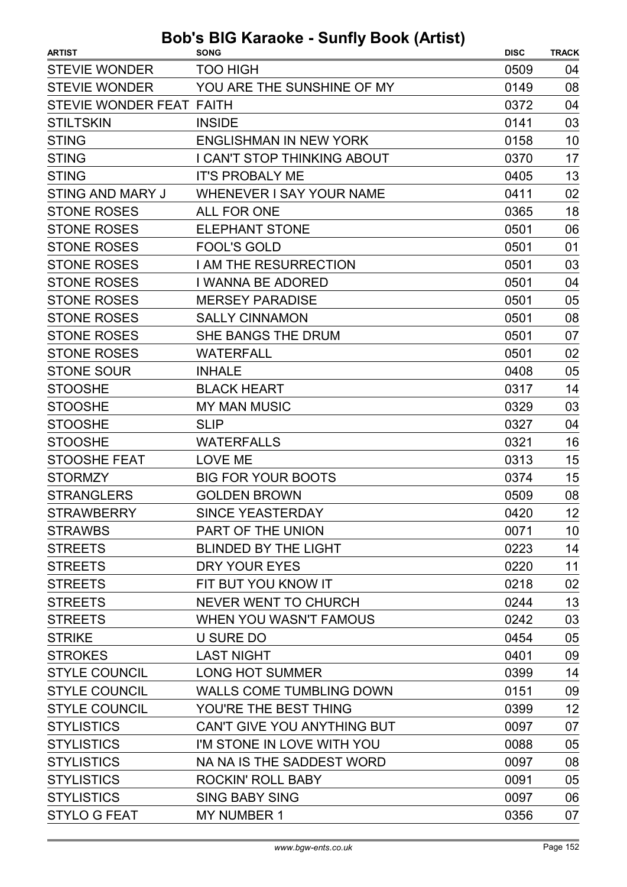| <b>ARTIST</b>            | <b>SONG</b>                        | <b>DISC</b> | <b>TRACK</b> |
|--------------------------|------------------------------------|-------------|--------------|
| <b>STEVIE WONDER</b>     | <b>TOO HIGH</b>                    | 0509        | 04           |
| <b>STEVIE WONDER</b>     | YOU ARE THE SUNSHINE OF MY         | 0149        | 08           |
| STEVIE WONDER FEAT FAITH |                                    | 0372        | 04           |
| <b>STILTSKIN</b>         | <b>INSIDE</b>                      | 0141        | 03           |
| <b>STING</b>             | <b>ENGLISHMAN IN NEW YORK</b>      | 0158        | 10           |
| <b>STING</b>             | <b>I CAN'T STOP THINKING ABOUT</b> | 0370        | 17           |
| <b>STING</b>             | <b>IT'S PROBALY ME</b>             | 0405        | 13           |
| <b>STING AND MARY J</b>  | <b>WHENEVER I SAY YOUR NAME</b>    | 0411        | 02           |
| <b>STONE ROSES</b>       | <b>ALL FOR ONE</b>                 | 0365        | 18           |
| <b>STONE ROSES</b>       | <b>ELEPHANT STONE</b>              | 0501        | 06           |
| <b>STONE ROSES</b>       | <b>FOOL'S GOLD</b>                 | 0501        | 01           |
| <b>STONE ROSES</b>       | I AM THE RESURRECTION              | 0501        | 03           |
| <b>STONE ROSES</b>       | I WANNA BE ADORED                  | 0501        | 04           |
| <b>STONE ROSES</b>       | <b>MERSEY PARADISE</b>             | 0501        | 05           |
| <b>STONE ROSES</b>       | <b>SALLY CINNAMON</b>              | 0501        | 08           |
| <b>STONE ROSES</b>       | SHE BANGS THE DRUM                 | 0501        | 07           |
| <b>STONE ROSES</b>       | <b>WATERFALL</b>                   | 0501        | 02           |
| <b>STONE SOUR</b>        | <b>INHALE</b>                      | 0408        | 05           |
| <b>STOOSHE</b>           | <b>BLACK HEART</b>                 | 0317        | 14           |
| <b>STOOSHE</b>           | <b>MY MAN MUSIC</b>                | 0329        | 03           |
| <b>STOOSHE</b>           | <b>SLIP</b>                        | 0327        | 04           |
| <b>STOOSHE</b>           | <b>WATERFALLS</b>                  | 0321        | 16           |
| <b>STOOSHE FEAT</b>      | <b>LOVE ME</b>                     | 0313        | 15           |
| <b>STORMZY</b>           | <b>BIG FOR YOUR BOOTS</b>          | 0374        | 15           |
| <b>STRANGLERS</b>        | <b>GOLDEN BROWN</b>                | 0509        | 08           |
| <b>STRAWBERRY</b>        | SINCE YEASTERDAY                   | 0420        | 12           |
| <b>STRAWBS</b>           | PART OF THE UNION                  | 0071        | 10           |
| <b>STREETS</b>           | <b>BLINDED BY THE LIGHT</b>        | 0223        | 14           |
| <b>STREETS</b>           | <b>DRY YOUR EYES</b>               | 0220        | 11           |
| <b>STREETS</b>           | FIT BUT YOU KNOW IT                | 0218        | 02           |
| <b>STREETS</b>           | <b>NEVER WENT TO CHURCH</b>        | 0244        | 13           |
| <b>STREETS</b>           | WHEN YOU WASN'T FAMOUS             | 0242        | 03           |
| <b>STRIKE</b>            | <b>U SURE DO</b>                   | 0454        | 05           |
| <b>STROKES</b>           | <b>LAST NIGHT</b>                  | 0401        | 09           |
| <b>STYLE COUNCIL</b>     | <b>LONG HOT SUMMER</b>             | 0399        | 14           |
| <b>STYLE COUNCIL</b>     | <b>WALLS COME TUMBLING DOWN</b>    | 0151        | 09           |
| <b>STYLE COUNCIL</b>     | YOU'RE THE BEST THING              | 0399        | 12           |
| <b>STYLISTICS</b>        | CAN'T GIVE YOU ANYTHING BUT        | 0097        | 07           |
| <b>STYLISTICS</b>        | I'M STONE IN LOVE WITH YOU         | 0088        | 05           |
| <b>STYLISTICS</b>        | NA NA IS THE SADDEST WORD          | 0097        | 08           |
| <b>STYLISTICS</b>        | <b>ROCKIN' ROLL BABY</b>           | 0091        | 05           |
| <b>STYLISTICS</b>        | <b>SING BABY SING</b>              | 0097        | 06           |
| <b>STYLO G FEAT</b>      | <b>MY NUMBER 1</b>                 | 0356        | 07           |
|                          |                                    |             |              |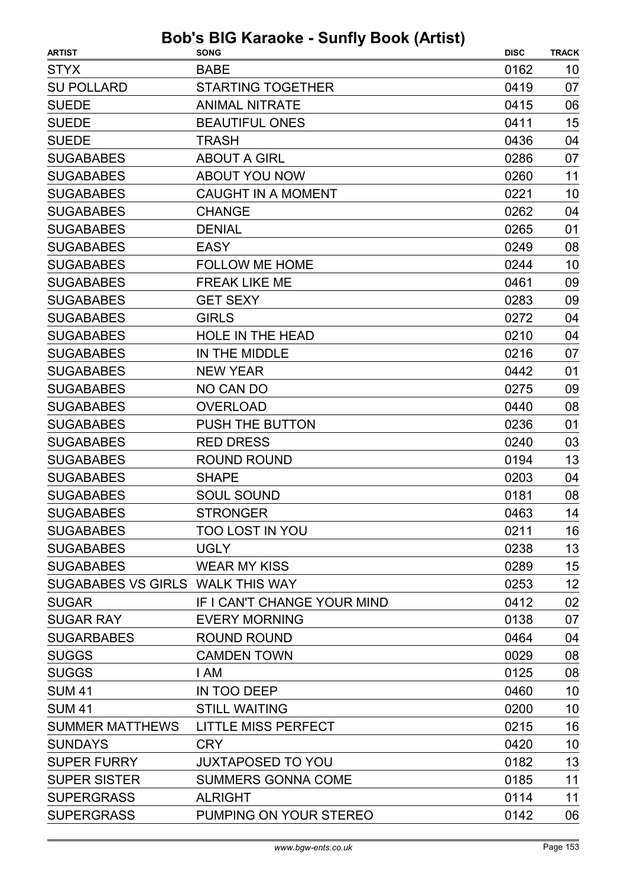| <b>ARTIST</b>                    | $3003$ $100$ indiable - baility book (Artist)<br><b>SONG</b> | <b>DISC</b> | <b>TRACK</b> |
|----------------------------------|--------------------------------------------------------------|-------------|--------------|
| <b>STYX</b>                      | <b>BABE</b>                                                  | 0162        | 10           |
| <b>SU POLLARD</b>                | <b>STARTING TOGETHER</b>                                     | 0419        | 07           |
| <b>SUEDE</b>                     | <b>ANIMAL NITRATE</b>                                        | 0415        | 06           |
| <b>SUEDE</b>                     | <b>BEAUTIFUL ONES</b>                                        | 0411        | 15           |
| <b>SUEDE</b>                     | TRASH                                                        | 0436        | 04           |
| <b>SUGABABES</b>                 | <b>ABOUT A GIRL</b>                                          | 0286        | 07           |
| <b>SUGABABES</b>                 | ABOUT YOU NOW                                                | 0260        | 11           |
| <b>SUGABABES</b>                 | <b>CAUGHT IN A MOMENT</b>                                    | 0221        | 10           |
| <b>SUGABABES</b>                 | <b>CHANGE</b>                                                | 0262        | 04           |
| <b>SUGABABES</b>                 | <b>DENIAL</b>                                                | 0265        | 01           |
| <b>SUGABABES</b>                 | <b>EASY</b>                                                  | 0249        | 08           |
| <b>SUGABABES</b>                 | <b>FOLLOW ME HOME</b>                                        | 0244        | 10           |
| <b>SUGABABES</b>                 | <b>FREAK LIKE ME</b>                                         | 0461        | 09           |
| <b>SUGABABES</b>                 | <b>GET SEXY</b>                                              | 0283        | 09           |
| <b>SUGABABES</b>                 | <b>GIRLS</b>                                                 | 0272        | 04           |
| <b>SUGABABES</b>                 | <b>HOLE IN THE HEAD</b>                                      | 0210        | 04           |
| <b>SUGABABES</b>                 | IN THE MIDDLE                                                | 0216        | 07           |
| <b>SUGABABES</b>                 | <b>NEW YEAR</b>                                              | 0442        | 01           |
| <b>SUGABABES</b>                 | NO CAN DO                                                    | 0275        | 09           |
| <b>SUGABABES</b>                 | <b>OVERLOAD</b>                                              | 0440        | 08           |
| <b>SUGABABES</b>                 | PUSH THE BUTTON                                              | 0236        | 01           |
| <b>SUGABABES</b>                 | <b>RED DRESS</b>                                             | 0240        | 03           |
| <b>SUGABABES</b>                 | <b>ROUND ROUND</b>                                           | 0194        | 13           |
| <b>SUGABABES</b>                 | <b>SHAPE</b>                                                 | 0203        | 04           |
| <b>SUGABABES</b>                 | <b>SOUL SOUND</b>                                            | 0181        | 08           |
| <b>SUGABABES</b>                 | <b>STRONGER</b>                                              | 0463        | 14           |
| <b>SUGABABES</b>                 | <b>TOO LOST IN YOU</b>                                       | 0211        | 16           |
| <b>SUGABABES</b>                 | <b>UGLY</b>                                                  | 0238        | 13           |
| <b>SUGABABES</b>                 | <b>WEAR MY KISS</b>                                          | 0289        | 15           |
| SUGABABES VS GIRLS WALK THIS WAY |                                                              | 0253        | 12           |
| <b>SUGAR</b>                     | IF I CAN'T CHANGE YOUR MIND                                  | 0412        | 02           |
| <b>SUGAR RAY</b>                 | <b>EVERY MORNING</b>                                         | 0138        | 07           |
| <b>SUGARBABES</b>                | <b>ROUND ROUND</b>                                           | 0464        | 04           |
| <b>SUGGS</b>                     | <b>CAMDEN TOWN</b>                                           | 0029        | 08           |
| <b>SUGGS</b>                     | I AM                                                         | 0125        | 08           |
| <b>SUM 41</b>                    | IN TOO DEEP                                                  | 0460        | 10           |
| <b>SUM 41</b>                    | <b>STILL WAITING</b>                                         | 0200        | 10           |
| <b>SUMMER MATTHEWS</b>           | <b>LITTLE MISS PERFECT</b>                                   | 0215        | 16           |
| <b>SUNDAYS</b>                   | <b>CRY</b>                                                   | 0420        | 10           |
| <b>SUPER FURRY</b>               | <b>JUXTAPOSED TO YOU</b>                                     | 0182        | 13           |
| <b>SUPER SISTER</b>              | <b>SUMMERS GONNA COME</b>                                    | 0185        | 11           |
| <b>SUPERGRASS</b>                | <b>ALRIGHT</b>                                               | 0114        | 11           |
| <b>SUPERGRASS</b>                | PUMPING ON YOUR STEREO                                       | 0142        | 06           |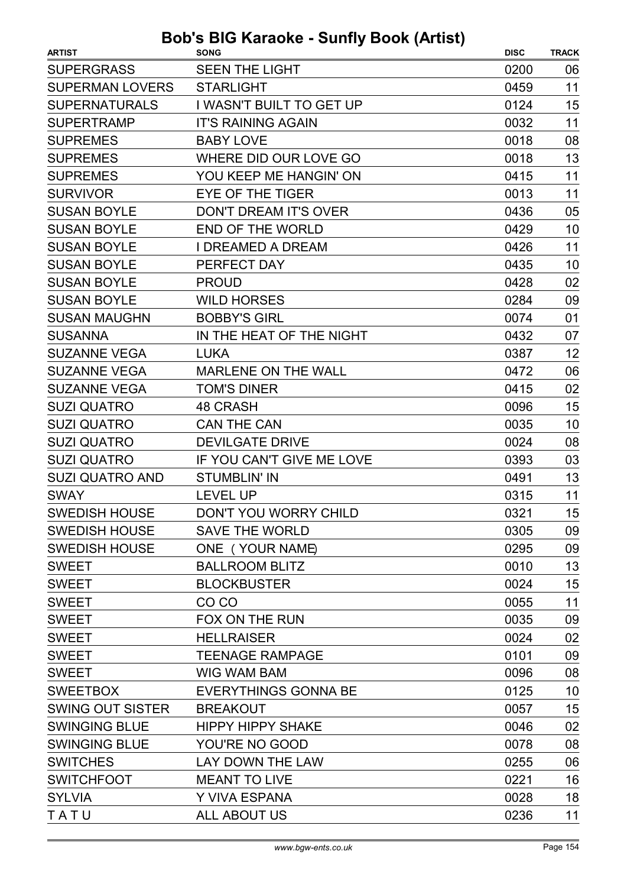| <b>SUPERGRASS</b><br><b>SEEN THE LIGHT</b><br>0200<br>06<br>11<br><b>SUPERMAN LOVERS</b><br><b>STARLIGHT</b><br>0459<br>15<br><b>SUPERNATURALS</b><br>I WASN'T BUILT TO GET UP<br>0124<br>11<br><b>SUPERTRAMP</b><br><b>IT'S RAINING AGAIN</b><br>0032<br><b>SUPREMES</b><br><b>BABY LOVE</b><br>0018<br>08<br><b>SUPREMES</b><br>WHERE DID OUR LOVE GO<br>0018<br>13<br>11<br><b>SUPREMES</b><br>YOU KEEP ME HANGIN' ON<br>0415<br><b>SURVIVOR</b><br>0013<br>11<br><b>EYE OF THE TIGER</b><br><b>SUSAN BOYLE</b><br><b>DON'T DREAM IT'S OVER</b><br>0436<br>05<br><b>SUSAN BOYLE</b><br><b>END OF THE WORLD</b><br>0429<br>10<br><b>SUSAN BOYLE</b><br><b>I DREAMED A DREAM</b><br>0426<br>11<br><b>SUSAN BOYLE</b><br>PERFECT DAY<br>0435<br>10<br><b>SUSAN BOYLE</b><br>02<br><b>PROUD</b><br>0428<br><b>SUSAN BOYLE</b><br><b>WILD HORSES</b><br>0284<br>09<br><b>SUSAN MAUGHN</b><br><b>BOBBY'S GIRL</b><br>0074<br>01<br><b>SUSANNA</b><br>IN THE HEAT OF THE NIGHT<br>0432<br>07<br>12<br><b>SUZANNE VEGA</b><br><b>LUKA</b><br>0387<br><b>SUZANNE VEGA</b><br>06<br><b>MARLENE ON THE WALL</b><br>0472<br><b>SUZANNE VEGA</b><br>02<br><b>TOM'S DINER</b><br>0415<br>15<br><b>SUZI QUATRO</b><br><b>48 CRASH</b><br>0096<br><b>SUZI QUATRO</b><br><b>CAN THE CAN</b><br>10<br>0035<br><b>SUZI QUATRO</b><br><b>DEVILGATE DRIVE</b><br>0024<br>08<br><b>SUZI QUATRO</b><br>IF YOU CAN'T GIVE ME LOVE<br>03<br>0393<br>13<br><b>SUZI QUATRO AND</b><br><b>STUMBLIN' IN</b><br>0491<br>11<br><b>SWAY</b><br><b>LEVEL UP</b><br>0315<br>15<br>0321<br><b>SWEDISH HOUSE</b><br>DON'T YOU WORRY CHILD<br><b>SAVE THE WORLD</b><br>0305<br>09<br><b>SWEDISH HOUSE</b><br>ONE (YOUR NAME)<br>0295<br>09<br>13<br><b>BALLROOM BLITZ</b><br>0010<br>15<br><b>BLOCKBUSTER</b><br>0024<br><b>SWEET</b><br>11<br>CO CO<br>0055<br><b>SWEET</b><br><b>SWEET</b><br>FOX ON THE RUN<br>0035<br>09<br><b>SWEET</b><br><b>HELLRAISER</b><br>02<br>0024<br><b>SWEET</b><br><b>TEENAGE RAMPAGE</b><br>0101<br>09<br>08<br><b>WIG WAM BAM</b><br>0096<br><b>SWEET</b><br><b>SWEETBOX</b><br><b>EVERYTHINGS GONNA BE</b><br>0125<br>10<br><b>SWING OUT SISTER</b><br>0057<br>15<br><b>BREAKOUT</b><br><b>SWINGING BLUE</b><br><b>HIPPY HIPPY SHAKE</b><br>02<br>0046<br><b>SWINGING BLUE</b><br>08<br>YOU'RE NO GOOD<br>0078<br><b>SWITCHES</b><br>LAY DOWN THE LAW<br>06<br>0255<br><b>SWITCHFOOT</b><br>16<br><b>MEANT TO LIVE</b><br>0221<br>18<br><b>SYLVIA</b><br>Y VIVA ESPANA<br>0028<br>11<br><b>ALL ABOUT US</b><br>0236 | <b>ARTIST</b>        | <b>SONG</b> | <b>DISC</b> | <b>TRACK</b> |
|----------------------------------------------------------------------------------------------------------------------------------------------------------------------------------------------------------------------------------------------------------------------------------------------------------------------------------------------------------------------------------------------------------------------------------------------------------------------------------------------------------------------------------------------------------------------------------------------------------------------------------------------------------------------------------------------------------------------------------------------------------------------------------------------------------------------------------------------------------------------------------------------------------------------------------------------------------------------------------------------------------------------------------------------------------------------------------------------------------------------------------------------------------------------------------------------------------------------------------------------------------------------------------------------------------------------------------------------------------------------------------------------------------------------------------------------------------------------------------------------------------------------------------------------------------------------------------------------------------------------------------------------------------------------------------------------------------------------------------------------------------------------------------------------------------------------------------------------------------------------------------------------------------------------------------------------------------------------------------------------------------------------------------------------------------------------------------------------------------------------------------------------------------------------------------------------------------------------------------------------------------------------------------------------------------------------------------------------------------------------------------------------------------------------------------------------------------------------------------------------------------------------|----------------------|-------------|-------------|--------------|
|                                                                                                                                                                                                                                                                                                                                                                                                                                                                                                                                                                                                                                                                                                                                                                                                                                                                                                                                                                                                                                                                                                                                                                                                                                                                                                                                                                                                                                                                                                                                                                                                                                                                                                                                                                                                                                                                                                                                                                                                                                                                                                                                                                                                                                                                                                                                                                                                                                                                                                                      |                      |             |             |              |
|                                                                                                                                                                                                                                                                                                                                                                                                                                                                                                                                                                                                                                                                                                                                                                                                                                                                                                                                                                                                                                                                                                                                                                                                                                                                                                                                                                                                                                                                                                                                                                                                                                                                                                                                                                                                                                                                                                                                                                                                                                                                                                                                                                                                                                                                                                                                                                                                                                                                                                                      |                      |             |             |              |
|                                                                                                                                                                                                                                                                                                                                                                                                                                                                                                                                                                                                                                                                                                                                                                                                                                                                                                                                                                                                                                                                                                                                                                                                                                                                                                                                                                                                                                                                                                                                                                                                                                                                                                                                                                                                                                                                                                                                                                                                                                                                                                                                                                                                                                                                                                                                                                                                                                                                                                                      |                      |             |             |              |
|                                                                                                                                                                                                                                                                                                                                                                                                                                                                                                                                                                                                                                                                                                                                                                                                                                                                                                                                                                                                                                                                                                                                                                                                                                                                                                                                                                                                                                                                                                                                                                                                                                                                                                                                                                                                                                                                                                                                                                                                                                                                                                                                                                                                                                                                                                                                                                                                                                                                                                                      |                      |             |             |              |
|                                                                                                                                                                                                                                                                                                                                                                                                                                                                                                                                                                                                                                                                                                                                                                                                                                                                                                                                                                                                                                                                                                                                                                                                                                                                                                                                                                                                                                                                                                                                                                                                                                                                                                                                                                                                                                                                                                                                                                                                                                                                                                                                                                                                                                                                                                                                                                                                                                                                                                                      |                      |             |             |              |
|                                                                                                                                                                                                                                                                                                                                                                                                                                                                                                                                                                                                                                                                                                                                                                                                                                                                                                                                                                                                                                                                                                                                                                                                                                                                                                                                                                                                                                                                                                                                                                                                                                                                                                                                                                                                                                                                                                                                                                                                                                                                                                                                                                                                                                                                                                                                                                                                                                                                                                                      |                      |             |             |              |
|                                                                                                                                                                                                                                                                                                                                                                                                                                                                                                                                                                                                                                                                                                                                                                                                                                                                                                                                                                                                                                                                                                                                                                                                                                                                                                                                                                                                                                                                                                                                                                                                                                                                                                                                                                                                                                                                                                                                                                                                                                                                                                                                                                                                                                                                                                                                                                                                                                                                                                                      |                      |             |             |              |
|                                                                                                                                                                                                                                                                                                                                                                                                                                                                                                                                                                                                                                                                                                                                                                                                                                                                                                                                                                                                                                                                                                                                                                                                                                                                                                                                                                                                                                                                                                                                                                                                                                                                                                                                                                                                                                                                                                                                                                                                                                                                                                                                                                                                                                                                                                                                                                                                                                                                                                                      |                      |             |             |              |
|                                                                                                                                                                                                                                                                                                                                                                                                                                                                                                                                                                                                                                                                                                                                                                                                                                                                                                                                                                                                                                                                                                                                                                                                                                                                                                                                                                                                                                                                                                                                                                                                                                                                                                                                                                                                                                                                                                                                                                                                                                                                                                                                                                                                                                                                                                                                                                                                                                                                                                                      |                      |             |             |              |
|                                                                                                                                                                                                                                                                                                                                                                                                                                                                                                                                                                                                                                                                                                                                                                                                                                                                                                                                                                                                                                                                                                                                                                                                                                                                                                                                                                                                                                                                                                                                                                                                                                                                                                                                                                                                                                                                                                                                                                                                                                                                                                                                                                                                                                                                                                                                                                                                                                                                                                                      |                      |             |             |              |
|                                                                                                                                                                                                                                                                                                                                                                                                                                                                                                                                                                                                                                                                                                                                                                                                                                                                                                                                                                                                                                                                                                                                                                                                                                                                                                                                                                                                                                                                                                                                                                                                                                                                                                                                                                                                                                                                                                                                                                                                                                                                                                                                                                                                                                                                                                                                                                                                                                                                                                                      |                      |             |             |              |
|                                                                                                                                                                                                                                                                                                                                                                                                                                                                                                                                                                                                                                                                                                                                                                                                                                                                                                                                                                                                                                                                                                                                                                                                                                                                                                                                                                                                                                                                                                                                                                                                                                                                                                                                                                                                                                                                                                                                                                                                                                                                                                                                                                                                                                                                                                                                                                                                                                                                                                                      |                      |             |             |              |
|                                                                                                                                                                                                                                                                                                                                                                                                                                                                                                                                                                                                                                                                                                                                                                                                                                                                                                                                                                                                                                                                                                                                                                                                                                                                                                                                                                                                                                                                                                                                                                                                                                                                                                                                                                                                                                                                                                                                                                                                                                                                                                                                                                                                                                                                                                                                                                                                                                                                                                                      |                      |             |             |              |
|                                                                                                                                                                                                                                                                                                                                                                                                                                                                                                                                                                                                                                                                                                                                                                                                                                                                                                                                                                                                                                                                                                                                                                                                                                                                                                                                                                                                                                                                                                                                                                                                                                                                                                                                                                                                                                                                                                                                                                                                                                                                                                                                                                                                                                                                                                                                                                                                                                                                                                                      |                      |             |             |              |
|                                                                                                                                                                                                                                                                                                                                                                                                                                                                                                                                                                                                                                                                                                                                                                                                                                                                                                                                                                                                                                                                                                                                                                                                                                                                                                                                                                                                                                                                                                                                                                                                                                                                                                                                                                                                                                                                                                                                                                                                                                                                                                                                                                                                                                                                                                                                                                                                                                                                                                                      |                      |             |             |              |
|                                                                                                                                                                                                                                                                                                                                                                                                                                                                                                                                                                                                                                                                                                                                                                                                                                                                                                                                                                                                                                                                                                                                                                                                                                                                                                                                                                                                                                                                                                                                                                                                                                                                                                                                                                                                                                                                                                                                                                                                                                                                                                                                                                                                                                                                                                                                                                                                                                                                                                                      |                      |             |             |              |
|                                                                                                                                                                                                                                                                                                                                                                                                                                                                                                                                                                                                                                                                                                                                                                                                                                                                                                                                                                                                                                                                                                                                                                                                                                                                                                                                                                                                                                                                                                                                                                                                                                                                                                                                                                                                                                                                                                                                                                                                                                                                                                                                                                                                                                                                                                                                                                                                                                                                                                                      |                      |             |             |              |
|                                                                                                                                                                                                                                                                                                                                                                                                                                                                                                                                                                                                                                                                                                                                                                                                                                                                                                                                                                                                                                                                                                                                                                                                                                                                                                                                                                                                                                                                                                                                                                                                                                                                                                                                                                                                                                                                                                                                                                                                                                                                                                                                                                                                                                                                                                                                                                                                                                                                                                                      |                      |             |             |              |
|                                                                                                                                                                                                                                                                                                                                                                                                                                                                                                                                                                                                                                                                                                                                                                                                                                                                                                                                                                                                                                                                                                                                                                                                                                                                                                                                                                                                                                                                                                                                                                                                                                                                                                                                                                                                                                                                                                                                                                                                                                                                                                                                                                                                                                                                                                                                                                                                                                                                                                                      |                      |             |             |              |
|                                                                                                                                                                                                                                                                                                                                                                                                                                                                                                                                                                                                                                                                                                                                                                                                                                                                                                                                                                                                                                                                                                                                                                                                                                                                                                                                                                                                                                                                                                                                                                                                                                                                                                                                                                                                                                                                                                                                                                                                                                                                                                                                                                                                                                                                                                                                                                                                                                                                                                                      |                      |             |             |              |
|                                                                                                                                                                                                                                                                                                                                                                                                                                                                                                                                                                                                                                                                                                                                                                                                                                                                                                                                                                                                                                                                                                                                                                                                                                                                                                                                                                                                                                                                                                                                                                                                                                                                                                                                                                                                                                                                                                                                                                                                                                                                                                                                                                                                                                                                                                                                                                                                                                                                                                                      |                      |             |             |              |
|                                                                                                                                                                                                                                                                                                                                                                                                                                                                                                                                                                                                                                                                                                                                                                                                                                                                                                                                                                                                                                                                                                                                                                                                                                                                                                                                                                                                                                                                                                                                                                                                                                                                                                                                                                                                                                                                                                                                                                                                                                                                                                                                                                                                                                                                                                                                                                                                                                                                                                                      |                      |             |             |              |
|                                                                                                                                                                                                                                                                                                                                                                                                                                                                                                                                                                                                                                                                                                                                                                                                                                                                                                                                                                                                                                                                                                                                                                                                                                                                                                                                                                                                                                                                                                                                                                                                                                                                                                                                                                                                                                                                                                                                                                                                                                                                                                                                                                                                                                                                                                                                                                                                                                                                                                                      |                      |             |             |              |
|                                                                                                                                                                                                                                                                                                                                                                                                                                                                                                                                                                                                                                                                                                                                                                                                                                                                                                                                                                                                                                                                                                                                                                                                                                                                                                                                                                                                                                                                                                                                                                                                                                                                                                                                                                                                                                                                                                                                                                                                                                                                                                                                                                                                                                                                                                                                                                                                                                                                                                                      |                      |             |             |              |
|                                                                                                                                                                                                                                                                                                                                                                                                                                                                                                                                                                                                                                                                                                                                                                                                                                                                                                                                                                                                                                                                                                                                                                                                                                                                                                                                                                                                                                                                                                                                                                                                                                                                                                                                                                                                                                                                                                                                                                                                                                                                                                                                                                                                                                                                                                                                                                                                                                                                                                                      |                      |             |             |              |
|                                                                                                                                                                                                                                                                                                                                                                                                                                                                                                                                                                                                                                                                                                                                                                                                                                                                                                                                                                                                                                                                                                                                                                                                                                                                                                                                                                                                                                                                                                                                                                                                                                                                                                                                                                                                                                                                                                                                                                                                                                                                                                                                                                                                                                                                                                                                                                                                                                                                                                                      |                      |             |             |              |
|                                                                                                                                                                                                                                                                                                                                                                                                                                                                                                                                                                                                                                                                                                                                                                                                                                                                                                                                                                                                                                                                                                                                                                                                                                                                                                                                                                                                                                                                                                                                                                                                                                                                                                                                                                                                                                                                                                                                                                                                                                                                                                                                                                                                                                                                                                                                                                                                                                                                                                                      | <b>SWEDISH HOUSE</b> |             |             |              |
|                                                                                                                                                                                                                                                                                                                                                                                                                                                                                                                                                                                                                                                                                                                                                                                                                                                                                                                                                                                                                                                                                                                                                                                                                                                                                                                                                                                                                                                                                                                                                                                                                                                                                                                                                                                                                                                                                                                                                                                                                                                                                                                                                                                                                                                                                                                                                                                                                                                                                                                      |                      |             |             |              |
|                                                                                                                                                                                                                                                                                                                                                                                                                                                                                                                                                                                                                                                                                                                                                                                                                                                                                                                                                                                                                                                                                                                                                                                                                                                                                                                                                                                                                                                                                                                                                                                                                                                                                                                                                                                                                                                                                                                                                                                                                                                                                                                                                                                                                                                                                                                                                                                                                                                                                                                      | <b>SWEET</b>         |             |             |              |
|                                                                                                                                                                                                                                                                                                                                                                                                                                                                                                                                                                                                                                                                                                                                                                                                                                                                                                                                                                                                                                                                                                                                                                                                                                                                                                                                                                                                                                                                                                                                                                                                                                                                                                                                                                                                                                                                                                                                                                                                                                                                                                                                                                                                                                                                                                                                                                                                                                                                                                                      |                      |             |             |              |
|                                                                                                                                                                                                                                                                                                                                                                                                                                                                                                                                                                                                                                                                                                                                                                                                                                                                                                                                                                                                                                                                                                                                                                                                                                                                                                                                                                                                                                                                                                                                                                                                                                                                                                                                                                                                                                                                                                                                                                                                                                                                                                                                                                                                                                                                                                                                                                                                                                                                                                                      |                      |             |             |              |
|                                                                                                                                                                                                                                                                                                                                                                                                                                                                                                                                                                                                                                                                                                                                                                                                                                                                                                                                                                                                                                                                                                                                                                                                                                                                                                                                                                                                                                                                                                                                                                                                                                                                                                                                                                                                                                                                                                                                                                                                                                                                                                                                                                                                                                                                                                                                                                                                                                                                                                                      |                      |             |             |              |
|                                                                                                                                                                                                                                                                                                                                                                                                                                                                                                                                                                                                                                                                                                                                                                                                                                                                                                                                                                                                                                                                                                                                                                                                                                                                                                                                                                                                                                                                                                                                                                                                                                                                                                                                                                                                                                                                                                                                                                                                                                                                                                                                                                                                                                                                                                                                                                                                                                                                                                                      |                      |             |             |              |
|                                                                                                                                                                                                                                                                                                                                                                                                                                                                                                                                                                                                                                                                                                                                                                                                                                                                                                                                                                                                                                                                                                                                                                                                                                                                                                                                                                                                                                                                                                                                                                                                                                                                                                                                                                                                                                                                                                                                                                                                                                                                                                                                                                                                                                                                                                                                                                                                                                                                                                                      |                      |             |             |              |
|                                                                                                                                                                                                                                                                                                                                                                                                                                                                                                                                                                                                                                                                                                                                                                                                                                                                                                                                                                                                                                                                                                                                                                                                                                                                                                                                                                                                                                                                                                                                                                                                                                                                                                                                                                                                                                                                                                                                                                                                                                                                                                                                                                                                                                                                                                                                                                                                                                                                                                                      |                      |             |             |              |
|                                                                                                                                                                                                                                                                                                                                                                                                                                                                                                                                                                                                                                                                                                                                                                                                                                                                                                                                                                                                                                                                                                                                                                                                                                                                                                                                                                                                                                                                                                                                                                                                                                                                                                                                                                                                                                                                                                                                                                                                                                                                                                                                                                                                                                                                                                                                                                                                                                                                                                                      |                      |             |             |              |
|                                                                                                                                                                                                                                                                                                                                                                                                                                                                                                                                                                                                                                                                                                                                                                                                                                                                                                                                                                                                                                                                                                                                                                                                                                                                                                                                                                                                                                                                                                                                                                                                                                                                                                                                                                                                                                                                                                                                                                                                                                                                                                                                                                                                                                                                                                                                                                                                                                                                                                                      |                      |             |             |              |
|                                                                                                                                                                                                                                                                                                                                                                                                                                                                                                                                                                                                                                                                                                                                                                                                                                                                                                                                                                                                                                                                                                                                                                                                                                                                                                                                                                                                                                                                                                                                                                                                                                                                                                                                                                                                                                                                                                                                                                                                                                                                                                                                                                                                                                                                                                                                                                                                                                                                                                                      |                      |             |             |              |
|                                                                                                                                                                                                                                                                                                                                                                                                                                                                                                                                                                                                                                                                                                                                                                                                                                                                                                                                                                                                                                                                                                                                                                                                                                                                                                                                                                                                                                                                                                                                                                                                                                                                                                                                                                                                                                                                                                                                                                                                                                                                                                                                                                                                                                                                                                                                                                                                                                                                                                                      |                      |             |             |              |
|                                                                                                                                                                                                                                                                                                                                                                                                                                                                                                                                                                                                                                                                                                                                                                                                                                                                                                                                                                                                                                                                                                                                                                                                                                                                                                                                                                                                                                                                                                                                                                                                                                                                                                                                                                                                                                                                                                                                                                                                                                                                                                                                                                                                                                                                                                                                                                                                                                                                                                                      |                      |             |             |              |
|                                                                                                                                                                                                                                                                                                                                                                                                                                                                                                                                                                                                                                                                                                                                                                                                                                                                                                                                                                                                                                                                                                                                                                                                                                                                                                                                                                                                                                                                                                                                                                                                                                                                                                                                                                                                                                                                                                                                                                                                                                                                                                                                                                                                                                                                                                                                                                                                                                                                                                                      |                      |             |             |              |
|                                                                                                                                                                                                                                                                                                                                                                                                                                                                                                                                                                                                                                                                                                                                                                                                                                                                                                                                                                                                                                                                                                                                                                                                                                                                                                                                                                                                                                                                                                                                                                                                                                                                                                                                                                                                                                                                                                                                                                                                                                                                                                                                                                                                                                                                                                                                                                                                                                                                                                                      |                      |             |             |              |
|                                                                                                                                                                                                                                                                                                                                                                                                                                                                                                                                                                                                                                                                                                                                                                                                                                                                                                                                                                                                                                                                                                                                                                                                                                                                                                                                                                                                                                                                                                                                                                                                                                                                                                                                                                                                                                                                                                                                                                                                                                                                                                                                                                                                                                                                                                                                                                                                                                                                                                                      | TATU                 |             |             |              |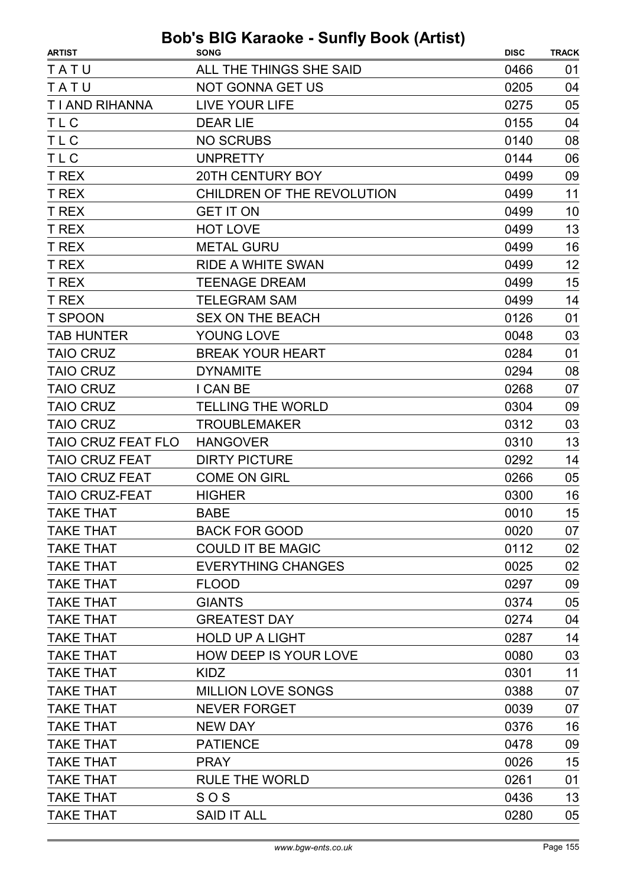| <b>ARTIST</b>             | <b>SONG</b>                  | <b>DISC</b> | <b>TRACK</b> |
|---------------------------|------------------------------|-------------|--------------|
| TATU                      | ALL THE THINGS SHE SAID      | 0466        | 01           |
| TATU                      | <b>NOT GONNA GET US</b>      | 0205        | 04           |
| T I AND RIHANNA           | <b>LIVE YOUR LIFE</b>        | 0275        | 05           |
| <b>TLC</b>                | <b>DEAR LIE</b>              | 0155        | 04           |
| <b>TLC</b>                | <b>NO SCRUBS</b>             | 0140        | 08           |
| <b>TLC</b>                | <b>UNPRETTY</b>              | 0144        | 06           |
| T REX                     | <b>20TH CENTURY BOY</b>      | 0499        | 09           |
| T REX                     | CHILDREN OF THE REVOLUTION   | 0499        | 11           |
| <b>T REX</b>              | <b>GET IT ON</b>             | 0499        | 10           |
| T REX                     | <b>HOT LOVE</b>              | 0499        | 13           |
| T REX                     | <b>METAL GURU</b>            | 0499        | 16           |
| T REX                     | <b>RIDE A WHITE SWAN</b>     | 0499        | 12           |
| <b>T REX</b>              | <b>TEENAGE DREAM</b>         | 0499        | 15           |
| <b>T REX</b>              | <b>TELEGRAM SAM</b>          | 0499        | 14           |
| <b>T SPOON</b>            | <b>SEX ON THE BEACH</b>      | 0126        | 01           |
| <b>TAB HUNTER</b>         | YOUNG LOVE                   | 0048        | 03           |
| <b>TAIO CRUZ</b>          | <b>BREAK YOUR HEART</b>      | 0284        | 01           |
| <b>TAIO CRUZ</b>          | <b>DYNAMITE</b>              | 0294        | 08           |
| <b>TAIO CRUZ</b>          | I CAN BE                     | 0268        | 07           |
| <b>TAIO CRUZ</b>          | <b>TELLING THE WORLD</b>     | 0304        | 09           |
| <b>TAIO CRUZ</b>          | <b>TROUBLEMAKER</b>          | 0312        | 03           |
| <b>TAIO CRUZ FEAT FLO</b> | <b>HANGOVER</b>              | 0310        | 13           |
| <b>TAIO CRUZ FEAT</b>     | <b>DIRTY PICTURE</b>         | 0292        | 14           |
| <b>TAIO CRUZ FEAT</b>     | <b>COME ON GIRL</b>          | 0266        | 05           |
| <b>TAIO CRUZ-FEAT</b>     | <b>HIGHER</b>                | 0300        | 16           |
| <b>TAKE THAT</b>          | <b>BABE</b>                  | 0010        | 15           |
| <b>TAKE THAT</b>          | <b>BACK FOR GOOD</b>         | 0020        | 07           |
| <b>TAKE THAT</b>          | <b>COULD IT BE MAGIC</b>     | 0112        | 02           |
| <b>TAKE THAT</b>          | <b>EVERYTHING CHANGES</b>    | 0025        | 02           |
| <b>TAKE THAT</b>          | <b>FLOOD</b>                 | 0297        | 09           |
| <b>TAKE THAT</b>          | <b>GIANTS</b>                | 0374        | 05           |
| <b>TAKE THAT</b>          | <b>GREATEST DAY</b>          | 0274        | 04           |
| <b>TAKE THAT</b>          | <b>HOLD UP A LIGHT</b>       | 0287        | 14           |
| <b>TAKE THAT</b>          | <b>HOW DEEP IS YOUR LOVE</b> | 0080        | 03           |
| <b>TAKE THAT</b>          | <b>KIDZ</b>                  | 0301        | 11           |
| <b>TAKE THAT</b>          | <b>MILLION LOVE SONGS</b>    | 0388        | 07           |
| <b>TAKE THAT</b>          | <b>NEVER FORGET</b>          | 0039        | 07           |
| <b>TAKE THAT</b>          | <b>NEW DAY</b>               | 0376        | 16           |
| <b>TAKE THAT</b>          | <b>PATIENCE</b>              | 0478        | 09           |
| <b>TAKE THAT</b>          | <b>PRAY</b>                  | 0026        | 15           |
| <b>TAKE THAT</b>          | <b>RULE THE WORLD</b>        | 0261        | 01           |
| <b>TAKE THAT</b>          | SOS                          | 0436        | 13           |
| <b>TAKE THAT</b>          | <b>SAID IT ALL</b>           | 0280        | 05           |
|                           |                              |             |              |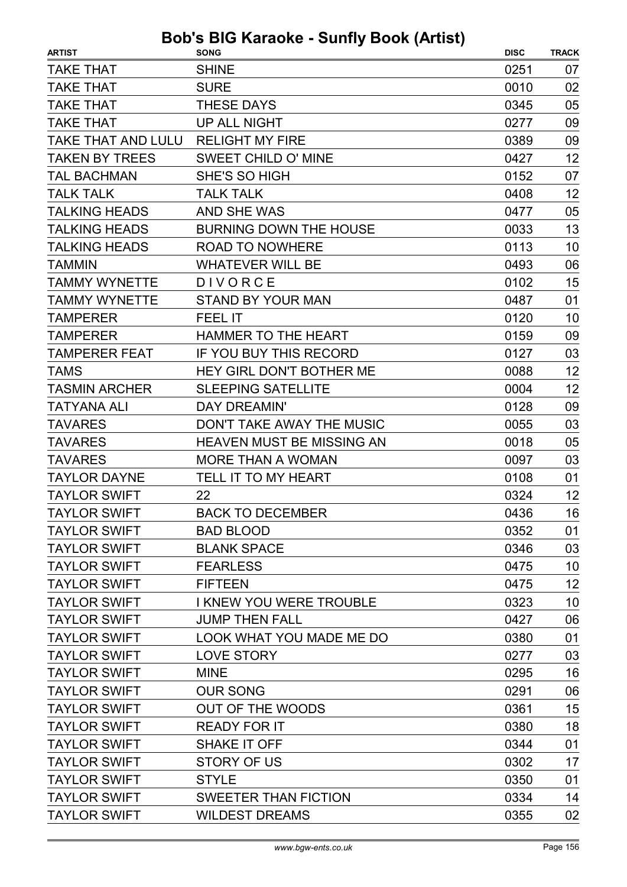| <b>ARTIST</b>         | $\sim$ Karaono canny Doon (Autor)<br><b>SONG</b> | <b>DISC</b> | <b>TRACK</b> |
|-----------------------|--------------------------------------------------|-------------|--------------|
| <b>TAKE THAT</b>      | <b>SHINE</b>                                     | 0251        | 07           |
| <b>TAKE THAT</b>      | <b>SURE</b>                                      | 0010        | 02           |
| <b>TAKE THAT</b>      | <b>THESE DAYS</b>                                | 0345        | 05           |
| <b>TAKE THAT</b>      | <b>UP ALL NIGHT</b>                              | 0277        | 09           |
| TAKE THAT AND LULU    | <b>RELIGHT MY FIRE</b>                           | 0389        | 09           |
| <b>TAKEN BY TREES</b> | <b>SWEET CHILD O' MINE</b>                       | 0427        | 12           |
| <b>TAL BACHMAN</b>    | SHE'S SO HIGH                                    | 0152        | 07           |
| <b>TALK TALK</b>      | <b>TALK TALK</b>                                 | 0408        | 12           |
| <b>TALKING HEADS</b>  | <b>AND SHE WAS</b>                               | 0477        | 05           |
| <b>TALKING HEADS</b>  | <b>BURNING DOWN THE HOUSE</b>                    | 0033        | 13           |
| <b>TALKING HEADS</b>  | <b>ROAD TO NOWHERE</b>                           | 0113        | 10           |
| <b>TAMMIN</b>         | <b>WHATEVER WILL BE</b>                          | 0493        | 06           |
| <b>TAMMY WYNETTE</b>  | DIVORCE                                          | 0102        | 15           |
| <b>TAMMY WYNETTE</b>  | <b>STAND BY YOUR MAN</b>                         | 0487        | 01           |
| <b>TAMPERER</b>       | <b>FEEL IT</b>                                   | 0120        | 10           |
| <b>TAMPERER</b>       | <b>HAMMER TO THE HEART</b>                       | 0159        | 09           |
| <b>TAMPERER FEAT</b>  | IF YOU BUY THIS RECORD                           | 0127        | 03           |
| <b>TAMS</b>           | HEY GIRL DON'T BOTHER ME                         | 0088        | 12           |
| <b>TASMIN ARCHER</b>  | <b>SLEEPING SATELLITE</b>                        | 0004        | 12           |
| <b>TATYANA ALI</b>    | DAY DREAMIN'                                     | 0128        | 09           |
| <b>TAVARES</b>        | DON'T TAKE AWAY THE MUSIC                        | 0055        | 03           |
| <b>TAVARES</b>        | <b>HEAVEN MUST BE MISSING AN</b>                 | 0018        | 05           |
| <b>TAVARES</b>        | <b>MORE THAN A WOMAN</b>                         | 0097        | 03           |
| <b>TAYLOR DAYNE</b>   | TELL IT TO MY HEART                              | 0108        | 01           |
| <b>TAYLOR SWIFT</b>   | 22                                               | 0324        | 12           |
| <b>TAYLOR SWIFT</b>   | <b>BACK TO DECEMBER</b>                          | 0436        | 16           |
| <b>TAYLOR SWIFT</b>   | <b>BAD BLOOD</b>                                 | 0352        | 01           |
| <b>TAYLOR SWIFT</b>   | <b>BLANK SPACE</b>                               | 0346        | 03           |
| <b>TAYLOR SWIFT</b>   | <b>FEARLESS</b>                                  | 0475        | 10           |
| <b>TAYLOR SWIFT</b>   | <b>FIFTEEN</b>                                   | 0475        | 12           |
| <b>TAYLOR SWIFT</b>   | <b>I KNEW YOU WERE TROUBLE</b>                   | 0323        | 10           |
| <b>TAYLOR SWIFT</b>   | <b>JUMP THEN FALL</b>                            | 0427        | 06           |
| <b>TAYLOR SWIFT</b>   | LOOK WHAT YOU MADE ME DO                         | 0380        | 01           |
| <b>TAYLOR SWIFT</b>   | <b>LOVE STORY</b>                                | 0277        | 03           |
| <b>TAYLOR SWIFT</b>   | <b>MINE</b>                                      | 0295        | 16           |
| <b>TAYLOR SWIFT</b>   | <b>OUR SONG</b>                                  | 0291        | 06           |
| <b>TAYLOR SWIFT</b>   | <b>OUT OF THE WOODS</b>                          | 0361        | 15           |
| <b>TAYLOR SWIFT</b>   | <b>READY FOR IT</b>                              | 0380        | 18           |
| <b>TAYLOR SWIFT</b>   | SHAKE IT OFF                                     | 0344        | 01           |
| <b>TAYLOR SWIFT</b>   | <b>STORY OF US</b>                               | 0302        | 17           |
| <b>TAYLOR SWIFT</b>   | <b>STYLE</b>                                     | 0350        | 01           |
| <b>TAYLOR SWIFT</b>   | <b>SWEETER THAN FICTION</b>                      | 0334        | 14           |
| <b>TAYLOR SWIFT</b>   | <b>WILDEST DREAMS</b>                            | 0355        | 02           |
|                       |                                                  |             |              |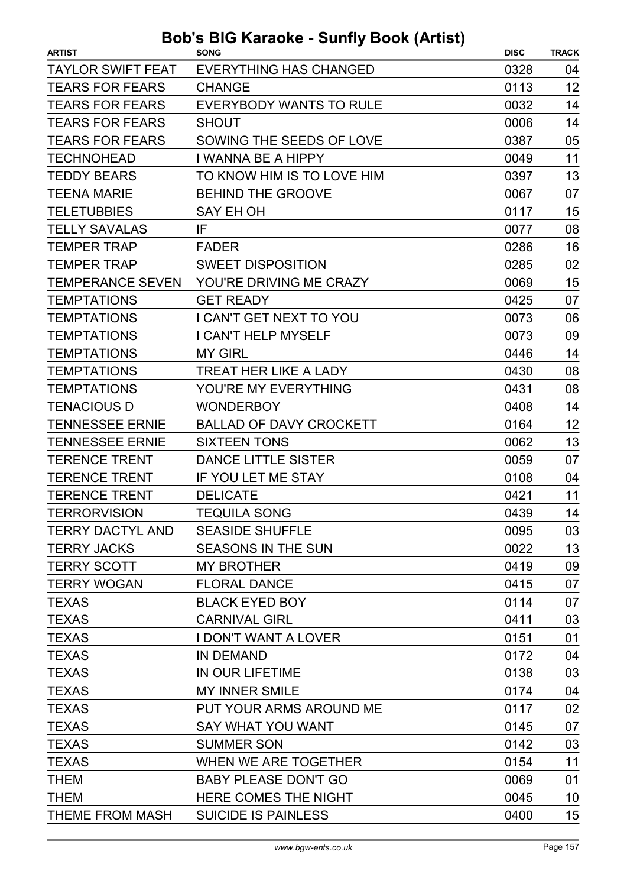| <b>TAYLOR SWIFT FEAT</b><br><b>EVERYTHING HAS CHANGED</b><br>0328<br>04<br>12<br><b>TEARS FOR FEARS</b><br><b>CHANGE</b><br>0113<br><b>TEARS FOR FEARS</b><br>0032<br>14<br><b>EVERYBODY WANTS TO RULE</b><br><b>TEARS FOR FEARS</b><br>14<br><b>SHOUT</b><br>0006<br><b>TEARS FOR FEARS</b><br>0387<br>05<br>SOWING THE SEEDS OF LOVE<br>11<br><b>TECHNOHEAD</b><br>I WANNA BE A HIPPY<br>0049<br>TO KNOW HIM IS TO LOVE HIM<br>13 |
|-------------------------------------------------------------------------------------------------------------------------------------------------------------------------------------------------------------------------------------------------------------------------------------------------------------------------------------------------------------------------------------------------------------------------------------|
|                                                                                                                                                                                                                                                                                                                                                                                                                                     |
|                                                                                                                                                                                                                                                                                                                                                                                                                                     |
|                                                                                                                                                                                                                                                                                                                                                                                                                                     |
|                                                                                                                                                                                                                                                                                                                                                                                                                                     |
|                                                                                                                                                                                                                                                                                                                                                                                                                                     |
|                                                                                                                                                                                                                                                                                                                                                                                                                                     |
| <b>TEDDY BEARS</b><br>0397                                                                                                                                                                                                                                                                                                                                                                                                          |
| <b>BEHIND THE GROOVE</b><br>07<br><b>TEENA MARIE</b><br>0067                                                                                                                                                                                                                                                                                                                                                                        |
| <b>TELETUBBIES</b><br>15<br>SAY EH OH<br>0117                                                                                                                                                                                                                                                                                                                                                                                       |
| <b>TELLY SAVALAS</b><br>08<br>IF<br>0077                                                                                                                                                                                                                                                                                                                                                                                            |
| <b>TEMPER TRAP</b><br>16<br>0286<br><b>FADER</b>                                                                                                                                                                                                                                                                                                                                                                                    |
| 02<br><b>TEMPER TRAP</b><br><b>SWEET DISPOSITION</b><br>0285                                                                                                                                                                                                                                                                                                                                                                        |
| 15<br><b>TEMPERANCE SEVEN</b><br>YOU'RE DRIVING ME CRAZY<br>0069                                                                                                                                                                                                                                                                                                                                                                    |
| <b>TEMPTATIONS</b><br><b>GET READY</b><br>0425<br>07                                                                                                                                                                                                                                                                                                                                                                                |
| <b>TEMPTATIONS</b><br>I CAN'T GET NEXT TO YOU<br>0073<br>06                                                                                                                                                                                                                                                                                                                                                                         |
| <b>TEMPTATIONS</b><br>09<br>I CAN'T HELP MYSELF<br>0073                                                                                                                                                                                                                                                                                                                                                                             |
| 14<br><b>TEMPTATIONS</b><br><b>MY GIRL</b><br>0446                                                                                                                                                                                                                                                                                                                                                                                  |
| 08<br><b>TEMPTATIONS</b><br>0430<br><b>TREAT HER LIKE A LADY</b>                                                                                                                                                                                                                                                                                                                                                                    |
| <b>TEMPTATIONS</b><br>YOU'RE MY EVERYTHING<br>08<br>0431                                                                                                                                                                                                                                                                                                                                                                            |
| <b>TENACIOUS D</b><br><b>WONDERBOY</b><br>0408<br>14                                                                                                                                                                                                                                                                                                                                                                                |
| <b>TENNESSEE ERNIE</b><br>12<br><b>BALLAD OF DAVY CROCKETT</b><br>0164                                                                                                                                                                                                                                                                                                                                                              |
| 13<br><b>TENNESSEE ERNIE</b><br><b>SIXTEEN TONS</b><br>0062                                                                                                                                                                                                                                                                                                                                                                         |
| <b>TERENCE TRENT</b><br><b>DANCE LITTLE SISTER</b><br>0059<br>07                                                                                                                                                                                                                                                                                                                                                                    |
| <b>TERENCE TRENT</b><br>IF YOU LET ME STAY<br>0108<br>04                                                                                                                                                                                                                                                                                                                                                                            |
| <b>TERENCE TRENT</b><br>11<br><b>DELICATE</b><br>0421                                                                                                                                                                                                                                                                                                                                                                               |
| <b>TERRORVISION</b><br><b>TEQUILA SONG</b><br>0439<br>14                                                                                                                                                                                                                                                                                                                                                                            |
| TERRY DACTYL AND<br><b>SEASIDE SHUFFLE</b><br>0095<br>03                                                                                                                                                                                                                                                                                                                                                                            |
| <b>TERRY JACKS</b><br><b>SEASONS IN THE SUN</b><br>0022<br>13                                                                                                                                                                                                                                                                                                                                                                       |
| <b>TERRY SCOTT</b><br><b>MY BROTHER</b><br>0419<br>09                                                                                                                                                                                                                                                                                                                                                                               |
| <b>TERRY WOGAN</b><br><b>FLORAL DANCE</b><br>0415<br>07                                                                                                                                                                                                                                                                                                                                                                             |
| <b>BLACK EYED BOY</b><br>0114<br>07<br><b>TEXAS</b>                                                                                                                                                                                                                                                                                                                                                                                 |
| <b>TEXAS</b><br><b>CARNIVAL GIRL</b><br>03<br>0411                                                                                                                                                                                                                                                                                                                                                                                  |
| 01<br><b>TEXAS</b><br><b>I DON'T WANT A LOVER</b><br>0151                                                                                                                                                                                                                                                                                                                                                                           |
| <b>TEXAS</b><br><b>IN DEMAND</b><br>0172<br>04                                                                                                                                                                                                                                                                                                                                                                                      |
| <b>TEXAS</b><br>IN OUR LIFETIME<br>03<br>0138                                                                                                                                                                                                                                                                                                                                                                                       |
| MY INNER SMILE<br><b>TEXAS</b><br>04<br>0174                                                                                                                                                                                                                                                                                                                                                                                        |
| <b>TEXAS</b><br>PUT YOUR ARMS AROUND ME<br>02<br>0117                                                                                                                                                                                                                                                                                                                                                                               |
| 07<br><b>TEXAS</b><br>SAY WHAT YOU WANT<br>0145                                                                                                                                                                                                                                                                                                                                                                                     |
| 03<br><b>TEXAS</b><br>0142<br><b>SUMMER SON</b>                                                                                                                                                                                                                                                                                                                                                                                     |
| 11<br><b>TEXAS</b><br>WHEN WE ARE TOGETHER<br>0154                                                                                                                                                                                                                                                                                                                                                                                  |
| 0069<br>01<br><b>THEM</b><br><b>BABY PLEASE DON'T GO</b>                                                                                                                                                                                                                                                                                                                                                                            |
| <b>THEM</b><br>HERE COMES THE NIGHT<br>0045<br>10                                                                                                                                                                                                                                                                                                                                                                                   |
| 15<br><b>SUICIDE IS PAINLESS</b><br>0400<br>THEME FROM MASH                                                                                                                                                                                                                                                                                                                                                                         |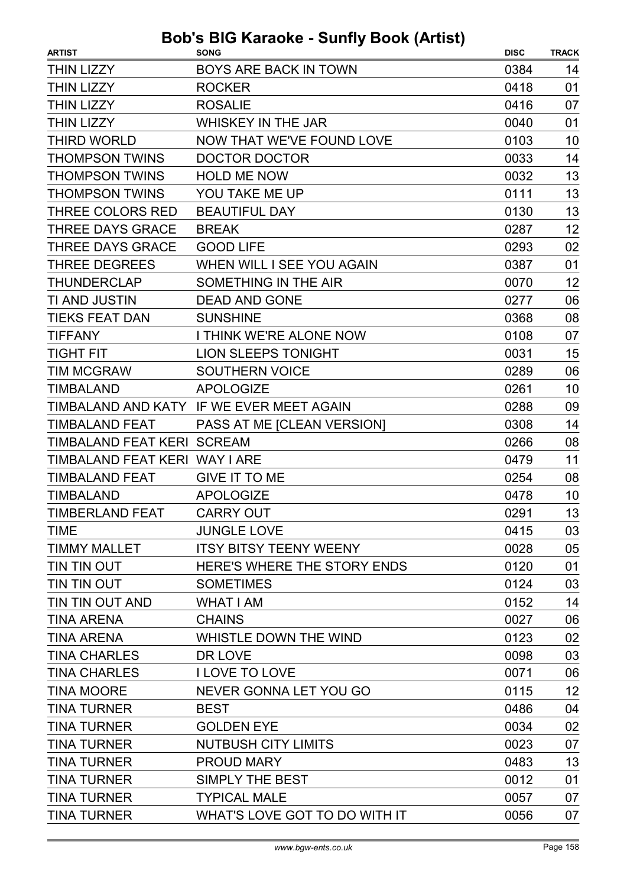| <b>ARTIST</b>                 | <b>SONG</b>                              | <b>DISC</b> | <b>TRACK</b> |
|-------------------------------|------------------------------------------|-------------|--------------|
| <b>THIN LIZZY</b>             | <b>BOYS ARE BACK IN TOWN</b>             | 0384        | 14           |
| <b>THIN LIZZY</b>             | <b>ROCKER</b>                            | 0418        | 01           |
| <b>THIN LIZZY</b>             | <b>ROSALIE</b>                           | 0416        | 07           |
| <b>THIN LIZZY</b>             | <b>WHISKEY IN THE JAR</b>                | 0040        | 01           |
| <b>THIRD WORLD</b>            | NOW THAT WE'VE FOUND LOVE                | 0103        | 10           |
| <b>THOMPSON TWINS</b>         | DOCTOR DOCTOR                            | 0033        | 14           |
| <b>THOMPSON TWINS</b>         | <b>HOLD ME NOW</b>                       | 0032        | 13           |
| <b>THOMPSON TWINS</b>         | YOU TAKE ME UP                           | 0111        | 13           |
| THREE COLORS RED              | <b>BEAUTIFUL DAY</b>                     | 0130        | 13           |
| <b>THREE DAYS GRACE</b>       | <b>BREAK</b>                             | 0287        | 12           |
| <b>THREE DAYS GRACE</b>       | <b>GOOD LIFE</b>                         | 0293        | 02           |
| <b>THREE DEGREES</b>          | WHEN WILL I SEE YOU AGAIN                | 0387        | 01           |
| <b>THUNDERCLAP</b>            | SOMETHING IN THE AIR                     | 0070        | 12           |
| TI AND JUSTIN                 | <b>DEAD AND GONE</b>                     | 0277        | 06           |
| <b>TIEKS FEAT DAN</b>         | <b>SUNSHINE</b>                          | 0368        | 08           |
| <b>TIFFANY</b>                | I THINK WE'RE ALONE NOW                  | 0108        | 07           |
| <b>TIGHT FIT</b>              | <b>LION SLEEPS TONIGHT</b>               | 0031        | 15           |
| <b>TIM MCGRAW</b>             | <b>SOUTHERN VOICE</b>                    | 0289        | 06           |
| <b>TIMBALAND</b>              | <b>APOLOGIZE</b>                         | 0261        | 10           |
|                               | TIMBALAND AND KATY IF WE EVER MEET AGAIN | 0288        | 09           |
| <b>TIMBALAND FEAT</b>         | PASS AT ME [CLEAN VERSION]               | 0308        | 14           |
| TIMBALAND FEAT KERI SCREAM    |                                          | 0266        | 08           |
| TIMBALAND FEAT KERI WAY I ARE |                                          | 0479        | 11           |
| <b>TIMBALAND FEAT</b>         | <b>GIVE IT TO ME</b>                     | 0254        | 08           |
| <b>TIMBALAND</b>              | <b>APOLOGIZE</b>                         | 0478        | 10           |
| TIMBERLAND FEAT               | <b>CARRY OUT</b>                         | 0291        | 13           |
| <b>TIME</b>                   | <b>JUNGLE LOVE</b>                       | 0415        | 03           |
| <b>TIMMY MALLET</b>           | <b>ITSY BITSY TEENY WEENY</b>            | 0028        | 05           |
| TIN TIN OUT                   | HERE'S WHERE THE STORY ENDS              | 0120        | 01           |
| TIN TIN OUT                   | <b>SOMETIMES</b>                         | 0124        | 03           |
| TIN TIN OUT AND               | WHAT I AM                                | 0152        | 14           |
| <b>TINA ARENA</b>             | <b>CHAINS</b>                            | 0027        | 06           |
| <b>TINA ARENA</b>             | WHISTLE DOWN THE WIND                    | 0123        | 02           |
| <b>TINA CHARLES</b>           | DR LOVE                                  | 0098        | 03           |
| <b>TINA CHARLES</b>           | <b>I LOVE TO LOVE</b>                    | 0071        | 06           |
| <b>TINA MOORE</b>             | NEVER GONNA LET YOU GO                   | 0115        | 12           |
| <b>TINA TURNER</b>            | <b>BEST</b>                              | 0486        | 04           |
| <b>TINA TURNER</b>            | <b>GOLDEN EYE</b>                        | 0034        | 02           |
| <b>TINA TURNER</b>            | <b>NUTBUSH CITY LIMITS</b>               | 0023        | 07           |
| <b>TINA TURNER</b>            | <b>PROUD MARY</b>                        | 0483        | 13           |
| <b>TINA TURNER</b>            | <b>SIMPLY THE BEST</b>                   | 0012        | 01           |
| <b>TINA TURNER</b>            | <b>TYPICAL MALE</b>                      | 0057        | 07           |
| <b>TINA TURNER</b>            | WHAT'S LOVE GOT TO DO WITH IT            | 0056        | 07           |
|                               |                                          |             |              |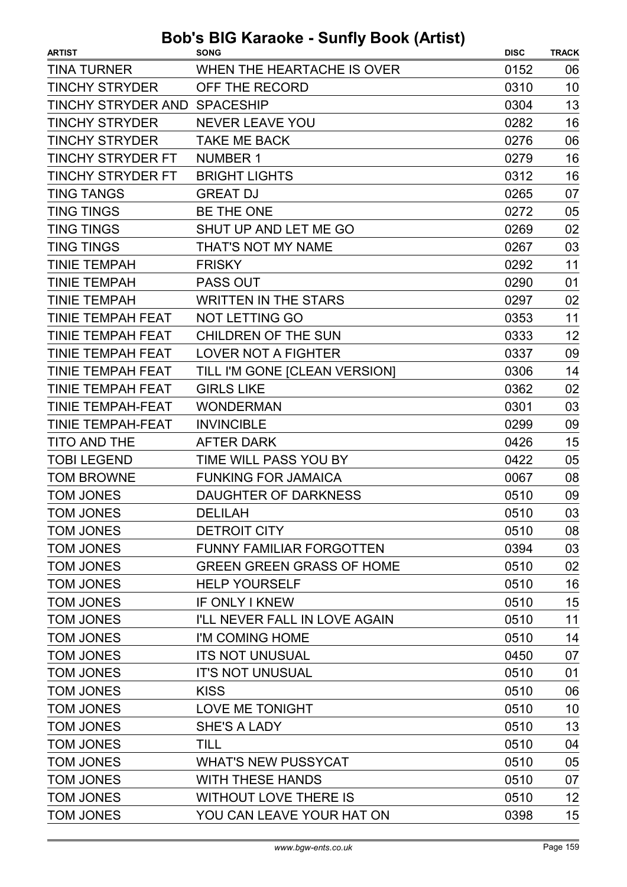| <b>ARTIST</b>                | ono ownij 1<br><b>SONG</b>       | <b>DISC</b> | <b>TRACK</b> |
|------------------------------|----------------------------------|-------------|--------------|
| <b>TINA TURNER</b>           | WHEN THE HEARTACHE IS OVER       | 0152        | 06           |
| <b>TINCHY STRYDER</b>        | OFF THE RECORD                   | 0310        | 10           |
| TINCHY STRYDER AND SPACESHIP |                                  | 0304        | 13           |
| <b>TINCHY STRYDER</b>        | <b>NEVER LEAVE YOU</b>           | 0282        | 16           |
| <b>TINCHY STRYDER</b>        | <b>TAKE ME BACK</b>              | 0276        | 06           |
| <b>TINCHY STRYDER FT</b>     | <b>NUMBER 1</b>                  | 0279        | 16           |
| <b>TINCHY STRYDER FT</b>     | <b>BRIGHT LIGHTS</b>             | 0312        | 16           |
| <b>TING TANGS</b>            | <b>GREAT DJ</b>                  | 0265        | 07           |
| <b>TING TINGS</b>            | <b>BE THE ONE</b>                | 0272        | 05           |
| <b>TING TINGS</b>            | SHUT UP AND LET ME GO            | 0269        | 02           |
| <b>TING TINGS</b>            | THAT'S NOT MY NAME               | 0267        | 03           |
| <b>TINIE TEMPAH</b>          | <b>FRISKY</b>                    | 0292        | 11           |
| <b>TINIE TEMPAH</b>          | <b>PASS OUT</b>                  | 0290        | 01           |
| <b>TINIE TEMPAH</b>          | <b>WRITTEN IN THE STARS</b>      | 0297        | 02           |
| TINIE TEMPAH FEAT            | <b>NOT LETTING GO</b>            | 0353        | 11           |
| <b>TINIE TEMPAH FEAT</b>     | <b>CHILDREN OF THE SUN</b>       | 0333        | 12           |
| <b>TINIE TEMPAH FEAT</b>     | <b>LOVER NOT A FIGHTER</b>       | 0337        | 09           |
| <b>TINIE TEMPAH FEAT</b>     | TILL I'M GONE [CLEAN VERSION]    | 0306        | 14           |
| <b>TINIE TEMPAH FEAT</b>     | <b>GIRLS LIKE</b>                | 0362        | 02           |
| <b>TINIE TEMPAH-FEAT</b>     | <b>WONDERMAN</b>                 | 0301        | 03           |
| <b>TINIE TEMPAH-FEAT</b>     | <b>INVINCIBLE</b>                | 0299        | 09           |
| <b>TITO AND THE</b>          | <b>AFTER DARK</b>                | 0426        | 15           |
| <b>TOBI LEGEND</b>           | TIME WILL PASS YOU BY            | 0422        | 05           |
| <b>TOM BROWNE</b>            | <b>FUNKING FOR JAMAICA</b>       | 0067        | 08           |
| <b>TOM JONES</b>             | <b>DAUGHTER OF DARKNESS</b>      | 0510        | 09           |
| <b>TOM JONES</b>             | <b>DELILAH</b>                   | 0510        | 03           |
| <b>TOM JONES</b>             | <b>DETROIT CITY</b>              | 0510        | 08           |
| <b>TOM JONES</b>             | FUNNY FAMILIAR FORGOTTEN         | 0394        | 03           |
| <b>TOM JONES</b>             | <b>GREEN GREEN GRASS OF HOME</b> | 0510        | 02           |
| <b>TOM JONES</b>             | <b>HELP YOURSELF</b>             | 0510        | 16           |
| <b>TOM JONES</b>             | IF ONLY I KNEW                   | 0510        | 15           |
| <b>TOM JONES</b>             | I'LL NEVER FALL IN LOVE AGAIN    | 0510        | 11           |
| <b>TOM JONES</b>             | I'M COMING HOME                  | 0510        | 14           |
| <b>TOM JONES</b>             | <b>ITS NOT UNUSUAL</b>           | 0450        | 07           |
| <b>TOM JONES</b>             | <b>IT'S NOT UNUSUAL</b>          | 0510        | 01           |
| <b>TOM JONES</b>             | <b>KISS</b>                      | 0510        | 06           |
| <b>TOM JONES</b>             | LOVE ME TONIGHT                  | 0510        | 10           |
| <b>TOM JONES</b>             | SHE'S A LADY                     | 0510        | 13           |
| <b>TOM JONES</b>             | TILL                             | 0510        | 04           |
| <b>TOM JONES</b>             | <b>WHAT'S NEW PUSSYCAT</b>       | 0510        | 05           |
| <b>TOM JONES</b>             | <b>WITH THESE HANDS</b>          | 0510        | 07           |
| <b>TOM JONES</b>             | <b>WITHOUT LOVE THERE IS</b>     | 0510        | 12           |
| <b>TOM JONES</b>             | YOU CAN LEAVE YOUR HAT ON        | 0398        | 15           |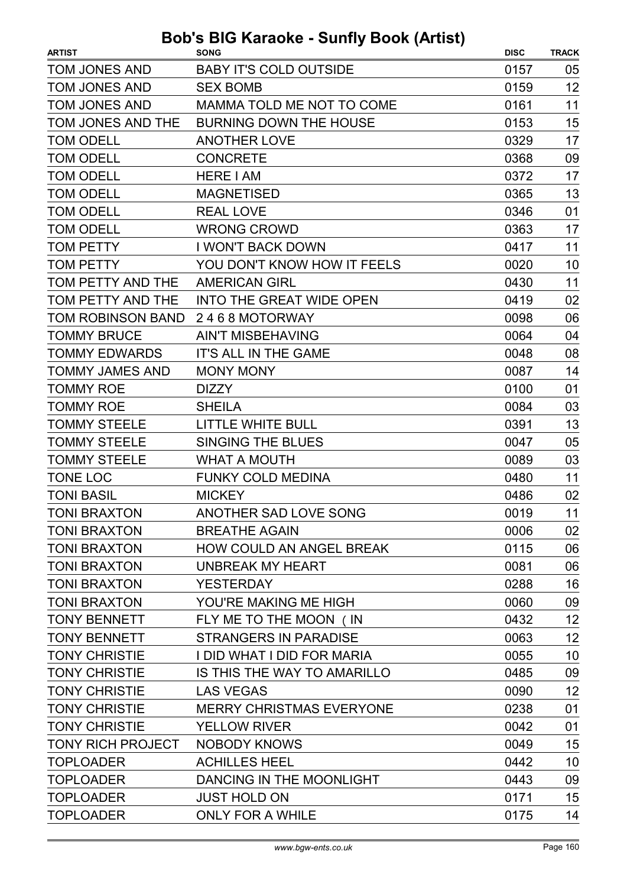| <b>ARTIST</b>            | . <i>.</i><br><b>SONG</b>       | <b>DISC</b> | <b>TRACK</b> |
|--------------------------|---------------------------------|-------------|--------------|
| <b>TOM JONES AND</b>     | <b>BABY IT'S COLD OUTSIDE</b>   | 0157        | 05           |
| <b>TOM JONES AND</b>     | <b>SEX BOMB</b>                 | 0159        | 12           |
| <b>TOM JONES AND</b>     | MAMMA TOLD ME NOT TO COME       | 0161        | 11           |
| TOM JONES AND THE        | <b>BURNING DOWN THE HOUSE</b>   | 0153        | 15           |
| <b>TOM ODELL</b>         | <b>ANOTHER LOVE</b>             | 0329        | 17           |
| <b>TOM ODELL</b>         | <b>CONCRETE</b>                 | 0368        | 09           |
| <b>TOM ODELL</b>         | <b>HERE I AM</b>                | 0372        | 17           |
| <b>TOM ODELL</b>         | <b>MAGNETISED</b>               | 0365        | 13           |
| <b>TOM ODELL</b>         | <b>REAL LOVE</b>                | 0346        | 01           |
| <b>TOM ODELL</b>         | <b>WRONG CROWD</b>              | 0363        | 17           |
| <b>TOM PETTY</b>         | <b>I WON'T BACK DOWN</b>        | 0417        | 11           |
| <b>TOM PETTY</b>         | YOU DON'T KNOW HOW IT FEELS     | 0020        | 10           |
| TOM PETTY AND THE        | <b>AMERICAN GIRL</b>            | 0430        | 11           |
| TOM PETTY AND THE        | INTO THE GREAT WIDE OPEN        | 0419        | 02           |
| <b>TOM ROBINSON BAND</b> | 2468 MOTORWAY                   | 0098        | 06           |
| <b>TOMMY BRUCE</b>       | <b>AIN'T MISBEHAVING</b>        | 0064        | 04           |
| <b>TOMMY EDWARDS</b>     | IT'S ALL IN THE GAME            | 0048        | 08           |
| <b>TOMMY JAMES AND</b>   | <b>MONY MONY</b>                | 0087        | 14           |
| <b>TOMMY ROE</b>         | <b>DIZZY</b>                    | 0100        | 01           |
| <b>TOMMY ROE</b>         | <b>SHEILA</b>                   | 0084        | 03           |
| <b>TOMMY STEELE</b>      | <b>LITTLE WHITE BULL</b>        | 0391        | 13           |
| <b>TOMMY STEELE</b>      | <b>SINGING THE BLUES</b>        | 0047        | 05           |
| <b>TOMMY STEELE</b>      | <b>WHAT A MOUTH</b>             | 0089        | 03           |
| <b>TONE LOC</b>          | <b>FUNKY COLD MEDINA</b>        | 0480        | 11           |
| <b>TONI BASIL</b>        | <b>MICKEY</b>                   | 0486        | 02           |
| <b>TONI BRAXTON</b>      | ANOTHER SAD LOVE SONG           | 0019        | 11           |
| <b>TONI BRAXTON</b>      | <b>BREATHE AGAIN</b>            | 0006        | 02           |
| <b>TONI BRAXTON</b>      | <b>HOW COULD AN ANGEL BREAK</b> | 0115        | 06           |
| <b>TONI BRAXTON</b>      | <b>UNBREAK MY HEART</b>         | 0081        | 06           |
| <b>TONI BRAXTON</b>      | <b>YESTERDAY</b>                | 0288        | 16           |
| <b>TONI BRAXTON</b>      | YOU'RE MAKING ME HIGH           | 0060        | 09           |
| <b>TONY BENNETT</b>      | FLY ME TO THE MOON (IN          | 0432        | 12           |
| <b>TONY BENNETT</b>      | <b>STRANGERS IN PARADISE</b>    | 0063        | 12           |
| <b>TONY CHRISTIE</b>     | I DID WHAT I DID FOR MARIA      | 0055        | 10           |
| <b>TONY CHRISTIE</b>     | IS THIS THE WAY TO AMARILLO     | 0485        | 09           |
| <b>TONY CHRISTIE</b>     | <b>LAS VEGAS</b>                | 0090        | 12           |
| <b>TONY CHRISTIE</b>     | <b>MERRY CHRISTMAS EVERYONE</b> | 0238        | 01           |
| <b>TONY CHRISTIE</b>     | <b>YELLOW RIVER</b>             | 0042        | 01           |
| <b>TONY RICH PROJECT</b> | <b>NOBODY KNOWS</b>             | 0049        | 15           |
| <b>TOPLOADER</b>         | <b>ACHILLES HEEL</b>            | 0442        | 10           |
| <b>TOPLOADER</b>         | DANCING IN THE MOONLIGHT        | 0443        | 09           |
| <b>TOPLOADER</b>         | <b>JUST HOLD ON</b>             | 0171        | 15           |
| <b>TOPLOADER</b>         | <b>ONLY FOR A WHILE</b>         | 0175        | 14           |
|                          |                                 |             |              |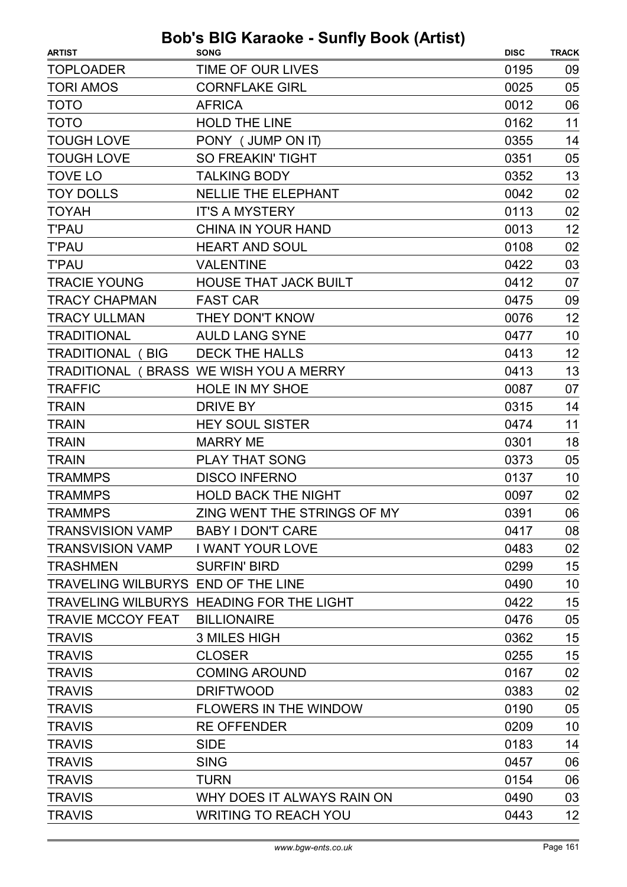| <b>ARTIST</b>                      | <b>SONG</b>                              | <b>DISC</b> | <b>TRACK</b> |
|------------------------------------|------------------------------------------|-------------|--------------|
| <b>TOPLOADER</b>                   | TIME OF OUR LIVES                        | 0195        | 09           |
| <b>TORI AMOS</b>                   | <b>CORNFLAKE GIRL</b>                    | 0025        | 05           |
| <b>TOTO</b>                        | <b>AFRICA</b>                            | 0012        | 06           |
| <b>TOTO</b>                        | <b>HOLD THE LINE</b>                     | 0162        | 11           |
| <b>TOUGH LOVE</b>                  | PONY (JUMP ON IT)                        | 0355        | 14           |
| <b>TOUGH LOVE</b>                  | <b>SO FREAKIN' TIGHT</b>                 | 0351        | 05           |
| <b>TOVE LO</b>                     | <b>TALKING BODY</b>                      | 0352        | 13           |
| <b>TOY DOLLS</b>                   | <b>NELLIE THE ELEPHANT</b>               | 0042        | 02           |
| <b>TOYAH</b>                       | <b>IT'S A MYSTERY</b>                    | 0113        | 02           |
| <b>T'PAU</b>                       | CHINA IN YOUR HAND                       | 0013        | 12           |
| <b>T'PAU</b>                       | <b>HEART AND SOUL</b>                    | 0108        | 02           |
| <b>T'PAU</b>                       | <b>VALENTINE</b>                         | 0422        | 03           |
| <b>TRACIE YOUNG</b>                | <b>HOUSE THAT JACK BUILT</b>             | 0412        | 07           |
| <b>TRACY CHAPMAN</b>               | <b>FAST CAR</b>                          | 0475        | 09           |
| <b>TRACY ULLMAN</b>                | THEY DON'T KNOW                          | 0076        | 12           |
| <b>TRADITIONAL</b>                 | <b>AULD LANG SYNE</b>                    | 0477        | 10           |
| <b>TRADITIONAL (BIG</b>            | <b>DECK THE HALLS</b>                    | 0413        | 12           |
|                                    | TRADITIONAL (BRASS WE WISH YOU A MERRY   | 0413        | 13           |
| <b>TRAFFIC</b>                     | <b>HOLE IN MY SHOE</b>                   | 0087        | 07           |
| <b>TRAIN</b>                       | <b>DRIVE BY</b>                          | 0315        | 14           |
| <b>TRAIN</b>                       | <b>HEY SOUL SISTER</b>                   | 0474        | 11           |
| <b>TRAIN</b>                       | <b>MARRY ME</b>                          | 0301        | 18           |
| <b>TRAIN</b>                       | <b>PLAY THAT SONG</b>                    | 0373        | 05           |
| <b>TRAMMPS</b>                     | <b>DISCO INFERNO</b>                     | 0137        | 10           |
| <b>TRAMMPS</b>                     | <b>HOLD BACK THE NIGHT</b>               | 0097        | 02           |
| <b>TRAMMPS</b>                     | ZING WENT THE STRINGS OF MY              | 0391        | 06           |
| <b>TRANSVISION VAMP</b>            | <b>BABY I DON'T CARE</b>                 | 0417        | 08           |
| <b>TRANSVISION VAMP</b>            | <b>I WANT YOUR LOVE</b>                  | 0483        | 02           |
| <b>TRASHMEN</b>                    | <b>SURFIN' BIRD</b>                      | 0299        | 15           |
| TRAVELING WILBURYS END OF THE LINE |                                          | 0490        | 10           |
|                                    | TRAVELING WILBURYS HEADING FOR THE LIGHT | 0422        | 15           |
| <b>TRAVIE MCCOY FEAT</b>           | <b>BILLIONAIRE</b>                       | 0476        | 05           |
| <b>TRAVIS</b>                      | <b>3 MILES HIGH</b>                      | 0362        | 15           |
| <b>TRAVIS</b>                      | <b>CLOSER</b>                            | 0255        | 15           |
| <b>TRAVIS</b>                      | <b>COMING AROUND</b>                     | 0167        | 02           |
| <b>TRAVIS</b>                      | <b>DRIFTWOOD</b>                         | 0383        | 02           |
| <b>TRAVIS</b>                      | FLOWERS IN THE WINDOW                    | 0190        | 05           |
| <b>TRAVIS</b>                      | <b>RE OFFENDER</b>                       | 0209        | 10           |
| <b>TRAVIS</b>                      | <b>SIDE</b>                              | 0183        | 14           |
| <b>TRAVIS</b>                      | <b>SING</b>                              | 0457        | 06           |
| <b>TRAVIS</b>                      | <b>TURN</b>                              | 0154        | 06           |
| <b>TRAVIS</b>                      | WHY DOES IT ALWAYS RAIN ON               | 0490        | 03           |
| <b>TRAVIS</b>                      | <b>WRITING TO REACH YOU</b>              | 0443        | 12           |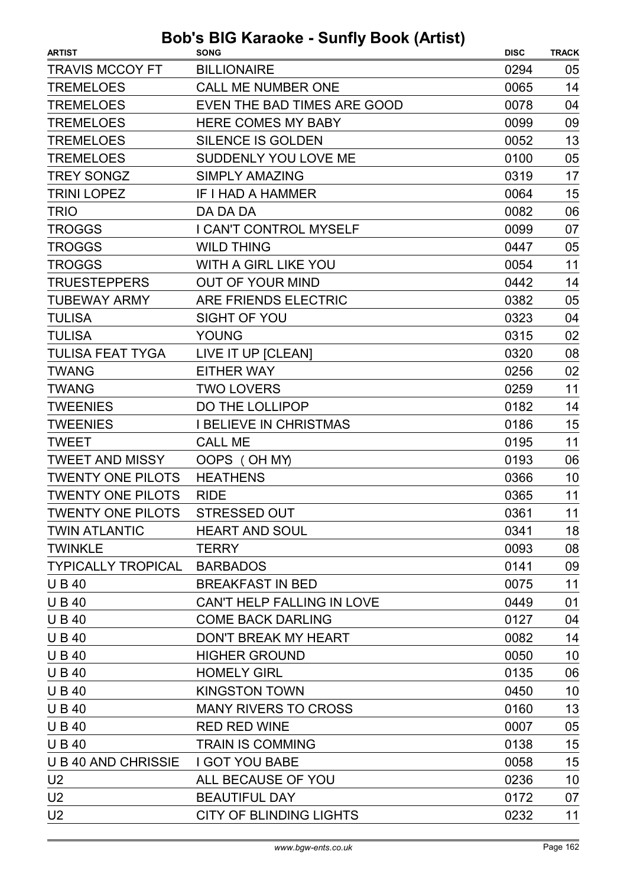| <b>ARTIST</b>               | <b>SONG</b>                        | <b>DISC</b> | <b>TRACK</b> |
|-----------------------------|------------------------------------|-------------|--------------|
| <b>TRAVIS MCCOY FT</b>      | <b>BILLIONAIRE</b>                 | 0294        | 05           |
| <b>TREMELOES</b>            | <b>CALL ME NUMBER ONE</b>          | 0065        | 14           |
| <b>TREMELOES</b>            | <b>EVEN THE BAD TIMES ARE GOOD</b> | 0078        | 04           |
| <b>TREMELOES</b>            | <b>HERE COMES MY BABY</b>          | 0099        | 09           |
| <b>TREMELOES</b>            | SILENCE IS GOLDEN                  | 0052        | 13           |
| <b>TREMELOES</b>            | SUDDENLY YOU LOVE ME               | 0100        | 05           |
| <b>TREY SONGZ</b>           | <b>SIMPLY AMAZING</b>              | 0319        | 17           |
| <b>TRINI LOPEZ</b>          | IF I HAD A HAMMER                  | 0064        | 15           |
| <b>TRIO</b>                 | DA DA DA                           | 0082        | 06           |
| <b>TROGGS</b>               | I CAN'T CONTROL MYSELF             | 0099        | 07           |
| <b>TROGGS</b>               | <b>WILD THING</b>                  | 0447        | 05           |
| <b>TROGGS</b>               | <b>WITH A GIRL LIKE YOU</b>        | 0054        | 11           |
| <b>TRUESTEPPERS</b>         | <b>OUT OF YOUR MIND</b>            | 0442        | 14           |
| <b>TUBEWAY ARMY</b>         | ARE FRIENDS ELECTRIC               | 0382        | 05           |
| <b>TULISA</b>               | <b>SIGHT OF YOU</b>                | 0323        | 04           |
| <b>TULISA</b>               | YOUNG                              | 0315        | 02           |
| <b>TULISA FEAT TYGA</b>     | LIVE IT UP [CLEAN]                 | 0320        | 08           |
| <b>TWANG</b>                | <b>EITHER WAY</b>                  | 0256        | 02           |
| <b>TWANG</b>                | <b>TWO LOVERS</b>                  | 0259        | 11           |
| <b>TWEENIES</b>             | DO THE LOLLIPOP                    | 0182        | 14           |
| <b>TWEENIES</b>             | <b>I BELIEVE IN CHRISTMAS</b>      | 0186        | 15           |
| <b>TWEET</b>                | <b>CALL ME</b>                     | 0195        | 11           |
| <b>TWEET AND MISSY</b>      | OOPS (OH MY)                       | 0193        | 06           |
| <b>TWENTY ONE PILOTS</b>    | <b>HEATHENS</b>                    | 0366        | 10           |
| <b>TWENTY ONE PILOTS</b>    | <b>RIDE</b>                        | 0365        | 11           |
| <b>TWENTY ONE PILOTS</b>    | STRESSED OUT                       | 0361        | 11           |
| <b>TWIN ATLANTIC</b>        | <b>HEART AND SOUL</b>              | 0341        | 18           |
| <b>TWINKLE</b>              | <b>TERRY</b>                       | 0093        | 08           |
| TYPICALLY TROPICAL BARBADOS |                                    | 0141        | 09           |
| <b>UB40</b>                 | <b>BREAKFAST IN BED</b>            | 0075        | 11           |
| <b>UB40</b>                 | CAN'T HELP FALLING IN LOVE         | 0449        | 01           |
| <b>UB40</b>                 | <b>COME BACK DARLING</b>           | 0127        | 04           |
| <b>UB40</b>                 | <b>DON'T BREAK MY HEART</b>        | 0082        | 14           |
| <b>UB40</b>                 | <b>HIGHER GROUND</b>               | 0050        | 10           |
| <b>UB40</b>                 | <b>HOMELY GIRL</b>                 | 0135        | 06           |
| <b>UB40</b>                 | <b>KINGSTON TOWN</b>               | 0450        | 10           |
| <b>UB40</b>                 | <b>MANY RIVERS TO CROSS</b>        | 0160        | 13           |
| <b>UB40</b>                 | <b>RED RED WINE</b>                | 0007        | 05           |
| <b>UB40</b>                 | <b>TRAIN IS COMMING</b>            | 0138        | 15           |
| <b>UB40 AND CHRISSIE</b>    | <b>I GOT YOU BABE</b>              | 0058        | 15           |
| U <sub>2</sub>              | ALL BECAUSE OF YOU                 | 0236        | 10           |
| U <sub>2</sub>              | <b>BEAUTIFUL DAY</b>               | 0172        | 07           |
| U <sub>2</sub>              | <b>CITY OF BLINDING LIGHTS</b>     | 0232        | 11           |
|                             |                                    |             |              |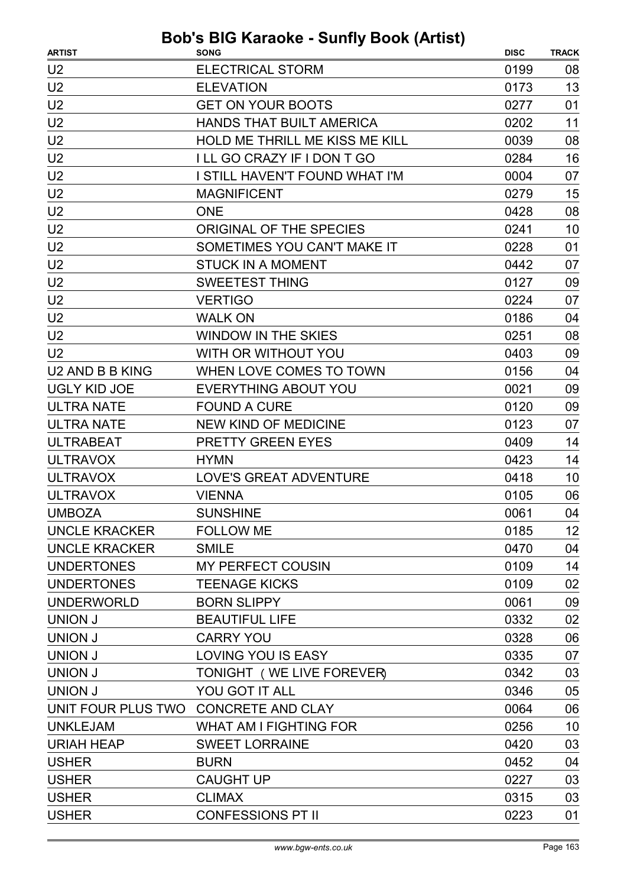| <b>ARTIST</b>        | <b>SONG</b>                           | <b>DISC</b> | <b>TRACK</b> |
|----------------------|---------------------------------------|-------------|--------------|
| U <sub>2</sub>       | <b>ELECTRICAL STORM</b>               | 0199        | 08           |
| U <sub>2</sub>       | <b>ELEVATION</b>                      | 0173        | 13           |
| U <sub>2</sub>       | <b>GET ON YOUR BOOTS</b>              | 0277        | 01           |
| U <sub>2</sub>       | <b>HANDS THAT BUILT AMERICA</b>       | 0202        | 11           |
| U <sub>2</sub>       | <b>HOLD ME THRILL ME KISS ME KILL</b> | 0039        | 08           |
| U <sub>2</sub>       | I LL GO CRAZY IF I DON T GO           | 0284        | 16           |
| U <sub>2</sub>       | I STILL HAVEN'T FOUND WHAT I'M        | 0004        | 07           |
| U <sub>2</sub>       | <b>MAGNIFICENT</b>                    | 0279        | 15           |
| U <sub>2</sub>       | <b>ONE</b>                            | 0428        | 08           |
| U <sub>2</sub>       | ORIGINAL OF THE SPECIES               | 0241        | 10           |
| U <sub>2</sub>       | SOMETIMES YOU CAN'T MAKE IT           | 0228        | 01           |
| U <sub>2</sub>       | <b>STUCK IN A MOMENT</b>              | 0442        | 07           |
| U <sub>2</sub>       | <b>SWEETEST THING</b>                 | 0127        | 09           |
| U <sub>2</sub>       | <b>VERTIGO</b>                        | 0224        | 07           |
| U <sub>2</sub>       | <b>WALK ON</b>                        | 0186        | 04           |
| U <sub>2</sub>       | <b>WINDOW IN THE SKIES</b>            | 0251        | 08           |
| U <sub>2</sub>       | WITH OR WITHOUT YOU                   | 0403        | 09           |
| U2 AND B B KING      | WHEN LOVE COMES TO TOWN               | 0156        | 04           |
| <b>UGLY KID JOE</b>  | <b>EVERYTHING ABOUT YOU</b>           | 0021        | 09           |
| <b>ULTRA NATE</b>    | <b>FOUND A CURE</b>                   | 0120        | 09           |
| <b>ULTRA NATE</b>    | <b>NEW KIND OF MEDICINE</b>           | 0123        | 07           |
| <b>ULTRABEAT</b>     | <b>PRETTY GREEN EYES</b>              | 0409        | 14           |
| <b>ULTRAVOX</b>      | <b>HYMN</b>                           | 0423        | 14           |
| <b>ULTRAVOX</b>      | <b>LOVE'S GREAT ADVENTURE</b>         | 0418        | 10           |
| <b>ULTRAVOX</b>      | <b>VIENNA</b>                         | 0105        | 06           |
| <b>UMBOZA</b>        | <b>SUNSHINE</b>                       | 0061        | 04           |
| <b>UNCLE KRACKER</b> | <b>FOLLOW ME</b>                      | 0185        | 12           |
| <b>UNCLE KRACKER</b> | <b>SMILE</b>                          | 0470        | 04           |
| <b>UNDERTONES</b>    | <b>MY PERFECT COUSIN</b>              | 0109        | 14           |
| <b>UNDERTONES</b>    | <b>TEENAGE KICKS</b>                  | 0109        | 02           |
| <b>UNDERWORLD</b>    | <b>BORN SLIPPY</b>                    | 0061        | 09           |
| <b>UNION J</b>       | <b>BEAUTIFUL LIFE</b>                 | 0332        | 02           |
| UNION J              | <b>CARRY YOU</b>                      | 0328        | 06           |
| <b>UNION J</b>       | <b>LOVING YOU IS EASY</b>             | 0335        | 07           |
| <b>UNION J</b>       | TONIGHT (WE LIVE FOREVER)             | 0342        | 03           |
| <b>UNION J</b>       | YOU GOT IT ALL                        | 0346        | 05           |
|                      | UNIT FOUR PLUS TWO CONCRETE AND CLAY  | 0064        | 06           |
| <b>UNKLEJAM</b>      | <b>WHAT AM I FIGHTING FOR</b>         | 0256        | 10           |
| <b>URIAH HEAP</b>    | <b>SWEET LORRAINE</b>                 | 0420        | 03           |
| <b>USHER</b>         | <b>BURN</b>                           | 0452        | 04           |
| <b>USHER</b>         | <b>CAUGHT UP</b>                      | 0227        | 03           |
| <b>USHER</b>         | <b>CLIMAX</b>                         | 0315        | 03           |
| <b>USHER</b>         | <b>CONFESSIONS PT II</b>              | 0223        | 01           |
|                      |                                       |             |              |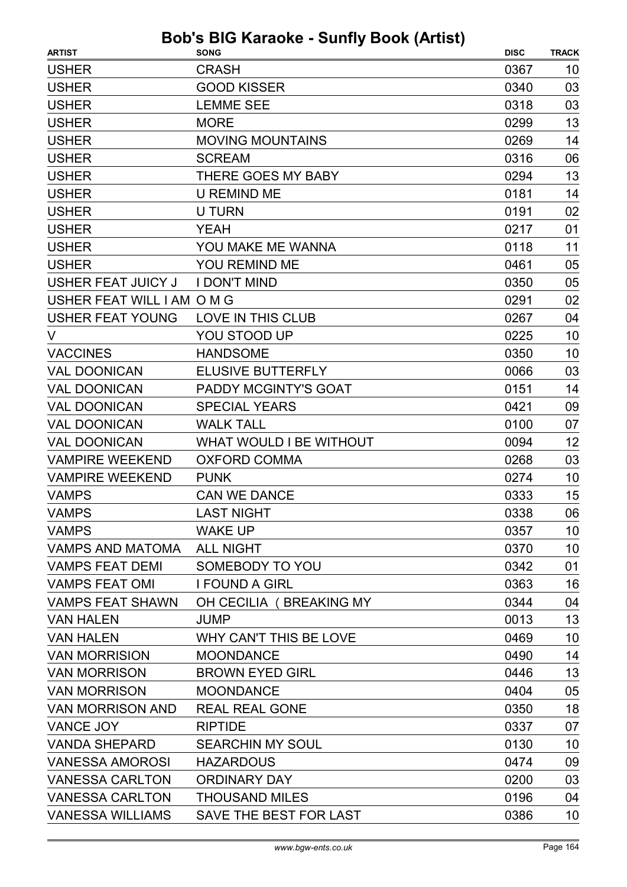| <b>ARTIST</b>              | <b>SONG</b>                    | <b>DISC</b> | <b>TRACK</b> |
|----------------------------|--------------------------------|-------------|--------------|
| <b>USHER</b>               | <b>CRASH</b>                   | 0367        | 10           |
| <b>USHER</b>               | <b>GOOD KISSER</b>             | 0340        | 03           |
| <b>USHER</b>               | <b>LEMME SEE</b>               | 0318        | 03           |
| <b>USHER</b>               | <b>MORE</b>                    | 0299        | 13           |
| <b>USHER</b>               | <b>MOVING MOUNTAINS</b>        | 0269        | 14           |
| <b>USHER</b>               | <b>SCREAM</b>                  | 0316        | 06           |
| <b>USHER</b>               | THERE GOES MY BABY             | 0294        | 13           |
| <b>USHER</b>               | <b>U REMIND ME</b>             | 0181        | 14           |
| <b>USHER</b>               | <b>U TURN</b>                  | 0191        | 02           |
| <b>USHER</b>               | <b>YEAH</b>                    | 0217        | 01           |
| <b>USHER</b>               | YOU MAKE ME WANNA              | 0118        | 11           |
| <b>USHER</b>               | <b>YOU REMIND ME</b>           | 0461        | 05           |
| <b>USHER FEAT JUICY J</b>  | <b>I DON'T MIND</b>            | 0350        | 05           |
| USHER FEAT WILL I AM O M G |                                | 0291        | 02           |
| <b>USHER FEAT YOUNG</b>    | LOVE IN THIS CLUB              | 0267        | 04           |
| V                          | YOU STOOD UP                   | 0225        | 10           |
| <b>VACCINES</b>            | <b>HANDSOME</b>                | 0350        | 10           |
| <b>VAL DOONICAN</b>        | <b>ELUSIVE BUTTERFLY</b>       | 0066        | 03           |
| <b>VAL DOONICAN</b>        | <b>PADDY MCGINTY'S GOAT</b>    | 0151        | 14           |
| <b>VAL DOONICAN</b>        | <b>SPECIAL YEARS</b>           | 0421        | 09           |
| <b>VAL DOONICAN</b>        | <b>WALK TALL</b>               | 0100        | 07           |
| <b>VAL DOONICAN</b>        | <b>WHAT WOULD I BE WITHOUT</b> | 0094        | 12           |
| <b>VAMPIRE WEEKEND</b>     | <b>OXFORD COMMA</b>            | 0268        | 03           |
| <b>VAMPIRE WEEKEND</b>     | <b>PUNK</b>                    | 0274        | 10           |
| <b>VAMPS</b>               | <b>CAN WE DANCE</b>            | 0333        | 15           |
| <b>VAMPS</b>               | <b>LAST NIGHT</b>              | 0338        | 06           |
| <b>VAMPS</b>               | <b>WAKE UP</b>                 | 0357        | 10           |
| <b>VAMPS AND MATOMA</b>    | <b>ALL NIGHT</b>               | 0370        | 10           |
| <b>VAMPS FEAT DEMI</b>     | SOMEBODY TO YOU                | 0342        | 01           |
| <b>VAMPS FEAT OMI</b>      | <b>I FOUND A GIRL</b>          | 0363        | 16           |
| <b>VAMPS FEAT SHAWN</b>    | OH CECILIA (BREAKING MY        | 0344        | 04           |
| <b>VAN HALEN</b>           | <b>JUMP</b>                    | 0013        | 13           |
| <b>VAN HALEN</b>           | WHY CAN'T THIS BE LOVE         | 0469        | 10           |
| <b>VAN MORRISION</b>       | <b>MOONDANCE</b>               | 0490        | 14           |
| <b>VAN MORRISON</b>        | <b>BROWN EYED GIRL</b>         | 0446        | 13           |
| <b>VAN MORRISON</b>        | <b>MOONDANCE</b>               | 0404        | 05           |
| <b>VAN MORRISON AND</b>    | <b>REAL REAL GONE</b>          | 0350        | 18           |
| VANCE JOY                  | <b>RIPTIDE</b>                 | 0337        | 07           |
| <b>VANDA SHEPARD</b>       | <b>SEARCHIN MY SOUL</b>        | 0130        | 10           |
| <b>VANESSA AMOROSI</b>     | <b>HAZARDOUS</b>               | 0474        | 09           |
| <b>VANESSA CARLTON</b>     | <b>ORDINARY DAY</b>            | 0200        | 03           |
| <b>VANESSA CARLTON</b>     | <b>THOUSAND MILES</b>          | 0196        | 04           |
| <b>VANESSA WILLIAMS</b>    | SAVE THE BEST FOR LAST         | 0386        | 10           |
|                            |                                |             |              |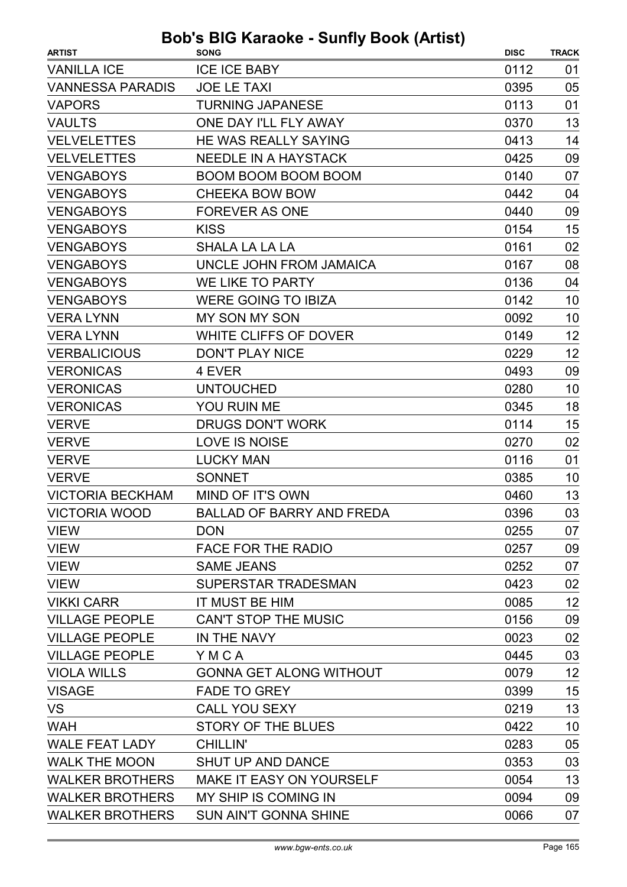| <b>ARTIST</b>           | $100$ Kurdono comp Doon (Antion)<br><b>SONG</b> | <b>DISC</b> | <b>TRACK</b> |
|-------------------------|-------------------------------------------------|-------------|--------------|
| <b>VANILLA ICE</b>      | <b>ICE ICE BABY</b>                             | 0112        | 01           |
| <b>VANNESSA PARADIS</b> | <b>JOE LE TAXI</b>                              | 0395        | 05           |
| <b>VAPORS</b>           | <b>TURNING JAPANESE</b>                         | 0113        | 01           |
| <b>VAULTS</b>           | ONE DAY I'LL FLY AWAY                           | 0370        | 13           |
| <b>VELVELETTES</b>      | HE WAS REALLY SAYING                            | 0413        | 14           |
| <b>VELVELETTES</b>      | <b>NEEDLE IN A HAYSTACK</b>                     | 0425        | 09           |
| <b>VENGABOYS</b>        | <b>BOOM BOOM BOOM BOOM</b>                      | 0140        | 07           |
| <b>VENGABOYS</b>        | <b>CHEEKA BOW BOW</b>                           | 0442        | 04           |
| <b>VENGABOYS</b>        | <b>FOREVER AS ONE</b>                           | 0440        | 09           |
| <b>VENGABOYS</b>        | <b>KISS</b>                                     | 0154        | 15           |
| <b>VENGABOYS</b>        | SHALA LA LA LA                                  | 0161        | 02           |
| <b>VENGABOYS</b>        | UNCLE JOHN FROM JAMAICA                         | 0167        | 08           |
| <b>VENGABOYS</b>        | WE LIKE TO PARTY                                | 0136        | 04           |
| <b>VENGABOYS</b>        | <b>WERE GOING TO IBIZA</b>                      | 0142        | 10           |
| <b>VERA LYNN</b>        | <b>MY SON MY SON</b>                            | 0092        | 10           |
| <b>VERA LYNN</b>        | <b>WHITE CLIFFS OF DOVER</b>                    | 0149        | 12           |
| <b>VERBALICIOUS</b>     | <b>DON'T PLAY NICE</b>                          | 0229        | 12           |
| <b>VERONICAS</b>        | 4 EVER                                          | 0493        | 09           |
| <b>VERONICAS</b>        | <b>UNTOUCHED</b>                                | 0280        | 10           |
| <b>VERONICAS</b>        | YOU RUIN ME                                     | 0345        | 18           |
| <b>VERVE</b>            | <b>DRUGS DON'T WORK</b>                         | 0114        | 15           |
| <b>VERVE</b>            | <b>LOVE IS NOISE</b>                            | 0270        | 02           |
| <b>VERVE</b>            | <b>LUCKY MAN</b>                                | 0116        | 01           |
| <b>VERVE</b>            | <b>SONNET</b>                                   | 0385        | 10           |
| <b>VICTORIA BECKHAM</b> | MIND OF IT'S OWN                                | 0460        | 13           |
| <b>VICTORIA WOOD</b>    | <b>BALLAD OF BARRY AND FREDA</b>                | 0396        | 03           |
| <b>VIEW</b>             | <b>DON</b>                                      | 0255        | 07           |
| <b>VIEW</b>             | <b>FACE FOR THE RADIO</b>                       | 0257        | 09           |
| <b>VIEW</b>             | <b>SAME JEANS</b>                               | 0252        | 07           |
| <b>VIEW</b>             | SUPERSTAR TRADESMAN                             | 0423        | 02           |
| <b>VIKKI CARR</b>       | IT MUST BE HIM                                  | 0085        | 12           |
| <b>VILLAGE PEOPLE</b>   | <b>CAN'T STOP THE MUSIC</b>                     | 0156        | 09           |
| <b>VILLAGE PEOPLE</b>   | IN THE NAVY                                     | 0023        | 02           |
| <b>VILLAGE PEOPLE</b>   | YMCA                                            | 0445        | 03           |
| <b>VIOLA WILLS</b>      | <b>GONNA GET ALONG WITHOUT</b>                  | 0079        | 12           |
| <b>VISAGE</b>           | <b>FADE TO GREY</b>                             | 0399        | 15           |
| <b>VS</b>               | <b>CALL YOU SEXY</b>                            | 0219        | 13           |
| <b>WAH</b>              | <b>STORY OF THE BLUES</b>                       | 0422        | 10           |
| <b>WALE FEAT LADY</b>   | <b>CHILLIN'</b>                                 | 0283        | 05           |
| <b>WALK THE MOON</b>    | <b>SHUT UP AND DANCE</b>                        | 0353        | 03           |
| <b>WALKER BROTHERS</b>  | <b>MAKE IT EASY ON YOURSELF</b>                 | 0054        | 13           |
| <b>WALKER BROTHERS</b>  | MY SHIP IS COMING IN                            | 0094        | 09           |
| <b>WALKER BROTHERS</b>  | <b>SUN AIN'T GONNA SHINE</b>                    | 0066        | 07           |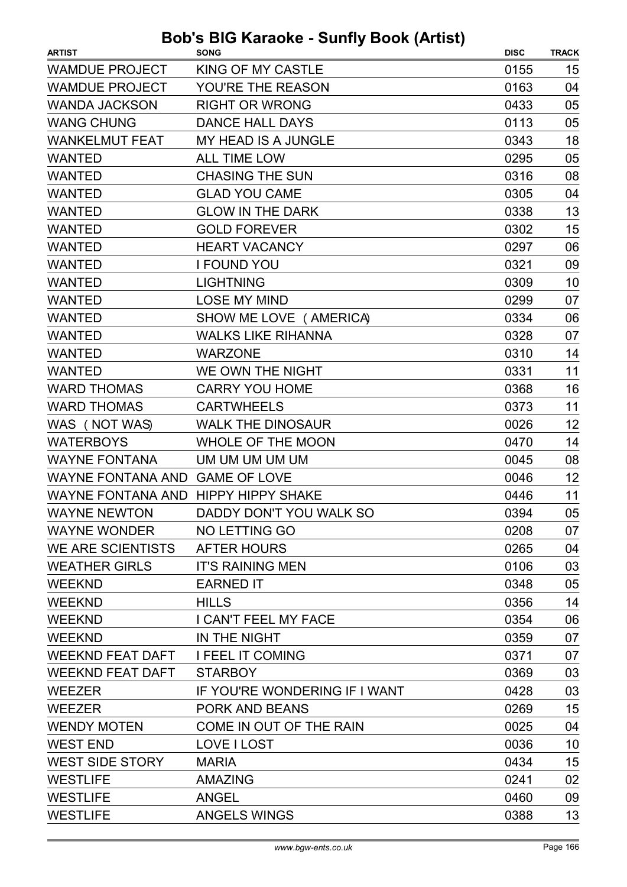| <b>ARTIST</b>                       | . <i>.</i><br><b>SONG</b>     | <b>DISC</b> | <b>TRACK</b> |
|-------------------------------------|-------------------------------|-------------|--------------|
| <b>WAMDUE PROJECT</b>               | <b>KING OF MY CASTLE</b>      | 0155        | 15           |
| <b>WAMDUE PROJECT</b>               | YOU'RE THE REASON             | 0163        | 04           |
| <b>WANDA JACKSON</b>                | <b>RIGHT OR WRONG</b>         | 0433        | 05           |
| <b>WANG CHUNG</b>                   | <b>DANCE HALL DAYS</b>        | 0113        | 05           |
| <b>WANKELMUT FEAT</b>               | MY HEAD IS A JUNGLE           | 0343        | 18           |
| <b>WANTED</b>                       | <b>ALL TIME LOW</b>           | 0295        | 05           |
| <b>WANTED</b>                       | <b>CHASING THE SUN</b>        | 0316        | 08           |
| <b>WANTED</b>                       | <b>GLAD YOU CAME</b>          | 0305        | 04           |
| <b>WANTED</b>                       | <b>GLOW IN THE DARK</b>       | 0338        | 13           |
| <b>WANTED</b>                       | <b>GOLD FOREVER</b>           | 0302        | 15           |
| <b>WANTED</b>                       | <b>HEART VACANCY</b>          | 0297        | 06           |
| <b>WANTED</b>                       | <b>I FOUND YOU</b>            | 0321        | 09           |
| <b>WANTED</b>                       | <b>LIGHTNING</b>              | 0309        | 10           |
| <b>WANTED</b>                       | <b>LOSE MY MIND</b>           | 0299        | 07           |
| <b>WANTED</b>                       | SHOW ME LOVE ( AMERICA)       | 0334        | 06           |
| <b>WANTED</b>                       | <b>WALKS LIKE RIHANNA</b>     | 0328        | 07           |
| <b>WANTED</b>                       | <b>WARZONE</b>                | 0310        | 14           |
| <b>WANTED</b>                       | WE OWN THE NIGHT              | 0331        | 11           |
| <b>WARD THOMAS</b>                  | <b>CARRY YOU HOME</b>         | 0368        | 16           |
| <b>WARD THOMAS</b>                  | <b>CARTWHEELS</b>             | 0373        | 11           |
| WAS (NOT WAS)                       | <b>WALK THE DINOSAUR</b>      | 0026        | 12           |
| <b>WATERBOYS</b>                    | <b>WHOLE OF THE MOON</b>      | 0470        | 14           |
| <b>WAYNE FONTANA</b>                | UM UM UM UM UM                | 0045        | 08           |
| WAYNE FONTANA AND GAME OF LOVE      |                               | 0046        | 12           |
| WAYNE FONTANA AND HIPPY HIPPY SHAKE |                               | 0446        | 11           |
| <b>WAYNE NEWTON</b>                 | DADDY DON'T YOU WALK SO       | 0394        | 05           |
| <b>WAYNE WONDER</b>                 | NO LETTING GO                 | 0208        | 07           |
| WE ARE SCIENTISTS                   | <b>AFTER HOURS</b>            | 0265        | 04           |
| <b>WEATHER GIRLS</b>                | <b>IT'S RAINING MEN</b>       | 0106        | 03           |
| <b>WEEKND</b>                       | <b>EARNED IT</b>              | 0348        | 05           |
| <b>WEEKND</b>                       | <b>HILLS</b>                  | 0356        | 14           |
| <b>WEEKND</b>                       | <b>I CAN'T FEEL MY FACE</b>   | 0354        | 06           |
| <b>WEEKND</b>                       | IN THE NIGHT                  | 0359        | 07           |
| WEEKND FEAT DAFT I FEEL IT COMING   |                               | 0371        | 07           |
| <b>WEEKND FEAT DAFT</b>             | <b>STARBOY</b>                | 0369        | 03           |
| <b>WEEZER</b>                       | IF YOU'RE WONDERING IF I WANT | 0428        | 03           |
| <b>WEEZER</b>                       | PORK AND BEANS                | 0269        | 15           |
| <b>WENDY MOTEN</b>                  | COME IN OUT OF THE RAIN       | 0025        | 04           |
| <b>WEST END</b>                     | LOVE I LOST                   | 0036        | 10           |
| <b>WEST SIDE STORY</b>              | <b>MARIA</b>                  | 0434        | 15           |
| <b>WESTLIFE</b>                     | <b>AMAZING</b>                | 0241        | 02           |
| <b>WESTLIFE</b>                     | <b>ANGEL</b>                  | 0460        | 09           |
| <b>WESTLIFE</b>                     | <b>ANGELS WINGS</b>           | 0388        | 13           |
|                                     |                               |             |              |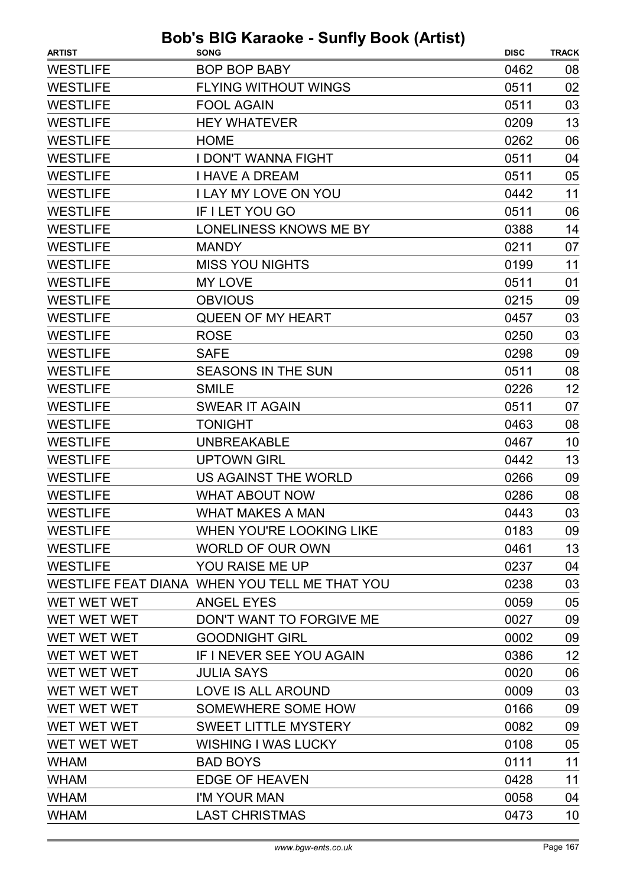| <b>ARTIST</b>      | <b>SONG</b>                                   | <b>DISC</b> | <b>TRACK</b> |
|--------------------|-----------------------------------------------|-------------|--------------|
| <b>WESTLIFE</b>    | <b>BOP BOP BABY</b>                           | 0462        | 08           |
| <b>WESTLIFE</b>    | <b>FLYING WITHOUT WINGS</b>                   | 0511        | 02           |
| <b>WESTLIFE</b>    | <b>FOOL AGAIN</b>                             | 0511        | 03           |
| <b>WESTLIFE</b>    | <b>HEY WHATEVER</b>                           | 0209        | 13           |
| <b>WESTLIFE</b>    | <b>HOME</b>                                   | 0262        | 06           |
| <b>WESTLIFE</b>    | <b>I DON'T WANNA FIGHT</b>                    | 0511        | 04           |
| <b>WESTLIFE</b>    | <b>I HAVE A DREAM</b>                         | 0511        | 05           |
| <b>WESTLIFE</b>    | <b>I LAY MY LOVE ON YOU</b>                   | 0442        | 11           |
| <b>WESTLIFE</b>    | IF I LET YOU GO                               | 0511        | 06           |
| <b>WESTLIFE</b>    | LONELINESS KNOWS ME BY                        | 0388        | 14           |
| <b>WESTLIFE</b>    | <b>MANDY</b>                                  | 0211        | 07           |
| <b>WESTLIFE</b>    | <b>MISS YOU NIGHTS</b>                        | 0199        | 11           |
| <b>WESTLIFE</b>    | MY LOVE                                       | 0511        | 01           |
| <b>WESTLIFE</b>    | <b>OBVIOUS</b>                                | 0215        | 09           |
| <b>WESTLIFE</b>    | <b>QUEEN OF MY HEART</b>                      | 0457        | 03           |
| <b>WESTLIFE</b>    | <b>ROSE</b>                                   | 0250        | 03           |
| <b>WESTLIFE</b>    | <b>SAFE</b>                                   | 0298        | 09           |
| <b>WESTLIFE</b>    | <b>SEASONS IN THE SUN</b>                     | 0511        | 08           |
| <b>WESTLIFE</b>    | <b>SMILE</b>                                  | 0226        | 12           |
| <b>WESTLIFE</b>    | <b>SWEAR IT AGAIN</b>                         | 0511        | 07           |
| <b>WESTLIFE</b>    | <b>TONIGHT</b>                                | 0463        | 08           |
| <b>WESTLIFE</b>    | <b>UNBREAKABLE</b>                            | 0467        | 10           |
| <b>WESTLIFE</b>    | <b>UPTOWN GIRL</b>                            | 0442        | 13           |
| <b>WESTLIFE</b>    | US AGAINST THE WORLD                          | 0266        | 09           |
| <b>WESTLIFE</b>    | <b>WHAT ABOUT NOW</b>                         | 0286        | 08           |
| <b>WESTLIFE</b>    | <b>WHAT MAKES A MAN</b>                       | 0443        | 03           |
| <b>WESTLIFE</b>    | WHEN YOU'RE LOOKING LIKE                      | 0183        | 09           |
| <b>WESTLIFE</b>    | <b>WORLD OF OUR OWN</b>                       | 0461        | 13           |
| <b>WESTLIFE</b>    | YOU RAISE ME UP                               | 0237        | 04           |
|                    | WESTLIFE FEAT DIANA WHEN YOU TELL ME THAT YOU | 0238        | 03           |
| <b>WET WET WET</b> | <b>ANGEL EYES</b>                             | 0059        | 05           |
| WET WET WET        | DON'T WANT TO FORGIVE ME                      | 0027        | 09           |
| WET WET WET        | <b>GOODNIGHT GIRL</b>                         | 0002        | 09           |
| WET WET WET        | IF I NEVER SEE YOU AGAIN                      | 0386        | 12           |
| WET WET WET        | <b>JULIA SAYS</b>                             | 0020        | 06           |
| WET WET WET        | LOVE IS ALL AROUND                            | 0009        | 03           |
| WET WET WET        | SOMEWHERE SOME HOW                            | 0166        | 09           |
| WET WET WET        | <b>SWEET LITTLE MYSTERY</b>                   | 0082        | 09           |
| WET WET WET        | <b>WISHING I WAS LUCKY</b>                    | 0108        | 05           |
| <b>WHAM</b>        | <b>BAD BOYS</b>                               | 0111        | 11           |
| <b>WHAM</b>        | <b>EDGE OF HEAVEN</b>                         | 0428        | 11           |
| <b>WHAM</b>        | I'M YOUR MAN                                  | 0058        | 04           |
| <b>WHAM</b>        | <b>LAST CHRISTMAS</b>                         | 0473        | 10           |
|                    |                                               |             |              |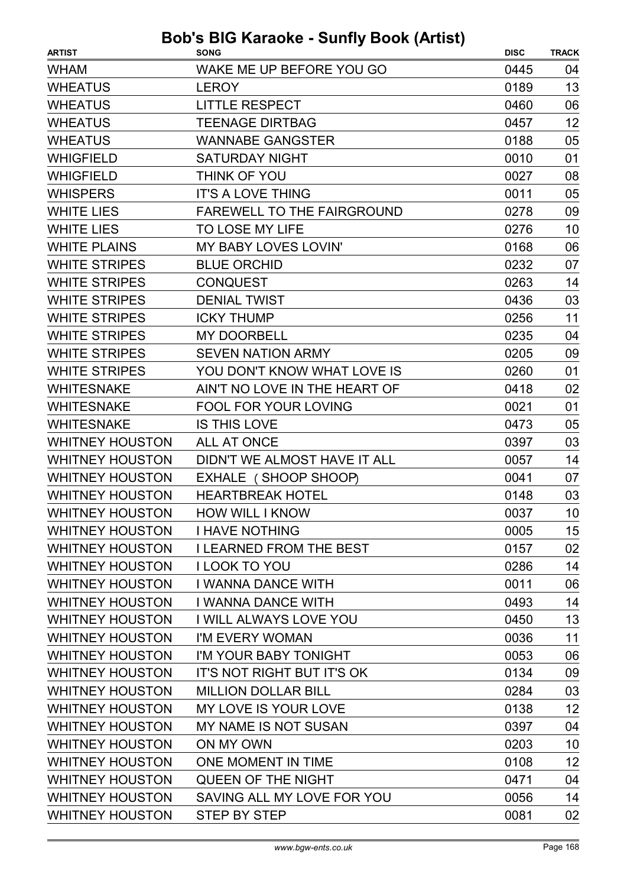| WAKE ME UP BEFORE YOU GO<br>0445<br>04<br>13<br><b>LEROY</b><br>0189<br><b>LITTLE RESPECT</b><br>0460<br>06<br>12<br><b>TEENAGE DIRTBAG</b><br>0457<br><b>WANNABE GANGSTER</b><br>0188<br>05<br><b>SATURDAY NIGHT</b><br>0010<br>01<br>THINK OF YOU<br>08<br>0027<br>05<br><b>IT'S A LOVE THING</b><br>0011<br>FAREWELL TO THE FAIRGROUND<br>0278<br>09<br>TO LOSE MY LIFE<br>0276<br>10<br>MY BABY LOVES LOVIN'<br>0168<br>06<br><b>BLUE ORCHID</b><br>0232<br>07<br>14<br><b>CONQUEST</b><br>0263<br><b>DENIAL TWIST</b><br>0436<br>03<br>11<br><b>ICKY THUMP</b><br>0256<br><b>MY DOORBELL</b><br>04<br>0235<br><b>SEVEN NATION ARMY</b><br>0205<br>09<br>YOU DON'T KNOW WHAT LOVE IS<br>0260<br>01<br>AIN'T NO LOVE IN THE HEART OF<br>0418<br>02<br>FOOL FOR YOUR LOVING<br>0021<br>01<br><b>IS THIS LOVE</b><br>05<br>0473<br><b>ALL AT ONCE</b><br>03<br>0397<br>DIDN'T WE ALMOST HAVE IT ALL<br>14<br>0057<br>EXHALE (SHOOP SHOOP)<br>07<br>0041<br>0148<br>03<br><b>HEARTBREAK HOTEL</b><br>0037<br>10<br><b>HOW WILL I KNOW</b><br><b>I HAVE NOTHING</b><br>15<br>0005<br><b>I LEARNED FROM THE BEST</b><br>02<br>0157<br>14<br><b>I LOOK TO YOU</b><br>0286<br><b>I WANNA DANCE WITH</b><br>0011<br>06<br>14<br>I WANNA DANCE WITH<br>0493<br>I WILL ALWAYS LOVE YOU<br>13<br>0450<br>11<br>I'M EVERY WOMAN<br>0036<br>I'M YOUR BABY TONIGHT<br>0053<br>06<br>IT'S NOT RIGHT BUT IT'S OK<br>0134<br>09<br>03<br><b>MILLION DOLLAR BILL</b><br>0284<br>12<br>MY LOVE IS YOUR LOVE<br>0138<br>MY NAME IS NOT SUSAN<br>04<br>0397<br>ON MY OWN<br>0203<br>10<br>12<br>ONE MOMENT IN TIME<br>0108<br><b>QUEEN OF THE NIGHT</b><br>0471<br>04<br>SAVING ALL MY LOVE FOR YOU<br>14<br>0056 | <b>ARTIST</b>          | <b>SONG</b>         | <b>DISC</b> | <b>TRACK</b> |
|-------------------------------------------------------------------------------------------------------------------------------------------------------------------------------------------------------------------------------------------------------------------------------------------------------------------------------------------------------------------------------------------------------------------------------------------------------------------------------------------------------------------------------------------------------------------------------------------------------------------------------------------------------------------------------------------------------------------------------------------------------------------------------------------------------------------------------------------------------------------------------------------------------------------------------------------------------------------------------------------------------------------------------------------------------------------------------------------------------------------------------------------------------------------------------------------------------------------------------------------------------------------------------------------------------------------------------------------------------------------------------------------------------------------------------------------------------------------------------------------------------------------------------------------------------------------------------------------------------------------------------------------------------------------------------------------------|------------------------|---------------------|-------------|--------------|
|                                                                                                                                                                                                                                                                                                                                                                                                                                                                                                                                                                                                                                                                                                                                                                                                                                                                                                                                                                                                                                                                                                                                                                                                                                                                                                                                                                                                                                                                                                                                                                                                                                                                                                 | <b>WHAM</b>            |                     |             |              |
|                                                                                                                                                                                                                                                                                                                                                                                                                                                                                                                                                                                                                                                                                                                                                                                                                                                                                                                                                                                                                                                                                                                                                                                                                                                                                                                                                                                                                                                                                                                                                                                                                                                                                                 | <b>WHEATUS</b>         |                     |             |              |
|                                                                                                                                                                                                                                                                                                                                                                                                                                                                                                                                                                                                                                                                                                                                                                                                                                                                                                                                                                                                                                                                                                                                                                                                                                                                                                                                                                                                                                                                                                                                                                                                                                                                                                 | <b>WHEATUS</b>         |                     |             |              |
|                                                                                                                                                                                                                                                                                                                                                                                                                                                                                                                                                                                                                                                                                                                                                                                                                                                                                                                                                                                                                                                                                                                                                                                                                                                                                                                                                                                                                                                                                                                                                                                                                                                                                                 | <b>WHEATUS</b>         |                     |             |              |
|                                                                                                                                                                                                                                                                                                                                                                                                                                                                                                                                                                                                                                                                                                                                                                                                                                                                                                                                                                                                                                                                                                                                                                                                                                                                                                                                                                                                                                                                                                                                                                                                                                                                                                 | <b>WHEATUS</b>         |                     |             |              |
|                                                                                                                                                                                                                                                                                                                                                                                                                                                                                                                                                                                                                                                                                                                                                                                                                                                                                                                                                                                                                                                                                                                                                                                                                                                                                                                                                                                                                                                                                                                                                                                                                                                                                                 | <b>WHIGFIELD</b>       |                     |             |              |
|                                                                                                                                                                                                                                                                                                                                                                                                                                                                                                                                                                                                                                                                                                                                                                                                                                                                                                                                                                                                                                                                                                                                                                                                                                                                                                                                                                                                                                                                                                                                                                                                                                                                                                 | <b>WHIGFIELD</b>       |                     |             |              |
|                                                                                                                                                                                                                                                                                                                                                                                                                                                                                                                                                                                                                                                                                                                                                                                                                                                                                                                                                                                                                                                                                                                                                                                                                                                                                                                                                                                                                                                                                                                                                                                                                                                                                                 | <b>WHISPERS</b>        |                     |             |              |
|                                                                                                                                                                                                                                                                                                                                                                                                                                                                                                                                                                                                                                                                                                                                                                                                                                                                                                                                                                                                                                                                                                                                                                                                                                                                                                                                                                                                                                                                                                                                                                                                                                                                                                 | <b>WHITE LIES</b>      |                     |             |              |
|                                                                                                                                                                                                                                                                                                                                                                                                                                                                                                                                                                                                                                                                                                                                                                                                                                                                                                                                                                                                                                                                                                                                                                                                                                                                                                                                                                                                                                                                                                                                                                                                                                                                                                 | <b>WHITE LIES</b>      |                     |             |              |
|                                                                                                                                                                                                                                                                                                                                                                                                                                                                                                                                                                                                                                                                                                                                                                                                                                                                                                                                                                                                                                                                                                                                                                                                                                                                                                                                                                                                                                                                                                                                                                                                                                                                                                 | <b>WHITE PLAINS</b>    |                     |             |              |
|                                                                                                                                                                                                                                                                                                                                                                                                                                                                                                                                                                                                                                                                                                                                                                                                                                                                                                                                                                                                                                                                                                                                                                                                                                                                                                                                                                                                                                                                                                                                                                                                                                                                                                 | <b>WHITE STRIPES</b>   |                     |             |              |
|                                                                                                                                                                                                                                                                                                                                                                                                                                                                                                                                                                                                                                                                                                                                                                                                                                                                                                                                                                                                                                                                                                                                                                                                                                                                                                                                                                                                                                                                                                                                                                                                                                                                                                 | <b>WHITE STRIPES</b>   |                     |             |              |
|                                                                                                                                                                                                                                                                                                                                                                                                                                                                                                                                                                                                                                                                                                                                                                                                                                                                                                                                                                                                                                                                                                                                                                                                                                                                                                                                                                                                                                                                                                                                                                                                                                                                                                 | <b>WHITE STRIPES</b>   |                     |             |              |
|                                                                                                                                                                                                                                                                                                                                                                                                                                                                                                                                                                                                                                                                                                                                                                                                                                                                                                                                                                                                                                                                                                                                                                                                                                                                                                                                                                                                                                                                                                                                                                                                                                                                                                 | <b>WHITE STRIPES</b>   |                     |             |              |
|                                                                                                                                                                                                                                                                                                                                                                                                                                                                                                                                                                                                                                                                                                                                                                                                                                                                                                                                                                                                                                                                                                                                                                                                                                                                                                                                                                                                                                                                                                                                                                                                                                                                                                 | <b>WHITE STRIPES</b>   |                     |             |              |
|                                                                                                                                                                                                                                                                                                                                                                                                                                                                                                                                                                                                                                                                                                                                                                                                                                                                                                                                                                                                                                                                                                                                                                                                                                                                                                                                                                                                                                                                                                                                                                                                                                                                                                 | <b>WHITE STRIPES</b>   |                     |             |              |
|                                                                                                                                                                                                                                                                                                                                                                                                                                                                                                                                                                                                                                                                                                                                                                                                                                                                                                                                                                                                                                                                                                                                                                                                                                                                                                                                                                                                                                                                                                                                                                                                                                                                                                 | <b>WHITE STRIPES</b>   |                     |             |              |
|                                                                                                                                                                                                                                                                                                                                                                                                                                                                                                                                                                                                                                                                                                                                                                                                                                                                                                                                                                                                                                                                                                                                                                                                                                                                                                                                                                                                                                                                                                                                                                                                                                                                                                 | <b>WHITESNAKE</b>      |                     |             |              |
|                                                                                                                                                                                                                                                                                                                                                                                                                                                                                                                                                                                                                                                                                                                                                                                                                                                                                                                                                                                                                                                                                                                                                                                                                                                                                                                                                                                                                                                                                                                                                                                                                                                                                                 | <b>WHITESNAKE</b>      |                     |             |              |
|                                                                                                                                                                                                                                                                                                                                                                                                                                                                                                                                                                                                                                                                                                                                                                                                                                                                                                                                                                                                                                                                                                                                                                                                                                                                                                                                                                                                                                                                                                                                                                                                                                                                                                 | <b>WHITESNAKE</b>      |                     |             |              |
|                                                                                                                                                                                                                                                                                                                                                                                                                                                                                                                                                                                                                                                                                                                                                                                                                                                                                                                                                                                                                                                                                                                                                                                                                                                                                                                                                                                                                                                                                                                                                                                                                                                                                                 | <b>WHITNEY HOUSTON</b> |                     |             |              |
|                                                                                                                                                                                                                                                                                                                                                                                                                                                                                                                                                                                                                                                                                                                                                                                                                                                                                                                                                                                                                                                                                                                                                                                                                                                                                                                                                                                                                                                                                                                                                                                                                                                                                                 | <b>WHITNEY HOUSTON</b> |                     |             |              |
|                                                                                                                                                                                                                                                                                                                                                                                                                                                                                                                                                                                                                                                                                                                                                                                                                                                                                                                                                                                                                                                                                                                                                                                                                                                                                                                                                                                                                                                                                                                                                                                                                                                                                                 | <b>WHITNEY HOUSTON</b> |                     |             |              |
|                                                                                                                                                                                                                                                                                                                                                                                                                                                                                                                                                                                                                                                                                                                                                                                                                                                                                                                                                                                                                                                                                                                                                                                                                                                                                                                                                                                                                                                                                                                                                                                                                                                                                                 | <b>WHITNEY HOUSTON</b> |                     |             |              |
|                                                                                                                                                                                                                                                                                                                                                                                                                                                                                                                                                                                                                                                                                                                                                                                                                                                                                                                                                                                                                                                                                                                                                                                                                                                                                                                                                                                                                                                                                                                                                                                                                                                                                                 | <b>WHITNEY HOUSTON</b> |                     |             |              |
|                                                                                                                                                                                                                                                                                                                                                                                                                                                                                                                                                                                                                                                                                                                                                                                                                                                                                                                                                                                                                                                                                                                                                                                                                                                                                                                                                                                                                                                                                                                                                                                                                                                                                                 | <b>WHITNEY HOUSTON</b> |                     |             |              |
|                                                                                                                                                                                                                                                                                                                                                                                                                                                                                                                                                                                                                                                                                                                                                                                                                                                                                                                                                                                                                                                                                                                                                                                                                                                                                                                                                                                                                                                                                                                                                                                                                                                                                                 | <b>WHITNEY HOUSTON</b> |                     |             |              |
|                                                                                                                                                                                                                                                                                                                                                                                                                                                                                                                                                                                                                                                                                                                                                                                                                                                                                                                                                                                                                                                                                                                                                                                                                                                                                                                                                                                                                                                                                                                                                                                                                                                                                                 | <b>WHITNEY HOUSTON</b> |                     |             |              |
|                                                                                                                                                                                                                                                                                                                                                                                                                                                                                                                                                                                                                                                                                                                                                                                                                                                                                                                                                                                                                                                                                                                                                                                                                                                                                                                                                                                                                                                                                                                                                                                                                                                                                                 | <b>WHITNEY HOUSTON</b> |                     |             |              |
|                                                                                                                                                                                                                                                                                                                                                                                                                                                                                                                                                                                                                                                                                                                                                                                                                                                                                                                                                                                                                                                                                                                                                                                                                                                                                                                                                                                                                                                                                                                                                                                                                                                                                                 | <b>WHITNEY HOUSTON</b> |                     |             |              |
|                                                                                                                                                                                                                                                                                                                                                                                                                                                                                                                                                                                                                                                                                                                                                                                                                                                                                                                                                                                                                                                                                                                                                                                                                                                                                                                                                                                                                                                                                                                                                                                                                                                                                                 | <b>WHITNEY HOUSTON</b> |                     |             |              |
|                                                                                                                                                                                                                                                                                                                                                                                                                                                                                                                                                                                                                                                                                                                                                                                                                                                                                                                                                                                                                                                                                                                                                                                                                                                                                                                                                                                                                                                                                                                                                                                                                                                                                                 | <b>WHITNEY HOUSTON</b> |                     |             |              |
|                                                                                                                                                                                                                                                                                                                                                                                                                                                                                                                                                                                                                                                                                                                                                                                                                                                                                                                                                                                                                                                                                                                                                                                                                                                                                                                                                                                                                                                                                                                                                                                                                                                                                                 | <b>WHITNEY HOUSTON</b> |                     |             |              |
|                                                                                                                                                                                                                                                                                                                                                                                                                                                                                                                                                                                                                                                                                                                                                                                                                                                                                                                                                                                                                                                                                                                                                                                                                                                                                                                                                                                                                                                                                                                                                                                                                                                                                                 | <b>WHITNEY HOUSTON</b> |                     |             |              |
|                                                                                                                                                                                                                                                                                                                                                                                                                                                                                                                                                                                                                                                                                                                                                                                                                                                                                                                                                                                                                                                                                                                                                                                                                                                                                                                                                                                                                                                                                                                                                                                                                                                                                                 | <b>WHITNEY HOUSTON</b> |                     |             |              |
|                                                                                                                                                                                                                                                                                                                                                                                                                                                                                                                                                                                                                                                                                                                                                                                                                                                                                                                                                                                                                                                                                                                                                                                                                                                                                                                                                                                                                                                                                                                                                                                                                                                                                                 | <b>WHITNEY HOUSTON</b> |                     |             |              |
|                                                                                                                                                                                                                                                                                                                                                                                                                                                                                                                                                                                                                                                                                                                                                                                                                                                                                                                                                                                                                                                                                                                                                                                                                                                                                                                                                                                                                                                                                                                                                                                                                                                                                                 | <b>WHITNEY HOUSTON</b> |                     |             |              |
|                                                                                                                                                                                                                                                                                                                                                                                                                                                                                                                                                                                                                                                                                                                                                                                                                                                                                                                                                                                                                                                                                                                                                                                                                                                                                                                                                                                                                                                                                                                                                                                                                                                                                                 | <b>WHITNEY HOUSTON</b> |                     |             |              |
|                                                                                                                                                                                                                                                                                                                                                                                                                                                                                                                                                                                                                                                                                                                                                                                                                                                                                                                                                                                                                                                                                                                                                                                                                                                                                                                                                                                                                                                                                                                                                                                                                                                                                                 | <b>WHITNEY HOUSTON</b> |                     |             |              |
|                                                                                                                                                                                                                                                                                                                                                                                                                                                                                                                                                                                                                                                                                                                                                                                                                                                                                                                                                                                                                                                                                                                                                                                                                                                                                                                                                                                                                                                                                                                                                                                                                                                                                                 | <b>WHITNEY HOUSTON</b> |                     |             |              |
|                                                                                                                                                                                                                                                                                                                                                                                                                                                                                                                                                                                                                                                                                                                                                                                                                                                                                                                                                                                                                                                                                                                                                                                                                                                                                                                                                                                                                                                                                                                                                                                                                                                                                                 | <b>WHITNEY HOUSTON</b> |                     |             |              |
|                                                                                                                                                                                                                                                                                                                                                                                                                                                                                                                                                                                                                                                                                                                                                                                                                                                                                                                                                                                                                                                                                                                                                                                                                                                                                                                                                                                                                                                                                                                                                                                                                                                                                                 | <b>WHITNEY HOUSTON</b> | <b>STEP BY STEP</b> | 0081        | 02           |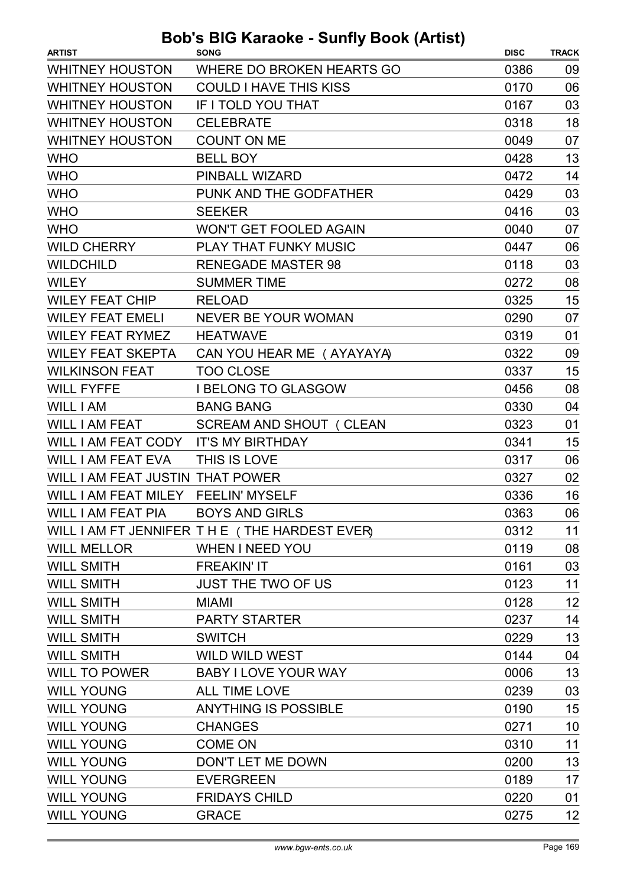| <b>ARTIST</b>                    | , <i>.</i> .<br><b>SONG</b>                  | <b>DISC</b> | <b>TRACK</b> |
|----------------------------------|----------------------------------------------|-------------|--------------|
| <b>WHITNEY HOUSTON</b>           | WHERE DO BROKEN HEARTS GO                    | 0386        | 09           |
| <b>WHITNEY HOUSTON</b>           | <b>COULD I HAVE THIS KISS</b>                | 0170        | 06           |
| <b>WHITNEY HOUSTON</b>           | IF I TOLD YOU THAT                           | 0167        | 03           |
| <b>WHITNEY HOUSTON</b>           | <b>CELEBRATE</b>                             | 0318        | 18           |
| <b>WHITNEY HOUSTON</b>           | <b>COUNT ON ME</b>                           | 0049        | 07           |
| <b>WHO</b>                       | <b>BELL BOY</b>                              | 0428        | 13           |
| <b>WHO</b>                       | PINBALL WIZARD                               | 0472        | 14           |
| <b>WHO</b>                       | PUNK AND THE GODFATHER                       | 0429        | 03           |
| <b>WHO</b>                       | <b>SEEKER</b>                                | 0416        | 03           |
| <b>WHO</b>                       | <b>WON'T GET FOOLED AGAIN</b>                | 0040        | 07           |
| <b>WILD CHERRY</b>               | PLAY THAT FUNKY MUSIC                        | 0447        | 06           |
| <b>WILDCHILD</b>                 | <b>RENEGADE MASTER 98</b>                    | 0118        | 03           |
| <b>WILEY</b>                     | <b>SUMMER TIME</b>                           | 0272        | 08           |
| <b>WILEY FEAT CHIP</b>           | <b>RELOAD</b>                                | 0325        | 15           |
| <b>WILEY FEAT EMELI</b>          | <b>NEVER BE YOUR WOMAN</b>                   | 0290        | 07           |
| <b>WILEY FEAT RYMEZ</b>          | <b>HEATWAVE</b>                              | 0319        | 01           |
| <b>WILEY FEAT SKEPTA</b>         | CAN YOU HEAR ME (AYAYAYA)                    | 0322        | 09           |
| <b>WILKINSON FEAT</b>            | <b>TOO CLOSE</b>                             | 0337        | 15           |
| <b>WILL FYFFE</b>                | <b>I BELONG TO GLASGOW</b>                   | 0456        | 08           |
| WILL I AM                        | <b>BANG BANG</b>                             | 0330        | 04           |
| <b>WILL I AM FEAT</b>            | SCREAM AND SHOUT (CLEAN                      | 0323        | 01           |
| WILL I AM FEAT CODY              | <b>IT'S MY BIRTHDAY</b>                      | 0341        | 15           |
| <b>WILL I AM FEAT EVA</b>        | THIS IS LOVE                                 | 0317        | 06           |
| WILL I AM FEAT JUSTIN THAT POWER |                                              | 0327        | 02           |
| WILL I AM FEAT MILEY             | <b>FEELIN' MYSELF</b>                        | 0336        | 16           |
| WILL I AM FEAT PIA               | <b>BOYS AND GIRLS</b>                        | 0363        | 06           |
|                                  | WILL I AM FT JENNIFER THE (THE HARDEST EVER) | 0312        | 11           |
| <b>WILL MELLOR</b>               | <b>WHEN I NEED YOU</b>                       | 0119        | 08           |
| <b>WILL SMITH</b>                | <b>FREAKIN' IT</b>                           | 0161        | 03           |
| <b>WILL SMITH</b>                | <b>JUST THE TWO OF US</b>                    | 0123        | 11           |
| <b>WILL SMITH</b>                | <b>MIAMI</b>                                 | 0128        | 12           |
| <b>WILL SMITH</b>                | <b>PARTY STARTER</b>                         | 0237        | 14           |
| <b>WILL SMITH</b>                | <b>SWITCH</b>                                | 0229        | 13           |
| <b>WILL SMITH</b>                | <b>WILD WILD WEST</b>                        | 0144        | 04           |
| <b>WILL TO POWER</b>             | <b>BABY I LOVE YOUR WAY</b>                  | 0006        | 13           |
| <b>WILL YOUNG</b>                | <b>ALL TIME LOVE</b>                         | 0239        | 03           |
| <b>WILL YOUNG</b>                | <b>ANYTHING IS POSSIBLE</b>                  | 0190        | 15           |
| <b>WILL YOUNG</b>                | <b>CHANGES</b>                               | 0271        | 10           |
| <b>WILL YOUNG</b>                | <b>COME ON</b>                               | 0310        | 11           |
| <b>WILL YOUNG</b>                | DON'T LET ME DOWN                            | 0200        | 13           |
| <b>WILL YOUNG</b>                | <b>EVERGREEN</b>                             | 0189        | 17           |
| <b>WILL YOUNG</b>                | <b>FRIDAYS CHILD</b>                         | 0220        | 01           |
| <b>WILL YOUNG</b>                | <b>GRACE</b>                                 | 0275        | 12           |
|                                  |                                              |             |              |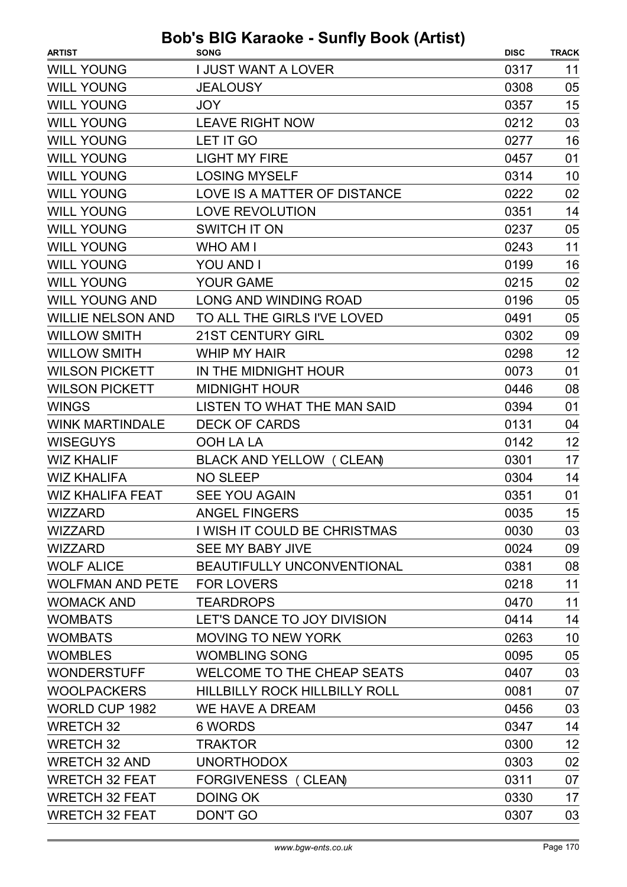| <b>DISC</b><br><b>ARTIST</b><br><b>SONG</b><br><b>TRACK</b><br><b>WILL YOUNG</b><br><b>I JUST WANT A LOVER</b><br>0317<br>11<br><b>WILL YOUNG</b><br>05<br><b>JEALOUSY</b><br>0308<br>15<br><b>WILL YOUNG</b><br>0357<br><b>JOY</b><br>03<br><b>WILL YOUNG</b><br><b>LEAVE RIGHT NOW</b><br>0212<br><b>WILL YOUNG</b><br>LET IT GO<br>16<br>0277<br><b>WILL YOUNG</b><br><b>LIGHT MY FIRE</b><br>01<br>0457<br><b>LOSING MYSELF</b><br><b>WILL YOUNG</b><br>0314<br>10<br><b>WILL YOUNG</b><br>LOVE IS A MATTER OF DISTANCE<br>0222<br>02<br><b>WILL YOUNG</b><br><b>LOVE REVOLUTION</b><br>14<br>0351<br><b>WILL YOUNG</b><br>05<br><b>SWITCH IT ON</b><br>0237<br><b>WILL YOUNG</b><br>11<br><b>WHO AM I</b><br>0243<br><b>WILL YOUNG</b><br>16<br>YOU AND I<br>0199<br><b>WILL YOUNG</b><br>02<br><b>YOUR GAME</b><br>0215<br>05<br><b>WILL YOUNG AND</b><br><b>LONG AND WINDING ROAD</b><br>0196<br><b>WILLIE NELSON AND</b><br>TO ALL THE GIRLS I'VE LOVED<br>05<br>0491<br><b>WILLOW SMITH</b><br><b>21ST CENTURY GIRL</b><br>0302<br>09<br>12<br><b>WILLOW SMITH</b><br><b>WHIP MY HAIR</b><br>0298<br><b>WILSON PICKETT</b><br>IN THE MIDNIGHT HOUR<br>0073<br>01<br>08<br><b>WILSON PICKETT</b><br><b>MIDNIGHT HOUR</b><br>0446<br><b>WINGS</b><br>01<br>LISTEN TO WHAT THE MAN SAID<br>0394<br><b>WINK MARTINDALE</b><br><b>DECK OF CARDS</b><br>0131<br>04<br>12<br><b>WISEGUYS</b><br>OOH LA LA<br>0142<br>17<br><b>WIZ KHALIF</b><br>BLACK AND YELLOW (CLEAN)<br>0301 |
|------------------------------------------------------------------------------------------------------------------------------------------------------------------------------------------------------------------------------------------------------------------------------------------------------------------------------------------------------------------------------------------------------------------------------------------------------------------------------------------------------------------------------------------------------------------------------------------------------------------------------------------------------------------------------------------------------------------------------------------------------------------------------------------------------------------------------------------------------------------------------------------------------------------------------------------------------------------------------------------------------------------------------------------------------------------------------------------------------------------------------------------------------------------------------------------------------------------------------------------------------------------------------------------------------------------------------------------------------------------------------------------------------------------------------------------------------------------------------------|
|                                                                                                                                                                                                                                                                                                                                                                                                                                                                                                                                                                                                                                                                                                                                                                                                                                                                                                                                                                                                                                                                                                                                                                                                                                                                                                                                                                                                                                                                                    |
|                                                                                                                                                                                                                                                                                                                                                                                                                                                                                                                                                                                                                                                                                                                                                                                                                                                                                                                                                                                                                                                                                                                                                                                                                                                                                                                                                                                                                                                                                    |
|                                                                                                                                                                                                                                                                                                                                                                                                                                                                                                                                                                                                                                                                                                                                                                                                                                                                                                                                                                                                                                                                                                                                                                                                                                                                                                                                                                                                                                                                                    |
|                                                                                                                                                                                                                                                                                                                                                                                                                                                                                                                                                                                                                                                                                                                                                                                                                                                                                                                                                                                                                                                                                                                                                                                                                                                                                                                                                                                                                                                                                    |
|                                                                                                                                                                                                                                                                                                                                                                                                                                                                                                                                                                                                                                                                                                                                                                                                                                                                                                                                                                                                                                                                                                                                                                                                                                                                                                                                                                                                                                                                                    |
|                                                                                                                                                                                                                                                                                                                                                                                                                                                                                                                                                                                                                                                                                                                                                                                                                                                                                                                                                                                                                                                                                                                                                                                                                                                                                                                                                                                                                                                                                    |
|                                                                                                                                                                                                                                                                                                                                                                                                                                                                                                                                                                                                                                                                                                                                                                                                                                                                                                                                                                                                                                                                                                                                                                                                                                                                                                                                                                                                                                                                                    |
|                                                                                                                                                                                                                                                                                                                                                                                                                                                                                                                                                                                                                                                                                                                                                                                                                                                                                                                                                                                                                                                                                                                                                                                                                                                                                                                                                                                                                                                                                    |
|                                                                                                                                                                                                                                                                                                                                                                                                                                                                                                                                                                                                                                                                                                                                                                                                                                                                                                                                                                                                                                                                                                                                                                                                                                                                                                                                                                                                                                                                                    |
|                                                                                                                                                                                                                                                                                                                                                                                                                                                                                                                                                                                                                                                                                                                                                                                                                                                                                                                                                                                                                                                                                                                                                                                                                                                                                                                                                                                                                                                                                    |
|                                                                                                                                                                                                                                                                                                                                                                                                                                                                                                                                                                                                                                                                                                                                                                                                                                                                                                                                                                                                                                                                                                                                                                                                                                                                                                                                                                                                                                                                                    |
|                                                                                                                                                                                                                                                                                                                                                                                                                                                                                                                                                                                                                                                                                                                                                                                                                                                                                                                                                                                                                                                                                                                                                                                                                                                                                                                                                                                                                                                                                    |
|                                                                                                                                                                                                                                                                                                                                                                                                                                                                                                                                                                                                                                                                                                                                                                                                                                                                                                                                                                                                                                                                                                                                                                                                                                                                                                                                                                                                                                                                                    |
|                                                                                                                                                                                                                                                                                                                                                                                                                                                                                                                                                                                                                                                                                                                                                                                                                                                                                                                                                                                                                                                                                                                                                                                                                                                                                                                                                                                                                                                                                    |
|                                                                                                                                                                                                                                                                                                                                                                                                                                                                                                                                                                                                                                                                                                                                                                                                                                                                                                                                                                                                                                                                                                                                                                                                                                                                                                                                                                                                                                                                                    |
|                                                                                                                                                                                                                                                                                                                                                                                                                                                                                                                                                                                                                                                                                                                                                                                                                                                                                                                                                                                                                                                                                                                                                                                                                                                                                                                                                                                                                                                                                    |
|                                                                                                                                                                                                                                                                                                                                                                                                                                                                                                                                                                                                                                                                                                                                                                                                                                                                                                                                                                                                                                                                                                                                                                                                                                                                                                                                                                                                                                                                                    |
|                                                                                                                                                                                                                                                                                                                                                                                                                                                                                                                                                                                                                                                                                                                                                                                                                                                                                                                                                                                                                                                                                                                                                                                                                                                                                                                                                                                                                                                                                    |
|                                                                                                                                                                                                                                                                                                                                                                                                                                                                                                                                                                                                                                                                                                                                                                                                                                                                                                                                                                                                                                                                                                                                                                                                                                                                                                                                                                                                                                                                                    |
|                                                                                                                                                                                                                                                                                                                                                                                                                                                                                                                                                                                                                                                                                                                                                                                                                                                                                                                                                                                                                                                                                                                                                                                                                                                                                                                                                                                                                                                                                    |
|                                                                                                                                                                                                                                                                                                                                                                                                                                                                                                                                                                                                                                                                                                                                                                                                                                                                                                                                                                                                                                                                                                                                                                                                                                                                                                                                                                                                                                                                                    |
|                                                                                                                                                                                                                                                                                                                                                                                                                                                                                                                                                                                                                                                                                                                                                                                                                                                                                                                                                                                                                                                                                                                                                                                                                                                                                                                                                                                                                                                                                    |
|                                                                                                                                                                                                                                                                                                                                                                                                                                                                                                                                                                                                                                                                                                                                                                                                                                                                                                                                                                                                                                                                                                                                                                                                                                                                                                                                                                                                                                                                                    |
| 14<br><b>WIZ KHALIFA</b><br><b>NO SLEEP</b><br>0304                                                                                                                                                                                                                                                                                                                                                                                                                                                                                                                                                                                                                                                                                                                                                                                                                                                                                                                                                                                                                                                                                                                                                                                                                                                                                                                                                                                                                                |
| <b>WIZ KHALIFA FEAT</b><br><b>SEE YOU AGAIN</b><br>0351<br>01                                                                                                                                                                                                                                                                                                                                                                                                                                                                                                                                                                                                                                                                                                                                                                                                                                                                                                                                                                                                                                                                                                                                                                                                                                                                                                                                                                                                                      |
| <b>WIZZARD</b><br>0035<br>15<br><b>ANGEL FINGERS</b>                                                                                                                                                                                                                                                                                                                                                                                                                                                                                                                                                                                                                                                                                                                                                                                                                                                                                                                                                                                                                                                                                                                                                                                                                                                                                                                                                                                                                               |
| I WISH IT COULD BE CHRISTMAS<br>03<br><b>WIZZARD</b><br>0030                                                                                                                                                                                                                                                                                                                                                                                                                                                                                                                                                                                                                                                                                                                                                                                                                                                                                                                                                                                                                                                                                                                                                                                                                                                                                                                                                                                                                       |
| 09<br><b>WIZZARD</b><br><b>SEE MY BABY JIVE</b><br>0024                                                                                                                                                                                                                                                                                                                                                                                                                                                                                                                                                                                                                                                                                                                                                                                                                                                                                                                                                                                                                                                                                                                                                                                                                                                                                                                                                                                                                            |
| <b>WOLF ALICE</b><br>BEAUTIFULLY UNCONVENTIONAL<br>0381<br>08                                                                                                                                                                                                                                                                                                                                                                                                                                                                                                                                                                                                                                                                                                                                                                                                                                                                                                                                                                                                                                                                                                                                                                                                                                                                                                                                                                                                                      |
| 11<br><b>WOLFMAN AND PETE</b><br>0218<br><b>FOR LOVERS</b>                                                                                                                                                                                                                                                                                                                                                                                                                                                                                                                                                                                                                                                                                                                                                                                                                                                                                                                                                                                                                                                                                                                                                                                                                                                                                                                                                                                                                         |
| 11<br><b>WOMACK AND</b><br><b>TEARDROPS</b><br>0470                                                                                                                                                                                                                                                                                                                                                                                                                                                                                                                                                                                                                                                                                                                                                                                                                                                                                                                                                                                                                                                                                                                                                                                                                                                                                                                                                                                                                                |
| LET'S DANCE TO JOY DIVISION<br>14<br><b>WOMBATS</b><br>0414                                                                                                                                                                                                                                                                                                                                                                                                                                                                                                                                                                                                                                                                                                                                                                                                                                                                                                                                                                                                                                                                                                                                                                                                                                                                                                                                                                                                                        |
| <b>MOVING TO NEW YORK</b><br>10<br><b>WOMBATS</b><br>0263                                                                                                                                                                                                                                                                                                                                                                                                                                                                                                                                                                                                                                                                                                                                                                                                                                                                                                                                                                                                                                                                                                                                                                                                                                                                                                                                                                                                                          |
| <b>WOMBLES</b><br><b>WOMBLING SONG</b><br>05<br>0095                                                                                                                                                                                                                                                                                                                                                                                                                                                                                                                                                                                                                                                                                                                                                                                                                                                                                                                                                                                                                                                                                                                                                                                                                                                                                                                                                                                                                               |
| <b>WELCOME TO THE CHEAP SEATS</b><br>03<br><b>WONDERSTUFF</b><br>0407                                                                                                                                                                                                                                                                                                                                                                                                                                                                                                                                                                                                                                                                                                                                                                                                                                                                                                                                                                                                                                                                                                                                                                                                                                                                                                                                                                                                              |
| <b>WOOLPACKERS</b><br><b>HILLBILLY ROCK HILLBILLY ROLL</b><br>0081<br>07                                                                                                                                                                                                                                                                                                                                                                                                                                                                                                                                                                                                                                                                                                                                                                                                                                                                                                                                                                                                                                                                                                                                                                                                                                                                                                                                                                                                           |
| <b>WORLD CUP 1982</b><br>WE HAVE A DREAM<br>03<br>0456                                                                                                                                                                                                                                                                                                                                                                                                                                                                                                                                                                                                                                                                                                                                                                                                                                                                                                                                                                                                                                                                                                                                                                                                                                                                                                                                                                                                                             |
| 14<br><b>WRETCH 32</b><br>6 WORDS<br>0347                                                                                                                                                                                                                                                                                                                                                                                                                                                                                                                                                                                                                                                                                                                                                                                                                                                                                                                                                                                                                                                                                                                                                                                                                                                                                                                                                                                                                                          |
| 12<br><b>WRETCH 32</b><br><b>TRAKTOR</b><br>0300                                                                                                                                                                                                                                                                                                                                                                                                                                                                                                                                                                                                                                                                                                                                                                                                                                                                                                                                                                                                                                                                                                                                                                                                                                                                                                                                                                                                                                   |
| 02<br><b>WRETCH 32 AND</b><br><b>UNORTHODOX</b><br>0303                                                                                                                                                                                                                                                                                                                                                                                                                                                                                                                                                                                                                                                                                                                                                                                                                                                                                                                                                                                                                                                                                                                                                                                                                                                                                                                                                                                                                            |
| <b>WRETCH 32 FEAT</b><br>FORGIVENESS (CLEAN)<br>0311<br>07                                                                                                                                                                                                                                                                                                                                                                                                                                                                                                                                                                                                                                                                                                                                                                                                                                                                                                                                                                                                                                                                                                                                                                                                                                                                                                                                                                                                                         |
| <b>WRETCH 32 FEAT</b><br>DOING OK<br>0330<br>17                                                                                                                                                                                                                                                                                                                                                                                                                                                                                                                                                                                                                                                                                                                                                                                                                                                                                                                                                                                                                                                                                                                                                                                                                                                                                                                                                                                                                                    |
| <b>WRETCH 32 FEAT</b><br>DON'T GO<br>0307<br>03                                                                                                                                                                                                                                                                                                                                                                                                                                                                                                                                                                                                                                                                                                                                                                                                                                                                                                                                                                                                                                                                                                                                                                                                                                                                                                                                                                                                                                    |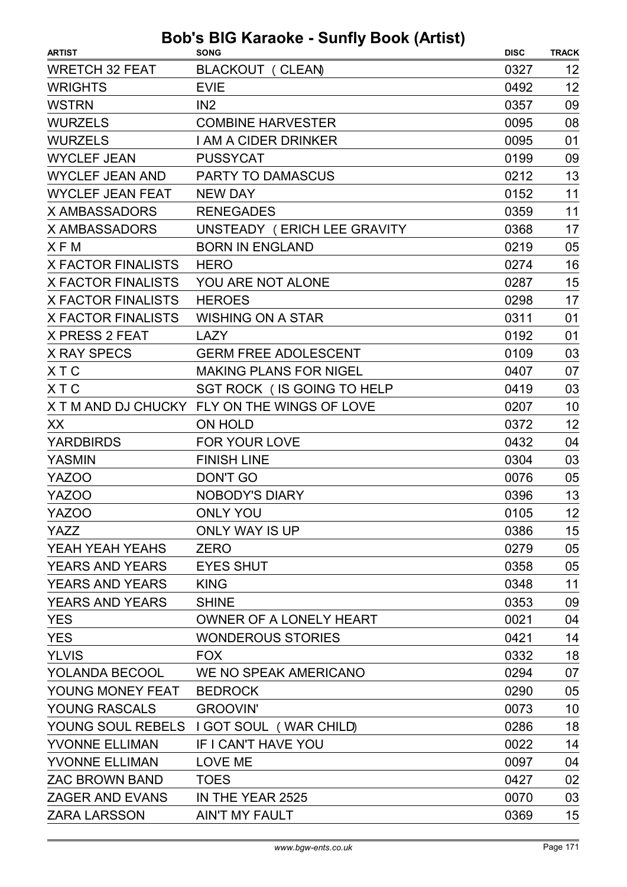| <b>ARTIST</b>             | $3003$ $1001$ $10000$ $ 001111$ $y$ $ 0000$ $\sqrt{2000}$<br><b>SONG</b> | <b>DISC</b> | <b>TRACK</b> |
|---------------------------|--------------------------------------------------------------------------|-------------|--------------|
| <b>WRETCH 32 FEAT</b>     | BLACKOUT (CLEAN)                                                         | 0327        | 12           |
| <b>WRIGHTS</b>            | <b>EVIE</b>                                                              | 0492        | 12           |
| <b>WSTRN</b>              | IN2                                                                      | 0357        | 09           |
| <b>WURZELS</b>            | <b>COMBINE HARVESTER</b>                                                 | 0095        | 08           |
| <b>WURZELS</b>            | <b>I AM A CIDER DRINKER</b>                                              | 0095        | 01           |
| <b>WYCLEF JEAN</b>        | <b>PUSSYCAT</b>                                                          | 0199        | 09           |
| <b>WYCLEF JEAN AND</b>    | <b>PARTY TO DAMASCUS</b>                                                 | 0212        | 13           |
| <b>WYCLEF JEAN FEAT</b>   | <b>NEW DAY</b>                                                           | 0152        | 11           |
| X AMBASSADORS             | <b>RENEGADES</b>                                                         | 0359        | 11           |
| <b>X AMBASSADORS</b>      | UNSTEADY (ERICH LEE GRAVITY                                              | 0368        | 17           |
| XFM                       | <b>BORN IN ENGLAND</b>                                                   | 0219        | 05           |
| <b>X FACTOR FINALISTS</b> | <b>HERO</b>                                                              | 0274        | 16           |
| <b>X FACTOR FINALISTS</b> | YOU ARE NOT ALONE                                                        | 0287        | 15           |
| <b>X FACTOR FINALISTS</b> | <b>HEROES</b>                                                            | 0298        | 17           |
| <b>X FACTOR FINALISTS</b> | <b>WISHING ON A STAR</b>                                                 | 0311        | 01           |
| <b>X PRESS 2 FEAT</b>     | <b>LAZY</b>                                                              | 0192        | 01           |
| <b>X RAY SPECS</b>        | <b>GERM FREE ADOLESCENT</b>                                              | 0109        | 03           |
| <b>XTC</b>                | <b>MAKING PLANS FOR NIGEL</b>                                            | 0407        | 07           |
| <b>XTC</b>                | SGT ROCK (IS GOING TO HELP                                               | 0419        | 03           |
|                           | X T M AND DJ CHUCKY FLY ON THE WINGS OF LOVE                             | 0207        | 10           |
| XX                        | ON HOLD                                                                  | 0372        | 12           |
| <b>YARDBIRDS</b>          | FOR YOUR LOVE                                                            | 0432        | 04           |
| <b>YASMIN</b>             | <b>FINISH LINE</b>                                                       | 0304        | 03           |
| <b>YAZOO</b>              | <b>DON'T GO</b>                                                          | 0076        | 05           |
| <b>YAZOO</b>              | <b>NOBODY'S DIARY</b>                                                    | 0396        | 13           |
| YAZOO                     | <b>ONLY YOU</b>                                                          | 0105        | 12           |
| YAZZ                      | <b>ONLY WAY IS UP</b>                                                    | 0386        | 15           |
| YEAH YEAH YEAHS           | <b>ZERO</b>                                                              | 0279        | 05           |
| <b>YEARS AND YEARS</b>    | <b>EYES SHUT</b>                                                         | 0358        | 05           |
| <b>YEARS AND YEARS</b>    | <b>KING</b>                                                              | 0348        | 11           |
| <b>YEARS AND YEARS</b>    | <b>SHINE</b>                                                             | 0353        | 09           |
| <b>YES</b>                | OWNER OF A LONELY HEART                                                  | 0021        | 04           |
| <b>YES</b>                | <b>WONDEROUS STORIES</b>                                                 | 0421        | 14           |
| <b>YLVIS</b>              | <b>FOX</b>                                                               | 0332        | 18           |
| <b>YOLANDA BECOOL</b>     | WE NO SPEAK AMERICANO                                                    | 0294        | 07           |
| YOUNG MONEY FEAT          | <b>BEDROCK</b>                                                           | 0290        | 05           |
| YOUNG RASCALS             | <b>GROOVIN'</b>                                                          | 0073        | 10           |
|                           | YOUNG SOUL REBELS I GOT SOUL (WAR CHILD)                                 | 0286        | 18           |
| <b>YVONNE ELLIMAN</b>     | IF I CAN'T HAVE YOU                                                      | 0022        | 14           |
| <b>YVONNE ELLIMAN</b>     | LOVE ME                                                                  | 0097        | 04           |
| <b>ZAC BROWN BAND</b>     | <b>TOES</b>                                                              | 0427        | 02           |
| <b>ZAGER AND EVANS</b>    | IN THE YEAR 2525                                                         | 0070        | 03           |
| <b>ZARA LARSSON</b>       | <b>AIN'T MY FAULT</b>                                                    | 0369        | 15           |
|                           |                                                                          |             |              |